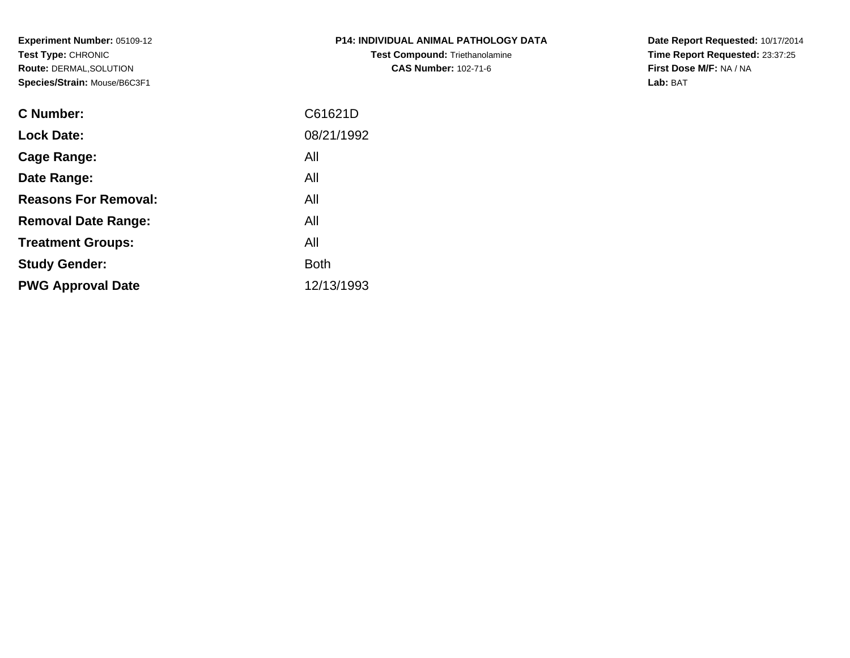**Experiment Number:** 05109-12**Test Type:** CHRONIC **Route:** DERMAL,SOLUTION**Species/Strain:** Mouse/B6C3F1

| <b>P14: INDIVIDUAL ANIMAL PATHOLOGY DATA</b> |
|----------------------------------------------|
| <b>Test Compound: Triethanolamine</b>        |
| <b>CAS Number: 102-71-6</b>                  |

**Date Report Requested:** 10/17/2014 **Time Report Requested:** 23:37:25**First Dose M/F:** NA / NA**Lab:** BAT

| C Number:                   | C61621D     |
|-----------------------------|-------------|
| <b>Lock Date:</b>           | 08/21/1992  |
| Cage Range:                 | All         |
| Date Range:                 | All         |
| <b>Reasons For Removal:</b> | All         |
| <b>Removal Date Range:</b>  | All         |
| <b>Treatment Groups:</b>    | All         |
| <b>Study Gender:</b>        | <b>Both</b> |
| <b>PWG Approval Date</b>    | 12/13/1993  |
|                             |             |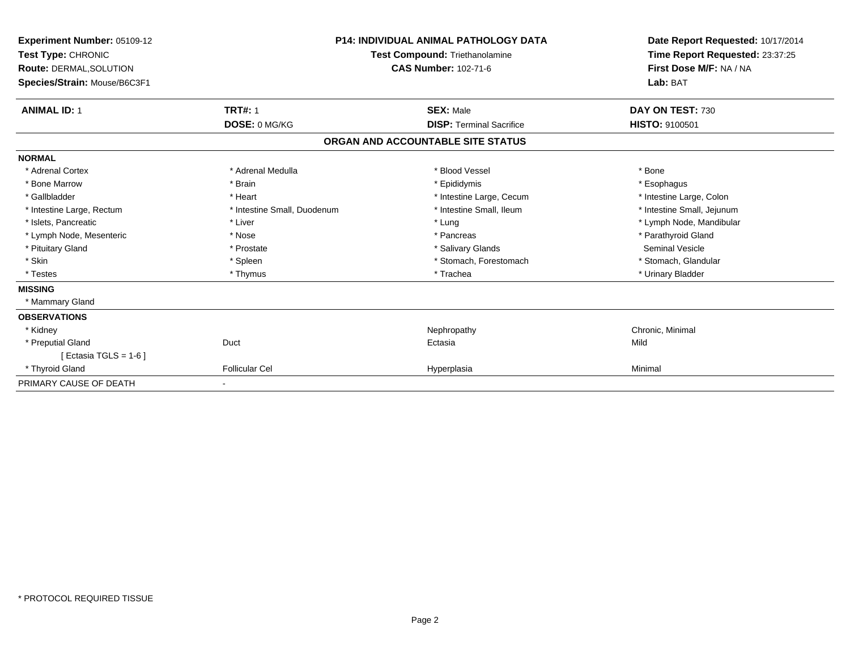| Experiment Number: 05109-12<br>Test Type: CHRONIC<br><b>Route: DERMAL, SOLUTION</b><br>Species/Strain: Mouse/B6C3F1 |                             | <b>P14: INDIVIDUAL ANIMAL PATHOLOGY DATA</b><br>Test Compound: Triethanolamine<br><b>CAS Number: 102-71-6</b> | Date Report Requested: 10/17/2014<br>Time Report Requested: 23:37:25<br>First Dose M/F: NA / NA<br>Lab: BAT |
|---------------------------------------------------------------------------------------------------------------------|-----------------------------|---------------------------------------------------------------------------------------------------------------|-------------------------------------------------------------------------------------------------------------|
| <b>ANIMAL ID: 1</b>                                                                                                 | <b>TRT#: 1</b>              | <b>SEX: Male</b>                                                                                              | DAY ON TEST: 730                                                                                            |
|                                                                                                                     | DOSE: 0 MG/KG               | <b>DISP: Terminal Sacrifice</b>                                                                               | HISTO: 9100501                                                                                              |
|                                                                                                                     |                             | ORGAN AND ACCOUNTABLE SITE STATUS                                                                             |                                                                                                             |
| <b>NORMAL</b>                                                                                                       |                             |                                                                                                               |                                                                                                             |
| * Adrenal Cortex                                                                                                    | * Adrenal Medulla           | * Blood Vessel                                                                                                | * Bone                                                                                                      |
| * Bone Marrow                                                                                                       | * Brain                     | * Epididymis                                                                                                  | * Esophagus                                                                                                 |
| * Gallbladder                                                                                                       | * Heart                     | * Intestine Large, Cecum                                                                                      | * Intestine Large, Colon                                                                                    |
| * Intestine Large, Rectum                                                                                           | * Intestine Small, Duodenum | * Intestine Small, Ileum                                                                                      | * Intestine Small, Jejunum                                                                                  |
| * Islets. Pancreatic                                                                                                | * Liver                     | * Lung                                                                                                        | * Lymph Node, Mandibular                                                                                    |
| * Lymph Node, Mesenteric                                                                                            | * Nose                      | * Pancreas                                                                                                    | * Parathyroid Gland                                                                                         |
| * Pituitary Gland                                                                                                   | * Prostate                  | * Salivary Glands                                                                                             | Seminal Vesicle                                                                                             |
| * Skin                                                                                                              | * Spleen                    | * Stomach, Forestomach                                                                                        | * Stomach, Glandular                                                                                        |
| * Testes                                                                                                            | * Thymus                    | * Trachea                                                                                                     | * Urinary Bladder                                                                                           |
| <b>MISSING</b>                                                                                                      |                             |                                                                                                               |                                                                                                             |
| * Mammary Gland                                                                                                     |                             |                                                                                                               |                                                                                                             |
| <b>OBSERVATIONS</b>                                                                                                 |                             |                                                                                                               |                                                                                                             |
| * Kidney                                                                                                            |                             | Nephropathy                                                                                                   | Chronic, Minimal                                                                                            |
| * Preputial Gland                                                                                                   | Duct                        | Ectasia                                                                                                       | Mild                                                                                                        |
| [ Ectasia TGLS = $1-6$ ]                                                                                            |                             |                                                                                                               |                                                                                                             |
| * Thyroid Gland                                                                                                     | <b>Follicular Cel</b>       | Hyperplasia                                                                                                   | Minimal                                                                                                     |
| PRIMARY CAUSE OF DEATH                                                                                              |                             |                                                                                                               |                                                                                                             |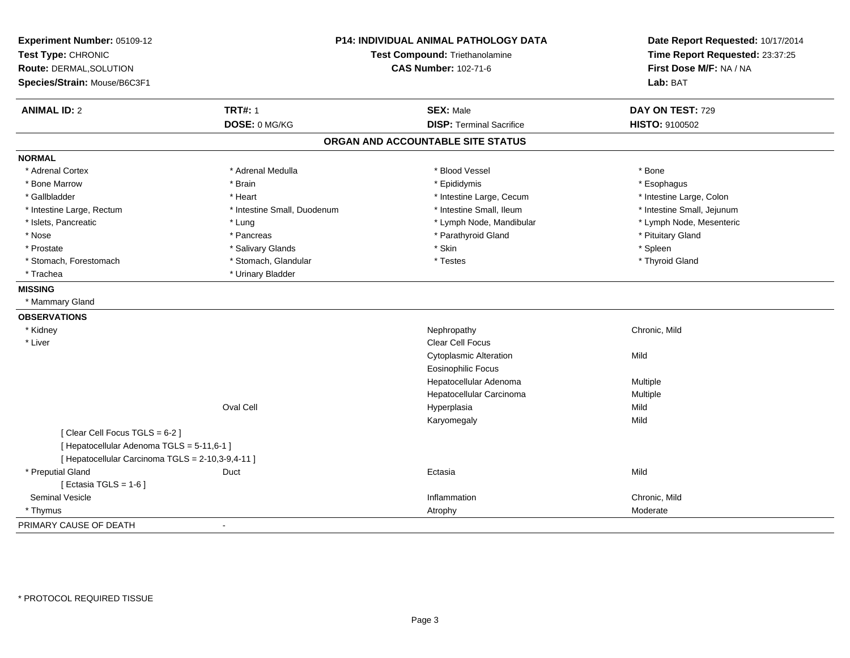| Experiment Number: 05109-12<br>Test Type: CHRONIC<br>Route: DERMAL, SOLUTION<br>Species/Strain: Mouse/B6C3F1 | P14: INDIVIDUAL ANIMAL PATHOLOGY DATA<br>Test Compound: Triethanolamine<br><b>CAS Number: 102-71-6</b> |                                   | Date Report Requested: 10/17/2014<br>Time Report Requested: 23:37:25<br>First Dose M/F: NA / NA<br>Lab: BAT |
|--------------------------------------------------------------------------------------------------------------|--------------------------------------------------------------------------------------------------------|-----------------------------------|-------------------------------------------------------------------------------------------------------------|
| <b>ANIMAL ID: 2</b>                                                                                          | <b>TRT#: 1</b>                                                                                         | <b>SEX: Male</b>                  | DAY ON TEST: 729                                                                                            |
|                                                                                                              | DOSE: 0 MG/KG                                                                                          | <b>DISP: Terminal Sacrifice</b>   | <b>HISTO: 9100502</b>                                                                                       |
|                                                                                                              |                                                                                                        | ORGAN AND ACCOUNTABLE SITE STATUS |                                                                                                             |
| <b>NORMAL</b>                                                                                                |                                                                                                        |                                   |                                                                                                             |
| * Adrenal Cortex                                                                                             | * Adrenal Medulla                                                                                      | * Blood Vessel                    | * Bone                                                                                                      |
| * Bone Marrow                                                                                                | * Brain                                                                                                | * Epididymis                      | * Esophagus                                                                                                 |
| * Gallbladder                                                                                                | * Heart                                                                                                | * Intestine Large, Cecum          | * Intestine Large, Colon                                                                                    |
| * Intestine Large, Rectum                                                                                    | * Intestine Small, Duodenum                                                                            | * Intestine Small, Ileum          | * Intestine Small, Jejunum                                                                                  |
| * Islets, Pancreatic                                                                                         | * Lung                                                                                                 | * Lymph Node, Mandibular          | * Lymph Node, Mesenteric                                                                                    |
| * Nose                                                                                                       | * Pancreas                                                                                             | * Parathyroid Gland               | * Pituitary Gland                                                                                           |
| * Prostate                                                                                                   | * Salivary Glands                                                                                      | * Skin                            | * Spleen                                                                                                    |
| * Stomach, Forestomach                                                                                       | * Stomach, Glandular                                                                                   | * Testes                          | * Thyroid Gland                                                                                             |
| * Trachea                                                                                                    | * Urinary Bladder                                                                                      |                                   |                                                                                                             |
| <b>MISSING</b>                                                                                               |                                                                                                        |                                   |                                                                                                             |
| * Mammary Gland                                                                                              |                                                                                                        |                                   |                                                                                                             |
| <b>OBSERVATIONS</b>                                                                                          |                                                                                                        |                                   |                                                                                                             |
| * Kidney                                                                                                     |                                                                                                        | Nephropathy                       | Chronic, Mild                                                                                               |
| * Liver                                                                                                      |                                                                                                        | Clear Cell Focus                  |                                                                                                             |
|                                                                                                              |                                                                                                        | <b>Cytoplasmic Alteration</b>     | Mild                                                                                                        |
|                                                                                                              |                                                                                                        | <b>Eosinophilic Focus</b>         |                                                                                                             |
|                                                                                                              |                                                                                                        | Hepatocellular Adenoma            | Multiple                                                                                                    |
|                                                                                                              |                                                                                                        | Hepatocellular Carcinoma          | Multiple                                                                                                    |
|                                                                                                              | Oval Cell                                                                                              | Hyperplasia                       | Mild                                                                                                        |
|                                                                                                              |                                                                                                        | Karyomegaly                       | Mild                                                                                                        |
| [Clear Cell Focus TGLS = 6-2]                                                                                |                                                                                                        |                                   |                                                                                                             |
| [ Hepatocellular Adenoma TGLS = 5-11,6-1 ]                                                                   |                                                                                                        |                                   |                                                                                                             |
| [ Hepatocellular Carcinoma TGLS = 2-10,3-9,4-11 ]                                                            |                                                                                                        |                                   |                                                                                                             |
| * Preputial Gland                                                                                            | Duct                                                                                                   | Ectasia                           | Mild                                                                                                        |
| [ Ectasia TGLS = $1-6$ ]                                                                                     |                                                                                                        |                                   |                                                                                                             |
| <b>Seminal Vesicle</b>                                                                                       |                                                                                                        | Inflammation                      | Chronic, Mild                                                                                               |
| * Thymus                                                                                                     |                                                                                                        | Atrophy                           | Moderate                                                                                                    |
| PRIMARY CAUSE OF DEATH                                                                                       |                                                                                                        |                                   |                                                                                                             |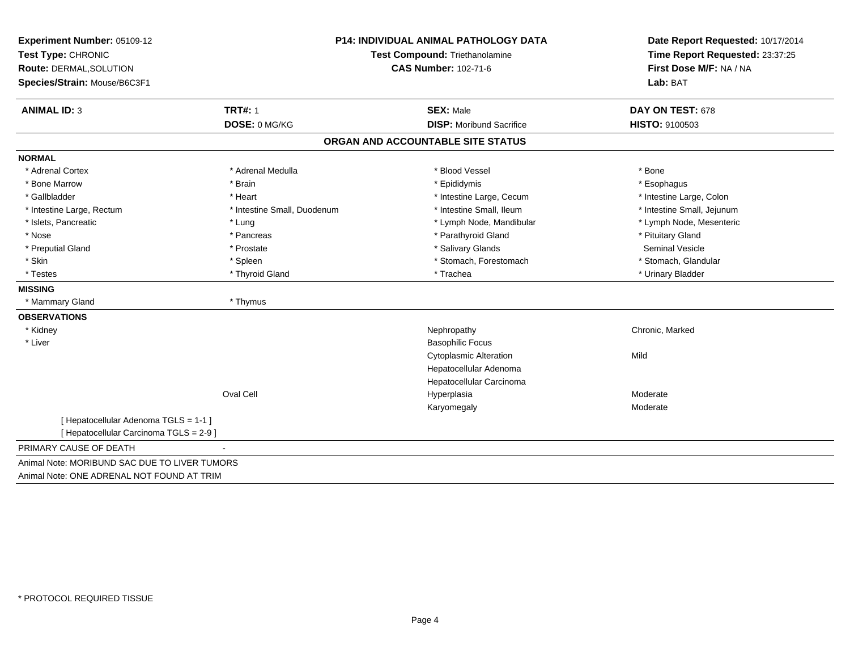| Experiment Number: 05109-12<br>Test Type: CHRONIC | <b>P14: INDIVIDUAL ANIMAL PATHOLOGY DATA</b> |                                         | Date Report Requested: 10/17/2014<br>Time Report Requested: 23:37:25<br>First Dose M/F: NA / NA |
|---------------------------------------------------|----------------------------------------------|-----------------------------------------|-------------------------------------------------------------------------------------------------|
| <b>Route: DERMAL, SOLUTION</b>                    |                                              | Test Compound: Triethanolamine          |                                                                                                 |
| Species/Strain: Mouse/B6C3F1                      |                                              | <b>CAS Number: 102-71-6</b><br>Lab: BAT |                                                                                                 |
| <b>ANIMAL ID: 3</b>                               | <b>TRT#: 1</b>                               | <b>SEX: Male</b>                        | DAY ON TEST: 678                                                                                |
|                                                   | DOSE: 0 MG/KG                                | <b>DISP:</b> Moribund Sacrifice         | <b>HISTO: 9100503</b>                                                                           |
|                                                   |                                              | ORGAN AND ACCOUNTABLE SITE STATUS       |                                                                                                 |
| <b>NORMAL</b>                                     |                                              |                                         |                                                                                                 |
| * Adrenal Cortex                                  | * Adrenal Medulla                            | * Blood Vessel                          | * Bone                                                                                          |
| * Bone Marrow                                     | * Brain                                      | * Epididymis                            | * Esophagus                                                                                     |
| * Gallbladder                                     | * Heart                                      | * Intestine Large, Cecum                | * Intestine Large, Colon                                                                        |
| * Intestine Large, Rectum                         | * Intestine Small, Duodenum                  | * Intestine Small, Ileum                | * Intestine Small, Jejunum                                                                      |
| * Islets, Pancreatic                              | * Lung                                       | * Lymph Node, Mandibular                | * Lymph Node, Mesenteric                                                                        |
| * Nose                                            | * Pancreas                                   | * Parathyroid Gland                     | * Pituitary Gland                                                                               |
| * Preputial Gland                                 | * Prostate                                   | * Salivary Glands                       | <b>Seminal Vesicle</b>                                                                          |
| * Skin                                            | * Spleen                                     | * Stomach, Forestomach                  | * Stomach, Glandular                                                                            |
| * Testes                                          | * Thyroid Gland                              | * Trachea                               | * Urinary Bladder                                                                               |
| <b>MISSING</b>                                    |                                              |                                         |                                                                                                 |
| * Mammary Gland                                   | * Thymus                                     |                                         |                                                                                                 |
| <b>OBSERVATIONS</b>                               |                                              |                                         |                                                                                                 |
| * Kidney                                          |                                              | Nephropathy                             | Chronic, Marked                                                                                 |
| * Liver                                           |                                              | <b>Basophilic Focus</b>                 |                                                                                                 |
|                                                   |                                              | <b>Cytoplasmic Alteration</b>           | Mild                                                                                            |
|                                                   |                                              | Hepatocellular Adenoma                  |                                                                                                 |
|                                                   |                                              | Hepatocellular Carcinoma                |                                                                                                 |
|                                                   | Oval Cell                                    | Hyperplasia                             | Moderate                                                                                        |
|                                                   |                                              | Karyomegaly                             | Moderate                                                                                        |
| [ Hepatocellular Adenoma TGLS = 1-1 ]             |                                              |                                         |                                                                                                 |
| [ Hepatocellular Carcinoma TGLS = 2-9 ]           |                                              |                                         |                                                                                                 |
| PRIMARY CAUSE OF DEATH                            |                                              |                                         |                                                                                                 |
| Animal Note: MORIBUND SAC DUE TO LIVER TUMORS     |                                              |                                         |                                                                                                 |
| Animal Note: ONE ADRENAL NOT FOUND AT TRIM        |                                              |                                         |                                                                                                 |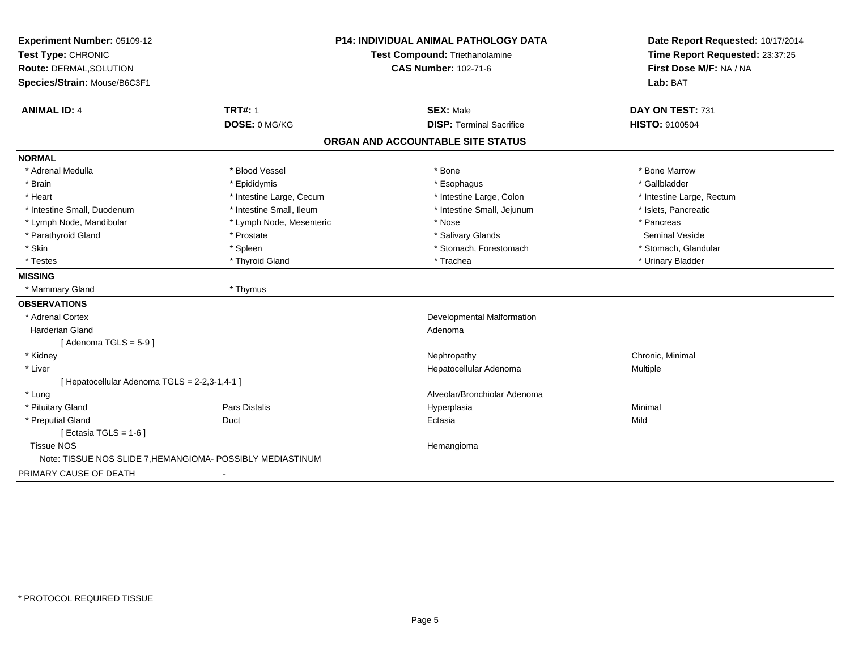| Experiment Number: 05109-12                                | <b>P14: INDIVIDUAL ANIMAL PATHOLOGY DATA</b> |                                   | Date Report Requested: 10/17/2014 |
|------------------------------------------------------------|----------------------------------------------|-----------------------------------|-----------------------------------|
| Test Type: CHRONIC                                         |                                              | Test Compound: Triethanolamine    | Time Report Requested: 23:37:25   |
| Route: DERMAL, SOLUTION                                    | <b>CAS Number: 102-71-6</b>                  |                                   | First Dose M/F: NA / NA           |
| Species/Strain: Mouse/B6C3F1                               |                                              |                                   | Lab: BAT                          |
| <b>ANIMAL ID: 4</b>                                        | <b>TRT#: 1</b>                               | <b>SEX: Male</b>                  | DAY ON TEST: 731                  |
|                                                            | DOSE: 0 MG/KG                                | <b>DISP: Terminal Sacrifice</b>   | HISTO: 9100504                    |
|                                                            |                                              | ORGAN AND ACCOUNTABLE SITE STATUS |                                   |
| <b>NORMAL</b>                                              |                                              |                                   |                                   |
| * Adrenal Medulla                                          | * Blood Vessel                               | * Bone                            | * Bone Marrow                     |
| * Brain                                                    | * Epididymis                                 | * Esophagus                       | * Gallbladder                     |
| * Heart                                                    | * Intestine Large, Cecum                     | * Intestine Large, Colon          | * Intestine Large, Rectum         |
| * Intestine Small, Duodenum                                | * Intestine Small, Ileum                     | * Intestine Small, Jejunum        | * Islets, Pancreatic              |
| * Lymph Node, Mandibular                                   | * Lymph Node, Mesenteric                     | * Nose                            | * Pancreas                        |
| * Parathyroid Gland                                        | * Prostate                                   | * Salivary Glands                 | <b>Seminal Vesicle</b>            |
| * Skin                                                     | * Spleen                                     | * Stomach, Forestomach            | * Stomach, Glandular              |
| * Testes                                                   | * Thyroid Gland                              | * Trachea                         | * Urinary Bladder                 |
| <b>MISSING</b>                                             |                                              |                                   |                                   |
| * Mammary Gland                                            | * Thymus                                     |                                   |                                   |
| <b>OBSERVATIONS</b>                                        |                                              |                                   |                                   |
| * Adrenal Cortex                                           |                                              | <b>Developmental Malformation</b> |                                   |
| <b>Harderian Gland</b>                                     |                                              | Adenoma                           |                                   |
| [Adenoma TGLS = $5-9$ ]                                    |                                              |                                   |                                   |
| * Kidney                                                   |                                              | Nephropathy                       | Chronic, Minimal                  |
| * Liver                                                    |                                              | Hepatocellular Adenoma            | <b>Multiple</b>                   |
| [ Hepatocellular Adenoma TGLS = 2-2,3-1,4-1 ]              |                                              |                                   |                                   |
| * Lung                                                     |                                              | Alveolar/Bronchiolar Adenoma      |                                   |
| * Pituitary Gland                                          | <b>Pars Distalis</b>                         | Hyperplasia                       | Minimal                           |
| * Preputial Gland                                          | Duct                                         | Ectasia                           | Mild                              |
| [ Ectasia TGLS = $1-6$ ]                                   |                                              |                                   |                                   |
| <b>Tissue NOS</b>                                          |                                              | Hemangioma                        |                                   |
| Note: TISSUE NOS SLIDE 7, HEMANGIOMA- POSSIBLY MEDIASTINUM |                                              |                                   |                                   |
| PRIMARY CAUSE OF DEATH                                     | $\overline{\phantom{a}}$                     |                                   |                                   |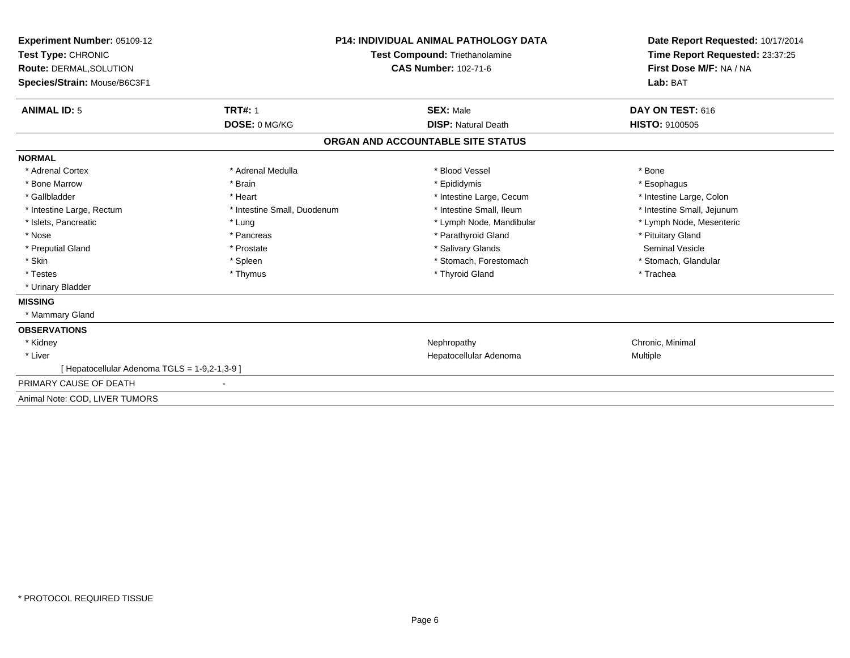| Experiment Number: 05109-12                 | <b>P14: INDIVIDUAL ANIMAL PATHOLOGY DATA</b> |                                       | Date Report Requested: 10/17/2014<br>Time Report Requested: 23:37:25 |
|---------------------------------------------|----------------------------------------------|---------------------------------------|----------------------------------------------------------------------|
| Test Type: CHRONIC                          |                                              | <b>Test Compound: Triethanolamine</b> |                                                                      |
| <b>Route: DERMAL, SOLUTION</b>              |                                              | <b>CAS Number: 102-71-6</b>           | First Dose M/F: NA / NA                                              |
| Species/Strain: Mouse/B6C3F1                |                                              |                                       | Lab: BAT                                                             |
| <b>ANIMAL ID: 5</b>                         | <b>TRT#: 1</b>                               | <b>SEX: Male</b>                      | DAY ON TEST: 616                                                     |
|                                             | DOSE: 0 MG/KG                                | <b>DISP: Natural Death</b>            | <b>HISTO: 9100505</b>                                                |
|                                             |                                              | ORGAN AND ACCOUNTABLE SITE STATUS     |                                                                      |
| <b>NORMAL</b>                               |                                              |                                       |                                                                      |
| * Adrenal Cortex                            | * Adrenal Medulla                            | * Blood Vessel                        | * Bone                                                               |
| * Bone Marrow                               | * Brain                                      | * Epididymis                          | * Esophagus                                                          |
| * Gallbladder                               | * Heart                                      | * Intestine Large, Cecum              | * Intestine Large, Colon                                             |
| * Intestine Large, Rectum                   | * Intestine Small, Duodenum                  | * Intestine Small, Ileum              | * Intestine Small, Jejunum                                           |
| * Islets, Pancreatic                        | * Lung                                       | * Lymph Node, Mandibular              | * Lymph Node, Mesenteric                                             |
| * Nose                                      | * Pancreas                                   | * Parathyroid Gland                   | * Pituitary Gland                                                    |
| * Preputial Gland                           | * Prostate                                   | * Salivary Glands                     | <b>Seminal Vesicle</b>                                               |
| * Skin                                      | * Spleen                                     | * Stomach, Forestomach                | * Stomach, Glandular                                                 |
| * Testes                                    | * Thymus                                     | * Thyroid Gland                       | * Trachea                                                            |
| * Urinary Bladder                           |                                              |                                       |                                                                      |
| <b>MISSING</b>                              |                                              |                                       |                                                                      |
| * Mammary Gland                             |                                              |                                       |                                                                      |
| <b>OBSERVATIONS</b>                         |                                              |                                       |                                                                      |
| * Kidney                                    |                                              | Nephropathy                           | Chronic, Minimal                                                     |
| * Liver                                     |                                              | Hepatocellular Adenoma                | Multiple                                                             |
| [Hepatocellular Adenoma TGLS = 1-9,2-1,3-9] |                                              |                                       |                                                                      |
| PRIMARY CAUSE OF DEATH                      |                                              |                                       |                                                                      |
| Animal Note: COD, LIVER TUMORS              |                                              |                                       |                                                                      |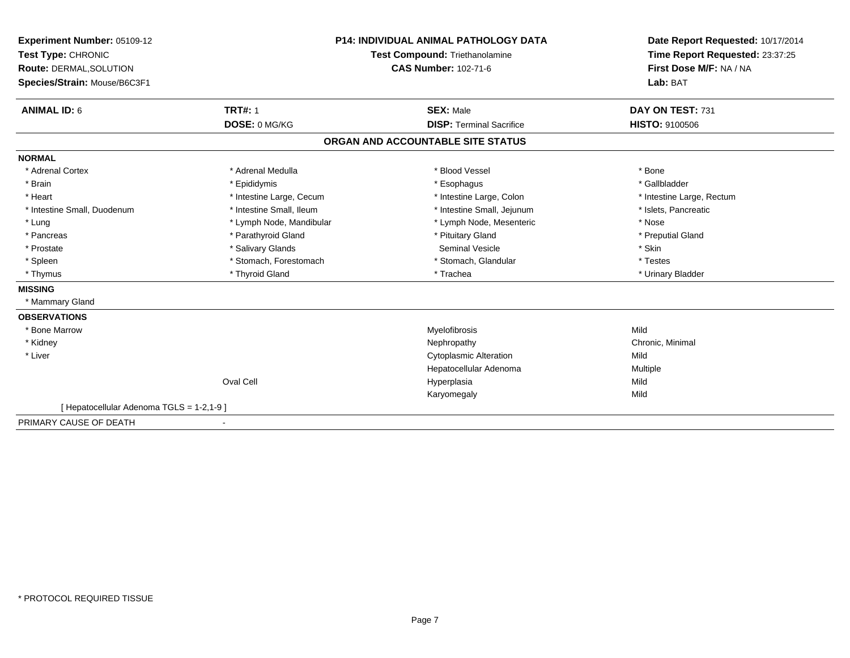| Experiment Number: 05109-12<br>Test Type: CHRONIC<br>Route: DERMAL, SOLUTION<br>Species/Strain: Mouse/B6C3F1 |                          | <b>P14: INDIVIDUAL ANIMAL PATHOLOGY DATA</b><br><b>Test Compound: Triethanolamine</b><br><b>CAS Number: 102-71-6</b> | Date Report Requested: 10/17/2014<br>Time Report Requested: 23:37:25<br>First Dose M/F: NA / NA<br>Lab: BAT |
|--------------------------------------------------------------------------------------------------------------|--------------------------|----------------------------------------------------------------------------------------------------------------------|-------------------------------------------------------------------------------------------------------------|
| <b>ANIMAL ID: 6</b>                                                                                          | <b>TRT#: 1</b>           | <b>SEX: Male</b>                                                                                                     | DAY ON TEST: 731                                                                                            |
|                                                                                                              | DOSE: 0 MG/KG            | <b>DISP: Terminal Sacrifice</b>                                                                                      | HISTO: 9100506                                                                                              |
|                                                                                                              |                          | ORGAN AND ACCOUNTABLE SITE STATUS                                                                                    |                                                                                                             |
| <b>NORMAL</b>                                                                                                |                          |                                                                                                                      |                                                                                                             |
| * Adrenal Cortex                                                                                             | * Adrenal Medulla        | * Blood Vessel                                                                                                       | * Bone                                                                                                      |
| * Brain                                                                                                      | * Epididymis             | * Esophagus                                                                                                          | * Gallbladder                                                                                               |
| * Heart                                                                                                      | * Intestine Large, Cecum | * Intestine Large, Colon                                                                                             | * Intestine Large, Rectum                                                                                   |
| * Intestine Small, Duodenum                                                                                  | * Intestine Small, Ileum | * Intestine Small, Jejunum                                                                                           | * Islets, Pancreatic                                                                                        |
| * Lung                                                                                                       | * Lymph Node, Mandibular | * Lymph Node, Mesenteric                                                                                             | * Nose                                                                                                      |
| * Pancreas                                                                                                   | * Parathyroid Gland      | * Pituitary Gland                                                                                                    | * Preputial Gland                                                                                           |
| * Prostate                                                                                                   | * Salivary Glands        | Seminal Vesicle                                                                                                      | * Skin                                                                                                      |
| * Spleen                                                                                                     | * Stomach, Forestomach   | * Stomach, Glandular                                                                                                 | * Testes                                                                                                    |
| * Thymus                                                                                                     | * Thyroid Gland          | * Trachea                                                                                                            | * Urinary Bladder                                                                                           |
| <b>MISSING</b>                                                                                               |                          |                                                                                                                      |                                                                                                             |
| * Mammary Gland                                                                                              |                          |                                                                                                                      |                                                                                                             |
| <b>OBSERVATIONS</b>                                                                                          |                          |                                                                                                                      |                                                                                                             |
| * Bone Marrow                                                                                                |                          | Myelofibrosis                                                                                                        | Mild                                                                                                        |
| * Kidney                                                                                                     |                          | Nephropathy                                                                                                          | Chronic, Minimal                                                                                            |
| * Liver                                                                                                      |                          | <b>Cytoplasmic Alteration</b>                                                                                        | Mild                                                                                                        |
|                                                                                                              |                          | Hepatocellular Adenoma                                                                                               | Multiple                                                                                                    |
|                                                                                                              | <b>Oval Cell</b>         | Hyperplasia                                                                                                          | Mild                                                                                                        |
|                                                                                                              |                          | Karyomegaly                                                                                                          | Mild                                                                                                        |
| [ Hepatocellular Adenoma TGLS = 1-2,1-9 ]                                                                    |                          |                                                                                                                      |                                                                                                             |
| PRIMARY CAUSE OF DEATH                                                                                       |                          |                                                                                                                      |                                                                                                             |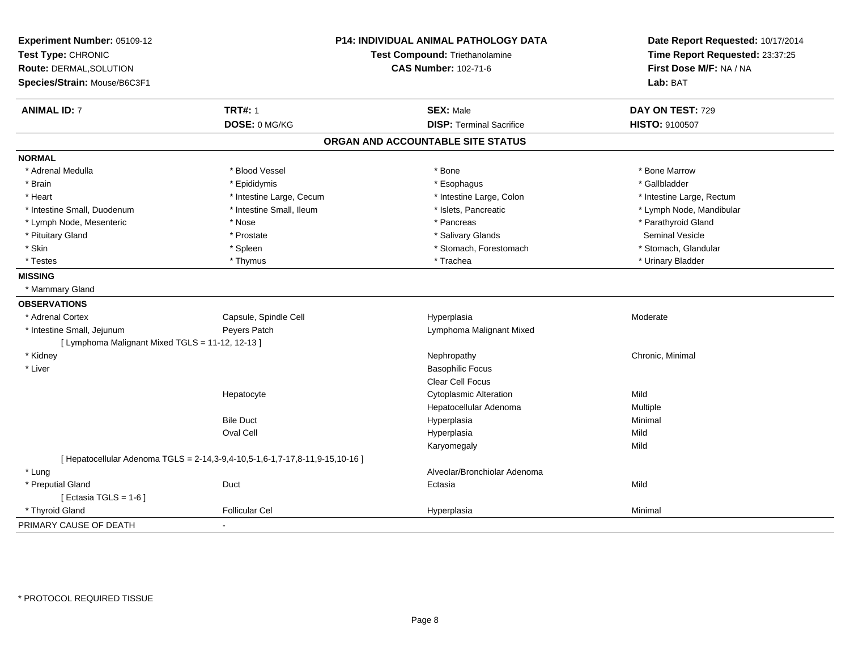| Experiment Number: 05109-12<br>Test Type: CHRONIC | P14: INDIVIDUAL ANIMAL PATHOLOGY DATA<br>Test Compound: Triethanolamine<br><b>CAS Number: 102-71-6</b> |                                   | Date Report Requested: 10/17/2014<br>Time Report Requested: 23:37:25<br>First Dose M/F: NA / NA |
|---------------------------------------------------|--------------------------------------------------------------------------------------------------------|-----------------------------------|-------------------------------------------------------------------------------------------------|
| Route: DERMAL, SOLUTION                           |                                                                                                        |                                   |                                                                                                 |
| Species/Strain: Mouse/B6C3F1                      |                                                                                                        |                                   | Lab: BAT                                                                                        |
| <b>ANIMAL ID: 7</b>                               | <b>TRT#: 1</b>                                                                                         | <b>SEX: Male</b>                  | DAY ON TEST: 729                                                                                |
|                                                   | DOSE: 0 MG/KG                                                                                          | <b>DISP: Terminal Sacrifice</b>   | <b>HISTO: 9100507</b>                                                                           |
|                                                   |                                                                                                        | ORGAN AND ACCOUNTABLE SITE STATUS |                                                                                                 |
| <b>NORMAL</b>                                     |                                                                                                        |                                   |                                                                                                 |
| * Adrenal Medulla                                 | * Blood Vessel                                                                                         | * Bone                            | * Bone Marrow                                                                                   |
| * Brain                                           | * Epididymis                                                                                           | * Esophagus                       | * Gallbladder                                                                                   |
| * Heart                                           | * Intestine Large, Cecum                                                                               | * Intestine Large, Colon          | * Intestine Large, Rectum                                                                       |
| * Intestine Small, Duodenum                       | * Intestine Small, Ileum                                                                               | * Islets, Pancreatic              | * Lymph Node, Mandibular                                                                        |
| * Lymph Node, Mesenteric                          | * Nose                                                                                                 | * Pancreas                        | * Parathyroid Gland                                                                             |
| * Pituitary Gland                                 | * Prostate                                                                                             | * Salivary Glands                 | <b>Seminal Vesicle</b>                                                                          |
| * Skin                                            | * Spleen                                                                                               | * Stomach, Forestomach            | * Stomach, Glandular                                                                            |
| * Testes                                          | * Thymus                                                                                               | * Trachea                         | * Urinary Bladder                                                                               |
| <b>MISSING</b>                                    |                                                                                                        |                                   |                                                                                                 |
| * Mammary Gland                                   |                                                                                                        |                                   |                                                                                                 |
| <b>OBSERVATIONS</b>                               |                                                                                                        |                                   |                                                                                                 |
| * Adrenal Cortex                                  | Capsule, Spindle Cell                                                                                  | Hyperplasia                       | Moderate                                                                                        |
| * Intestine Small, Jejunum                        | Peyers Patch                                                                                           | Lymphoma Malignant Mixed          |                                                                                                 |
| [ Lymphoma Malignant Mixed TGLS = 11-12, 12-13 ]  |                                                                                                        |                                   |                                                                                                 |
| * Kidney                                          |                                                                                                        | Nephropathy                       | Chronic, Minimal                                                                                |
| * Liver                                           |                                                                                                        | <b>Basophilic Focus</b>           |                                                                                                 |
|                                                   |                                                                                                        | <b>Clear Cell Focus</b>           |                                                                                                 |
|                                                   | Hepatocyte                                                                                             | <b>Cytoplasmic Alteration</b>     | Mild                                                                                            |
|                                                   |                                                                                                        | Hepatocellular Adenoma            | Multiple                                                                                        |
|                                                   | <b>Bile Duct</b>                                                                                       | Hyperplasia                       | Minimal                                                                                         |
|                                                   | Oval Cell                                                                                              | Hyperplasia                       | Mild                                                                                            |
|                                                   |                                                                                                        | Karyomegaly                       | Mild                                                                                            |
|                                                   | [ Hepatocellular Adenoma TGLS = 2-14,3-9,4-10,5-1,6-1,7-17,8-11,9-15,10-16 ]                           |                                   |                                                                                                 |
| * Lung                                            |                                                                                                        | Alveolar/Bronchiolar Adenoma      |                                                                                                 |
| * Preputial Gland                                 | Duct                                                                                                   | Ectasia                           | Mild                                                                                            |
| [ Ectasia TGLS = $1-6$ ]                          |                                                                                                        |                                   |                                                                                                 |
| * Thyroid Gland                                   | <b>Follicular Cel</b>                                                                                  | Hyperplasia                       | Minimal                                                                                         |
| PRIMARY CAUSE OF DEATH                            |                                                                                                        |                                   |                                                                                                 |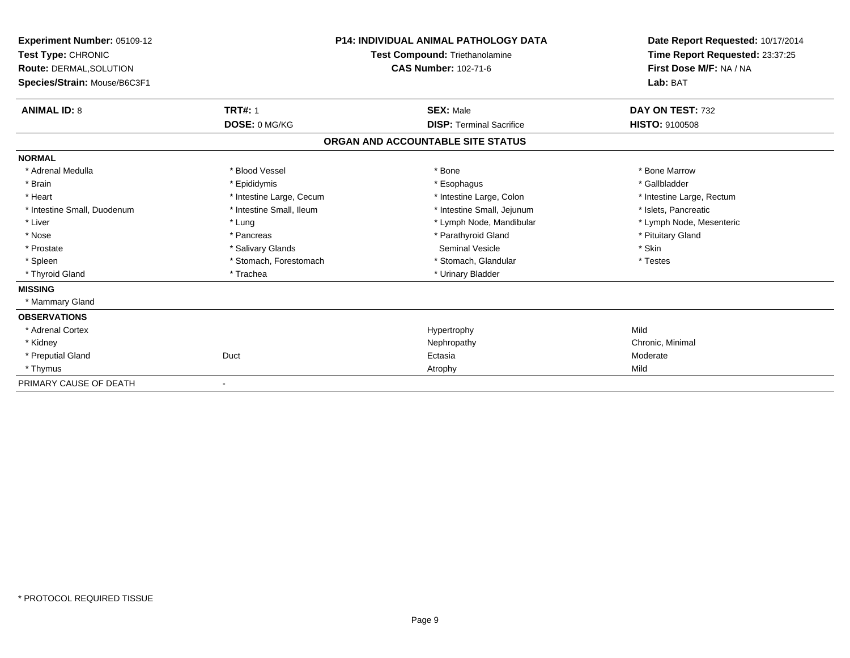| Experiment Number: 05109-12<br>Test Type: CHRONIC<br><b>Route: DERMAL, SOLUTION</b><br>Species/Strain: Mouse/B6C3F1 |                          | <b>P14: INDIVIDUAL ANIMAL PATHOLOGY DATA</b><br><b>Test Compound: Triethanolamine</b><br><b>CAS Number: 102-71-6</b> | Date Report Requested: 10/17/2014<br>Time Report Requested: 23:37:25<br>First Dose M/F: NA / NA<br>Lab: BAT |
|---------------------------------------------------------------------------------------------------------------------|--------------------------|----------------------------------------------------------------------------------------------------------------------|-------------------------------------------------------------------------------------------------------------|
| <b>ANIMAL ID: 8</b>                                                                                                 | <b>TRT#: 1</b>           | <b>SEX: Male</b>                                                                                                     | DAY ON TEST: 732                                                                                            |
|                                                                                                                     | DOSE: 0 MG/KG            | <b>DISP: Terminal Sacrifice</b>                                                                                      | HISTO: 9100508                                                                                              |
|                                                                                                                     |                          | ORGAN AND ACCOUNTABLE SITE STATUS                                                                                    |                                                                                                             |
| <b>NORMAL</b>                                                                                                       |                          |                                                                                                                      |                                                                                                             |
| * Adrenal Medulla                                                                                                   | * Blood Vessel           | * Bone                                                                                                               | * Bone Marrow                                                                                               |
| * Brain                                                                                                             | * Epididymis             | * Esophagus                                                                                                          | * Gallbladder                                                                                               |
| * Heart                                                                                                             | * Intestine Large, Cecum | * Intestine Large, Colon                                                                                             | * Intestine Large, Rectum                                                                                   |
| * Intestine Small, Duodenum                                                                                         | * Intestine Small, Ileum | * Intestine Small, Jejunum                                                                                           | * Islets, Pancreatic                                                                                        |
| * Liver                                                                                                             | * Lung                   | * Lymph Node, Mandibular                                                                                             | * Lymph Node, Mesenteric                                                                                    |
| * Nose                                                                                                              | * Pancreas               | * Parathyroid Gland                                                                                                  | * Pituitary Gland                                                                                           |
| * Prostate                                                                                                          | * Salivary Glands        | Seminal Vesicle                                                                                                      | * Skin                                                                                                      |
| * Spleen                                                                                                            | * Stomach, Forestomach   | * Stomach, Glandular                                                                                                 | * Testes                                                                                                    |
| * Thyroid Gland                                                                                                     | * Trachea                | * Urinary Bladder                                                                                                    |                                                                                                             |
| <b>MISSING</b>                                                                                                      |                          |                                                                                                                      |                                                                                                             |
| * Mammary Gland                                                                                                     |                          |                                                                                                                      |                                                                                                             |
| <b>OBSERVATIONS</b>                                                                                                 |                          |                                                                                                                      |                                                                                                             |
| * Adrenal Cortex                                                                                                    |                          | Hypertrophy                                                                                                          | Mild                                                                                                        |
| * Kidney                                                                                                            |                          | Nephropathy                                                                                                          | Chronic, Minimal                                                                                            |
| * Preputial Gland                                                                                                   | Duct                     | Ectasia                                                                                                              | Moderate                                                                                                    |
| * Thymus                                                                                                            |                          | Atrophy                                                                                                              | Mild                                                                                                        |
| PRIMARY CAUSE OF DEATH                                                                                              |                          |                                                                                                                      |                                                                                                             |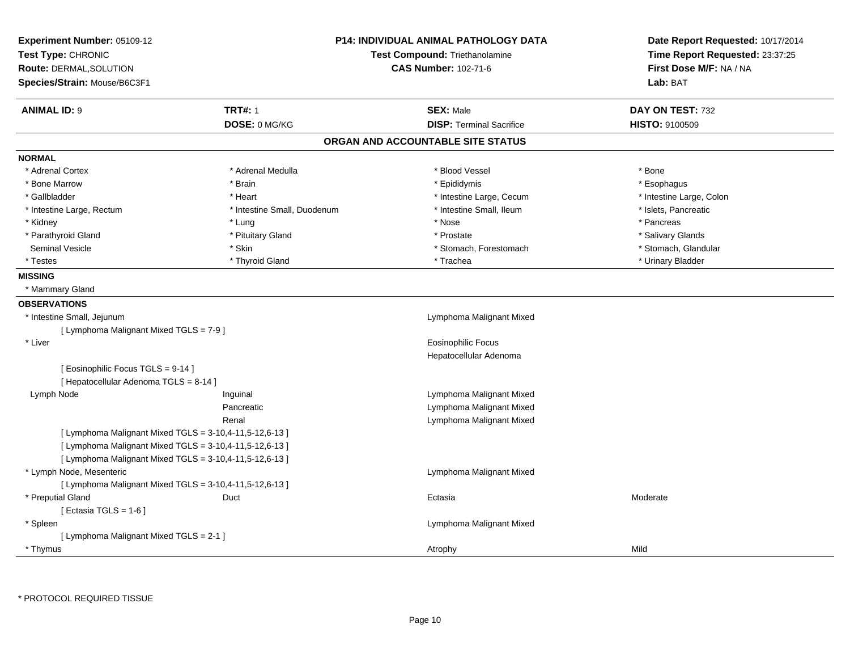| Time Report Requested: 23:37:25<br>First Dose M/F: NA / NA<br>Route: DERMAL, SOLUTION<br><b>CAS Number: 102-71-6</b><br>Species/Strain: Mouse/B6C3F1<br>Lab: BAT<br><b>TRT#: 1</b><br><b>ANIMAL ID: 9</b><br><b>SEX: Male</b><br>DAY ON TEST: 732<br>DOSE: 0 MG/KG<br><b>DISP: Terminal Sacrifice</b><br>HISTO: 9100509<br>ORGAN AND ACCOUNTABLE SITE STATUS<br>* Adrenal Medulla<br>* Blood Vessel<br>* Adrenal Cortex<br>* Bone<br>* Bone Marrow<br>* Epididymis<br>* Brain<br>* Esophagus<br>* Gallbladder<br>* Intestine Large, Cecum<br>* Intestine Large, Colon<br>* Heart<br>* Intestine Small, Ileum<br>* Islets, Pancreatic<br>* Intestine Large, Rectum<br>* Intestine Small, Duodenum<br>* Kidney<br>* Nose<br>* Pancreas<br>* Lung<br>* Pituitary Gland<br>* Parathyroid Gland<br>* Prostate<br>* Salivary Glands<br><b>Seminal Vesicle</b><br>* Skin<br>* Stomach, Forestomach<br>* Stomach, Glandular<br>* Thyroid Gland<br>* Trachea<br>* Urinary Bladder<br>* Testes<br><b>MISSING</b><br>* Mammary Gland<br><b>OBSERVATIONS</b><br>* Intestine Small, Jejunum<br>Lymphoma Malignant Mixed<br>[ Lymphoma Malignant Mixed TGLS = 7-9 ]<br><b>Eosinophilic Focus</b><br>* Liver<br>Hepatocellular Adenoma<br>[Eosinophilic Focus TGLS = 9-14]<br>[ Hepatocellular Adenoma TGLS = 8-14 ]<br>Lymphoma Malignant Mixed<br>Lymph Node<br>Inguinal<br>Pancreatic<br>Lymphoma Malignant Mixed<br>Renal<br>Lymphoma Malignant Mixed<br>[ Lymphoma Malignant Mixed TGLS = 3-10,4-11,5-12,6-13 ]<br>[ Lymphoma Malignant Mixed TGLS = 3-10,4-11,5-12,6-13 ]<br>[ Lymphoma Malignant Mixed TGLS = 3-10,4-11,5-12,6-13 ]<br>* Lymph Node, Mesenteric<br>Lymphoma Malignant Mixed<br>[ Lymphoma Malignant Mixed TGLS = 3-10,4-11,5-12,6-13 ]<br>* Preputial Gland<br>Duct<br>Ectasia<br>Moderate<br>[ Ectasia TGLS = $1-6$ ]<br>Lymphoma Malignant Mixed<br>* Spleen<br>[ Lymphoma Malignant Mixed TGLS = 2-1 ]<br>Mild<br>* Thymus<br>Atrophy | <b>Experiment Number: 05109-12</b> | <b>P14: INDIVIDUAL ANIMAL PATHOLOGY DATA</b> | Date Report Requested: 10/17/2014 |
|--------------------------------------------------------------------------------------------------------------------------------------------------------------------------------------------------------------------------------------------------------------------------------------------------------------------------------------------------------------------------------------------------------------------------------------------------------------------------------------------------------------------------------------------------------------------------------------------------------------------------------------------------------------------------------------------------------------------------------------------------------------------------------------------------------------------------------------------------------------------------------------------------------------------------------------------------------------------------------------------------------------------------------------------------------------------------------------------------------------------------------------------------------------------------------------------------------------------------------------------------------------------------------------------------------------------------------------------------------------------------------------------------------------------------------------------------------------------------------------------------------------------------------------------------------------------------------------------------------------------------------------------------------------------------------------------------------------------------------------------------------------------------------------------------------------------------------------------------------------------------------------------------------------------------------------------------|------------------------------------|----------------------------------------------|-----------------------------------|
|                                                                                                                                                                                                                                                                                                                                                                                                                                                                                                                                                                                                                                                                                                                                                                                                                                                                                                                                                                                                                                                                                                                                                                                                                                                                                                                                                                                                                                                                                                                                                                                                                                                                                                                                                                                                                                                                                                                                                  | Test Type: CHRONIC                 | Test Compound: Triethanolamine               |                                   |
|                                                                                                                                                                                                                                                                                                                                                                                                                                                                                                                                                                                                                                                                                                                                                                                                                                                                                                                                                                                                                                                                                                                                                                                                                                                                                                                                                                                                                                                                                                                                                                                                                                                                                                                                                                                                                                                                                                                                                  |                                    |                                              |                                   |
|                                                                                                                                                                                                                                                                                                                                                                                                                                                                                                                                                                                                                                                                                                                                                                                                                                                                                                                                                                                                                                                                                                                                                                                                                                                                                                                                                                                                                                                                                                                                                                                                                                                                                                                                                                                                                                                                                                                                                  |                                    |                                              |                                   |
|                                                                                                                                                                                                                                                                                                                                                                                                                                                                                                                                                                                                                                                                                                                                                                                                                                                                                                                                                                                                                                                                                                                                                                                                                                                                                                                                                                                                                                                                                                                                                                                                                                                                                                                                                                                                                                                                                                                                                  |                                    |                                              |                                   |
|                                                                                                                                                                                                                                                                                                                                                                                                                                                                                                                                                                                                                                                                                                                                                                                                                                                                                                                                                                                                                                                                                                                                                                                                                                                                                                                                                                                                                                                                                                                                                                                                                                                                                                                                                                                                                                                                                                                                                  |                                    |                                              |                                   |
|                                                                                                                                                                                                                                                                                                                                                                                                                                                                                                                                                                                                                                                                                                                                                                                                                                                                                                                                                                                                                                                                                                                                                                                                                                                                                                                                                                                                                                                                                                                                                                                                                                                                                                                                                                                                                                                                                                                                                  |                                    |                                              |                                   |
|                                                                                                                                                                                                                                                                                                                                                                                                                                                                                                                                                                                                                                                                                                                                                                                                                                                                                                                                                                                                                                                                                                                                                                                                                                                                                                                                                                                                                                                                                                                                                                                                                                                                                                                                                                                                                                                                                                                                                  | <b>NORMAL</b>                      |                                              |                                   |
|                                                                                                                                                                                                                                                                                                                                                                                                                                                                                                                                                                                                                                                                                                                                                                                                                                                                                                                                                                                                                                                                                                                                                                                                                                                                                                                                                                                                                                                                                                                                                                                                                                                                                                                                                                                                                                                                                                                                                  |                                    |                                              |                                   |
|                                                                                                                                                                                                                                                                                                                                                                                                                                                                                                                                                                                                                                                                                                                                                                                                                                                                                                                                                                                                                                                                                                                                                                                                                                                                                                                                                                                                                                                                                                                                                                                                                                                                                                                                                                                                                                                                                                                                                  |                                    |                                              |                                   |
|                                                                                                                                                                                                                                                                                                                                                                                                                                                                                                                                                                                                                                                                                                                                                                                                                                                                                                                                                                                                                                                                                                                                                                                                                                                                                                                                                                                                                                                                                                                                                                                                                                                                                                                                                                                                                                                                                                                                                  |                                    |                                              |                                   |
|                                                                                                                                                                                                                                                                                                                                                                                                                                                                                                                                                                                                                                                                                                                                                                                                                                                                                                                                                                                                                                                                                                                                                                                                                                                                                                                                                                                                                                                                                                                                                                                                                                                                                                                                                                                                                                                                                                                                                  |                                    |                                              |                                   |
|                                                                                                                                                                                                                                                                                                                                                                                                                                                                                                                                                                                                                                                                                                                                                                                                                                                                                                                                                                                                                                                                                                                                                                                                                                                                                                                                                                                                                                                                                                                                                                                                                                                                                                                                                                                                                                                                                                                                                  |                                    |                                              |                                   |
|                                                                                                                                                                                                                                                                                                                                                                                                                                                                                                                                                                                                                                                                                                                                                                                                                                                                                                                                                                                                                                                                                                                                                                                                                                                                                                                                                                                                                                                                                                                                                                                                                                                                                                                                                                                                                                                                                                                                                  |                                    |                                              |                                   |
|                                                                                                                                                                                                                                                                                                                                                                                                                                                                                                                                                                                                                                                                                                                                                                                                                                                                                                                                                                                                                                                                                                                                                                                                                                                                                                                                                                                                                                                                                                                                                                                                                                                                                                                                                                                                                                                                                                                                                  |                                    |                                              |                                   |
|                                                                                                                                                                                                                                                                                                                                                                                                                                                                                                                                                                                                                                                                                                                                                                                                                                                                                                                                                                                                                                                                                                                                                                                                                                                                                                                                                                                                                                                                                                                                                                                                                                                                                                                                                                                                                                                                                                                                                  |                                    |                                              |                                   |
|                                                                                                                                                                                                                                                                                                                                                                                                                                                                                                                                                                                                                                                                                                                                                                                                                                                                                                                                                                                                                                                                                                                                                                                                                                                                                                                                                                                                                                                                                                                                                                                                                                                                                                                                                                                                                                                                                                                                                  |                                    |                                              |                                   |
|                                                                                                                                                                                                                                                                                                                                                                                                                                                                                                                                                                                                                                                                                                                                                                                                                                                                                                                                                                                                                                                                                                                                                                                                                                                                                                                                                                                                                                                                                                                                                                                                                                                                                                                                                                                                                                                                                                                                                  |                                    |                                              |                                   |
|                                                                                                                                                                                                                                                                                                                                                                                                                                                                                                                                                                                                                                                                                                                                                                                                                                                                                                                                                                                                                                                                                                                                                                                                                                                                                                                                                                                                                                                                                                                                                                                                                                                                                                                                                                                                                                                                                                                                                  |                                    |                                              |                                   |
|                                                                                                                                                                                                                                                                                                                                                                                                                                                                                                                                                                                                                                                                                                                                                                                                                                                                                                                                                                                                                                                                                                                                                                                                                                                                                                                                                                                                                                                                                                                                                                                                                                                                                                                                                                                                                                                                                                                                                  |                                    |                                              |                                   |
|                                                                                                                                                                                                                                                                                                                                                                                                                                                                                                                                                                                                                                                                                                                                                                                                                                                                                                                                                                                                                                                                                                                                                                                                                                                                                                                                                                                                                                                                                                                                                                                                                                                                                                                                                                                                                                                                                                                                                  |                                    |                                              |                                   |
|                                                                                                                                                                                                                                                                                                                                                                                                                                                                                                                                                                                                                                                                                                                                                                                                                                                                                                                                                                                                                                                                                                                                                                                                                                                                                                                                                                                                                                                                                                                                                                                                                                                                                                                                                                                                                                                                                                                                                  |                                    |                                              |                                   |
|                                                                                                                                                                                                                                                                                                                                                                                                                                                                                                                                                                                                                                                                                                                                                                                                                                                                                                                                                                                                                                                                                                                                                                                                                                                                                                                                                                                                                                                                                                                                                                                                                                                                                                                                                                                                                                                                                                                                                  |                                    |                                              |                                   |
|                                                                                                                                                                                                                                                                                                                                                                                                                                                                                                                                                                                                                                                                                                                                                                                                                                                                                                                                                                                                                                                                                                                                                                                                                                                                                                                                                                                                                                                                                                                                                                                                                                                                                                                                                                                                                                                                                                                                                  |                                    |                                              |                                   |
|                                                                                                                                                                                                                                                                                                                                                                                                                                                                                                                                                                                                                                                                                                                                                                                                                                                                                                                                                                                                                                                                                                                                                                                                                                                                                                                                                                                                                                                                                                                                                                                                                                                                                                                                                                                                                                                                                                                                                  |                                    |                                              |                                   |
|                                                                                                                                                                                                                                                                                                                                                                                                                                                                                                                                                                                                                                                                                                                                                                                                                                                                                                                                                                                                                                                                                                                                                                                                                                                                                                                                                                                                                                                                                                                                                                                                                                                                                                                                                                                                                                                                                                                                                  |                                    |                                              |                                   |
|                                                                                                                                                                                                                                                                                                                                                                                                                                                                                                                                                                                                                                                                                                                                                                                                                                                                                                                                                                                                                                                                                                                                                                                                                                                                                                                                                                                                                                                                                                                                                                                                                                                                                                                                                                                                                                                                                                                                                  |                                    |                                              |                                   |
|                                                                                                                                                                                                                                                                                                                                                                                                                                                                                                                                                                                                                                                                                                                                                                                                                                                                                                                                                                                                                                                                                                                                                                                                                                                                                                                                                                                                                                                                                                                                                                                                                                                                                                                                                                                                                                                                                                                                                  |                                    |                                              |                                   |
|                                                                                                                                                                                                                                                                                                                                                                                                                                                                                                                                                                                                                                                                                                                                                                                                                                                                                                                                                                                                                                                                                                                                                                                                                                                                                                                                                                                                                                                                                                                                                                                                                                                                                                                                                                                                                                                                                                                                                  |                                    |                                              |                                   |
|                                                                                                                                                                                                                                                                                                                                                                                                                                                                                                                                                                                                                                                                                                                                                                                                                                                                                                                                                                                                                                                                                                                                                                                                                                                                                                                                                                                                                                                                                                                                                                                                                                                                                                                                                                                                                                                                                                                                                  |                                    |                                              |                                   |
|                                                                                                                                                                                                                                                                                                                                                                                                                                                                                                                                                                                                                                                                                                                                                                                                                                                                                                                                                                                                                                                                                                                                                                                                                                                                                                                                                                                                                                                                                                                                                                                                                                                                                                                                                                                                                                                                                                                                                  |                                    |                                              |                                   |
|                                                                                                                                                                                                                                                                                                                                                                                                                                                                                                                                                                                                                                                                                                                                                                                                                                                                                                                                                                                                                                                                                                                                                                                                                                                                                                                                                                                                                                                                                                                                                                                                                                                                                                                                                                                                                                                                                                                                                  |                                    |                                              |                                   |
|                                                                                                                                                                                                                                                                                                                                                                                                                                                                                                                                                                                                                                                                                                                                                                                                                                                                                                                                                                                                                                                                                                                                                                                                                                                                                                                                                                                                                                                                                                                                                                                                                                                                                                                                                                                                                                                                                                                                                  |                                    |                                              |                                   |
|                                                                                                                                                                                                                                                                                                                                                                                                                                                                                                                                                                                                                                                                                                                                                                                                                                                                                                                                                                                                                                                                                                                                                                                                                                                                                                                                                                                                                                                                                                                                                                                                                                                                                                                                                                                                                                                                                                                                                  |                                    |                                              |                                   |
|                                                                                                                                                                                                                                                                                                                                                                                                                                                                                                                                                                                                                                                                                                                                                                                                                                                                                                                                                                                                                                                                                                                                                                                                                                                                                                                                                                                                                                                                                                                                                                                                                                                                                                                                                                                                                                                                                                                                                  |                                    |                                              |                                   |
|                                                                                                                                                                                                                                                                                                                                                                                                                                                                                                                                                                                                                                                                                                                                                                                                                                                                                                                                                                                                                                                                                                                                                                                                                                                                                                                                                                                                                                                                                                                                                                                                                                                                                                                                                                                                                                                                                                                                                  |                                    |                                              |                                   |
|                                                                                                                                                                                                                                                                                                                                                                                                                                                                                                                                                                                                                                                                                                                                                                                                                                                                                                                                                                                                                                                                                                                                                                                                                                                                                                                                                                                                                                                                                                                                                                                                                                                                                                                                                                                                                                                                                                                                                  |                                    |                                              |                                   |
|                                                                                                                                                                                                                                                                                                                                                                                                                                                                                                                                                                                                                                                                                                                                                                                                                                                                                                                                                                                                                                                                                                                                                                                                                                                                                                                                                                                                                                                                                                                                                                                                                                                                                                                                                                                                                                                                                                                                                  |                                    |                                              |                                   |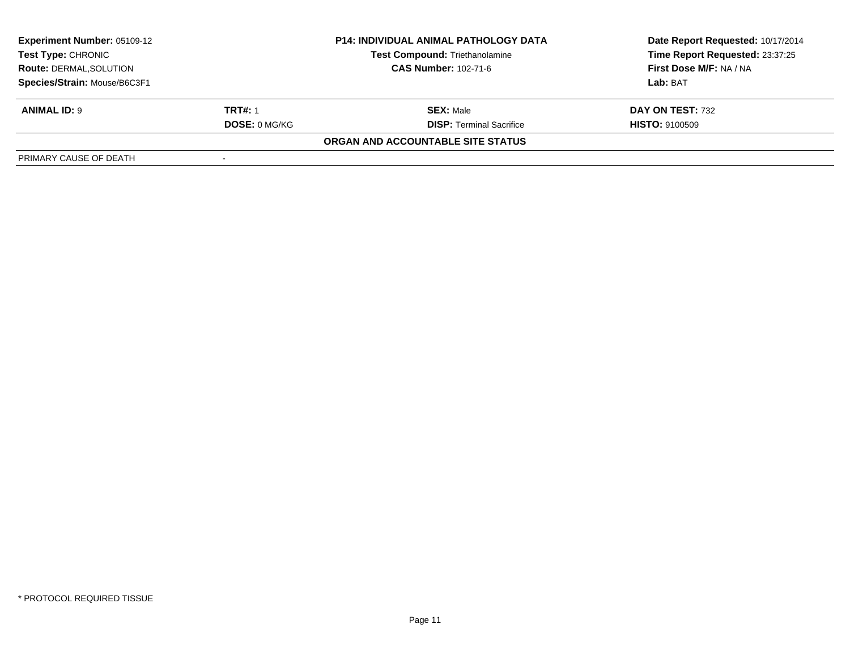| <b>Experiment Number: 05109-12</b><br>Test Type: CHRONIC | <b>P14: INDIVIDUAL ANIMAL PATHOLOGY DATA</b><br><b>Test Compound: Triethanolamine</b> |                                   | Date Report Requested: 10/17/2014<br>Time Report Requested: 23:37:25 |
|----------------------------------------------------------|---------------------------------------------------------------------------------------|-----------------------------------|----------------------------------------------------------------------|
| <b>Route: DERMAL, SOLUTION</b>                           | <b>CAS Number: 102-71-6</b>                                                           |                                   | First Dose M/F: NA / NA                                              |
| Species/Strain: Mouse/B6C3F1                             |                                                                                       |                                   | Lab: BAT                                                             |
| <b>ANIMAL ID: 9</b>                                      | <b>TRT#: 1</b>                                                                        | <b>SEX:</b> Male                  | DAY ON TEST: 732                                                     |
|                                                          | <b>DOSE: 0 MG/KG</b>                                                                  | <b>DISP: Terminal Sacrifice</b>   | <b>HISTO: 9100509</b>                                                |
|                                                          |                                                                                       | ORGAN AND ACCOUNTABLE SITE STATUS |                                                                      |
| PRIMARY CAUSE OF DEATH                                   |                                                                                       |                                   |                                                                      |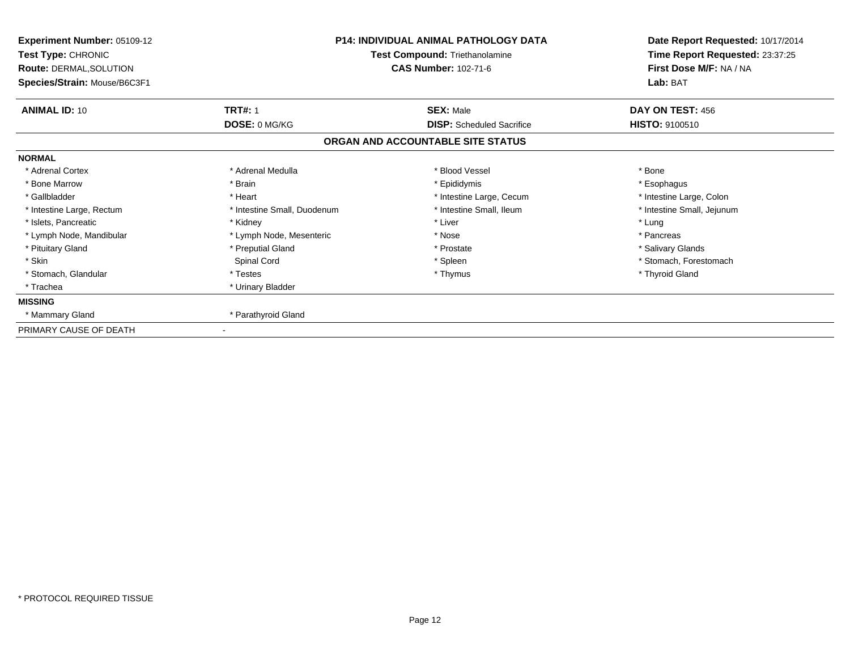| Experiment Number: 05109-12<br><b>Test Type: CHRONIC</b><br>Route: DERMAL, SOLUTION<br>Species/Strain: Mouse/B6C3F1 | <b>P14: INDIVIDUAL ANIMAL PATHOLOGY DATA</b><br>Test Compound: Triethanolamine<br><b>CAS Number: 102-71-6</b> |                                   | Date Report Requested: 10/17/2014<br>Time Report Requested: 23:37:25<br>First Dose M/F: NA / NA<br>Lab: BAT |
|---------------------------------------------------------------------------------------------------------------------|---------------------------------------------------------------------------------------------------------------|-----------------------------------|-------------------------------------------------------------------------------------------------------------|
| <b>ANIMAL ID: 10</b>                                                                                                | <b>TRT#: 1</b>                                                                                                | <b>SEX: Male</b>                  | DAY ON TEST: 456                                                                                            |
|                                                                                                                     | <b>DOSE: 0 MG/KG</b>                                                                                          | <b>DISP:</b> Scheduled Sacrifice  | <b>HISTO: 9100510</b>                                                                                       |
|                                                                                                                     |                                                                                                               | ORGAN AND ACCOUNTABLE SITE STATUS |                                                                                                             |
| <b>NORMAL</b>                                                                                                       |                                                                                                               |                                   |                                                                                                             |
| * Adrenal Cortex                                                                                                    | * Adrenal Medulla                                                                                             | * Blood Vessel                    | * Bone                                                                                                      |
| * Bone Marrow                                                                                                       | * Brain                                                                                                       | * Epididymis                      | * Esophagus                                                                                                 |
| * Gallbladder                                                                                                       | * Heart                                                                                                       | * Intestine Large, Cecum          | * Intestine Large, Colon                                                                                    |
| * Intestine Large, Rectum                                                                                           | * Intestine Small, Duodenum                                                                                   | * Intestine Small, Ileum          | * Intestine Small, Jejunum                                                                                  |
| * Islets, Pancreatic                                                                                                | * Kidney                                                                                                      | * Liver                           | * Lung                                                                                                      |
| * Lymph Node, Mandibular                                                                                            | * Lymph Node, Mesenteric                                                                                      | * Nose                            | * Pancreas                                                                                                  |
| * Pituitary Gland                                                                                                   | * Preputial Gland                                                                                             | * Prostate                        | * Salivary Glands                                                                                           |
| * Skin                                                                                                              | Spinal Cord                                                                                                   | * Spleen                          | * Stomach, Forestomach                                                                                      |
| * Stomach, Glandular                                                                                                | * Testes                                                                                                      | * Thymus                          | * Thyroid Gland                                                                                             |
| * Trachea                                                                                                           | * Urinary Bladder                                                                                             |                                   |                                                                                                             |
| <b>MISSING</b>                                                                                                      |                                                                                                               |                                   |                                                                                                             |
| * Mammary Gland                                                                                                     | * Parathyroid Gland                                                                                           |                                   |                                                                                                             |
| PRIMARY CAUSE OF DEATH                                                                                              |                                                                                                               |                                   |                                                                                                             |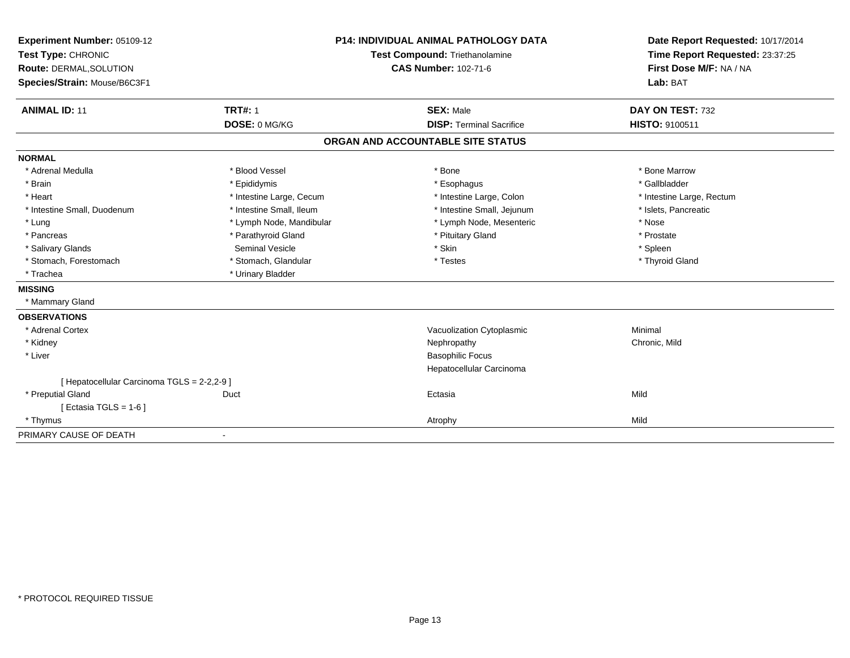| Experiment Number: 05109-12<br>Test Type: CHRONIC<br>Route: DERMAL, SOLUTION<br>Species/Strain: Mouse/B6C3F1<br><b>ANIMAL ID: 11</b> | <b>TRT#: 1</b>                                       | <b>P14: INDIVIDUAL ANIMAL PATHOLOGY DATA</b><br><b>Test Compound: Triethanolamine</b><br><b>CAS Number: 102-71-6</b> | Date Report Requested: 10/17/2014<br>Time Report Requested: 23:37:25<br>First Dose M/F: NA / NA<br>Lab: BAT<br>DAY ON TEST: 732 |
|--------------------------------------------------------------------------------------------------------------------------------------|------------------------------------------------------|----------------------------------------------------------------------------------------------------------------------|---------------------------------------------------------------------------------------------------------------------------------|
|                                                                                                                                      | DOSE: 0 MG/KG                                        | <b>SEX: Male</b><br><b>DISP: Terminal Sacrifice</b>                                                                  | <b>HISTO: 9100511</b>                                                                                                           |
|                                                                                                                                      |                                                      | ORGAN AND ACCOUNTABLE SITE STATUS                                                                                    |                                                                                                                                 |
|                                                                                                                                      |                                                      |                                                                                                                      |                                                                                                                                 |
| <b>NORMAL</b>                                                                                                                        |                                                      |                                                                                                                      |                                                                                                                                 |
| * Adrenal Medulla                                                                                                                    | * Blood Vessel                                       | * Bone                                                                                                               | * Bone Marrow                                                                                                                   |
| * Brain<br>* Heart                                                                                                                   | * Epididymis                                         | * Esophagus                                                                                                          | * Gallbladder                                                                                                                   |
| * Intestine Small, Duodenum                                                                                                          | * Intestine Large, Cecum<br>* Intestine Small, Ileum | * Intestine Large, Colon                                                                                             | * Intestine Large, Rectum                                                                                                       |
|                                                                                                                                      |                                                      | * Intestine Small, Jejunum                                                                                           | * Islets, Pancreatic<br>* Nose                                                                                                  |
| * Lung<br>* Pancreas                                                                                                                 | * Lymph Node, Mandibular<br>* Parathyroid Gland      | * Lymph Node, Mesenteric<br>* Pituitary Gland                                                                        | * Prostate                                                                                                                      |
| * Salivary Glands                                                                                                                    | Seminal Vesicle                                      | * Skin                                                                                                               | * Spleen                                                                                                                        |
| * Stomach, Forestomach                                                                                                               | * Stomach, Glandular                                 | * Testes                                                                                                             | * Thyroid Gland                                                                                                                 |
| * Trachea                                                                                                                            | * Urinary Bladder                                    |                                                                                                                      |                                                                                                                                 |
| <b>MISSING</b>                                                                                                                       |                                                      |                                                                                                                      |                                                                                                                                 |
| * Mammary Gland                                                                                                                      |                                                      |                                                                                                                      |                                                                                                                                 |
| <b>OBSERVATIONS</b>                                                                                                                  |                                                      |                                                                                                                      |                                                                                                                                 |
| * Adrenal Cortex                                                                                                                     |                                                      | Vacuolization Cytoplasmic                                                                                            | Minimal                                                                                                                         |
| * Kidney                                                                                                                             |                                                      | Nephropathy                                                                                                          | Chronic, Mild                                                                                                                   |
| * Liver                                                                                                                              |                                                      | <b>Basophilic Focus</b>                                                                                              |                                                                                                                                 |
|                                                                                                                                      |                                                      | Hepatocellular Carcinoma                                                                                             |                                                                                                                                 |
| [ Hepatocellular Carcinoma TGLS = 2-2,2-9 ]                                                                                          |                                                      |                                                                                                                      |                                                                                                                                 |
| * Preputial Gland                                                                                                                    | Duct                                                 | Ectasia                                                                                                              | Mild                                                                                                                            |
| [ Ectasia TGLS = $1-6$ ]                                                                                                             |                                                      |                                                                                                                      |                                                                                                                                 |
| * Thymus                                                                                                                             |                                                      | Atrophy                                                                                                              | Mild                                                                                                                            |
| PRIMARY CAUSE OF DEATH                                                                                                               |                                                      |                                                                                                                      |                                                                                                                                 |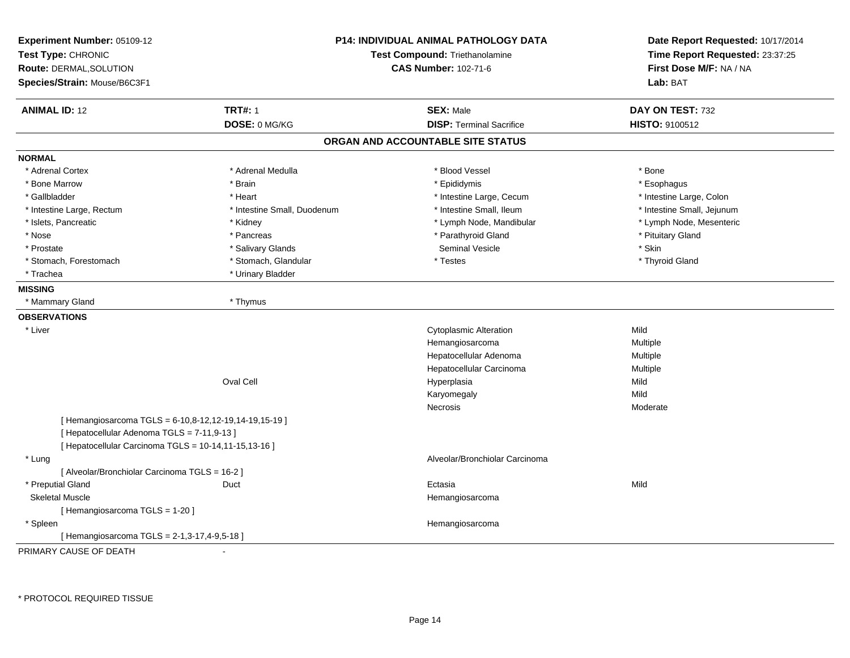| Experiment Number: 05109-12<br>Test Type: CHRONIC<br>Route: DERMAL, SOLUTION<br>Species/Strain: Mouse/B6C3F1 |                             | <b>P14: INDIVIDUAL ANIMAL PATHOLOGY DATA</b><br>Test Compound: Triethanolamine<br><b>CAS Number: 102-71-6</b> |                            |
|--------------------------------------------------------------------------------------------------------------|-----------------------------|---------------------------------------------------------------------------------------------------------------|----------------------------|
| <b>ANIMAL ID: 12</b>                                                                                         | <b>TRT#: 1</b>              | <b>SEX: Male</b>                                                                                              | DAY ON TEST: 732           |
|                                                                                                              | DOSE: 0 MG/KG               | <b>DISP: Terminal Sacrifice</b>                                                                               | <b>HISTO: 9100512</b>      |
|                                                                                                              |                             | ORGAN AND ACCOUNTABLE SITE STATUS                                                                             |                            |
| <b>NORMAL</b>                                                                                                |                             |                                                                                                               |                            |
| * Adrenal Cortex                                                                                             | * Adrenal Medulla           | * Blood Vessel                                                                                                | * Bone                     |
| * Bone Marrow                                                                                                | * Brain                     | * Epididymis                                                                                                  | * Esophagus                |
| * Gallbladder                                                                                                | * Heart                     | * Intestine Large, Cecum                                                                                      | * Intestine Large, Colon   |
| * Intestine Large, Rectum                                                                                    | * Intestine Small, Duodenum | * Intestine Small, Ileum                                                                                      | * Intestine Small, Jejunum |
| * Islets, Pancreatic                                                                                         | * Kidney                    | * Lymph Node, Mandibular                                                                                      | * Lymph Node, Mesenteric   |
| * Nose                                                                                                       | * Pancreas                  | * Parathyroid Gland                                                                                           | * Pituitary Gland          |
| * Prostate                                                                                                   | * Salivary Glands           | <b>Seminal Vesicle</b>                                                                                        | * Skin                     |
| * Stomach, Forestomach                                                                                       | * Stomach, Glandular        | * Testes                                                                                                      | * Thyroid Gland            |
| * Trachea                                                                                                    | * Urinary Bladder           |                                                                                                               |                            |
| <b>MISSING</b>                                                                                               |                             |                                                                                                               |                            |
| * Mammary Gland                                                                                              | * Thymus                    |                                                                                                               |                            |
| <b>OBSERVATIONS</b>                                                                                          |                             |                                                                                                               |                            |
| * Liver                                                                                                      |                             | <b>Cytoplasmic Alteration</b>                                                                                 | Mild                       |
|                                                                                                              |                             | Hemangiosarcoma                                                                                               | Multiple                   |
|                                                                                                              |                             | Hepatocellular Adenoma                                                                                        | Multiple                   |
|                                                                                                              |                             | Hepatocellular Carcinoma                                                                                      | Multiple                   |
|                                                                                                              | Oval Cell                   | Hyperplasia                                                                                                   | Mild                       |
|                                                                                                              |                             | Karyomegaly                                                                                                   | Mild                       |
|                                                                                                              |                             | Necrosis                                                                                                      | Moderate                   |
| [ Hemangiosarcoma TGLS = 6-10,8-12,12-19,14-19,15-19 ]                                                       |                             |                                                                                                               |                            |
| [ Hepatocellular Adenoma TGLS = 7-11,9-13 ]                                                                  |                             |                                                                                                               |                            |
| [ Hepatocellular Carcinoma TGLS = 10-14,11-15,13-16 ]                                                        |                             |                                                                                                               |                            |
| * Lung                                                                                                       |                             | Alveolar/Bronchiolar Carcinoma                                                                                |                            |
| [ Alveolar/Bronchiolar Carcinoma TGLS = 16-2 ]                                                               |                             |                                                                                                               |                            |
| * Preputial Gland                                                                                            | Duct                        | Ectasia                                                                                                       | Mild                       |
| <b>Skeletal Muscle</b>                                                                                       |                             | Hemangiosarcoma                                                                                               |                            |
| [Hemangiosarcoma TGLS = 1-20]                                                                                |                             |                                                                                                               |                            |
| * Spleen                                                                                                     |                             | Hemangiosarcoma                                                                                               |                            |
| [ Hemangiosarcoma TGLS = 2-1,3-17,4-9,5-18 ]                                                                 |                             |                                                                                                               |                            |
| PRIMARY CAUSE OF DEATH                                                                                       |                             |                                                                                                               |                            |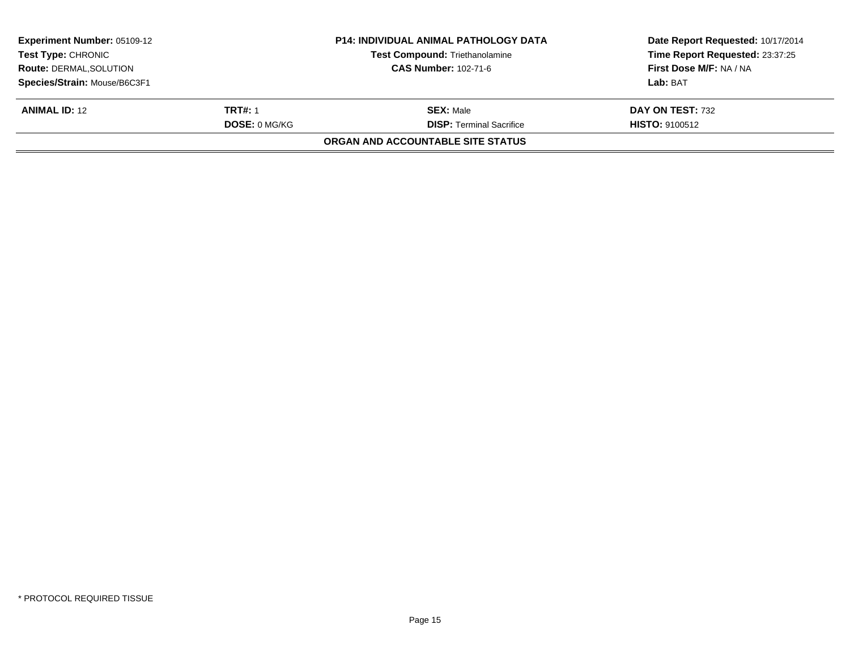| <b>Experiment Number: 05109-12</b><br><b>Test Compound: Triethanolamine</b><br><b>Test Type: CHRONIC</b> |                      | <b>P14: INDIVIDUAL ANIMAL PATHOLOGY DATA</b> | Date Report Requested: 10/17/2014 |  |
|----------------------------------------------------------------------------------------------------------|----------------------|----------------------------------------------|-----------------------------------|--|
|                                                                                                          |                      |                                              | Time Report Requested: 23:37:25   |  |
| <b>Route: DERMAL, SOLUTION</b>                                                                           |                      | <b>CAS Number: 102-71-6</b>                  | First Dose M/F: NA / NA           |  |
| Species/Strain: Mouse/B6C3F1                                                                             |                      |                                              | Lab: BAT                          |  |
| <b>ANIMAL ID: 12</b>                                                                                     | <b>TRT#: 1</b>       | <b>SEX: Male</b>                             | DAY ON TEST: 732                  |  |
|                                                                                                          | <b>DOSE: 0 MG/KG</b> | <b>DISP:</b> Terminal Sacrifice              | <b>HISTO: 9100512</b>             |  |
|                                                                                                          |                      | ORGAN AND ACCOUNTABLE SITE STATUS            |                                   |  |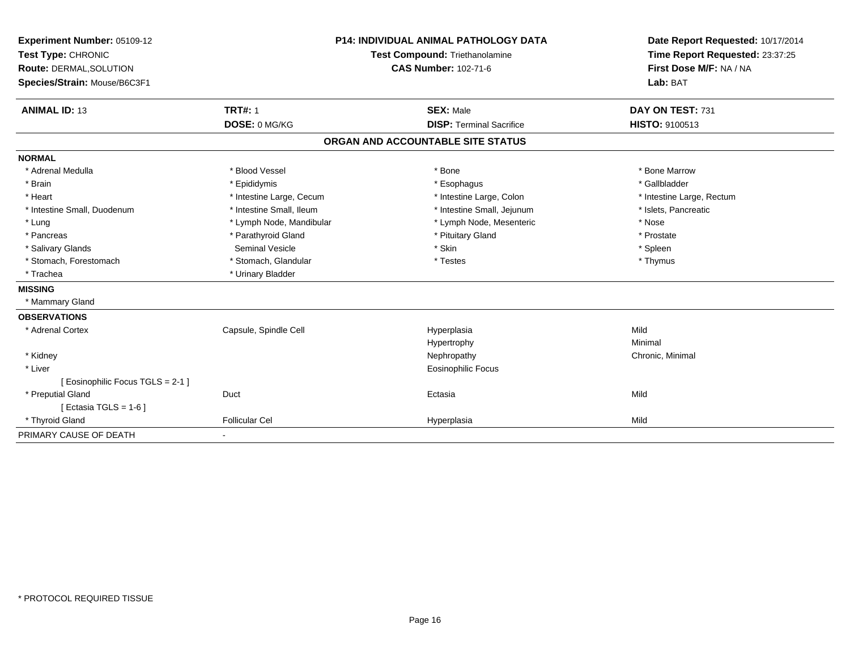| Experiment Number: 05109-12<br>Test Type: CHRONIC<br>Route: DERMAL, SOLUTION<br>Species/Strain: Mouse/B6C3F1<br><b>ANIMAL ID: 13</b> | <b>TRT#: 1</b>           | <b>P14: INDIVIDUAL ANIMAL PATHOLOGY DATA</b><br>Test Compound: Triethanolamine<br><b>CAS Number: 102-71-6</b><br><b>SEX: Male</b> | Date Report Requested: 10/17/2014<br>Time Report Requested: 23:37:25<br>First Dose M/F: NA / NA<br>Lab: BAT<br>DAY ON TEST: 731 |
|--------------------------------------------------------------------------------------------------------------------------------------|--------------------------|-----------------------------------------------------------------------------------------------------------------------------------|---------------------------------------------------------------------------------------------------------------------------------|
|                                                                                                                                      | DOSE: 0 MG/KG            | <b>DISP: Terminal Sacrifice</b>                                                                                                   | <b>HISTO: 9100513</b>                                                                                                           |
|                                                                                                                                      |                          | ORGAN AND ACCOUNTABLE SITE STATUS                                                                                                 |                                                                                                                                 |
| <b>NORMAL</b>                                                                                                                        |                          |                                                                                                                                   |                                                                                                                                 |
| * Adrenal Medulla                                                                                                                    | * Blood Vessel           | * Bone                                                                                                                            | * Bone Marrow                                                                                                                   |
| * Brain                                                                                                                              | * Epididymis             | * Esophagus                                                                                                                       | * Gallbladder                                                                                                                   |
| * Heart                                                                                                                              | * Intestine Large, Cecum | * Intestine Large, Colon                                                                                                          | * Intestine Large, Rectum                                                                                                       |
| * Intestine Small, Duodenum                                                                                                          | * Intestine Small, Ileum | * Intestine Small, Jejunum                                                                                                        | * Islets, Pancreatic                                                                                                            |
| * Lung                                                                                                                               | * Lymph Node, Mandibular | * Lymph Node, Mesenteric                                                                                                          | * Nose                                                                                                                          |
| * Pancreas                                                                                                                           | * Parathyroid Gland      | * Pituitary Gland                                                                                                                 | * Prostate                                                                                                                      |
| * Salivary Glands                                                                                                                    | <b>Seminal Vesicle</b>   | * Skin                                                                                                                            | * Spleen                                                                                                                        |
| * Stomach, Forestomach                                                                                                               | * Stomach, Glandular     | * Testes                                                                                                                          | * Thymus                                                                                                                        |
| * Trachea                                                                                                                            | * Urinary Bladder        |                                                                                                                                   |                                                                                                                                 |
| <b>MISSING</b>                                                                                                                       |                          |                                                                                                                                   |                                                                                                                                 |
| * Mammary Gland                                                                                                                      |                          |                                                                                                                                   |                                                                                                                                 |
| <b>OBSERVATIONS</b>                                                                                                                  |                          |                                                                                                                                   |                                                                                                                                 |
| * Adrenal Cortex                                                                                                                     | Capsule, Spindle Cell    | Hyperplasia                                                                                                                       | Mild                                                                                                                            |
|                                                                                                                                      |                          | Hypertrophy                                                                                                                       | Minimal                                                                                                                         |
| * Kidney                                                                                                                             |                          | Nephropathy                                                                                                                       | Chronic, Minimal                                                                                                                |
| * Liver                                                                                                                              |                          | <b>Eosinophilic Focus</b>                                                                                                         |                                                                                                                                 |
| [ Eosinophilic Focus TGLS = 2-1 ]                                                                                                    |                          |                                                                                                                                   |                                                                                                                                 |
| * Preputial Gland                                                                                                                    | Duct                     | Ectasia                                                                                                                           | Mild                                                                                                                            |
| [ Ectasia TGLS = $1-6$ ]                                                                                                             |                          |                                                                                                                                   |                                                                                                                                 |
| * Thyroid Gland                                                                                                                      | <b>Follicular Cel</b>    | Hyperplasia                                                                                                                       | Mild                                                                                                                            |
| PRIMARY CAUSE OF DEATH                                                                                                               | $\blacksquare$           |                                                                                                                                   |                                                                                                                                 |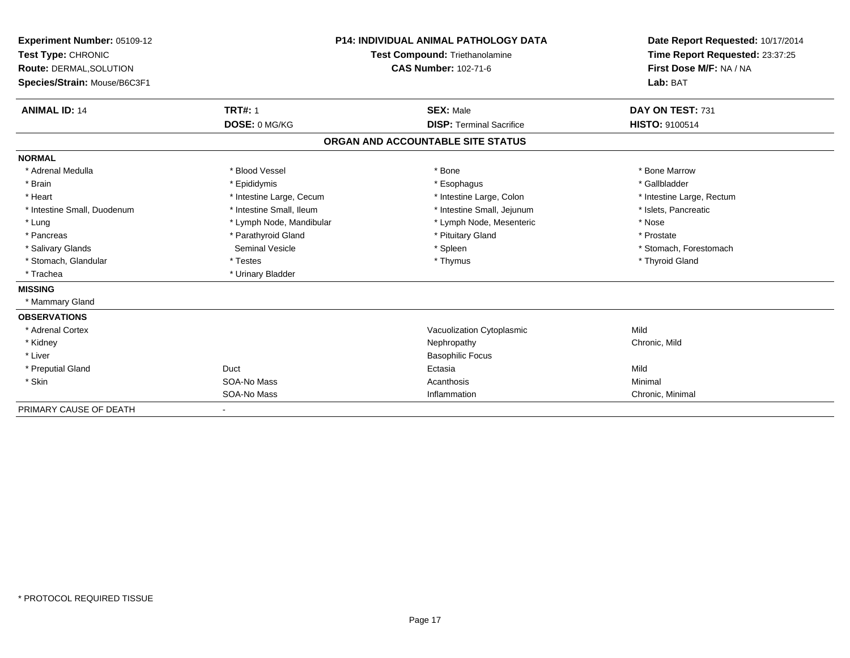| Experiment Number: 05109-12<br>Test Type: CHRONIC<br>Route: DERMAL, SOLUTION<br>Species/Strain: Mouse/B6C3F1<br><b>ANIMAL ID: 14</b> | <b>TRT#: 1</b>           | <b>P14: INDIVIDUAL ANIMAL PATHOLOGY DATA</b><br><b>Test Compound: Triethanolamine</b><br><b>CAS Number: 102-71-6</b><br><b>SEX: Male</b> | Date Report Requested: 10/17/2014<br>Time Report Requested: 23:37:25<br>First Dose M/F: NA / NA<br>Lab: BAT<br>DAY ON TEST: 731 |
|--------------------------------------------------------------------------------------------------------------------------------------|--------------------------|------------------------------------------------------------------------------------------------------------------------------------------|---------------------------------------------------------------------------------------------------------------------------------|
|                                                                                                                                      | DOSE: 0 MG/KG            | <b>DISP: Terminal Sacrifice</b>                                                                                                          | <b>HISTO: 9100514</b>                                                                                                           |
|                                                                                                                                      |                          | ORGAN AND ACCOUNTABLE SITE STATUS                                                                                                        |                                                                                                                                 |
| <b>NORMAL</b>                                                                                                                        |                          |                                                                                                                                          |                                                                                                                                 |
| * Adrenal Medulla                                                                                                                    | * Blood Vessel           | * Bone                                                                                                                                   | * Bone Marrow                                                                                                                   |
| * Brain                                                                                                                              | * Epididymis             | * Esophagus                                                                                                                              | * Gallbladder                                                                                                                   |
| * Heart                                                                                                                              | * Intestine Large, Cecum | * Intestine Large, Colon                                                                                                                 | * Intestine Large, Rectum                                                                                                       |
| * Intestine Small, Duodenum                                                                                                          | * Intestine Small, Ileum | * Intestine Small, Jejunum                                                                                                               | * Islets, Pancreatic                                                                                                            |
| * Lung                                                                                                                               | * Lymph Node, Mandibular | * Lymph Node, Mesenteric                                                                                                                 | * Nose                                                                                                                          |
| * Pancreas                                                                                                                           | * Parathyroid Gland      | * Pituitary Gland                                                                                                                        | * Prostate                                                                                                                      |
| * Salivary Glands                                                                                                                    | <b>Seminal Vesicle</b>   | * Spleen                                                                                                                                 | * Stomach, Forestomach                                                                                                          |
| * Stomach, Glandular                                                                                                                 | * Testes                 | * Thymus                                                                                                                                 | * Thyroid Gland                                                                                                                 |
| * Trachea                                                                                                                            | * Urinary Bladder        |                                                                                                                                          |                                                                                                                                 |
| <b>MISSING</b>                                                                                                                       |                          |                                                                                                                                          |                                                                                                                                 |
| * Mammary Gland                                                                                                                      |                          |                                                                                                                                          |                                                                                                                                 |
| <b>OBSERVATIONS</b>                                                                                                                  |                          |                                                                                                                                          |                                                                                                                                 |
| * Adrenal Cortex                                                                                                                     |                          | Vacuolization Cytoplasmic                                                                                                                | Mild                                                                                                                            |
| * Kidney                                                                                                                             |                          | Nephropathy                                                                                                                              | Chronic, Mild                                                                                                                   |
| * Liver                                                                                                                              |                          | <b>Basophilic Focus</b>                                                                                                                  |                                                                                                                                 |
| * Preputial Gland                                                                                                                    | Duct                     | Ectasia                                                                                                                                  | Mild                                                                                                                            |
| * Skin                                                                                                                               | SOA-No Mass              | Acanthosis                                                                                                                               | Minimal                                                                                                                         |
|                                                                                                                                      | SOA-No Mass              | Inflammation                                                                                                                             | Chronic, Minimal                                                                                                                |
| PRIMARY CAUSE OF DEATH                                                                                                               |                          |                                                                                                                                          |                                                                                                                                 |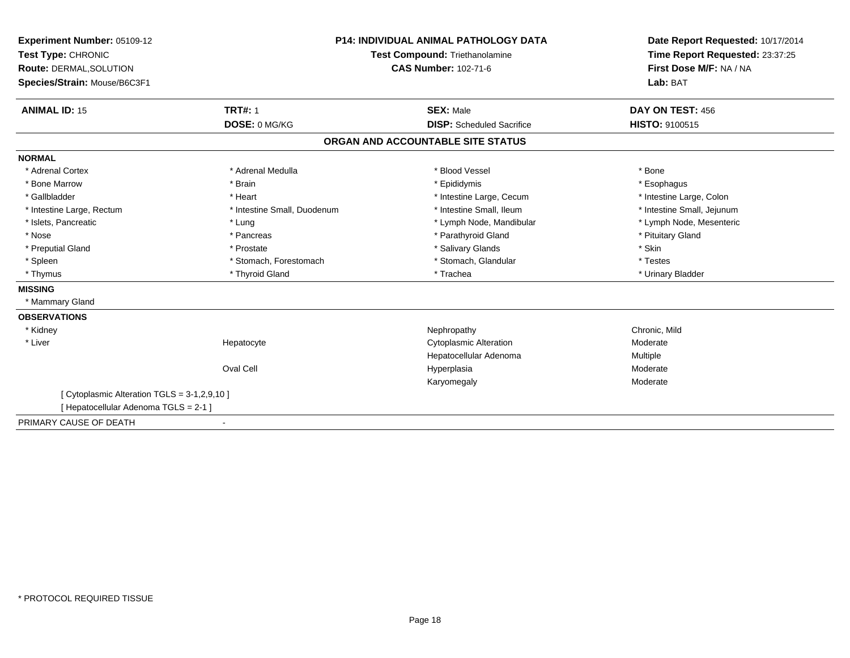| Experiment Number: 05109-12<br>Test Type: CHRONIC<br>Route: DERMAL, SOLUTION<br>Species/Strain: Mouse/B6C3F1 |                             | P14: INDIVIDUAL ANIMAL PATHOLOGY DATA<br><b>Test Compound: Triethanolamine</b><br><b>CAS Number: 102-71-6</b> | Date Report Requested: 10/17/2014<br>Time Report Requested: 23:37:25<br>First Dose M/F: NA / NA<br>Lab: BAT |
|--------------------------------------------------------------------------------------------------------------|-----------------------------|---------------------------------------------------------------------------------------------------------------|-------------------------------------------------------------------------------------------------------------|
| <b>ANIMAL ID: 15</b>                                                                                         | <b>TRT#: 1</b>              | <b>SEX: Male</b>                                                                                              | DAY ON TEST: 456                                                                                            |
|                                                                                                              | DOSE: 0 MG/KG               | <b>DISP:</b> Scheduled Sacrifice                                                                              | HISTO: 9100515                                                                                              |
|                                                                                                              |                             | ORGAN AND ACCOUNTABLE SITE STATUS                                                                             |                                                                                                             |
| <b>NORMAL</b>                                                                                                |                             |                                                                                                               |                                                                                                             |
| * Adrenal Cortex                                                                                             | * Adrenal Medulla           | * Blood Vessel                                                                                                | * Bone                                                                                                      |
| * Bone Marrow                                                                                                | * Brain                     | * Epididymis                                                                                                  | * Esophagus                                                                                                 |
| * Gallbladder                                                                                                | * Heart                     | * Intestine Large, Cecum                                                                                      | * Intestine Large, Colon                                                                                    |
| * Intestine Large, Rectum                                                                                    | * Intestine Small, Duodenum | * Intestine Small, Ileum                                                                                      | * Intestine Small, Jejunum                                                                                  |
| * Islets, Pancreatic                                                                                         | * Lung                      | * Lymph Node, Mandibular                                                                                      | * Lymph Node, Mesenteric                                                                                    |
| * Nose                                                                                                       | * Pancreas                  | * Parathyroid Gland                                                                                           | * Pituitary Gland                                                                                           |
| * Preputial Gland                                                                                            | * Prostate                  | * Salivary Glands                                                                                             | * Skin                                                                                                      |
| * Spleen                                                                                                     | * Stomach, Forestomach      | * Stomach, Glandular                                                                                          | * Testes                                                                                                    |
| * Thymus                                                                                                     | * Thyroid Gland             | * Trachea                                                                                                     | * Urinary Bladder                                                                                           |
| <b>MISSING</b>                                                                                               |                             |                                                                                                               |                                                                                                             |
| * Mammary Gland                                                                                              |                             |                                                                                                               |                                                                                                             |
| <b>OBSERVATIONS</b>                                                                                          |                             |                                                                                                               |                                                                                                             |
| * Kidney                                                                                                     |                             | Nephropathy                                                                                                   | Chronic, Mild                                                                                               |
| * Liver                                                                                                      | Hepatocyte                  | <b>Cytoplasmic Alteration</b>                                                                                 | Moderate                                                                                                    |
|                                                                                                              |                             | Hepatocellular Adenoma                                                                                        | Multiple                                                                                                    |
|                                                                                                              | Oval Cell                   | Hyperplasia                                                                                                   | Moderate                                                                                                    |
|                                                                                                              |                             | Karyomegaly                                                                                                   | Moderate                                                                                                    |
| [ Cytoplasmic Alteration TGLS = 3-1,2,9,10 ]                                                                 |                             |                                                                                                               |                                                                                                             |
| [Hepatocellular Adenoma TGLS = 2-1]                                                                          |                             |                                                                                                               |                                                                                                             |
| PRIMARY CAUSE OF DEATH                                                                                       |                             |                                                                                                               |                                                                                                             |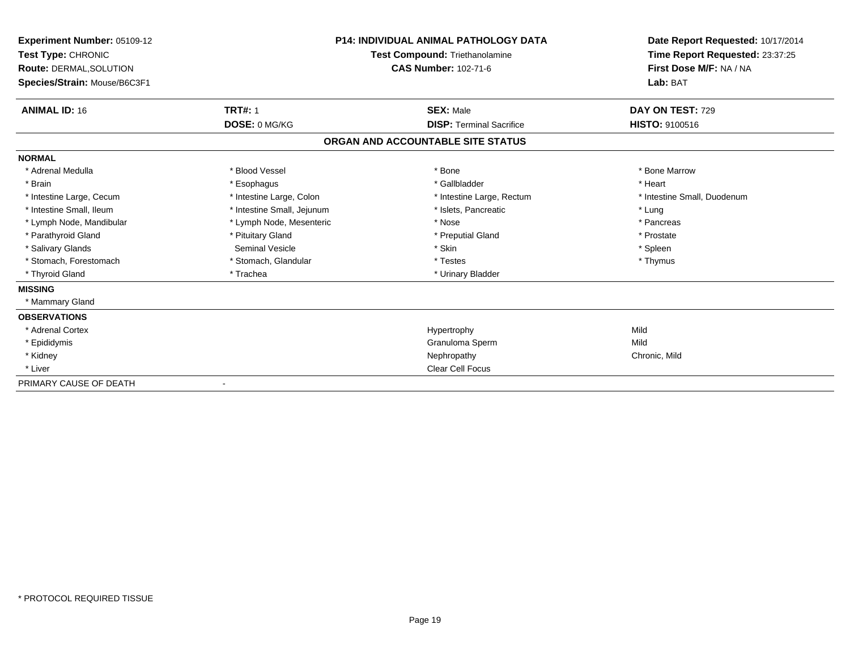| Experiment Number: 05109-12<br>Test Type: CHRONIC<br>Route: DERMAL, SOLUTION<br>Species/Strain: Mouse/B6C3F1 |                            | <b>P14: INDIVIDUAL ANIMAL PATHOLOGY DATA</b><br><b>Test Compound: Triethanolamine</b><br><b>CAS Number: 102-71-6</b> | Date Report Requested: 10/17/2014<br>Time Report Requested: 23:37:25<br>First Dose M/F: NA / NA<br>Lab: BAT |
|--------------------------------------------------------------------------------------------------------------|----------------------------|----------------------------------------------------------------------------------------------------------------------|-------------------------------------------------------------------------------------------------------------|
| <b>ANIMAL ID: 16</b>                                                                                         | <b>TRT#: 1</b>             | <b>SEX: Male</b>                                                                                                     | DAY ON TEST: 729                                                                                            |
|                                                                                                              | DOSE: 0 MG/KG              | <b>DISP: Terminal Sacrifice</b>                                                                                      | HISTO: 9100516                                                                                              |
|                                                                                                              |                            | ORGAN AND ACCOUNTABLE SITE STATUS                                                                                    |                                                                                                             |
| <b>NORMAL</b>                                                                                                |                            |                                                                                                                      |                                                                                                             |
| * Adrenal Medulla                                                                                            | * Blood Vessel             | * Bone                                                                                                               | * Bone Marrow                                                                                               |
| * Brain                                                                                                      | * Esophagus                | * Gallbladder                                                                                                        | * Heart                                                                                                     |
| * Intestine Large, Cecum                                                                                     | * Intestine Large, Colon   | * Intestine Large, Rectum                                                                                            | * Intestine Small, Duodenum                                                                                 |
| * Intestine Small, Ileum                                                                                     | * Intestine Small, Jejunum | * Islets, Pancreatic                                                                                                 | * Lung                                                                                                      |
| * Lymph Node, Mandibular                                                                                     | * Lymph Node, Mesenteric   | * Nose                                                                                                               | * Pancreas                                                                                                  |
| * Parathyroid Gland                                                                                          | * Pituitary Gland          | * Preputial Gland                                                                                                    | * Prostate                                                                                                  |
| * Salivary Glands                                                                                            | <b>Seminal Vesicle</b>     | * Skin                                                                                                               | * Spleen                                                                                                    |
| * Stomach, Forestomach                                                                                       | * Stomach, Glandular       | * Testes                                                                                                             | * Thymus                                                                                                    |
| * Thyroid Gland                                                                                              | * Trachea                  | * Urinary Bladder                                                                                                    |                                                                                                             |
| <b>MISSING</b>                                                                                               |                            |                                                                                                                      |                                                                                                             |
| * Mammary Gland                                                                                              |                            |                                                                                                                      |                                                                                                             |
| <b>OBSERVATIONS</b>                                                                                          |                            |                                                                                                                      |                                                                                                             |
| * Adrenal Cortex                                                                                             |                            | Hypertrophy                                                                                                          | Mild                                                                                                        |
| * Epididymis                                                                                                 |                            | Granuloma Sperm                                                                                                      | Mild                                                                                                        |
| * Kidney                                                                                                     |                            | Nephropathy                                                                                                          | Chronic, Mild                                                                                               |
| * Liver                                                                                                      |                            | <b>Clear Cell Focus</b>                                                                                              |                                                                                                             |
| PRIMARY CAUSE OF DEATH                                                                                       |                            |                                                                                                                      |                                                                                                             |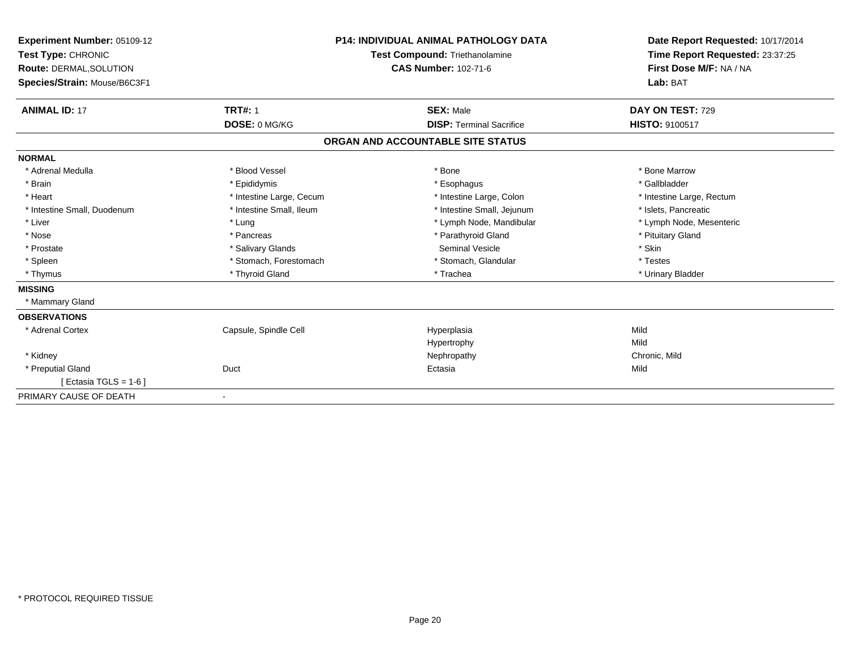| Experiment Number: 05109-12<br>Test Type: CHRONIC<br>Route: DERMAL, SOLUTION<br>Species/Strain: Mouse/B6C3F1 |                          | <b>P14: INDIVIDUAL ANIMAL PATHOLOGY DATA</b><br>Test Compound: Triethanolamine<br><b>CAS Number: 102-71-6</b> | Date Report Requested: 10/17/2014<br>Time Report Requested: 23:37:25<br>First Dose M/F: NA / NA<br>Lab: BAT |
|--------------------------------------------------------------------------------------------------------------|--------------------------|---------------------------------------------------------------------------------------------------------------|-------------------------------------------------------------------------------------------------------------|
| <b>ANIMAL ID: 17</b>                                                                                         | <b>TRT#: 1</b>           | <b>SEX: Male</b>                                                                                              | DAY ON TEST: 729                                                                                            |
|                                                                                                              | DOSE: 0 MG/KG            | <b>DISP: Terminal Sacrifice</b>                                                                               | <b>HISTO: 9100517</b>                                                                                       |
|                                                                                                              |                          | ORGAN AND ACCOUNTABLE SITE STATUS                                                                             |                                                                                                             |
| <b>NORMAL</b>                                                                                                |                          |                                                                                                               |                                                                                                             |
| * Adrenal Medulla                                                                                            | * Blood Vessel           | * Bone                                                                                                        | * Bone Marrow                                                                                               |
| * Brain                                                                                                      | * Epididymis             | * Esophagus                                                                                                   | * Gallbladder                                                                                               |
| * Heart                                                                                                      | * Intestine Large, Cecum | * Intestine Large, Colon                                                                                      | * Intestine Large, Rectum                                                                                   |
| * Intestine Small, Duodenum                                                                                  | * Intestine Small, Ileum | * Intestine Small, Jejunum                                                                                    | * Islets, Pancreatic                                                                                        |
| * Liver                                                                                                      | * Lung                   | * Lymph Node, Mandibular                                                                                      | * Lymph Node, Mesenteric                                                                                    |
| * Nose                                                                                                       | * Pancreas               | * Parathyroid Gland                                                                                           | * Pituitary Gland                                                                                           |
| * Prostate                                                                                                   | * Salivary Glands        | Seminal Vesicle                                                                                               | * Skin                                                                                                      |
| * Spleen                                                                                                     | * Stomach, Forestomach   | * Stomach, Glandular                                                                                          | * Testes                                                                                                    |
| * Thymus                                                                                                     | * Thyroid Gland          | * Trachea                                                                                                     | * Urinary Bladder                                                                                           |
| <b>MISSING</b>                                                                                               |                          |                                                                                                               |                                                                                                             |
| * Mammary Gland                                                                                              |                          |                                                                                                               |                                                                                                             |
| <b>OBSERVATIONS</b>                                                                                          |                          |                                                                                                               |                                                                                                             |
| * Adrenal Cortex                                                                                             | Capsule, Spindle Cell    | Hyperplasia                                                                                                   | Mild                                                                                                        |
|                                                                                                              |                          | Hypertrophy                                                                                                   | Mild                                                                                                        |
| * Kidney                                                                                                     |                          | Nephropathy                                                                                                   | Chronic, Mild                                                                                               |
| * Preputial Gland                                                                                            | Duct                     | Ectasia                                                                                                       | Mild                                                                                                        |
| [ Ectasia TGLS = 1-6 ]                                                                                       |                          |                                                                                                               |                                                                                                             |
| PRIMARY CAUSE OF DEATH                                                                                       |                          |                                                                                                               |                                                                                                             |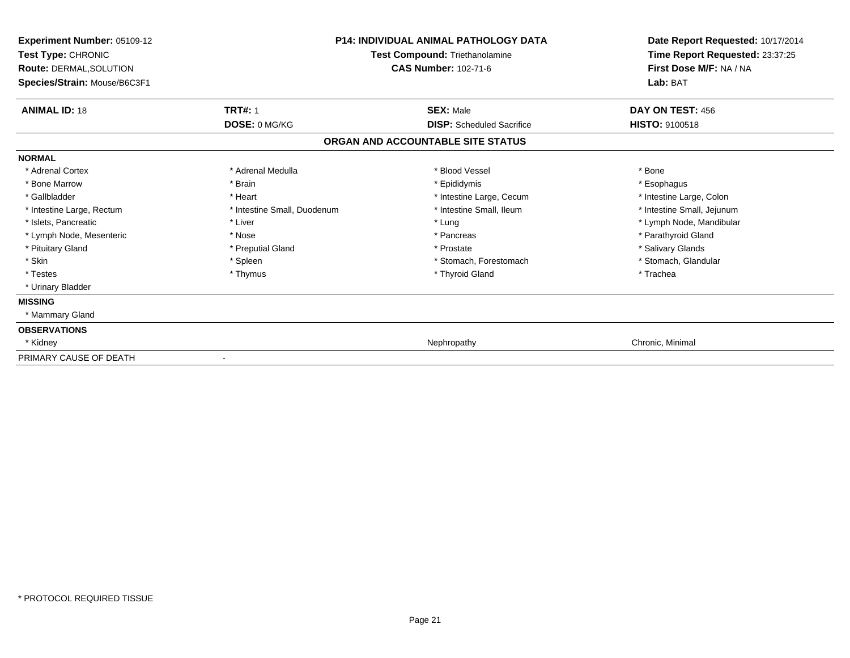| Experiment Number: 05109-12<br>Test Type: CHRONIC<br><b>Route: DERMAL, SOLUTION</b><br>Species/Strain: Mouse/B6C3F1 | <b>P14: INDIVIDUAL ANIMAL PATHOLOGY DATA</b><br>Test Compound: Triethanolamine<br><b>CAS Number: 102-71-6</b> |                                   | Date Report Requested: 10/17/2014<br>Time Report Requested: 23:37:25<br>First Dose M/F: NA / NA<br>Lab: BAT |
|---------------------------------------------------------------------------------------------------------------------|---------------------------------------------------------------------------------------------------------------|-----------------------------------|-------------------------------------------------------------------------------------------------------------|
| <b>ANIMAL ID: 18</b>                                                                                                | <b>TRT#: 1</b>                                                                                                | <b>SEX: Male</b>                  | DAY ON TEST: 456                                                                                            |
|                                                                                                                     | DOSE: 0 MG/KG                                                                                                 | <b>DISP:</b> Scheduled Sacrifice  | <b>HISTO: 9100518</b>                                                                                       |
|                                                                                                                     |                                                                                                               | ORGAN AND ACCOUNTABLE SITE STATUS |                                                                                                             |
| <b>NORMAL</b>                                                                                                       |                                                                                                               |                                   |                                                                                                             |
| * Adrenal Cortex                                                                                                    | * Adrenal Medulla                                                                                             | * Blood Vessel                    | * Bone                                                                                                      |
| * Bone Marrow                                                                                                       | * Brain                                                                                                       | * Epididymis                      | * Esophagus                                                                                                 |
| * Gallbladder                                                                                                       | * Heart                                                                                                       | * Intestine Large, Cecum          | * Intestine Large, Colon                                                                                    |
| * Intestine Large, Rectum                                                                                           | * Intestine Small, Duodenum                                                                                   | * Intestine Small, Ileum          | * Intestine Small, Jejunum                                                                                  |
| * Islets, Pancreatic                                                                                                | * Liver                                                                                                       | * Lung                            | * Lymph Node, Mandibular                                                                                    |
| * Lymph Node, Mesenteric                                                                                            | * Nose                                                                                                        | * Pancreas                        | * Parathyroid Gland                                                                                         |
| * Pituitary Gland                                                                                                   | * Preputial Gland                                                                                             | * Prostate                        | * Salivary Glands                                                                                           |
| * Skin                                                                                                              | * Spleen                                                                                                      | * Stomach, Forestomach            | * Stomach, Glandular                                                                                        |
| * Testes                                                                                                            | * Thymus                                                                                                      | * Thyroid Gland                   | * Trachea                                                                                                   |
| * Urinary Bladder                                                                                                   |                                                                                                               |                                   |                                                                                                             |
| <b>MISSING</b>                                                                                                      |                                                                                                               |                                   |                                                                                                             |
| * Mammary Gland                                                                                                     |                                                                                                               |                                   |                                                                                                             |
| <b>OBSERVATIONS</b>                                                                                                 |                                                                                                               |                                   |                                                                                                             |
| * Kidney                                                                                                            |                                                                                                               | Nephropathy                       | Chronic, Minimal                                                                                            |
| PRIMARY CAUSE OF DEATH                                                                                              |                                                                                                               |                                   |                                                                                                             |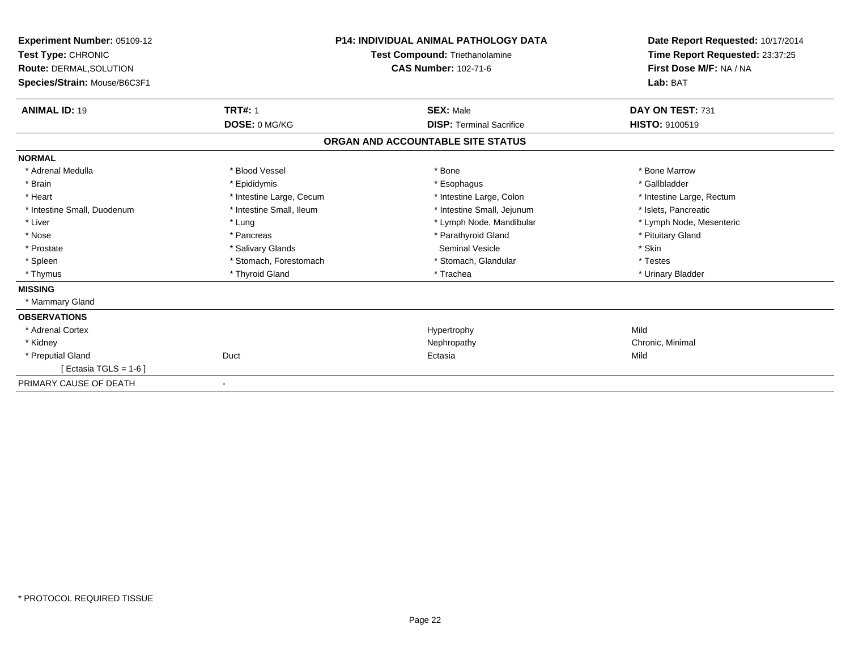| <b>Experiment Number: 05109-12</b><br>Test Type: CHRONIC<br><b>Route: DERMAL, SOLUTION</b><br>Species/Strain: Mouse/B6C3F1 |                          | <b>P14: INDIVIDUAL ANIMAL PATHOLOGY DATA</b><br>Test Compound: Triethanolamine<br><b>CAS Number: 102-71-6</b> | Date Report Requested: 10/17/2014<br>Time Report Requested: 23:37:25<br>First Dose M/F: NA / NA<br>Lab: BAT |
|----------------------------------------------------------------------------------------------------------------------------|--------------------------|---------------------------------------------------------------------------------------------------------------|-------------------------------------------------------------------------------------------------------------|
| <b>ANIMAL ID: 19</b>                                                                                                       | <b>TRT#: 1</b>           | <b>SEX: Male</b>                                                                                              | DAY ON TEST: 731                                                                                            |
|                                                                                                                            | DOSE: 0 MG/KG            | <b>DISP: Terminal Sacrifice</b>                                                                               | <b>HISTO: 9100519</b>                                                                                       |
|                                                                                                                            |                          | ORGAN AND ACCOUNTABLE SITE STATUS                                                                             |                                                                                                             |
| <b>NORMAL</b>                                                                                                              |                          |                                                                                                               |                                                                                                             |
| * Adrenal Medulla                                                                                                          | * Blood Vessel           | * Bone                                                                                                        | * Bone Marrow                                                                                               |
| * Brain                                                                                                                    | * Epididymis             | * Esophagus                                                                                                   | * Gallbladder                                                                                               |
| * Heart                                                                                                                    | * Intestine Large, Cecum | * Intestine Large, Colon                                                                                      | * Intestine Large, Rectum                                                                                   |
| * Intestine Small, Duodenum                                                                                                | * Intestine Small, Ileum | * Intestine Small, Jejunum                                                                                    | * Islets, Pancreatic                                                                                        |
| * Liver                                                                                                                    | * Lung                   | * Lymph Node, Mandibular                                                                                      | * Lymph Node, Mesenteric                                                                                    |
| * Nose                                                                                                                     | * Pancreas               | * Parathyroid Gland                                                                                           | * Pituitary Gland                                                                                           |
| * Prostate                                                                                                                 | * Salivary Glands        | <b>Seminal Vesicle</b>                                                                                        | * Skin                                                                                                      |
| * Spleen                                                                                                                   | * Stomach, Forestomach   | * Stomach, Glandular                                                                                          | * Testes                                                                                                    |
| * Thymus                                                                                                                   | * Thyroid Gland          | * Trachea                                                                                                     | * Urinary Bladder                                                                                           |
| <b>MISSING</b>                                                                                                             |                          |                                                                                                               |                                                                                                             |
| * Mammary Gland                                                                                                            |                          |                                                                                                               |                                                                                                             |
| <b>OBSERVATIONS</b>                                                                                                        |                          |                                                                                                               |                                                                                                             |
| * Adrenal Cortex                                                                                                           |                          | Hypertrophy                                                                                                   | Mild                                                                                                        |
| * Kidney                                                                                                                   |                          | Nephropathy                                                                                                   | Chronic, Minimal                                                                                            |
| * Preputial Gland                                                                                                          | Duct                     | Ectasia                                                                                                       | Mild                                                                                                        |
| [Ectasia TGLS = $1-6$ ]                                                                                                    |                          |                                                                                                               |                                                                                                             |
| PRIMARY CAUSE OF DEATH                                                                                                     | $\overline{\phantom{a}}$ |                                                                                                               |                                                                                                             |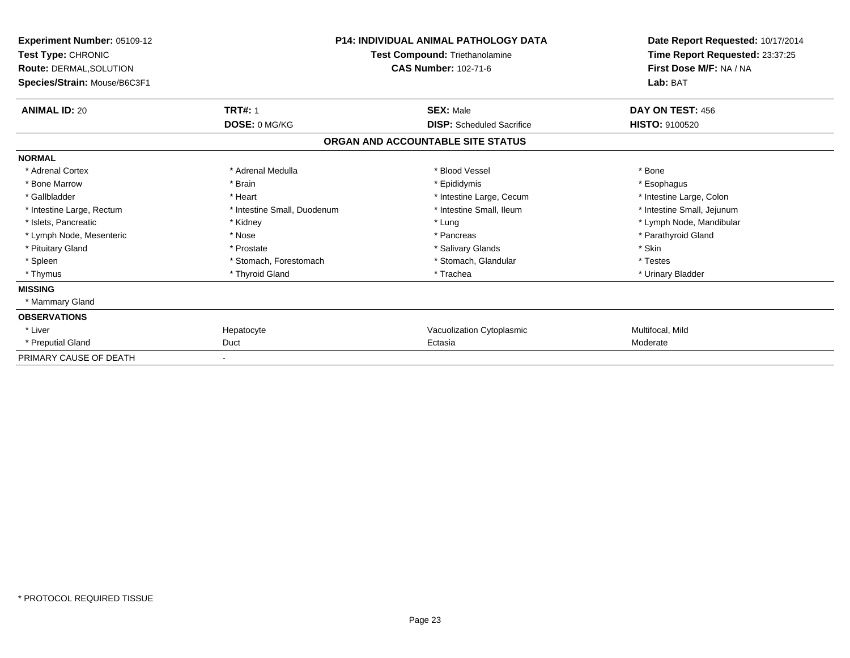| Experiment Number: 05109-12<br>Test Type: CHRONIC<br>Route: DERMAL, SOLUTION<br>Species/Strain: Mouse/B6C3F1 | <b>P14: INDIVIDUAL ANIMAL PATHOLOGY DATA</b><br>Test Compound: Triethanolamine<br><b>CAS Number: 102-71-6</b> |                                   | Date Report Requested: 10/17/2014<br>Time Report Requested: 23:37:25<br>First Dose M/F: NA / NA<br>Lab: BAT |
|--------------------------------------------------------------------------------------------------------------|---------------------------------------------------------------------------------------------------------------|-----------------------------------|-------------------------------------------------------------------------------------------------------------|
| <b>ANIMAL ID: 20</b>                                                                                         | <b>TRT#: 1</b>                                                                                                | <b>SEX: Male</b>                  | DAY ON TEST: 456                                                                                            |
|                                                                                                              | DOSE: 0 MG/KG                                                                                                 | <b>DISP:</b> Scheduled Sacrifice  | <b>HISTO: 9100520</b>                                                                                       |
|                                                                                                              |                                                                                                               | ORGAN AND ACCOUNTABLE SITE STATUS |                                                                                                             |
| <b>NORMAL</b>                                                                                                |                                                                                                               |                                   |                                                                                                             |
| * Adrenal Cortex                                                                                             | * Adrenal Medulla                                                                                             | * Blood Vessel                    | * Bone                                                                                                      |
| * Bone Marrow                                                                                                | * Brain                                                                                                       | * Epididymis                      | * Esophagus                                                                                                 |
| * Gallbladder                                                                                                | * Heart                                                                                                       | * Intestine Large, Cecum          | * Intestine Large, Colon                                                                                    |
| * Intestine Large, Rectum                                                                                    | * Intestine Small, Duodenum                                                                                   | * Intestine Small, Ileum          | * Intestine Small, Jejunum                                                                                  |
| * Islets, Pancreatic                                                                                         | * Kidney                                                                                                      | * Lung                            | * Lymph Node, Mandibular                                                                                    |
| * Lymph Node, Mesenteric                                                                                     | * Nose                                                                                                        | * Pancreas                        | * Parathyroid Gland                                                                                         |
| * Pituitary Gland                                                                                            | * Prostate                                                                                                    | * Salivary Glands                 | * Skin                                                                                                      |
| * Spleen                                                                                                     | * Stomach, Forestomach                                                                                        | * Stomach, Glandular              | * Testes                                                                                                    |
| * Thymus                                                                                                     | * Thyroid Gland                                                                                               | * Trachea                         | * Urinary Bladder                                                                                           |
| <b>MISSING</b>                                                                                               |                                                                                                               |                                   |                                                                                                             |
| * Mammary Gland                                                                                              |                                                                                                               |                                   |                                                                                                             |
| <b>OBSERVATIONS</b>                                                                                          |                                                                                                               |                                   |                                                                                                             |
| * Liver                                                                                                      | Hepatocyte                                                                                                    | Vacuolization Cytoplasmic         | Multifocal, Mild                                                                                            |
| * Preputial Gland                                                                                            | Duct                                                                                                          | Ectasia                           | Moderate                                                                                                    |
| PRIMARY CAUSE OF DEATH                                                                                       |                                                                                                               |                                   |                                                                                                             |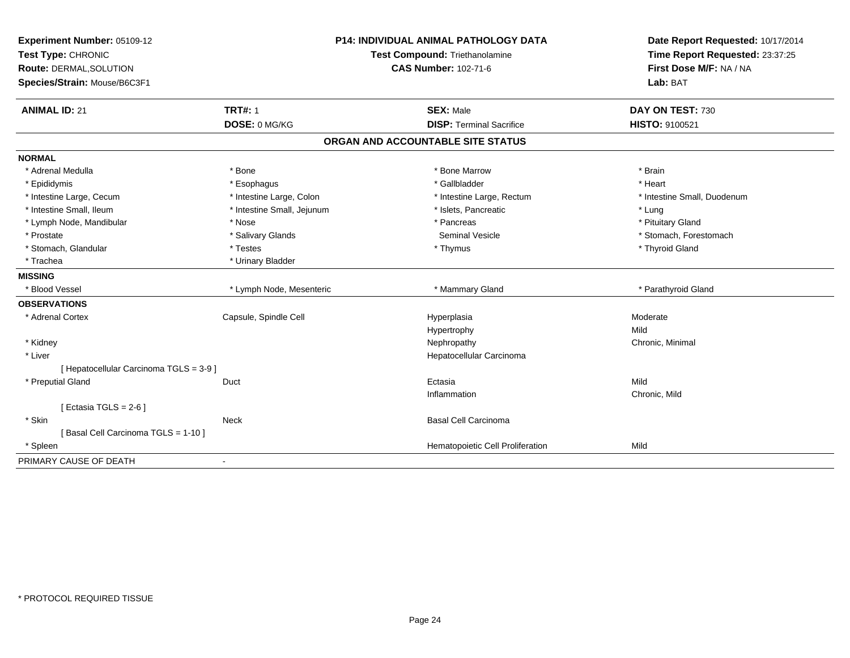| Experiment Number: 05109-12             | <b>P14: INDIVIDUAL ANIMAL PATHOLOGY DATA</b> |                                   | Date Report Requested: 10/17/2014 |
|-----------------------------------------|----------------------------------------------|-----------------------------------|-----------------------------------|
| Test Type: CHRONIC                      |                                              | Test Compound: Triethanolamine    | Time Report Requested: 23:37:25   |
| Route: DERMAL, SOLUTION                 |                                              | <b>CAS Number: 102-71-6</b>       | First Dose M/F: NA / NA           |
| Species/Strain: Mouse/B6C3F1            |                                              |                                   | Lab: BAT                          |
| <b>ANIMAL ID: 21</b>                    | <b>TRT#: 1</b>                               | <b>SEX: Male</b>                  | DAY ON TEST: 730                  |
|                                         | DOSE: 0 MG/KG                                | <b>DISP: Terminal Sacrifice</b>   | HISTO: 9100521                    |
|                                         |                                              | ORGAN AND ACCOUNTABLE SITE STATUS |                                   |
| <b>NORMAL</b>                           |                                              |                                   |                                   |
| * Adrenal Medulla                       | * Bone                                       | * Bone Marrow                     | * Brain                           |
| * Epididymis                            | * Esophagus                                  | * Gallbladder                     | * Heart                           |
| * Intestine Large, Cecum                | * Intestine Large, Colon                     | * Intestine Large, Rectum         | * Intestine Small, Duodenum       |
| * Intestine Small, Ileum                | * Intestine Small, Jejunum                   | * Islets, Pancreatic              | * Lung                            |
| * Lymph Node, Mandibular                | * Nose                                       | * Pancreas                        | * Pituitary Gland                 |
| * Prostate                              | * Salivary Glands                            | Seminal Vesicle                   | * Stomach, Forestomach            |
| * Stomach, Glandular                    | * Testes                                     | * Thymus                          | * Thyroid Gland                   |
| * Trachea                               | * Urinary Bladder                            |                                   |                                   |
| <b>MISSING</b>                          |                                              |                                   |                                   |
| * Blood Vessel                          | * Lymph Node, Mesenteric                     | * Mammary Gland                   | * Parathyroid Gland               |
| <b>OBSERVATIONS</b>                     |                                              |                                   |                                   |
| * Adrenal Cortex                        | Capsule, Spindle Cell                        | Hyperplasia                       | Moderate                          |
|                                         |                                              | Hypertrophy                       | Mild                              |
| * Kidney                                |                                              | Nephropathy                       | Chronic, Minimal                  |
| * Liver                                 |                                              | Hepatocellular Carcinoma          |                                   |
| [ Hepatocellular Carcinoma TGLS = 3-9 ] |                                              |                                   |                                   |
| * Preputial Gland                       | Duct                                         | Ectasia                           | Mild                              |
|                                         |                                              | Inflammation                      | Chronic, Mild                     |
| [ Ectasia TGLS = $2-6$ ]                |                                              |                                   |                                   |
| * Skin                                  | Neck                                         | <b>Basal Cell Carcinoma</b>       |                                   |
| [Basal Cell Carcinoma TGLS = 1-10]      |                                              |                                   |                                   |
| * Spleen                                |                                              | Hematopoietic Cell Proliferation  | Mild                              |
| PRIMARY CAUSE OF DEATH                  |                                              |                                   |                                   |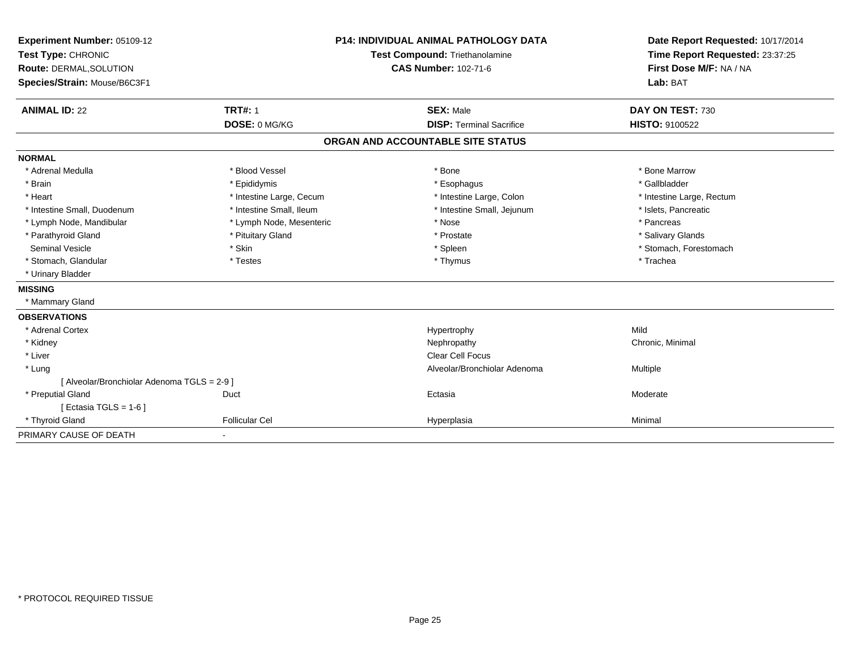| Experiment Number: 05109-12<br>Test Type: CHRONIC<br>Route: DERMAL, SOLUTION<br>Species/Strain: Mouse/B6C3F1<br><b>ANIMAL ID: 22</b> | <b>TRT#: 1</b>           | <b>P14: INDIVIDUAL ANIMAL PATHOLOGY DATA</b><br><b>Test Compound: Triethanolamine</b><br><b>CAS Number: 102-71-6</b><br><b>SEX: Male</b> | Date Report Requested: 10/17/2014<br>Time Report Requested: 23:37:25<br>First Dose M/F: NA / NA<br>Lab: BAT |
|--------------------------------------------------------------------------------------------------------------------------------------|--------------------------|------------------------------------------------------------------------------------------------------------------------------------------|-------------------------------------------------------------------------------------------------------------|
|                                                                                                                                      | DOSE: 0 MG/KG            | <b>DISP: Terminal Sacrifice</b>                                                                                                          | DAY ON TEST: 730<br><b>HISTO: 9100522</b>                                                                   |
|                                                                                                                                      |                          | ORGAN AND ACCOUNTABLE SITE STATUS                                                                                                        |                                                                                                             |
| <b>NORMAL</b>                                                                                                                        |                          |                                                                                                                                          |                                                                                                             |
| * Adrenal Medulla                                                                                                                    | * Blood Vessel           | * Bone                                                                                                                                   | * Bone Marrow                                                                                               |
| * Brain                                                                                                                              | * Epididymis             | * Esophagus                                                                                                                              | * Gallbladder                                                                                               |
| * Heart                                                                                                                              | * Intestine Large, Cecum | * Intestine Large, Colon                                                                                                                 | * Intestine Large, Rectum                                                                                   |
| * Intestine Small, Duodenum                                                                                                          | * Intestine Small, Ileum | * Intestine Small, Jejunum                                                                                                               | * Islets, Pancreatic                                                                                        |
| * Lymph Node, Mandibular                                                                                                             | * Lymph Node, Mesenteric | * Nose                                                                                                                                   | * Pancreas                                                                                                  |
| * Parathyroid Gland                                                                                                                  | * Pituitary Gland        | * Prostate                                                                                                                               | * Salivary Glands                                                                                           |
| <b>Seminal Vesicle</b>                                                                                                               | * Skin                   | * Spleen                                                                                                                                 | * Stomach, Forestomach                                                                                      |
| * Stomach, Glandular                                                                                                                 | * Testes                 | * Thymus                                                                                                                                 | * Trachea                                                                                                   |
| * Urinary Bladder                                                                                                                    |                          |                                                                                                                                          |                                                                                                             |
| <b>MISSING</b>                                                                                                                       |                          |                                                                                                                                          |                                                                                                             |
| * Mammary Gland                                                                                                                      |                          |                                                                                                                                          |                                                                                                             |
| <b>OBSERVATIONS</b>                                                                                                                  |                          |                                                                                                                                          |                                                                                                             |
| * Adrenal Cortex                                                                                                                     |                          | Hypertrophy                                                                                                                              | Mild                                                                                                        |
| * Kidney                                                                                                                             |                          | Nephropathy                                                                                                                              | Chronic, Minimal                                                                                            |
| * Liver                                                                                                                              |                          | <b>Clear Cell Focus</b>                                                                                                                  |                                                                                                             |
| * Lung                                                                                                                               |                          | Alveolar/Bronchiolar Adenoma                                                                                                             | Multiple                                                                                                    |
| [ Alveolar/Bronchiolar Adenoma TGLS = 2-9 ]                                                                                          |                          |                                                                                                                                          |                                                                                                             |
| * Preputial Gland                                                                                                                    | Duct                     | Ectasia                                                                                                                                  | Moderate                                                                                                    |
| [Ectasia TGLS = $1-6$ ]                                                                                                              |                          |                                                                                                                                          |                                                                                                             |
| * Thyroid Gland                                                                                                                      | <b>Follicular Cel</b>    | Hyperplasia                                                                                                                              | Minimal                                                                                                     |
| PRIMARY CAUSE OF DEATH                                                                                                               |                          |                                                                                                                                          |                                                                                                             |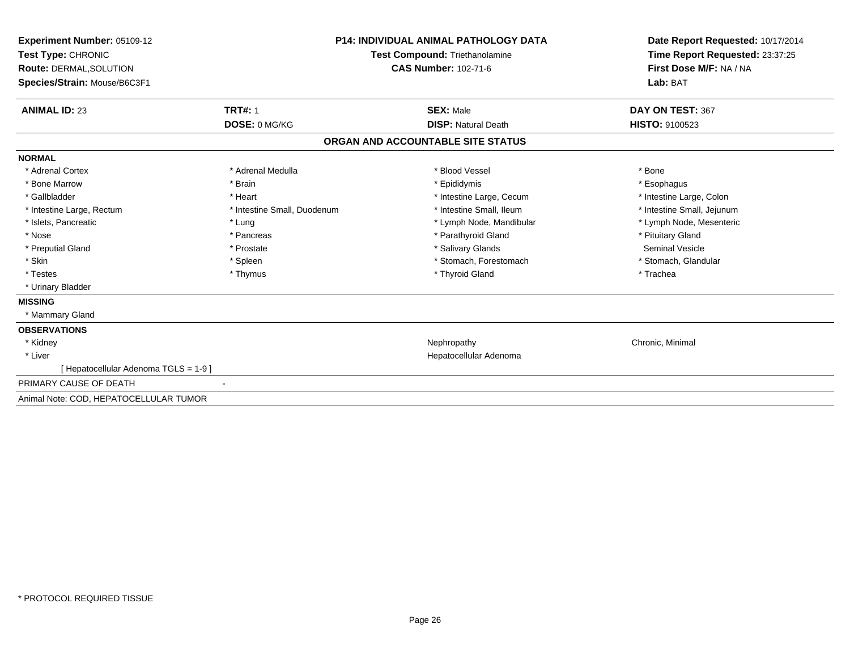| Experiment Number: 05109-12<br>Test Type: CHRONIC<br>Route: DERMAL, SOLUTION<br>Species/Strain: Mouse/B6C3F1 | <b>P14: INDIVIDUAL ANIMAL PATHOLOGY DATA</b><br><b>Test Compound: Triethanolamine</b><br><b>CAS Number: 102-71-6</b> |  | Date Report Requested: 10/17/2014<br>Time Report Requested: 23:37:25<br>First Dose M/F: NA / NA<br>Lab: BAT |                            |
|--------------------------------------------------------------------------------------------------------------|----------------------------------------------------------------------------------------------------------------------|--|-------------------------------------------------------------------------------------------------------------|----------------------------|
| <b>ANIMAL ID: 23</b>                                                                                         | <b>TRT#: 1</b>                                                                                                       |  | <b>SEX: Male</b>                                                                                            | DAY ON TEST: 367           |
|                                                                                                              | DOSE: 0 MG/KG                                                                                                        |  | <b>DISP: Natural Death</b>                                                                                  | <b>HISTO: 9100523</b>      |
|                                                                                                              |                                                                                                                      |  | ORGAN AND ACCOUNTABLE SITE STATUS                                                                           |                            |
| <b>NORMAL</b>                                                                                                |                                                                                                                      |  |                                                                                                             |                            |
| * Adrenal Cortex                                                                                             | * Adrenal Medulla                                                                                                    |  | * Blood Vessel                                                                                              | * Bone                     |
| * Bone Marrow                                                                                                | * Brain                                                                                                              |  | * Epididymis                                                                                                | * Esophagus                |
| * Gallbladder                                                                                                | * Heart                                                                                                              |  | * Intestine Large, Cecum                                                                                    | * Intestine Large, Colon   |
| * Intestine Large, Rectum                                                                                    | * Intestine Small, Duodenum                                                                                          |  | * Intestine Small, Ileum                                                                                    | * Intestine Small, Jejunum |
| * Islets, Pancreatic                                                                                         | * Lung                                                                                                               |  | * Lymph Node, Mandibular                                                                                    | * Lymph Node, Mesenteric   |
| * Nose                                                                                                       | * Pancreas                                                                                                           |  | * Parathyroid Gland                                                                                         | * Pituitary Gland          |
| * Preputial Gland                                                                                            | * Prostate                                                                                                           |  | * Salivary Glands                                                                                           | <b>Seminal Vesicle</b>     |
| * Skin                                                                                                       | * Spleen                                                                                                             |  | * Stomach, Forestomach                                                                                      | * Stomach, Glandular       |
| * Testes                                                                                                     | * Thymus                                                                                                             |  | * Thyroid Gland                                                                                             | * Trachea                  |
| * Urinary Bladder                                                                                            |                                                                                                                      |  |                                                                                                             |                            |
| <b>MISSING</b>                                                                                               |                                                                                                                      |  |                                                                                                             |                            |
| * Mammary Gland                                                                                              |                                                                                                                      |  |                                                                                                             |                            |
| <b>OBSERVATIONS</b>                                                                                          |                                                                                                                      |  |                                                                                                             |                            |
| * Kidney                                                                                                     |                                                                                                                      |  | Nephropathy                                                                                                 | Chronic, Minimal           |
| * Liver                                                                                                      |                                                                                                                      |  | Hepatocellular Adenoma                                                                                      |                            |
| [ Hepatocellular Adenoma TGLS = 1-9 ]                                                                        |                                                                                                                      |  |                                                                                                             |                            |
| PRIMARY CAUSE OF DEATH                                                                                       |                                                                                                                      |  |                                                                                                             |                            |
| Animal Note: COD, HEPATOCELLULAR TUMOR                                                                       |                                                                                                                      |  |                                                                                                             |                            |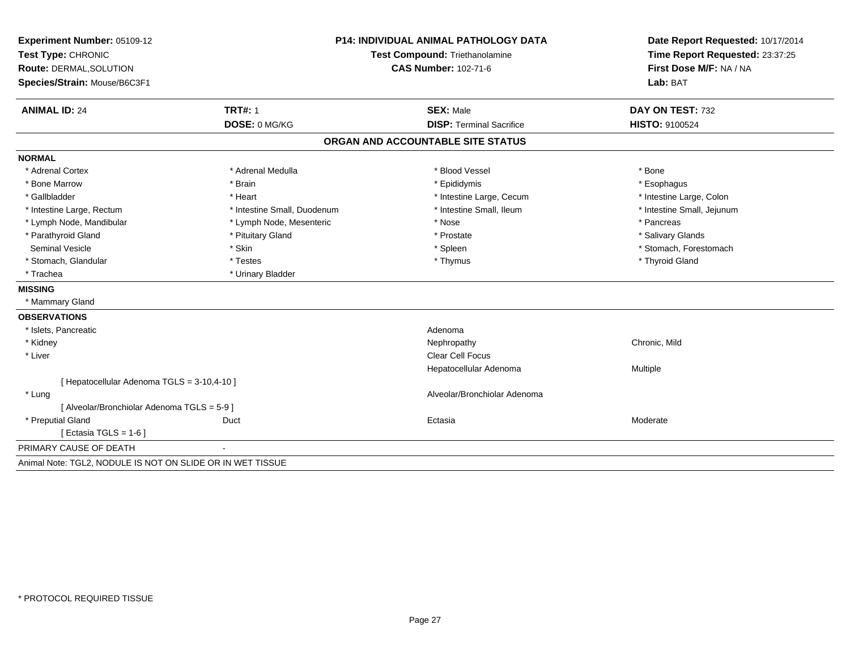| Experiment Number: 05109-12                                | <b>P14: INDIVIDUAL ANIMAL PATHOLOGY DATA</b> |                                   | Date Report Requested: 10/17/2014                          |
|------------------------------------------------------------|----------------------------------------------|-----------------------------------|------------------------------------------------------------|
| Test Type: CHRONIC                                         |                                              | Test Compound: Triethanolamine    | Time Report Requested: 23:37:25<br>First Dose M/F: NA / NA |
| Route: DERMAL, SOLUTION                                    |                                              | <b>CAS Number: 102-71-6</b>       |                                                            |
| Species/Strain: Mouse/B6C3F1                               |                                              |                                   | Lab: BAT                                                   |
| <b>ANIMAL ID: 24</b>                                       | <b>TRT#: 1</b>                               | <b>SEX: Male</b>                  | DAY ON TEST: 732                                           |
|                                                            | DOSE: 0 MG/KG                                | <b>DISP: Terminal Sacrifice</b>   | <b>HISTO: 9100524</b>                                      |
|                                                            |                                              | ORGAN AND ACCOUNTABLE SITE STATUS |                                                            |
| <b>NORMAL</b>                                              |                                              |                                   |                                                            |
| * Adrenal Cortex                                           | * Adrenal Medulla                            | * Blood Vessel                    | * Bone                                                     |
| * Bone Marrow                                              | * Brain                                      | * Epididymis                      | * Esophagus                                                |
| * Gallbladder                                              | * Heart                                      | * Intestine Large, Cecum          | * Intestine Large, Colon                                   |
| * Intestine Large, Rectum                                  | * Intestine Small, Duodenum                  | * Intestine Small. Ileum          | * Intestine Small, Jejunum                                 |
| * Lymph Node, Mandibular                                   | * Lymph Node, Mesenteric                     | * Nose                            | * Pancreas                                                 |
| * Parathyroid Gland                                        | * Pituitary Gland                            | * Prostate                        | * Salivary Glands                                          |
| Seminal Vesicle                                            | * Skin                                       | * Spleen                          | * Stomach, Forestomach                                     |
| * Stomach, Glandular                                       | * Testes                                     | * Thymus                          | * Thyroid Gland                                            |
| * Trachea                                                  | * Urinary Bladder                            |                                   |                                                            |
| <b>MISSING</b>                                             |                                              |                                   |                                                            |
| * Mammary Gland                                            |                                              |                                   |                                                            |
| <b>OBSERVATIONS</b>                                        |                                              |                                   |                                                            |
| * Islets, Pancreatic                                       |                                              | Adenoma                           |                                                            |
| * Kidney                                                   |                                              | Nephropathy                       | Chronic, Mild                                              |
| * Liver                                                    |                                              | Clear Cell Focus                  |                                                            |
|                                                            |                                              | Hepatocellular Adenoma            | <b>Multiple</b>                                            |
| [ Hepatocellular Adenoma TGLS = 3-10,4-10 ]                |                                              |                                   |                                                            |
| * Lung                                                     |                                              | Alveolar/Bronchiolar Adenoma      |                                                            |
| [ Alveolar/Bronchiolar Adenoma TGLS = 5-9 ]                |                                              |                                   |                                                            |
| * Preputial Gland                                          | Duct                                         | Ectasia                           | Moderate                                                   |
| [ Ectasia TGLS = $1-6$ ]                                   |                                              |                                   |                                                            |
| PRIMARY CAUSE OF DEATH                                     |                                              |                                   |                                                            |
| Animal Note: TGL2, NODULE IS NOT ON SLIDE OR IN WET TISSUE |                                              |                                   |                                                            |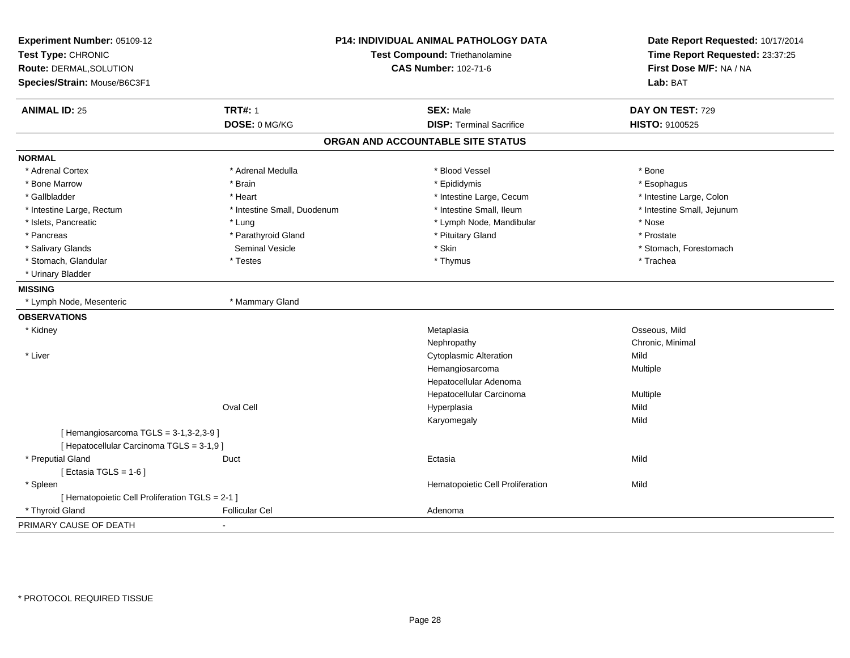| Experiment Number: 05109-12<br>Test Type: CHRONIC<br>Route: DERMAL, SOLUTION<br>Species/Strain: Mouse/B6C3F1 | <b>P14: INDIVIDUAL ANIMAL PATHOLOGY DATA</b><br>Test Compound: Triethanolamine<br><b>CAS Number: 102-71-6</b> |                                   | Date Report Requested: 10/17/2014<br>Time Report Requested: 23:37:25<br>First Dose M/F: NA / NA<br>Lab: BAT |
|--------------------------------------------------------------------------------------------------------------|---------------------------------------------------------------------------------------------------------------|-----------------------------------|-------------------------------------------------------------------------------------------------------------|
| <b>ANIMAL ID: 25</b>                                                                                         | <b>TRT#: 1</b>                                                                                                | <b>SEX: Male</b>                  | DAY ON TEST: 729                                                                                            |
|                                                                                                              | DOSE: 0 MG/KG                                                                                                 | <b>DISP: Terminal Sacrifice</b>   | HISTO: 9100525                                                                                              |
|                                                                                                              |                                                                                                               | ORGAN AND ACCOUNTABLE SITE STATUS |                                                                                                             |
| <b>NORMAL</b>                                                                                                |                                                                                                               |                                   |                                                                                                             |
| * Adrenal Cortex                                                                                             | * Adrenal Medulla                                                                                             | * Blood Vessel                    | * Bone                                                                                                      |
| * Bone Marrow                                                                                                | * Brain                                                                                                       | * Epididymis                      | * Esophagus                                                                                                 |
| * Gallbladder                                                                                                | * Heart                                                                                                       | * Intestine Large, Cecum          | * Intestine Large, Colon                                                                                    |
| * Intestine Large, Rectum                                                                                    | * Intestine Small, Duodenum                                                                                   | * Intestine Small, Ileum          | * Intestine Small, Jejunum                                                                                  |
| * Islets, Pancreatic                                                                                         | * Lung                                                                                                        | * Lymph Node, Mandibular          | * Nose                                                                                                      |
| * Pancreas                                                                                                   | * Parathyroid Gland                                                                                           | * Pituitary Gland                 | * Prostate                                                                                                  |
| * Salivary Glands                                                                                            | <b>Seminal Vesicle</b>                                                                                        | * Skin                            | * Stomach, Forestomach                                                                                      |
| * Stomach, Glandular                                                                                         | * Testes                                                                                                      | * Thymus                          | * Trachea                                                                                                   |
| * Urinary Bladder                                                                                            |                                                                                                               |                                   |                                                                                                             |
| <b>MISSING</b>                                                                                               |                                                                                                               |                                   |                                                                                                             |
| * Lymph Node, Mesenteric                                                                                     | * Mammary Gland                                                                                               |                                   |                                                                                                             |
| <b>OBSERVATIONS</b>                                                                                          |                                                                                                               |                                   |                                                                                                             |
| * Kidney                                                                                                     |                                                                                                               | Metaplasia                        | Osseous, Mild                                                                                               |
|                                                                                                              |                                                                                                               | Nephropathy                       | Chronic, Minimal                                                                                            |
| * Liver                                                                                                      |                                                                                                               | <b>Cytoplasmic Alteration</b>     | Mild                                                                                                        |
|                                                                                                              |                                                                                                               | Hemangiosarcoma                   | Multiple                                                                                                    |
|                                                                                                              |                                                                                                               | Hepatocellular Adenoma            |                                                                                                             |
|                                                                                                              |                                                                                                               | Hepatocellular Carcinoma          | Multiple                                                                                                    |
|                                                                                                              | <b>Oval Cell</b>                                                                                              | Hyperplasia                       | Mild                                                                                                        |
|                                                                                                              |                                                                                                               | Karyomegaly                       | Mild                                                                                                        |
| [Hemangiosarcoma TGLS = $3-1,3-2,3-9$ ]                                                                      |                                                                                                               |                                   |                                                                                                             |
| [ Hepatocellular Carcinoma TGLS = 3-1,9 ]                                                                    |                                                                                                               |                                   |                                                                                                             |
| * Preputial Gland                                                                                            | Duct                                                                                                          | Ectasia                           | Mild                                                                                                        |
| [Ectasia TGLS = $1-6$ ]                                                                                      |                                                                                                               |                                   |                                                                                                             |
| * Spleen                                                                                                     |                                                                                                               | Hematopoietic Cell Proliferation  | Mild                                                                                                        |
| [ Hematopoietic Cell Proliferation TGLS = 2-1 ]                                                              |                                                                                                               |                                   |                                                                                                             |
| * Thyroid Gland                                                                                              | <b>Follicular Cel</b>                                                                                         | Adenoma                           |                                                                                                             |
| PRIMARY CAUSE OF DEATH                                                                                       |                                                                                                               |                                   |                                                                                                             |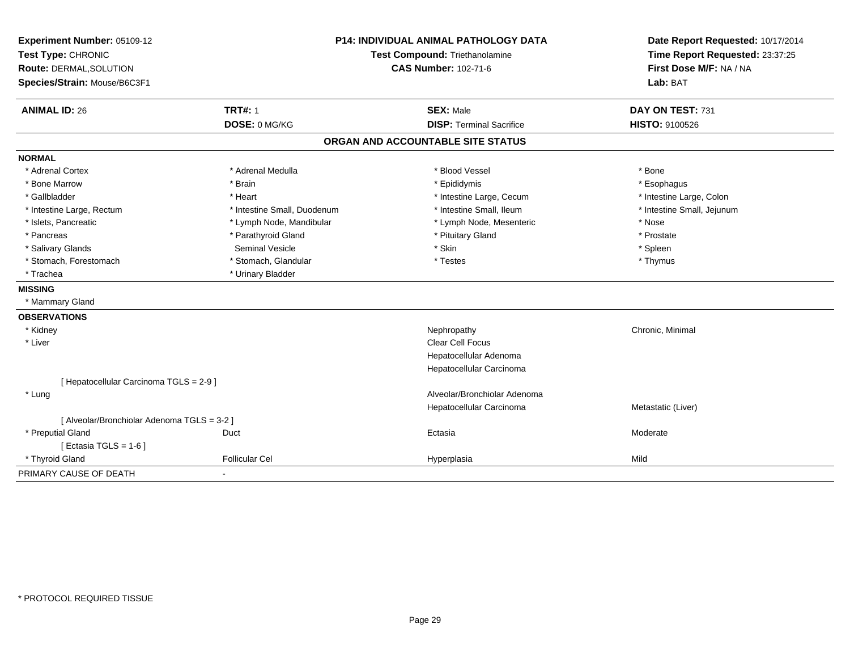| Experiment Number: 05109-12<br>Test Type: CHRONIC<br>Route: DERMAL, SOLUTION<br>Species/Strain: Mouse/B6C3F1 |                             | <b>P14: INDIVIDUAL ANIMAL PATHOLOGY DATA</b><br>Test Compound: Triethanolamine<br><b>CAS Number: 102-71-6</b> |                            |
|--------------------------------------------------------------------------------------------------------------|-----------------------------|---------------------------------------------------------------------------------------------------------------|----------------------------|
| <b>ANIMAL ID: 26</b>                                                                                         | <b>TRT#: 1</b>              | <b>SEX: Male</b>                                                                                              | DAY ON TEST: 731           |
|                                                                                                              | DOSE: 0 MG/KG               | <b>DISP: Terminal Sacrifice</b>                                                                               | HISTO: 9100526             |
|                                                                                                              |                             | ORGAN AND ACCOUNTABLE SITE STATUS                                                                             |                            |
| <b>NORMAL</b>                                                                                                |                             |                                                                                                               |                            |
| * Adrenal Cortex                                                                                             | * Adrenal Medulla           | * Blood Vessel                                                                                                | * Bone                     |
| * Bone Marrow                                                                                                | * Brain                     | * Epididymis                                                                                                  | * Esophagus                |
| * Gallbladder                                                                                                | * Heart                     | * Intestine Large, Cecum                                                                                      | * Intestine Large, Colon   |
| * Intestine Large, Rectum                                                                                    | * Intestine Small, Duodenum | * Intestine Small, Ileum                                                                                      | * Intestine Small, Jejunum |
| * Islets, Pancreatic                                                                                         | * Lymph Node, Mandibular    | * Lymph Node, Mesenteric                                                                                      | * Nose                     |
| * Pancreas                                                                                                   | * Parathyroid Gland         | * Pituitary Gland                                                                                             | * Prostate                 |
| * Salivary Glands                                                                                            | <b>Seminal Vesicle</b>      | * Skin                                                                                                        | * Spleen                   |
| * Stomach, Forestomach                                                                                       | * Stomach, Glandular        | * Testes                                                                                                      | * Thymus                   |
| * Trachea                                                                                                    | * Urinary Bladder           |                                                                                                               |                            |
| <b>MISSING</b>                                                                                               |                             |                                                                                                               |                            |
| * Mammary Gland                                                                                              |                             |                                                                                                               |                            |
| <b>OBSERVATIONS</b>                                                                                          |                             |                                                                                                               |                            |
| * Kidney                                                                                                     |                             | Nephropathy                                                                                                   | Chronic, Minimal           |
| * Liver                                                                                                      |                             | Clear Cell Focus                                                                                              |                            |
|                                                                                                              |                             | Hepatocellular Adenoma                                                                                        |                            |
|                                                                                                              |                             | Hepatocellular Carcinoma                                                                                      |                            |
| [ Hepatocellular Carcinoma TGLS = 2-9 ]                                                                      |                             |                                                                                                               |                            |
| * Lung                                                                                                       |                             | Alveolar/Bronchiolar Adenoma                                                                                  |                            |
|                                                                                                              |                             | Hepatocellular Carcinoma                                                                                      | Metastatic (Liver)         |
| [ Alveolar/Bronchiolar Adenoma TGLS = 3-2 ]                                                                  |                             |                                                                                                               |                            |
| * Preputial Gland                                                                                            | Duct                        | Ectasia                                                                                                       | Moderate                   |
| [ Ectasia TGLS = $1-6$ ]                                                                                     |                             |                                                                                                               |                            |
| * Thyroid Gland                                                                                              | <b>Follicular Cel</b>       | Hyperplasia                                                                                                   | Mild                       |
| PRIMARY CAUSE OF DEATH                                                                                       | $\blacksquare$              |                                                                                                               |                            |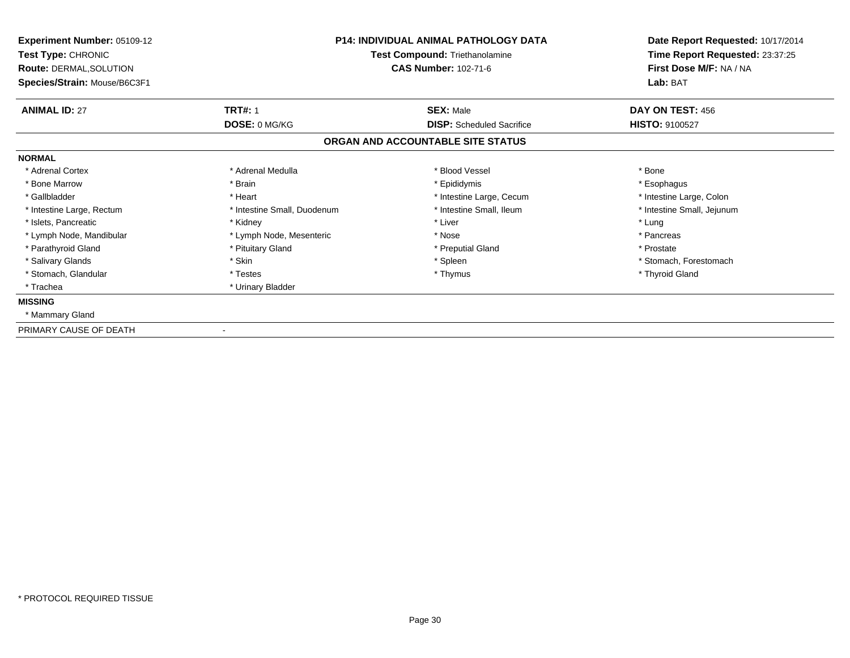| <b>Experiment Number: 05109-12</b><br>Test Type: CHRONIC<br>Route: DERMAL, SOLUTION<br>Species/Strain: Mouse/B6C3F1 |                             | <b>P14: INDIVIDUAL ANIMAL PATHOLOGY DATA</b><br>Test Compound: Triethanolamine<br><b>CAS Number: 102-71-6</b> | Date Report Requested: 10/17/2014<br>Time Report Requested: 23:37:25<br>First Dose M/F: NA / NA<br>Lab: BAT |  |
|---------------------------------------------------------------------------------------------------------------------|-----------------------------|---------------------------------------------------------------------------------------------------------------|-------------------------------------------------------------------------------------------------------------|--|
| <b>ANIMAL ID: 27</b>                                                                                                | <b>TRT#: 1</b>              | <b>SEX: Male</b>                                                                                              | DAY ON TEST: 456                                                                                            |  |
|                                                                                                                     | DOSE: 0 MG/KG               | <b>DISP:</b> Scheduled Sacrifice                                                                              | <b>HISTO: 9100527</b>                                                                                       |  |
|                                                                                                                     |                             | ORGAN AND ACCOUNTABLE SITE STATUS                                                                             |                                                                                                             |  |
| <b>NORMAL</b>                                                                                                       |                             |                                                                                                               |                                                                                                             |  |
| * Adrenal Cortex                                                                                                    | * Adrenal Medulla           | * Blood Vessel                                                                                                | * Bone                                                                                                      |  |
| * Bone Marrow                                                                                                       | * Brain                     | * Epididymis                                                                                                  | * Esophagus                                                                                                 |  |
| * Gallbladder                                                                                                       | * Heart                     | * Intestine Large, Cecum                                                                                      | * Intestine Large, Colon                                                                                    |  |
| * Intestine Large, Rectum                                                                                           | * Intestine Small, Duodenum | * Intestine Small, Ileum                                                                                      | * Intestine Small, Jejunum                                                                                  |  |
| * Islets, Pancreatic                                                                                                | * Kidney                    | * Liver                                                                                                       | * Lung                                                                                                      |  |
| * Lymph Node, Mandibular                                                                                            | * Lymph Node, Mesenteric    | * Nose                                                                                                        | * Pancreas                                                                                                  |  |
| * Parathyroid Gland                                                                                                 | * Pituitary Gland           | * Preputial Gland                                                                                             | * Prostate                                                                                                  |  |
| * Salivary Glands                                                                                                   | * Skin                      | * Spleen                                                                                                      | * Stomach, Forestomach                                                                                      |  |
| * Stomach, Glandular                                                                                                | * Testes                    | * Thymus                                                                                                      | * Thyroid Gland                                                                                             |  |
| * Trachea                                                                                                           | * Urinary Bladder           |                                                                                                               |                                                                                                             |  |
| <b>MISSING</b>                                                                                                      |                             |                                                                                                               |                                                                                                             |  |
| * Mammary Gland                                                                                                     |                             |                                                                                                               |                                                                                                             |  |
| PRIMARY CAUSE OF DEATH                                                                                              |                             |                                                                                                               |                                                                                                             |  |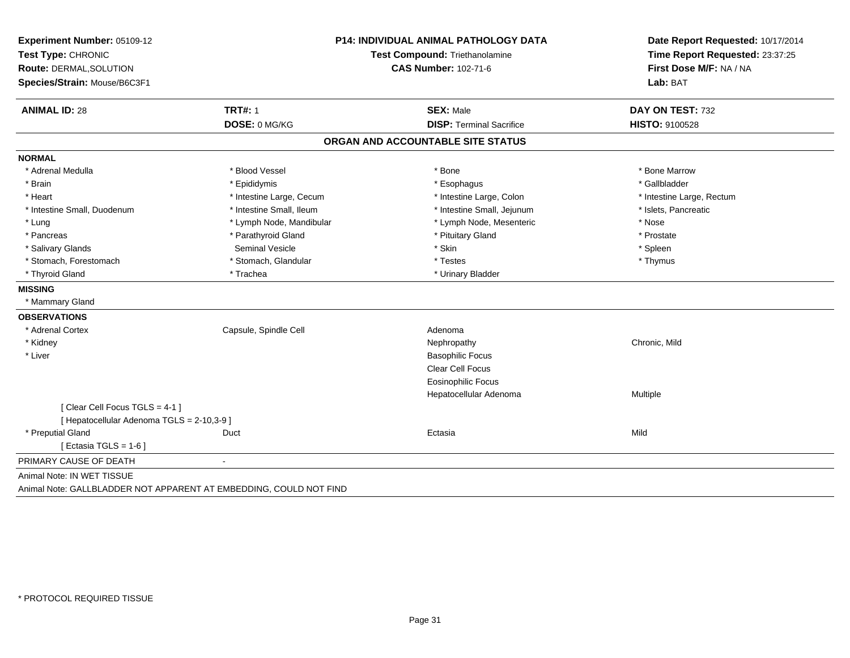| Experiment Number: 05109-12                                        |                          | <b>P14: INDIVIDUAL ANIMAL PATHOLOGY DATA</b> | Date Report Requested: 10/17/2014<br>Time Report Requested: 23:37:25 |
|--------------------------------------------------------------------|--------------------------|----------------------------------------------|----------------------------------------------------------------------|
| Test Type: CHRONIC                                                 |                          | Test Compound: Triethanolamine               |                                                                      |
| Route: DERMAL, SOLUTION                                            |                          | <b>CAS Number: 102-71-6</b>                  | First Dose M/F: NA / NA                                              |
| Species/Strain: Mouse/B6C3F1                                       |                          |                                              | Lab: BAT                                                             |
| <b>ANIMAL ID: 28</b>                                               | <b>TRT#: 1</b>           | <b>SEX: Male</b>                             | DAY ON TEST: 732                                                     |
|                                                                    | DOSE: 0 MG/KG            | <b>DISP: Terminal Sacrifice</b>              | HISTO: 9100528                                                       |
|                                                                    |                          | ORGAN AND ACCOUNTABLE SITE STATUS            |                                                                      |
| <b>NORMAL</b>                                                      |                          |                                              |                                                                      |
| * Adrenal Medulla                                                  | * Blood Vessel           | * Bone                                       | * Bone Marrow                                                        |
| * Brain                                                            | * Epididymis             | * Esophagus                                  | * Gallbladder                                                        |
| * Heart                                                            | * Intestine Large, Cecum | * Intestine Large, Colon                     | * Intestine Large, Rectum                                            |
| * Intestine Small, Duodenum                                        | * Intestine Small, Ileum | * Intestine Small, Jejunum                   | * Islets, Pancreatic                                                 |
| * Lung                                                             | * Lymph Node, Mandibular | * Lymph Node, Mesenteric                     | * Nose                                                               |
| * Pancreas                                                         | * Parathyroid Gland      | * Pituitary Gland                            | * Prostate                                                           |
| * Salivary Glands                                                  | <b>Seminal Vesicle</b>   | * Skin                                       | * Spleen                                                             |
| * Stomach, Forestomach                                             | * Stomach, Glandular     | * Testes                                     | * Thymus                                                             |
| * Thyroid Gland                                                    | * Trachea                | * Urinary Bladder                            |                                                                      |
| <b>MISSING</b>                                                     |                          |                                              |                                                                      |
| * Mammary Gland                                                    |                          |                                              |                                                                      |
| <b>OBSERVATIONS</b>                                                |                          |                                              |                                                                      |
| * Adrenal Cortex                                                   | Capsule, Spindle Cell    | Adenoma                                      |                                                                      |
| * Kidney                                                           |                          | Nephropathy                                  | Chronic, Mild                                                        |
| * Liver                                                            |                          | <b>Basophilic Focus</b>                      |                                                                      |
|                                                                    |                          | Clear Cell Focus                             |                                                                      |
|                                                                    |                          | <b>Eosinophilic Focus</b>                    |                                                                      |
|                                                                    |                          | Hepatocellular Adenoma                       | Multiple                                                             |
| [Clear Cell Focus TGLS = 4-1]                                      |                          |                                              |                                                                      |
| [ Hepatocellular Adenoma TGLS = 2-10,3-9 ]                         |                          |                                              |                                                                      |
| * Preputial Gland                                                  | Duct                     | Ectasia                                      | Mild                                                                 |
| [ Ectasia TGLS = $1-6$ ]                                           |                          |                                              |                                                                      |
| PRIMARY CAUSE OF DEATH                                             | $\overline{a}$           |                                              |                                                                      |
| Animal Note: IN WET TISSUE                                         |                          |                                              |                                                                      |
| Animal Note: GALLBLADDER NOT APPARENT AT EMBEDDING, COULD NOT FIND |                          |                                              |                                                                      |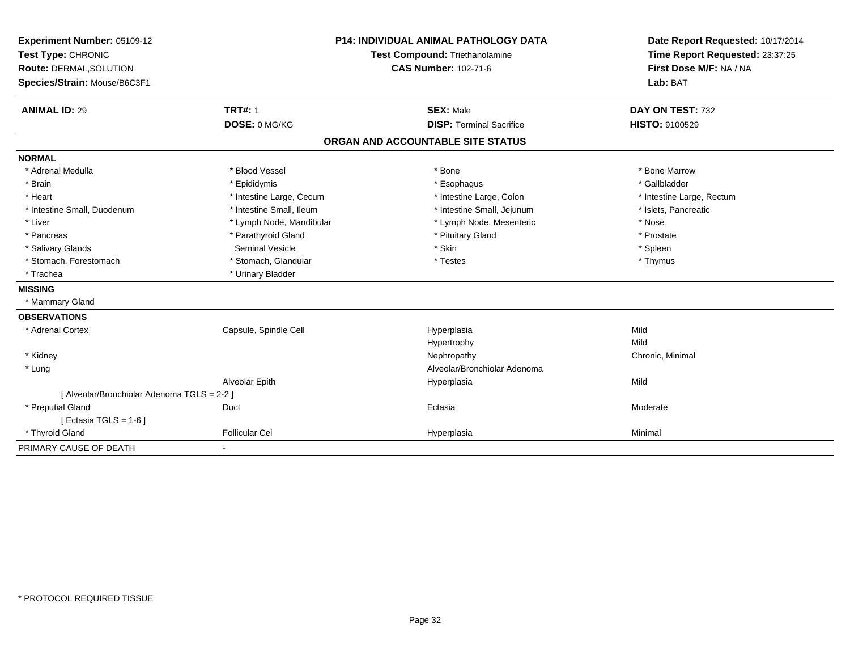| Experiment Number: 05109-12<br>Test Type: CHRONIC |                          | <b>P14: INDIVIDUAL ANIMAL PATHOLOGY DATA</b><br>Test Compound: Triethanolamine | Date Report Requested: 10/17/2014<br>Time Report Requested: 23:37:25 |
|---------------------------------------------------|--------------------------|--------------------------------------------------------------------------------|----------------------------------------------------------------------|
| Route: DERMAL, SOLUTION                           |                          | <b>CAS Number: 102-71-6</b>                                                    | First Dose M/F: NA / NA                                              |
| Species/Strain: Mouse/B6C3F1                      |                          |                                                                                | Lab: BAT                                                             |
| <b>ANIMAL ID: 29</b>                              | <b>TRT#: 1</b>           | <b>SEX: Male</b>                                                               | DAY ON TEST: 732                                                     |
|                                                   | DOSE: 0 MG/KG            | <b>DISP: Terminal Sacrifice</b>                                                | HISTO: 9100529                                                       |
|                                                   |                          | ORGAN AND ACCOUNTABLE SITE STATUS                                              |                                                                      |
| <b>NORMAL</b>                                     |                          |                                                                                |                                                                      |
| * Adrenal Medulla                                 | * Blood Vessel           | * Bone                                                                         | * Bone Marrow                                                        |
| * Brain                                           | * Epididymis             | * Esophagus                                                                    | * Gallbladder                                                        |
| * Heart                                           | * Intestine Large, Cecum | * Intestine Large, Colon                                                       | * Intestine Large, Rectum                                            |
| * Intestine Small, Duodenum                       | * Intestine Small, Ileum | * Intestine Small, Jejunum                                                     | * Islets, Pancreatic                                                 |
| * Liver                                           | * Lymph Node, Mandibular | * Lymph Node, Mesenteric                                                       | * Nose                                                               |
| * Pancreas                                        | * Parathyroid Gland      | * Pituitary Gland                                                              | * Prostate                                                           |
| * Salivary Glands                                 | <b>Seminal Vesicle</b>   | * Skin                                                                         | * Spleen                                                             |
| * Stomach, Forestomach                            | * Stomach, Glandular     | * Testes                                                                       | * Thymus                                                             |
| * Trachea                                         | * Urinary Bladder        |                                                                                |                                                                      |
| <b>MISSING</b>                                    |                          |                                                                                |                                                                      |
| * Mammary Gland                                   |                          |                                                                                |                                                                      |
| <b>OBSERVATIONS</b>                               |                          |                                                                                |                                                                      |
| * Adrenal Cortex                                  | Capsule, Spindle Cell    | Hyperplasia                                                                    | Mild                                                                 |
|                                                   |                          | Hypertrophy                                                                    | Mild                                                                 |
| * Kidney                                          |                          | Nephropathy                                                                    | Chronic, Minimal                                                     |
| * Lung                                            |                          | Alveolar/Bronchiolar Adenoma                                                   |                                                                      |
|                                                   | Alveolar Epith           | Hyperplasia                                                                    | Mild                                                                 |
| [ Alveolar/Bronchiolar Adenoma TGLS = 2-2 ]       |                          |                                                                                |                                                                      |
| * Preputial Gland                                 | Duct                     | Ectasia                                                                        | Moderate                                                             |
| [ Ectasia TGLS = $1-6$ ]                          |                          |                                                                                |                                                                      |
| * Thyroid Gland                                   | <b>Follicular Cel</b>    | Hyperplasia                                                                    | Minimal                                                              |
| PRIMARY CAUSE OF DEATH                            | $\blacksquare$           |                                                                                |                                                                      |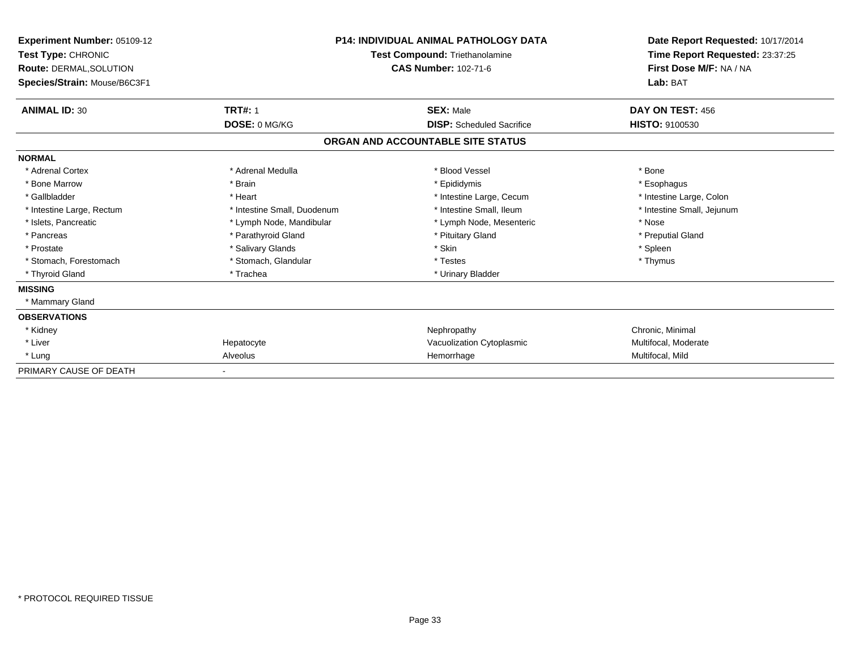| <b>Experiment Number: 05109-12</b><br>Test Type: CHRONIC<br><b>Route: DERMAL, SOLUTION</b><br>Species/Strain: Mouse/B6C3F1 | <b>P14: INDIVIDUAL ANIMAL PATHOLOGY DATA</b><br><b>Test Compound: Triethanolamine</b><br><b>CAS Number: 102-71-6</b> |                                   | Date Report Requested: 10/17/2014<br>Time Report Requested: 23:37:25<br>First Dose M/F: NA / NA<br>Lab: BAT |  |
|----------------------------------------------------------------------------------------------------------------------------|----------------------------------------------------------------------------------------------------------------------|-----------------------------------|-------------------------------------------------------------------------------------------------------------|--|
| <b>ANIMAL ID: 30</b>                                                                                                       | <b>TRT#: 1</b>                                                                                                       | <b>SEX: Male</b>                  | DAY ON TEST: 456                                                                                            |  |
|                                                                                                                            | DOSE: 0 MG/KG                                                                                                        | <b>DISP:</b> Scheduled Sacrifice  | HISTO: 9100530                                                                                              |  |
|                                                                                                                            |                                                                                                                      | ORGAN AND ACCOUNTABLE SITE STATUS |                                                                                                             |  |
| <b>NORMAL</b>                                                                                                              |                                                                                                                      |                                   |                                                                                                             |  |
| * Adrenal Cortex                                                                                                           | * Adrenal Medulla                                                                                                    | * Blood Vessel                    | * Bone                                                                                                      |  |
| * Bone Marrow                                                                                                              | * Brain                                                                                                              | * Epididymis                      | * Esophagus                                                                                                 |  |
| * Gallbladder                                                                                                              | * Heart                                                                                                              | * Intestine Large, Cecum          | * Intestine Large, Colon                                                                                    |  |
| * Intestine Large, Rectum                                                                                                  | * Intestine Small, Duodenum                                                                                          | * Intestine Small, Ileum          | * Intestine Small, Jejunum                                                                                  |  |
| * Islets, Pancreatic                                                                                                       | * Lymph Node, Mandibular                                                                                             | * Lymph Node, Mesenteric          | * Nose                                                                                                      |  |
| * Pancreas                                                                                                                 | * Parathyroid Gland                                                                                                  | * Pituitary Gland                 | * Preputial Gland                                                                                           |  |
| * Prostate                                                                                                                 | * Salivary Glands                                                                                                    | * Skin                            | * Spleen                                                                                                    |  |
| * Stomach, Forestomach                                                                                                     | * Stomach, Glandular                                                                                                 | * Testes                          | * Thymus                                                                                                    |  |
| * Thyroid Gland                                                                                                            | * Trachea                                                                                                            | * Urinary Bladder                 |                                                                                                             |  |
| <b>MISSING</b>                                                                                                             |                                                                                                                      |                                   |                                                                                                             |  |
| * Mammary Gland                                                                                                            |                                                                                                                      |                                   |                                                                                                             |  |
| <b>OBSERVATIONS</b>                                                                                                        |                                                                                                                      |                                   |                                                                                                             |  |
| * Kidney                                                                                                                   |                                                                                                                      | Nephropathy                       | Chronic, Minimal                                                                                            |  |
| * Liver                                                                                                                    | Hepatocyte                                                                                                           | Vacuolization Cytoplasmic         | Multifocal, Moderate                                                                                        |  |
| * Lung                                                                                                                     | Alveolus                                                                                                             | Hemorrhage                        | Multifocal, Mild                                                                                            |  |
| PRIMARY CAUSE OF DEATH                                                                                                     |                                                                                                                      |                                   |                                                                                                             |  |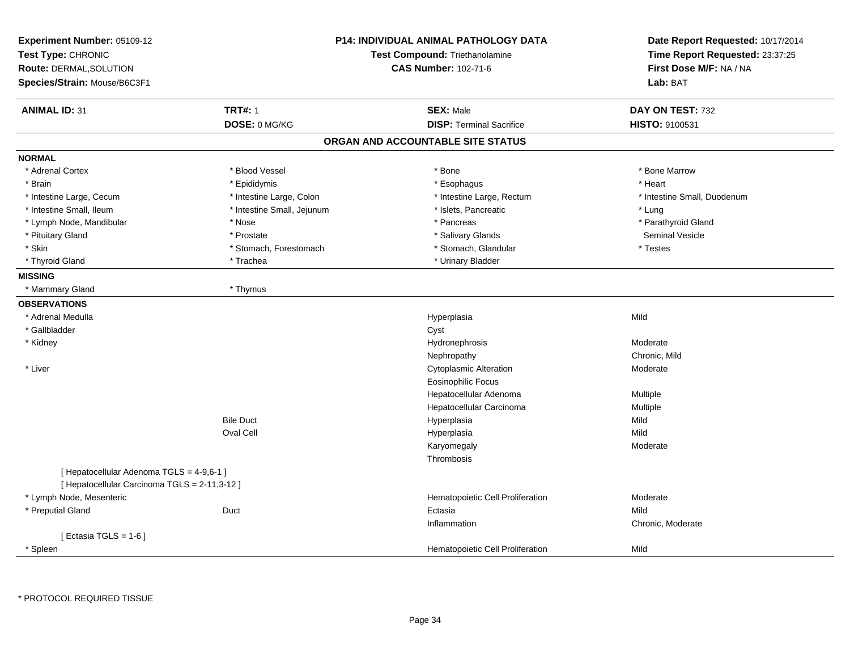| Experiment Number: 05109-12<br>Test Type: CHRONIC<br>Route: DERMAL, SOLUTION<br>Species/Strain: Mouse/B6C3F1 | <b>P14: INDIVIDUAL ANIMAL PATHOLOGY DATA</b><br>Test Compound: Triethanolamine<br><b>CAS Number: 102-71-6</b> |                                   | Date Report Requested: 10/17/2014<br>Time Report Requested: 23:37:25<br>First Dose M/F: NA / NA<br>Lab: BAT |
|--------------------------------------------------------------------------------------------------------------|---------------------------------------------------------------------------------------------------------------|-----------------------------------|-------------------------------------------------------------------------------------------------------------|
| <b>ANIMAL ID: 31</b>                                                                                         | <b>TRT#: 1</b>                                                                                                | <b>SEX: Male</b>                  | DAY ON TEST: 732                                                                                            |
|                                                                                                              | DOSE: 0 MG/KG                                                                                                 | <b>DISP: Terminal Sacrifice</b>   | HISTO: 9100531                                                                                              |
|                                                                                                              |                                                                                                               | ORGAN AND ACCOUNTABLE SITE STATUS |                                                                                                             |
| <b>NORMAL</b>                                                                                                |                                                                                                               |                                   |                                                                                                             |
| * Adrenal Cortex                                                                                             | * Blood Vessel                                                                                                | $*$ Bone                          | * Bone Marrow                                                                                               |
| * Brain                                                                                                      | * Epididymis                                                                                                  | * Esophagus                       | * Heart                                                                                                     |
| * Intestine Large, Cecum                                                                                     | * Intestine Large, Colon                                                                                      | * Intestine Large, Rectum         | * Intestine Small, Duodenum                                                                                 |
| * Intestine Small, Ileum                                                                                     | * Intestine Small, Jejunum                                                                                    | * Islets, Pancreatic              | * Lung                                                                                                      |
| * Lymph Node, Mandibular                                                                                     | * Nose                                                                                                        | * Pancreas                        | * Parathyroid Gland                                                                                         |
| * Pituitary Gland                                                                                            | * Prostate                                                                                                    | * Salivary Glands                 | <b>Seminal Vesicle</b>                                                                                      |
| * Skin                                                                                                       | * Stomach, Forestomach                                                                                        | * Stomach, Glandular              | * Testes                                                                                                    |
| * Thyroid Gland                                                                                              | * Trachea                                                                                                     | * Urinary Bladder                 |                                                                                                             |
| <b>MISSING</b>                                                                                               |                                                                                                               |                                   |                                                                                                             |
| * Mammary Gland                                                                                              | * Thymus                                                                                                      |                                   |                                                                                                             |
| <b>OBSERVATIONS</b>                                                                                          |                                                                                                               |                                   |                                                                                                             |
| * Adrenal Medulla                                                                                            |                                                                                                               | Hyperplasia                       | Mild                                                                                                        |
| * Gallbladder                                                                                                |                                                                                                               | Cyst                              |                                                                                                             |
| * Kidney                                                                                                     |                                                                                                               | Hydronephrosis                    | Moderate                                                                                                    |
|                                                                                                              |                                                                                                               | Nephropathy                       | Chronic, Mild                                                                                               |
| * Liver                                                                                                      |                                                                                                               | <b>Cytoplasmic Alteration</b>     | Moderate                                                                                                    |
|                                                                                                              |                                                                                                               | <b>Eosinophilic Focus</b>         |                                                                                                             |
|                                                                                                              |                                                                                                               | Hepatocellular Adenoma            | <b>Multiple</b>                                                                                             |
|                                                                                                              |                                                                                                               | Hepatocellular Carcinoma          | Multiple                                                                                                    |
|                                                                                                              | <b>Bile Duct</b>                                                                                              | Hyperplasia                       | Mild                                                                                                        |
|                                                                                                              | Oval Cell                                                                                                     | Hyperplasia                       | Mild                                                                                                        |
|                                                                                                              |                                                                                                               | Karyomegaly                       | Moderate                                                                                                    |
|                                                                                                              |                                                                                                               | Thrombosis                        |                                                                                                             |
| [ Hepatocellular Adenoma TGLS = 4-9,6-1 ]                                                                    |                                                                                                               |                                   |                                                                                                             |
| [ Hepatocellular Carcinoma TGLS = 2-11,3-12 ]                                                                |                                                                                                               |                                   |                                                                                                             |
| * Lymph Node, Mesenteric                                                                                     |                                                                                                               | Hematopoietic Cell Proliferation  | Moderate                                                                                                    |
| * Preputial Gland                                                                                            | Duct                                                                                                          | Ectasia                           | Mild                                                                                                        |
|                                                                                                              |                                                                                                               | Inflammation                      | Chronic, Moderate                                                                                           |
| [ Ectasia TGLS = $1-6$ ]                                                                                     |                                                                                                               |                                   |                                                                                                             |
| * Spleen                                                                                                     |                                                                                                               | Hematopoietic Cell Proliferation  | Mild                                                                                                        |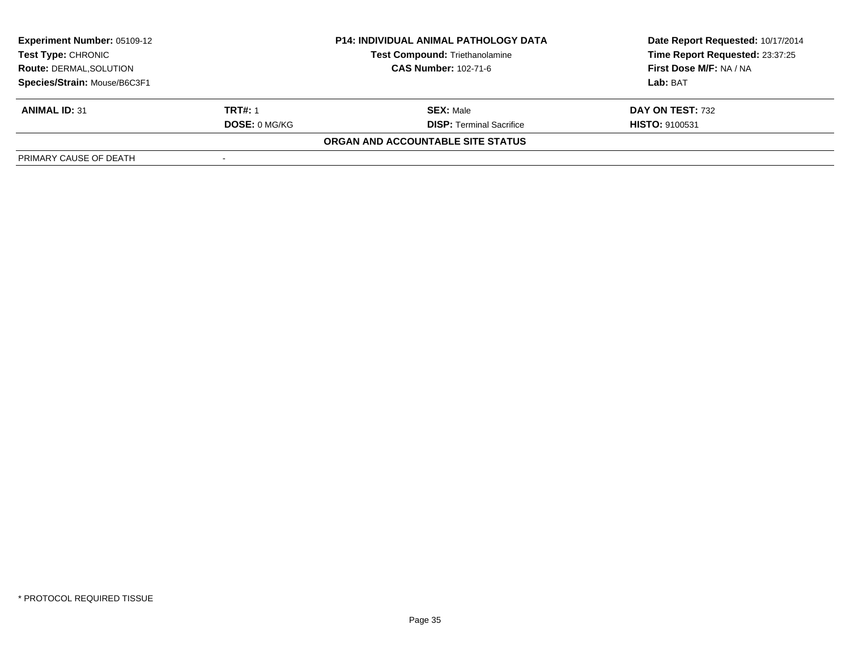| <b>Experiment Number: 05109-12</b><br>Test Type: CHRONIC | <b>P14: INDIVIDUAL ANIMAL PATHOLOGY DATA</b><br><b>Test Compound: Triethanolamine</b> |                                   | Date Report Requested: 10/17/2014<br>Time Report Requested: 23:37:25 |  |
|----------------------------------------------------------|---------------------------------------------------------------------------------------|-----------------------------------|----------------------------------------------------------------------|--|
| <b>Route: DERMAL, SOLUTION</b>                           |                                                                                       | <b>CAS Number: 102-71-6</b>       | First Dose M/F: NA / NA                                              |  |
| Species/Strain: Mouse/B6C3F1                             |                                                                                       |                                   | Lab: BAT                                                             |  |
| <b>ANIMAL ID: 31</b>                                     | <b>TRT#: 1</b>                                                                        | <b>SEX:</b> Male                  | DAY ON TEST: 732                                                     |  |
|                                                          | <b>DOSE: 0 MG/KG</b>                                                                  | <b>DISP: Terminal Sacrifice</b>   | <b>HISTO: 9100531</b>                                                |  |
|                                                          |                                                                                       | ORGAN AND ACCOUNTABLE SITE STATUS |                                                                      |  |
| PRIMARY CAUSE OF DEATH                                   |                                                                                       |                                   |                                                                      |  |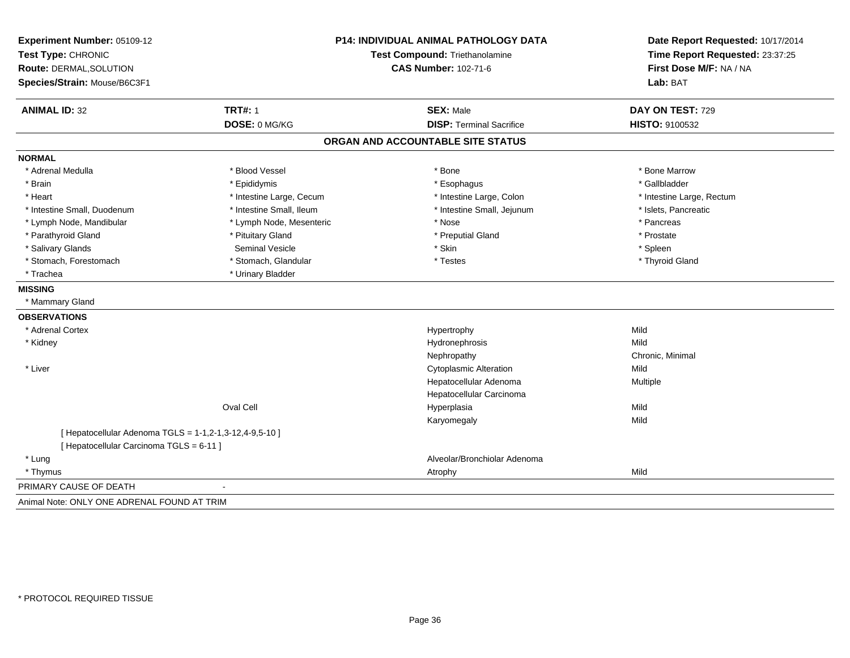| Experiment Number: 05109-12                             |                                                               | <b>P14: INDIVIDUAL ANIMAL PATHOLOGY DATA</b> | Date Report Requested: 10/17/2014                                      |
|---------------------------------------------------------|---------------------------------------------------------------|----------------------------------------------|------------------------------------------------------------------------|
| Test Type: CHRONIC                                      | Test Compound: Triethanolamine<br><b>CAS Number: 102-71-6</b> |                                              | Time Report Requested: 23:37:25<br>First Dose M/F: NA / NA<br>Lab: BAT |
| Route: DERMAL, SOLUTION                                 |                                                               |                                              |                                                                        |
| Species/Strain: Mouse/B6C3F1                            |                                                               |                                              |                                                                        |
| <b>ANIMAL ID: 32</b>                                    | <b>TRT#: 1</b>                                                | <b>SEX: Male</b>                             | DAY ON TEST: 729                                                       |
|                                                         | DOSE: 0 MG/KG                                                 | <b>DISP: Terminal Sacrifice</b>              | HISTO: 9100532                                                         |
|                                                         |                                                               | ORGAN AND ACCOUNTABLE SITE STATUS            |                                                                        |
| <b>NORMAL</b>                                           |                                                               |                                              |                                                                        |
| * Adrenal Medulla                                       | * Blood Vessel                                                | $*$ Bone                                     | * Bone Marrow                                                          |
| * Brain                                                 | * Epididymis                                                  | * Esophagus                                  | * Gallbladder                                                          |
| * Heart                                                 | * Intestine Large, Cecum                                      | * Intestine Large, Colon                     | * Intestine Large, Rectum                                              |
| * Intestine Small, Duodenum                             | * Intestine Small, Ileum                                      | * Intestine Small, Jejunum                   | * Islets, Pancreatic                                                   |
| * Lymph Node, Mandibular                                | * Lymph Node, Mesenteric                                      | * Nose                                       | * Pancreas                                                             |
| * Parathyroid Gland                                     | * Pituitary Gland                                             | * Preputial Gland                            | * Prostate                                                             |
| * Salivary Glands                                       | Seminal Vesicle                                               | * Skin                                       | * Spleen                                                               |
| * Stomach, Forestomach                                  | * Stomach, Glandular                                          | * Testes                                     | * Thyroid Gland                                                        |
| * Trachea                                               | * Urinary Bladder                                             |                                              |                                                                        |
| <b>MISSING</b>                                          |                                                               |                                              |                                                                        |
| * Mammary Gland                                         |                                                               |                                              |                                                                        |
| <b>OBSERVATIONS</b>                                     |                                                               |                                              |                                                                        |
| * Adrenal Cortex                                        |                                                               | Hypertrophy                                  | Mild                                                                   |
| * Kidney                                                |                                                               | Hydronephrosis                               | Mild                                                                   |
|                                                         |                                                               | Nephropathy                                  | Chronic, Minimal                                                       |
| * Liver                                                 |                                                               | <b>Cytoplasmic Alteration</b>                | Mild                                                                   |
|                                                         |                                                               | Hepatocellular Adenoma                       | Multiple                                                               |
|                                                         |                                                               | Hepatocellular Carcinoma                     |                                                                        |
| Oval Cell                                               |                                                               | Hyperplasia                                  | Mild                                                                   |
|                                                         |                                                               | Karyomegaly                                  | Mild                                                                   |
| [ Hepatocellular Adenoma TGLS = 1-1,2-1,3-12,4-9,5-10 ] |                                                               |                                              |                                                                        |
| [ Hepatocellular Carcinoma TGLS = 6-11 ]                |                                                               |                                              |                                                                        |
| * Lung                                                  |                                                               | Alveolar/Bronchiolar Adenoma                 |                                                                        |
| * Thymus                                                |                                                               | Atrophy                                      | Mild                                                                   |
| PRIMARY CAUSE OF DEATH                                  |                                                               |                                              |                                                                        |
| Animal Note: ONLY ONE ADRENAL FOUND AT TRIM             |                                                               |                                              |                                                                        |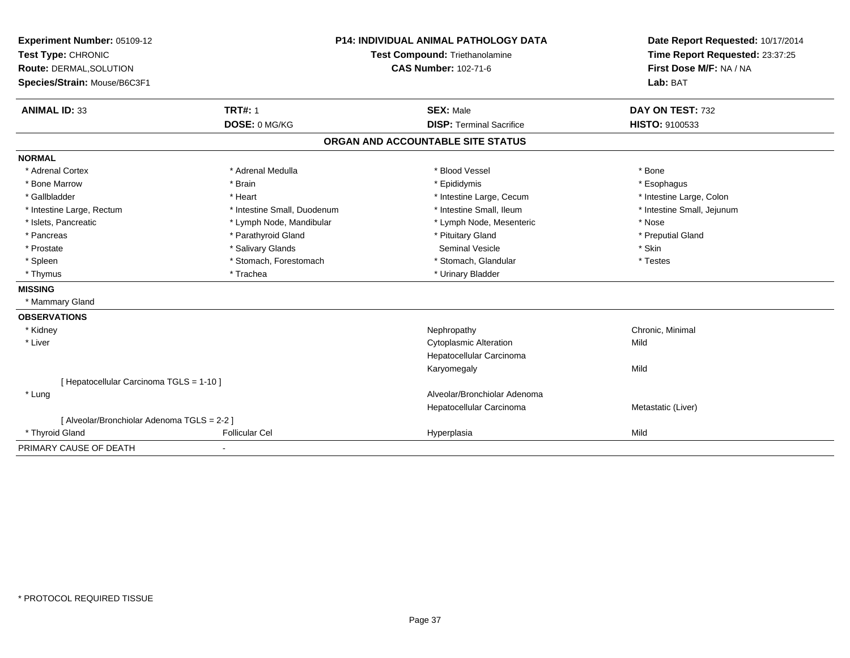| Experiment Number: 05109-12                 |                             | <b>P14: INDIVIDUAL ANIMAL PATHOLOGY DATA</b> |                                                            |
|---------------------------------------------|-----------------------------|----------------------------------------------|------------------------------------------------------------|
| Test Type: CHRONIC                          |                             | Test Compound: Triethanolamine               | Time Report Requested: 23:37:25<br>First Dose M/F: NA / NA |
| Route: DERMAL, SOLUTION                     |                             | <b>CAS Number: 102-71-6</b>                  |                                                            |
| Species/Strain: Mouse/B6C3F1                |                             |                                              | Lab: BAT                                                   |
| <b>ANIMAL ID: 33</b>                        | <b>TRT#: 1</b>              | <b>SEX: Male</b>                             | DAY ON TEST: 732                                           |
|                                             | DOSE: 0 MG/KG               | <b>DISP: Terminal Sacrifice</b>              | HISTO: 9100533                                             |
|                                             |                             | ORGAN AND ACCOUNTABLE SITE STATUS            |                                                            |
| <b>NORMAL</b>                               |                             |                                              |                                                            |
| * Adrenal Cortex                            | * Adrenal Medulla           | * Blood Vessel                               | * Bone                                                     |
| * Bone Marrow                               | * Brain                     | * Epididymis                                 | * Esophagus                                                |
| * Gallbladder                               | * Heart                     | * Intestine Large, Cecum                     | * Intestine Large, Colon                                   |
| * Intestine Large, Rectum                   | * Intestine Small, Duodenum | * Intestine Small, Ileum                     | * Intestine Small, Jejunum                                 |
| * Islets, Pancreatic                        | * Lymph Node, Mandibular    | * Lymph Node, Mesenteric                     | * Nose                                                     |
| * Pancreas                                  | * Parathyroid Gland         | * Pituitary Gland                            | * Preputial Gland                                          |
| * Prostate                                  | * Salivary Glands           | Seminal Vesicle                              | * Skin                                                     |
| * Spleen                                    | * Stomach, Forestomach      | * Stomach, Glandular                         | * Testes                                                   |
| * Thymus                                    | * Trachea                   | * Urinary Bladder                            |                                                            |
| <b>MISSING</b>                              |                             |                                              |                                                            |
| * Mammary Gland                             |                             |                                              |                                                            |
| <b>OBSERVATIONS</b>                         |                             |                                              |                                                            |
| * Kidney                                    |                             | Nephropathy                                  | Chronic, Minimal                                           |
| * Liver                                     |                             | <b>Cytoplasmic Alteration</b>                | Mild                                                       |
|                                             |                             | Hepatocellular Carcinoma                     |                                                            |
|                                             |                             | Karyomegaly                                  | Mild                                                       |
| [ Hepatocellular Carcinoma TGLS = 1-10 ]    |                             |                                              |                                                            |
| * Lung                                      |                             | Alveolar/Bronchiolar Adenoma                 |                                                            |
|                                             |                             | Hepatocellular Carcinoma                     | Metastatic (Liver)                                         |
| [ Alveolar/Bronchiolar Adenoma TGLS = 2-2 ] |                             |                                              |                                                            |
| * Thyroid Gland                             | <b>Follicular Cel</b>       | Hyperplasia                                  | Mild                                                       |
| PRIMARY CAUSE OF DEATH                      | $\blacksquare$              |                                              |                                                            |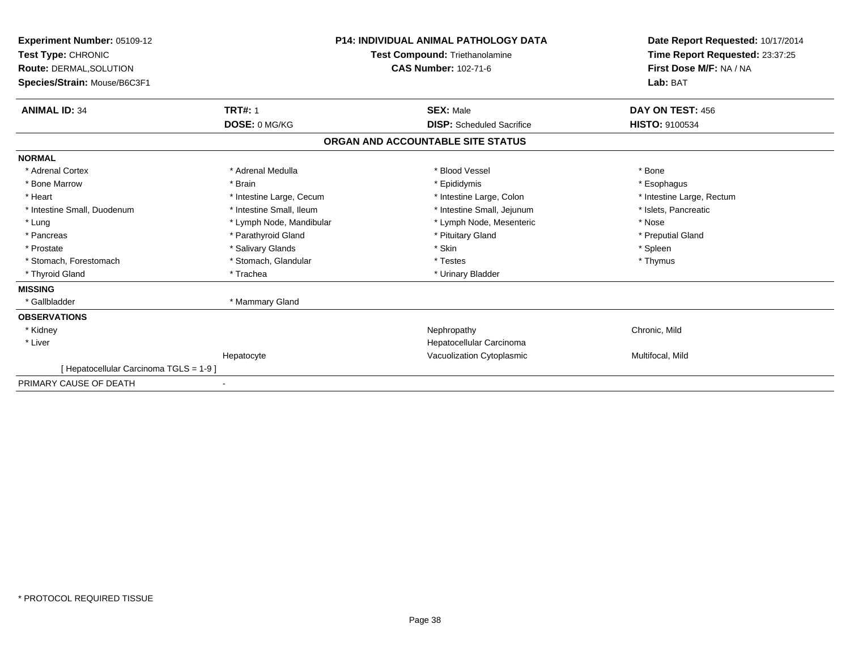| Experiment Number: 05109-12<br>Test Type: CHRONIC<br><b>Route: DERMAL, SOLUTION</b><br>Species/Strain: Mouse/B6C3F1 | <b>P14: INDIVIDUAL ANIMAL PATHOLOGY DATA</b><br>Test Compound: Triethanolamine<br><b>CAS Number: 102-71-6</b> |                                   | Date Report Requested: 10/17/2014<br>Time Report Requested: 23:37:25<br>First Dose M/F: NA / NA<br>Lab: BAT |  |
|---------------------------------------------------------------------------------------------------------------------|---------------------------------------------------------------------------------------------------------------|-----------------------------------|-------------------------------------------------------------------------------------------------------------|--|
| <b>ANIMAL ID: 34</b>                                                                                                | <b>TRT#: 1</b>                                                                                                | <b>SEX: Male</b>                  | DAY ON TEST: 456                                                                                            |  |
|                                                                                                                     | DOSE: 0 MG/KG                                                                                                 | <b>DISP:</b> Scheduled Sacrifice  | HISTO: 9100534                                                                                              |  |
|                                                                                                                     |                                                                                                               | ORGAN AND ACCOUNTABLE SITE STATUS |                                                                                                             |  |
| <b>NORMAL</b>                                                                                                       |                                                                                                               |                                   |                                                                                                             |  |
| * Adrenal Cortex                                                                                                    | * Adrenal Medulla                                                                                             | * Blood Vessel                    | * Bone                                                                                                      |  |
| * Bone Marrow                                                                                                       | * Brain                                                                                                       | * Epididymis                      | * Esophagus                                                                                                 |  |
| * Heart                                                                                                             | * Intestine Large, Cecum                                                                                      | * Intestine Large, Colon          | * Intestine Large, Rectum                                                                                   |  |
| * Intestine Small, Duodenum                                                                                         | * Intestine Small, Ileum                                                                                      | * Intestine Small, Jejunum        | * Islets, Pancreatic                                                                                        |  |
| * Lung                                                                                                              | * Lymph Node, Mandibular                                                                                      | * Lymph Node, Mesenteric          | * Nose                                                                                                      |  |
| * Pancreas                                                                                                          | * Parathyroid Gland                                                                                           | * Pituitary Gland                 | * Preputial Gland                                                                                           |  |
| * Prostate                                                                                                          | * Salivary Glands                                                                                             | * Skin                            | * Spleen                                                                                                    |  |
| * Stomach, Forestomach                                                                                              | * Stomach, Glandular                                                                                          | * Testes                          | * Thymus                                                                                                    |  |
| * Thyroid Gland                                                                                                     | * Trachea                                                                                                     | * Urinary Bladder                 |                                                                                                             |  |
| <b>MISSING</b>                                                                                                      |                                                                                                               |                                   |                                                                                                             |  |
| * Gallbladder                                                                                                       | * Mammary Gland                                                                                               |                                   |                                                                                                             |  |
| <b>OBSERVATIONS</b>                                                                                                 |                                                                                                               |                                   |                                                                                                             |  |
| * Kidney                                                                                                            |                                                                                                               | Nephropathy                       | Chronic, Mild                                                                                               |  |
| * Liver                                                                                                             |                                                                                                               | Hepatocellular Carcinoma          |                                                                                                             |  |
|                                                                                                                     | Hepatocyte                                                                                                    | Vacuolization Cytoplasmic         | Multifocal, Mild                                                                                            |  |
| [ Hepatocellular Carcinoma TGLS = 1-9 ]                                                                             |                                                                                                               |                                   |                                                                                                             |  |
| PRIMARY CAUSE OF DEATH                                                                                              |                                                                                                               |                                   |                                                                                                             |  |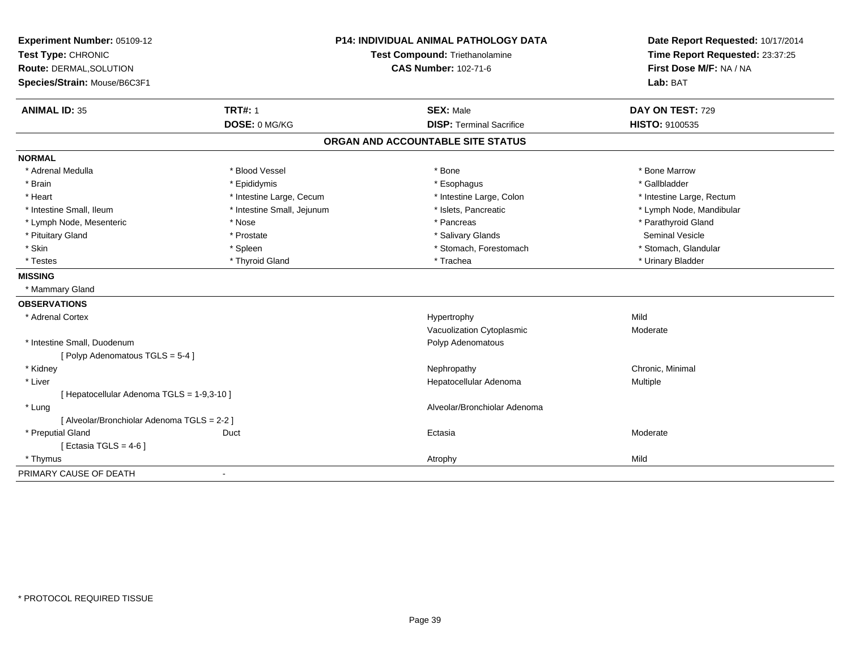| Experiment Number: 05109-12<br>Test Type: CHRONIC<br>Route: DERMAL, SOLUTION<br>Species/Strain: Mouse/B6C3F1 |                            | <b>P14: INDIVIDUAL ANIMAL PATHOLOGY DATA</b><br>Test Compound: Triethanolamine<br><b>CAS Number: 102-71-6</b> | Date Report Requested: 10/17/2014<br>Time Report Requested: 23:37:25<br>First Dose M/F: NA / NA<br>Lab: BAT |
|--------------------------------------------------------------------------------------------------------------|----------------------------|---------------------------------------------------------------------------------------------------------------|-------------------------------------------------------------------------------------------------------------|
| <b>ANIMAL ID: 35</b>                                                                                         | <b>TRT#: 1</b>             | <b>SEX: Male</b>                                                                                              | DAY ON TEST: 729                                                                                            |
|                                                                                                              | DOSE: 0 MG/KG              | <b>DISP: Terminal Sacrifice</b>                                                                               | HISTO: 9100535                                                                                              |
|                                                                                                              |                            | ORGAN AND ACCOUNTABLE SITE STATUS                                                                             |                                                                                                             |
| <b>NORMAL</b>                                                                                                |                            |                                                                                                               |                                                                                                             |
| * Adrenal Medulla                                                                                            | * Blood Vessel             | * Bone                                                                                                        | * Bone Marrow                                                                                               |
| * Brain                                                                                                      | * Epididymis               | * Esophagus                                                                                                   | * Gallbladder                                                                                               |
| * Heart                                                                                                      | * Intestine Large, Cecum   | * Intestine Large, Colon                                                                                      | * Intestine Large, Rectum                                                                                   |
| * Intestine Small, Ileum                                                                                     | * Intestine Small, Jejunum | * Islets, Pancreatic                                                                                          | * Lymph Node, Mandibular                                                                                    |
| * Lymph Node, Mesenteric                                                                                     | * Nose                     | * Pancreas                                                                                                    | * Parathyroid Gland                                                                                         |
| * Pituitary Gland                                                                                            | * Prostate                 | * Salivary Glands                                                                                             | <b>Seminal Vesicle</b>                                                                                      |
| * Skin                                                                                                       | * Spleen                   | * Stomach, Forestomach                                                                                        | * Stomach, Glandular                                                                                        |
| * Testes                                                                                                     | * Thyroid Gland            | * Trachea                                                                                                     | * Urinary Bladder                                                                                           |
| <b>MISSING</b>                                                                                               |                            |                                                                                                               |                                                                                                             |
| * Mammary Gland                                                                                              |                            |                                                                                                               |                                                                                                             |
| <b>OBSERVATIONS</b>                                                                                          |                            |                                                                                                               |                                                                                                             |
| * Adrenal Cortex                                                                                             |                            | Hypertrophy                                                                                                   | Mild                                                                                                        |
|                                                                                                              |                            | Vacuolization Cytoplasmic                                                                                     | Moderate                                                                                                    |
| * Intestine Small, Duodenum                                                                                  |                            | Polyp Adenomatous                                                                                             |                                                                                                             |
| [Polyp Adenomatous TGLS = 5-4]                                                                               |                            |                                                                                                               |                                                                                                             |
| * Kidney                                                                                                     |                            | Nephropathy                                                                                                   | Chronic, Minimal                                                                                            |
| * Liver                                                                                                      |                            | Hepatocellular Adenoma                                                                                        | Multiple                                                                                                    |
| [ Hepatocellular Adenoma TGLS = 1-9,3-10 ]                                                                   |                            |                                                                                                               |                                                                                                             |
| * Lung                                                                                                       |                            | Alveolar/Bronchiolar Adenoma                                                                                  |                                                                                                             |
| [ Alveolar/Bronchiolar Adenoma TGLS = 2-2 ]                                                                  |                            |                                                                                                               |                                                                                                             |
| * Preputial Gland                                                                                            | Duct                       | Ectasia                                                                                                       | Moderate                                                                                                    |
| [ Ectasia TGLS = $4-6$ ]                                                                                     |                            |                                                                                                               |                                                                                                             |
| * Thymus                                                                                                     |                            | Atrophy                                                                                                       | Mild                                                                                                        |
| PRIMARY CAUSE OF DEATH                                                                                       | $\blacksquare$             |                                                                                                               |                                                                                                             |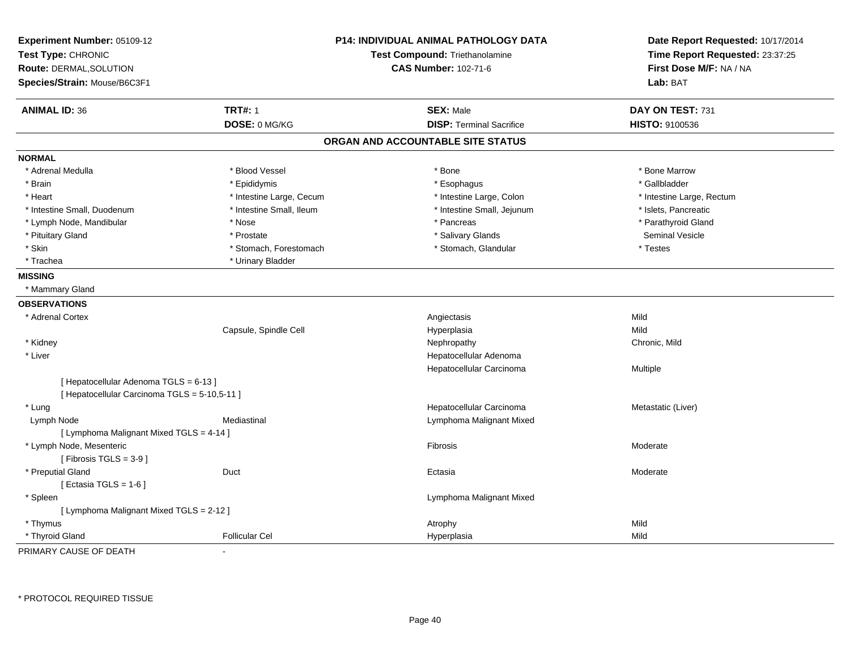| Experiment Number: 05109-12<br>Test Type: CHRONIC<br>Route: DERMAL, SOLUTION<br>Species/Strain: Mouse/B6C3F1 | P14: INDIVIDUAL ANIMAL PATHOLOGY DATA<br>Test Compound: Triethanolamine<br><b>CAS Number: 102-71-6</b> |                                   | Date Report Requested: 10/17/2014<br>Time Report Requested: 23:37:25<br>First Dose M/F: NA / NA<br>Lab: BAT |  |
|--------------------------------------------------------------------------------------------------------------|--------------------------------------------------------------------------------------------------------|-----------------------------------|-------------------------------------------------------------------------------------------------------------|--|
| <b>ANIMAL ID: 36</b>                                                                                         | <b>TRT#: 1</b>                                                                                         | <b>SEX: Male</b>                  | DAY ON TEST: 731                                                                                            |  |
|                                                                                                              | DOSE: 0 MG/KG                                                                                          | <b>DISP: Terminal Sacrifice</b>   | HISTO: 9100536                                                                                              |  |
|                                                                                                              |                                                                                                        | ORGAN AND ACCOUNTABLE SITE STATUS |                                                                                                             |  |
| <b>NORMAL</b>                                                                                                |                                                                                                        |                                   |                                                                                                             |  |
| * Adrenal Medulla                                                                                            | * Blood Vessel                                                                                         | * Bone                            | * Bone Marrow                                                                                               |  |
| * Brain                                                                                                      | * Epididymis                                                                                           | * Esophagus                       | * Gallbladder                                                                                               |  |
| * Heart                                                                                                      | * Intestine Large, Cecum                                                                               | * Intestine Large, Colon          | * Intestine Large, Rectum                                                                                   |  |
| * Intestine Small, Duodenum                                                                                  | * Intestine Small, Ileum                                                                               | * Intestine Small, Jejunum        | * Islets, Pancreatic                                                                                        |  |
| * Lymph Node, Mandibular                                                                                     | * Nose                                                                                                 | * Pancreas                        | * Parathyroid Gland                                                                                         |  |
| * Pituitary Gland                                                                                            | * Prostate                                                                                             | * Salivary Glands                 | <b>Seminal Vesicle</b>                                                                                      |  |
| * Skin                                                                                                       | * Stomach, Forestomach                                                                                 | * Stomach, Glandular              | * Testes                                                                                                    |  |
| * Trachea                                                                                                    | * Urinary Bladder                                                                                      |                                   |                                                                                                             |  |
| <b>MISSING</b>                                                                                               |                                                                                                        |                                   |                                                                                                             |  |
| * Mammary Gland                                                                                              |                                                                                                        |                                   |                                                                                                             |  |
| <b>OBSERVATIONS</b>                                                                                          |                                                                                                        |                                   |                                                                                                             |  |
| * Adrenal Cortex                                                                                             |                                                                                                        | Angiectasis                       | Mild                                                                                                        |  |
|                                                                                                              | Capsule, Spindle Cell                                                                                  | Hyperplasia                       | Mild                                                                                                        |  |
| * Kidney                                                                                                     |                                                                                                        | Nephropathy                       | Chronic, Mild                                                                                               |  |
| * Liver                                                                                                      |                                                                                                        | Hepatocellular Adenoma            |                                                                                                             |  |
|                                                                                                              |                                                                                                        | Hepatocellular Carcinoma          | Multiple                                                                                                    |  |
| [ Hepatocellular Adenoma TGLS = 6-13 ]<br>[ Hepatocellular Carcinoma TGLS = 5-10,5-11 ]                      |                                                                                                        |                                   |                                                                                                             |  |
| * Lung                                                                                                       |                                                                                                        | Hepatocellular Carcinoma          | Metastatic (Liver)                                                                                          |  |
| Lymph Node                                                                                                   | Mediastinal                                                                                            | Lymphoma Malignant Mixed          |                                                                                                             |  |
| [ Lymphoma Malignant Mixed TGLS = 4-14 ]                                                                     |                                                                                                        |                                   |                                                                                                             |  |
| * Lymph Node, Mesenteric                                                                                     |                                                                                                        | Fibrosis                          | Moderate                                                                                                    |  |
| [Fibrosis TGLS = $3-9$ ]                                                                                     |                                                                                                        |                                   |                                                                                                             |  |
| * Preputial Gland                                                                                            | Duct                                                                                                   | Ectasia                           | Moderate                                                                                                    |  |
| [ Ectasia TGLS = $1-6$ ]                                                                                     |                                                                                                        |                                   |                                                                                                             |  |
| * Spleen                                                                                                     |                                                                                                        | Lymphoma Malignant Mixed          |                                                                                                             |  |
| [ Lymphoma Malignant Mixed TGLS = 2-12 ]                                                                     |                                                                                                        |                                   |                                                                                                             |  |
| * Thymus                                                                                                     |                                                                                                        | Atrophy                           | Mild                                                                                                        |  |
| * Thyroid Gland                                                                                              | <b>Follicular Cel</b>                                                                                  | Hyperplasia                       | Mild                                                                                                        |  |

PRIMARY CAUSE OF DEATH-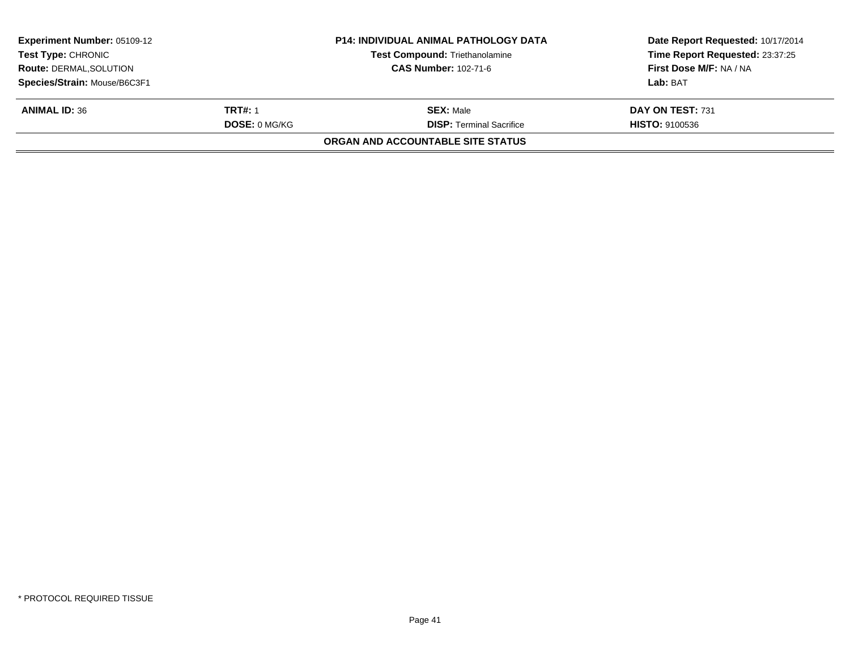| <b>Experiment Number: 05109-12</b><br><b>Test Compound: Triethanolamine</b><br><b>Test Type: CHRONIC</b><br><b>CAS Number: 102-71-6</b><br><b>Route: DERMAL, SOLUTION</b><br>Species/Strain: Mouse/B6C3F1 |                                        | <b>P14: INDIVIDUAL ANIMAL PATHOLOGY DATA</b>        | Date Report Requested: 10/17/2014<br>Time Report Requested: 23:37:25<br>First Dose M/F: NA / NA<br>Lab: BAT |
|-----------------------------------------------------------------------------------------------------------------------------------------------------------------------------------------------------------|----------------------------------------|-----------------------------------------------------|-------------------------------------------------------------------------------------------------------------|
| <b>ANIMAL ID: 36</b>                                                                                                                                                                                      | <b>TRT#: 1</b><br><b>DOSE: 0 MG/KG</b> | <b>SEX: Male</b><br><b>DISP: Terminal Sacrifice</b> | DAY ON TEST: 731<br><b>HISTO: 9100536</b>                                                                   |
|                                                                                                                                                                                                           |                                        | ORGAN AND ACCOUNTABLE SITE STATUS                   |                                                                                                             |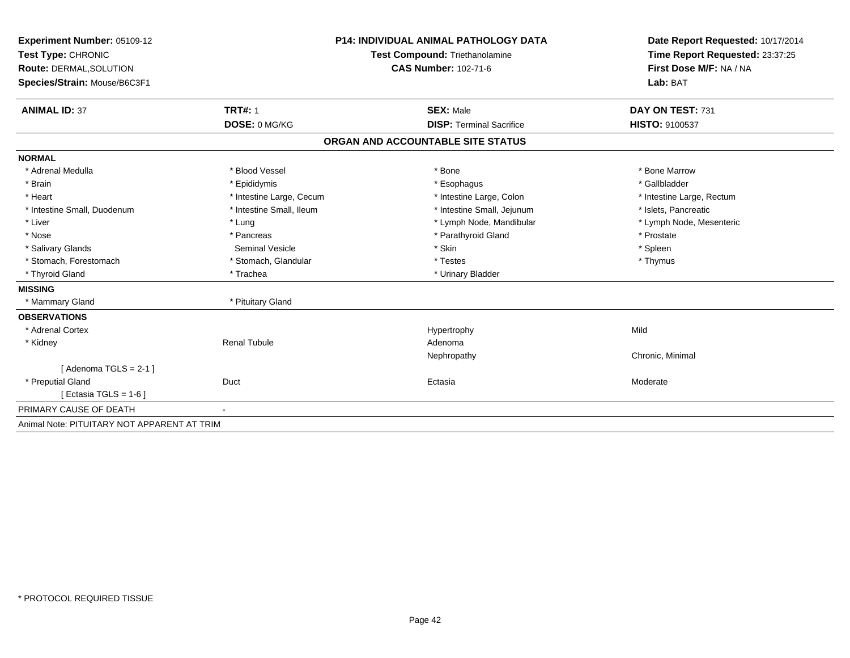| Experiment Number: 05109-12                 | <b>P14: INDIVIDUAL ANIMAL PATHOLOGY DATA</b> |                                       | Date Report Requested: 10/17/2014 |  |
|---------------------------------------------|----------------------------------------------|---------------------------------------|-----------------------------------|--|
| Test Type: CHRONIC                          |                                              | <b>Test Compound: Triethanolamine</b> | Time Report Requested: 23:37:25   |  |
| Route: DERMAL, SOLUTION                     |                                              | <b>CAS Number: 102-71-6</b>           | First Dose M/F: NA / NA           |  |
| Species/Strain: Mouse/B6C3F1                |                                              |                                       | Lab: BAT                          |  |
|                                             |                                              |                                       |                                   |  |
| <b>ANIMAL ID: 37</b>                        | <b>TRT#: 1</b>                               | <b>SEX: Male</b>                      | DAY ON TEST: 731                  |  |
|                                             | DOSE: 0 MG/KG                                | <b>DISP: Terminal Sacrifice</b>       | HISTO: 9100537                    |  |
|                                             |                                              | ORGAN AND ACCOUNTABLE SITE STATUS     |                                   |  |
| <b>NORMAL</b>                               |                                              |                                       |                                   |  |
| * Adrenal Medulla                           | * Blood Vessel                               | * Bone                                | * Bone Marrow                     |  |
| * Brain                                     | * Epididymis                                 | * Esophagus                           | * Gallbladder                     |  |
| * Heart                                     | * Intestine Large, Cecum                     | * Intestine Large, Colon              | * Intestine Large, Rectum         |  |
| * Intestine Small, Duodenum                 | * Intestine Small, Ileum                     | * Intestine Small, Jejunum            | * Islets, Pancreatic              |  |
| * Liver                                     | * Lung                                       | * Lymph Node, Mandibular              | * Lymph Node, Mesenteric          |  |
| * Nose                                      | * Pancreas                                   | * Parathyroid Gland                   | * Prostate                        |  |
| * Salivary Glands                           | Seminal Vesicle                              | * Skin                                | * Spleen                          |  |
| * Stomach, Forestomach                      | * Stomach, Glandular                         | * Testes                              | * Thymus                          |  |
| * Thyroid Gland                             | * Trachea                                    | * Urinary Bladder                     |                                   |  |
| <b>MISSING</b>                              |                                              |                                       |                                   |  |
| * Mammary Gland                             | * Pituitary Gland                            |                                       |                                   |  |
| <b>OBSERVATIONS</b>                         |                                              |                                       |                                   |  |
| * Adrenal Cortex                            |                                              | Hypertrophy                           | Mild                              |  |
| * Kidney                                    | <b>Renal Tubule</b>                          | Adenoma                               |                                   |  |
|                                             |                                              | Nephropathy                           | Chronic, Minimal                  |  |
| [Adenoma TGLS = $2-1$ ]                     |                                              |                                       |                                   |  |
| * Preputial Gland                           | Duct                                         | Ectasia                               | Moderate                          |  |
| [Ectasia TGLS = 1-6]                        |                                              |                                       |                                   |  |
| PRIMARY CAUSE OF DEATH                      |                                              |                                       |                                   |  |
| Animal Note: PITUITARY NOT APPARENT AT TRIM |                                              |                                       |                                   |  |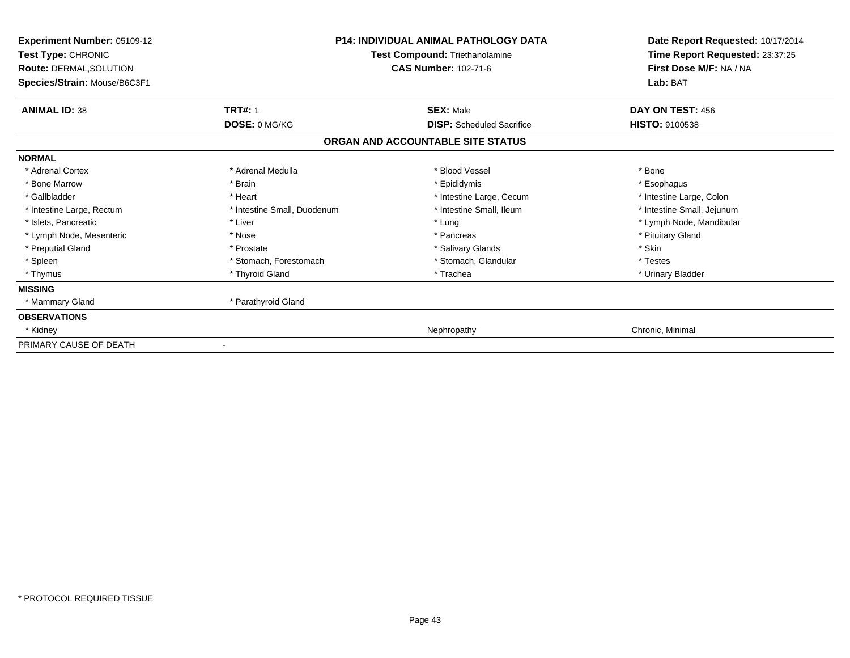| Experiment Number: 05109-12<br>Test Type: CHRONIC<br><b>Route: DERMAL, SOLUTION</b><br>Species/Strain: Mouse/B6C3F1 |                             | <b>P14: INDIVIDUAL ANIMAL PATHOLOGY DATA</b><br>Test Compound: Triethanolamine<br><b>CAS Number: 102-71-6</b> | Date Report Requested: 10/17/2014<br>Time Report Requested: 23:37:25<br>First Dose M/F: NA / NA<br>Lab: BAT |  |
|---------------------------------------------------------------------------------------------------------------------|-----------------------------|---------------------------------------------------------------------------------------------------------------|-------------------------------------------------------------------------------------------------------------|--|
| <b>ANIMAL ID: 38</b>                                                                                                | <b>TRT#: 1</b>              | <b>SEX: Male</b>                                                                                              | DAY ON TEST: 456                                                                                            |  |
|                                                                                                                     | DOSE: 0 MG/KG               | <b>DISP:</b> Scheduled Sacrifice<br>ORGAN AND ACCOUNTABLE SITE STATUS                                         | HISTO: 9100538                                                                                              |  |
| <b>NORMAL</b>                                                                                                       |                             |                                                                                                               |                                                                                                             |  |
| * Adrenal Cortex                                                                                                    | * Adrenal Medulla           | * Blood Vessel                                                                                                | * Bone                                                                                                      |  |
| * Bone Marrow                                                                                                       | * Brain                     | * Epididymis                                                                                                  | * Esophagus                                                                                                 |  |
| * Gallbladder                                                                                                       | * Heart                     | * Intestine Large, Cecum                                                                                      | * Intestine Large, Colon                                                                                    |  |
| * Intestine Large, Rectum                                                                                           | * Intestine Small, Duodenum | * Intestine Small, Ileum                                                                                      | * Intestine Small, Jejunum                                                                                  |  |
| * Islets, Pancreatic                                                                                                | * Liver                     | * Lung                                                                                                        | * Lymph Node, Mandibular                                                                                    |  |
| * Lymph Node, Mesenteric                                                                                            | * Nose                      | * Pancreas                                                                                                    | * Pituitary Gland                                                                                           |  |
| * Preputial Gland                                                                                                   | * Prostate                  | * Salivary Glands                                                                                             | * Skin                                                                                                      |  |
| * Spleen                                                                                                            | * Stomach, Forestomach      | * Stomach, Glandular                                                                                          | * Testes                                                                                                    |  |
| * Thymus                                                                                                            | * Thyroid Gland             | * Trachea                                                                                                     | * Urinary Bladder                                                                                           |  |
| <b>MISSING</b>                                                                                                      |                             |                                                                                                               |                                                                                                             |  |
| * Mammary Gland                                                                                                     | * Parathyroid Gland         |                                                                                                               |                                                                                                             |  |
| <b>OBSERVATIONS</b>                                                                                                 |                             |                                                                                                               |                                                                                                             |  |
| * Kidney                                                                                                            |                             | Nephropathy                                                                                                   | Chronic, Minimal                                                                                            |  |
| PRIMARY CAUSE OF DEATH                                                                                              |                             |                                                                                                               |                                                                                                             |  |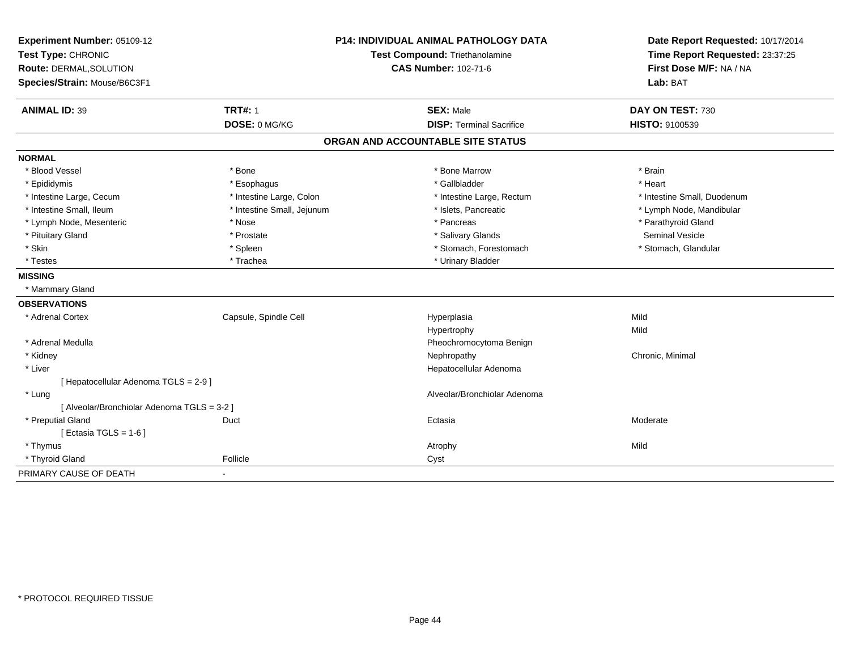| Experiment Number: 05109-12                 | <b>P14: INDIVIDUAL ANIMAL PATHOLOGY DATA</b><br>Test Compound: Triethanolamine |                                   | Date Report Requested: 10/17/2014 |
|---------------------------------------------|--------------------------------------------------------------------------------|-----------------------------------|-----------------------------------|
| Test Type: CHRONIC                          |                                                                                |                                   | Time Report Requested: 23:37:25   |
| Route: DERMAL, SOLUTION                     |                                                                                | <b>CAS Number: 102-71-6</b>       | First Dose M/F: NA / NA           |
| Species/Strain: Mouse/B6C3F1                |                                                                                |                                   | Lab: BAT                          |
| <b>ANIMAL ID: 39</b>                        | <b>TRT#: 1</b>                                                                 | <b>SEX: Male</b>                  | DAY ON TEST: 730                  |
|                                             | DOSE: 0 MG/KG                                                                  | <b>DISP: Terminal Sacrifice</b>   | HISTO: 9100539                    |
|                                             |                                                                                | ORGAN AND ACCOUNTABLE SITE STATUS |                                   |
| <b>NORMAL</b>                               |                                                                                |                                   |                                   |
| * Blood Vessel                              | * Bone                                                                         | * Bone Marrow                     | * Brain                           |
| * Epididymis                                | * Esophagus                                                                    | * Gallbladder                     | * Heart                           |
| * Intestine Large, Cecum                    | * Intestine Large, Colon                                                       | * Intestine Large, Rectum         | * Intestine Small, Duodenum       |
| * Intestine Small, Ileum                    | * Intestine Small, Jejunum                                                     | * Islets, Pancreatic              | * Lymph Node, Mandibular          |
| * Lymph Node, Mesenteric                    | * Nose                                                                         | * Pancreas                        | * Parathyroid Gland               |
| * Pituitary Gland                           | * Prostate                                                                     | * Salivary Glands                 | <b>Seminal Vesicle</b>            |
| * Skin                                      | * Spleen                                                                       | * Stomach, Forestomach            | * Stomach, Glandular              |
| * Testes                                    | * Trachea                                                                      | * Urinary Bladder                 |                                   |
| <b>MISSING</b>                              |                                                                                |                                   |                                   |
| * Mammary Gland                             |                                                                                |                                   |                                   |
| <b>OBSERVATIONS</b>                         |                                                                                |                                   |                                   |
| * Adrenal Cortex                            | Capsule, Spindle Cell                                                          | Hyperplasia                       | Mild                              |
|                                             |                                                                                | Hypertrophy                       | Mild                              |
| * Adrenal Medulla                           |                                                                                | Pheochromocytoma Benign           |                                   |
| * Kidney                                    |                                                                                | Nephropathy                       | Chronic, Minimal                  |
| * Liver                                     |                                                                                | Hepatocellular Adenoma            |                                   |
| [ Hepatocellular Adenoma TGLS = 2-9 ]       |                                                                                |                                   |                                   |
| * Lung                                      |                                                                                | Alveolar/Bronchiolar Adenoma      |                                   |
| [ Alveolar/Bronchiolar Adenoma TGLS = 3-2 ] |                                                                                |                                   |                                   |
| * Preputial Gland                           | Duct                                                                           | Ectasia                           | Moderate                          |
| [ Ectasia TGLS = $1-6$ ]                    |                                                                                |                                   |                                   |
| * Thymus                                    |                                                                                | Atrophy                           | Mild                              |
| * Thyroid Gland                             | Follicle                                                                       | Cyst                              |                                   |
| PRIMARY CAUSE OF DEATH                      |                                                                                |                                   |                                   |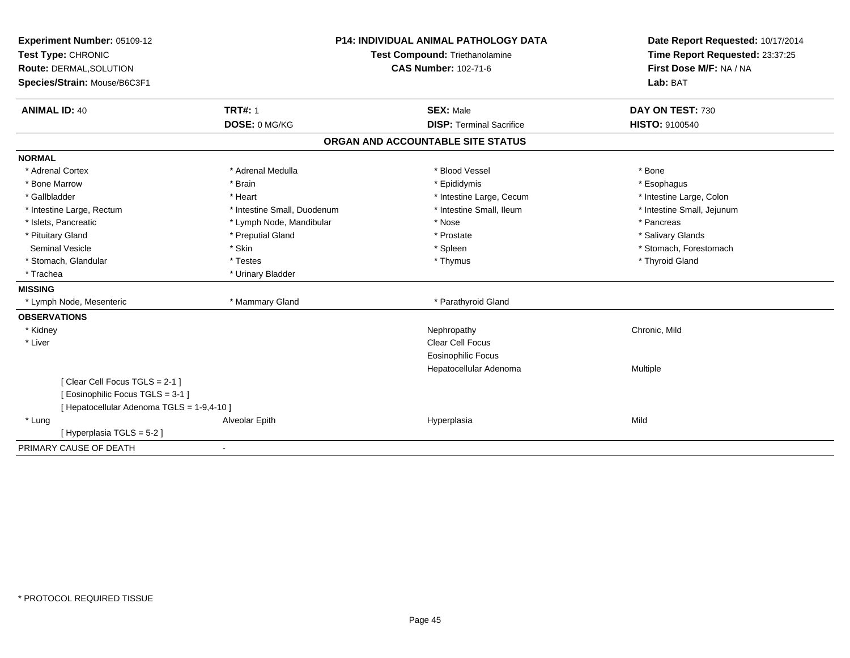| Experiment Number: 05109-12                | <b>P14: INDIVIDUAL ANIMAL PATHOLOGY DATA</b><br>Test Compound: Triethanolamine |                                   | Date Report Requested: 10/17/2014 |
|--------------------------------------------|--------------------------------------------------------------------------------|-----------------------------------|-----------------------------------|
| Test Type: CHRONIC                         |                                                                                |                                   | Time Report Requested: 23:37:25   |
| <b>Route: DERMAL, SOLUTION</b>             |                                                                                | <b>CAS Number: 102-71-6</b>       | First Dose M/F: NA / NA           |
| Species/Strain: Mouse/B6C3F1               |                                                                                |                                   | Lab: BAT                          |
| <b>ANIMAL ID: 40</b>                       | <b>TRT#: 1</b>                                                                 | <b>SEX: Male</b>                  | DAY ON TEST: 730                  |
|                                            | DOSE: 0 MG/KG                                                                  | <b>DISP: Terminal Sacrifice</b>   | <b>HISTO: 9100540</b>             |
|                                            |                                                                                | ORGAN AND ACCOUNTABLE SITE STATUS |                                   |
| <b>NORMAL</b>                              |                                                                                |                                   |                                   |
| * Adrenal Cortex                           | * Adrenal Medulla                                                              | * Blood Vessel                    | * Bone                            |
| * Bone Marrow                              | * Brain                                                                        | * Epididymis                      | * Esophagus                       |
| * Gallbladder                              | * Heart                                                                        | * Intestine Large, Cecum          | * Intestine Large, Colon          |
| * Intestine Large, Rectum                  | * Intestine Small, Duodenum                                                    | * Intestine Small, Ileum          | * Intestine Small, Jejunum        |
| * Islets, Pancreatic                       | * Lymph Node, Mandibular                                                       | * Nose                            | * Pancreas                        |
| * Pituitary Gland                          | * Preputial Gland                                                              | * Prostate                        | * Salivary Glands                 |
| <b>Seminal Vesicle</b>                     | * Skin                                                                         | * Spleen                          | * Stomach, Forestomach            |
| * Stomach, Glandular                       | * Testes                                                                       | * Thymus                          | * Thyroid Gland                   |
| * Trachea                                  | * Urinary Bladder                                                              |                                   |                                   |
| <b>MISSING</b>                             |                                                                                |                                   |                                   |
| * Lymph Node, Mesenteric                   | * Mammary Gland                                                                | * Parathyroid Gland               |                                   |
| <b>OBSERVATIONS</b>                        |                                                                                |                                   |                                   |
| * Kidney                                   |                                                                                | Nephropathy                       | Chronic, Mild                     |
| * Liver                                    |                                                                                | Clear Cell Focus                  |                                   |
|                                            |                                                                                | Eosinophilic Focus                |                                   |
|                                            |                                                                                | Hepatocellular Adenoma            | <b>Multiple</b>                   |
| [Clear Cell Focus TGLS = 2-1]              |                                                                                |                                   |                                   |
| [ Eosinophilic Focus TGLS = 3-1 ]          |                                                                                |                                   |                                   |
| [ Hepatocellular Adenoma TGLS = 1-9,4-10 ] |                                                                                |                                   |                                   |
| * Lung                                     | Alveolar Epith                                                                 | Hyperplasia                       | Mild                              |
| [Hyperplasia TGLS = 5-2]                   |                                                                                |                                   |                                   |
| PRIMARY CAUSE OF DEATH                     |                                                                                |                                   |                                   |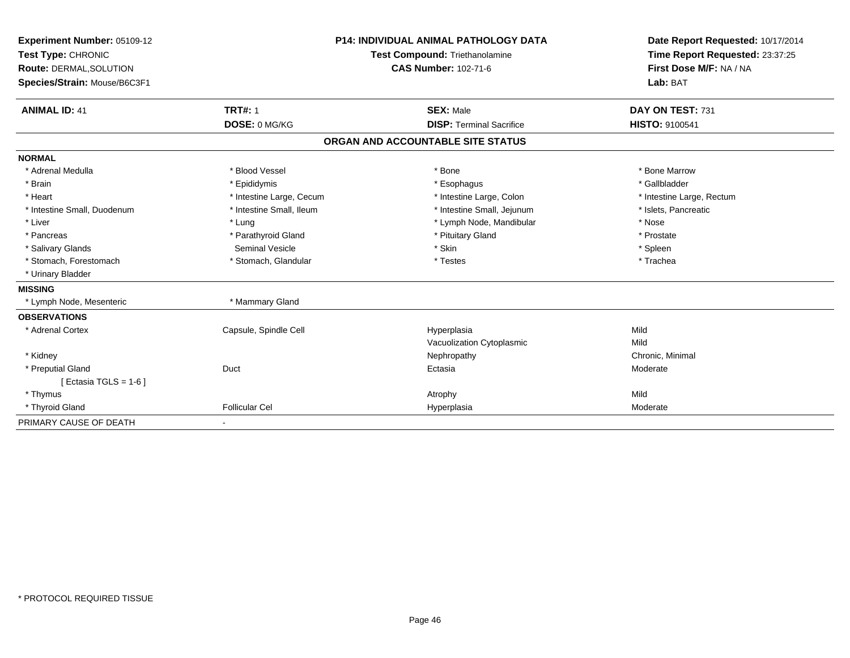| Experiment Number: 05109-12<br>Test Type: CHRONIC<br><b>Route: DERMAL, SOLUTION</b><br>Species/Strain: Mouse/B6C3F1 |                          | <b>P14: INDIVIDUAL ANIMAL PATHOLOGY DATA</b><br>Test Compound: Triethanolamine<br><b>CAS Number: 102-71-6</b> | Date Report Requested: 10/17/2014<br>Time Report Requested: 23:37:25<br>First Dose M/F: NA / NA<br>Lab: BAT |
|---------------------------------------------------------------------------------------------------------------------|--------------------------|---------------------------------------------------------------------------------------------------------------|-------------------------------------------------------------------------------------------------------------|
| <b>ANIMAL ID: 41</b>                                                                                                | <b>TRT#: 1</b>           | <b>SEX: Male</b>                                                                                              | DAY ON TEST: 731                                                                                            |
|                                                                                                                     | DOSE: 0 MG/KG            | <b>DISP: Terminal Sacrifice</b>                                                                               | <b>HISTO: 9100541</b>                                                                                       |
|                                                                                                                     |                          | ORGAN AND ACCOUNTABLE SITE STATUS                                                                             |                                                                                                             |
| <b>NORMAL</b>                                                                                                       |                          |                                                                                                               |                                                                                                             |
| * Adrenal Medulla                                                                                                   | * Blood Vessel           | * Bone                                                                                                        | * Bone Marrow                                                                                               |
| * Brain                                                                                                             | * Epididymis             | * Esophagus                                                                                                   | * Gallbladder                                                                                               |
| * Heart                                                                                                             | * Intestine Large, Cecum | * Intestine Large, Colon                                                                                      | * Intestine Large, Rectum                                                                                   |
| * Intestine Small, Duodenum                                                                                         | * Intestine Small, Ileum | * Intestine Small, Jejunum                                                                                    | * Islets, Pancreatic                                                                                        |
| * Liver                                                                                                             | * Lung                   | * Lymph Node, Mandibular                                                                                      | * Nose                                                                                                      |
| * Pancreas                                                                                                          | * Parathyroid Gland      | * Pituitary Gland                                                                                             | * Prostate                                                                                                  |
| * Salivary Glands                                                                                                   | <b>Seminal Vesicle</b>   | * Skin                                                                                                        | * Spleen                                                                                                    |
| * Stomach, Forestomach                                                                                              | * Stomach, Glandular     | * Testes                                                                                                      | * Trachea                                                                                                   |
| * Urinary Bladder                                                                                                   |                          |                                                                                                               |                                                                                                             |
| <b>MISSING</b>                                                                                                      |                          |                                                                                                               |                                                                                                             |
| * Lymph Node, Mesenteric                                                                                            | * Mammary Gland          |                                                                                                               |                                                                                                             |
| <b>OBSERVATIONS</b>                                                                                                 |                          |                                                                                                               |                                                                                                             |
| * Adrenal Cortex                                                                                                    | Capsule, Spindle Cell    | Hyperplasia                                                                                                   | Mild                                                                                                        |
|                                                                                                                     |                          | Vacuolization Cytoplasmic                                                                                     | Mild                                                                                                        |
| * Kidney                                                                                                            |                          | Nephropathy                                                                                                   | Chronic, Minimal                                                                                            |
| * Preputial Gland                                                                                                   | Duct                     | Ectasia                                                                                                       | Moderate                                                                                                    |
| [ Ectasia TGLS = $1-6$ ]                                                                                            |                          |                                                                                                               |                                                                                                             |
| * Thymus                                                                                                            |                          | Atrophy                                                                                                       | Mild                                                                                                        |
| * Thyroid Gland                                                                                                     | <b>Follicular Cel</b>    | Hyperplasia                                                                                                   | Moderate                                                                                                    |
| PRIMARY CAUSE OF DEATH                                                                                              |                          |                                                                                                               |                                                                                                             |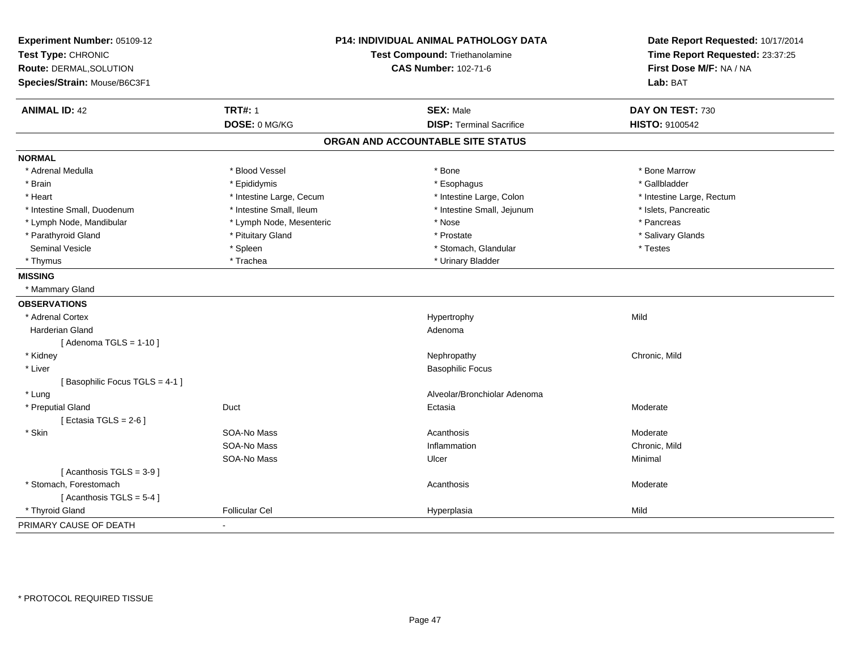| Experiment Number: 05109-12<br>Test Type: CHRONIC<br>Route: DERMAL, SOLUTION<br>Species/Strain: Mouse/B6C3F1 |                          | P14: INDIVIDUAL ANIMAL PATHOLOGY DATA<br>Test Compound: Triethanolamine<br><b>CAS Number: 102-71-6</b> | Date Report Requested: 10/17/2014<br>Time Report Requested: 23:37:25<br>First Dose M/F: NA / NA<br>Lab: BAT |
|--------------------------------------------------------------------------------------------------------------|--------------------------|--------------------------------------------------------------------------------------------------------|-------------------------------------------------------------------------------------------------------------|
| <b>ANIMAL ID: 42</b>                                                                                         | <b>TRT#: 1</b>           | <b>SEX: Male</b>                                                                                       | DAY ON TEST: 730                                                                                            |
|                                                                                                              | DOSE: 0 MG/KG            | <b>DISP: Terminal Sacrifice</b>                                                                        | <b>HISTO: 9100542</b>                                                                                       |
|                                                                                                              |                          | ORGAN AND ACCOUNTABLE SITE STATUS                                                                      |                                                                                                             |
| <b>NORMAL</b>                                                                                                |                          |                                                                                                        |                                                                                                             |
| * Adrenal Medulla                                                                                            | * Blood Vessel           | * Bone                                                                                                 | * Bone Marrow                                                                                               |
| * Brain                                                                                                      | * Epididymis             | * Esophagus                                                                                            | * Gallbladder                                                                                               |
| * Heart                                                                                                      | * Intestine Large, Cecum | * Intestine Large, Colon                                                                               | * Intestine Large, Rectum                                                                                   |
| * Intestine Small, Duodenum                                                                                  | * Intestine Small, Ileum | * Intestine Small, Jejunum                                                                             | * Islets, Pancreatic                                                                                        |
| * Lymph Node, Mandibular                                                                                     | * Lymph Node, Mesenteric | * Nose                                                                                                 | * Pancreas                                                                                                  |
| * Parathyroid Gland                                                                                          | * Pituitary Gland        | * Prostate                                                                                             | * Salivary Glands                                                                                           |
| <b>Seminal Vesicle</b>                                                                                       | * Spleen                 | * Stomach, Glandular                                                                                   | * Testes                                                                                                    |
| * Thymus                                                                                                     | * Trachea                | * Urinary Bladder                                                                                      |                                                                                                             |
| <b>MISSING</b>                                                                                               |                          |                                                                                                        |                                                                                                             |
| * Mammary Gland                                                                                              |                          |                                                                                                        |                                                                                                             |
| <b>OBSERVATIONS</b>                                                                                          |                          |                                                                                                        |                                                                                                             |
| * Adrenal Cortex                                                                                             |                          | Hypertrophy                                                                                            | Mild                                                                                                        |
| <b>Harderian Gland</b>                                                                                       |                          | Adenoma                                                                                                |                                                                                                             |
| [Adenoma TGLS = $1-10$ ]                                                                                     |                          |                                                                                                        |                                                                                                             |
| * Kidney                                                                                                     |                          | Nephropathy                                                                                            | Chronic, Mild                                                                                               |
| * Liver                                                                                                      |                          | <b>Basophilic Focus</b>                                                                                |                                                                                                             |
| [Basophilic Focus TGLS = 4-1]                                                                                |                          |                                                                                                        |                                                                                                             |
| * Lung                                                                                                       |                          | Alveolar/Bronchiolar Adenoma                                                                           |                                                                                                             |
| * Preputial Gland                                                                                            | Duct                     | Ectasia                                                                                                | Moderate                                                                                                    |
| [ Ectasia TGLS = $2-6$ ]                                                                                     |                          |                                                                                                        |                                                                                                             |
| * Skin                                                                                                       | SOA-No Mass              | Acanthosis                                                                                             | Moderate                                                                                                    |
|                                                                                                              | SOA-No Mass              | Inflammation                                                                                           | Chronic, Mild                                                                                               |
|                                                                                                              | SOA-No Mass              | Ulcer                                                                                                  | Minimal                                                                                                     |
| [Acanthosis TGLS = $3-9$ ]                                                                                   |                          |                                                                                                        |                                                                                                             |
| * Stomach, Forestomach                                                                                       |                          | Acanthosis                                                                                             | Moderate                                                                                                    |
| [Acanthosis TGLS = $5-4$ ]                                                                                   |                          |                                                                                                        |                                                                                                             |
| * Thyroid Gland                                                                                              | <b>Follicular Cel</b>    | Hyperplasia                                                                                            | Mild                                                                                                        |
| PRIMARY CAUSE OF DEATH                                                                                       | $\blacksquare$           |                                                                                                        |                                                                                                             |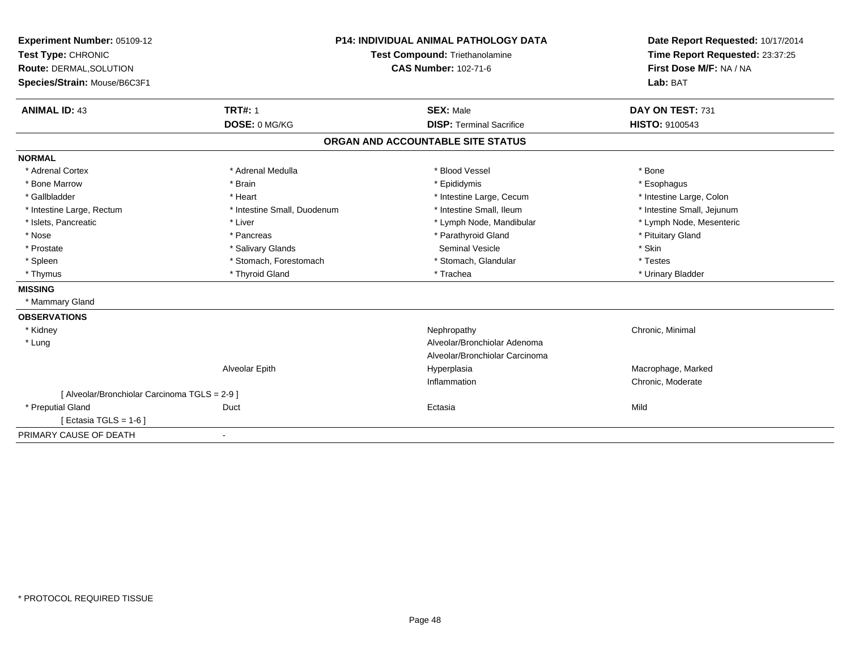| Experiment Number: 05109-12<br>Test Type: CHRONIC<br>Route: DERMAL, SOLUTION<br>Species/Strain: Mouse/B6C3F1 | <b>P14: INDIVIDUAL ANIMAL PATHOLOGY DATA</b><br><b>Test Compound: Triethanolamine</b><br><b>CAS Number: 102-71-6</b> |                                   | Date Report Requested: 10/17/2014<br>Time Report Requested: 23:37:25<br>First Dose M/F: NA / NA<br>Lab: BAT |
|--------------------------------------------------------------------------------------------------------------|----------------------------------------------------------------------------------------------------------------------|-----------------------------------|-------------------------------------------------------------------------------------------------------------|
| <b>ANIMAL ID: 43</b>                                                                                         | <b>TRT#: 1</b>                                                                                                       | <b>SEX: Male</b>                  | DAY ON TEST: 731                                                                                            |
|                                                                                                              | DOSE: 0 MG/KG                                                                                                        | <b>DISP: Terminal Sacrifice</b>   | <b>HISTO: 9100543</b>                                                                                       |
|                                                                                                              |                                                                                                                      | ORGAN AND ACCOUNTABLE SITE STATUS |                                                                                                             |
| <b>NORMAL</b>                                                                                                |                                                                                                                      |                                   |                                                                                                             |
| * Adrenal Cortex                                                                                             | * Adrenal Medulla                                                                                                    | * Blood Vessel                    | * Bone                                                                                                      |
| * Bone Marrow                                                                                                | * Brain                                                                                                              | * Epididymis                      | * Esophagus                                                                                                 |
| * Gallbladder                                                                                                | * Heart                                                                                                              | * Intestine Large, Cecum          | * Intestine Large, Colon                                                                                    |
| * Intestine Large, Rectum                                                                                    | * Intestine Small, Duodenum                                                                                          | * Intestine Small, Ileum          | * Intestine Small, Jejunum                                                                                  |
| * Islets, Pancreatic                                                                                         | * Liver                                                                                                              | * Lymph Node, Mandibular          | * Lymph Node, Mesenteric                                                                                    |
| * Nose                                                                                                       | * Pancreas                                                                                                           | * Parathyroid Gland               | * Pituitary Gland                                                                                           |
| * Prostate                                                                                                   | * Salivary Glands                                                                                                    | Seminal Vesicle                   | * Skin                                                                                                      |
| * Spleen                                                                                                     | * Stomach, Forestomach                                                                                               | * Stomach, Glandular              | * Testes                                                                                                    |
| * Thymus                                                                                                     | * Thyroid Gland                                                                                                      | * Trachea                         | * Urinary Bladder                                                                                           |
| <b>MISSING</b>                                                                                               |                                                                                                                      |                                   |                                                                                                             |
| * Mammary Gland                                                                                              |                                                                                                                      |                                   |                                                                                                             |
| <b>OBSERVATIONS</b>                                                                                          |                                                                                                                      |                                   |                                                                                                             |
| * Kidney                                                                                                     |                                                                                                                      | Nephropathy                       | Chronic, Minimal                                                                                            |
| * Lung                                                                                                       |                                                                                                                      | Alveolar/Bronchiolar Adenoma      |                                                                                                             |
|                                                                                                              |                                                                                                                      | Alveolar/Bronchiolar Carcinoma    |                                                                                                             |
|                                                                                                              | Alveolar Epith                                                                                                       | Hyperplasia                       | Macrophage, Marked                                                                                          |
|                                                                                                              |                                                                                                                      | Inflammation                      | Chronic, Moderate                                                                                           |
| [ Alveolar/Bronchiolar Carcinoma TGLS = 2-9 ]                                                                |                                                                                                                      |                                   |                                                                                                             |
| * Preputial Gland                                                                                            | Duct                                                                                                                 | Ectasia                           | Mild                                                                                                        |
| [Ectasia TGLS = $1-6$ ]                                                                                      |                                                                                                                      |                                   |                                                                                                             |
| PRIMARY CAUSE OF DEATH                                                                                       | $\overline{\phantom{a}}$                                                                                             |                                   |                                                                                                             |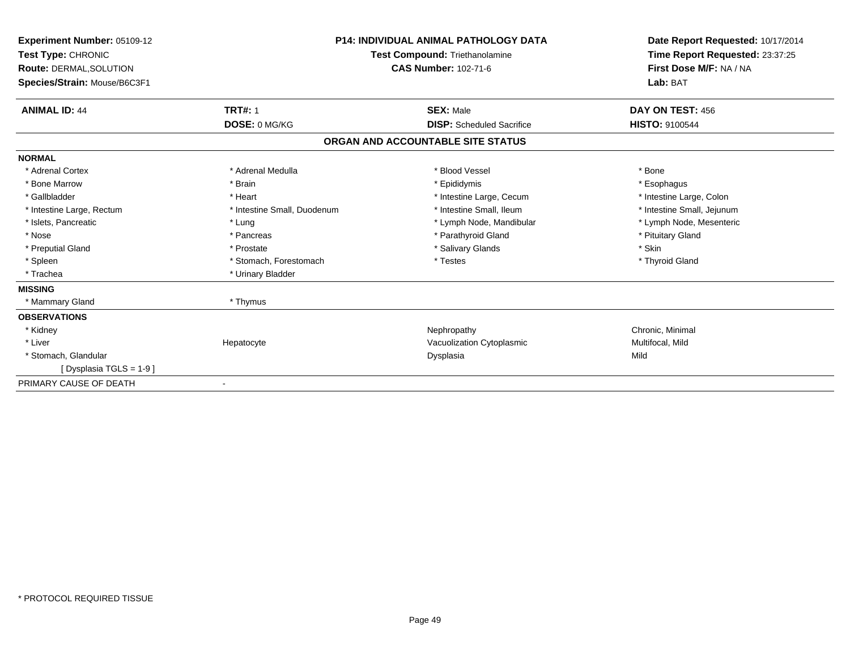| Experiment Number: 05109-12<br>Test Type: CHRONIC<br>Route: DERMAL, SOLUTION<br>Species/Strain: Mouse/B6C3F1 | <b>P14: INDIVIDUAL ANIMAL PATHOLOGY DATA</b><br><b>Test Compound: Triethanolamine</b><br><b>CAS Number: 102-71-6</b> |                                   | Date Report Requested: 10/17/2014<br>Time Report Requested: 23:37:25<br>First Dose M/F: NA / NA<br>Lab: BAT |
|--------------------------------------------------------------------------------------------------------------|----------------------------------------------------------------------------------------------------------------------|-----------------------------------|-------------------------------------------------------------------------------------------------------------|
| <b>ANIMAL ID: 44</b>                                                                                         | <b>TRT#: 1</b>                                                                                                       | <b>SEX: Male</b>                  | DAY ON TEST: 456                                                                                            |
|                                                                                                              | DOSE: 0 MG/KG                                                                                                        | <b>DISP:</b> Scheduled Sacrifice  | HISTO: 9100544                                                                                              |
|                                                                                                              |                                                                                                                      | ORGAN AND ACCOUNTABLE SITE STATUS |                                                                                                             |
| <b>NORMAL</b>                                                                                                |                                                                                                                      |                                   |                                                                                                             |
| * Adrenal Cortex                                                                                             | * Adrenal Medulla                                                                                                    | * Blood Vessel                    | * Bone                                                                                                      |
| * Bone Marrow                                                                                                | * Brain                                                                                                              | * Epididymis                      | * Esophagus                                                                                                 |
| * Gallbladder                                                                                                | * Heart                                                                                                              | * Intestine Large, Cecum          | * Intestine Large, Colon                                                                                    |
| * Intestine Large, Rectum                                                                                    | * Intestine Small, Duodenum                                                                                          | * Intestine Small, Ileum          | * Intestine Small, Jejunum                                                                                  |
| * Islets, Pancreatic                                                                                         | * Lung                                                                                                               | * Lymph Node, Mandibular          | * Lymph Node, Mesenteric                                                                                    |
| * Nose                                                                                                       | * Pancreas                                                                                                           | * Parathyroid Gland               | * Pituitary Gland                                                                                           |
| * Preputial Gland                                                                                            | * Prostate                                                                                                           | * Salivary Glands                 | * Skin                                                                                                      |
| * Spleen                                                                                                     | * Stomach, Forestomach                                                                                               | * Testes                          | * Thyroid Gland                                                                                             |
| * Trachea                                                                                                    | * Urinary Bladder                                                                                                    |                                   |                                                                                                             |
| <b>MISSING</b>                                                                                               |                                                                                                                      |                                   |                                                                                                             |
| * Mammary Gland                                                                                              | * Thymus                                                                                                             |                                   |                                                                                                             |
| <b>OBSERVATIONS</b>                                                                                          |                                                                                                                      |                                   |                                                                                                             |
| * Kidney                                                                                                     |                                                                                                                      | Nephropathy                       | Chronic, Minimal                                                                                            |
| * Liver                                                                                                      | Hepatocyte                                                                                                           | Vacuolization Cytoplasmic         | Multifocal, Mild                                                                                            |
| * Stomach, Glandular                                                                                         |                                                                                                                      | Dysplasia                         | Mild                                                                                                        |
| [Dysplasia TGLS = 1-9]                                                                                       |                                                                                                                      |                                   |                                                                                                             |
| PRIMARY CAUSE OF DEATH                                                                                       |                                                                                                                      |                                   |                                                                                                             |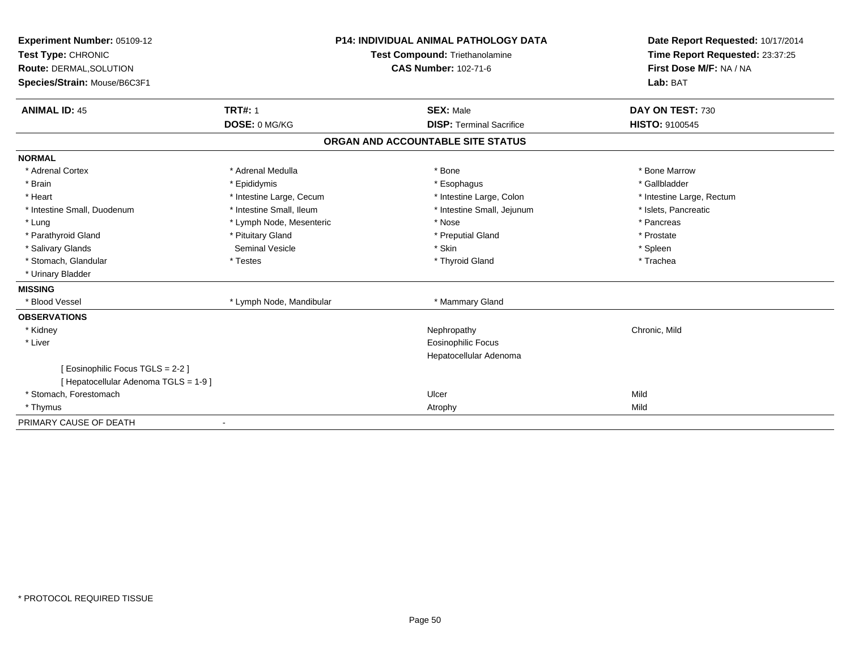| Experiment Number: 05109-12<br>Test Type: CHRONIC |                          | <b>P14: INDIVIDUAL ANIMAL PATHOLOGY DATA</b><br><b>Test Compound: Triethanolamine</b> | Date Report Requested: 10/17/2014<br>Time Report Requested: 23:37:25 |  |
|---------------------------------------------------|--------------------------|---------------------------------------------------------------------------------------|----------------------------------------------------------------------|--|
| Route: DERMAL, SOLUTION                           |                          | <b>CAS Number: 102-71-6</b>                                                           | First Dose M/F: NA / NA                                              |  |
| Species/Strain: Mouse/B6C3F1                      |                          |                                                                                       | Lab: BAT                                                             |  |
|                                                   |                          |                                                                                       |                                                                      |  |
| <b>ANIMAL ID: 45</b>                              | <b>TRT#: 1</b>           | <b>SEX: Male</b>                                                                      | DAY ON TEST: 730                                                     |  |
|                                                   | DOSE: 0 MG/KG            | <b>DISP: Terminal Sacrifice</b>                                                       | <b>HISTO: 9100545</b>                                                |  |
|                                                   |                          | ORGAN AND ACCOUNTABLE SITE STATUS                                                     |                                                                      |  |
| <b>NORMAL</b>                                     |                          |                                                                                       |                                                                      |  |
| * Adrenal Cortex                                  | * Adrenal Medulla        | * Bone                                                                                | * Bone Marrow                                                        |  |
| * Brain                                           | * Epididymis             | * Esophagus                                                                           | * Gallbladder                                                        |  |
| * Heart                                           | * Intestine Large, Cecum | * Intestine Large, Colon                                                              | * Intestine Large, Rectum                                            |  |
| * Intestine Small, Duodenum                       | * Intestine Small, Ileum | * Intestine Small, Jejunum                                                            | * Islets, Pancreatic                                                 |  |
| * Lung                                            | * Lymph Node, Mesenteric | * Nose                                                                                | * Pancreas                                                           |  |
| * Parathyroid Gland                               | * Pituitary Gland        | * Preputial Gland                                                                     | * Prostate                                                           |  |
| * Salivary Glands                                 | Seminal Vesicle          | * Skin                                                                                | * Spleen                                                             |  |
| * Stomach, Glandular                              | * Testes                 | * Thyroid Gland                                                                       | * Trachea                                                            |  |
| * Urinary Bladder                                 |                          |                                                                                       |                                                                      |  |
| <b>MISSING</b>                                    |                          |                                                                                       |                                                                      |  |
| * Blood Vessel                                    | * Lymph Node, Mandibular | * Mammary Gland                                                                       |                                                                      |  |
| <b>OBSERVATIONS</b>                               |                          |                                                                                       |                                                                      |  |
| * Kidney                                          |                          | Nephropathy                                                                           | Chronic, Mild                                                        |  |
| * Liver                                           |                          | <b>Eosinophilic Focus</b>                                                             |                                                                      |  |
|                                                   |                          | Hepatocellular Adenoma                                                                |                                                                      |  |
| [ Eosinophilic Focus TGLS = 2-2 ]                 |                          |                                                                                       |                                                                      |  |
| [ Hepatocellular Adenoma TGLS = 1-9 ]             |                          |                                                                                       |                                                                      |  |
| * Stomach, Forestomach                            |                          | Ulcer                                                                                 | Mild                                                                 |  |
| * Thymus                                          |                          | Atrophy                                                                               | Mild                                                                 |  |
| PRIMARY CAUSE OF DEATH                            |                          |                                                                                       |                                                                      |  |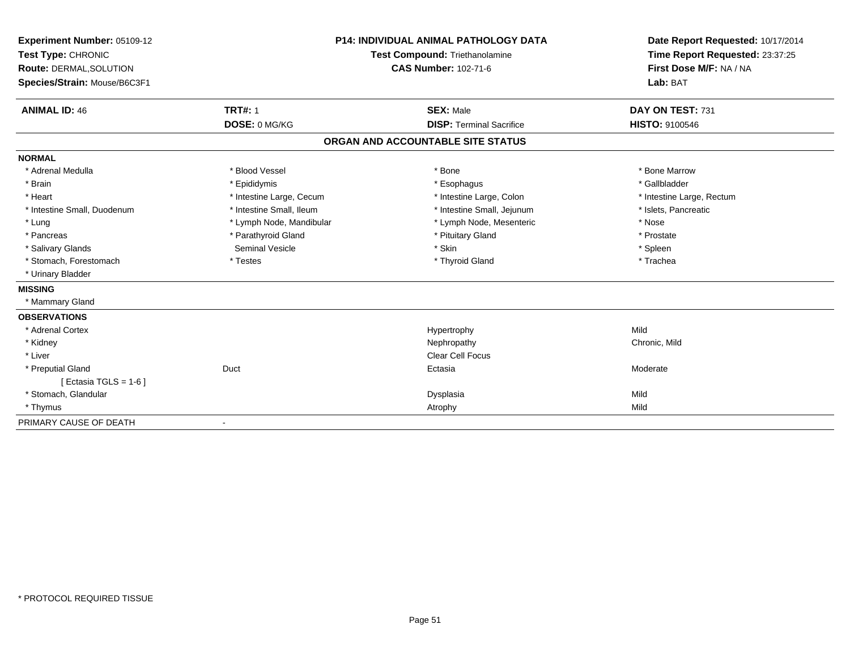| Experiment Number: 05109-12<br>Test Type: CHRONIC<br>Route: DERMAL, SOLUTION<br>Species/Strain: Mouse/B6C3F1<br><b>ANIMAL ID: 46</b> | <b>TRT#: 1</b>           | <b>P14: INDIVIDUAL ANIMAL PATHOLOGY DATA</b><br><b>Test Compound: Triethanolamine</b><br><b>CAS Number: 102-71-6</b><br><b>SEX: Male</b> | Date Report Requested: 10/17/2014<br>Time Report Requested: 23:37:25<br>First Dose M/F: NA / NA<br>Lab: BAT<br>DAY ON TEST: 731 |
|--------------------------------------------------------------------------------------------------------------------------------------|--------------------------|------------------------------------------------------------------------------------------------------------------------------------------|---------------------------------------------------------------------------------------------------------------------------------|
|                                                                                                                                      | DOSE: 0 MG/KG            | <b>DISP: Terminal Sacrifice</b>                                                                                                          | HISTO: 9100546                                                                                                                  |
|                                                                                                                                      |                          | ORGAN AND ACCOUNTABLE SITE STATUS                                                                                                        |                                                                                                                                 |
| <b>NORMAL</b>                                                                                                                        |                          |                                                                                                                                          |                                                                                                                                 |
| * Adrenal Medulla                                                                                                                    | * Blood Vessel           | * Bone                                                                                                                                   | * Bone Marrow                                                                                                                   |
| * Brain                                                                                                                              | * Epididymis             | * Esophagus                                                                                                                              | * Gallbladder                                                                                                                   |
| * Heart                                                                                                                              | * Intestine Large, Cecum | * Intestine Large, Colon                                                                                                                 | * Intestine Large, Rectum                                                                                                       |
| * Intestine Small, Duodenum                                                                                                          | * Intestine Small, Ileum | * Intestine Small, Jejunum                                                                                                               | * Islets, Pancreatic                                                                                                            |
| * Lung                                                                                                                               | * Lymph Node, Mandibular | * Lymph Node, Mesenteric                                                                                                                 | * Nose                                                                                                                          |
| * Pancreas                                                                                                                           | * Parathyroid Gland      | * Pituitary Gland                                                                                                                        | * Prostate                                                                                                                      |
| * Salivary Glands                                                                                                                    | Seminal Vesicle          | * Skin                                                                                                                                   | * Spleen                                                                                                                        |
| * Stomach, Forestomach                                                                                                               | * Testes                 | * Thyroid Gland                                                                                                                          | * Trachea                                                                                                                       |
| * Urinary Bladder                                                                                                                    |                          |                                                                                                                                          |                                                                                                                                 |
| <b>MISSING</b>                                                                                                                       |                          |                                                                                                                                          |                                                                                                                                 |
| * Mammary Gland                                                                                                                      |                          |                                                                                                                                          |                                                                                                                                 |
| <b>OBSERVATIONS</b>                                                                                                                  |                          |                                                                                                                                          |                                                                                                                                 |
| * Adrenal Cortex                                                                                                                     |                          | Hypertrophy                                                                                                                              | Mild                                                                                                                            |
| * Kidney                                                                                                                             |                          | Nephropathy                                                                                                                              | Chronic, Mild                                                                                                                   |
| * Liver                                                                                                                              |                          | Clear Cell Focus                                                                                                                         |                                                                                                                                 |
| * Preputial Gland                                                                                                                    | Duct                     | Ectasia                                                                                                                                  | Moderate                                                                                                                        |
| [ Ectasia TGLS = $1-6$ ]                                                                                                             |                          |                                                                                                                                          |                                                                                                                                 |
| * Stomach, Glandular                                                                                                                 |                          | Dysplasia                                                                                                                                | Mild                                                                                                                            |
| * Thymus                                                                                                                             |                          | Atrophy                                                                                                                                  | Mild                                                                                                                            |
| PRIMARY CAUSE OF DEATH                                                                                                               |                          |                                                                                                                                          |                                                                                                                                 |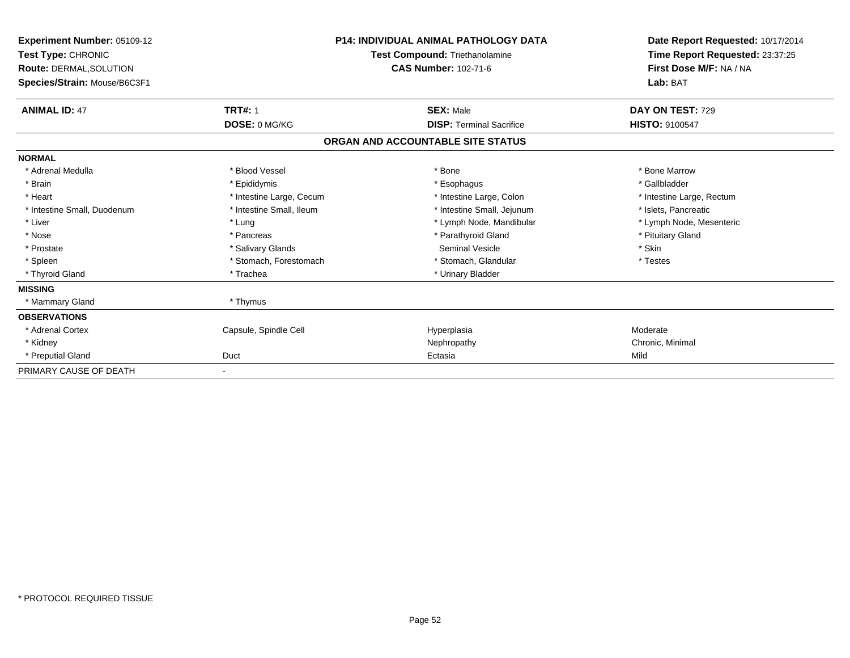| Experiment Number: 05109-12<br>Test Type: CHRONIC<br><b>Route: DERMAL, SOLUTION</b><br>Species/Strain: Mouse/B6C3F1 | <b>P14: INDIVIDUAL ANIMAL PATHOLOGY DATA</b><br><b>Test Compound: Triethanolamine</b><br><b>CAS Number: 102-71-6</b> |                                   | Date Report Requested: 10/17/2014<br>Time Report Requested: 23:37:25<br>First Dose M/F: NA / NA<br>Lab: BAT |
|---------------------------------------------------------------------------------------------------------------------|----------------------------------------------------------------------------------------------------------------------|-----------------------------------|-------------------------------------------------------------------------------------------------------------|
| <b>ANIMAL ID: 47</b>                                                                                                | <b>TRT#: 1</b>                                                                                                       | <b>SEX: Male</b>                  | DAY ON TEST: 729                                                                                            |
|                                                                                                                     | DOSE: 0 MG/KG                                                                                                        | <b>DISP: Terminal Sacrifice</b>   | <b>HISTO: 9100547</b>                                                                                       |
|                                                                                                                     |                                                                                                                      | ORGAN AND ACCOUNTABLE SITE STATUS |                                                                                                             |
| <b>NORMAL</b>                                                                                                       |                                                                                                                      |                                   |                                                                                                             |
| * Adrenal Medulla                                                                                                   | * Blood Vessel                                                                                                       | * Bone                            | * Bone Marrow                                                                                               |
| * Brain                                                                                                             | * Epididymis                                                                                                         | * Esophagus                       | * Gallbladder                                                                                               |
| * Heart                                                                                                             | * Intestine Large, Cecum                                                                                             | * Intestine Large, Colon          | * Intestine Large, Rectum                                                                                   |
| * Intestine Small, Duodenum                                                                                         | * Intestine Small, Ileum                                                                                             | * Intestine Small, Jejunum        | * Islets, Pancreatic                                                                                        |
| * Liver                                                                                                             | * Lung                                                                                                               | * Lymph Node, Mandibular          | * Lymph Node, Mesenteric                                                                                    |
| * Nose                                                                                                              | * Pancreas                                                                                                           | * Parathyroid Gland               | * Pituitary Gland                                                                                           |
| * Prostate                                                                                                          | * Salivary Glands                                                                                                    | <b>Seminal Vesicle</b>            | * Skin                                                                                                      |
| * Spleen                                                                                                            | * Stomach, Forestomach                                                                                               | * Stomach, Glandular              | * Testes                                                                                                    |
| * Thyroid Gland                                                                                                     | * Trachea                                                                                                            | * Urinary Bladder                 |                                                                                                             |
| <b>MISSING</b>                                                                                                      |                                                                                                                      |                                   |                                                                                                             |
| * Mammary Gland                                                                                                     | * Thymus                                                                                                             |                                   |                                                                                                             |
| <b>OBSERVATIONS</b>                                                                                                 |                                                                                                                      |                                   |                                                                                                             |
| * Adrenal Cortex                                                                                                    | Capsule, Spindle Cell                                                                                                | Hyperplasia                       | Moderate                                                                                                    |
| * Kidney                                                                                                            |                                                                                                                      | Nephropathy                       | Chronic, Minimal                                                                                            |
| * Preputial Gland                                                                                                   | Duct                                                                                                                 | Ectasia                           | Mild                                                                                                        |
| PRIMARY CAUSE OF DEATH                                                                                              |                                                                                                                      |                                   |                                                                                                             |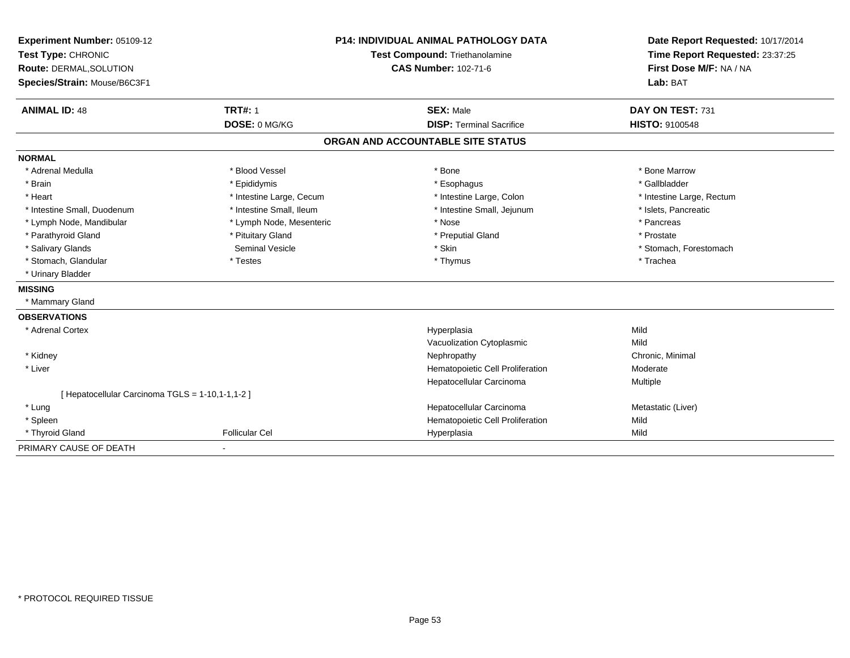| Experiment Number: 05109-12                      |                          | P14: INDIVIDUAL ANIMAL PATHOLOGY DATA | Date Report Requested: 10/17/2014<br>Time Report Requested: 23:37:25 |
|--------------------------------------------------|--------------------------|---------------------------------------|----------------------------------------------------------------------|
| Test Type: CHRONIC                               |                          | Test Compound: Triethanolamine        |                                                                      |
| Route: DERMAL, SOLUTION                          |                          | <b>CAS Number: 102-71-6</b>           | First Dose M/F: NA / NA                                              |
| Species/Strain: Mouse/B6C3F1                     |                          |                                       | Lab: BAT                                                             |
| <b>ANIMAL ID: 48</b>                             | <b>TRT#: 1</b>           | <b>SEX: Male</b>                      | DAY ON TEST: 731                                                     |
|                                                  | DOSE: 0 MG/KG            | <b>DISP: Terminal Sacrifice</b>       | <b>HISTO: 9100548</b>                                                |
|                                                  |                          | ORGAN AND ACCOUNTABLE SITE STATUS     |                                                                      |
| <b>NORMAL</b>                                    |                          |                                       |                                                                      |
| * Adrenal Medulla                                | * Blood Vessel           | * Bone                                | * Bone Marrow                                                        |
| * Brain                                          | * Epididymis             | * Esophagus                           | * Gallbladder                                                        |
| * Heart                                          | * Intestine Large, Cecum | * Intestine Large, Colon              | * Intestine Large, Rectum                                            |
| * Intestine Small, Duodenum                      | * Intestine Small, Ileum | * Intestine Small, Jejunum            | * Islets, Pancreatic                                                 |
| * Lymph Node, Mandibular                         | * Lymph Node, Mesenteric | * Nose                                | * Pancreas                                                           |
| * Parathyroid Gland                              | * Pituitary Gland        | * Preputial Gland                     | * Prostate                                                           |
| * Salivary Glands                                | Seminal Vesicle          | * Skin                                | * Stomach, Forestomach                                               |
| * Stomach, Glandular                             | * Testes                 | * Thymus                              | * Trachea                                                            |
| * Urinary Bladder                                |                          |                                       |                                                                      |
| <b>MISSING</b>                                   |                          |                                       |                                                                      |
| * Mammary Gland                                  |                          |                                       |                                                                      |
| <b>OBSERVATIONS</b>                              |                          |                                       |                                                                      |
| * Adrenal Cortex                                 |                          | Hyperplasia                           | Mild                                                                 |
|                                                  |                          | Vacuolization Cytoplasmic             | Mild                                                                 |
| * Kidney                                         |                          | Nephropathy                           | Chronic, Minimal                                                     |
| * Liver                                          |                          | Hematopoietic Cell Proliferation      | Moderate                                                             |
|                                                  |                          | Hepatocellular Carcinoma              | Multiple                                                             |
| [ Hepatocellular Carcinoma TGLS = 1-10,1-1,1-2 ] |                          |                                       |                                                                      |
| * Lung                                           |                          | Hepatocellular Carcinoma              | Metastatic (Liver)                                                   |
| * Spleen                                         |                          | Hematopoietic Cell Proliferation      | Mild                                                                 |
| * Thyroid Gland                                  | <b>Follicular Cel</b>    | Hyperplasia                           | Mild                                                                 |
| PRIMARY CAUSE OF DEATH                           |                          |                                       |                                                                      |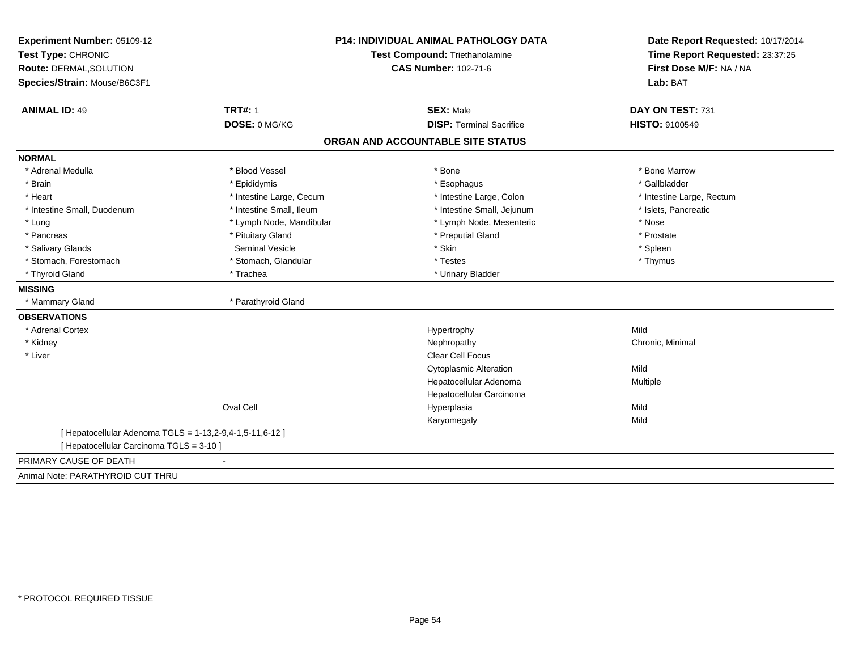| Experiment Number: 05109-12                              |                          | <b>P14: INDIVIDUAL ANIMAL PATHOLOGY DATA</b> | Date Report Requested: 10/17/2014<br>Time Report Requested: 23:37:25 |
|----------------------------------------------------------|--------------------------|----------------------------------------------|----------------------------------------------------------------------|
| Test Type: CHRONIC                                       |                          | Test Compound: Triethanolamine               |                                                                      |
| <b>Route: DERMAL, SOLUTION</b>                           |                          | <b>CAS Number: 102-71-6</b>                  | First Dose M/F: NA / NA                                              |
| Species/Strain: Mouse/B6C3F1                             |                          |                                              | Lab: BAT                                                             |
| <b>ANIMAL ID: 49</b>                                     | <b>TRT#: 1</b>           | <b>SEX: Male</b>                             | DAY ON TEST: 731                                                     |
|                                                          | DOSE: 0 MG/KG            | <b>DISP: Terminal Sacrifice</b>              | HISTO: 9100549                                                       |
|                                                          |                          | ORGAN AND ACCOUNTABLE SITE STATUS            |                                                                      |
| <b>NORMAL</b>                                            |                          |                                              |                                                                      |
| * Adrenal Medulla                                        | * Blood Vessel           | * Bone                                       | * Bone Marrow                                                        |
| * Brain                                                  | * Epididymis             | * Esophagus                                  | * Gallbladder                                                        |
| * Heart                                                  | * Intestine Large, Cecum | * Intestine Large, Colon                     | * Intestine Large, Rectum                                            |
| * Intestine Small, Duodenum                              | * Intestine Small, Ileum | * Intestine Small, Jejunum                   | * Islets, Pancreatic                                                 |
| * Lung                                                   | * Lymph Node, Mandibular | * Lymph Node, Mesenteric                     | * Nose                                                               |
| * Pancreas                                               | * Pituitary Gland        | * Preputial Gland                            | * Prostate                                                           |
| * Salivary Glands                                        | <b>Seminal Vesicle</b>   | * Skin                                       | * Spleen                                                             |
| * Stomach, Forestomach                                   | * Stomach, Glandular     | * Testes                                     | * Thymus                                                             |
| * Thyroid Gland                                          | * Trachea                | * Urinary Bladder                            |                                                                      |
| <b>MISSING</b>                                           |                          |                                              |                                                                      |
| * Mammary Gland                                          | * Parathyroid Gland      |                                              |                                                                      |
| <b>OBSERVATIONS</b>                                      |                          |                                              |                                                                      |
| * Adrenal Cortex                                         |                          | Hypertrophy                                  | Mild                                                                 |
| * Kidney                                                 |                          | Nephropathy                                  | Chronic, Minimal                                                     |
| * Liver                                                  |                          | <b>Clear Cell Focus</b>                      |                                                                      |
|                                                          |                          | <b>Cytoplasmic Alteration</b>                | Mild                                                                 |
|                                                          |                          | Hepatocellular Adenoma                       | Multiple                                                             |
|                                                          |                          | Hepatocellular Carcinoma                     |                                                                      |
|                                                          | Oval Cell                | Hyperplasia                                  | Mild                                                                 |
|                                                          |                          | Karyomegaly                                  | Mild                                                                 |
| [ Hepatocellular Adenoma TGLS = 1-13,2-9,4-1,5-11,6-12 ] |                          |                                              |                                                                      |
| [ Hepatocellular Carcinoma TGLS = 3-10 ]                 |                          |                                              |                                                                      |
| PRIMARY CAUSE OF DEATH                                   |                          |                                              |                                                                      |
| Animal Note: PARATHYROID CUT THRU                        |                          |                                              |                                                                      |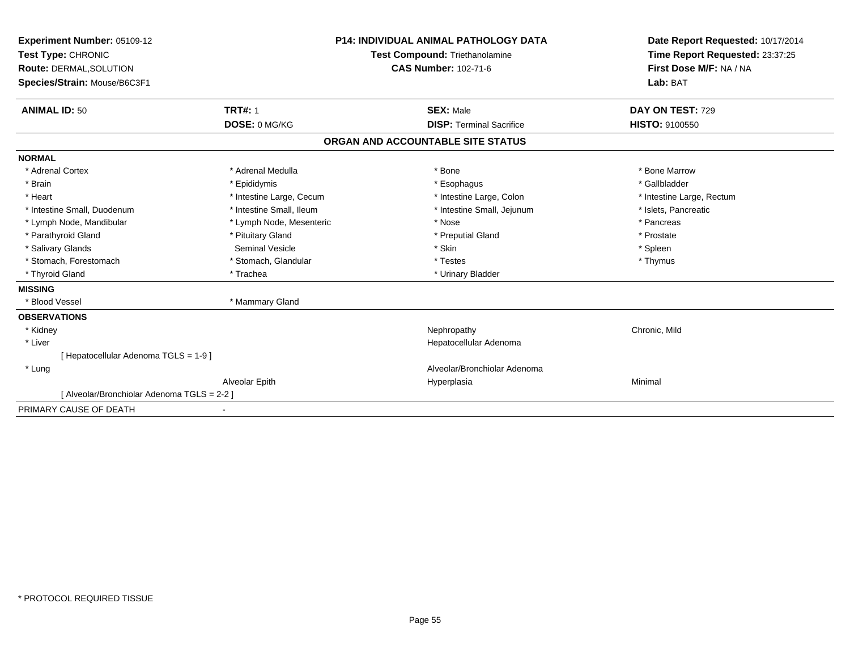| Experiment Number: 05109-12<br>Test Type: CHRONIC<br><b>Route: DERMAL, SOLUTION</b><br>Species/Strain: Mouse/B6C3F1 |                          | <b>P14: INDIVIDUAL ANIMAL PATHOLOGY DATA</b><br>Test Compound: Triethanolamine<br><b>CAS Number: 102-71-6</b> | Date Report Requested: 10/17/2014<br>Time Report Requested: 23:37:25<br>First Dose M/F: NA / NA<br>Lab: BAT |
|---------------------------------------------------------------------------------------------------------------------|--------------------------|---------------------------------------------------------------------------------------------------------------|-------------------------------------------------------------------------------------------------------------|
| <b>ANIMAL ID: 50</b>                                                                                                | <b>TRT#: 1</b>           | <b>SEX: Male</b>                                                                                              | DAY ON TEST: 729                                                                                            |
|                                                                                                                     | DOSE: 0 MG/KG            | <b>DISP: Terminal Sacrifice</b>                                                                               | <b>HISTO: 9100550</b>                                                                                       |
|                                                                                                                     |                          | ORGAN AND ACCOUNTABLE SITE STATUS                                                                             |                                                                                                             |
| <b>NORMAL</b>                                                                                                       |                          |                                                                                                               |                                                                                                             |
| * Adrenal Cortex                                                                                                    | * Adrenal Medulla        | * Bone                                                                                                        | * Bone Marrow                                                                                               |
| * Brain                                                                                                             | * Epididymis             | * Esophagus                                                                                                   | * Gallbladder                                                                                               |
| * Heart                                                                                                             | * Intestine Large, Cecum | * Intestine Large, Colon                                                                                      | * Intestine Large, Rectum                                                                                   |
| * Intestine Small, Duodenum                                                                                         | * Intestine Small, Ileum | * Intestine Small, Jejunum                                                                                    | * Islets, Pancreatic                                                                                        |
| * Lymph Node, Mandibular                                                                                            | * Lymph Node, Mesenteric | * Nose                                                                                                        | * Pancreas                                                                                                  |
| * Parathyroid Gland                                                                                                 | * Pituitary Gland        | * Preputial Gland                                                                                             | * Prostate                                                                                                  |
| * Salivary Glands                                                                                                   | <b>Seminal Vesicle</b>   | * Skin                                                                                                        | * Spleen                                                                                                    |
| * Stomach, Forestomach                                                                                              | * Stomach, Glandular     | * Testes                                                                                                      | * Thymus                                                                                                    |
| * Thyroid Gland                                                                                                     | * Trachea                | * Urinary Bladder                                                                                             |                                                                                                             |
| <b>MISSING</b>                                                                                                      |                          |                                                                                                               |                                                                                                             |
| * Blood Vessel                                                                                                      | * Mammary Gland          |                                                                                                               |                                                                                                             |
| <b>OBSERVATIONS</b>                                                                                                 |                          |                                                                                                               |                                                                                                             |
| * Kidney                                                                                                            |                          | Nephropathy                                                                                                   | Chronic, Mild                                                                                               |
| * Liver                                                                                                             |                          | Hepatocellular Adenoma                                                                                        |                                                                                                             |
| [Hepatocellular Adenoma TGLS = 1-9]                                                                                 |                          |                                                                                                               |                                                                                                             |
| * Lung                                                                                                              |                          | Alveolar/Bronchiolar Adenoma                                                                                  |                                                                                                             |
|                                                                                                                     | Alveolar Epith           | Hyperplasia                                                                                                   | Minimal                                                                                                     |
| [Alveolar/Bronchiolar Adenoma TGLS = 2-2 ]                                                                          |                          |                                                                                                               |                                                                                                             |
| PRIMARY CAUSE OF DEATH                                                                                              |                          |                                                                                                               |                                                                                                             |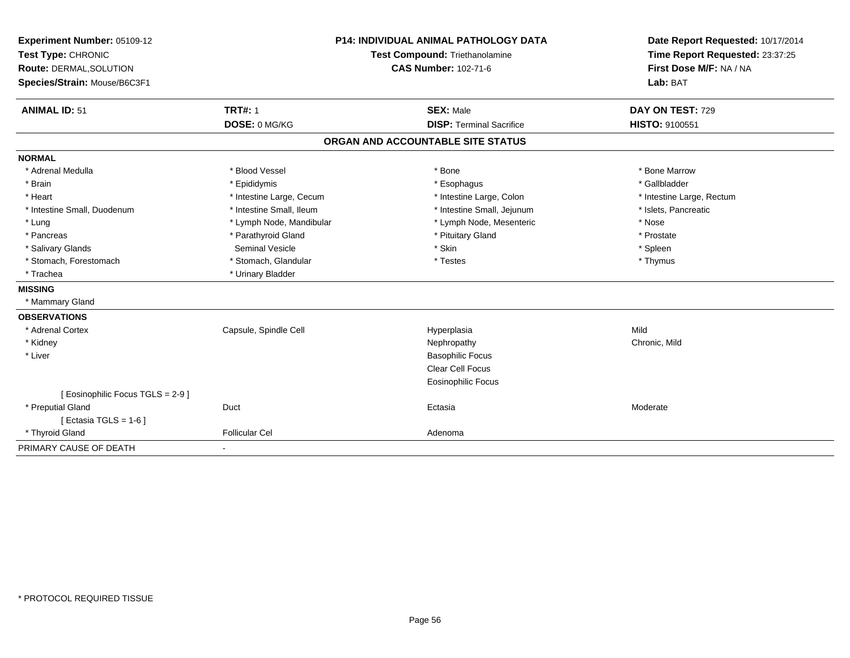| Experiment Number: 05109-12       | <b>P14: INDIVIDUAL ANIMAL PATHOLOGY DATA</b><br>Test Compound: Triethanolamine |                                   | Date Report Requested: 10/17/2014 |
|-----------------------------------|--------------------------------------------------------------------------------|-----------------------------------|-----------------------------------|
| Test Type: CHRONIC                |                                                                                |                                   | Time Report Requested: 23:37:25   |
| Route: DERMAL, SOLUTION           |                                                                                | <b>CAS Number: 102-71-6</b>       | First Dose M/F: NA / NA           |
| Species/Strain: Mouse/B6C3F1      |                                                                                |                                   | Lab: BAT                          |
| <b>ANIMAL ID: 51</b>              | <b>TRT#: 1</b>                                                                 | <b>SEX: Male</b>                  | DAY ON TEST: 729                  |
|                                   | DOSE: 0 MG/KG                                                                  | <b>DISP: Terminal Sacrifice</b>   | HISTO: 9100551                    |
|                                   |                                                                                | ORGAN AND ACCOUNTABLE SITE STATUS |                                   |
| <b>NORMAL</b>                     |                                                                                |                                   |                                   |
| * Adrenal Medulla                 | * Blood Vessel                                                                 | * Bone                            | * Bone Marrow                     |
| * Brain                           | * Epididymis                                                                   | * Esophagus                       | * Gallbladder                     |
| * Heart                           | * Intestine Large, Cecum                                                       | * Intestine Large, Colon          | * Intestine Large, Rectum         |
| * Intestine Small, Duodenum       | * Intestine Small, Ileum                                                       | * Intestine Small, Jejunum        | * Islets, Pancreatic              |
| * Lung                            | * Lymph Node, Mandibular                                                       | * Lymph Node, Mesenteric          | * Nose                            |
| * Pancreas                        | * Parathyroid Gland                                                            | * Pituitary Gland                 | * Prostate                        |
| * Salivary Glands                 | <b>Seminal Vesicle</b>                                                         | * Skin                            | * Spleen                          |
| * Stomach, Forestomach            | * Stomach, Glandular                                                           | * Testes                          | * Thymus                          |
| * Trachea                         | * Urinary Bladder                                                              |                                   |                                   |
| <b>MISSING</b>                    |                                                                                |                                   |                                   |
| * Mammary Gland                   |                                                                                |                                   |                                   |
| <b>OBSERVATIONS</b>               |                                                                                |                                   |                                   |
| * Adrenal Cortex                  | Capsule, Spindle Cell                                                          | Hyperplasia                       | Mild                              |
| * Kidney                          |                                                                                | Nephropathy                       | Chronic, Mild                     |
| * Liver                           |                                                                                | <b>Basophilic Focus</b>           |                                   |
|                                   |                                                                                | Clear Cell Focus                  |                                   |
|                                   |                                                                                | <b>Eosinophilic Focus</b>         |                                   |
| [ Eosinophilic Focus TGLS = 2-9 ] |                                                                                |                                   |                                   |
| * Preputial Gland                 | Duct                                                                           | Ectasia                           | Moderate                          |
| [Ectasia TGLS = $1-6$ ]           |                                                                                |                                   |                                   |
| * Thyroid Gland                   | <b>Follicular Cel</b>                                                          | Adenoma                           |                                   |
| PRIMARY CAUSE OF DEATH            | $\blacksquare$                                                                 |                                   |                                   |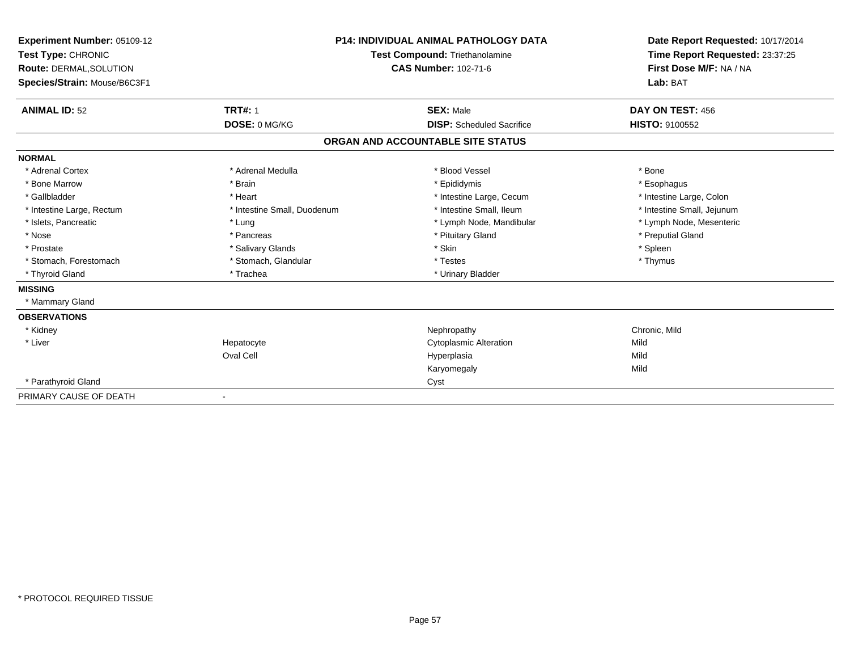| <b>Experiment Number: 05109-12</b><br>Test Type: CHRONIC<br>Route: DERMAL, SOLUTION<br>Species/Strain: Mouse/B6C3F1 | <b>P14: INDIVIDUAL ANIMAL PATHOLOGY DATA</b><br><b>Test Compound: Triethanolamine</b><br><b>CAS Number: 102-71-6</b> |                                   | Date Report Requested: 10/17/2014<br>Time Report Requested: 23:37:25<br>First Dose M/F: NA / NA<br>Lab: BAT |
|---------------------------------------------------------------------------------------------------------------------|----------------------------------------------------------------------------------------------------------------------|-----------------------------------|-------------------------------------------------------------------------------------------------------------|
| <b>ANIMAL ID: 52</b>                                                                                                | <b>TRT#: 1</b>                                                                                                       | <b>SEX: Male</b>                  | DAY ON TEST: 456                                                                                            |
|                                                                                                                     | DOSE: 0 MG/KG                                                                                                        | <b>DISP:</b> Scheduled Sacrifice  | <b>HISTO: 9100552</b>                                                                                       |
|                                                                                                                     |                                                                                                                      | ORGAN AND ACCOUNTABLE SITE STATUS |                                                                                                             |
| <b>NORMAL</b>                                                                                                       |                                                                                                                      |                                   |                                                                                                             |
| * Adrenal Cortex                                                                                                    | * Adrenal Medulla                                                                                                    | * Blood Vessel                    | * Bone                                                                                                      |
| * Bone Marrow                                                                                                       | * Brain                                                                                                              | * Epididymis                      | * Esophagus                                                                                                 |
| * Gallbladder                                                                                                       | * Heart                                                                                                              | * Intestine Large, Cecum          | * Intestine Large, Colon                                                                                    |
| * Intestine Large, Rectum                                                                                           | * Intestine Small, Duodenum                                                                                          | * Intestine Small, Ileum          | * Intestine Small, Jejunum                                                                                  |
| * Islets, Pancreatic                                                                                                | * Lung                                                                                                               | * Lymph Node, Mandibular          | * Lymph Node, Mesenteric                                                                                    |
| * Nose                                                                                                              | * Pancreas                                                                                                           | * Pituitary Gland                 | * Preputial Gland                                                                                           |
| * Prostate                                                                                                          | * Salivary Glands                                                                                                    | * Skin                            | * Spleen                                                                                                    |
| * Stomach, Forestomach                                                                                              | * Stomach, Glandular                                                                                                 | * Testes                          | * Thymus                                                                                                    |
| * Thyroid Gland                                                                                                     | * Trachea                                                                                                            | * Urinary Bladder                 |                                                                                                             |
| <b>MISSING</b>                                                                                                      |                                                                                                                      |                                   |                                                                                                             |
| * Mammary Gland                                                                                                     |                                                                                                                      |                                   |                                                                                                             |
| <b>OBSERVATIONS</b>                                                                                                 |                                                                                                                      |                                   |                                                                                                             |
| * Kidney                                                                                                            |                                                                                                                      | Nephropathy                       | Chronic, Mild                                                                                               |
| * Liver                                                                                                             | Hepatocyte                                                                                                           | <b>Cytoplasmic Alteration</b>     | Mild                                                                                                        |
|                                                                                                                     | Oval Cell                                                                                                            | Hyperplasia                       | Mild                                                                                                        |
|                                                                                                                     |                                                                                                                      | Karyomegaly                       | Mild                                                                                                        |
| * Parathyroid Gland                                                                                                 |                                                                                                                      | Cyst                              |                                                                                                             |
| PRIMARY CAUSE OF DEATH                                                                                              |                                                                                                                      |                                   |                                                                                                             |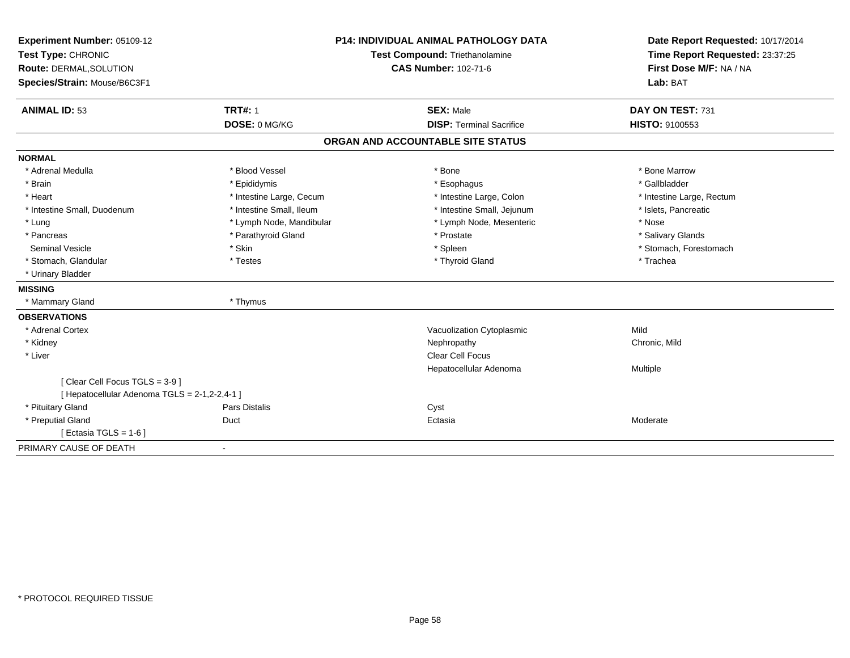| Experiment Number: 05109-12<br>Test Type: CHRONIC<br>Route: DERMAL, SOLUTION<br>Species/Strain: Mouse/B6C3F1 | <b>P14: INDIVIDUAL ANIMAL PATHOLOGY DATA</b><br>Test Compound: Triethanolamine<br><b>CAS Number: 102-71-6</b> |                                   | Date Report Requested: 10/17/2014<br>Time Report Requested: 23:37:25<br>First Dose M/F: NA / NA<br>Lab: BAT |
|--------------------------------------------------------------------------------------------------------------|---------------------------------------------------------------------------------------------------------------|-----------------------------------|-------------------------------------------------------------------------------------------------------------|
|                                                                                                              |                                                                                                               |                                   |                                                                                                             |
| <b>ANIMAL ID: 53</b>                                                                                         | <b>TRT#: 1</b>                                                                                                | <b>SEX: Male</b>                  | DAY ON TEST: 731                                                                                            |
|                                                                                                              | DOSE: 0 MG/KG                                                                                                 | <b>DISP: Terminal Sacrifice</b>   | HISTO: 9100553                                                                                              |
|                                                                                                              |                                                                                                               | ORGAN AND ACCOUNTABLE SITE STATUS |                                                                                                             |
| <b>NORMAL</b>                                                                                                |                                                                                                               |                                   |                                                                                                             |
| * Adrenal Medulla                                                                                            | * Blood Vessel                                                                                                | * Bone                            | * Bone Marrow                                                                                               |
| * Brain                                                                                                      | * Epididymis                                                                                                  | * Esophagus                       | * Gallbladder                                                                                               |
| * Heart                                                                                                      | * Intestine Large, Cecum                                                                                      | * Intestine Large, Colon          | * Intestine Large, Rectum                                                                                   |
| * Intestine Small, Duodenum                                                                                  | * Intestine Small, Ileum                                                                                      | * Intestine Small, Jejunum        | * Islets, Pancreatic                                                                                        |
| * Lung                                                                                                       | * Lymph Node, Mandibular                                                                                      | * Lymph Node, Mesenteric          | * Nose                                                                                                      |
| * Pancreas                                                                                                   | * Parathyroid Gland                                                                                           | * Prostate                        | * Salivary Glands                                                                                           |
| <b>Seminal Vesicle</b>                                                                                       | * Skin                                                                                                        | * Spleen                          | * Stomach, Forestomach                                                                                      |
| * Stomach, Glandular                                                                                         | * Testes                                                                                                      | * Thyroid Gland                   | * Trachea                                                                                                   |
| * Urinary Bladder                                                                                            |                                                                                                               |                                   |                                                                                                             |
| <b>MISSING</b>                                                                                               |                                                                                                               |                                   |                                                                                                             |
| * Mammary Gland                                                                                              | * Thymus                                                                                                      |                                   |                                                                                                             |
| <b>OBSERVATIONS</b>                                                                                          |                                                                                                               |                                   |                                                                                                             |
| * Adrenal Cortex                                                                                             |                                                                                                               | Vacuolization Cytoplasmic         | Mild                                                                                                        |
| * Kidney                                                                                                     |                                                                                                               | Nephropathy                       | Chronic, Mild                                                                                               |
| * Liver                                                                                                      |                                                                                                               | Clear Cell Focus                  |                                                                                                             |
|                                                                                                              |                                                                                                               | Hepatocellular Adenoma            | <b>Multiple</b>                                                                                             |
| [Clear Cell Focus TGLS = 3-9]                                                                                |                                                                                                               |                                   |                                                                                                             |
| [ Hepatocellular Adenoma TGLS = 2-1,2-2,4-1 ]                                                                |                                                                                                               |                                   |                                                                                                             |
| * Pituitary Gland                                                                                            | Pars Distalis                                                                                                 | Cyst                              |                                                                                                             |
| * Preputial Gland                                                                                            | Duct                                                                                                          | Ectasia                           | Moderate                                                                                                    |
| [Ectasia TGLS = $1-6$ ]                                                                                      |                                                                                                               |                                   |                                                                                                             |
| PRIMARY CAUSE OF DEATH                                                                                       |                                                                                                               |                                   |                                                                                                             |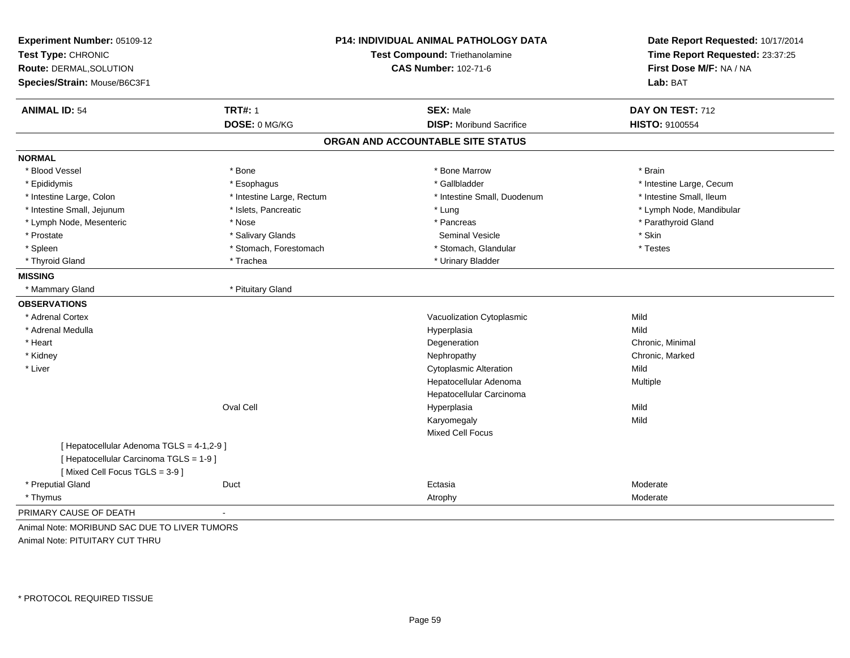| Experiment Number: 05109-12<br>Test Type: CHRONIC<br>Route: DERMAL, SOLUTION<br>Species/Strain: Mouse/B6C3F1          | P14: INDIVIDUAL ANIMAL PATHOLOGY DATA<br>Test Compound: Triethanolamine<br><b>CAS Number: 102-71-6</b> |                                   | Date Report Requested: 10/17/2014<br>Time Report Requested: 23:37:25<br>First Dose M/F: NA / NA<br>Lab: BAT |
|-----------------------------------------------------------------------------------------------------------------------|--------------------------------------------------------------------------------------------------------|-----------------------------------|-------------------------------------------------------------------------------------------------------------|
| <b>ANIMAL ID: 54</b>                                                                                                  | <b>TRT#: 1</b>                                                                                         | <b>SEX: Male</b>                  | DAY ON TEST: 712                                                                                            |
|                                                                                                                       | DOSE: 0 MG/KG                                                                                          | <b>DISP: Moribund Sacrifice</b>   | HISTO: 9100554                                                                                              |
|                                                                                                                       |                                                                                                        | ORGAN AND ACCOUNTABLE SITE STATUS |                                                                                                             |
| <b>NORMAL</b>                                                                                                         |                                                                                                        |                                   |                                                                                                             |
| * Blood Vessel                                                                                                        | * Bone                                                                                                 | * Bone Marrow                     | * Brain                                                                                                     |
| * Epididymis                                                                                                          | * Esophagus                                                                                            | * Gallbladder                     | * Intestine Large, Cecum                                                                                    |
| * Intestine Large, Colon                                                                                              | * Intestine Large, Rectum                                                                              | * Intestine Small, Duodenum       | * Intestine Small, Ileum                                                                                    |
| * Intestine Small, Jejunum                                                                                            | * Islets, Pancreatic                                                                                   | * Lung                            | * Lymph Node, Mandibular                                                                                    |
| * Lymph Node, Mesenteric                                                                                              | * Nose                                                                                                 | * Pancreas                        | * Parathyroid Gland                                                                                         |
| * Prostate                                                                                                            | * Salivary Glands                                                                                      | <b>Seminal Vesicle</b>            | * Skin                                                                                                      |
| * Spleen                                                                                                              | * Stomach, Forestomach                                                                                 | * Stomach, Glandular              | * Testes                                                                                                    |
| * Thyroid Gland                                                                                                       | * Trachea                                                                                              | * Urinary Bladder                 |                                                                                                             |
| <b>MISSING</b>                                                                                                        |                                                                                                        |                                   |                                                                                                             |
| * Mammary Gland                                                                                                       | * Pituitary Gland                                                                                      |                                   |                                                                                                             |
| <b>OBSERVATIONS</b>                                                                                                   |                                                                                                        |                                   |                                                                                                             |
| * Adrenal Cortex                                                                                                      |                                                                                                        | Vacuolization Cytoplasmic         | Mild                                                                                                        |
| * Adrenal Medulla                                                                                                     |                                                                                                        | Hyperplasia                       | Mild                                                                                                        |
| * Heart                                                                                                               |                                                                                                        | Degeneration                      | Chronic, Minimal                                                                                            |
| * Kidney                                                                                                              |                                                                                                        | Nephropathy                       | Chronic, Marked                                                                                             |
| * Liver                                                                                                               |                                                                                                        | <b>Cytoplasmic Alteration</b>     | Mild                                                                                                        |
|                                                                                                                       |                                                                                                        | Hepatocellular Adenoma            | Multiple                                                                                                    |
|                                                                                                                       |                                                                                                        | Hepatocellular Carcinoma          |                                                                                                             |
|                                                                                                                       | Oval Cell                                                                                              | Hyperplasia                       | Mild                                                                                                        |
|                                                                                                                       |                                                                                                        | Karyomegaly                       | Mild                                                                                                        |
|                                                                                                                       |                                                                                                        | Mixed Cell Focus                  |                                                                                                             |
| [ Hepatocellular Adenoma TGLS = 4-1,2-9 ]<br>[ Hepatocellular Carcinoma TGLS = 1-9 ]<br>[Mixed Cell Focus TGLS = 3-9] |                                                                                                        |                                   |                                                                                                             |
| * Preputial Gland                                                                                                     | Duct                                                                                                   | Ectasia                           | Moderate                                                                                                    |
| * Thymus                                                                                                              |                                                                                                        | Atrophy                           | Moderate                                                                                                    |
| PRIMARY CAUSE OF DEATH                                                                                                | $\blacksquare$                                                                                         |                                   |                                                                                                             |

Animal Note: MORIBUND SAC DUE TO LIVER TUMORSAnimal Note: PITUITARY CUT THRU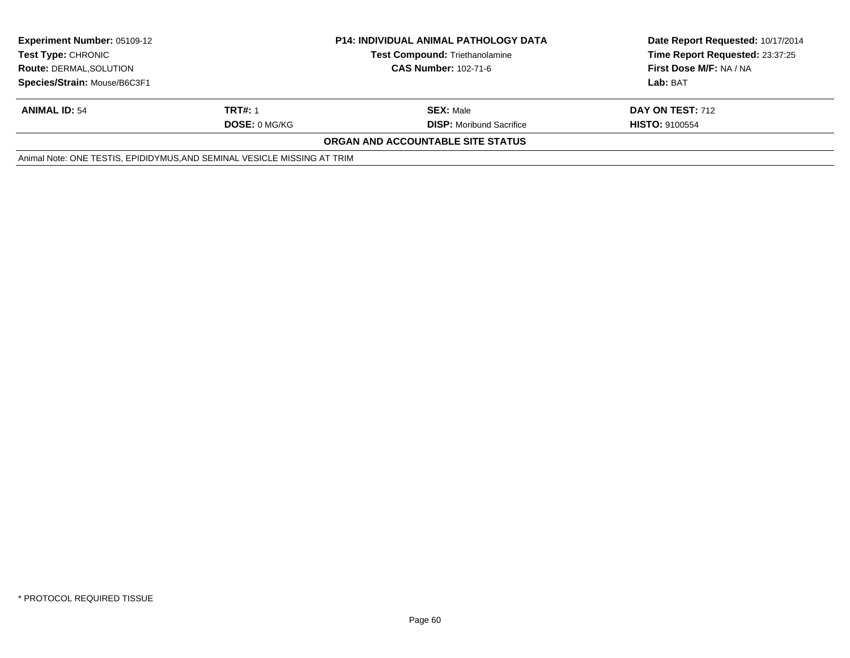| <b>Experiment Number: 05109-12</b><br><b>Test Type: CHRONIC</b><br><b>Route: DERMAL, SOLUTION</b><br>Species/Strain: Mouse/B6C3F1 | <b>P14: INDIVIDUAL ANIMAL PATHOLOGY DATA</b><br><b>Test Compound: Triethanolamine</b><br><b>CAS Number: 102-71-6</b> |                                                     | Date Report Requested: 10/17/2014<br>Time Report Requested: 23:37:25<br>First Dose M/F: NA / NA<br>Lab: BAT |
|-----------------------------------------------------------------------------------------------------------------------------------|----------------------------------------------------------------------------------------------------------------------|-----------------------------------------------------|-------------------------------------------------------------------------------------------------------------|
| <b>ANIMAL ID: 54</b>                                                                                                              | <b>TRT#: 1</b><br><b>DOSE: 0 MG/KG</b>                                                                               | <b>SEX: Male</b><br><b>DISP:</b> Moribund Sacrifice | DAY ON TEST: 712<br><b>HISTO: 9100554</b>                                                                   |
|                                                                                                                                   |                                                                                                                      | ORGAN AND ACCOUNTABLE SITE STATUS                   |                                                                                                             |
| Animal Note: ONE TESTIS, EPIDIDYMUS, AND SEMINAL VESICLE MISSING AT TRIM                                                          |                                                                                                                      |                                                     |                                                                                                             |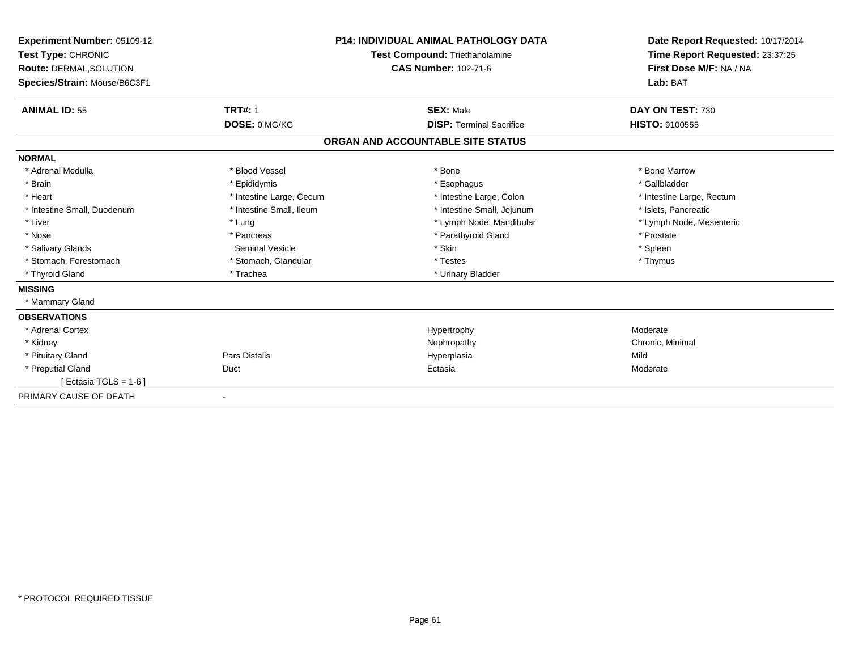| Experiment Number: 05109-12<br>Test Type: CHRONIC<br>Route: DERMAL, SOLUTION<br>Species/Strain: Mouse/B6C3F1 | <b>P14: INDIVIDUAL ANIMAL PATHOLOGY DATA</b><br>Test Compound: Triethanolamine<br><b>CAS Number: 102-71-6</b> |                                   | Date Report Requested: 10/17/2014<br>Time Report Requested: 23:37:25<br>First Dose M/F: NA / NA<br>Lab: BAT |
|--------------------------------------------------------------------------------------------------------------|---------------------------------------------------------------------------------------------------------------|-----------------------------------|-------------------------------------------------------------------------------------------------------------|
| <b>ANIMAL ID: 55</b>                                                                                         | <b>TRT#: 1</b>                                                                                                | <b>SEX: Male</b>                  | DAY ON TEST: 730                                                                                            |
|                                                                                                              | DOSE: 0 MG/KG                                                                                                 | <b>DISP: Terminal Sacrifice</b>   | <b>HISTO: 9100555</b>                                                                                       |
|                                                                                                              |                                                                                                               | ORGAN AND ACCOUNTABLE SITE STATUS |                                                                                                             |
| <b>NORMAL</b>                                                                                                |                                                                                                               |                                   |                                                                                                             |
| * Adrenal Medulla                                                                                            | * Blood Vessel                                                                                                | * Bone                            | * Bone Marrow                                                                                               |
| * Brain                                                                                                      | * Epididymis                                                                                                  | * Esophagus                       | * Gallbladder                                                                                               |
| * Heart                                                                                                      | * Intestine Large, Cecum                                                                                      | * Intestine Large, Colon          | * Intestine Large, Rectum                                                                                   |
| * Intestine Small, Duodenum                                                                                  | * Intestine Small, Ileum                                                                                      | * Intestine Small, Jejunum        | * Islets, Pancreatic                                                                                        |
| * Liver                                                                                                      | * Lung                                                                                                        | * Lymph Node, Mandibular          | * Lymph Node, Mesenteric                                                                                    |
| * Nose                                                                                                       | * Pancreas                                                                                                    | * Parathyroid Gland               | * Prostate                                                                                                  |
| * Salivary Glands                                                                                            | <b>Seminal Vesicle</b>                                                                                        | * Skin                            | * Spleen                                                                                                    |
| * Stomach, Forestomach                                                                                       | * Stomach, Glandular                                                                                          | * Testes                          | * Thymus                                                                                                    |
| * Thyroid Gland                                                                                              | * Trachea                                                                                                     | * Urinary Bladder                 |                                                                                                             |
| <b>MISSING</b>                                                                                               |                                                                                                               |                                   |                                                                                                             |
| * Mammary Gland                                                                                              |                                                                                                               |                                   |                                                                                                             |
| <b>OBSERVATIONS</b>                                                                                          |                                                                                                               |                                   |                                                                                                             |
| * Adrenal Cortex                                                                                             |                                                                                                               | Hypertrophy                       | Moderate                                                                                                    |
| * Kidney                                                                                                     |                                                                                                               | Nephropathy                       | Chronic, Minimal                                                                                            |
| * Pituitary Gland                                                                                            | <b>Pars Distalis</b>                                                                                          | Hyperplasia                       | Mild                                                                                                        |
| * Preputial Gland                                                                                            | Duct                                                                                                          | Ectasia                           | Moderate                                                                                                    |
| [ Ectasia TGLS = 1-6 ]                                                                                       |                                                                                                               |                                   |                                                                                                             |
| PRIMARY CAUSE OF DEATH                                                                                       | $\overline{\phantom{a}}$                                                                                      |                                   |                                                                                                             |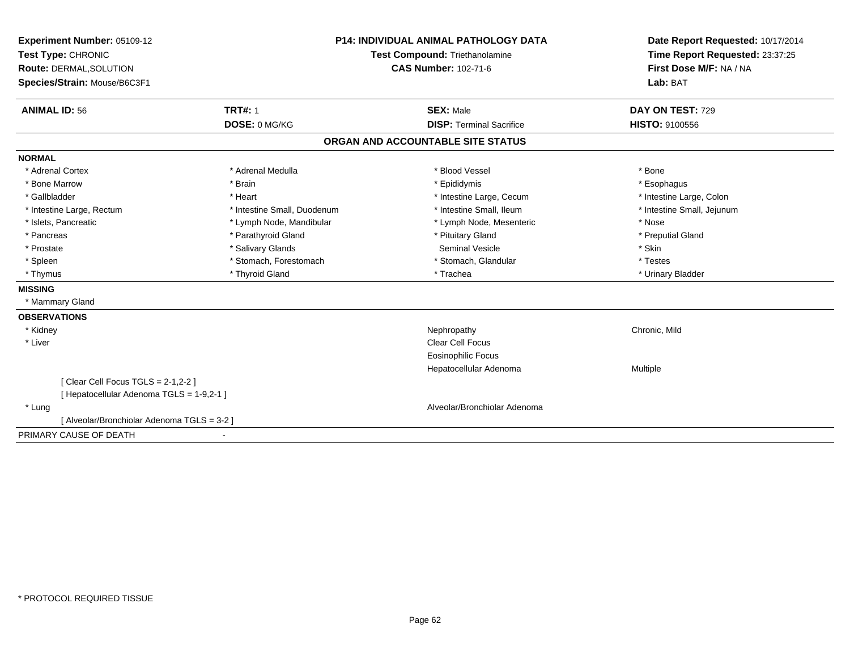| Experiment Number: 05109-12                 | <b>P14: INDIVIDUAL ANIMAL PATHOLOGY DATA</b> |                                       |                                 | Date Report Requested: 10/17/2014 |
|---------------------------------------------|----------------------------------------------|---------------------------------------|---------------------------------|-----------------------------------|
| Test Type: CHRONIC                          |                                              | <b>Test Compound: Triethanolamine</b> | Time Report Requested: 23:37:25 |                                   |
| Route: DERMAL, SOLUTION                     |                                              | <b>CAS Number: 102-71-6</b>           | First Dose M/F: NA / NA         |                                   |
| Species/Strain: Mouse/B6C3F1                |                                              |                                       | Lab: BAT                        |                                   |
| <b>ANIMAL ID: 56</b>                        | <b>TRT#: 1</b>                               | <b>SEX: Male</b>                      | DAY ON TEST: 729                |                                   |
|                                             | DOSE: 0 MG/KG                                | <b>DISP: Terminal Sacrifice</b>       | <b>HISTO: 9100556</b>           |                                   |
|                                             |                                              | ORGAN AND ACCOUNTABLE SITE STATUS     |                                 |                                   |
| <b>NORMAL</b>                               |                                              |                                       |                                 |                                   |
| * Adrenal Cortex                            | * Adrenal Medulla                            | * Blood Vessel                        | * Bone                          |                                   |
| * Bone Marrow                               | * Brain                                      | * Epididymis                          | * Esophagus                     |                                   |
| * Gallbladder                               | * Heart                                      | * Intestine Large, Cecum              | * Intestine Large, Colon        |                                   |
| * Intestine Large, Rectum                   | * Intestine Small, Duodenum                  | * Intestine Small, Ileum              | * Intestine Small, Jejunum      |                                   |
| * Islets, Pancreatic                        | * Lymph Node, Mandibular                     | * Lymph Node, Mesenteric              | * Nose                          |                                   |
| * Pancreas                                  | * Parathyroid Gland                          | * Pituitary Gland                     | * Preputial Gland               |                                   |
| * Prostate                                  | * Salivary Glands                            | Seminal Vesicle                       | * Skin                          |                                   |
| * Spleen                                    | * Stomach, Forestomach                       | * Stomach, Glandular                  | * Testes                        |                                   |
| * Thymus                                    | * Thyroid Gland                              | * Trachea                             | * Urinary Bladder               |                                   |
| <b>MISSING</b>                              |                                              |                                       |                                 |                                   |
| * Mammary Gland                             |                                              |                                       |                                 |                                   |
| <b>OBSERVATIONS</b>                         |                                              |                                       |                                 |                                   |
| * Kidney                                    |                                              | Nephropathy                           | Chronic, Mild                   |                                   |
| * Liver                                     |                                              | Clear Cell Focus                      |                                 |                                   |
|                                             |                                              | Eosinophilic Focus                    |                                 |                                   |
|                                             |                                              | Hepatocellular Adenoma                | <b>Multiple</b>                 |                                   |
| [ Clear Cell Focus TGLS = 2-1,2-2 ]         |                                              |                                       |                                 |                                   |
| [ Hepatocellular Adenoma TGLS = 1-9,2-1 ]   |                                              |                                       |                                 |                                   |
| * Lung                                      |                                              | Alveolar/Bronchiolar Adenoma          |                                 |                                   |
| [ Alveolar/Bronchiolar Adenoma TGLS = 3-2 ] |                                              |                                       |                                 |                                   |
| PRIMARY CAUSE OF DEATH                      |                                              |                                       |                                 |                                   |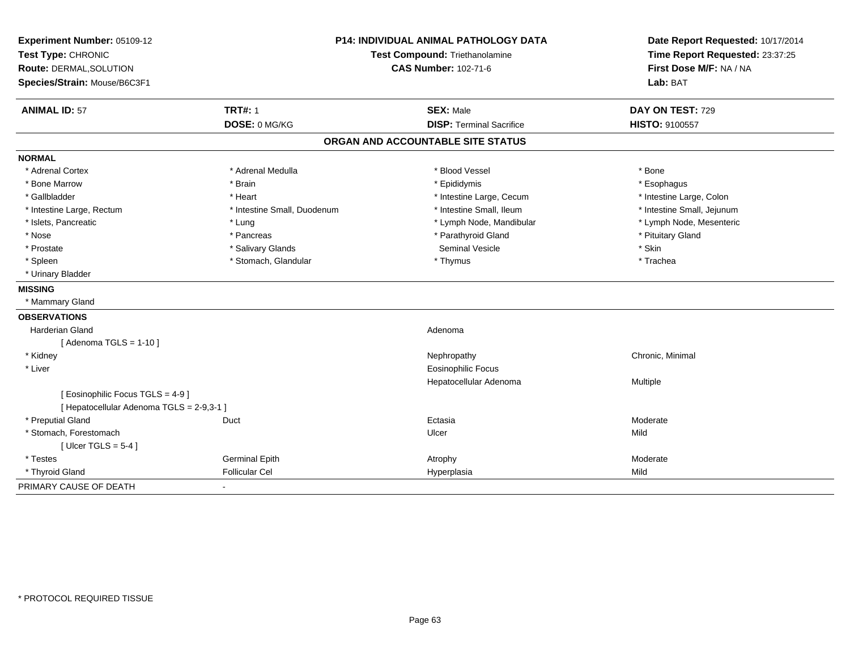| Experiment Number: 05109-12<br>Test Type: CHRONIC<br>Route: DERMAL, SOLUTION<br>Species/Strain: Mouse/B6C3F1 | <b>P14: INDIVIDUAL ANIMAL PATHOLOGY DATA</b><br>Test Compound: Triethanolamine<br><b>CAS Number: 102-71-6</b> |                                   | Date Report Requested: 10/17/2014<br>Time Report Requested: 23:37:25<br>First Dose M/F: NA / NA<br>Lab: BAT |  |
|--------------------------------------------------------------------------------------------------------------|---------------------------------------------------------------------------------------------------------------|-----------------------------------|-------------------------------------------------------------------------------------------------------------|--|
| <b>ANIMAL ID: 57</b>                                                                                         | <b>TRT#: 1</b>                                                                                                | <b>SEX: Male</b>                  | DAY ON TEST: 729                                                                                            |  |
|                                                                                                              | DOSE: 0 MG/KG                                                                                                 | <b>DISP: Terminal Sacrifice</b>   | <b>HISTO: 9100557</b>                                                                                       |  |
|                                                                                                              |                                                                                                               | ORGAN AND ACCOUNTABLE SITE STATUS |                                                                                                             |  |
| <b>NORMAL</b>                                                                                                |                                                                                                               |                                   |                                                                                                             |  |
| * Adrenal Cortex                                                                                             | * Adrenal Medulla                                                                                             | * Blood Vessel                    | * Bone                                                                                                      |  |
| * Bone Marrow                                                                                                | * Brain                                                                                                       | * Epididymis                      | * Esophagus                                                                                                 |  |
| * Gallbladder                                                                                                | * Heart                                                                                                       | * Intestine Large, Cecum          | * Intestine Large, Colon                                                                                    |  |
| * Intestine Large, Rectum                                                                                    | * Intestine Small, Duodenum                                                                                   | * Intestine Small, Ileum          | * Intestine Small, Jejunum                                                                                  |  |
| * Islets, Pancreatic                                                                                         | * Lung                                                                                                        | * Lymph Node, Mandibular          | * Lymph Node, Mesenteric                                                                                    |  |
| * Nose                                                                                                       | * Pancreas                                                                                                    | * Parathyroid Gland               | * Pituitary Gland                                                                                           |  |
| * Prostate                                                                                                   | * Salivary Glands                                                                                             | <b>Seminal Vesicle</b>            | * Skin                                                                                                      |  |
| * Spleen                                                                                                     | * Stomach, Glandular                                                                                          | * Thymus                          | * Trachea                                                                                                   |  |
| * Urinary Bladder                                                                                            |                                                                                                               |                                   |                                                                                                             |  |
| <b>MISSING</b>                                                                                               |                                                                                                               |                                   |                                                                                                             |  |
| * Mammary Gland                                                                                              |                                                                                                               |                                   |                                                                                                             |  |
| <b>OBSERVATIONS</b>                                                                                          |                                                                                                               |                                   |                                                                                                             |  |
| <b>Harderian Gland</b>                                                                                       |                                                                                                               | Adenoma                           |                                                                                                             |  |
| [Adenoma TGLS = $1-10$ ]                                                                                     |                                                                                                               |                                   |                                                                                                             |  |
| * Kidney                                                                                                     |                                                                                                               | Nephropathy                       | Chronic, Minimal                                                                                            |  |
| * Liver                                                                                                      |                                                                                                               | Eosinophilic Focus                |                                                                                                             |  |
|                                                                                                              |                                                                                                               | Hepatocellular Adenoma            | Multiple                                                                                                    |  |
| [Eosinophilic Focus TGLS = 4-9]                                                                              |                                                                                                               |                                   |                                                                                                             |  |
| [ Hepatocellular Adenoma TGLS = 2-9,3-1 ]                                                                    |                                                                                                               |                                   |                                                                                                             |  |
| * Preputial Gland                                                                                            | Duct                                                                                                          | Ectasia                           | Moderate                                                                                                    |  |
| * Stomach, Forestomach                                                                                       |                                                                                                               | Ulcer                             | Mild                                                                                                        |  |
| [ Ulcer TGLS = $5-4$ ]                                                                                       |                                                                                                               |                                   |                                                                                                             |  |
| * Testes                                                                                                     | <b>Germinal Epith</b>                                                                                         | Atrophy                           | Moderate                                                                                                    |  |
| * Thyroid Gland                                                                                              | <b>Follicular Cel</b>                                                                                         | Hyperplasia                       | Mild                                                                                                        |  |
| PRIMARY CAUSE OF DEATH                                                                                       | $\blacksquare$                                                                                                |                                   |                                                                                                             |  |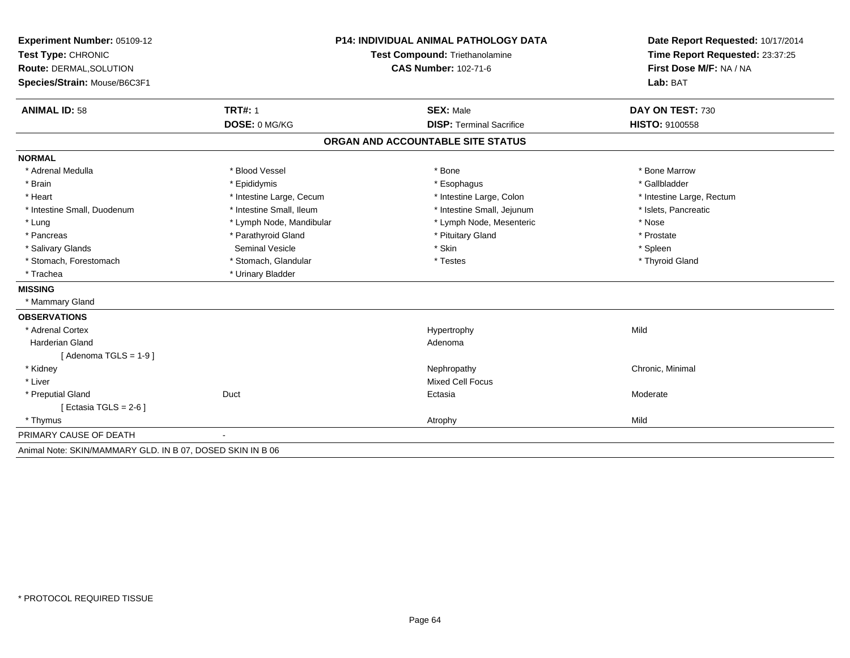| Experiment Number: 05109-12                                | <b>P14: INDIVIDUAL ANIMAL PATHOLOGY DATA</b><br>Test Compound: Triethanolamine |                                   | Date Report Requested: 10/17/2014<br>Time Report Requested: 23:37:25 |  |
|------------------------------------------------------------|--------------------------------------------------------------------------------|-----------------------------------|----------------------------------------------------------------------|--|
| Test Type: CHRONIC                                         |                                                                                |                                   |                                                                      |  |
| Route: DERMAL, SOLUTION                                    |                                                                                | <b>CAS Number: 102-71-6</b>       | First Dose M/F: NA / NA                                              |  |
| Species/Strain: Mouse/B6C3F1                               |                                                                                |                                   | Lab: BAT                                                             |  |
| <b>ANIMAL ID: 58</b>                                       | <b>TRT#: 1</b>                                                                 | <b>SEX: Male</b>                  | DAY ON TEST: 730                                                     |  |
|                                                            | DOSE: 0 MG/KG                                                                  | <b>DISP: Terminal Sacrifice</b>   | <b>HISTO: 9100558</b>                                                |  |
|                                                            |                                                                                | ORGAN AND ACCOUNTABLE SITE STATUS |                                                                      |  |
| <b>NORMAL</b>                                              |                                                                                |                                   |                                                                      |  |
| * Adrenal Medulla                                          | * Blood Vessel                                                                 | * Bone                            | * Bone Marrow                                                        |  |
| * Brain                                                    | * Epididymis                                                                   | * Esophagus                       | * Gallbladder                                                        |  |
| * Heart                                                    | * Intestine Large, Cecum                                                       | * Intestine Large, Colon          | * Intestine Large, Rectum                                            |  |
| * Intestine Small, Duodenum                                | * Intestine Small, Ileum                                                       | * Intestine Small, Jejunum        | * Islets, Pancreatic                                                 |  |
| * Lung                                                     | * Lymph Node, Mandibular                                                       | * Lymph Node, Mesenteric          | * Nose                                                               |  |
| * Pancreas                                                 | * Parathyroid Gland                                                            | * Pituitary Gland                 | * Prostate                                                           |  |
| * Salivary Glands                                          | <b>Seminal Vesicle</b>                                                         | * Skin                            | * Spleen                                                             |  |
| * Stomach, Forestomach                                     | * Stomach, Glandular                                                           | * Testes                          | * Thyroid Gland                                                      |  |
| * Trachea                                                  | * Urinary Bladder                                                              |                                   |                                                                      |  |
| <b>MISSING</b>                                             |                                                                                |                                   |                                                                      |  |
| * Mammary Gland                                            |                                                                                |                                   |                                                                      |  |
| <b>OBSERVATIONS</b>                                        |                                                                                |                                   |                                                                      |  |
| * Adrenal Cortex                                           |                                                                                | Hypertrophy                       | Mild                                                                 |  |
| <b>Harderian Gland</b>                                     |                                                                                | Adenoma                           |                                                                      |  |
| [Adenoma TGLS = $1-9$ ]                                    |                                                                                |                                   |                                                                      |  |
| * Kidney                                                   |                                                                                | Nephropathy                       | Chronic, Minimal                                                     |  |
| * Liver                                                    |                                                                                | Mixed Cell Focus                  |                                                                      |  |
| * Preputial Gland                                          | Duct                                                                           | Ectasia                           | Moderate                                                             |  |
| [ Ectasia TGLS = $2-6$ ]                                   |                                                                                |                                   |                                                                      |  |
| * Thymus                                                   |                                                                                | Atrophy                           | Mild                                                                 |  |
| PRIMARY CAUSE OF DEATH                                     |                                                                                |                                   |                                                                      |  |
| Animal Note: SKIN/MAMMARY GLD. IN B 07, DOSED SKIN IN B 06 |                                                                                |                                   |                                                                      |  |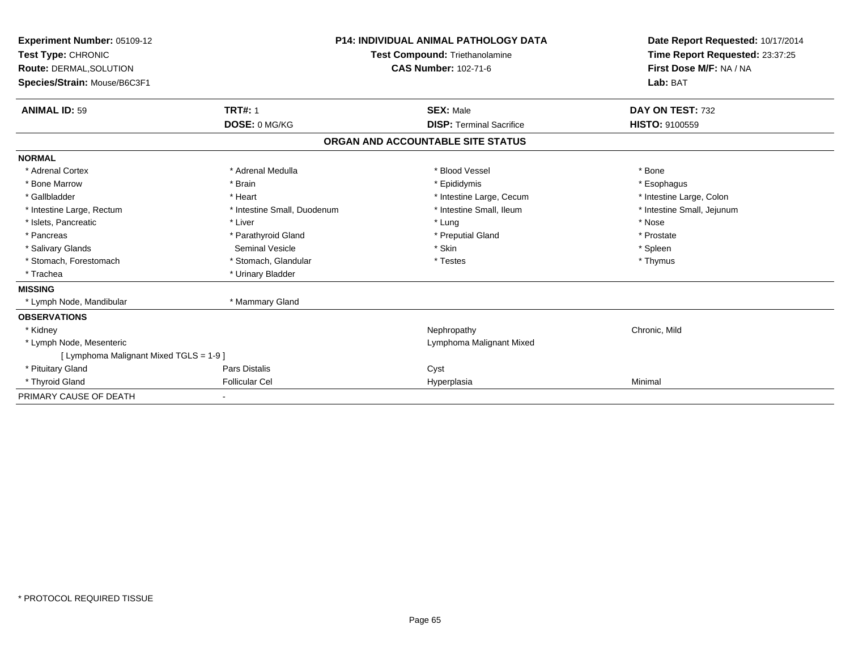| <b>Experiment Number: 05109-12</b><br>Test Type: CHRONIC<br>Route: DERMAL, SOLUTION<br>Species/Strain: Mouse/B6C3F1 |                             | <b>P14: INDIVIDUAL ANIMAL PATHOLOGY DATA</b><br><b>Test Compound: Triethanolamine</b><br><b>CAS Number: 102-71-6</b> | Date Report Requested: 10/17/2014<br>Time Report Requested: 23:37:25<br>First Dose M/F: NA / NA<br>Lab: BAT |
|---------------------------------------------------------------------------------------------------------------------|-----------------------------|----------------------------------------------------------------------------------------------------------------------|-------------------------------------------------------------------------------------------------------------|
| <b>ANIMAL ID: 59</b>                                                                                                | <b>TRT#: 1</b>              | <b>SEX: Male</b>                                                                                                     | DAY ON TEST: 732                                                                                            |
|                                                                                                                     | DOSE: 0 MG/KG               | <b>DISP: Terminal Sacrifice</b>                                                                                      | <b>HISTO: 9100559</b>                                                                                       |
|                                                                                                                     |                             | ORGAN AND ACCOUNTABLE SITE STATUS                                                                                    |                                                                                                             |
| <b>NORMAL</b>                                                                                                       |                             |                                                                                                                      |                                                                                                             |
| * Adrenal Cortex                                                                                                    | * Adrenal Medulla           | * Blood Vessel                                                                                                       | * Bone                                                                                                      |
| * Bone Marrow                                                                                                       | * Brain                     | * Epididymis                                                                                                         | * Esophagus                                                                                                 |
| * Gallbladder                                                                                                       | * Heart                     | * Intestine Large, Cecum                                                                                             | * Intestine Large, Colon                                                                                    |
| * Intestine Large, Rectum                                                                                           | * Intestine Small, Duodenum | * Intestine Small. Ileum                                                                                             | * Intestine Small, Jejunum                                                                                  |
| * Islets, Pancreatic                                                                                                | * Liver                     | * Lung                                                                                                               | * Nose                                                                                                      |
| * Pancreas                                                                                                          | * Parathyroid Gland         | * Preputial Gland                                                                                                    | * Prostate                                                                                                  |
| * Salivary Glands                                                                                                   | <b>Seminal Vesicle</b>      | * Skin                                                                                                               | * Spleen                                                                                                    |
| * Stomach, Forestomach                                                                                              | * Stomach, Glandular        | * Testes                                                                                                             | * Thymus                                                                                                    |
| * Trachea                                                                                                           | * Urinary Bladder           |                                                                                                                      |                                                                                                             |
| <b>MISSING</b>                                                                                                      |                             |                                                                                                                      |                                                                                                             |
| * Lymph Node, Mandibular                                                                                            | * Mammary Gland             |                                                                                                                      |                                                                                                             |
| <b>OBSERVATIONS</b>                                                                                                 |                             |                                                                                                                      |                                                                                                             |
| * Kidney                                                                                                            |                             | Nephropathy                                                                                                          | Chronic, Mild                                                                                               |
| * Lymph Node, Mesenteric                                                                                            |                             | Lymphoma Malignant Mixed                                                                                             |                                                                                                             |
| [ Lymphoma Malignant Mixed TGLS = 1-9 ]                                                                             |                             |                                                                                                                      |                                                                                                             |
| * Pituitary Gland                                                                                                   | Pars Distalis               | Cyst                                                                                                                 |                                                                                                             |
| * Thyroid Gland                                                                                                     | <b>Follicular Cel</b>       | Hyperplasia                                                                                                          | Minimal                                                                                                     |
| PRIMARY CAUSE OF DEATH                                                                                              |                             |                                                                                                                      |                                                                                                             |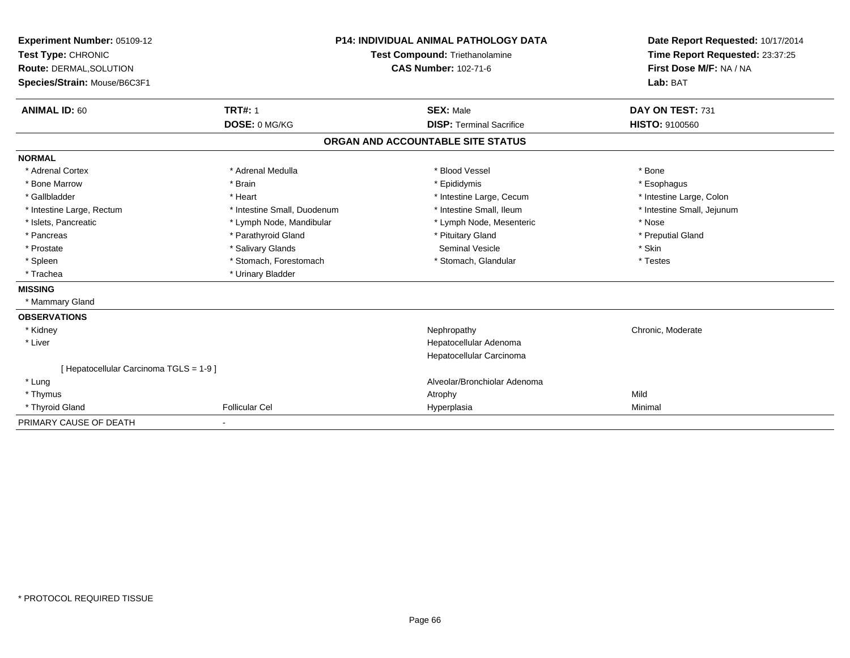| Experiment Number: 05109-12<br>Test Type: CHRONIC |                             | <b>P14: INDIVIDUAL ANIMAL PATHOLOGY DATA</b><br>Test Compound: Triethanolamine | Date Report Requested: 10/17/2014<br>Time Report Requested: 23:37:25 |
|---------------------------------------------------|-----------------------------|--------------------------------------------------------------------------------|----------------------------------------------------------------------|
| <b>Route: DERMAL, SOLUTION</b>                    |                             | <b>CAS Number: 102-71-6</b>                                                    | First Dose M/F: NA / NA                                              |
| Species/Strain: Mouse/B6C3F1                      |                             |                                                                                | Lab: BAT                                                             |
| <b>ANIMAL ID: 60</b>                              | <b>TRT#: 1</b>              | <b>SEX: Male</b>                                                               | DAY ON TEST: 731                                                     |
|                                                   | DOSE: 0 MG/KG               | <b>DISP: Terminal Sacrifice</b>                                                | <b>HISTO: 9100560</b>                                                |
|                                                   |                             | ORGAN AND ACCOUNTABLE SITE STATUS                                              |                                                                      |
| <b>NORMAL</b>                                     |                             |                                                                                |                                                                      |
| * Adrenal Cortex                                  | * Adrenal Medulla           | * Blood Vessel                                                                 | * Bone                                                               |
| * Bone Marrow                                     | * Brain                     | * Epididymis                                                                   | * Esophagus                                                          |
| * Gallbladder                                     | * Heart                     | * Intestine Large, Cecum                                                       | * Intestine Large, Colon                                             |
| * Intestine Large, Rectum                         | * Intestine Small, Duodenum | * Intestine Small, Ileum                                                       | * Intestine Small, Jejunum                                           |
| * Islets, Pancreatic                              | * Lymph Node, Mandibular    | * Lymph Node, Mesenteric                                                       | * Nose                                                               |
| * Pancreas                                        | * Parathyroid Gland         | * Pituitary Gland                                                              | * Preputial Gland                                                    |
| * Prostate                                        | * Salivary Glands           | Seminal Vesicle                                                                | * Skin                                                               |
| * Spleen                                          | * Stomach, Forestomach      | * Stomach, Glandular                                                           | * Testes                                                             |
| * Trachea                                         | * Urinary Bladder           |                                                                                |                                                                      |
| <b>MISSING</b>                                    |                             |                                                                                |                                                                      |
| * Mammary Gland                                   |                             |                                                                                |                                                                      |
| <b>OBSERVATIONS</b>                               |                             |                                                                                |                                                                      |
| * Kidney                                          |                             | Nephropathy                                                                    | Chronic, Moderate                                                    |
| * Liver                                           |                             | Hepatocellular Adenoma                                                         |                                                                      |
|                                                   |                             | Hepatocellular Carcinoma                                                       |                                                                      |
| [ Hepatocellular Carcinoma TGLS = 1-9 ]           |                             |                                                                                |                                                                      |
| * Lung                                            |                             | Alveolar/Bronchiolar Adenoma                                                   |                                                                      |
| * Thymus                                          |                             | Atrophy                                                                        | Mild                                                                 |
| * Thyroid Gland                                   | <b>Follicular Cel</b>       | Hyperplasia                                                                    | Minimal                                                              |
| PRIMARY CAUSE OF DEATH                            | ٠                           |                                                                                |                                                                      |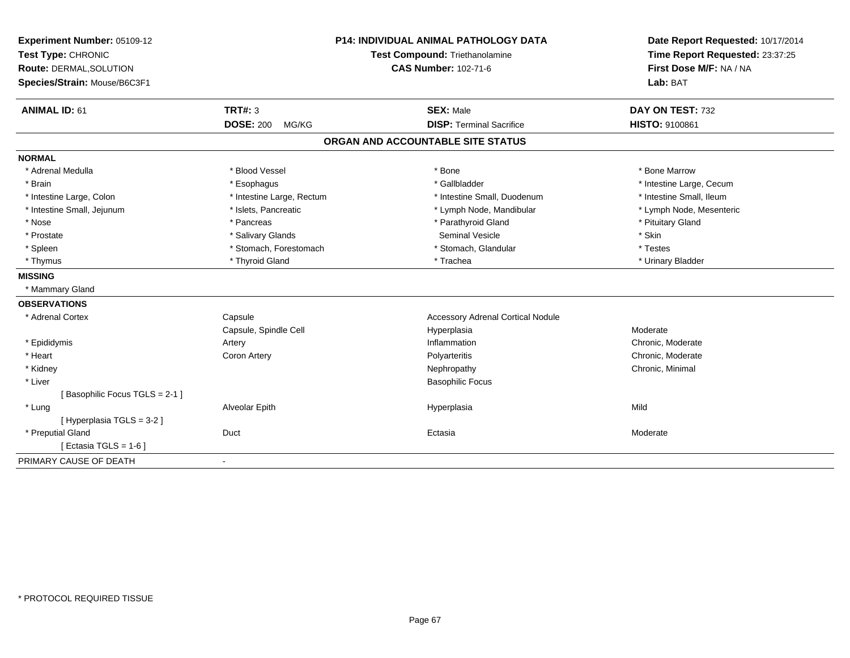| Experiment Number: 05109-12<br>Test Type: CHRONIC<br>Route: DERMAL, SOLUTION<br>Species/Strain: Mouse/B6C3F1 | <b>P14: INDIVIDUAL ANIMAL PATHOLOGY DATA</b><br>Test Compound: Triethanolamine<br><b>CAS Number: 102-71-6</b> |                                          | Date Report Requested: 10/17/2014<br>Time Report Requested: 23:37:25<br>First Dose M/F: NA / NA<br>Lab: BAT |
|--------------------------------------------------------------------------------------------------------------|---------------------------------------------------------------------------------------------------------------|------------------------------------------|-------------------------------------------------------------------------------------------------------------|
| <b>ANIMAL ID: 61</b>                                                                                         | <b>TRT#: 3</b>                                                                                                | <b>SEX: Male</b>                         | DAY ON TEST: 732                                                                                            |
|                                                                                                              | <b>DOSE: 200</b><br>MG/KG                                                                                     | <b>DISP: Terminal Sacrifice</b>          | HISTO: 9100861                                                                                              |
|                                                                                                              |                                                                                                               | ORGAN AND ACCOUNTABLE SITE STATUS        |                                                                                                             |
| <b>NORMAL</b>                                                                                                |                                                                                                               |                                          |                                                                                                             |
| * Adrenal Medulla                                                                                            | * Blood Vessel                                                                                                | * Bone                                   | * Bone Marrow                                                                                               |
| * Brain                                                                                                      | * Esophagus                                                                                                   | * Gallbladder                            | * Intestine Large, Cecum                                                                                    |
| * Intestine Large, Colon                                                                                     | * Intestine Large, Rectum                                                                                     | * Intestine Small, Duodenum              | * Intestine Small. Ileum                                                                                    |
| * Intestine Small, Jejunum                                                                                   | * Islets, Pancreatic                                                                                          | * Lymph Node, Mandibular                 | * Lymph Node, Mesenteric                                                                                    |
| * Nose                                                                                                       | * Pancreas                                                                                                    | * Parathyroid Gland                      | * Pituitary Gland                                                                                           |
| * Prostate                                                                                                   | * Salivary Glands                                                                                             | <b>Seminal Vesicle</b>                   | * Skin                                                                                                      |
| * Spleen                                                                                                     | * Stomach, Forestomach                                                                                        | * Stomach, Glandular                     | * Testes                                                                                                    |
| * Thymus                                                                                                     | * Thyroid Gland                                                                                               | * Trachea                                | * Urinary Bladder                                                                                           |
| <b>MISSING</b>                                                                                               |                                                                                                               |                                          |                                                                                                             |
| * Mammary Gland                                                                                              |                                                                                                               |                                          |                                                                                                             |
| <b>OBSERVATIONS</b>                                                                                          |                                                                                                               |                                          |                                                                                                             |
| * Adrenal Cortex                                                                                             | Capsule                                                                                                       | <b>Accessory Adrenal Cortical Nodule</b> |                                                                                                             |
|                                                                                                              | Capsule, Spindle Cell                                                                                         | Hyperplasia                              | Moderate                                                                                                    |
| * Epididymis                                                                                                 | Artery                                                                                                        | Inflammation                             | Chronic, Moderate                                                                                           |
| * Heart                                                                                                      | Coron Artery                                                                                                  | Polyarteritis                            | Chronic, Moderate                                                                                           |
| * Kidney                                                                                                     |                                                                                                               | Nephropathy                              | Chronic, Minimal                                                                                            |
| * Liver                                                                                                      |                                                                                                               | <b>Basophilic Focus</b>                  |                                                                                                             |
| [Basophilic Focus TGLS = 2-1]                                                                                |                                                                                                               |                                          |                                                                                                             |
| * Lung                                                                                                       | Alveolar Epith                                                                                                | Hyperplasia                              | Mild                                                                                                        |
| [Hyperplasia TGLS = 3-2]                                                                                     |                                                                                                               |                                          |                                                                                                             |
| * Preputial Gland                                                                                            | Duct                                                                                                          | Ectasia                                  | Moderate                                                                                                    |
| [ Ectasia TGLS = $1-6$ ]                                                                                     |                                                                                                               |                                          |                                                                                                             |
| PRIMARY CAUSE OF DEATH                                                                                       |                                                                                                               |                                          |                                                                                                             |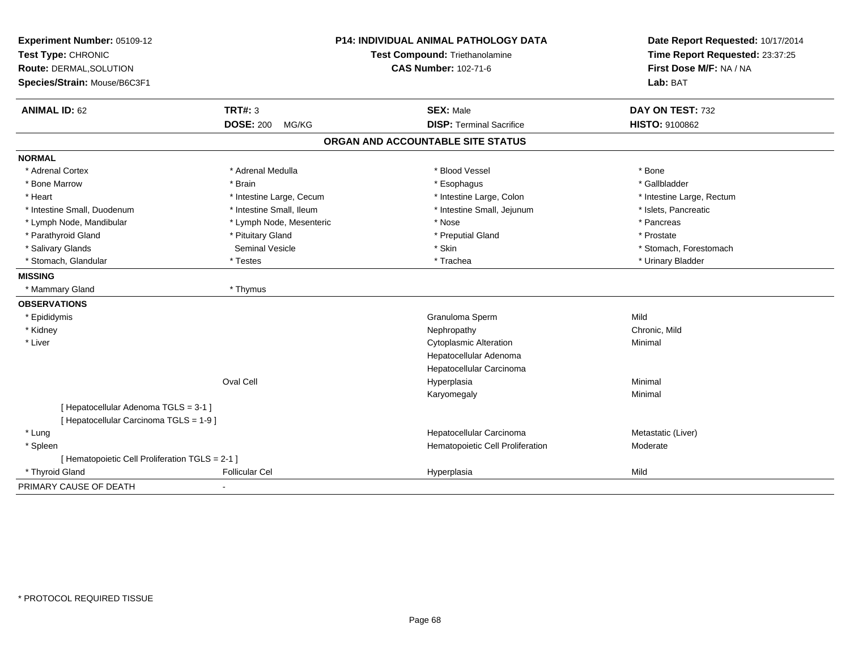| Experiment Number: 05109-12<br>Test Type: CHRONIC<br>Route: DERMAL, SOLUTION<br>Species/Strain: Mouse/B6C3F1 |                           | <b>P14: INDIVIDUAL ANIMAL PATHOLOGY DATA</b><br>Test Compound: Triethanolamine<br><b>CAS Number: 102-71-6</b> |                           |
|--------------------------------------------------------------------------------------------------------------|---------------------------|---------------------------------------------------------------------------------------------------------------|---------------------------|
| <b>ANIMAL ID: 62</b>                                                                                         | <b>TRT#: 3</b>            | <b>SEX: Male</b>                                                                                              | DAY ON TEST: 732          |
|                                                                                                              | <b>DOSE: 200</b><br>MG/KG | <b>DISP: Terminal Sacrifice</b>                                                                               | <b>HISTO: 9100862</b>     |
|                                                                                                              |                           | ORGAN AND ACCOUNTABLE SITE STATUS                                                                             |                           |
| <b>NORMAL</b>                                                                                                |                           |                                                                                                               |                           |
| * Adrenal Cortex                                                                                             | * Adrenal Medulla         | * Blood Vessel                                                                                                | * Bone                    |
| * Bone Marrow                                                                                                | * Brain                   | * Esophagus                                                                                                   | * Gallbladder             |
| * Heart                                                                                                      | * Intestine Large, Cecum  | * Intestine Large, Colon                                                                                      | * Intestine Large, Rectum |
| * Intestine Small, Duodenum                                                                                  | * Intestine Small, Ileum  | * Intestine Small, Jejunum                                                                                    | * Islets, Pancreatic      |
| * Lymph Node, Mandibular                                                                                     | * Lymph Node, Mesenteric  | * Nose                                                                                                        | * Pancreas                |
| * Parathyroid Gland                                                                                          | * Pituitary Gland         | * Preputial Gland                                                                                             | * Prostate                |
| * Salivary Glands                                                                                            | <b>Seminal Vesicle</b>    | * Skin                                                                                                        | * Stomach, Forestomach    |
| * Stomach, Glandular                                                                                         | * Testes                  | * Trachea                                                                                                     | * Urinary Bladder         |
| <b>MISSING</b>                                                                                               |                           |                                                                                                               |                           |
| * Mammary Gland                                                                                              | * Thymus                  |                                                                                                               |                           |
| <b>OBSERVATIONS</b>                                                                                          |                           |                                                                                                               |                           |
| * Epididymis                                                                                                 |                           | Granuloma Sperm                                                                                               | Mild                      |
| * Kidney                                                                                                     |                           | Nephropathy                                                                                                   | Chronic, Mild             |
| * Liver                                                                                                      |                           | <b>Cytoplasmic Alteration</b>                                                                                 | Minimal                   |
|                                                                                                              |                           | Hepatocellular Adenoma                                                                                        |                           |
|                                                                                                              |                           | Hepatocellular Carcinoma                                                                                      |                           |
|                                                                                                              | Oval Cell                 | Hyperplasia                                                                                                   | Minimal                   |
|                                                                                                              |                           | Karyomegaly                                                                                                   | Minimal                   |
| [ Hepatocellular Adenoma TGLS = 3-1 ]                                                                        |                           |                                                                                                               |                           |
| [ Hepatocellular Carcinoma TGLS = 1-9 ]                                                                      |                           |                                                                                                               |                           |
| * Lung                                                                                                       |                           | Hepatocellular Carcinoma                                                                                      | Metastatic (Liver)        |
| * Spleen                                                                                                     |                           | Hematopoietic Cell Proliferation                                                                              | Moderate                  |
| [ Hematopoietic Cell Proliferation TGLS = 2-1 ]                                                              |                           |                                                                                                               |                           |
| * Thyroid Gland                                                                                              | <b>Follicular Cel</b>     | Hyperplasia                                                                                                   | Mild                      |
| PRIMARY CAUSE OF DEATH                                                                                       |                           |                                                                                                               |                           |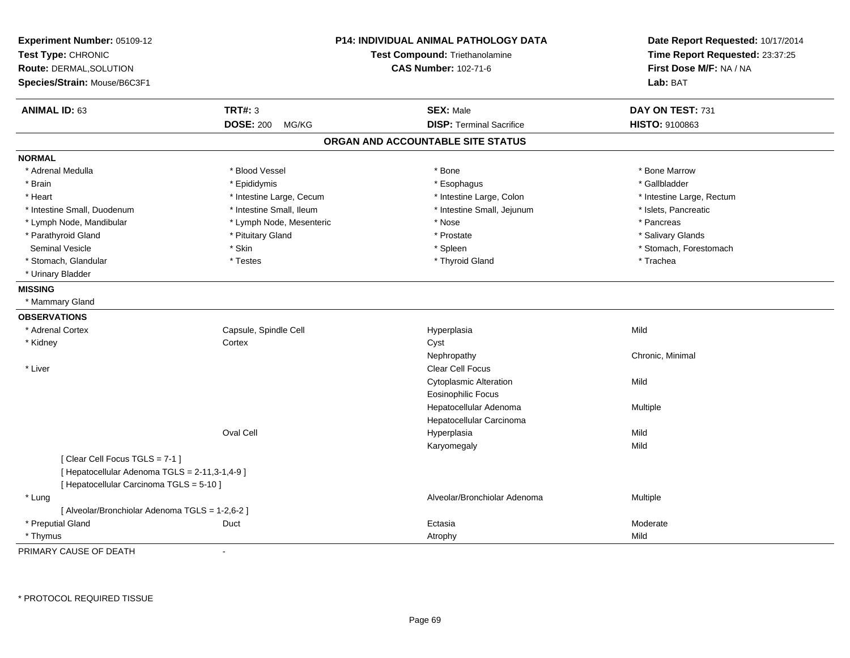| Experiment Number: 05109-12<br>Test Type: CHRONIC<br>Route: DERMAL, SOLUTION<br>Species/Strain: Mouse/B6C3F1 |                           | P14: INDIVIDUAL ANIMAL PATHOLOGY DATA<br>Test Compound: Triethanolamine<br><b>CAS Number: 102-71-6</b> |                           |
|--------------------------------------------------------------------------------------------------------------|---------------------------|--------------------------------------------------------------------------------------------------------|---------------------------|
| <b>ANIMAL ID: 63</b>                                                                                         | <b>TRT#: 3</b>            | <b>SEX: Male</b>                                                                                       | DAY ON TEST: 731          |
|                                                                                                              | <b>DOSE: 200</b><br>MG/KG | <b>DISP: Terminal Sacrifice</b>                                                                        | HISTO: 9100863            |
|                                                                                                              |                           | ORGAN AND ACCOUNTABLE SITE STATUS                                                                      |                           |
| <b>NORMAL</b>                                                                                                |                           |                                                                                                        |                           |
| * Adrenal Medulla                                                                                            | * Blood Vessel            | * Bone                                                                                                 | * Bone Marrow             |
| * Brain                                                                                                      | * Epididymis              | * Esophagus                                                                                            | * Gallbladder             |
| * Heart                                                                                                      | * Intestine Large, Cecum  | * Intestine Large, Colon                                                                               | * Intestine Large, Rectum |
| * Intestine Small, Duodenum                                                                                  | * Intestine Small, Ileum  | * Intestine Small, Jejunum                                                                             | * Islets, Pancreatic      |
| * Lymph Node, Mandibular                                                                                     | * Lymph Node, Mesenteric  | * Nose                                                                                                 | * Pancreas                |
| * Parathyroid Gland                                                                                          | * Pituitary Gland         | * Prostate                                                                                             | * Salivary Glands         |
| <b>Seminal Vesicle</b>                                                                                       | * Skin                    | * Spleen                                                                                               | * Stomach, Forestomach    |
| * Stomach, Glandular                                                                                         | * Testes                  | * Thyroid Gland                                                                                        | * Trachea                 |
| * Urinary Bladder                                                                                            |                           |                                                                                                        |                           |
| <b>MISSING</b>                                                                                               |                           |                                                                                                        |                           |
| * Mammary Gland                                                                                              |                           |                                                                                                        |                           |
| <b>OBSERVATIONS</b>                                                                                          |                           |                                                                                                        |                           |
| * Adrenal Cortex                                                                                             | Capsule, Spindle Cell     | Hyperplasia                                                                                            | Mild                      |
| * Kidney                                                                                                     | Cortex                    | Cyst                                                                                                   |                           |
|                                                                                                              |                           | Nephropathy                                                                                            | Chronic, Minimal          |
| * Liver                                                                                                      |                           | Clear Cell Focus                                                                                       |                           |
|                                                                                                              |                           | <b>Cytoplasmic Alteration</b>                                                                          | Mild                      |
|                                                                                                              |                           | <b>Eosinophilic Focus</b>                                                                              |                           |
|                                                                                                              |                           | Hepatocellular Adenoma                                                                                 | Multiple                  |
|                                                                                                              |                           | Hepatocellular Carcinoma                                                                               |                           |
|                                                                                                              | Oval Cell                 | Hyperplasia                                                                                            | Mild                      |
|                                                                                                              |                           | Karyomegaly                                                                                            | Mild                      |
| [Clear Cell Focus TGLS = 7-1]                                                                                |                           |                                                                                                        |                           |
| [ Hepatocellular Adenoma TGLS = 2-11,3-1,4-9 ]                                                               |                           |                                                                                                        |                           |
| [ Hepatocellular Carcinoma TGLS = 5-10 ]                                                                     |                           |                                                                                                        |                           |
| * Lung                                                                                                       |                           | Alveolar/Bronchiolar Adenoma                                                                           | Multiple                  |
| [ Alveolar/Bronchiolar Adenoma TGLS = 1-2,6-2 ]                                                              |                           |                                                                                                        |                           |
| * Preputial Gland                                                                                            | Duct                      | Ectasia                                                                                                | Moderate                  |
| * Thymus                                                                                                     |                           | Atrophy                                                                                                | Mild                      |

PRIMARY CAUSE OF DEATH-

\* PROTOCOL REQUIRED TISSUE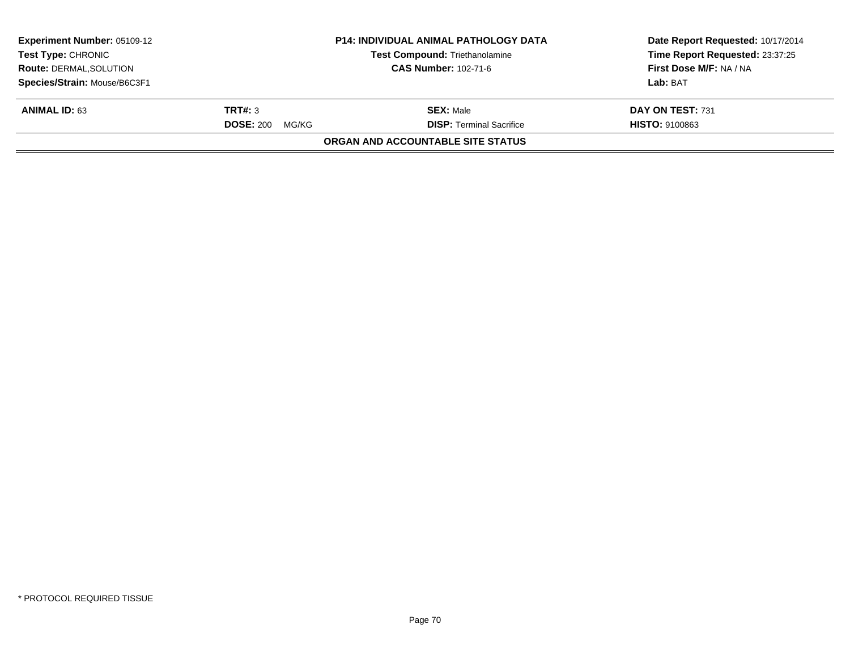| <b>Experiment Number: 05109-12</b><br><b>Test Type: CHRONIC</b><br><b>Route: DERMAL, SOLUTION</b><br>Species/Strain: Mouse/B6C3F1 | <b>P14: INDIVIDUAL ANIMAL PATHOLOGY DATA</b><br><b>Test Compound: Triethanolamine</b><br><b>CAS Number: 102-71-6</b> |                                                     | Date Report Requested: 10/17/2014<br>Time Report Requested: 23:37:25<br>First Dose M/F: NA / NA<br>Lab: BAT |
|-----------------------------------------------------------------------------------------------------------------------------------|----------------------------------------------------------------------------------------------------------------------|-----------------------------------------------------|-------------------------------------------------------------------------------------------------------------|
| <b>ANIMAL ID: 63</b><br><b>TRT#:</b> 3<br><b>DOSE: 200</b><br>MG/KG                                                               |                                                                                                                      | <b>SEX:</b> Male<br><b>DISP: Terminal Sacrifice</b> | DAY ON TEST: 731<br><b>HISTO: 9100863</b>                                                                   |
|                                                                                                                                   |                                                                                                                      | <b>ORGAN AND ACCOUNTABLE SITE STATUS</b>            |                                                                                                             |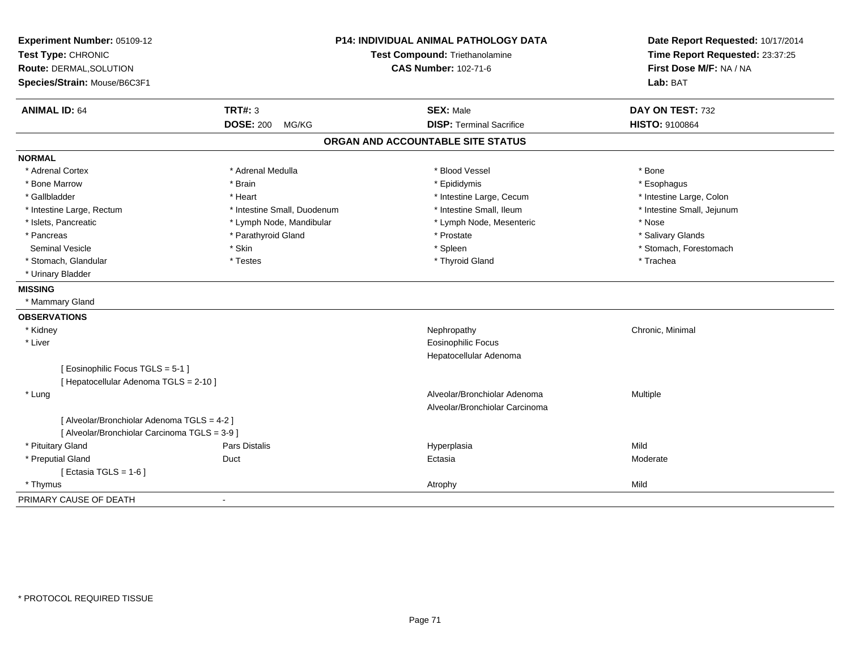| Experiment Number: 05109-12<br>Test Type: CHRONIC<br>Route: DERMAL, SOLUTION<br>Species/Strain: Mouse/B6C3F1 |                             | P14: INDIVIDUAL ANIMAL PATHOLOGY DATA<br>Test Compound: Triethanolamine<br><b>CAS Number: 102-71-6</b> |                            |
|--------------------------------------------------------------------------------------------------------------|-----------------------------|--------------------------------------------------------------------------------------------------------|----------------------------|
| <b>ANIMAL ID: 64</b>                                                                                         | <b>TRT#: 3</b>              | <b>SEX: Male</b>                                                                                       | DAY ON TEST: 732           |
|                                                                                                              | <b>DOSE: 200</b><br>MG/KG   | <b>DISP: Terminal Sacrifice</b>                                                                        | <b>HISTO: 9100864</b>      |
|                                                                                                              |                             | ORGAN AND ACCOUNTABLE SITE STATUS                                                                      |                            |
| <b>NORMAL</b>                                                                                                |                             |                                                                                                        |                            |
| * Adrenal Cortex                                                                                             | * Adrenal Medulla           | * Blood Vessel                                                                                         | * Bone                     |
| * Bone Marrow                                                                                                | * Brain                     | * Epididymis                                                                                           | * Esophagus                |
| * Gallbladder                                                                                                | * Heart                     | * Intestine Large, Cecum                                                                               | * Intestine Large, Colon   |
| * Intestine Large, Rectum                                                                                    | * Intestine Small, Duodenum | * Intestine Small, Ileum                                                                               | * Intestine Small, Jejunum |
| * Islets, Pancreatic                                                                                         | * Lymph Node, Mandibular    | * Lymph Node, Mesenteric                                                                               | * Nose                     |
| * Pancreas                                                                                                   | * Parathyroid Gland         | * Prostate                                                                                             | * Salivary Glands          |
| Seminal Vesicle                                                                                              | * Skin                      | * Spleen                                                                                               | * Stomach, Forestomach     |
| * Stomach, Glandular                                                                                         | * Testes                    | * Thyroid Gland                                                                                        | * Trachea                  |
| * Urinary Bladder                                                                                            |                             |                                                                                                        |                            |
| <b>MISSING</b>                                                                                               |                             |                                                                                                        |                            |
| * Mammary Gland                                                                                              |                             |                                                                                                        |                            |
| <b>OBSERVATIONS</b>                                                                                          |                             |                                                                                                        |                            |
| * Kidney                                                                                                     |                             | Nephropathy                                                                                            | Chronic, Minimal           |
| * Liver                                                                                                      |                             | <b>Eosinophilic Focus</b>                                                                              |                            |
|                                                                                                              |                             | Hepatocellular Adenoma                                                                                 |                            |
| [ Eosinophilic Focus TGLS = 5-1 ]                                                                            |                             |                                                                                                        |                            |
| [ Hepatocellular Adenoma TGLS = 2-10 ]                                                                       |                             |                                                                                                        |                            |
| * Lung                                                                                                       |                             | Alveolar/Bronchiolar Adenoma                                                                           | Multiple                   |
|                                                                                                              |                             | Alveolar/Bronchiolar Carcinoma                                                                         |                            |
| [ Alveolar/Bronchiolar Adenoma TGLS = 4-2 ]                                                                  |                             |                                                                                                        |                            |
| [ Alveolar/Bronchiolar Carcinoma TGLS = 3-9 ]                                                                |                             |                                                                                                        |                            |
| * Pituitary Gland                                                                                            | Pars Distalis               | Hyperplasia                                                                                            | Mild                       |
| * Preputial Gland                                                                                            | Duct                        | Ectasia                                                                                                | Moderate                   |
| [ Ectasia TGLS = $1-6$ ]                                                                                     |                             |                                                                                                        |                            |
| * Thymus                                                                                                     |                             | Atrophy                                                                                                | Mild                       |
| PRIMARY CAUSE OF DEATH                                                                                       |                             |                                                                                                        |                            |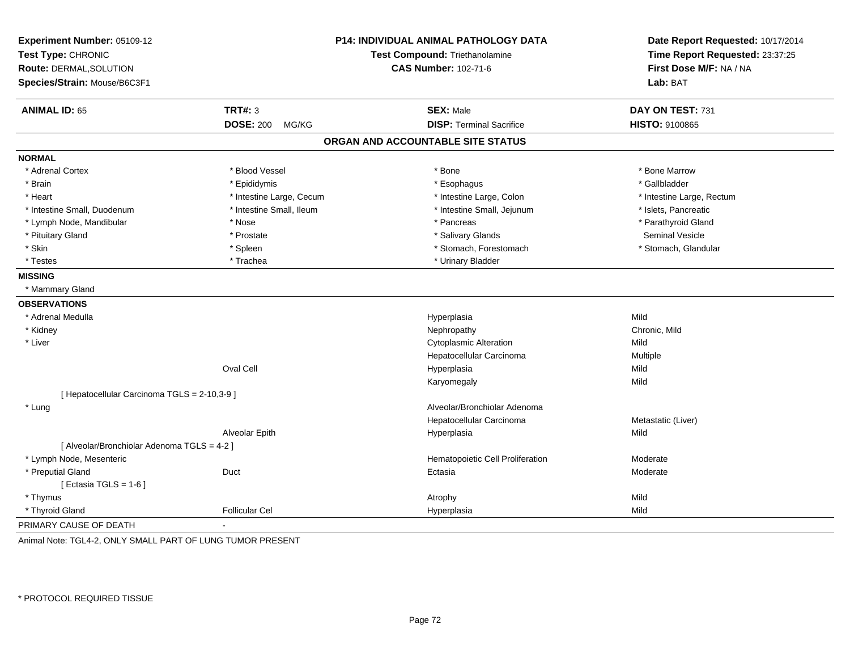| Experiment Number: 05109-12<br>Test Type: CHRONIC<br>Route: DERMAL, SOLUTION<br>Species/Strain: Mouse/B6C3F1 |                           | P14: INDIVIDUAL ANIMAL PATHOLOGY DATA<br>Test Compound: Triethanolamine<br><b>CAS Number: 102-71-6</b> | Date Report Requested: 10/17/2014<br>Time Report Requested: 23:37:25<br>First Dose M/F: NA / NA<br>Lab: BAT |
|--------------------------------------------------------------------------------------------------------------|---------------------------|--------------------------------------------------------------------------------------------------------|-------------------------------------------------------------------------------------------------------------|
| <b>ANIMAL ID: 65</b>                                                                                         | <b>TRT#: 3</b>            | <b>SEX: Male</b>                                                                                       | DAY ON TEST: 731                                                                                            |
|                                                                                                              | <b>DOSE: 200</b><br>MG/KG | <b>DISP: Terminal Sacrifice</b>                                                                        | <b>HISTO: 9100865</b>                                                                                       |
|                                                                                                              |                           | ORGAN AND ACCOUNTABLE SITE STATUS                                                                      |                                                                                                             |
| <b>NORMAL</b>                                                                                                |                           |                                                                                                        |                                                                                                             |
| * Adrenal Cortex                                                                                             | * Blood Vessel            | * Bone                                                                                                 | * Bone Marrow                                                                                               |
| * Brain                                                                                                      | * Epididymis              | * Esophagus                                                                                            | * Gallbladder                                                                                               |
| * Heart                                                                                                      | * Intestine Large, Cecum  | * Intestine Large, Colon                                                                               | * Intestine Large, Rectum                                                                                   |
| * Intestine Small, Duodenum                                                                                  | * Intestine Small, Ileum  | * Intestine Small, Jejunum                                                                             | * Islets, Pancreatic                                                                                        |
| * Lymph Node, Mandibular                                                                                     | * Nose                    | * Pancreas                                                                                             | * Parathyroid Gland                                                                                         |
| * Pituitary Gland                                                                                            | * Prostate                | * Salivary Glands                                                                                      | Seminal Vesicle                                                                                             |
| * Skin                                                                                                       | * Spleen                  | * Stomach, Forestomach                                                                                 | * Stomach, Glandular                                                                                        |
| * Testes                                                                                                     | * Trachea                 | * Urinary Bladder                                                                                      |                                                                                                             |
| <b>MISSING</b>                                                                                               |                           |                                                                                                        |                                                                                                             |
| * Mammary Gland                                                                                              |                           |                                                                                                        |                                                                                                             |
| <b>OBSERVATIONS</b>                                                                                          |                           |                                                                                                        |                                                                                                             |
| * Adrenal Medulla                                                                                            |                           | Hyperplasia                                                                                            | Mild                                                                                                        |
| * Kidney                                                                                                     |                           | Nephropathy                                                                                            | Chronic, Mild                                                                                               |
| * Liver                                                                                                      |                           | <b>Cytoplasmic Alteration</b>                                                                          | Mild                                                                                                        |
|                                                                                                              |                           | Hepatocellular Carcinoma                                                                               | Multiple                                                                                                    |
|                                                                                                              | Oval Cell                 | Hyperplasia                                                                                            | Mild                                                                                                        |
|                                                                                                              |                           | Karyomegaly                                                                                            | Mild                                                                                                        |
| [ Hepatocellular Carcinoma TGLS = 2-10,3-9 ]                                                                 |                           |                                                                                                        |                                                                                                             |
| * Lung                                                                                                       |                           | Alveolar/Bronchiolar Adenoma                                                                           |                                                                                                             |
|                                                                                                              |                           | Hepatocellular Carcinoma                                                                               | Metastatic (Liver)                                                                                          |
|                                                                                                              | Alveolar Epith            | Hyperplasia                                                                                            | Mild                                                                                                        |
| [ Alveolar/Bronchiolar Adenoma TGLS = 4-2 ]                                                                  |                           |                                                                                                        |                                                                                                             |
| * Lymph Node, Mesenteric                                                                                     |                           | Hematopoietic Cell Proliferation                                                                       | Moderate                                                                                                    |
| * Preputial Gland                                                                                            | Duct                      | Ectasia                                                                                                | Moderate                                                                                                    |
| [ Ectasia TGLS = $1-6$ ]                                                                                     |                           |                                                                                                        |                                                                                                             |
| * Thymus                                                                                                     |                           | Atrophy                                                                                                | Mild                                                                                                        |
| * Thyroid Gland                                                                                              | <b>Follicular Cel</b>     | Hyperplasia                                                                                            | Mild                                                                                                        |
| PRIMARY CAUSE OF DEATH                                                                                       | ÷,                        |                                                                                                        |                                                                                                             |

Animal Note: TGL4-2, ONLY SMALL PART OF LUNG TUMOR PRESENT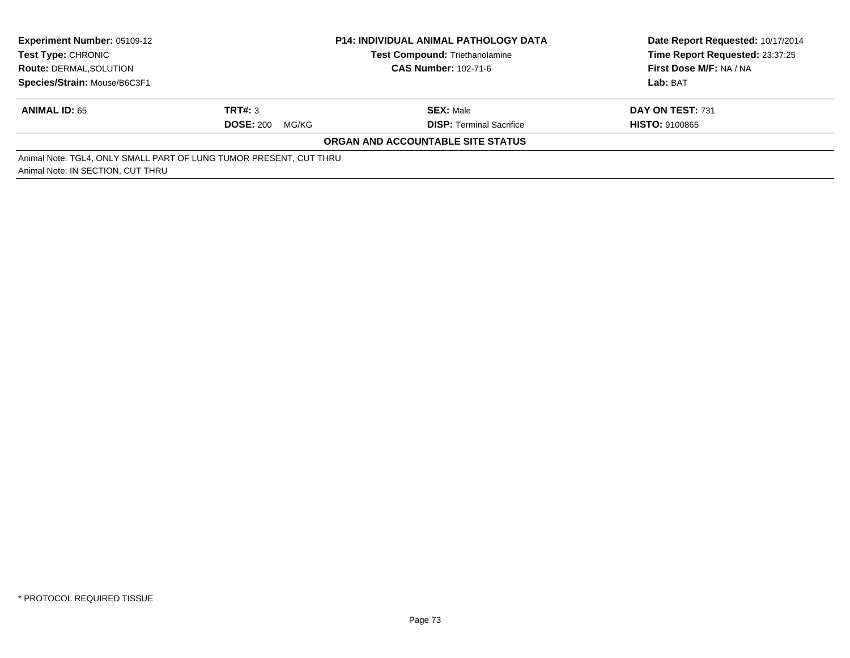| <b>Experiment Number: 05109-12</b><br>Test Type: CHRONIC           |                           | <b>P14: INDIVIDUAL ANIMAL PATHOLOGY DATA</b> | Date Report Requested: 10/17/2014 |
|--------------------------------------------------------------------|---------------------------|----------------------------------------------|-----------------------------------|
|                                                                    |                           | <b>Test Compound: Triethanolamine</b>        | Time Report Requested: 23:37:25   |
| <b>Route: DERMAL, SOLUTION</b>                                     |                           | <b>CAS Number: 102-71-6</b>                  | First Dose M/F: NA / NA           |
| Species/Strain: Mouse/B6C3F1                                       |                           |                                              | Lab: BAT                          |
| <b>ANIMAL ID: 65</b>                                               | <b>TRT#: 3</b>            | <b>SEX: Male</b>                             | DAY ON TEST: 731                  |
|                                                                    | <b>DOSE: 200</b><br>MG/KG | <b>DISP: Terminal Sacrifice</b>              | <b>HISTO: 9100865</b>             |
|                                                                    |                           | ORGAN AND ACCOUNTABLE SITE STATUS            |                                   |
| Animal Note: TGL4, ONLY SMALL PART OF LUNG TUMOR PRESENT, CUT THRU |                           |                                              |                                   |
| Animal Note: IN SECTION, CUT THRU                                  |                           |                                              |                                   |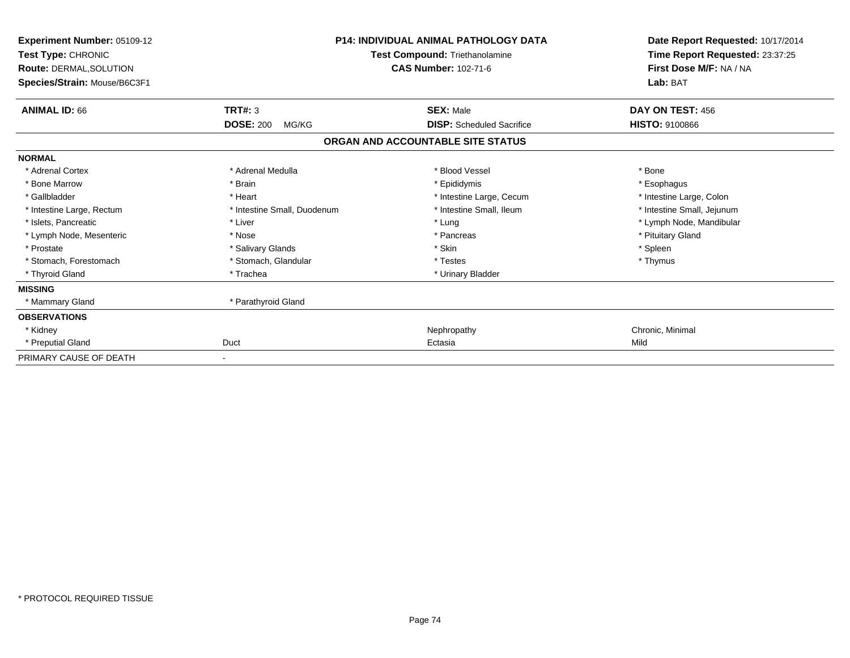| Experiment Number: 05109-12<br>Test Type: CHRONIC<br><b>Route: DERMAL, SOLUTION</b><br>Species/Strain: Mouse/B6C3F1 | <b>P14: INDIVIDUAL ANIMAL PATHOLOGY DATA</b><br>Test Compound: Triethanolamine<br><b>CAS Number: 102-71-6</b> |                                   | Date Report Requested: 10/17/2014<br>Time Report Requested: 23:37:25<br>First Dose M/F: NA / NA<br>Lab: BAT |
|---------------------------------------------------------------------------------------------------------------------|---------------------------------------------------------------------------------------------------------------|-----------------------------------|-------------------------------------------------------------------------------------------------------------|
| <b>ANIMAL ID: 66</b>                                                                                                | TRT#: 3                                                                                                       | <b>SEX: Male</b>                  | DAY ON TEST: 456                                                                                            |
|                                                                                                                     | <b>DOSE: 200</b><br>MG/KG                                                                                     | <b>DISP:</b> Scheduled Sacrifice  | <b>HISTO: 9100866</b>                                                                                       |
|                                                                                                                     |                                                                                                               | ORGAN AND ACCOUNTABLE SITE STATUS |                                                                                                             |
| <b>NORMAL</b>                                                                                                       |                                                                                                               |                                   |                                                                                                             |
| * Adrenal Cortex                                                                                                    | * Adrenal Medulla                                                                                             | * Blood Vessel                    | * Bone                                                                                                      |
| * Bone Marrow                                                                                                       | * Brain                                                                                                       | * Epididymis                      | * Esophagus                                                                                                 |
| * Gallbladder                                                                                                       | * Heart                                                                                                       | * Intestine Large, Cecum          | * Intestine Large, Colon                                                                                    |
| * Intestine Large, Rectum                                                                                           | * Intestine Small, Duodenum                                                                                   | * Intestine Small, Ileum          | * Intestine Small, Jejunum                                                                                  |
| * Islets, Pancreatic                                                                                                | * Liver                                                                                                       | * Lung                            | * Lymph Node, Mandibular                                                                                    |
| * Lymph Node, Mesenteric                                                                                            | * Nose                                                                                                        | * Pancreas                        | * Pituitary Gland                                                                                           |
| * Prostate                                                                                                          | * Salivary Glands                                                                                             | * Skin                            | * Spleen                                                                                                    |
| * Stomach, Forestomach                                                                                              | * Stomach, Glandular                                                                                          | * Testes                          | * Thymus                                                                                                    |
| * Thyroid Gland                                                                                                     | * Trachea                                                                                                     | * Urinary Bladder                 |                                                                                                             |
| <b>MISSING</b>                                                                                                      |                                                                                                               |                                   |                                                                                                             |
| * Mammary Gland                                                                                                     | * Parathyroid Gland                                                                                           |                                   |                                                                                                             |
| <b>OBSERVATIONS</b>                                                                                                 |                                                                                                               |                                   |                                                                                                             |
| * Kidney                                                                                                            |                                                                                                               | Nephropathy                       | Chronic, Minimal                                                                                            |
| * Preputial Gland                                                                                                   | Duct                                                                                                          | Ectasia                           | Mild                                                                                                        |
| PRIMARY CAUSE OF DEATH                                                                                              |                                                                                                               |                                   |                                                                                                             |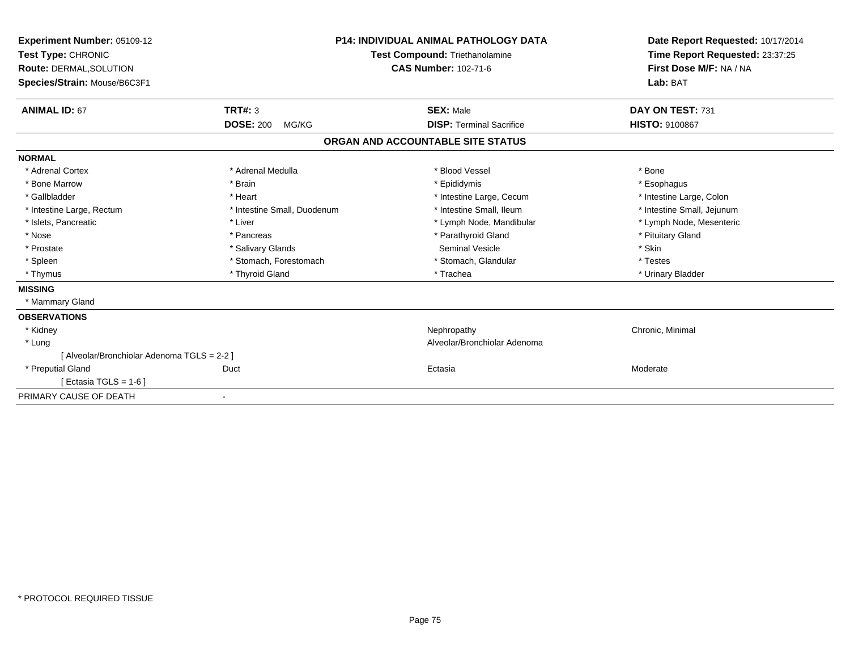| Experiment Number: 05109-12<br>Test Type: CHRONIC<br>Route: DERMAL, SOLUTION<br>Species/Strain: Mouse/B6C3F1 |                             | <b>P14: INDIVIDUAL ANIMAL PATHOLOGY DATA</b><br><b>Test Compound: Triethanolamine</b><br><b>CAS Number: 102-71-6</b> | Date Report Requested: 10/17/2014<br>Time Report Requested: 23:37:25<br>First Dose M/F: NA / NA<br>Lab: BAT |
|--------------------------------------------------------------------------------------------------------------|-----------------------------|----------------------------------------------------------------------------------------------------------------------|-------------------------------------------------------------------------------------------------------------|
| <b>ANIMAL ID: 67</b>                                                                                         | TRT#: 3                     | <b>SEX: Male</b>                                                                                                     | DAY ON TEST: 731                                                                                            |
|                                                                                                              | <b>DOSE: 200</b><br>MG/KG   | <b>DISP: Terminal Sacrifice</b>                                                                                      | <b>HISTO: 9100867</b>                                                                                       |
|                                                                                                              |                             | ORGAN AND ACCOUNTABLE SITE STATUS                                                                                    |                                                                                                             |
| <b>NORMAL</b>                                                                                                |                             |                                                                                                                      |                                                                                                             |
| * Adrenal Cortex                                                                                             | * Adrenal Medulla           | * Blood Vessel                                                                                                       | * Bone                                                                                                      |
| * Bone Marrow                                                                                                | * Brain                     | * Epididymis                                                                                                         | * Esophagus                                                                                                 |
| * Gallbladder                                                                                                | * Heart                     | * Intestine Large, Cecum                                                                                             | * Intestine Large, Colon                                                                                    |
| * Intestine Large, Rectum                                                                                    | * Intestine Small, Duodenum | * Intestine Small. Ileum                                                                                             | * Intestine Small, Jejunum                                                                                  |
| * Islets, Pancreatic                                                                                         | * Liver                     | * Lymph Node, Mandibular                                                                                             | * Lymph Node, Mesenteric                                                                                    |
| * Nose                                                                                                       | * Pancreas                  | * Parathyroid Gland                                                                                                  | * Pituitary Gland                                                                                           |
| * Prostate                                                                                                   | * Salivary Glands           | <b>Seminal Vesicle</b>                                                                                               | * Skin                                                                                                      |
| * Spleen                                                                                                     | * Stomach, Forestomach      | * Stomach, Glandular                                                                                                 | * Testes                                                                                                    |
| * Thymus                                                                                                     | * Thyroid Gland             | * Trachea                                                                                                            | * Urinary Bladder                                                                                           |
| <b>MISSING</b>                                                                                               |                             |                                                                                                                      |                                                                                                             |
| * Mammary Gland                                                                                              |                             |                                                                                                                      |                                                                                                             |
| <b>OBSERVATIONS</b>                                                                                          |                             |                                                                                                                      |                                                                                                             |
| * Kidney                                                                                                     |                             | Nephropathy                                                                                                          | Chronic, Minimal                                                                                            |
| * Lung                                                                                                       |                             | Alveolar/Bronchiolar Adenoma                                                                                         |                                                                                                             |
| [ Alveolar/Bronchiolar Adenoma TGLS = 2-2 ]                                                                  |                             |                                                                                                                      |                                                                                                             |
| * Preputial Gland                                                                                            | Duct                        | Ectasia                                                                                                              | Moderate                                                                                                    |
| [ Ectasia TGLS = 1-6 ]                                                                                       |                             |                                                                                                                      |                                                                                                             |
| PRIMARY CAUSE OF DEATH                                                                                       |                             |                                                                                                                      |                                                                                                             |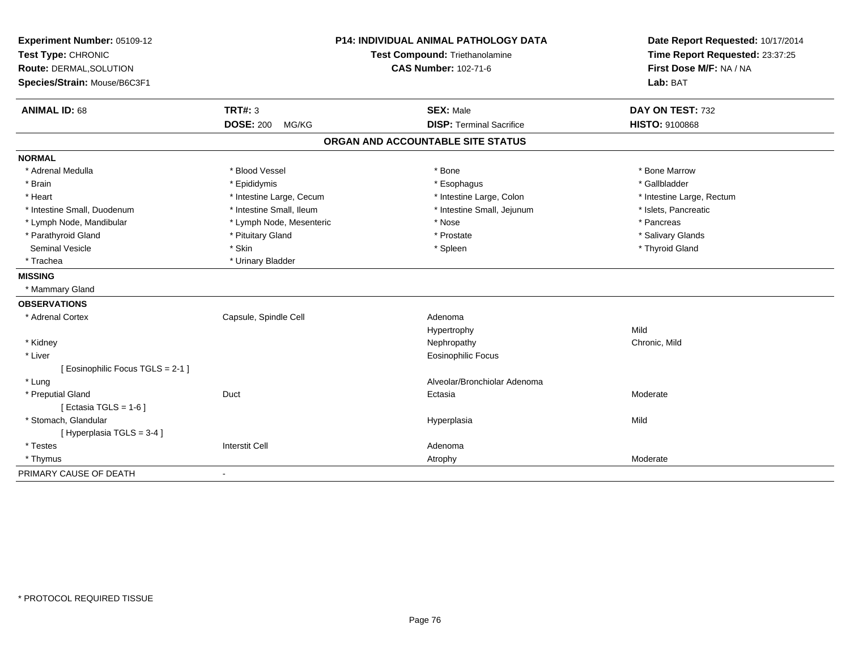| Experiment Number: 05109-12       | <b>P14: INDIVIDUAL ANIMAL PATHOLOGY DATA</b><br>Test Compound: Triethanolamine<br><b>CAS Number: 102-71-6</b> |                                   | Date Report Requested: 10/17/2014                          |
|-----------------------------------|---------------------------------------------------------------------------------------------------------------|-----------------------------------|------------------------------------------------------------|
| Test Type: CHRONIC                |                                                                                                               |                                   | Time Report Requested: 23:37:25<br>First Dose M/F: NA / NA |
| Route: DERMAL, SOLUTION           |                                                                                                               |                                   |                                                            |
| Species/Strain: Mouse/B6C3F1      |                                                                                                               |                                   | Lab: BAT                                                   |
| <b>ANIMAL ID: 68</b>              | <b>TRT#: 3</b>                                                                                                | <b>SEX: Male</b>                  | DAY ON TEST: 732                                           |
|                                   | <b>DOSE: 200</b><br>MG/KG                                                                                     | <b>DISP: Terminal Sacrifice</b>   | HISTO: 9100868                                             |
|                                   |                                                                                                               | ORGAN AND ACCOUNTABLE SITE STATUS |                                                            |
| <b>NORMAL</b>                     |                                                                                                               |                                   |                                                            |
| * Adrenal Medulla                 | * Blood Vessel                                                                                                | * Bone                            | * Bone Marrow                                              |
| * Brain                           | * Epididymis                                                                                                  | * Esophagus                       | * Gallbladder                                              |
| * Heart                           | * Intestine Large, Cecum                                                                                      | * Intestine Large, Colon          | * Intestine Large, Rectum                                  |
| * Intestine Small, Duodenum       | * Intestine Small, Ileum                                                                                      | * Intestine Small, Jejunum        | * Islets, Pancreatic                                       |
| * Lymph Node, Mandibular          | * Lymph Node, Mesenteric                                                                                      | * Nose                            | * Pancreas                                                 |
| * Parathyroid Gland               | * Pituitary Gland                                                                                             | * Prostate                        | * Salivary Glands                                          |
| <b>Seminal Vesicle</b>            | * Skin                                                                                                        | * Spleen                          | * Thyroid Gland                                            |
| * Trachea                         | * Urinary Bladder                                                                                             |                                   |                                                            |
| <b>MISSING</b>                    |                                                                                                               |                                   |                                                            |
| * Mammary Gland                   |                                                                                                               |                                   |                                                            |
| <b>OBSERVATIONS</b>               |                                                                                                               |                                   |                                                            |
| * Adrenal Cortex                  | Capsule, Spindle Cell                                                                                         | Adenoma                           |                                                            |
|                                   |                                                                                                               | Hypertrophy                       | Mild                                                       |
| * Kidney                          |                                                                                                               | Nephropathy                       | Chronic, Mild                                              |
| * Liver                           |                                                                                                               | <b>Eosinophilic Focus</b>         |                                                            |
| [ Eosinophilic Focus TGLS = 2-1 ] |                                                                                                               |                                   |                                                            |
| * Lung                            |                                                                                                               | Alveolar/Bronchiolar Adenoma      |                                                            |
| * Preputial Gland                 | Duct                                                                                                          | Ectasia                           | Moderate                                                   |
| [ Ectasia TGLS = $1-6$ ]          |                                                                                                               |                                   |                                                            |
| * Stomach, Glandular              |                                                                                                               | Hyperplasia                       | Mild                                                       |
| [Hyperplasia TGLS = 3-4]          |                                                                                                               |                                   |                                                            |
| * Testes                          | <b>Interstit Cell</b>                                                                                         | Adenoma                           |                                                            |
| * Thymus                          |                                                                                                               | Atrophy                           | Moderate                                                   |
| PRIMARY CAUSE OF DEATH            | $\overline{\phantom{0}}$                                                                                      |                                   |                                                            |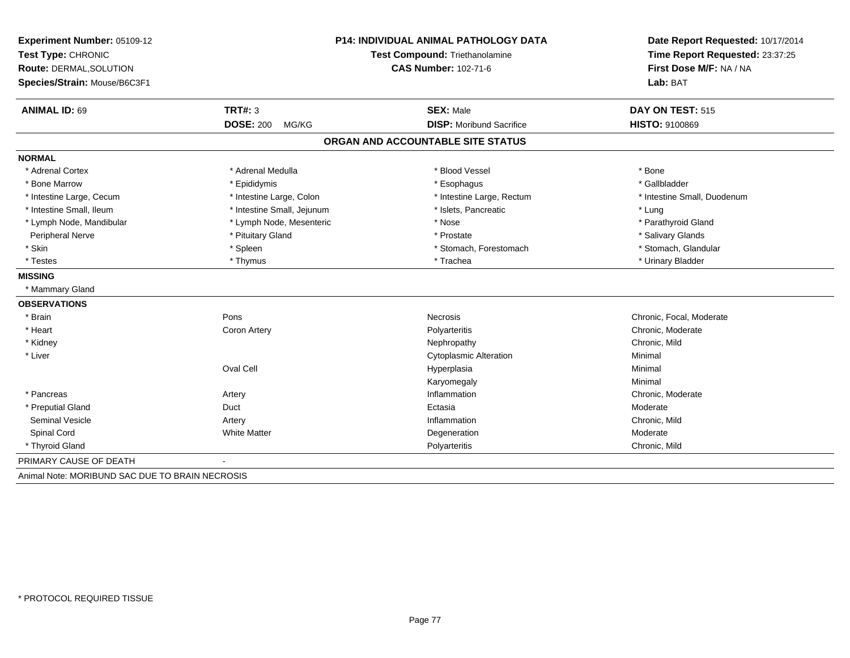| Experiment Number: 05109-12<br>Test Type: CHRONIC<br>Route: DERMAL, SOLUTION<br>Species/Strain: Mouse/B6C3F1 | P14: INDIVIDUAL ANIMAL PATHOLOGY DATA<br>Test Compound: Triethanolamine<br><b>CAS Number: 102-71-6</b> |                                   | Date Report Requested: 10/17/2014<br>Time Report Requested: 23:37:25<br>First Dose M/F: NA / NA<br>Lab: BAT |
|--------------------------------------------------------------------------------------------------------------|--------------------------------------------------------------------------------------------------------|-----------------------------------|-------------------------------------------------------------------------------------------------------------|
| <b>ANIMAL ID: 69</b>                                                                                         | <b>TRT#: 3</b>                                                                                         | <b>SEX: Male</b>                  | DAY ON TEST: 515                                                                                            |
|                                                                                                              | <b>DOSE: 200</b><br>MG/KG                                                                              | <b>DISP:</b> Moribund Sacrifice   | <b>HISTO: 9100869</b>                                                                                       |
|                                                                                                              |                                                                                                        | ORGAN AND ACCOUNTABLE SITE STATUS |                                                                                                             |
| <b>NORMAL</b>                                                                                                |                                                                                                        |                                   |                                                                                                             |
| * Adrenal Cortex                                                                                             | * Adrenal Medulla                                                                                      | * Blood Vessel                    | * Bone                                                                                                      |
| * Bone Marrow                                                                                                | * Epididymis                                                                                           | * Esophagus                       | * Gallbladder                                                                                               |
| * Intestine Large, Cecum                                                                                     | * Intestine Large, Colon                                                                               | * Intestine Large, Rectum         | * Intestine Small, Duodenum                                                                                 |
| * Intestine Small, Ileum                                                                                     | * Intestine Small, Jejunum                                                                             | * Islets, Pancreatic              | * Lung                                                                                                      |
| * Lymph Node, Mandibular                                                                                     | * Lymph Node, Mesenteric                                                                               | * Nose                            | * Parathyroid Gland                                                                                         |
| Peripheral Nerve                                                                                             | * Pituitary Gland                                                                                      | * Prostate                        | * Salivary Glands                                                                                           |
| * Skin                                                                                                       | * Spleen                                                                                               | * Stomach, Forestomach            | * Stomach, Glandular                                                                                        |
| * Testes                                                                                                     | * Thymus                                                                                               | * Trachea                         | * Urinary Bladder                                                                                           |
| <b>MISSING</b>                                                                                               |                                                                                                        |                                   |                                                                                                             |
| * Mammary Gland                                                                                              |                                                                                                        |                                   |                                                                                                             |
| <b>OBSERVATIONS</b>                                                                                          |                                                                                                        |                                   |                                                                                                             |
| * Brain                                                                                                      | Pons                                                                                                   | Necrosis                          | Chronic, Focal, Moderate                                                                                    |
| * Heart                                                                                                      | Coron Artery                                                                                           | Polyarteritis                     | Chronic, Moderate                                                                                           |
| * Kidney                                                                                                     |                                                                                                        | Nephropathy                       | Chronic, Mild                                                                                               |
| * Liver                                                                                                      |                                                                                                        | <b>Cytoplasmic Alteration</b>     | Minimal                                                                                                     |
|                                                                                                              | Oval Cell                                                                                              | Hyperplasia                       | Minimal                                                                                                     |
|                                                                                                              |                                                                                                        | Karyomegaly                       | Minimal                                                                                                     |
| * Pancreas                                                                                                   | Artery                                                                                                 | Inflammation                      | Chronic, Moderate                                                                                           |
| * Preputial Gland                                                                                            | Duct                                                                                                   | Ectasia                           | Moderate                                                                                                    |
| <b>Seminal Vesicle</b>                                                                                       | Artery                                                                                                 | Inflammation                      | Chronic, Mild                                                                                               |
| Spinal Cord                                                                                                  | <b>White Matter</b>                                                                                    | Degeneration                      | Moderate                                                                                                    |
| * Thyroid Gland                                                                                              |                                                                                                        | Polyarteritis                     | Chronic, Mild                                                                                               |
| PRIMARY CAUSE OF DEATH                                                                                       |                                                                                                        |                                   |                                                                                                             |
| Animal Note: MORIBUND SAC DUE TO BRAIN NECROSIS                                                              |                                                                                                        |                                   |                                                                                                             |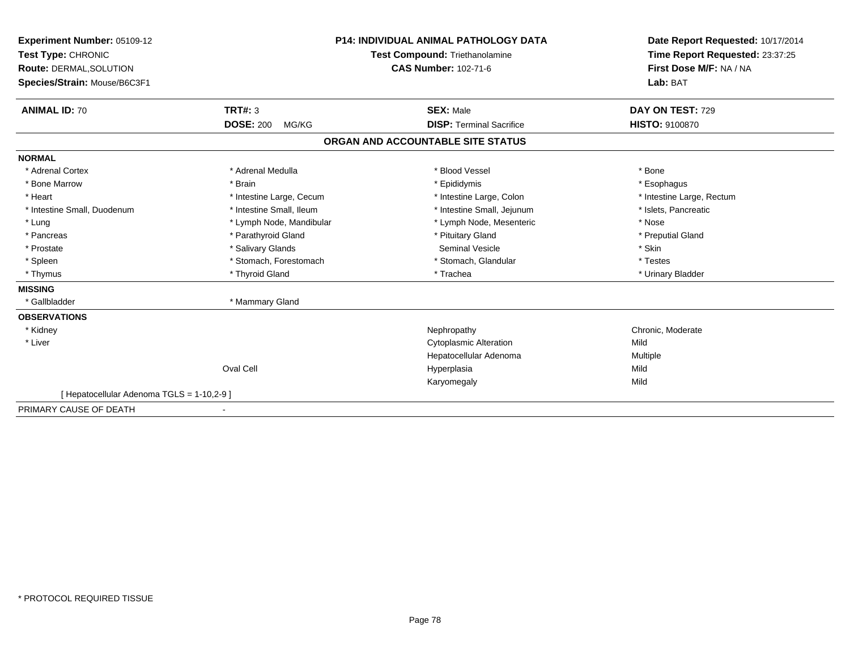| Experiment Number: 05109-12              | <b>P14: INDIVIDUAL ANIMAL PATHOLOGY DATA</b><br><b>Test Compound: Triethanolamine</b> |                                   | Date Report Requested: 10/17/2014 |
|------------------------------------------|---------------------------------------------------------------------------------------|-----------------------------------|-----------------------------------|
| Test Type: CHRONIC                       |                                                                                       |                                   | Time Report Requested: 23:37:25   |
| Route: DERMAL, SOLUTION                  |                                                                                       | <b>CAS Number: 102-71-6</b>       | First Dose M/F: NA / NA           |
| Species/Strain: Mouse/B6C3F1             |                                                                                       |                                   | Lab: BAT                          |
| <b>ANIMAL ID: 70</b>                     | <b>TRT#: 3</b>                                                                        | <b>SEX: Male</b>                  | DAY ON TEST: 729                  |
|                                          | <b>DOSE: 200</b><br>MG/KG                                                             | <b>DISP: Terminal Sacrifice</b>   | <b>HISTO: 9100870</b>             |
|                                          |                                                                                       | ORGAN AND ACCOUNTABLE SITE STATUS |                                   |
| <b>NORMAL</b>                            |                                                                                       |                                   |                                   |
| * Adrenal Cortex                         | * Adrenal Medulla                                                                     | * Blood Vessel                    | * Bone                            |
| * Bone Marrow                            | * Brain                                                                               | * Epididymis                      | * Esophagus                       |
| * Heart                                  | * Intestine Large, Cecum                                                              | * Intestine Large, Colon          | * Intestine Large, Rectum         |
| * Intestine Small, Duodenum              | * Intestine Small, Ileum                                                              | * Intestine Small, Jejunum        | * Islets, Pancreatic              |
| * Lung                                   | * Lymph Node, Mandibular                                                              | * Lymph Node, Mesenteric          | * Nose                            |
| * Pancreas                               | * Parathyroid Gland                                                                   | * Pituitary Gland                 | * Preputial Gland                 |
| * Prostate                               | * Salivary Glands                                                                     | <b>Seminal Vesicle</b>            | * Skin                            |
| * Spleen                                 | * Stomach, Forestomach                                                                | * Stomach, Glandular              | * Testes                          |
| * Thymus                                 | * Thyroid Gland                                                                       | * Trachea                         | * Urinary Bladder                 |
| <b>MISSING</b>                           |                                                                                       |                                   |                                   |
| * Gallbladder                            | * Mammary Gland                                                                       |                                   |                                   |
| <b>OBSERVATIONS</b>                      |                                                                                       |                                   |                                   |
| * Kidney                                 |                                                                                       | Nephropathy                       | Chronic, Moderate                 |
| * Liver                                  |                                                                                       | <b>Cytoplasmic Alteration</b>     | Mild                              |
|                                          |                                                                                       | Hepatocellular Adenoma            | Multiple                          |
|                                          | Oval Cell                                                                             | Hyperplasia                       | Mild                              |
|                                          |                                                                                       | Karyomegaly                       | Mild                              |
| [Hepatocellular Adenoma TGLS = 1-10,2-9] |                                                                                       |                                   |                                   |
| PRIMARY CAUSE OF DEATH                   |                                                                                       |                                   |                                   |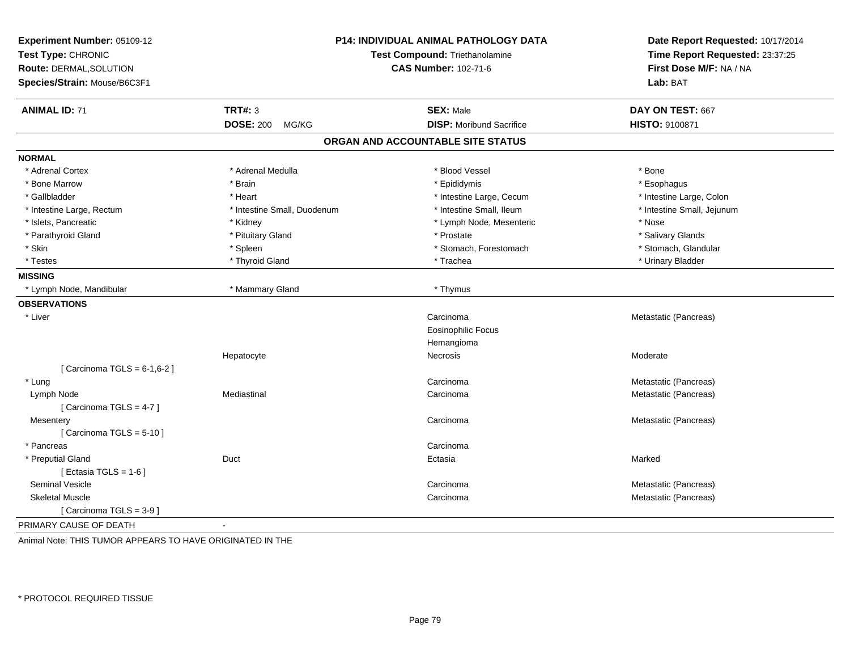| Experiment Number: 05109-12<br>Test Type: CHRONIC<br><b>Route: DERMAL, SOLUTION</b><br>Species/Strain: Mouse/B6C3F1 |                             | P14: INDIVIDUAL ANIMAL PATHOLOGY DATA<br>Test Compound: Triethanolamine<br><b>CAS Number: 102-71-6</b> | Date Report Requested: 10/17/2014<br>Time Report Requested: 23:37:25<br>First Dose M/F: NA / NA<br>Lab: BAT |
|---------------------------------------------------------------------------------------------------------------------|-----------------------------|--------------------------------------------------------------------------------------------------------|-------------------------------------------------------------------------------------------------------------|
| <b>ANIMAL ID: 71</b>                                                                                                | <b>TRT#: 3</b>              | <b>SEX: Male</b>                                                                                       | DAY ON TEST: 667                                                                                            |
|                                                                                                                     | <b>DOSE: 200</b><br>MG/KG   | <b>DISP:</b> Moribund Sacrifice                                                                        | HISTO: 9100871                                                                                              |
|                                                                                                                     |                             | ORGAN AND ACCOUNTABLE SITE STATUS                                                                      |                                                                                                             |
| <b>NORMAL</b>                                                                                                       |                             |                                                                                                        |                                                                                                             |
| * Adrenal Cortex                                                                                                    | * Adrenal Medulla           | * Blood Vessel                                                                                         | * Bone                                                                                                      |
| * Bone Marrow                                                                                                       | * Brain                     | * Epididymis                                                                                           | * Esophagus                                                                                                 |
| * Gallbladder                                                                                                       | * Heart                     | * Intestine Large, Cecum                                                                               | * Intestine Large, Colon                                                                                    |
| * Intestine Large, Rectum                                                                                           | * Intestine Small, Duodenum | * Intestine Small, Ileum                                                                               | * Intestine Small, Jejunum                                                                                  |
| * Islets, Pancreatic                                                                                                | * Kidney                    | * Lymph Node, Mesenteric                                                                               | * Nose                                                                                                      |
| * Parathyroid Gland                                                                                                 | * Pituitary Gland           | * Prostate                                                                                             | * Salivary Glands                                                                                           |
| * Skin                                                                                                              | * Spleen                    | * Stomach, Forestomach                                                                                 | * Stomach, Glandular                                                                                        |
| * Testes                                                                                                            | * Thyroid Gland             | * Trachea                                                                                              | * Urinary Bladder                                                                                           |
| <b>MISSING</b>                                                                                                      |                             |                                                                                                        |                                                                                                             |
| * Lymph Node, Mandibular                                                                                            | * Mammary Gland             | * Thymus                                                                                               |                                                                                                             |
| <b>OBSERVATIONS</b>                                                                                                 |                             |                                                                                                        |                                                                                                             |
| * Liver                                                                                                             |                             | Carcinoma                                                                                              | Metastatic (Pancreas)                                                                                       |
|                                                                                                                     |                             | <b>Eosinophilic Focus</b>                                                                              |                                                                                                             |
|                                                                                                                     |                             | Hemangioma                                                                                             |                                                                                                             |
|                                                                                                                     | Hepatocyte                  | Necrosis                                                                                               | Moderate                                                                                                    |
| [ Carcinoma TGLS = 6-1,6-2 ]                                                                                        |                             |                                                                                                        |                                                                                                             |
| * Lung                                                                                                              |                             | Carcinoma                                                                                              | Metastatic (Pancreas)                                                                                       |
| Lymph Node                                                                                                          | Mediastinal                 | Carcinoma                                                                                              | Metastatic (Pancreas)                                                                                       |
| [ Carcinoma TGLS = $4-7$ ]                                                                                          |                             |                                                                                                        |                                                                                                             |
| Mesentery                                                                                                           |                             | Carcinoma                                                                                              | Metastatic (Pancreas)                                                                                       |
| [Carcinoma TGLS = 5-10]                                                                                             |                             |                                                                                                        |                                                                                                             |
| * Pancreas                                                                                                          |                             | Carcinoma                                                                                              |                                                                                                             |
| * Preputial Gland                                                                                                   | Duct                        | Ectasia                                                                                                | Marked                                                                                                      |
| [ Ectasia TGLS = $1-6$ ]                                                                                            |                             |                                                                                                        |                                                                                                             |
| <b>Seminal Vesicle</b>                                                                                              |                             | Carcinoma                                                                                              | Metastatic (Pancreas)                                                                                       |
| <b>Skeletal Muscle</b>                                                                                              |                             | Carcinoma                                                                                              | Metastatic (Pancreas)                                                                                       |
| [Carcinoma TGLS = 3-9]                                                                                              |                             |                                                                                                        |                                                                                                             |
| PRIMARY CAUSE OF DEATH                                                                                              | $\overline{\phantom{a}}$    |                                                                                                        |                                                                                                             |

Animal Note: THIS TUMOR APPEARS TO HAVE ORIGINATED IN THE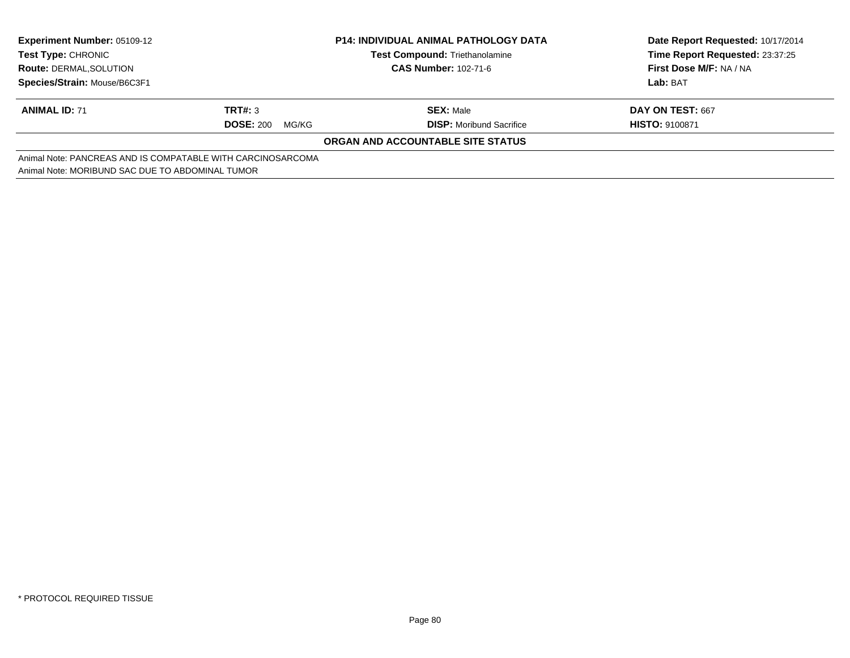| <b>Experiment Number: 05109-12</b><br><b>P14: INDIVIDUAL ANIMAL PATHOLOGY DATA</b><br><b>Test Compound: Triethanolamine</b><br><b>Test Type: CHRONIC</b><br><b>CAS Number: 102-71-6</b><br><b>Route: DERMAL, SOLUTION</b> |                           |                                   | Date Report Requested: 10/17/2014<br>Time Report Requested: 23:37:25 |
|---------------------------------------------------------------------------------------------------------------------------------------------------------------------------------------------------------------------------|---------------------------|-----------------------------------|----------------------------------------------------------------------|
|                                                                                                                                                                                                                           |                           | First Dose M/F: NA / NA           |                                                                      |
| Species/Strain: Mouse/B6C3F1                                                                                                                                                                                              |                           |                                   | Lab: BAT                                                             |
| <b>ANIMAL ID: 71</b>                                                                                                                                                                                                      | TRT#: 3                   | <b>SEX: Male</b>                  | DAY ON TEST: 667                                                     |
|                                                                                                                                                                                                                           | <b>DOSE: 200</b><br>MG/KG | <b>DISP:</b> Moribund Sacrifice   | <b>HISTO: 9100871</b>                                                |
|                                                                                                                                                                                                                           |                           | ORGAN AND ACCOUNTABLE SITE STATUS |                                                                      |
| Animal Note: PANCREAS AND IS COMPATABLE WITH CARCINOSARCOMA                                                                                                                                                               |                           |                                   |                                                                      |
| Animal Note: MORIBUND SAC DUE TO ABDOMINAL TUMOR                                                                                                                                                                          |                           |                                   |                                                                      |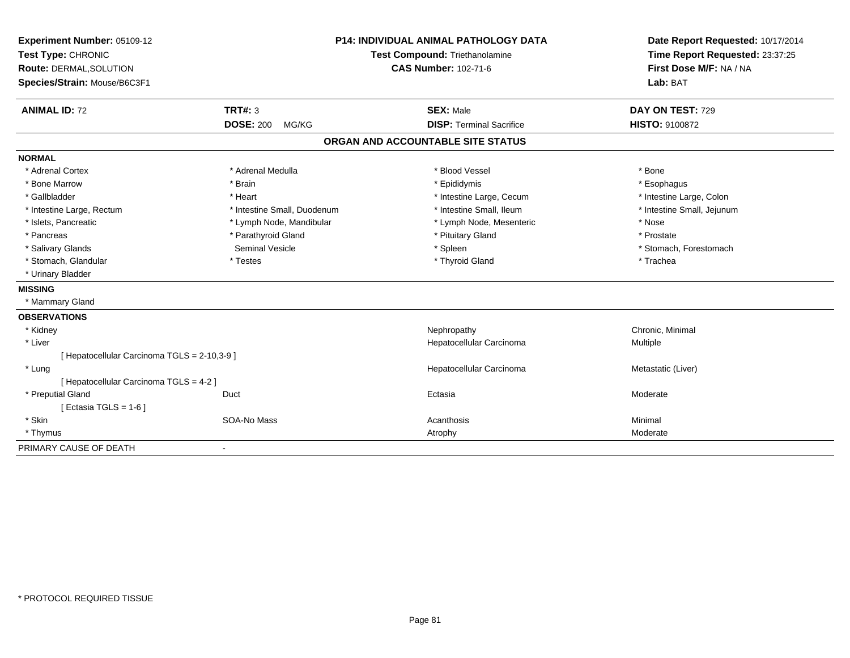| Experiment Number: 05109-12                  | <b>P14: INDIVIDUAL ANIMAL PATHOLOGY DATA</b> |                                   | Date Report Requested: 10/17/2014                          |
|----------------------------------------------|----------------------------------------------|-----------------------------------|------------------------------------------------------------|
| Test Type: CHRONIC                           |                                              | Test Compound: Triethanolamine    |                                                            |
| Route: DERMAL, SOLUTION                      |                                              | <b>CAS Number: 102-71-6</b>       | Time Report Requested: 23:37:25<br>First Dose M/F: NA / NA |
| Species/Strain: Mouse/B6C3F1                 |                                              |                                   | Lab: BAT                                                   |
| <b>ANIMAL ID: 72</b>                         | TRT#: 3                                      | <b>SEX: Male</b>                  | DAY ON TEST: 729                                           |
|                                              | <b>DOSE: 200</b><br>MG/KG                    | <b>DISP: Terminal Sacrifice</b>   | <b>HISTO: 9100872</b>                                      |
|                                              |                                              | ORGAN AND ACCOUNTABLE SITE STATUS |                                                            |
| <b>NORMAL</b>                                |                                              |                                   |                                                            |
| * Adrenal Cortex                             | * Adrenal Medulla                            | * Blood Vessel                    | * Bone                                                     |
| * Bone Marrow                                | * Brain                                      | * Epididymis                      | * Esophagus                                                |
| * Gallbladder                                | * Heart                                      | * Intestine Large, Cecum          | * Intestine Large, Colon                                   |
| * Intestine Large, Rectum                    | * Intestine Small, Duodenum                  | * Intestine Small. Ileum          | * Intestine Small, Jejunum                                 |
| * Islets, Pancreatic                         | * Lymph Node, Mandibular                     | * Lymph Node, Mesenteric          | * Nose                                                     |
| * Pancreas                                   | * Parathyroid Gland                          | * Pituitary Gland                 | * Prostate                                                 |
| * Salivary Glands                            | <b>Seminal Vesicle</b>                       | * Spleen                          | * Stomach, Forestomach                                     |
| * Stomach, Glandular                         | * Testes                                     | * Thyroid Gland                   | * Trachea                                                  |
| * Urinary Bladder                            |                                              |                                   |                                                            |
| <b>MISSING</b>                               |                                              |                                   |                                                            |
| * Mammary Gland                              |                                              |                                   |                                                            |
| <b>OBSERVATIONS</b>                          |                                              |                                   |                                                            |
| * Kidney                                     |                                              | Nephropathy                       | Chronic, Minimal                                           |
| * Liver                                      |                                              | Hepatocellular Carcinoma          | Multiple                                                   |
| [ Hepatocellular Carcinoma TGLS = 2-10,3-9 ] |                                              |                                   |                                                            |
| * Lung                                       |                                              | Hepatocellular Carcinoma          | Metastatic (Liver)                                         |
| [ Hepatocellular Carcinoma TGLS = 4-2 ]      |                                              |                                   |                                                            |
| * Preputial Gland                            | Duct                                         | Ectasia                           | Moderate                                                   |
| [ Ectasia TGLS = 1-6 ]                       |                                              |                                   |                                                            |
| * Skin                                       | SOA-No Mass                                  | Acanthosis                        | Minimal                                                    |
| * Thymus                                     |                                              | Atrophy                           | Moderate                                                   |
| PRIMARY CAUSE OF DEATH                       | $\blacksquare$                               |                                   |                                                            |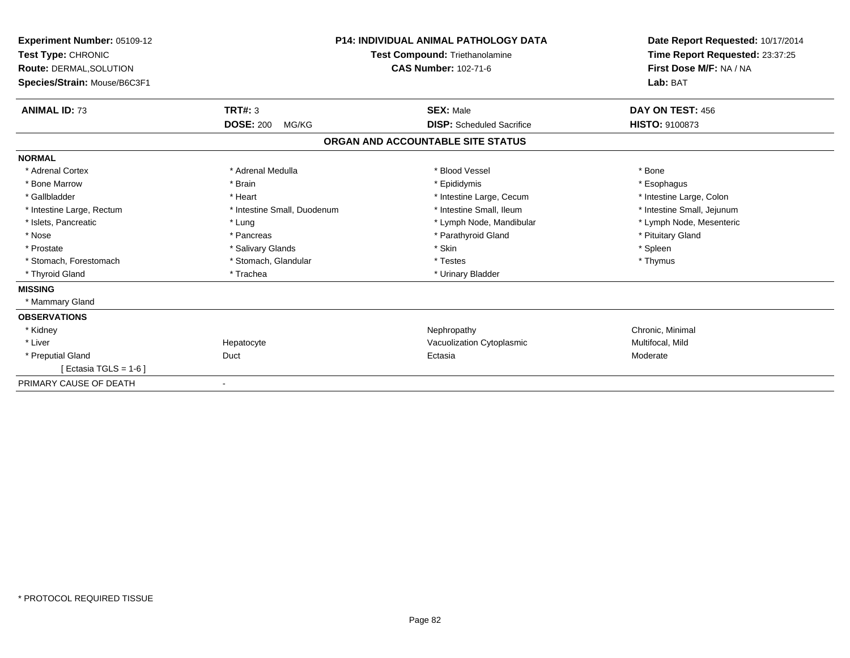| Experiment Number: 05109-12<br>Test Type: CHRONIC<br><b>Route: DERMAL, SOLUTION</b><br>Species/Strain: Mouse/B6C3F1 | <b>P14: INDIVIDUAL ANIMAL PATHOLOGY DATA</b><br>Test Compound: Triethanolamine<br><b>CAS Number: 102-71-6</b> |                                   | Date Report Requested: 10/17/2014<br>Time Report Requested: 23:37:25<br>First Dose M/F: NA / NA<br>Lab: BAT |
|---------------------------------------------------------------------------------------------------------------------|---------------------------------------------------------------------------------------------------------------|-----------------------------------|-------------------------------------------------------------------------------------------------------------|
| <b>ANIMAL ID: 73</b>                                                                                                | TRT#: 3                                                                                                       | <b>SEX: Male</b>                  | DAY ON TEST: 456                                                                                            |
|                                                                                                                     | <b>DOSE: 200</b><br>MG/KG                                                                                     | <b>DISP:</b> Scheduled Sacrifice  | HISTO: 9100873                                                                                              |
|                                                                                                                     |                                                                                                               | ORGAN AND ACCOUNTABLE SITE STATUS |                                                                                                             |
| <b>NORMAL</b>                                                                                                       |                                                                                                               |                                   |                                                                                                             |
| * Adrenal Cortex                                                                                                    | * Adrenal Medulla                                                                                             | * Blood Vessel                    | * Bone                                                                                                      |
| * Bone Marrow                                                                                                       | * Brain                                                                                                       | * Epididymis                      | * Esophagus                                                                                                 |
| * Gallbladder                                                                                                       | * Heart                                                                                                       | * Intestine Large, Cecum          | * Intestine Large, Colon                                                                                    |
| * Intestine Large, Rectum                                                                                           | * Intestine Small, Duodenum                                                                                   | * Intestine Small, Ileum          | * Intestine Small, Jejunum                                                                                  |
| * Islets, Pancreatic                                                                                                | * Lung                                                                                                        | * Lymph Node, Mandibular          | * Lymph Node, Mesenteric                                                                                    |
| * Nose                                                                                                              | * Pancreas                                                                                                    | * Parathyroid Gland               | * Pituitary Gland                                                                                           |
| * Prostate                                                                                                          | * Salivary Glands                                                                                             | * Skin                            | * Spleen                                                                                                    |
| * Stomach, Forestomach                                                                                              | * Stomach, Glandular                                                                                          | * Testes                          | * Thymus                                                                                                    |
| * Thyroid Gland                                                                                                     | * Trachea                                                                                                     | * Urinary Bladder                 |                                                                                                             |
| <b>MISSING</b>                                                                                                      |                                                                                                               |                                   |                                                                                                             |
| * Mammary Gland                                                                                                     |                                                                                                               |                                   |                                                                                                             |
| <b>OBSERVATIONS</b>                                                                                                 |                                                                                                               |                                   |                                                                                                             |
| * Kidney                                                                                                            |                                                                                                               | Nephropathy                       | Chronic, Minimal                                                                                            |
| * Liver                                                                                                             | Hepatocyte                                                                                                    | Vacuolization Cytoplasmic         | Multifocal, Mild                                                                                            |
| * Preputial Gland                                                                                                   | Duct                                                                                                          | Ectasia                           | Moderate                                                                                                    |
| [Ectasia TGLS = $1-6$ ]                                                                                             |                                                                                                               |                                   |                                                                                                             |
| PRIMARY CAUSE OF DEATH                                                                                              | $\overline{\phantom{a}}$                                                                                      |                                   |                                                                                                             |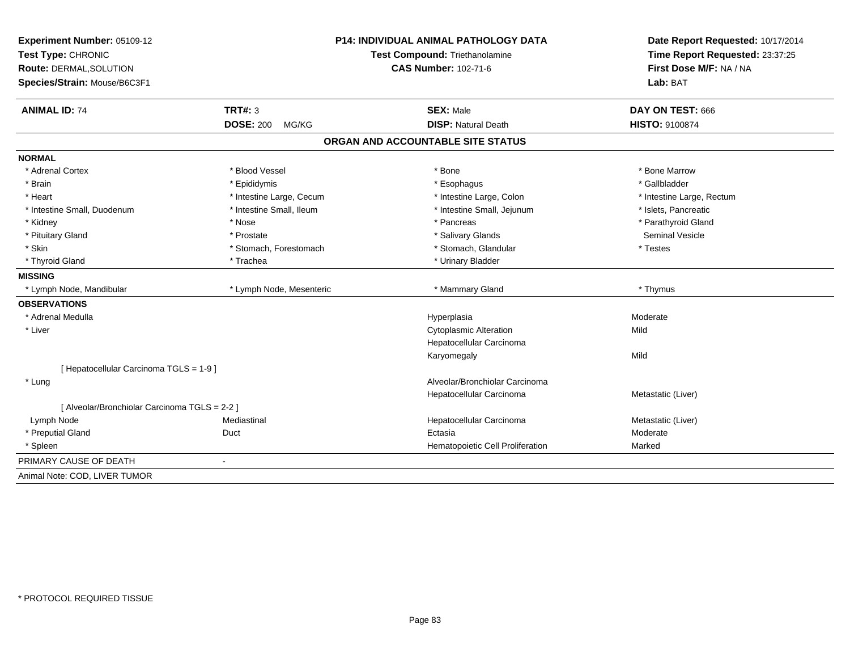| Experiment Number: 05109-12<br>Test Type: CHRONIC<br>Route: DERMAL, SOLUTION<br>Species/Strain: Mouse/B6C3F1 |                           | <b>P14: INDIVIDUAL ANIMAL PATHOLOGY DATA</b><br>Test Compound: Triethanolamine<br><b>CAS Number: 102-71-6</b> |                           |
|--------------------------------------------------------------------------------------------------------------|---------------------------|---------------------------------------------------------------------------------------------------------------|---------------------------|
| <b>ANIMAL ID: 74</b>                                                                                         | <b>TRT#: 3</b>            | <b>SEX: Male</b>                                                                                              | DAY ON TEST: 666          |
|                                                                                                              | <b>DOSE: 200</b><br>MG/KG | <b>DISP: Natural Death</b>                                                                                    | <b>HISTO: 9100874</b>     |
|                                                                                                              |                           | ORGAN AND ACCOUNTABLE SITE STATUS                                                                             |                           |
| <b>NORMAL</b>                                                                                                |                           |                                                                                                               |                           |
| * Adrenal Cortex                                                                                             | * Blood Vessel            | * Bone                                                                                                        | * Bone Marrow             |
| * Brain                                                                                                      | * Epididymis              | * Esophagus                                                                                                   | * Gallbladder             |
| * Heart                                                                                                      | * Intestine Large, Cecum  | * Intestine Large, Colon                                                                                      | * Intestine Large, Rectum |
| * Intestine Small, Duodenum                                                                                  | * Intestine Small, Ileum  | * Intestine Small, Jejunum                                                                                    | * Islets, Pancreatic      |
| * Kidney                                                                                                     | * Nose                    | * Pancreas                                                                                                    | * Parathyroid Gland       |
| * Pituitary Gland                                                                                            | * Prostate                | * Salivary Glands                                                                                             | <b>Seminal Vesicle</b>    |
| * Skin                                                                                                       | * Stomach, Forestomach    | * Stomach, Glandular                                                                                          | * Testes                  |
| * Thyroid Gland                                                                                              | * Trachea                 | * Urinary Bladder                                                                                             |                           |
| <b>MISSING</b>                                                                                               |                           |                                                                                                               |                           |
| * Lymph Node, Mandibular                                                                                     | * Lymph Node, Mesenteric  | * Mammary Gland                                                                                               | * Thymus                  |
| <b>OBSERVATIONS</b>                                                                                          |                           |                                                                                                               |                           |
| * Adrenal Medulla                                                                                            |                           | Hyperplasia                                                                                                   | Moderate                  |
| * Liver                                                                                                      |                           | <b>Cytoplasmic Alteration</b>                                                                                 | Mild                      |
|                                                                                                              |                           | Hepatocellular Carcinoma                                                                                      |                           |
|                                                                                                              |                           | Karyomegaly                                                                                                   | Mild                      |
| [ Hepatocellular Carcinoma TGLS = 1-9 ]                                                                      |                           |                                                                                                               |                           |
| * Lung                                                                                                       |                           | Alveolar/Bronchiolar Carcinoma                                                                                |                           |
|                                                                                                              |                           | Hepatocellular Carcinoma                                                                                      | Metastatic (Liver)        |
| [ Alveolar/Bronchiolar Carcinoma TGLS = 2-2 ]                                                                |                           |                                                                                                               |                           |
| Lymph Node                                                                                                   | Mediastinal               | Hepatocellular Carcinoma                                                                                      | Metastatic (Liver)        |
| * Preputial Gland                                                                                            | Duct                      | Ectasia                                                                                                       | Moderate                  |
| * Spleen                                                                                                     |                           | Hematopoietic Cell Proliferation                                                                              | Marked                    |
| PRIMARY CAUSE OF DEATH                                                                                       |                           |                                                                                                               |                           |
| Animal Note: COD, LIVER TUMOR                                                                                |                           |                                                                                                               |                           |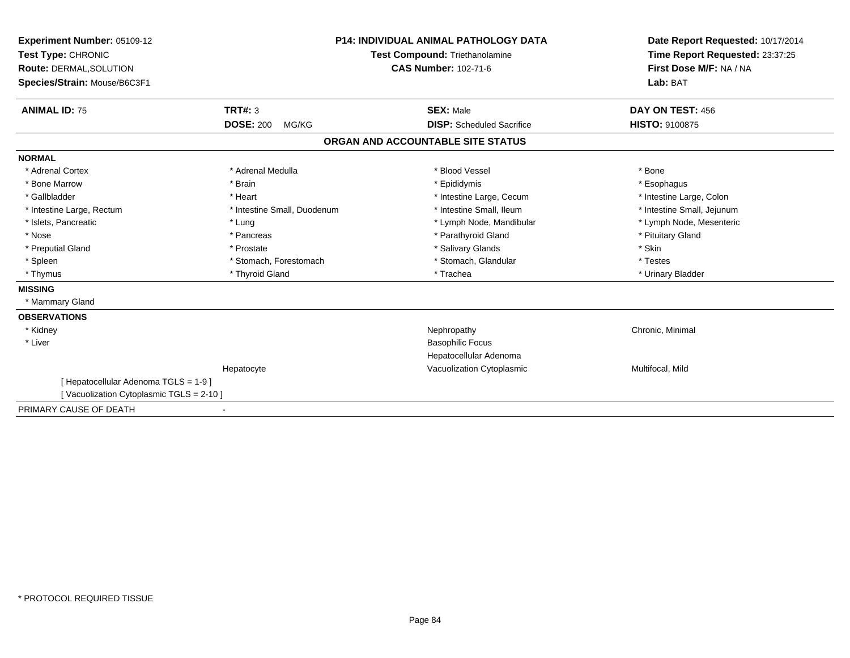| Experiment Number: 05109-12<br>Test Type: CHRONIC<br><b>Route: DERMAL, SOLUTION</b><br>Species/Strain: Mouse/B6C3F1 |                                             | <b>P14: INDIVIDUAL ANIMAL PATHOLOGY DATA</b><br><b>Test Compound: Triethanolamine</b><br><b>CAS Number: 102-71-6</b> | Date Report Requested: 10/17/2014<br>Time Report Requested: 23:37:25<br>First Dose M/F: NA / NA<br>Lab: BAT |
|---------------------------------------------------------------------------------------------------------------------|---------------------------------------------|----------------------------------------------------------------------------------------------------------------------|-------------------------------------------------------------------------------------------------------------|
| <b>ANIMAL ID: 75</b>                                                                                                | <b>TRT#: 3</b><br><b>DOSE: 200</b><br>MG/KG | <b>SEX: Male</b><br><b>DISP:</b> Scheduled Sacrifice                                                                 | DAY ON TEST: 456<br><b>HISTO: 9100875</b>                                                                   |
|                                                                                                                     |                                             | ORGAN AND ACCOUNTABLE SITE STATUS                                                                                    |                                                                                                             |
| <b>NORMAL</b>                                                                                                       |                                             |                                                                                                                      |                                                                                                             |
| * Adrenal Cortex                                                                                                    | * Adrenal Medulla                           | * Blood Vessel                                                                                                       | * Bone                                                                                                      |
| * Bone Marrow                                                                                                       | * Brain                                     | * Epididymis                                                                                                         | * Esophagus                                                                                                 |
| * Gallbladder                                                                                                       | * Heart                                     | * Intestine Large, Cecum                                                                                             | * Intestine Large, Colon                                                                                    |
| * Intestine Large, Rectum                                                                                           | * Intestine Small, Duodenum                 | * Intestine Small, Ileum                                                                                             | * Intestine Small, Jejunum                                                                                  |
| * Islets, Pancreatic                                                                                                | * Lung                                      | * Lymph Node, Mandibular                                                                                             | * Lymph Node, Mesenteric                                                                                    |
| * Nose                                                                                                              | * Pancreas                                  | * Parathyroid Gland                                                                                                  | * Pituitary Gland                                                                                           |
| * Preputial Gland                                                                                                   | * Prostate                                  | * Salivary Glands                                                                                                    | * Skin                                                                                                      |
| * Spleen                                                                                                            | * Stomach, Forestomach                      | * Stomach, Glandular                                                                                                 | * Testes                                                                                                    |
| * Thymus                                                                                                            | * Thyroid Gland                             | * Trachea                                                                                                            | * Urinary Bladder                                                                                           |
| <b>MISSING</b>                                                                                                      |                                             |                                                                                                                      |                                                                                                             |
| * Mammary Gland                                                                                                     |                                             |                                                                                                                      |                                                                                                             |
| <b>OBSERVATIONS</b>                                                                                                 |                                             |                                                                                                                      |                                                                                                             |
| * Kidney                                                                                                            |                                             | Nephropathy                                                                                                          | Chronic, Minimal                                                                                            |
| * Liver                                                                                                             |                                             | <b>Basophilic Focus</b>                                                                                              |                                                                                                             |
|                                                                                                                     |                                             | Hepatocellular Adenoma                                                                                               |                                                                                                             |
|                                                                                                                     | Hepatocyte                                  | Vacuolization Cytoplasmic                                                                                            | Multifocal, Mild                                                                                            |
| [ Hepatocellular Adenoma TGLS = 1-9 ]                                                                               |                                             |                                                                                                                      |                                                                                                             |
| [Vacuolization Cytoplasmic TGLS = 2-10]                                                                             |                                             |                                                                                                                      |                                                                                                             |
| PRIMARY CAUSE OF DEATH                                                                                              |                                             |                                                                                                                      |                                                                                                             |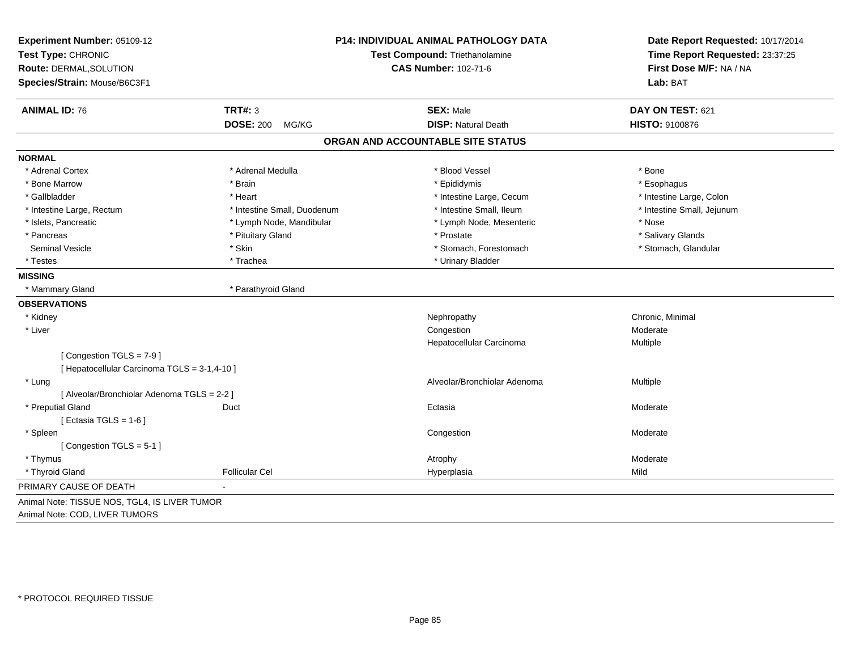| Species/Strain: Mouse/B6C3F1<br><b>ANIMAL ID: 76</b> | TRT#: 3<br><b>DOSE: 200</b><br>MG/KG | <b>SEX: Male</b>                  | Lab: BAT                   |
|------------------------------------------------------|--------------------------------------|-----------------------------------|----------------------------|
|                                                      |                                      |                                   |                            |
|                                                      |                                      |                                   | DAY ON TEST: 621           |
|                                                      |                                      | <b>DISP: Natural Death</b>        | HISTO: 9100876             |
|                                                      |                                      | ORGAN AND ACCOUNTABLE SITE STATUS |                            |
| <b>NORMAL</b>                                        |                                      |                                   |                            |
| * Adrenal Cortex                                     | * Adrenal Medulla                    | * Blood Vessel                    | * Bone                     |
| * Bone Marrow                                        | * Brain                              | * Epididymis                      | * Esophagus                |
| * Gallbladder                                        | * Heart                              | * Intestine Large, Cecum          | * Intestine Large, Colon   |
| * Intestine Large, Rectum                            | * Intestine Small, Duodenum          | * Intestine Small, Ileum          | * Intestine Small, Jejunum |
| * Islets, Pancreatic                                 | * Lymph Node, Mandibular             | * Lymph Node, Mesenteric          | * Nose                     |
| * Pancreas                                           | * Pituitary Gland                    | * Prostate                        | * Salivary Glands          |
| <b>Seminal Vesicle</b>                               | * Skin                               | * Stomach, Forestomach            | * Stomach, Glandular       |
| * Testes                                             | * Trachea                            | * Urinary Bladder                 |                            |
| <b>MISSING</b>                                       |                                      |                                   |                            |
| * Mammary Gland                                      | * Parathyroid Gland                  |                                   |                            |
| <b>OBSERVATIONS</b>                                  |                                      |                                   |                            |
| * Kidney                                             |                                      | Nephropathy                       | Chronic, Minimal           |
| * Liver                                              |                                      | Congestion                        | Moderate                   |
|                                                      |                                      | Hepatocellular Carcinoma          | Multiple                   |
| [Congestion TGLS = 7-9]                              |                                      |                                   |                            |
| [ Hepatocellular Carcinoma TGLS = 3-1,4-10 ]         |                                      |                                   |                            |
| * Lung                                               |                                      | Alveolar/Bronchiolar Adenoma      | Multiple                   |
| [ Alveolar/Bronchiolar Adenoma TGLS = 2-2 ]          |                                      |                                   |                            |
| * Preputial Gland                                    | Duct                                 | Ectasia                           | Moderate                   |
| [ Ectasia TGLS = $1-6$ ]                             |                                      |                                   |                            |
| * Spleen                                             |                                      | Congestion                        | Moderate                   |
| [Congestion TGLS = 5-1]                              |                                      |                                   |                            |
| * Thymus                                             |                                      | Atrophy                           | Moderate                   |
| * Thyroid Gland                                      | <b>Follicular Cel</b>                | Hyperplasia                       | Mild                       |
| PRIMARY CAUSE OF DEATH                               |                                      |                                   |                            |
| Animal Note: TISSUE NOS, TGL4, IS LIVER TUMOR        |                                      |                                   |                            |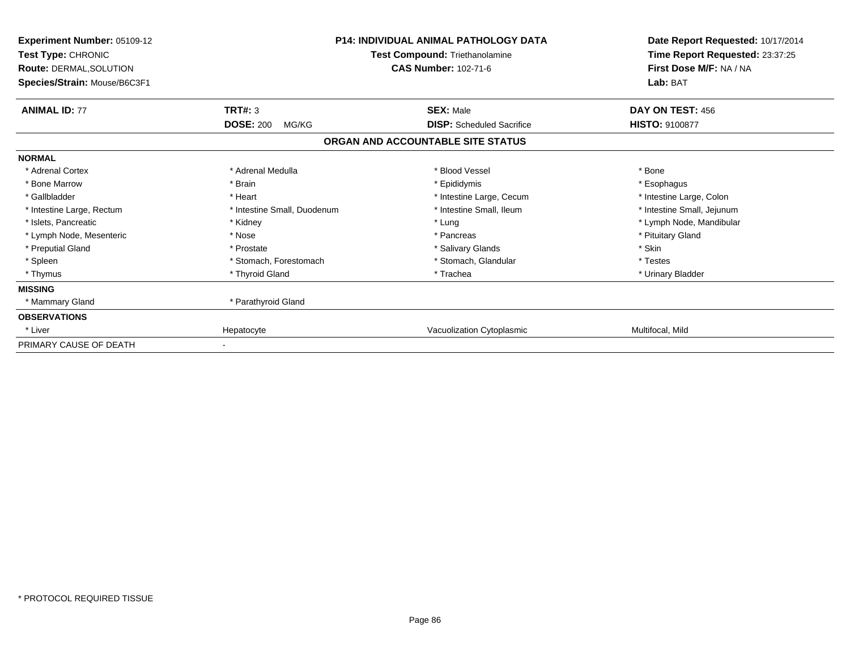| <b>Experiment Number: 05109-12</b><br><b>Test Type: CHRONIC</b><br><b>Route: DERMAL, SOLUTION</b><br>Species/Strain: Mouse/B6C3F1 |                                      | <b>P14: INDIVIDUAL ANIMAL PATHOLOGY DATA</b><br>Test Compound: Triethanolamine<br><b>CAS Number: 102-71-6</b> | Date Report Requested: 10/17/2014<br>Time Report Requested: 23:37:25<br>First Dose M/F: NA / NA<br>Lab: BAT |  |
|-----------------------------------------------------------------------------------------------------------------------------------|--------------------------------------|---------------------------------------------------------------------------------------------------------------|-------------------------------------------------------------------------------------------------------------|--|
| <b>ANIMAL ID: 77</b>                                                                                                              | TRT#: 3<br><b>DOSE: 200</b><br>MG/KG | <b>SEX: Male</b><br><b>DISP:</b> Scheduled Sacrifice                                                          | DAY ON TEST: 456<br><b>HISTO: 9100877</b>                                                                   |  |
|                                                                                                                                   |                                      | ORGAN AND ACCOUNTABLE SITE STATUS                                                                             |                                                                                                             |  |
| <b>NORMAL</b>                                                                                                                     |                                      |                                                                                                               |                                                                                                             |  |
| * Adrenal Cortex                                                                                                                  | * Adrenal Medulla                    | * Blood Vessel                                                                                                | * Bone                                                                                                      |  |
| * Bone Marrow                                                                                                                     | * Brain                              | * Epididymis                                                                                                  | * Esophagus                                                                                                 |  |
| * Gallbladder                                                                                                                     | * Heart                              | * Intestine Large, Cecum                                                                                      | * Intestine Large, Colon                                                                                    |  |
| * Intestine Large, Rectum                                                                                                         | * Intestine Small, Duodenum          | * Intestine Small. Ileum                                                                                      | * Intestine Small, Jejunum                                                                                  |  |
| * Islets, Pancreatic                                                                                                              | * Kidney                             | * Lung                                                                                                        | * Lymph Node, Mandibular                                                                                    |  |
| * Lymph Node, Mesenteric                                                                                                          | * Nose                               | * Pancreas                                                                                                    | * Pituitary Gland                                                                                           |  |
| * Preputial Gland                                                                                                                 | * Prostate                           | * Salivary Glands                                                                                             | * Skin                                                                                                      |  |
| * Spleen                                                                                                                          | * Stomach, Forestomach               | * Stomach, Glandular                                                                                          | * Testes                                                                                                    |  |
| * Thymus                                                                                                                          | * Thyroid Gland                      | * Trachea                                                                                                     | * Urinary Bladder                                                                                           |  |
| <b>MISSING</b>                                                                                                                    |                                      |                                                                                                               |                                                                                                             |  |
| * Mammary Gland                                                                                                                   | * Parathyroid Gland                  |                                                                                                               |                                                                                                             |  |
| <b>OBSERVATIONS</b>                                                                                                               |                                      |                                                                                                               |                                                                                                             |  |
| * Liver                                                                                                                           | Hepatocyte                           | Vacuolization Cytoplasmic                                                                                     | Multifocal, Mild                                                                                            |  |
| PRIMARY CAUSE OF DEATH                                                                                                            |                                      |                                                                                                               |                                                                                                             |  |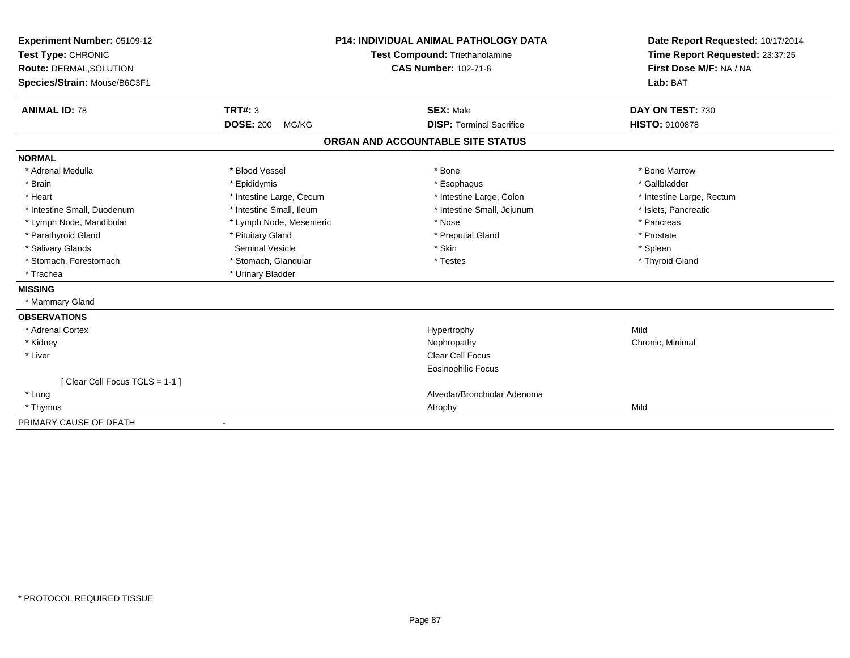| Experiment Number: 05109-12<br>Test Type: CHRONIC<br>Route: DERMAL, SOLUTION<br>Species/Strain: Mouse/B6C3F1 |                           | <b>P14: INDIVIDUAL ANIMAL PATHOLOGY DATA</b><br>Test Compound: Triethanolamine<br><b>CAS Number: 102-71-6</b> | Date Report Requested: 10/17/2014<br>Time Report Requested: 23:37:25<br>First Dose M/F: NA / NA<br>Lab: BAT |
|--------------------------------------------------------------------------------------------------------------|---------------------------|---------------------------------------------------------------------------------------------------------------|-------------------------------------------------------------------------------------------------------------|
| <b>ANIMAL ID: 78</b>                                                                                         | TRT#: 3                   | <b>SEX: Male</b>                                                                                              | DAY ON TEST: 730                                                                                            |
|                                                                                                              | <b>DOSE: 200</b><br>MG/KG | <b>DISP: Terminal Sacrifice</b>                                                                               | <b>HISTO: 9100878</b>                                                                                       |
|                                                                                                              |                           | ORGAN AND ACCOUNTABLE SITE STATUS                                                                             |                                                                                                             |
| <b>NORMAL</b>                                                                                                |                           |                                                                                                               |                                                                                                             |
| * Adrenal Medulla                                                                                            | * Blood Vessel            | * Bone                                                                                                        | * Bone Marrow                                                                                               |
| * Brain                                                                                                      | * Epididymis              | * Esophagus                                                                                                   | * Gallbladder                                                                                               |
| * Heart                                                                                                      | * Intestine Large, Cecum  | * Intestine Large, Colon                                                                                      | * Intestine Large, Rectum                                                                                   |
| * Intestine Small, Duodenum                                                                                  | * Intestine Small, Ileum  | * Intestine Small, Jejunum                                                                                    | * Islets, Pancreatic                                                                                        |
| * Lymph Node, Mandibular                                                                                     | * Lymph Node, Mesenteric  | * Nose                                                                                                        | * Pancreas                                                                                                  |
| * Parathyroid Gland                                                                                          | * Pituitary Gland         | * Preputial Gland                                                                                             | * Prostate                                                                                                  |
| * Salivary Glands                                                                                            | <b>Seminal Vesicle</b>    | * Skin                                                                                                        | * Spleen                                                                                                    |
| * Stomach, Forestomach                                                                                       | * Stomach, Glandular      | * Testes                                                                                                      | * Thyroid Gland                                                                                             |
| * Trachea                                                                                                    | * Urinary Bladder         |                                                                                                               |                                                                                                             |
| <b>MISSING</b>                                                                                               |                           |                                                                                                               |                                                                                                             |
| * Mammary Gland                                                                                              |                           |                                                                                                               |                                                                                                             |
| <b>OBSERVATIONS</b>                                                                                          |                           |                                                                                                               |                                                                                                             |
| * Adrenal Cortex                                                                                             |                           | Hypertrophy                                                                                                   | Mild                                                                                                        |
| * Kidney                                                                                                     |                           | Nephropathy                                                                                                   | Chronic, Minimal                                                                                            |
| * Liver                                                                                                      |                           | <b>Clear Cell Focus</b>                                                                                       |                                                                                                             |
|                                                                                                              |                           | <b>Eosinophilic Focus</b>                                                                                     |                                                                                                             |
| [ Clear Cell Focus TGLS = 1-1 ]                                                                              |                           |                                                                                                               |                                                                                                             |
| * Lung                                                                                                       |                           | Alveolar/Bronchiolar Adenoma                                                                                  |                                                                                                             |
| * Thymus                                                                                                     |                           | Atrophy                                                                                                       | Mild                                                                                                        |
| PRIMARY CAUSE OF DEATH                                                                                       |                           |                                                                                                               |                                                                                                             |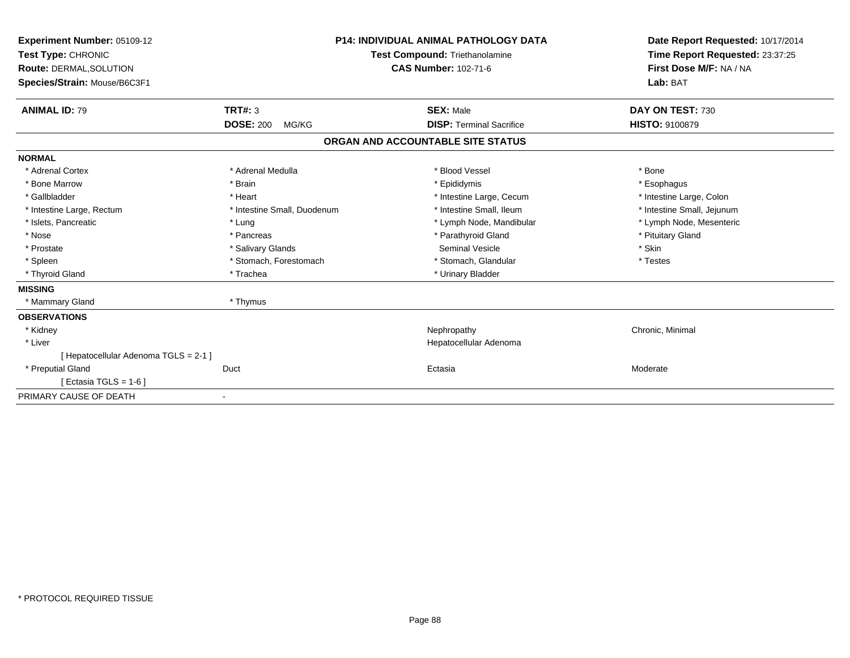| <b>Experiment Number: 05109-12</b><br>Test Type: CHRONIC<br>Route: DERMAL, SOLUTION<br>Species/Strain: Mouse/B6C3F1 |                             | <b>P14: INDIVIDUAL ANIMAL PATHOLOGY DATA</b><br><b>Test Compound: Triethanolamine</b><br><b>CAS Number: 102-71-6</b> |                                   | Date Report Requested: 10/17/2014<br>Time Report Requested: 23:37:25<br>First Dose M/F: NA / NA<br>Lab: BAT |
|---------------------------------------------------------------------------------------------------------------------|-----------------------------|----------------------------------------------------------------------------------------------------------------------|-----------------------------------|-------------------------------------------------------------------------------------------------------------|
| <b>ANIMAL ID: 79</b>                                                                                                | <b>TRT#: 3</b>              |                                                                                                                      | <b>SEX: Male</b>                  | DAY ON TEST: 730                                                                                            |
|                                                                                                                     | <b>DOSE: 200</b><br>MG/KG   |                                                                                                                      | <b>DISP: Terminal Sacrifice</b>   | HISTO: 9100879                                                                                              |
|                                                                                                                     |                             |                                                                                                                      | ORGAN AND ACCOUNTABLE SITE STATUS |                                                                                                             |
| <b>NORMAL</b>                                                                                                       |                             |                                                                                                                      |                                   |                                                                                                             |
| * Adrenal Cortex                                                                                                    | * Adrenal Medulla           |                                                                                                                      | * Blood Vessel                    | * Bone                                                                                                      |
| * Bone Marrow                                                                                                       | * Brain                     |                                                                                                                      | * Epididymis                      | * Esophagus                                                                                                 |
| * Gallbladder                                                                                                       | * Heart                     |                                                                                                                      | * Intestine Large, Cecum          | * Intestine Large, Colon                                                                                    |
| * Intestine Large, Rectum                                                                                           | * Intestine Small, Duodenum |                                                                                                                      | * Intestine Small, Ileum          | * Intestine Small, Jejunum                                                                                  |
| * Islets, Pancreatic                                                                                                | * Lung                      |                                                                                                                      | * Lymph Node, Mandibular          | * Lymph Node, Mesenteric                                                                                    |
| * Nose                                                                                                              | * Pancreas                  |                                                                                                                      | * Parathyroid Gland               | * Pituitary Gland                                                                                           |
| * Prostate                                                                                                          | * Salivary Glands           |                                                                                                                      | <b>Seminal Vesicle</b>            | * Skin                                                                                                      |
| * Spleen                                                                                                            | * Stomach, Forestomach      |                                                                                                                      | * Stomach, Glandular              | * Testes                                                                                                    |
| * Thyroid Gland                                                                                                     | * Trachea                   |                                                                                                                      | * Urinary Bladder                 |                                                                                                             |
| <b>MISSING</b>                                                                                                      |                             |                                                                                                                      |                                   |                                                                                                             |
| * Mammary Gland                                                                                                     | * Thymus                    |                                                                                                                      |                                   |                                                                                                             |
| <b>OBSERVATIONS</b>                                                                                                 |                             |                                                                                                                      |                                   |                                                                                                             |
| * Kidney                                                                                                            |                             |                                                                                                                      | Nephropathy                       | Chronic, Minimal                                                                                            |
| * Liver                                                                                                             |                             |                                                                                                                      | Hepatocellular Adenoma            |                                                                                                             |
| [ Hepatocellular Adenoma TGLS = 2-1 ]                                                                               |                             |                                                                                                                      |                                   |                                                                                                             |
| * Preputial Gland                                                                                                   | Duct                        |                                                                                                                      | Ectasia                           | Moderate                                                                                                    |
| [ Ectasia TGLS = 1-6 ]                                                                                              |                             |                                                                                                                      |                                   |                                                                                                             |
| PRIMARY CAUSE OF DEATH                                                                                              |                             |                                                                                                                      |                                   |                                                                                                             |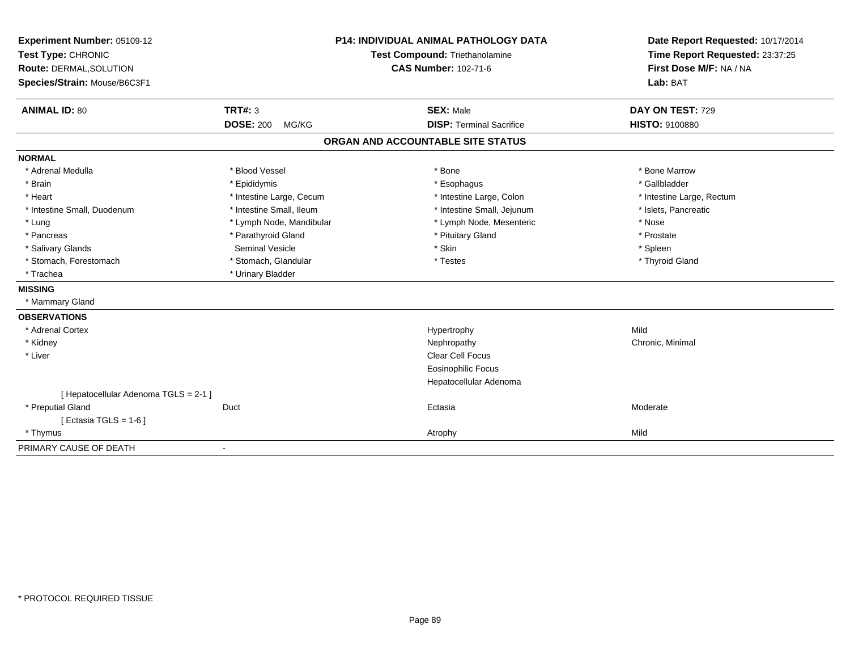| Experiment Number: 05109-12           | <b>P14: INDIVIDUAL ANIMAL PATHOLOGY DATA</b> |                                   | Date Report Requested: 10/17/2014                                      |  |
|---------------------------------------|----------------------------------------------|-----------------------------------|------------------------------------------------------------------------|--|
| Test Type: CHRONIC                    |                                              | Test Compound: Triethanolamine    | Time Report Requested: 23:37:25<br>First Dose M/F: NA / NA<br>Lab: BAT |  |
| Route: DERMAL, SOLUTION               |                                              | <b>CAS Number: 102-71-6</b>       |                                                                        |  |
| Species/Strain: Mouse/B6C3F1          |                                              |                                   |                                                                        |  |
| <b>ANIMAL ID: 80</b>                  | TRT#: 3                                      | <b>SEX: Male</b>                  | DAY ON TEST: 729                                                       |  |
|                                       | <b>DOSE: 200</b><br>MG/KG                    | <b>DISP: Terminal Sacrifice</b>   | HISTO: 9100880                                                         |  |
|                                       |                                              | ORGAN AND ACCOUNTABLE SITE STATUS |                                                                        |  |
| <b>NORMAL</b>                         |                                              |                                   |                                                                        |  |
| * Adrenal Medulla                     | * Blood Vessel                               | * Bone                            | * Bone Marrow                                                          |  |
| * Brain                               | * Epididymis                                 | * Esophagus                       | * Gallbladder                                                          |  |
| * Heart                               | * Intestine Large, Cecum                     | * Intestine Large, Colon          | * Intestine Large, Rectum                                              |  |
| * Intestine Small, Duodenum           | * Intestine Small, Ileum                     | * Intestine Small, Jejunum        | * Islets, Pancreatic                                                   |  |
| * Lung                                | * Lymph Node, Mandibular                     | * Lymph Node, Mesenteric          | * Nose                                                                 |  |
| * Pancreas                            | * Parathyroid Gland                          | * Pituitary Gland                 | * Prostate                                                             |  |
| * Salivary Glands                     | <b>Seminal Vesicle</b>                       | * Skin                            | * Spleen                                                               |  |
| * Stomach, Forestomach                | * Stomach, Glandular                         | * Testes                          | * Thyroid Gland                                                        |  |
| * Trachea                             | * Urinary Bladder                            |                                   |                                                                        |  |
| <b>MISSING</b>                        |                                              |                                   |                                                                        |  |
| * Mammary Gland                       |                                              |                                   |                                                                        |  |
| <b>OBSERVATIONS</b>                   |                                              |                                   |                                                                        |  |
| * Adrenal Cortex                      |                                              | Hypertrophy                       | Mild                                                                   |  |
| * Kidney                              |                                              | Nephropathy                       | Chronic, Minimal                                                       |  |
| * Liver                               |                                              | Clear Cell Focus                  |                                                                        |  |
|                                       |                                              | Eosinophilic Focus                |                                                                        |  |
|                                       |                                              | Hepatocellular Adenoma            |                                                                        |  |
| [ Hepatocellular Adenoma TGLS = 2-1 ] |                                              |                                   |                                                                        |  |
| * Preputial Gland                     | Duct                                         | Ectasia                           | Moderate                                                               |  |
| [Ectasia TGLS = $1-6$ ]               |                                              |                                   |                                                                        |  |
| * Thymus                              |                                              | Atrophy                           | Mild                                                                   |  |
| PRIMARY CAUSE OF DEATH                | $\blacksquare$                               |                                   |                                                                        |  |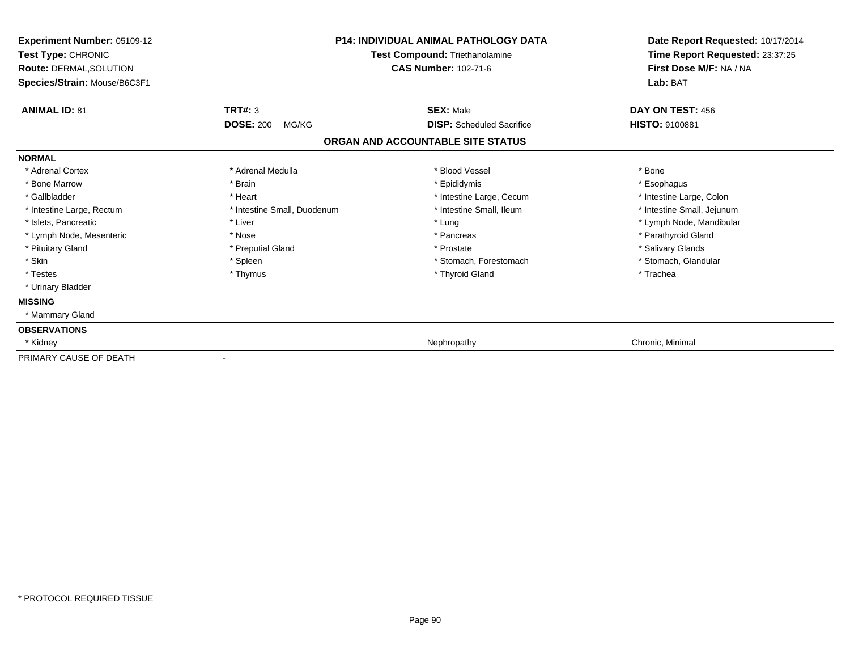| Experiment Number: 05109-12<br>Test Type: CHRONIC<br><b>Route: DERMAL, SOLUTION</b><br>Species/Strain: Mouse/B6C3F1 | <b>P14: INDIVIDUAL ANIMAL PATHOLOGY DATA</b><br>Test Compound: Triethanolamine<br><b>CAS Number: 102-71-6</b> |                                   | Date Report Requested: 10/17/2014<br>Time Report Requested: 23:37:25<br>First Dose M/F: NA / NA<br>Lab: BAT |  |
|---------------------------------------------------------------------------------------------------------------------|---------------------------------------------------------------------------------------------------------------|-----------------------------------|-------------------------------------------------------------------------------------------------------------|--|
| <b>ANIMAL ID: 81</b>                                                                                                | <b>TRT#: 3</b>                                                                                                | <b>SEX: Male</b>                  | DAY ON TEST: 456                                                                                            |  |
|                                                                                                                     | <b>DOSE: 200</b><br>MG/KG                                                                                     | <b>DISP:</b> Scheduled Sacrifice  | <b>HISTO: 9100881</b>                                                                                       |  |
|                                                                                                                     |                                                                                                               | ORGAN AND ACCOUNTABLE SITE STATUS |                                                                                                             |  |
| <b>NORMAL</b>                                                                                                       |                                                                                                               |                                   |                                                                                                             |  |
| * Adrenal Cortex                                                                                                    | * Adrenal Medulla                                                                                             | * Blood Vessel                    | * Bone                                                                                                      |  |
| * Bone Marrow                                                                                                       | * Brain                                                                                                       | * Epididymis                      | * Esophagus                                                                                                 |  |
| * Gallbladder                                                                                                       | * Heart                                                                                                       | * Intestine Large, Cecum          | * Intestine Large, Colon                                                                                    |  |
| * Intestine Large, Rectum                                                                                           | * Intestine Small, Duodenum                                                                                   | * Intestine Small, Ileum          | * Intestine Small, Jejunum                                                                                  |  |
| * Islets, Pancreatic                                                                                                | * Liver                                                                                                       | * Lung                            | * Lymph Node, Mandibular                                                                                    |  |
| * Lymph Node, Mesenteric                                                                                            | * Nose                                                                                                        | * Pancreas                        | * Parathyroid Gland                                                                                         |  |
| * Pituitary Gland                                                                                                   | * Preputial Gland                                                                                             | * Prostate                        | * Salivary Glands                                                                                           |  |
| * Skin                                                                                                              | * Spleen                                                                                                      | * Stomach, Forestomach            | * Stomach, Glandular                                                                                        |  |
| * Testes                                                                                                            | * Thymus                                                                                                      | * Thyroid Gland                   | * Trachea                                                                                                   |  |
| * Urinary Bladder                                                                                                   |                                                                                                               |                                   |                                                                                                             |  |
| <b>MISSING</b>                                                                                                      |                                                                                                               |                                   |                                                                                                             |  |
| * Mammary Gland                                                                                                     |                                                                                                               |                                   |                                                                                                             |  |
| <b>OBSERVATIONS</b>                                                                                                 |                                                                                                               |                                   |                                                                                                             |  |
| * Kidney                                                                                                            |                                                                                                               | Nephropathy                       | Chronic, Minimal                                                                                            |  |
| PRIMARY CAUSE OF DEATH                                                                                              | $\blacksquare$                                                                                                |                                   |                                                                                                             |  |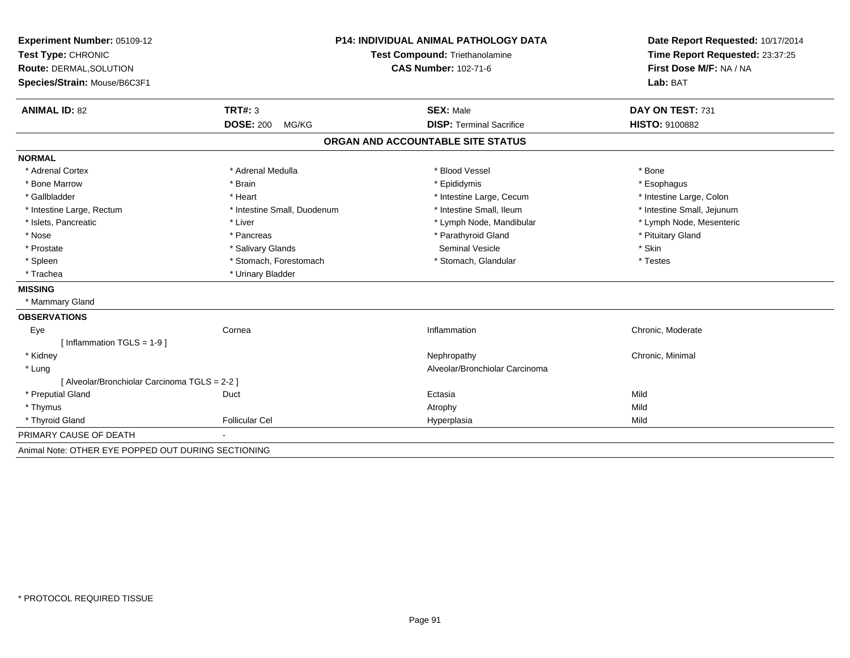| Experiment Number: 05109-12                         | <b>P14: INDIVIDUAL ANIMAL PATHOLOGY DATA</b> |                                   | Date Report Requested: 10/17/2014                                      |  |
|-----------------------------------------------------|----------------------------------------------|-----------------------------------|------------------------------------------------------------------------|--|
| Test Type: CHRONIC                                  |                                              | Test Compound: Triethanolamine    | Time Report Requested: 23:37:25<br>First Dose M/F: NA / NA<br>Lab: BAT |  |
| Route: DERMAL, SOLUTION                             |                                              | <b>CAS Number: 102-71-6</b>       |                                                                        |  |
| Species/Strain: Mouse/B6C3F1                        |                                              |                                   |                                                                        |  |
| <b>ANIMAL ID: 82</b>                                | <b>TRT#: 3</b>                               | <b>SEX: Male</b>                  | DAY ON TEST: 731                                                       |  |
|                                                     | <b>DOSE: 200</b><br>MG/KG                    | <b>DISP: Terminal Sacrifice</b>   | <b>HISTO: 9100882</b>                                                  |  |
|                                                     |                                              | ORGAN AND ACCOUNTABLE SITE STATUS |                                                                        |  |
| <b>NORMAL</b>                                       |                                              |                                   |                                                                        |  |
| * Adrenal Cortex                                    | * Adrenal Medulla                            | * Blood Vessel                    | * Bone                                                                 |  |
| * Bone Marrow                                       | * Brain                                      | * Epididymis                      | * Esophagus                                                            |  |
| * Gallbladder                                       | * Heart                                      | * Intestine Large, Cecum          | * Intestine Large, Colon                                               |  |
| * Intestine Large, Rectum                           | * Intestine Small, Duodenum                  | * Intestine Small, Ileum          | * Intestine Small, Jejunum                                             |  |
| * Islets, Pancreatic                                | * Liver                                      | * Lymph Node, Mandibular          | * Lymph Node, Mesenteric                                               |  |
| * Nose                                              | * Pancreas                                   | * Parathyroid Gland               | * Pituitary Gland                                                      |  |
| * Prostate                                          | * Salivary Glands                            | Seminal Vesicle                   | * Skin                                                                 |  |
| * Spleen                                            | * Stomach, Forestomach                       | * Stomach, Glandular              | * Testes                                                               |  |
| * Trachea                                           | * Urinary Bladder                            |                                   |                                                                        |  |
| <b>MISSING</b>                                      |                                              |                                   |                                                                        |  |
| * Mammary Gland                                     |                                              |                                   |                                                                        |  |
| <b>OBSERVATIONS</b>                                 |                                              |                                   |                                                                        |  |
| Eye                                                 | Cornea                                       | Inflammation                      | Chronic, Moderate                                                      |  |
| [Inflammation TGLS = $1-9$ ]                        |                                              |                                   |                                                                        |  |
| * Kidney                                            |                                              | Nephropathy                       | Chronic, Minimal                                                       |  |
| * Lung                                              |                                              | Alveolar/Bronchiolar Carcinoma    |                                                                        |  |
| [ Alveolar/Bronchiolar Carcinoma TGLS = 2-2 ]       |                                              |                                   |                                                                        |  |
| * Preputial Gland                                   | Duct                                         | Ectasia                           | Mild                                                                   |  |
| * Thymus                                            |                                              | Atrophy                           | Mild                                                                   |  |
| * Thyroid Gland                                     | <b>Follicular Cel</b>                        | Hyperplasia                       | Mild                                                                   |  |
| PRIMARY CAUSE OF DEATH                              |                                              |                                   |                                                                        |  |
| Animal Note: OTHER EYE POPPED OUT DURING SECTIONING |                                              |                                   |                                                                        |  |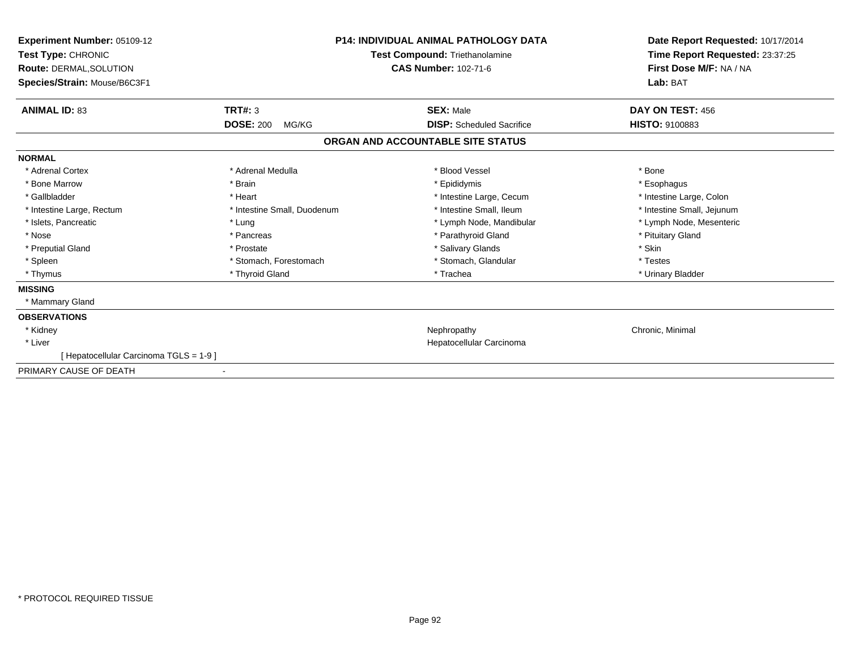| <b>Experiment Number: 05109-12</b><br><b>Test Type: CHRONIC</b><br>Route: DERMAL, SOLUTION<br>Species/Strain: Mouse/B6C3F1 | <b>P14: INDIVIDUAL ANIMAL PATHOLOGY DATA</b><br>Test Compound: Triethanolamine<br><b>CAS Number: 102-71-6</b> |                                   | Date Report Requested: 10/17/2014<br>Time Report Requested: 23:37:25<br>First Dose M/F: NA / NA<br>Lab: BAT |
|----------------------------------------------------------------------------------------------------------------------------|---------------------------------------------------------------------------------------------------------------|-----------------------------------|-------------------------------------------------------------------------------------------------------------|
| <b>ANIMAL ID: 83</b>                                                                                                       | <b>TRT#: 3</b>                                                                                                | <b>SEX: Male</b>                  | DAY ON TEST: 456                                                                                            |
|                                                                                                                            | <b>DOSE: 200</b><br>MG/KG                                                                                     | <b>DISP:</b> Scheduled Sacrifice  | <b>HISTO: 9100883</b>                                                                                       |
|                                                                                                                            |                                                                                                               | ORGAN AND ACCOUNTABLE SITE STATUS |                                                                                                             |
| <b>NORMAL</b>                                                                                                              |                                                                                                               |                                   |                                                                                                             |
| * Adrenal Cortex                                                                                                           | * Adrenal Medulla                                                                                             | * Blood Vessel                    | * Bone                                                                                                      |
| * Bone Marrow                                                                                                              | * Brain                                                                                                       | * Epididymis                      | * Esophagus                                                                                                 |
| * Gallbladder                                                                                                              | * Heart                                                                                                       | * Intestine Large, Cecum          | * Intestine Large, Colon                                                                                    |
| * Intestine Large, Rectum                                                                                                  | * Intestine Small, Duodenum                                                                                   | * Intestine Small, Ileum          | * Intestine Small, Jejunum                                                                                  |
| * Islets, Pancreatic                                                                                                       | * Lung                                                                                                        | * Lymph Node, Mandibular          | * Lymph Node, Mesenteric                                                                                    |
| * Nose                                                                                                                     | * Pancreas                                                                                                    | * Parathyroid Gland               | * Pituitary Gland                                                                                           |
| * Preputial Gland                                                                                                          | * Prostate                                                                                                    | * Salivary Glands                 | * Skin                                                                                                      |
| * Spleen                                                                                                                   | * Stomach, Forestomach                                                                                        | * Stomach, Glandular              | * Testes                                                                                                    |
| * Thymus                                                                                                                   | * Thyroid Gland                                                                                               | * Trachea                         | * Urinary Bladder                                                                                           |
| <b>MISSING</b>                                                                                                             |                                                                                                               |                                   |                                                                                                             |
| * Mammary Gland                                                                                                            |                                                                                                               |                                   |                                                                                                             |
| <b>OBSERVATIONS</b>                                                                                                        |                                                                                                               |                                   |                                                                                                             |
| * Kidney                                                                                                                   |                                                                                                               | Nephropathy                       | Chronic, Minimal                                                                                            |
| * Liver                                                                                                                    |                                                                                                               | Hepatocellular Carcinoma          |                                                                                                             |
| [ Hepatocellular Carcinoma TGLS = 1-9 ]                                                                                    |                                                                                                               |                                   |                                                                                                             |
| PRIMARY CAUSE OF DEATH                                                                                                     |                                                                                                               |                                   |                                                                                                             |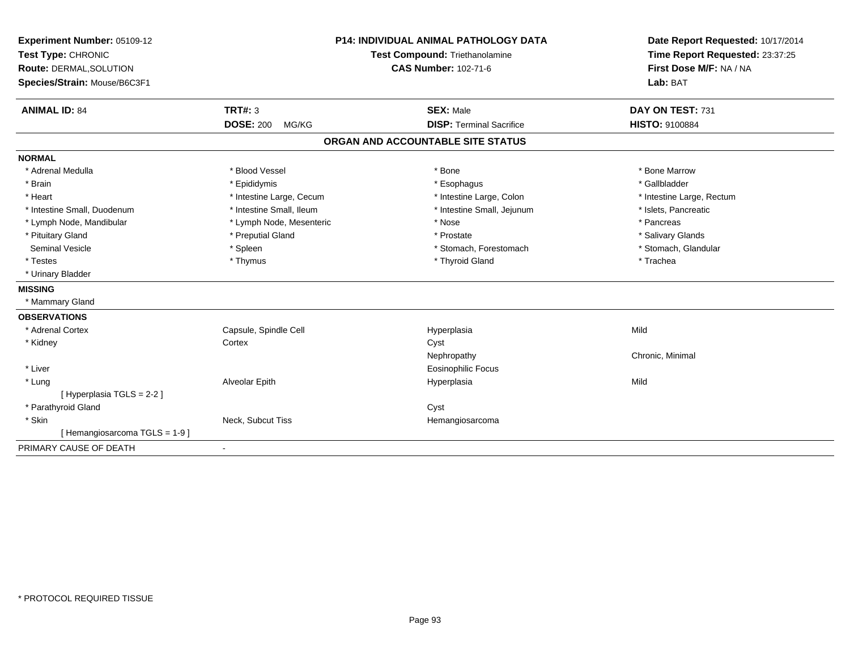| Experiment Number: 05109-12  | <b>P14: INDIVIDUAL ANIMAL PATHOLOGY DATA</b> |                                   | Date Report Requested: 10/17/2014                                      |  |
|------------------------------|----------------------------------------------|-----------------------------------|------------------------------------------------------------------------|--|
| Test Type: CHRONIC           |                                              | Test Compound: Triethanolamine    | Time Report Requested: 23:37:25<br>First Dose M/F: NA / NA<br>Lab: BAT |  |
| Route: DERMAL, SOLUTION      |                                              | <b>CAS Number: 102-71-6</b>       |                                                                        |  |
| Species/Strain: Mouse/B6C3F1 |                                              |                                   |                                                                        |  |
| <b>ANIMAL ID: 84</b>         | TRT#: 3                                      | <b>SEX: Male</b>                  | DAY ON TEST: 731                                                       |  |
|                              | <b>DOSE: 200</b><br>MG/KG                    | <b>DISP: Terminal Sacrifice</b>   | <b>HISTO: 9100884</b>                                                  |  |
|                              |                                              | ORGAN AND ACCOUNTABLE SITE STATUS |                                                                        |  |
| <b>NORMAL</b>                |                                              |                                   |                                                                        |  |
| * Adrenal Medulla            | * Blood Vessel                               | * Bone                            | * Bone Marrow                                                          |  |
| * Brain                      | * Epididymis                                 | * Esophagus                       | * Gallbladder                                                          |  |
| * Heart                      | * Intestine Large, Cecum                     | * Intestine Large, Colon          | * Intestine Large, Rectum                                              |  |
| * Intestine Small, Duodenum  | * Intestine Small, Ileum                     | * Intestine Small, Jejunum        | * Islets, Pancreatic                                                   |  |
| * Lymph Node, Mandibular     | * Lymph Node, Mesenteric                     | * Nose                            | * Pancreas                                                             |  |
| * Pituitary Gland            | * Preputial Gland                            | * Prostate                        | * Salivary Glands                                                      |  |
| <b>Seminal Vesicle</b>       | * Spleen                                     | * Stomach, Forestomach            | * Stomach, Glandular                                                   |  |
| * Testes                     | * Thymus                                     | * Thyroid Gland                   | * Trachea                                                              |  |
| * Urinary Bladder            |                                              |                                   |                                                                        |  |
| <b>MISSING</b>               |                                              |                                   |                                                                        |  |
| * Mammary Gland              |                                              |                                   |                                                                        |  |
| <b>OBSERVATIONS</b>          |                                              |                                   |                                                                        |  |
| * Adrenal Cortex             | Capsule, Spindle Cell                        | Hyperplasia                       | Mild                                                                   |  |
| * Kidney                     | Cortex                                       | Cyst                              |                                                                        |  |
|                              |                                              | Nephropathy                       | Chronic, Minimal                                                       |  |
| * Liver                      |                                              | <b>Eosinophilic Focus</b>         |                                                                        |  |
| * Lung                       | Alveolar Epith                               | Hyperplasia                       | Mild                                                                   |  |
| [ Hyperplasia TGLS = 2-2 ]   |                                              |                                   |                                                                        |  |
| * Parathyroid Gland          |                                              | Cyst                              |                                                                        |  |
| * Skin                       | Neck, Subcut Tiss                            | Hemangiosarcoma                   |                                                                        |  |
| [Hemangiosarcoma TGLS = 1-9] |                                              |                                   |                                                                        |  |
| PRIMARY CAUSE OF DEATH       | $\sim$                                       |                                   |                                                                        |  |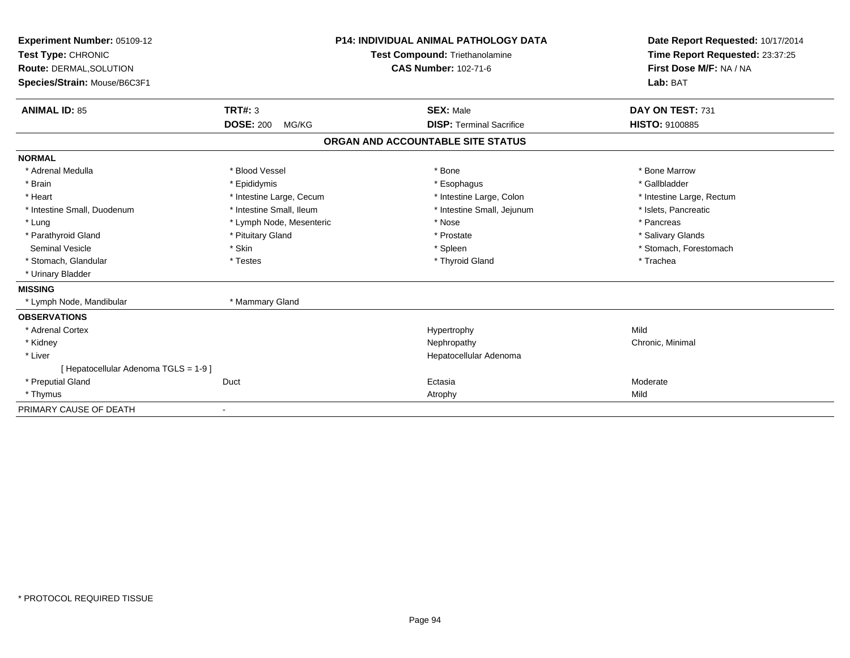| Experiment Number: 05109-12<br>Test Type: CHRONIC<br>Route: DERMAL, SOLUTION<br>Species/Strain: Mouse/B6C3F1 |                                             | <b>P14: INDIVIDUAL ANIMAL PATHOLOGY DATA</b><br><b>Test Compound: Triethanolamine</b><br><b>CAS Number: 102-71-6</b> |  | Date Report Requested: 10/17/2014<br>Time Report Requested: 23:37:25<br>First Dose M/F: NA / NA<br>Lab: BAT |
|--------------------------------------------------------------------------------------------------------------|---------------------------------------------|----------------------------------------------------------------------------------------------------------------------|--|-------------------------------------------------------------------------------------------------------------|
| <b>ANIMAL ID: 85</b>                                                                                         | <b>TRT#: 3</b><br><b>DOSE: 200</b><br>MG/KG | <b>SEX: Male</b><br><b>DISP: Terminal Sacrifice</b>                                                                  |  | DAY ON TEST: 731<br><b>HISTO: 9100885</b>                                                                   |
|                                                                                                              |                                             |                                                                                                                      |  |                                                                                                             |
|                                                                                                              |                                             | ORGAN AND ACCOUNTABLE SITE STATUS                                                                                    |  |                                                                                                             |
| <b>NORMAL</b>                                                                                                |                                             |                                                                                                                      |  |                                                                                                             |
| * Adrenal Medulla                                                                                            | * Blood Vessel                              | * Bone                                                                                                               |  | * Bone Marrow                                                                                               |
| * Brain                                                                                                      | * Epididymis                                | * Esophagus                                                                                                          |  | * Gallbladder                                                                                               |
| * Heart                                                                                                      | * Intestine Large, Cecum                    | * Intestine Large, Colon                                                                                             |  | * Intestine Large, Rectum                                                                                   |
| * Intestine Small, Duodenum                                                                                  | * Intestine Small, Ileum                    | * Intestine Small, Jejunum                                                                                           |  | * Islets, Pancreatic                                                                                        |
| * Lung                                                                                                       | * Lymph Node, Mesenteric                    | * Nose                                                                                                               |  | * Pancreas                                                                                                  |
| * Parathyroid Gland                                                                                          | * Pituitary Gland                           | * Prostate                                                                                                           |  | * Salivary Glands                                                                                           |
| Seminal Vesicle                                                                                              | * Skin                                      | * Spleen                                                                                                             |  | * Stomach, Forestomach                                                                                      |
| * Stomach, Glandular                                                                                         | * Testes                                    | * Thyroid Gland                                                                                                      |  | * Trachea                                                                                                   |
| * Urinary Bladder                                                                                            |                                             |                                                                                                                      |  |                                                                                                             |
| <b>MISSING</b>                                                                                               |                                             |                                                                                                                      |  |                                                                                                             |
| * Lymph Node, Mandibular                                                                                     | * Mammary Gland                             |                                                                                                                      |  |                                                                                                             |
| <b>OBSERVATIONS</b>                                                                                          |                                             |                                                                                                                      |  |                                                                                                             |
| * Adrenal Cortex                                                                                             |                                             | Hypertrophy                                                                                                          |  | Mild                                                                                                        |
| * Kidney                                                                                                     |                                             | Nephropathy                                                                                                          |  | Chronic, Minimal                                                                                            |
| * Liver                                                                                                      |                                             | Hepatocellular Adenoma                                                                                               |  |                                                                                                             |
| [ Hepatocellular Adenoma TGLS = 1-9 ]                                                                        |                                             |                                                                                                                      |  |                                                                                                             |
| * Preputial Gland                                                                                            | Duct                                        | Ectasia                                                                                                              |  | Moderate                                                                                                    |
| * Thymus                                                                                                     |                                             | Atrophy                                                                                                              |  | Mild                                                                                                        |
| PRIMARY CAUSE OF DEATH                                                                                       | $\overline{\phantom{a}}$                    |                                                                                                                      |  |                                                                                                             |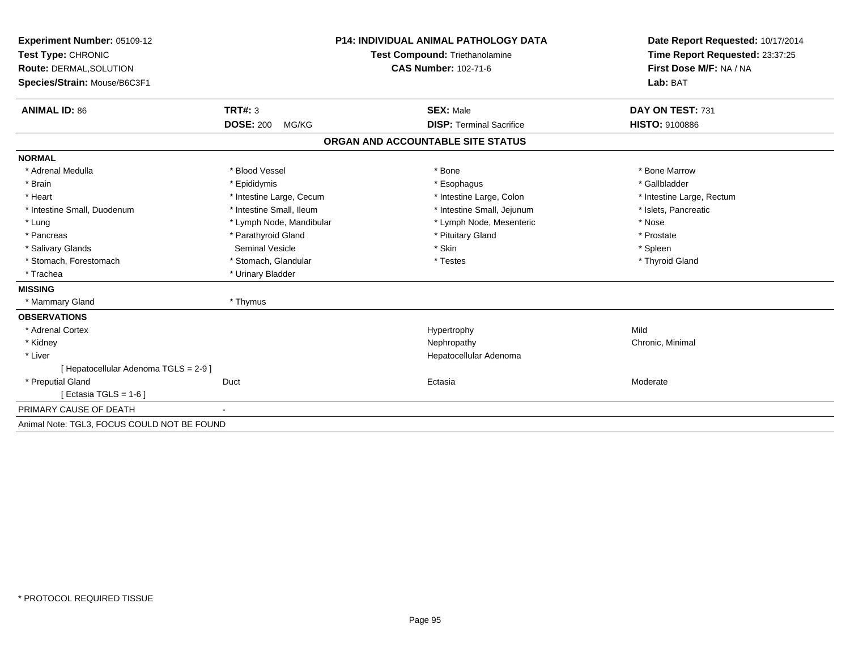| Experiment Number: 05109-12                 | <b>P14: INDIVIDUAL ANIMAL PATHOLOGY DATA</b> |                                   | Date Report Requested: 10/17/2014 |
|---------------------------------------------|----------------------------------------------|-----------------------------------|-----------------------------------|
| Test Type: CHRONIC                          |                                              | Test Compound: Triethanolamine    | Time Report Requested: 23:37:25   |
| <b>Route: DERMAL, SOLUTION</b>              | <b>CAS Number: 102-71-6</b>                  |                                   | First Dose M/F: NA / NA           |
| Species/Strain: Mouse/B6C3F1                |                                              |                                   | Lab: BAT                          |
| <b>ANIMAL ID: 86</b>                        | TRT#: 3                                      | <b>SEX: Male</b>                  | DAY ON TEST: 731                  |
|                                             | <b>DOSE: 200</b><br>MG/KG                    | <b>DISP: Terminal Sacrifice</b>   | HISTO: 9100886                    |
|                                             |                                              | ORGAN AND ACCOUNTABLE SITE STATUS |                                   |
| <b>NORMAL</b>                               |                                              |                                   |                                   |
| * Adrenal Medulla                           | * Blood Vessel                               | * Bone                            | * Bone Marrow                     |
| * Brain                                     | * Epididymis                                 | * Esophagus                       | * Gallbladder                     |
| * Heart                                     | * Intestine Large, Cecum                     | * Intestine Large, Colon          | * Intestine Large, Rectum         |
| * Intestine Small, Duodenum                 | * Intestine Small, Ileum                     | * Intestine Small, Jejunum        | * Islets. Pancreatic              |
| * Lung                                      | * Lymph Node, Mandibular                     | * Lymph Node, Mesenteric          | * Nose                            |
| * Pancreas                                  | * Parathyroid Gland                          | * Pituitary Gland                 | * Prostate                        |
| * Salivary Glands                           | <b>Seminal Vesicle</b>                       | * Skin                            | * Spleen                          |
| * Stomach, Forestomach                      | * Stomach, Glandular                         | * Testes                          | * Thyroid Gland                   |
| * Trachea                                   | * Urinary Bladder                            |                                   |                                   |
| <b>MISSING</b>                              |                                              |                                   |                                   |
| * Mammary Gland                             | * Thymus                                     |                                   |                                   |
| <b>OBSERVATIONS</b>                         |                                              |                                   |                                   |
| * Adrenal Cortex                            |                                              | Hypertrophy                       | Mild                              |
| * Kidney                                    |                                              | Nephropathy                       | Chronic, Minimal                  |
| * Liver                                     |                                              | Hepatocellular Adenoma            |                                   |
| [ Hepatocellular Adenoma TGLS = 2-9 ]       |                                              |                                   |                                   |
| * Preputial Gland                           | Duct                                         | Ectasia                           | Moderate                          |
| [ Ectasia TGLS = 1-6 ]                      |                                              |                                   |                                   |
| PRIMARY CAUSE OF DEATH                      |                                              |                                   |                                   |
| Animal Note: TGL3, FOCUS COULD NOT BE FOUND |                                              |                                   |                                   |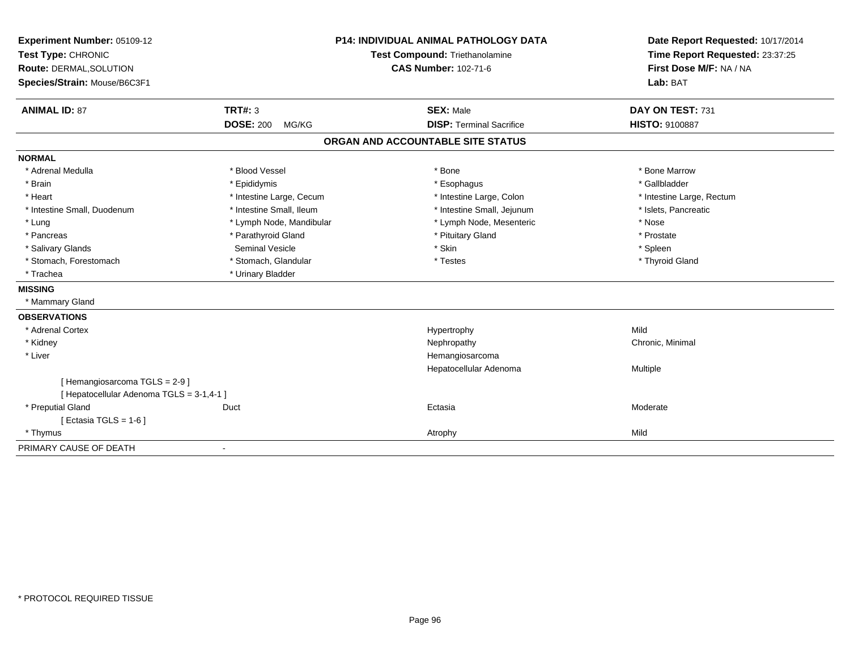| Experiment Number: 05109-12               | <b>P14: INDIVIDUAL ANIMAL PATHOLOGY DATA</b> |                                   | Date Report Requested: 10/17/2014                          |  |
|-------------------------------------------|----------------------------------------------|-----------------------------------|------------------------------------------------------------|--|
| Test Type: CHRONIC                        |                                              | Test Compound: Triethanolamine    | Time Report Requested: 23:37:25<br>First Dose M/F: NA / NA |  |
| Route: DERMAL, SOLUTION                   |                                              | <b>CAS Number: 102-71-6</b>       |                                                            |  |
| Species/Strain: Mouse/B6C3F1              |                                              |                                   | Lab: BAT                                                   |  |
| <b>ANIMAL ID: 87</b>                      | TRT#: 3                                      | <b>SEX: Male</b>                  | DAY ON TEST: 731                                           |  |
|                                           | <b>DOSE: 200</b><br>MG/KG                    | <b>DISP: Terminal Sacrifice</b>   | HISTO: 9100887                                             |  |
|                                           |                                              | ORGAN AND ACCOUNTABLE SITE STATUS |                                                            |  |
| <b>NORMAL</b>                             |                                              |                                   |                                                            |  |
| * Adrenal Medulla                         | * Blood Vessel                               | * Bone                            | * Bone Marrow                                              |  |
| * Brain                                   | * Epididymis                                 | * Esophagus                       | * Gallbladder                                              |  |
| * Heart                                   | * Intestine Large, Cecum                     | * Intestine Large, Colon          | * Intestine Large, Rectum                                  |  |
| * Intestine Small, Duodenum               | * Intestine Small, Ileum                     | * Intestine Small, Jejunum        | * Islets, Pancreatic                                       |  |
| * Lung                                    | * Lymph Node, Mandibular                     | * Lymph Node, Mesenteric          | * Nose                                                     |  |
| * Pancreas                                | * Parathyroid Gland                          | * Pituitary Gland                 | * Prostate                                                 |  |
| * Salivary Glands                         | <b>Seminal Vesicle</b>                       | * Skin                            | * Spleen                                                   |  |
| * Stomach, Forestomach                    | * Stomach, Glandular                         | * Testes                          | * Thyroid Gland                                            |  |
| * Trachea                                 | * Urinary Bladder                            |                                   |                                                            |  |
| <b>MISSING</b>                            |                                              |                                   |                                                            |  |
| * Mammary Gland                           |                                              |                                   |                                                            |  |
| <b>OBSERVATIONS</b>                       |                                              |                                   |                                                            |  |
| * Adrenal Cortex                          |                                              | Hypertrophy                       | Mild                                                       |  |
| * Kidney                                  |                                              | Nephropathy                       | Chronic, Minimal                                           |  |
| * Liver                                   |                                              | Hemangiosarcoma                   |                                                            |  |
|                                           |                                              | Hepatocellular Adenoma            | Multiple                                                   |  |
| [Hemangiosarcoma TGLS = 2-9]              |                                              |                                   |                                                            |  |
| [ Hepatocellular Adenoma TGLS = 3-1,4-1 ] |                                              |                                   |                                                            |  |
| * Preputial Gland                         | Duct                                         | Ectasia                           | Moderate                                                   |  |
| [Ectasia TGLS = $1-6$ ]                   |                                              |                                   |                                                            |  |
| * Thymus                                  |                                              | Atrophy                           | Mild                                                       |  |
| PRIMARY CAUSE OF DEATH                    | $\blacksquare$                               |                                   |                                                            |  |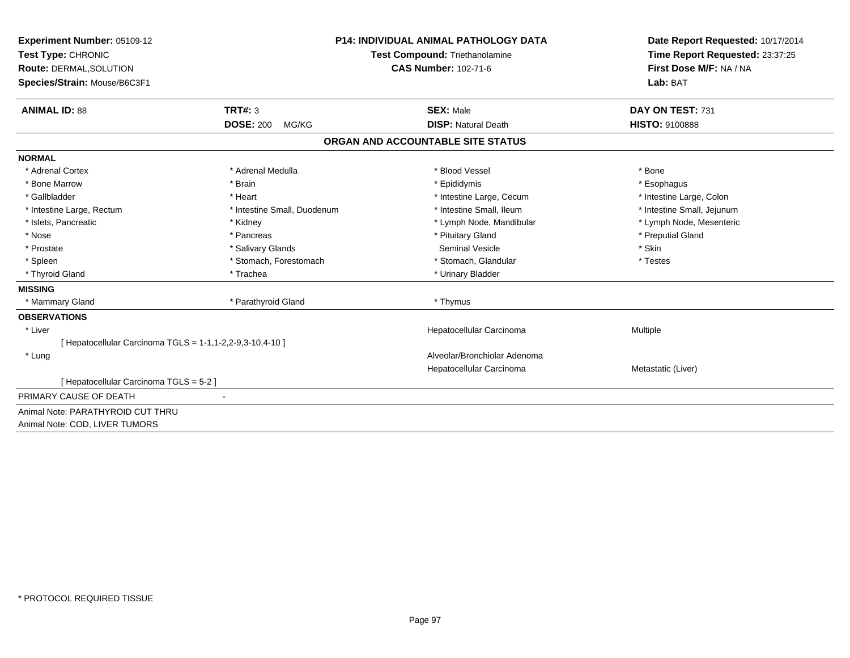| <b>Experiment Number: 05109-12</b><br>Test Type: CHRONIC<br><b>Route: DERMAL, SOLUTION</b> |                             | <b>P14: INDIVIDUAL ANIMAL PATHOLOGY DATA</b><br>Test Compound: Triethanolamine<br><b>CAS Number: 102-71-6</b> | Date Report Requested: 10/17/2014<br>Time Report Requested: 23:37:25<br>First Dose M/F: NA / NA |  |
|--------------------------------------------------------------------------------------------|-----------------------------|---------------------------------------------------------------------------------------------------------------|-------------------------------------------------------------------------------------------------|--|
| Species/Strain: Mouse/B6C3F1                                                               |                             |                                                                                                               | Lab: BAT                                                                                        |  |
| <b>ANIMAL ID: 88</b>                                                                       | TRT#: 3                     | <b>SEX: Male</b>                                                                                              | DAY ON TEST: 731                                                                                |  |
|                                                                                            | <b>DOSE: 200</b><br>MG/KG   | <b>DISP: Natural Death</b>                                                                                    | <b>HISTO: 9100888</b>                                                                           |  |
|                                                                                            |                             | ORGAN AND ACCOUNTABLE SITE STATUS                                                                             |                                                                                                 |  |
| <b>NORMAL</b>                                                                              |                             |                                                                                                               |                                                                                                 |  |
| * Adrenal Cortex                                                                           | * Adrenal Medulla           | * Blood Vessel                                                                                                | * Bone                                                                                          |  |
| * Bone Marrow                                                                              | * Brain                     | * Epididymis                                                                                                  | * Esophagus                                                                                     |  |
| * Gallbladder                                                                              | * Heart                     | * Intestine Large, Cecum                                                                                      | * Intestine Large, Colon                                                                        |  |
| * Intestine Large, Rectum                                                                  | * Intestine Small, Duodenum | * Intestine Small, Ileum                                                                                      | * Intestine Small, Jejunum                                                                      |  |
| * Islets, Pancreatic                                                                       | * Kidney                    | * Lymph Node, Mandibular                                                                                      | * Lymph Node, Mesenteric                                                                        |  |
| * Nose                                                                                     | * Pancreas                  | * Pituitary Gland                                                                                             | * Preputial Gland                                                                               |  |
| * Prostate                                                                                 | * Salivary Glands           | <b>Seminal Vesicle</b>                                                                                        | * Skin                                                                                          |  |
| * Spleen                                                                                   | * Stomach, Forestomach      | * Stomach, Glandular                                                                                          | * Testes                                                                                        |  |
| * Thyroid Gland                                                                            | * Trachea                   | * Urinary Bladder                                                                                             |                                                                                                 |  |
| <b>MISSING</b>                                                                             |                             |                                                                                                               |                                                                                                 |  |
| * Mammary Gland                                                                            | * Parathyroid Gland         | * Thymus                                                                                                      |                                                                                                 |  |
| <b>OBSERVATIONS</b>                                                                        |                             |                                                                                                               |                                                                                                 |  |
| * Liver                                                                                    |                             | Hepatocellular Carcinoma                                                                                      | Multiple                                                                                        |  |
| [ Hepatocellular Carcinoma TGLS = 1-1,1-2,2-9,3-10,4-10 ]                                  |                             |                                                                                                               |                                                                                                 |  |
| * Lung                                                                                     |                             | Alveolar/Bronchiolar Adenoma                                                                                  |                                                                                                 |  |
|                                                                                            |                             | Hepatocellular Carcinoma                                                                                      | Metastatic (Liver)                                                                              |  |
| [ Hepatocellular Carcinoma TGLS = 5-2 ]                                                    |                             |                                                                                                               |                                                                                                 |  |
| PRIMARY CAUSE OF DEATH                                                                     |                             |                                                                                                               |                                                                                                 |  |
| Animal Note: PARATHYROID CUT THRU                                                          |                             |                                                                                                               |                                                                                                 |  |
| Animal Note: COD, LIVER TUMORS                                                             |                             |                                                                                                               |                                                                                                 |  |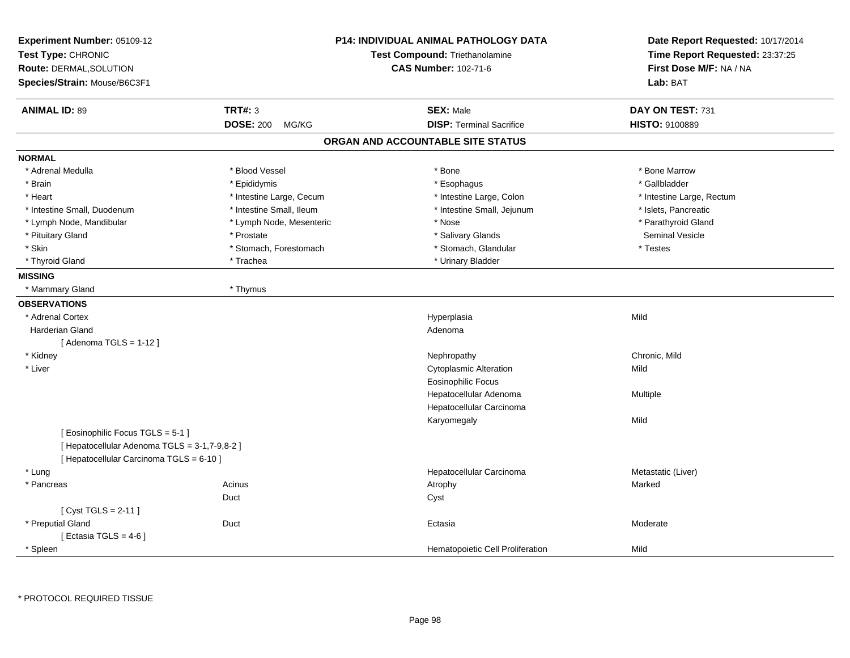| Experiment Number: 05109-12<br>Test Type: CHRONIC<br>Route: DERMAL, SOLUTION<br>Species/Strain: Mouse/B6C3F1 |                           | <b>P14: INDIVIDUAL ANIMAL PATHOLOGY DATA</b><br>Test Compound: Triethanolamine<br><b>CAS Number: 102-71-6</b> | Date Report Requested: 10/17/2014<br>Time Report Requested: 23:37:25<br>First Dose M/F: NA / NA<br>Lab: BAT |  |
|--------------------------------------------------------------------------------------------------------------|---------------------------|---------------------------------------------------------------------------------------------------------------|-------------------------------------------------------------------------------------------------------------|--|
| <b>ANIMAL ID: 89</b>                                                                                         | <b>TRT#: 3</b>            | <b>SEX: Male</b>                                                                                              | DAY ON TEST: 731                                                                                            |  |
|                                                                                                              | <b>DOSE: 200</b><br>MG/KG | <b>DISP: Terminal Sacrifice</b>                                                                               | <b>HISTO: 9100889</b>                                                                                       |  |
|                                                                                                              |                           | ORGAN AND ACCOUNTABLE SITE STATUS                                                                             |                                                                                                             |  |
| <b>NORMAL</b>                                                                                                |                           |                                                                                                               |                                                                                                             |  |
| * Adrenal Medulla                                                                                            | * Blood Vessel            | * Bone                                                                                                        | * Bone Marrow                                                                                               |  |
| * Brain                                                                                                      | * Epididymis              | * Esophagus                                                                                                   | * Gallbladder                                                                                               |  |
| * Heart                                                                                                      | * Intestine Large, Cecum  | * Intestine Large, Colon                                                                                      | * Intestine Large, Rectum                                                                                   |  |
| * Intestine Small, Duodenum                                                                                  | * Intestine Small, Ileum  | * Intestine Small, Jejunum                                                                                    | * Islets, Pancreatic                                                                                        |  |
| * Lymph Node, Mandibular                                                                                     | * Lymph Node, Mesenteric  | * Nose                                                                                                        | * Parathyroid Gland                                                                                         |  |
| * Pituitary Gland                                                                                            | * Prostate                | * Salivary Glands                                                                                             | <b>Seminal Vesicle</b>                                                                                      |  |
| * Skin                                                                                                       | * Stomach, Forestomach    | * Stomach, Glandular                                                                                          | * Testes                                                                                                    |  |
| * Thyroid Gland                                                                                              | * Trachea                 | * Urinary Bladder                                                                                             |                                                                                                             |  |
| <b>MISSING</b>                                                                                               |                           |                                                                                                               |                                                                                                             |  |
| * Mammary Gland                                                                                              | * Thymus                  |                                                                                                               |                                                                                                             |  |
| <b>OBSERVATIONS</b>                                                                                          |                           |                                                                                                               |                                                                                                             |  |
| * Adrenal Cortex                                                                                             |                           | Hyperplasia                                                                                                   | Mild                                                                                                        |  |
| <b>Harderian Gland</b>                                                                                       |                           | Adenoma                                                                                                       |                                                                                                             |  |
| [Adenoma TGLS = $1-12$ ]                                                                                     |                           |                                                                                                               |                                                                                                             |  |
| * Kidney                                                                                                     |                           | Nephropathy                                                                                                   | Chronic, Mild                                                                                               |  |
| * Liver                                                                                                      |                           | Cytoplasmic Alteration                                                                                        | Mild                                                                                                        |  |
|                                                                                                              |                           | <b>Eosinophilic Focus</b>                                                                                     |                                                                                                             |  |
|                                                                                                              |                           | Hepatocellular Adenoma                                                                                        | Multiple                                                                                                    |  |
|                                                                                                              |                           | Hepatocellular Carcinoma                                                                                      |                                                                                                             |  |
|                                                                                                              |                           | Karyomegaly                                                                                                   | Mild                                                                                                        |  |
| [ Eosinophilic Focus TGLS = 5-1 ]                                                                            |                           |                                                                                                               |                                                                                                             |  |
| [ Hepatocellular Adenoma TGLS = 3-1,7-9,8-2 ]                                                                |                           |                                                                                                               |                                                                                                             |  |
| [ Hepatocellular Carcinoma TGLS = 6-10 ]                                                                     |                           |                                                                                                               |                                                                                                             |  |
| * Lung                                                                                                       |                           | Hepatocellular Carcinoma                                                                                      | Metastatic (Liver)                                                                                          |  |
| * Pancreas                                                                                                   | Acinus                    | Atrophy                                                                                                       | Marked                                                                                                      |  |
|                                                                                                              | Duct                      | Cyst                                                                                                          |                                                                                                             |  |
| [ $Cyst TGLS = 2-11$ ]                                                                                       |                           |                                                                                                               |                                                                                                             |  |
| * Preputial Gland                                                                                            | Duct                      | Ectasia                                                                                                       | Moderate                                                                                                    |  |
| [ Ectasia TGLS = $4-6$ ]                                                                                     |                           |                                                                                                               |                                                                                                             |  |
| * Spleen                                                                                                     |                           | Hematopoietic Cell Proliferation                                                                              | Mild                                                                                                        |  |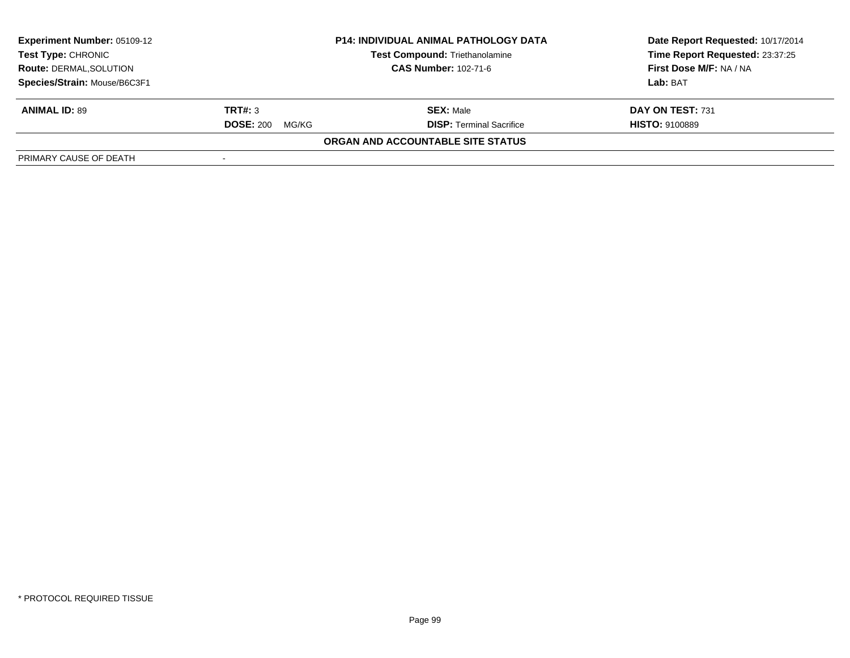| <b>Experiment Number: 05109-12</b><br>Test Type: CHRONIC |                           | <b>P14: INDIVIDUAL ANIMAL PATHOLOGY DATA</b><br>Test Compound: Triethanolamine | Date Report Requested: 10/17/2014<br>Time Report Requested: 23:37:25 |
|----------------------------------------------------------|---------------------------|--------------------------------------------------------------------------------|----------------------------------------------------------------------|
| <b>Route: DERMAL, SOLUTION</b>                           |                           | <b>CAS Number: 102-71-6</b>                                                    | First Dose M/F: NA / NA                                              |
| Species/Strain: Mouse/B6C3F1                             |                           |                                                                                | Lab: BAT                                                             |
| <b>ANIMAL ID: 89</b>                                     | TRT#: 3                   | <b>SEX: Male</b>                                                               | DAY ON TEST: 731                                                     |
|                                                          | <b>DOSE: 200</b><br>MG/KG | <b>DISP:</b> Terminal Sacrifice                                                | <b>HISTO: 9100889</b>                                                |
|                                                          |                           | ORGAN AND ACCOUNTABLE SITE STATUS                                              |                                                                      |
| PRIMARY CAUSE OF DEATH                                   |                           |                                                                                |                                                                      |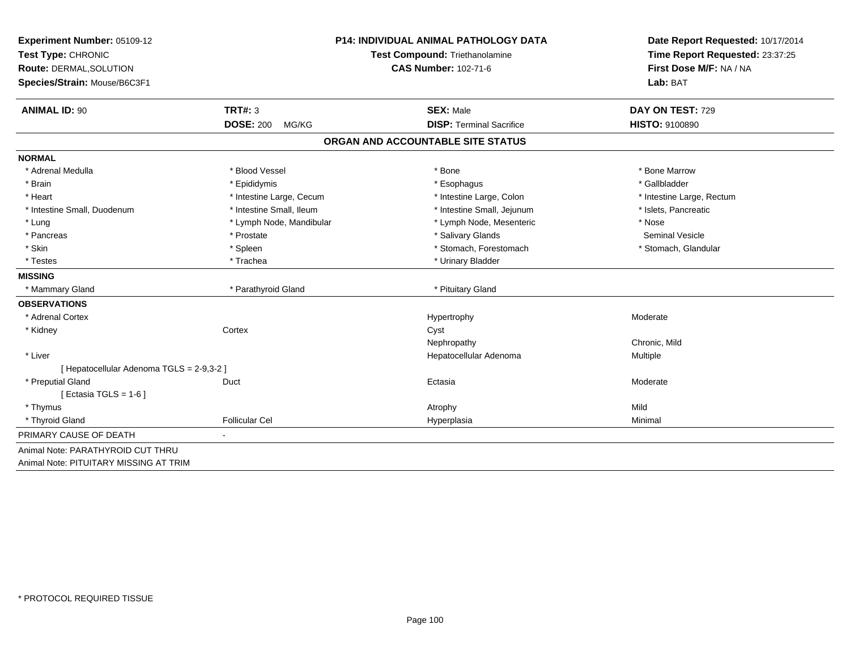| Experiment Number: 05109-12               |                           | P14: INDIVIDUAL ANIMAL PATHOLOGY DATA | Date Report Requested: 10/17/2014                          |
|-------------------------------------------|---------------------------|---------------------------------------|------------------------------------------------------------|
| Test Type: CHRONIC                        |                           | <b>Test Compound: Triethanolamine</b> | Time Report Requested: 23:37:25<br>First Dose M/F: NA / NA |
| Route: DERMAL, SOLUTION                   |                           | <b>CAS Number: 102-71-6</b>           |                                                            |
| Species/Strain: Mouse/B6C3F1              |                           |                                       | Lab: BAT                                                   |
| <b>ANIMAL ID: 90</b>                      | <b>TRT#: 3</b>            | <b>SEX: Male</b>                      | DAY ON TEST: 729                                           |
|                                           | <b>DOSE: 200</b><br>MG/KG | <b>DISP: Terminal Sacrifice</b>       | <b>HISTO: 9100890</b>                                      |
|                                           |                           | ORGAN AND ACCOUNTABLE SITE STATUS     |                                                            |
| <b>NORMAL</b>                             |                           |                                       |                                                            |
| * Adrenal Medulla                         | * Blood Vessel            | * Bone                                | * Bone Marrow                                              |
| * Brain                                   | * Epididymis              | * Esophagus                           | * Gallbladder                                              |
| * Heart                                   | * Intestine Large, Cecum  | * Intestine Large, Colon              | * Intestine Large, Rectum                                  |
| * Intestine Small, Duodenum               | * Intestine Small, Ileum  | * Intestine Small, Jejunum            | * Islets, Pancreatic                                       |
| * Lung                                    | * Lymph Node, Mandibular  | * Lymph Node, Mesenteric              | * Nose                                                     |
| * Pancreas                                | * Prostate                | * Salivary Glands                     | <b>Seminal Vesicle</b>                                     |
| * Skin                                    | * Spleen                  | * Stomach, Forestomach                | * Stomach, Glandular                                       |
| * Testes                                  | * Trachea                 | * Urinary Bladder                     |                                                            |
| <b>MISSING</b>                            |                           |                                       |                                                            |
| * Mammary Gland                           | * Parathyroid Gland       | * Pituitary Gland                     |                                                            |
| <b>OBSERVATIONS</b>                       |                           |                                       |                                                            |
| * Adrenal Cortex                          |                           | Hypertrophy                           | Moderate                                                   |
| * Kidney                                  | Cortex                    | Cyst                                  |                                                            |
|                                           |                           | Nephropathy                           | Chronic, Mild                                              |
| * Liver                                   |                           | Hepatocellular Adenoma                | Multiple                                                   |
| [ Hepatocellular Adenoma TGLS = 2-9,3-2 ] |                           |                                       |                                                            |
| * Preputial Gland                         | Duct                      | Ectasia                               | Moderate                                                   |
| [ Ectasia TGLS = $1-6$ ]                  |                           |                                       |                                                            |
| * Thymus                                  |                           | Atrophy                               | Mild                                                       |
| * Thyroid Gland                           | <b>Follicular Cel</b>     | Hyperplasia                           | Minimal                                                    |
| PRIMARY CAUSE OF DEATH                    |                           |                                       |                                                            |
| Animal Note: PARATHYROID CUT THRU         |                           |                                       |                                                            |
| Animal Note: PITUITARY MISSING AT TRIM    |                           |                                       |                                                            |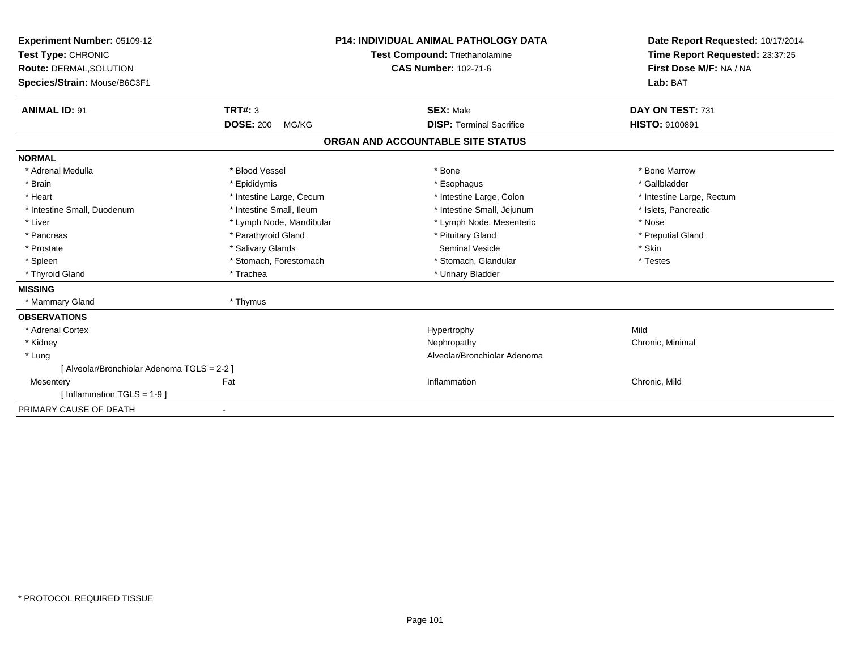| Experiment Number: 05109-12<br>Test Type: CHRONIC<br><b>Route: DERMAL, SOLUTION</b><br>Species/Strain: Mouse/B6C3F1 |                           | <b>P14: INDIVIDUAL ANIMAL PATHOLOGY DATA</b><br>Test Compound: Triethanolamine<br><b>CAS Number: 102-71-6</b> | Date Report Requested: 10/17/2014<br>Time Report Requested: 23:37:25<br>First Dose M/F: NA / NA<br>Lab: BAT |  |
|---------------------------------------------------------------------------------------------------------------------|---------------------------|---------------------------------------------------------------------------------------------------------------|-------------------------------------------------------------------------------------------------------------|--|
| <b>ANIMAL ID: 91</b>                                                                                                | <b>TRT#: 3</b>            | <b>SEX: Male</b>                                                                                              | DAY ON TEST: 731                                                                                            |  |
|                                                                                                                     | <b>DOSE: 200</b><br>MG/KG | <b>DISP: Terminal Sacrifice</b>                                                                               | <b>HISTO: 9100891</b>                                                                                       |  |
|                                                                                                                     |                           | ORGAN AND ACCOUNTABLE SITE STATUS                                                                             |                                                                                                             |  |
| <b>NORMAL</b>                                                                                                       |                           |                                                                                                               |                                                                                                             |  |
| * Adrenal Medulla                                                                                                   | * Blood Vessel            | * Bone                                                                                                        | * Bone Marrow                                                                                               |  |
| * Brain                                                                                                             | * Epididymis              | * Esophagus                                                                                                   | * Gallbladder                                                                                               |  |
| * Heart                                                                                                             | * Intestine Large, Cecum  | * Intestine Large, Colon                                                                                      | * Intestine Large, Rectum                                                                                   |  |
| * Intestine Small, Duodenum                                                                                         | * Intestine Small, Ileum  | * Intestine Small, Jejunum                                                                                    | * Islets, Pancreatic                                                                                        |  |
| * Liver                                                                                                             | * Lymph Node, Mandibular  | * Lymph Node, Mesenteric                                                                                      | * Nose                                                                                                      |  |
| * Pancreas                                                                                                          | * Parathyroid Gland       | * Pituitary Gland                                                                                             | * Preputial Gland                                                                                           |  |
| * Prostate                                                                                                          | * Salivary Glands         | <b>Seminal Vesicle</b>                                                                                        | * Skin                                                                                                      |  |
| * Spleen                                                                                                            | * Stomach, Forestomach    | * Stomach, Glandular                                                                                          | * Testes                                                                                                    |  |
| * Thyroid Gland                                                                                                     | * Trachea                 | * Urinary Bladder                                                                                             |                                                                                                             |  |
| <b>MISSING</b>                                                                                                      |                           |                                                                                                               |                                                                                                             |  |
| * Mammary Gland                                                                                                     | * Thymus                  |                                                                                                               |                                                                                                             |  |
| <b>OBSERVATIONS</b>                                                                                                 |                           |                                                                                                               |                                                                                                             |  |
| * Adrenal Cortex                                                                                                    |                           | Hypertrophy                                                                                                   | Mild                                                                                                        |  |
| * Kidney                                                                                                            |                           | Nephropathy                                                                                                   | Chronic, Minimal                                                                                            |  |
| * Lung                                                                                                              |                           | Alveolar/Bronchiolar Adenoma                                                                                  |                                                                                                             |  |
| [ Alveolar/Bronchiolar Adenoma TGLS = 2-2 ]                                                                         |                           |                                                                                                               |                                                                                                             |  |
| Mesentery                                                                                                           | Fat                       | Inflammation                                                                                                  | Chronic, Mild                                                                                               |  |
| [Inflammation TGLS = $1-9$ ]                                                                                        |                           |                                                                                                               |                                                                                                             |  |
| PRIMARY CAUSE OF DEATH                                                                                              | $\overline{\phantom{a}}$  |                                                                                                               |                                                                                                             |  |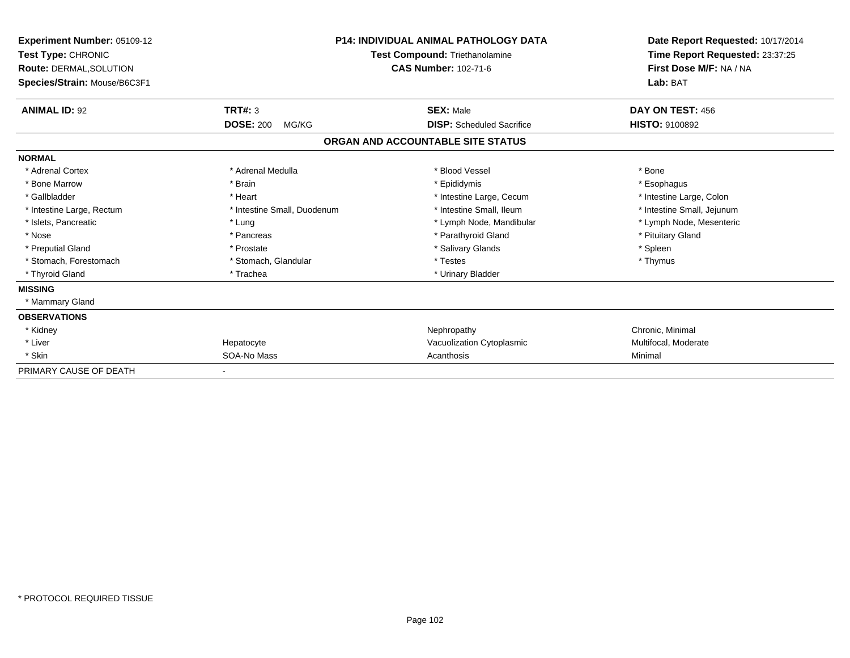| <b>Experiment Number: 05109-12</b><br>Test Type: CHRONIC<br>Route: DERMAL, SOLUTION<br>Species/Strain: Mouse/B6C3F1 | <b>P14: INDIVIDUAL ANIMAL PATHOLOGY DATA</b><br>Test Compound: Triethanolamine<br><b>CAS Number: 102-71-6</b> |                                   | Date Report Requested: 10/17/2014<br>Time Report Requested: 23:37:25<br>First Dose M/F: NA / NA<br>Lab: BAT |  |
|---------------------------------------------------------------------------------------------------------------------|---------------------------------------------------------------------------------------------------------------|-----------------------------------|-------------------------------------------------------------------------------------------------------------|--|
| <b>ANIMAL ID: 92</b>                                                                                                | <b>TRT#: 3</b>                                                                                                | <b>SEX: Male</b>                  | DAY ON TEST: 456                                                                                            |  |
|                                                                                                                     | <b>DOSE: 200</b><br>MG/KG                                                                                     | <b>DISP:</b> Scheduled Sacrifice  | <b>HISTO: 9100892</b>                                                                                       |  |
|                                                                                                                     |                                                                                                               | ORGAN AND ACCOUNTABLE SITE STATUS |                                                                                                             |  |
| <b>NORMAL</b>                                                                                                       |                                                                                                               |                                   |                                                                                                             |  |
| * Adrenal Cortex                                                                                                    | * Adrenal Medulla                                                                                             | * Blood Vessel                    | * Bone                                                                                                      |  |
| * Bone Marrow                                                                                                       | * Brain                                                                                                       | * Epididymis                      | * Esophagus                                                                                                 |  |
| * Gallbladder                                                                                                       | * Heart                                                                                                       | * Intestine Large, Cecum          | * Intestine Large, Colon                                                                                    |  |
| * Intestine Large, Rectum                                                                                           | * Intestine Small, Duodenum                                                                                   | * Intestine Small, Ileum          | * Intestine Small, Jejunum                                                                                  |  |
| * Islets, Pancreatic                                                                                                | * Lung                                                                                                        | * Lymph Node, Mandibular          | * Lymph Node, Mesenteric                                                                                    |  |
| * Nose                                                                                                              | * Pancreas                                                                                                    | * Parathyroid Gland               | * Pituitary Gland                                                                                           |  |
| * Preputial Gland                                                                                                   | * Prostate                                                                                                    | * Salivary Glands                 | * Spleen                                                                                                    |  |
| * Stomach, Forestomach                                                                                              | * Stomach, Glandular                                                                                          | * Testes                          | * Thymus                                                                                                    |  |
| * Thyroid Gland                                                                                                     | * Trachea                                                                                                     | * Urinary Bladder                 |                                                                                                             |  |
| <b>MISSING</b>                                                                                                      |                                                                                                               |                                   |                                                                                                             |  |
| * Mammary Gland                                                                                                     |                                                                                                               |                                   |                                                                                                             |  |
| <b>OBSERVATIONS</b>                                                                                                 |                                                                                                               |                                   |                                                                                                             |  |
| * Kidney                                                                                                            |                                                                                                               | Nephropathy                       | Chronic, Minimal                                                                                            |  |
| * Liver                                                                                                             | Hepatocyte                                                                                                    | Vacuolization Cytoplasmic         | Multifocal, Moderate                                                                                        |  |
| * Skin                                                                                                              | SOA-No Mass                                                                                                   | Acanthosis                        | Minimal                                                                                                     |  |
| PRIMARY CAUSE OF DEATH                                                                                              |                                                                                                               |                                   |                                                                                                             |  |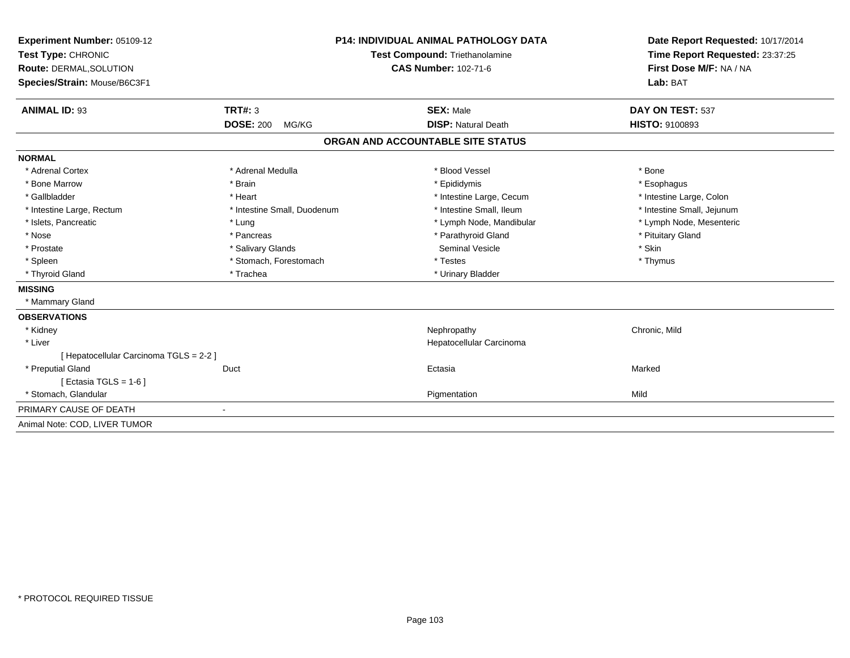| Experiment Number: 05109-12<br>Test Type: CHRONIC<br>Route: DERMAL, SOLUTION<br>Species/Strain: Mouse/B6C3F1<br><b>ANIMAL ID: 93</b> | <b>P14: INDIVIDUAL ANIMAL PATHOLOGY DATA</b><br><b>Test Compound: Triethanolamine</b><br><b>CAS Number: 102-71-6</b><br><b>TRT#: 3</b><br><b>SEX: Male</b> |  | Date Report Requested: 10/17/2014<br>Time Report Requested: 23:37:25<br>First Dose M/F: NA / NA<br>Lab: BAT<br>DAY ON TEST: 537 |                            |
|--------------------------------------------------------------------------------------------------------------------------------------|------------------------------------------------------------------------------------------------------------------------------------------------------------|--|---------------------------------------------------------------------------------------------------------------------------------|----------------------------|
|                                                                                                                                      | <b>DOSE: 200</b><br>MG/KG                                                                                                                                  |  | <b>DISP: Natural Death</b>                                                                                                      | HISTO: 9100893             |
|                                                                                                                                      |                                                                                                                                                            |  | ORGAN AND ACCOUNTABLE SITE STATUS                                                                                               |                            |
| <b>NORMAL</b>                                                                                                                        |                                                                                                                                                            |  |                                                                                                                                 |                            |
| * Adrenal Cortex                                                                                                                     | * Adrenal Medulla                                                                                                                                          |  | * Blood Vessel                                                                                                                  | * Bone                     |
| * Bone Marrow                                                                                                                        | * Brain                                                                                                                                                    |  | * Epididymis                                                                                                                    | * Esophagus                |
| * Gallbladder                                                                                                                        | * Heart                                                                                                                                                    |  | * Intestine Large, Cecum                                                                                                        | * Intestine Large, Colon   |
| * Intestine Large, Rectum                                                                                                            | * Intestine Small, Duodenum                                                                                                                                |  | * Intestine Small, Ileum                                                                                                        | * Intestine Small, Jejunum |
| * Islets, Pancreatic                                                                                                                 | * Lung                                                                                                                                                     |  | * Lymph Node, Mandibular                                                                                                        | * Lymph Node, Mesenteric   |
| * Nose                                                                                                                               | * Pancreas                                                                                                                                                 |  | * Parathyroid Gland                                                                                                             | * Pituitary Gland          |
| * Prostate                                                                                                                           | * Salivary Glands                                                                                                                                          |  | <b>Seminal Vesicle</b>                                                                                                          | * Skin                     |
| * Spleen                                                                                                                             | * Stomach, Forestomach                                                                                                                                     |  | * Testes                                                                                                                        | * Thymus                   |
| * Thyroid Gland                                                                                                                      | * Trachea                                                                                                                                                  |  | * Urinary Bladder                                                                                                               |                            |
| <b>MISSING</b>                                                                                                                       |                                                                                                                                                            |  |                                                                                                                                 |                            |
| * Mammary Gland                                                                                                                      |                                                                                                                                                            |  |                                                                                                                                 |                            |
| <b>OBSERVATIONS</b>                                                                                                                  |                                                                                                                                                            |  |                                                                                                                                 |                            |
| * Kidney                                                                                                                             |                                                                                                                                                            |  | Nephropathy                                                                                                                     | Chronic, Mild              |
| * Liver                                                                                                                              |                                                                                                                                                            |  | Hepatocellular Carcinoma                                                                                                        |                            |
| [ Hepatocellular Carcinoma TGLS = 2-2 ]                                                                                              |                                                                                                                                                            |  |                                                                                                                                 |                            |
| * Preputial Gland                                                                                                                    | Duct                                                                                                                                                       |  | Ectasia                                                                                                                         | Marked                     |
| [Ectasia TGLS = $1-6$ ]                                                                                                              |                                                                                                                                                            |  |                                                                                                                                 |                            |
| * Stomach, Glandular                                                                                                                 |                                                                                                                                                            |  | Pigmentation                                                                                                                    | Mild                       |
| PRIMARY CAUSE OF DEATH                                                                                                               |                                                                                                                                                            |  |                                                                                                                                 |                            |
| Animal Note: COD, LIVER TUMOR                                                                                                        |                                                                                                                                                            |  |                                                                                                                                 |                            |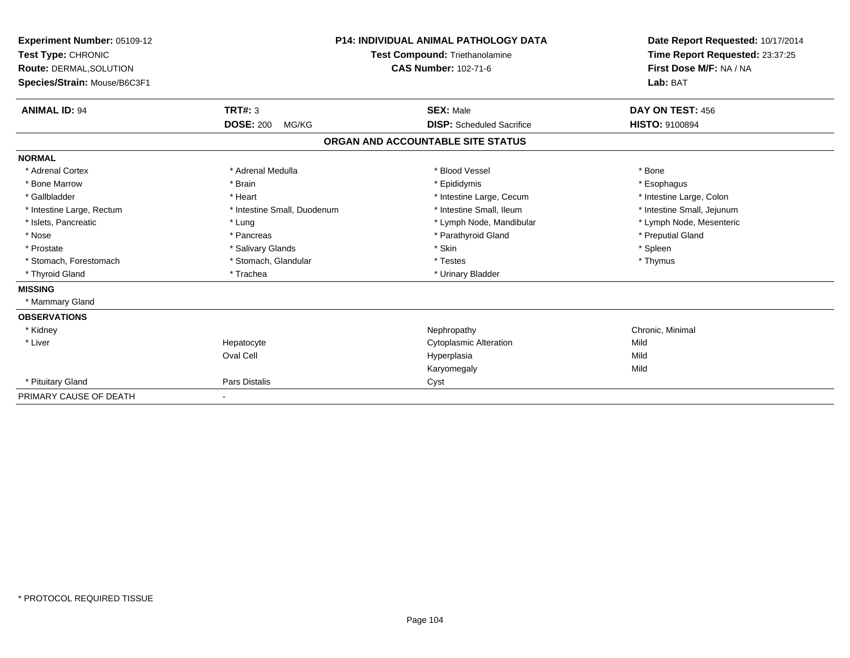| Experiment Number: 05109-12<br>Test Type: CHRONIC<br><b>Route: DERMAL, SOLUTION</b><br>Species/Strain: Mouse/B6C3F1 |                             | <b>P14: INDIVIDUAL ANIMAL PATHOLOGY DATA</b><br><b>Test Compound: Triethanolamine</b><br><b>CAS Number: 102-71-6</b> | Date Report Requested: 10/17/2014<br>Time Report Requested: 23:37:25<br>First Dose M/F: NA / NA<br>Lab: BAT |
|---------------------------------------------------------------------------------------------------------------------|-----------------------------|----------------------------------------------------------------------------------------------------------------------|-------------------------------------------------------------------------------------------------------------|
| <b>ANIMAL ID: 94</b>                                                                                                | TRT#: 3                     | <b>SEX: Male</b>                                                                                                     | DAY ON TEST: 456                                                                                            |
|                                                                                                                     | <b>DOSE: 200</b><br>MG/KG   | <b>DISP:</b> Scheduled Sacrifice                                                                                     | <b>HISTO: 9100894</b>                                                                                       |
|                                                                                                                     |                             | ORGAN AND ACCOUNTABLE SITE STATUS                                                                                    |                                                                                                             |
| <b>NORMAL</b>                                                                                                       |                             |                                                                                                                      |                                                                                                             |
| * Adrenal Cortex                                                                                                    | * Adrenal Medulla           | * Blood Vessel                                                                                                       | * Bone                                                                                                      |
| * Bone Marrow                                                                                                       | * Brain                     | * Epididymis                                                                                                         | * Esophagus                                                                                                 |
| * Gallbladder                                                                                                       | * Heart                     | * Intestine Large, Cecum                                                                                             | * Intestine Large, Colon                                                                                    |
| * Intestine Large, Rectum                                                                                           | * Intestine Small, Duodenum | * Intestine Small, Ileum                                                                                             | * Intestine Small, Jejunum                                                                                  |
| * Islets, Pancreatic                                                                                                | * Lung                      | * Lymph Node, Mandibular                                                                                             | * Lymph Node, Mesenteric                                                                                    |
| * Nose                                                                                                              | * Pancreas                  | * Parathyroid Gland                                                                                                  | * Preputial Gland                                                                                           |
| * Prostate                                                                                                          | * Salivary Glands           | * Skin                                                                                                               | * Spleen                                                                                                    |
| * Stomach, Forestomach                                                                                              | * Stomach, Glandular        | * Testes                                                                                                             | * Thymus                                                                                                    |
| * Thyroid Gland                                                                                                     | * Trachea                   | * Urinary Bladder                                                                                                    |                                                                                                             |
| <b>MISSING</b>                                                                                                      |                             |                                                                                                                      |                                                                                                             |
| * Mammary Gland                                                                                                     |                             |                                                                                                                      |                                                                                                             |
| <b>OBSERVATIONS</b>                                                                                                 |                             |                                                                                                                      |                                                                                                             |
| * Kidney                                                                                                            |                             | Nephropathy                                                                                                          | Chronic, Minimal                                                                                            |
| * Liver                                                                                                             | Hepatocyte                  | <b>Cytoplasmic Alteration</b>                                                                                        | Mild                                                                                                        |
|                                                                                                                     | Oval Cell                   | Hyperplasia                                                                                                          | Mild                                                                                                        |
|                                                                                                                     |                             | Karyomegaly                                                                                                          | Mild                                                                                                        |
| * Pituitary Gland                                                                                                   | Pars Distalis               | Cyst                                                                                                                 |                                                                                                             |
| PRIMARY CAUSE OF DEATH                                                                                              |                             |                                                                                                                      |                                                                                                             |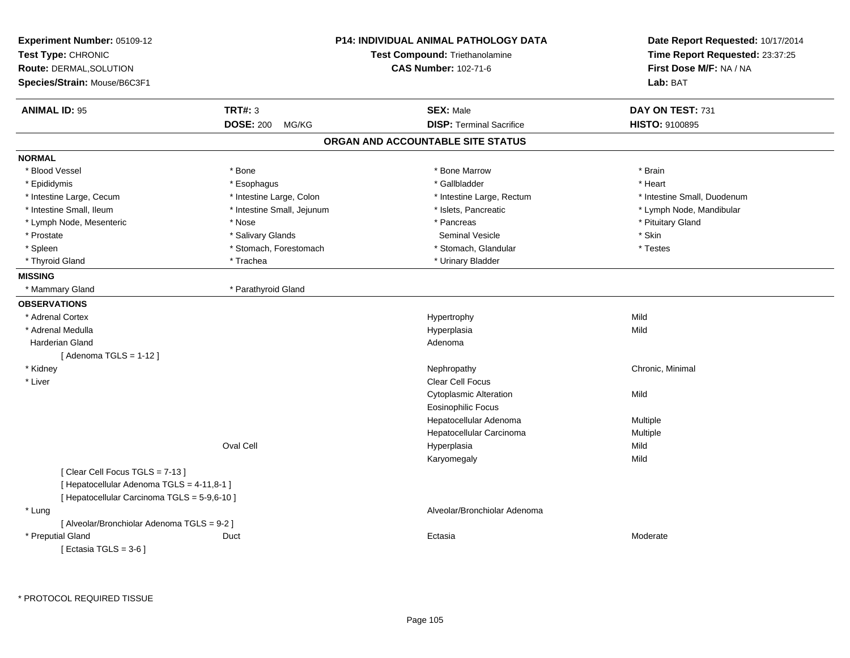| Experiment Number: 05109-12<br>Test Type: CHRONIC<br>Route: DERMAL, SOLUTION<br>Species/Strain: Mouse/B6C3F1                 |                            | <b>P14: INDIVIDUAL ANIMAL PATHOLOGY DATA</b><br>Test Compound: Triethanolamine<br><b>CAS Number: 102-71-6</b> | Date Report Requested: 10/17/2014<br>Time Report Requested: 23:37:25<br>First Dose M/F: NA / NA<br>Lab: BAT |
|------------------------------------------------------------------------------------------------------------------------------|----------------------------|---------------------------------------------------------------------------------------------------------------|-------------------------------------------------------------------------------------------------------------|
| <b>ANIMAL ID: 95</b>                                                                                                         | <b>TRT#: 3</b>             | <b>SEX: Male</b>                                                                                              | DAY ON TEST: 731                                                                                            |
|                                                                                                                              | <b>DOSE: 200</b><br>MG/KG  | <b>DISP: Terminal Sacrifice</b>                                                                               | <b>HISTO: 9100895</b>                                                                                       |
|                                                                                                                              |                            | ORGAN AND ACCOUNTABLE SITE STATUS                                                                             |                                                                                                             |
| <b>NORMAL</b>                                                                                                                |                            |                                                                                                               |                                                                                                             |
| * Blood Vessel                                                                                                               | * Bone                     | * Bone Marrow                                                                                                 | * Brain                                                                                                     |
| * Epididymis                                                                                                                 | * Esophagus                | * Gallbladder                                                                                                 | * Heart                                                                                                     |
| * Intestine Large, Cecum                                                                                                     | * Intestine Large, Colon   | * Intestine Large, Rectum                                                                                     | * Intestine Small, Duodenum                                                                                 |
| * Intestine Small, Ileum                                                                                                     | * Intestine Small, Jejunum | * Islets, Pancreatic                                                                                          | * Lymph Node, Mandibular                                                                                    |
| * Lymph Node, Mesenteric                                                                                                     | * Nose                     | * Pancreas                                                                                                    | * Pituitary Gland                                                                                           |
| * Prostate                                                                                                                   | * Salivary Glands          | <b>Seminal Vesicle</b>                                                                                        | * Skin                                                                                                      |
| * Spleen                                                                                                                     | * Stomach, Forestomach     | * Stomach, Glandular                                                                                          | * Testes                                                                                                    |
| * Thyroid Gland                                                                                                              | * Trachea                  | * Urinary Bladder                                                                                             |                                                                                                             |
| <b>MISSING</b>                                                                                                               |                            |                                                                                                               |                                                                                                             |
| * Mammary Gland                                                                                                              | * Parathyroid Gland        |                                                                                                               |                                                                                                             |
| <b>OBSERVATIONS</b>                                                                                                          |                            |                                                                                                               |                                                                                                             |
| * Adrenal Cortex                                                                                                             |                            | Hypertrophy                                                                                                   | Mild                                                                                                        |
| * Adrenal Medulla                                                                                                            |                            | Hyperplasia                                                                                                   | Mild                                                                                                        |
| Harderian Gland                                                                                                              |                            | Adenoma                                                                                                       |                                                                                                             |
| [Adenoma TGLS = $1-12$ ]                                                                                                     |                            |                                                                                                               |                                                                                                             |
| * Kidney                                                                                                                     |                            | Nephropathy                                                                                                   | Chronic, Minimal                                                                                            |
| * Liver                                                                                                                      |                            | Clear Cell Focus                                                                                              |                                                                                                             |
|                                                                                                                              |                            | <b>Cytoplasmic Alteration</b>                                                                                 | Mild                                                                                                        |
|                                                                                                                              |                            | <b>Eosinophilic Focus</b>                                                                                     |                                                                                                             |
|                                                                                                                              |                            | Hepatocellular Adenoma                                                                                        | Multiple                                                                                                    |
|                                                                                                                              |                            | Hepatocellular Carcinoma                                                                                      | Multiple                                                                                                    |
|                                                                                                                              | Oval Cell                  | Hyperplasia                                                                                                   | Mild                                                                                                        |
|                                                                                                                              |                            | Karyomegaly                                                                                                   | Mild                                                                                                        |
| [Clear Cell Focus TGLS = 7-13]<br>[ Hepatocellular Adenoma TGLS = 4-11,8-1 ]<br>[ Hepatocellular Carcinoma TGLS = 5-9,6-10 ] |                            |                                                                                                               |                                                                                                             |
| * Lung<br>[ Alveolar/Bronchiolar Adenoma TGLS = 9-2 ]                                                                        |                            | Alveolar/Bronchiolar Adenoma                                                                                  |                                                                                                             |
| * Preputial Gland                                                                                                            | Duct                       | Ectasia                                                                                                       | Moderate                                                                                                    |
| [ Ectasia TGLS = $3-6$ ]                                                                                                     |                            |                                                                                                               |                                                                                                             |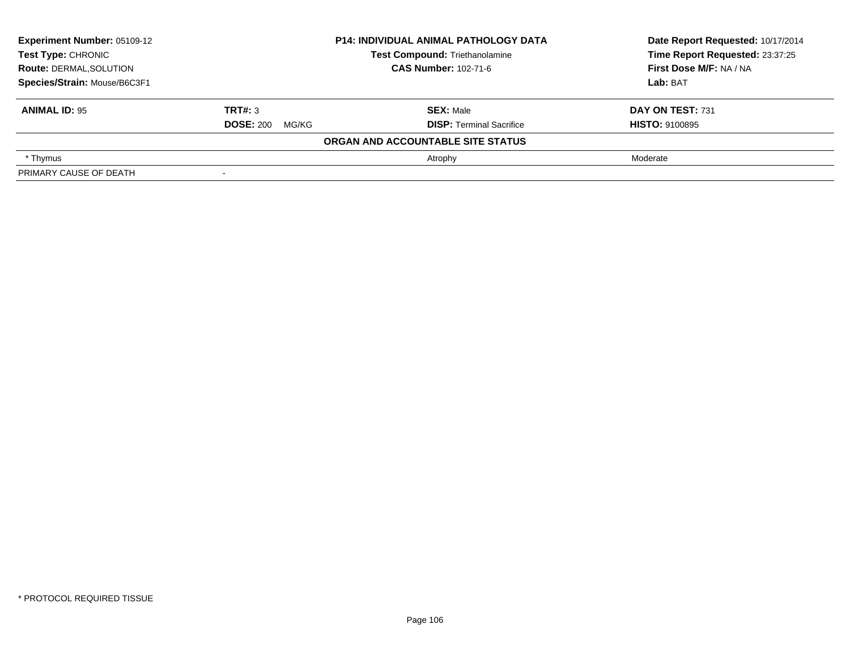| <b>Experiment Number: 05109-12</b><br><b>P14: INDIVIDUAL ANIMAL PATHOLOGY DATA</b><br><b>Test Compound: Triethanolamine</b><br>Test Type: CHRONIC |                             |                                   | Date Report Requested: 10/17/2014 |  |
|---------------------------------------------------------------------------------------------------------------------------------------------------|-----------------------------|-----------------------------------|-----------------------------------|--|
|                                                                                                                                                   |                             |                                   | Time Report Requested: 23:37:25   |  |
| <b>Route: DERMAL, SOLUTION</b>                                                                                                                    | <b>CAS Number: 102-71-6</b> |                                   | First Dose M/F: NA / NA           |  |
| Species/Strain: Mouse/B6C3F1                                                                                                                      |                             |                                   | Lab: BAT                          |  |
| <b>ANIMAL ID: 95</b>                                                                                                                              | TRT#: 3                     | <b>SEX: Male</b>                  | DAY ON TEST: 731                  |  |
|                                                                                                                                                   | <b>DOSE: 200</b><br>MG/KG   | <b>DISP: Terminal Sacrifice</b>   | <b>HISTO: 9100895</b>             |  |
|                                                                                                                                                   |                             | ORGAN AND ACCOUNTABLE SITE STATUS |                                   |  |
| * Thymus                                                                                                                                          |                             | Atrophy                           | Moderate                          |  |
| PRIMARY CAUSE OF DEATH                                                                                                                            |                             |                                   |                                   |  |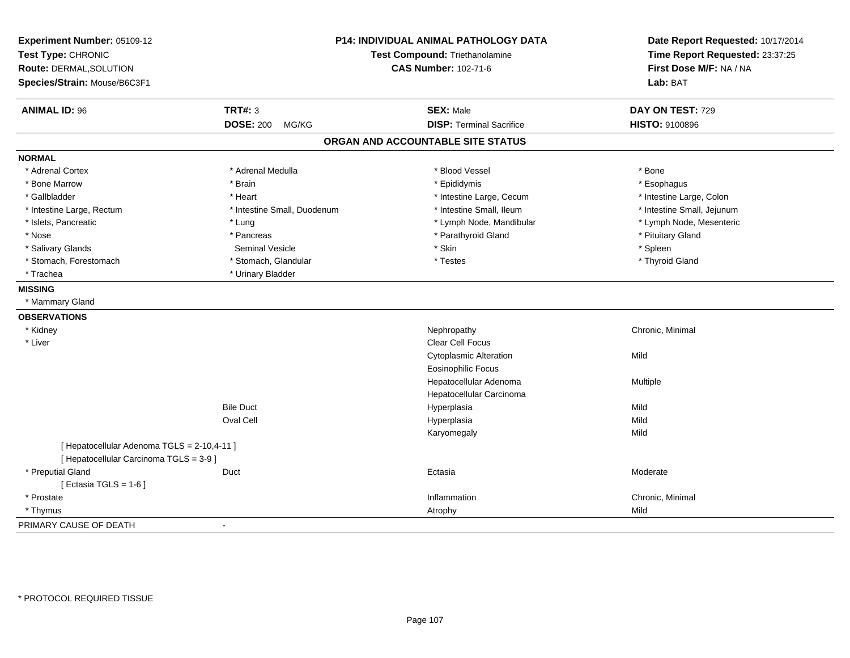| Experiment Number: 05109-12<br>Test Type: CHRONIC<br>Route: DERMAL, SOLUTION<br>Species/Strain: Mouse/B6C3F1 | P14: INDIVIDUAL ANIMAL PATHOLOGY DATA<br>Test Compound: Triethanolamine<br><b>CAS Number: 102-71-6</b> |                                   | Date Report Requested: 10/17/2014<br>Time Report Requested: 23:37:25<br>First Dose M/F: NA / NA<br>Lab: BAT |
|--------------------------------------------------------------------------------------------------------------|--------------------------------------------------------------------------------------------------------|-----------------------------------|-------------------------------------------------------------------------------------------------------------|
| <b>ANIMAL ID: 96</b>                                                                                         | <b>TRT#: 3</b>                                                                                         | <b>SEX: Male</b>                  | DAY ON TEST: 729                                                                                            |
|                                                                                                              | <b>DOSE: 200</b><br>MG/KG                                                                              | <b>DISP: Terminal Sacrifice</b>   | <b>HISTO: 9100896</b>                                                                                       |
|                                                                                                              |                                                                                                        | ORGAN AND ACCOUNTABLE SITE STATUS |                                                                                                             |
| <b>NORMAL</b>                                                                                                |                                                                                                        |                                   |                                                                                                             |
| * Adrenal Cortex                                                                                             | * Adrenal Medulla                                                                                      | * Blood Vessel                    | * Bone                                                                                                      |
| * Bone Marrow                                                                                                | * Brain                                                                                                | * Epididymis                      | * Esophagus                                                                                                 |
| * Gallbladder                                                                                                | * Heart                                                                                                | * Intestine Large, Cecum          | * Intestine Large, Colon                                                                                    |
| * Intestine Large, Rectum                                                                                    | * Intestine Small, Duodenum                                                                            | * Intestine Small, Ileum          | * Intestine Small, Jejunum                                                                                  |
| * Islets, Pancreatic                                                                                         | * Lung                                                                                                 | * Lymph Node, Mandibular          | * Lymph Node, Mesenteric                                                                                    |
| * Nose                                                                                                       | * Pancreas                                                                                             | * Parathyroid Gland               | * Pituitary Gland                                                                                           |
| * Salivary Glands                                                                                            | <b>Seminal Vesicle</b>                                                                                 | * Skin                            | * Spleen                                                                                                    |
| * Stomach, Forestomach                                                                                       | * Stomach, Glandular                                                                                   | * Testes                          | * Thyroid Gland                                                                                             |
| * Trachea                                                                                                    | * Urinary Bladder                                                                                      |                                   |                                                                                                             |
| <b>MISSING</b>                                                                                               |                                                                                                        |                                   |                                                                                                             |
| * Mammary Gland                                                                                              |                                                                                                        |                                   |                                                                                                             |
| <b>OBSERVATIONS</b>                                                                                          |                                                                                                        |                                   |                                                                                                             |
| * Kidney                                                                                                     |                                                                                                        | Nephropathy                       | Chronic, Minimal                                                                                            |
| * Liver                                                                                                      |                                                                                                        | <b>Clear Cell Focus</b>           |                                                                                                             |
|                                                                                                              |                                                                                                        | <b>Cytoplasmic Alteration</b>     | Mild                                                                                                        |
|                                                                                                              |                                                                                                        | <b>Eosinophilic Focus</b>         |                                                                                                             |
|                                                                                                              |                                                                                                        | Hepatocellular Adenoma            | Multiple                                                                                                    |
|                                                                                                              |                                                                                                        | Hepatocellular Carcinoma          |                                                                                                             |
|                                                                                                              | <b>Bile Duct</b>                                                                                       | Hyperplasia                       | Mild                                                                                                        |
|                                                                                                              | Oval Cell                                                                                              | Hyperplasia                       | Mild                                                                                                        |
|                                                                                                              |                                                                                                        | Karyomegaly                       | Mild                                                                                                        |
| [ Hepatocellular Adenoma TGLS = 2-10,4-11 ]<br>[ Hepatocellular Carcinoma TGLS = 3-9 ]                       |                                                                                                        |                                   |                                                                                                             |
| * Preputial Gland                                                                                            | Duct                                                                                                   | Ectasia                           | Moderate                                                                                                    |
| [ Ectasia TGLS = $1-6$ ]                                                                                     |                                                                                                        |                                   |                                                                                                             |
| * Prostate                                                                                                   |                                                                                                        | Inflammation                      | Chronic, Minimal                                                                                            |
| * Thymus                                                                                                     |                                                                                                        | Atrophy                           | Mild                                                                                                        |
| PRIMARY CAUSE OF DEATH                                                                                       |                                                                                                        |                                   |                                                                                                             |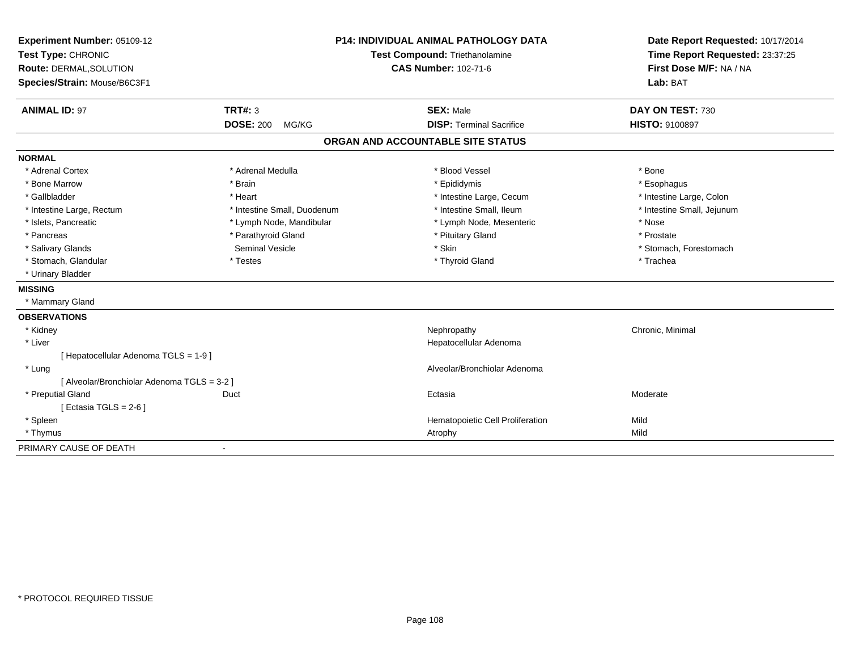| Experiment Number: 05109-12                 | <b>P14: INDIVIDUAL ANIMAL PATHOLOGY DATA</b> |                                   | Date Report Requested: 10/17/2014                          |
|---------------------------------------------|----------------------------------------------|-----------------------------------|------------------------------------------------------------|
| Test Type: CHRONIC                          |                                              | Test Compound: Triethanolamine    |                                                            |
| Route: DERMAL, SOLUTION                     |                                              | <b>CAS Number: 102-71-6</b>       | Time Report Requested: 23:37:25<br>First Dose M/F: NA / NA |
| Species/Strain: Mouse/B6C3F1                |                                              |                                   | Lab: BAT                                                   |
| <b>ANIMAL ID: 97</b>                        | TRT#: 3                                      | <b>SEX: Male</b>                  | DAY ON TEST: 730                                           |
|                                             | <b>DOSE: 200</b><br>MG/KG                    | <b>DISP: Terminal Sacrifice</b>   | HISTO: 9100897                                             |
|                                             |                                              | ORGAN AND ACCOUNTABLE SITE STATUS |                                                            |
| <b>NORMAL</b>                               |                                              |                                   |                                                            |
| * Adrenal Cortex                            | * Adrenal Medulla                            | * Blood Vessel                    | * Bone                                                     |
| * Bone Marrow                               | * Brain                                      | * Epididymis                      | * Esophagus                                                |
| * Gallbladder                               | * Heart                                      | * Intestine Large, Cecum          | * Intestine Large, Colon                                   |
| * Intestine Large, Rectum                   | * Intestine Small, Duodenum                  | * Intestine Small, Ileum          | * Intestine Small, Jejunum                                 |
| * Islets, Pancreatic                        | * Lymph Node, Mandibular                     | * Lymph Node, Mesenteric          | * Nose                                                     |
| * Pancreas                                  | * Parathyroid Gland                          | * Pituitary Gland                 | * Prostate                                                 |
| * Salivary Glands                           | <b>Seminal Vesicle</b>                       | * Skin                            | * Stomach, Forestomach                                     |
| * Stomach, Glandular                        | * Testes                                     | * Thyroid Gland                   | * Trachea                                                  |
| * Urinary Bladder                           |                                              |                                   |                                                            |
| <b>MISSING</b>                              |                                              |                                   |                                                            |
| * Mammary Gland                             |                                              |                                   |                                                            |
| <b>OBSERVATIONS</b>                         |                                              |                                   |                                                            |
| * Kidney                                    |                                              | Nephropathy                       | Chronic, Minimal                                           |
| * Liver                                     |                                              | Hepatocellular Adenoma            |                                                            |
| [ Hepatocellular Adenoma TGLS = 1-9 ]       |                                              |                                   |                                                            |
| * Lung                                      |                                              | Alveolar/Bronchiolar Adenoma      |                                                            |
| [ Alveolar/Bronchiolar Adenoma TGLS = 3-2 ] |                                              |                                   |                                                            |
| * Preputial Gland                           | Duct                                         | Ectasia                           | Moderate                                                   |
| [ Ectasia TGLS = $2-6$ ]                    |                                              |                                   |                                                            |
| * Spleen                                    |                                              | Hematopoietic Cell Proliferation  | Mild                                                       |
| * Thymus                                    |                                              | Atrophy                           | Mild                                                       |
| PRIMARY CAUSE OF DEATH                      | $\blacksquare$                               |                                   |                                                            |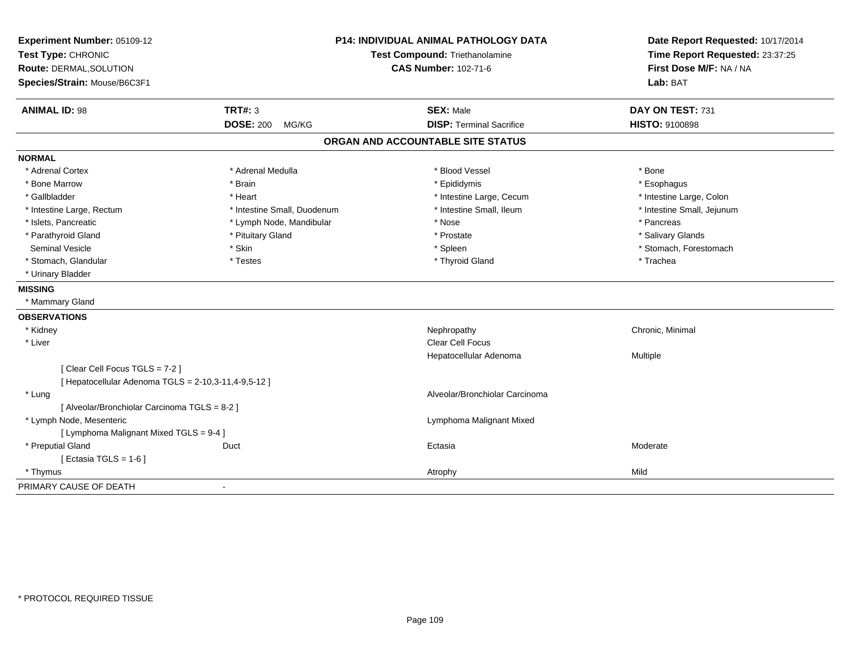| Experiment Number: 05109-12<br>Test Type: CHRONIC<br><b>Route: DERMAL, SOLUTION</b><br>Species/Strain: Mouse/B6C3F1 |                             | <b>P14: INDIVIDUAL ANIMAL PATHOLOGY DATA</b><br>Test Compound: Triethanolamine<br><b>CAS Number: 102-71-6</b> |                            |
|---------------------------------------------------------------------------------------------------------------------|-----------------------------|---------------------------------------------------------------------------------------------------------------|----------------------------|
| <b>ANIMAL ID: 98</b>                                                                                                | <b>TRT#: 3</b>              | <b>SEX: Male</b>                                                                                              | DAY ON TEST: 731           |
|                                                                                                                     | <b>DOSE: 200</b><br>MG/KG   | <b>DISP: Terminal Sacrifice</b>                                                                               | HISTO: 9100898             |
|                                                                                                                     |                             | ORGAN AND ACCOUNTABLE SITE STATUS                                                                             |                            |
| <b>NORMAL</b>                                                                                                       |                             |                                                                                                               |                            |
| * Adrenal Cortex                                                                                                    | * Adrenal Medulla           | * Blood Vessel                                                                                                | * Bone                     |
| * Bone Marrow                                                                                                       | * Brain                     | * Epididymis                                                                                                  | * Esophagus                |
| * Gallbladder                                                                                                       | * Heart                     | * Intestine Large, Cecum                                                                                      | * Intestine Large, Colon   |
| * Intestine Large, Rectum                                                                                           | * Intestine Small, Duodenum | * Intestine Small, Ileum                                                                                      | * Intestine Small, Jejunum |
| * Islets, Pancreatic                                                                                                | * Lymph Node, Mandibular    | * Nose                                                                                                        | * Pancreas                 |
| * Parathyroid Gland                                                                                                 | * Pituitary Gland           | * Prostate                                                                                                    | * Salivary Glands          |
| <b>Seminal Vesicle</b>                                                                                              | * Skin                      | * Spleen                                                                                                      | * Stomach, Forestomach     |
| * Stomach, Glandular                                                                                                | * Testes                    | * Thyroid Gland                                                                                               | * Trachea                  |
| * Urinary Bladder                                                                                                   |                             |                                                                                                               |                            |
| <b>MISSING</b>                                                                                                      |                             |                                                                                                               |                            |
| * Mammary Gland                                                                                                     |                             |                                                                                                               |                            |
| <b>OBSERVATIONS</b>                                                                                                 |                             |                                                                                                               |                            |
| * Kidney                                                                                                            |                             | Nephropathy                                                                                                   | Chronic, Minimal           |
| * Liver                                                                                                             |                             | Clear Cell Focus                                                                                              |                            |
|                                                                                                                     |                             | Hepatocellular Adenoma                                                                                        | Multiple                   |
| [Clear Cell Focus TGLS = 7-2]                                                                                       |                             |                                                                                                               |                            |
| [ Hepatocellular Adenoma TGLS = 2-10,3-11,4-9,5-12 ]                                                                |                             |                                                                                                               |                            |
| * Lung                                                                                                              |                             | Alveolar/Bronchiolar Carcinoma                                                                                |                            |
| [ Alveolar/Bronchiolar Carcinoma TGLS = 8-2 ]                                                                       |                             |                                                                                                               |                            |
| * Lymph Node, Mesenteric                                                                                            |                             | Lymphoma Malignant Mixed                                                                                      |                            |
| [ Lymphoma Malignant Mixed TGLS = 9-4 ]                                                                             |                             |                                                                                                               |                            |
| * Preputial Gland                                                                                                   | Duct                        | Ectasia                                                                                                       | Moderate                   |
| [ Ectasia TGLS = $1-6$ ]                                                                                            |                             |                                                                                                               |                            |
| * Thymus                                                                                                            |                             | Atrophy                                                                                                       | Mild                       |
| PRIMARY CAUSE OF DEATH                                                                                              |                             |                                                                                                               |                            |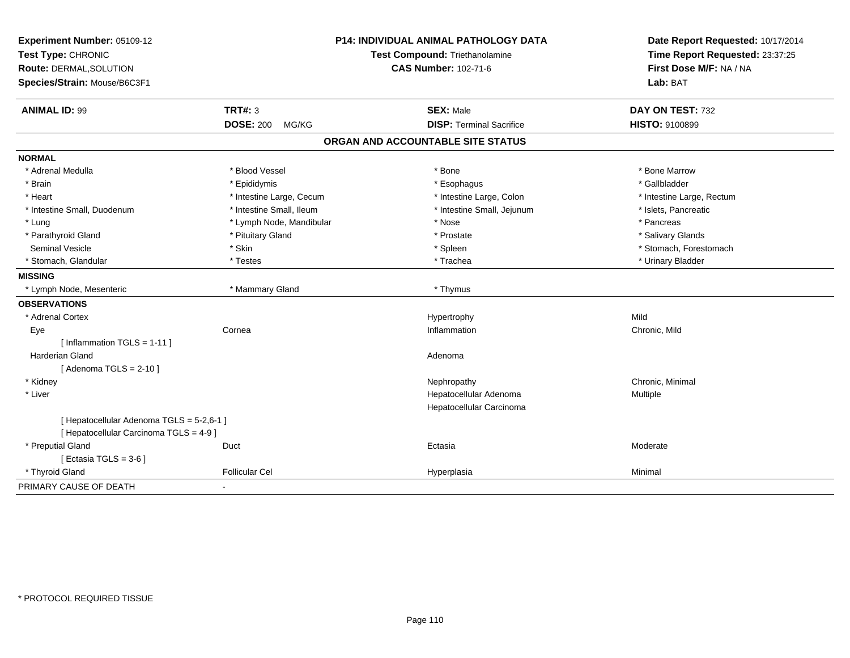| Experiment Number: 05109-12<br>Test Type: CHRONIC<br>Route: DERMAL, SOLUTION<br>Species/Strain: Mouse/B6C3F1 | <b>P14: INDIVIDUAL ANIMAL PATHOLOGY DATA</b><br>Test Compound: Triethanolamine<br><b>CAS Number: 102-71-6</b> |                                   | Date Report Requested: 10/17/2014<br>Time Report Requested: 23:37:25<br>First Dose M/F: NA / NA<br>Lab: BAT |  |
|--------------------------------------------------------------------------------------------------------------|---------------------------------------------------------------------------------------------------------------|-----------------------------------|-------------------------------------------------------------------------------------------------------------|--|
| <b>ANIMAL ID: 99</b>                                                                                         | <b>TRT#: 3</b>                                                                                                | <b>SEX: Male</b>                  | DAY ON TEST: 732                                                                                            |  |
|                                                                                                              | <b>DOSE: 200</b><br>MG/KG                                                                                     | <b>DISP: Terminal Sacrifice</b>   | <b>HISTO: 9100899</b>                                                                                       |  |
|                                                                                                              |                                                                                                               | ORGAN AND ACCOUNTABLE SITE STATUS |                                                                                                             |  |
| <b>NORMAL</b>                                                                                                |                                                                                                               |                                   |                                                                                                             |  |
| * Adrenal Medulla                                                                                            | * Blood Vessel                                                                                                | * Bone                            | * Bone Marrow                                                                                               |  |
| * Brain                                                                                                      | * Epididymis                                                                                                  | * Esophagus                       | * Gallbladder                                                                                               |  |
| * Heart                                                                                                      | * Intestine Large, Cecum                                                                                      | * Intestine Large, Colon          | * Intestine Large, Rectum                                                                                   |  |
| * Intestine Small, Duodenum                                                                                  | * Intestine Small, Ileum                                                                                      | * Intestine Small, Jejunum        | * Islets, Pancreatic                                                                                        |  |
| * Lung                                                                                                       | * Lymph Node, Mandibular                                                                                      | * Nose                            | * Pancreas                                                                                                  |  |
| * Parathyroid Gland                                                                                          | * Pituitary Gland                                                                                             | * Prostate                        | * Salivary Glands                                                                                           |  |
| <b>Seminal Vesicle</b>                                                                                       | * Skin                                                                                                        | * Spleen                          | * Stomach, Forestomach                                                                                      |  |
| * Stomach, Glandular                                                                                         | * Testes                                                                                                      | * Trachea                         | * Urinary Bladder                                                                                           |  |
| <b>MISSING</b>                                                                                               |                                                                                                               |                                   |                                                                                                             |  |
| * Lymph Node, Mesenteric                                                                                     | * Mammary Gland                                                                                               | * Thymus                          |                                                                                                             |  |
| <b>OBSERVATIONS</b>                                                                                          |                                                                                                               |                                   |                                                                                                             |  |
| * Adrenal Cortex                                                                                             |                                                                                                               | Hypertrophy                       | Mild                                                                                                        |  |
| Eye                                                                                                          | Cornea                                                                                                        | Inflammation                      | Chronic, Mild                                                                                               |  |
| [Inflammation TGLS = $1-11$ ]                                                                                |                                                                                                               |                                   |                                                                                                             |  |
| <b>Harderian Gland</b>                                                                                       |                                                                                                               | Adenoma                           |                                                                                                             |  |
| [Adenoma TGLS = $2-10$ ]                                                                                     |                                                                                                               |                                   |                                                                                                             |  |
| * Kidney                                                                                                     |                                                                                                               | Nephropathy                       | Chronic, Minimal                                                                                            |  |
| * Liver                                                                                                      |                                                                                                               | Hepatocellular Adenoma            | Multiple                                                                                                    |  |
|                                                                                                              |                                                                                                               | Hepatocellular Carcinoma          |                                                                                                             |  |
| [ Hepatocellular Adenoma TGLS = 5-2,6-1 ]<br>[ Hepatocellular Carcinoma TGLS = 4-9 ]                         |                                                                                                               |                                   |                                                                                                             |  |
| * Preputial Gland                                                                                            | Duct                                                                                                          | Ectasia                           | Moderate                                                                                                    |  |
| [ Ectasia TGLS = $3-6$ ]                                                                                     |                                                                                                               |                                   |                                                                                                             |  |
| * Thyroid Gland                                                                                              | <b>Follicular Cel</b>                                                                                         | Hyperplasia                       | Minimal                                                                                                     |  |
| PRIMARY CAUSE OF DEATH                                                                                       | $\blacksquare$                                                                                                |                                   |                                                                                                             |  |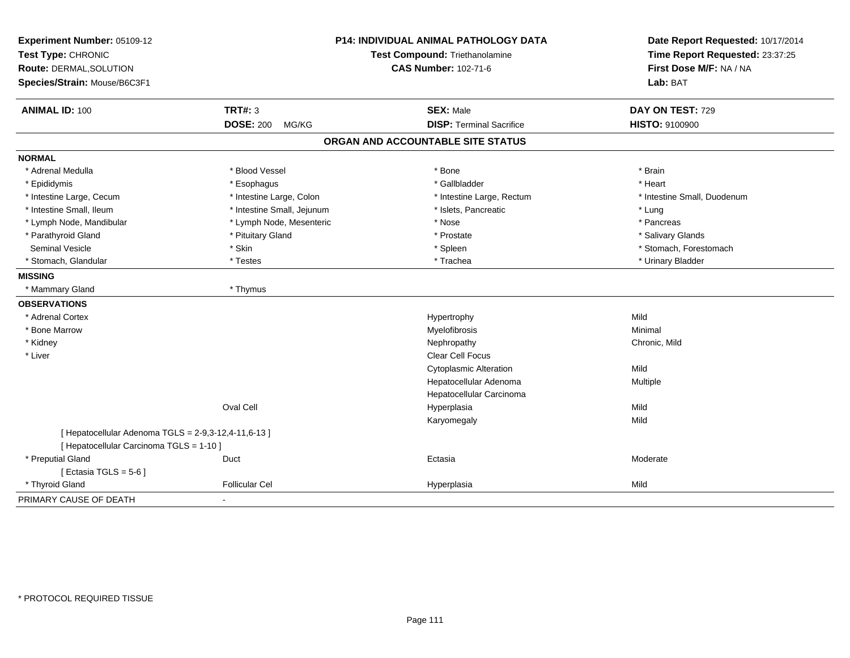| Experiment Number: 05109-12<br>Test Type: CHRONIC<br>Route: DERMAL, SOLUTION<br>Species/Strain: Mouse/B6C3F1 | <b>P14: INDIVIDUAL ANIMAL PATHOLOGY DATA</b><br>Test Compound: Triethanolamine<br><b>CAS Number: 102-71-6</b> |                                                     | Date Report Requested: 10/17/2014<br>Time Report Requested: 23:37:25<br>First Dose M/F: NA / NA<br>Lab: BAT |
|--------------------------------------------------------------------------------------------------------------|---------------------------------------------------------------------------------------------------------------|-----------------------------------------------------|-------------------------------------------------------------------------------------------------------------|
| <b>ANIMAL ID: 100</b>                                                                                        | <b>TRT#: 3</b><br><b>DOSE: 200</b><br>MG/KG                                                                   | <b>SEX: Male</b><br><b>DISP: Terminal Sacrifice</b> | DAY ON TEST: 729<br>HISTO: 9100900                                                                          |
|                                                                                                              |                                                                                                               | ORGAN AND ACCOUNTABLE SITE STATUS                   |                                                                                                             |
| <b>NORMAL</b>                                                                                                |                                                                                                               |                                                     |                                                                                                             |
| * Adrenal Medulla                                                                                            | * Blood Vessel                                                                                                | * Bone                                              | * Brain                                                                                                     |
| * Epididymis                                                                                                 | * Esophagus                                                                                                   | * Gallbladder                                       | * Heart                                                                                                     |
| * Intestine Large, Cecum                                                                                     | * Intestine Large, Colon                                                                                      | * Intestine Large, Rectum                           | * Intestine Small. Duodenum                                                                                 |
| * Intestine Small, Ileum                                                                                     | * Intestine Small, Jejunum                                                                                    | * Islets, Pancreatic                                | * Lung                                                                                                      |
| * Lymph Node, Mandibular                                                                                     | * Lymph Node, Mesenteric                                                                                      | * Nose                                              | * Pancreas                                                                                                  |
| * Parathyroid Gland                                                                                          | * Pituitary Gland                                                                                             | * Prostate                                          | * Salivary Glands                                                                                           |
| <b>Seminal Vesicle</b>                                                                                       | * Skin                                                                                                        | * Spleen                                            | * Stomach, Forestomach                                                                                      |
| * Stomach, Glandular                                                                                         | * Testes                                                                                                      | * Trachea                                           | * Urinary Bladder                                                                                           |
| <b>MISSING</b>                                                                                               |                                                                                                               |                                                     |                                                                                                             |
| * Mammary Gland                                                                                              | * Thymus                                                                                                      |                                                     |                                                                                                             |
| <b>OBSERVATIONS</b>                                                                                          |                                                                                                               |                                                     |                                                                                                             |
| * Adrenal Cortex                                                                                             |                                                                                                               | Hypertrophy                                         | Mild                                                                                                        |
| * Bone Marrow                                                                                                |                                                                                                               | Myelofibrosis                                       | Minimal                                                                                                     |
| * Kidney                                                                                                     |                                                                                                               | Nephropathy                                         | Chronic, Mild                                                                                               |
| * Liver                                                                                                      |                                                                                                               | <b>Clear Cell Focus</b>                             |                                                                                                             |
|                                                                                                              |                                                                                                               | <b>Cytoplasmic Alteration</b>                       | Mild                                                                                                        |
|                                                                                                              |                                                                                                               | Hepatocellular Adenoma                              | Multiple                                                                                                    |
|                                                                                                              |                                                                                                               | Hepatocellular Carcinoma                            |                                                                                                             |
|                                                                                                              | Oval Cell                                                                                                     | Hyperplasia                                         | Mild                                                                                                        |
|                                                                                                              |                                                                                                               | Karyomegaly                                         | Mild                                                                                                        |
| [ Hepatocellular Adenoma TGLS = 2-9,3-12,4-11,6-13 ]<br>[ Hepatocellular Carcinoma TGLS = 1-10 ]             |                                                                                                               |                                                     |                                                                                                             |
| * Preputial Gland<br>[ Ectasia TGLS = $5-6$ ]                                                                | Duct                                                                                                          | Ectasia                                             | Moderate                                                                                                    |
| * Thyroid Gland                                                                                              | <b>Follicular Cel</b>                                                                                         | Hyperplasia                                         | Mild                                                                                                        |
| PRIMARY CAUSE OF DEATH                                                                                       | $\sim$                                                                                                        |                                                     |                                                                                                             |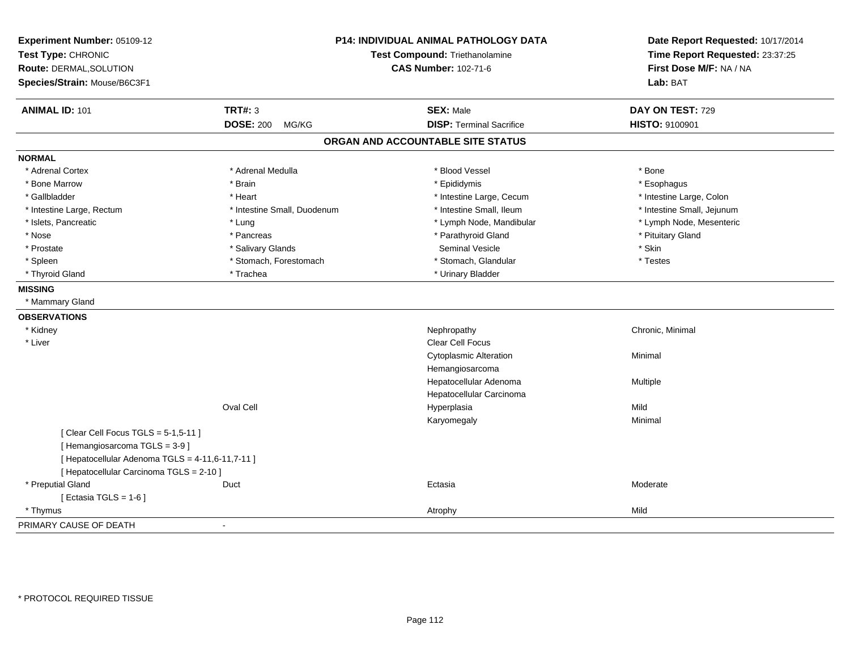| Experiment Number: 05109-12<br>Test Type: CHRONIC<br>Route: DERMAL, SOLUTION<br>Species/Strain: Mouse/B6C3F1 |                             | P14: INDIVIDUAL ANIMAL PATHOLOGY DATA<br>Test Compound: Triethanolamine<br><b>CAS Number: 102-71-6</b> |                            |
|--------------------------------------------------------------------------------------------------------------|-----------------------------|--------------------------------------------------------------------------------------------------------|----------------------------|
| <b>ANIMAL ID: 101</b>                                                                                        | <b>TRT#: 3</b>              | <b>SEX: Male</b>                                                                                       | DAY ON TEST: 729           |
|                                                                                                              | <b>DOSE: 200</b><br>MG/KG   | <b>DISP: Terminal Sacrifice</b>                                                                        | <b>HISTO: 9100901</b>      |
|                                                                                                              |                             | ORGAN AND ACCOUNTABLE SITE STATUS                                                                      |                            |
| <b>NORMAL</b>                                                                                                |                             |                                                                                                        |                            |
| * Adrenal Cortex                                                                                             | * Adrenal Medulla           | * Blood Vessel                                                                                         | * Bone                     |
| * Bone Marrow                                                                                                | * Brain                     | * Epididymis                                                                                           | * Esophagus                |
| * Gallbladder                                                                                                | * Heart                     | * Intestine Large, Cecum                                                                               | * Intestine Large, Colon   |
| * Intestine Large, Rectum                                                                                    | * Intestine Small, Duodenum | * Intestine Small, Ileum                                                                               | * Intestine Small, Jejunum |
| * Islets, Pancreatic                                                                                         | * Lung                      | * Lymph Node, Mandibular                                                                               | * Lymph Node, Mesenteric   |
| * Nose                                                                                                       | * Pancreas                  | * Parathyroid Gland                                                                                    | * Pituitary Gland          |
| * Prostate                                                                                                   | * Salivary Glands           | Seminal Vesicle                                                                                        | * Skin                     |
| * Spleen                                                                                                     | * Stomach, Forestomach      | * Stomach, Glandular                                                                                   | * Testes                   |
| * Thyroid Gland                                                                                              | * Trachea                   | * Urinary Bladder                                                                                      |                            |
| <b>MISSING</b>                                                                                               |                             |                                                                                                        |                            |
| * Mammary Gland                                                                                              |                             |                                                                                                        |                            |
| <b>OBSERVATIONS</b>                                                                                          |                             |                                                                                                        |                            |
| * Kidney                                                                                                     |                             | Nephropathy                                                                                            | Chronic, Minimal           |
| * Liver                                                                                                      |                             | Clear Cell Focus                                                                                       |                            |
|                                                                                                              |                             | <b>Cytoplasmic Alteration</b>                                                                          | Minimal                    |
|                                                                                                              |                             | Hemangiosarcoma                                                                                        |                            |
|                                                                                                              |                             | Hepatocellular Adenoma                                                                                 | Multiple                   |
|                                                                                                              |                             | Hepatocellular Carcinoma                                                                               |                            |
|                                                                                                              | Oval Cell                   | Hyperplasia                                                                                            | Mild                       |
|                                                                                                              |                             | Karyomegaly                                                                                            | Minimal                    |
| [ Clear Cell Focus TGLS = 5-1,5-11 ]                                                                         |                             |                                                                                                        |                            |
| [Hemangiosarcoma TGLS = 3-9]                                                                                 |                             |                                                                                                        |                            |
| [ Hepatocellular Adenoma TGLS = 4-11,6-11,7-11 ]                                                             |                             |                                                                                                        |                            |
| [ Hepatocellular Carcinoma TGLS = 2-10 ]                                                                     |                             |                                                                                                        |                            |
| * Preputial Gland                                                                                            | Duct                        | Ectasia                                                                                                | Moderate                   |
| [ Ectasia TGLS = $1-6$ ]                                                                                     |                             |                                                                                                        |                            |
| * Thymus                                                                                                     |                             | Atrophy                                                                                                | Mild                       |
| PRIMARY CAUSE OF DEATH                                                                                       |                             |                                                                                                        |                            |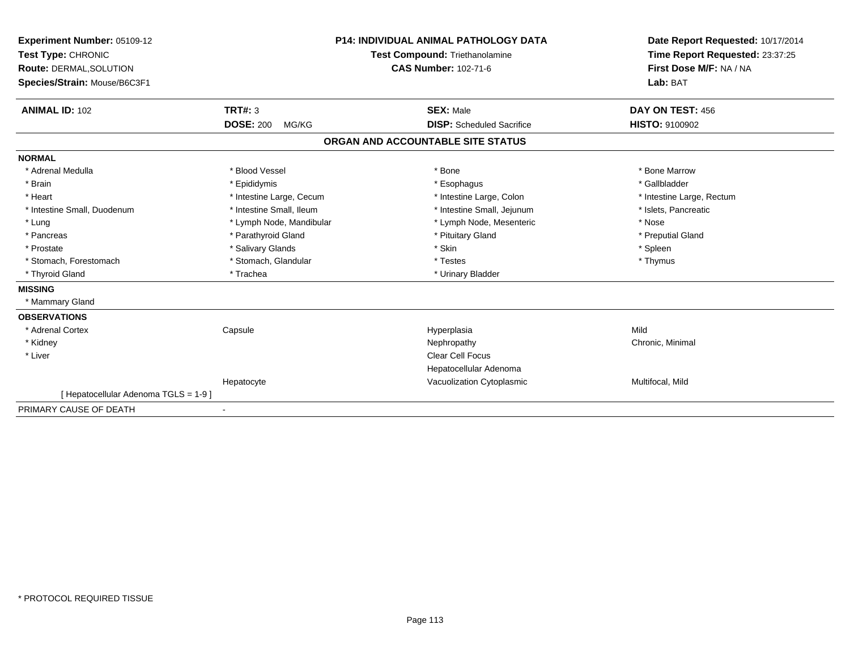| Experiment Number: 05109-12<br>Test Type: CHRONIC<br>Route: DERMAL, SOLUTION<br>Species/Strain: Mouse/B6C3F1 |                           | <b>P14: INDIVIDUAL ANIMAL PATHOLOGY DATA</b><br>Test Compound: Triethanolamine<br><b>CAS Number: 102-71-6</b> | Date Report Requested: 10/17/2014<br>Time Report Requested: 23:37:25<br>First Dose M/F: NA / NA<br>Lab: BAT |
|--------------------------------------------------------------------------------------------------------------|---------------------------|---------------------------------------------------------------------------------------------------------------|-------------------------------------------------------------------------------------------------------------|
| <b>ANIMAL ID: 102</b>                                                                                        | <b>TRT#: 3</b>            | <b>SEX: Male</b>                                                                                              | DAY ON TEST: 456                                                                                            |
|                                                                                                              | <b>DOSE: 200</b><br>MG/KG | <b>DISP:</b> Scheduled Sacrifice                                                                              | <b>HISTO: 9100902</b>                                                                                       |
|                                                                                                              |                           | ORGAN AND ACCOUNTABLE SITE STATUS                                                                             |                                                                                                             |
| <b>NORMAL</b>                                                                                                |                           |                                                                                                               |                                                                                                             |
| * Adrenal Medulla                                                                                            | * Blood Vessel            | * Bone                                                                                                        | * Bone Marrow                                                                                               |
| * Brain                                                                                                      | * Epididymis              | * Esophagus                                                                                                   | * Gallbladder                                                                                               |
| * Heart                                                                                                      | * Intestine Large, Cecum  | * Intestine Large, Colon                                                                                      | * Intestine Large, Rectum                                                                                   |
| * Intestine Small, Duodenum                                                                                  | * Intestine Small, Ileum  | * Intestine Small, Jejunum                                                                                    | * Islets. Pancreatic                                                                                        |
| * Lung                                                                                                       | * Lymph Node, Mandibular  | * Lymph Node, Mesenteric                                                                                      | * Nose                                                                                                      |
| * Pancreas                                                                                                   | * Parathyroid Gland       | * Pituitary Gland                                                                                             | * Preputial Gland                                                                                           |
| * Prostate                                                                                                   | * Salivary Glands         | * Skin                                                                                                        | * Spleen                                                                                                    |
| * Stomach, Forestomach                                                                                       | * Stomach, Glandular      | * Testes                                                                                                      | * Thymus                                                                                                    |
| * Thyroid Gland                                                                                              | * Trachea                 | * Urinary Bladder                                                                                             |                                                                                                             |
| <b>MISSING</b>                                                                                               |                           |                                                                                                               |                                                                                                             |
| * Mammary Gland                                                                                              |                           |                                                                                                               |                                                                                                             |
| <b>OBSERVATIONS</b>                                                                                          |                           |                                                                                                               |                                                                                                             |
| * Adrenal Cortex                                                                                             | Capsule                   | Hyperplasia                                                                                                   | Mild                                                                                                        |
| * Kidney                                                                                                     |                           | Nephropathy                                                                                                   | Chronic, Minimal                                                                                            |
| * Liver                                                                                                      |                           | <b>Clear Cell Focus</b>                                                                                       |                                                                                                             |
|                                                                                                              |                           | Hepatocellular Adenoma                                                                                        |                                                                                                             |
|                                                                                                              | Hepatocyte                | Vacuolization Cytoplasmic                                                                                     | Multifocal, Mild                                                                                            |
| [Hepatocellular Adenoma TGLS = 1-9]                                                                          |                           |                                                                                                               |                                                                                                             |
| PRIMARY CAUSE OF DEATH                                                                                       |                           |                                                                                                               |                                                                                                             |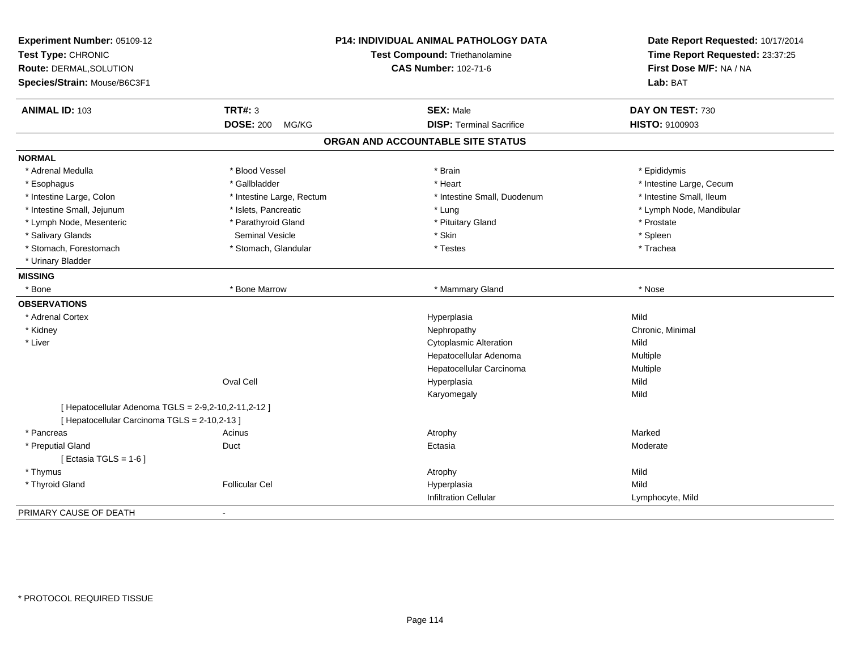| Experiment Number: 05109-12<br>Test Type: CHRONIC<br>Route: DERMAL, SOLUTION<br>Species/Strain: Mouse/B6C3F1 |                           | <b>P14: INDIVIDUAL ANIMAL PATHOLOGY DATA</b><br>Test Compound: Triethanolamine<br><b>CAS Number: 102-71-6</b> |                          |
|--------------------------------------------------------------------------------------------------------------|---------------------------|---------------------------------------------------------------------------------------------------------------|--------------------------|
| <b>ANIMAL ID: 103</b>                                                                                        | <b>TRT#: 3</b>            | <b>SEX: Male</b>                                                                                              | DAY ON TEST: 730         |
|                                                                                                              | <b>DOSE: 200</b><br>MG/KG | <b>DISP: Terminal Sacrifice</b>                                                                               | HISTO: 9100903           |
|                                                                                                              |                           | ORGAN AND ACCOUNTABLE SITE STATUS                                                                             |                          |
| <b>NORMAL</b>                                                                                                |                           |                                                                                                               |                          |
| * Adrenal Medulla                                                                                            | * Blood Vessel            | * Brain                                                                                                       | * Epididymis             |
| * Esophagus                                                                                                  | * Gallbladder             | * Heart                                                                                                       | * Intestine Large, Cecum |
| * Intestine Large, Colon                                                                                     | * Intestine Large, Rectum | * Intestine Small, Duodenum                                                                                   | * Intestine Small, Ileum |
| * Intestine Small, Jejunum                                                                                   | * Islets, Pancreatic      | * Lung                                                                                                        | * Lymph Node, Mandibular |
| * Lymph Node, Mesenteric                                                                                     | * Parathyroid Gland       | * Pituitary Gland                                                                                             | * Prostate               |
| * Salivary Glands                                                                                            | <b>Seminal Vesicle</b>    | * Skin                                                                                                        | * Spleen                 |
| * Stomach, Forestomach                                                                                       | * Stomach, Glandular      | * Testes                                                                                                      | * Trachea                |
| * Urinary Bladder                                                                                            |                           |                                                                                                               |                          |
| <b>MISSING</b>                                                                                               |                           |                                                                                                               |                          |
| * Bone                                                                                                       | * Bone Marrow             | * Mammary Gland                                                                                               | $*$ Nose                 |
| <b>OBSERVATIONS</b>                                                                                          |                           |                                                                                                               |                          |
| * Adrenal Cortex                                                                                             |                           | Hyperplasia                                                                                                   | Mild                     |
| * Kidney                                                                                                     |                           | Nephropathy                                                                                                   | Chronic, Minimal         |
| * Liver                                                                                                      |                           | <b>Cytoplasmic Alteration</b>                                                                                 | Mild                     |
|                                                                                                              |                           | Hepatocellular Adenoma                                                                                        | Multiple                 |
|                                                                                                              |                           | Hepatocellular Carcinoma                                                                                      | Multiple                 |
|                                                                                                              | Oval Cell                 | Hyperplasia                                                                                                   | Mild                     |
|                                                                                                              |                           | Karyomegaly                                                                                                   | Mild                     |
| [ Hepatocellular Adenoma TGLS = 2-9,2-10,2-11,2-12 ]                                                         |                           |                                                                                                               |                          |
| [ Hepatocellular Carcinoma TGLS = 2-10,2-13 ]                                                                |                           |                                                                                                               |                          |
| * Pancreas                                                                                                   | Acinus                    | Atrophy                                                                                                       | Marked                   |
| * Preputial Gland                                                                                            | Duct                      | Ectasia                                                                                                       | Moderate                 |
| [ Ectasia TGLS = $1-6$ ]                                                                                     |                           |                                                                                                               |                          |
| * Thymus                                                                                                     |                           | Atrophy                                                                                                       | Mild                     |
| * Thyroid Gland                                                                                              | <b>Follicular Cel</b>     | Hyperplasia                                                                                                   | Mild                     |
|                                                                                                              |                           | <b>Infiltration Cellular</b>                                                                                  | Lymphocyte, Mild         |
| PRIMARY CAUSE OF DEATH                                                                                       |                           |                                                                                                               |                          |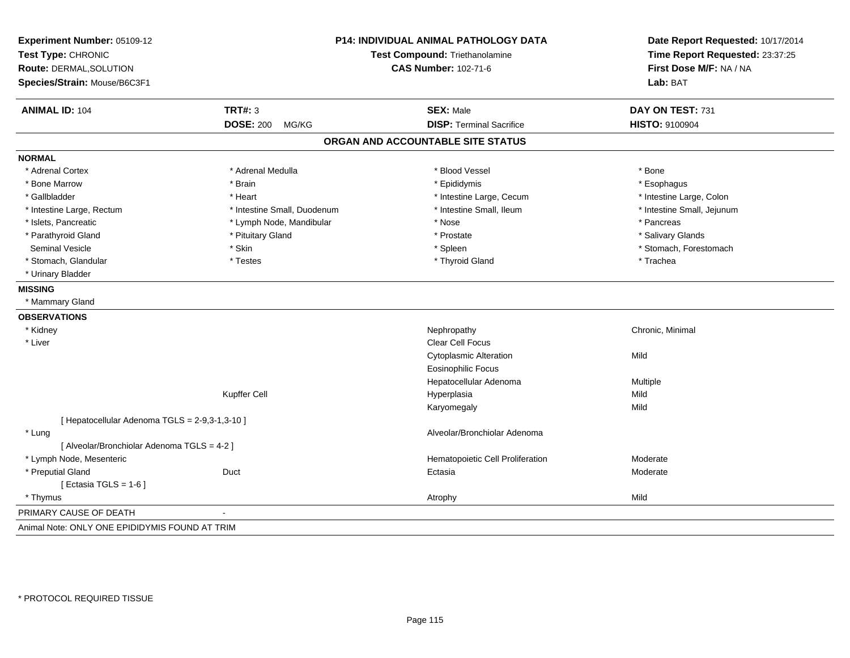| Experiment Number: 05109-12<br>Test Type: CHRONIC<br>Route: DERMAL, SOLUTION<br>Species/Strain: Mouse/B6C3F1 | P14: INDIVIDUAL ANIMAL PATHOLOGY DATA<br>Test Compound: Triethanolamine<br><b>CAS Number: 102-71-6</b> |                                   | Date Report Requested: 10/17/2014<br>Time Report Requested: 23:37:25<br>First Dose M/F: NA / NA<br>Lab: BAT |  |
|--------------------------------------------------------------------------------------------------------------|--------------------------------------------------------------------------------------------------------|-----------------------------------|-------------------------------------------------------------------------------------------------------------|--|
| <b>ANIMAL ID: 104</b>                                                                                        | <b>TRT#: 3</b>                                                                                         | <b>SEX: Male</b>                  | DAY ON TEST: 731                                                                                            |  |
|                                                                                                              | <b>DOSE: 200</b><br>MG/KG                                                                              | <b>DISP: Terminal Sacrifice</b>   | <b>HISTO: 9100904</b>                                                                                       |  |
|                                                                                                              |                                                                                                        | ORGAN AND ACCOUNTABLE SITE STATUS |                                                                                                             |  |
| <b>NORMAL</b>                                                                                                |                                                                                                        |                                   |                                                                                                             |  |
| * Adrenal Cortex                                                                                             | * Adrenal Medulla                                                                                      | * Blood Vessel                    | * Bone                                                                                                      |  |
| * Bone Marrow                                                                                                | * Brain                                                                                                | * Epididymis                      | * Esophagus                                                                                                 |  |
| * Gallbladder                                                                                                | * Heart                                                                                                | * Intestine Large, Cecum          | * Intestine Large, Colon                                                                                    |  |
| * Intestine Large, Rectum                                                                                    | * Intestine Small, Duodenum                                                                            | * Intestine Small, Ileum          | * Intestine Small, Jejunum                                                                                  |  |
| * Islets, Pancreatic                                                                                         | * Lymph Node, Mandibular                                                                               | * Nose                            | * Pancreas                                                                                                  |  |
| * Parathyroid Gland                                                                                          | * Pituitary Gland                                                                                      | * Prostate                        | * Salivary Glands                                                                                           |  |
| <b>Seminal Vesicle</b>                                                                                       | * Skin                                                                                                 | * Spleen                          | * Stomach, Forestomach                                                                                      |  |
| * Stomach, Glandular                                                                                         | * Testes                                                                                               | * Thyroid Gland                   | * Trachea                                                                                                   |  |
| * Urinary Bladder                                                                                            |                                                                                                        |                                   |                                                                                                             |  |
| <b>MISSING</b>                                                                                               |                                                                                                        |                                   |                                                                                                             |  |
| * Mammary Gland                                                                                              |                                                                                                        |                                   |                                                                                                             |  |
| <b>OBSERVATIONS</b>                                                                                          |                                                                                                        |                                   |                                                                                                             |  |
| * Kidney                                                                                                     |                                                                                                        | Nephropathy                       | Chronic, Minimal                                                                                            |  |
| * Liver                                                                                                      |                                                                                                        | Clear Cell Focus                  |                                                                                                             |  |
|                                                                                                              |                                                                                                        | <b>Cytoplasmic Alteration</b>     | Mild                                                                                                        |  |
|                                                                                                              |                                                                                                        | <b>Eosinophilic Focus</b>         |                                                                                                             |  |
|                                                                                                              |                                                                                                        | Hepatocellular Adenoma            | Multiple                                                                                                    |  |
|                                                                                                              | Kupffer Cell                                                                                           | Hyperplasia                       | Mild                                                                                                        |  |
|                                                                                                              |                                                                                                        | Karyomegaly                       | Mild                                                                                                        |  |
| [ Hepatocellular Adenoma TGLS = 2-9,3-1,3-10 ]                                                               |                                                                                                        |                                   |                                                                                                             |  |
| * Lung                                                                                                       |                                                                                                        | Alveolar/Bronchiolar Adenoma      |                                                                                                             |  |
| [ Alveolar/Bronchiolar Adenoma TGLS = 4-2 ]                                                                  |                                                                                                        |                                   |                                                                                                             |  |
| * Lymph Node, Mesenteric                                                                                     |                                                                                                        | Hematopoietic Cell Proliferation  | Moderate                                                                                                    |  |
| * Preputial Gland                                                                                            | Duct                                                                                                   | Ectasia                           | Moderate                                                                                                    |  |
| [ Ectasia TGLS = $1-6$ ]                                                                                     |                                                                                                        |                                   |                                                                                                             |  |
| * Thymus                                                                                                     |                                                                                                        | Atrophy                           | Mild                                                                                                        |  |
| PRIMARY CAUSE OF DEATH                                                                                       |                                                                                                        |                                   |                                                                                                             |  |
| Animal Note: ONLY ONE EPIDIDYMIS FOUND AT TRIM                                                               |                                                                                                        |                                   |                                                                                                             |  |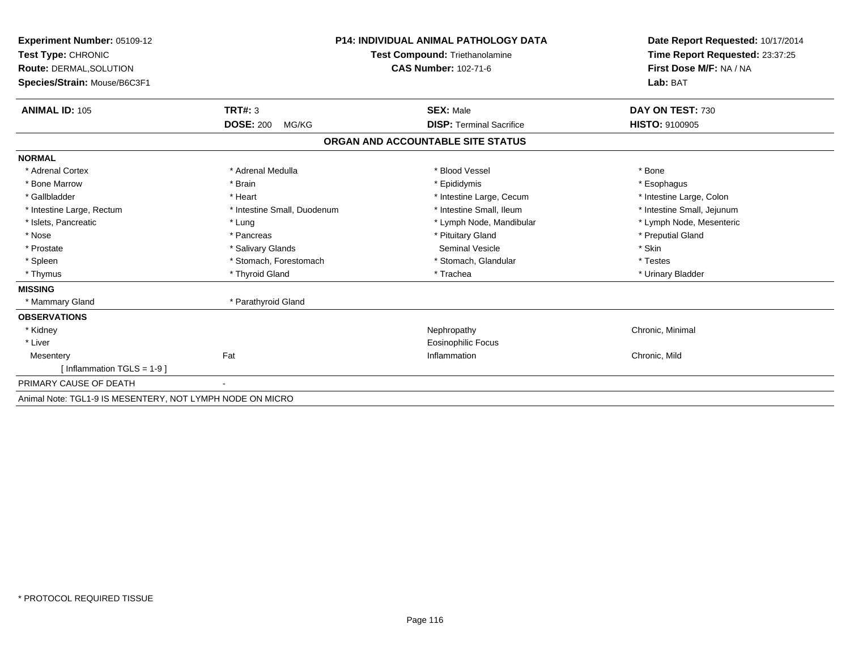| Experiment Number: 05109-12                               | <b>P14: INDIVIDUAL ANIMAL PATHOLOGY DATA</b> |                                   | Date Report Requested: 10/17/2014 |  |
|-----------------------------------------------------------|----------------------------------------------|-----------------------------------|-----------------------------------|--|
| Test Type: CHRONIC                                        |                                              | Test Compound: Triethanolamine    | Time Report Requested: 23:37:25   |  |
| <b>Route: DERMAL, SOLUTION</b>                            |                                              | <b>CAS Number: 102-71-6</b>       | First Dose M/F: NA / NA           |  |
| Species/Strain: Mouse/B6C3F1                              |                                              |                                   | Lab: BAT                          |  |
| <b>ANIMAL ID: 105</b>                                     | <b>TRT#: 3</b>                               | <b>SEX: Male</b>                  | DAY ON TEST: 730                  |  |
|                                                           | <b>DOSE: 200</b><br>MG/KG                    | <b>DISP: Terminal Sacrifice</b>   | <b>HISTO: 9100905</b>             |  |
|                                                           |                                              | ORGAN AND ACCOUNTABLE SITE STATUS |                                   |  |
| <b>NORMAL</b>                                             |                                              |                                   |                                   |  |
| * Adrenal Cortex                                          | * Adrenal Medulla                            | * Blood Vessel                    | * Bone                            |  |
| * Bone Marrow                                             | * Brain                                      | * Epididymis                      | * Esophagus                       |  |
| * Gallbladder                                             | * Heart                                      | * Intestine Large, Cecum          | * Intestine Large, Colon          |  |
| * Intestine Large, Rectum                                 | * Intestine Small, Duodenum                  | * Intestine Small, Ileum          | * Intestine Small, Jejunum        |  |
| * Islets, Pancreatic                                      | * Lung                                       | * Lymph Node, Mandibular          | * Lymph Node, Mesenteric          |  |
| * Nose                                                    | * Pancreas                                   | * Pituitary Gland                 | * Preputial Gland                 |  |
| * Prostate                                                | * Salivary Glands                            | Seminal Vesicle                   | * Skin                            |  |
| * Spleen                                                  | * Stomach, Forestomach                       | * Stomach, Glandular              | * Testes                          |  |
| * Thymus                                                  | * Thyroid Gland                              | * Trachea                         | * Urinary Bladder                 |  |
| <b>MISSING</b>                                            |                                              |                                   |                                   |  |
| * Mammary Gland                                           | * Parathyroid Gland                          |                                   |                                   |  |
| <b>OBSERVATIONS</b>                                       |                                              |                                   |                                   |  |
| * Kidney                                                  |                                              | Nephropathy                       | Chronic, Minimal                  |  |
| * Liver                                                   |                                              | <b>Eosinophilic Focus</b>         |                                   |  |
| Mesentery                                                 | Fat                                          | Inflammation                      | Chronic, Mild                     |  |
| [Inflammation TGLS = 1-9]                                 |                                              |                                   |                                   |  |
| PRIMARY CAUSE OF DEATH                                    |                                              |                                   |                                   |  |
| Animal Note: TGL1-9 IS MESENTERY, NOT LYMPH NODE ON MICRO |                                              |                                   |                                   |  |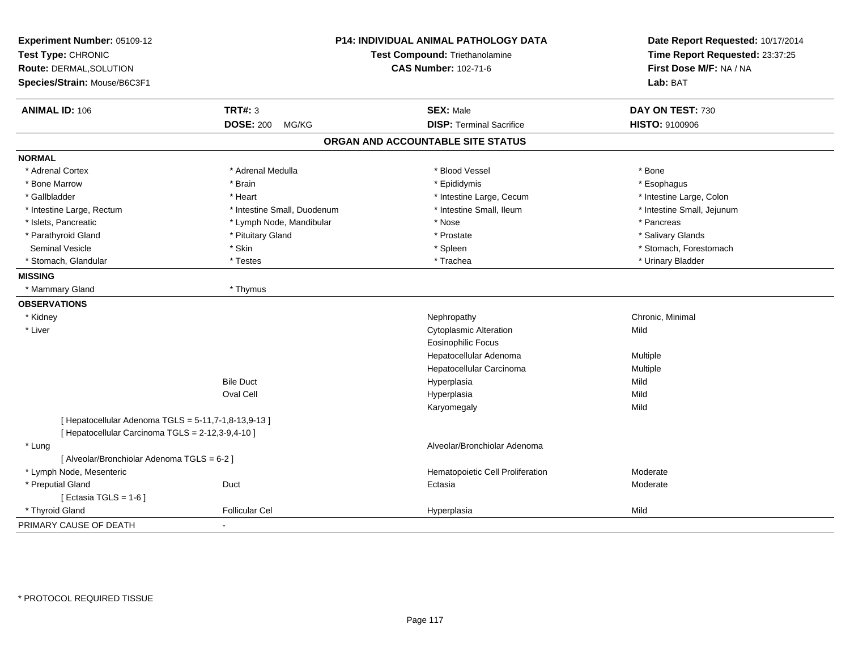| Experiment Number: 05109-12<br>Test Type: CHRONIC<br>Route: DERMAL, SOLUTION<br>Species/Strain: Mouse/B6C3F1 |                             | P14: INDIVIDUAL ANIMAL PATHOLOGY DATA<br>Test Compound: Triethanolamine<br><b>CAS Number: 102-71-6</b> |                            |
|--------------------------------------------------------------------------------------------------------------|-----------------------------|--------------------------------------------------------------------------------------------------------|----------------------------|
| <b>ANIMAL ID: 106</b>                                                                                        | <b>TRT#: 3</b>              | <b>SEX: Male</b>                                                                                       | DAY ON TEST: 730           |
|                                                                                                              | <b>DOSE: 200</b><br>MG/KG   | <b>DISP: Terminal Sacrifice</b>                                                                        | <b>HISTO: 9100906</b>      |
|                                                                                                              |                             | ORGAN AND ACCOUNTABLE SITE STATUS                                                                      |                            |
| <b>NORMAL</b>                                                                                                |                             |                                                                                                        |                            |
| * Adrenal Cortex                                                                                             | * Adrenal Medulla           | * Blood Vessel                                                                                         | * Bone                     |
| * Bone Marrow                                                                                                | * Brain                     | * Epididymis                                                                                           | * Esophagus                |
| * Gallbladder                                                                                                | * Heart                     | * Intestine Large, Cecum                                                                               | * Intestine Large, Colon   |
| * Intestine Large, Rectum                                                                                    | * Intestine Small, Duodenum | * Intestine Small, Ileum                                                                               | * Intestine Small, Jejunum |
| * Islets, Pancreatic                                                                                         | * Lymph Node, Mandibular    | * Nose                                                                                                 | * Pancreas                 |
| * Parathyroid Gland                                                                                          | * Pituitary Gland           | * Prostate                                                                                             | * Salivary Glands          |
| <b>Seminal Vesicle</b>                                                                                       | * Skin                      | * Spleen                                                                                               | * Stomach, Forestomach     |
| * Stomach, Glandular                                                                                         | * Testes                    | * Trachea                                                                                              | * Urinary Bladder          |
| <b>MISSING</b>                                                                                               |                             |                                                                                                        |                            |
| * Mammary Gland                                                                                              | * Thymus                    |                                                                                                        |                            |
| <b>OBSERVATIONS</b>                                                                                          |                             |                                                                                                        |                            |
| * Kidney                                                                                                     |                             | Nephropathy                                                                                            | Chronic, Minimal           |
| * Liver                                                                                                      |                             | <b>Cytoplasmic Alteration</b>                                                                          | Mild                       |
|                                                                                                              |                             | <b>Eosinophilic Focus</b>                                                                              |                            |
|                                                                                                              |                             | Hepatocellular Adenoma                                                                                 | Multiple                   |
|                                                                                                              |                             | Hepatocellular Carcinoma                                                                               | Multiple                   |
|                                                                                                              | <b>Bile Duct</b>            | Hyperplasia                                                                                            | Mild                       |
|                                                                                                              | Oval Cell                   | Hyperplasia                                                                                            | Mild                       |
|                                                                                                              |                             | Karyomegaly                                                                                            | Mild                       |
| [ Hepatocellular Adenoma TGLS = 5-11,7-1,8-13,9-13 ]                                                         |                             |                                                                                                        |                            |
| [ Hepatocellular Carcinoma TGLS = 2-12,3-9,4-10 ]                                                            |                             |                                                                                                        |                            |
| * Lung                                                                                                       |                             | Alveolar/Bronchiolar Adenoma                                                                           |                            |
| [ Alveolar/Bronchiolar Adenoma TGLS = 6-2 ]                                                                  |                             |                                                                                                        |                            |
| * Lymph Node, Mesenteric                                                                                     |                             | Hematopoietic Cell Proliferation                                                                       | Moderate                   |
| * Preputial Gland                                                                                            | Duct                        | Ectasia                                                                                                | Moderate                   |
| [ Ectasia TGLS = $1-6$ ]                                                                                     |                             |                                                                                                        |                            |
| * Thyroid Gland                                                                                              | <b>Follicular Cel</b>       | Hyperplasia                                                                                            | Mild                       |
| PRIMARY CAUSE OF DEATH                                                                                       | $\blacksquare$              |                                                                                                        |                            |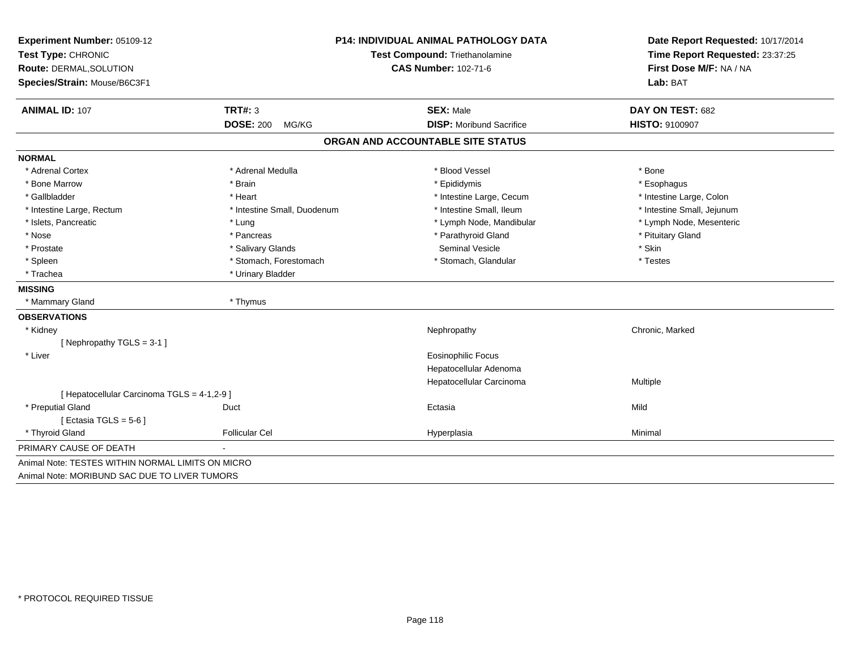| Experiment Number: 05109-12<br>Test Type: CHRONIC |                             | <b>P14: INDIVIDUAL ANIMAL PATHOLOGY DATA</b><br>Test Compound: Triethanolamine | Date Report Requested: 10/17/2014<br>Time Report Requested: 23:37:25 |
|---------------------------------------------------|-----------------------------|--------------------------------------------------------------------------------|----------------------------------------------------------------------|
| Route: DERMAL, SOLUTION                           |                             | <b>CAS Number: 102-71-6</b>                                                    |                                                                      |
| Species/Strain: Mouse/B6C3F1                      |                             |                                                                                | Lab: BAT                                                             |
| <b>ANIMAL ID: 107</b>                             | <b>TRT#: 3</b>              | <b>SEX: Male</b>                                                               | DAY ON TEST: 682                                                     |
|                                                   | <b>DOSE: 200</b><br>MG/KG   | <b>DISP:</b> Moribund Sacrifice                                                | HISTO: 9100907                                                       |
|                                                   |                             | ORGAN AND ACCOUNTABLE SITE STATUS                                              |                                                                      |
| <b>NORMAL</b>                                     |                             |                                                                                |                                                                      |
| * Adrenal Cortex                                  | * Adrenal Medulla           | * Blood Vessel                                                                 | * Bone                                                               |
| * Bone Marrow                                     | * Brain                     | * Epididymis                                                                   | * Esophagus                                                          |
| * Gallbladder                                     | * Heart                     | * Intestine Large, Cecum                                                       | * Intestine Large, Colon                                             |
| * Intestine Large, Rectum                         | * Intestine Small, Duodenum | * Intestine Small, Ileum                                                       | * Intestine Small, Jejunum                                           |
| * Islets, Pancreatic                              | * Lung                      | * Lymph Node, Mandibular                                                       | * Lymph Node, Mesenteric                                             |
| * Nose                                            | * Pancreas                  | * Parathyroid Gland                                                            | * Pituitary Gland                                                    |
| * Prostate                                        | * Salivary Glands           | <b>Seminal Vesicle</b>                                                         | * Skin                                                               |
| * Spleen                                          | * Stomach, Forestomach      | * Stomach, Glandular                                                           | * Testes                                                             |
| * Trachea                                         | * Urinary Bladder           |                                                                                |                                                                      |
| <b>MISSING</b>                                    |                             |                                                                                |                                                                      |
| * Mammary Gland                                   | * Thymus                    |                                                                                |                                                                      |
| <b>OBSERVATIONS</b>                               |                             |                                                                                |                                                                      |
| * Kidney                                          |                             | Nephropathy                                                                    | Chronic, Marked                                                      |
| [Nephropathy TGLS = $3-1$ ]                       |                             |                                                                                |                                                                      |
| * Liver                                           |                             | <b>Eosinophilic Focus</b>                                                      |                                                                      |
|                                                   |                             | Hepatocellular Adenoma                                                         |                                                                      |
|                                                   |                             | Hepatocellular Carcinoma                                                       | Multiple                                                             |
| [ Hepatocellular Carcinoma TGLS = 4-1,2-9 ]       |                             |                                                                                |                                                                      |
| * Preputial Gland                                 | Duct                        | Ectasia                                                                        | Mild                                                                 |
| [ Ectasia TGLS = $5-6$ ]                          |                             |                                                                                |                                                                      |
| * Thyroid Gland                                   | <b>Follicular Cel</b>       | Hyperplasia                                                                    | Minimal                                                              |
| PRIMARY CAUSE OF DEATH                            |                             |                                                                                |                                                                      |
| Animal Note: TESTES WITHIN NORMAL LIMITS ON MICRO |                             |                                                                                |                                                                      |
| Animal Note: MORIBUND SAC DUE TO LIVER TUMORS     |                             |                                                                                |                                                                      |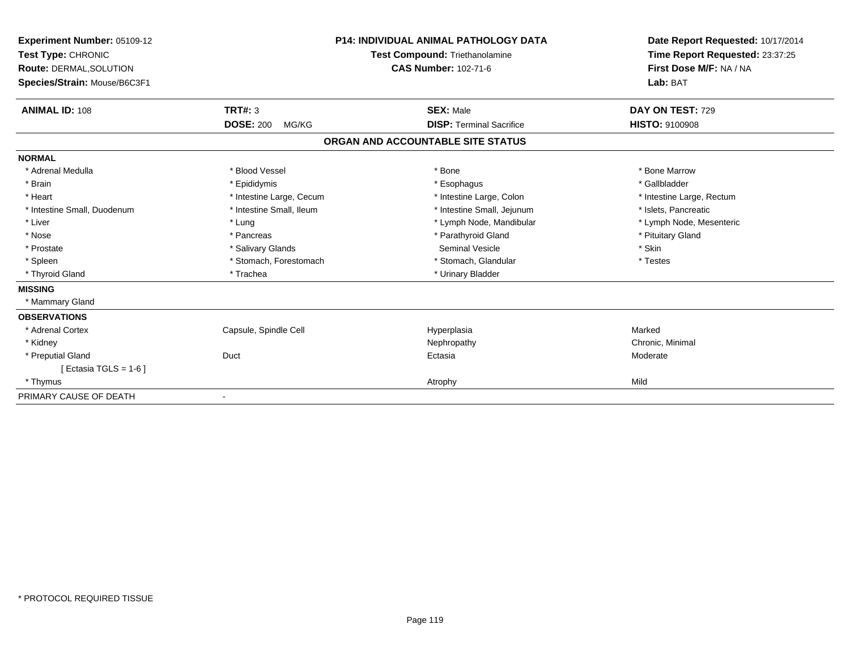| <b>Experiment Number: 05109-12</b><br>Test Type: CHRONIC<br>Route: DERMAL, SOLUTION<br>Species/Strain: Mouse/B6C3F1<br><b>ANIMAL ID: 108</b>               | <b>TRT#: 3</b><br><b>DOSE: 200</b><br>MG/KG                                                                                                                                | <b>P14: INDIVIDUAL ANIMAL PATHOLOGY DATA</b><br>Test Compound: Triethanolamine<br><b>CAS Number: 102-71-6</b><br><b>SEX: Male</b><br><b>DISP: Terminal Sacrifice</b>                               | Date Report Requested: 10/17/2014<br>Time Report Requested: 23:37:25<br>First Dose M/F: NA / NA<br>Lab: BAT<br>DAY ON TEST: 729<br><b>HISTO: 9100908</b>   |
|------------------------------------------------------------------------------------------------------------------------------------------------------------|----------------------------------------------------------------------------------------------------------------------------------------------------------------------------|----------------------------------------------------------------------------------------------------------------------------------------------------------------------------------------------------|------------------------------------------------------------------------------------------------------------------------------------------------------------|
|                                                                                                                                                            |                                                                                                                                                                            | ORGAN AND ACCOUNTABLE SITE STATUS                                                                                                                                                                  |                                                                                                                                                            |
| <b>NORMAL</b>                                                                                                                                              |                                                                                                                                                                            |                                                                                                                                                                                                    |                                                                                                                                                            |
| * Adrenal Medulla<br>* Brain<br>* Heart<br>* Intestine Small, Duodenum<br>* Liver<br>* Nose<br>* Prostate<br>* Spleen<br>* Thyroid Gland<br><b>MISSING</b> | * Blood Vessel<br>* Epididymis<br>* Intestine Large, Cecum<br>* Intestine Small, Ileum<br>* Lung<br>* Pancreas<br>* Salivary Glands<br>* Stomach, Forestomach<br>* Trachea | * Bone<br>* Esophagus<br>* Intestine Large, Colon<br>* Intestine Small, Jejunum<br>* Lymph Node, Mandibular<br>* Parathyroid Gland<br>Seminal Vesicle<br>* Stomach, Glandular<br>* Urinary Bladder | * Bone Marrow<br>* Gallbladder<br>* Intestine Large, Rectum<br>* Islets, Pancreatic<br>* Lymph Node, Mesenteric<br>* Pituitary Gland<br>* Skin<br>* Testes |
| * Mammary Gland                                                                                                                                            |                                                                                                                                                                            |                                                                                                                                                                                                    |                                                                                                                                                            |
| <b>OBSERVATIONS</b><br>* Adrenal Cortex<br>* Kidney                                                                                                        | Capsule, Spindle Cell                                                                                                                                                      | Hyperplasia<br>Nephropathy                                                                                                                                                                         | Marked<br>Chronic, Minimal                                                                                                                                 |
| * Preputial Gland<br>[ Ectasia TGLS = $1-6$ ]<br>* Thymus                                                                                                  | Duct                                                                                                                                                                       | Ectasia<br>Atrophy                                                                                                                                                                                 | Moderate<br>Mild                                                                                                                                           |
| PRIMARY CAUSE OF DEATH                                                                                                                                     |                                                                                                                                                                            |                                                                                                                                                                                                    |                                                                                                                                                            |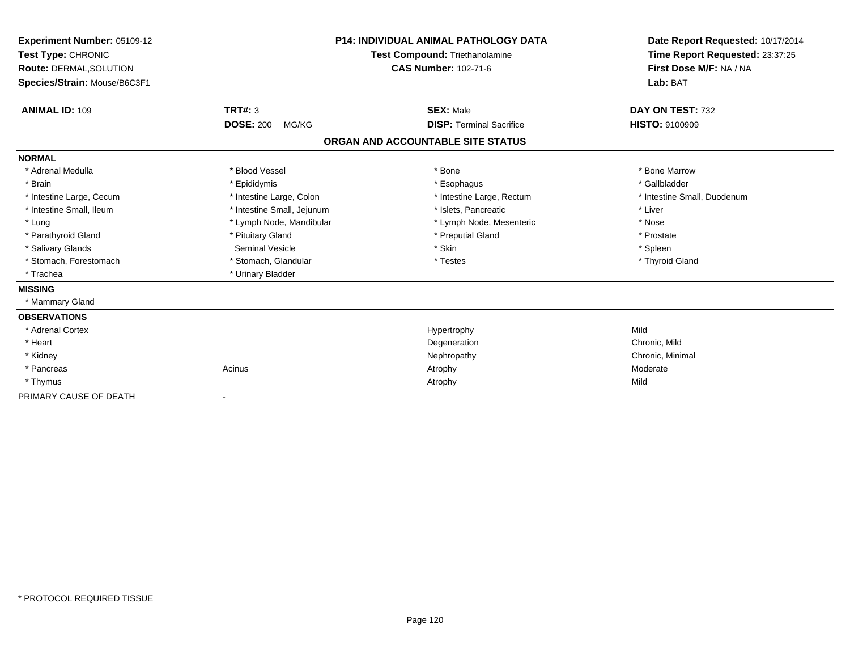| <b>Experiment Number: 05109-12</b><br>Test Type: CHRONIC<br>Route: DERMAL, SOLUTION<br>Species/Strain: Mouse/B6C3F1 |                            | <b>P14: INDIVIDUAL ANIMAL PATHOLOGY DATA</b><br><b>Test Compound: Triethanolamine</b><br><b>CAS Number: 102-71-6</b> | Date Report Requested: 10/17/2014<br>Time Report Requested: 23:37:25<br>First Dose M/F: NA / NA<br>Lab: BAT |
|---------------------------------------------------------------------------------------------------------------------|----------------------------|----------------------------------------------------------------------------------------------------------------------|-------------------------------------------------------------------------------------------------------------|
| <b>ANIMAL ID: 109</b>                                                                                               | <b>TRT#: 3</b>             | <b>SEX: Male</b>                                                                                                     | DAY ON TEST: 732                                                                                            |
|                                                                                                                     | <b>DOSE: 200</b><br>MG/KG  | <b>DISP: Terminal Sacrifice</b>                                                                                      | <b>HISTO: 9100909</b>                                                                                       |
|                                                                                                                     |                            | ORGAN AND ACCOUNTABLE SITE STATUS                                                                                    |                                                                                                             |
| <b>NORMAL</b>                                                                                                       |                            |                                                                                                                      |                                                                                                             |
| * Adrenal Medulla                                                                                                   | * Blood Vessel             | * Bone                                                                                                               | * Bone Marrow                                                                                               |
| * Brain                                                                                                             | * Epididymis               | * Esophagus                                                                                                          | * Gallbladder                                                                                               |
| * Intestine Large, Cecum                                                                                            | * Intestine Large, Colon   | * Intestine Large, Rectum                                                                                            | * Intestine Small, Duodenum                                                                                 |
| * Intestine Small. Ileum                                                                                            | * Intestine Small, Jejunum | * Islets, Pancreatic                                                                                                 | * Liver                                                                                                     |
| * Lung                                                                                                              | * Lymph Node, Mandibular   | * Lymph Node, Mesenteric                                                                                             | * Nose                                                                                                      |
| * Parathyroid Gland                                                                                                 | * Pituitary Gland          | * Preputial Gland                                                                                                    | * Prostate                                                                                                  |
| * Salivary Glands                                                                                                   | <b>Seminal Vesicle</b>     | * Skin                                                                                                               | * Spleen                                                                                                    |
| * Stomach, Forestomach                                                                                              | * Stomach, Glandular       | * Testes                                                                                                             | * Thyroid Gland                                                                                             |
| * Trachea                                                                                                           | * Urinary Bladder          |                                                                                                                      |                                                                                                             |
| <b>MISSING</b>                                                                                                      |                            |                                                                                                                      |                                                                                                             |
| * Mammary Gland                                                                                                     |                            |                                                                                                                      |                                                                                                             |
| <b>OBSERVATIONS</b>                                                                                                 |                            |                                                                                                                      |                                                                                                             |
| * Adrenal Cortex                                                                                                    |                            | Hypertrophy                                                                                                          | Mild                                                                                                        |
| * Heart                                                                                                             |                            | Degeneration                                                                                                         | Chronic, Mild                                                                                               |
| * Kidney                                                                                                            |                            | Nephropathy                                                                                                          | Chronic, Minimal                                                                                            |
| * Pancreas                                                                                                          | Acinus                     | Atrophy                                                                                                              | Moderate                                                                                                    |
| * Thymus                                                                                                            |                            | Atrophy                                                                                                              | Mild                                                                                                        |
| PRIMARY CAUSE OF DEATH                                                                                              | $\blacksquare$             |                                                                                                                      |                                                                                                             |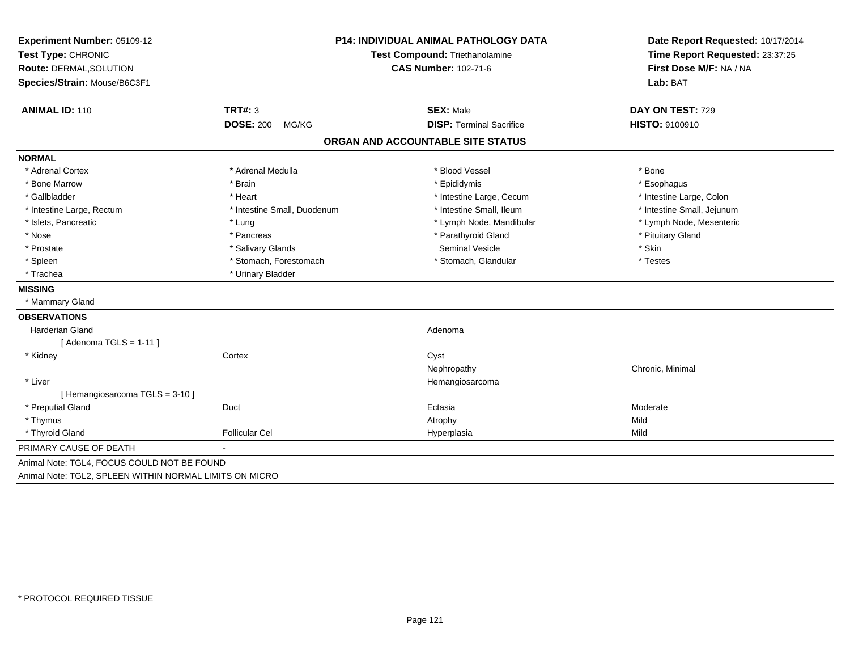| Experiment Number: 05109-12                             | <b>P14: INDIVIDUAL ANIMAL PATHOLOGY DATA</b> |                                       | Date Report Requested: 10/17/2014                                      |  |
|---------------------------------------------------------|----------------------------------------------|---------------------------------------|------------------------------------------------------------------------|--|
| Test Type: CHRONIC                                      |                                              | <b>Test Compound: Triethanolamine</b> | Time Report Requested: 23:37:25<br>First Dose M/F: NA / NA<br>Lab: BAT |  |
| Route: DERMAL, SOLUTION                                 |                                              | <b>CAS Number: 102-71-6</b>           |                                                                        |  |
| Species/Strain: Mouse/B6C3F1                            |                                              |                                       |                                                                        |  |
| <b>ANIMAL ID: 110</b>                                   | <b>TRT#: 3</b>                               | <b>SEX: Male</b>                      | DAY ON TEST: 729                                                       |  |
|                                                         | <b>DOSE: 200</b><br>MG/KG                    | <b>DISP: Terminal Sacrifice</b>       | HISTO: 9100910                                                         |  |
|                                                         |                                              | ORGAN AND ACCOUNTABLE SITE STATUS     |                                                                        |  |
| <b>NORMAL</b>                                           |                                              |                                       |                                                                        |  |
| * Adrenal Cortex                                        | * Adrenal Medulla                            | * Blood Vessel                        | * Bone                                                                 |  |
| * Bone Marrow                                           | * Brain                                      | * Epididymis                          | * Esophagus                                                            |  |
| * Gallbladder                                           | * Heart                                      | * Intestine Large, Cecum              | * Intestine Large, Colon                                               |  |
| * Intestine Large, Rectum                               | * Intestine Small, Duodenum                  | * Intestine Small, Ileum              | * Intestine Small, Jejunum                                             |  |
| * Islets, Pancreatic                                    | * Lung                                       | * Lymph Node, Mandibular              | * Lymph Node, Mesenteric                                               |  |
| * Nose                                                  | * Pancreas                                   | * Parathyroid Gland                   | * Pituitary Gland                                                      |  |
| * Prostate                                              | * Salivary Glands                            | <b>Seminal Vesicle</b>                | * Skin                                                                 |  |
| * Spleen                                                | * Stomach, Forestomach                       | * Stomach, Glandular                  | * Testes                                                               |  |
| * Trachea                                               | * Urinary Bladder                            |                                       |                                                                        |  |
| <b>MISSING</b>                                          |                                              |                                       |                                                                        |  |
| * Mammary Gland                                         |                                              |                                       |                                                                        |  |
| <b>OBSERVATIONS</b>                                     |                                              |                                       |                                                                        |  |
| Harderian Gland                                         |                                              | Adenoma                               |                                                                        |  |
| [Adenoma TGLS = $1-11$ ]                                |                                              |                                       |                                                                        |  |
| * Kidney                                                | Cortex                                       | Cyst                                  |                                                                        |  |
|                                                         |                                              | Nephropathy                           | Chronic, Minimal                                                       |  |
| * Liver                                                 |                                              | Hemangiosarcoma                       |                                                                        |  |
| [Hemangiosarcoma TGLS = 3-10]                           |                                              |                                       |                                                                        |  |
| * Preputial Gland                                       | Duct                                         | Ectasia                               | Moderate                                                               |  |
| * Thymus                                                |                                              | Atrophy                               | Mild                                                                   |  |
| * Thyroid Gland                                         | <b>Follicular Cel</b>                        | Hyperplasia                           | Mild                                                                   |  |
| PRIMARY CAUSE OF DEATH                                  |                                              |                                       |                                                                        |  |
| Animal Note: TGL4, FOCUS COULD NOT BE FOUND             |                                              |                                       |                                                                        |  |
| Animal Note: TGL2, SPLEEN WITHIN NORMAL LIMITS ON MICRO |                                              |                                       |                                                                        |  |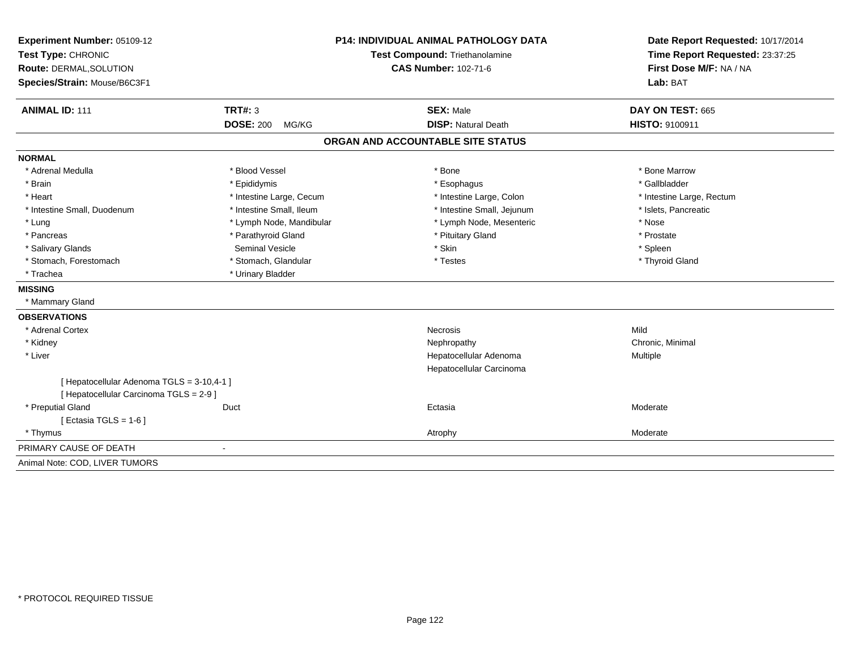| Experiment Number: 05109-12<br>Test Type: CHRONIC<br>Route: DERMAL, SOLUTION<br>Species/Strain: Mouse/B6C3F1 |                           | <b>P14: INDIVIDUAL ANIMAL PATHOLOGY DATA</b><br>Test Compound: Triethanolamine<br><b>CAS Number: 102-71-6</b> | Date Report Requested: 10/17/2014<br>Time Report Requested: 23:37:25<br>First Dose M/F: NA / NA<br>Lab: BAT |  |
|--------------------------------------------------------------------------------------------------------------|---------------------------|---------------------------------------------------------------------------------------------------------------|-------------------------------------------------------------------------------------------------------------|--|
| <b>ANIMAL ID: 111</b>                                                                                        | <b>TRT#: 3</b>            | <b>SEX: Male</b>                                                                                              | DAY ON TEST: 665                                                                                            |  |
|                                                                                                              | <b>DOSE: 200</b><br>MG/KG | <b>DISP: Natural Death</b>                                                                                    | HISTO: 9100911                                                                                              |  |
|                                                                                                              |                           | ORGAN AND ACCOUNTABLE SITE STATUS                                                                             |                                                                                                             |  |
| <b>NORMAL</b>                                                                                                |                           |                                                                                                               |                                                                                                             |  |
| * Adrenal Medulla                                                                                            | * Blood Vessel            | * Bone                                                                                                        | * Bone Marrow                                                                                               |  |
| * Brain                                                                                                      | * Epididymis              | * Esophagus                                                                                                   | * Gallbladder                                                                                               |  |
| * Heart                                                                                                      | * Intestine Large, Cecum  | * Intestine Large, Colon                                                                                      | * Intestine Large, Rectum                                                                                   |  |
| * Intestine Small, Duodenum                                                                                  | * Intestine Small, Ileum  | * Intestine Small, Jejunum                                                                                    | * Islets, Pancreatic                                                                                        |  |
| * Lung                                                                                                       | * Lymph Node, Mandibular  | * Lymph Node, Mesenteric                                                                                      | * Nose                                                                                                      |  |
| * Pancreas                                                                                                   | * Parathyroid Gland       | * Pituitary Gland                                                                                             | * Prostate                                                                                                  |  |
| * Salivary Glands                                                                                            | <b>Seminal Vesicle</b>    | * Skin                                                                                                        | * Spleen                                                                                                    |  |
| * Stomach, Forestomach                                                                                       | * Stomach, Glandular      | * Testes                                                                                                      | * Thyroid Gland                                                                                             |  |
| * Trachea                                                                                                    | * Urinary Bladder         |                                                                                                               |                                                                                                             |  |
| <b>MISSING</b>                                                                                               |                           |                                                                                                               |                                                                                                             |  |
| * Mammary Gland                                                                                              |                           |                                                                                                               |                                                                                                             |  |
| <b>OBSERVATIONS</b>                                                                                          |                           |                                                                                                               |                                                                                                             |  |
| * Adrenal Cortex                                                                                             |                           | Necrosis                                                                                                      | Mild                                                                                                        |  |
| * Kidney                                                                                                     |                           | Nephropathy                                                                                                   | Chronic, Minimal                                                                                            |  |
| * Liver                                                                                                      |                           | Hepatocellular Adenoma                                                                                        | <b>Multiple</b>                                                                                             |  |
|                                                                                                              |                           | Hepatocellular Carcinoma                                                                                      |                                                                                                             |  |
| [ Hepatocellular Adenoma TGLS = 3-10,4-1 ]<br>[ Hepatocellular Carcinoma TGLS = 2-9 ]                        |                           |                                                                                                               |                                                                                                             |  |
| * Preputial Gland                                                                                            | Duct                      | Ectasia                                                                                                       | Moderate                                                                                                    |  |
| [Ectasia TGLS = $1-6$ ]                                                                                      |                           |                                                                                                               |                                                                                                             |  |
| * Thymus                                                                                                     |                           | Atrophy                                                                                                       | Moderate                                                                                                    |  |
| PRIMARY CAUSE OF DEATH                                                                                       |                           |                                                                                                               |                                                                                                             |  |
| Animal Note: COD, LIVER TUMORS                                                                               |                           |                                                                                                               |                                                                                                             |  |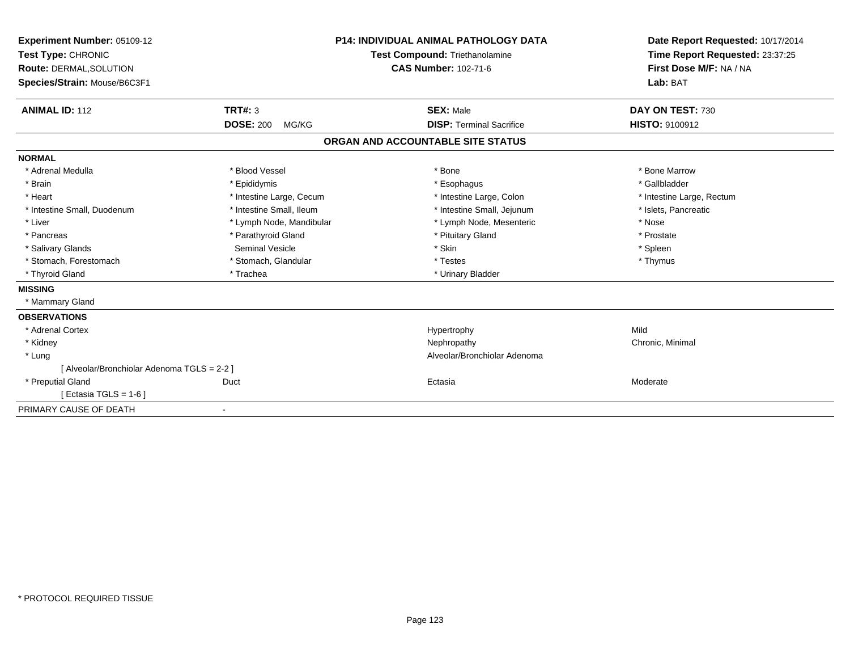| Experiment Number: 05109-12<br>Test Type: CHRONIC<br>Route: DERMAL, SOLUTION<br>Species/Strain: Mouse/B6C3F1 |                                             | <b>P14: INDIVIDUAL ANIMAL PATHOLOGY DATA</b><br><b>Test Compound: Triethanolamine</b><br><b>CAS Number: 102-71-6</b> | Date Report Requested: 10/17/2014<br>Time Report Requested: 23:37:25<br>First Dose M/F: NA / NA<br>Lab: BAT |
|--------------------------------------------------------------------------------------------------------------|---------------------------------------------|----------------------------------------------------------------------------------------------------------------------|-------------------------------------------------------------------------------------------------------------|
| <b>ANIMAL ID: 112</b>                                                                                        | <b>TRT#: 3</b><br><b>DOSE: 200</b><br>MG/KG | <b>SEX: Male</b><br><b>DISP: Terminal Sacrifice</b>                                                                  | DAY ON TEST: 730<br>HISTO: 9100912                                                                          |
|                                                                                                              |                                             | ORGAN AND ACCOUNTABLE SITE STATUS                                                                                    |                                                                                                             |
| <b>NORMAL</b>                                                                                                |                                             |                                                                                                                      |                                                                                                             |
| * Adrenal Medulla                                                                                            | * Blood Vessel                              | * Bone                                                                                                               | * Bone Marrow                                                                                               |
| * Brain                                                                                                      | * Epididymis                                | * Esophagus                                                                                                          | * Gallbladder                                                                                               |
| * Heart                                                                                                      | * Intestine Large, Cecum                    | * Intestine Large, Colon                                                                                             | * Intestine Large, Rectum                                                                                   |
| * Intestine Small, Duodenum                                                                                  | * Intestine Small, Ileum                    | * Intestine Small, Jejunum                                                                                           | * Islets, Pancreatic                                                                                        |
| * Liver                                                                                                      | * Lymph Node, Mandibular                    | * Lymph Node, Mesenteric                                                                                             | * Nose                                                                                                      |
| * Pancreas                                                                                                   | * Parathyroid Gland                         | * Pituitary Gland                                                                                                    | * Prostate                                                                                                  |
| * Salivary Glands                                                                                            | Seminal Vesicle                             | * Skin                                                                                                               | * Spleen                                                                                                    |
| * Stomach, Forestomach                                                                                       | * Stomach, Glandular                        | * Testes                                                                                                             | * Thymus                                                                                                    |
| * Thyroid Gland                                                                                              | * Trachea                                   | * Urinary Bladder                                                                                                    |                                                                                                             |
| <b>MISSING</b>                                                                                               |                                             |                                                                                                                      |                                                                                                             |
| * Mammary Gland                                                                                              |                                             |                                                                                                                      |                                                                                                             |
| <b>OBSERVATIONS</b>                                                                                          |                                             |                                                                                                                      |                                                                                                             |
| * Adrenal Cortex                                                                                             |                                             | Hypertrophy                                                                                                          | Mild                                                                                                        |
| * Kidney                                                                                                     |                                             | Nephropathy                                                                                                          | Chronic, Minimal                                                                                            |
| * Lung                                                                                                       |                                             | Alveolar/Bronchiolar Adenoma                                                                                         |                                                                                                             |
| [ Alveolar/Bronchiolar Adenoma TGLS = 2-2 ]                                                                  |                                             |                                                                                                                      |                                                                                                             |
| * Preputial Gland                                                                                            | Duct                                        | Ectasia                                                                                                              | Moderate                                                                                                    |
| [ Ectasia TGLS = $1-6$ ]                                                                                     |                                             |                                                                                                                      |                                                                                                             |
| PRIMARY CAUSE OF DEATH                                                                                       | $\overline{\phantom{a}}$                    |                                                                                                                      |                                                                                                             |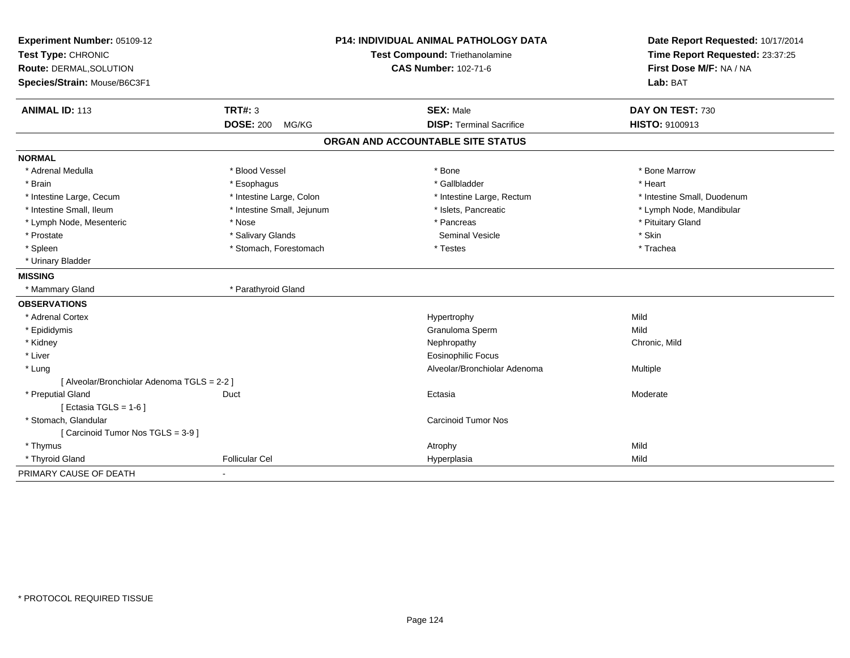| Experiment Number: 05109-12                 | <b>P14: INDIVIDUAL ANIMAL PATHOLOGY DATA</b> |                                   | Date Report Requested: 10/17/2014                          |  |
|---------------------------------------------|----------------------------------------------|-----------------------------------|------------------------------------------------------------|--|
| Test Type: CHRONIC                          |                                              | Test Compound: Triethanolamine    | Time Report Requested: 23:37:25<br>First Dose M/F: NA / NA |  |
| Route: DERMAL, SOLUTION                     |                                              | <b>CAS Number: 102-71-6</b>       |                                                            |  |
| Species/Strain: Mouse/B6C3F1                |                                              |                                   | Lab: BAT                                                   |  |
| <b>ANIMAL ID: 113</b>                       | <b>TRT#: 3</b>                               | <b>SEX: Male</b>                  | DAY ON TEST: 730                                           |  |
|                                             | <b>DOSE: 200</b><br>MG/KG                    | <b>DISP: Terminal Sacrifice</b>   | HISTO: 9100913                                             |  |
|                                             |                                              | ORGAN AND ACCOUNTABLE SITE STATUS |                                                            |  |
| <b>NORMAL</b>                               |                                              |                                   |                                                            |  |
| * Adrenal Medulla                           | * Blood Vessel                               | * Bone                            | * Bone Marrow                                              |  |
| * Brain                                     | * Esophagus                                  | * Gallbladder                     | * Heart                                                    |  |
| * Intestine Large, Cecum                    | * Intestine Large, Colon                     | * Intestine Large, Rectum         | * Intestine Small, Duodenum                                |  |
| * Intestine Small, Ileum                    | * Intestine Small, Jejunum                   | * Islets, Pancreatic              | * Lymph Node, Mandibular                                   |  |
| * Lymph Node, Mesenteric                    | * Nose                                       | * Pancreas                        | * Pituitary Gland                                          |  |
| * Prostate                                  | * Salivary Glands                            | <b>Seminal Vesicle</b>            | * Skin                                                     |  |
| * Spleen                                    | * Stomach, Forestomach                       | * Testes                          | * Trachea                                                  |  |
| * Urinary Bladder                           |                                              |                                   |                                                            |  |
| <b>MISSING</b>                              |                                              |                                   |                                                            |  |
| * Mammary Gland                             | * Parathyroid Gland                          |                                   |                                                            |  |
| <b>OBSERVATIONS</b>                         |                                              |                                   |                                                            |  |
| * Adrenal Cortex                            |                                              | Hypertrophy                       | Mild                                                       |  |
| * Epididymis                                |                                              | Granuloma Sperm                   | Mild                                                       |  |
| * Kidney                                    |                                              | Nephropathy                       | Chronic, Mild                                              |  |
| * Liver                                     |                                              | <b>Eosinophilic Focus</b>         |                                                            |  |
| * Lung                                      |                                              | Alveolar/Bronchiolar Adenoma      | Multiple                                                   |  |
| [ Alveolar/Bronchiolar Adenoma TGLS = 2-2 ] |                                              |                                   |                                                            |  |
| * Preputial Gland                           | Duct                                         | Ectasia                           | Moderate                                                   |  |
| [ Ectasia TGLS = $1-6$ ]                    |                                              |                                   |                                                            |  |
| * Stomach, Glandular                        |                                              | <b>Carcinoid Tumor Nos</b>        |                                                            |  |
| [Carcinoid Tumor Nos TGLS = 3-9]            |                                              |                                   |                                                            |  |
| * Thymus                                    |                                              | Atrophy                           | Mild                                                       |  |
| * Thyroid Gland                             | Follicular Cel                               | Hyperplasia                       | Mild                                                       |  |
| PRIMARY CAUSE OF DEATH                      |                                              |                                   |                                                            |  |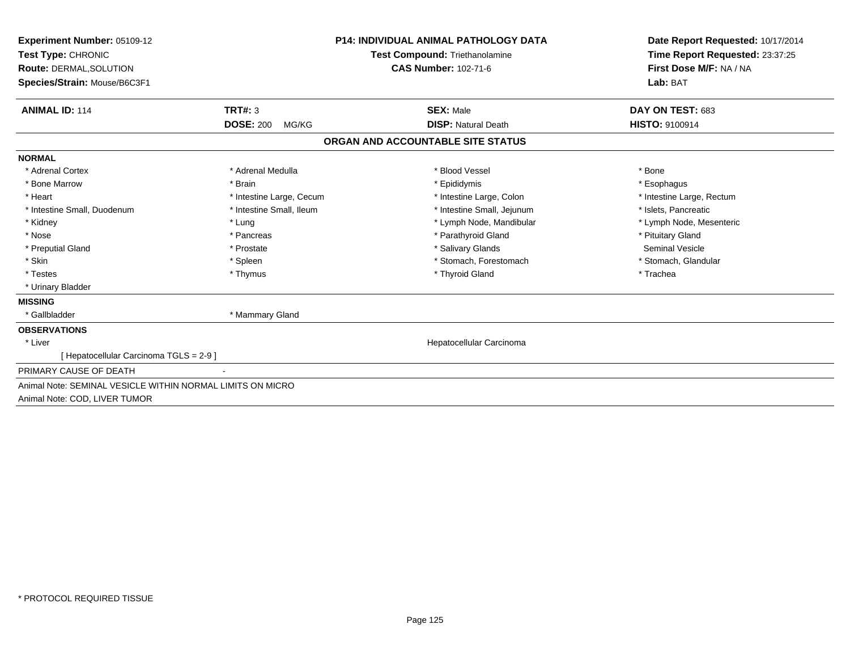| Experiment Number: 05109-12<br>Test Type: CHRONIC<br>Route: DERMAL, SOLUTION<br>Species/Strain: Mouse/B6C3F1 |                           | <b>P14: INDIVIDUAL ANIMAL PATHOLOGY DATA</b><br><b>Test Compound: Triethanolamine</b><br><b>CAS Number: 102-71-6</b> | Date Report Requested: 10/17/2014<br>Time Report Requested: 23:37:25<br>First Dose M/F: NA / NA<br>Lab: BAT |
|--------------------------------------------------------------------------------------------------------------|---------------------------|----------------------------------------------------------------------------------------------------------------------|-------------------------------------------------------------------------------------------------------------|
| <b>ANIMAL ID: 114</b>                                                                                        | <b>TRT#: 3</b>            | <b>SEX: Male</b>                                                                                                     | DAY ON TEST: 683                                                                                            |
|                                                                                                              | <b>DOSE: 200</b><br>MG/KG | <b>DISP: Natural Death</b>                                                                                           | <b>HISTO: 9100914</b>                                                                                       |
|                                                                                                              |                           | ORGAN AND ACCOUNTABLE SITE STATUS                                                                                    |                                                                                                             |
| <b>NORMAL</b>                                                                                                |                           |                                                                                                                      |                                                                                                             |
| * Adrenal Cortex                                                                                             | * Adrenal Medulla         | * Blood Vessel                                                                                                       | * Bone                                                                                                      |
| * Bone Marrow                                                                                                | * Brain                   | * Epididymis                                                                                                         | * Esophagus                                                                                                 |
| * Heart                                                                                                      | * Intestine Large, Cecum  | * Intestine Large, Colon                                                                                             | * Intestine Large, Rectum                                                                                   |
| * Intestine Small, Duodenum                                                                                  | * Intestine Small, Ileum  | * Intestine Small, Jejunum                                                                                           | * Islets, Pancreatic                                                                                        |
| * Kidney                                                                                                     | * Lung                    | * Lymph Node, Mandibular                                                                                             | * Lymph Node, Mesenteric                                                                                    |
| * Nose                                                                                                       | * Pancreas                | * Parathyroid Gland                                                                                                  | * Pituitary Gland                                                                                           |
| * Preputial Gland                                                                                            | * Prostate                | * Salivary Glands                                                                                                    | Seminal Vesicle                                                                                             |
| * Skin                                                                                                       | * Spleen                  | * Stomach, Forestomach                                                                                               | * Stomach, Glandular                                                                                        |
| * Testes                                                                                                     | * Thymus                  | * Thyroid Gland                                                                                                      | * Trachea                                                                                                   |
| * Urinary Bladder                                                                                            |                           |                                                                                                                      |                                                                                                             |
| <b>MISSING</b>                                                                                               |                           |                                                                                                                      |                                                                                                             |
| * Gallbladder                                                                                                | * Mammary Gland           |                                                                                                                      |                                                                                                             |
| <b>OBSERVATIONS</b>                                                                                          |                           |                                                                                                                      |                                                                                                             |
| * Liver                                                                                                      |                           | Hepatocellular Carcinoma                                                                                             |                                                                                                             |
| [ Hepatocellular Carcinoma TGLS = 2-9 ]                                                                      |                           |                                                                                                                      |                                                                                                             |
| PRIMARY CAUSE OF DEATH                                                                                       |                           |                                                                                                                      |                                                                                                             |
| Animal Note: SEMINAL VESICLE WITHIN NORMAL LIMITS ON MICRO                                                   |                           |                                                                                                                      |                                                                                                             |
| Animal Note: COD, LIVER TUMOR                                                                                |                           |                                                                                                                      |                                                                                                             |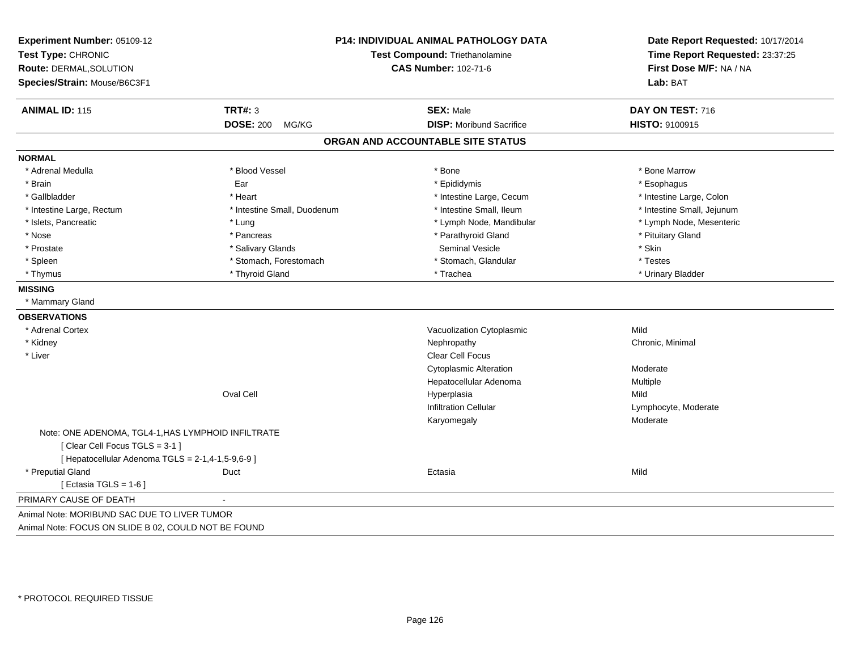| Experiment Number: 05109-12<br>Test Type: CHRONIC<br><b>Route: DERMAL, SOLUTION</b> |                             | P14: INDIVIDUAL ANIMAL PATHOLOGY DATA<br>Test Compound: Triethanolamine<br><b>CAS Number: 102-71-6</b> | Date Report Requested: 10/17/2014<br>Time Report Requested: 23:37:25<br>First Dose M/F: NA / NA |  |
|-------------------------------------------------------------------------------------|-----------------------------|--------------------------------------------------------------------------------------------------------|-------------------------------------------------------------------------------------------------|--|
| Species/Strain: Mouse/B6C3F1                                                        |                             |                                                                                                        | Lab: BAT                                                                                        |  |
| <b>ANIMAL ID: 115</b>                                                               | <b>TRT#: 3</b>              | <b>SEX: Male</b>                                                                                       | DAY ON TEST: 716                                                                                |  |
|                                                                                     | <b>DOSE: 200 MG/KG</b>      | <b>DISP:</b> Moribund Sacrifice                                                                        | HISTO: 9100915                                                                                  |  |
|                                                                                     |                             | ORGAN AND ACCOUNTABLE SITE STATUS                                                                      |                                                                                                 |  |
| <b>NORMAL</b>                                                                       |                             |                                                                                                        |                                                                                                 |  |
| * Adrenal Medulla                                                                   | * Blood Vessel              | * Bone                                                                                                 | * Bone Marrow                                                                                   |  |
| * Brain                                                                             | Ear                         | * Epididymis                                                                                           | * Esophagus                                                                                     |  |
| * Gallbladder                                                                       | * Heart                     | * Intestine Large, Cecum                                                                               | * Intestine Large, Colon                                                                        |  |
| * Intestine Large, Rectum                                                           | * Intestine Small, Duodenum | * Intestine Small, Ileum                                                                               | * Intestine Small, Jejunum                                                                      |  |
| * Islets, Pancreatic                                                                | * Lung                      | * Lymph Node, Mandibular                                                                               | * Lymph Node, Mesenteric                                                                        |  |
| * Nose                                                                              | * Pancreas                  | * Parathyroid Gland                                                                                    | * Pituitary Gland                                                                               |  |
| * Prostate                                                                          | * Salivary Glands           | <b>Seminal Vesicle</b>                                                                                 | * Skin                                                                                          |  |
| * Spleen                                                                            | * Stomach, Forestomach      | * Stomach, Glandular                                                                                   | * Testes                                                                                        |  |
| * Thymus                                                                            | * Thyroid Gland             | * Trachea                                                                                              | * Urinary Bladder                                                                               |  |
| <b>MISSING</b>                                                                      |                             |                                                                                                        |                                                                                                 |  |
| * Mammary Gland                                                                     |                             |                                                                                                        |                                                                                                 |  |
| <b>OBSERVATIONS</b>                                                                 |                             |                                                                                                        |                                                                                                 |  |
| * Adrenal Cortex                                                                    |                             | Vacuolization Cytoplasmic                                                                              | Mild                                                                                            |  |
| * Kidney                                                                            |                             | Nephropathy                                                                                            | Chronic, Minimal                                                                                |  |
| * Liver                                                                             |                             | Clear Cell Focus                                                                                       |                                                                                                 |  |
|                                                                                     |                             | <b>Cytoplasmic Alteration</b>                                                                          | Moderate                                                                                        |  |
|                                                                                     |                             | Hepatocellular Adenoma                                                                                 | Multiple                                                                                        |  |
|                                                                                     | <b>Oval Cell</b>            | Hyperplasia                                                                                            | Mild                                                                                            |  |
|                                                                                     |                             | <b>Infiltration Cellular</b>                                                                           | Lymphocyte, Moderate                                                                            |  |
|                                                                                     |                             | Karyomegaly                                                                                            | Moderate                                                                                        |  |
| Note: ONE ADENOMA, TGL4-1, HAS LYMPHOID INFILTRATE<br>[Clear Cell Focus TGLS = 3-1] |                             |                                                                                                        |                                                                                                 |  |
| [ Hepatocellular Adenoma TGLS = 2-1,4-1,5-9,6-9 ]                                   |                             |                                                                                                        |                                                                                                 |  |
| * Preputial Gland                                                                   | Duct                        | Ectasia                                                                                                | Mild                                                                                            |  |
| [ Ectasia TGLS = $1-6$ ]                                                            |                             |                                                                                                        |                                                                                                 |  |
| PRIMARY CAUSE OF DEATH                                                              |                             |                                                                                                        |                                                                                                 |  |
| Animal Note: MORIBUND SAC DUE TO LIVER TUMOR                                        |                             |                                                                                                        |                                                                                                 |  |
| Animal Note: FOCUS ON SLIDE B 02, COULD NOT BE FOUND                                |                             |                                                                                                        |                                                                                                 |  |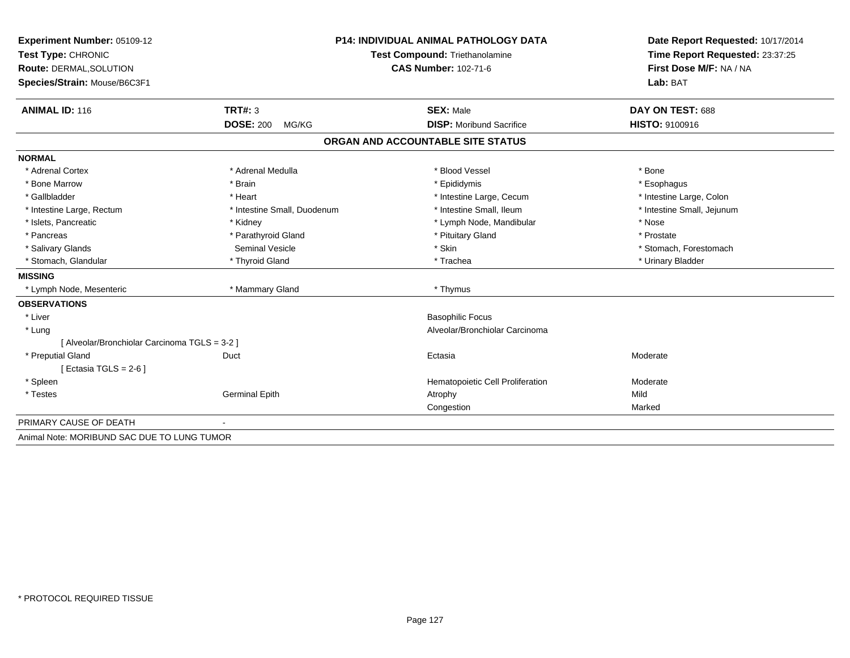| Experiment Number: 05109-12                   |                             | <b>P14: INDIVIDUAL ANIMAL PATHOLOGY DATA</b> | Date Report Requested: 10/17/2014 |  |
|-----------------------------------------------|-----------------------------|----------------------------------------------|-----------------------------------|--|
| Test Type: CHRONIC                            |                             | <b>Test Compound: Triethanolamine</b>        | Time Report Requested: 23:37:25   |  |
| Route: DERMAL, SOLUTION                       |                             | <b>CAS Number: 102-71-6</b>                  | First Dose M/F: NA / NA           |  |
| Species/Strain: Mouse/B6C3F1                  |                             |                                              | Lab: BAT                          |  |
| <b>ANIMAL ID: 116</b>                         | <b>TRT#: 3</b>              | <b>SEX: Male</b>                             | DAY ON TEST: 688                  |  |
|                                               | <b>DOSE: 200</b><br>MG/KG   | <b>DISP:</b> Moribund Sacrifice              | <b>HISTO: 9100916</b>             |  |
|                                               |                             | ORGAN AND ACCOUNTABLE SITE STATUS            |                                   |  |
| <b>NORMAL</b>                                 |                             |                                              |                                   |  |
| * Adrenal Cortex                              | * Adrenal Medulla           | * Blood Vessel                               | * Bone                            |  |
| * Bone Marrow                                 | * Brain                     | * Epididymis                                 | * Esophagus                       |  |
| * Gallbladder                                 | * Heart                     | * Intestine Large, Cecum                     | * Intestine Large, Colon          |  |
| * Intestine Large, Rectum                     | * Intestine Small. Duodenum | * Intestine Small. Ileum                     | * Intestine Small, Jejunum        |  |
| * Islets, Pancreatic                          | * Kidney                    | * Lymph Node, Mandibular                     | * Nose                            |  |
| * Pancreas                                    | * Parathyroid Gland         | * Pituitary Gland                            | * Prostate                        |  |
| * Salivary Glands                             | Seminal Vesicle             | * Skin                                       | * Stomach, Forestomach            |  |
| * Stomach, Glandular                          | * Thyroid Gland             | * Trachea                                    | * Urinary Bladder                 |  |
| <b>MISSING</b>                                |                             |                                              |                                   |  |
| * Lymph Node, Mesenteric                      | * Mammary Gland             | * Thymus                                     |                                   |  |
| <b>OBSERVATIONS</b>                           |                             |                                              |                                   |  |
| * Liver                                       |                             | <b>Basophilic Focus</b>                      |                                   |  |
| * Lung                                        |                             | Alveolar/Bronchiolar Carcinoma               |                                   |  |
| [ Alveolar/Bronchiolar Carcinoma TGLS = 3-2 ] |                             |                                              |                                   |  |
| * Preputial Gland                             | Duct                        | Ectasia                                      | Moderate                          |  |
| [ Ectasia TGLS = $2-6$ ]                      |                             |                                              |                                   |  |
| * Spleen                                      |                             | Hematopoietic Cell Proliferation             | Moderate                          |  |
| * Testes                                      | <b>Germinal Epith</b>       | Atrophy                                      | Mild                              |  |
|                                               |                             | Congestion                                   | Marked                            |  |
| PRIMARY CAUSE OF DEATH                        |                             |                                              |                                   |  |
| Animal Note: MORIBUND SAC DUE TO LUNG TUMOR   |                             |                                              |                                   |  |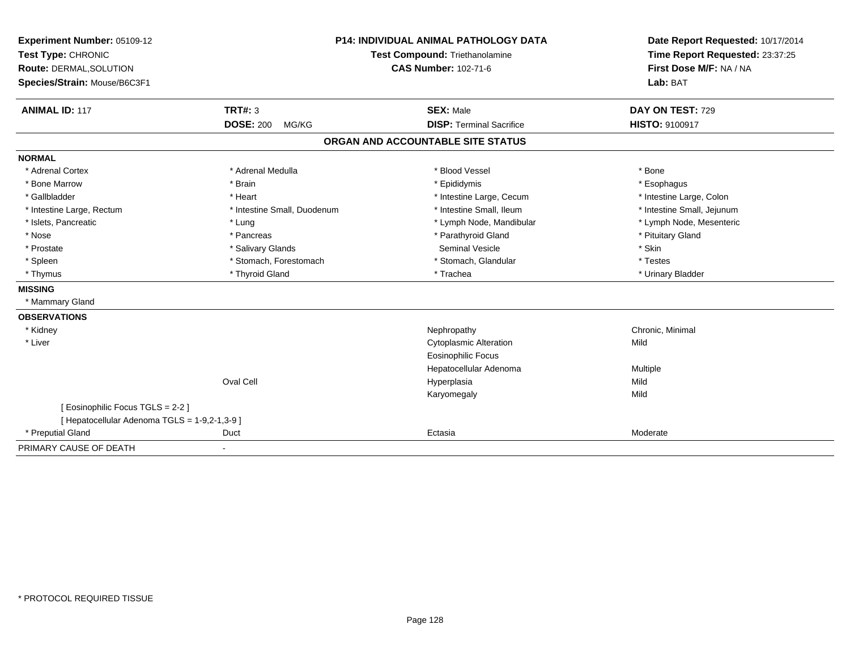| Experiment Number: 05109-12                   | <b>P14: INDIVIDUAL ANIMAL PATHOLOGY DATA</b> |                                   | Date Report Requested: 10/17/2014 |  |
|-----------------------------------------------|----------------------------------------------|-----------------------------------|-----------------------------------|--|
| Test Type: CHRONIC                            |                                              | Test Compound: Triethanolamine    | Time Report Requested: 23:37:25   |  |
| Route: DERMAL, SOLUTION                       |                                              | <b>CAS Number: 102-71-6</b>       | First Dose M/F: NA / NA           |  |
| Species/Strain: Mouse/B6C3F1                  |                                              |                                   | Lab: BAT                          |  |
| <b>ANIMAL ID: 117</b>                         | <b>TRT#: 3</b>                               | <b>SEX: Male</b>                  | DAY ON TEST: 729                  |  |
|                                               | <b>DOSE: 200</b><br>MG/KG                    | <b>DISP: Terminal Sacrifice</b>   | <b>HISTO: 9100917</b>             |  |
|                                               |                                              | ORGAN AND ACCOUNTABLE SITE STATUS |                                   |  |
| <b>NORMAL</b>                                 |                                              |                                   |                                   |  |
| * Adrenal Cortex                              | * Adrenal Medulla                            | * Blood Vessel                    | * Bone                            |  |
| * Bone Marrow                                 | * Brain                                      | * Epididymis                      | * Esophagus                       |  |
| * Gallbladder                                 | * Heart                                      | * Intestine Large, Cecum          | * Intestine Large, Colon          |  |
| * Intestine Large, Rectum                     | * Intestine Small, Duodenum                  | * Intestine Small, Ileum          | * Intestine Small, Jejunum        |  |
| * Islets, Pancreatic                          | * Lung                                       | * Lymph Node, Mandibular          | * Lymph Node, Mesenteric          |  |
| * Nose                                        | * Pancreas                                   | * Parathyroid Gland               | * Pituitary Gland                 |  |
| * Prostate                                    | * Salivary Glands                            | <b>Seminal Vesicle</b>            | * Skin                            |  |
| * Spleen                                      | * Stomach, Forestomach                       | * Stomach, Glandular              | * Testes                          |  |
| * Thymus                                      | * Thyroid Gland                              | * Trachea                         | * Urinary Bladder                 |  |
| <b>MISSING</b>                                |                                              |                                   |                                   |  |
| * Mammary Gland                               |                                              |                                   |                                   |  |
| <b>OBSERVATIONS</b>                           |                                              |                                   |                                   |  |
| * Kidney                                      |                                              | Nephropathy                       | Chronic, Minimal                  |  |
| * Liver                                       |                                              | <b>Cytoplasmic Alteration</b>     | Mild                              |  |
|                                               |                                              | <b>Eosinophilic Focus</b>         |                                   |  |
|                                               |                                              | Hepatocellular Adenoma            | Multiple                          |  |
|                                               | Oval Cell                                    | Hyperplasia                       | Mild                              |  |
|                                               |                                              | Karyomegaly                       | Mild                              |  |
| [ Eosinophilic Focus TGLS = 2-2 ]             |                                              |                                   |                                   |  |
| [ Hepatocellular Adenoma TGLS = 1-9,2-1,3-9 ] |                                              |                                   |                                   |  |
| * Preputial Gland                             | Duct                                         | Ectasia                           | Moderate                          |  |
| PRIMARY CAUSE OF DEATH                        | $\blacksquare$                               |                                   |                                   |  |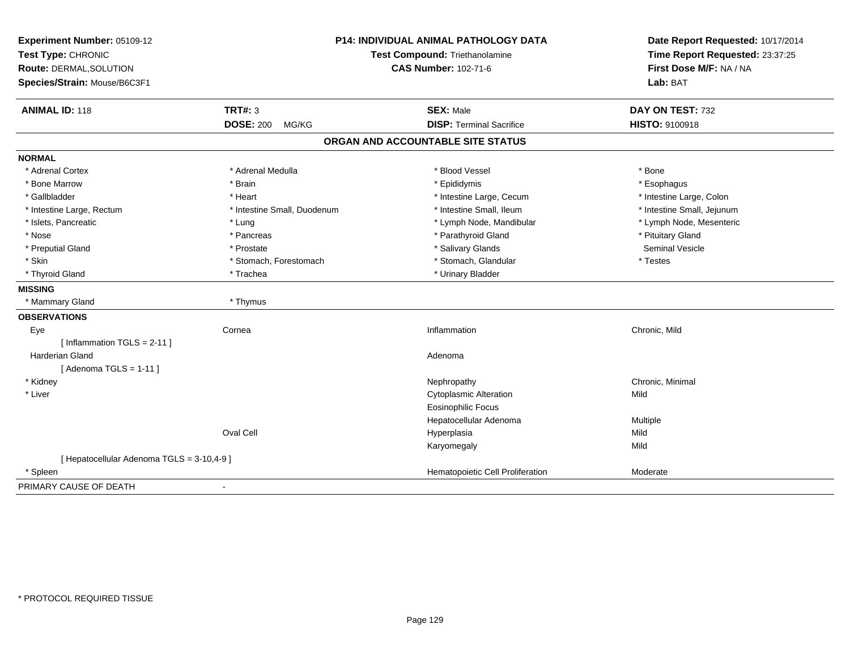| Experiment Number: 05109-12<br>Test Type: CHRONIC<br>Route: DERMAL, SOLUTION<br>Species/Strain: Mouse/B6C3F1 |                             | <b>P14: INDIVIDUAL ANIMAL PATHOLOGY DATA</b><br>Test Compound: Triethanolamine<br><b>CAS Number: 102-71-6</b> | Date Report Requested: 10/17/2014<br>Time Report Requested: 23:37:25<br>First Dose M/F: NA / NA<br>Lab: BAT |  |
|--------------------------------------------------------------------------------------------------------------|-----------------------------|---------------------------------------------------------------------------------------------------------------|-------------------------------------------------------------------------------------------------------------|--|
| <b>ANIMAL ID: 118</b>                                                                                        | <b>TRT#: 3</b>              | <b>SEX: Male</b>                                                                                              | DAY ON TEST: 732                                                                                            |  |
|                                                                                                              | <b>DOSE: 200</b><br>MG/KG   | <b>DISP: Terminal Sacrifice</b>                                                                               | <b>HISTO: 9100918</b>                                                                                       |  |
|                                                                                                              |                             | ORGAN AND ACCOUNTABLE SITE STATUS                                                                             |                                                                                                             |  |
| <b>NORMAL</b>                                                                                                |                             |                                                                                                               |                                                                                                             |  |
| * Adrenal Cortex                                                                                             | * Adrenal Medulla           | * Blood Vessel                                                                                                | * Bone                                                                                                      |  |
| * Bone Marrow                                                                                                | * Brain                     | * Epididymis                                                                                                  | * Esophagus                                                                                                 |  |
| * Gallbladder                                                                                                | * Heart                     | * Intestine Large, Cecum                                                                                      | * Intestine Large, Colon                                                                                    |  |
| * Intestine Large, Rectum                                                                                    | * Intestine Small, Duodenum | * Intestine Small, Ileum                                                                                      | * Intestine Small, Jejunum                                                                                  |  |
| * Islets, Pancreatic                                                                                         | * Lung                      | * Lymph Node, Mandibular                                                                                      | * Lymph Node, Mesenteric                                                                                    |  |
| * Nose                                                                                                       | * Pancreas                  | * Parathyroid Gland                                                                                           | * Pituitary Gland                                                                                           |  |
| * Preputial Gland                                                                                            | * Prostate                  | * Salivary Glands                                                                                             | <b>Seminal Vesicle</b>                                                                                      |  |
| * Skin                                                                                                       | * Stomach, Forestomach      | * Stomach, Glandular                                                                                          | * Testes                                                                                                    |  |
| * Thyroid Gland                                                                                              | * Trachea                   | * Urinary Bladder                                                                                             |                                                                                                             |  |
| <b>MISSING</b>                                                                                               |                             |                                                                                                               |                                                                                                             |  |
| * Mammary Gland                                                                                              | * Thymus                    |                                                                                                               |                                                                                                             |  |
| <b>OBSERVATIONS</b>                                                                                          |                             |                                                                                                               |                                                                                                             |  |
| Eye                                                                                                          | Cornea                      | Inflammation                                                                                                  | Chronic, Mild                                                                                               |  |
| [Inflammation TGLS = $2-11$ ]                                                                                |                             |                                                                                                               |                                                                                                             |  |
| <b>Harderian Gland</b>                                                                                       |                             | Adenoma                                                                                                       |                                                                                                             |  |
| [Adenoma TGLS = $1-11$ ]                                                                                     |                             |                                                                                                               |                                                                                                             |  |
| * Kidney                                                                                                     |                             | Nephropathy                                                                                                   | Chronic, Minimal                                                                                            |  |
| * Liver                                                                                                      |                             | <b>Cytoplasmic Alteration</b>                                                                                 | Mild                                                                                                        |  |
|                                                                                                              |                             | <b>Eosinophilic Focus</b>                                                                                     |                                                                                                             |  |
|                                                                                                              |                             | Hepatocellular Adenoma                                                                                        | Multiple                                                                                                    |  |
|                                                                                                              | Oval Cell                   | Hyperplasia                                                                                                   | Mild                                                                                                        |  |
|                                                                                                              |                             | Karyomegaly                                                                                                   | Mild                                                                                                        |  |
| [ Hepatocellular Adenoma TGLS = 3-10,4-9 ]                                                                   |                             |                                                                                                               |                                                                                                             |  |
| * Spleen                                                                                                     |                             | Hematopoietic Cell Proliferation                                                                              | Moderate                                                                                                    |  |
| PRIMARY CAUSE OF DEATH                                                                                       | $\blacksquare$              |                                                                                                               |                                                                                                             |  |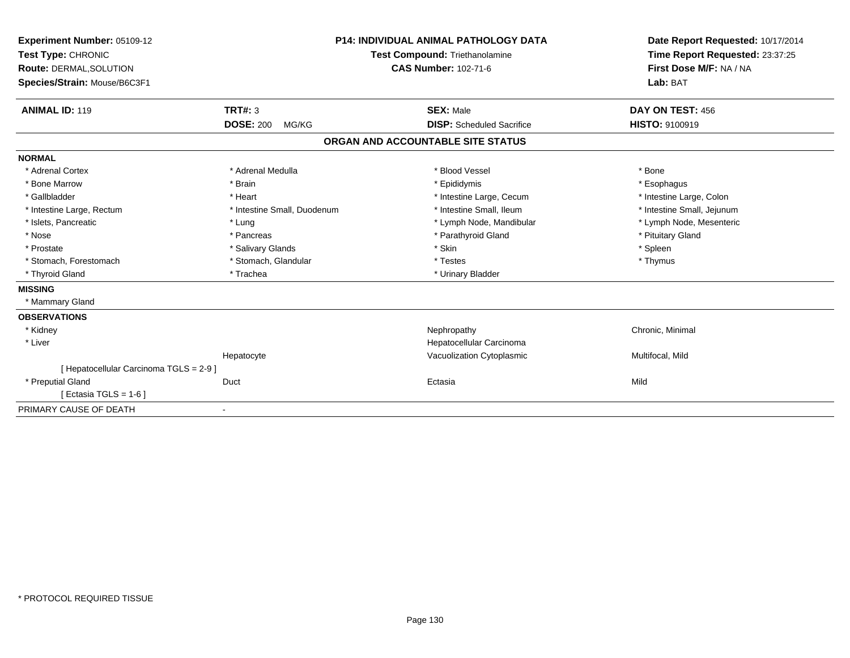| Experiment Number: 05109-12<br>Test Type: CHRONIC<br>Route: DERMAL, SOLUTION<br>Species/Strain: Mouse/B6C3F1 | <b>P14: INDIVIDUAL ANIMAL PATHOLOGY DATA</b><br><b>Test Compound: Triethanolamine</b><br><b>CAS Number: 102-71-6</b> |                                                      |                          | Date Report Requested: 10/17/2014<br>Time Report Requested: 23:37:25<br>First Dose M/F: NA / NA<br>Lab: BAT |  |
|--------------------------------------------------------------------------------------------------------------|----------------------------------------------------------------------------------------------------------------------|------------------------------------------------------|--------------------------|-------------------------------------------------------------------------------------------------------------|--|
| <b>ANIMAL ID: 119</b>                                                                                        | <b>TRT#: 3</b><br><b>DOSE: 200</b><br>MG/KG                                                                          | <b>SEX: Male</b><br><b>DISP:</b> Scheduled Sacrifice |                          | DAY ON TEST: 456<br>HISTO: 9100919                                                                          |  |
|                                                                                                              |                                                                                                                      |                                                      |                          |                                                                                                             |  |
|                                                                                                              |                                                                                                                      | ORGAN AND ACCOUNTABLE SITE STATUS                    |                          |                                                                                                             |  |
| <b>NORMAL</b>                                                                                                |                                                                                                                      |                                                      |                          |                                                                                                             |  |
| * Adrenal Cortex                                                                                             | * Adrenal Medulla                                                                                                    | * Blood Vessel                                       |                          | * Bone                                                                                                      |  |
| * Bone Marrow                                                                                                | * Brain                                                                                                              | * Epididymis                                         |                          | * Esophagus                                                                                                 |  |
| * Gallbladder                                                                                                | * Heart                                                                                                              | * Intestine Large, Cecum                             |                          | * Intestine Large, Colon                                                                                    |  |
| * Intestine Large, Rectum                                                                                    | * Intestine Small, Duodenum                                                                                          | * Intestine Small. Ileum                             |                          | * Intestine Small, Jejunum                                                                                  |  |
| * Islets, Pancreatic                                                                                         | * Lung                                                                                                               |                                                      | * Lymph Node, Mandibular | * Lymph Node, Mesenteric                                                                                    |  |
| * Nose                                                                                                       | * Pancreas                                                                                                           | * Parathyroid Gland                                  |                          | * Pituitary Gland                                                                                           |  |
| * Prostate                                                                                                   | * Salivary Glands                                                                                                    | * Skin                                               |                          | * Spleen                                                                                                    |  |
| * Stomach, Forestomach                                                                                       | * Stomach, Glandular                                                                                                 | * Testes                                             |                          | * Thymus                                                                                                    |  |
| * Thyroid Gland                                                                                              | * Trachea                                                                                                            | * Urinary Bladder                                    |                          |                                                                                                             |  |
| <b>MISSING</b>                                                                                               |                                                                                                                      |                                                      |                          |                                                                                                             |  |
| * Mammary Gland                                                                                              |                                                                                                                      |                                                      |                          |                                                                                                             |  |
| <b>OBSERVATIONS</b>                                                                                          |                                                                                                                      |                                                      |                          |                                                                                                             |  |
| * Kidney                                                                                                     |                                                                                                                      | Nephropathy                                          |                          | Chronic, Minimal                                                                                            |  |
| * Liver                                                                                                      |                                                                                                                      | Hepatocellular Carcinoma                             |                          |                                                                                                             |  |
|                                                                                                              | Hepatocyte                                                                                                           | Vacuolization Cytoplasmic                            |                          | Multifocal, Mild                                                                                            |  |
| [ Hepatocellular Carcinoma TGLS = 2-9 ]                                                                      |                                                                                                                      |                                                      |                          |                                                                                                             |  |
| * Preputial Gland                                                                                            | Duct                                                                                                                 | Ectasia                                              |                          | Mild                                                                                                        |  |
| [ Ectasia TGLS = $1-6$ ]                                                                                     |                                                                                                                      |                                                      |                          |                                                                                                             |  |
| PRIMARY CAUSE OF DEATH                                                                                       | $\overline{\phantom{a}}$                                                                                             |                                                      |                          |                                                                                                             |  |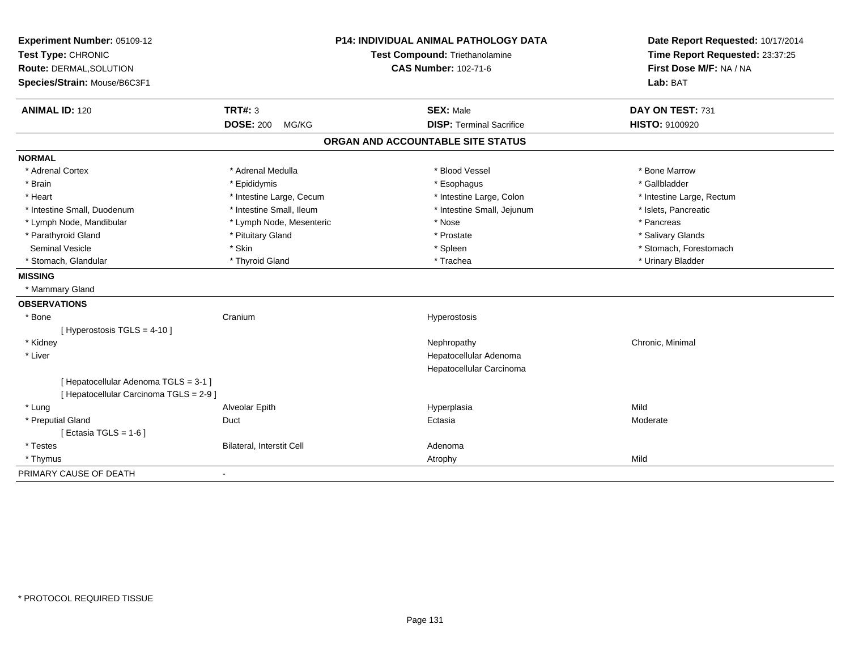| Experiment Number: 05109-12<br>Test Type: CHRONIC<br>Route: DERMAL, SOLUTION | <b>P14: INDIVIDUAL ANIMAL PATHOLOGY DATA</b><br>Test Compound: Triethanolamine<br><b>CAS Number: 102-71-6</b> |  | Date Report Requested: 10/17/2014<br>Time Report Requested: 23:37:25<br>First Dose M/F: NA / NA |                           |
|------------------------------------------------------------------------------|---------------------------------------------------------------------------------------------------------------|--|-------------------------------------------------------------------------------------------------|---------------------------|
| Species/Strain: Mouse/B6C3F1                                                 |                                                                                                               |  |                                                                                                 | Lab: BAT                  |
| <b>ANIMAL ID: 120</b>                                                        | <b>TRT#: 3</b>                                                                                                |  | <b>SEX: Male</b>                                                                                | DAY ON TEST: 731          |
|                                                                              | <b>DOSE: 200</b><br>MG/KG                                                                                     |  | <b>DISP: Terminal Sacrifice</b>                                                                 | HISTO: 9100920            |
|                                                                              |                                                                                                               |  | ORGAN AND ACCOUNTABLE SITE STATUS                                                               |                           |
| <b>NORMAL</b>                                                                |                                                                                                               |  |                                                                                                 |                           |
| * Adrenal Cortex                                                             | * Adrenal Medulla                                                                                             |  | * Blood Vessel                                                                                  | * Bone Marrow             |
| * Brain                                                                      | * Epididymis                                                                                                  |  | * Esophagus                                                                                     | * Gallbladder             |
| * Heart                                                                      | * Intestine Large, Cecum                                                                                      |  | * Intestine Large, Colon                                                                        | * Intestine Large, Rectum |
| * Intestine Small, Duodenum                                                  | * Intestine Small, Ileum                                                                                      |  | * Intestine Small, Jejunum                                                                      | * Islets, Pancreatic      |
| * Lymph Node, Mandibular                                                     | * Lymph Node, Mesenteric                                                                                      |  | * Nose                                                                                          | * Pancreas                |
| * Parathyroid Gland                                                          | * Pituitary Gland                                                                                             |  | * Prostate                                                                                      | * Salivary Glands         |
| <b>Seminal Vesicle</b>                                                       | * Skin                                                                                                        |  | * Spleen                                                                                        | * Stomach, Forestomach    |
| * Stomach, Glandular                                                         | * Thyroid Gland                                                                                               |  | * Trachea                                                                                       | * Urinary Bladder         |
| <b>MISSING</b>                                                               |                                                                                                               |  |                                                                                                 |                           |
| * Mammary Gland                                                              |                                                                                                               |  |                                                                                                 |                           |
| <b>OBSERVATIONS</b>                                                          |                                                                                                               |  |                                                                                                 |                           |
| * Bone                                                                       | Cranium                                                                                                       |  | Hyperostosis                                                                                    |                           |
| [Hyperostosis TGLS = $4-10$ ]                                                |                                                                                                               |  |                                                                                                 |                           |
| * Kidney                                                                     |                                                                                                               |  | Nephropathy                                                                                     | Chronic, Minimal          |
| * Liver                                                                      |                                                                                                               |  | Hepatocellular Adenoma                                                                          |                           |
|                                                                              |                                                                                                               |  | Hepatocellular Carcinoma                                                                        |                           |
| [ Hepatocellular Adenoma TGLS = 3-1 ]                                        |                                                                                                               |  |                                                                                                 |                           |
| [ Hepatocellular Carcinoma TGLS = 2-9 ]                                      |                                                                                                               |  |                                                                                                 |                           |
| * Lung                                                                       | Alveolar Epith                                                                                                |  | Hyperplasia                                                                                     | Mild                      |
| * Preputial Gland                                                            | Duct                                                                                                          |  | Ectasia                                                                                         | Moderate                  |
| [Ectasia TGLS = $1-6$ ]                                                      |                                                                                                               |  |                                                                                                 |                           |
| * Testes                                                                     | Bilateral, Interstit Cell                                                                                     |  | Adenoma                                                                                         |                           |
| * Thymus                                                                     |                                                                                                               |  | Atrophy                                                                                         | Mild                      |
| PRIMARY CAUSE OF DEATH                                                       |                                                                                                               |  |                                                                                                 |                           |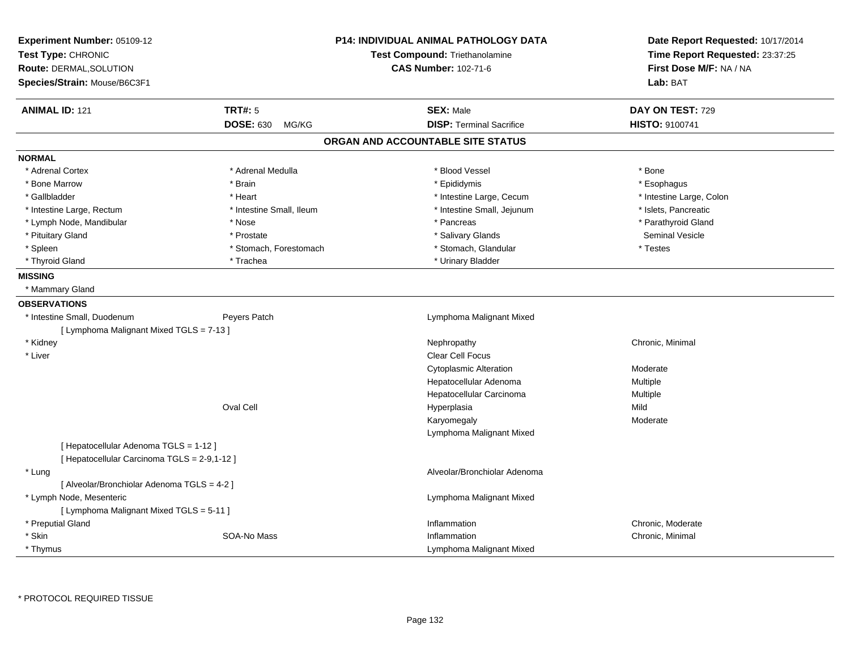| Experiment Number: 05109-12<br>Test Type: CHRONIC<br><b>Route: DERMAL, SOLUTION</b> |                           | <b>P14: INDIVIDUAL ANIMAL PATHOLOGY DATA</b> | Date Report Requested: 10/17/2014 |  |
|-------------------------------------------------------------------------------------|---------------------------|----------------------------------------------|-----------------------------------|--|
|                                                                                     |                           | Test Compound: Triethanolamine               | Time Report Requested: 23:37:25   |  |
|                                                                                     |                           | <b>CAS Number: 102-71-6</b>                  | First Dose M/F: NA / NA           |  |
| Species/Strain: Mouse/B6C3F1                                                        |                           |                                              | Lab: BAT                          |  |
| <b>ANIMAL ID: 121</b>                                                               | TRT#: 5                   | <b>SEX: Male</b>                             | DAY ON TEST: 729                  |  |
|                                                                                     | <b>DOSE: 630</b><br>MG/KG | <b>DISP: Terminal Sacrifice</b>              | <b>HISTO: 9100741</b>             |  |
|                                                                                     |                           | ORGAN AND ACCOUNTABLE SITE STATUS            |                                   |  |
| <b>NORMAL</b>                                                                       |                           |                                              |                                   |  |
| * Adrenal Cortex                                                                    | * Adrenal Medulla         | * Blood Vessel                               | * Bone                            |  |
| * Bone Marrow                                                                       | * Brain                   | * Epididymis                                 | * Esophagus                       |  |
| * Gallbladder                                                                       | * Heart                   | * Intestine Large, Cecum                     | * Intestine Large, Colon          |  |
| * Intestine Large, Rectum                                                           | * Intestine Small, Ileum  | * Intestine Small, Jejunum                   | * Islets, Pancreatic              |  |
| * Lymph Node, Mandibular                                                            | * Nose                    | * Pancreas                                   | * Parathyroid Gland               |  |
| * Pituitary Gland                                                                   | * Prostate                | * Salivary Glands                            | <b>Seminal Vesicle</b>            |  |
| * Spleen                                                                            | * Stomach, Forestomach    | * Stomach, Glandular                         | * Testes                          |  |
| * Thyroid Gland                                                                     | * Trachea                 | * Urinary Bladder                            |                                   |  |
| <b>MISSING</b>                                                                      |                           |                                              |                                   |  |
| * Mammary Gland                                                                     |                           |                                              |                                   |  |
| <b>OBSERVATIONS</b>                                                                 |                           |                                              |                                   |  |
| * Intestine Small, Duodenum                                                         | Peyers Patch              | Lymphoma Malignant Mixed                     |                                   |  |
| [ Lymphoma Malignant Mixed TGLS = 7-13 ]                                            |                           |                                              |                                   |  |
| * Kidney                                                                            |                           | Nephropathy                                  | Chronic, Minimal                  |  |
| * Liver                                                                             |                           | Clear Cell Focus                             |                                   |  |
|                                                                                     |                           | <b>Cytoplasmic Alteration</b>                | Moderate                          |  |
|                                                                                     |                           | Hepatocellular Adenoma                       | Multiple                          |  |
|                                                                                     |                           | Hepatocellular Carcinoma                     | Multiple                          |  |
|                                                                                     | Oval Cell                 | Hyperplasia                                  | Mild                              |  |
|                                                                                     |                           | Karyomegaly                                  | Moderate                          |  |
|                                                                                     |                           | Lymphoma Malignant Mixed                     |                                   |  |
| [ Hepatocellular Adenoma TGLS = 1-12 ]                                              |                           |                                              |                                   |  |
| [ Hepatocellular Carcinoma TGLS = 2-9,1-12 ]                                        |                           |                                              |                                   |  |
| * Lung                                                                              |                           | Alveolar/Bronchiolar Adenoma                 |                                   |  |
| [ Alveolar/Bronchiolar Adenoma TGLS = 4-2 ]                                         |                           |                                              |                                   |  |
| * Lymph Node, Mesenteric                                                            |                           | Lymphoma Malignant Mixed                     |                                   |  |
| [ Lymphoma Malignant Mixed TGLS = 5-11 ]                                            |                           |                                              |                                   |  |
| * Preputial Gland                                                                   |                           | Inflammation                                 | Chronic, Moderate                 |  |
| * Skin                                                                              | SOA-No Mass               | Inflammation                                 | Chronic, Minimal                  |  |
| * Thymus                                                                            |                           | Lymphoma Malignant Mixed                     |                                   |  |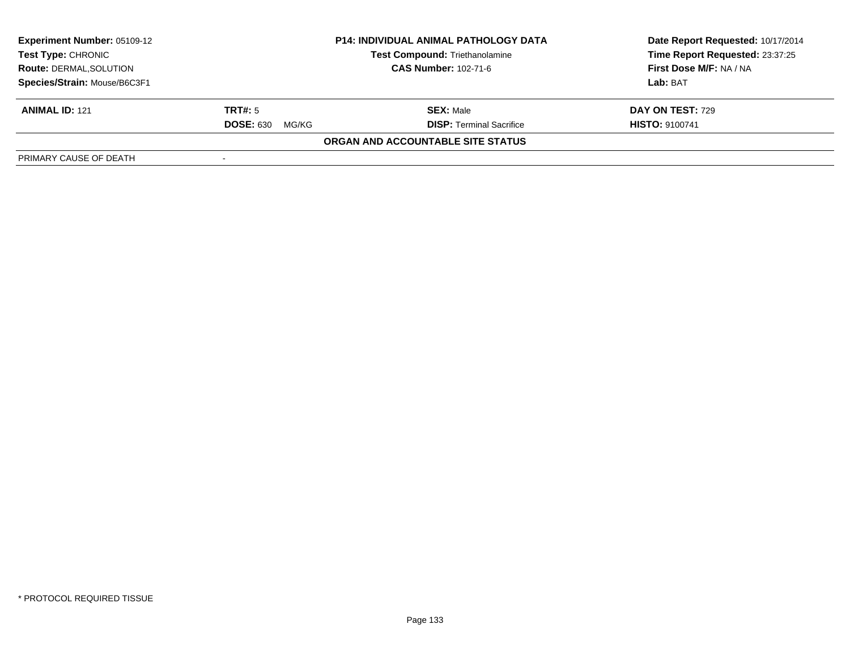| <b>Experiment Number: 05109-12</b> |                             | <b>P14: INDIVIDUAL ANIMAL PATHOLOGY DATA</b> | Date Report Requested: 10/17/2014 |
|------------------------------------|-----------------------------|----------------------------------------------|-----------------------------------|
| Test Type: CHRONIC                 |                             | Test Compound: Triethanolamine               | Time Report Requested: 23:37:25   |
| <b>Route: DERMAL, SOLUTION</b>     | <b>CAS Number: 102-71-6</b> |                                              | First Dose M/F: NA / NA           |
| Species/Strain: Mouse/B6C3F1       |                             |                                              | Lab: BAT                          |
| <b>ANIMAL ID: 121</b>              | TRT#: 5                     | <b>SEX: Male</b>                             | <b>DAY ON TEST: 729</b>           |
|                                    | <b>DOSE: 630</b><br>MG/KG   | <b>DISP:</b> Terminal Sacrifice              | <b>HISTO: 9100741</b>             |
|                                    |                             | ORGAN AND ACCOUNTABLE SITE STATUS            |                                   |
| PRIMARY CAUSE OF DEATH             |                             |                                              |                                   |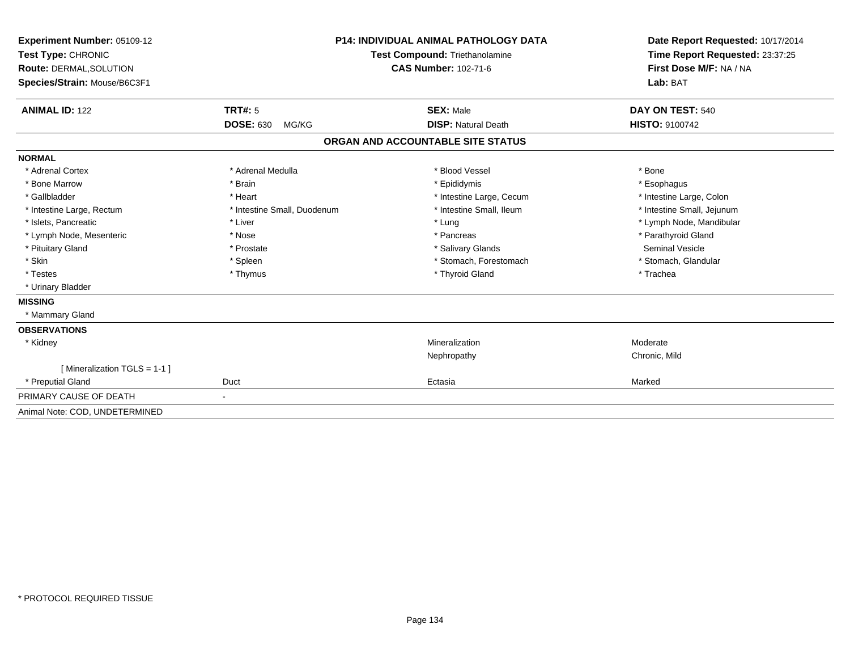| Experiment Number: 05109-12<br>Test Type: CHRONIC<br>Route: DERMAL, SOLUTION<br>Species/Strain: Mouse/B6C3F1 |                             | <b>P14: INDIVIDUAL ANIMAL PATHOLOGY DATA</b><br><b>Test Compound: Triethanolamine</b><br><b>CAS Number: 102-71-6</b> | Date Report Requested: 10/17/2014<br>Time Report Requested: 23:37:25<br>First Dose M/F: NA / NA<br>Lab: BAT |
|--------------------------------------------------------------------------------------------------------------|-----------------------------|----------------------------------------------------------------------------------------------------------------------|-------------------------------------------------------------------------------------------------------------|
| <b>ANIMAL ID: 122</b>                                                                                        | <b>TRT#: 5</b>              | <b>SEX: Male</b>                                                                                                     | DAY ON TEST: 540                                                                                            |
|                                                                                                              | <b>DOSE: 630</b><br>MG/KG   | <b>DISP: Natural Death</b>                                                                                           | <b>HISTO: 9100742</b>                                                                                       |
|                                                                                                              |                             | ORGAN AND ACCOUNTABLE SITE STATUS                                                                                    |                                                                                                             |
| <b>NORMAL</b>                                                                                                |                             |                                                                                                                      |                                                                                                             |
| * Adrenal Cortex                                                                                             | * Adrenal Medulla           | * Blood Vessel                                                                                                       | * Bone                                                                                                      |
| * Bone Marrow                                                                                                | * Brain                     | * Epididymis                                                                                                         | * Esophagus                                                                                                 |
| * Gallbladder                                                                                                | * Heart                     | * Intestine Large, Cecum                                                                                             | * Intestine Large, Colon                                                                                    |
| * Intestine Large, Rectum                                                                                    | * Intestine Small, Duodenum | * Intestine Small. Ileum                                                                                             | * Intestine Small, Jejunum                                                                                  |
| * Islets, Pancreatic                                                                                         | * Liver                     | * Lung                                                                                                               | * Lymph Node, Mandibular                                                                                    |
| * Lymph Node, Mesenteric                                                                                     | * Nose                      | * Pancreas                                                                                                           | * Parathyroid Gland                                                                                         |
| * Pituitary Gland                                                                                            | * Prostate                  | * Salivary Glands                                                                                                    | <b>Seminal Vesicle</b>                                                                                      |
| * Skin                                                                                                       | * Spleen                    | * Stomach, Forestomach                                                                                               | * Stomach, Glandular                                                                                        |
| * Testes                                                                                                     | * Thymus                    | * Thyroid Gland                                                                                                      | * Trachea                                                                                                   |
| * Urinary Bladder                                                                                            |                             |                                                                                                                      |                                                                                                             |
| <b>MISSING</b>                                                                                               |                             |                                                                                                                      |                                                                                                             |
| * Mammary Gland                                                                                              |                             |                                                                                                                      |                                                                                                             |
| <b>OBSERVATIONS</b>                                                                                          |                             |                                                                                                                      |                                                                                                             |
| * Kidney                                                                                                     |                             | Mineralization                                                                                                       | Moderate                                                                                                    |
|                                                                                                              |                             | Nephropathy                                                                                                          | Chronic, Mild                                                                                               |
| [ Mineralization TGLS = 1-1 ]                                                                                |                             |                                                                                                                      |                                                                                                             |
| * Preputial Gland                                                                                            | Duct                        | Ectasia                                                                                                              | Marked                                                                                                      |
| PRIMARY CAUSE OF DEATH                                                                                       | $\overline{\phantom{a}}$    |                                                                                                                      |                                                                                                             |
| Animal Note: COD, UNDETERMINED                                                                               |                             |                                                                                                                      |                                                                                                             |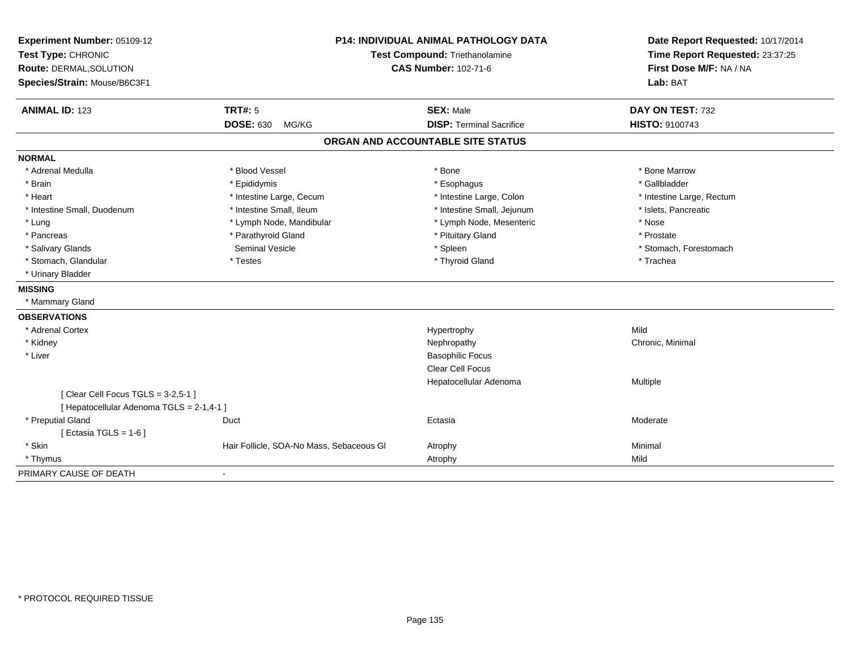| Experiment Number: 05109-12<br>Test Type: CHRONIC<br>Route: DERMAL, SOLUTION<br>Species/Strain: Mouse/B6C3F1 | <b>P14: INDIVIDUAL ANIMAL PATHOLOGY DATA</b><br>Test Compound: Triethanolamine<br><b>CAS Number: 102-71-6</b> |                                   | Date Report Requested: 10/17/2014<br>Time Report Requested: 23:37:25<br>First Dose M/F: NA / NA<br>Lab: BAT |  |
|--------------------------------------------------------------------------------------------------------------|---------------------------------------------------------------------------------------------------------------|-----------------------------------|-------------------------------------------------------------------------------------------------------------|--|
| <b>ANIMAL ID: 123</b>                                                                                        | <b>TRT#: 5</b>                                                                                                | <b>SEX: Male</b>                  | DAY ON TEST: 732                                                                                            |  |
|                                                                                                              | <b>DOSE: 630</b><br>MG/KG                                                                                     | <b>DISP: Terminal Sacrifice</b>   | HISTO: 9100743                                                                                              |  |
|                                                                                                              |                                                                                                               | ORGAN AND ACCOUNTABLE SITE STATUS |                                                                                                             |  |
| <b>NORMAL</b>                                                                                                |                                                                                                               |                                   |                                                                                                             |  |
| * Adrenal Medulla                                                                                            | * Blood Vessel                                                                                                | * Bone                            | * Bone Marrow                                                                                               |  |
| * Brain                                                                                                      | * Epididymis                                                                                                  | * Esophagus                       | * Gallbladder                                                                                               |  |
| * Heart                                                                                                      | * Intestine Large, Cecum                                                                                      | * Intestine Large, Colon          | * Intestine Large, Rectum                                                                                   |  |
| * Intestine Small, Duodenum                                                                                  | * Intestine Small, Ileum                                                                                      | * Intestine Small, Jejunum        | * Islets, Pancreatic                                                                                        |  |
| * Lung                                                                                                       | * Lymph Node, Mandibular                                                                                      | * Lymph Node, Mesenteric          | * Nose                                                                                                      |  |
| * Pancreas                                                                                                   | * Parathyroid Gland                                                                                           | * Pituitary Gland                 | * Prostate                                                                                                  |  |
| * Salivary Glands                                                                                            | Seminal Vesicle                                                                                               | * Spleen                          | * Stomach, Forestomach                                                                                      |  |
| * Stomach, Glandular                                                                                         | * Testes                                                                                                      | * Thyroid Gland                   | * Trachea                                                                                                   |  |
| * Urinary Bladder                                                                                            |                                                                                                               |                                   |                                                                                                             |  |
| <b>MISSING</b>                                                                                               |                                                                                                               |                                   |                                                                                                             |  |
| * Mammary Gland                                                                                              |                                                                                                               |                                   |                                                                                                             |  |
| <b>OBSERVATIONS</b>                                                                                          |                                                                                                               |                                   |                                                                                                             |  |
| * Adrenal Cortex                                                                                             |                                                                                                               | Hypertrophy                       | Mild                                                                                                        |  |
| * Kidney                                                                                                     |                                                                                                               | Nephropathy                       | Chronic, Minimal                                                                                            |  |
| * Liver                                                                                                      |                                                                                                               | <b>Basophilic Focus</b>           |                                                                                                             |  |
|                                                                                                              |                                                                                                               | <b>Clear Cell Focus</b>           |                                                                                                             |  |
|                                                                                                              |                                                                                                               | Hepatocellular Adenoma            | Multiple                                                                                                    |  |
| [Clear Cell Focus TGLS = 3-2,5-1]                                                                            |                                                                                                               |                                   |                                                                                                             |  |
| [ Hepatocellular Adenoma TGLS = 2-1,4-1 ]                                                                    |                                                                                                               |                                   |                                                                                                             |  |
| * Preputial Gland                                                                                            | Duct                                                                                                          | Ectasia                           | Moderate                                                                                                    |  |
| [Ectasia TGLS = $1-6$ ]                                                                                      |                                                                                                               |                                   |                                                                                                             |  |
| * Skin                                                                                                       | Hair Follicle, SOA-No Mass, Sebaceous GI                                                                      | Atrophy                           | Minimal                                                                                                     |  |
| * Thymus                                                                                                     |                                                                                                               | Atrophy                           | Mild                                                                                                        |  |
| PRIMARY CAUSE OF DEATH                                                                                       |                                                                                                               |                                   |                                                                                                             |  |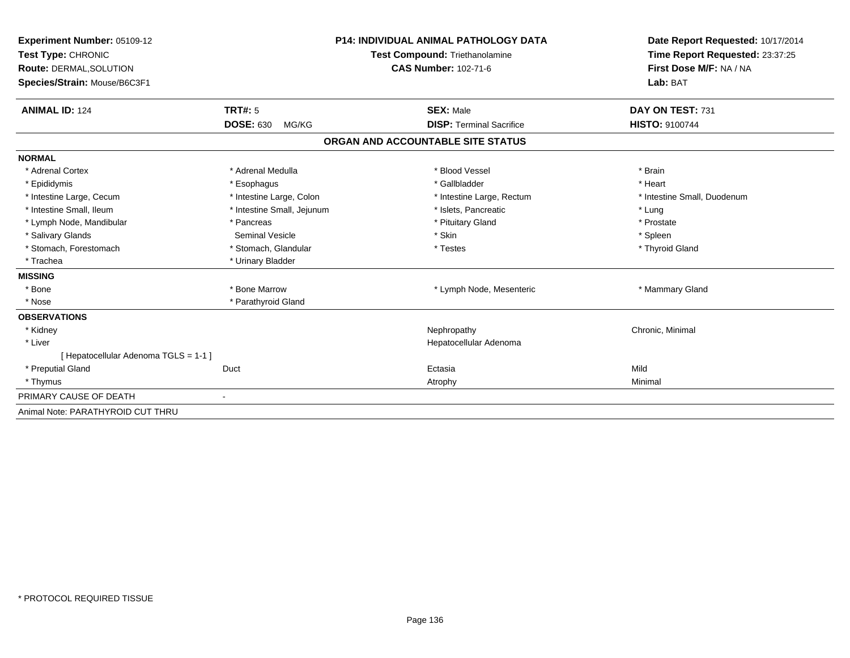| Experiment Number: 05109-12<br>Test Type: CHRONIC<br><b>Route: DERMAL, SOLUTION</b><br>Species/Strain: Mouse/B6C3F1 |                                             | P14: INDIVIDUAL ANIMAL PATHOLOGY DATA<br>Test Compound: Triethanolamine<br><b>CAS Number: 102-71-6</b> | Date Report Requested: 10/17/2014<br>Time Report Requested: 23:37:25<br>First Dose M/F: NA / NA<br>Lab: BAT |
|---------------------------------------------------------------------------------------------------------------------|---------------------------------------------|--------------------------------------------------------------------------------------------------------|-------------------------------------------------------------------------------------------------------------|
| <b>ANIMAL ID: 124</b>                                                                                               | <b>TRT#: 5</b><br><b>DOSE: 630</b><br>MG/KG | <b>SEX: Male</b><br><b>DISP: Terminal Sacrifice</b>                                                    | DAY ON TEST: 731<br><b>HISTO: 9100744</b>                                                                   |
|                                                                                                                     |                                             | ORGAN AND ACCOUNTABLE SITE STATUS                                                                      |                                                                                                             |
| <b>NORMAL</b>                                                                                                       |                                             |                                                                                                        |                                                                                                             |
| * Adrenal Cortex                                                                                                    | * Adrenal Medulla                           | * Blood Vessel                                                                                         | * Brain                                                                                                     |
| * Epididymis                                                                                                        | * Esophagus                                 | * Gallbladder                                                                                          | * Heart                                                                                                     |
| * Intestine Large, Cecum                                                                                            | * Intestine Large, Colon                    | * Intestine Large, Rectum                                                                              | * Intestine Small. Duodenum                                                                                 |
| * Intestine Small, Ileum                                                                                            | * Intestine Small, Jejunum                  | * Islets, Pancreatic                                                                                   | * Lung                                                                                                      |
| * Lymph Node, Mandibular                                                                                            | * Pancreas                                  | * Pituitary Gland                                                                                      | * Prostate                                                                                                  |
| * Salivary Glands                                                                                                   | <b>Seminal Vesicle</b>                      | * Skin                                                                                                 | * Spleen                                                                                                    |
| * Stomach, Forestomach                                                                                              | * Stomach, Glandular                        | * Testes                                                                                               | * Thyroid Gland                                                                                             |
| * Trachea                                                                                                           | * Urinary Bladder                           |                                                                                                        |                                                                                                             |
| <b>MISSING</b>                                                                                                      |                                             |                                                                                                        |                                                                                                             |
| * Bone                                                                                                              | * Bone Marrow                               | * Lymph Node, Mesenteric                                                                               | * Mammary Gland                                                                                             |
| * Nose                                                                                                              | * Parathyroid Gland                         |                                                                                                        |                                                                                                             |
| <b>OBSERVATIONS</b>                                                                                                 |                                             |                                                                                                        |                                                                                                             |
| * Kidney                                                                                                            |                                             | Nephropathy                                                                                            | Chronic, Minimal                                                                                            |
| * Liver                                                                                                             |                                             | Hepatocellular Adenoma                                                                                 |                                                                                                             |
| [ Hepatocellular Adenoma TGLS = 1-1 ]                                                                               |                                             |                                                                                                        |                                                                                                             |
| * Preputial Gland                                                                                                   | Duct                                        | Ectasia                                                                                                | Mild                                                                                                        |
| * Thymus                                                                                                            |                                             | Atrophy                                                                                                | Minimal                                                                                                     |
| PRIMARY CAUSE OF DEATH                                                                                              |                                             |                                                                                                        |                                                                                                             |
| Animal Note: PARATHYROID CUT THRU                                                                                   |                                             |                                                                                                        |                                                                                                             |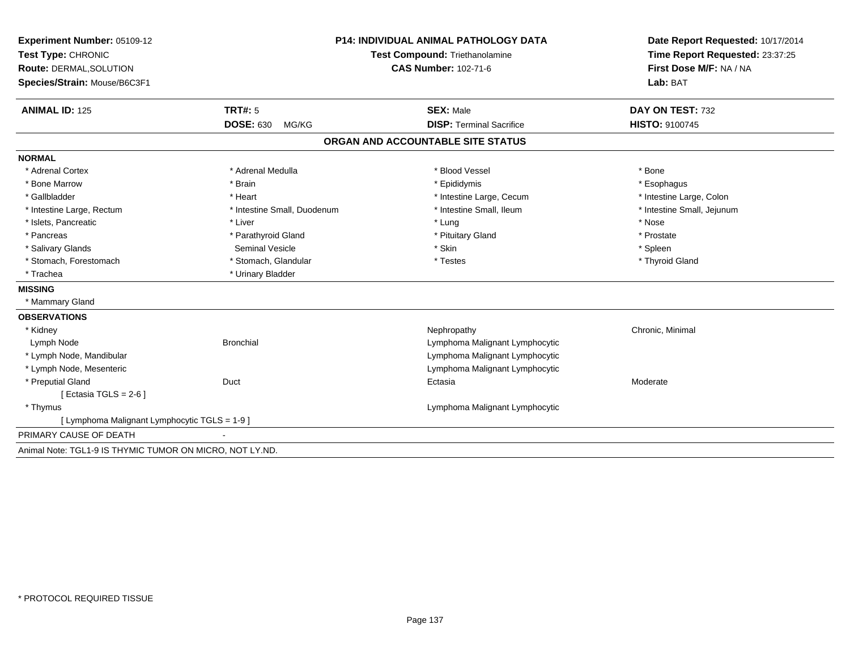| Experiment Number: 05109-12                              | <b>P14: INDIVIDUAL ANIMAL PATHOLOGY DATA</b> | Date Report Requested: 10/17/2014<br>Time Report Requested: 23:37:25<br>First Dose M/F: NA / NA |
|----------------------------------------------------------|----------------------------------------------|-------------------------------------------------------------------------------------------------|
| Test Type: CHRONIC                                       | Test Compound: Triethanolamine               |                                                                                                 |
| Route: DERMAL, SOLUTION                                  | <b>CAS Number: 102-71-6</b>                  |                                                                                                 |
| Species/Strain: Mouse/B6C3F1                             |                                              | Lab: BAT                                                                                        |
| <b>TRT#: 5</b><br><b>ANIMAL ID: 125</b>                  | <b>SEX: Male</b>                             | DAY ON TEST: 732                                                                                |
| <b>DOSE: 630</b><br>MG/KG                                | <b>DISP: Terminal Sacrifice</b>              | <b>HISTO: 9100745</b>                                                                           |
|                                                          | ORGAN AND ACCOUNTABLE SITE STATUS            |                                                                                                 |
| <b>NORMAL</b>                                            |                                              |                                                                                                 |
| * Adrenal Medulla<br>* Adrenal Cortex                    | * Blood Vessel                               | * Bone                                                                                          |
| * Bone Marrow<br>* Brain                                 | * Epididymis                                 | * Esophagus                                                                                     |
| * Gallbladder<br>* Heart                                 | * Intestine Large, Cecum                     | * Intestine Large, Colon                                                                        |
| * Intestine Small, Duodenum<br>* Intestine Large, Rectum | * Intestine Small, Ileum                     | * Intestine Small, Jejunum                                                                      |
| * Islets, Pancreatic<br>* Liver                          | * Lung                                       | * Nose                                                                                          |
| * Pancreas<br>* Parathyroid Gland                        | * Pituitary Gland                            | * Prostate                                                                                      |
| * Salivary Glands<br><b>Seminal Vesicle</b>              | * Skin                                       | * Spleen                                                                                        |
| * Stomach, Forestomach<br>* Stomach, Glandular           | * Testes                                     | * Thyroid Gland                                                                                 |
| * Trachea<br>* Urinary Bladder                           |                                              |                                                                                                 |
| <b>MISSING</b>                                           |                                              |                                                                                                 |
| * Mammary Gland                                          |                                              |                                                                                                 |
| <b>OBSERVATIONS</b>                                      |                                              |                                                                                                 |
| * Kidney                                                 | Nephropathy                                  | Chronic, Minimal                                                                                |
| Lymph Node<br><b>Bronchial</b>                           | Lymphoma Malignant Lymphocytic               |                                                                                                 |
| * Lymph Node, Mandibular                                 | Lymphoma Malignant Lymphocytic               |                                                                                                 |
| * Lymph Node, Mesenteric                                 | Lymphoma Malignant Lymphocytic               |                                                                                                 |
| * Preputial Gland<br>Duct                                | Ectasia                                      | Moderate                                                                                        |
| [ Ectasia TGLS = $2-6$ ]                                 |                                              |                                                                                                 |
| * Thymus                                                 | Lymphoma Malignant Lymphocytic               |                                                                                                 |
| [ Lymphoma Malignant Lymphocytic TGLS = 1-9 ]            |                                              |                                                                                                 |
| PRIMARY CAUSE OF DEATH                                   |                                              |                                                                                                 |
| Animal Note: TGL1-9 IS THYMIC TUMOR ON MICRO, NOT LY.ND. |                                              |                                                                                                 |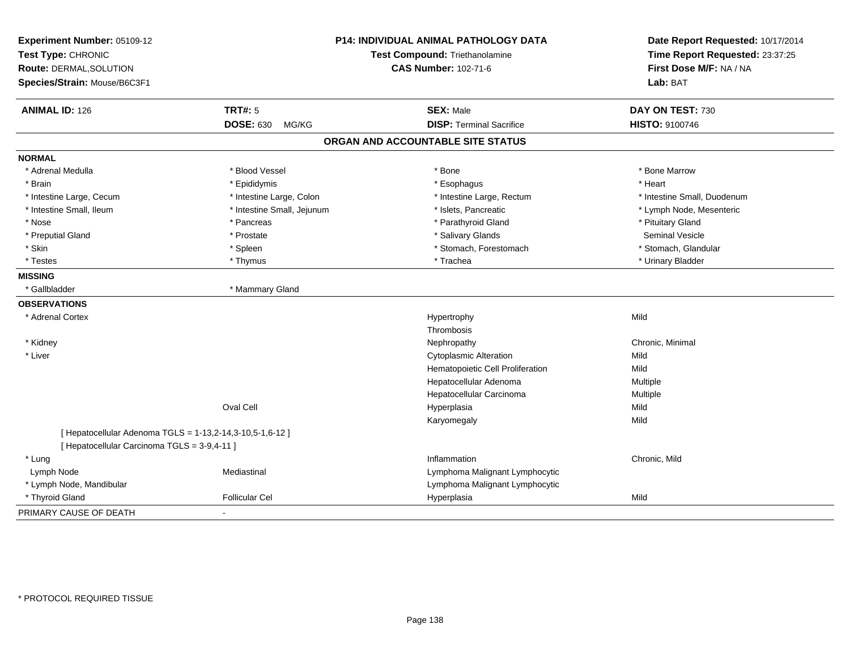| Experiment Number: 05109-12<br>Test Type: CHRONIC<br><b>Route: DERMAL, SOLUTION</b><br>Species/Strain: Mouse/B6C3F1 |                            | <b>P14: INDIVIDUAL ANIMAL PATHOLOGY DATA</b><br>Test Compound: Triethanolamine<br><b>CAS Number: 102-71-6</b> |                             |
|---------------------------------------------------------------------------------------------------------------------|----------------------------|---------------------------------------------------------------------------------------------------------------|-----------------------------|
| <b>ANIMAL ID: 126</b>                                                                                               | <b>TRT#: 5</b>             | <b>SEX: Male</b>                                                                                              | DAY ON TEST: 730            |
|                                                                                                                     | <b>DOSE: 630</b><br>MG/KG  | <b>DISP: Terminal Sacrifice</b>                                                                               | HISTO: 9100746              |
|                                                                                                                     |                            | ORGAN AND ACCOUNTABLE SITE STATUS                                                                             |                             |
| <b>NORMAL</b>                                                                                                       |                            |                                                                                                               |                             |
| * Adrenal Medulla                                                                                                   | * Blood Vessel             | * Bone                                                                                                        | * Bone Marrow               |
| * Brain                                                                                                             | * Epididymis               | * Esophagus                                                                                                   | * Heart                     |
| * Intestine Large, Cecum                                                                                            | * Intestine Large, Colon   | * Intestine Large, Rectum                                                                                     | * Intestine Small. Duodenum |
| * Intestine Small, Ileum                                                                                            | * Intestine Small, Jejunum | * Islets, Pancreatic                                                                                          | * Lymph Node, Mesenteric    |
| * Nose                                                                                                              | * Pancreas                 | * Parathyroid Gland                                                                                           | * Pituitary Gland           |
| * Preputial Gland                                                                                                   | * Prostate                 | * Salivary Glands                                                                                             | <b>Seminal Vesicle</b>      |
| * Skin                                                                                                              | * Spleen                   | * Stomach, Forestomach                                                                                        | * Stomach, Glandular        |
| * Testes                                                                                                            | * Thymus                   | * Trachea                                                                                                     | * Urinary Bladder           |
| <b>MISSING</b>                                                                                                      |                            |                                                                                                               |                             |
| * Gallbladder                                                                                                       | * Mammary Gland            |                                                                                                               |                             |
| <b>OBSERVATIONS</b>                                                                                                 |                            |                                                                                                               |                             |
| * Adrenal Cortex                                                                                                    |                            | Hypertrophy                                                                                                   | Mild                        |
|                                                                                                                     |                            | Thrombosis                                                                                                    |                             |
| * Kidney                                                                                                            |                            | Nephropathy                                                                                                   | Chronic, Minimal            |
| * Liver                                                                                                             |                            | <b>Cytoplasmic Alteration</b>                                                                                 | Mild                        |
|                                                                                                                     |                            | Hematopoietic Cell Proliferation                                                                              | Mild                        |
|                                                                                                                     |                            | Hepatocellular Adenoma                                                                                        | Multiple                    |
|                                                                                                                     |                            | Hepatocellular Carcinoma                                                                                      | Multiple                    |
|                                                                                                                     | Oval Cell                  | Hyperplasia                                                                                                   | Mild                        |
|                                                                                                                     |                            | Karyomegaly                                                                                                   | Mild                        |
| [ Hepatocellular Adenoma TGLS = 1-13,2-14,3-10,5-1,6-12 ]<br>[ Hepatocellular Carcinoma TGLS = 3-9,4-11 ]           |                            |                                                                                                               |                             |
| * Lung                                                                                                              |                            | Inflammation                                                                                                  | Chronic, Mild               |
| Lymph Node                                                                                                          | Mediastinal                | Lymphoma Malignant Lymphocytic                                                                                |                             |
| * Lymph Node, Mandibular                                                                                            |                            | Lymphoma Malignant Lymphocytic                                                                                |                             |
| * Thyroid Gland                                                                                                     | <b>Follicular Cel</b>      | Hyperplasia                                                                                                   | Mild                        |
| PRIMARY CAUSE OF DEATH                                                                                              |                            |                                                                                                               |                             |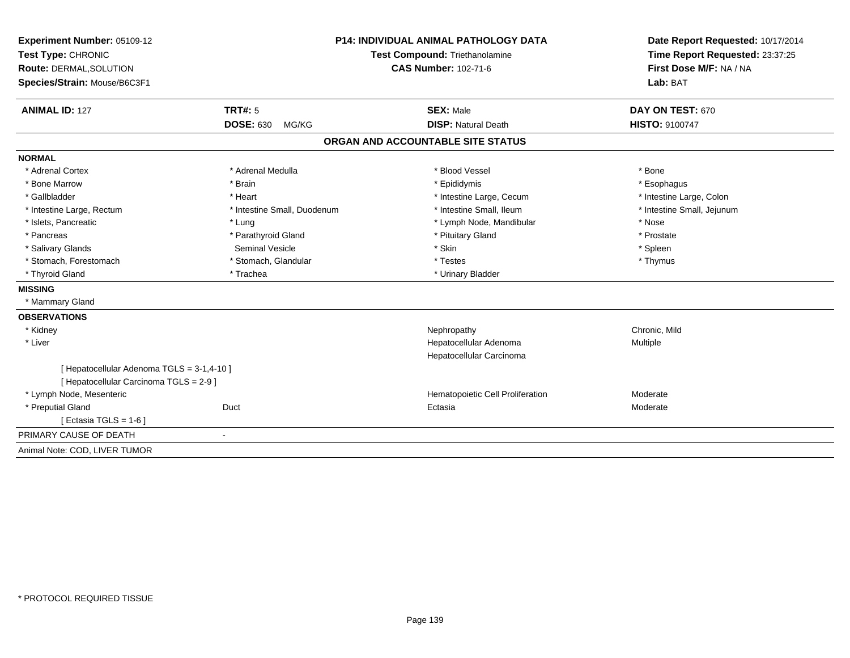| Experiment Number: 05109-12<br>Test Type: CHRONIC<br>Route: DERMAL, SOLUTION |                             | <b>P14: INDIVIDUAL ANIMAL PATHOLOGY DATA</b><br>Test Compound: Triethanolamine<br><b>CAS Number: 102-71-6</b> | Date Report Requested: 10/17/2014<br>Time Report Requested: 23:37:25<br>First Dose M/F: NA / NA |
|------------------------------------------------------------------------------|-----------------------------|---------------------------------------------------------------------------------------------------------------|-------------------------------------------------------------------------------------------------|
| Species/Strain: Mouse/B6C3F1                                                 |                             |                                                                                                               | Lab: BAT                                                                                        |
| <b>ANIMAL ID: 127</b>                                                        | TRT#: 5                     | <b>SEX: Male</b>                                                                                              | DAY ON TEST: 670                                                                                |
|                                                                              | <b>DOSE: 630</b><br>MG/KG   | <b>DISP: Natural Death</b>                                                                                    | <b>HISTO: 9100747</b>                                                                           |
|                                                                              |                             | ORGAN AND ACCOUNTABLE SITE STATUS                                                                             |                                                                                                 |
| <b>NORMAL</b>                                                                |                             |                                                                                                               |                                                                                                 |
| * Adrenal Cortex                                                             | * Adrenal Medulla           | * Blood Vessel                                                                                                | * Bone                                                                                          |
| * Bone Marrow                                                                | * Brain                     | * Epididymis                                                                                                  | * Esophagus                                                                                     |
| * Gallbladder                                                                | * Heart                     | * Intestine Large, Cecum                                                                                      | * Intestine Large, Colon                                                                        |
| * Intestine Large, Rectum                                                    | * Intestine Small, Duodenum | * Intestine Small, Ileum                                                                                      | * Intestine Small, Jejunum                                                                      |
| * Islets, Pancreatic                                                         | * Lung                      | * Lymph Node, Mandibular                                                                                      | * Nose                                                                                          |
| * Pancreas                                                                   | * Parathyroid Gland         | * Pituitary Gland                                                                                             | * Prostate                                                                                      |
| * Salivary Glands                                                            | Seminal Vesicle             | * Skin                                                                                                        | * Spleen                                                                                        |
| * Stomach, Forestomach                                                       | * Stomach, Glandular        | * Testes                                                                                                      | * Thymus                                                                                        |
| * Thyroid Gland                                                              | * Trachea                   | * Urinary Bladder                                                                                             |                                                                                                 |
| <b>MISSING</b>                                                               |                             |                                                                                                               |                                                                                                 |
| * Mammary Gland                                                              |                             |                                                                                                               |                                                                                                 |
| <b>OBSERVATIONS</b>                                                          |                             |                                                                                                               |                                                                                                 |
| * Kidney                                                                     |                             | Nephropathy                                                                                                   | Chronic, Mild                                                                                   |
| * Liver                                                                      |                             | Hepatocellular Adenoma                                                                                        | Multiple                                                                                        |
|                                                                              |                             | Hepatocellular Carcinoma                                                                                      |                                                                                                 |
| [ Hepatocellular Adenoma TGLS = 3-1,4-10 ]                                   |                             |                                                                                                               |                                                                                                 |
| [ Hepatocellular Carcinoma TGLS = 2-9 ]                                      |                             |                                                                                                               |                                                                                                 |
| * Lymph Node, Mesenteric                                                     |                             | Hematopoietic Cell Proliferation                                                                              | Moderate                                                                                        |
| * Preputial Gland                                                            | Duct                        | Ectasia                                                                                                       | Moderate                                                                                        |
| [ Ectasia TGLS = $1-6$ ]                                                     |                             |                                                                                                               |                                                                                                 |
| PRIMARY CAUSE OF DEATH                                                       | $\mathbf{r}$                |                                                                                                               |                                                                                                 |
| Animal Note: COD, LIVER TUMOR                                                |                             |                                                                                                               |                                                                                                 |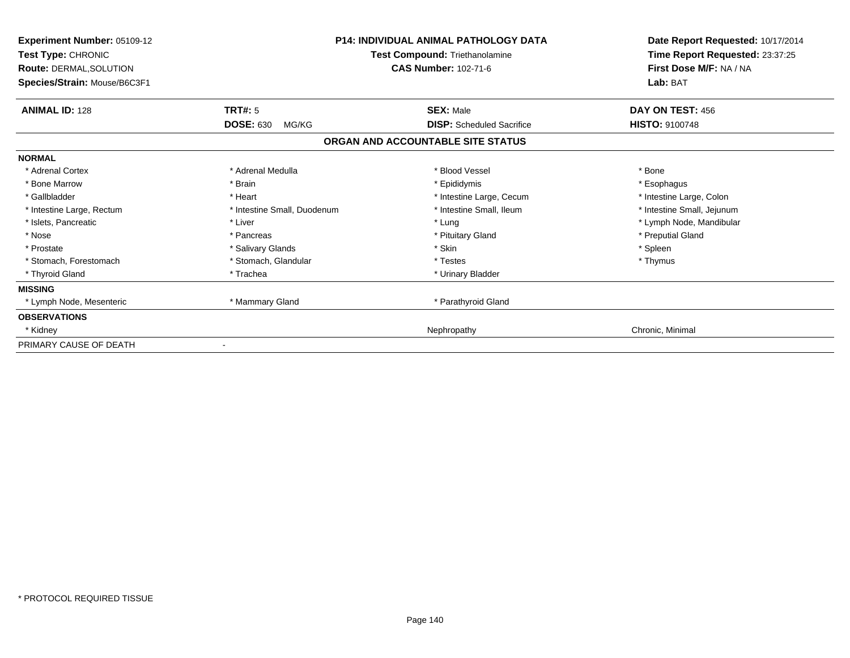| Experiment Number: 05109-12<br>Test Type: CHRONIC<br><b>Route: DERMAL, SOLUTION</b><br>Species/Strain: Mouse/B6C3F1 | <b>P14: INDIVIDUAL ANIMAL PATHOLOGY DATA</b><br>Test Compound: Triethanolamine<br><b>CAS Number: 102-71-6</b> |                                                      | Date Report Requested: 10/17/2014<br>Time Report Requested: 23:37:25<br>First Dose M/F: NA / NA<br>Lab: BAT |
|---------------------------------------------------------------------------------------------------------------------|---------------------------------------------------------------------------------------------------------------|------------------------------------------------------|-------------------------------------------------------------------------------------------------------------|
| <b>ANIMAL ID: 128</b>                                                                                               | TRT#: 5<br><b>DOSE: 630</b>                                                                                   | <b>SEX: Male</b><br><b>DISP:</b> Scheduled Sacrifice | DAY ON TEST: 456                                                                                            |
|                                                                                                                     | MG/KG                                                                                                         | ORGAN AND ACCOUNTABLE SITE STATUS                    | <b>HISTO: 9100748</b>                                                                                       |
| <b>NORMAL</b>                                                                                                       |                                                                                                               |                                                      |                                                                                                             |
| * Adrenal Cortex                                                                                                    | * Adrenal Medulla                                                                                             | * Blood Vessel                                       | * Bone                                                                                                      |
| * Bone Marrow                                                                                                       | * Brain                                                                                                       | * Epididymis                                         | * Esophagus                                                                                                 |
| * Gallbladder                                                                                                       | * Heart                                                                                                       | * Intestine Large, Cecum                             | * Intestine Large, Colon                                                                                    |
| * Intestine Large, Rectum                                                                                           | * Intestine Small, Duodenum                                                                                   | * Intestine Small, Ileum                             | * Intestine Small, Jejunum                                                                                  |
| * Islets, Pancreatic                                                                                                | * Liver                                                                                                       | * Lung                                               | * Lymph Node, Mandibular                                                                                    |
| * Nose                                                                                                              | * Pancreas                                                                                                    | * Pituitary Gland                                    | * Preputial Gland                                                                                           |
| * Prostate                                                                                                          | * Salivary Glands                                                                                             | * Skin                                               | * Spleen                                                                                                    |
| * Stomach, Forestomach                                                                                              | * Stomach, Glandular                                                                                          | * Testes                                             | * Thymus                                                                                                    |
| * Thyroid Gland                                                                                                     | * Trachea                                                                                                     | * Urinary Bladder                                    |                                                                                                             |
| <b>MISSING</b>                                                                                                      |                                                                                                               |                                                      |                                                                                                             |
| * Lymph Node, Mesenteric                                                                                            | * Mammary Gland                                                                                               | * Parathyroid Gland                                  |                                                                                                             |
| <b>OBSERVATIONS</b>                                                                                                 |                                                                                                               |                                                      |                                                                                                             |
| * Kidney                                                                                                            |                                                                                                               | Nephropathy                                          | Chronic, Minimal                                                                                            |
| PRIMARY CAUSE OF DEATH                                                                                              |                                                                                                               |                                                      |                                                                                                             |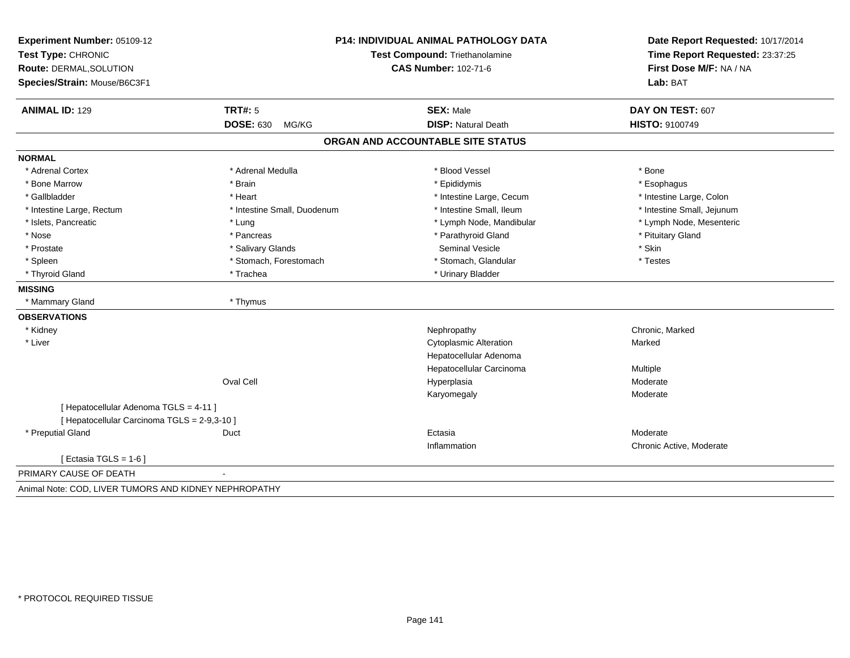| Experiment Number: 05109-12                           | <b>P14: INDIVIDUAL ANIMAL PATHOLOGY DATA</b> |                                                               | Date Report Requested: 10/17/2014 |
|-------------------------------------------------------|----------------------------------------------|---------------------------------------------------------------|-----------------------------------|
| Test Type: CHRONIC                                    |                                              | Test Compound: Triethanolamine<br><b>CAS Number: 102-71-6</b> |                                   |
| Route: DERMAL, SOLUTION                               |                                              |                                                               |                                   |
| Species/Strain: Mouse/B6C3F1                          |                                              |                                                               | Lab: BAT                          |
| <b>ANIMAL ID: 129</b>                                 | <b>TRT#: 5</b>                               | <b>SEX: Male</b>                                              | DAY ON TEST: 607                  |
|                                                       | <b>DOSE: 630</b><br>MG/KG                    | <b>DISP: Natural Death</b>                                    | HISTO: 9100749                    |
|                                                       |                                              | ORGAN AND ACCOUNTABLE SITE STATUS                             |                                   |
| <b>NORMAL</b>                                         |                                              |                                                               |                                   |
| * Adrenal Cortex                                      | * Adrenal Medulla                            | * Blood Vessel                                                | * Bone                            |
| * Bone Marrow                                         | * Brain                                      | * Epididymis                                                  | * Esophagus                       |
| * Gallbladder                                         | * Heart                                      | * Intestine Large, Cecum                                      | * Intestine Large, Colon          |
| * Intestine Large, Rectum                             | * Intestine Small, Duodenum                  | * Intestine Small, Ileum                                      | * Intestine Small, Jejunum        |
| * Islets, Pancreatic                                  | * Lung                                       | * Lymph Node, Mandibular                                      | * Lymph Node, Mesenteric          |
| * Nose                                                | * Pancreas                                   | * Parathyroid Gland                                           | * Pituitary Gland                 |
| * Prostate                                            | * Salivary Glands                            | <b>Seminal Vesicle</b>                                        | * Skin                            |
| * Spleen                                              | * Stomach, Forestomach                       | * Stomach, Glandular                                          | * Testes                          |
| * Thyroid Gland                                       | * Trachea                                    | * Urinary Bladder                                             |                                   |
| <b>MISSING</b>                                        |                                              |                                                               |                                   |
| * Mammary Gland                                       | * Thymus                                     |                                                               |                                   |
| <b>OBSERVATIONS</b>                                   |                                              |                                                               |                                   |
| * Kidney                                              |                                              | Nephropathy                                                   | Chronic, Marked                   |
| * Liver                                               |                                              | <b>Cytoplasmic Alteration</b>                                 | Marked                            |
|                                                       |                                              | Hepatocellular Adenoma                                        |                                   |
|                                                       |                                              | Hepatocellular Carcinoma                                      | Multiple                          |
|                                                       | <b>Oval Cell</b>                             | Hyperplasia                                                   | Moderate                          |
|                                                       |                                              | Karyomegaly                                                   | Moderate                          |
| [ Hepatocellular Adenoma TGLS = 4-11 ]                |                                              |                                                               |                                   |
| [ Hepatocellular Carcinoma TGLS = 2-9,3-10 ]          |                                              |                                                               |                                   |
| * Preputial Gland                                     | Duct                                         | Ectasia                                                       | Moderate                          |
|                                                       |                                              | Inflammation                                                  | Chronic Active, Moderate          |
| [Ectasia TGLS = $1-6$ ]                               |                                              |                                                               |                                   |
| PRIMARY CAUSE OF DEATH                                |                                              |                                                               |                                   |
| Animal Note: COD, LIVER TUMORS AND KIDNEY NEPHROPATHY |                                              |                                                               |                                   |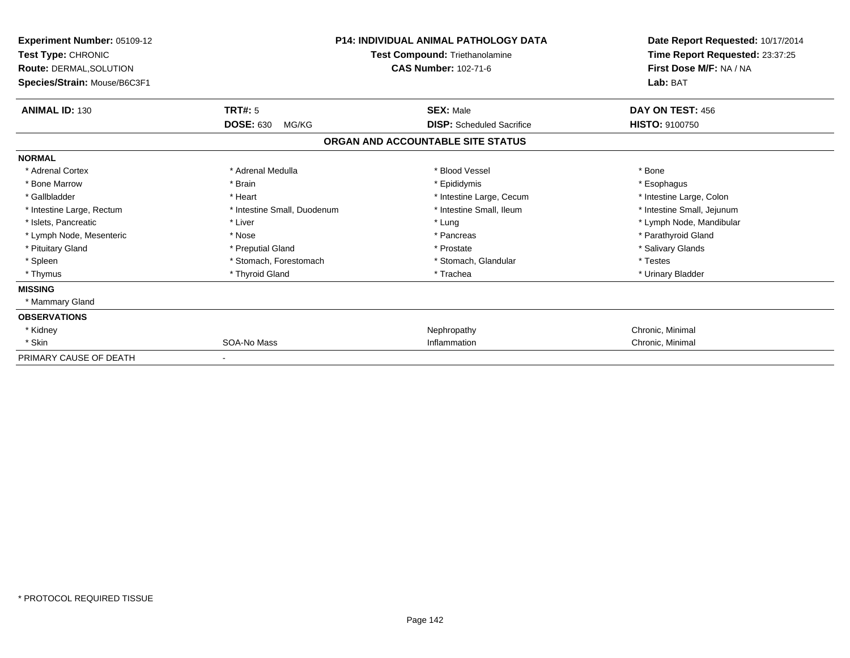| Experiment Number: 05109-12<br>Test Type: CHRONIC<br>Route: DERMAL, SOLUTION<br>Species/Strain: Mouse/B6C3F1 | <b>P14: INDIVIDUAL ANIMAL PATHOLOGY DATA</b><br>Test Compound: Triethanolamine<br><b>CAS Number: 102-71-6</b> |                                   | Date Report Requested: 10/17/2014<br>Time Report Requested: 23:37:25<br>First Dose M/F: NA / NA<br>Lab: BAT |
|--------------------------------------------------------------------------------------------------------------|---------------------------------------------------------------------------------------------------------------|-----------------------------------|-------------------------------------------------------------------------------------------------------------|
| <b>ANIMAL ID: 130</b>                                                                                        | <b>TRT#: 5</b>                                                                                                | <b>SEX: Male</b>                  | DAY ON TEST: 456                                                                                            |
|                                                                                                              | <b>DOSE: 630</b><br>MG/KG                                                                                     | <b>DISP:</b> Scheduled Sacrifice  | <b>HISTO: 9100750</b>                                                                                       |
|                                                                                                              |                                                                                                               | ORGAN AND ACCOUNTABLE SITE STATUS |                                                                                                             |
| <b>NORMAL</b>                                                                                                |                                                                                                               |                                   |                                                                                                             |
| * Adrenal Cortex                                                                                             | * Adrenal Medulla                                                                                             | * Blood Vessel                    | * Bone                                                                                                      |
| * Bone Marrow                                                                                                | * Brain                                                                                                       | * Epididymis                      | * Esophagus                                                                                                 |
| * Gallbladder                                                                                                | * Heart                                                                                                       | * Intestine Large, Cecum          | * Intestine Large, Colon                                                                                    |
| * Intestine Large, Rectum                                                                                    | * Intestine Small, Duodenum                                                                                   | * Intestine Small, Ileum          | * Intestine Small, Jejunum                                                                                  |
| * Islets, Pancreatic                                                                                         | * Liver                                                                                                       | * Lung                            | * Lymph Node, Mandibular                                                                                    |
| * Lymph Node, Mesenteric                                                                                     | * Nose                                                                                                        | * Pancreas                        | * Parathyroid Gland                                                                                         |
| * Pituitary Gland                                                                                            | * Preputial Gland                                                                                             | * Prostate                        | * Salivary Glands                                                                                           |
| * Spleen                                                                                                     | * Stomach, Forestomach                                                                                        | * Stomach, Glandular              | * Testes                                                                                                    |
| * Thymus                                                                                                     | * Thyroid Gland                                                                                               | * Trachea                         | * Urinary Bladder                                                                                           |
| <b>MISSING</b>                                                                                               |                                                                                                               |                                   |                                                                                                             |
| * Mammary Gland                                                                                              |                                                                                                               |                                   |                                                                                                             |
| <b>OBSERVATIONS</b>                                                                                          |                                                                                                               |                                   |                                                                                                             |
| * Kidney                                                                                                     |                                                                                                               | Nephropathy                       | Chronic, Minimal                                                                                            |
| * Skin                                                                                                       | SOA-No Mass                                                                                                   | Inflammation                      | Chronic, Minimal                                                                                            |
| PRIMARY CAUSE OF DEATH                                                                                       |                                                                                                               |                                   |                                                                                                             |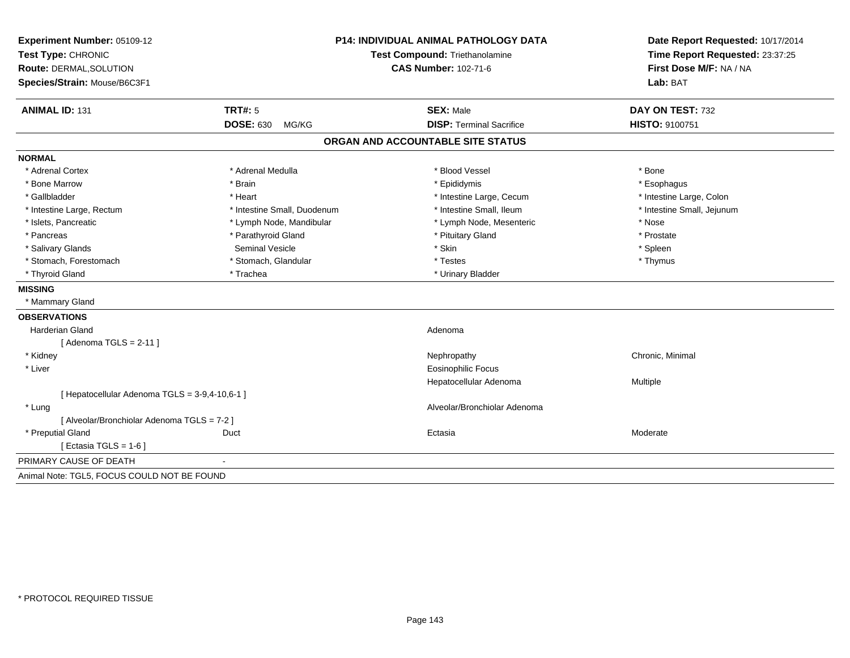| Experiment Number: 05109-12<br>Test Type: CHRONIC<br>Route: DERMAL, SOLUTION<br>Species/Strain: Mouse/B6C3F1 | <b>P14: INDIVIDUAL ANIMAL PATHOLOGY DATA</b><br>Test Compound: Triethanolamine<br><b>CAS Number: 102-71-6</b> |                                   | Date Report Requested: 10/17/2014<br>Time Report Requested: 23:37:25<br>First Dose M/F: NA / NA<br>Lab: BAT |
|--------------------------------------------------------------------------------------------------------------|---------------------------------------------------------------------------------------------------------------|-----------------------------------|-------------------------------------------------------------------------------------------------------------|
| <b>ANIMAL ID: 131</b>                                                                                        | <b>TRT#: 5</b>                                                                                                | <b>SEX: Male</b>                  | DAY ON TEST: 732                                                                                            |
|                                                                                                              | <b>DOSE: 630</b><br>MG/KG                                                                                     | <b>DISP: Terminal Sacrifice</b>   | <b>HISTO: 9100751</b>                                                                                       |
|                                                                                                              |                                                                                                               | ORGAN AND ACCOUNTABLE SITE STATUS |                                                                                                             |
| <b>NORMAL</b>                                                                                                |                                                                                                               |                                   |                                                                                                             |
| * Adrenal Cortex                                                                                             | * Adrenal Medulla                                                                                             | * Blood Vessel                    | * Bone                                                                                                      |
| * Bone Marrow                                                                                                | * Brain                                                                                                       | * Epididymis                      | * Esophagus                                                                                                 |
| * Gallbladder                                                                                                | * Heart                                                                                                       | * Intestine Large, Cecum          | * Intestine Large, Colon                                                                                    |
| * Intestine Large, Rectum                                                                                    | * Intestine Small, Duodenum                                                                                   | * Intestine Small, Ileum          | * Intestine Small, Jejunum                                                                                  |
| * Islets, Pancreatic                                                                                         | * Lymph Node, Mandibular                                                                                      | * Lymph Node, Mesenteric          | * Nose                                                                                                      |
| * Pancreas                                                                                                   | * Parathyroid Gland                                                                                           | * Pituitary Gland                 | * Prostate                                                                                                  |
| * Salivary Glands                                                                                            | <b>Seminal Vesicle</b>                                                                                        | * Skin                            | * Spleen                                                                                                    |
| * Stomach, Forestomach                                                                                       | * Stomach, Glandular                                                                                          | * Testes                          | * Thymus                                                                                                    |
| * Thyroid Gland                                                                                              | * Trachea                                                                                                     | * Urinary Bladder                 |                                                                                                             |
| <b>MISSING</b>                                                                                               |                                                                                                               |                                   |                                                                                                             |
| * Mammary Gland                                                                                              |                                                                                                               |                                   |                                                                                                             |
| <b>OBSERVATIONS</b>                                                                                          |                                                                                                               |                                   |                                                                                                             |
| Harderian Gland                                                                                              |                                                                                                               | Adenoma                           |                                                                                                             |
| [Adenoma TGLS = $2-11$ ]                                                                                     |                                                                                                               |                                   |                                                                                                             |
| * Kidney                                                                                                     |                                                                                                               | Nephropathy                       | Chronic, Minimal                                                                                            |
| * Liver                                                                                                      |                                                                                                               | <b>Eosinophilic Focus</b>         |                                                                                                             |
|                                                                                                              |                                                                                                               | Hepatocellular Adenoma            | Multiple                                                                                                    |
| [ Hepatocellular Adenoma TGLS = 3-9,4-10,6-1 ]                                                               |                                                                                                               |                                   |                                                                                                             |
| * Lung                                                                                                       |                                                                                                               | Alveolar/Bronchiolar Adenoma      |                                                                                                             |
| [ Alveolar/Bronchiolar Adenoma TGLS = 7-2 ]                                                                  |                                                                                                               |                                   |                                                                                                             |
| * Preputial Gland                                                                                            | Duct                                                                                                          | Ectasia                           | Moderate                                                                                                    |
| [ Ectasia TGLS = 1-6 ]                                                                                       |                                                                                                               |                                   |                                                                                                             |
| PRIMARY CAUSE OF DEATH                                                                                       |                                                                                                               |                                   |                                                                                                             |
| Animal Note: TGL5, FOCUS COULD NOT BE FOUND                                                                  |                                                                                                               |                                   |                                                                                                             |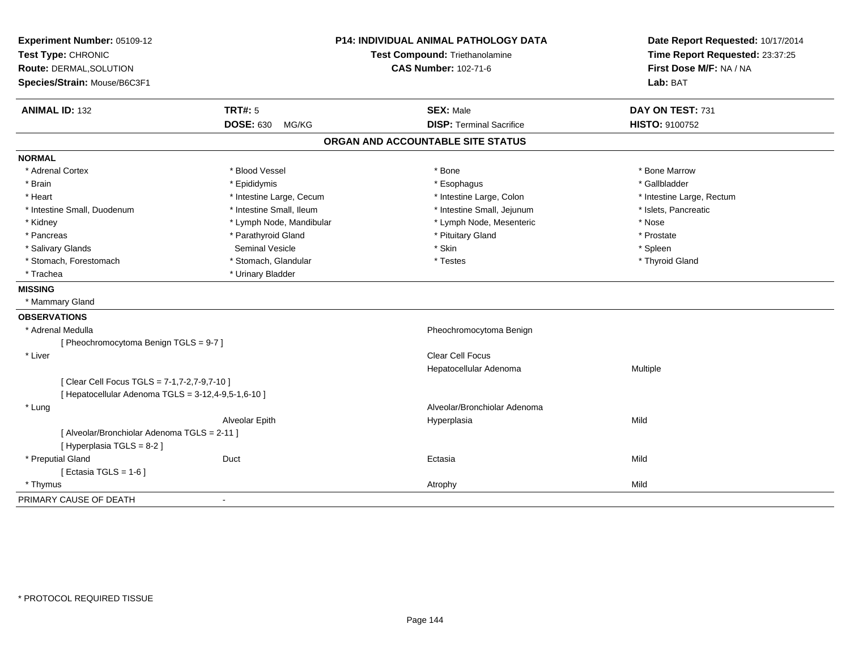| Experiment Number: 05109-12<br>Test Type: CHRONIC<br>Route: DERMAL, SOLUTION<br>Species/Strain: Mouse/B6C3F1 | P14: INDIVIDUAL ANIMAL PATHOLOGY DATA<br>Test Compound: Triethanolamine<br><b>CAS Number: 102-71-6</b> |                                   | Date Report Requested: 10/17/2014<br>Time Report Requested: 23:37:25<br>First Dose M/F: NA / NA<br>Lab: BAT |
|--------------------------------------------------------------------------------------------------------------|--------------------------------------------------------------------------------------------------------|-----------------------------------|-------------------------------------------------------------------------------------------------------------|
| <b>ANIMAL ID: 132</b>                                                                                        | TRT#: 5                                                                                                | <b>SEX: Male</b>                  | DAY ON TEST: 731                                                                                            |
|                                                                                                              | <b>DOSE: 630</b><br>MG/KG                                                                              | <b>DISP: Terminal Sacrifice</b>   | HISTO: 9100752                                                                                              |
|                                                                                                              |                                                                                                        | ORGAN AND ACCOUNTABLE SITE STATUS |                                                                                                             |
| <b>NORMAL</b>                                                                                                |                                                                                                        |                                   |                                                                                                             |
| * Adrenal Cortex                                                                                             | * Blood Vessel                                                                                         | * Bone                            | * Bone Marrow                                                                                               |
| * Brain                                                                                                      | * Epididymis                                                                                           | * Esophagus                       | * Gallbladder                                                                                               |
| * Heart                                                                                                      | * Intestine Large, Cecum                                                                               | * Intestine Large, Colon          | * Intestine Large, Rectum                                                                                   |
| * Intestine Small, Duodenum                                                                                  | * Intestine Small, Ileum                                                                               | * Intestine Small, Jejunum        | * Islets, Pancreatic                                                                                        |
| * Kidney                                                                                                     | * Lymph Node, Mandibular                                                                               | * Lymph Node, Mesenteric          | * Nose                                                                                                      |
| * Pancreas                                                                                                   | * Parathyroid Gland                                                                                    | * Pituitary Gland                 | * Prostate                                                                                                  |
| * Salivary Glands                                                                                            | <b>Seminal Vesicle</b>                                                                                 | * Skin                            | * Spleen                                                                                                    |
| * Stomach, Forestomach                                                                                       | * Stomach, Glandular                                                                                   | * Testes                          | * Thyroid Gland                                                                                             |
| * Trachea                                                                                                    | * Urinary Bladder                                                                                      |                                   |                                                                                                             |
| <b>MISSING</b>                                                                                               |                                                                                                        |                                   |                                                                                                             |
| * Mammary Gland                                                                                              |                                                                                                        |                                   |                                                                                                             |
| <b>OBSERVATIONS</b>                                                                                          |                                                                                                        |                                   |                                                                                                             |
| * Adrenal Medulla                                                                                            |                                                                                                        | Pheochromocytoma Benign           |                                                                                                             |
| [Pheochromocytoma Benign TGLS = 9-7]                                                                         |                                                                                                        |                                   |                                                                                                             |
| * Liver                                                                                                      |                                                                                                        | <b>Clear Cell Focus</b>           |                                                                                                             |
|                                                                                                              |                                                                                                        | Hepatocellular Adenoma            | Multiple                                                                                                    |
| [ Clear Cell Focus TGLS = 7-1,7-2,7-9,7-10 ]                                                                 |                                                                                                        |                                   |                                                                                                             |
| [ Hepatocellular Adenoma TGLS = 3-12,4-9,5-1,6-10 ]                                                          |                                                                                                        |                                   |                                                                                                             |
| * Lung                                                                                                       |                                                                                                        | Alveolar/Bronchiolar Adenoma      |                                                                                                             |
|                                                                                                              | Alveolar Epith                                                                                         | Hyperplasia                       | Mild                                                                                                        |
| [ Alveolar/Bronchiolar Adenoma TGLS = 2-11 ]                                                                 |                                                                                                        |                                   |                                                                                                             |
| [ Hyperplasia TGLS = 8-2 ]                                                                                   |                                                                                                        |                                   |                                                                                                             |
| * Preputial Gland                                                                                            | Duct                                                                                                   | Ectasia                           | Mild                                                                                                        |
| [ Ectasia TGLS = $1-6$ ]                                                                                     |                                                                                                        |                                   |                                                                                                             |
| * Thymus                                                                                                     |                                                                                                        | Atrophy                           | Mild                                                                                                        |
| PRIMARY CAUSE OF DEATH                                                                                       |                                                                                                        |                                   |                                                                                                             |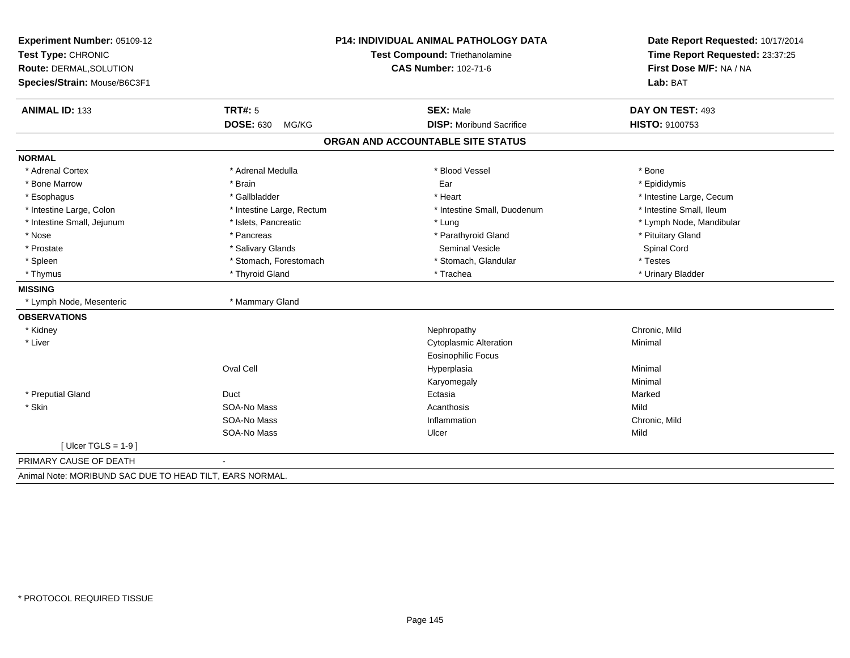| Experiment Number: 05109-12<br>Test Type: CHRONIC<br>Route: DERMAL, SOLUTION<br>Species/Strain: Mouse/B6C3F1 | P14: INDIVIDUAL ANIMAL PATHOLOGY DATA<br>Test Compound: Triethanolamine<br><b>CAS Number: 102-71-6</b> |                                   | Date Report Requested: 10/17/2014<br>Time Report Requested: 23:37:25<br>First Dose M/F: NA / NA<br>Lab: BAT |  |
|--------------------------------------------------------------------------------------------------------------|--------------------------------------------------------------------------------------------------------|-----------------------------------|-------------------------------------------------------------------------------------------------------------|--|
| <b>ANIMAL ID: 133</b>                                                                                        | <b>TRT#: 5</b>                                                                                         | <b>SEX: Male</b>                  | DAY ON TEST: 493                                                                                            |  |
|                                                                                                              | <b>DOSE: 630</b><br>MG/KG                                                                              | <b>DISP:</b> Moribund Sacrifice   | <b>HISTO: 9100753</b>                                                                                       |  |
|                                                                                                              |                                                                                                        | ORGAN AND ACCOUNTABLE SITE STATUS |                                                                                                             |  |
| <b>NORMAL</b>                                                                                                |                                                                                                        |                                   |                                                                                                             |  |
| * Adrenal Cortex                                                                                             | * Adrenal Medulla                                                                                      | * Blood Vessel                    | * Bone                                                                                                      |  |
| * Bone Marrow                                                                                                | * Brain                                                                                                | Ear                               | * Epididymis                                                                                                |  |
| * Esophagus                                                                                                  | * Gallbladder                                                                                          | * Heart                           | * Intestine Large, Cecum                                                                                    |  |
| * Intestine Large, Colon                                                                                     | * Intestine Large, Rectum                                                                              | * Intestine Small, Duodenum       | * Intestine Small, Ileum                                                                                    |  |
| * Intestine Small, Jejunum                                                                                   | * Islets, Pancreatic                                                                                   | * Lung                            | * Lymph Node, Mandibular                                                                                    |  |
| * Nose                                                                                                       | * Pancreas                                                                                             | * Parathyroid Gland               | * Pituitary Gland                                                                                           |  |
| * Prostate                                                                                                   | * Salivary Glands                                                                                      | <b>Seminal Vesicle</b>            | Spinal Cord                                                                                                 |  |
| * Spleen                                                                                                     | * Stomach, Forestomach                                                                                 | * Stomach, Glandular              | * Testes                                                                                                    |  |
| * Thymus                                                                                                     | * Thyroid Gland                                                                                        | * Trachea                         | * Urinary Bladder                                                                                           |  |
| <b>MISSING</b>                                                                                               |                                                                                                        |                                   |                                                                                                             |  |
| * Lymph Node, Mesenteric                                                                                     | * Mammary Gland                                                                                        |                                   |                                                                                                             |  |
| <b>OBSERVATIONS</b>                                                                                          |                                                                                                        |                                   |                                                                                                             |  |
| * Kidney                                                                                                     |                                                                                                        | Nephropathy                       | Chronic, Mild                                                                                               |  |
| * Liver                                                                                                      |                                                                                                        | <b>Cytoplasmic Alteration</b>     | Minimal                                                                                                     |  |
|                                                                                                              |                                                                                                        | <b>Eosinophilic Focus</b>         |                                                                                                             |  |
|                                                                                                              | Oval Cell                                                                                              | Hyperplasia                       | Minimal                                                                                                     |  |
|                                                                                                              |                                                                                                        | Karyomegaly                       | Minimal                                                                                                     |  |
| * Preputial Gland                                                                                            | Duct                                                                                                   | Ectasia                           | Marked                                                                                                      |  |
| * Skin                                                                                                       | SOA-No Mass                                                                                            | Acanthosis                        | Mild                                                                                                        |  |
|                                                                                                              | SOA-No Mass                                                                                            | Inflammation                      | Chronic, Mild                                                                                               |  |
|                                                                                                              | SOA-No Mass                                                                                            | Ulcer                             | Mild                                                                                                        |  |
| [ Ulcer TGLS = $1-9$ ]                                                                                       |                                                                                                        |                                   |                                                                                                             |  |
| PRIMARY CAUSE OF DEATH                                                                                       |                                                                                                        |                                   |                                                                                                             |  |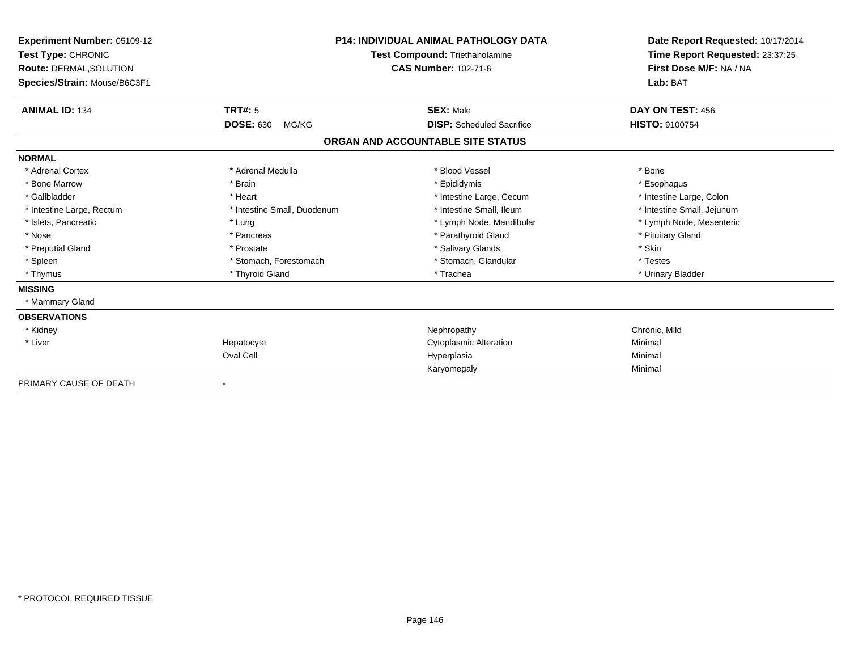| Experiment Number: 05109-12<br>Test Type: CHRONIC<br>Route: DERMAL, SOLUTION<br>Species/Strain: Mouse/B6C3F1 |                             | <b>P14: INDIVIDUAL ANIMAL PATHOLOGY DATA</b><br><b>Test Compound: Triethanolamine</b><br><b>CAS Number: 102-71-6</b> | Date Report Requested: 10/17/2014<br>Time Report Requested: 23:37:25<br>First Dose M/F: NA / NA<br>Lab: BAT |  |
|--------------------------------------------------------------------------------------------------------------|-----------------------------|----------------------------------------------------------------------------------------------------------------------|-------------------------------------------------------------------------------------------------------------|--|
| <b>ANIMAL ID: 134</b>                                                                                        | TRT#: 5                     | <b>SEX: Male</b>                                                                                                     | DAY ON TEST: 456                                                                                            |  |
|                                                                                                              | <b>DOSE: 630</b><br>MG/KG   | <b>DISP:</b> Scheduled Sacrifice                                                                                     | HISTO: 9100754                                                                                              |  |
|                                                                                                              |                             | ORGAN AND ACCOUNTABLE SITE STATUS                                                                                    |                                                                                                             |  |
| <b>NORMAL</b>                                                                                                |                             |                                                                                                                      |                                                                                                             |  |
| * Adrenal Cortex                                                                                             | * Adrenal Medulla           | * Blood Vessel                                                                                                       | * Bone                                                                                                      |  |
| * Bone Marrow                                                                                                | * Brain                     | * Epididymis                                                                                                         | * Esophagus                                                                                                 |  |
| * Gallbladder                                                                                                | * Heart                     | * Intestine Large, Cecum                                                                                             | * Intestine Large, Colon                                                                                    |  |
| * Intestine Large, Rectum                                                                                    | * Intestine Small, Duodenum | * Intestine Small, Ileum                                                                                             | * Intestine Small, Jejunum                                                                                  |  |
| * Islets, Pancreatic                                                                                         | * Lung                      | * Lymph Node, Mandibular                                                                                             | * Lymph Node, Mesenteric                                                                                    |  |
| * Nose                                                                                                       | * Pancreas                  | * Parathyroid Gland                                                                                                  | * Pituitary Gland                                                                                           |  |
| * Preputial Gland                                                                                            | * Prostate                  | * Salivary Glands                                                                                                    | * Skin                                                                                                      |  |
| * Spleen                                                                                                     | * Stomach, Forestomach      | * Stomach, Glandular                                                                                                 | * Testes                                                                                                    |  |
| * Thymus                                                                                                     | * Thyroid Gland             | * Trachea                                                                                                            | * Urinary Bladder                                                                                           |  |
| <b>MISSING</b>                                                                                               |                             |                                                                                                                      |                                                                                                             |  |
| * Mammary Gland                                                                                              |                             |                                                                                                                      |                                                                                                             |  |
| <b>OBSERVATIONS</b>                                                                                          |                             |                                                                                                                      |                                                                                                             |  |
| * Kidney                                                                                                     |                             | Nephropathy                                                                                                          | Chronic, Mild                                                                                               |  |
| * Liver                                                                                                      | Hepatocyte                  | <b>Cytoplasmic Alteration</b>                                                                                        | Minimal                                                                                                     |  |
|                                                                                                              | Oval Cell                   | Hyperplasia                                                                                                          | Minimal                                                                                                     |  |
|                                                                                                              |                             | Karyomegaly                                                                                                          | Minimal                                                                                                     |  |
| PRIMARY CAUSE OF DEATH                                                                                       |                             |                                                                                                                      |                                                                                                             |  |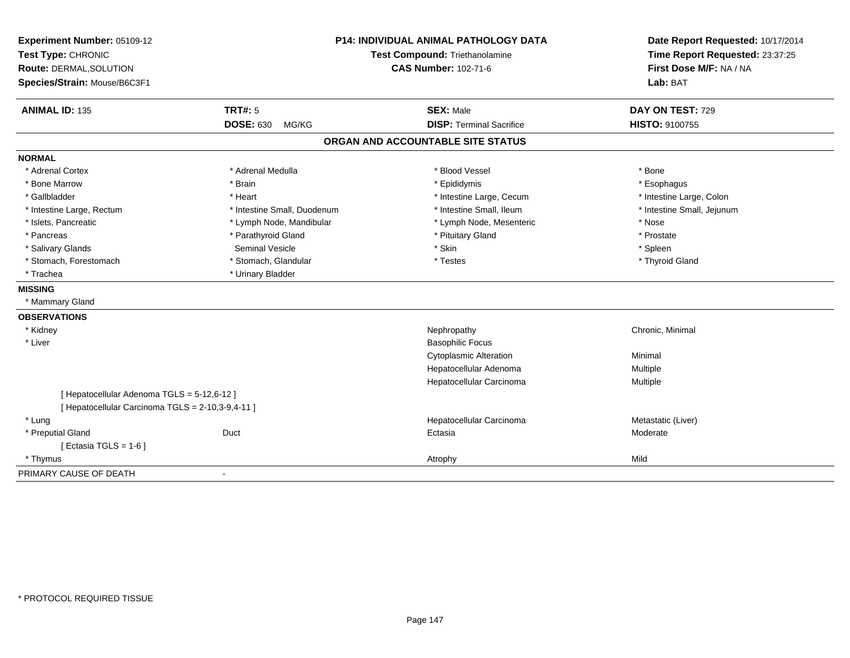| Experiment Number: 05109-12<br>Test Type: CHRONIC<br>Route: DERMAL, SOLUTION<br>Species/Strain: Mouse/B6C3F1 | <b>P14: INDIVIDUAL ANIMAL PATHOLOGY DATA</b><br>Test Compound: Triethanolamine<br><b>CAS Number: 102-71-6</b> |                                   | Date Report Requested: 10/17/2014<br>Time Report Requested: 23:37:25<br>First Dose M/F: NA / NA<br>Lab: BAT |  |
|--------------------------------------------------------------------------------------------------------------|---------------------------------------------------------------------------------------------------------------|-----------------------------------|-------------------------------------------------------------------------------------------------------------|--|
| <b>ANIMAL ID: 135</b>                                                                                        | <b>TRT#: 5</b>                                                                                                | <b>SEX: Male</b>                  | DAY ON TEST: 729                                                                                            |  |
|                                                                                                              | <b>DOSE: 630</b><br>MG/KG                                                                                     | <b>DISP: Terminal Sacrifice</b>   | HISTO: 9100755                                                                                              |  |
|                                                                                                              |                                                                                                               | ORGAN AND ACCOUNTABLE SITE STATUS |                                                                                                             |  |
| <b>NORMAL</b>                                                                                                |                                                                                                               |                                   |                                                                                                             |  |
| * Adrenal Cortex                                                                                             | * Adrenal Medulla                                                                                             | * Blood Vessel                    | * Bone                                                                                                      |  |
| * Bone Marrow                                                                                                | * Brain                                                                                                       | * Epididymis                      | * Esophagus                                                                                                 |  |
| * Gallbladder                                                                                                | * Heart                                                                                                       | * Intestine Large, Cecum          | * Intestine Large, Colon                                                                                    |  |
| * Intestine Large, Rectum                                                                                    | * Intestine Small, Duodenum                                                                                   | * Intestine Small, Ileum          | * Intestine Small, Jejunum                                                                                  |  |
| * Islets, Pancreatic                                                                                         | * Lymph Node, Mandibular                                                                                      | * Lymph Node, Mesenteric          | * Nose                                                                                                      |  |
| * Pancreas                                                                                                   | * Parathyroid Gland                                                                                           | * Pituitary Gland                 | * Prostate                                                                                                  |  |
| * Salivary Glands                                                                                            | <b>Seminal Vesicle</b>                                                                                        | * Skin                            | * Spleen                                                                                                    |  |
| * Stomach, Forestomach                                                                                       | * Stomach, Glandular                                                                                          | * Testes                          | * Thyroid Gland                                                                                             |  |
| * Trachea                                                                                                    | * Urinary Bladder                                                                                             |                                   |                                                                                                             |  |
| <b>MISSING</b>                                                                                               |                                                                                                               |                                   |                                                                                                             |  |
| * Mammary Gland                                                                                              |                                                                                                               |                                   |                                                                                                             |  |
| <b>OBSERVATIONS</b>                                                                                          |                                                                                                               |                                   |                                                                                                             |  |
| * Kidney                                                                                                     |                                                                                                               | Nephropathy                       | Chronic, Minimal                                                                                            |  |
| * Liver                                                                                                      |                                                                                                               | <b>Basophilic Focus</b>           |                                                                                                             |  |
|                                                                                                              |                                                                                                               | <b>Cytoplasmic Alteration</b>     | Minimal                                                                                                     |  |
|                                                                                                              |                                                                                                               | Hepatocellular Adenoma            | Multiple                                                                                                    |  |
|                                                                                                              |                                                                                                               | Hepatocellular Carcinoma          | Multiple                                                                                                    |  |
| [ Hepatocellular Adenoma TGLS = 5-12,6-12 ]                                                                  |                                                                                                               |                                   |                                                                                                             |  |
| [ Hepatocellular Carcinoma TGLS = 2-10,3-9,4-11 ]                                                            |                                                                                                               |                                   |                                                                                                             |  |
| * Lung                                                                                                       |                                                                                                               | Hepatocellular Carcinoma          | Metastatic (Liver)                                                                                          |  |
| * Preputial Gland                                                                                            | Duct                                                                                                          | Ectasia                           | Moderate                                                                                                    |  |
| [Ectasia TGLS = $1-6$ ]                                                                                      |                                                                                                               |                                   |                                                                                                             |  |
| * Thymus                                                                                                     |                                                                                                               | Atrophy                           | Mild                                                                                                        |  |
| PRIMARY CAUSE OF DEATH                                                                                       | $\blacksquare$                                                                                                |                                   |                                                                                                             |  |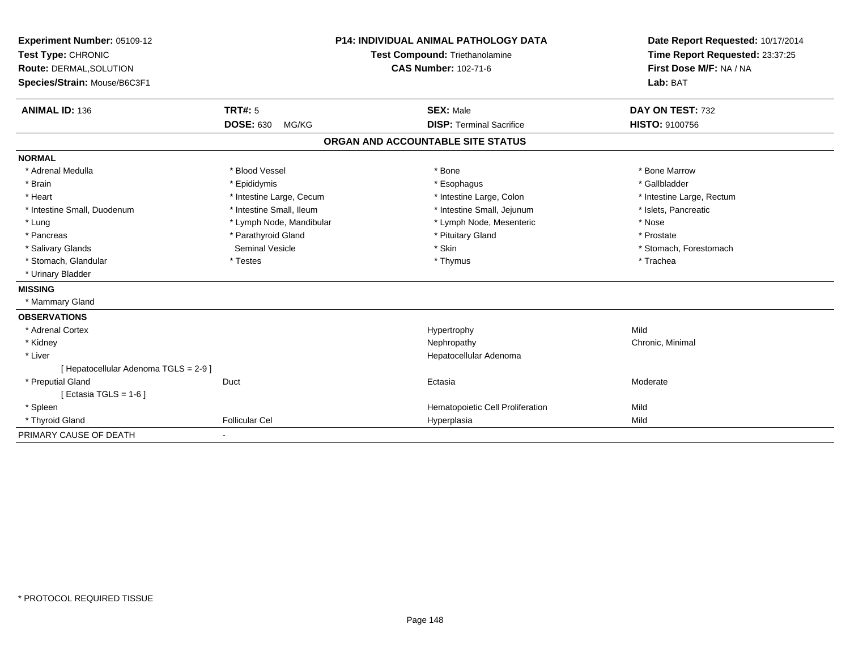| Experiment Number: 05109-12<br>Test Type: CHRONIC |                           |                             | <b>P14: INDIVIDUAL ANIMAL PATHOLOGY DATA</b><br>Test Compound: Triethanolamine | Date Report Requested: 10/17/2014<br>Time Report Requested: 23:37:25 |  |
|---------------------------------------------------|---------------------------|-----------------------------|--------------------------------------------------------------------------------|----------------------------------------------------------------------|--|
| Route: DERMAL, SOLUTION                           |                           | <b>CAS Number: 102-71-6</b> |                                                                                | First Dose M/F: NA / NA                                              |  |
| Species/Strain: Mouse/B6C3F1                      |                           |                             |                                                                                | Lab: BAT                                                             |  |
| <b>ANIMAL ID: 136</b>                             | <b>TRT#: 5</b>            |                             | <b>SEX: Male</b>                                                               | DAY ON TEST: 732                                                     |  |
|                                                   | <b>DOSE: 630</b><br>MG/KG |                             | <b>DISP: Terminal Sacrifice</b>                                                | <b>HISTO: 9100756</b>                                                |  |
|                                                   |                           |                             | ORGAN AND ACCOUNTABLE SITE STATUS                                              |                                                                      |  |
| <b>NORMAL</b>                                     |                           |                             |                                                                                |                                                                      |  |
| * Adrenal Medulla                                 | * Blood Vessel            |                             | * Bone                                                                         | * Bone Marrow                                                        |  |
| * Brain                                           | * Epididymis              |                             | * Esophagus                                                                    | * Gallbladder                                                        |  |
| * Heart                                           | * Intestine Large, Cecum  |                             | * Intestine Large, Colon                                                       | * Intestine Large, Rectum                                            |  |
| * Intestine Small, Duodenum                       | * Intestine Small, Ileum  |                             | * Intestine Small, Jejunum                                                     | * Islets, Pancreatic                                                 |  |
| * Lung                                            | * Lymph Node, Mandibular  |                             | * Lymph Node, Mesenteric                                                       | * Nose                                                               |  |
| * Pancreas                                        | * Parathyroid Gland       |                             | * Pituitary Gland                                                              | * Prostate                                                           |  |
| * Salivary Glands                                 | <b>Seminal Vesicle</b>    |                             | * Skin                                                                         | * Stomach, Forestomach                                               |  |
| * Stomach, Glandular                              | * Testes                  |                             | * Thymus                                                                       | * Trachea                                                            |  |
| * Urinary Bladder                                 |                           |                             |                                                                                |                                                                      |  |
| <b>MISSING</b>                                    |                           |                             |                                                                                |                                                                      |  |
| * Mammary Gland                                   |                           |                             |                                                                                |                                                                      |  |
| <b>OBSERVATIONS</b>                               |                           |                             |                                                                                |                                                                      |  |
| * Adrenal Cortex                                  |                           |                             | Hypertrophy                                                                    | Mild                                                                 |  |
| * Kidney                                          |                           |                             | Nephropathy                                                                    | Chronic, Minimal                                                     |  |
| * Liver                                           |                           |                             | Hepatocellular Adenoma                                                         |                                                                      |  |
| [ Hepatocellular Adenoma TGLS = 2-9]              |                           |                             |                                                                                |                                                                      |  |
| * Preputial Gland                                 | Duct                      |                             | Ectasia                                                                        | Moderate                                                             |  |
| [ Ectasia TGLS = $1-6$ ]                          |                           |                             |                                                                                |                                                                      |  |
| * Spleen                                          |                           |                             | Hematopoietic Cell Proliferation                                               | Mild                                                                 |  |
| * Thyroid Gland                                   | <b>Follicular Cel</b>     |                             | Hyperplasia                                                                    | Mild                                                                 |  |
| PRIMARY CAUSE OF DEATH                            |                           |                             |                                                                                |                                                                      |  |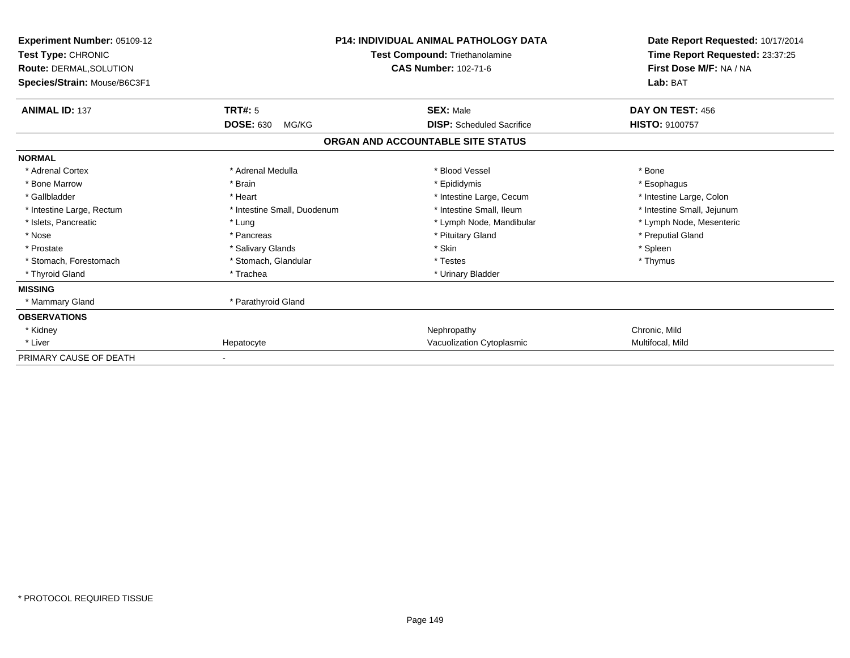| Experiment Number: 05109-12<br>Test Type: CHRONIC<br><b>Route: DERMAL, SOLUTION</b><br>Species/Strain: Mouse/B6C3F1 | <b>P14: INDIVIDUAL ANIMAL PATHOLOGY DATA</b><br>Test Compound: Triethanolamine<br><b>CAS Number: 102-71-6</b> |                                   | Date Report Requested: 10/17/2014<br>Time Report Requested: 23:37:25<br>First Dose M/F: NA / NA<br>Lab: BAT |  |
|---------------------------------------------------------------------------------------------------------------------|---------------------------------------------------------------------------------------------------------------|-----------------------------------|-------------------------------------------------------------------------------------------------------------|--|
| <b>ANIMAL ID: 137</b>                                                                                               | <b>TRT#: 5</b>                                                                                                | <b>SEX: Male</b>                  | DAY ON TEST: 456                                                                                            |  |
|                                                                                                                     | <b>DOSE: 630</b><br>MG/KG                                                                                     | <b>DISP:</b> Scheduled Sacrifice  | <b>HISTO: 9100757</b>                                                                                       |  |
|                                                                                                                     |                                                                                                               | ORGAN AND ACCOUNTABLE SITE STATUS |                                                                                                             |  |
| <b>NORMAL</b>                                                                                                       |                                                                                                               |                                   |                                                                                                             |  |
| * Adrenal Cortex                                                                                                    | * Adrenal Medulla                                                                                             | * Blood Vessel                    | * Bone                                                                                                      |  |
| * Bone Marrow                                                                                                       | * Brain                                                                                                       | * Epididymis                      | * Esophagus                                                                                                 |  |
| * Gallbladder                                                                                                       | * Heart                                                                                                       | * Intestine Large, Cecum          | * Intestine Large, Colon                                                                                    |  |
| * Intestine Large, Rectum                                                                                           | * Intestine Small, Duodenum                                                                                   | * Intestine Small, Ileum          | * Intestine Small, Jejunum                                                                                  |  |
| * Islets, Pancreatic                                                                                                | * Lung                                                                                                        | * Lymph Node, Mandibular          | * Lymph Node, Mesenteric                                                                                    |  |
| * Nose                                                                                                              | * Pancreas                                                                                                    | * Pituitary Gland                 | * Preputial Gland                                                                                           |  |
| * Prostate                                                                                                          | * Salivary Glands                                                                                             | * Skin                            | * Spleen                                                                                                    |  |
| * Stomach, Forestomach                                                                                              | * Stomach, Glandular                                                                                          | * Testes                          | * Thymus                                                                                                    |  |
| * Thyroid Gland                                                                                                     | * Trachea                                                                                                     | * Urinary Bladder                 |                                                                                                             |  |
| <b>MISSING</b>                                                                                                      |                                                                                                               |                                   |                                                                                                             |  |
| * Mammary Gland                                                                                                     | * Parathyroid Gland                                                                                           |                                   |                                                                                                             |  |
| <b>OBSERVATIONS</b>                                                                                                 |                                                                                                               |                                   |                                                                                                             |  |
| * Kidney                                                                                                            |                                                                                                               | Nephropathy                       | Chronic, Mild                                                                                               |  |
| * Liver                                                                                                             | Hepatocyte                                                                                                    | Vacuolization Cytoplasmic         | Multifocal, Mild                                                                                            |  |
| PRIMARY CAUSE OF DEATH                                                                                              |                                                                                                               |                                   |                                                                                                             |  |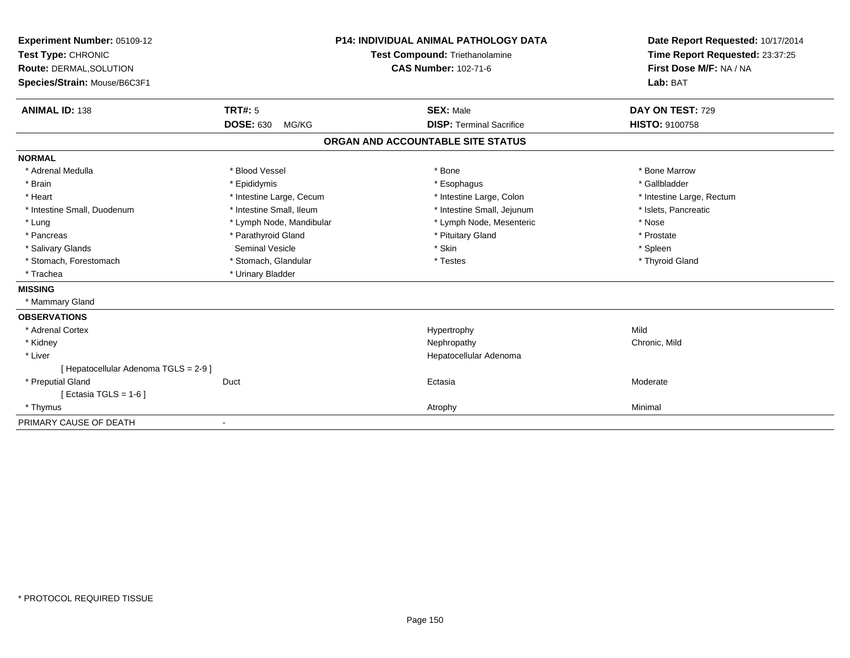| Experiment Number: 05109-12<br>Test Type: CHRONIC<br><b>Route: DERMAL, SOLUTION</b><br>Species/Strain: Mouse/B6C3F1<br><b>ANIMAL ID: 138</b> | TRT#: 5                   | <b>P14: INDIVIDUAL ANIMAL PATHOLOGY DATA</b><br>Test Compound: Triethanolamine<br><b>CAS Number: 102-71-6</b><br><b>SEX: Male</b> | Date Report Requested: 10/17/2014<br>Time Report Requested: 23:37:25<br>First Dose M/F: NA / NA<br>Lab: BAT<br>DAY ON TEST: 729 |
|----------------------------------------------------------------------------------------------------------------------------------------------|---------------------------|-----------------------------------------------------------------------------------------------------------------------------------|---------------------------------------------------------------------------------------------------------------------------------|
|                                                                                                                                              | <b>DOSE: 630</b><br>MG/KG | <b>DISP: Terminal Sacrifice</b>                                                                                                   | <b>HISTO: 9100758</b>                                                                                                           |
|                                                                                                                                              |                           | ORGAN AND ACCOUNTABLE SITE STATUS                                                                                                 |                                                                                                                                 |
| <b>NORMAL</b>                                                                                                                                |                           |                                                                                                                                   |                                                                                                                                 |
| * Adrenal Medulla                                                                                                                            | * Blood Vessel            | * Bone                                                                                                                            | * Bone Marrow                                                                                                                   |
| * Brain                                                                                                                                      | * Epididymis              | * Esophagus                                                                                                                       | * Gallbladder                                                                                                                   |
| * Heart                                                                                                                                      | * Intestine Large, Cecum  | * Intestine Large, Colon                                                                                                          | * Intestine Large, Rectum                                                                                                       |
| * Intestine Small, Duodenum                                                                                                                  | * Intestine Small, Ileum  | * Intestine Small, Jejunum                                                                                                        | * Islets, Pancreatic                                                                                                            |
| * Lung                                                                                                                                       | * Lymph Node, Mandibular  | * Lymph Node, Mesenteric                                                                                                          | * Nose                                                                                                                          |
| * Pancreas                                                                                                                                   | * Parathyroid Gland       | * Pituitary Gland                                                                                                                 | * Prostate                                                                                                                      |
| * Salivary Glands                                                                                                                            | Seminal Vesicle           | * Skin                                                                                                                            | * Spleen                                                                                                                        |
| * Stomach, Forestomach                                                                                                                       | * Stomach, Glandular      | * Testes                                                                                                                          | * Thyroid Gland                                                                                                                 |
| * Trachea                                                                                                                                    | * Urinary Bladder         |                                                                                                                                   |                                                                                                                                 |
| <b>MISSING</b>                                                                                                                               |                           |                                                                                                                                   |                                                                                                                                 |
| * Mammary Gland                                                                                                                              |                           |                                                                                                                                   |                                                                                                                                 |
| <b>OBSERVATIONS</b>                                                                                                                          |                           |                                                                                                                                   |                                                                                                                                 |
| * Adrenal Cortex                                                                                                                             |                           | Hypertrophy                                                                                                                       | Mild                                                                                                                            |
| * Kidney                                                                                                                                     |                           | Nephropathy                                                                                                                       | Chronic, Mild                                                                                                                   |
| * Liver                                                                                                                                      |                           | Hepatocellular Adenoma                                                                                                            |                                                                                                                                 |
| [ Hepatocellular Adenoma TGLS = 2-9 ]                                                                                                        |                           |                                                                                                                                   |                                                                                                                                 |
| * Preputial Gland                                                                                                                            | Duct                      | Ectasia                                                                                                                           | Moderate                                                                                                                        |
| [ Ectasia TGLS = 1-6 ]                                                                                                                       |                           |                                                                                                                                   |                                                                                                                                 |
| * Thymus                                                                                                                                     |                           | Atrophy                                                                                                                           | Minimal                                                                                                                         |
| PRIMARY CAUSE OF DEATH                                                                                                                       |                           |                                                                                                                                   |                                                                                                                                 |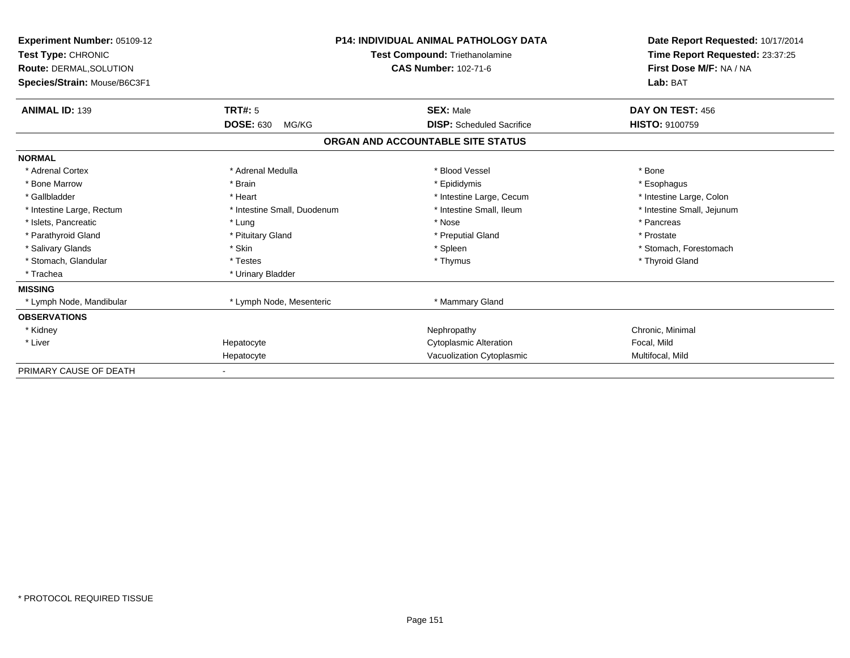| <b>Experiment Number: 05109-12</b><br>Test Type: CHRONIC<br>Route: DERMAL, SOLUTION<br>Species/Strain: Mouse/B6C3F1 | <b>P14: INDIVIDUAL ANIMAL PATHOLOGY DATA</b><br>Test Compound: Triethanolamine<br><b>CAS Number: 102-71-6</b> |                                   | Date Report Requested: 10/17/2014<br>Time Report Requested: 23:37:25<br>First Dose M/F: NA / NA<br>Lab: BAT |  |
|---------------------------------------------------------------------------------------------------------------------|---------------------------------------------------------------------------------------------------------------|-----------------------------------|-------------------------------------------------------------------------------------------------------------|--|
| <b>ANIMAL ID: 139</b>                                                                                               | <b>TRT#: 5</b>                                                                                                | <b>SEX: Male</b>                  | DAY ON TEST: 456                                                                                            |  |
|                                                                                                                     | <b>DOSE: 630</b><br>MG/KG                                                                                     | <b>DISP:</b> Scheduled Sacrifice  | <b>HISTO: 9100759</b>                                                                                       |  |
|                                                                                                                     |                                                                                                               | ORGAN AND ACCOUNTABLE SITE STATUS |                                                                                                             |  |
| <b>NORMAL</b>                                                                                                       |                                                                                                               |                                   |                                                                                                             |  |
| * Adrenal Cortex                                                                                                    | * Adrenal Medulla                                                                                             | * Blood Vessel                    | * Bone                                                                                                      |  |
| * Bone Marrow                                                                                                       | * Brain                                                                                                       | * Epididymis                      | * Esophagus                                                                                                 |  |
| * Gallbladder                                                                                                       | * Heart                                                                                                       | * Intestine Large, Cecum          | * Intestine Large, Colon                                                                                    |  |
| * Intestine Large, Rectum                                                                                           | * Intestine Small, Duodenum                                                                                   | * Intestine Small, Ileum          | * Intestine Small, Jejunum                                                                                  |  |
| * Islets, Pancreatic                                                                                                | * Lung                                                                                                        | * Nose                            | * Pancreas                                                                                                  |  |
| * Parathyroid Gland                                                                                                 | * Pituitary Gland                                                                                             | * Preputial Gland                 | * Prostate                                                                                                  |  |
| * Salivary Glands                                                                                                   | * Skin                                                                                                        | * Spleen                          | * Stomach, Forestomach                                                                                      |  |
| * Stomach, Glandular                                                                                                | * Testes                                                                                                      | * Thymus                          | * Thyroid Gland                                                                                             |  |
| * Trachea                                                                                                           | * Urinary Bladder                                                                                             |                                   |                                                                                                             |  |
| <b>MISSING</b>                                                                                                      |                                                                                                               |                                   |                                                                                                             |  |
| * Lymph Node, Mandibular                                                                                            | * Lymph Node, Mesenteric                                                                                      | * Mammary Gland                   |                                                                                                             |  |
| <b>OBSERVATIONS</b>                                                                                                 |                                                                                                               |                                   |                                                                                                             |  |
| * Kidney                                                                                                            |                                                                                                               | Nephropathy                       | Chronic, Minimal                                                                                            |  |
| * Liver                                                                                                             | Hepatocyte                                                                                                    | <b>Cytoplasmic Alteration</b>     | Focal, Mild                                                                                                 |  |
|                                                                                                                     | Hepatocyte                                                                                                    | Vacuolization Cytoplasmic         | Multifocal, Mild                                                                                            |  |
| PRIMARY CAUSE OF DEATH                                                                                              |                                                                                                               |                                   |                                                                                                             |  |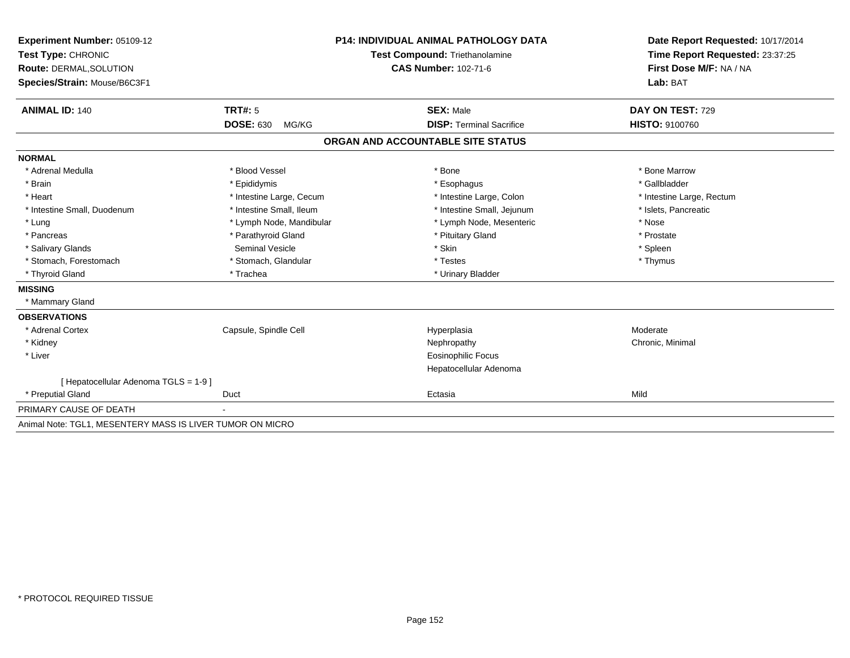| Experiment Number: 05109-12                               | <b>P14: INDIVIDUAL ANIMAL PATHOLOGY DATA</b> |                                   | Date Report Requested: 10/17/2014 |  |
|-----------------------------------------------------------|----------------------------------------------|-----------------------------------|-----------------------------------|--|
| Test Type: CHRONIC                                        |                                              | Test Compound: Triethanolamine    | Time Report Requested: 23:37:25   |  |
| <b>Route: DERMAL, SOLUTION</b>                            |                                              | <b>CAS Number: 102-71-6</b>       | First Dose M/F: NA / NA           |  |
| Species/Strain: Mouse/B6C3F1                              |                                              |                                   | Lab: BAT                          |  |
| <b>ANIMAL ID: 140</b>                                     | TRT#: 5                                      | <b>SEX: Male</b>                  | DAY ON TEST: 729                  |  |
|                                                           | <b>DOSE: 630</b><br>MG/KG                    | <b>DISP: Terminal Sacrifice</b>   | <b>HISTO: 9100760</b>             |  |
|                                                           |                                              | ORGAN AND ACCOUNTABLE SITE STATUS |                                   |  |
| <b>NORMAL</b>                                             |                                              |                                   |                                   |  |
| * Adrenal Medulla                                         | * Blood Vessel                               | * Bone                            | * Bone Marrow                     |  |
| * Brain                                                   | * Epididymis                                 | * Esophagus                       | * Gallbladder                     |  |
| * Heart                                                   | * Intestine Large, Cecum                     | * Intestine Large, Colon          | * Intestine Large, Rectum         |  |
| * Intestine Small, Duodenum                               | * Intestine Small, Ileum                     | * Intestine Small, Jejunum        | * Islets. Pancreatic              |  |
| * Lung                                                    | * Lymph Node, Mandibular                     | * Lymph Node, Mesenteric          | * Nose                            |  |
| * Pancreas                                                | * Parathyroid Gland                          | * Pituitary Gland                 | * Prostate                        |  |
| * Salivary Glands                                         | <b>Seminal Vesicle</b>                       | * Skin                            | * Spleen                          |  |
| * Stomach, Forestomach                                    | * Stomach, Glandular                         | * Testes                          | * Thymus                          |  |
| * Thyroid Gland                                           | * Trachea                                    | * Urinary Bladder                 |                                   |  |
| <b>MISSING</b>                                            |                                              |                                   |                                   |  |
| * Mammary Gland                                           |                                              |                                   |                                   |  |
| <b>OBSERVATIONS</b>                                       |                                              |                                   |                                   |  |
| * Adrenal Cortex                                          | Capsule, Spindle Cell                        | Hyperplasia                       | Moderate                          |  |
| * Kidney                                                  |                                              | Nephropathy                       | Chronic, Minimal                  |  |
| * Liver                                                   |                                              | <b>Eosinophilic Focus</b>         |                                   |  |
|                                                           |                                              | Hepatocellular Adenoma            |                                   |  |
| [ Hepatocellular Adenoma TGLS = 1-9 ]                     |                                              |                                   |                                   |  |
| * Preputial Gland                                         | Duct                                         | Ectasia                           | Mild                              |  |
| PRIMARY CAUSE OF DEATH                                    |                                              |                                   |                                   |  |
| Animal Note: TGL1, MESENTERY MASS IS LIVER TUMOR ON MICRO |                                              |                                   |                                   |  |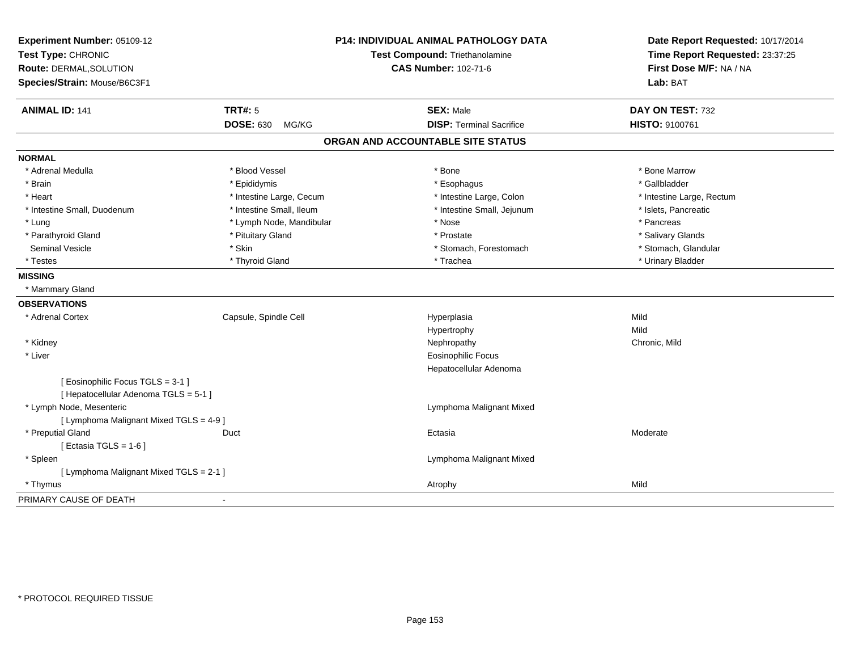| Experiment Number: 05109-12<br>Test Type: CHRONIC<br>Route: DERMAL, SOLUTION<br>Species/Strain: Mouse/B6C3F1 |                           | P14: INDIVIDUAL ANIMAL PATHOLOGY DATA<br>Test Compound: Triethanolamine<br><b>CAS Number: 102-71-6</b> | Date Report Requested: 10/17/2014<br>Time Report Requested: 23:37:25<br>First Dose M/F: NA / NA<br>Lab: BAT |  |
|--------------------------------------------------------------------------------------------------------------|---------------------------|--------------------------------------------------------------------------------------------------------|-------------------------------------------------------------------------------------------------------------|--|
| <b>ANIMAL ID: 141</b>                                                                                        | <b>TRT#: 5</b>            | <b>SEX: Male</b>                                                                                       | DAY ON TEST: 732                                                                                            |  |
|                                                                                                              | <b>DOSE: 630</b><br>MG/KG | <b>DISP: Terminal Sacrifice</b>                                                                        | HISTO: 9100761                                                                                              |  |
|                                                                                                              |                           | ORGAN AND ACCOUNTABLE SITE STATUS                                                                      |                                                                                                             |  |
| <b>NORMAL</b>                                                                                                |                           |                                                                                                        |                                                                                                             |  |
| * Adrenal Medulla                                                                                            | * Blood Vessel            | * Bone                                                                                                 | * Bone Marrow                                                                                               |  |
| * Brain                                                                                                      | * Epididymis              | * Esophagus                                                                                            | * Gallbladder                                                                                               |  |
| * Heart                                                                                                      | * Intestine Large, Cecum  | * Intestine Large, Colon                                                                               | * Intestine Large, Rectum                                                                                   |  |
| * Intestine Small, Duodenum                                                                                  | * Intestine Small, Ileum  | * Intestine Small, Jejunum                                                                             | * Islets, Pancreatic                                                                                        |  |
| * Lung                                                                                                       | * Lymph Node, Mandibular  | * Nose                                                                                                 | * Pancreas                                                                                                  |  |
| * Parathyroid Gland                                                                                          | * Pituitary Gland         | * Prostate                                                                                             | * Salivary Glands                                                                                           |  |
| <b>Seminal Vesicle</b>                                                                                       | * Skin                    | * Stomach, Forestomach                                                                                 | * Stomach, Glandular                                                                                        |  |
| * Testes                                                                                                     | * Thyroid Gland           | * Trachea                                                                                              | * Urinary Bladder                                                                                           |  |
| <b>MISSING</b>                                                                                               |                           |                                                                                                        |                                                                                                             |  |
| * Mammary Gland                                                                                              |                           |                                                                                                        |                                                                                                             |  |
| <b>OBSERVATIONS</b>                                                                                          |                           |                                                                                                        |                                                                                                             |  |
| * Adrenal Cortex                                                                                             | Capsule, Spindle Cell     | Hyperplasia                                                                                            | Mild                                                                                                        |  |
|                                                                                                              |                           | Hypertrophy                                                                                            | Mild                                                                                                        |  |
| * Kidney                                                                                                     |                           | Nephropathy                                                                                            | Chronic, Mild                                                                                               |  |
| * Liver                                                                                                      |                           | <b>Eosinophilic Focus</b>                                                                              |                                                                                                             |  |
|                                                                                                              |                           | Hepatocellular Adenoma                                                                                 |                                                                                                             |  |
| [Eosinophilic Focus TGLS = 3-1]                                                                              |                           |                                                                                                        |                                                                                                             |  |
| [ Hepatocellular Adenoma TGLS = 5-1 ]                                                                        |                           |                                                                                                        |                                                                                                             |  |
| * Lymph Node, Mesenteric                                                                                     |                           | Lymphoma Malignant Mixed                                                                               |                                                                                                             |  |
| [ Lymphoma Malignant Mixed TGLS = 4-9 ]                                                                      |                           |                                                                                                        |                                                                                                             |  |
| * Preputial Gland                                                                                            | Duct                      | Ectasia                                                                                                | Moderate                                                                                                    |  |
| [Ectasia TGLS = $1-6$ ]                                                                                      |                           |                                                                                                        |                                                                                                             |  |
| * Spleen                                                                                                     |                           | Lymphoma Malignant Mixed                                                                               |                                                                                                             |  |
| [ Lymphoma Malignant Mixed TGLS = 2-1 ]                                                                      |                           |                                                                                                        |                                                                                                             |  |
| * Thymus                                                                                                     |                           | Atrophy                                                                                                | Mild                                                                                                        |  |
| PRIMARY CAUSE OF DEATH                                                                                       | $\overline{\phantom{a}}$  |                                                                                                        |                                                                                                             |  |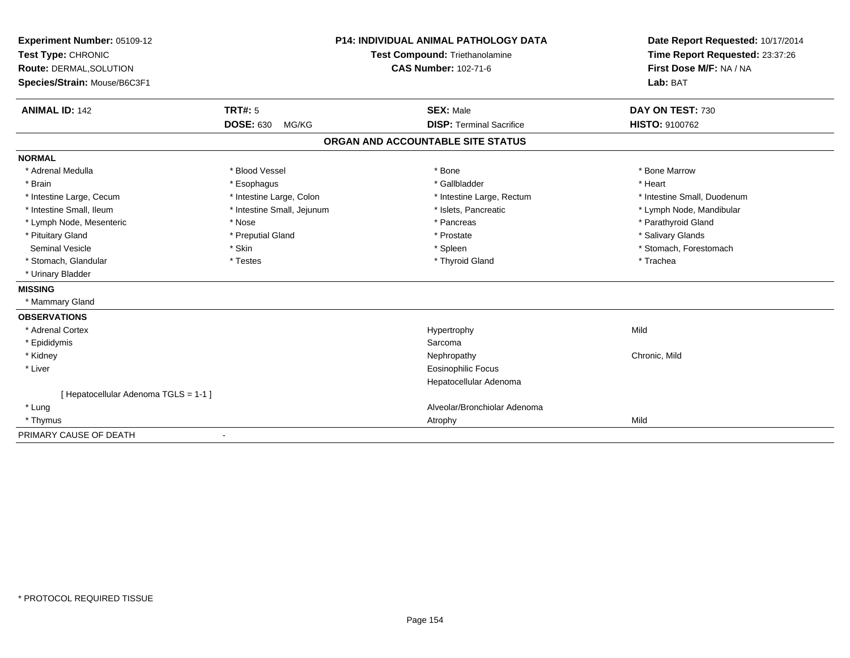| Experiment Number: 05109-12           |                            | <b>P14: INDIVIDUAL ANIMAL PATHOLOGY DATA</b> | Date Report Requested: 10/17/2014 |
|---------------------------------------|----------------------------|----------------------------------------------|-----------------------------------|
| Test Type: CHRONIC                    |                            | <b>Test Compound: Triethanolamine</b>        | Time Report Requested: 23:37:26   |
| Route: DERMAL, SOLUTION               |                            | <b>CAS Number: 102-71-6</b>                  | First Dose M/F: NA / NA           |
| Species/Strain: Mouse/B6C3F1          |                            |                                              | Lab: BAT                          |
| <b>ANIMAL ID: 142</b>                 | TRT#: 5                    | <b>SEX: Male</b>                             | DAY ON TEST: 730                  |
|                                       | <b>DOSE: 630</b><br>MG/KG  | <b>DISP: Terminal Sacrifice</b>              | <b>HISTO: 9100762</b>             |
|                                       |                            | ORGAN AND ACCOUNTABLE SITE STATUS            |                                   |
| <b>NORMAL</b>                         |                            |                                              |                                   |
| * Adrenal Medulla                     | * Blood Vessel             | * Bone                                       | * Bone Marrow                     |
| * Brain                               | * Esophagus                | * Gallbladder                                | * Heart                           |
| * Intestine Large, Cecum              | * Intestine Large, Colon   | * Intestine Large, Rectum                    | * Intestine Small, Duodenum       |
| * Intestine Small, Ileum              | * Intestine Small, Jejunum | * Islets, Pancreatic                         | * Lymph Node, Mandibular          |
| * Lymph Node, Mesenteric              | * Nose                     | * Pancreas                                   | * Parathyroid Gland               |
| * Pituitary Gland                     | * Preputial Gland          | * Prostate                                   | * Salivary Glands                 |
| Seminal Vesicle                       | * Skin                     | * Spleen                                     | * Stomach, Forestomach            |
| * Stomach, Glandular                  | * Testes                   | * Thyroid Gland                              | * Trachea                         |
| * Urinary Bladder                     |                            |                                              |                                   |
| <b>MISSING</b>                        |                            |                                              |                                   |
| * Mammary Gland                       |                            |                                              |                                   |
| <b>OBSERVATIONS</b>                   |                            |                                              |                                   |
| * Adrenal Cortex                      |                            | Hypertrophy                                  | Mild                              |
| * Epididymis                          |                            | Sarcoma                                      |                                   |
| * Kidney                              |                            | Nephropathy                                  | Chronic, Mild                     |
| * Liver                               |                            | <b>Eosinophilic Focus</b>                    |                                   |
|                                       |                            | Hepatocellular Adenoma                       |                                   |
| [ Hepatocellular Adenoma TGLS = 1-1 ] |                            |                                              |                                   |
| * Lung                                |                            | Alveolar/Bronchiolar Adenoma                 |                                   |
| * Thymus                              |                            | Atrophy                                      | Mild                              |
| PRIMARY CAUSE OF DEATH                |                            |                                              |                                   |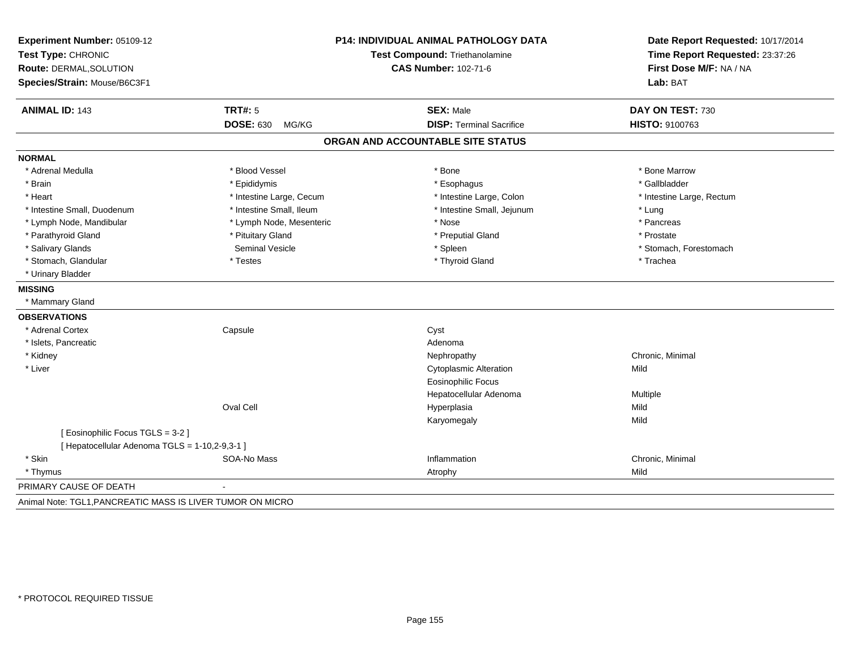| Experiment Number: 05109-12                                |                           | <b>P14: INDIVIDUAL ANIMAL PATHOLOGY DATA</b> | Date Report Requested: 10/17/2014 |
|------------------------------------------------------------|---------------------------|----------------------------------------------|-----------------------------------|
| Test Type: CHRONIC                                         |                           | Test Compound: Triethanolamine               |                                   |
| Route: DERMAL, SOLUTION                                    |                           | <b>CAS Number: 102-71-6</b>                  | First Dose M/F: NA / NA           |
| Species/Strain: Mouse/B6C3F1                               |                           |                                              | Lab: BAT                          |
| <b>ANIMAL ID: 143</b>                                      | <b>TRT#: 5</b>            | <b>SEX: Male</b>                             | DAY ON TEST: 730                  |
|                                                            | <b>DOSE: 630</b><br>MG/KG | <b>DISP: Terminal Sacrifice</b>              | HISTO: 9100763                    |
|                                                            |                           | ORGAN AND ACCOUNTABLE SITE STATUS            |                                   |
| <b>NORMAL</b>                                              |                           |                                              |                                   |
| * Adrenal Medulla                                          | * Blood Vessel            | * Bone                                       | * Bone Marrow                     |
| * Brain                                                    | * Epididymis              | * Esophagus                                  | * Gallbladder                     |
| * Heart                                                    | * Intestine Large, Cecum  | * Intestine Large, Colon                     | * Intestine Large, Rectum         |
| * Intestine Small, Duodenum                                | * Intestine Small, Ileum  | * Intestine Small, Jejunum                   | * Lung                            |
| * Lymph Node, Mandibular                                   | * Lymph Node, Mesenteric  | * Nose                                       | * Pancreas                        |
| * Parathyroid Gland                                        | * Pituitary Gland         | * Preputial Gland                            | * Prostate                        |
| * Salivary Glands                                          | <b>Seminal Vesicle</b>    | * Spleen                                     | * Stomach, Forestomach            |
| * Stomach, Glandular                                       | * Testes                  | * Thyroid Gland                              | * Trachea                         |
| * Urinary Bladder                                          |                           |                                              |                                   |
| <b>MISSING</b>                                             |                           |                                              |                                   |
| * Mammary Gland                                            |                           |                                              |                                   |
| <b>OBSERVATIONS</b>                                        |                           |                                              |                                   |
| * Adrenal Cortex                                           | Capsule                   | Cyst                                         |                                   |
| * Islets, Pancreatic                                       |                           | Adenoma                                      |                                   |
| * Kidney                                                   |                           | Nephropathy                                  | Chronic, Minimal                  |
| * Liver                                                    |                           | <b>Cytoplasmic Alteration</b>                | Mild                              |
|                                                            |                           | <b>Eosinophilic Focus</b>                    |                                   |
|                                                            |                           | Hepatocellular Adenoma                       | Multiple                          |
|                                                            | Oval Cell                 | Hyperplasia                                  | Mild                              |
|                                                            |                           | Karyomegaly                                  | Mild                              |
| [ Eosinophilic Focus TGLS = 3-2 ]                          |                           |                                              |                                   |
| [ Hepatocellular Adenoma TGLS = 1-10,2-9,3-1 ]             |                           |                                              |                                   |
| * Skin                                                     | SOA-No Mass               | Inflammation                                 | Chronic, Minimal                  |
| * Thymus                                                   |                           | Atrophy                                      | Mild                              |
| PRIMARY CAUSE OF DEATH                                     |                           |                                              |                                   |
| Animal Note: TGL1, PANCREATIC MASS IS LIVER TUMOR ON MICRO |                           |                                              |                                   |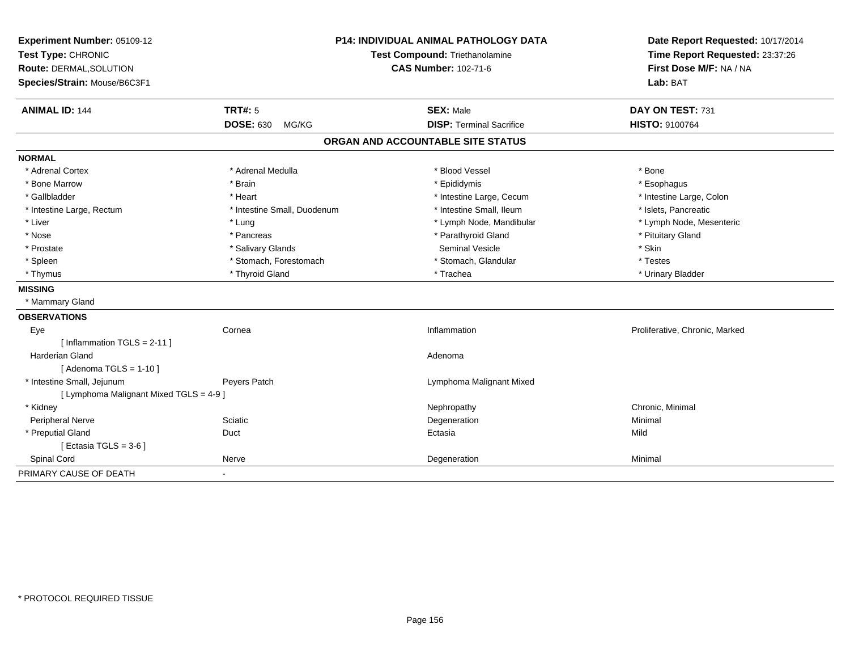| Experiment Number: 05109-12<br>Test Type: CHRONIC<br>Route: DERMAL, SOLUTION<br>Species/Strain: Mouse/B6C3F1 | <b>P14: INDIVIDUAL ANIMAL PATHOLOGY DATA</b><br>Test Compound: Triethanolamine<br><b>CAS Number: 102-71-6</b> |                                   | Date Report Requested: 10/17/2014<br>Time Report Requested: 23:37:26<br>First Dose M/F: NA / NA<br>Lab: BAT |
|--------------------------------------------------------------------------------------------------------------|---------------------------------------------------------------------------------------------------------------|-----------------------------------|-------------------------------------------------------------------------------------------------------------|
| <b>ANIMAL ID: 144</b>                                                                                        | <b>TRT#: 5</b>                                                                                                | <b>SEX: Male</b>                  | DAY ON TEST: 731                                                                                            |
|                                                                                                              | <b>DOSE: 630</b><br>MG/KG                                                                                     | <b>DISP: Terminal Sacrifice</b>   | <b>HISTO: 9100764</b>                                                                                       |
|                                                                                                              |                                                                                                               | ORGAN AND ACCOUNTABLE SITE STATUS |                                                                                                             |
| <b>NORMAL</b>                                                                                                |                                                                                                               |                                   |                                                                                                             |
| * Adrenal Cortex                                                                                             | * Adrenal Medulla                                                                                             | * Blood Vessel                    | * Bone                                                                                                      |
| * Bone Marrow                                                                                                | * Brain                                                                                                       | * Epididymis                      | * Esophagus                                                                                                 |
| * Gallbladder                                                                                                | * Heart                                                                                                       | * Intestine Large, Cecum          | * Intestine Large, Colon                                                                                    |
| * Intestine Large, Rectum                                                                                    | * Intestine Small, Duodenum                                                                                   | * Intestine Small, Ileum          | * Islets, Pancreatic                                                                                        |
| * Liver                                                                                                      | * Lung                                                                                                        | * Lymph Node, Mandibular          | * Lymph Node, Mesenteric                                                                                    |
| * Nose                                                                                                       | * Pancreas                                                                                                    | * Parathyroid Gland               | * Pituitary Gland                                                                                           |
| * Prostate                                                                                                   | * Salivary Glands                                                                                             | <b>Seminal Vesicle</b>            | * Skin                                                                                                      |
| * Spleen                                                                                                     | * Stomach, Forestomach                                                                                        | * Stomach, Glandular              | * Testes                                                                                                    |
| * Thymus                                                                                                     | * Thyroid Gland                                                                                               | * Trachea                         | * Urinary Bladder                                                                                           |
| <b>MISSING</b>                                                                                               |                                                                                                               |                                   |                                                                                                             |
| * Mammary Gland                                                                                              |                                                                                                               |                                   |                                                                                                             |
| <b>OBSERVATIONS</b>                                                                                          |                                                                                                               |                                   |                                                                                                             |
| Eye                                                                                                          | Cornea                                                                                                        | Inflammation                      | Proliferative, Chronic, Marked                                                                              |
| [Inflammation TGLS = $2-11$ ]                                                                                |                                                                                                               |                                   |                                                                                                             |
| Harderian Gland                                                                                              |                                                                                                               | Adenoma                           |                                                                                                             |
| [ Adenoma TGLS = $1-10$ ]                                                                                    |                                                                                                               |                                   |                                                                                                             |
| * Intestine Small, Jejunum                                                                                   | Peyers Patch                                                                                                  | Lymphoma Malignant Mixed          |                                                                                                             |
| [ Lymphoma Malignant Mixed TGLS = 4-9 ]                                                                      |                                                                                                               |                                   |                                                                                                             |
| * Kidney                                                                                                     |                                                                                                               | Nephropathy                       | Chronic, Minimal                                                                                            |
| Peripheral Nerve                                                                                             | Sciatic                                                                                                       | Degeneration                      | Minimal                                                                                                     |
| * Preputial Gland                                                                                            | Duct                                                                                                          | Ectasia                           | Mild                                                                                                        |
| [Ectasia TGLS = $3-6$ ]                                                                                      |                                                                                                               |                                   |                                                                                                             |
| Spinal Cord                                                                                                  | Nerve                                                                                                         | Degeneration                      | Minimal                                                                                                     |
| PRIMARY CAUSE OF DEATH                                                                                       | $\blacksquare$                                                                                                |                                   |                                                                                                             |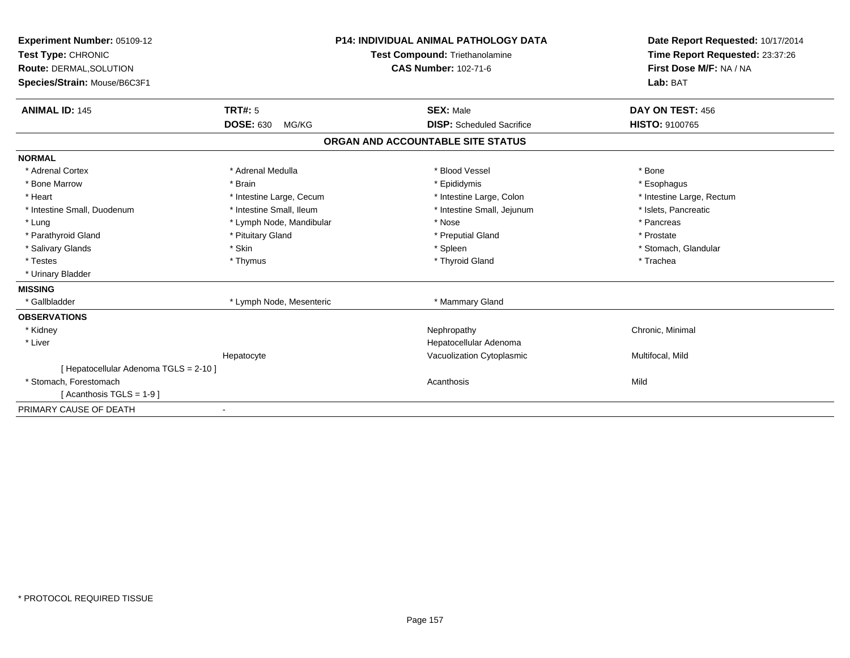| Experiment Number: 05109-12<br>Test Type: CHRONIC<br>Route: DERMAL, SOLUTION<br>Species/Strain: Mouse/B6C3F1 |                           | <b>P14: INDIVIDUAL ANIMAL PATHOLOGY DATA</b><br>Test Compound: Triethanolamine<br><b>CAS Number: 102-71-6</b> |                                  | Date Report Requested: 10/17/2014<br>Time Report Requested: 23:37:26<br>First Dose M/F: NA / NA<br>Lab: BAT |
|--------------------------------------------------------------------------------------------------------------|---------------------------|---------------------------------------------------------------------------------------------------------------|----------------------------------|-------------------------------------------------------------------------------------------------------------|
| <b>ANIMAL ID: 145</b>                                                                                        | <b>TRT#: 5</b>            |                                                                                                               | <b>SEX: Male</b>                 | DAY ON TEST: 456                                                                                            |
|                                                                                                              | <b>DOSE: 630</b><br>MG/KG |                                                                                                               | <b>DISP:</b> Scheduled Sacrifice | <b>HISTO: 9100765</b>                                                                                       |
|                                                                                                              |                           | ORGAN AND ACCOUNTABLE SITE STATUS                                                                             |                                  |                                                                                                             |
| <b>NORMAL</b>                                                                                                |                           |                                                                                                               |                                  |                                                                                                             |
| * Adrenal Cortex                                                                                             | * Adrenal Medulla         |                                                                                                               | * Blood Vessel                   | * Bone                                                                                                      |
| * Bone Marrow                                                                                                | * Brain                   |                                                                                                               | * Epididymis                     | * Esophagus                                                                                                 |
| * Heart                                                                                                      | * Intestine Large, Cecum  |                                                                                                               | * Intestine Large, Colon         | * Intestine Large, Rectum                                                                                   |
| * Intestine Small, Duodenum                                                                                  | * Intestine Small, Ileum  |                                                                                                               | * Intestine Small, Jejunum       | * Islets. Pancreatic                                                                                        |
| * Lung                                                                                                       | * Lymph Node, Mandibular  |                                                                                                               | * Nose                           | * Pancreas                                                                                                  |
| * Parathyroid Gland                                                                                          | * Pituitary Gland         |                                                                                                               | * Preputial Gland                | * Prostate                                                                                                  |
| * Salivary Glands                                                                                            | * Skin                    |                                                                                                               | * Spleen                         | * Stomach, Glandular                                                                                        |
| * Testes                                                                                                     | * Thymus                  |                                                                                                               | * Thyroid Gland                  | * Trachea                                                                                                   |
| * Urinary Bladder                                                                                            |                           |                                                                                                               |                                  |                                                                                                             |
| <b>MISSING</b>                                                                                               |                           |                                                                                                               |                                  |                                                                                                             |
| * Gallbladder                                                                                                | * Lymph Node, Mesenteric  |                                                                                                               | * Mammary Gland                  |                                                                                                             |
| <b>OBSERVATIONS</b>                                                                                          |                           |                                                                                                               |                                  |                                                                                                             |
| * Kidney                                                                                                     |                           |                                                                                                               | Nephropathy                      | Chronic, Minimal                                                                                            |
| * Liver                                                                                                      |                           |                                                                                                               | Hepatocellular Adenoma           |                                                                                                             |
|                                                                                                              | Hepatocyte                |                                                                                                               | Vacuolization Cytoplasmic        | Multifocal, Mild                                                                                            |
| [ Hepatocellular Adenoma TGLS = 2-10 ]                                                                       |                           |                                                                                                               |                                  |                                                                                                             |
| * Stomach, Forestomach                                                                                       |                           |                                                                                                               | Acanthosis                       | Mild                                                                                                        |
| [Acanthosis TGLS = $1-9$ ]                                                                                   |                           |                                                                                                               |                                  |                                                                                                             |
| PRIMARY CAUSE OF DEATH                                                                                       | $\blacksquare$            |                                                                                                               |                                  |                                                                                                             |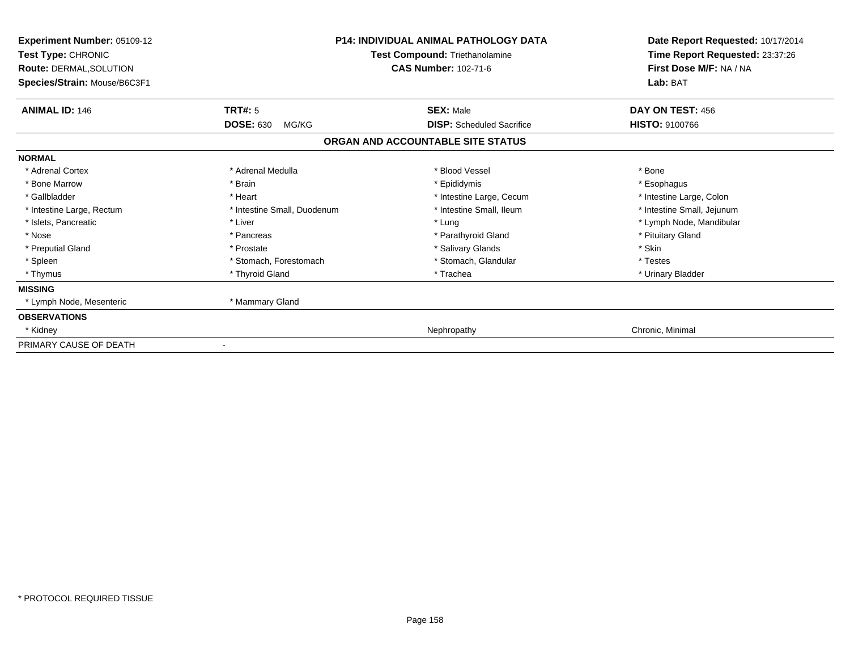| Experiment Number: 05109-12<br>Test Type: CHRONIC<br><b>Route: DERMAL, SOLUTION</b><br>Species/Strain: Mouse/B6C3F1 |                                             | <b>P14: INDIVIDUAL ANIMAL PATHOLOGY DATA</b><br>Test Compound: Triethanolamine<br><b>CAS Number: 102-71-6</b> | Date Report Requested: 10/17/2014<br>Time Report Requested: 23:37:26<br>First Dose M/F: NA / NA<br>Lab: BAT |  |
|---------------------------------------------------------------------------------------------------------------------|---------------------------------------------|---------------------------------------------------------------------------------------------------------------|-------------------------------------------------------------------------------------------------------------|--|
| <b>ANIMAL ID: 146</b>                                                                                               | <b>TRT#: 5</b><br><b>DOSE: 630</b><br>MG/KG | <b>SEX: Male</b><br><b>DISP:</b> Scheduled Sacrifice                                                          | DAY ON TEST: 456<br>HISTO: 9100766                                                                          |  |
|                                                                                                                     |                                             | ORGAN AND ACCOUNTABLE SITE STATUS                                                                             |                                                                                                             |  |
| <b>NORMAL</b>                                                                                                       |                                             |                                                                                                               |                                                                                                             |  |
| * Adrenal Cortex                                                                                                    | * Adrenal Medulla                           | * Blood Vessel                                                                                                | * Bone                                                                                                      |  |
| * Bone Marrow                                                                                                       | * Brain                                     | * Epididymis                                                                                                  | * Esophagus                                                                                                 |  |
| * Gallbladder                                                                                                       | * Heart                                     | * Intestine Large, Cecum                                                                                      | * Intestine Large, Colon                                                                                    |  |
| * Intestine Large, Rectum                                                                                           | * Intestine Small, Duodenum                 | * Intestine Small, Ileum                                                                                      | * Intestine Small, Jejunum                                                                                  |  |
| * Islets, Pancreatic                                                                                                | * Liver                                     | * Lung                                                                                                        | * Lymph Node, Mandibular                                                                                    |  |
| * Nose                                                                                                              | * Pancreas                                  | * Parathyroid Gland                                                                                           | * Pituitary Gland                                                                                           |  |
| * Preputial Gland                                                                                                   | * Prostate                                  | * Salivary Glands                                                                                             | * Skin                                                                                                      |  |
| * Spleen                                                                                                            | * Stomach, Forestomach                      | * Stomach, Glandular                                                                                          | * Testes                                                                                                    |  |
| * Thymus                                                                                                            | * Thyroid Gland                             | * Trachea                                                                                                     | * Urinary Bladder                                                                                           |  |
| <b>MISSING</b>                                                                                                      |                                             |                                                                                                               |                                                                                                             |  |
| * Lymph Node, Mesenteric                                                                                            | * Mammary Gland                             |                                                                                                               |                                                                                                             |  |
| <b>OBSERVATIONS</b>                                                                                                 |                                             |                                                                                                               |                                                                                                             |  |
| * Kidney                                                                                                            |                                             | Nephropathy                                                                                                   | Chronic, Minimal                                                                                            |  |
| PRIMARY CAUSE OF DEATH                                                                                              |                                             |                                                                                                               |                                                                                                             |  |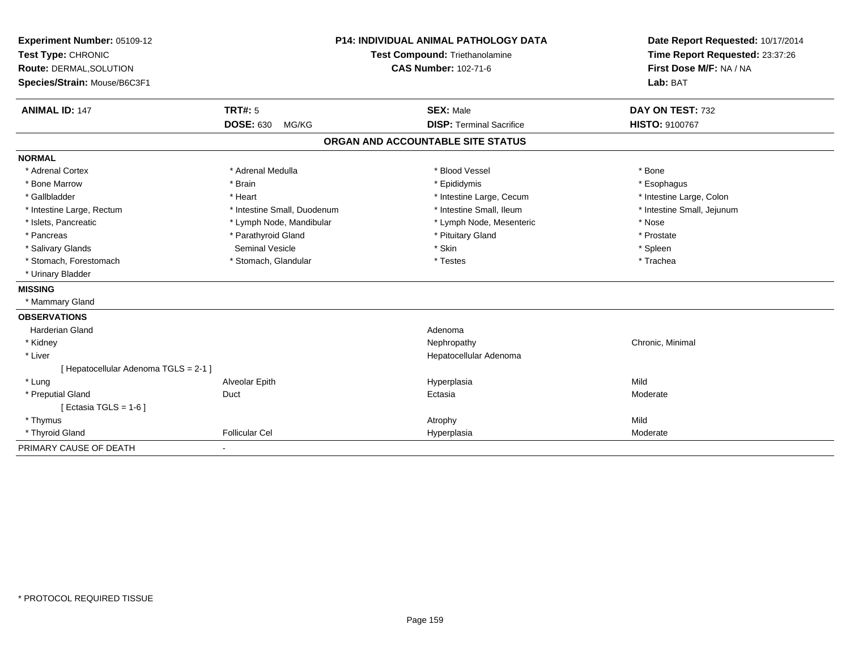| Experiment Number: 05109-12           |                                       | <b>P14: INDIVIDUAL ANIMAL PATHOLOGY DATA</b> | Date Report Requested: 10/17/2014 |  |
|---------------------------------------|---------------------------------------|----------------------------------------------|-----------------------------------|--|
| Test Type: CHRONIC                    | <b>Test Compound: Triethanolamine</b> |                                              | Time Report Requested: 23:37:26   |  |
| Route: DERMAL, SOLUTION               |                                       | <b>CAS Number: 102-71-6</b>                  | First Dose M/F: NA / NA           |  |
| Species/Strain: Mouse/B6C3F1          |                                       |                                              | Lab: BAT                          |  |
| <b>ANIMAL ID: 147</b>                 | TRT#: 5                               | <b>SEX: Male</b>                             | DAY ON TEST: 732                  |  |
|                                       | <b>DOSE: 630</b><br>MG/KG             | <b>DISP: Terminal Sacrifice</b>              | HISTO: 9100767                    |  |
|                                       |                                       | ORGAN AND ACCOUNTABLE SITE STATUS            |                                   |  |
| <b>NORMAL</b>                         |                                       |                                              |                                   |  |
| * Adrenal Cortex                      | * Adrenal Medulla                     | * Blood Vessel                               | * Bone                            |  |
| * Bone Marrow                         | * Brain                               | * Epididymis                                 | * Esophagus                       |  |
| * Gallbladder                         | * Heart                               | * Intestine Large, Cecum                     | * Intestine Large, Colon          |  |
| * Intestine Large, Rectum             | * Intestine Small, Duodenum           | * Intestine Small, Ileum                     | * Intestine Small, Jejunum        |  |
| * Islets, Pancreatic                  | * Lymph Node, Mandibular              | * Lymph Node, Mesenteric                     | * Nose                            |  |
| * Pancreas                            | * Parathyroid Gland                   | * Pituitary Gland                            | * Prostate                        |  |
| * Salivary Glands                     | Seminal Vesicle                       | * Skin                                       | * Spleen                          |  |
| * Stomach, Forestomach                | * Stomach, Glandular                  | * Testes                                     | * Trachea                         |  |
| * Urinary Bladder                     |                                       |                                              |                                   |  |
| <b>MISSING</b>                        |                                       |                                              |                                   |  |
| * Mammary Gland                       |                                       |                                              |                                   |  |
| <b>OBSERVATIONS</b>                   |                                       |                                              |                                   |  |
| Harderian Gland                       |                                       | Adenoma                                      |                                   |  |
| * Kidney                              |                                       | Nephropathy                                  | Chronic, Minimal                  |  |
| * Liver                               |                                       | Hepatocellular Adenoma                       |                                   |  |
| [ Hepatocellular Adenoma TGLS = 2-1 ] |                                       |                                              |                                   |  |
| * Lung                                | Alveolar Epith                        | Hyperplasia                                  | Mild                              |  |
| * Preputial Gland                     | Duct                                  | Ectasia                                      | Moderate                          |  |
| [ Ectasia TGLS = $1-6$ ]              |                                       |                                              |                                   |  |
| * Thymus                              |                                       | Atrophy                                      | Mild                              |  |
| * Thyroid Gland                       | <b>Follicular Cel</b>                 | Hyperplasia                                  | Moderate                          |  |
| PRIMARY CAUSE OF DEATH                | $\overline{\phantom{a}}$              |                                              |                                   |  |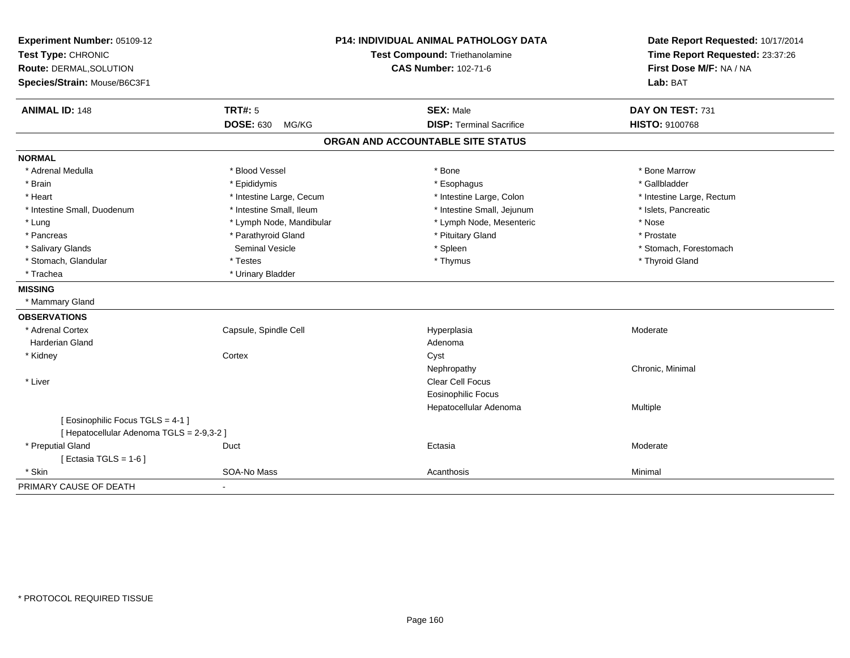| Experiment Number: 05109-12<br>Test Type: CHRONIC<br>Route: DERMAL, SOLUTION<br>Species/Strain: Mouse/B6C3F1 | <b>P14: INDIVIDUAL ANIMAL PATHOLOGY DATA</b><br>Test Compound: Triethanolamine<br><b>CAS Number: 102-71-6</b> |                                   | Date Report Requested: 10/17/2014<br>Time Report Requested: 23:37:26<br>First Dose M/F: NA / NA<br>Lab: BAT |  |
|--------------------------------------------------------------------------------------------------------------|---------------------------------------------------------------------------------------------------------------|-----------------------------------|-------------------------------------------------------------------------------------------------------------|--|
| <b>ANIMAL ID: 148</b>                                                                                        | <b>TRT#: 5</b>                                                                                                | <b>SEX: Male</b>                  | DAY ON TEST: 731                                                                                            |  |
|                                                                                                              | <b>DOSE: 630</b><br>MG/KG                                                                                     | <b>DISP: Terminal Sacrifice</b>   | HISTO: 9100768                                                                                              |  |
|                                                                                                              |                                                                                                               | ORGAN AND ACCOUNTABLE SITE STATUS |                                                                                                             |  |
| <b>NORMAL</b>                                                                                                |                                                                                                               |                                   |                                                                                                             |  |
| * Adrenal Medulla                                                                                            | * Blood Vessel                                                                                                | * Bone                            | * Bone Marrow                                                                                               |  |
| * Brain                                                                                                      | * Epididymis                                                                                                  | * Esophagus                       | * Gallbladder                                                                                               |  |
| * Heart                                                                                                      | * Intestine Large, Cecum                                                                                      | * Intestine Large, Colon          | * Intestine Large, Rectum                                                                                   |  |
| * Intestine Small, Duodenum                                                                                  | * Intestine Small, Ileum                                                                                      | * Intestine Small, Jejunum        | * Islets, Pancreatic                                                                                        |  |
| * Lung                                                                                                       | * Lymph Node, Mandibular                                                                                      | * Lymph Node, Mesenteric          | * Nose                                                                                                      |  |
| * Pancreas                                                                                                   | * Parathyroid Gland                                                                                           | * Pituitary Gland                 | * Prostate                                                                                                  |  |
| * Salivary Glands                                                                                            | Seminal Vesicle                                                                                               | * Spleen                          | * Stomach, Forestomach                                                                                      |  |
| * Stomach, Glandular                                                                                         | * Testes                                                                                                      | * Thymus                          | * Thyroid Gland                                                                                             |  |
| * Trachea                                                                                                    | * Urinary Bladder                                                                                             |                                   |                                                                                                             |  |
| <b>MISSING</b>                                                                                               |                                                                                                               |                                   |                                                                                                             |  |
| * Mammary Gland                                                                                              |                                                                                                               |                                   |                                                                                                             |  |
| <b>OBSERVATIONS</b>                                                                                          |                                                                                                               |                                   |                                                                                                             |  |
| * Adrenal Cortex                                                                                             | Capsule, Spindle Cell                                                                                         | Hyperplasia                       | Moderate                                                                                                    |  |
| <b>Harderian Gland</b>                                                                                       |                                                                                                               | Adenoma                           |                                                                                                             |  |
| * Kidney                                                                                                     | Cortex                                                                                                        | Cyst                              |                                                                                                             |  |
|                                                                                                              |                                                                                                               | Nephropathy                       | Chronic, Minimal                                                                                            |  |
| * Liver                                                                                                      |                                                                                                               | Clear Cell Focus                  |                                                                                                             |  |
|                                                                                                              |                                                                                                               | <b>Eosinophilic Focus</b>         |                                                                                                             |  |
|                                                                                                              |                                                                                                               | Hepatocellular Adenoma            | Multiple                                                                                                    |  |
| [ Eosinophilic Focus TGLS = 4-1 ]<br>[ Hepatocellular Adenoma TGLS = 2-9,3-2 ]                               |                                                                                                               |                                   |                                                                                                             |  |
| * Preputial Gland                                                                                            | Duct                                                                                                          | Ectasia                           | Moderate                                                                                                    |  |
| [ Ectasia TGLS = $1-6$ ]                                                                                     |                                                                                                               |                                   |                                                                                                             |  |
| * Skin                                                                                                       | SOA-No Mass                                                                                                   | Acanthosis                        | Minimal                                                                                                     |  |
| PRIMARY CAUSE OF DEATH                                                                                       | $\blacksquare$                                                                                                |                                   |                                                                                                             |  |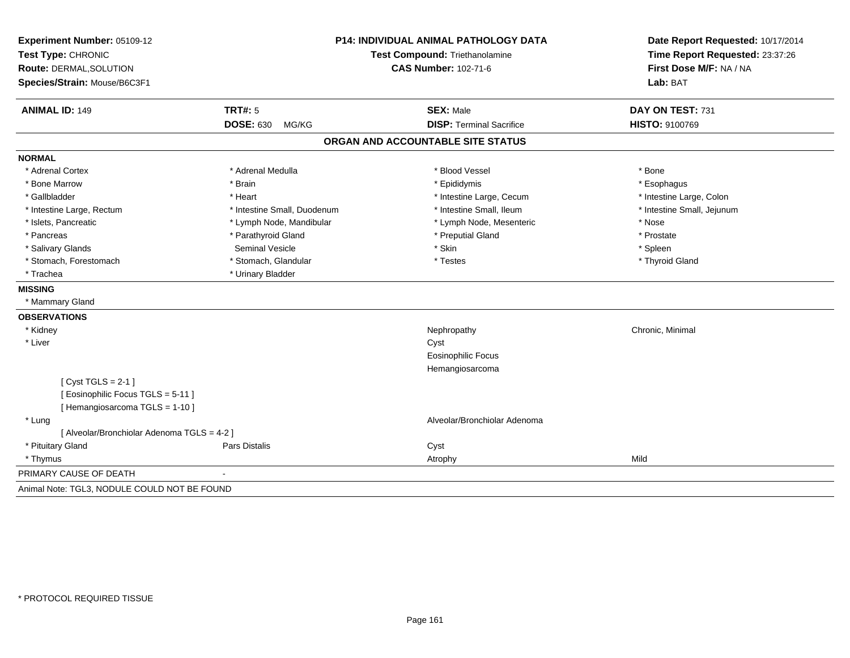| Experiment Number: 05109-12                  | <b>P14: INDIVIDUAL ANIMAL PATHOLOGY DATA</b> |                                   | Date Report Requested: 10/17/2014                          |  |
|----------------------------------------------|----------------------------------------------|-----------------------------------|------------------------------------------------------------|--|
| Test Type: CHRONIC                           |                                              | Test Compound: Triethanolamine    | Time Report Requested: 23:37:26<br>First Dose M/F: NA / NA |  |
| Route: DERMAL, SOLUTION                      |                                              | <b>CAS Number: 102-71-6</b>       |                                                            |  |
| Species/Strain: Mouse/B6C3F1                 |                                              |                                   | Lab: BAT                                                   |  |
| <b>ANIMAL ID: 149</b>                        | <b>TRT#: 5</b>                               | <b>SEX: Male</b>                  | DAY ON TEST: 731                                           |  |
|                                              | <b>DOSE: 630</b><br>MG/KG                    | <b>DISP: Terminal Sacrifice</b>   | HISTO: 9100769                                             |  |
|                                              |                                              | ORGAN AND ACCOUNTABLE SITE STATUS |                                                            |  |
| <b>NORMAL</b>                                |                                              |                                   |                                                            |  |
| * Adrenal Cortex                             | * Adrenal Medulla                            | * Blood Vessel                    | * Bone                                                     |  |
| * Bone Marrow                                | * Brain                                      | * Epididymis                      | * Esophagus                                                |  |
| * Gallbladder                                | * Heart                                      | * Intestine Large, Cecum          | * Intestine Large, Colon                                   |  |
| * Intestine Large, Rectum                    | * Intestine Small, Duodenum                  | * Intestine Small, Ileum          | * Intestine Small, Jejunum                                 |  |
| * Islets, Pancreatic                         | * Lymph Node, Mandibular                     | * Lymph Node, Mesenteric          | * Nose                                                     |  |
| * Pancreas                                   | * Parathyroid Gland                          | * Preputial Gland                 | * Prostate                                                 |  |
| * Salivary Glands                            | <b>Seminal Vesicle</b>                       | * Skin                            | * Spleen                                                   |  |
| * Stomach, Forestomach                       | * Stomach, Glandular                         | * Testes                          | * Thyroid Gland                                            |  |
| * Trachea                                    | * Urinary Bladder                            |                                   |                                                            |  |
| <b>MISSING</b>                               |                                              |                                   |                                                            |  |
| * Mammary Gland                              |                                              |                                   |                                                            |  |
| <b>OBSERVATIONS</b>                          |                                              |                                   |                                                            |  |
| * Kidney                                     |                                              | Nephropathy                       | Chronic, Minimal                                           |  |
| * Liver                                      |                                              | Cyst                              |                                                            |  |
|                                              |                                              | <b>Eosinophilic Focus</b>         |                                                            |  |
|                                              |                                              | Hemangiosarcoma                   |                                                            |  |
| [Cyst TGLS = $2-1$ ]                         |                                              |                                   |                                                            |  |
| [Eosinophilic Focus TGLS = 5-11]             |                                              |                                   |                                                            |  |
| [Hemangiosarcoma TGLS = 1-10]                |                                              |                                   |                                                            |  |
| * Lung                                       |                                              | Alveolar/Bronchiolar Adenoma      |                                                            |  |
| [ Alveolar/Bronchiolar Adenoma TGLS = 4-2 ]  |                                              |                                   |                                                            |  |
| * Pituitary Gland                            | Pars Distalis                                | Cyst                              |                                                            |  |
| * Thymus                                     |                                              | Atrophy                           | Mild                                                       |  |
| PRIMARY CAUSE OF DEATH                       |                                              |                                   |                                                            |  |
| Animal Note: TGL3, NODULE COULD NOT BE FOUND |                                              |                                   |                                                            |  |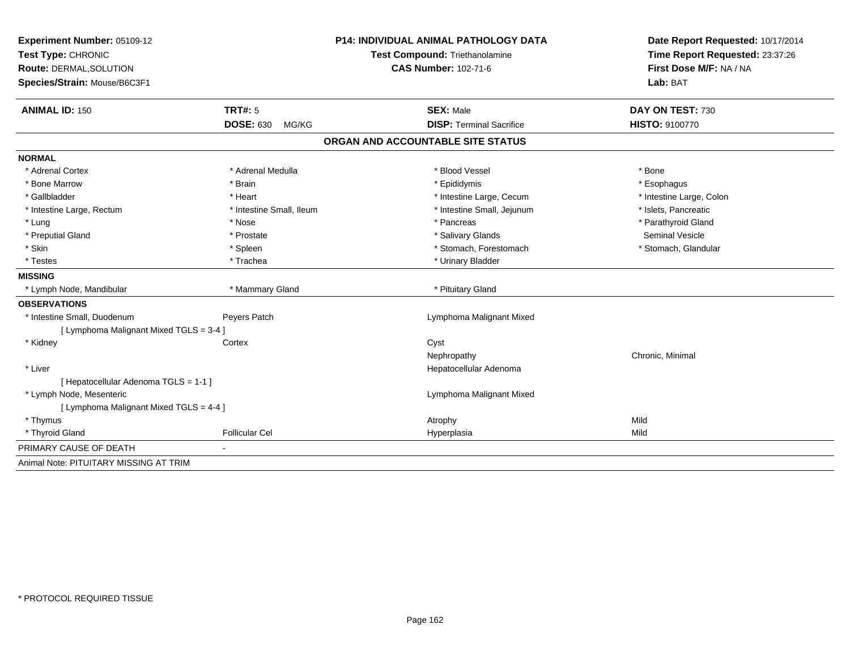| <b>Experiment Number: 05109-12</b><br>Test Type: CHRONIC |                           | <b>P14: INDIVIDUAL ANIMAL PATHOLOGY DATA</b> | Date Report Requested: 10/17/2014<br>Time Report Requested: 23:37:26 |  |
|----------------------------------------------------------|---------------------------|----------------------------------------------|----------------------------------------------------------------------|--|
|                                                          |                           | Test Compound: Triethanolamine               |                                                                      |  |
| Route: DERMAL, SOLUTION                                  |                           | <b>CAS Number: 102-71-6</b>                  | First Dose M/F: NA / NA                                              |  |
| Species/Strain: Mouse/B6C3F1                             |                           |                                              | Lab: BAT                                                             |  |
| <b>ANIMAL ID: 150</b>                                    | <b>TRT#: 5</b>            | <b>SEX: Male</b>                             | DAY ON TEST: 730                                                     |  |
|                                                          | <b>DOSE: 630</b><br>MG/KG | <b>DISP: Terminal Sacrifice</b>              | <b>HISTO: 9100770</b>                                                |  |
|                                                          |                           | ORGAN AND ACCOUNTABLE SITE STATUS            |                                                                      |  |
| <b>NORMAL</b>                                            |                           |                                              |                                                                      |  |
| * Adrenal Cortex                                         | * Adrenal Medulla         | * Blood Vessel                               | * Bone                                                               |  |
| * Bone Marrow                                            | * Brain                   | * Epididymis                                 | * Esophagus                                                          |  |
| * Gallbladder                                            | * Heart                   | * Intestine Large, Cecum                     | * Intestine Large, Colon                                             |  |
| * Intestine Large, Rectum                                | * Intestine Small, Ileum  | * Intestine Small, Jejunum                   | * Islets, Pancreatic                                                 |  |
| * Lung                                                   | * Nose                    | * Pancreas                                   | * Parathyroid Gland                                                  |  |
| * Preputial Gland                                        | * Prostate                | * Salivary Glands                            | <b>Seminal Vesicle</b>                                               |  |
| * Skin                                                   | * Spleen                  | * Stomach, Forestomach                       | * Stomach, Glandular                                                 |  |
| * Testes                                                 | * Trachea                 | * Urinary Bladder                            |                                                                      |  |
| <b>MISSING</b>                                           |                           |                                              |                                                                      |  |
| * Lymph Node, Mandibular                                 | * Mammary Gland           | * Pituitary Gland                            |                                                                      |  |
| <b>OBSERVATIONS</b>                                      |                           |                                              |                                                                      |  |
| * Intestine Small, Duodenum                              | Peyers Patch              | Lymphoma Malignant Mixed                     |                                                                      |  |
| [ Lymphoma Malignant Mixed TGLS = 3-4 ]                  |                           |                                              |                                                                      |  |
| * Kidney                                                 | Cortex                    | Cyst                                         |                                                                      |  |
|                                                          |                           | Nephropathy                                  | Chronic, Minimal                                                     |  |
| * Liver                                                  |                           | Hepatocellular Adenoma                       |                                                                      |  |
| [ Hepatocellular Adenoma TGLS = 1-1 ]                    |                           |                                              |                                                                      |  |
| * Lymph Node, Mesenteric                                 |                           | Lymphoma Malignant Mixed                     |                                                                      |  |
| [ Lymphoma Malignant Mixed TGLS = 4-4 ]                  |                           |                                              |                                                                      |  |
| * Thymus                                                 |                           | Atrophy                                      | Mild                                                                 |  |
| * Thyroid Gland                                          | <b>Follicular Cel</b>     | Hyperplasia                                  | Mild                                                                 |  |
| PRIMARY CAUSE OF DEATH                                   |                           |                                              |                                                                      |  |
| Animal Note: PITUITARY MISSING AT TRIM                   |                           |                                              |                                                                      |  |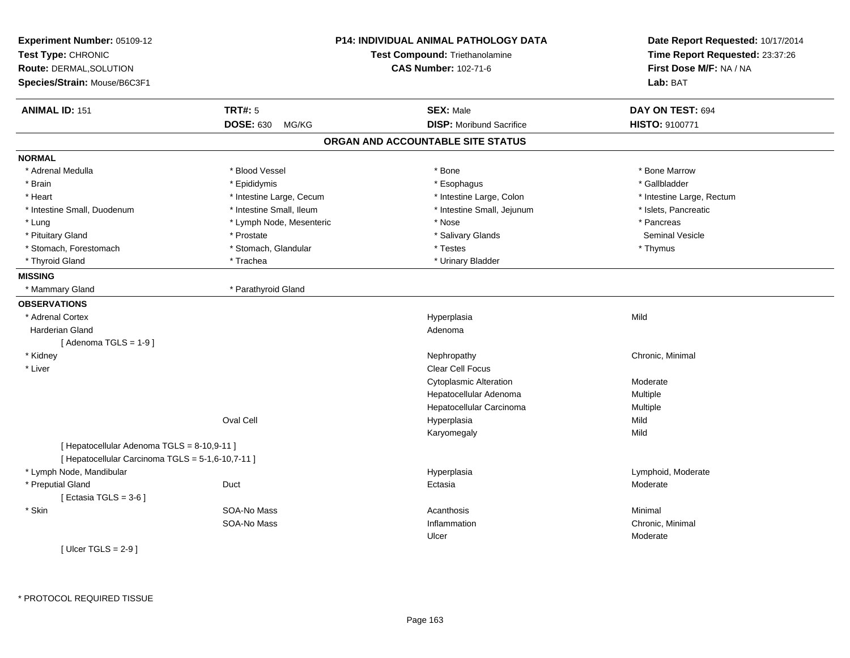| Experiment Number: 05109-12<br>Test Type: CHRONIC<br><b>Route: DERMAL, SOLUTION</b><br>Species/Strain: Mouse/B6C3F1 |                           | <b>P14: INDIVIDUAL ANIMAL PATHOLOGY DATA</b><br>Test Compound: Triethanolamine<br><b>CAS Number: 102-71-6</b> | Date Report Requested: 10/17/2014<br>Time Report Requested: 23:37:26<br>First Dose M/F: NA / NA<br>Lab: BAT |
|---------------------------------------------------------------------------------------------------------------------|---------------------------|---------------------------------------------------------------------------------------------------------------|-------------------------------------------------------------------------------------------------------------|
| <b>ANIMAL ID: 151</b>                                                                                               | <b>TRT#: 5</b>            | <b>SEX: Male</b>                                                                                              | DAY ON TEST: 694                                                                                            |
|                                                                                                                     | <b>DOSE: 630</b><br>MG/KG | <b>DISP:</b> Moribund Sacrifice                                                                               | HISTO: 9100771                                                                                              |
|                                                                                                                     |                           | ORGAN AND ACCOUNTABLE SITE STATUS                                                                             |                                                                                                             |
| <b>NORMAL</b>                                                                                                       |                           |                                                                                                               |                                                                                                             |
| * Adrenal Medulla                                                                                                   | * Blood Vessel            | * Bone                                                                                                        | * Bone Marrow                                                                                               |
| * Brain                                                                                                             | * Epididymis              | * Esophagus                                                                                                   | * Gallbladder                                                                                               |
| * Heart                                                                                                             | * Intestine Large, Cecum  | * Intestine Large, Colon                                                                                      | * Intestine Large, Rectum                                                                                   |
| * Intestine Small, Duodenum                                                                                         | * Intestine Small, Ileum  | * Intestine Small, Jejunum                                                                                    | * Islets, Pancreatic                                                                                        |
| * Lung                                                                                                              | * Lymph Node, Mesenteric  | * Nose                                                                                                        | * Pancreas                                                                                                  |
| * Pituitary Gland                                                                                                   | * Prostate                | * Salivary Glands                                                                                             | <b>Seminal Vesicle</b>                                                                                      |
| * Stomach, Forestomach                                                                                              | * Stomach, Glandular      | * Testes                                                                                                      | * Thymus                                                                                                    |
| * Thyroid Gland                                                                                                     | * Trachea                 | * Urinary Bladder                                                                                             |                                                                                                             |
| <b>MISSING</b>                                                                                                      |                           |                                                                                                               |                                                                                                             |
| * Mammary Gland                                                                                                     | * Parathyroid Gland       |                                                                                                               |                                                                                                             |
| <b>OBSERVATIONS</b>                                                                                                 |                           |                                                                                                               |                                                                                                             |
| * Adrenal Cortex                                                                                                    |                           | Hyperplasia                                                                                                   | Mild                                                                                                        |
| <b>Harderian Gland</b>                                                                                              |                           | Adenoma                                                                                                       |                                                                                                             |
| [Adenoma TGLS = $1-9$ ]                                                                                             |                           |                                                                                                               |                                                                                                             |
| * Kidney                                                                                                            |                           | Nephropathy                                                                                                   | Chronic, Minimal                                                                                            |
| * Liver                                                                                                             |                           | Clear Cell Focus                                                                                              |                                                                                                             |
|                                                                                                                     |                           | <b>Cytoplasmic Alteration</b>                                                                                 | Moderate                                                                                                    |
|                                                                                                                     |                           | Hepatocellular Adenoma                                                                                        | Multiple                                                                                                    |
|                                                                                                                     |                           | Hepatocellular Carcinoma                                                                                      | Multiple                                                                                                    |
|                                                                                                                     | Oval Cell                 | Hyperplasia                                                                                                   | Mild                                                                                                        |
|                                                                                                                     |                           | Karyomegaly                                                                                                   | Mild                                                                                                        |
| [ Hepatocellular Adenoma TGLS = 8-10,9-11 ]                                                                         |                           |                                                                                                               |                                                                                                             |
| [ Hepatocellular Carcinoma TGLS = 5-1,6-10,7-11 ]                                                                   |                           |                                                                                                               |                                                                                                             |
| * Lymph Node, Mandibular                                                                                            |                           | Hyperplasia                                                                                                   | Lymphoid, Moderate                                                                                          |
| * Preputial Gland                                                                                                   | Duct                      | Ectasia                                                                                                       | Moderate                                                                                                    |
| [Ectasia TGLS = $3-6$ ]                                                                                             |                           |                                                                                                               |                                                                                                             |
| * Skin                                                                                                              | SOA-No Mass               | Acanthosis                                                                                                    | Minimal                                                                                                     |
|                                                                                                                     | SOA-No Mass               | Inflammation                                                                                                  | Chronic, Minimal                                                                                            |
|                                                                                                                     |                           | Ulcer                                                                                                         | Moderate                                                                                                    |
| [ Ulcer TGLS = $2-9$ ]                                                                                              |                           |                                                                                                               |                                                                                                             |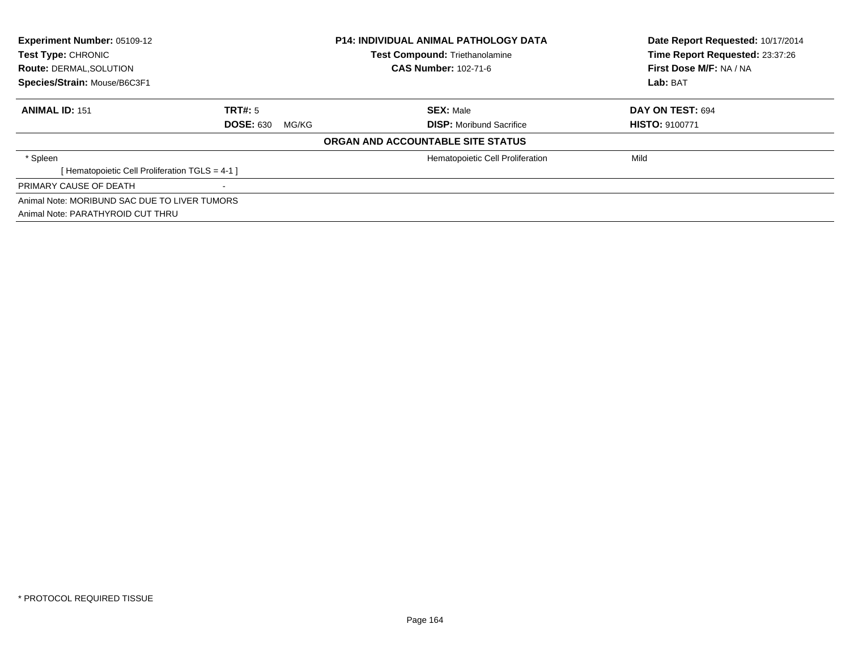| Experiment Number: 05109-12<br>Test Type: CHRONIC |                           | <b>P14: INDIVIDUAL ANIMAL PATHOLOGY DATA</b><br><b>Test Compound: Triethanolamine</b> | Date Report Requested: 10/17/2014<br>Time Report Requested: 23:37:26 |
|---------------------------------------------------|---------------------------|---------------------------------------------------------------------------------------|----------------------------------------------------------------------|
| <b>Route: DERMAL, SOLUTION</b>                    |                           | <b>CAS Number: 102-71-6</b>                                                           | First Dose M/F: NA / NA                                              |
| Species/Strain: Mouse/B6C3F1                      |                           |                                                                                       | Lab: BAT                                                             |
| <b>ANIMAL ID: 151</b>                             | TRT#: 5                   | <b>SEX: Male</b>                                                                      | DAY ON TEST: 694                                                     |
|                                                   | <b>DOSE: 630</b><br>MG/KG | <b>DISP:</b> Moribund Sacrifice                                                       | <b>HISTO: 9100771</b>                                                |
|                                                   |                           | ORGAN AND ACCOUNTABLE SITE STATUS                                                     |                                                                      |
| * Spleen                                          |                           | Hematopoietic Cell Proliferation                                                      | Mild                                                                 |
| [ Hematopoietic Cell Proliferation TGLS = $4-1$ ] |                           |                                                                                       |                                                                      |
| PRIMARY CAUSE OF DEATH                            |                           |                                                                                       |                                                                      |
| Animal Note: MORIBUND SAC DUE TO LIVER TUMORS     |                           |                                                                                       |                                                                      |
| Animal Note: PARATHYROID CUT THRU                 |                           |                                                                                       |                                                                      |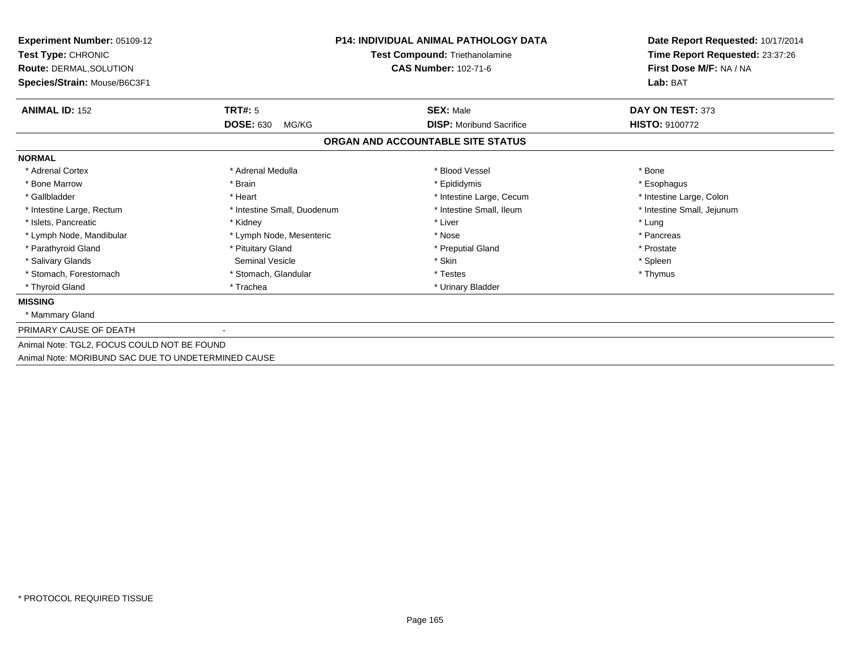| <b>Experiment Number: 05109-12</b><br>Test Type: CHRONIC<br><b>Route: DERMAL, SOLUTION</b><br>Species/Strain: Mouse/B6C3F1 | <b>P14: INDIVIDUAL ANIMAL PATHOLOGY DATA</b><br><b>Test Compound: Triethanolamine</b><br><b>CAS Number: 102-71-6</b> |                                   | Date Report Requested: 10/17/2014<br>Time Report Requested: 23:37:26<br>First Dose M/F: NA / NA<br>Lab: BAT |  |
|----------------------------------------------------------------------------------------------------------------------------|----------------------------------------------------------------------------------------------------------------------|-----------------------------------|-------------------------------------------------------------------------------------------------------------|--|
| <b>ANIMAL ID: 152</b>                                                                                                      | <b>TRT#: 5</b>                                                                                                       | <b>SEX: Male</b>                  | DAY ON TEST: 373                                                                                            |  |
|                                                                                                                            | <b>DOSE: 630</b><br>MG/KG                                                                                            | <b>DISP:</b> Moribund Sacrifice   | <b>HISTO: 9100772</b>                                                                                       |  |
|                                                                                                                            |                                                                                                                      | ORGAN AND ACCOUNTABLE SITE STATUS |                                                                                                             |  |
| <b>NORMAL</b>                                                                                                              |                                                                                                                      |                                   |                                                                                                             |  |
| * Adrenal Cortex                                                                                                           | * Adrenal Medulla                                                                                                    | * Blood Vessel                    | * Bone                                                                                                      |  |
| * Bone Marrow                                                                                                              | * Brain                                                                                                              | * Epididymis                      | * Esophagus                                                                                                 |  |
| * Gallbladder                                                                                                              | * Heart                                                                                                              | * Intestine Large, Cecum          | * Intestine Large, Colon                                                                                    |  |
| * Intestine Large, Rectum                                                                                                  | * Intestine Small, Duodenum                                                                                          | * Intestine Small, Ileum          | * Intestine Small, Jejunum                                                                                  |  |
| * Islets. Pancreatic                                                                                                       | * Kidney                                                                                                             | * Liver                           | * Lung                                                                                                      |  |
| * Lymph Node, Mandibular                                                                                                   | * Lymph Node, Mesenteric                                                                                             | * Nose                            | * Pancreas                                                                                                  |  |
| * Parathyroid Gland                                                                                                        | * Pituitary Gland                                                                                                    | * Preputial Gland                 | * Prostate                                                                                                  |  |
| * Salivary Glands                                                                                                          | <b>Seminal Vesicle</b>                                                                                               | * Skin                            | * Spleen                                                                                                    |  |
| * Stomach, Forestomach                                                                                                     | * Stomach, Glandular                                                                                                 | * Testes                          | * Thymus                                                                                                    |  |
| * Thyroid Gland                                                                                                            | * Trachea                                                                                                            | * Urinary Bladder                 |                                                                                                             |  |
| <b>MISSING</b>                                                                                                             |                                                                                                                      |                                   |                                                                                                             |  |
| * Mammary Gland                                                                                                            |                                                                                                                      |                                   |                                                                                                             |  |
| PRIMARY CAUSE OF DEATH                                                                                                     |                                                                                                                      |                                   |                                                                                                             |  |
| Animal Note: TGL2, FOCUS COULD NOT BE FOUND<br>Animal Note: MORIBUND SAC DUE TO UNDETERMINED CAUSE                         |                                                                                                                      |                                   |                                                                                                             |  |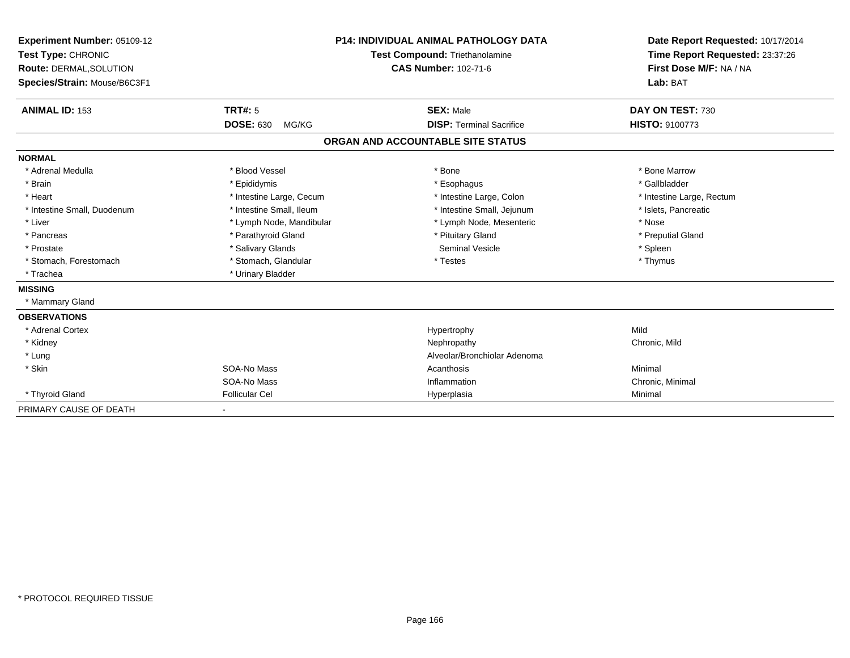| Experiment Number: 05109-12<br>Test Type: CHRONIC<br>Route: DERMAL, SOLUTION<br>Species/Strain: Mouse/B6C3F1 |                           | <b>P14: INDIVIDUAL ANIMAL PATHOLOGY DATA</b><br><b>Test Compound: Triethanolamine</b><br><b>CAS Number: 102-71-6</b> | Date Report Requested: 10/17/2014<br>Time Report Requested: 23:37:26<br>First Dose M/F: NA / NA<br>Lab: BAT |
|--------------------------------------------------------------------------------------------------------------|---------------------------|----------------------------------------------------------------------------------------------------------------------|-------------------------------------------------------------------------------------------------------------|
| <b>ANIMAL ID: 153</b>                                                                                        | <b>TRT#: 5</b>            | <b>SEX: Male</b>                                                                                                     | DAY ON TEST: 730                                                                                            |
|                                                                                                              | <b>DOSE: 630</b><br>MG/KG | <b>DISP: Terminal Sacrifice</b>                                                                                      | <b>HISTO: 9100773</b>                                                                                       |
|                                                                                                              |                           | ORGAN AND ACCOUNTABLE SITE STATUS                                                                                    |                                                                                                             |
| <b>NORMAL</b>                                                                                                |                           |                                                                                                                      |                                                                                                             |
| * Adrenal Medulla                                                                                            | * Blood Vessel            | * Bone                                                                                                               | * Bone Marrow                                                                                               |
| * Brain                                                                                                      | * Epididymis              | * Esophagus                                                                                                          | * Gallbladder                                                                                               |
| * Heart                                                                                                      | * Intestine Large, Cecum  | * Intestine Large, Colon                                                                                             | * Intestine Large, Rectum                                                                                   |
| * Intestine Small, Duodenum                                                                                  | * Intestine Small, Ileum  | * Intestine Small, Jejunum                                                                                           | * Islets, Pancreatic                                                                                        |
| * Liver                                                                                                      | * Lymph Node, Mandibular  | * Lymph Node, Mesenteric                                                                                             | * Nose                                                                                                      |
| * Pancreas                                                                                                   | * Parathyroid Gland       | * Pituitary Gland                                                                                                    | * Preputial Gland                                                                                           |
| * Prostate                                                                                                   | * Salivary Glands         | <b>Seminal Vesicle</b>                                                                                               | * Spleen                                                                                                    |
| * Stomach, Forestomach                                                                                       | * Stomach, Glandular      | * Testes                                                                                                             | * Thymus                                                                                                    |
| * Trachea                                                                                                    | * Urinary Bladder         |                                                                                                                      |                                                                                                             |
| <b>MISSING</b>                                                                                               |                           |                                                                                                                      |                                                                                                             |
| * Mammary Gland                                                                                              |                           |                                                                                                                      |                                                                                                             |
| <b>OBSERVATIONS</b>                                                                                          |                           |                                                                                                                      |                                                                                                             |
| * Adrenal Cortex                                                                                             |                           | Hypertrophy                                                                                                          | Mild                                                                                                        |
| * Kidney                                                                                                     |                           | Nephropathy                                                                                                          | Chronic, Mild                                                                                               |
| * Lung                                                                                                       |                           | Alveolar/Bronchiolar Adenoma                                                                                         |                                                                                                             |
| * Skin                                                                                                       | SOA-No Mass               | Acanthosis                                                                                                           | Minimal                                                                                                     |
|                                                                                                              | SOA-No Mass               | Inflammation                                                                                                         | Chronic, Minimal                                                                                            |
| * Thyroid Gland                                                                                              | <b>Follicular Cel</b>     | Hyperplasia                                                                                                          | Minimal                                                                                                     |
| PRIMARY CAUSE OF DEATH                                                                                       | $\overline{\phantom{a}}$  |                                                                                                                      |                                                                                                             |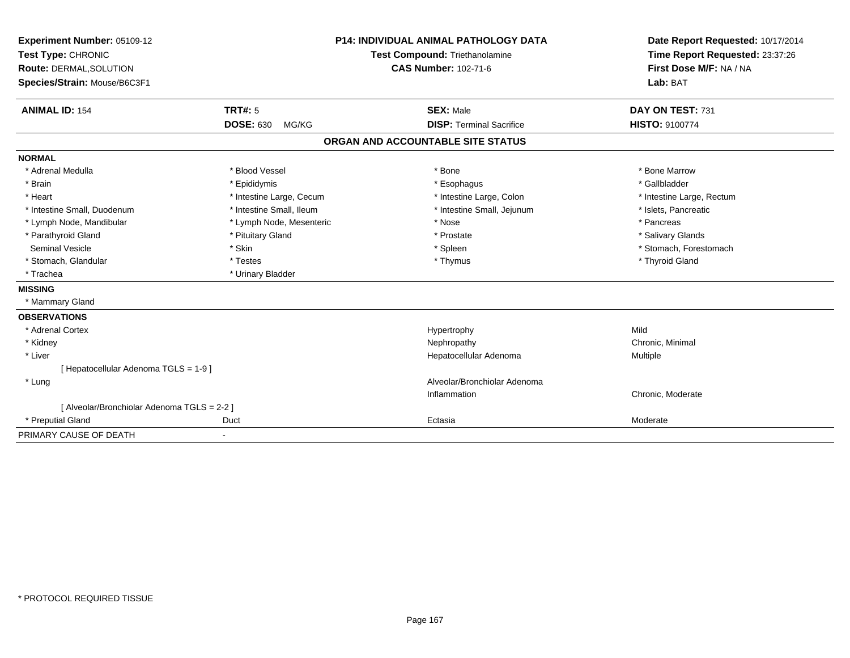| Experiment Number: 05109-12<br>Test Type: CHRONIC<br>Route: DERMAL, SOLUTION<br>Species/Strain: Mouse/B6C3F1<br><b>ANIMAL ID: 154</b> | <b>TRT#: 5</b>            | <b>P14: INDIVIDUAL ANIMAL PATHOLOGY DATA</b><br><b>Test Compound: Triethanolamine</b><br><b>CAS Number: 102-71-6</b><br><b>SEX: Male</b> |                                 | Date Report Requested: 10/17/2014<br>Time Report Requested: 23:37:26<br>First Dose M/F: NA / NA<br>Lab: BAT<br>DAY ON TEST: 731 |
|---------------------------------------------------------------------------------------------------------------------------------------|---------------------------|------------------------------------------------------------------------------------------------------------------------------------------|---------------------------------|---------------------------------------------------------------------------------------------------------------------------------|
|                                                                                                                                       | <b>DOSE: 630</b><br>MG/KG |                                                                                                                                          | <b>DISP: Terminal Sacrifice</b> | <b>HISTO: 9100774</b>                                                                                                           |
|                                                                                                                                       |                           | ORGAN AND ACCOUNTABLE SITE STATUS                                                                                                        |                                 |                                                                                                                                 |
| <b>NORMAL</b>                                                                                                                         |                           |                                                                                                                                          |                                 |                                                                                                                                 |
| * Adrenal Medulla                                                                                                                     | * Blood Vessel            |                                                                                                                                          | * Bone                          | * Bone Marrow                                                                                                                   |
| * Brain                                                                                                                               | * Epididymis              |                                                                                                                                          | * Esophagus                     | * Gallbladder                                                                                                                   |
| * Heart                                                                                                                               | * Intestine Large, Cecum  |                                                                                                                                          | * Intestine Large, Colon        | * Intestine Large, Rectum                                                                                                       |
| * Intestine Small, Duodenum                                                                                                           | * Intestine Small, Ileum  |                                                                                                                                          | * Intestine Small, Jejunum      | * Islets, Pancreatic                                                                                                            |
| * Lymph Node, Mandibular                                                                                                              | * Lymph Node, Mesenteric  |                                                                                                                                          | * Nose                          | * Pancreas                                                                                                                      |
| * Parathyroid Gland                                                                                                                   | * Pituitary Gland         |                                                                                                                                          | * Prostate                      | * Salivary Glands                                                                                                               |
| <b>Seminal Vesicle</b>                                                                                                                | * Skin                    |                                                                                                                                          | * Spleen                        | * Stomach, Forestomach                                                                                                          |
| * Stomach, Glandular                                                                                                                  | * Testes                  |                                                                                                                                          | * Thymus                        | * Thyroid Gland                                                                                                                 |
| * Trachea                                                                                                                             | * Urinary Bladder         |                                                                                                                                          |                                 |                                                                                                                                 |
| <b>MISSING</b>                                                                                                                        |                           |                                                                                                                                          |                                 |                                                                                                                                 |
| * Mammary Gland                                                                                                                       |                           |                                                                                                                                          |                                 |                                                                                                                                 |
| <b>OBSERVATIONS</b>                                                                                                                   |                           |                                                                                                                                          |                                 |                                                                                                                                 |
| * Adrenal Cortex                                                                                                                      |                           |                                                                                                                                          | Hypertrophy                     | Mild                                                                                                                            |
| * Kidney                                                                                                                              |                           |                                                                                                                                          | Nephropathy                     | Chronic, Minimal                                                                                                                |
| * Liver                                                                                                                               |                           |                                                                                                                                          | Hepatocellular Adenoma          | Multiple                                                                                                                        |
| [Hepatocellular Adenoma TGLS = 1-9]                                                                                                   |                           |                                                                                                                                          |                                 |                                                                                                                                 |
| * Lung                                                                                                                                |                           |                                                                                                                                          | Alveolar/Bronchiolar Adenoma    |                                                                                                                                 |
|                                                                                                                                       |                           |                                                                                                                                          | Inflammation                    | Chronic, Moderate                                                                                                               |
| [ Alveolar/Bronchiolar Adenoma TGLS = 2-2 ]                                                                                           |                           |                                                                                                                                          |                                 |                                                                                                                                 |
| * Preputial Gland                                                                                                                     | Duct                      |                                                                                                                                          | Ectasia                         | Moderate                                                                                                                        |
| PRIMARY CAUSE OF DEATH                                                                                                                | $\blacksquare$            |                                                                                                                                          |                                 |                                                                                                                                 |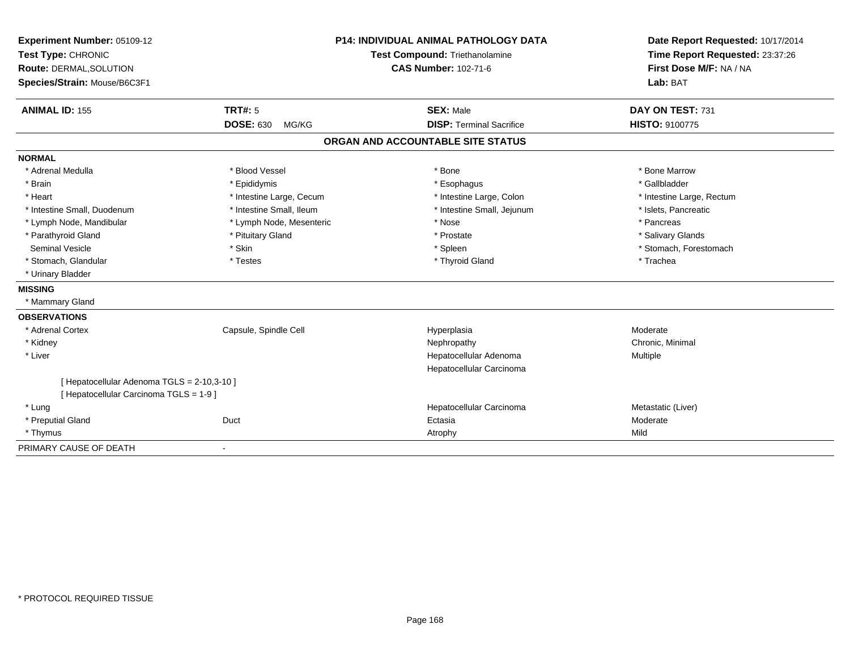| Experiment Number: 05109-12                 | <b>P14: INDIVIDUAL ANIMAL PATHOLOGY DATA</b> |                                       | Date Report Requested: 10/17/2014                          |  |
|---------------------------------------------|----------------------------------------------|---------------------------------------|------------------------------------------------------------|--|
| Test Type: CHRONIC                          |                                              | <b>Test Compound: Triethanolamine</b> | Time Report Requested: 23:37:26<br>First Dose M/F: NA / NA |  |
| Route: DERMAL, SOLUTION                     |                                              | <b>CAS Number: 102-71-6</b>           |                                                            |  |
| Species/Strain: Mouse/B6C3F1                |                                              |                                       | Lab: BAT                                                   |  |
| <b>ANIMAL ID: 155</b>                       | TRT#: 5                                      | <b>SEX: Male</b>                      | DAY ON TEST: 731                                           |  |
|                                             | <b>DOSE: 630</b><br>MG/KG                    | <b>DISP: Terminal Sacrifice</b>       | HISTO: 9100775                                             |  |
|                                             |                                              | ORGAN AND ACCOUNTABLE SITE STATUS     |                                                            |  |
| <b>NORMAL</b>                               |                                              |                                       |                                                            |  |
| * Adrenal Medulla                           | * Blood Vessel                               | * Bone                                | * Bone Marrow                                              |  |
| * Brain                                     | * Epididymis                                 | * Esophagus                           | * Gallbladder                                              |  |
| * Heart                                     | * Intestine Large, Cecum                     | * Intestine Large, Colon              | * Intestine Large, Rectum                                  |  |
| * Intestine Small, Duodenum                 | * Intestine Small, Ileum                     | * Intestine Small, Jejunum            | * Islets, Pancreatic                                       |  |
| * Lymph Node, Mandibular                    | * Lymph Node, Mesenteric                     | * Nose                                | * Pancreas                                                 |  |
| * Parathyroid Gland                         | * Pituitary Gland                            | * Prostate                            | * Salivary Glands                                          |  |
| Seminal Vesicle                             | * Skin                                       | * Spleen                              | * Stomach, Forestomach                                     |  |
| * Stomach, Glandular                        | * Testes                                     | * Thyroid Gland                       | * Trachea                                                  |  |
| * Urinary Bladder                           |                                              |                                       |                                                            |  |
| <b>MISSING</b>                              |                                              |                                       |                                                            |  |
| * Mammary Gland                             |                                              |                                       |                                                            |  |
| <b>OBSERVATIONS</b>                         |                                              |                                       |                                                            |  |
| * Adrenal Cortex                            | Capsule, Spindle Cell                        | Hyperplasia                           | Moderate                                                   |  |
| * Kidney                                    |                                              | Nephropathy                           | Chronic, Minimal                                           |  |
| * Liver                                     |                                              | Hepatocellular Adenoma                | Multiple                                                   |  |
|                                             |                                              | Hepatocellular Carcinoma              |                                                            |  |
| [ Hepatocellular Adenoma TGLS = 2-10,3-10 ] |                                              |                                       |                                                            |  |
| [ Hepatocellular Carcinoma TGLS = 1-9 ]     |                                              |                                       |                                                            |  |
| * Lung                                      |                                              | Hepatocellular Carcinoma              | Metastatic (Liver)                                         |  |
| * Preputial Gland                           | Duct                                         | Ectasia                               | Moderate                                                   |  |
| * Thymus                                    |                                              | Atrophy                               | Mild                                                       |  |
| PRIMARY CAUSE OF DEATH                      | $\blacksquare$                               |                                       |                                                            |  |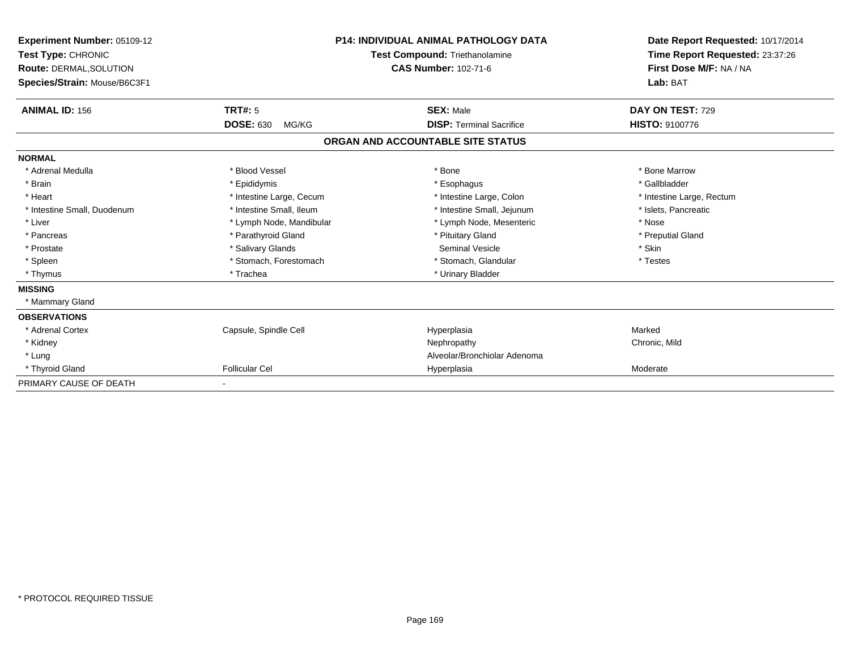| <b>Experiment Number: 05109-12</b><br>Test Type: CHRONIC<br>Route: DERMAL, SOLUTION<br>Species/Strain: Mouse/B6C3F1 | <b>P14: INDIVIDUAL ANIMAL PATHOLOGY DATA</b><br><b>Test Compound: Triethanolamine</b><br><b>CAS Number: 102-71-6</b> |                                   | Date Report Requested: 10/17/2014<br>Time Report Requested: 23:37:26<br>First Dose M/F: NA / NA<br>Lab: BAT |  |
|---------------------------------------------------------------------------------------------------------------------|----------------------------------------------------------------------------------------------------------------------|-----------------------------------|-------------------------------------------------------------------------------------------------------------|--|
| <b>ANIMAL ID: 156</b>                                                                                               | <b>TRT#: 5</b>                                                                                                       | <b>SEX: Male</b>                  | DAY ON TEST: 729                                                                                            |  |
|                                                                                                                     | <b>DOSE: 630</b><br>MG/KG                                                                                            | <b>DISP: Terminal Sacrifice</b>   | HISTO: 9100776                                                                                              |  |
|                                                                                                                     |                                                                                                                      | ORGAN AND ACCOUNTABLE SITE STATUS |                                                                                                             |  |
| <b>NORMAL</b>                                                                                                       |                                                                                                                      |                                   |                                                                                                             |  |
| * Adrenal Medulla                                                                                                   | * Blood Vessel                                                                                                       | * Bone                            | * Bone Marrow                                                                                               |  |
| * Brain                                                                                                             | * Epididymis                                                                                                         | * Esophagus                       | * Gallbladder                                                                                               |  |
| * Heart                                                                                                             | * Intestine Large, Cecum                                                                                             | * Intestine Large, Colon          | * Intestine Large, Rectum                                                                                   |  |
| * Intestine Small, Duodenum                                                                                         | * Intestine Small, Ileum                                                                                             | * Intestine Small, Jejunum        | * Islets, Pancreatic                                                                                        |  |
| * Liver                                                                                                             | * Lymph Node, Mandibular                                                                                             | * Lymph Node, Mesenteric          | * Nose                                                                                                      |  |
| * Pancreas                                                                                                          | * Parathyroid Gland                                                                                                  | * Pituitary Gland                 | * Preputial Gland                                                                                           |  |
| * Prostate                                                                                                          | * Salivary Glands                                                                                                    | <b>Seminal Vesicle</b>            | * Skin                                                                                                      |  |
| * Spleen                                                                                                            | * Stomach, Forestomach                                                                                               | * Stomach, Glandular              | * Testes                                                                                                    |  |
| * Thymus                                                                                                            | * Trachea                                                                                                            | * Urinary Bladder                 |                                                                                                             |  |
| <b>MISSING</b>                                                                                                      |                                                                                                                      |                                   |                                                                                                             |  |
| * Mammary Gland                                                                                                     |                                                                                                                      |                                   |                                                                                                             |  |
| <b>OBSERVATIONS</b>                                                                                                 |                                                                                                                      |                                   |                                                                                                             |  |
| * Adrenal Cortex                                                                                                    | Capsule, Spindle Cell                                                                                                | Hyperplasia                       | Marked                                                                                                      |  |
| * Kidney                                                                                                            |                                                                                                                      | Nephropathy                       | Chronic, Mild                                                                                               |  |
| * Lung                                                                                                              |                                                                                                                      | Alveolar/Bronchiolar Adenoma      |                                                                                                             |  |
| * Thyroid Gland                                                                                                     | <b>Follicular Cel</b>                                                                                                | Hyperplasia                       | Moderate                                                                                                    |  |
| PRIMARY CAUSE OF DEATH                                                                                              |                                                                                                                      |                                   |                                                                                                             |  |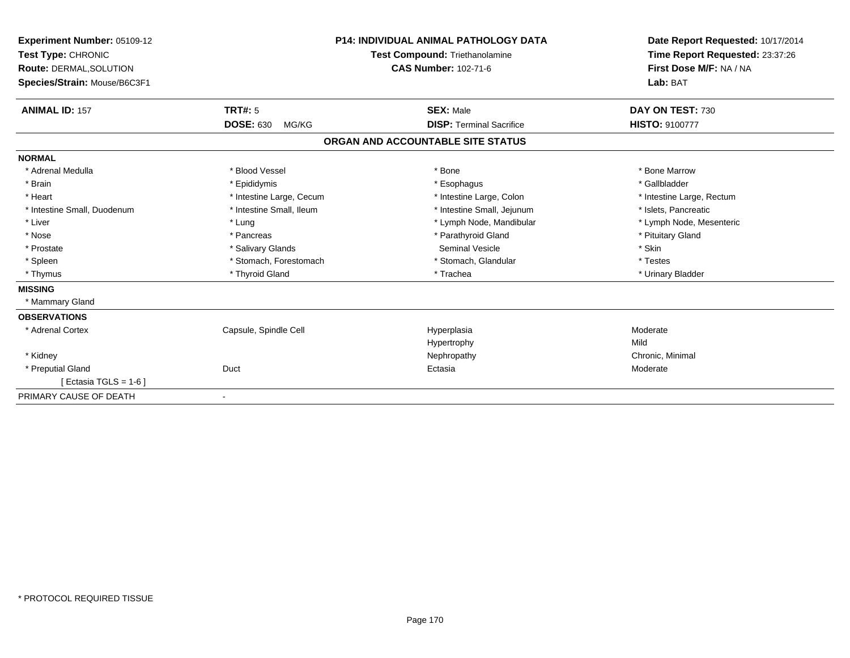| Experiment Number: 05109-12<br>Test Type: CHRONIC<br><b>Route: DERMAL, SOLUTION</b><br>Species/Strain: Mouse/B6C3F1 | <b>P14: INDIVIDUAL ANIMAL PATHOLOGY DATA</b><br>Test Compound: Triethanolamine<br><b>CAS Number: 102-71-6</b> |                                   | Date Report Requested: 10/17/2014<br>Time Report Requested: 23:37:26<br>First Dose M/F: NA / NA<br>Lab: BAT |
|---------------------------------------------------------------------------------------------------------------------|---------------------------------------------------------------------------------------------------------------|-----------------------------------|-------------------------------------------------------------------------------------------------------------|
| <b>ANIMAL ID: 157</b>                                                                                               | <b>TRT#: 5</b>                                                                                                | <b>SEX: Male</b>                  | DAY ON TEST: 730                                                                                            |
|                                                                                                                     | <b>DOSE: 630</b><br>MG/KG                                                                                     | <b>DISP: Terminal Sacrifice</b>   | HISTO: 9100777                                                                                              |
|                                                                                                                     |                                                                                                               | ORGAN AND ACCOUNTABLE SITE STATUS |                                                                                                             |
| <b>NORMAL</b>                                                                                                       |                                                                                                               |                                   |                                                                                                             |
| * Adrenal Medulla                                                                                                   | * Blood Vessel                                                                                                | * Bone                            | * Bone Marrow                                                                                               |
| * Brain                                                                                                             | * Epididymis                                                                                                  | * Esophagus                       | * Gallbladder                                                                                               |
| * Heart                                                                                                             | * Intestine Large, Cecum                                                                                      | * Intestine Large, Colon          | * Intestine Large, Rectum                                                                                   |
| * Intestine Small, Duodenum                                                                                         | * Intestine Small, Ileum                                                                                      | * Intestine Small, Jejunum        | * Islets, Pancreatic                                                                                        |
| * Liver                                                                                                             | * Lung                                                                                                        | * Lymph Node, Mandibular          | * Lymph Node, Mesenteric                                                                                    |
| * Nose                                                                                                              | * Pancreas                                                                                                    | * Parathyroid Gland               | * Pituitary Gland                                                                                           |
| * Prostate                                                                                                          | * Salivary Glands                                                                                             | Seminal Vesicle                   | * Skin                                                                                                      |
| * Spleen                                                                                                            | * Stomach, Forestomach                                                                                        | * Stomach, Glandular              | * Testes                                                                                                    |
| * Thymus                                                                                                            | * Thyroid Gland                                                                                               | * Trachea                         | * Urinary Bladder                                                                                           |
| <b>MISSING</b>                                                                                                      |                                                                                                               |                                   |                                                                                                             |
| * Mammary Gland                                                                                                     |                                                                                                               |                                   |                                                                                                             |
| <b>OBSERVATIONS</b>                                                                                                 |                                                                                                               |                                   |                                                                                                             |
| * Adrenal Cortex                                                                                                    | Capsule, Spindle Cell                                                                                         | Hyperplasia                       | Moderate                                                                                                    |
|                                                                                                                     |                                                                                                               | Hypertrophy                       | Mild                                                                                                        |
| * Kidney                                                                                                            |                                                                                                               | Nephropathy                       | Chronic, Minimal                                                                                            |
| * Preputial Gland                                                                                                   | Duct                                                                                                          | Ectasia                           | Moderate                                                                                                    |
| [ Ectasia TGLS = $1-6$ ]                                                                                            |                                                                                                               |                                   |                                                                                                             |
| PRIMARY CAUSE OF DEATH                                                                                              | $\overline{\phantom{a}}$                                                                                      |                                   |                                                                                                             |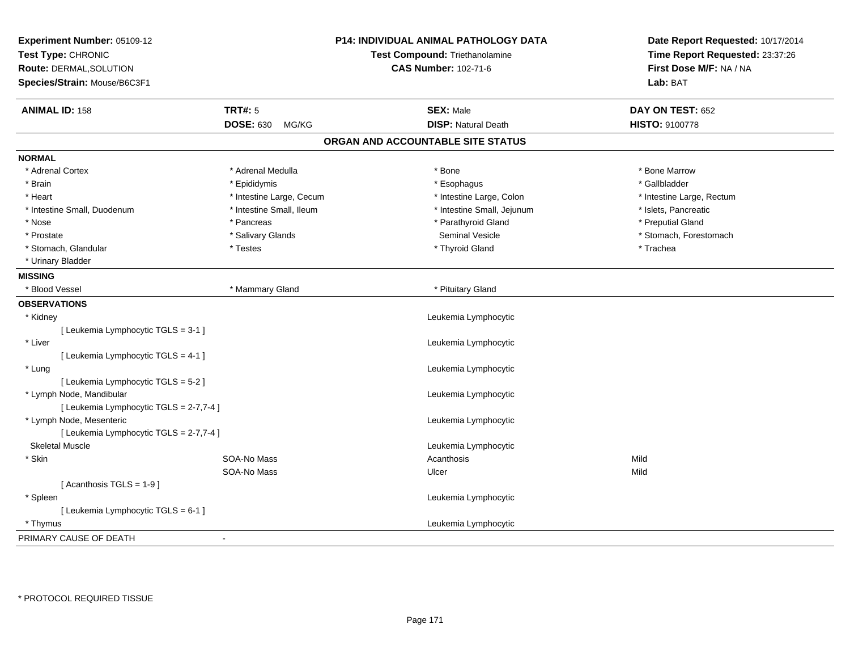| Experiment Number: 05109-12<br>Test Type: CHRONIC<br>Route: DERMAL, SOLUTION<br>Species/Strain: Mouse/B6C3F1 |                           | P14: INDIVIDUAL ANIMAL PATHOLOGY DATA<br>Test Compound: Triethanolamine<br><b>CAS Number: 102-71-6</b> | Date Report Requested: 10/17/2014<br>Time Report Requested: 23:37:26<br>First Dose M/F: NA / NA<br>Lab: BAT |
|--------------------------------------------------------------------------------------------------------------|---------------------------|--------------------------------------------------------------------------------------------------------|-------------------------------------------------------------------------------------------------------------|
| <b>ANIMAL ID: 158</b>                                                                                        | <b>TRT#: 5</b>            | <b>SEX: Male</b>                                                                                       | DAY ON TEST: 652                                                                                            |
|                                                                                                              | <b>DOSE: 630</b><br>MG/KG | <b>DISP: Natural Death</b>                                                                             | HISTO: 9100778                                                                                              |
|                                                                                                              |                           | ORGAN AND ACCOUNTABLE SITE STATUS                                                                      |                                                                                                             |
| <b>NORMAL</b>                                                                                                |                           |                                                                                                        |                                                                                                             |
| * Adrenal Cortex                                                                                             | * Adrenal Medulla         | * Bone                                                                                                 | * Bone Marrow                                                                                               |
| * Brain                                                                                                      | * Epididymis              | * Esophagus                                                                                            | * Gallbladder                                                                                               |
| * Heart                                                                                                      | * Intestine Large, Cecum  | * Intestine Large, Colon                                                                               | * Intestine Large, Rectum                                                                                   |
| * Intestine Small, Duodenum                                                                                  | * Intestine Small, Ileum  | * Intestine Small, Jejunum                                                                             | * Islets, Pancreatic                                                                                        |
| * Nose                                                                                                       | * Pancreas                | * Parathyroid Gland                                                                                    | * Preputial Gland                                                                                           |
| * Prostate                                                                                                   | * Salivary Glands         | <b>Seminal Vesicle</b>                                                                                 | * Stomach, Forestomach                                                                                      |
| * Stomach, Glandular                                                                                         | * Testes                  | * Thyroid Gland                                                                                        | * Trachea                                                                                                   |
| * Urinary Bladder                                                                                            |                           |                                                                                                        |                                                                                                             |
| <b>MISSING</b>                                                                                               |                           |                                                                                                        |                                                                                                             |
| <b>Blood Vessel</b>                                                                                          | * Mammary Gland           | * Pituitary Gland                                                                                      |                                                                                                             |
| <b>OBSERVATIONS</b>                                                                                          |                           |                                                                                                        |                                                                                                             |
| * Kidney                                                                                                     |                           | Leukemia Lymphocytic                                                                                   |                                                                                                             |
| [ Leukemia Lymphocytic TGLS = 3-1 ]                                                                          |                           |                                                                                                        |                                                                                                             |
| * Liver                                                                                                      |                           | Leukemia Lymphocytic                                                                                   |                                                                                                             |
| [ Leukemia Lymphocytic TGLS = 4-1 ]                                                                          |                           |                                                                                                        |                                                                                                             |
| * Lung                                                                                                       |                           | Leukemia Lymphocytic                                                                                   |                                                                                                             |
| [ Leukemia Lymphocytic TGLS = 5-2 ]                                                                          |                           |                                                                                                        |                                                                                                             |
| * Lymph Node, Mandibular                                                                                     |                           | Leukemia Lymphocytic                                                                                   |                                                                                                             |
| [ Leukemia Lymphocytic TGLS = 2-7,7-4 ]                                                                      |                           |                                                                                                        |                                                                                                             |
| * Lymph Node, Mesenteric                                                                                     |                           | Leukemia Lymphocytic                                                                                   |                                                                                                             |
| [ Leukemia Lymphocytic TGLS = 2-7,7-4 ]                                                                      |                           |                                                                                                        |                                                                                                             |
| <b>Skeletal Muscle</b>                                                                                       |                           | Leukemia Lymphocytic                                                                                   |                                                                                                             |
| * Skin                                                                                                       | SOA-No Mass               | Acanthosis                                                                                             | Mild                                                                                                        |
|                                                                                                              | SOA-No Mass               | Ulcer                                                                                                  | Mild                                                                                                        |
| [Acanthosis TGLS = 1-9]                                                                                      |                           |                                                                                                        |                                                                                                             |
| * Spleen                                                                                                     |                           | Leukemia Lymphocytic                                                                                   |                                                                                                             |
| [ Leukemia Lymphocytic TGLS = 6-1 ]                                                                          |                           |                                                                                                        |                                                                                                             |
| * Thymus                                                                                                     |                           | Leukemia Lymphocytic                                                                                   |                                                                                                             |
| PRIMARY CAUSE OF DEATH                                                                                       | $\blacksquare$            |                                                                                                        |                                                                                                             |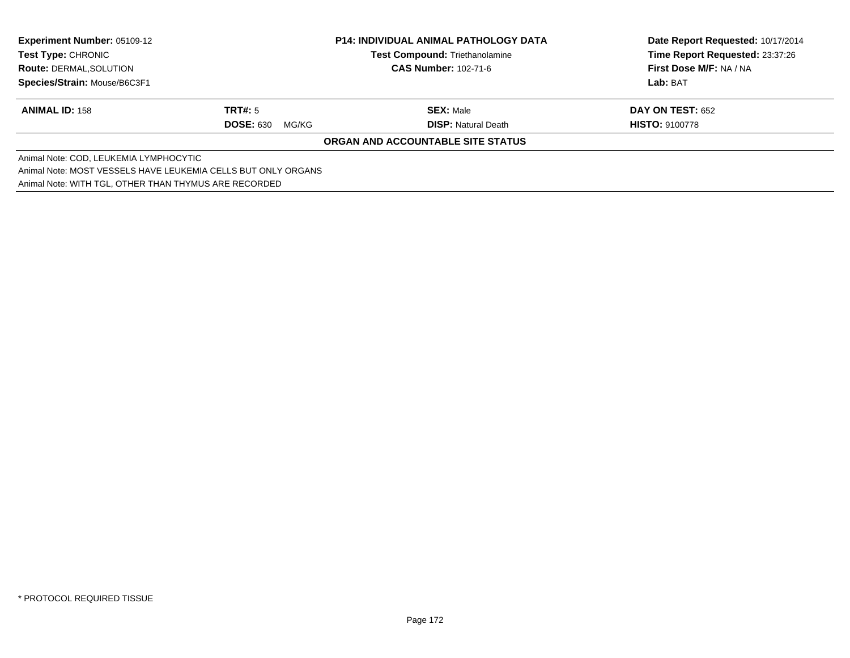| <b>Experiment Number: 05109-12</b><br><b>Test Type: CHRONIC</b> |                           | <b>P14: INDIVIDUAL ANIMAL PATHOLOGY DATA</b><br><b>Test Compound: Triethanolamine</b> | Date Report Requested: 10/17/2014 |
|-----------------------------------------------------------------|---------------------------|---------------------------------------------------------------------------------------|-----------------------------------|
|                                                                 |                           |                                                                                       | Time Report Requested: 23:37:26   |
| <b>Route: DERMAL, SOLUTION</b>                                  |                           | <b>CAS Number: 102-71-6</b>                                                           | First Dose M/F: NA / NA           |
| Species/Strain: Mouse/B6C3F1                                    |                           |                                                                                       | Lab: BAT                          |
| <b>ANIMAL ID: 158</b>                                           | TRT#: 5                   | <b>SEX: Male</b>                                                                      | <b>DAY ON TEST: 652</b>           |
|                                                                 | <b>DOSE: 630</b><br>MG/KG | <b>DISP:</b> Natural Death                                                            | <b>HISTO: 9100778</b>             |
|                                                                 |                           | ORGAN AND ACCOUNTABLE SITE STATUS                                                     |                                   |
| Animal Note: COD, LEUKEMIA LYMPHOCYTIC                          |                           |                                                                                       |                                   |
| Animal Note: MOST VESSELS HAVE LEUKEMIA CELLS BUT ONLY ORGANS   |                           |                                                                                       |                                   |
| Animal Note: WITH TGL, OTHER THAN THYMUS ARE RECORDED           |                           |                                                                                       |                                   |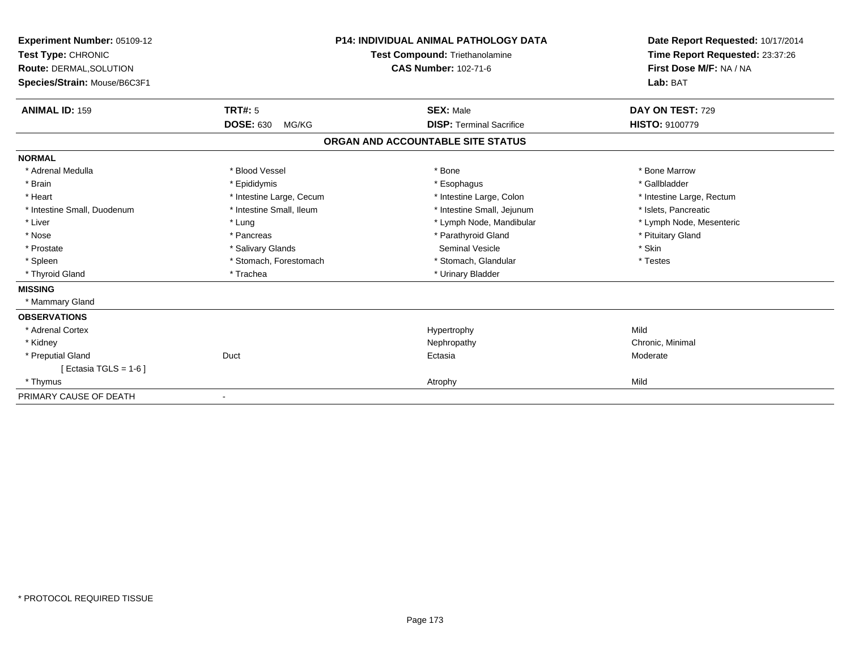| Experiment Number: 05109-12<br>Test Type: CHRONIC<br><b>Route: DERMAL, SOLUTION</b><br>Species/Strain: Mouse/B6C3F1 |                           | <b>P14: INDIVIDUAL ANIMAL PATHOLOGY DATA</b><br><b>Test Compound: Triethanolamine</b><br><b>CAS Number: 102-71-6</b> | Date Report Requested: 10/17/2014<br>Time Report Requested: 23:37:26<br>First Dose M/F: NA / NA<br>Lab: BAT |  |
|---------------------------------------------------------------------------------------------------------------------|---------------------------|----------------------------------------------------------------------------------------------------------------------|-------------------------------------------------------------------------------------------------------------|--|
| <b>ANIMAL ID: 159</b>                                                                                               | <b>TRT#: 5</b>            | <b>SEX: Male</b>                                                                                                     | DAY ON TEST: 729                                                                                            |  |
|                                                                                                                     | <b>DOSE: 630</b><br>MG/KG | <b>DISP: Terminal Sacrifice</b>                                                                                      | <b>HISTO: 9100779</b>                                                                                       |  |
|                                                                                                                     |                           | ORGAN AND ACCOUNTABLE SITE STATUS                                                                                    |                                                                                                             |  |
| <b>NORMAL</b>                                                                                                       |                           |                                                                                                                      |                                                                                                             |  |
| * Adrenal Medulla                                                                                                   | * Blood Vessel            | * Bone                                                                                                               | * Bone Marrow                                                                                               |  |
| * Brain                                                                                                             | * Epididymis              | * Esophagus                                                                                                          | * Gallbladder                                                                                               |  |
| * Heart                                                                                                             | * Intestine Large, Cecum  | * Intestine Large, Colon                                                                                             | * Intestine Large, Rectum                                                                                   |  |
| * Intestine Small, Duodenum                                                                                         | * Intestine Small, Ileum  | * Intestine Small, Jejunum                                                                                           | * Islets, Pancreatic                                                                                        |  |
| * Liver                                                                                                             | * Lung                    | * Lymph Node, Mandibular                                                                                             | * Lymph Node, Mesenteric                                                                                    |  |
| * Nose                                                                                                              | * Pancreas                | * Parathyroid Gland                                                                                                  | * Pituitary Gland                                                                                           |  |
| * Prostate                                                                                                          | * Salivary Glands         | <b>Seminal Vesicle</b>                                                                                               | * Skin                                                                                                      |  |
| * Spleen                                                                                                            | * Stomach, Forestomach    | * Stomach, Glandular                                                                                                 | * Testes                                                                                                    |  |
| * Thyroid Gland                                                                                                     | * Trachea                 | * Urinary Bladder                                                                                                    |                                                                                                             |  |
| <b>MISSING</b>                                                                                                      |                           |                                                                                                                      |                                                                                                             |  |
| * Mammary Gland                                                                                                     |                           |                                                                                                                      |                                                                                                             |  |
| <b>OBSERVATIONS</b>                                                                                                 |                           |                                                                                                                      |                                                                                                             |  |
| * Adrenal Cortex                                                                                                    |                           | Hypertrophy                                                                                                          | Mild                                                                                                        |  |
| * Kidney                                                                                                            |                           | Nephropathy                                                                                                          | Chronic, Minimal                                                                                            |  |
| * Preputial Gland                                                                                                   | Duct                      | Ectasia                                                                                                              | Moderate                                                                                                    |  |
| [Ectasia TGLS = $1-6$ ]                                                                                             |                           |                                                                                                                      |                                                                                                             |  |
| * Thymus                                                                                                            |                           | Atrophy                                                                                                              | Mild                                                                                                        |  |
| PRIMARY CAUSE OF DEATH                                                                                              |                           |                                                                                                                      |                                                                                                             |  |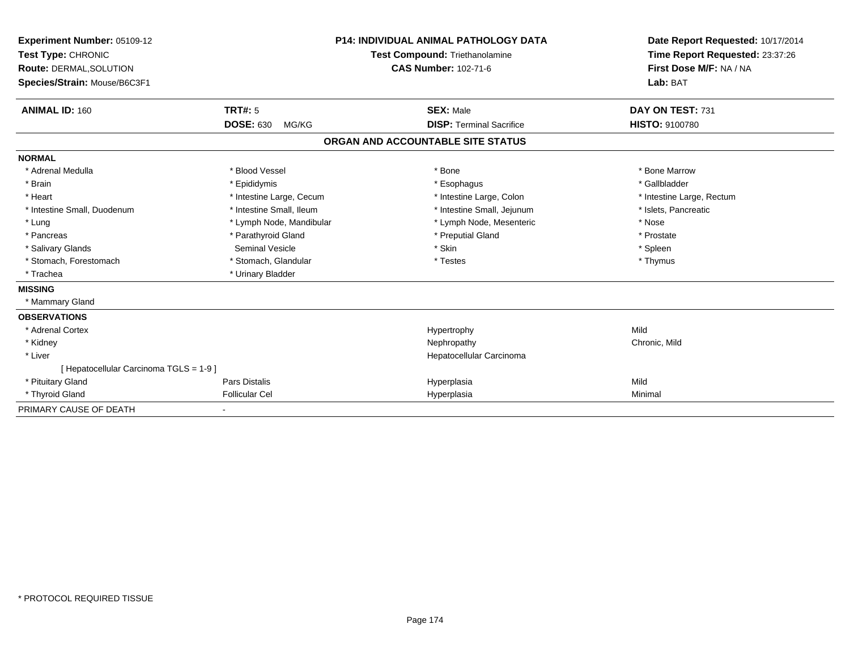| Experiment Number: 05109-12<br>Test Type: CHRONIC<br>Route: DERMAL, SOLUTION<br>Species/Strain: Mouse/B6C3F1 | <b>P14: INDIVIDUAL ANIMAL PATHOLOGY DATA</b><br>Test Compound: Triethanolamine<br><b>CAS Number: 102-71-6</b> |                                   | Date Report Requested: 10/17/2014<br>Time Report Requested: 23:37:26<br>First Dose M/F: NA / NA<br>Lab: BAT |  |
|--------------------------------------------------------------------------------------------------------------|---------------------------------------------------------------------------------------------------------------|-----------------------------------|-------------------------------------------------------------------------------------------------------------|--|
| <b>ANIMAL ID: 160</b>                                                                                        | <b>TRT#: 5</b>                                                                                                | <b>SEX: Male</b>                  | DAY ON TEST: 731                                                                                            |  |
|                                                                                                              | <b>DOSE: 630</b><br>MG/KG                                                                                     | <b>DISP: Terminal Sacrifice</b>   | <b>HISTO: 9100780</b>                                                                                       |  |
|                                                                                                              |                                                                                                               | ORGAN AND ACCOUNTABLE SITE STATUS |                                                                                                             |  |
| <b>NORMAL</b>                                                                                                |                                                                                                               |                                   |                                                                                                             |  |
| * Adrenal Medulla                                                                                            | * Blood Vessel                                                                                                | * Bone                            | * Bone Marrow                                                                                               |  |
| * Brain                                                                                                      | * Epididymis                                                                                                  | * Esophagus                       | * Gallbladder                                                                                               |  |
| * Heart                                                                                                      | * Intestine Large, Cecum                                                                                      | * Intestine Large, Colon          | * Intestine Large, Rectum                                                                                   |  |
| * Intestine Small, Duodenum                                                                                  | * Intestine Small, Ileum                                                                                      | * Intestine Small, Jejunum        | * Islets. Pancreatic                                                                                        |  |
| * Lung                                                                                                       | * Lymph Node, Mandibular                                                                                      | * Lymph Node, Mesenteric          | * Nose                                                                                                      |  |
| * Pancreas                                                                                                   | * Parathyroid Gland                                                                                           | * Preputial Gland                 | * Prostate                                                                                                  |  |
| * Salivary Glands                                                                                            | Seminal Vesicle                                                                                               | * Skin                            | * Spleen                                                                                                    |  |
| * Stomach, Forestomach                                                                                       | * Stomach, Glandular                                                                                          | * Testes                          | * Thymus                                                                                                    |  |
| * Trachea                                                                                                    | * Urinary Bladder                                                                                             |                                   |                                                                                                             |  |
| <b>MISSING</b>                                                                                               |                                                                                                               |                                   |                                                                                                             |  |
| * Mammary Gland                                                                                              |                                                                                                               |                                   |                                                                                                             |  |
| <b>OBSERVATIONS</b>                                                                                          |                                                                                                               |                                   |                                                                                                             |  |
| * Adrenal Cortex                                                                                             |                                                                                                               | Hypertrophy                       | Mild                                                                                                        |  |
| * Kidney                                                                                                     |                                                                                                               | Nephropathy                       | Chronic, Mild                                                                                               |  |
| * Liver                                                                                                      |                                                                                                               | Hepatocellular Carcinoma          |                                                                                                             |  |
| [ Hepatocellular Carcinoma TGLS = 1-9 ]                                                                      |                                                                                                               |                                   |                                                                                                             |  |
| * Pituitary Gland                                                                                            | <b>Pars Distalis</b>                                                                                          | Hyperplasia                       | Mild                                                                                                        |  |
| * Thyroid Gland                                                                                              | <b>Follicular Cel</b>                                                                                         | Hyperplasia                       | Minimal                                                                                                     |  |
| PRIMARY CAUSE OF DEATH                                                                                       |                                                                                                               |                                   |                                                                                                             |  |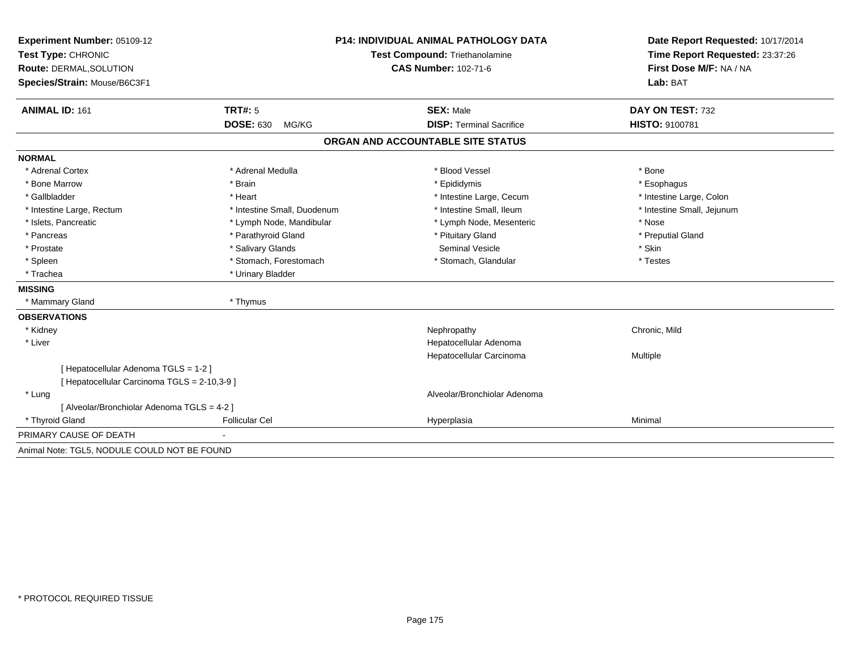| Test Compound: Triethanolamine<br>Time Report Requested: 23:37:26<br>First Dose M/F: NA / NA<br><b>CAS Number: 102-71-6</b><br>Lab: BAT<br>TRT#: 5<br><b>SEX: Male</b><br>DAY ON TEST: 732<br><b>DOSE: 630</b><br><b>DISP: Terminal Sacrifice</b><br>HISTO: 9100781<br>MG/KG<br>ORGAN AND ACCOUNTABLE SITE STATUS<br>* Blood Vessel<br>* Adrenal Medulla<br>* Bone<br>* Brain<br>* Epididymis<br>* Esophagus<br>* Heart<br>* Intestine Large, Cecum<br>* Intestine Large, Colon<br>* Intestine Small, Ileum<br>* Intestine Small, Duodenum<br>* Intestine Small, Jejunum<br>* Lymph Node, Mandibular<br>* Lymph Node, Mesenteric<br>* Nose<br>* Parathyroid Gland<br>* Pituitary Gland<br>* Preputial Gland<br>* Salivary Glands<br><b>Seminal Vesicle</b><br>* Skin<br>* Stomach, Forestomach<br>* Stomach, Glandular<br>* Testes<br>* Urinary Bladder<br>* Thymus<br>Chronic, Mild<br>Nephropathy<br>Hepatocellular Adenoma<br>Hepatocellular Carcinoma<br>Multiple<br>[Hepatocellular Adenoma TGLS = 1-2]<br>[ Hepatocellular Carcinoma TGLS = 2-10,3-9 ]<br>Alveolar/Bronchiolar Adenoma<br>[ Alveolar/Bronchiolar Adenoma TGLS = 4-2 ]<br><b>Follicular Cel</b><br>Minimal<br>Hyperplasia | Experiment Number: 05109-12  | <b>P14: INDIVIDUAL ANIMAL PATHOLOGY DATA</b> |  | Date Report Requested: 10/17/2014 |  |
|------------------------------------------------------------------------------------------------------------------------------------------------------------------------------------------------------------------------------------------------------------------------------------------------------------------------------------------------------------------------------------------------------------------------------------------------------------------------------------------------------------------------------------------------------------------------------------------------------------------------------------------------------------------------------------------------------------------------------------------------------------------------------------------------------------------------------------------------------------------------------------------------------------------------------------------------------------------------------------------------------------------------------------------------------------------------------------------------------------------------------------------------------------------------------------------------|------------------------------|----------------------------------------------|--|-----------------------------------|--|
|                                                                                                                                                                                                                                                                                                                                                                                                                                                                                                                                                                                                                                                                                                                                                                                                                                                                                                                                                                                                                                                                                                                                                                                                | Test Type: CHRONIC           |                                              |  |                                   |  |
|                                                                                                                                                                                                                                                                                                                                                                                                                                                                                                                                                                                                                                                                                                                                                                                                                                                                                                                                                                                                                                                                                                                                                                                                | Route: DERMAL, SOLUTION      |                                              |  |                                   |  |
|                                                                                                                                                                                                                                                                                                                                                                                                                                                                                                                                                                                                                                                                                                                                                                                                                                                                                                                                                                                                                                                                                                                                                                                                | Species/Strain: Mouse/B6C3F1 |                                              |  |                                   |  |
|                                                                                                                                                                                                                                                                                                                                                                                                                                                                                                                                                                                                                                                                                                                                                                                                                                                                                                                                                                                                                                                                                                                                                                                                | <b>ANIMAL ID: 161</b>        |                                              |  |                                   |  |
|                                                                                                                                                                                                                                                                                                                                                                                                                                                                                                                                                                                                                                                                                                                                                                                                                                                                                                                                                                                                                                                                                                                                                                                                |                              |                                              |  |                                   |  |
|                                                                                                                                                                                                                                                                                                                                                                                                                                                                                                                                                                                                                                                                                                                                                                                                                                                                                                                                                                                                                                                                                                                                                                                                |                              |                                              |  |                                   |  |
|                                                                                                                                                                                                                                                                                                                                                                                                                                                                                                                                                                                                                                                                                                                                                                                                                                                                                                                                                                                                                                                                                                                                                                                                | <b>NORMAL</b>                |                                              |  |                                   |  |
|                                                                                                                                                                                                                                                                                                                                                                                                                                                                                                                                                                                                                                                                                                                                                                                                                                                                                                                                                                                                                                                                                                                                                                                                | * Adrenal Cortex             |                                              |  |                                   |  |
|                                                                                                                                                                                                                                                                                                                                                                                                                                                                                                                                                                                                                                                                                                                                                                                                                                                                                                                                                                                                                                                                                                                                                                                                | * Bone Marrow                |                                              |  |                                   |  |
|                                                                                                                                                                                                                                                                                                                                                                                                                                                                                                                                                                                                                                                                                                                                                                                                                                                                                                                                                                                                                                                                                                                                                                                                | * Gallbladder                |                                              |  |                                   |  |
|                                                                                                                                                                                                                                                                                                                                                                                                                                                                                                                                                                                                                                                                                                                                                                                                                                                                                                                                                                                                                                                                                                                                                                                                | * Intestine Large, Rectum    |                                              |  |                                   |  |
|                                                                                                                                                                                                                                                                                                                                                                                                                                                                                                                                                                                                                                                                                                                                                                                                                                                                                                                                                                                                                                                                                                                                                                                                | * Islets, Pancreatic         |                                              |  |                                   |  |
|                                                                                                                                                                                                                                                                                                                                                                                                                                                                                                                                                                                                                                                                                                                                                                                                                                                                                                                                                                                                                                                                                                                                                                                                | * Pancreas                   |                                              |  |                                   |  |
|                                                                                                                                                                                                                                                                                                                                                                                                                                                                                                                                                                                                                                                                                                                                                                                                                                                                                                                                                                                                                                                                                                                                                                                                | * Prostate                   |                                              |  |                                   |  |
|                                                                                                                                                                                                                                                                                                                                                                                                                                                                                                                                                                                                                                                                                                                                                                                                                                                                                                                                                                                                                                                                                                                                                                                                | * Spleen                     |                                              |  |                                   |  |
|                                                                                                                                                                                                                                                                                                                                                                                                                                                                                                                                                                                                                                                                                                                                                                                                                                                                                                                                                                                                                                                                                                                                                                                                | * Trachea                    |                                              |  |                                   |  |
|                                                                                                                                                                                                                                                                                                                                                                                                                                                                                                                                                                                                                                                                                                                                                                                                                                                                                                                                                                                                                                                                                                                                                                                                | <b>MISSING</b>               |                                              |  |                                   |  |
|                                                                                                                                                                                                                                                                                                                                                                                                                                                                                                                                                                                                                                                                                                                                                                                                                                                                                                                                                                                                                                                                                                                                                                                                | * Mammary Gland              |                                              |  |                                   |  |
|                                                                                                                                                                                                                                                                                                                                                                                                                                                                                                                                                                                                                                                                                                                                                                                                                                                                                                                                                                                                                                                                                                                                                                                                | <b>OBSERVATIONS</b>          |                                              |  |                                   |  |
|                                                                                                                                                                                                                                                                                                                                                                                                                                                                                                                                                                                                                                                                                                                                                                                                                                                                                                                                                                                                                                                                                                                                                                                                | * Kidney                     |                                              |  |                                   |  |
|                                                                                                                                                                                                                                                                                                                                                                                                                                                                                                                                                                                                                                                                                                                                                                                                                                                                                                                                                                                                                                                                                                                                                                                                | * Liver                      |                                              |  |                                   |  |
|                                                                                                                                                                                                                                                                                                                                                                                                                                                                                                                                                                                                                                                                                                                                                                                                                                                                                                                                                                                                                                                                                                                                                                                                |                              |                                              |  |                                   |  |
|                                                                                                                                                                                                                                                                                                                                                                                                                                                                                                                                                                                                                                                                                                                                                                                                                                                                                                                                                                                                                                                                                                                                                                                                |                              |                                              |  |                                   |  |
|                                                                                                                                                                                                                                                                                                                                                                                                                                                                                                                                                                                                                                                                                                                                                                                                                                                                                                                                                                                                                                                                                                                                                                                                | * Lung                       |                                              |  |                                   |  |
|                                                                                                                                                                                                                                                                                                                                                                                                                                                                                                                                                                                                                                                                                                                                                                                                                                                                                                                                                                                                                                                                                                                                                                                                |                              |                                              |  |                                   |  |
|                                                                                                                                                                                                                                                                                                                                                                                                                                                                                                                                                                                                                                                                                                                                                                                                                                                                                                                                                                                                                                                                                                                                                                                                | * Thyroid Gland              |                                              |  |                                   |  |
|                                                                                                                                                                                                                                                                                                                                                                                                                                                                                                                                                                                                                                                                                                                                                                                                                                                                                                                                                                                                                                                                                                                                                                                                | PRIMARY CAUSE OF DEATH       |                                              |  |                                   |  |
| Animal Note: TGL5, NODULE COULD NOT BE FOUND                                                                                                                                                                                                                                                                                                                                                                                                                                                                                                                                                                                                                                                                                                                                                                                                                                                                                                                                                                                                                                                                                                                                                   |                              |                                              |  |                                   |  |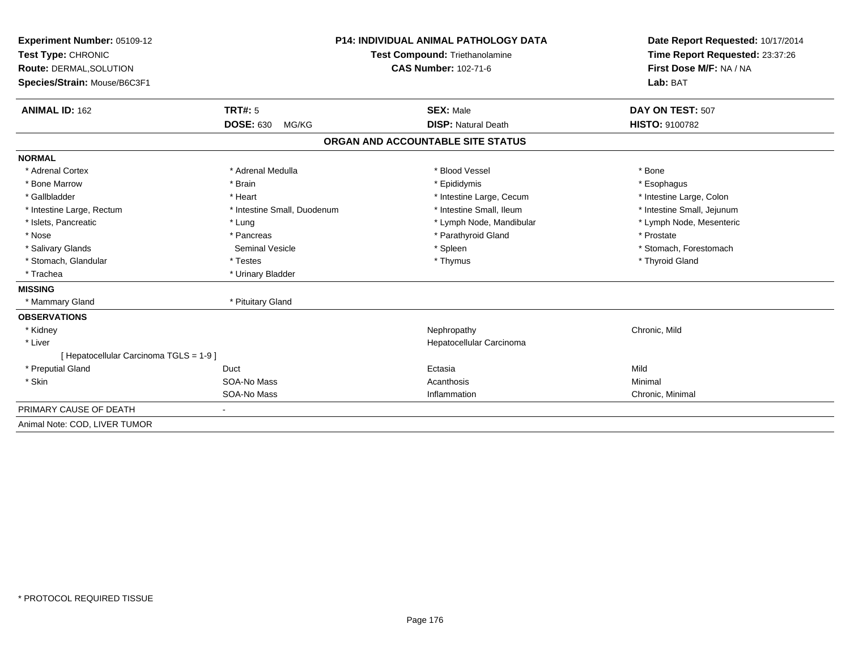| Experiment Number: 05109-12<br>Test Type: CHRONIC<br>Route: DERMAL, SOLUTION<br>Species/Strain: Mouse/B6C3F1 |                                      | P14: INDIVIDUAL ANIMAL PATHOLOGY DATA<br>Test Compound: Triethanolamine<br><b>CAS Number: 102-71-6</b> | Date Report Requested: 10/17/2014<br>Time Report Requested: 23:37:26<br>First Dose M/F: NA / NA<br>Lab: BAT |
|--------------------------------------------------------------------------------------------------------------|--------------------------------------|--------------------------------------------------------------------------------------------------------|-------------------------------------------------------------------------------------------------------------|
| <b>ANIMAL ID: 162</b>                                                                                        | TRT#: 5<br><b>DOSE: 630</b><br>MG/KG | <b>SEX: Male</b><br><b>DISP: Natural Death</b>                                                         | DAY ON TEST: 507<br><b>HISTO: 9100782</b>                                                                   |
|                                                                                                              |                                      |                                                                                                        |                                                                                                             |
|                                                                                                              |                                      | ORGAN AND ACCOUNTABLE SITE STATUS                                                                      |                                                                                                             |
| <b>NORMAL</b>                                                                                                |                                      |                                                                                                        |                                                                                                             |
| * Adrenal Cortex                                                                                             | * Adrenal Medulla                    | * Blood Vessel                                                                                         | * Bone                                                                                                      |
| * Bone Marrow                                                                                                | * Brain                              | * Epididymis                                                                                           | * Esophagus                                                                                                 |
| * Gallbladder                                                                                                | * Heart                              | * Intestine Large, Cecum                                                                               | * Intestine Large, Colon                                                                                    |
| * Intestine Large, Rectum                                                                                    | * Intestine Small, Duodenum          | * Intestine Small, Ileum                                                                               | * Intestine Small, Jejunum                                                                                  |
| * Islets, Pancreatic                                                                                         | * Lung                               | * Lymph Node, Mandibular                                                                               | * Lymph Node, Mesenteric                                                                                    |
| * Nose                                                                                                       | * Pancreas                           | * Parathyroid Gland                                                                                    | * Prostate                                                                                                  |
| * Salivary Glands                                                                                            | <b>Seminal Vesicle</b>               | * Spleen                                                                                               | * Stomach, Forestomach                                                                                      |
| * Stomach, Glandular                                                                                         | * Testes                             | * Thymus                                                                                               | * Thyroid Gland                                                                                             |
| * Trachea                                                                                                    | * Urinary Bladder                    |                                                                                                        |                                                                                                             |
| <b>MISSING</b>                                                                                               |                                      |                                                                                                        |                                                                                                             |
| * Mammary Gland                                                                                              | * Pituitary Gland                    |                                                                                                        |                                                                                                             |
| <b>OBSERVATIONS</b>                                                                                          |                                      |                                                                                                        |                                                                                                             |
| * Kidney                                                                                                     |                                      | Nephropathy                                                                                            | Chronic, Mild                                                                                               |
| * Liver                                                                                                      |                                      | Hepatocellular Carcinoma                                                                               |                                                                                                             |
| [ Hepatocellular Carcinoma TGLS = 1-9 ]                                                                      |                                      |                                                                                                        |                                                                                                             |
| * Preputial Gland                                                                                            | Duct                                 | Ectasia                                                                                                | Mild                                                                                                        |
| * Skin                                                                                                       | SOA-No Mass                          | Acanthosis                                                                                             | Minimal                                                                                                     |
|                                                                                                              | SOA-No Mass                          | Inflammation                                                                                           | Chronic, Minimal                                                                                            |
| PRIMARY CAUSE OF DEATH                                                                                       |                                      |                                                                                                        |                                                                                                             |
| Animal Note: COD, LIVER TUMOR                                                                                |                                      |                                                                                                        |                                                                                                             |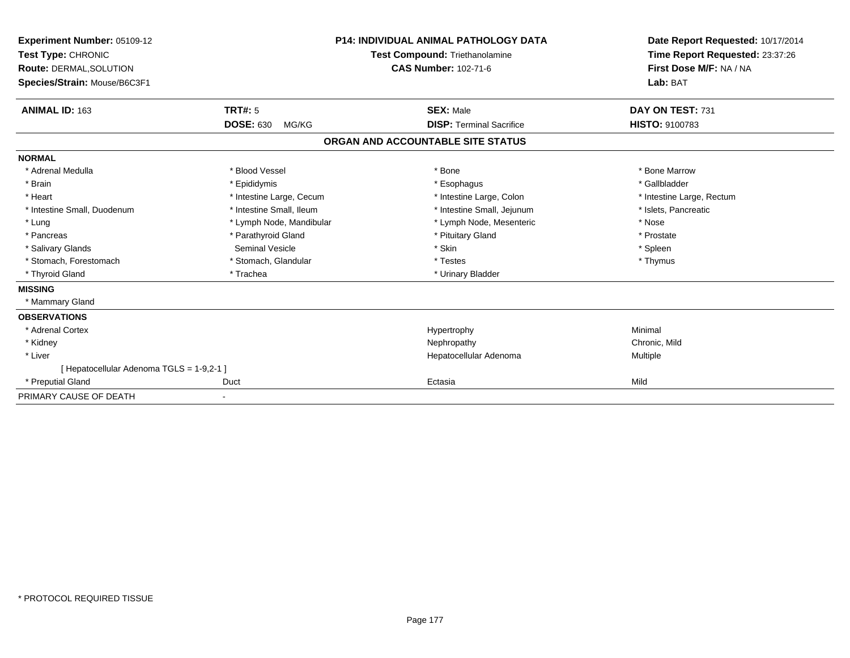| Experiment Number: 05109-12<br>Test Type: CHRONIC<br>Route: DERMAL, SOLUTION<br>Species/Strain: Mouse/B6C3F1 | <b>P14: INDIVIDUAL ANIMAL PATHOLOGY DATA</b><br>Test Compound: Triethanolamine<br><b>CAS Number: 102-71-6</b> |                                   | Date Report Requested: 10/17/2014<br>Time Report Requested: 23:37:26<br>First Dose M/F: NA / NA<br>Lab: BAT |
|--------------------------------------------------------------------------------------------------------------|---------------------------------------------------------------------------------------------------------------|-----------------------------------|-------------------------------------------------------------------------------------------------------------|
| <b>ANIMAL ID: 163</b>                                                                                        | <b>TRT#: 5</b>                                                                                                | <b>SEX: Male</b>                  | DAY ON TEST: 731                                                                                            |
|                                                                                                              | <b>DOSE: 630</b><br>MG/KG                                                                                     | <b>DISP: Terminal Sacrifice</b>   | <b>HISTO: 9100783</b>                                                                                       |
|                                                                                                              |                                                                                                               | ORGAN AND ACCOUNTABLE SITE STATUS |                                                                                                             |
| <b>NORMAL</b>                                                                                                |                                                                                                               |                                   |                                                                                                             |
| * Adrenal Medulla                                                                                            | * Blood Vessel                                                                                                | * Bone                            | * Bone Marrow                                                                                               |
| * Brain                                                                                                      | * Epididymis                                                                                                  | * Esophagus                       | * Gallbladder                                                                                               |
| * Heart                                                                                                      | * Intestine Large, Cecum                                                                                      | * Intestine Large, Colon          | * Intestine Large, Rectum                                                                                   |
| * Intestine Small, Duodenum                                                                                  | * Intestine Small, Ileum                                                                                      | * Intestine Small, Jejunum        | * Islets, Pancreatic                                                                                        |
| * Lung                                                                                                       | * Lymph Node, Mandibular                                                                                      | * Lymph Node, Mesenteric          | * Nose                                                                                                      |
| * Pancreas                                                                                                   | * Parathyroid Gland                                                                                           | * Pituitary Gland                 | * Prostate                                                                                                  |
| * Salivary Glands                                                                                            | <b>Seminal Vesicle</b>                                                                                        | * Skin                            | * Spleen                                                                                                    |
| * Stomach, Forestomach                                                                                       | * Stomach, Glandular                                                                                          | * Testes                          | * Thymus                                                                                                    |
| * Thyroid Gland                                                                                              | * Trachea                                                                                                     | * Urinary Bladder                 |                                                                                                             |
| <b>MISSING</b>                                                                                               |                                                                                                               |                                   |                                                                                                             |
| * Mammary Gland                                                                                              |                                                                                                               |                                   |                                                                                                             |
| <b>OBSERVATIONS</b>                                                                                          |                                                                                                               |                                   |                                                                                                             |
| * Adrenal Cortex                                                                                             |                                                                                                               | Hypertrophy                       | Minimal                                                                                                     |
| * Kidney                                                                                                     |                                                                                                               | Nephropathy                       | Chronic, Mild                                                                                               |
| * Liver                                                                                                      |                                                                                                               | Hepatocellular Adenoma            | Multiple                                                                                                    |
| [ Hepatocellular Adenoma TGLS = 1-9,2-1 ]                                                                    |                                                                                                               |                                   |                                                                                                             |
| * Preputial Gland                                                                                            | Duct                                                                                                          | Ectasia                           | Mild                                                                                                        |
| PRIMARY CAUSE OF DEATH                                                                                       |                                                                                                               |                                   |                                                                                                             |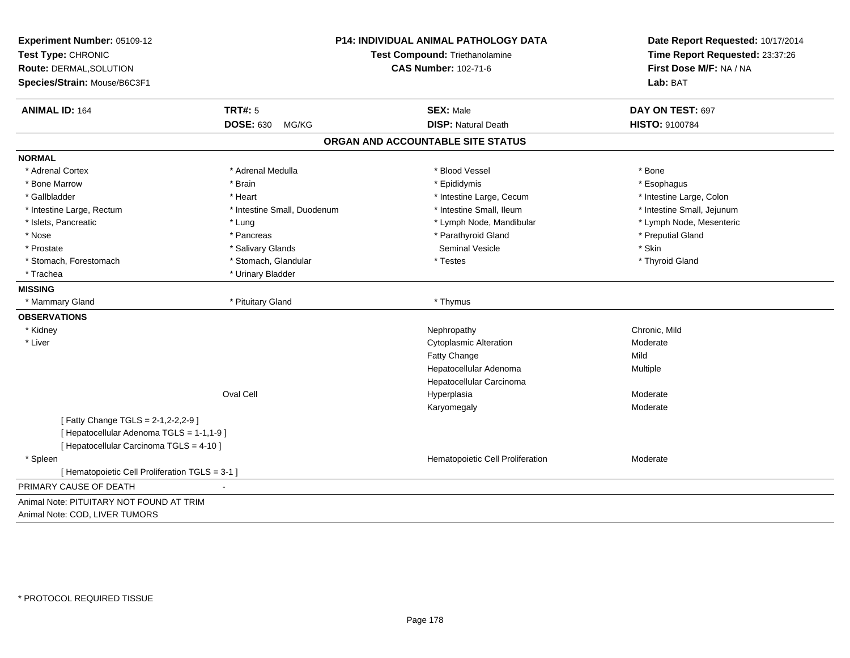| Experiment Number: 05109-12<br>Test Type: CHRONIC<br>Route: DERMAL, SOLUTION<br>Species/Strain: Mouse/B6C3F1 |                             | <b>P14: INDIVIDUAL ANIMAL PATHOLOGY DATA</b><br>Test Compound: Triethanolamine<br><b>CAS Number: 102-71-6</b> | Date Report Requested: 10/17/2014<br>Time Report Requested: 23:37:26<br>First Dose M/F: NA / NA<br>Lab: BAT |
|--------------------------------------------------------------------------------------------------------------|-----------------------------|---------------------------------------------------------------------------------------------------------------|-------------------------------------------------------------------------------------------------------------|
| <b>ANIMAL ID: 164</b>                                                                                        | <b>TRT#: 5</b>              | <b>SEX: Male</b>                                                                                              | DAY ON TEST: 697                                                                                            |
|                                                                                                              | <b>DOSE: 630</b><br>MG/KG   | <b>DISP: Natural Death</b>                                                                                    | HISTO: 9100784                                                                                              |
|                                                                                                              |                             | ORGAN AND ACCOUNTABLE SITE STATUS                                                                             |                                                                                                             |
| <b>NORMAL</b>                                                                                                |                             |                                                                                                               |                                                                                                             |
| * Adrenal Cortex                                                                                             | * Adrenal Medulla           | * Blood Vessel                                                                                                | * Bone                                                                                                      |
| * Bone Marrow                                                                                                | * Brain                     | * Epididymis                                                                                                  | * Esophagus                                                                                                 |
| * Gallbladder                                                                                                | * Heart                     | * Intestine Large, Cecum                                                                                      | * Intestine Large, Colon                                                                                    |
| * Intestine Large, Rectum                                                                                    | * Intestine Small, Duodenum | * Intestine Small, Ileum                                                                                      | * Intestine Small, Jejunum                                                                                  |
| * Islets, Pancreatic                                                                                         | * Lung                      | * Lymph Node, Mandibular                                                                                      | * Lymph Node, Mesenteric                                                                                    |
| * Nose                                                                                                       | * Pancreas                  | * Parathyroid Gland                                                                                           | * Preputial Gland                                                                                           |
| * Prostate                                                                                                   | * Salivary Glands           | <b>Seminal Vesicle</b>                                                                                        | * Skin                                                                                                      |
| * Stomach, Forestomach                                                                                       | * Stomach, Glandular        | * Testes                                                                                                      | * Thyroid Gland                                                                                             |
| * Trachea                                                                                                    | * Urinary Bladder           |                                                                                                               |                                                                                                             |
| <b>MISSING</b>                                                                                               |                             |                                                                                                               |                                                                                                             |
| * Mammary Gland                                                                                              | * Pituitary Gland           | * Thymus                                                                                                      |                                                                                                             |
| <b>OBSERVATIONS</b>                                                                                          |                             |                                                                                                               |                                                                                                             |
| * Kidney                                                                                                     |                             | Nephropathy                                                                                                   | Chronic, Mild                                                                                               |
| * Liver                                                                                                      |                             | Cytoplasmic Alteration                                                                                        | Moderate                                                                                                    |
|                                                                                                              |                             | Fatty Change                                                                                                  | Mild                                                                                                        |
|                                                                                                              |                             | Hepatocellular Adenoma                                                                                        | Multiple                                                                                                    |
|                                                                                                              |                             | Hepatocellular Carcinoma                                                                                      |                                                                                                             |
|                                                                                                              | Oval Cell                   | Hyperplasia                                                                                                   | Moderate                                                                                                    |
|                                                                                                              |                             | Karyomegaly                                                                                                   | Moderate                                                                                                    |
| [Fatty Change TGLS = 2-1, 2-2, 2-9]                                                                          |                             |                                                                                                               |                                                                                                             |
| [ Hepatocellular Adenoma TGLS = 1-1,1-9 ]                                                                    |                             |                                                                                                               |                                                                                                             |
| [ Hepatocellular Carcinoma TGLS = 4-10 ]                                                                     |                             |                                                                                                               |                                                                                                             |
| * Spleen                                                                                                     |                             | Hematopoietic Cell Proliferation                                                                              | Moderate                                                                                                    |
| [ Hematopoietic Cell Proliferation TGLS = 3-1 ]                                                              |                             |                                                                                                               |                                                                                                             |
| PRIMARY CAUSE OF DEATH                                                                                       | $\blacksquare$              |                                                                                                               |                                                                                                             |
| Animal Note: PITUITARY NOT FOUND AT TRIM                                                                     |                             |                                                                                                               |                                                                                                             |
| Animal Note: COD, LIVER TUMORS                                                                               |                             |                                                                                                               |                                                                                                             |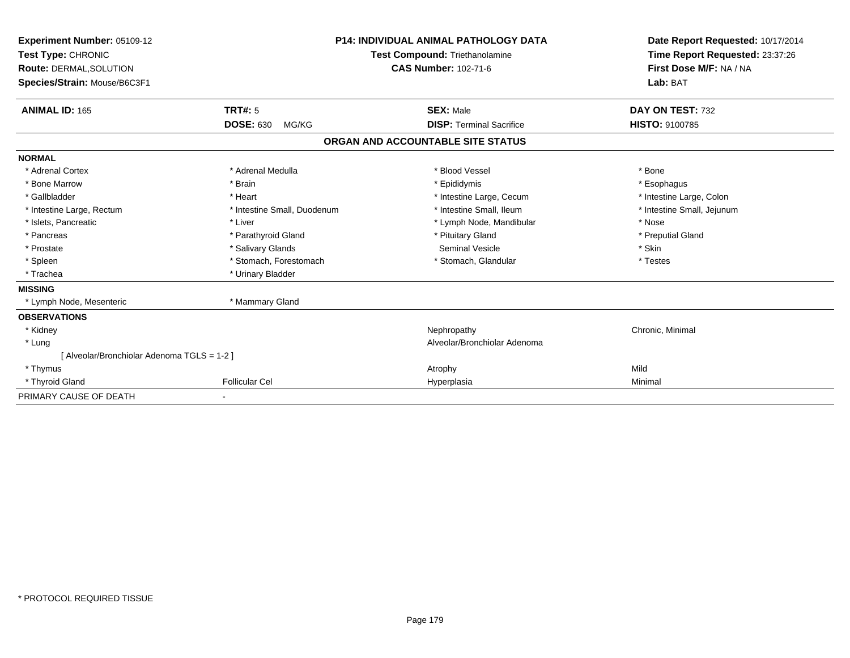| <b>Experiment Number: 05109-12</b><br>Test Type: CHRONIC<br>Test Compound: Triethanolamine<br><b>CAS Number: 102-71-6</b><br>Route: DERMAL, SOLUTION<br>Species/Strain: Mouse/B6C3F1 |                             | <b>P14: INDIVIDUAL ANIMAL PATHOLOGY DATA</b> | Date Report Requested: 10/17/2014<br>Time Report Requested: 23:37:26<br>First Dose M/F: NA / NA<br>Lab: BAT |
|--------------------------------------------------------------------------------------------------------------------------------------------------------------------------------------|-----------------------------|----------------------------------------------|-------------------------------------------------------------------------------------------------------------|
| <b>ANIMAL ID: 165</b>                                                                                                                                                                | <b>TRT#: 5</b>              | <b>SEX: Male</b>                             | DAY ON TEST: 732                                                                                            |
|                                                                                                                                                                                      | <b>DOSE: 630</b><br>MG/KG   | <b>DISP: Terminal Sacrifice</b>              | <b>HISTO: 9100785</b>                                                                                       |
|                                                                                                                                                                                      |                             | ORGAN AND ACCOUNTABLE SITE STATUS            |                                                                                                             |
| <b>NORMAL</b>                                                                                                                                                                        |                             |                                              |                                                                                                             |
| * Adrenal Cortex                                                                                                                                                                     | * Adrenal Medulla           | * Blood Vessel                               | * Bone                                                                                                      |
| * Bone Marrow                                                                                                                                                                        | * Brain                     | * Epididymis                                 | * Esophagus                                                                                                 |
| * Gallbladder                                                                                                                                                                        | * Heart                     | * Intestine Large, Cecum                     | * Intestine Large, Colon                                                                                    |
| * Intestine Large, Rectum                                                                                                                                                            | * Intestine Small, Duodenum | * Intestine Small. Ileum                     | * Intestine Small, Jejunum                                                                                  |
| * Islets, Pancreatic                                                                                                                                                                 | * Liver                     | * Lymph Node, Mandibular                     | * Nose                                                                                                      |
| * Pancreas                                                                                                                                                                           | * Parathyroid Gland         | * Pituitary Gland                            | * Preputial Gland                                                                                           |
| * Prostate                                                                                                                                                                           | * Salivary Glands           | Seminal Vesicle                              | * Skin                                                                                                      |
| * Spleen                                                                                                                                                                             | * Stomach, Forestomach      | * Stomach, Glandular                         | * Testes                                                                                                    |
| * Trachea                                                                                                                                                                            | * Urinary Bladder           |                                              |                                                                                                             |
| <b>MISSING</b>                                                                                                                                                                       |                             |                                              |                                                                                                             |
| * Lymph Node, Mesenteric                                                                                                                                                             | * Mammary Gland             |                                              |                                                                                                             |
| <b>OBSERVATIONS</b>                                                                                                                                                                  |                             |                                              |                                                                                                             |
| * Kidney                                                                                                                                                                             |                             | Nephropathy                                  | Chronic, Minimal                                                                                            |
| * Lung                                                                                                                                                                               |                             | Alveolar/Bronchiolar Adenoma                 |                                                                                                             |
| [ Alveolar/Bronchiolar Adenoma TGLS = 1-2 ]                                                                                                                                          |                             |                                              |                                                                                                             |
| * Thymus                                                                                                                                                                             |                             | Atrophy                                      | Mild                                                                                                        |
| * Thyroid Gland                                                                                                                                                                      | <b>Follicular Cel</b>       | Hyperplasia                                  | Minimal                                                                                                     |
| PRIMARY CAUSE OF DEATH                                                                                                                                                               |                             |                                              |                                                                                                             |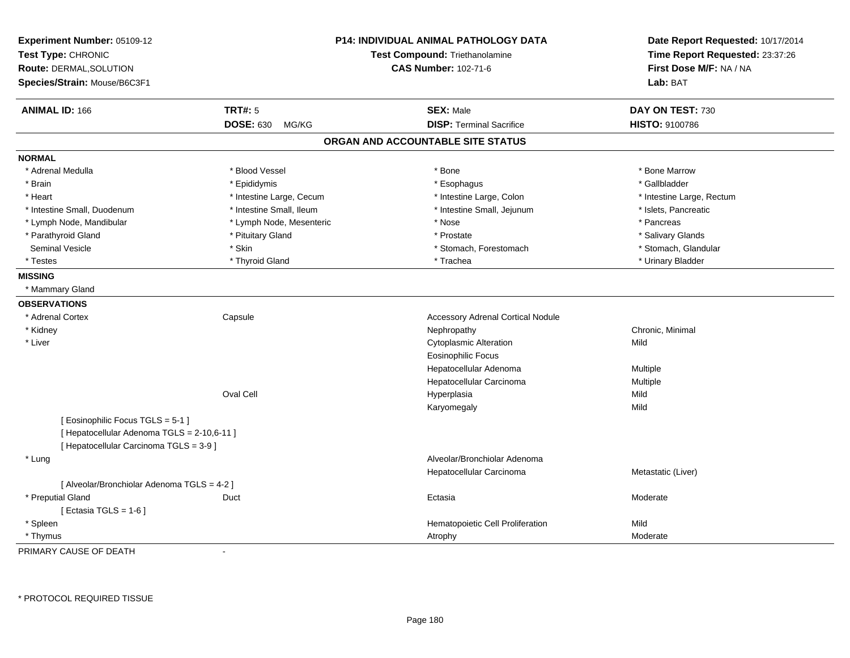| Experiment Number: 05109-12<br>Test Type: CHRONIC<br><b>Route: DERMAL, SOLUTION</b><br>Species/Strain: Mouse/B6C3F1         |                           | <b>P14: INDIVIDUAL ANIMAL PATHOLOGY DATA</b><br>Test Compound: Triethanolamine<br><b>CAS Number: 102-71-6</b> | Date Report Requested: 10/17/2014<br>Time Report Requested: 23:37:26<br>First Dose M/F: NA / NA<br>Lab: BAT |
|-----------------------------------------------------------------------------------------------------------------------------|---------------------------|---------------------------------------------------------------------------------------------------------------|-------------------------------------------------------------------------------------------------------------|
| <b>ANIMAL ID: 166</b>                                                                                                       | <b>TRT#: 5</b>            | <b>SEX: Male</b>                                                                                              | DAY ON TEST: 730                                                                                            |
|                                                                                                                             | <b>DOSE: 630</b><br>MG/KG | <b>DISP: Terminal Sacrifice</b>                                                                               | HISTO: 9100786                                                                                              |
|                                                                                                                             |                           | ORGAN AND ACCOUNTABLE SITE STATUS                                                                             |                                                                                                             |
| <b>NORMAL</b>                                                                                                               |                           |                                                                                                               |                                                                                                             |
| * Adrenal Medulla                                                                                                           | * Blood Vessel            | * Bone                                                                                                        | * Bone Marrow                                                                                               |
| * Brain                                                                                                                     | * Epididymis              | * Esophagus                                                                                                   | * Gallbladder                                                                                               |
| * Heart                                                                                                                     | * Intestine Large, Cecum  | * Intestine Large, Colon                                                                                      | * Intestine Large, Rectum                                                                                   |
| * Intestine Small, Duodenum                                                                                                 | * Intestine Small, Ileum  | * Intestine Small, Jejunum                                                                                    | * Islets, Pancreatic                                                                                        |
| * Lymph Node, Mandibular                                                                                                    | * Lymph Node, Mesenteric  | * Nose                                                                                                        | * Pancreas                                                                                                  |
| * Parathyroid Gland                                                                                                         | * Pituitary Gland         | * Prostate                                                                                                    | * Salivary Glands                                                                                           |
| Seminal Vesicle                                                                                                             | * Skin                    | * Stomach, Forestomach                                                                                        | * Stomach, Glandular                                                                                        |
| * Testes                                                                                                                    | * Thyroid Gland           | * Trachea                                                                                                     | * Urinary Bladder                                                                                           |
| <b>MISSING</b>                                                                                                              |                           |                                                                                                               |                                                                                                             |
| * Mammary Gland                                                                                                             |                           |                                                                                                               |                                                                                                             |
| <b>OBSERVATIONS</b>                                                                                                         |                           |                                                                                                               |                                                                                                             |
| * Adrenal Cortex                                                                                                            | Capsule                   | <b>Accessory Adrenal Cortical Nodule</b>                                                                      |                                                                                                             |
| * Kidney                                                                                                                    |                           | Nephropathy                                                                                                   | Chronic, Minimal                                                                                            |
| * Liver                                                                                                                     |                           | <b>Cytoplasmic Alteration</b>                                                                                 | Mild                                                                                                        |
|                                                                                                                             |                           | <b>Eosinophilic Focus</b>                                                                                     |                                                                                                             |
|                                                                                                                             |                           | Hepatocellular Adenoma                                                                                        | Multiple                                                                                                    |
|                                                                                                                             |                           | Hepatocellular Carcinoma                                                                                      | Multiple                                                                                                    |
|                                                                                                                             | Oval Cell                 | Hyperplasia                                                                                                   | Mild                                                                                                        |
|                                                                                                                             |                           | Karyomegaly                                                                                                   | Mild                                                                                                        |
| [ Eosinophilic Focus TGLS = 5-1 ]<br>[ Hepatocellular Adenoma TGLS = 2-10,6-11 ]<br>[ Hepatocellular Carcinoma TGLS = 3-9 ] |                           |                                                                                                               |                                                                                                             |
| * Lung                                                                                                                      |                           | Alveolar/Bronchiolar Adenoma                                                                                  |                                                                                                             |
|                                                                                                                             |                           | Hepatocellular Carcinoma                                                                                      | Metastatic (Liver)                                                                                          |
| [ Alveolar/Bronchiolar Adenoma TGLS = 4-2 ]                                                                                 |                           |                                                                                                               |                                                                                                             |
| * Preputial Gland                                                                                                           | Duct                      | Ectasia                                                                                                       | Moderate                                                                                                    |
| [ Ectasia TGLS = $1-6$ ]                                                                                                    |                           |                                                                                                               |                                                                                                             |
| * Spleen                                                                                                                    |                           | Hematopoietic Cell Proliferation                                                                              | Mild                                                                                                        |
| * Thymus                                                                                                                    |                           | Atrophy                                                                                                       | Moderate                                                                                                    |

PRIMARY CAUSE OF DEATH-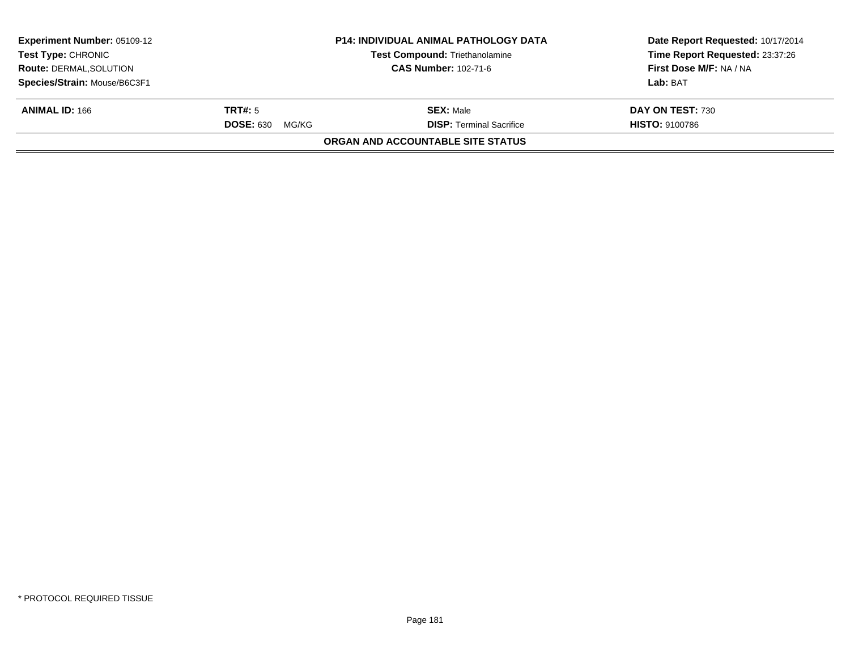| <b>Experiment Number: 05109-12</b><br><b>Test Type: CHRONIC</b><br><b>Route: DERMAL, SOLUTION</b><br>Species/Strain: Mouse/B6C3F1 |                                      | <b>P14: INDIVIDUAL ANIMAL PATHOLOGY DATA</b><br><b>Test Compound: Triethanolamine</b><br><b>CAS Number: 102-71-6</b> | Date Report Requested: 10/17/2014<br>Time Report Requested: 23:37:26<br>First Dose M/F: NA / NA<br>Lab: BAT |
|-----------------------------------------------------------------------------------------------------------------------------------|--------------------------------------|----------------------------------------------------------------------------------------------------------------------|-------------------------------------------------------------------------------------------------------------|
| <b>ANIMAL ID: 166</b>                                                                                                             | TRT#: 5<br><b>DOSE: 630</b><br>MG/KG | <b>SEX:</b> Male<br><b>DISP: Terminal Sacrifice</b>                                                                  | DAY ON TEST: 730<br><b>HISTO: 9100786</b>                                                                   |
|                                                                                                                                   |                                      | ORGAN AND ACCOUNTABLE SITE STATUS                                                                                    |                                                                                                             |
|                                                                                                                                   |                                      |                                                                                                                      |                                                                                                             |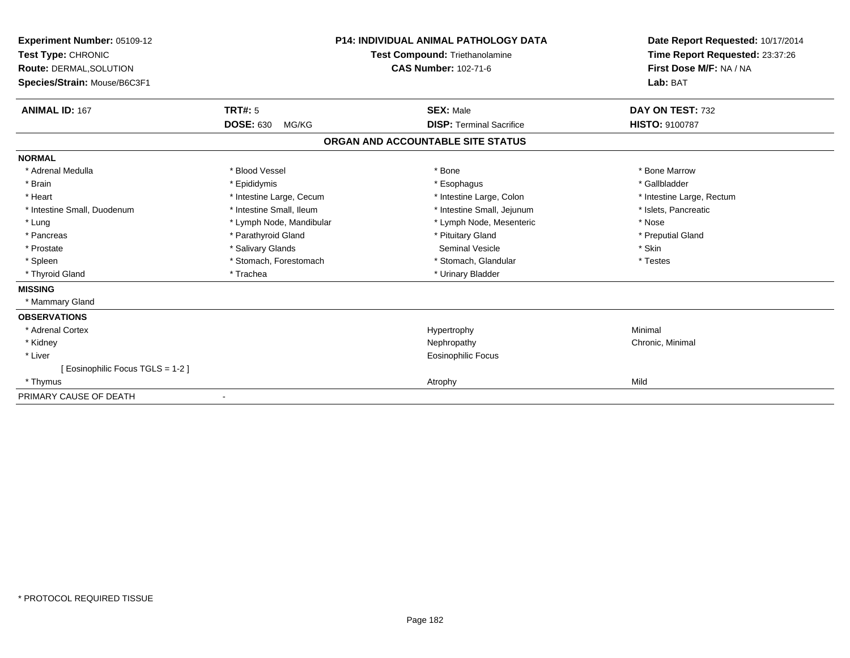| Experiment Number: 05109-12<br>Test Type: CHRONIC<br>Route: DERMAL, SOLUTION<br>Species/Strain: Mouse/B6C3F1 |                           | <b>P14: INDIVIDUAL ANIMAL PATHOLOGY DATA</b><br><b>Test Compound: Triethanolamine</b><br><b>CAS Number: 102-71-6</b> | Date Report Requested: 10/17/2014<br>Time Report Requested: 23:37:26<br>First Dose M/F: NA / NA<br>Lab: BAT |
|--------------------------------------------------------------------------------------------------------------|---------------------------|----------------------------------------------------------------------------------------------------------------------|-------------------------------------------------------------------------------------------------------------|
| <b>ANIMAL ID: 167</b>                                                                                        | <b>TRT#: 5</b>            | <b>SEX: Male</b>                                                                                                     | DAY ON TEST: 732                                                                                            |
|                                                                                                              | <b>DOSE: 630</b><br>MG/KG | <b>DISP: Terminal Sacrifice</b>                                                                                      | <b>HISTO: 9100787</b>                                                                                       |
|                                                                                                              |                           | ORGAN AND ACCOUNTABLE SITE STATUS                                                                                    |                                                                                                             |
| <b>NORMAL</b>                                                                                                |                           |                                                                                                                      |                                                                                                             |
| * Adrenal Medulla                                                                                            | * Blood Vessel            | * Bone                                                                                                               | * Bone Marrow                                                                                               |
| * Brain                                                                                                      | * Epididymis              | * Esophagus                                                                                                          | * Gallbladder                                                                                               |
| * Heart                                                                                                      | * Intestine Large, Cecum  | * Intestine Large, Colon                                                                                             | * Intestine Large, Rectum                                                                                   |
| * Intestine Small, Duodenum                                                                                  | * Intestine Small, Ileum  | * Intestine Small, Jejunum                                                                                           | * Islets, Pancreatic                                                                                        |
| * Lung                                                                                                       | * Lymph Node, Mandibular  | * Lymph Node, Mesenteric                                                                                             | * Nose                                                                                                      |
| * Pancreas                                                                                                   | * Parathyroid Gland       | * Pituitary Gland                                                                                                    | * Preputial Gland                                                                                           |
| * Prostate                                                                                                   | * Salivary Glands         | Seminal Vesicle                                                                                                      | * Skin                                                                                                      |
| * Spleen                                                                                                     | * Stomach, Forestomach    | * Stomach, Glandular                                                                                                 | * Testes                                                                                                    |
| * Thyroid Gland                                                                                              | * Trachea                 | * Urinary Bladder                                                                                                    |                                                                                                             |
| <b>MISSING</b>                                                                                               |                           |                                                                                                                      |                                                                                                             |
| * Mammary Gland                                                                                              |                           |                                                                                                                      |                                                                                                             |
| <b>OBSERVATIONS</b>                                                                                          |                           |                                                                                                                      |                                                                                                             |
| * Adrenal Cortex                                                                                             |                           | Hypertrophy                                                                                                          | Minimal                                                                                                     |
| * Kidney                                                                                                     |                           | Nephropathy                                                                                                          | Chronic, Minimal                                                                                            |
| * Liver                                                                                                      |                           | <b>Eosinophilic Focus</b>                                                                                            |                                                                                                             |
| [ Eosinophilic Focus TGLS = 1-2 ]                                                                            |                           |                                                                                                                      |                                                                                                             |
| * Thymus                                                                                                     |                           | Atrophy                                                                                                              | Mild                                                                                                        |
| PRIMARY CAUSE OF DEATH                                                                                       |                           |                                                                                                                      |                                                                                                             |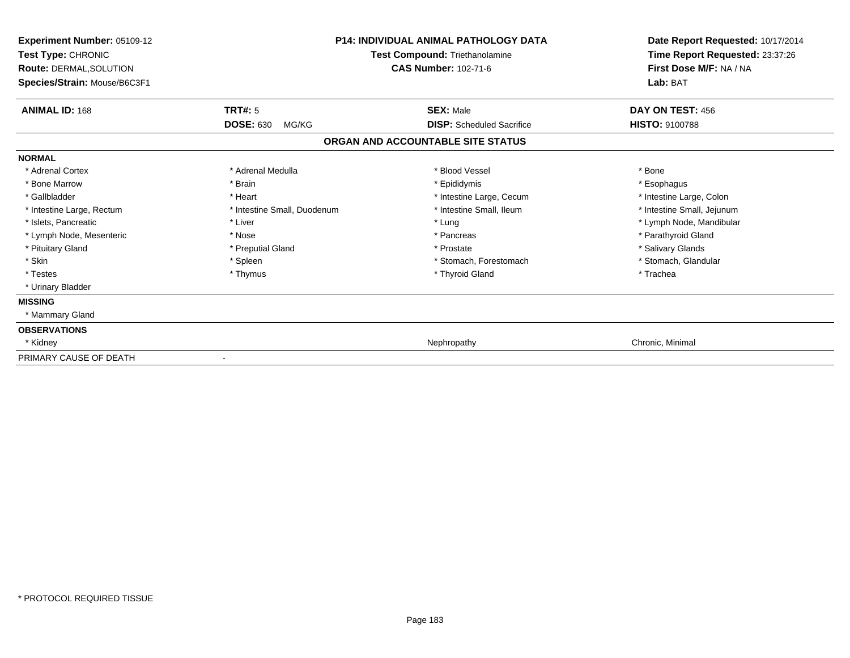| Experiment Number: 05109-12<br>Test Type: CHRONIC<br><b>Route: DERMAL, SOLUTION</b><br>Species/Strain: Mouse/B6C3F1 | <b>P14: INDIVIDUAL ANIMAL PATHOLOGY DATA</b><br>Test Compound: Triethanolamine<br><b>CAS Number: 102-71-6</b> |                                   | Date Report Requested: 10/17/2014<br>Time Report Requested: 23:37:26<br>First Dose M/F: NA / NA<br>Lab: BAT |
|---------------------------------------------------------------------------------------------------------------------|---------------------------------------------------------------------------------------------------------------|-----------------------------------|-------------------------------------------------------------------------------------------------------------|
| <b>ANIMAL ID: 168</b>                                                                                               | <b>TRT#: 5</b>                                                                                                | <b>SEX: Male</b>                  | DAY ON TEST: 456                                                                                            |
|                                                                                                                     | <b>DOSE: 630</b><br>MG/KG                                                                                     | <b>DISP:</b> Scheduled Sacrifice  | <b>HISTO: 9100788</b>                                                                                       |
|                                                                                                                     |                                                                                                               | ORGAN AND ACCOUNTABLE SITE STATUS |                                                                                                             |
| <b>NORMAL</b>                                                                                                       |                                                                                                               |                                   |                                                                                                             |
| * Adrenal Cortex                                                                                                    | * Adrenal Medulla                                                                                             | * Blood Vessel                    | * Bone                                                                                                      |
| * Bone Marrow                                                                                                       | * Brain                                                                                                       | * Epididymis                      | * Esophagus                                                                                                 |
| * Gallbladder                                                                                                       | * Heart                                                                                                       | * Intestine Large, Cecum          | * Intestine Large, Colon                                                                                    |
| * Intestine Large, Rectum                                                                                           | * Intestine Small, Duodenum                                                                                   | * Intestine Small, Ileum          | * Intestine Small, Jejunum                                                                                  |
| * Islets, Pancreatic                                                                                                | * Liver                                                                                                       | * Lung                            | * Lymph Node, Mandibular                                                                                    |
| * Lymph Node, Mesenteric                                                                                            | * Nose                                                                                                        | * Pancreas                        | * Parathyroid Gland                                                                                         |
| * Pituitary Gland                                                                                                   | * Preputial Gland                                                                                             | * Prostate                        | * Salivary Glands                                                                                           |
| * Skin                                                                                                              | * Spleen                                                                                                      | * Stomach, Forestomach            | * Stomach, Glandular                                                                                        |
| * Testes                                                                                                            | * Thymus                                                                                                      | * Thyroid Gland                   | * Trachea                                                                                                   |
| * Urinary Bladder                                                                                                   |                                                                                                               |                                   |                                                                                                             |
| <b>MISSING</b>                                                                                                      |                                                                                                               |                                   |                                                                                                             |
| * Mammary Gland                                                                                                     |                                                                                                               |                                   |                                                                                                             |
| <b>OBSERVATIONS</b>                                                                                                 |                                                                                                               |                                   |                                                                                                             |
| * Kidney                                                                                                            |                                                                                                               | Nephropathy                       | Chronic, Minimal                                                                                            |
| PRIMARY CAUSE OF DEATH                                                                                              |                                                                                                               |                                   |                                                                                                             |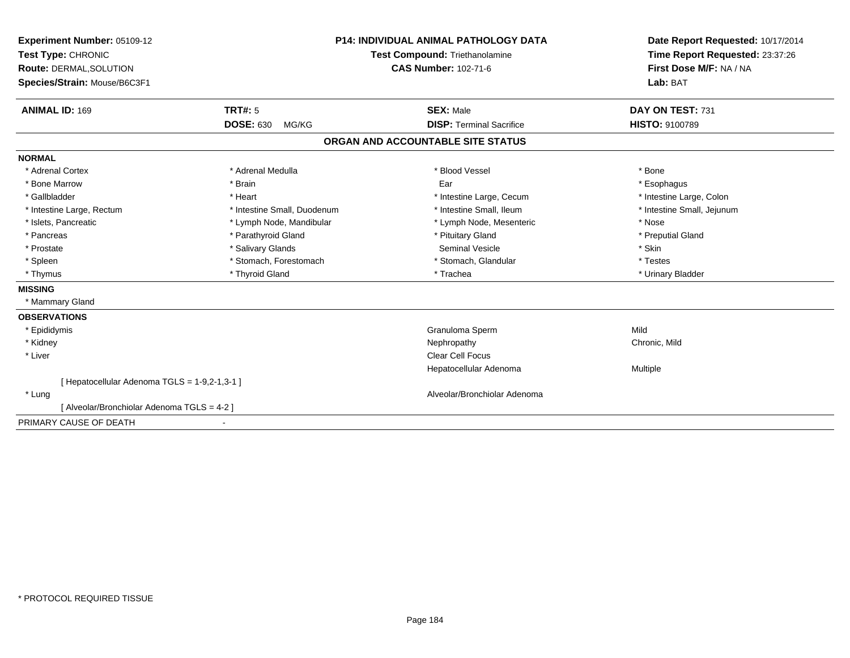| Experiment Number: 05109-12<br>Test Type: CHRONIC<br>Route: DERMAL, SOLUTION<br>Species/Strain: Mouse/B6C3F1 |                             | <b>P14: INDIVIDUAL ANIMAL PATHOLOGY DATA</b><br>Test Compound: Triethanolamine<br><b>CAS Number: 102-71-6</b> | Date Report Requested: 10/17/2014<br>Time Report Requested: 23:37:26<br>First Dose M/F: NA / NA<br>Lab: BAT |
|--------------------------------------------------------------------------------------------------------------|-----------------------------|---------------------------------------------------------------------------------------------------------------|-------------------------------------------------------------------------------------------------------------|
| <b>ANIMAL ID: 169</b>                                                                                        | <b>TRT#: 5</b>              | <b>SEX: Male</b>                                                                                              | DAY ON TEST: 731                                                                                            |
|                                                                                                              | <b>DOSE: 630</b><br>MG/KG   | <b>DISP: Terminal Sacrifice</b>                                                                               | <b>HISTO: 9100789</b>                                                                                       |
|                                                                                                              |                             | ORGAN AND ACCOUNTABLE SITE STATUS                                                                             |                                                                                                             |
| <b>NORMAL</b>                                                                                                |                             |                                                                                                               |                                                                                                             |
| * Adrenal Cortex                                                                                             | * Adrenal Medulla           | * Blood Vessel                                                                                                | * Bone                                                                                                      |
| * Bone Marrow                                                                                                | * Brain                     | Ear                                                                                                           | * Esophagus                                                                                                 |
| * Gallbladder                                                                                                | * Heart                     | * Intestine Large, Cecum                                                                                      | * Intestine Large, Colon                                                                                    |
| * Intestine Large, Rectum                                                                                    | * Intestine Small, Duodenum | * Intestine Small, Ileum                                                                                      | * Intestine Small, Jejunum                                                                                  |
| * Islets, Pancreatic                                                                                         | * Lymph Node, Mandibular    | * Lymph Node, Mesenteric                                                                                      | * Nose                                                                                                      |
| * Pancreas                                                                                                   | * Parathyroid Gland         | * Pituitary Gland                                                                                             | * Preputial Gland                                                                                           |
| * Prostate                                                                                                   | * Salivary Glands           | <b>Seminal Vesicle</b>                                                                                        | * Skin                                                                                                      |
| * Spleen                                                                                                     | * Stomach, Forestomach      | * Stomach, Glandular                                                                                          | * Testes                                                                                                    |
| * Thymus                                                                                                     | * Thyroid Gland             | * Trachea                                                                                                     | * Urinary Bladder                                                                                           |
| <b>MISSING</b>                                                                                               |                             |                                                                                                               |                                                                                                             |
| * Mammary Gland                                                                                              |                             |                                                                                                               |                                                                                                             |
| <b>OBSERVATIONS</b>                                                                                          |                             |                                                                                                               |                                                                                                             |
| * Epididymis                                                                                                 |                             | Granuloma Sperm                                                                                               | Mild                                                                                                        |
| * Kidney                                                                                                     |                             | Nephropathy                                                                                                   | Chronic, Mild                                                                                               |
| * Liver                                                                                                      |                             | <b>Clear Cell Focus</b>                                                                                       |                                                                                                             |
|                                                                                                              |                             | Hepatocellular Adenoma                                                                                        | Multiple                                                                                                    |
| [ Hepatocellular Adenoma TGLS = 1-9,2-1,3-1 ]                                                                |                             |                                                                                                               |                                                                                                             |
| * Lung                                                                                                       |                             | Alveolar/Bronchiolar Adenoma                                                                                  |                                                                                                             |
| [ Alveolar/Bronchiolar Adenoma TGLS = 4-2 ]                                                                  |                             |                                                                                                               |                                                                                                             |
| PRIMARY CAUSE OF DEATH                                                                                       |                             |                                                                                                               |                                                                                                             |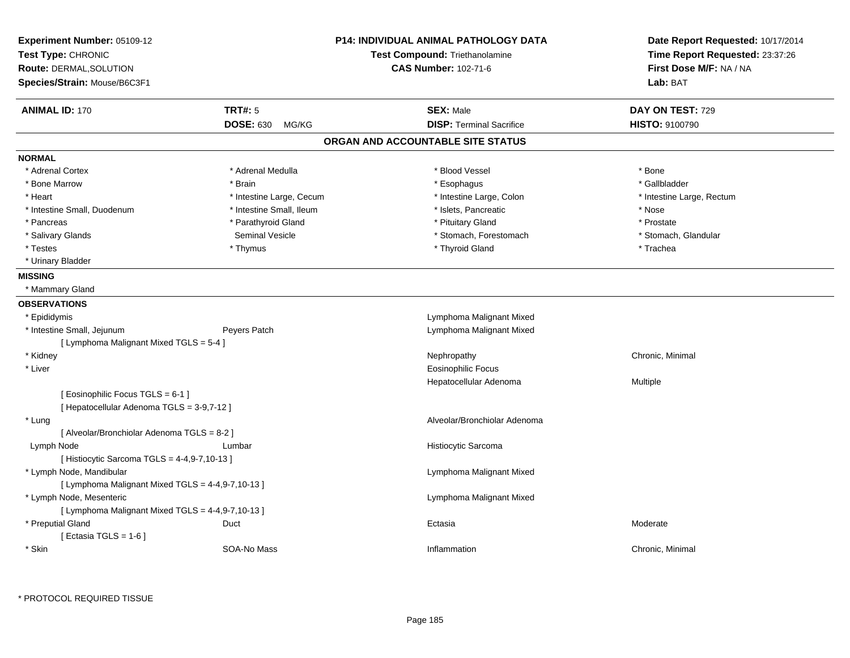| <b>Experiment Number: 05109-12</b><br>Test Type: CHRONIC<br><b>Route: DERMAL, SOLUTION</b><br>Species/Strain: Mouse/B6C3F1 | <b>P14: INDIVIDUAL ANIMAL PATHOLOGY DATA</b><br>Test Compound: Triethanolamine<br><b>CAS Number: 102-71-6</b> | Date Report Requested: 10/17/2014<br>Time Report Requested: 23:37:26<br>First Dose M/F: NA / NA<br>Lab: BAT |
|----------------------------------------------------------------------------------------------------------------------------|---------------------------------------------------------------------------------------------------------------|-------------------------------------------------------------------------------------------------------------|
| <b>TRT#: 5</b><br><b>ANIMAL ID: 170</b>                                                                                    | <b>SEX: Male</b>                                                                                              | DAY ON TEST: 729                                                                                            |
| <b>DOSE: 630</b>                                                                                                           | <b>DISP: Terminal Sacrifice</b><br>MG/KG                                                                      | HISTO: 9100790                                                                                              |
|                                                                                                                            | ORGAN AND ACCOUNTABLE SITE STATUS                                                                             |                                                                                                             |
| <b>NORMAL</b>                                                                                                              |                                                                                                               |                                                                                                             |
| * Adrenal Cortex<br>* Adrenal Medulla                                                                                      | * Blood Vessel                                                                                                | * Bone                                                                                                      |
| * Bone Marrow<br>* Brain                                                                                                   | * Esophagus                                                                                                   | * Gallbladder                                                                                               |
| * Heart<br>* Intestine Large, Cecum                                                                                        | * Intestine Large, Colon                                                                                      | * Intestine Large, Rectum                                                                                   |
| * Intestine Small, Duodenum<br>* Intestine Small, Ileum                                                                    | * Islets, Pancreatic                                                                                          | * Nose                                                                                                      |
| * Parathyroid Gland<br>* Pancreas                                                                                          | * Pituitary Gland                                                                                             | * Prostate                                                                                                  |
| * Salivary Glands<br><b>Seminal Vesicle</b>                                                                                | * Stomach, Forestomach                                                                                        | * Stomach, Glandular                                                                                        |
| * Testes<br>* Thymus                                                                                                       | * Thyroid Gland                                                                                               | * Trachea                                                                                                   |
| * Urinary Bladder                                                                                                          |                                                                                                               |                                                                                                             |
| <b>MISSING</b>                                                                                                             |                                                                                                               |                                                                                                             |
| * Mammary Gland                                                                                                            |                                                                                                               |                                                                                                             |
| <b>OBSERVATIONS</b>                                                                                                        |                                                                                                               |                                                                                                             |
| * Epididymis                                                                                                               | Lymphoma Malignant Mixed                                                                                      |                                                                                                             |
| * Intestine Small, Jejunum<br>Peyers Patch                                                                                 | Lymphoma Malignant Mixed                                                                                      |                                                                                                             |
| [ Lymphoma Malignant Mixed TGLS = 5-4 ]                                                                                    |                                                                                                               |                                                                                                             |
| * Kidney                                                                                                                   | Nephropathy                                                                                                   | Chronic, Minimal                                                                                            |
| * Liver                                                                                                                    | <b>Eosinophilic Focus</b>                                                                                     |                                                                                                             |
|                                                                                                                            | Hepatocellular Adenoma                                                                                        | Multiple                                                                                                    |
| [Eosinophilic Focus TGLS = 6-1]<br>[ Hepatocellular Adenoma TGLS = 3-9,7-12 ]                                              |                                                                                                               |                                                                                                             |
| * Lung                                                                                                                     | Alveolar/Bronchiolar Adenoma                                                                                  |                                                                                                             |
| [ Alveolar/Bronchiolar Adenoma TGLS = 8-2 ]                                                                                |                                                                                                               |                                                                                                             |
| Lymph Node<br>Lumbar                                                                                                       | Histiocytic Sarcoma                                                                                           |                                                                                                             |
| [ Histiocytic Sarcoma TGLS = 4-4,9-7,10-13 ]                                                                               |                                                                                                               |                                                                                                             |
| * Lymph Node, Mandibular                                                                                                   | Lymphoma Malignant Mixed                                                                                      |                                                                                                             |
| [ Lymphoma Malignant Mixed TGLS = 4-4,9-7,10-13 ]                                                                          |                                                                                                               |                                                                                                             |
| * Lymph Node, Mesenteric                                                                                                   | Lymphoma Malignant Mixed                                                                                      |                                                                                                             |
| [ Lymphoma Malignant Mixed TGLS = 4-4,9-7,10-13 ]                                                                          |                                                                                                               |                                                                                                             |
| * Preputial Gland<br>Duct                                                                                                  | Ectasia                                                                                                       | Moderate                                                                                                    |
| [ Ectasia TGLS = 1-6 ]                                                                                                     |                                                                                                               |                                                                                                             |
| * Skin<br>SOA-No Mass                                                                                                      | Inflammation                                                                                                  | Chronic, Minimal                                                                                            |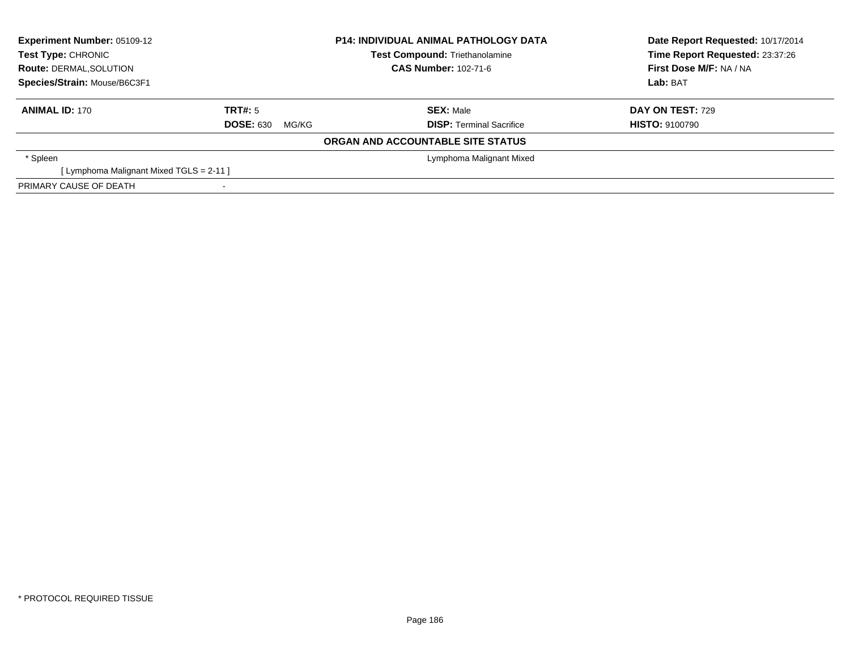| <b>Experiment Number: 05109-12</b><br>Test Type: CHRONIC |                           | <b>P14: INDIVIDUAL ANIMAL PATHOLOGY DATA</b><br><b>Test Compound: Triethanolamine</b> | Date Report Requested: 10/17/2014<br>Time Report Requested: 23:37:26 |  |
|----------------------------------------------------------|---------------------------|---------------------------------------------------------------------------------------|----------------------------------------------------------------------|--|
| <b>Route: DERMAL, SOLUTION</b>                           |                           | <b>CAS Number: 102-71-6</b>                                                           | First Dose M/F: NA / NA                                              |  |
| Species/Strain: Mouse/B6C3F1                             |                           |                                                                                       | Lab: BAT                                                             |  |
| <b>ANIMAL ID: 170</b>                                    | TRT#: 5                   | <b>SEX: Male</b>                                                                      | <b>DAY ON TEST: 729</b>                                              |  |
|                                                          | <b>DOSE: 630</b><br>MG/KG | <b>DISP:</b> Terminal Sacrifice                                                       | <b>HISTO: 9100790</b>                                                |  |
|                                                          |                           | ORGAN AND ACCOUNTABLE SITE STATUS                                                     |                                                                      |  |
| * Spleen                                                 |                           | Lymphoma Malignant Mixed                                                              |                                                                      |  |
| [ Lymphoma Malignant Mixed TGLS = 2-11 ]                 |                           |                                                                                       |                                                                      |  |
| PRIMARY CAUSE OF DEATH                                   |                           |                                                                                       |                                                                      |  |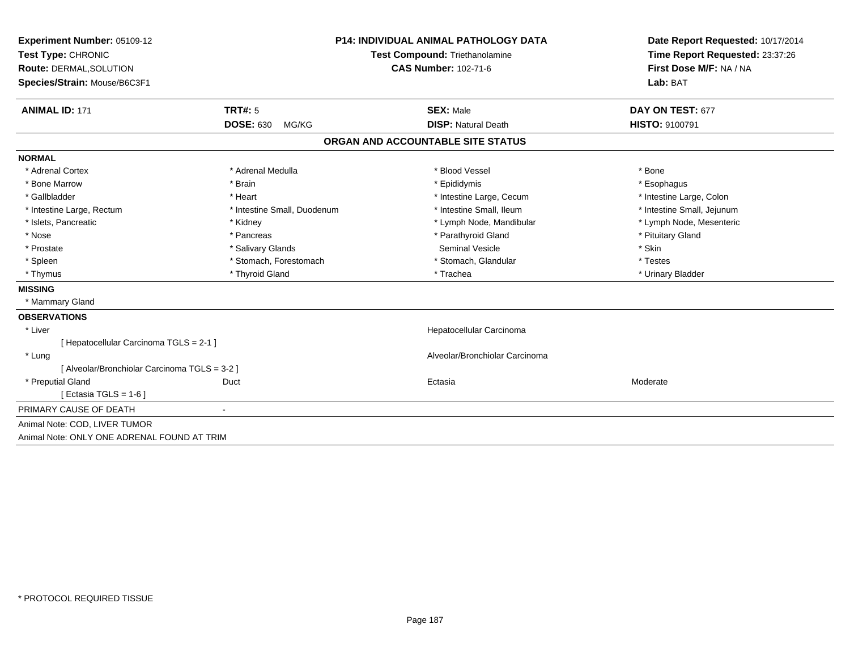| Experiment Number: 05109-12<br>Test Type: CHRONIC<br><b>Route: DERMAL, SOLUTION</b><br>Species/Strain: Mouse/B6C3F1 |                             | <b>P14: INDIVIDUAL ANIMAL PATHOLOGY DATA</b><br>Test Compound: Triethanolamine<br><b>CAS Number: 102-71-6</b> | Date Report Requested: 10/17/2014<br>Time Report Requested: 23:37:26<br>First Dose M/F: NA / NA<br>Lab: BAT |
|---------------------------------------------------------------------------------------------------------------------|-----------------------------|---------------------------------------------------------------------------------------------------------------|-------------------------------------------------------------------------------------------------------------|
| <b>ANIMAL ID: 171</b>                                                                                               | <b>TRT#: 5</b>              | <b>SEX: Male</b>                                                                                              | DAY ON TEST: 677                                                                                            |
|                                                                                                                     | <b>DOSE: 630</b><br>MG/KG   | <b>DISP: Natural Death</b>                                                                                    | <b>HISTO: 9100791</b>                                                                                       |
|                                                                                                                     |                             | ORGAN AND ACCOUNTABLE SITE STATUS                                                                             |                                                                                                             |
| <b>NORMAL</b>                                                                                                       |                             |                                                                                                               |                                                                                                             |
| * Adrenal Cortex                                                                                                    | * Adrenal Medulla           | * Blood Vessel                                                                                                | * Bone                                                                                                      |
| * Bone Marrow                                                                                                       | * Brain                     | * Epididymis                                                                                                  | * Esophagus                                                                                                 |
| * Gallbladder                                                                                                       | * Heart                     | * Intestine Large, Cecum                                                                                      | * Intestine Large, Colon                                                                                    |
| * Intestine Large, Rectum                                                                                           | * Intestine Small, Duodenum | * Intestine Small, Ileum                                                                                      | * Intestine Small, Jejunum                                                                                  |
| * Islets, Pancreatic                                                                                                | * Kidney                    | * Lymph Node, Mandibular                                                                                      | * Lymph Node, Mesenteric                                                                                    |
| * Nose                                                                                                              | * Pancreas                  | * Parathyroid Gland                                                                                           | * Pituitary Gland                                                                                           |
| * Prostate                                                                                                          | * Salivary Glands           | <b>Seminal Vesicle</b>                                                                                        | * Skin                                                                                                      |
| * Spleen                                                                                                            | * Stomach, Forestomach      | * Stomach, Glandular                                                                                          | * Testes                                                                                                    |
| * Thymus                                                                                                            | * Thyroid Gland             | * Trachea                                                                                                     | * Urinary Bladder                                                                                           |
| <b>MISSING</b>                                                                                                      |                             |                                                                                                               |                                                                                                             |
| * Mammary Gland                                                                                                     |                             |                                                                                                               |                                                                                                             |
| <b>OBSERVATIONS</b>                                                                                                 |                             |                                                                                                               |                                                                                                             |
| * Liver                                                                                                             |                             | Hepatocellular Carcinoma                                                                                      |                                                                                                             |
| [ Hepatocellular Carcinoma TGLS = 2-1 ]                                                                             |                             |                                                                                                               |                                                                                                             |
| * Lung                                                                                                              |                             | Alveolar/Bronchiolar Carcinoma                                                                                |                                                                                                             |
| [ Alveolar/Bronchiolar Carcinoma TGLS = 3-2 ]                                                                       |                             |                                                                                                               |                                                                                                             |
| * Preputial Gland                                                                                                   | Duct                        | Ectasia                                                                                                       | Moderate                                                                                                    |
| [ Ectasia TGLS = $1-6$ ]                                                                                            |                             |                                                                                                               |                                                                                                             |
| PRIMARY CAUSE OF DEATH                                                                                              | $\blacksquare$              |                                                                                                               |                                                                                                             |
| Animal Note: COD, LIVER TUMOR                                                                                       |                             |                                                                                                               |                                                                                                             |
| Animal Note: ONLY ONE ADRENAL FOUND AT TRIM                                                                         |                             |                                                                                                               |                                                                                                             |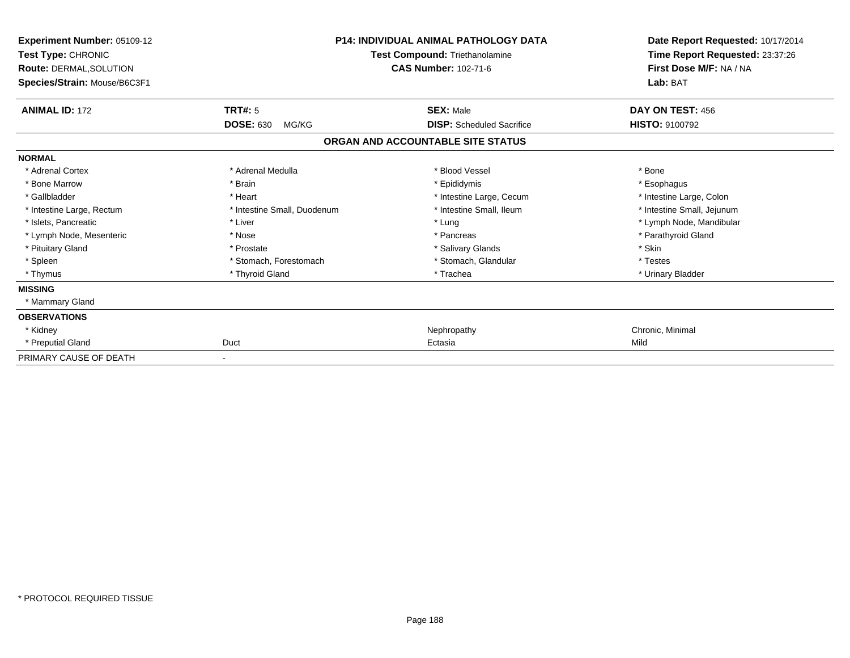| Experiment Number: 05109-12<br>Test Type: CHRONIC<br>Route: DERMAL, SOLUTION<br>Species/Strain: Mouse/B6C3F1 |                             | <b>P14: INDIVIDUAL ANIMAL PATHOLOGY DATA</b><br>Test Compound: Triethanolamine<br><b>CAS Number: 102-71-6</b> | Date Report Requested: 10/17/2014<br>Time Report Requested: 23:37:26<br>First Dose M/F: NA / NA<br>Lab: BAT |
|--------------------------------------------------------------------------------------------------------------|-----------------------------|---------------------------------------------------------------------------------------------------------------|-------------------------------------------------------------------------------------------------------------|
| <b>ANIMAL ID: 172</b>                                                                                        | <b>TRT#: 5</b>              | <b>SEX: Male</b>                                                                                              | DAY ON TEST: 456                                                                                            |
|                                                                                                              | <b>DOSE: 630</b><br>MG/KG   | <b>DISP:</b> Scheduled Sacrifice                                                                              | <b>HISTO: 9100792</b>                                                                                       |
|                                                                                                              |                             | ORGAN AND ACCOUNTABLE SITE STATUS                                                                             |                                                                                                             |
| <b>NORMAL</b>                                                                                                |                             |                                                                                                               |                                                                                                             |
| * Adrenal Cortex                                                                                             | * Adrenal Medulla           | * Blood Vessel                                                                                                | * Bone                                                                                                      |
| * Bone Marrow                                                                                                | * Brain                     | * Epididymis                                                                                                  | * Esophagus                                                                                                 |
| * Gallbladder                                                                                                | * Heart                     | * Intestine Large, Cecum                                                                                      | * Intestine Large, Colon                                                                                    |
| * Intestine Large, Rectum                                                                                    | * Intestine Small, Duodenum | * Intestine Small, Ileum                                                                                      | * Intestine Small, Jejunum                                                                                  |
| * Islets, Pancreatic                                                                                         | * Liver                     | * Lung                                                                                                        | * Lymph Node, Mandibular                                                                                    |
| * Lymph Node, Mesenteric                                                                                     | * Nose                      | * Pancreas                                                                                                    | * Parathyroid Gland                                                                                         |
| * Pituitary Gland                                                                                            | * Prostate                  | * Salivary Glands                                                                                             | * Skin                                                                                                      |
| * Spleen                                                                                                     | * Stomach, Forestomach      | * Stomach, Glandular                                                                                          | * Testes                                                                                                    |
| * Thymus                                                                                                     | * Thyroid Gland             | * Trachea                                                                                                     | * Urinary Bladder                                                                                           |
| <b>MISSING</b>                                                                                               |                             |                                                                                                               |                                                                                                             |
| * Mammary Gland                                                                                              |                             |                                                                                                               |                                                                                                             |
| <b>OBSERVATIONS</b>                                                                                          |                             |                                                                                                               |                                                                                                             |
| * Kidney                                                                                                     |                             | Nephropathy                                                                                                   | Chronic, Minimal                                                                                            |
| * Preputial Gland                                                                                            | Duct                        | Ectasia                                                                                                       | Mild                                                                                                        |
| PRIMARY CAUSE OF DEATH                                                                                       | $\blacksquare$              |                                                                                                               |                                                                                                             |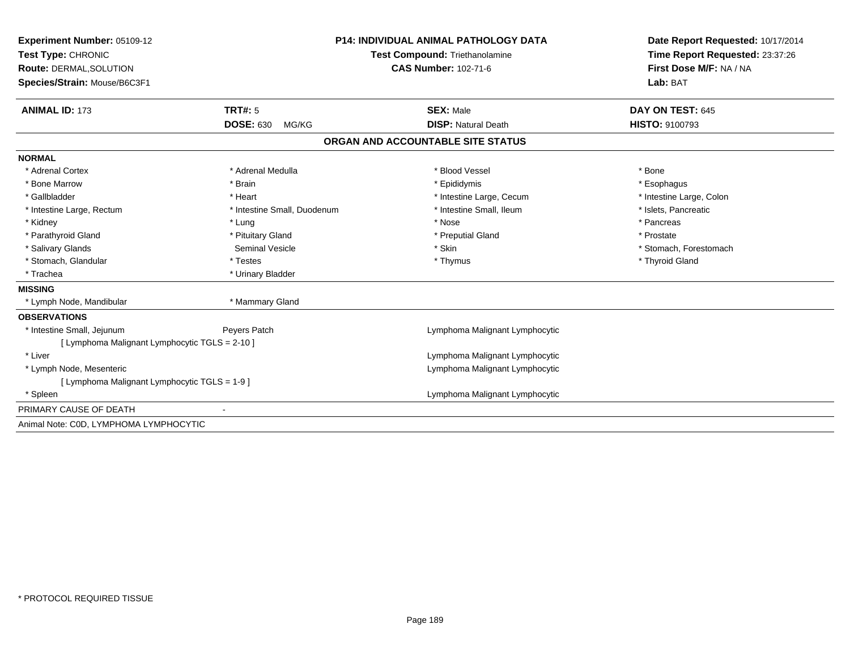| <b>Experiment Number: 05109-12</b>             |                                       | P14: INDIVIDUAL ANIMAL PATHOLOGY DATA | Date Report Requested: 10/17/2014 |  |
|------------------------------------------------|---------------------------------------|---------------------------------------|-----------------------------------|--|
| Test Type: CHRONIC                             | <b>Test Compound: Triethanolamine</b> |                                       | Time Report Requested: 23:37:26   |  |
| <b>Route: DERMAL, SOLUTION</b>                 |                                       | <b>CAS Number: 102-71-6</b>           | First Dose M/F: NA / NA           |  |
| Species/Strain: Mouse/B6C3F1                   |                                       |                                       | Lab: BAT                          |  |
| <b>ANIMAL ID: 173</b>                          | TRT#: 5                               | <b>SEX: Male</b>                      | DAY ON TEST: 645                  |  |
|                                                | <b>DOSE: 630</b><br>MG/KG             | <b>DISP: Natural Death</b>            | HISTO: 9100793                    |  |
|                                                |                                       | ORGAN AND ACCOUNTABLE SITE STATUS     |                                   |  |
| <b>NORMAL</b>                                  |                                       |                                       |                                   |  |
| * Adrenal Cortex                               | * Adrenal Medulla                     | * Blood Vessel                        | * Bone                            |  |
| * Bone Marrow                                  | * Brain                               | * Epididymis                          | * Esophagus                       |  |
| * Gallbladder                                  | * Heart                               | * Intestine Large, Cecum              | * Intestine Large, Colon          |  |
| * Intestine Large, Rectum                      | * Intestine Small, Duodenum           | * Intestine Small, Ileum              | * Islets, Pancreatic              |  |
| * Kidney                                       | * Lung                                | * Nose                                | * Pancreas                        |  |
| * Parathyroid Gland                            | * Pituitary Gland                     | * Preputial Gland                     | * Prostate                        |  |
| * Salivary Glands                              | <b>Seminal Vesicle</b>                | * Skin                                | * Stomach, Forestomach            |  |
| * Stomach, Glandular                           | * Testes                              | * Thymus                              | * Thyroid Gland                   |  |
| * Trachea                                      | * Urinary Bladder                     |                                       |                                   |  |
| <b>MISSING</b>                                 |                                       |                                       |                                   |  |
| * Lymph Node, Mandibular                       | * Mammary Gland                       |                                       |                                   |  |
| <b>OBSERVATIONS</b>                            |                                       |                                       |                                   |  |
| * Intestine Small, Jejunum                     | Peyers Patch                          | Lymphoma Malignant Lymphocytic        |                                   |  |
| [ Lymphoma Malignant Lymphocytic TGLS = 2-10 ] |                                       |                                       |                                   |  |
| * Liver                                        |                                       | Lymphoma Malignant Lymphocytic        |                                   |  |
| * Lymph Node, Mesenteric                       |                                       | Lymphoma Malignant Lymphocytic        |                                   |  |
| [ Lymphoma Malignant Lymphocytic TGLS = 1-9 ]  |                                       |                                       |                                   |  |
| * Spleen                                       |                                       | Lymphoma Malignant Lymphocytic        |                                   |  |
| PRIMARY CAUSE OF DEATH                         |                                       |                                       |                                   |  |
| Animal Note: C0D, LYMPHOMA LYMPHOCYTIC         |                                       |                                       |                                   |  |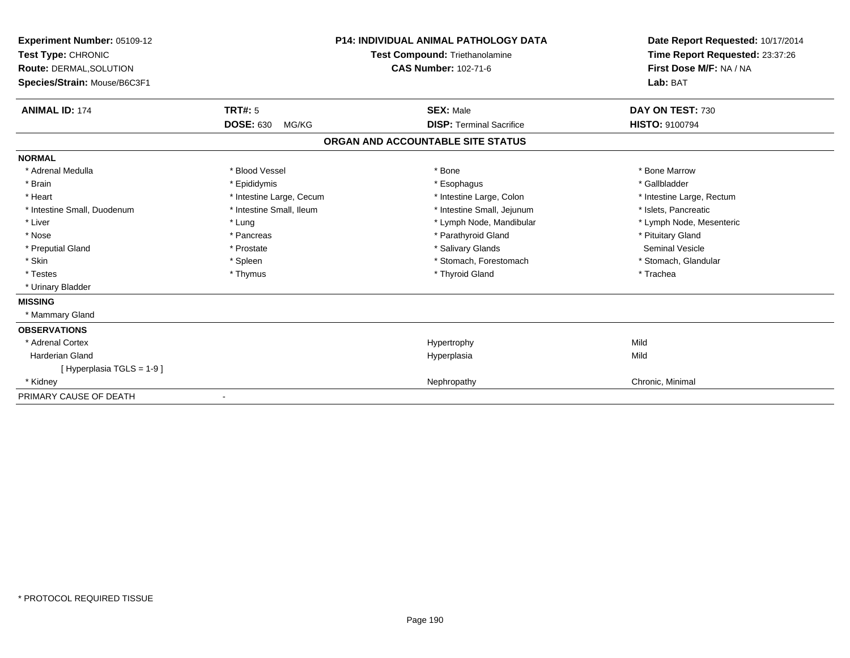| <b>Experiment Number: 05109-12</b><br>Test Type: CHRONIC<br>Route: DERMAL, SOLUTION<br>Species/Strain: Mouse/B6C3F1 |                           | <b>P14: INDIVIDUAL ANIMAL PATHOLOGY DATA</b><br><b>Test Compound: Triethanolamine</b><br><b>CAS Number: 102-71-6</b> | Date Report Requested: 10/17/2014<br>Time Report Requested: 23:37:26<br>First Dose M/F: NA / NA<br>Lab: BAT |
|---------------------------------------------------------------------------------------------------------------------|---------------------------|----------------------------------------------------------------------------------------------------------------------|-------------------------------------------------------------------------------------------------------------|
| <b>ANIMAL ID: 174</b>                                                                                               | <b>TRT#: 5</b>            | <b>SEX: Male</b>                                                                                                     | DAY ON TEST: 730                                                                                            |
|                                                                                                                     | <b>DOSE: 630</b><br>MG/KG | <b>DISP: Terminal Sacrifice</b>                                                                                      | <b>HISTO: 9100794</b>                                                                                       |
|                                                                                                                     |                           | ORGAN AND ACCOUNTABLE SITE STATUS                                                                                    |                                                                                                             |
| <b>NORMAL</b>                                                                                                       |                           |                                                                                                                      |                                                                                                             |
| * Adrenal Medulla                                                                                                   | * Blood Vessel            | * Bone                                                                                                               | * Bone Marrow                                                                                               |
| * Brain                                                                                                             | * Epididymis              | * Esophagus                                                                                                          | * Gallbladder                                                                                               |
| * Heart                                                                                                             | * Intestine Large, Cecum  | * Intestine Large, Colon                                                                                             | * Intestine Large, Rectum                                                                                   |
| * Intestine Small, Duodenum                                                                                         | * Intestine Small, Ileum  | * Intestine Small, Jejunum                                                                                           | * Islets, Pancreatic                                                                                        |
| * Liver                                                                                                             | * Lung                    | * Lymph Node, Mandibular                                                                                             | * Lymph Node, Mesenteric                                                                                    |
| * Nose                                                                                                              | * Pancreas                | * Parathyroid Gland                                                                                                  | * Pituitary Gland                                                                                           |
| * Preputial Gland                                                                                                   | * Prostate                | * Salivary Glands                                                                                                    | Seminal Vesicle                                                                                             |
| * Skin                                                                                                              | * Spleen                  | * Stomach, Forestomach                                                                                               | * Stomach, Glandular                                                                                        |
| * Testes                                                                                                            | * Thymus                  | * Thyroid Gland                                                                                                      | * Trachea                                                                                                   |
| * Urinary Bladder                                                                                                   |                           |                                                                                                                      |                                                                                                             |
| <b>MISSING</b>                                                                                                      |                           |                                                                                                                      |                                                                                                             |
| * Mammary Gland                                                                                                     |                           |                                                                                                                      |                                                                                                             |
| <b>OBSERVATIONS</b>                                                                                                 |                           |                                                                                                                      |                                                                                                             |
| * Adrenal Cortex                                                                                                    |                           | Hypertrophy                                                                                                          | Mild                                                                                                        |
| <b>Harderian Gland</b>                                                                                              |                           | Hyperplasia                                                                                                          | Mild                                                                                                        |
| [Hyperplasia TGLS = 1-9]                                                                                            |                           |                                                                                                                      |                                                                                                             |
| * Kidney                                                                                                            |                           | Nephropathy                                                                                                          | Chronic, Minimal                                                                                            |
| PRIMARY CAUSE OF DEATH                                                                                              |                           |                                                                                                                      |                                                                                                             |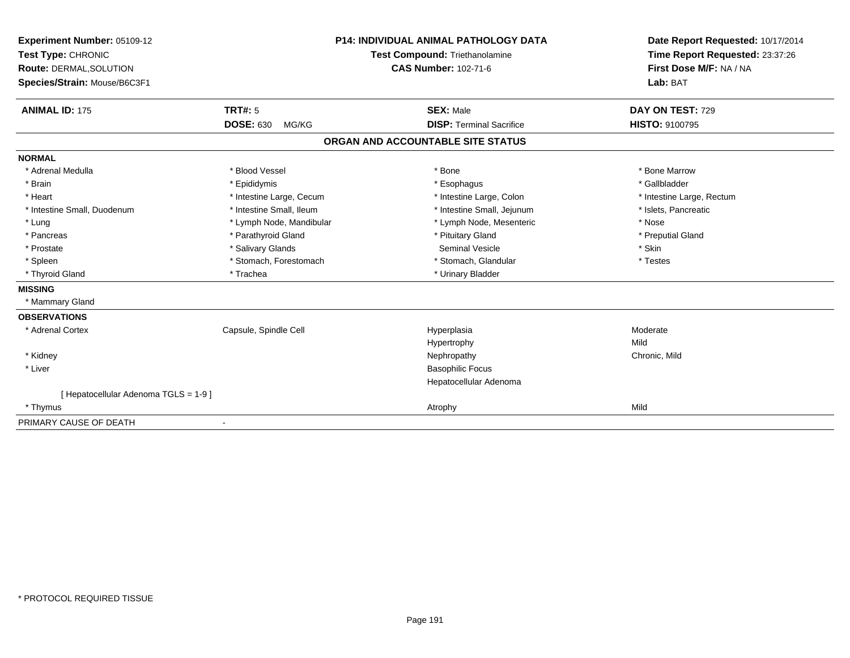| Experiment Number: 05109-12<br>Test Type: CHRONIC<br>Route: DERMAL, SOLUTION | <b>P14: INDIVIDUAL ANIMAL PATHOLOGY DATA</b><br>Test Compound: Triethanolamine<br><b>CAS Number: 102-71-6</b> |                                   | Date Report Requested: 10/17/2014<br>Time Report Requested: 23:37:26<br>First Dose M/F: NA / NA |
|------------------------------------------------------------------------------|---------------------------------------------------------------------------------------------------------------|-----------------------------------|-------------------------------------------------------------------------------------------------|
| Species/Strain: Mouse/B6C3F1                                                 |                                                                                                               |                                   | Lab: BAT                                                                                        |
| <b>ANIMAL ID: 175</b>                                                        | <b>TRT#: 5</b>                                                                                                | <b>SEX: Male</b>                  | DAY ON TEST: 729                                                                                |
|                                                                              | <b>DOSE: 630</b><br>MG/KG                                                                                     | <b>DISP: Terminal Sacrifice</b>   | <b>HISTO: 9100795</b>                                                                           |
|                                                                              |                                                                                                               | ORGAN AND ACCOUNTABLE SITE STATUS |                                                                                                 |
| <b>NORMAL</b>                                                                |                                                                                                               |                                   |                                                                                                 |
| * Adrenal Medulla                                                            | * Blood Vessel                                                                                                | * Bone                            | * Bone Marrow                                                                                   |
| * Brain                                                                      | * Epididymis                                                                                                  | * Esophagus                       | * Gallbladder                                                                                   |
| * Heart                                                                      | * Intestine Large, Cecum                                                                                      | * Intestine Large, Colon          | * Intestine Large, Rectum                                                                       |
| * Intestine Small, Duodenum                                                  | * Intestine Small, Ileum                                                                                      | * Intestine Small, Jejunum        | * Islets, Pancreatic                                                                            |
| * Lung                                                                       | * Lymph Node, Mandibular                                                                                      | * Lymph Node, Mesenteric          | * Nose                                                                                          |
| * Pancreas                                                                   | * Parathyroid Gland                                                                                           | * Pituitary Gland                 | * Preputial Gland                                                                               |
| * Prostate                                                                   | * Salivary Glands                                                                                             | <b>Seminal Vesicle</b>            | * Skin                                                                                          |
| * Spleen                                                                     | * Stomach, Forestomach                                                                                        | * Stomach, Glandular              | * Testes                                                                                        |
| * Thyroid Gland                                                              | * Trachea                                                                                                     | * Urinary Bladder                 |                                                                                                 |
| <b>MISSING</b>                                                               |                                                                                                               |                                   |                                                                                                 |
| * Mammary Gland                                                              |                                                                                                               |                                   |                                                                                                 |
| <b>OBSERVATIONS</b>                                                          |                                                                                                               |                                   |                                                                                                 |
| * Adrenal Cortex                                                             | Capsule, Spindle Cell                                                                                         | Hyperplasia                       | Moderate                                                                                        |
|                                                                              |                                                                                                               | Hypertrophy                       | Mild                                                                                            |
| * Kidney                                                                     |                                                                                                               | Nephropathy                       | Chronic, Mild                                                                                   |
| * Liver                                                                      |                                                                                                               | <b>Basophilic Focus</b>           |                                                                                                 |
|                                                                              |                                                                                                               | Hepatocellular Adenoma            |                                                                                                 |
| [ Hepatocellular Adenoma TGLS = 1-9 ]                                        |                                                                                                               |                                   |                                                                                                 |
| * Thymus                                                                     |                                                                                                               | Atrophy                           | Mild                                                                                            |
| PRIMARY CAUSE OF DEATH                                                       | $\overline{\phantom{a}}$                                                                                      |                                   |                                                                                                 |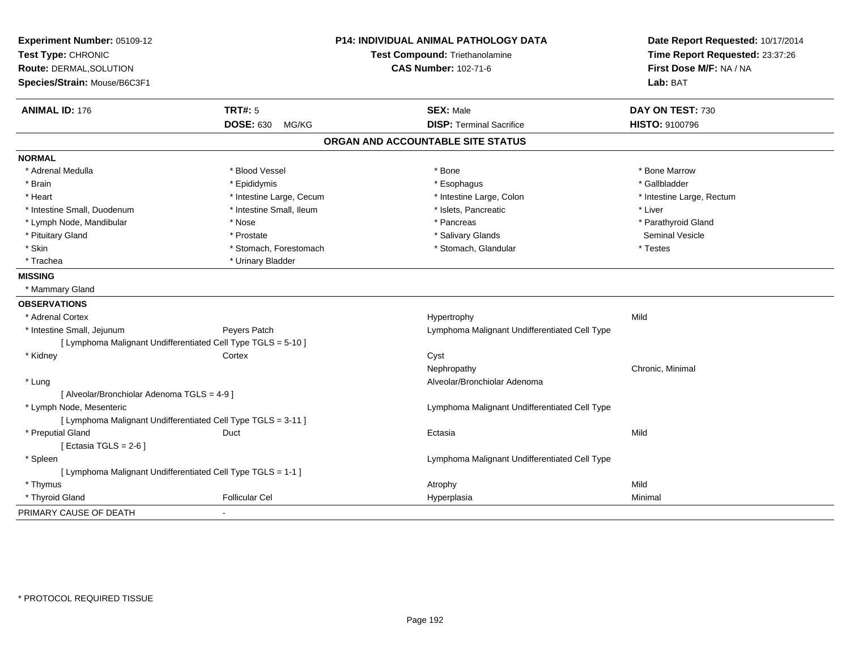| Experiment Number: 05109-12                 |                                                               | <b>P14: INDIVIDUAL ANIMAL PATHOLOGY DATA</b>  | Date Report Requested: 10/17/2014 |
|---------------------------------------------|---------------------------------------------------------------|-----------------------------------------------|-----------------------------------|
| Test Type: CHRONIC                          |                                                               | <b>Test Compound: Triethanolamine</b>         | Time Report Requested: 23:37:26   |
| <b>Route: DERMAL, SOLUTION</b>              |                                                               | <b>CAS Number: 102-71-6</b>                   | First Dose M/F: NA / NA           |
| Species/Strain: Mouse/B6C3F1                |                                                               |                                               | Lab: BAT                          |
| <b>ANIMAL ID: 176</b>                       | TRT#: 5                                                       | <b>SEX: Male</b>                              | DAY ON TEST: 730                  |
|                                             | <b>DOSE: 630</b><br>MG/KG                                     | <b>DISP: Terminal Sacrifice</b>               | HISTO: 9100796                    |
|                                             |                                                               | ORGAN AND ACCOUNTABLE SITE STATUS             |                                   |
| <b>NORMAL</b>                               |                                                               |                                               |                                   |
| * Adrenal Medulla                           | * Blood Vessel                                                | * Bone                                        | * Bone Marrow                     |
| * Brain                                     | * Epididymis                                                  | * Esophagus                                   | * Gallbladder                     |
| * Heart                                     | * Intestine Large, Cecum                                      | * Intestine Large, Colon                      | * Intestine Large, Rectum         |
| * Intestine Small, Duodenum                 | * Intestine Small, Ileum                                      | * Islets, Pancreatic                          | * Liver                           |
| * Lymph Node, Mandibular                    | * Nose                                                        | * Pancreas                                    | * Parathyroid Gland               |
| * Pituitary Gland                           | * Prostate                                                    | * Salivary Glands                             | <b>Seminal Vesicle</b>            |
| * Skin                                      | * Stomach, Forestomach                                        | * Stomach, Glandular                          | * Testes                          |
| * Trachea                                   | * Urinary Bladder                                             |                                               |                                   |
| <b>MISSING</b>                              |                                                               |                                               |                                   |
| * Mammary Gland                             |                                                               |                                               |                                   |
| <b>OBSERVATIONS</b>                         |                                                               |                                               |                                   |
| * Adrenal Cortex                            |                                                               | Hypertrophy                                   | Mild                              |
| * Intestine Small, Jejunum                  | Peyers Patch                                                  | Lymphoma Malignant Undifferentiated Cell Type |                                   |
|                                             | [ Lymphoma Malignant Undifferentiated Cell Type TGLS = 5-10 ] |                                               |                                   |
| * Kidney                                    | Cortex                                                        | Cyst                                          |                                   |
|                                             |                                                               | Nephropathy                                   | Chronic, Minimal                  |
| * Lung                                      |                                                               | Alveolar/Bronchiolar Adenoma                  |                                   |
| [ Alveolar/Bronchiolar Adenoma TGLS = 4-9 ] |                                                               |                                               |                                   |
| * Lymph Node, Mesenteric                    |                                                               | Lymphoma Malignant Undifferentiated Cell Type |                                   |
|                                             | [ Lymphoma Malignant Undifferentiated Cell Type TGLS = 3-11 ] |                                               |                                   |
| * Preputial Gland                           | Duct                                                          | Ectasia                                       | Mild                              |
| [ Ectasia TGLS = $2-6$ ]                    |                                                               |                                               |                                   |
| * Spleen                                    |                                                               | Lymphoma Malignant Undifferentiated Cell Type |                                   |
|                                             | [ Lymphoma Malignant Undifferentiated Cell Type TGLS = 1-1 ]  |                                               |                                   |
| * Thymus                                    |                                                               | Atrophy                                       | Mild                              |
| * Thyroid Gland                             | <b>Follicular Cel</b>                                         | Hyperplasia                                   | Minimal                           |
| PRIMARY CAUSE OF DEATH                      |                                                               |                                               |                                   |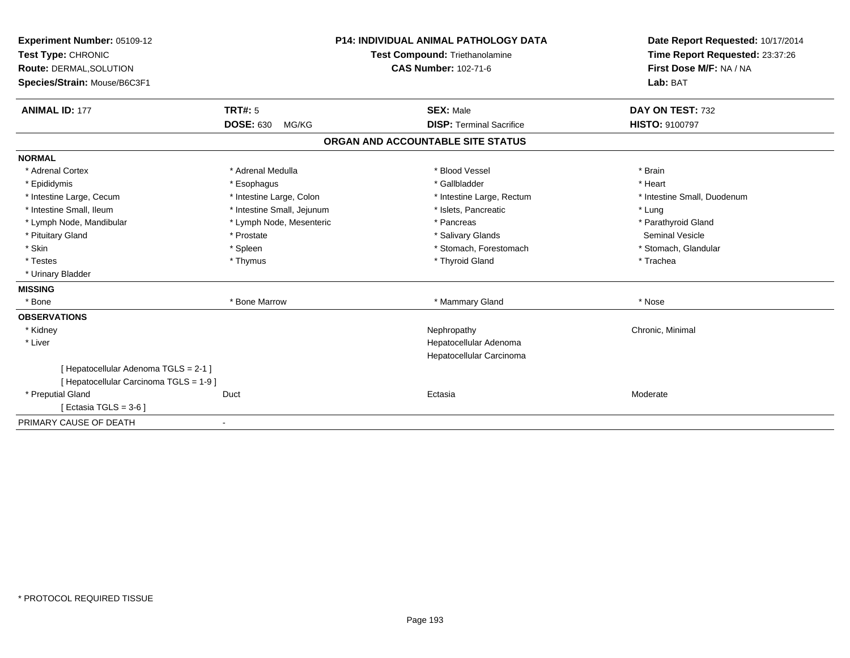| <b>Experiment Number: 05109-12</b><br>Test Type: CHRONIC<br>Route: DERMAL, SOLUTION<br>Species/Strain: Mouse/B6C3F1 | <b>P14: INDIVIDUAL ANIMAL PATHOLOGY DATA</b><br>Test Compound: Triethanolamine<br><b>CAS Number: 102-71-6</b> |                                   | Date Report Requested: 10/17/2014<br>Time Report Requested: 23:37:26<br>First Dose M/F: NA / NA<br>Lab: BAT |  |
|---------------------------------------------------------------------------------------------------------------------|---------------------------------------------------------------------------------------------------------------|-----------------------------------|-------------------------------------------------------------------------------------------------------------|--|
| <b>ANIMAL ID: 177</b>                                                                                               | TRT#: 5                                                                                                       | <b>SEX: Male</b>                  | DAY ON TEST: 732                                                                                            |  |
|                                                                                                                     | <b>DOSE: 630</b><br>MG/KG                                                                                     | <b>DISP: Terminal Sacrifice</b>   | <b>HISTO: 9100797</b>                                                                                       |  |
|                                                                                                                     |                                                                                                               | ORGAN AND ACCOUNTABLE SITE STATUS |                                                                                                             |  |
| <b>NORMAL</b>                                                                                                       |                                                                                                               |                                   |                                                                                                             |  |
| * Adrenal Cortex                                                                                                    | * Adrenal Medulla                                                                                             | * Blood Vessel                    | * Brain                                                                                                     |  |
| * Epididymis                                                                                                        | * Esophagus                                                                                                   | * Gallbladder                     | * Heart                                                                                                     |  |
| * Intestine Large, Cecum                                                                                            | * Intestine Large, Colon                                                                                      | * Intestine Large, Rectum         | * Intestine Small, Duodenum                                                                                 |  |
| * Intestine Small, Ileum                                                                                            | * Intestine Small, Jejunum                                                                                    | * Islets, Pancreatic              | * Lung                                                                                                      |  |
| * Lymph Node, Mandibular                                                                                            | * Lymph Node, Mesenteric                                                                                      | * Pancreas                        | * Parathyroid Gland                                                                                         |  |
| * Pituitary Gland                                                                                                   | * Prostate                                                                                                    | * Salivary Glands                 | <b>Seminal Vesicle</b>                                                                                      |  |
| * Skin                                                                                                              | * Spleen                                                                                                      | * Stomach, Forestomach            | * Stomach, Glandular                                                                                        |  |
| * Testes                                                                                                            | * Thymus                                                                                                      | * Thyroid Gland                   | * Trachea                                                                                                   |  |
| * Urinary Bladder                                                                                                   |                                                                                                               |                                   |                                                                                                             |  |
| <b>MISSING</b>                                                                                                      |                                                                                                               |                                   |                                                                                                             |  |
| * Bone                                                                                                              | * Bone Marrow                                                                                                 | * Mammary Gland                   | * Nose                                                                                                      |  |
| <b>OBSERVATIONS</b>                                                                                                 |                                                                                                               |                                   |                                                                                                             |  |
| * Kidney                                                                                                            |                                                                                                               | Nephropathy                       | Chronic, Minimal                                                                                            |  |
| * Liver                                                                                                             |                                                                                                               | Hepatocellular Adenoma            |                                                                                                             |  |
|                                                                                                                     |                                                                                                               | Hepatocellular Carcinoma          |                                                                                                             |  |
| [ Hepatocellular Adenoma TGLS = 2-1 ]                                                                               |                                                                                                               |                                   |                                                                                                             |  |
| [ Hepatocellular Carcinoma TGLS = 1-9 ]                                                                             |                                                                                                               |                                   |                                                                                                             |  |
| * Preputial Gland                                                                                                   | Duct                                                                                                          | Ectasia                           | Moderate                                                                                                    |  |
| [Ectasia TGLS = 3-6 ]                                                                                               |                                                                                                               |                                   |                                                                                                             |  |
| PRIMARY CAUSE OF DEATH                                                                                              |                                                                                                               |                                   |                                                                                                             |  |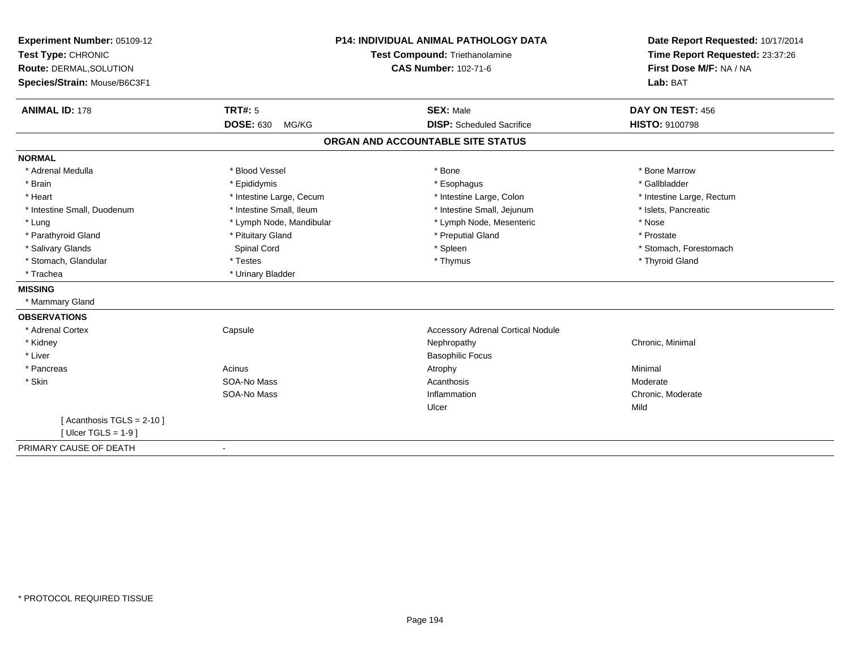| Experiment Number: 05109-12<br>Test Type: CHRONIC<br>Route: DERMAL, SOLUTION<br>Species/Strain: Mouse/B6C3F1 |                           | <b>P14: INDIVIDUAL ANIMAL PATHOLOGY DATA</b><br><b>Test Compound: Triethanolamine</b><br><b>CAS Number: 102-71-6</b> | Date Report Requested: 10/17/2014<br>Time Report Requested: 23:37:26<br>First Dose M/F: NA / NA<br>Lab: BAT |  |
|--------------------------------------------------------------------------------------------------------------|---------------------------|----------------------------------------------------------------------------------------------------------------------|-------------------------------------------------------------------------------------------------------------|--|
| <b>ANIMAL ID: 178</b>                                                                                        | TRT#: 5                   | <b>SEX: Male</b>                                                                                                     | DAY ON TEST: 456                                                                                            |  |
|                                                                                                              | <b>DOSE: 630</b><br>MG/KG | <b>DISP:</b> Scheduled Sacrifice                                                                                     | <b>HISTO: 9100798</b>                                                                                       |  |
|                                                                                                              |                           | ORGAN AND ACCOUNTABLE SITE STATUS                                                                                    |                                                                                                             |  |
| <b>NORMAL</b>                                                                                                |                           |                                                                                                                      |                                                                                                             |  |
| * Adrenal Medulla                                                                                            | * Blood Vessel            | $*$ Bone                                                                                                             | * Bone Marrow                                                                                               |  |
| * Brain                                                                                                      | * Epididymis              | * Esophagus                                                                                                          | * Gallbladder                                                                                               |  |
| * Heart                                                                                                      | * Intestine Large, Cecum  | * Intestine Large, Colon                                                                                             | * Intestine Large, Rectum                                                                                   |  |
| * Intestine Small, Duodenum                                                                                  | * Intestine Small, Ileum  | * Intestine Small, Jejunum                                                                                           | * Islets, Pancreatic                                                                                        |  |
| * Lung                                                                                                       | * Lymph Node, Mandibular  | * Lymph Node, Mesenteric                                                                                             | * Nose                                                                                                      |  |
| * Parathyroid Gland                                                                                          | * Pituitary Gland         | * Preputial Gland                                                                                                    | * Prostate                                                                                                  |  |
| * Salivary Glands                                                                                            | Spinal Cord               | * Spleen                                                                                                             | * Stomach, Forestomach                                                                                      |  |
| * Stomach, Glandular                                                                                         | * Testes                  | * Thymus                                                                                                             | * Thyroid Gland                                                                                             |  |
| * Trachea                                                                                                    | * Urinary Bladder         |                                                                                                                      |                                                                                                             |  |
| <b>MISSING</b>                                                                                               |                           |                                                                                                                      |                                                                                                             |  |
| * Mammary Gland                                                                                              |                           |                                                                                                                      |                                                                                                             |  |
| <b>OBSERVATIONS</b>                                                                                          |                           |                                                                                                                      |                                                                                                             |  |
| * Adrenal Cortex                                                                                             | Capsule                   | <b>Accessory Adrenal Cortical Nodule</b>                                                                             |                                                                                                             |  |
| * Kidney                                                                                                     |                           | Nephropathy                                                                                                          | Chronic, Minimal                                                                                            |  |
| * Liver                                                                                                      |                           | <b>Basophilic Focus</b>                                                                                              |                                                                                                             |  |
| * Pancreas                                                                                                   | Acinus                    | Atrophy                                                                                                              | Minimal                                                                                                     |  |
| * Skin                                                                                                       | SOA-No Mass               | Acanthosis                                                                                                           | Moderate                                                                                                    |  |
|                                                                                                              | SOA-No Mass               | Inflammation                                                                                                         | Chronic, Moderate                                                                                           |  |
|                                                                                                              |                           | Ulcer                                                                                                                | Mild                                                                                                        |  |
| [Acanthosis TGLS = $2-10$ ]                                                                                  |                           |                                                                                                                      |                                                                                                             |  |
| [ Ulcer TGLS = $1-9$ ]                                                                                       |                           |                                                                                                                      |                                                                                                             |  |
| PRIMARY CAUSE OF DEATH                                                                                       |                           |                                                                                                                      |                                                                                                             |  |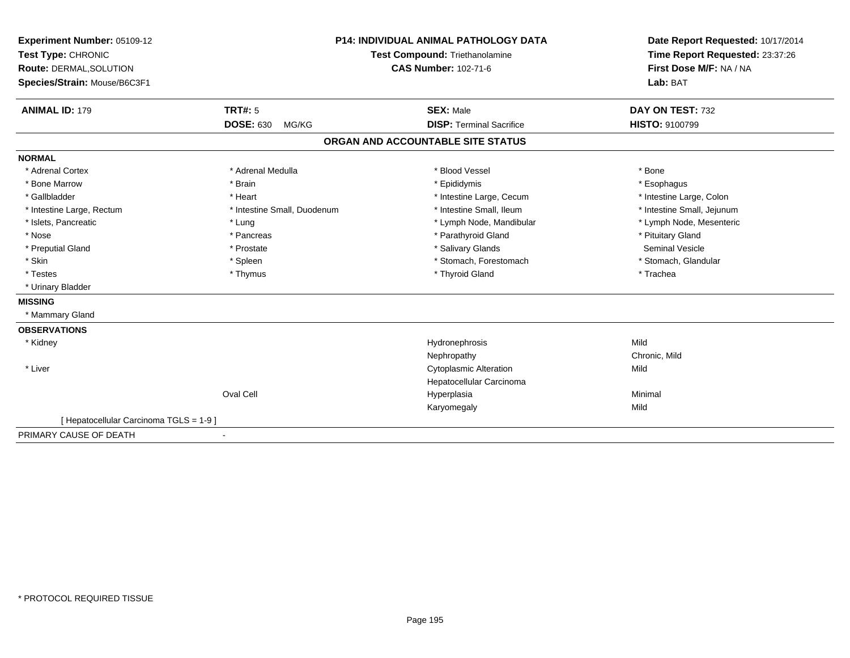| Experiment Number: 05109-12             | <b>P14: INDIVIDUAL ANIMAL PATHOLOGY DATA</b><br><b>Test Compound: Triethanolamine</b> |                                   | Date Report Requested: 10/17/2014<br>Time Report Requested: 23:37:26 |  |
|-----------------------------------------|---------------------------------------------------------------------------------------|-----------------------------------|----------------------------------------------------------------------|--|
| Test Type: CHRONIC                      |                                                                                       |                                   |                                                                      |  |
| Route: DERMAL, SOLUTION                 |                                                                                       | <b>CAS Number: 102-71-6</b>       | First Dose M/F: NA / NA                                              |  |
| Species/Strain: Mouse/B6C3F1            |                                                                                       |                                   | Lab: BAT                                                             |  |
|                                         |                                                                                       |                                   |                                                                      |  |
| <b>ANIMAL ID: 179</b>                   | <b>TRT#: 5</b>                                                                        | <b>SEX: Male</b>                  | DAY ON TEST: 732                                                     |  |
|                                         | <b>DOSE: 630</b><br>MG/KG                                                             | <b>DISP: Terminal Sacrifice</b>   | <b>HISTO: 9100799</b>                                                |  |
|                                         |                                                                                       | ORGAN AND ACCOUNTABLE SITE STATUS |                                                                      |  |
| <b>NORMAL</b>                           |                                                                                       |                                   |                                                                      |  |
| * Adrenal Cortex                        | * Adrenal Medulla                                                                     | * Blood Vessel                    | * Bone                                                               |  |
| * Bone Marrow                           | * Brain                                                                               | * Epididymis                      | * Esophagus                                                          |  |
| * Gallbladder                           | * Heart                                                                               | * Intestine Large, Cecum          | * Intestine Large, Colon                                             |  |
| * Intestine Large, Rectum               | * Intestine Small, Duodenum                                                           | * Intestine Small, Ileum          | * Intestine Small, Jejunum                                           |  |
| * Islets, Pancreatic                    | * Lung                                                                                | * Lymph Node, Mandibular          | * Lymph Node, Mesenteric                                             |  |
| * Nose                                  | * Pancreas                                                                            | * Parathyroid Gland               | * Pituitary Gland                                                    |  |
| * Preputial Gland                       | * Prostate                                                                            | * Salivary Glands                 | Seminal Vesicle                                                      |  |
| * Skin                                  | * Spleen                                                                              | * Stomach, Forestomach            | * Stomach, Glandular                                                 |  |
| * Testes                                | * Thymus                                                                              | * Thyroid Gland                   | * Trachea                                                            |  |
| * Urinary Bladder                       |                                                                                       |                                   |                                                                      |  |
| <b>MISSING</b>                          |                                                                                       |                                   |                                                                      |  |
| * Mammary Gland                         |                                                                                       |                                   |                                                                      |  |
| <b>OBSERVATIONS</b>                     |                                                                                       |                                   |                                                                      |  |
| * Kidney                                |                                                                                       | Hydronephrosis                    | Mild                                                                 |  |
|                                         |                                                                                       | Nephropathy                       | Chronic, Mild                                                        |  |
| * Liver                                 |                                                                                       | <b>Cytoplasmic Alteration</b>     | Mild                                                                 |  |
|                                         |                                                                                       | Hepatocellular Carcinoma          |                                                                      |  |
|                                         | Oval Cell                                                                             | Hyperplasia                       | Minimal                                                              |  |
|                                         |                                                                                       | Karyomegaly                       | Mild                                                                 |  |
| [ Hepatocellular Carcinoma TGLS = 1-9 ] |                                                                                       |                                   |                                                                      |  |
| PRIMARY CAUSE OF DEATH                  | $\overline{\phantom{a}}$                                                              |                                   |                                                                      |  |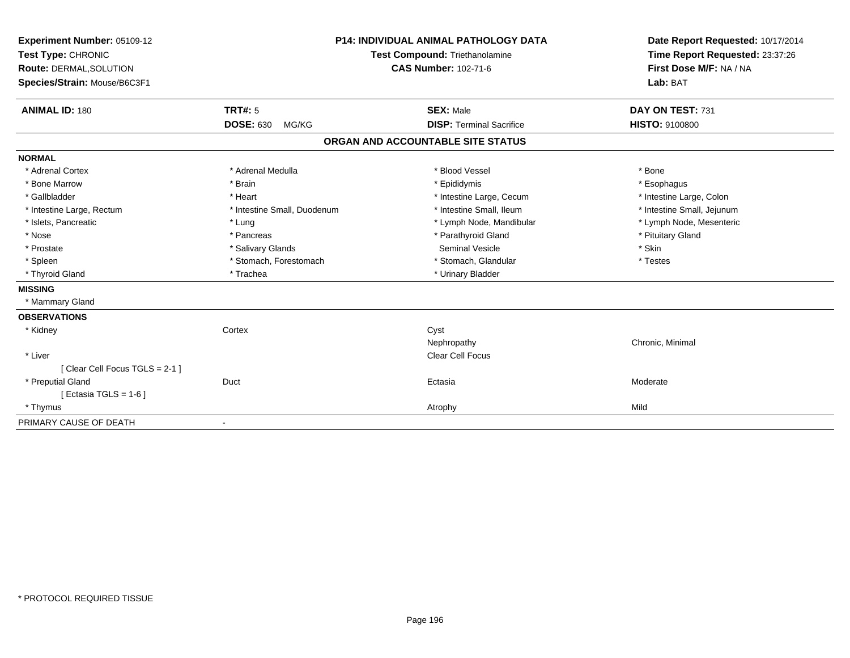| Experiment Number: 05109-12<br>Test Type: CHRONIC<br>Route: DERMAL, SOLUTION<br>Species/Strain: Mouse/B6C3F1<br><b>ANIMAL ID: 180</b> | <b>P14: INDIVIDUAL ANIMAL PATHOLOGY DATA</b><br><b>Test Compound: Triethanolamine</b><br><b>CAS Number: 102-71-6</b><br><b>TRT#: 5</b><br><b>SEX: Male</b><br><b>DOSE: 630</b><br><b>DISP: Terminal Sacrifice</b><br>MG/KG |                                   | Date Report Requested: 10/17/2014<br>Time Report Requested: 23:37:26<br>First Dose M/F: NA / NA<br>Lab: BAT<br>DAY ON TEST: 731<br><b>HISTO: 9100800</b> |
|---------------------------------------------------------------------------------------------------------------------------------------|----------------------------------------------------------------------------------------------------------------------------------------------------------------------------------------------------------------------------|-----------------------------------|----------------------------------------------------------------------------------------------------------------------------------------------------------|
|                                                                                                                                       |                                                                                                                                                                                                                            | ORGAN AND ACCOUNTABLE SITE STATUS |                                                                                                                                                          |
| <b>NORMAL</b>                                                                                                                         |                                                                                                                                                                                                                            |                                   |                                                                                                                                                          |
| * Adrenal Cortex                                                                                                                      | * Adrenal Medulla                                                                                                                                                                                                          | * Blood Vessel                    | * Bone                                                                                                                                                   |
| * Bone Marrow                                                                                                                         | * Brain                                                                                                                                                                                                                    | * Epididymis                      | * Esophagus                                                                                                                                              |
| * Gallbladder                                                                                                                         | * Heart                                                                                                                                                                                                                    | * Intestine Large, Cecum          | * Intestine Large, Colon                                                                                                                                 |
| * Intestine Large, Rectum                                                                                                             | * Intestine Small, Duodenum                                                                                                                                                                                                | * Intestine Small, Ileum          | * Intestine Small, Jejunum                                                                                                                               |
| * Islets, Pancreatic                                                                                                                  | * Lung                                                                                                                                                                                                                     | * Lymph Node, Mandibular          | * Lymph Node, Mesenteric                                                                                                                                 |
| * Nose                                                                                                                                | * Pancreas                                                                                                                                                                                                                 | * Parathyroid Gland               | * Pituitary Gland                                                                                                                                        |
| * Prostate                                                                                                                            | * Salivary Glands                                                                                                                                                                                                          | <b>Seminal Vesicle</b>            | * Skin                                                                                                                                                   |
| * Spleen                                                                                                                              | * Stomach, Forestomach                                                                                                                                                                                                     | * Stomach, Glandular              | * Testes                                                                                                                                                 |
| * Thyroid Gland                                                                                                                       | * Trachea                                                                                                                                                                                                                  | * Urinary Bladder                 |                                                                                                                                                          |
| <b>MISSING</b>                                                                                                                        |                                                                                                                                                                                                                            |                                   |                                                                                                                                                          |
| * Mammary Gland                                                                                                                       |                                                                                                                                                                                                                            |                                   |                                                                                                                                                          |
| <b>OBSERVATIONS</b>                                                                                                                   |                                                                                                                                                                                                                            |                                   |                                                                                                                                                          |
| * Kidney                                                                                                                              | Cortex                                                                                                                                                                                                                     | Cyst                              |                                                                                                                                                          |
|                                                                                                                                       |                                                                                                                                                                                                                            | Nephropathy                       | Chronic, Minimal                                                                                                                                         |
| * Liver                                                                                                                               |                                                                                                                                                                                                                            | Clear Cell Focus                  |                                                                                                                                                          |
| [Clear Cell Focus TGLS = 2-1]                                                                                                         |                                                                                                                                                                                                                            |                                   |                                                                                                                                                          |
| * Preputial Gland                                                                                                                     | Duct                                                                                                                                                                                                                       | Ectasia                           | Moderate                                                                                                                                                 |
| [ Ectasia TGLS = $1-6$ ]                                                                                                              |                                                                                                                                                                                                                            |                                   |                                                                                                                                                          |
| * Thymus                                                                                                                              |                                                                                                                                                                                                                            | Atrophy                           | Mild                                                                                                                                                     |
| PRIMARY CAUSE OF DEATH                                                                                                                |                                                                                                                                                                                                                            |                                   |                                                                                                                                                          |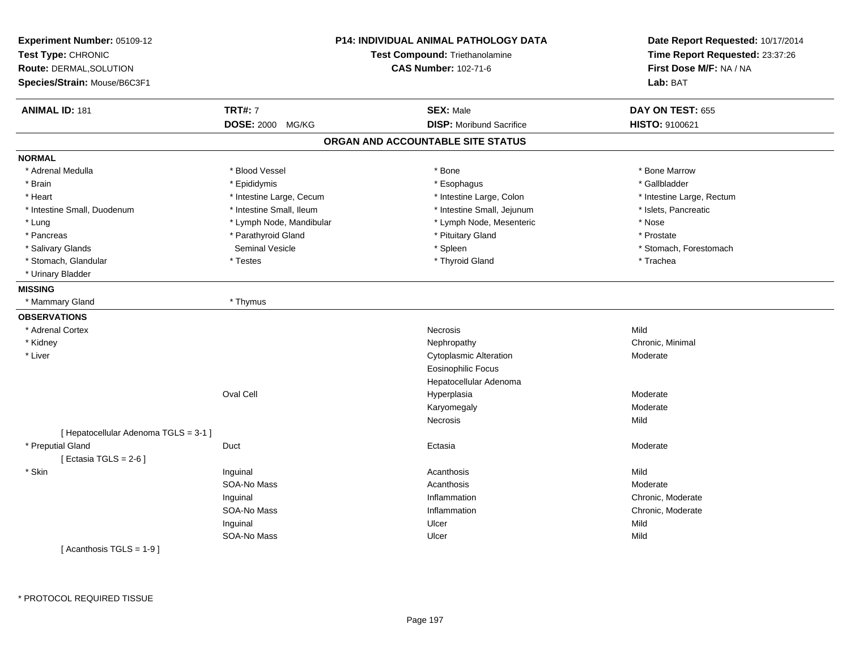| Experiment Number: 05109-12<br>Test Type: CHRONIC<br><b>Route: DERMAL, SOLUTION</b><br>Species/Strain: Mouse/B6C3F1 | <b>P14: INDIVIDUAL ANIMAL PATHOLOGY DATA</b><br>Test Compound: Triethanolamine<br><b>CAS Number: 102-71-6</b> |                                   | Date Report Requested: 10/17/2014<br>Time Report Requested: 23:37:26<br>First Dose M/F: NA / NA<br>Lab: BAT |  |
|---------------------------------------------------------------------------------------------------------------------|---------------------------------------------------------------------------------------------------------------|-----------------------------------|-------------------------------------------------------------------------------------------------------------|--|
| <b>ANIMAL ID: 181</b>                                                                                               | <b>TRT#: 7</b>                                                                                                | <b>SEX: Male</b>                  | DAY ON TEST: 655                                                                                            |  |
|                                                                                                                     | DOSE: 2000 MG/KG                                                                                              | <b>DISP:</b> Moribund Sacrifice   | HISTO: 9100621                                                                                              |  |
|                                                                                                                     |                                                                                                               | ORGAN AND ACCOUNTABLE SITE STATUS |                                                                                                             |  |
| <b>NORMAL</b>                                                                                                       |                                                                                                               |                                   |                                                                                                             |  |
| * Adrenal Medulla                                                                                                   | * Blood Vessel                                                                                                | * Bone                            | * Bone Marrow                                                                                               |  |
| * Brain                                                                                                             | * Epididymis                                                                                                  | * Esophagus                       | * Gallbladder                                                                                               |  |
| * Heart                                                                                                             | * Intestine Large, Cecum                                                                                      | * Intestine Large, Colon          | * Intestine Large, Rectum                                                                                   |  |
| * Intestine Small, Duodenum                                                                                         | * Intestine Small, Ileum                                                                                      | * Intestine Small, Jejunum        | * Islets, Pancreatic                                                                                        |  |
| * Lung                                                                                                              | * Lymph Node, Mandibular                                                                                      | * Lymph Node, Mesenteric          | * Nose                                                                                                      |  |
| * Pancreas                                                                                                          | * Parathyroid Gland                                                                                           | * Pituitary Gland                 | * Prostate                                                                                                  |  |
| * Salivary Glands                                                                                                   | Seminal Vesicle                                                                                               | * Spleen                          | * Stomach, Forestomach                                                                                      |  |
| * Stomach, Glandular                                                                                                | * Testes                                                                                                      | * Thyroid Gland                   | * Trachea                                                                                                   |  |
| * Urinary Bladder                                                                                                   |                                                                                                               |                                   |                                                                                                             |  |
| <b>MISSING</b>                                                                                                      |                                                                                                               |                                   |                                                                                                             |  |
| * Mammary Gland                                                                                                     | * Thymus                                                                                                      |                                   |                                                                                                             |  |
| <b>OBSERVATIONS</b>                                                                                                 |                                                                                                               |                                   |                                                                                                             |  |
| * Adrenal Cortex                                                                                                    |                                                                                                               | Necrosis                          | Mild                                                                                                        |  |
| * Kidney                                                                                                            |                                                                                                               | Nephropathy                       | Chronic, Minimal                                                                                            |  |
| * Liver                                                                                                             |                                                                                                               | <b>Cytoplasmic Alteration</b>     | Moderate                                                                                                    |  |
|                                                                                                                     |                                                                                                               | <b>Eosinophilic Focus</b>         |                                                                                                             |  |
|                                                                                                                     |                                                                                                               | Hepatocellular Adenoma            |                                                                                                             |  |
|                                                                                                                     | Oval Cell                                                                                                     | Hyperplasia                       | Moderate                                                                                                    |  |
|                                                                                                                     |                                                                                                               | Karyomegaly                       | Moderate                                                                                                    |  |
|                                                                                                                     |                                                                                                               | Necrosis                          | Mild                                                                                                        |  |
| [ Hepatocellular Adenoma TGLS = 3-1 ]                                                                               |                                                                                                               |                                   |                                                                                                             |  |
| * Preputial Gland                                                                                                   | Duct                                                                                                          | Ectasia                           | Moderate                                                                                                    |  |
| [ Ectasia TGLS = 2-6 ]                                                                                              |                                                                                                               |                                   |                                                                                                             |  |
| * Skin                                                                                                              | Inquinal                                                                                                      | Acanthosis                        | Mild                                                                                                        |  |
|                                                                                                                     | SOA-No Mass                                                                                                   | Acanthosis                        | Moderate                                                                                                    |  |
|                                                                                                                     | Inguinal                                                                                                      | Inflammation                      | Chronic, Moderate                                                                                           |  |
|                                                                                                                     | SOA-No Mass                                                                                                   | Inflammation                      | Chronic, Moderate                                                                                           |  |
|                                                                                                                     | Inguinal                                                                                                      | Ulcer                             | Mild                                                                                                        |  |
|                                                                                                                     | SOA-No Mass                                                                                                   | Ulcer                             | Mild                                                                                                        |  |
| [Acanthosis TGLS = 1-9]                                                                                             |                                                                                                               |                                   |                                                                                                             |  |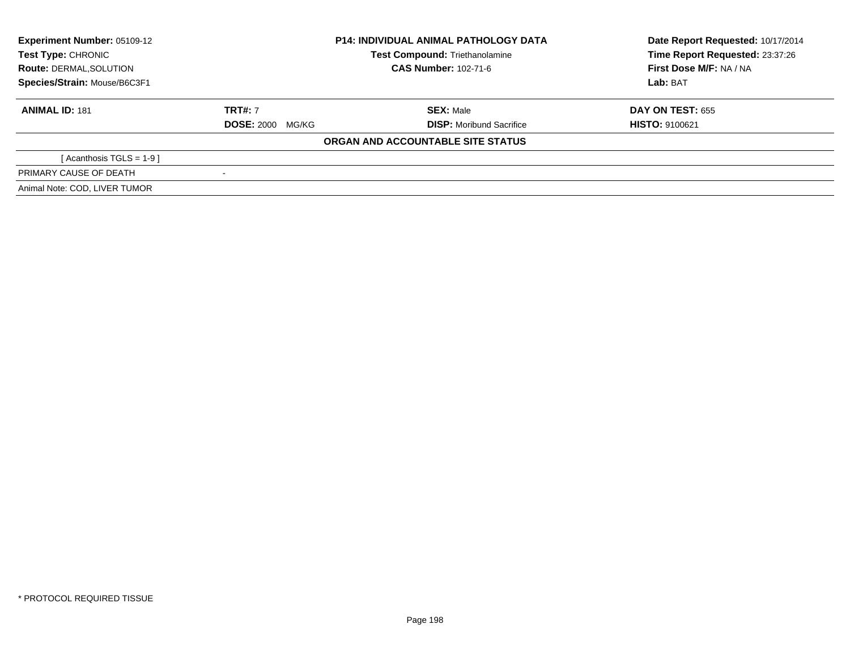| <b>Experiment Number: 05109-12</b> | <b>P14: INDIVIDUAL ANIMAL PATHOLOGY DATA</b> |                                       | Date Report Requested: 10/17/2014 |
|------------------------------------|----------------------------------------------|---------------------------------------|-----------------------------------|
| Test Type: CHRONIC                 |                                              | <b>Test Compound: Triethanolamine</b> | Time Report Requested: 23:37:26   |
| <b>Route: DERMAL.SOLUTION</b>      |                                              | <b>CAS Number: 102-71-6</b>           | First Dose M/F: NA / NA           |
| Species/Strain: Mouse/B6C3F1       |                                              |                                       | Lab: BAT                          |
| <b>ANIMAL ID: 181</b>              | <b>TRT#: 7</b>                               | <b>SEX: Male</b>                      | <b>DAY ON TEST: 655</b>           |
|                                    | <b>DOSE: 2000</b><br>MG/KG                   | <b>DISP:</b> Moribund Sacrifice       | <b>HISTO: 9100621</b>             |
|                                    |                                              | ORGAN AND ACCOUNTABLE SITE STATUS     |                                   |
| [ Acanthosis $TGLS = 1-9$ ]        |                                              |                                       |                                   |
| PRIMARY CAUSE OF DEATH             |                                              |                                       |                                   |
| Animal Note: COD, LIVER TUMOR      |                                              |                                       |                                   |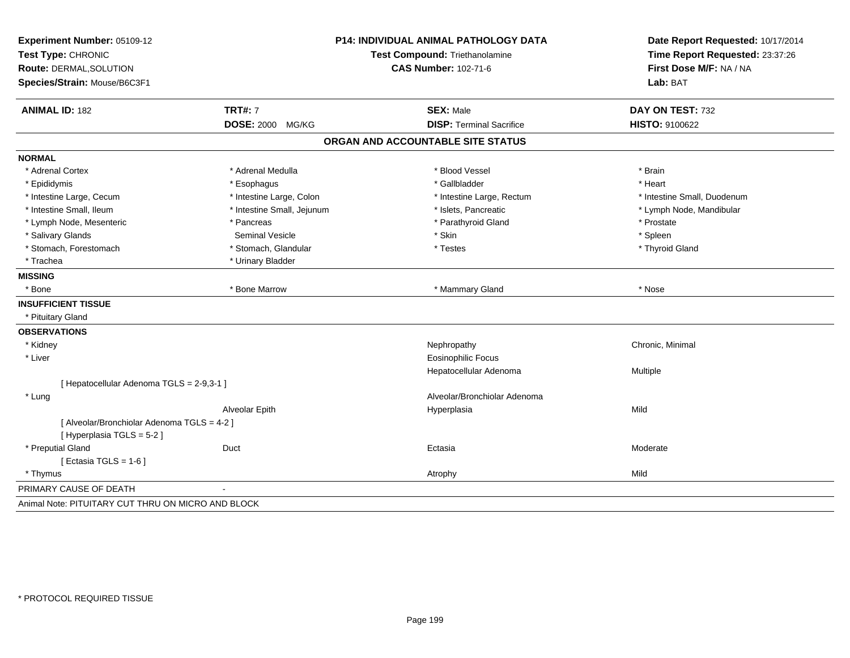| Experiment Number: 05109-12<br>Test Type: CHRONIC<br>Route: DERMAL, SOLUTION<br>Species/Strain: Mouse/B6C3F1 | <b>P14: INDIVIDUAL ANIMAL PATHOLOGY DATA</b><br>Test Compound: Triethanolamine<br><b>CAS Number: 102-71-6</b> |                                   | Date Report Requested: 10/17/2014<br>Time Report Requested: 23:37:26<br>First Dose M/F: NA / NA<br>Lab: BAT |
|--------------------------------------------------------------------------------------------------------------|---------------------------------------------------------------------------------------------------------------|-----------------------------------|-------------------------------------------------------------------------------------------------------------|
| <b>ANIMAL ID: 182</b>                                                                                        | <b>TRT#: 7</b>                                                                                                | <b>SEX: Male</b>                  | DAY ON TEST: 732                                                                                            |
|                                                                                                              | <b>DOSE: 2000</b><br>MG/KG                                                                                    | <b>DISP: Terminal Sacrifice</b>   | HISTO: 9100622                                                                                              |
|                                                                                                              |                                                                                                               | ORGAN AND ACCOUNTABLE SITE STATUS |                                                                                                             |
| <b>NORMAL</b>                                                                                                |                                                                                                               |                                   |                                                                                                             |
| * Adrenal Cortex                                                                                             | * Adrenal Medulla                                                                                             | * Blood Vessel                    | * Brain                                                                                                     |
| * Epididymis                                                                                                 | * Esophagus                                                                                                   | * Gallbladder                     | * Heart                                                                                                     |
| * Intestine Large, Cecum                                                                                     | * Intestine Large, Colon                                                                                      | * Intestine Large, Rectum         | * Intestine Small, Duodenum                                                                                 |
| * Intestine Small, Ileum                                                                                     | * Intestine Small, Jejunum                                                                                    | * Islets, Pancreatic              | * Lymph Node, Mandibular                                                                                    |
| * Lymph Node, Mesenteric                                                                                     | * Pancreas                                                                                                    | * Parathyroid Gland               | * Prostate                                                                                                  |
| * Salivary Glands                                                                                            | <b>Seminal Vesicle</b>                                                                                        | * Skin                            | * Spleen                                                                                                    |
| * Stomach, Forestomach                                                                                       | * Stomach, Glandular                                                                                          | * Testes                          | * Thyroid Gland                                                                                             |
| * Trachea                                                                                                    | * Urinary Bladder                                                                                             |                                   |                                                                                                             |
| <b>MISSING</b>                                                                                               |                                                                                                               |                                   |                                                                                                             |
| * Bone                                                                                                       | * Bone Marrow                                                                                                 | * Mammary Gland                   | * Nose                                                                                                      |
| <b>INSUFFICIENT TISSUE</b>                                                                                   |                                                                                                               |                                   |                                                                                                             |
| * Pituitary Gland                                                                                            |                                                                                                               |                                   |                                                                                                             |
| <b>OBSERVATIONS</b>                                                                                          |                                                                                                               |                                   |                                                                                                             |
| * Kidney                                                                                                     |                                                                                                               | Nephropathy                       | Chronic, Minimal                                                                                            |
| * Liver                                                                                                      |                                                                                                               | <b>Eosinophilic Focus</b>         |                                                                                                             |
|                                                                                                              |                                                                                                               | Hepatocellular Adenoma            | Multiple                                                                                                    |
| [ Hepatocellular Adenoma TGLS = 2-9,3-1 ]                                                                    |                                                                                                               |                                   |                                                                                                             |
| * Lung                                                                                                       |                                                                                                               | Alveolar/Bronchiolar Adenoma      |                                                                                                             |
|                                                                                                              | Alveolar Epith                                                                                                | Hyperplasia                       | Mild                                                                                                        |
| [ Alveolar/Bronchiolar Adenoma TGLS = 4-2 ]                                                                  |                                                                                                               |                                   |                                                                                                             |
| [Hyperplasia TGLS = 5-2]                                                                                     |                                                                                                               |                                   |                                                                                                             |
| * Preputial Gland                                                                                            | Duct                                                                                                          | Ectasia                           | Moderate                                                                                                    |
| [ Ectasia TGLS = $1-6$ ]                                                                                     |                                                                                                               |                                   |                                                                                                             |
| * Thymus                                                                                                     |                                                                                                               | Atrophy                           | Mild                                                                                                        |
| PRIMARY CAUSE OF DEATH                                                                                       |                                                                                                               |                                   |                                                                                                             |
| Animal Note: PITUITARY CUT THRU ON MICRO AND BLOCK                                                           |                                                                                                               |                                   |                                                                                                             |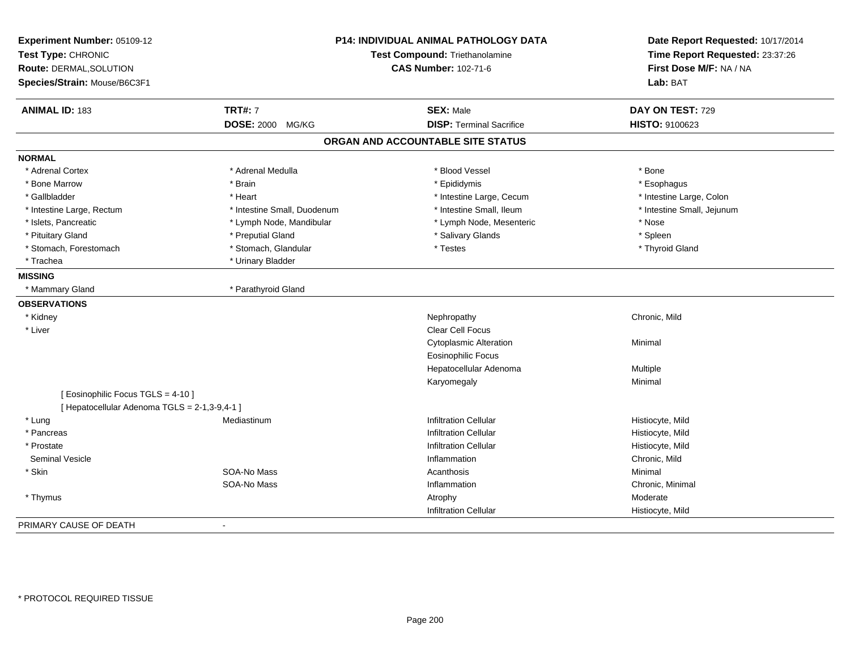| Experiment Number: 05109-12<br>Test Type: CHRONIC<br>Route: DERMAL, SOLUTION<br>Species/Strain: Mouse/B6C3F1 | P14: INDIVIDUAL ANIMAL PATHOLOGY DATA<br>Test Compound: Triethanolamine<br><b>CAS Number: 102-71-6</b> |                                   | Date Report Requested: 10/17/2014<br>Time Report Requested: 23:37:26<br>First Dose M/F: NA / NA<br>Lab: BAT |  |
|--------------------------------------------------------------------------------------------------------------|--------------------------------------------------------------------------------------------------------|-----------------------------------|-------------------------------------------------------------------------------------------------------------|--|
| <b>ANIMAL ID: 183</b>                                                                                        | <b>TRT#: 7</b>                                                                                         | <b>SEX: Male</b>                  | DAY ON TEST: 729                                                                                            |  |
|                                                                                                              | <b>DOSE: 2000 MG/KG</b>                                                                                | <b>DISP: Terminal Sacrifice</b>   | <b>HISTO: 9100623</b>                                                                                       |  |
|                                                                                                              |                                                                                                        | ORGAN AND ACCOUNTABLE SITE STATUS |                                                                                                             |  |
| <b>NORMAL</b>                                                                                                |                                                                                                        |                                   |                                                                                                             |  |
| * Adrenal Cortex                                                                                             | * Adrenal Medulla                                                                                      | * Blood Vessel                    | * Bone                                                                                                      |  |
| * Bone Marrow                                                                                                | * Brain                                                                                                | * Epididymis                      | * Esophagus                                                                                                 |  |
| * Gallbladder                                                                                                | * Heart                                                                                                | * Intestine Large, Cecum          | * Intestine Large, Colon                                                                                    |  |
| * Intestine Large, Rectum                                                                                    | * Intestine Small, Duodenum                                                                            | * Intestine Small, Ileum          | * Intestine Small, Jejunum                                                                                  |  |
| * Islets, Pancreatic                                                                                         | * Lymph Node, Mandibular                                                                               | * Lymph Node, Mesenteric          | * Nose                                                                                                      |  |
| * Pituitary Gland                                                                                            | * Preputial Gland                                                                                      | * Salivary Glands                 | * Spleen                                                                                                    |  |
| * Stomach, Forestomach                                                                                       | * Stomach, Glandular                                                                                   | * Testes                          | * Thyroid Gland                                                                                             |  |
| * Trachea                                                                                                    | * Urinary Bladder                                                                                      |                                   |                                                                                                             |  |
| <b>MISSING</b>                                                                                               |                                                                                                        |                                   |                                                                                                             |  |
| * Mammary Gland                                                                                              | * Parathyroid Gland                                                                                    |                                   |                                                                                                             |  |
| <b>OBSERVATIONS</b>                                                                                          |                                                                                                        |                                   |                                                                                                             |  |
| * Kidney                                                                                                     |                                                                                                        | Nephropathy                       | Chronic, Mild                                                                                               |  |
| * Liver                                                                                                      |                                                                                                        | Clear Cell Focus                  |                                                                                                             |  |
|                                                                                                              |                                                                                                        | <b>Cytoplasmic Alteration</b>     | Minimal                                                                                                     |  |
|                                                                                                              |                                                                                                        | <b>Eosinophilic Focus</b>         |                                                                                                             |  |
|                                                                                                              |                                                                                                        | Hepatocellular Adenoma            | Multiple                                                                                                    |  |
|                                                                                                              |                                                                                                        | Karyomegaly                       | Minimal                                                                                                     |  |
| [ Eosinophilic Focus TGLS = 4-10 ]                                                                           |                                                                                                        |                                   |                                                                                                             |  |
| [ Hepatocellular Adenoma TGLS = 2-1,3-9,4-1 ]                                                                |                                                                                                        |                                   |                                                                                                             |  |
| * Lung                                                                                                       | Mediastinum                                                                                            | <b>Infiltration Cellular</b>      | Histiocyte, Mild                                                                                            |  |
| * Pancreas                                                                                                   |                                                                                                        | <b>Infiltration Cellular</b>      | Histiocyte, Mild                                                                                            |  |
| * Prostate                                                                                                   |                                                                                                        | <b>Infiltration Cellular</b>      | Histiocyte, Mild                                                                                            |  |
| <b>Seminal Vesicle</b>                                                                                       |                                                                                                        | Inflammation                      | Chronic, Mild                                                                                               |  |
| * Skin                                                                                                       | SOA-No Mass                                                                                            | Acanthosis                        | Minimal                                                                                                     |  |
|                                                                                                              | SOA-No Mass                                                                                            | Inflammation                      | Chronic, Minimal                                                                                            |  |
| * Thymus                                                                                                     |                                                                                                        | Atrophy                           | Moderate                                                                                                    |  |
|                                                                                                              |                                                                                                        | <b>Infiltration Cellular</b>      | Histiocyte, Mild                                                                                            |  |
| PRIMARY CAUSE OF DEATH                                                                                       |                                                                                                        |                                   |                                                                                                             |  |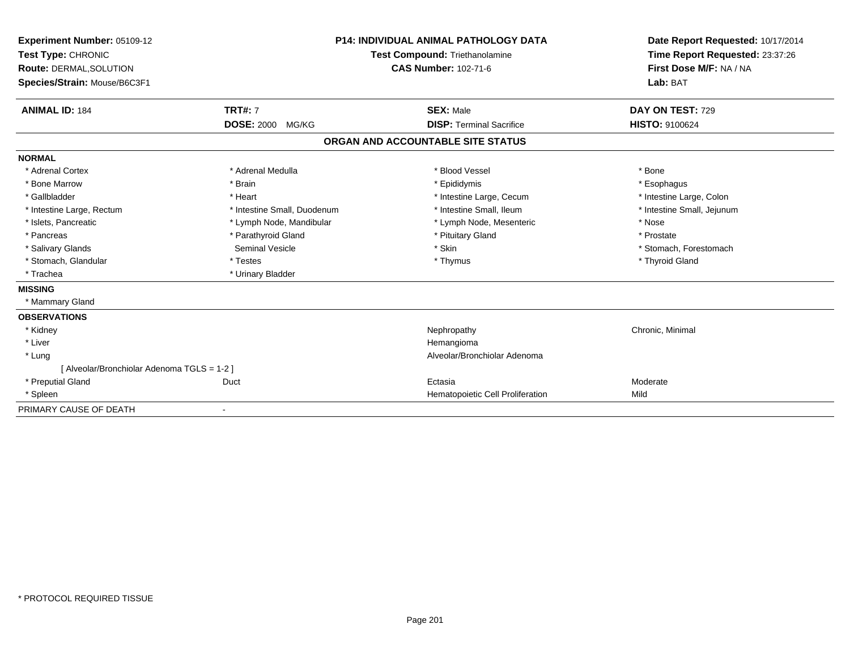| Experiment Number: 05109-12<br>Test Type: CHRONIC<br>Route: DERMAL, SOLUTION<br>Species/Strain: Mouse/B6C3F1 |                             | <b>P14: INDIVIDUAL ANIMAL PATHOLOGY DATA</b><br>Test Compound: Triethanolamine<br><b>CAS Number: 102-71-6</b> | Date Report Requested: 10/17/2014<br>Time Report Requested: 23:37:26<br>First Dose M/F: NA / NA |  |
|--------------------------------------------------------------------------------------------------------------|-----------------------------|---------------------------------------------------------------------------------------------------------------|-------------------------------------------------------------------------------------------------|--|
|                                                                                                              |                             |                                                                                                               | Lab: BAT                                                                                        |  |
| <b>ANIMAL ID: 184</b>                                                                                        | <b>TRT#: 7</b>              | <b>SEX: Male</b>                                                                                              | DAY ON TEST: 729                                                                                |  |
|                                                                                                              | <b>DOSE: 2000</b><br>MG/KG  | <b>DISP: Terminal Sacrifice</b>                                                                               | <b>HISTO: 9100624</b>                                                                           |  |
|                                                                                                              |                             | ORGAN AND ACCOUNTABLE SITE STATUS                                                                             |                                                                                                 |  |
| <b>NORMAL</b>                                                                                                |                             |                                                                                                               |                                                                                                 |  |
| * Adrenal Cortex                                                                                             | * Adrenal Medulla           | * Blood Vessel                                                                                                | * Bone                                                                                          |  |
| * Bone Marrow                                                                                                | * Brain                     | * Epididymis                                                                                                  | * Esophagus                                                                                     |  |
| * Gallbladder                                                                                                | * Heart                     | * Intestine Large, Cecum                                                                                      | * Intestine Large, Colon                                                                        |  |
| * Intestine Large, Rectum                                                                                    | * Intestine Small, Duodenum | * Intestine Small, Ileum                                                                                      | * Intestine Small, Jejunum                                                                      |  |
| * Islets, Pancreatic                                                                                         | * Lymph Node, Mandibular    | * Lymph Node, Mesenteric                                                                                      | * Nose                                                                                          |  |
| * Pancreas                                                                                                   | * Parathyroid Gland         | * Pituitary Gland                                                                                             | * Prostate                                                                                      |  |
| * Salivary Glands                                                                                            | <b>Seminal Vesicle</b>      | * Skin                                                                                                        | * Stomach, Forestomach                                                                          |  |
| * Stomach, Glandular                                                                                         | * Testes                    | * Thymus                                                                                                      | * Thyroid Gland                                                                                 |  |
| * Trachea                                                                                                    | * Urinary Bladder           |                                                                                                               |                                                                                                 |  |
| <b>MISSING</b>                                                                                               |                             |                                                                                                               |                                                                                                 |  |
| * Mammary Gland                                                                                              |                             |                                                                                                               |                                                                                                 |  |
| <b>OBSERVATIONS</b>                                                                                          |                             |                                                                                                               |                                                                                                 |  |
| * Kidney                                                                                                     |                             | Nephropathy                                                                                                   | Chronic, Minimal                                                                                |  |
| * Liver                                                                                                      |                             | Hemangioma                                                                                                    |                                                                                                 |  |
| * Lung                                                                                                       |                             | Alveolar/Bronchiolar Adenoma                                                                                  |                                                                                                 |  |
| [ Alveolar/Bronchiolar Adenoma TGLS = 1-2 ]                                                                  |                             |                                                                                                               |                                                                                                 |  |
| * Preputial Gland                                                                                            | Duct                        | Ectasia                                                                                                       | Moderate                                                                                        |  |
| * Spleen                                                                                                     |                             | Hematopoietic Cell Proliferation                                                                              | Mild                                                                                            |  |
| PRIMARY CAUSE OF DEATH                                                                                       |                             |                                                                                                               |                                                                                                 |  |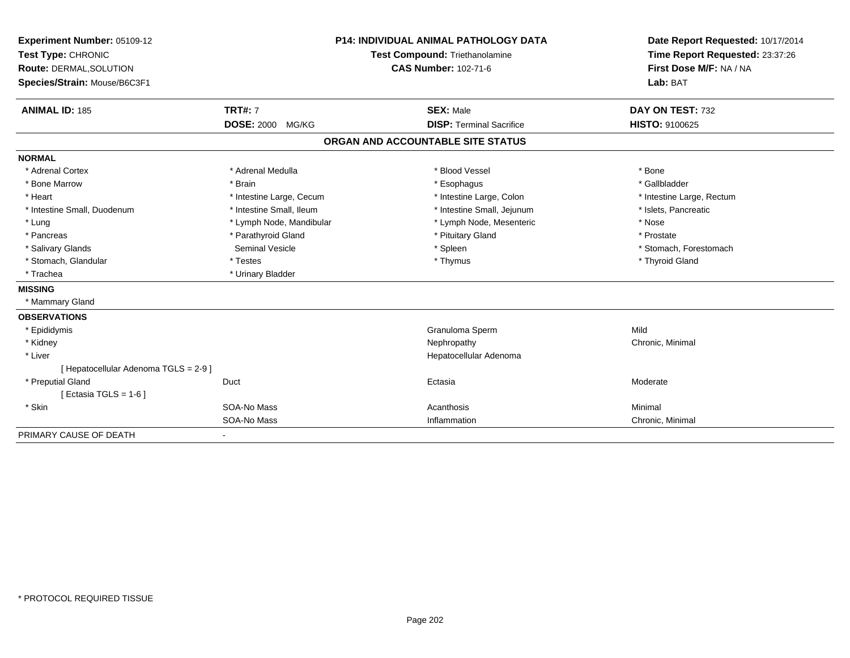| Experiment Number: 05109-12           | <b>P14: INDIVIDUAL ANIMAL PATHOLOGY DATA</b><br>Test Compound: Triethanolamine |  | Date Report Requested: 10/17/2014 |                           |  |
|---------------------------------------|--------------------------------------------------------------------------------|--|-----------------------------------|---------------------------|--|
| Test Type: CHRONIC                    |                                                                                |  | Time Report Requested: 23:37:26   |                           |  |
| Route: DERMAL, SOLUTION               |                                                                                |  | <b>CAS Number: 102-71-6</b>       | First Dose M/F: NA / NA   |  |
| Species/Strain: Mouse/B6C3F1          |                                                                                |  |                                   | Lab: BAT                  |  |
| <b>ANIMAL ID: 185</b>                 | <b>TRT#: 7</b>                                                                 |  | <b>SEX: Male</b>                  | DAY ON TEST: 732          |  |
|                                       | <b>DOSE: 2000 MG/KG</b>                                                        |  | <b>DISP: Terminal Sacrifice</b>   | HISTO: 9100625            |  |
|                                       |                                                                                |  | ORGAN AND ACCOUNTABLE SITE STATUS |                           |  |
| <b>NORMAL</b>                         |                                                                                |  |                                   |                           |  |
| * Adrenal Cortex                      | * Adrenal Medulla                                                              |  | * Blood Vessel                    | * Bone                    |  |
| * Bone Marrow                         | * Brain                                                                        |  | * Esophagus                       | * Gallbladder             |  |
| * Heart                               | * Intestine Large, Cecum                                                       |  | * Intestine Large, Colon          | * Intestine Large, Rectum |  |
| * Intestine Small, Duodenum           | * Intestine Small, Ileum                                                       |  | * Intestine Small, Jejunum        | * Islets, Pancreatic      |  |
| * Lung                                | * Lymph Node, Mandibular                                                       |  | * Lymph Node, Mesenteric          | * Nose                    |  |
| * Pancreas                            | * Parathyroid Gland                                                            |  | * Pituitary Gland                 | * Prostate                |  |
| * Salivary Glands                     | <b>Seminal Vesicle</b>                                                         |  | * Spleen                          | * Stomach, Forestomach    |  |
| * Stomach, Glandular                  | * Testes                                                                       |  | * Thymus                          | * Thyroid Gland           |  |
| * Trachea                             | * Urinary Bladder                                                              |  |                                   |                           |  |
| <b>MISSING</b>                        |                                                                                |  |                                   |                           |  |
| * Mammary Gland                       |                                                                                |  |                                   |                           |  |
| <b>OBSERVATIONS</b>                   |                                                                                |  |                                   |                           |  |
| * Epididymis                          |                                                                                |  | Granuloma Sperm                   | Mild                      |  |
| * Kidney                              |                                                                                |  | Nephropathy                       | Chronic, Minimal          |  |
| * Liver                               |                                                                                |  | Hepatocellular Adenoma            |                           |  |
| [ Hepatocellular Adenoma TGLS = 2-9 ] |                                                                                |  |                                   |                           |  |
| * Preputial Gland                     | Duct                                                                           |  | Ectasia                           | Moderate                  |  |
| [ Ectasia TGLS = $1-6$ ]              |                                                                                |  |                                   |                           |  |
| * Skin                                | SOA-No Mass                                                                    |  | Acanthosis                        | Minimal                   |  |
|                                       | SOA-No Mass                                                                    |  | Inflammation                      | Chronic, Minimal          |  |
| PRIMARY CAUSE OF DEATH                | ٠                                                                              |  |                                   |                           |  |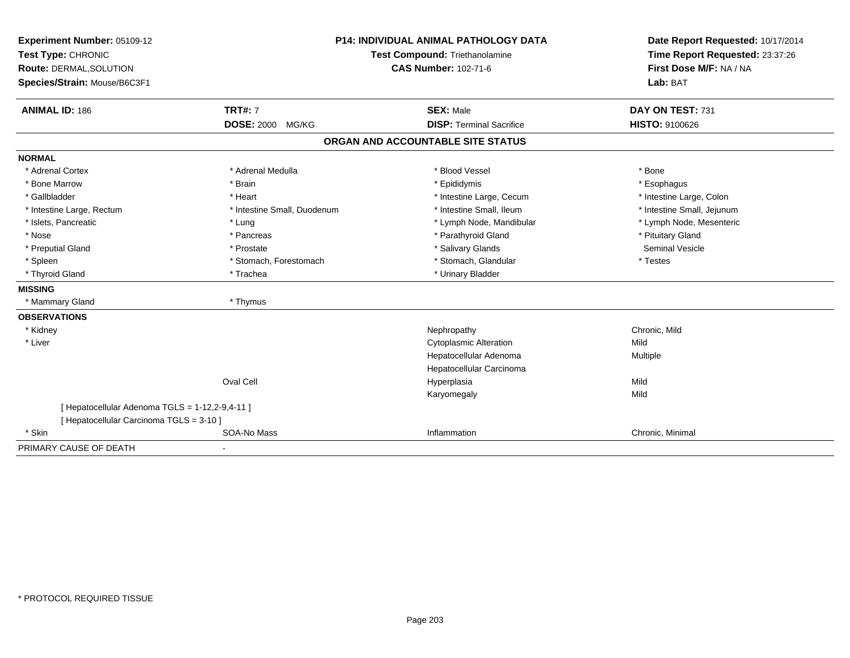| Experiment Number: 05109-12                     |                             | <b>P14: INDIVIDUAL ANIMAL PATHOLOGY DATA</b><br>Test Compound: Triethanolamine<br><b>CAS Number: 102-71-6</b> |                                     |
|-------------------------------------------------|-----------------------------|---------------------------------------------------------------------------------------------------------------|-------------------------------------|
| Test Type: CHRONIC                              |                             |                                                                                                               |                                     |
| Route: DERMAL, SOLUTION                         |                             |                                                                                                               |                                     |
| Species/Strain: Mouse/B6C3F1                    |                             |                                                                                                               | First Dose M/F: NA / NA<br>Lab: BAT |
|                                                 |                             |                                                                                                               |                                     |
| <b>ANIMAL ID: 186</b>                           | <b>TRT#: 7</b>              | <b>SEX: Male</b>                                                                                              | DAY ON TEST: 731                    |
|                                                 | <b>DOSE: 2000 MG/KG</b>     | <b>DISP: Terminal Sacrifice</b>                                                                               | <b>HISTO: 9100626</b>               |
|                                                 |                             | ORGAN AND ACCOUNTABLE SITE STATUS                                                                             |                                     |
| <b>NORMAL</b>                                   |                             |                                                                                                               |                                     |
| * Adrenal Cortex                                | * Adrenal Medulla           | * Blood Vessel                                                                                                | * Bone                              |
| * Bone Marrow                                   | * Brain                     | * Epididymis                                                                                                  | * Esophagus                         |
| * Gallbladder                                   | * Heart                     | * Intestine Large, Cecum                                                                                      | * Intestine Large, Colon            |
| * Intestine Large, Rectum                       | * Intestine Small, Duodenum | * Intestine Small, Ileum                                                                                      | * Intestine Small, Jejunum          |
| * Islets, Pancreatic                            | * Lung                      | * Lymph Node, Mandibular                                                                                      | * Lymph Node, Mesenteric            |
| * Nose                                          | * Pancreas                  | * Parathyroid Gland                                                                                           | * Pituitary Gland                   |
| * Preputial Gland                               | * Prostate                  | * Salivary Glands                                                                                             | <b>Seminal Vesicle</b>              |
| * Spleen                                        | * Stomach, Forestomach      | * Stomach, Glandular                                                                                          | * Testes                            |
| * Thyroid Gland                                 | * Trachea                   | * Urinary Bladder                                                                                             |                                     |
| <b>MISSING</b>                                  |                             |                                                                                                               |                                     |
| * Mammary Gland                                 | * Thymus                    |                                                                                                               |                                     |
| <b>OBSERVATIONS</b>                             |                             |                                                                                                               |                                     |
| * Kidney                                        |                             | Nephropathy                                                                                                   | Chronic, Mild                       |
| * Liver                                         |                             | <b>Cytoplasmic Alteration</b>                                                                                 | Mild                                |
|                                                 |                             | Hepatocellular Adenoma                                                                                        | Multiple                            |
|                                                 |                             | Hepatocellular Carcinoma                                                                                      |                                     |
|                                                 | Oval Cell                   | Hyperplasia                                                                                                   | Mild                                |
|                                                 |                             | Karyomegaly                                                                                                   | Mild                                |
| [ Hepatocellular Adenoma TGLS = 1-12,2-9,4-11 ] |                             |                                                                                                               |                                     |
| [ Hepatocellular Carcinoma TGLS = 3-10 ]        |                             |                                                                                                               |                                     |
| * Skin                                          | SOA-No Mass                 | Inflammation                                                                                                  | Chronic, Minimal                    |
| PRIMARY CAUSE OF DEATH                          | $\blacksquare$              |                                                                                                               |                                     |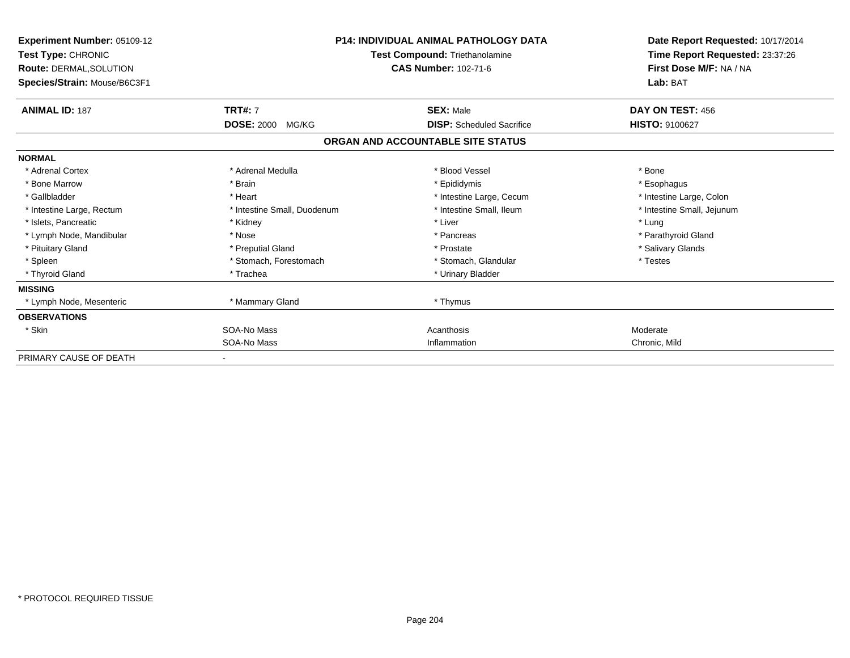| Experiment Number: 05109-12<br>Test Type: CHRONIC<br><b>Route: DERMAL, SOLUTION</b><br>Species/Strain: Mouse/B6C3F1 | <b>P14: INDIVIDUAL ANIMAL PATHOLOGY DATA</b><br>Test Compound: Triethanolamine<br><b>CAS Number: 102-71-6</b> |                                   | Date Report Requested: 10/17/2014<br>Time Report Requested: 23:37:26<br>First Dose M/F: NA / NA<br>Lab: BAT |  |
|---------------------------------------------------------------------------------------------------------------------|---------------------------------------------------------------------------------------------------------------|-----------------------------------|-------------------------------------------------------------------------------------------------------------|--|
| <b>ANIMAL ID: 187</b>                                                                                               | <b>TRT#: 7</b>                                                                                                | <b>SEX: Male</b>                  | DAY ON TEST: 456                                                                                            |  |
|                                                                                                                     | <b>DOSE: 2000</b><br>MG/KG                                                                                    | <b>DISP:</b> Scheduled Sacrifice  | <b>HISTO: 9100627</b>                                                                                       |  |
|                                                                                                                     |                                                                                                               | ORGAN AND ACCOUNTABLE SITE STATUS |                                                                                                             |  |
| <b>NORMAL</b>                                                                                                       |                                                                                                               |                                   |                                                                                                             |  |
| * Adrenal Cortex                                                                                                    | * Adrenal Medulla                                                                                             | * Blood Vessel                    | * Bone                                                                                                      |  |
| * Bone Marrow                                                                                                       | * Brain                                                                                                       | * Epididymis                      | * Esophagus                                                                                                 |  |
| * Gallbladder                                                                                                       | * Heart                                                                                                       | * Intestine Large, Cecum          | * Intestine Large, Colon                                                                                    |  |
| * Intestine Large, Rectum                                                                                           | * Intestine Small, Duodenum                                                                                   | * Intestine Small, Ileum          | * Intestine Small, Jejunum                                                                                  |  |
| * Islets, Pancreatic                                                                                                | * Kidney                                                                                                      | * Liver                           | * Lung                                                                                                      |  |
| * Lymph Node, Mandibular                                                                                            | * Nose                                                                                                        | * Pancreas                        | * Parathyroid Gland                                                                                         |  |
| * Pituitary Gland                                                                                                   | * Preputial Gland                                                                                             | * Prostate                        | * Salivary Glands                                                                                           |  |
| * Spleen                                                                                                            | * Stomach, Forestomach                                                                                        | * Stomach, Glandular              | * Testes                                                                                                    |  |
| * Thyroid Gland                                                                                                     | * Trachea                                                                                                     | * Urinary Bladder                 |                                                                                                             |  |
| <b>MISSING</b>                                                                                                      |                                                                                                               |                                   |                                                                                                             |  |
| * Lymph Node, Mesenteric                                                                                            | * Mammary Gland                                                                                               | * Thymus                          |                                                                                                             |  |
| <b>OBSERVATIONS</b>                                                                                                 |                                                                                                               |                                   |                                                                                                             |  |
| * Skin                                                                                                              | SOA-No Mass                                                                                                   | Acanthosis                        | Moderate                                                                                                    |  |
|                                                                                                                     | SOA-No Mass                                                                                                   | Inflammation                      | Chronic, Mild                                                                                               |  |
| PRIMARY CAUSE OF DEATH                                                                                              |                                                                                                               |                                   |                                                                                                             |  |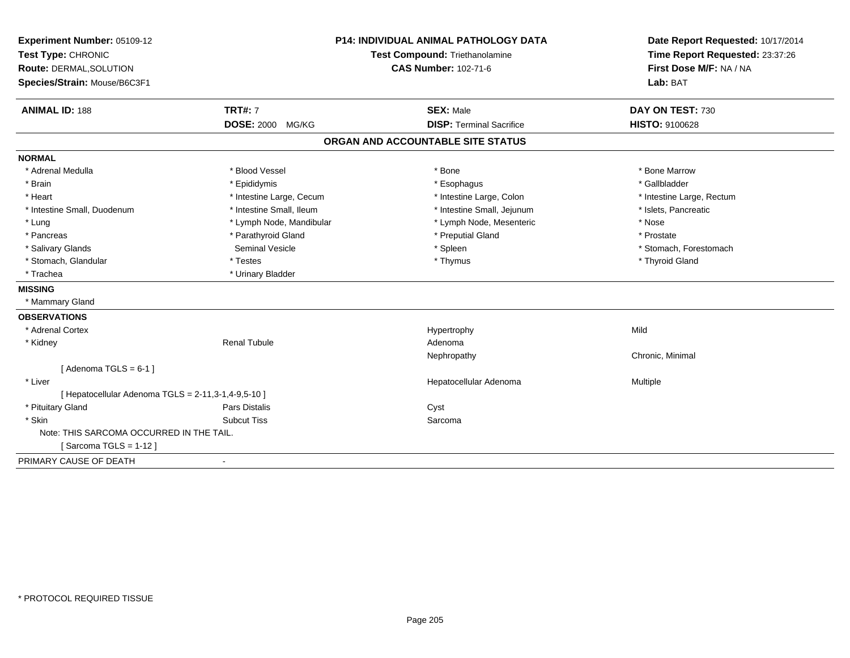| Experiment Number: 05109-12<br>Test Type: CHRONIC<br>Route: DERMAL, SOLUTION<br>Species/Strain: Mouse/B6C3F1 | <b>P14: INDIVIDUAL ANIMAL PATHOLOGY DATA</b><br>Test Compound: Triethanolamine<br><b>CAS Number: 102-71-6</b> |                                   | Date Report Requested: 10/17/2014<br>Time Report Requested: 23:37:26<br>First Dose M/F: NA / NA<br>Lab: BAT |  |
|--------------------------------------------------------------------------------------------------------------|---------------------------------------------------------------------------------------------------------------|-----------------------------------|-------------------------------------------------------------------------------------------------------------|--|
| <b>ANIMAL ID: 188</b>                                                                                        | <b>TRT#: 7</b>                                                                                                | <b>SEX: Male</b>                  | DAY ON TEST: 730                                                                                            |  |
|                                                                                                              | <b>DOSE: 2000 MG/KG</b>                                                                                       | <b>DISP: Terminal Sacrifice</b>   | <b>HISTO: 9100628</b>                                                                                       |  |
|                                                                                                              |                                                                                                               | ORGAN AND ACCOUNTABLE SITE STATUS |                                                                                                             |  |
| <b>NORMAL</b>                                                                                                |                                                                                                               |                                   |                                                                                                             |  |
| * Adrenal Medulla                                                                                            | * Blood Vessel                                                                                                | * Bone                            | * Bone Marrow                                                                                               |  |
| * Brain                                                                                                      | * Epididymis                                                                                                  | * Esophagus                       | * Gallbladder                                                                                               |  |
| * Heart                                                                                                      | * Intestine Large, Cecum                                                                                      | * Intestine Large, Colon          | * Intestine Large, Rectum                                                                                   |  |
| * Intestine Small, Duodenum                                                                                  | * Intestine Small, Ileum                                                                                      | * Intestine Small, Jejunum        | * Islets, Pancreatic                                                                                        |  |
| * Lung                                                                                                       | * Lymph Node, Mandibular                                                                                      | * Lymph Node, Mesenteric          | * Nose                                                                                                      |  |
| * Pancreas                                                                                                   | * Parathyroid Gland                                                                                           | * Preputial Gland                 | * Prostate                                                                                                  |  |
| * Salivary Glands                                                                                            | <b>Seminal Vesicle</b>                                                                                        | * Spleen                          | * Stomach, Forestomach                                                                                      |  |
| * Stomach, Glandular                                                                                         | * Testes                                                                                                      | * Thymus                          | * Thyroid Gland                                                                                             |  |
| * Trachea                                                                                                    | * Urinary Bladder                                                                                             |                                   |                                                                                                             |  |
| <b>MISSING</b>                                                                                               |                                                                                                               |                                   |                                                                                                             |  |
| * Mammary Gland                                                                                              |                                                                                                               |                                   |                                                                                                             |  |
| <b>OBSERVATIONS</b>                                                                                          |                                                                                                               |                                   |                                                                                                             |  |
| * Adrenal Cortex                                                                                             |                                                                                                               | Hypertrophy                       | Mild                                                                                                        |  |
| * Kidney                                                                                                     | <b>Renal Tubule</b>                                                                                           | Adenoma                           |                                                                                                             |  |
|                                                                                                              |                                                                                                               | Nephropathy                       | Chronic, Minimal                                                                                            |  |
| [Adenoma TGLS = $6-1$ ]                                                                                      |                                                                                                               |                                   |                                                                                                             |  |
| * Liver                                                                                                      |                                                                                                               | Hepatocellular Adenoma            | <b>Multiple</b>                                                                                             |  |
| [ Hepatocellular Adenoma TGLS = 2-11,3-1,4-9,5-10 ]                                                          |                                                                                                               |                                   |                                                                                                             |  |
| * Pituitary Gland                                                                                            | Pars Distalis                                                                                                 | Cyst                              |                                                                                                             |  |
| * Skin                                                                                                       | <b>Subcut Tiss</b>                                                                                            | Sarcoma                           |                                                                                                             |  |
| Note: THIS SARCOMA OCCURRED IN THE TAIL.                                                                     |                                                                                                               |                                   |                                                                                                             |  |
| [Sarcoma TGLS = 1-12]                                                                                        |                                                                                                               |                                   |                                                                                                             |  |
| PRIMARY CAUSE OF DEATH                                                                                       | $\blacksquare$                                                                                                |                                   |                                                                                                             |  |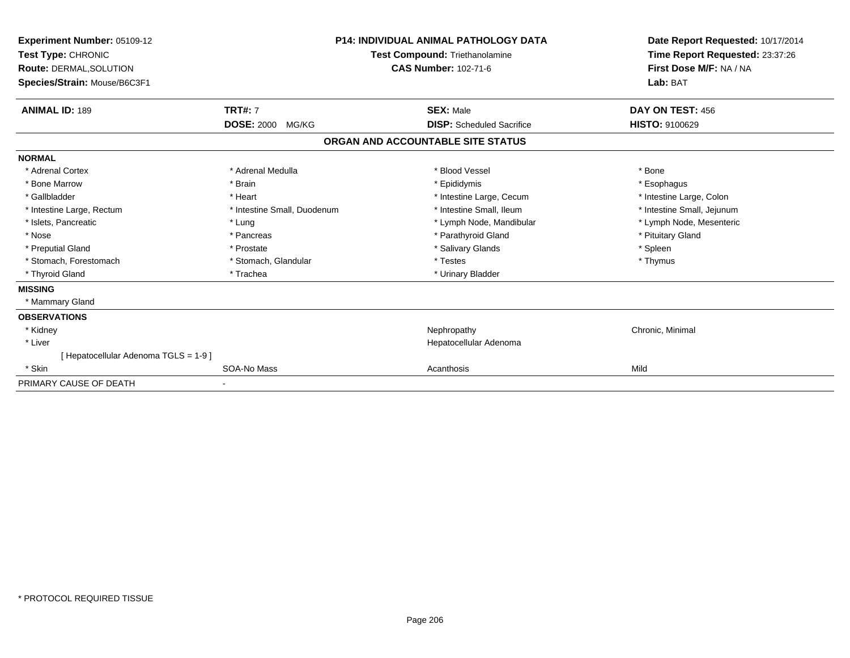| <b>Experiment Number: 05109-12</b><br>Test Type: CHRONIC<br><b>Route: DERMAL, SOLUTION</b><br>Species/Strain: Mouse/B6C3F1 | <b>P14: INDIVIDUAL ANIMAL PATHOLOGY DATA</b><br>Test Compound: Triethanolamine<br><b>CAS Number: 102-71-6</b> |  | Date Report Requested: 10/17/2014<br>Time Report Requested: 23:37:26<br>First Dose M/F: NA / NA<br>Lab: BAT |                            |
|----------------------------------------------------------------------------------------------------------------------------|---------------------------------------------------------------------------------------------------------------|--|-------------------------------------------------------------------------------------------------------------|----------------------------|
| <b>ANIMAL ID: 189</b>                                                                                                      | <b>TRT#: 7</b>                                                                                                |  | <b>SEX: Male</b>                                                                                            | DAY ON TEST: 456           |
|                                                                                                                            | <b>DOSE: 2000 MG/KG</b>                                                                                       |  | <b>DISP:</b> Scheduled Sacrifice                                                                            | <b>HISTO: 9100629</b>      |
|                                                                                                                            |                                                                                                               |  | ORGAN AND ACCOUNTABLE SITE STATUS                                                                           |                            |
| <b>NORMAL</b>                                                                                                              |                                                                                                               |  |                                                                                                             |                            |
| * Adrenal Cortex                                                                                                           | * Adrenal Medulla                                                                                             |  | * Blood Vessel                                                                                              | * Bone                     |
| * Bone Marrow                                                                                                              | * Brain                                                                                                       |  | * Epididymis                                                                                                | * Esophagus                |
| * Gallbladder                                                                                                              | * Heart                                                                                                       |  | * Intestine Large, Cecum                                                                                    | * Intestine Large, Colon   |
| * Intestine Large, Rectum                                                                                                  | * Intestine Small, Duodenum                                                                                   |  | * Intestine Small, Ileum                                                                                    | * Intestine Small, Jejunum |
| * Islets, Pancreatic                                                                                                       | * Lung                                                                                                        |  | * Lymph Node, Mandibular                                                                                    | * Lymph Node, Mesenteric   |
| * Nose                                                                                                                     | * Pancreas                                                                                                    |  | * Parathyroid Gland                                                                                         | * Pituitary Gland          |
| * Preputial Gland                                                                                                          | * Prostate                                                                                                    |  | * Salivary Glands                                                                                           | * Spleen                   |
| * Stomach, Forestomach                                                                                                     | * Stomach, Glandular                                                                                          |  | * Testes                                                                                                    | * Thymus                   |
| * Thyroid Gland                                                                                                            | * Trachea                                                                                                     |  | * Urinary Bladder                                                                                           |                            |
| <b>MISSING</b>                                                                                                             |                                                                                                               |  |                                                                                                             |                            |
| * Mammary Gland                                                                                                            |                                                                                                               |  |                                                                                                             |                            |
| <b>OBSERVATIONS</b>                                                                                                        |                                                                                                               |  |                                                                                                             |                            |
| * Kidney                                                                                                                   |                                                                                                               |  | Nephropathy                                                                                                 | Chronic, Minimal           |
| * Liver                                                                                                                    |                                                                                                               |  | Hepatocellular Adenoma                                                                                      |                            |
| [Hepatocellular Adenoma TGLS = 1-9]                                                                                        |                                                                                                               |  |                                                                                                             |                            |
| * Skin                                                                                                                     | SOA-No Mass                                                                                                   |  | Acanthosis                                                                                                  | Mild                       |
| PRIMARY CAUSE OF DEATH                                                                                                     |                                                                                                               |  |                                                                                                             |                            |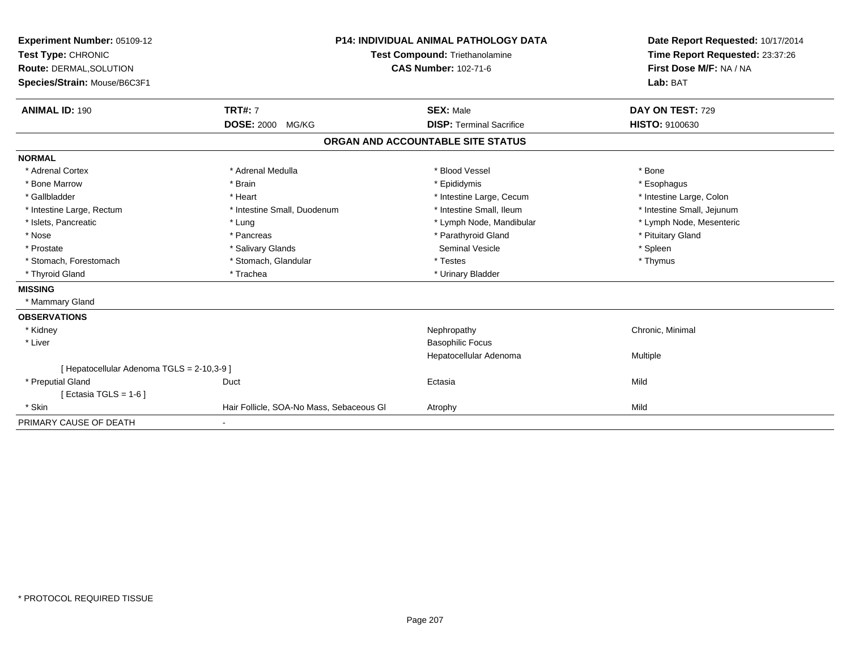| Experiment Number: 05109-12<br>Test Type: CHRONIC<br><b>Route: DERMAL, SOLUTION</b><br>Species/Strain: Mouse/B6C3F1<br><b>ANIMAL ID: 190</b>                                                                      | <b>TRT#: 7</b><br>DOSE: 2000 MG/KG                                                                                                                       | <b>P14: INDIVIDUAL ANIMAL PATHOLOGY DATA</b><br><b>Test Compound: Triethanolamine</b><br><b>CAS Number: 102-71-6</b><br><b>SEX: Male</b><br><b>DISP: Terminal Sacrifice</b>                   | Date Report Requested: 10/17/2014<br>Time Report Requested: 23:37:26<br>First Dose M/F: NA / NA<br>Lab: BAT<br>DAY ON TEST: 729<br><b>HISTO: 9100630</b> |
|-------------------------------------------------------------------------------------------------------------------------------------------------------------------------------------------------------------------|----------------------------------------------------------------------------------------------------------------------------------------------------------|-----------------------------------------------------------------------------------------------------------------------------------------------------------------------------------------------|----------------------------------------------------------------------------------------------------------------------------------------------------------|
|                                                                                                                                                                                                                   |                                                                                                                                                          | ORGAN AND ACCOUNTABLE SITE STATUS                                                                                                                                                             |                                                                                                                                                          |
| <b>NORMAL</b>                                                                                                                                                                                                     |                                                                                                                                                          |                                                                                                                                                                                               |                                                                                                                                                          |
| * Adrenal Cortex<br>* Bone Marrow<br>* Gallbladder<br>* Intestine Large, Rectum<br>* Islets, Pancreatic<br>* Nose<br>* Prostate<br>* Stomach, Forestomach<br>* Thyroid Gland<br><b>MISSING</b><br>* Mammary Gland | * Adrenal Medulla<br>* Brain<br>* Heart<br>* Intestine Small, Duodenum<br>* Lung<br>* Pancreas<br>* Salivary Glands<br>* Stomach, Glandular<br>* Trachea | * Blood Vessel<br>* Epididymis<br>* Intestine Large, Cecum<br>* Intestine Small, Ileum<br>* Lymph Node, Mandibular<br>* Parathyroid Gland<br>Seminal Vesicle<br>* Testes<br>* Urinary Bladder | * Bone<br>* Esophagus<br>* Intestine Large, Colon<br>* Intestine Small, Jejunum<br>* Lymph Node, Mesenteric<br>* Pituitary Gland<br>* Spleen<br>* Thymus |
| <b>OBSERVATIONS</b>                                                                                                                                                                                               |                                                                                                                                                          |                                                                                                                                                                                               |                                                                                                                                                          |
| * Kidney<br>* Liver                                                                                                                                                                                               |                                                                                                                                                          | Nephropathy<br><b>Basophilic Focus</b><br>Hepatocellular Adenoma                                                                                                                              | Chronic, Minimal<br>Multiple                                                                                                                             |
| [ Hepatocellular Adenoma TGLS = 2-10,3-9 ]                                                                                                                                                                        |                                                                                                                                                          |                                                                                                                                                                                               |                                                                                                                                                          |
| * Preputial Gland<br>[ Ectasia TGLS = $1-6$ ]                                                                                                                                                                     | Duct                                                                                                                                                     | Ectasia                                                                                                                                                                                       | Mild                                                                                                                                                     |
| * Skin                                                                                                                                                                                                            | Hair Follicle, SOA-No Mass, Sebaceous GI                                                                                                                 | Atrophy                                                                                                                                                                                       | Mild                                                                                                                                                     |
| PRIMARY CAUSE OF DEATH                                                                                                                                                                                            | $\blacksquare$                                                                                                                                           |                                                                                                                                                                                               |                                                                                                                                                          |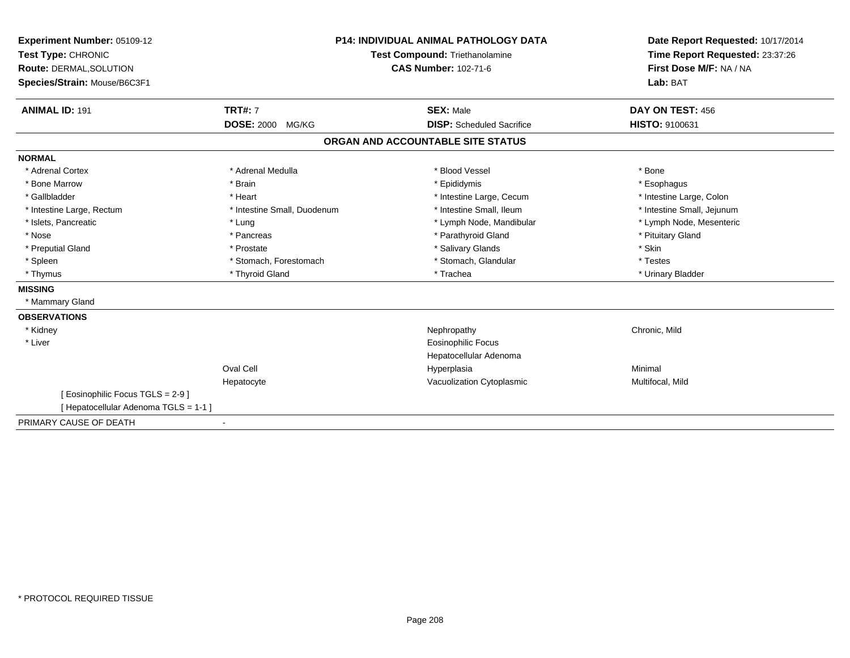| Experiment Number: 05109-12<br>Test Type: CHRONIC<br>Route: DERMAL, SOLUTION<br>Species/Strain: Mouse/B6C3F1<br><b>ANIMAL ID: 191</b> | <b>P14: INDIVIDUAL ANIMAL PATHOLOGY DATA</b><br>Test Compound: Triethanolamine<br><b>CAS Number: 102-71-6</b><br><b>TRT#: 7</b><br><b>SEX: Male</b><br><b>DOSE: 2000 MG/KG</b><br><b>DISP:</b> Scheduled Sacrifice |                                   | Date Report Requested: 10/17/2014<br>Time Report Requested: 23:37:26<br>First Dose M/F: NA / NA<br>Lab: BAT<br>DAY ON TEST: 456<br>HISTO: 9100631 |
|---------------------------------------------------------------------------------------------------------------------------------------|--------------------------------------------------------------------------------------------------------------------------------------------------------------------------------------------------------------------|-----------------------------------|---------------------------------------------------------------------------------------------------------------------------------------------------|
|                                                                                                                                       |                                                                                                                                                                                                                    | ORGAN AND ACCOUNTABLE SITE STATUS |                                                                                                                                                   |
| <b>NORMAL</b>                                                                                                                         |                                                                                                                                                                                                                    |                                   |                                                                                                                                                   |
| * Adrenal Cortex                                                                                                                      | * Adrenal Medulla                                                                                                                                                                                                  | * Blood Vessel                    | * Bone                                                                                                                                            |
| * Bone Marrow                                                                                                                         | * Brain                                                                                                                                                                                                            | * Epididymis                      | * Esophagus                                                                                                                                       |
| * Gallbladder                                                                                                                         | * Heart                                                                                                                                                                                                            | * Intestine Large, Cecum          | * Intestine Large, Colon                                                                                                                          |
| * Intestine Large, Rectum                                                                                                             | * Intestine Small, Duodenum                                                                                                                                                                                        | * Intestine Small, Ileum          | * Intestine Small, Jejunum                                                                                                                        |
| * Islets, Pancreatic                                                                                                                  | * Lung                                                                                                                                                                                                             | * Lymph Node, Mandibular          | * Lymph Node, Mesenteric                                                                                                                          |
| * Nose                                                                                                                                | * Pancreas                                                                                                                                                                                                         | * Parathyroid Gland               | * Pituitary Gland                                                                                                                                 |
| * Preputial Gland                                                                                                                     | * Prostate                                                                                                                                                                                                         | * Salivary Glands                 | * Skin                                                                                                                                            |
| * Spleen                                                                                                                              | * Stomach, Forestomach                                                                                                                                                                                             | * Stomach, Glandular              | * Testes                                                                                                                                          |
| * Thymus                                                                                                                              | * Thyroid Gland                                                                                                                                                                                                    | * Trachea                         | * Urinary Bladder                                                                                                                                 |
| <b>MISSING</b>                                                                                                                        |                                                                                                                                                                                                                    |                                   |                                                                                                                                                   |
| * Mammary Gland                                                                                                                       |                                                                                                                                                                                                                    |                                   |                                                                                                                                                   |
| <b>OBSERVATIONS</b>                                                                                                                   |                                                                                                                                                                                                                    |                                   |                                                                                                                                                   |
| * Kidney                                                                                                                              |                                                                                                                                                                                                                    | Nephropathy                       | Chronic, Mild                                                                                                                                     |
| * Liver                                                                                                                               |                                                                                                                                                                                                                    | <b>Eosinophilic Focus</b>         |                                                                                                                                                   |
|                                                                                                                                       |                                                                                                                                                                                                                    | Hepatocellular Adenoma            |                                                                                                                                                   |
|                                                                                                                                       | Oval Cell                                                                                                                                                                                                          | Hyperplasia                       | Minimal                                                                                                                                           |
|                                                                                                                                       | Hepatocyte                                                                                                                                                                                                         | Vacuolization Cytoplasmic         | Multifocal, Mild                                                                                                                                  |
| [ Eosinophilic Focus TGLS = 2-9 ]                                                                                                     |                                                                                                                                                                                                                    |                                   |                                                                                                                                                   |
| [Hepatocellular Adenoma TGLS = 1-1]                                                                                                   |                                                                                                                                                                                                                    |                                   |                                                                                                                                                   |
| PRIMARY CAUSE OF DEATH                                                                                                                | $\blacksquare$                                                                                                                                                                                                     |                                   |                                                                                                                                                   |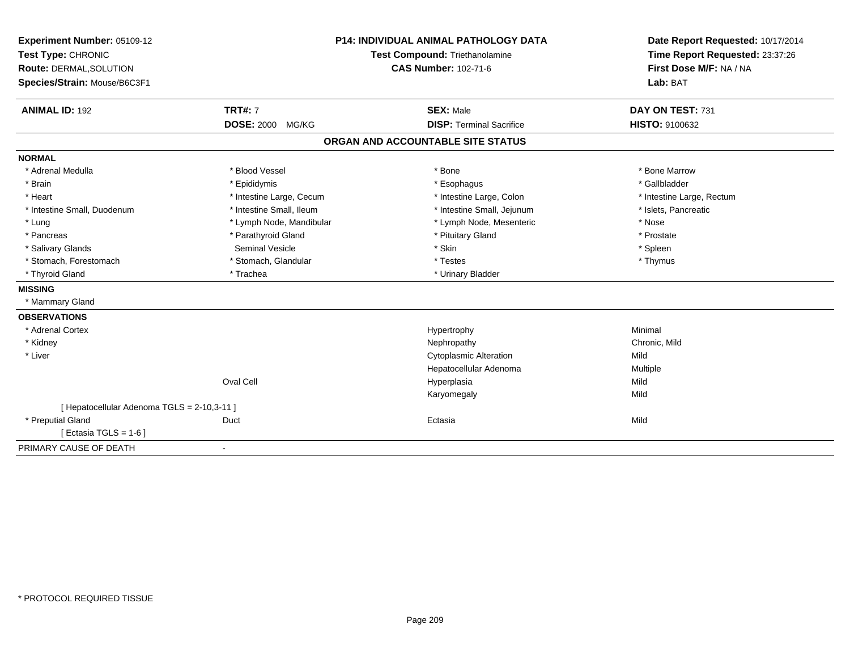| Experiment Number: 05109-12<br>Test Type: CHRONIC |                          | <b>P14: INDIVIDUAL ANIMAL PATHOLOGY DATA</b><br>Test Compound: Triethanolamine | Date Report Requested: 10/17/2014<br>Time Report Requested: 23:37:26 |  |
|---------------------------------------------------|--------------------------|--------------------------------------------------------------------------------|----------------------------------------------------------------------|--|
| Route: DERMAL, SOLUTION                           |                          | <b>CAS Number: 102-71-6</b>                                                    | First Dose M/F: NA / NA                                              |  |
| Species/Strain: Mouse/B6C3F1                      |                          |                                                                                | Lab: BAT                                                             |  |
| <b>ANIMAL ID: 192</b>                             | <b>TRT#: 7</b>           | <b>SEX: Male</b>                                                               | DAY ON TEST: 731                                                     |  |
|                                                   | DOSE: 2000 MG/KG         | <b>DISP: Terminal Sacrifice</b>                                                | HISTO: 9100632                                                       |  |
|                                                   |                          | ORGAN AND ACCOUNTABLE SITE STATUS                                              |                                                                      |  |
| <b>NORMAL</b>                                     |                          |                                                                                |                                                                      |  |
| * Adrenal Medulla                                 | * Blood Vessel           | * Bone                                                                         | * Bone Marrow                                                        |  |
| * Brain                                           | * Epididymis             | * Esophagus                                                                    | * Gallbladder                                                        |  |
| * Heart                                           | * Intestine Large, Cecum | * Intestine Large, Colon                                                       | * Intestine Large, Rectum                                            |  |
| * Intestine Small, Duodenum                       | * Intestine Small, Ileum | * Intestine Small, Jejunum                                                     | * Islets, Pancreatic                                                 |  |
| * Lung                                            | * Lymph Node, Mandibular | * Lymph Node, Mesenteric                                                       | * Nose                                                               |  |
| * Pancreas                                        | * Parathyroid Gland      | * Pituitary Gland                                                              | * Prostate                                                           |  |
| * Salivary Glands                                 | <b>Seminal Vesicle</b>   | * Skin                                                                         | * Spleen                                                             |  |
| * Stomach, Forestomach                            | * Stomach, Glandular     | * Testes                                                                       | * Thymus                                                             |  |
| * Thyroid Gland                                   | * Trachea                | * Urinary Bladder                                                              |                                                                      |  |
| <b>MISSING</b>                                    |                          |                                                                                |                                                                      |  |
| * Mammary Gland                                   |                          |                                                                                |                                                                      |  |
| <b>OBSERVATIONS</b>                               |                          |                                                                                |                                                                      |  |
| * Adrenal Cortex                                  |                          | Hypertrophy                                                                    | Minimal                                                              |  |
| * Kidney                                          |                          | Nephropathy                                                                    | Chronic, Mild                                                        |  |
| * Liver                                           |                          | <b>Cytoplasmic Alteration</b>                                                  | Mild                                                                 |  |
|                                                   |                          | Hepatocellular Adenoma                                                         | Multiple                                                             |  |
|                                                   | <b>Oval Cell</b>         | Hyperplasia                                                                    | Mild                                                                 |  |
|                                                   |                          | Karyomegaly                                                                    | Mild                                                                 |  |
| [ Hepatocellular Adenoma TGLS = 2-10,3-11 ]       |                          |                                                                                |                                                                      |  |
| * Preputial Gland                                 | Duct                     | Ectasia                                                                        | Mild                                                                 |  |
| [Ectasia TGLS = $1-6$ ]                           |                          |                                                                                |                                                                      |  |
| PRIMARY CAUSE OF DEATH                            | $\blacksquare$           |                                                                                |                                                                      |  |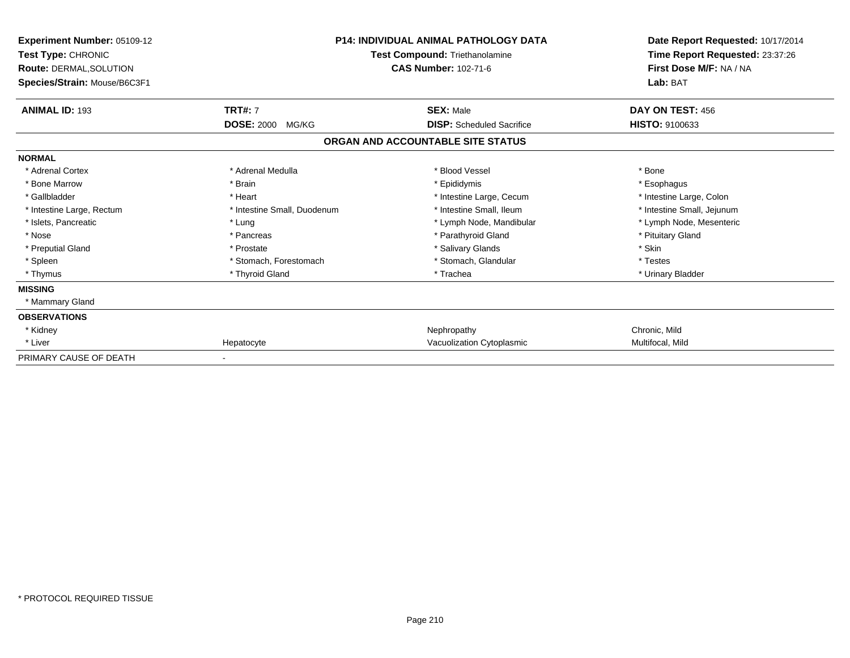| Experiment Number: 05109-12<br>Test Type: CHRONIC<br>Route: DERMAL, SOLUTION<br>Species/Strain: Mouse/B6C3F1 | <b>P14: INDIVIDUAL ANIMAL PATHOLOGY DATA</b><br>Test Compound: Triethanolamine<br><b>CAS Number: 102-71-6</b> |                                   | Date Report Requested: 10/17/2014<br>Time Report Requested: 23:37:26<br>First Dose M/F: NA / NA<br>Lab: BAT |
|--------------------------------------------------------------------------------------------------------------|---------------------------------------------------------------------------------------------------------------|-----------------------------------|-------------------------------------------------------------------------------------------------------------|
| <b>ANIMAL ID: 193</b>                                                                                        | <b>TRT#: 7</b>                                                                                                | <b>SEX: Male</b>                  | DAY ON TEST: 456                                                                                            |
|                                                                                                              | <b>DOSE: 2000</b><br>MG/KG                                                                                    | <b>DISP:</b> Scheduled Sacrifice  | <b>HISTO: 9100633</b>                                                                                       |
|                                                                                                              |                                                                                                               | ORGAN AND ACCOUNTABLE SITE STATUS |                                                                                                             |
| <b>NORMAL</b>                                                                                                |                                                                                                               |                                   |                                                                                                             |
| * Adrenal Cortex                                                                                             | * Adrenal Medulla                                                                                             | * Blood Vessel                    | * Bone                                                                                                      |
| * Bone Marrow                                                                                                | * Brain                                                                                                       | * Epididymis                      | * Esophagus                                                                                                 |
| * Gallbladder                                                                                                | * Heart                                                                                                       | * Intestine Large, Cecum          | * Intestine Large, Colon                                                                                    |
| * Intestine Large, Rectum                                                                                    | * Intestine Small, Duodenum                                                                                   | * Intestine Small, Ileum          | * Intestine Small, Jejunum                                                                                  |
| * Islets, Pancreatic                                                                                         | * Lung                                                                                                        | * Lymph Node, Mandibular          | * Lymph Node, Mesenteric                                                                                    |
| * Nose                                                                                                       | * Pancreas                                                                                                    | * Parathyroid Gland               | * Pituitary Gland                                                                                           |
| * Preputial Gland                                                                                            | * Prostate                                                                                                    | * Salivary Glands                 | * Skin                                                                                                      |
| * Spleen                                                                                                     | * Stomach, Forestomach                                                                                        | * Stomach, Glandular              | * Testes                                                                                                    |
| * Thymus                                                                                                     | * Thyroid Gland                                                                                               | * Trachea                         | * Urinary Bladder                                                                                           |
| <b>MISSING</b>                                                                                               |                                                                                                               |                                   |                                                                                                             |
| * Mammary Gland                                                                                              |                                                                                                               |                                   |                                                                                                             |
| <b>OBSERVATIONS</b>                                                                                          |                                                                                                               |                                   |                                                                                                             |
| * Kidney                                                                                                     |                                                                                                               | Nephropathy                       | Chronic, Mild                                                                                               |
| * Liver                                                                                                      | Hepatocyte                                                                                                    | Vacuolization Cytoplasmic         | Multifocal, Mild                                                                                            |
| PRIMARY CAUSE OF DEATH                                                                                       |                                                                                                               |                                   |                                                                                                             |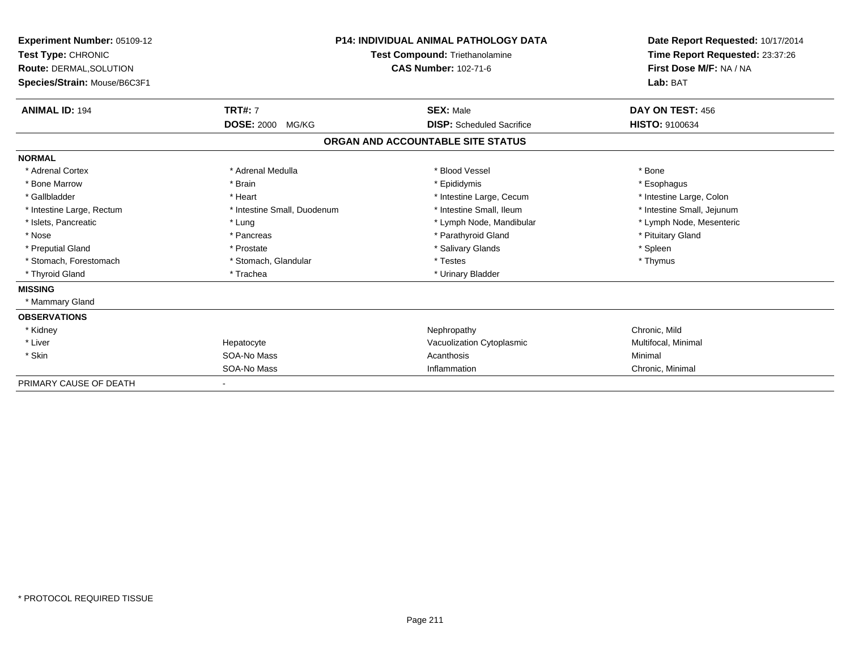| <b>Experiment Number: 05109-12</b><br>Test Type: CHRONIC<br><b>Route: DERMAL, SOLUTION</b><br>Species/Strain: Mouse/B6C3F1 |                             | <b>P14: INDIVIDUAL ANIMAL PATHOLOGY DATA</b><br>Test Compound: Triethanolamine<br><b>CAS Number: 102-71-6</b> | Date Report Requested: 10/17/2014<br>Time Report Requested: 23:37:26<br>First Dose M/F: NA / NA<br>Lab: BAT |  |
|----------------------------------------------------------------------------------------------------------------------------|-----------------------------|---------------------------------------------------------------------------------------------------------------|-------------------------------------------------------------------------------------------------------------|--|
| <b>ANIMAL ID: 194</b>                                                                                                      | <b>TRT#: 7</b>              | <b>SEX: Male</b>                                                                                              | DAY ON TEST: 456                                                                                            |  |
|                                                                                                                            | <b>DOSE: 2000 MG/KG</b>     | <b>DISP:</b> Scheduled Sacrifice                                                                              | HISTO: 9100634                                                                                              |  |
|                                                                                                                            |                             | ORGAN AND ACCOUNTABLE SITE STATUS                                                                             |                                                                                                             |  |
| <b>NORMAL</b>                                                                                                              |                             |                                                                                                               |                                                                                                             |  |
| * Adrenal Cortex                                                                                                           | * Adrenal Medulla           | * Blood Vessel                                                                                                | * Bone                                                                                                      |  |
| * Bone Marrow                                                                                                              | * Brain                     | * Epididymis                                                                                                  | * Esophagus                                                                                                 |  |
| * Gallbladder                                                                                                              | * Heart                     | * Intestine Large, Cecum                                                                                      | * Intestine Large, Colon                                                                                    |  |
| * Intestine Large, Rectum                                                                                                  | * Intestine Small, Duodenum | * Intestine Small, Ileum                                                                                      | * Intestine Small, Jejunum                                                                                  |  |
| * Islets, Pancreatic                                                                                                       | * Lung                      | * Lymph Node, Mandibular                                                                                      | * Lymph Node, Mesenteric                                                                                    |  |
| * Nose                                                                                                                     | * Pancreas                  | * Parathyroid Gland                                                                                           | * Pituitary Gland                                                                                           |  |
| * Preputial Gland                                                                                                          | * Prostate                  | * Salivary Glands                                                                                             | * Spleen                                                                                                    |  |
| * Stomach, Forestomach                                                                                                     | * Stomach, Glandular        | * Testes                                                                                                      | * Thymus                                                                                                    |  |
| * Thyroid Gland                                                                                                            | * Trachea                   | * Urinary Bladder                                                                                             |                                                                                                             |  |
| <b>MISSING</b>                                                                                                             |                             |                                                                                                               |                                                                                                             |  |
| * Mammary Gland                                                                                                            |                             |                                                                                                               |                                                                                                             |  |
| <b>OBSERVATIONS</b>                                                                                                        |                             |                                                                                                               |                                                                                                             |  |
| * Kidney                                                                                                                   |                             | Nephropathy                                                                                                   | Chronic, Mild                                                                                               |  |
| * Liver                                                                                                                    | Hepatocyte                  | Vacuolization Cytoplasmic                                                                                     | Multifocal, Minimal                                                                                         |  |
| * Skin                                                                                                                     | SOA-No Mass                 | Acanthosis                                                                                                    | Minimal                                                                                                     |  |
|                                                                                                                            | SOA-No Mass                 | Inflammation                                                                                                  | Chronic, Minimal                                                                                            |  |
| PRIMARY CAUSE OF DEATH                                                                                                     |                             |                                                                                                               |                                                                                                             |  |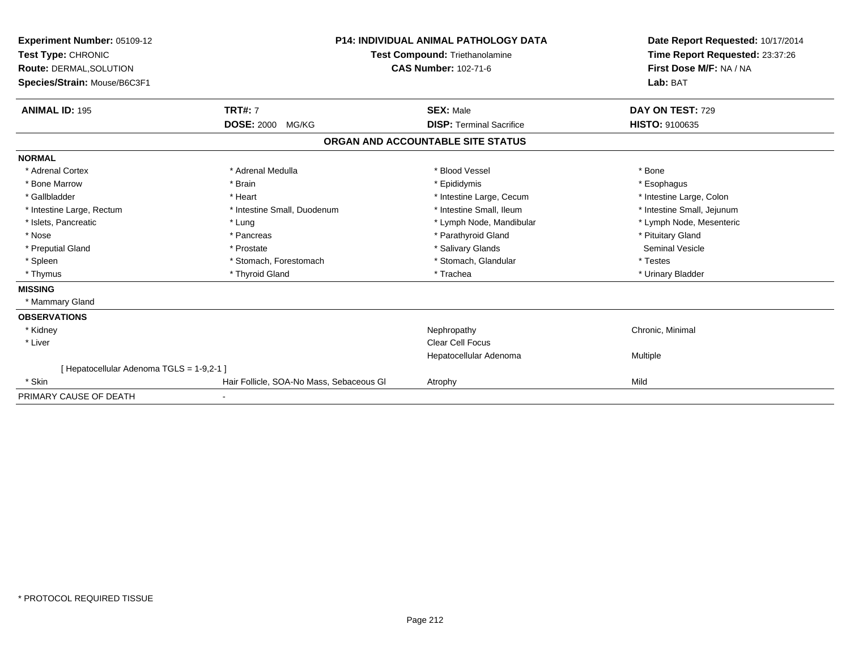| <b>Experiment Number: 05109-12</b><br>Test Type: CHRONIC<br>Route: DERMAL, SOLUTION<br>Species/Strain: Mouse/B6C3F1 | <b>P14: INDIVIDUAL ANIMAL PATHOLOGY DATA</b><br><b>Test Compound: Triethanolamine</b><br><b>CAS Number: 102-71-6</b> |                                   | Date Report Requested: 10/17/2014<br>Time Report Requested: 23:37:26<br>First Dose M/F: NA / NA<br>Lab: BAT |  |
|---------------------------------------------------------------------------------------------------------------------|----------------------------------------------------------------------------------------------------------------------|-----------------------------------|-------------------------------------------------------------------------------------------------------------|--|
| <b>ANIMAL ID: 195</b>                                                                                               | <b>TRT#: 7</b>                                                                                                       | <b>SEX: Male</b>                  | DAY ON TEST: 729                                                                                            |  |
|                                                                                                                     | <b>DOSE: 2000 MG/KG</b>                                                                                              | <b>DISP: Terminal Sacrifice</b>   | HISTO: 9100635                                                                                              |  |
|                                                                                                                     |                                                                                                                      | ORGAN AND ACCOUNTABLE SITE STATUS |                                                                                                             |  |
| <b>NORMAL</b>                                                                                                       |                                                                                                                      |                                   |                                                                                                             |  |
| * Adrenal Cortex                                                                                                    | * Adrenal Medulla                                                                                                    | * Blood Vessel                    | * Bone                                                                                                      |  |
| * Bone Marrow                                                                                                       | * Brain                                                                                                              | * Epididymis                      | * Esophagus                                                                                                 |  |
| * Gallbladder                                                                                                       | * Heart                                                                                                              | * Intestine Large, Cecum          | * Intestine Large, Colon                                                                                    |  |
| * Intestine Large, Rectum                                                                                           | * Intestine Small, Duodenum                                                                                          | * Intestine Small. Ileum          | * Intestine Small, Jejunum                                                                                  |  |
| * Islets, Pancreatic                                                                                                | * Lung                                                                                                               | * Lymph Node, Mandibular          | * Lymph Node, Mesenteric                                                                                    |  |
| * Nose                                                                                                              | * Pancreas                                                                                                           | * Parathyroid Gland               | * Pituitary Gland                                                                                           |  |
| * Preputial Gland                                                                                                   | * Prostate                                                                                                           | * Salivary Glands                 | <b>Seminal Vesicle</b>                                                                                      |  |
| * Spleen                                                                                                            | * Stomach, Forestomach                                                                                               | * Stomach, Glandular              | * Testes                                                                                                    |  |
| * Thymus                                                                                                            | * Thyroid Gland                                                                                                      | * Trachea                         | * Urinary Bladder                                                                                           |  |
| <b>MISSING</b>                                                                                                      |                                                                                                                      |                                   |                                                                                                             |  |
| * Mammary Gland                                                                                                     |                                                                                                                      |                                   |                                                                                                             |  |
| <b>OBSERVATIONS</b>                                                                                                 |                                                                                                                      |                                   |                                                                                                             |  |
| * Kidney                                                                                                            |                                                                                                                      | Nephropathy                       | Chronic, Minimal                                                                                            |  |
| * Liver                                                                                                             |                                                                                                                      | Clear Cell Focus                  |                                                                                                             |  |
|                                                                                                                     |                                                                                                                      | Hepatocellular Adenoma            | Multiple                                                                                                    |  |
| [Hepatocellular Adenoma TGLS = 1-9,2-1]                                                                             |                                                                                                                      |                                   |                                                                                                             |  |
| * Skin                                                                                                              | Hair Follicle, SOA-No Mass, Sebaceous GI                                                                             | Atrophy                           | Mild                                                                                                        |  |
| PRIMARY CAUSE OF DEATH                                                                                              |                                                                                                                      |                                   |                                                                                                             |  |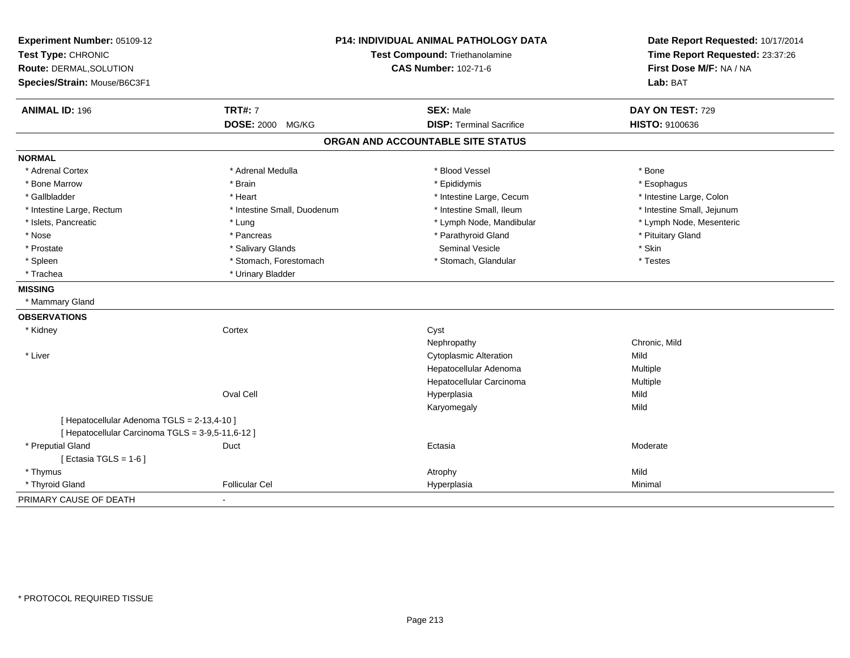| Experiment Number: 05109-12<br>Test Type: CHRONIC<br>Route: DERMAL, SOLUTION<br>Species/Strain: Mouse/B6C3F1 | P14: INDIVIDUAL ANIMAL PATHOLOGY DATA<br>Test Compound: Triethanolamine<br><b>CAS Number: 102-71-6</b> |                                   | Date Report Requested: 10/17/2014<br>Time Report Requested: 23:37:26<br>First Dose M/F: NA / NA<br>Lab: BAT |  |
|--------------------------------------------------------------------------------------------------------------|--------------------------------------------------------------------------------------------------------|-----------------------------------|-------------------------------------------------------------------------------------------------------------|--|
| <b>ANIMAL ID: 196</b>                                                                                        | <b>TRT#: 7</b>                                                                                         | <b>SEX: Male</b>                  | DAY ON TEST: 729                                                                                            |  |
|                                                                                                              | <b>DOSE: 2000 MG/KG</b>                                                                                | <b>DISP: Terminal Sacrifice</b>   | HISTO: 9100636                                                                                              |  |
|                                                                                                              |                                                                                                        | ORGAN AND ACCOUNTABLE SITE STATUS |                                                                                                             |  |
| <b>NORMAL</b>                                                                                                |                                                                                                        |                                   |                                                                                                             |  |
| * Adrenal Cortex                                                                                             | * Adrenal Medulla                                                                                      | * Blood Vessel                    | * Bone                                                                                                      |  |
| * Bone Marrow                                                                                                | * Brain                                                                                                | * Epididymis                      | * Esophagus                                                                                                 |  |
| * Gallbladder                                                                                                | * Heart                                                                                                | * Intestine Large, Cecum          | * Intestine Large, Colon                                                                                    |  |
| * Intestine Large, Rectum                                                                                    | * Intestine Small, Duodenum                                                                            | * Intestine Small, Ileum          | * Intestine Small, Jejunum                                                                                  |  |
| * Islets, Pancreatic                                                                                         | * Lung                                                                                                 | * Lymph Node, Mandibular          | * Lymph Node, Mesenteric                                                                                    |  |
| * Nose                                                                                                       | * Pancreas                                                                                             | * Parathyroid Gland               | * Pituitary Gland                                                                                           |  |
| * Prostate                                                                                                   | * Salivary Glands                                                                                      | <b>Seminal Vesicle</b>            | * Skin                                                                                                      |  |
| * Spleen                                                                                                     | * Stomach, Forestomach                                                                                 | * Stomach, Glandular              | * Testes                                                                                                    |  |
| * Trachea                                                                                                    | * Urinary Bladder                                                                                      |                                   |                                                                                                             |  |
| <b>MISSING</b>                                                                                               |                                                                                                        |                                   |                                                                                                             |  |
| * Mammary Gland                                                                                              |                                                                                                        |                                   |                                                                                                             |  |
| <b>OBSERVATIONS</b>                                                                                          |                                                                                                        |                                   |                                                                                                             |  |
| * Kidney                                                                                                     | Cortex                                                                                                 | Cyst                              |                                                                                                             |  |
|                                                                                                              |                                                                                                        | Nephropathy                       | Chronic, Mild                                                                                               |  |
| * Liver                                                                                                      |                                                                                                        | <b>Cytoplasmic Alteration</b>     | Mild                                                                                                        |  |
|                                                                                                              |                                                                                                        | Hepatocellular Adenoma            | Multiple                                                                                                    |  |
|                                                                                                              |                                                                                                        | Hepatocellular Carcinoma          | Multiple                                                                                                    |  |
|                                                                                                              | Oval Cell                                                                                              | Hyperplasia                       | Mild                                                                                                        |  |
|                                                                                                              |                                                                                                        | Karyomegaly                       | Mild                                                                                                        |  |
| [ Hepatocellular Adenoma TGLS = 2-13,4-10 ]                                                                  |                                                                                                        |                                   |                                                                                                             |  |
| [ Hepatocellular Carcinoma TGLS = 3-9,5-11,6-12 ]                                                            |                                                                                                        |                                   |                                                                                                             |  |
| * Preputial Gland                                                                                            | Duct                                                                                                   | Ectasia                           | Moderate                                                                                                    |  |
| [ Ectasia TGLS = $1-6$ ]                                                                                     |                                                                                                        |                                   |                                                                                                             |  |
| * Thymus                                                                                                     |                                                                                                        | Atrophy                           | Mild                                                                                                        |  |
| * Thyroid Gland                                                                                              | <b>Follicular Cel</b>                                                                                  | Hyperplasia                       | Minimal                                                                                                     |  |
| PRIMARY CAUSE OF DEATH                                                                                       |                                                                                                        |                                   |                                                                                                             |  |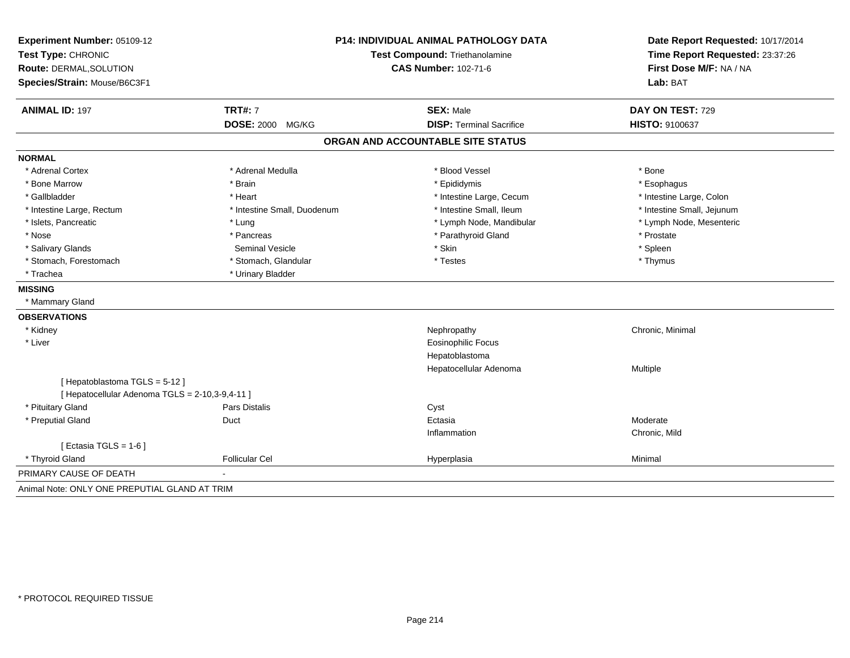| Experiment Number: 05109-12<br>Test Type: CHRONIC | <b>P14: INDIVIDUAL ANIMAL PATHOLOGY DATA</b><br>Test Compound: Triethanolamine |                                   | Date Report Requested: 10/17/2014<br>Time Report Requested: 23:37:26 |  |
|---------------------------------------------------|--------------------------------------------------------------------------------|-----------------------------------|----------------------------------------------------------------------|--|
| Route: DERMAL, SOLUTION                           |                                                                                | <b>CAS Number: 102-71-6</b>       | First Dose M/F: NA / NA<br>Lab: BAT                                  |  |
| Species/Strain: Mouse/B6C3F1                      |                                                                                |                                   |                                                                      |  |
| <b>ANIMAL ID: 197</b>                             | <b>TRT#: 7</b>                                                                 | <b>SEX: Male</b>                  | DAY ON TEST: 729                                                     |  |
|                                                   | DOSE: 2000 MG/KG                                                               | <b>DISP: Terminal Sacrifice</b>   | HISTO: 9100637                                                       |  |
|                                                   |                                                                                | ORGAN AND ACCOUNTABLE SITE STATUS |                                                                      |  |
| <b>NORMAL</b>                                     |                                                                                |                                   |                                                                      |  |
| * Adrenal Cortex                                  | * Adrenal Medulla                                                              | * Blood Vessel                    | * Bone                                                               |  |
| * Bone Marrow                                     | * Brain                                                                        | * Epididymis                      | * Esophagus                                                          |  |
| * Gallbladder                                     | * Heart                                                                        | * Intestine Large, Cecum          | * Intestine Large, Colon                                             |  |
| * Intestine Large, Rectum                         | * Intestine Small, Duodenum                                                    | * Intestine Small, Ileum          | * Intestine Small, Jejunum                                           |  |
| * Islets, Pancreatic                              | * Lung                                                                         | * Lymph Node, Mandibular          | * Lymph Node, Mesenteric                                             |  |
| * Nose                                            | * Pancreas                                                                     | * Parathyroid Gland               | * Prostate                                                           |  |
| * Salivary Glands                                 | <b>Seminal Vesicle</b>                                                         | * Skin                            | * Spleen                                                             |  |
| * Stomach, Forestomach                            | * Stomach, Glandular                                                           | * Testes                          | * Thymus                                                             |  |
| * Trachea                                         | * Urinary Bladder                                                              |                                   |                                                                      |  |
| <b>MISSING</b>                                    |                                                                                |                                   |                                                                      |  |
| * Mammary Gland                                   |                                                                                |                                   |                                                                      |  |
| <b>OBSERVATIONS</b>                               |                                                                                |                                   |                                                                      |  |
| * Kidney                                          |                                                                                | Nephropathy                       | Chronic, Minimal                                                     |  |
| * Liver                                           |                                                                                | <b>Eosinophilic Focus</b>         |                                                                      |  |
|                                                   |                                                                                | Hepatoblastoma                    |                                                                      |  |
|                                                   |                                                                                | Hepatocellular Adenoma            | Multiple                                                             |  |
| [Hepatoblastoma TGLS = 5-12]                      |                                                                                |                                   |                                                                      |  |
| [ Hepatocellular Adenoma TGLS = 2-10,3-9,4-11 ]   |                                                                                |                                   |                                                                      |  |
| * Pituitary Gland                                 | <b>Pars Distalis</b>                                                           | Cyst                              |                                                                      |  |
| * Preputial Gland                                 | Duct                                                                           | Ectasia                           | Moderate                                                             |  |
|                                                   |                                                                                | Inflammation                      | Chronic, Mild                                                        |  |
| [ Ectasia TGLS = $1-6$ ]                          |                                                                                |                                   |                                                                      |  |
| * Thyroid Gland                                   | <b>Follicular Cel</b>                                                          | Hyperplasia                       | Minimal                                                              |  |
| PRIMARY CAUSE OF DEATH                            |                                                                                |                                   |                                                                      |  |
| Animal Note: ONLY ONE PREPUTIAL GLAND AT TRIM     |                                                                                |                                   |                                                                      |  |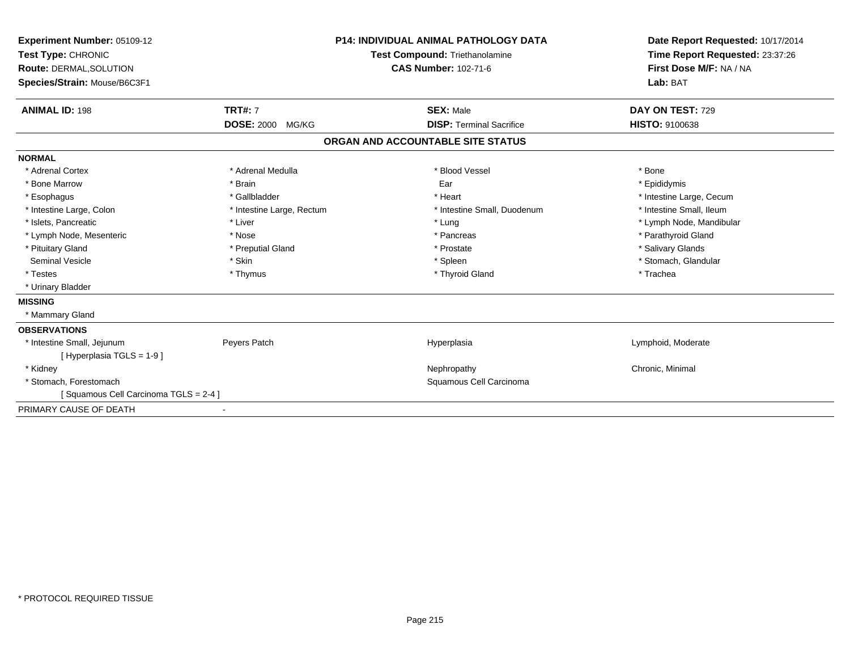| Experiment Number: 05109-12<br>Test Type: CHRONIC<br>Route: DERMAL, SOLUTION<br>Species/Strain: Mouse/B6C3F1 |                           | <b>P14: INDIVIDUAL ANIMAL PATHOLOGY DATA</b><br>Test Compound: Triethanolamine<br><b>CAS Number: 102-71-6</b> |                             | Date Report Requested: 10/17/2014<br>Time Report Requested: 23:37:26<br>First Dose M/F: NA / NA<br>Lab: BAT |  |
|--------------------------------------------------------------------------------------------------------------|---------------------------|---------------------------------------------------------------------------------------------------------------|-----------------------------|-------------------------------------------------------------------------------------------------------------|--|
| <b>ANIMAL ID: 198</b>                                                                                        | <b>TRT#: 7</b>            | <b>SEX: Male</b>                                                                                              |                             | DAY ON TEST: 729                                                                                            |  |
|                                                                                                              | <b>DOSE: 2000 MG/KG</b>   | <b>DISP: Terminal Sacrifice</b>                                                                               |                             | <b>HISTO: 9100638</b>                                                                                       |  |
|                                                                                                              |                           | ORGAN AND ACCOUNTABLE SITE STATUS                                                                             |                             |                                                                                                             |  |
| <b>NORMAL</b>                                                                                                |                           |                                                                                                               |                             |                                                                                                             |  |
| * Adrenal Cortex                                                                                             | * Adrenal Medulla         | * Blood Vessel                                                                                                |                             | * Bone                                                                                                      |  |
| * Bone Marrow                                                                                                | * Brain                   | Ear                                                                                                           |                             | * Epididymis                                                                                                |  |
| * Esophagus                                                                                                  | * Gallbladder             | * Heart                                                                                                       |                             | * Intestine Large, Cecum                                                                                    |  |
| * Intestine Large, Colon                                                                                     | * Intestine Large, Rectum |                                                                                                               | * Intestine Small, Duodenum | * Intestine Small, Ileum                                                                                    |  |
| * Islets, Pancreatic                                                                                         | * Liver                   | * Lung                                                                                                        |                             | * Lymph Node, Mandibular                                                                                    |  |
| * Lymph Node, Mesenteric                                                                                     | * Nose                    | * Pancreas                                                                                                    |                             | * Parathyroid Gland                                                                                         |  |
| * Pituitary Gland                                                                                            | * Preputial Gland         | * Prostate                                                                                                    |                             | * Salivary Glands                                                                                           |  |
| <b>Seminal Vesicle</b>                                                                                       | * Skin                    | * Spleen                                                                                                      |                             | * Stomach, Glandular                                                                                        |  |
| * Testes                                                                                                     | * Thymus                  | * Thyroid Gland                                                                                               |                             | * Trachea                                                                                                   |  |
| * Urinary Bladder                                                                                            |                           |                                                                                                               |                             |                                                                                                             |  |
| <b>MISSING</b>                                                                                               |                           |                                                                                                               |                             |                                                                                                             |  |
| * Mammary Gland                                                                                              |                           |                                                                                                               |                             |                                                                                                             |  |
| <b>OBSERVATIONS</b>                                                                                          |                           |                                                                                                               |                             |                                                                                                             |  |
| * Intestine Small, Jejunum                                                                                   | Peyers Patch              | Hyperplasia                                                                                                   |                             | Lymphoid, Moderate                                                                                          |  |
| [Hyperplasia TGLS = 1-9]                                                                                     |                           |                                                                                                               |                             |                                                                                                             |  |
| * Kidney                                                                                                     |                           | Nephropathy                                                                                                   |                             | Chronic, Minimal                                                                                            |  |
| * Stomach, Forestomach                                                                                       |                           | Squamous Cell Carcinoma                                                                                       |                             |                                                                                                             |  |
| [Squamous Cell Carcinoma TGLS = 2-4]                                                                         |                           |                                                                                                               |                             |                                                                                                             |  |
| PRIMARY CAUSE OF DEATH                                                                                       | $\blacksquare$            |                                                                                                               |                             |                                                                                                             |  |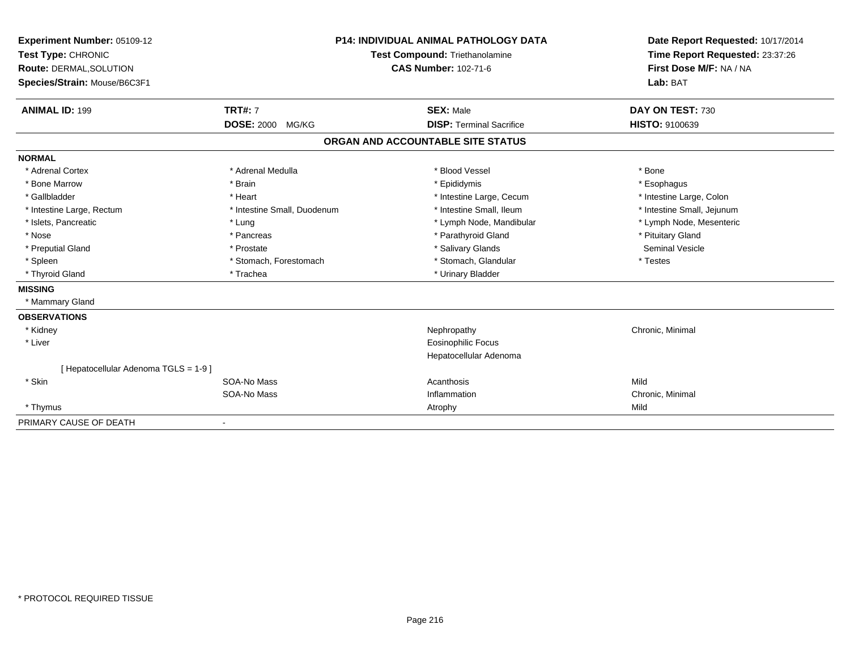| Experiment Number: 05109-12<br>Test Type: CHRONIC<br><b>Route: DERMAL, SOLUTION</b><br>Species/Strain: Mouse/B6C3F1 |                             | <b>P14: INDIVIDUAL ANIMAL PATHOLOGY DATA</b><br>Test Compound: Triethanolamine<br><b>CAS Number: 102-71-6</b> | Date Report Requested: 10/17/2014<br>Time Report Requested: 23:37:26<br>First Dose M/F: NA / NA<br>Lab: BAT |  |
|---------------------------------------------------------------------------------------------------------------------|-----------------------------|---------------------------------------------------------------------------------------------------------------|-------------------------------------------------------------------------------------------------------------|--|
| <b>ANIMAL ID: 199</b>                                                                                               | <b>TRT#: 7</b>              | <b>SEX: Male</b>                                                                                              | DAY ON TEST: 730                                                                                            |  |
|                                                                                                                     | <b>DOSE: 2000 MG/KG</b>     | <b>DISP: Terminal Sacrifice</b>                                                                               | <b>HISTO: 9100639</b>                                                                                       |  |
|                                                                                                                     |                             | ORGAN AND ACCOUNTABLE SITE STATUS                                                                             |                                                                                                             |  |
| <b>NORMAL</b>                                                                                                       |                             |                                                                                                               |                                                                                                             |  |
| * Adrenal Cortex                                                                                                    | * Adrenal Medulla           | * Blood Vessel                                                                                                | * Bone                                                                                                      |  |
| * Bone Marrow                                                                                                       | * Brain                     | * Epididymis                                                                                                  | * Esophagus                                                                                                 |  |
| * Gallbladder                                                                                                       | * Heart                     | * Intestine Large, Cecum                                                                                      | * Intestine Large, Colon                                                                                    |  |
| * Intestine Large, Rectum                                                                                           | * Intestine Small, Duodenum | * Intestine Small, Ileum                                                                                      | * Intestine Small, Jejunum                                                                                  |  |
| * Islets, Pancreatic                                                                                                | * Lung                      | * Lymph Node, Mandibular                                                                                      | * Lymph Node, Mesenteric                                                                                    |  |
| * Nose                                                                                                              | * Pancreas                  | * Parathyroid Gland                                                                                           | * Pituitary Gland                                                                                           |  |
| * Preputial Gland                                                                                                   | * Prostate                  | * Salivary Glands                                                                                             | <b>Seminal Vesicle</b>                                                                                      |  |
| * Spleen                                                                                                            | * Stomach, Forestomach      | * Stomach, Glandular                                                                                          | * Testes                                                                                                    |  |
| * Thyroid Gland                                                                                                     | * Trachea                   | * Urinary Bladder                                                                                             |                                                                                                             |  |
| <b>MISSING</b>                                                                                                      |                             |                                                                                                               |                                                                                                             |  |
| * Mammary Gland                                                                                                     |                             |                                                                                                               |                                                                                                             |  |
| <b>OBSERVATIONS</b>                                                                                                 |                             |                                                                                                               |                                                                                                             |  |
| * Kidney                                                                                                            |                             | Nephropathy                                                                                                   | Chronic, Minimal                                                                                            |  |
| * Liver                                                                                                             |                             | <b>Eosinophilic Focus</b>                                                                                     |                                                                                                             |  |
|                                                                                                                     |                             | Hepatocellular Adenoma                                                                                        |                                                                                                             |  |
| [ Hepatocellular Adenoma TGLS = 1-9 ]                                                                               |                             |                                                                                                               |                                                                                                             |  |
| * Skin                                                                                                              | SOA-No Mass                 | Acanthosis                                                                                                    | Mild                                                                                                        |  |
|                                                                                                                     | SOA-No Mass                 | Inflammation                                                                                                  | Chronic, Minimal                                                                                            |  |
| * Thymus                                                                                                            |                             | Atrophy                                                                                                       | Mild                                                                                                        |  |
| PRIMARY CAUSE OF DEATH                                                                                              | $\overline{\phantom{a}}$    |                                                                                                               |                                                                                                             |  |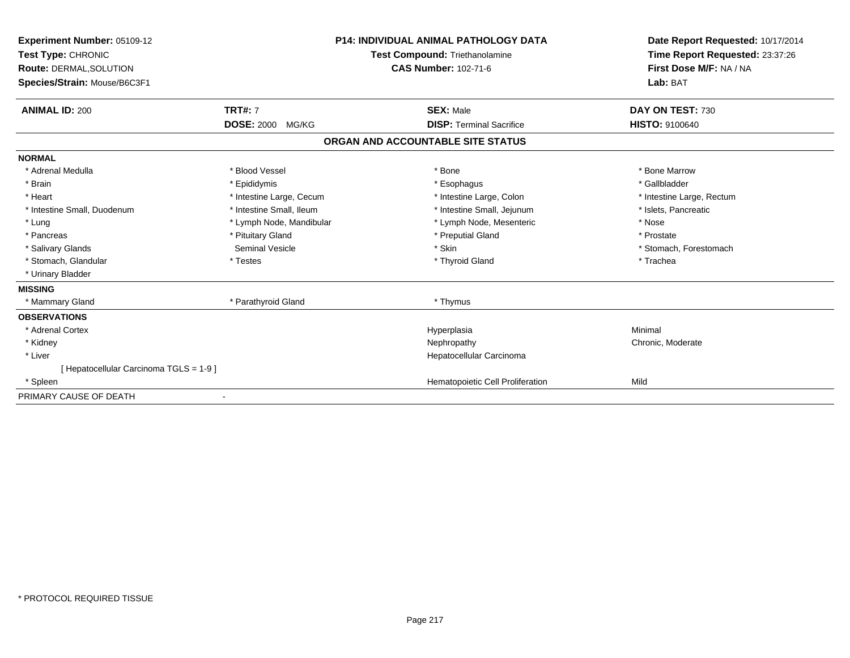| Experiment Number: 05109-12<br>Test Type: CHRONIC<br><b>Route: DERMAL, SOLUTION</b><br>Species/Strain: Mouse/B6C3F1 |                          | <b>P14: INDIVIDUAL ANIMAL PATHOLOGY DATA</b><br><b>Test Compound: Triethanolamine</b><br><b>CAS Number: 102-71-6</b> |                                  | Date Report Requested: 10/17/2014<br>Time Report Requested: 23:37:26<br>First Dose M/F: NA / NA<br>Lab: BAT |
|---------------------------------------------------------------------------------------------------------------------|--------------------------|----------------------------------------------------------------------------------------------------------------------|----------------------------------|-------------------------------------------------------------------------------------------------------------|
| <b>ANIMAL ID: 200</b>                                                                                               | <b>TRT#: 7</b>           |                                                                                                                      | <b>SEX: Male</b>                 | DAY ON TEST: 730                                                                                            |
|                                                                                                                     | <b>DOSE: 2000 MG/KG</b>  |                                                                                                                      | <b>DISP: Terminal Sacrifice</b>  | <b>HISTO: 9100640</b>                                                                                       |
|                                                                                                                     |                          | ORGAN AND ACCOUNTABLE SITE STATUS                                                                                    |                                  |                                                                                                             |
| <b>NORMAL</b>                                                                                                       |                          |                                                                                                                      |                                  |                                                                                                             |
| * Adrenal Medulla                                                                                                   | * Blood Vessel           |                                                                                                                      | * Bone                           | * Bone Marrow                                                                                               |
| * Brain                                                                                                             | * Epididymis             |                                                                                                                      | * Esophagus                      | * Gallbladder                                                                                               |
| * Heart                                                                                                             | * Intestine Large, Cecum |                                                                                                                      | * Intestine Large, Colon         | * Intestine Large, Rectum                                                                                   |
| * Intestine Small, Duodenum                                                                                         | * Intestine Small, Ileum |                                                                                                                      | * Intestine Small, Jejunum       | * Islets, Pancreatic                                                                                        |
| * Lung                                                                                                              | * Lymph Node, Mandibular |                                                                                                                      | * Lymph Node, Mesenteric         | * Nose                                                                                                      |
| * Pancreas                                                                                                          | * Pituitary Gland        |                                                                                                                      | * Preputial Gland                | * Prostate                                                                                                  |
| * Salivary Glands                                                                                                   | <b>Seminal Vesicle</b>   |                                                                                                                      | * Skin                           | * Stomach, Forestomach                                                                                      |
| * Stomach, Glandular                                                                                                | * Testes                 |                                                                                                                      | * Thyroid Gland                  | * Trachea                                                                                                   |
| * Urinary Bladder                                                                                                   |                          |                                                                                                                      |                                  |                                                                                                             |
| <b>MISSING</b>                                                                                                      |                          |                                                                                                                      |                                  |                                                                                                             |
| * Mammary Gland                                                                                                     | * Parathyroid Gland      |                                                                                                                      | * Thymus                         |                                                                                                             |
| <b>OBSERVATIONS</b>                                                                                                 |                          |                                                                                                                      |                                  |                                                                                                             |
| * Adrenal Cortex                                                                                                    |                          |                                                                                                                      | Hyperplasia                      | Minimal                                                                                                     |
| * Kidney                                                                                                            |                          |                                                                                                                      | Nephropathy                      | Chronic, Moderate                                                                                           |
| * Liver                                                                                                             |                          |                                                                                                                      | Hepatocellular Carcinoma         |                                                                                                             |
| [Hepatocellular Carcinoma TGLS = 1-9]                                                                               |                          |                                                                                                                      |                                  |                                                                                                             |
| * Spleen                                                                                                            |                          |                                                                                                                      | Hematopoietic Cell Proliferation | Mild                                                                                                        |
| PRIMARY CAUSE OF DEATH                                                                                              |                          |                                                                                                                      |                                  |                                                                                                             |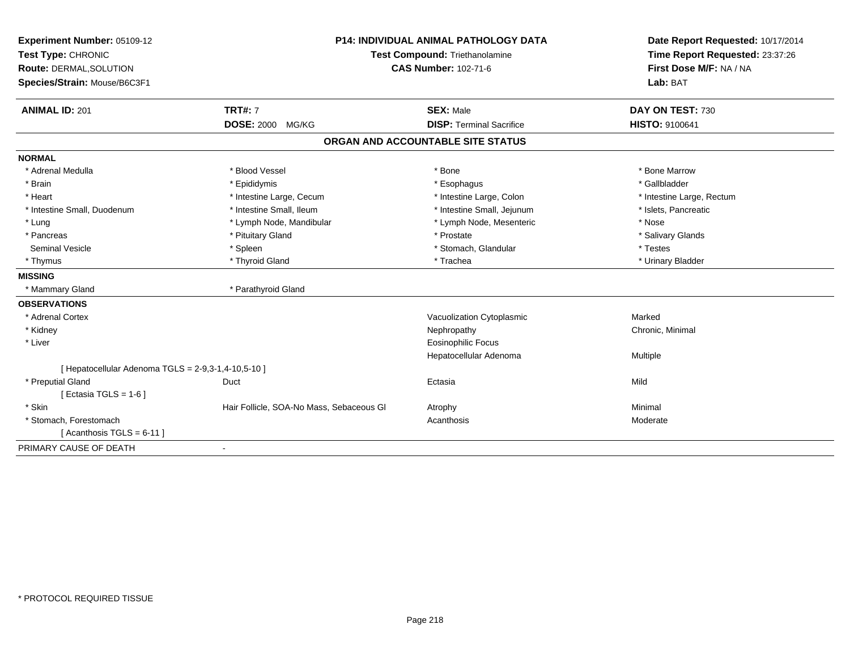| Experiment Number: 05109-12<br>Test Type: CHRONIC     |                                          | P14: INDIVIDUAL ANIMAL PATHOLOGY DATA | Date Report Requested: 10/17/2014                          |  |
|-------------------------------------------------------|------------------------------------------|---------------------------------------|------------------------------------------------------------|--|
|                                                       |                                          | Test Compound: Triethanolamine        | Time Report Requested: 23:37:26<br>First Dose M/F: NA / NA |  |
| <b>Route: DERMAL, SOLUTION</b>                        |                                          | <b>CAS Number: 102-71-6</b>           |                                                            |  |
| Species/Strain: Mouse/B6C3F1                          |                                          |                                       | Lab: BAT                                                   |  |
| <b>TRT#: 7</b><br><b>ANIMAL ID: 201</b>               |                                          | <b>SEX: Male</b>                      | DAY ON TEST: 730                                           |  |
| <b>DOSE: 2000 MG/KG</b>                               |                                          | <b>DISP: Terminal Sacrifice</b>       | <b>HISTO: 9100641</b>                                      |  |
|                                                       |                                          | ORGAN AND ACCOUNTABLE SITE STATUS     |                                                            |  |
| <b>NORMAL</b>                                         |                                          |                                       |                                                            |  |
| * Adrenal Medulla<br>* Blood Vessel                   |                                          | * Bone                                | * Bone Marrow                                              |  |
| * Brain<br>* Epididymis                               |                                          | * Esophagus                           | * Gallbladder                                              |  |
| * Heart                                               | * Intestine Large, Cecum                 | * Intestine Large, Colon              | * Intestine Large, Rectum                                  |  |
| * Intestine Small, Duodenum                           | * Intestine Small, Ileum                 | * Intestine Small, Jejunum            | * Islets, Pancreatic                                       |  |
| * Lung                                                | * Lymph Node, Mandibular                 | * Lymph Node, Mesenteric              | * Nose                                                     |  |
| * Pituitary Gland<br>* Pancreas                       |                                          | * Prostate                            | * Salivary Glands                                          |  |
| * Spleen<br><b>Seminal Vesicle</b>                    |                                          | * Stomach, Glandular                  | * Testes                                                   |  |
| * Thyroid Gland<br>* Thymus                           |                                          | * Trachea                             | * Urinary Bladder                                          |  |
| <b>MISSING</b>                                        |                                          |                                       |                                                            |  |
| * Parathyroid Gland<br>* Mammary Gland                |                                          |                                       |                                                            |  |
| <b>OBSERVATIONS</b>                                   |                                          |                                       |                                                            |  |
| * Adrenal Cortex                                      |                                          | Vacuolization Cytoplasmic             | Marked                                                     |  |
| * Kidney                                              |                                          | Nephropathy                           | Chronic, Minimal                                           |  |
| * Liver                                               |                                          | <b>Eosinophilic Focus</b>             |                                                            |  |
|                                                       |                                          | Hepatocellular Adenoma                | Multiple                                                   |  |
| [ Hepatocellular Adenoma TGLS = $2-9,3-1,4-10,5-10$ ] |                                          |                                       |                                                            |  |
| * Preputial Gland<br>Duct                             |                                          | Ectasia                               | Mild                                                       |  |
| [ Ectasia TGLS = $1-6$ ]                              |                                          |                                       |                                                            |  |
| * Skin                                                | Hair Follicle, SOA-No Mass, Sebaceous Gl | Atrophy                               | Minimal                                                    |  |
| * Stomach, Forestomach                                |                                          | Acanthosis                            | Moderate                                                   |  |
| [Acanthosis TGLS = $6-11$ ]                           |                                          |                                       |                                                            |  |
| PRIMARY CAUSE OF DEATH<br>$\blacksquare$              |                                          |                                       |                                                            |  |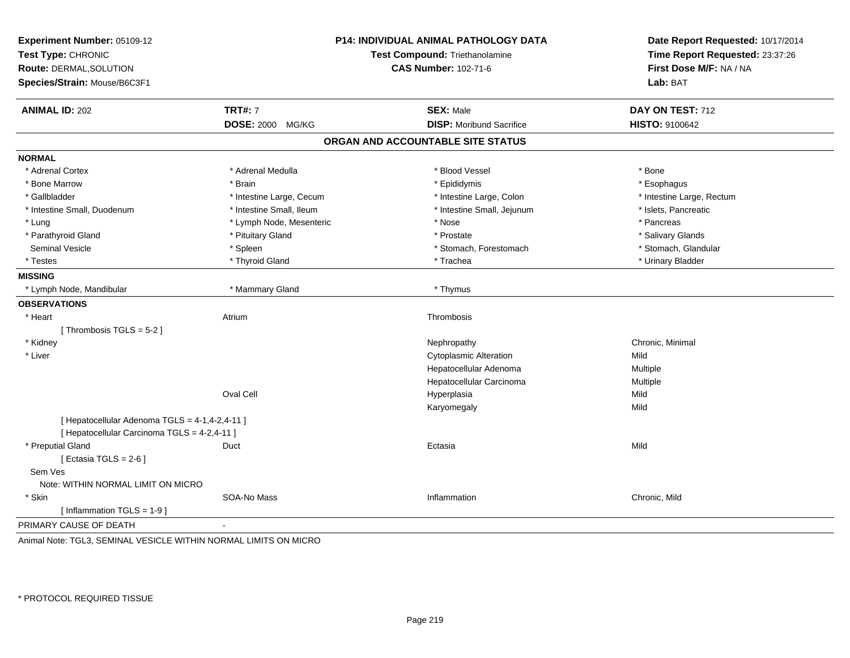| Experiment Number: 05109-12<br>Test Type: CHRONIC<br>Route: DERMAL, SOLUTION<br>Species/Strain: Mouse/B6C3F1 |                          | <b>P14: INDIVIDUAL ANIMAL PATHOLOGY DATA</b><br>Test Compound: Triethanolamine<br><b>CAS Number: 102-71-6</b> | Date Report Requested: 10/17/2014<br>Time Report Requested: 23:37:26<br>First Dose M/F: NA / NA<br>Lab: BAT |  |
|--------------------------------------------------------------------------------------------------------------|--------------------------|---------------------------------------------------------------------------------------------------------------|-------------------------------------------------------------------------------------------------------------|--|
| <b>ANIMAL ID: 202</b>                                                                                        | <b>TRT#: 7</b>           | <b>SEX: Male</b>                                                                                              | <b>DAY ON TEST: 712</b>                                                                                     |  |
|                                                                                                              | <b>DOSE: 2000 MG/KG</b>  | <b>DISP:</b> Moribund Sacrifice                                                                               | HISTO: 9100642                                                                                              |  |
|                                                                                                              |                          | ORGAN AND ACCOUNTABLE SITE STATUS                                                                             |                                                                                                             |  |
| <b>NORMAL</b>                                                                                                |                          |                                                                                                               |                                                                                                             |  |
| * Adrenal Cortex                                                                                             | * Adrenal Medulla        | * Blood Vessel                                                                                                | $*$ Bone                                                                                                    |  |
| * Bone Marrow                                                                                                | * Brain                  | * Epididymis                                                                                                  | * Esophagus                                                                                                 |  |
| * Gallbladder                                                                                                | * Intestine Large, Cecum | * Intestine Large, Colon                                                                                      | * Intestine Large, Rectum                                                                                   |  |
| * Intestine Small, Duodenum                                                                                  | * Intestine Small, Ileum | * Intestine Small, Jejunum                                                                                    | * Islets, Pancreatic                                                                                        |  |
| * Lung                                                                                                       | * Lymph Node, Mesenteric | * Nose                                                                                                        | * Pancreas                                                                                                  |  |
| * Parathyroid Gland                                                                                          | * Pituitary Gland        | * Prostate                                                                                                    | * Salivary Glands                                                                                           |  |
| <b>Seminal Vesicle</b>                                                                                       | * Spleen                 | * Stomach, Forestomach                                                                                        | * Stomach, Glandular                                                                                        |  |
| * Testes                                                                                                     | * Thyroid Gland          | * Trachea                                                                                                     | * Urinary Bladder                                                                                           |  |
| <b>MISSING</b>                                                                                               |                          |                                                                                                               |                                                                                                             |  |
| * Lymph Node, Mandibular                                                                                     | * Mammary Gland          | * Thymus                                                                                                      |                                                                                                             |  |
| <b>OBSERVATIONS</b>                                                                                          |                          |                                                                                                               |                                                                                                             |  |
| * Heart                                                                                                      | Atrium                   | Thrombosis                                                                                                    |                                                                                                             |  |
| [Thrombosis TGLS = $5-2$ ]                                                                                   |                          |                                                                                                               |                                                                                                             |  |
| * Kidney                                                                                                     |                          | Nephropathy                                                                                                   | Chronic, Minimal                                                                                            |  |
| * Liver                                                                                                      |                          | <b>Cytoplasmic Alteration</b>                                                                                 | Mild                                                                                                        |  |
|                                                                                                              |                          | Hepatocellular Adenoma                                                                                        | Multiple                                                                                                    |  |
|                                                                                                              |                          | Hepatocellular Carcinoma                                                                                      | Multiple                                                                                                    |  |
|                                                                                                              | Oval Cell                | Hyperplasia                                                                                                   | Mild                                                                                                        |  |
|                                                                                                              |                          | Karyomegaly                                                                                                   | Mild                                                                                                        |  |
| [ Hepatocellular Adenoma TGLS = 4-1,4-2,4-11 ]                                                               |                          |                                                                                                               |                                                                                                             |  |
| [ Hepatocellular Carcinoma TGLS = 4-2,4-11 ]                                                                 |                          |                                                                                                               |                                                                                                             |  |
| * Preputial Gland                                                                                            | Duct                     | Ectasia                                                                                                       | Mild                                                                                                        |  |
| [ Ectasia TGLS = $2-6$ ]                                                                                     |                          |                                                                                                               |                                                                                                             |  |
| Sem Ves                                                                                                      |                          |                                                                                                               |                                                                                                             |  |
| Note: WITHIN NORMAL LIMIT ON MICRO                                                                           |                          |                                                                                                               |                                                                                                             |  |
| * Skin                                                                                                       | SOA-No Mass              | Inflammation                                                                                                  | Chronic, Mild                                                                                               |  |
| [Inflammation TGLS = $1-9$ ]                                                                                 |                          |                                                                                                               |                                                                                                             |  |
| PRIMARY CAUSE OF DEATH                                                                                       |                          |                                                                                                               |                                                                                                             |  |

Animal Note: TGL3, SEMINAL VESICLE WITHIN NORMAL LIMITS ON MICRO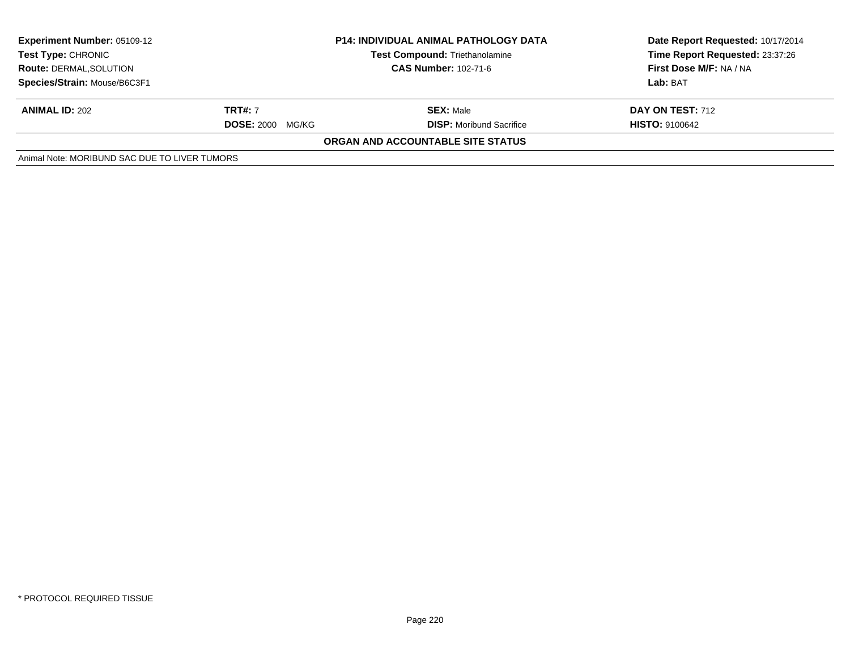| <b>Experiment Number: 05109-12</b><br>Test Type: CHRONIC<br><b>Route: DERMAL, SOLUTION</b><br>Species/Strain: Mouse/B6C3F1 |                            | <b>P14: INDIVIDUAL ANIMAL PATHOLOGY DATA</b><br><b>Test Compound: Triethanolamine</b><br><b>CAS Number: 102-71-6</b> | Date Report Requested: 10/17/2014<br>Time Report Requested: 23:37:26<br>First Dose M/F: NA / NA<br>Lab: BAT |
|----------------------------------------------------------------------------------------------------------------------------|----------------------------|----------------------------------------------------------------------------------------------------------------------|-------------------------------------------------------------------------------------------------------------|
|                                                                                                                            |                            |                                                                                                                      |                                                                                                             |
| <b>ANIMAL ID: 202</b>                                                                                                      | <b>TRT#:</b> 7             | <b>SEX: Male</b>                                                                                                     | DAY ON TEST: 712                                                                                            |
|                                                                                                                            | <b>DOSE: 2000</b><br>MG/KG | <b>DISP:</b> Moribund Sacrifice                                                                                      | <b>HISTO: 9100642</b>                                                                                       |
|                                                                                                                            |                            | ORGAN AND ACCOUNTABLE SITE STATUS                                                                                    |                                                                                                             |
| Animal Note: MORIBUND SAC DUE TO LIVER TUMORS                                                                              |                            |                                                                                                                      |                                                                                                             |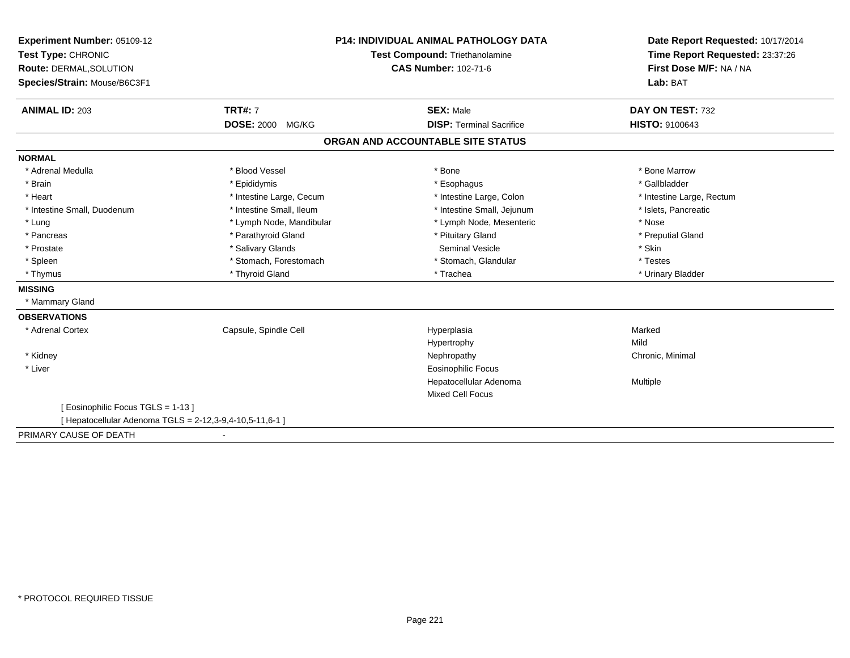| Experiment Number: 05109-12                              | <b>P14: INDIVIDUAL ANIMAL PATHOLOGY DATA</b> |                                   | Date Report Requested: 10/17/2014 |  |
|----------------------------------------------------------|----------------------------------------------|-----------------------------------|-----------------------------------|--|
| Test Type: CHRONIC                                       |                                              | Test Compound: Triethanolamine    | Time Report Requested: 23:37:26   |  |
| <b>Route: DERMAL, SOLUTION</b>                           |                                              | <b>CAS Number: 102-71-6</b>       | First Dose M/F: NA / NA           |  |
| Species/Strain: Mouse/B6C3F1                             |                                              |                                   | Lab: BAT                          |  |
|                                                          |                                              |                                   |                                   |  |
| <b>ANIMAL ID: 203</b>                                    | <b>TRT#: 7</b>                               | <b>SEX: Male</b>                  | DAY ON TEST: 732                  |  |
|                                                          | DOSE: 2000 MG/KG                             | <b>DISP: Terminal Sacrifice</b>   | HISTO: 9100643                    |  |
|                                                          |                                              | ORGAN AND ACCOUNTABLE SITE STATUS |                                   |  |
| <b>NORMAL</b>                                            |                                              |                                   |                                   |  |
| * Adrenal Medulla                                        | * Blood Vessel                               | * Bone                            | * Bone Marrow                     |  |
| * Brain                                                  | * Epididymis                                 | * Esophagus                       | * Gallbladder                     |  |
| * Heart                                                  | * Intestine Large, Cecum                     | * Intestine Large, Colon          | * Intestine Large, Rectum         |  |
| * Intestine Small, Duodenum                              | * Intestine Small, Ileum                     | * Intestine Small, Jejunum        | * Islets, Pancreatic              |  |
| * Lung                                                   | * Lymph Node, Mandibular                     | * Lymph Node, Mesenteric          | * Nose                            |  |
| * Pancreas                                               | * Parathyroid Gland                          | * Pituitary Gland                 | * Preputial Gland                 |  |
| * Prostate                                               | * Salivary Glands                            | <b>Seminal Vesicle</b>            | * Skin                            |  |
| * Spleen                                                 | * Stomach, Forestomach                       | * Stomach, Glandular              | * Testes                          |  |
| * Thymus                                                 | * Thyroid Gland                              | * Trachea                         | * Urinary Bladder                 |  |
| <b>MISSING</b>                                           |                                              |                                   |                                   |  |
| * Mammary Gland                                          |                                              |                                   |                                   |  |
| <b>OBSERVATIONS</b>                                      |                                              |                                   |                                   |  |
| * Adrenal Cortex                                         | Capsule, Spindle Cell                        | Hyperplasia                       | Marked                            |  |
|                                                          |                                              | Hypertrophy                       | Mild                              |  |
| * Kidney                                                 |                                              | Nephropathy                       | Chronic, Minimal                  |  |
| * Liver                                                  |                                              | <b>Eosinophilic Focus</b>         |                                   |  |
|                                                          |                                              | Hepatocellular Adenoma            | <b>Multiple</b>                   |  |
|                                                          |                                              | <b>Mixed Cell Focus</b>           |                                   |  |
| [Eosinophilic Focus TGLS = 1-13]                         |                                              |                                   |                                   |  |
| [ Hepatocellular Adenoma TGLS = 2-12,3-9,4-10,5-11,6-1 ] |                                              |                                   |                                   |  |
| PRIMARY CAUSE OF DEATH                                   |                                              |                                   |                                   |  |
|                                                          |                                              |                                   |                                   |  |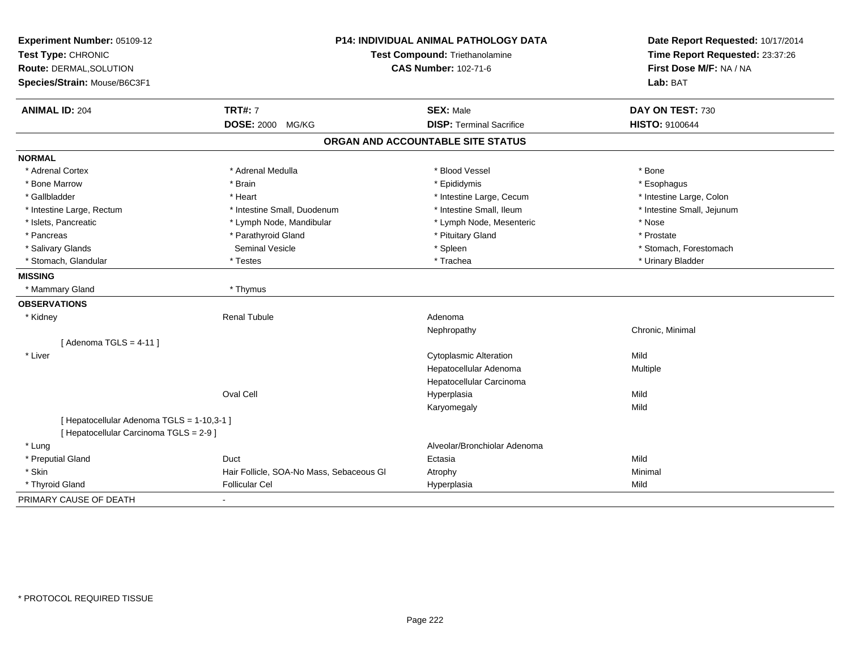| Experiment Number: 05109-12<br>Test Type: CHRONIC<br>Route: DERMAL, SOLUTION<br>Species/Strain: Mouse/B6C3F1 |                                          | P14: INDIVIDUAL ANIMAL PATHOLOGY DATA<br>Test Compound: Triethanolamine<br><b>CAS Number: 102-71-6</b> | Date Report Requested: 10/17/2014<br>Time Report Requested: 23:37:26<br>First Dose M/F: NA / NA<br>Lab: BAT |  |
|--------------------------------------------------------------------------------------------------------------|------------------------------------------|--------------------------------------------------------------------------------------------------------|-------------------------------------------------------------------------------------------------------------|--|
| <b>ANIMAL ID: 204</b>                                                                                        | <b>TRT#: 7</b>                           | <b>SEX: Male</b>                                                                                       | DAY ON TEST: 730                                                                                            |  |
|                                                                                                              | <b>DOSE: 2000 MG/KG</b>                  | <b>DISP: Terminal Sacrifice</b>                                                                        | HISTO: 9100644                                                                                              |  |
|                                                                                                              |                                          | ORGAN AND ACCOUNTABLE SITE STATUS                                                                      |                                                                                                             |  |
| <b>NORMAL</b>                                                                                                |                                          |                                                                                                        |                                                                                                             |  |
| * Adrenal Cortex                                                                                             | * Adrenal Medulla                        | * Blood Vessel                                                                                         | * Bone                                                                                                      |  |
| * Bone Marrow                                                                                                | * Brain                                  | * Epididymis                                                                                           | * Esophagus                                                                                                 |  |
| * Gallbladder                                                                                                | * Heart                                  | * Intestine Large, Cecum                                                                               | * Intestine Large, Colon                                                                                    |  |
| * Intestine Large, Rectum                                                                                    | * Intestine Small, Duodenum              | * Intestine Small, Ileum                                                                               | * Intestine Small, Jejunum                                                                                  |  |
| * Islets, Pancreatic                                                                                         | * Lymph Node, Mandibular                 | * Lymph Node, Mesenteric                                                                               | * Nose                                                                                                      |  |
| * Pancreas                                                                                                   | * Parathyroid Gland                      | * Pituitary Gland                                                                                      | * Prostate                                                                                                  |  |
| * Salivary Glands                                                                                            | <b>Seminal Vesicle</b>                   | * Spleen                                                                                               | * Stomach, Forestomach                                                                                      |  |
| * Stomach, Glandular                                                                                         | * Testes                                 | * Trachea                                                                                              | * Urinary Bladder                                                                                           |  |
| <b>MISSING</b>                                                                                               |                                          |                                                                                                        |                                                                                                             |  |
| * Mammary Gland                                                                                              | * Thymus                                 |                                                                                                        |                                                                                                             |  |
| <b>OBSERVATIONS</b>                                                                                          |                                          |                                                                                                        |                                                                                                             |  |
| * Kidney                                                                                                     | <b>Renal Tubule</b>                      | Adenoma                                                                                                |                                                                                                             |  |
|                                                                                                              |                                          | Nephropathy                                                                                            | Chronic, Minimal                                                                                            |  |
| [Adenoma TGLS = $4-11$ ]                                                                                     |                                          |                                                                                                        |                                                                                                             |  |
| * Liver                                                                                                      |                                          | <b>Cytoplasmic Alteration</b>                                                                          | Mild                                                                                                        |  |
|                                                                                                              |                                          | Hepatocellular Adenoma                                                                                 | Multiple                                                                                                    |  |
|                                                                                                              |                                          | Hepatocellular Carcinoma                                                                               |                                                                                                             |  |
|                                                                                                              | <b>Oval Cell</b>                         | Hyperplasia                                                                                            | Mild                                                                                                        |  |
|                                                                                                              |                                          | Karyomegaly                                                                                            | Mild                                                                                                        |  |
| [ Hepatocellular Adenoma TGLS = 1-10,3-1 ]                                                                   |                                          |                                                                                                        |                                                                                                             |  |
| [ Hepatocellular Carcinoma TGLS = 2-9 ]                                                                      |                                          |                                                                                                        |                                                                                                             |  |
| * Lung                                                                                                       |                                          | Alveolar/Bronchiolar Adenoma                                                                           |                                                                                                             |  |
| * Preputial Gland                                                                                            | Duct                                     | Ectasia                                                                                                | Mild                                                                                                        |  |
| * Skin                                                                                                       | Hair Follicle, SOA-No Mass, Sebaceous GI | Atrophy                                                                                                | Minimal                                                                                                     |  |
| * Thyroid Gland                                                                                              | Follicular Cel                           | Hyperplasia                                                                                            | Mild                                                                                                        |  |
| PRIMARY CAUSE OF DEATH                                                                                       |                                          |                                                                                                        |                                                                                                             |  |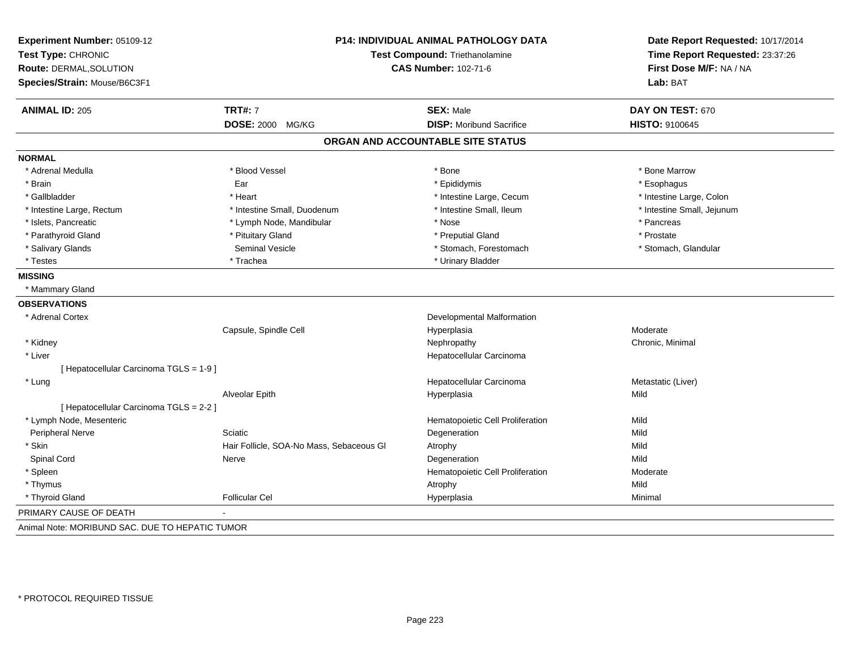| Experiment Number: 05109-12<br>Test Type: CHRONIC<br>Route: DERMAL, SOLUTION<br>Species/Strain: Mouse/B6C3F1 |                                          | P14: INDIVIDUAL ANIMAL PATHOLOGY DATA<br>Test Compound: Triethanolamine<br><b>CAS Number: 102-71-6</b> | Date Report Requested: 10/17/2014<br>Time Report Requested: 23:37:26<br>First Dose M/F: NA / NA<br>Lab: BAT |  |
|--------------------------------------------------------------------------------------------------------------|------------------------------------------|--------------------------------------------------------------------------------------------------------|-------------------------------------------------------------------------------------------------------------|--|
| <b>ANIMAL ID: 205</b>                                                                                        | <b>TRT#: 7</b>                           | <b>SEX: Male</b>                                                                                       | DAY ON TEST: 670                                                                                            |  |
|                                                                                                              | <b>DOSE: 2000 MG/KG</b>                  | <b>DISP:</b> Moribund Sacrifice                                                                        | HISTO: 9100645                                                                                              |  |
|                                                                                                              |                                          | ORGAN AND ACCOUNTABLE SITE STATUS                                                                      |                                                                                                             |  |
| <b>NORMAL</b>                                                                                                |                                          |                                                                                                        |                                                                                                             |  |
| * Adrenal Medulla                                                                                            | * Blood Vessel                           | * Bone                                                                                                 | * Bone Marrow                                                                                               |  |
| * Brain                                                                                                      | Ear                                      | * Epididymis                                                                                           | * Esophagus                                                                                                 |  |
| * Gallbladder                                                                                                | * Heart                                  | * Intestine Large, Cecum                                                                               | * Intestine Large, Colon                                                                                    |  |
| * Intestine Large, Rectum                                                                                    | * Intestine Small, Duodenum              | * Intestine Small, Ileum                                                                               | * Intestine Small, Jejunum                                                                                  |  |
| * Islets, Pancreatic                                                                                         | * Lymph Node, Mandibular                 | * Nose                                                                                                 | * Pancreas                                                                                                  |  |
| * Parathyroid Gland                                                                                          | * Pituitary Gland                        | * Preputial Gland                                                                                      | * Prostate                                                                                                  |  |
| * Salivary Glands                                                                                            | Seminal Vesicle                          | * Stomach, Forestomach                                                                                 | * Stomach, Glandular                                                                                        |  |
| * Testes                                                                                                     | * Trachea                                | * Urinary Bladder                                                                                      |                                                                                                             |  |
| <b>MISSING</b>                                                                                               |                                          |                                                                                                        |                                                                                                             |  |
| * Mammary Gland                                                                                              |                                          |                                                                                                        |                                                                                                             |  |
| <b>OBSERVATIONS</b>                                                                                          |                                          |                                                                                                        |                                                                                                             |  |
| * Adrenal Cortex                                                                                             |                                          | <b>Developmental Malformation</b>                                                                      |                                                                                                             |  |
|                                                                                                              | Capsule, Spindle Cell                    | Hyperplasia                                                                                            | Moderate                                                                                                    |  |
| * Kidney                                                                                                     |                                          | Nephropathy                                                                                            | Chronic, Minimal                                                                                            |  |
| * Liver                                                                                                      |                                          | Hepatocellular Carcinoma                                                                               |                                                                                                             |  |
| [ Hepatocellular Carcinoma TGLS = 1-9 ]                                                                      |                                          |                                                                                                        |                                                                                                             |  |
| * Lung                                                                                                       |                                          | Hepatocellular Carcinoma                                                                               | Metastatic (Liver)                                                                                          |  |
|                                                                                                              | Alveolar Epith                           | Hyperplasia                                                                                            | Mild                                                                                                        |  |
| [ Hepatocellular Carcinoma TGLS = 2-2 ]                                                                      |                                          |                                                                                                        |                                                                                                             |  |
| * Lymph Node, Mesenteric                                                                                     |                                          | Hematopoietic Cell Proliferation                                                                       | Mild                                                                                                        |  |
| <b>Peripheral Nerve</b>                                                                                      | Sciatic                                  | Degeneration                                                                                           | Mild                                                                                                        |  |
| * Skin                                                                                                       | Hair Follicle, SOA-No Mass, Sebaceous GI | Atrophy                                                                                                | Mild                                                                                                        |  |
| Spinal Cord                                                                                                  | Nerve                                    | Degeneration                                                                                           | Mild                                                                                                        |  |
| * Spleen                                                                                                     |                                          | Hematopoietic Cell Proliferation                                                                       | Moderate                                                                                                    |  |
| * Thymus                                                                                                     |                                          | Atrophy                                                                                                | Mild                                                                                                        |  |
| * Thyroid Gland                                                                                              | <b>Follicular Cel</b>                    | Hyperplasia                                                                                            | Minimal                                                                                                     |  |
| PRIMARY CAUSE OF DEATH                                                                                       |                                          |                                                                                                        |                                                                                                             |  |
| Animal Note: MORIBUND SAC. DUE TO HEPATIC TUMOR                                                              |                                          |                                                                                                        |                                                                                                             |  |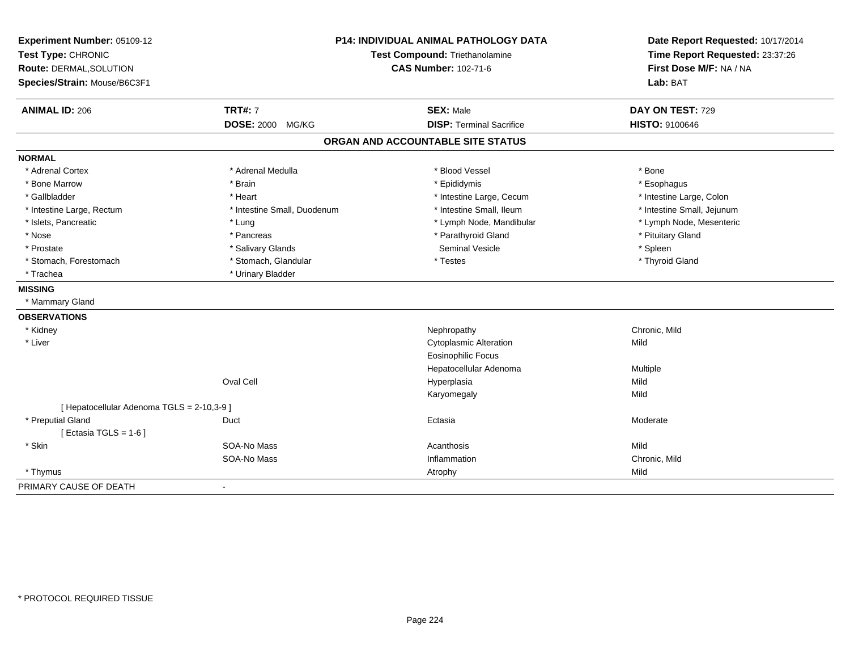| Experiment Number: 05109-12<br>Test Type: CHRONIC<br>Route: DERMAL, SOLUTION<br>Species/Strain: Mouse/B6C3F1 |                             | <b>P14: INDIVIDUAL ANIMAL PATHOLOGY DATA</b><br>Test Compound: Triethanolamine<br><b>CAS Number: 102-71-6</b> | Date Report Requested: 10/17/2014<br>Time Report Requested: 23:37:26<br>First Dose M/F: NA / NA<br>Lab: BAT |
|--------------------------------------------------------------------------------------------------------------|-----------------------------|---------------------------------------------------------------------------------------------------------------|-------------------------------------------------------------------------------------------------------------|
| <b>ANIMAL ID: 206</b>                                                                                        | <b>TRT#: 7</b>              | <b>SEX: Male</b>                                                                                              | DAY ON TEST: 729                                                                                            |
|                                                                                                              | DOSE: 2000 MG/KG            | <b>DISP: Terminal Sacrifice</b>                                                                               | <b>HISTO: 9100646</b>                                                                                       |
|                                                                                                              |                             | ORGAN AND ACCOUNTABLE SITE STATUS                                                                             |                                                                                                             |
| <b>NORMAL</b>                                                                                                |                             |                                                                                                               |                                                                                                             |
| * Adrenal Cortex                                                                                             | * Adrenal Medulla           | * Blood Vessel                                                                                                | * Bone                                                                                                      |
| * Bone Marrow                                                                                                | * Brain                     | * Epididymis                                                                                                  | * Esophagus                                                                                                 |
| * Gallbladder                                                                                                | * Heart                     | * Intestine Large, Cecum                                                                                      | * Intestine Large, Colon                                                                                    |
| * Intestine Large, Rectum                                                                                    | * Intestine Small, Duodenum | * Intestine Small, Ileum                                                                                      | * Intestine Small, Jejunum                                                                                  |
| * Islets, Pancreatic                                                                                         | * Lung                      | * Lymph Node, Mandibular                                                                                      | * Lymph Node, Mesenteric                                                                                    |
| * Nose                                                                                                       | * Pancreas                  | * Parathyroid Gland                                                                                           | * Pituitary Gland                                                                                           |
| * Prostate                                                                                                   | * Salivary Glands           | <b>Seminal Vesicle</b>                                                                                        | * Spleen                                                                                                    |
| * Stomach, Forestomach                                                                                       | * Stomach, Glandular        | * Testes                                                                                                      | * Thyroid Gland                                                                                             |
| * Trachea                                                                                                    | * Urinary Bladder           |                                                                                                               |                                                                                                             |
| <b>MISSING</b>                                                                                               |                             |                                                                                                               |                                                                                                             |
| * Mammary Gland                                                                                              |                             |                                                                                                               |                                                                                                             |
| <b>OBSERVATIONS</b>                                                                                          |                             |                                                                                                               |                                                                                                             |
| * Kidney                                                                                                     |                             | Nephropathy                                                                                                   | Chronic, Mild                                                                                               |
| * Liver                                                                                                      |                             | <b>Cytoplasmic Alteration</b>                                                                                 | Mild                                                                                                        |
|                                                                                                              |                             | <b>Eosinophilic Focus</b>                                                                                     |                                                                                                             |
|                                                                                                              |                             | Hepatocellular Adenoma                                                                                        | Multiple                                                                                                    |
|                                                                                                              | <b>Oval Cell</b>            | Hyperplasia                                                                                                   | Mild                                                                                                        |
|                                                                                                              |                             | Karyomegaly                                                                                                   | Mild                                                                                                        |
| [ Hepatocellular Adenoma TGLS = 2-10,3-9 ]                                                                   |                             |                                                                                                               |                                                                                                             |
| * Preputial Gland                                                                                            | Duct                        | Ectasia                                                                                                       | Moderate                                                                                                    |
| [ Ectasia TGLS = $1-6$ ]                                                                                     |                             |                                                                                                               |                                                                                                             |
| * Skin                                                                                                       | SOA-No Mass                 | Acanthosis                                                                                                    | Mild                                                                                                        |
|                                                                                                              | SOA-No Mass                 | Inflammation                                                                                                  | Chronic, Mild                                                                                               |
| * Thymus                                                                                                     |                             | Atrophy                                                                                                       | Mild                                                                                                        |
| PRIMARY CAUSE OF DEATH                                                                                       | $\sim$                      |                                                                                                               |                                                                                                             |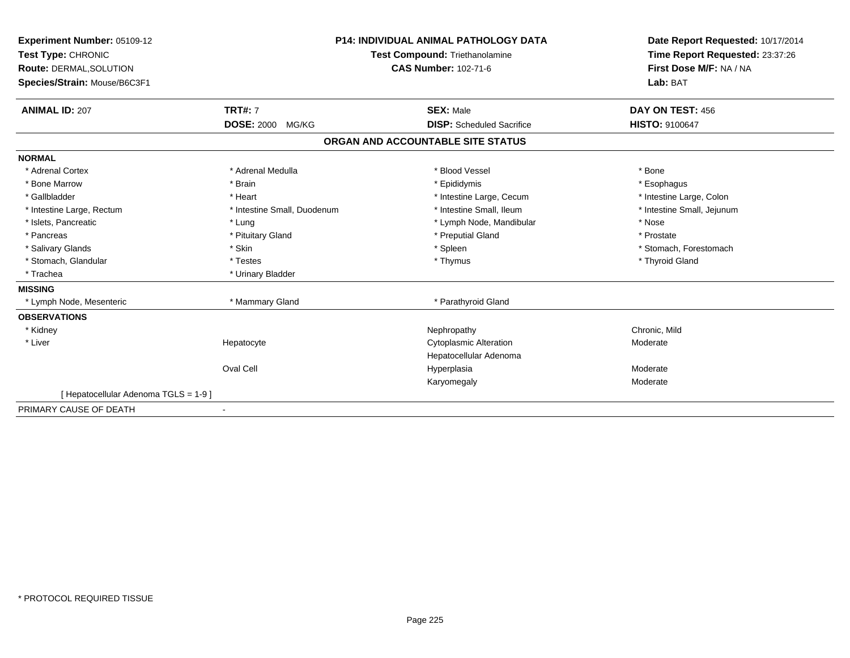| Experiment Number: 05109-12<br>Test Type: CHRONIC<br>Route: DERMAL, SOLUTION<br>Species/Strain: Mouse/B6C3F1 |                                    | <b>P14: INDIVIDUAL ANIMAL PATHOLOGY DATA</b><br><b>Test Compound: Triethanolamine</b><br><b>CAS Number: 102-71-6</b> |                                                      | Date Report Requested: 10/17/2014<br>Time Report Requested: 23:37:26<br>First Dose M/F: NA / NA<br>Lab: BAT |
|--------------------------------------------------------------------------------------------------------------|------------------------------------|----------------------------------------------------------------------------------------------------------------------|------------------------------------------------------|-------------------------------------------------------------------------------------------------------------|
| <b>ANIMAL ID: 207</b>                                                                                        | <b>TRT#: 7</b><br>DOSE: 2000 MG/KG |                                                                                                                      | <b>SEX: Male</b><br><b>DISP:</b> Scheduled Sacrifice | DAY ON TEST: 456<br><b>HISTO: 9100647</b>                                                                   |
|                                                                                                              |                                    |                                                                                                                      | ORGAN AND ACCOUNTABLE SITE STATUS                    |                                                                                                             |
| <b>NORMAL</b>                                                                                                |                                    |                                                                                                                      |                                                      |                                                                                                             |
| * Adrenal Cortex                                                                                             | * Adrenal Medulla                  |                                                                                                                      | * Blood Vessel                                       | * Bone                                                                                                      |
| * Bone Marrow                                                                                                | * Brain                            |                                                                                                                      | * Epididymis                                         | * Esophagus                                                                                                 |
| * Gallbladder                                                                                                | * Heart                            |                                                                                                                      | * Intestine Large, Cecum                             | * Intestine Large, Colon                                                                                    |
| * Intestine Large, Rectum                                                                                    | * Intestine Small, Duodenum        |                                                                                                                      | * Intestine Small, Ileum                             | * Intestine Small, Jejunum                                                                                  |
| * Islets, Pancreatic                                                                                         | * Lung                             |                                                                                                                      | * Lymph Node, Mandibular                             | * Nose                                                                                                      |
| * Pancreas                                                                                                   | * Pituitary Gland                  |                                                                                                                      | * Preputial Gland                                    | * Prostate                                                                                                  |
| * Salivary Glands                                                                                            | * Skin                             |                                                                                                                      | * Spleen                                             | * Stomach, Forestomach                                                                                      |
| * Stomach, Glandular                                                                                         | * Testes                           |                                                                                                                      | * Thymus                                             | * Thyroid Gland                                                                                             |
| * Trachea                                                                                                    | * Urinary Bladder                  |                                                                                                                      |                                                      |                                                                                                             |
| <b>MISSING</b>                                                                                               |                                    |                                                                                                                      |                                                      |                                                                                                             |
| * Lymph Node, Mesenteric                                                                                     | * Mammary Gland                    |                                                                                                                      | * Parathyroid Gland                                  |                                                                                                             |
| <b>OBSERVATIONS</b>                                                                                          |                                    |                                                                                                                      |                                                      |                                                                                                             |
| * Kidney                                                                                                     |                                    |                                                                                                                      | Nephropathy                                          | Chronic, Mild                                                                                               |
| * Liver                                                                                                      | Hepatocyte                         |                                                                                                                      | <b>Cytoplasmic Alteration</b>                        | Moderate                                                                                                    |
|                                                                                                              |                                    |                                                                                                                      | Hepatocellular Adenoma                               |                                                                                                             |
|                                                                                                              | Oval Cell                          |                                                                                                                      | Hyperplasia                                          | Moderate                                                                                                    |
|                                                                                                              |                                    |                                                                                                                      | Karyomegaly                                          | Moderate                                                                                                    |
| [ Hepatocellular Adenoma TGLS = 1-9 ]                                                                        |                                    |                                                                                                                      |                                                      |                                                                                                             |
| PRIMARY CAUSE OF DEATH                                                                                       | $\blacksquare$                     |                                                                                                                      |                                                      |                                                                                                             |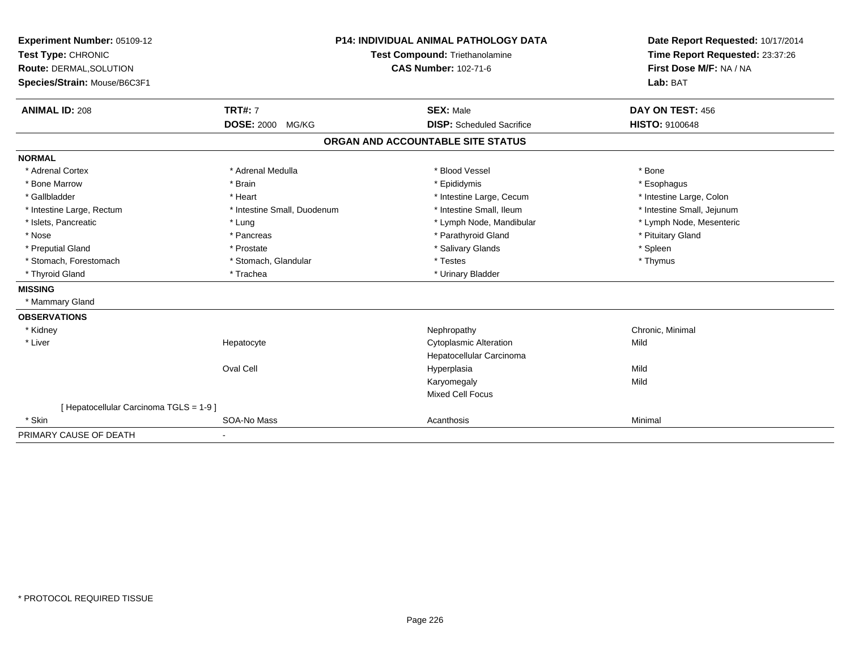| Experiment Number: 05109-12<br>Test Type: CHRONIC<br>Route: DERMAL, SOLUTION<br>Species/Strain: Mouse/B6C3F1<br><b>ANIMAL ID: 208</b> | <b>TRT#: 7</b>              | <b>P14: INDIVIDUAL ANIMAL PATHOLOGY DATA</b><br><b>Test Compound: Triethanolamine</b><br><b>CAS Number: 102-71-6</b><br><b>SEX: Male</b> | Date Report Requested: 10/17/2014<br>Time Report Requested: 23:37:26<br>First Dose M/F: NA / NA<br>Lab: BAT<br>DAY ON TEST: 456 |
|---------------------------------------------------------------------------------------------------------------------------------------|-----------------------------|------------------------------------------------------------------------------------------------------------------------------------------|---------------------------------------------------------------------------------------------------------------------------------|
|                                                                                                                                       | DOSE: 2000 MG/KG            | <b>DISP:</b> Scheduled Sacrifice                                                                                                         | <b>HISTO: 9100648</b>                                                                                                           |
|                                                                                                                                       |                             | ORGAN AND ACCOUNTABLE SITE STATUS                                                                                                        |                                                                                                                                 |
| <b>NORMAL</b>                                                                                                                         |                             |                                                                                                                                          |                                                                                                                                 |
| * Adrenal Cortex                                                                                                                      | * Adrenal Medulla           | * Blood Vessel                                                                                                                           | * Bone                                                                                                                          |
| * Bone Marrow                                                                                                                         | * Brain                     | * Epididymis                                                                                                                             | * Esophagus                                                                                                                     |
| * Gallbladder                                                                                                                         | * Heart                     | * Intestine Large, Cecum                                                                                                                 | * Intestine Large, Colon                                                                                                        |
| * Intestine Large, Rectum                                                                                                             | * Intestine Small, Duodenum | * Intestine Small, Ileum                                                                                                                 | * Intestine Small, Jejunum                                                                                                      |
| * Islets, Pancreatic                                                                                                                  | * Lung                      | * Lymph Node, Mandibular                                                                                                                 | * Lymph Node, Mesenteric                                                                                                        |
| * Nose                                                                                                                                | * Pancreas                  | * Parathyroid Gland                                                                                                                      | * Pituitary Gland                                                                                                               |
| * Preputial Gland                                                                                                                     | * Prostate                  | * Salivary Glands                                                                                                                        | * Spleen                                                                                                                        |
| * Stomach, Forestomach                                                                                                                | * Stomach, Glandular        | * Testes                                                                                                                                 | * Thymus                                                                                                                        |
| * Thyroid Gland                                                                                                                       | * Trachea                   | * Urinary Bladder                                                                                                                        |                                                                                                                                 |
| <b>MISSING</b>                                                                                                                        |                             |                                                                                                                                          |                                                                                                                                 |
| * Mammary Gland                                                                                                                       |                             |                                                                                                                                          |                                                                                                                                 |
| <b>OBSERVATIONS</b>                                                                                                                   |                             |                                                                                                                                          |                                                                                                                                 |
| * Kidney                                                                                                                              |                             | Nephropathy                                                                                                                              | Chronic, Minimal                                                                                                                |
| * Liver                                                                                                                               | Hepatocyte                  | <b>Cytoplasmic Alteration</b>                                                                                                            | Mild                                                                                                                            |
|                                                                                                                                       |                             | Hepatocellular Carcinoma                                                                                                                 |                                                                                                                                 |
|                                                                                                                                       | Oval Cell                   | Hyperplasia                                                                                                                              | Mild                                                                                                                            |
|                                                                                                                                       |                             | Karyomegaly                                                                                                                              | Mild                                                                                                                            |
|                                                                                                                                       |                             | <b>Mixed Cell Focus</b>                                                                                                                  |                                                                                                                                 |
| [ Hepatocellular Carcinoma TGLS = 1-9 ]                                                                                               |                             |                                                                                                                                          |                                                                                                                                 |
| * Skin                                                                                                                                | SOA-No Mass                 | Acanthosis                                                                                                                               | Minimal                                                                                                                         |
| PRIMARY CAUSE OF DEATH                                                                                                                |                             |                                                                                                                                          |                                                                                                                                 |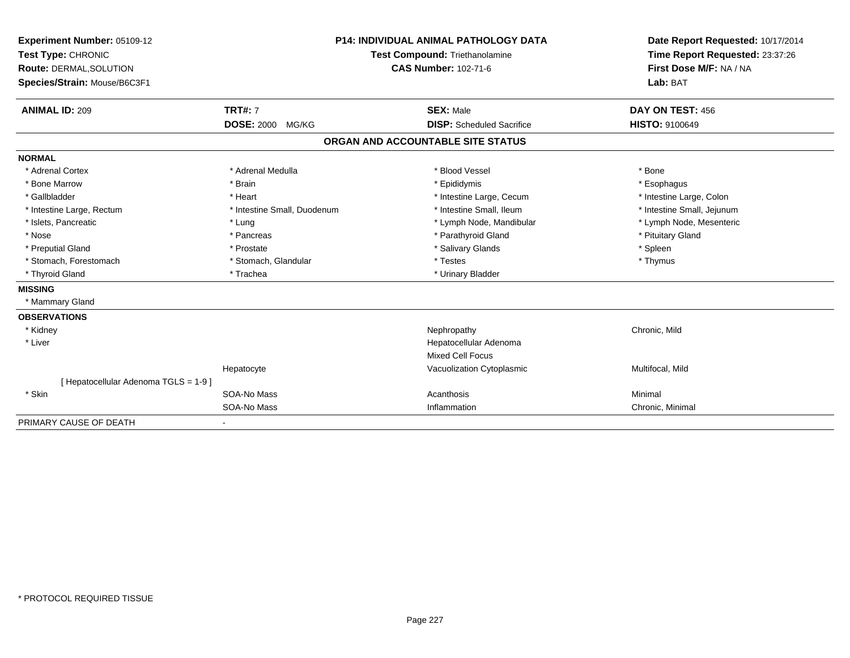| Experiment Number: 05109-12<br>Test Type: CHRONIC<br><b>Route: DERMAL, SOLUTION</b><br>Species/Strain: Mouse/B6C3F1<br><b>ANIMAL ID: 209</b> | <b>P14: INDIVIDUAL ANIMAL PATHOLOGY DATA</b><br>Test Compound: Triethanolamine<br><b>CAS Number: 102-71-6</b><br><b>TRT#: 7</b><br><b>SEX: Male</b><br><b>DOSE: 2000 MG/KG</b><br><b>DISP:</b> Scheduled Sacrifice |  | Date Report Requested: 10/17/2014<br>Time Report Requested: 23:37:26<br>First Dose M/F: NA / NA<br>Lab: BAT<br>DAY ON TEST: 456<br><b>HISTO: 9100649</b> |                            |
|----------------------------------------------------------------------------------------------------------------------------------------------|--------------------------------------------------------------------------------------------------------------------------------------------------------------------------------------------------------------------|--|----------------------------------------------------------------------------------------------------------------------------------------------------------|----------------------------|
|                                                                                                                                              |                                                                                                                                                                                                                    |  | ORGAN AND ACCOUNTABLE SITE STATUS                                                                                                                        |                            |
| <b>NORMAL</b>                                                                                                                                |                                                                                                                                                                                                                    |  |                                                                                                                                                          |                            |
| * Adrenal Cortex                                                                                                                             | * Adrenal Medulla                                                                                                                                                                                                  |  | * Blood Vessel                                                                                                                                           | * Bone                     |
| * Bone Marrow                                                                                                                                | * Brain                                                                                                                                                                                                            |  | * Epididymis                                                                                                                                             | * Esophagus                |
| * Gallbladder                                                                                                                                | * Heart                                                                                                                                                                                                            |  | * Intestine Large, Cecum                                                                                                                                 | * Intestine Large, Colon   |
| * Intestine Large, Rectum                                                                                                                    | * Intestine Small, Duodenum                                                                                                                                                                                        |  | * Intestine Small, Ileum                                                                                                                                 | * Intestine Small, Jejunum |
| * Islets, Pancreatic                                                                                                                         | * Lung                                                                                                                                                                                                             |  | * Lymph Node, Mandibular                                                                                                                                 | * Lymph Node, Mesenteric   |
| * Nose                                                                                                                                       | * Pancreas                                                                                                                                                                                                         |  | * Parathyroid Gland                                                                                                                                      | * Pituitary Gland          |
| * Preputial Gland                                                                                                                            | * Prostate                                                                                                                                                                                                         |  | * Salivary Glands                                                                                                                                        | * Spleen                   |
| * Stomach, Forestomach                                                                                                                       | * Stomach, Glandular                                                                                                                                                                                               |  | * Testes                                                                                                                                                 | * Thymus                   |
| * Thyroid Gland                                                                                                                              | * Trachea                                                                                                                                                                                                          |  | * Urinary Bladder                                                                                                                                        |                            |
| <b>MISSING</b>                                                                                                                               |                                                                                                                                                                                                                    |  |                                                                                                                                                          |                            |
| * Mammary Gland                                                                                                                              |                                                                                                                                                                                                                    |  |                                                                                                                                                          |                            |
| <b>OBSERVATIONS</b>                                                                                                                          |                                                                                                                                                                                                                    |  |                                                                                                                                                          |                            |
| * Kidney                                                                                                                                     |                                                                                                                                                                                                                    |  | Nephropathy                                                                                                                                              | Chronic, Mild              |
| * Liver                                                                                                                                      |                                                                                                                                                                                                                    |  | Hepatocellular Adenoma                                                                                                                                   |                            |
|                                                                                                                                              |                                                                                                                                                                                                                    |  | <b>Mixed Cell Focus</b>                                                                                                                                  |                            |
|                                                                                                                                              | Hepatocyte                                                                                                                                                                                                         |  | Vacuolization Cytoplasmic                                                                                                                                | Multifocal, Mild           |
| [ Hepatocellular Adenoma TGLS = 1-9 ]                                                                                                        |                                                                                                                                                                                                                    |  |                                                                                                                                                          |                            |
| * Skin                                                                                                                                       | SOA-No Mass                                                                                                                                                                                                        |  | Acanthosis                                                                                                                                               | Minimal                    |
|                                                                                                                                              | SOA-No Mass                                                                                                                                                                                                        |  | Inflammation                                                                                                                                             | Chronic, Minimal           |
| PRIMARY CAUSE OF DEATH                                                                                                                       |                                                                                                                                                                                                                    |  |                                                                                                                                                          |                            |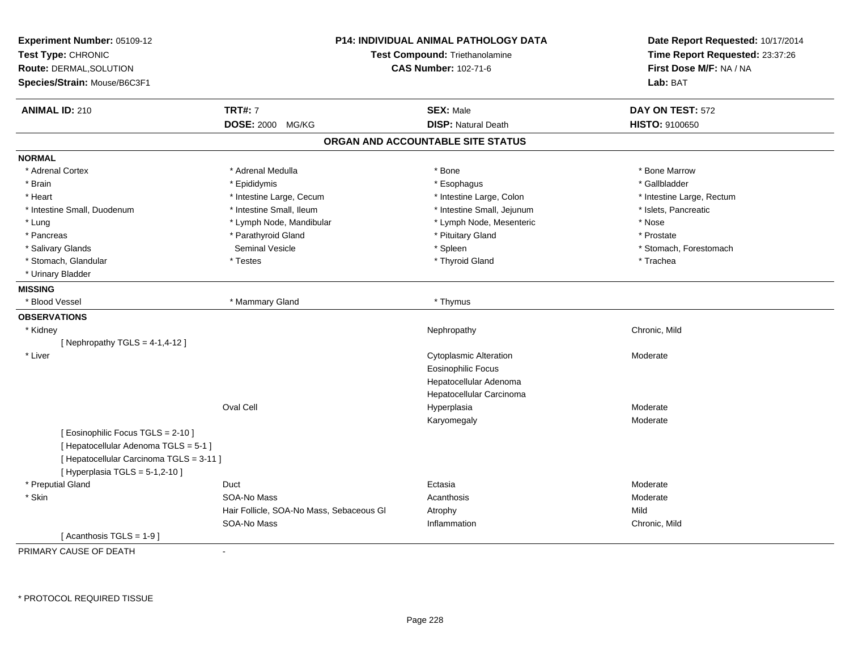| Experiment Number: 05109-12<br>Test Type: CHRONIC<br>Route: DERMAL, SOLUTION<br>Species/Strain: Mouse/B6C3F1 |                                          | P14: INDIVIDUAL ANIMAL PATHOLOGY DATA<br>Test Compound: Triethanolamine<br><b>CAS Number: 102-71-6</b> | Date Report Requested: 10/17/2014<br>Time Report Requested: 23:37:26<br>First Dose M/F: NA / NA<br>Lab: BAT |  |
|--------------------------------------------------------------------------------------------------------------|------------------------------------------|--------------------------------------------------------------------------------------------------------|-------------------------------------------------------------------------------------------------------------|--|
| <b>ANIMAL ID: 210</b>                                                                                        | <b>TRT#: 7</b>                           | <b>SEX: Male</b>                                                                                       | DAY ON TEST: 572                                                                                            |  |
|                                                                                                              | DOSE: 2000 MG/KG                         | <b>DISP: Natural Death</b>                                                                             | HISTO: 9100650                                                                                              |  |
|                                                                                                              |                                          | ORGAN AND ACCOUNTABLE SITE STATUS                                                                      |                                                                                                             |  |
| <b>NORMAL</b>                                                                                                |                                          |                                                                                                        |                                                                                                             |  |
| * Adrenal Cortex                                                                                             | * Adrenal Medulla                        | * Bone                                                                                                 | * Bone Marrow                                                                                               |  |
| * Brain                                                                                                      | * Epididymis                             | * Esophagus                                                                                            | * Gallbladder                                                                                               |  |
| * Heart                                                                                                      | * Intestine Large, Cecum                 | * Intestine Large, Colon                                                                               | * Intestine Large, Rectum                                                                                   |  |
| * Intestine Small, Duodenum                                                                                  | * Intestine Small, Ileum                 | * Intestine Small, Jejunum                                                                             | * Islets, Pancreatic                                                                                        |  |
| * Lung                                                                                                       | * Lymph Node, Mandibular                 | * Lymph Node, Mesenteric                                                                               | * Nose                                                                                                      |  |
| * Pancreas                                                                                                   | * Parathyroid Gland                      | * Pituitary Gland                                                                                      | * Prostate                                                                                                  |  |
| * Salivary Glands                                                                                            | <b>Seminal Vesicle</b>                   | * Spleen                                                                                               | * Stomach, Forestomach                                                                                      |  |
| * Stomach, Glandular                                                                                         | * Testes                                 | * Thyroid Gland                                                                                        | * Trachea                                                                                                   |  |
| * Urinary Bladder                                                                                            |                                          |                                                                                                        |                                                                                                             |  |
| <b>MISSING</b>                                                                                               |                                          |                                                                                                        |                                                                                                             |  |
| * Blood Vessel                                                                                               | * Mammary Gland                          | * Thymus                                                                                               |                                                                                                             |  |
| <b>OBSERVATIONS</b>                                                                                          |                                          |                                                                                                        |                                                                                                             |  |
| * Kidney                                                                                                     |                                          | Nephropathy                                                                                            | Chronic, Mild                                                                                               |  |
| [ Nephropathy TGLS = $4-1,4-12$ ]                                                                            |                                          |                                                                                                        |                                                                                                             |  |
| * Liver                                                                                                      |                                          | <b>Cytoplasmic Alteration</b>                                                                          | Moderate                                                                                                    |  |
|                                                                                                              |                                          | <b>Eosinophilic Focus</b>                                                                              |                                                                                                             |  |
|                                                                                                              |                                          | Hepatocellular Adenoma                                                                                 |                                                                                                             |  |
|                                                                                                              |                                          | Hepatocellular Carcinoma                                                                               |                                                                                                             |  |
|                                                                                                              | Oval Cell                                | Hyperplasia                                                                                            | Moderate                                                                                                    |  |
|                                                                                                              |                                          | Karyomegaly                                                                                            | Moderate                                                                                                    |  |
| [ Eosinophilic Focus TGLS = 2-10 ]                                                                           |                                          |                                                                                                        |                                                                                                             |  |
| [ Hepatocellular Adenoma TGLS = 5-1 ]                                                                        |                                          |                                                                                                        |                                                                                                             |  |
| [ Hepatocellular Carcinoma TGLS = 3-11 ]                                                                     |                                          |                                                                                                        |                                                                                                             |  |
| [ Hyperplasia TGLS = $5-1,2-10$ ]                                                                            |                                          |                                                                                                        |                                                                                                             |  |
| * Preputial Gland                                                                                            | Duct                                     | Ectasia                                                                                                | Moderate                                                                                                    |  |
| * Skin                                                                                                       | SOA-No Mass                              | Acanthosis                                                                                             | Moderate                                                                                                    |  |
|                                                                                                              | Hair Follicle, SOA-No Mass, Sebaceous Gl | Atrophy                                                                                                | Mild                                                                                                        |  |
|                                                                                                              | SOA-No Mass                              | Inflammation                                                                                           | Chronic, Mild                                                                                               |  |
| [Acanthosis TGLS = $1-9$ ]                                                                                   |                                          |                                                                                                        |                                                                                                             |  |

PRIMARY CAUSE OF DEATH-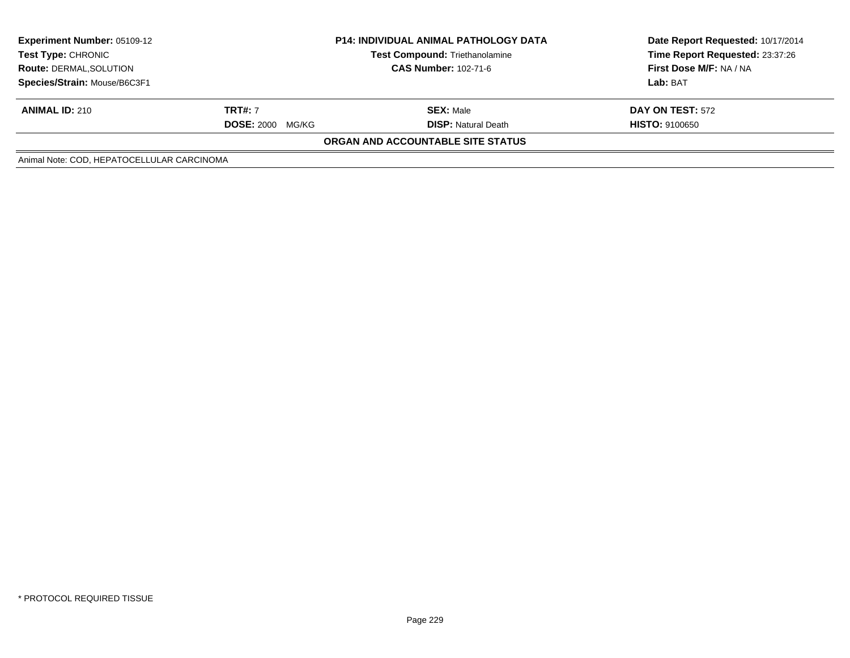| <b>Experiment Number: 05109-12</b><br><b>Test Type: CHRONIC</b><br><b>Route: DERMAL, SOLUTION</b> | <b>P14: INDIVIDUAL ANIMAL PATHOLOGY DATA</b><br>Test Compound: Triethanolamine<br><b>CAS Number: 102-71-6</b> |                                   | Date Report Requested: 10/17/2014<br>Time Report Requested: 23:37:26<br>First Dose M/F: NA / NA |
|---------------------------------------------------------------------------------------------------|---------------------------------------------------------------------------------------------------------------|-----------------------------------|-------------------------------------------------------------------------------------------------|
| Species/Strain: Mouse/B6C3F1                                                                      |                                                                                                               |                                   | Lab: BAT                                                                                        |
| <b>ANIMAL ID: 210</b>                                                                             | <b>TRT#:</b> 7                                                                                                | <b>SEX: Male</b>                  | <b>DAY ON TEST: 572</b>                                                                         |
|                                                                                                   | <b>DOSE: 2000</b><br>MG/KG                                                                                    | <b>DISP:</b> Natural Death        | <b>HISTO: 9100650</b>                                                                           |
|                                                                                                   |                                                                                                               | ORGAN AND ACCOUNTABLE SITE STATUS |                                                                                                 |
| Animal Note: COD, HEPATOCELLULAR CARCINOMA                                                        |                                                                                                               |                                   |                                                                                                 |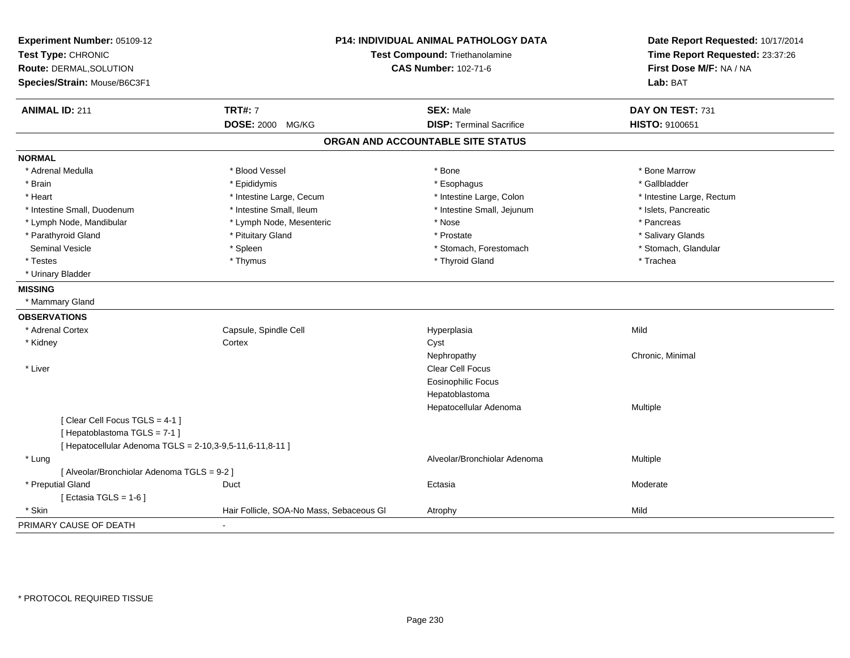| Experiment Number: 05109-12<br>Test Type: CHRONIC<br>Route: DERMAL, SOLUTION<br>Species/Strain: Mouse/B6C3F1 | <b>P14: INDIVIDUAL ANIMAL PATHOLOGY DATA</b><br>Test Compound: Triethanolamine<br><b>CAS Number: 102-71-6</b> |                                   | Date Report Requested: 10/17/2014<br>Time Report Requested: 23:37:26<br>First Dose M/F: NA / NA<br>Lab: BAT |
|--------------------------------------------------------------------------------------------------------------|---------------------------------------------------------------------------------------------------------------|-----------------------------------|-------------------------------------------------------------------------------------------------------------|
| <b>ANIMAL ID: 211</b>                                                                                        | <b>TRT#: 7</b>                                                                                                | <b>SEX: Male</b>                  | DAY ON TEST: 731                                                                                            |
|                                                                                                              | <b>DOSE: 2000 MG/KG</b>                                                                                       | <b>DISP: Terminal Sacrifice</b>   | HISTO: 9100651                                                                                              |
|                                                                                                              |                                                                                                               | ORGAN AND ACCOUNTABLE SITE STATUS |                                                                                                             |
| <b>NORMAL</b>                                                                                                |                                                                                                               |                                   |                                                                                                             |
| * Adrenal Medulla                                                                                            | * Blood Vessel                                                                                                | * Bone                            | * Bone Marrow                                                                                               |
| * Brain                                                                                                      | * Epididymis                                                                                                  | * Esophagus                       | * Gallbladder                                                                                               |
| * Heart                                                                                                      | * Intestine Large, Cecum                                                                                      | * Intestine Large, Colon          | * Intestine Large, Rectum                                                                                   |
| * Intestine Small, Duodenum                                                                                  | * Intestine Small, Ileum                                                                                      | * Intestine Small, Jejunum        | * Islets, Pancreatic                                                                                        |
| * Lymph Node, Mandibular                                                                                     | * Lymph Node, Mesenteric                                                                                      | * Nose                            | * Pancreas                                                                                                  |
| * Parathyroid Gland                                                                                          | * Pituitary Gland                                                                                             | * Prostate                        | * Salivary Glands                                                                                           |
| <b>Seminal Vesicle</b>                                                                                       | * Spleen                                                                                                      | * Stomach, Forestomach            | * Stomach, Glandular                                                                                        |
| * Testes                                                                                                     | * Thymus                                                                                                      | * Thyroid Gland                   | * Trachea                                                                                                   |
| * Urinary Bladder                                                                                            |                                                                                                               |                                   |                                                                                                             |
| <b>MISSING</b>                                                                                               |                                                                                                               |                                   |                                                                                                             |
| * Mammary Gland                                                                                              |                                                                                                               |                                   |                                                                                                             |
| <b>OBSERVATIONS</b>                                                                                          |                                                                                                               |                                   |                                                                                                             |
| * Adrenal Cortex                                                                                             | Capsule, Spindle Cell                                                                                         | Hyperplasia                       | Mild                                                                                                        |
| * Kidney                                                                                                     | Cortex                                                                                                        | Cyst                              |                                                                                                             |
|                                                                                                              |                                                                                                               | Nephropathy                       | Chronic, Minimal                                                                                            |
| * Liver                                                                                                      |                                                                                                               | <b>Clear Cell Focus</b>           |                                                                                                             |
|                                                                                                              |                                                                                                               | <b>Eosinophilic Focus</b>         |                                                                                                             |
|                                                                                                              |                                                                                                               | Hepatoblastoma                    |                                                                                                             |
|                                                                                                              |                                                                                                               | Hepatocellular Adenoma            | Multiple                                                                                                    |
| [Clear Cell Focus TGLS = 4-1]<br>[Hepatoblastoma TGLS = 7-1]                                                 |                                                                                                               |                                   |                                                                                                             |
| [ Hepatocellular Adenoma TGLS = 2-10,3-9,5-11,6-11,8-11 ]                                                    |                                                                                                               |                                   |                                                                                                             |
| * Lung<br>[ Alveolar/Bronchiolar Adenoma TGLS = 9-2 ]                                                        |                                                                                                               | Alveolar/Bronchiolar Adenoma      | Multiple                                                                                                    |
| * Preputial Gland                                                                                            |                                                                                                               |                                   |                                                                                                             |
| [ Ectasia TGLS = $1-6$ ]                                                                                     | Duct                                                                                                          | Ectasia                           | Moderate                                                                                                    |
| * Skin                                                                                                       | Hair Follicle, SOA-No Mass, Sebaceous Gl                                                                      | Atrophy                           | Mild                                                                                                        |
| PRIMARY CAUSE OF DEATH                                                                                       | $\blacksquare$                                                                                                |                                   |                                                                                                             |
|                                                                                                              |                                                                                                               |                                   |                                                                                                             |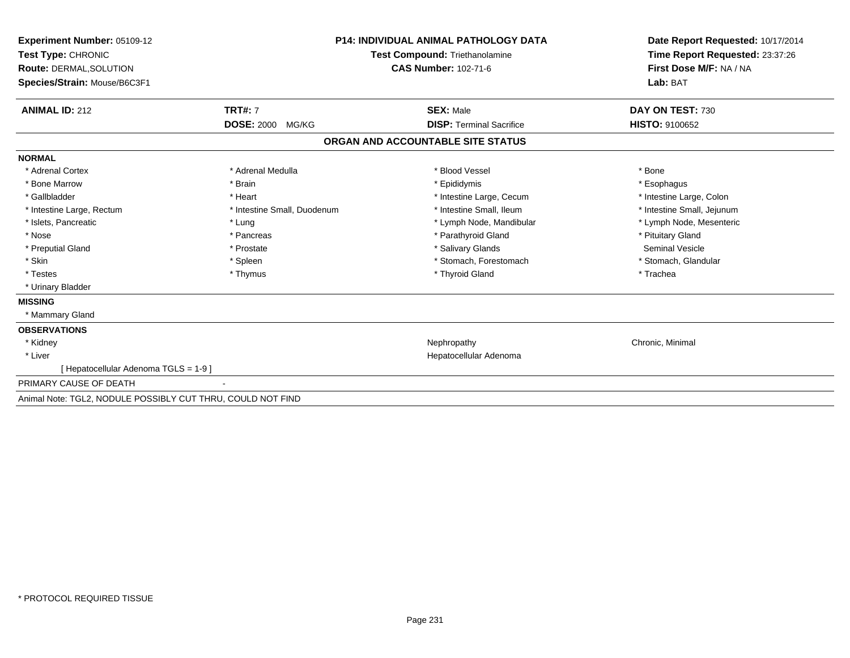| Experiment Number: 05109-12<br>Test Type: CHRONIC<br><b>Route: DERMAL, SOLUTION</b><br>Species/Strain: Mouse/B6C3F1 | <b>P14: INDIVIDUAL ANIMAL PATHOLOGY DATA</b><br><b>Test Compound: Triethanolamine</b><br><b>CAS Number: 102-71-6</b> |                                                     | Date Report Requested: 10/17/2014<br>Time Report Requested: 23:37:26<br>First Dose M/F: NA / NA<br>Lab: BAT |
|---------------------------------------------------------------------------------------------------------------------|----------------------------------------------------------------------------------------------------------------------|-----------------------------------------------------|-------------------------------------------------------------------------------------------------------------|
|                                                                                                                     |                                                                                                                      |                                                     |                                                                                                             |
| <b>ANIMAL ID: 212</b>                                                                                               | <b>TRT#: 7</b><br><b>DOSE: 2000 MG/KG</b>                                                                            | <b>SEX: Male</b><br><b>DISP:</b> Terminal Sacrifice | DAY ON TEST: 730<br><b>HISTO: 9100652</b>                                                                   |
|                                                                                                                     |                                                                                                                      | ORGAN AND ACCOUNTABLE SITE STATUS                   |                                                                                                             |
| <b>NORMAL</b>                                                                                                       |                                                                                                                      |                                                     |                                                                                                             |
| * Adrenal Cortex                                                                                                    | * Adrenal Medulla                                                                                                    | * Blood Vessel                                      | * Bone                                                                                                      |
| * Bone Marrow                                                                                                       | * Brain                                                                                                              | * Epididymis                                        | * Esophagus                                                                                                 |
| * Gallbladder                                                                                                       | * Heart                                                                                                              | * Intestine Large, Cecum                            | * Intestine Large, Colon                                                                                    |
| * Intestine Large, Rectum                                                                                           | * Intestine Small, Duodenum                                                                                          | * Intestine Small. Ileum                            | * Intestine Small, Jejunum                                                                                  |
| * Islets, Pancreatic                                                                                                | * Lung                                                                                                               | * Lymph Node, Mandibular                            | * Lymph Node, Mesenteric                                                                                    |
| * Nose                                                                                                              | * Pancreas                                                                                                           | * Parathyroid Gland                                 | * Pituitary Gland                                                                                           |
| * Preputial Gland                                                                                                   | * Prostate                                                                                                           | * Salivary Glands                                   | Seminal Vesicle                                                                                             |
| * Skin                                                                                                              | * Spleen                                                                                                             | * Stomach, Forestomach                              | * Stomach, Glandular                                                                                        |
| * Testes                                                                                                            | * Thymus                                                                                                             | * Thyroid Gland                                     | * Trachea                                                                                                   |
| * Urinary Bladder                                                                                                   |                                                                                                                      |                                                     |                                                                                                             |
| <b>MISSING</b>                                                                                                      |                                                                                                                      |                                                     |                                                                                                             |
| * Mammary Gland                                                                                                     |                                                                                                                      |                                                     |                                                                                                             |
| <b>OBSERVATIONS</b>                                                                                                 |                                                                                                                      |                                                     |                                                                                                             |
| * Kidney                                                                                                            |                                                                                                                      | Nephropathy                                         | Chronic, Minimal                                                                                            |
| * Liver                                                                                                             |                                                                                                                      | Hepatocellular Adenoma                              |                                                                                                             |
| [Hepatocellular Adenoma TGLS = 1-9]                                                                                 |                                                                                                                      |                                                     |                                                                                                             |
| PRIMARY CAUSE OF DEATH                                                                                              |                                                                                                                      |                                                     |                                                                                                             |
| Animal Note: TGL2, NODULE POSSIBLY CUT THRU, COULD NOT FIND                                                         |                                                                                                                      |                                                     |                                                                                                             |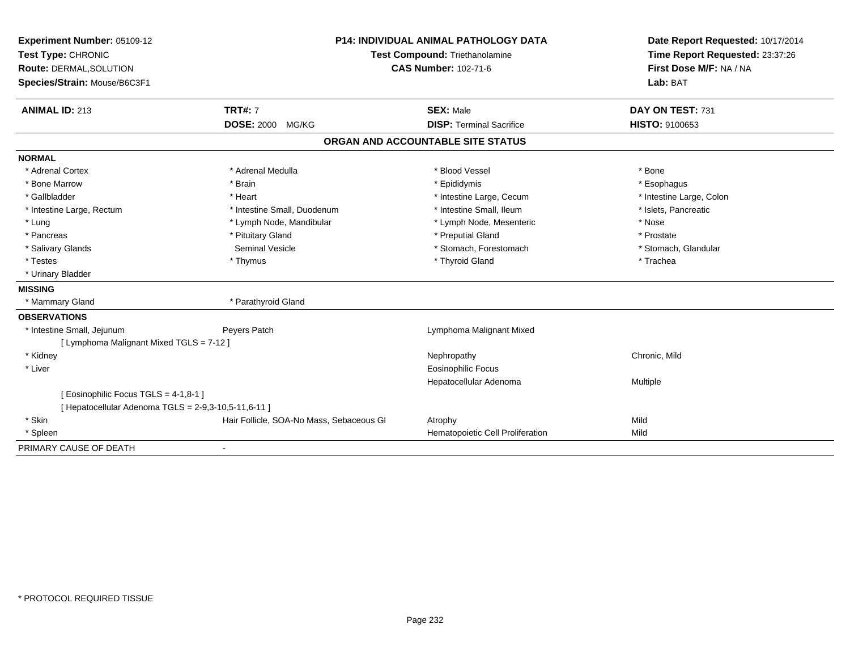| Experiment Number: 05109-12                          | <b>P14: INDIVIDUAL ANIMAL PATHOLOGY DATA</b> |                                   | Date Report Requested: 10/17/2014                          |
|------------------------------------------------------|----------------------------------------------|-----------------------------------|------------------------------------------------------------|
| Test Type: CHRONIC                                   |                                              | Test Compound: Triethanolamine    |                                                            |
| <b>Route: DERMAL, SOLUTION</b>                       |                                              | <b>CAS Number: 102-71-6</b>       | Time Report Requested: 23:37:26<br>First Dose M/F: NA / NA |
| Species/Strain: Mouse/B6C3F1                         |                                              |                                   | Lab: BAT                                                   |
| <b>ANIMAL ID: 213</b>                                | <b>TRT#: 7</b>                               | <b>SEX: Male</b>                  | DAY ON TEST: 731                                           |
|                                                      | <b>DOSE: 2000 MG/KG</b>                      | <b>DISP: Terminal Sacrifice</b>   | <b>HISTO: 9100653</b>                                      |
|                                                      |                                              | ORGAN AND ACCOUNTABLE SITE STATUS |                                                            |
| <b>NORMAL</b>                                        |                                              |                                   |                                                            |
| * Adrenal Cortex                                     | * Adrenal Medulla                            | * Blood Vessel                    | * Bone                                                     |
| * Bone Marrow                                        | * Brain                                      | * Epididymis                      | * Esophagus                                                |
| * Gallbladder                                        | * Heart                                      | * Intestine Large, Cecum          | * Intestine Large, Colon                                   |
| * Intestine Large, Rectum                            | * Intestine Small, Duodenum                  | * Intestine Small, Ileum          | * Islets, Pancreatic                                       |
| * Lung                                               | * Lymph Node, Mandibular                     | * Lymph Node, Mesenteric          | * Nose                                                     |
| * Pancreas                                           | * Pituitary Gland                            | * Preputial Gland                 | * Prostate                                                 |
| * Salivary Glands                                    | <b>Seminal Vesicle</b>                       | * Stomach, Forestomach            | * Stomach, Glandular                                       |
| * Testes                                             | * Thymus                                     | * Thyroid Gland                   | * Trachea                                                  |
| * Urinary Bladder                                    |                                              |                                   |                                                            |
| <b>MISSING</b>                                       |                                              |                                   |                                                            |
| * Mammary Gland                                      | * Parathyroid Gland                          |                                   |                                                            |
| <b>OBSERVATIONS</b>                                  |                                              |                                   |                                                            |
| * Intestine Small, Jejunum                           | Peyers Patch                                 | Lymphoma Malignant Mixed          |                                                            |
| [ Lymphoma Malignant Mixed TGLS = 7-12 ]             |                                              |                                   |                                                            |
| * Kidney                                             |                                              | Nephropathy                       | Chronic, Mild                                              |
| * Liver                                              |                                              | <b>Eosinophilic Focus</b>         |                                                            |
|                                                      |                                              | Hepatocellular Adenoma            | Multiple                                                   |
| [Eosinophilic Focus TGLS = 4-1,8-1]                  |                                              |                                   |                                                            |
| [ Hepatocellular Adenoma TGLS = 2-9,3-10,5-11,6-11 ] |                                              |                                   |                                                            |
| * Skin                                               | Hair Follicle, SOA-No Mass, Sebaceous GI     | Atrophy                           | Mild                                                       |
| * Spleen                                             |                                              | Hematopoietic Cell Proliferation  | Mild                                                       |
| PRIMARY CAUSE OF DEATH                               | $\blacksquare$                               |                                   |                                                            |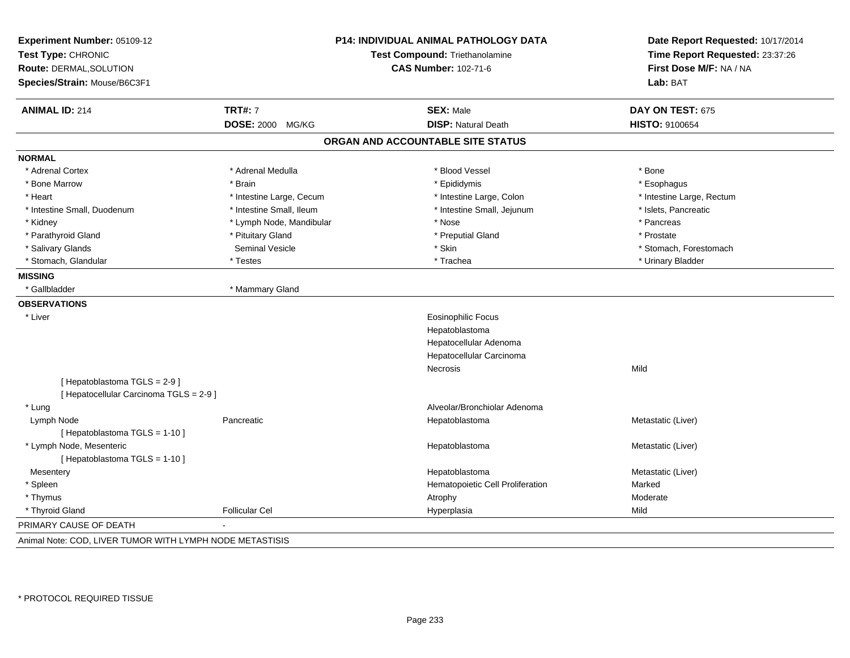| Experiment Number: 05109-12<br>Test Type: CHRONIC<br>Route: DERMAL, SOLUTION<br>Species/Strain: Mouse/B6C3F1 | P14: INDIVIDUAL ANIMAL PATHOLOGY DATA<br><b>Test Compound: Triethanolamine</b><br><b>CAS Number: 102-71-6</b> |                                   | Date Report Requested: 10/17/2014<br>Time Report Requested: 23:37:26<br>First Dose M/F: NA / NA<br>Lab: BAT |
|--------------------------------------------------------------------------------------------------------------|---------------------------------------------------------------------------------------------------------------|-----------------------------------|-------------------------------------------------------------------------------------------------------------|
| <b>ANIMAL ID: 214</b>                                                                                        | <b>TRT#: 7</b>                                                                                                | <b>SEX: Male</b>                  | DAY ON TEST: 675                                                                                            |
|                                                                                                              | DOSE: 2000 MG/KG                                                                                              | <b>DISP: Natural Death</b>        | HISTO: 9100654                                                                                              |
|                                                                                                              |                                                                                                               | ORGAN AND ACCOUNTABLE SITE STATUS |                                                                                                             |
| <b>NORMAL</b>                                                                                                |                                                                                                               |                                   |                                                                                                             |
| * Adrenal Cortex                                                                                             | * Adrenal Medulla                                                                                             | * Blood Vessel                    | * Bone                                                                                                      |
| * Bone Marrow                                                                                                | * Brain                                                                                                       | * Epididymis                      | * Esophagus                                                                                                 |
| * Heart                                                                                                      | * Intestine Large, Cecum                                                                                      | * Intestine Large, Colon          | * Intestine Large, Rectum                                                                                   |
| * Intestine Small, Duodenum                                                                                  | * Intestine Small, Ileum                                                                                      | * Intestine Small, Jejunum        | * Islets, Pancreatic                                                                                        |
| * Kidney                                                                                                     | * Lymph Node, Mandibular                                                                                      | * Nose                            | * Pancreas                                                                                                  |
| * Parathyroid Gland                                                                                          | * Pituitary Gland                                                                                             | * Preputial Gland                 | * Prostate                                                                                                  |
| * Salivary Glands                                                                                            | <b>Seminal Vesicle</b>                                                                                        | * Skin                            | * Stomach, Forestomach                                                                                      |
| * Stomach, Glandular                                                                                         | * Testes                                                                                                      | * Trachea                         | * Urinary Bladder                                                                                           |
| <b>MISSING</b>                                                                                               |                                                                                                               |                                   |                                                                                                             |
| * Gallbladder                                                                                                | * Mammary Gland                                                                                               |                                   |                                                                                                             |
| <b>OBSERVATIONS</b>                                                                                          |                                                                                                               |                                   |                                                                                                             |
| * Liver                                                                                                      |                                                                                                               | <b>Eosinophilic Focus</b>         |                                                                                                             |
|                                                                                                              |                                                                                                               | Hepatoblastoma                    |                                                                                                             |
|                                                                                                              |                                                                                                               | Hepatocellular Adenoma            |                                                                                                             |
|                                                                                                              |                                                                                                               | Hepatocellular Carcinoma          |                                                                                                             |
|                                                                                                              |                                                                                                               | Necrosis                          | Mild                                                                                                        |
| [Hepatoblastoma TGLS = 2-9]<br>[ Hepatocellular Carcinoma TGLS = 2-9 ]                                       |                                                                                                               |                                   |                                                                                                             |
| * Lung                                                                                                       |                                                                                                               | Alveolar/Bronchiolar Adenoma      |                                                                                                             |
| Lymph Node                                                                                                   | Pancreatic                                                                                                    | Hepatoblastoma                    | Metastatic (Liver)                                                                                          |
| [Hepatoblastoma TGLS = 1-10]                                                                                 |                                                                                                               |                                   |                                                                                                             |
| * Lymph Node, Mesenteric                                                                                     |                                                                                                               | Hepatoblastoma                    | Metastatic (Liver)                                                                                          |
| [Hepatoblastoma TGLS = 1-10]                                                                                 |                                                                                                               |                                   |                                                                                                             |
| Mesentery                                                                                                    |                                                                                                               | Hepatoblastoma                    | Metastatic (Liver)                                                                                          |
| * Spleen                                                                                                     |                                                                                                               | Hematopoietic Cell Proliferation  | Marked                                                                                                      |
| * Thymus                                                                                                     |                                                                                                               | Atrophy                           | Moderate                                                                                                    |
| * Thyroid Gland                                                                                              | <b>Follicular Cel</b>                                                                                         | Hyperplasia                       | Mild                                                                                                        |
| PRIMARY CAUSE OF DEATH                                                                                       |                                                                                                               |                                   |                                                                                                             |
| Animal Note: COD, LIVER TUMOR WITH LYMPH NODE METASTISIS                                                     |                                                                                                               |                                   |                                                                                                             |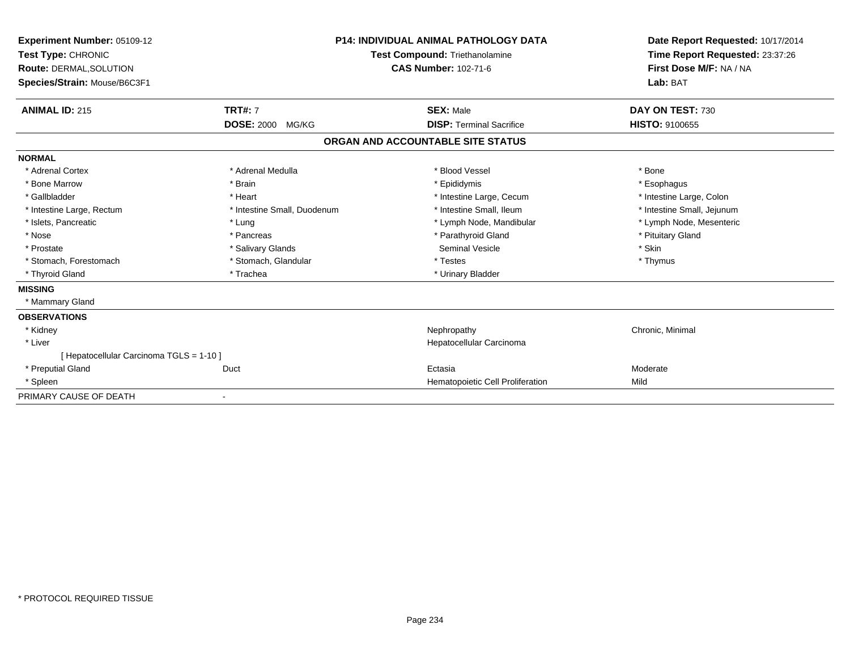| Experiment Number: 05109-12<br>Test Type: CHRONIC<br>Route: DERMAL, SOLUTION<br>Species/Strain: Mouse/B6C3F1 |                             | <b>P14: INDIVIDUAL ANIMAL PATHOLOGY DATA</b><br><b>Test Compound: Triethanolamine</b><br><b>CAS Number: 102-71-6</b> | Date Report Requested: 10/17/2014<br>Time Report Requested: 23:37:26<br>First Dose M/F: NA / NA<br>Lab: BAT |
|--------------------------------------------------------------------------------------------------------------|-----------------------------|----------------------------------------------------------------------------------------------------------------------|-------------------------------------------------------------------------------------------------------------|
| <b>ANIMAL ID: 215</b>                                                                                        | <b>TRT#: 7</b>              | <b>SEX: Male</b>                                                                                                     | DAY ON TEST: 730                                                                                            |
|                                                                                                              | <b>DOSE: 2000 MG/KG</b>     | <b>DISP: Terminal Sacrifice</b>                                                                                      | <b>HISTO: 9100655</b>                                                                                       |
|                                                                                                              |                             | ORGAN AND ACCOUNTABLE SITE STATUS                                                                                    |                                                                                                             |
| <b>NORMAL</b>                                                                                                |                             |                                                                                                                      |                                                                                                             |
| * Adrenal Cortex                                                                                             | * Adrenal Medulla           | * Blood Vessel                                                                                                       | * Bone                                                                                                      |
| * Bone Marrow                                                                                                | * Brain                     | * Epididymis                                                                                                         | * Esophagus                                                                                                 |
| * Gallbladder                                                                                                | * Heart                     | * Intestine Large, Cecum                                                                                             | * Intestine Large, Colon                                                                                    |
| * Intestine Large, Rectum                                                                                    | * Intestine Small, Duodenum | * Intestine Small, Ileum                                                                                             | * Intestine Small, Jejunum                                                                                  |
| * Islets, Pancreatic                                                                                         | * Lung                      | * Lymph Node, Mandibular                                                                                             | * Lymph Node, Mesenteric                                                                                    |
| * Nose                                                                                                       | * Pancreas                  | * Parathyroid Gland                                                                                                  | * Pituitary Gland                                                                                           |
| * Prostate                                                                                                   | * Salivary Glands           | <b>Seminal Vesicle</b>                                                                                               | * Skin                                                                                                      |
| * Stomach, Forestomach                                                                                       | * Stomach, Glandular        | * Testes                                                                                                             | * Thymus                                                                                                    |
| * Thyroid Gland                                                                                              | * Trachea                   | * Urinary Bladder                                                                                                    |                                                                                                             |
| <b>MISSING</b>                                                                                               |                             |                                                                                                                      |                                                                                                             |
| * Mammary Gland                                                                                              |                             |                                                                                                                      |                                                                                                             |
| <b>OBSERVATIONS</b>                                                                                          |                             |                                                                                                                      |                                                                                                             |
| * Kidney                                                                                                     |                             | Nephropathy                                                                                                          | Chronic, Minimal                                                                                            |
| * Liver                                                                                                      |                             | Hepatocellular Carcinoma                                                                                             |                                                                                                             |
| [ Hepatocellular Carcinoma TGLS = 1-10 ]                                                                     |                             |                                                                                                                      |                                                                                                             |
| * Preputial Gland                                                                                            | Duct                        | Ectasia                                                                                                              | Moderate                                                                                                    |
| * Spleen                                                                                                     |                             | Hematopoietic Cell Proliferation                                                                                     | Mild                                                                                                        |
| PRIMARY CAUSE OF DEATH                                                                                       |                             |                                                                                                                      |                                                                                                             |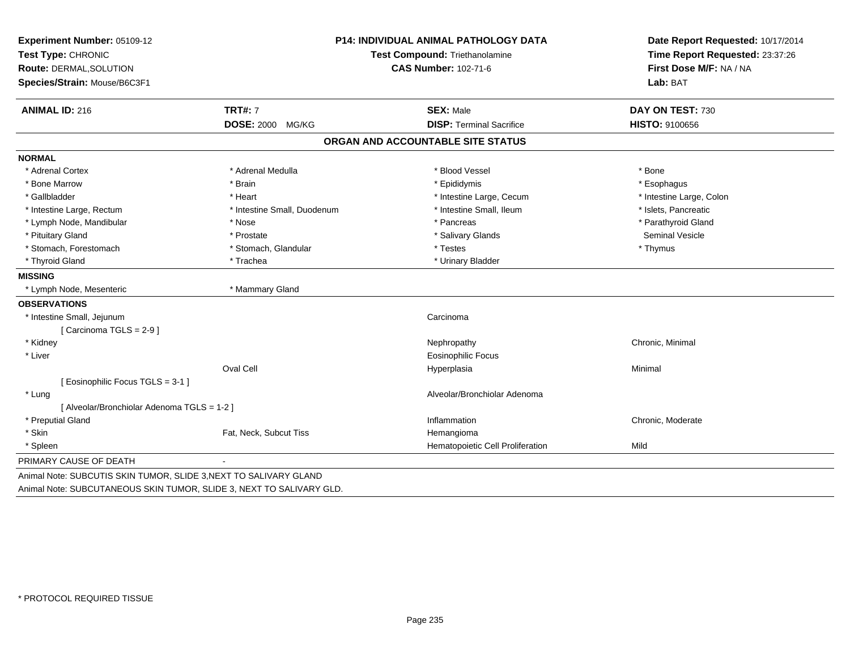| Experiment Number: 05109-12<br>Test Type: CHRONIC<br>Route: DERMAL, SOLUTION<br>Species/Strain: Mouse/B6C3F1 | <b>P14: INDIVIDUAL ANIMAL PATHOLOGY DATA</b><br>Test Compound: Triethanolamine<br><b>CAS Number: 102-71-6</b> |                                                     | Date Report Requested: 10/17/2014<br>Time Report Requested: 23:37:26<br>First Dose M/F: NA / NA<br>Lab: BAT |
|--------------------------------------------------------------------------------------------------------------|---------------------------------------------------------------------------------------------------------------|-----------------------------------------------------|-------------------------------------------------------------------------------------------------------------|
|                                                                                                              |                                                                                                               |                                                     |                                                                                                             |
| <b>ANIMAL ID: 216</b>                                                                                        | <b>TRT#: 7</b><br>DOSE: 2000 MG/KG                                                                            | <b>SEX: Male</b><br><b>DISP: Terminal Sacrifice</b> | DAY ON TEST: 730<br>HISTO: 9100656                                                                          |
|                                                                                                              |                                                                                                               | ORGAN AND ACCOUNTABLE SITE STATUS                   |                                                                                                             |
|                                                                                                              |                                                                                                               |                                                     |                                                                                                             |
| <b>NORMAL</b>                                                                                                |                                                                                                               |                                                     |                                                                                                             |
| * Adrenal Cortex                                                                                             | * Adrenal Medulla                                                                                             | * Blood Vessel                                      | * Bone                                                                                                      |
| * Bone Marrow                                                                                                | * Brain                                                                                                       | * Epididymis                                        | * Esophagus                                                                                                 |
| * Gallbladder                                                                                                | * Heart                                                                                                       | * Intestine Large, Cecum                            | * Intestine Large, Colon                                                                                    |
| * Intestine Large, Rectum                                                                                    | * Intestine Small, Duodenum                                                                                   | * Intestine Small, Ileum                            | * Islets, Pancreatic                                                                                        |
| * Lymph Node, Mandibular                                                                                     | * Nose                                                                                                        | * Pancreas                                          | * Parathyroid Gland                                                                                         |
| * Pituitary Gland                                                                                            | * Prostate                                                                                                    | * Salivary Glands                                   | <b>Seminal Vesicle</b>                                                                                      |
| * Stomach, Forestomach                                                                                       | * Stomach, Glandular                                                                                          | * Testes                                            | * Thymus                                                                                                    |
| * Thyroid Gland                                                                                              | * Trachea                                                                                                     | * Urinary Bladder                                   |                                                                                                             |
| <b>MISSING</b>                                                                                               |                                                                                                               |                                                     |                                                                                                             |
| * Lymph Node, Mesenteric                                                                                     | * Mammary Gland                                                                                               |                                                     |                                                                                                             |
| <b>OBSERVATIONS</b>                                                                                          |                                                                                                               |                                                     |                                                                                                             |
| * Intestine Small, Jejunum                                                                                   |                                                                                                               | Carcinoma                                           |                                                                                                             |
| [Carcinoma TGLS = 2-9]                                                                                       |                                                                                                               |                                                     |                                                                                                             |
| * Kidney                                                                                                     |                                                                                                               | Nephropathy                                         | Chronic, Minimal                                                                                            |
| * Liver                                                                                                      |                                                                                                               | <b>Eosinophilic Focus</b>                           |                                                                                                             |
|                                                                                                              | Oval Cell                                                                                                     | Hyperplasia                                         | Minimal                                                                                                     |
| [Eosinophilic Focus TGLS = 3-1]                                                                              |                                                                                                               |                                                     |                                                                                                             |
| * Lung                                                                                                       |                                                                                                               | Alveolar/Bronchiolar Adenoma                        |                                                                                                             |
| [ Alveolar/Bronchiolar Adenoma TGLS = 1-2 ]                                                                  |                                                                                                               |                                                     |                                                                                                             |
| * Preputial Gland                                                                                            |                                                                                                               | Inflammation                                        | Chronic, Moderate                                                                                           |
| * Skin                                                                                                       | Fat, Neck, Subcut Tiss                                                                                        | Hemangioma                                          |                                                                                                             |
| * Spleen                                                                                                     |                                                                                                               | Hematopoietic Cell Proliferation                    | Mild                                                                                                        |
| PRIMARY CAUSE OF DEATH                                                                                       |                                                                                                               |                                                     |                                                                                                             |
| Animal Note: SUBCUTIS SKIN TUMOR, SLIDE 3, NEXT TO SALIVARY GLAND                                            |                                                                                                               |                                                     |                                                                                                             |

Animal Note: SUBCUTANEOUS SKIN TUMOR, SLIDE 3, NEXT TO SALIVARY GLD.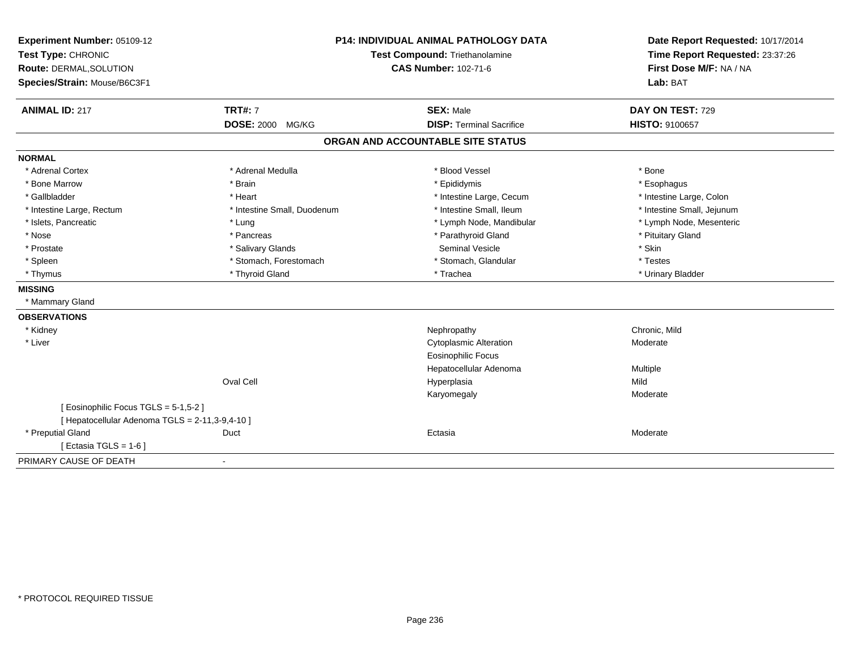| Experiment Number: 05109-12<br>Test Type: CHRONIC<br>Route: DERMAL, SOLUTION<br>Species/Strain: Mouse/B6C3F1 |                             | <b>P14: INDIVIDUAL ANIMAL PATHOLOGY DATA</b><br>Test Compound: Triethanolamine<br><b>CAS Number: 102-71-6</b> |                            |
|--------------------------------------------------------------------------------------------------------------|-----------------------------|---------------------------------------------------------------------------------------------------------------|----------------------------|
| <b>ANIMAL ID: 217</b>                                                                                        | <b>TRT#: 7</b>              | <b>SEX: Male</b>                                                                                              | DAY ON TEST: 729           |
|                                                                                                              | <b>DOSE: 2000 MG/KG</b>     | <b>DISP: Terminal Sacrifice</b>                                                                               | <b>HISTO: 9100657</b>      |
|                                                                                                              |                             | ORGAN AND ACCOUNTABLE SITE STATUS                                                                             |                            |
| <b>NORMAL</b>                                                                                                |                             |                                                                                                               |                            |
| * Adrenal Cortex                                                                                             | * Adrenal Medulla           | * Blood Vessel                                                                                                | * Bone                     |
| * Bone Marrow                                                                                                | * Brain                     | * Epididymis                                                                                                  | * Esophagus                |
| * Gallbladder                                                                                                | * Heart                     | * Intestine Large, Cecum                                                                                      | * Intestine Large, Colon   |
| * Intestine Large, Rectum                                                                                    | * Intestine Small, Duodenum | * Intestine Small, Ileum                                                                                      | * Intestine Small, Jejunum |
| * Islets, Pancreatic                                                                                         | * Lung                      | * Lymph Node, Mandibular                                                                                      | * Lymph Node, Mesenteric   |
| * Nose                                                                                                       | * Pancreas                  | * Parathyroid Gland                                                                                           | * Pituitary Gland          |
| * Prostate                                                                                                   | * Salivary Glands           | <b>Seminal Vesicle</b>                                                                                        | * Skin                     |
| * Spleen                                                                                                     | * Stomach, Forestomach      | * Stomach, Glandular                                                                                          | * Testes                   |
| * Thymus                                                                                                     | * Thyroid Gland             | * Trachea                                                                                                     | * Urinary Bladder          |
| <b>MISSING</b>                                                                                               |                             |                                                                                                               |                            |
| * Mammary Gland                                                                                              |                             |                                                                                                               |                            |
| <b>OBSERVATIONS</b>                                                                                          |                             |                                                                                                               |                            |
| * Kidney                                                                                                     |                             | Nephropathy                                                                                                   | Chronic, Mild              |
| * Liver                                                                                                      |                             | <b>Cytoplasmic Alteration</b>                                                                                 | Moderate                   |
|                                                                                                              |                             | <b>Eosinophilic Focus</b>                                                                                     |                            |
|                                                                                                              |                             | Hepatocellular Adenoma                                                                                        | Multiple                   |
|                                                                                                              | <b>Oval Cell</b>            | Hyperplasia                                                                                                   | Mild                       |
|                                                                                                              |                             | Karyomegaly                                                                                                   | Moderate                   |
| [Eosinophilic Focus TGLS = 5-1,5-2]                                                                          |                             |                                                                                                               |                            |
| [ Hepatocellular Adenoma TGLS = 2-11,3-9,4-10 ]                                                              |                             |                                                                                                               |                            |
| * Preputial Gland                                                                                            | Duct                        | Ectasia                                                                                                       | Moderate                   |
| [Ectasia TGLS = $1-6$ ]                                                                                      |                             |                                                                                                               |                            |
| PRIMARY CAUSE OF DEATH                                                                                       |                             |                                                                                                               |                            |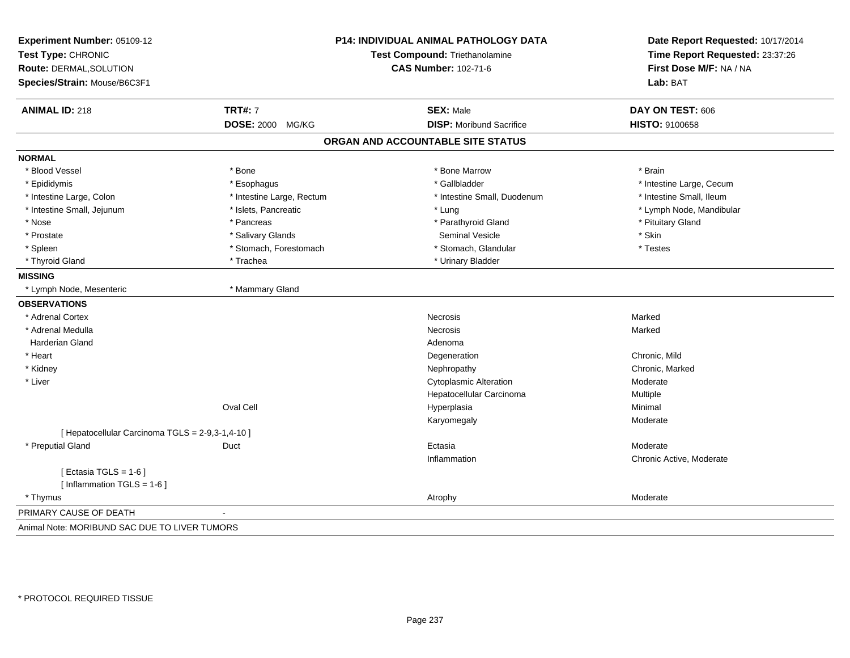| Experiment Number: 05109-12<br>Test Type: CHRONIC<br>Route: DERMAL, SOLUTION<br>Species/Strain: Mouse/B6C3F1 | P14: INDIVIDUAL ANIMAL PATHOLOGY DATA<br>Test Compound: Triethanolamine<br><b>CAS Number: 102-71-6</b> |                                   | Date Report Requested: 10/17/2014<br>Time Report Requested: 23:37:26<br>First Dose M/F: NA / NA<br>Lab: BAT |
|--------------------------------------------------------------------------------------------------------------|--------------------------------------------------------------------------------------------------------|-----------------------------------|-------------------------------------------------------------------------------------------------------------|
| <b>ANIMAL ID: 218</b>                                                                                        | <b>TRT#: 7</b>                                                                                         | <b>SEX: Male</b>                  | DAY ON TEST: 606                                                                                            |
|                                                                                                              | <b>DOSE: 2000 MG/KG</b>                                                                                | <b>DISP:</b> Moribund Sacrifice   | HISTO: 9100658                                                                                              |
|                                                                                                              |                                                                                                        | ORGAN AND ACCOUNTABLE SITE STATUS |                                                                                                             |
| <b>NORMAL</b>                                                                                                |                                                                                                        |                                   |                                                                                                             |
| * Blood Vessel                                                                                               | * Bone                                                                                                 | * Bone Marrow                     | * Brain                                                                                                     |
| * Epididymis                                                                                                 | * Esophagus                                                                                            | * Gallbladder                     | * Intestine Large, Cecum                                                                                    |
| * Intestine Large, Colon                                                                                     | * Intestine Large, Rectum                                                                              | * Intestine Small, Duodenum       | * Intestine Small, Ileum                                                                                    |
| * Intestine Small, Jejunum                                                                                   | * Islets, Pancreatic                                                                                   | * Lung                            | * Lymph Node, Mandibular                                                                                    |
| * Nose                                                                                                       | * Pancreas                                                                                             | * Parathyroid Gland               | * Pituitary Gland                                                                                           |
| * Prostate                                                                                                   | * Salivary Glands                                                                                      | <b>Seminal Vesicle</b>            | * Skin                                                                                                      |
| * Spleen                                                                                                     | * Stomach, Forestomach                                                                                 | * Stomach, Glandular              | * Testes                                                                                                    |
| * Thyroid Gland                                                                                              | * Trachea                                                                                              | * Urinary Bladder                 |                                                                                                             |
| <b>MISSING</b>                                                                                               |                                                                                                        |                                   |                                                                                                             |
| * Lymph Node, Mesenteric                                                                                     | * Mammary Gland                                                                                        |                                   |                                                                                                             |
| <b>OBSERVATIONS</b>                                                                                          |                                                                                                        |                                   |                                                                                                             |
| * Adrenal Cortex                                                                                             |                                                                                                        | Necrosis                          | Marked                                                                                                      |
| * Adrenal Medulla                                                                                            |                                                                                                        | <b>Necrosis</b>                   | Marked                                                                                                      |
| <b>Harderian Gland</b>                                                                                       |                                                                                                        | Adenoma                           |                                                                                                             |
| * Heart                                                                                                      |                                                                                                        | Degeneration                      | Chronic, Mild                                                                                               |
| * Kidney                                                                                                     |                                                                                                        | Nephropathy                       | Chronic, Marked                                                                                             |
| * Liver                                                                                                      |                                                                                                        | <b>Cytoplasmic Alteration</b>     | Moderate                                                                                                    |
|                                                                                                              |                                                                                                        | Hepatocellular Carcinoma          | Multiple                                                                                                    |
|                                                                                                              | Oval Cell                                                                                              | Hyperplasia                       | Minimal                                                                                                     |
|                                                                                                              |                                                                                                        | Karyomegaly                       | Moderate                                                                                                    |
| [ Hepatocellular Carcinoma TGLS = 2-9,3-1,4-10 ]                                                             |                                                                                                        |                                   |                                                                                                             |
| * Preputial Gland                                                                                            | Duct                                                                                                   | Ectasia                           | Moderate                                                                                                    |
|                                                                                                              |                                                                                                        | Inflammation                      | Chronic Active, Moderate                                                                                    |
| [ Ectasia TGLS = $1-6$ ]                                                                                     |                                                                                                        |                                   |                                                                                                             |
| [Inflammation TGLS = $1-6$ ]                                                                                 |                                                                                                        |                                   |                                                                                                             |
| * Thymus                                                                                                     |                                                                                                        | Atrophy                           | Moderate                                                                                                    |
| PRIMARY CAUSE OF DEATH                                                                                       |                                                                                                        |                                   |                                                                                                             |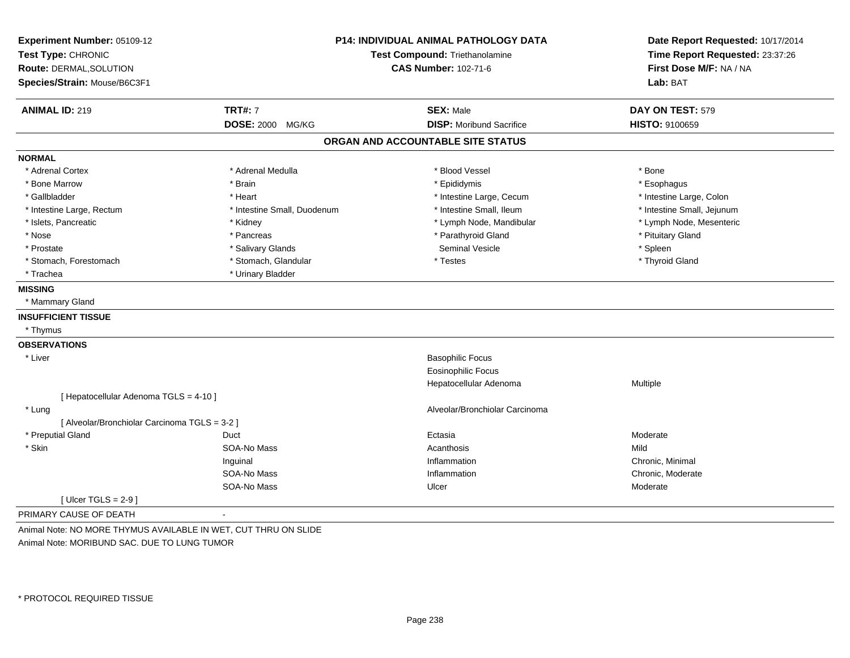| Experiment Number: 05109-12<br>Test Type: CHRONIC<br>Route: DERMAL, SOLUTION<br>Species/Strain: Mouse/B6C3F1 | <b>P14: INDIVIDUAL ANIMAL PATHOLOGY DATA</b><br>Test Compound: Triethanolamine<br><b>CAS Number: 102-71-6</b> |                                   | Date Report Requested: 10/17/2014<br>Time Report Requested: 23:37:26<br>First Dose M/F: NA / NA<br>Lab: BAT |
|--------------------------------------------------------------------------------------------------------------|---------------------------------------------------------------------------------------------------------------|-----------------------------------|-------------------------------------------------------------------------------------------------------------|
| <b>ANIMAL ID: 219</b>                                                                                        | <b>TRT#: 7</b>                                                                                                | <b>SEX: Male</b>                  | DAY ON TEST: 579                                                                                            |
|                                                                                                              | <b>DOSE: 2000 MG/KG</b>                                                                                       | <b>DISP:</b> Moribund Sacrifice   | HISTO: 9100659                                                                                              |
|                                                                                                              |                                                                                                               | ORGAN AND ACCOUNTABLE SITE STATUS |                                                                                                             |
| <b>NORMAL</b>                                                                                                |                                                                                                               |                                   |                                                                                                             |
| * Adrenal Cortex                                                                                             | * Adrenal Medulla                                                                                             | * Blood Vessel                    | * Bone                                                                                                      |
| * Bone Marrow                                                                                                | * Brain                                                                                                       | * Epididymis                      | * Esophagus                                                                                                 |
| * Gallbladder                                                                                                | * Heart                                                                                                       | * Intestine Large, Cecum          | * Intestine Large, Colon                                                                                    |
| * Intestine Large, Rectum                                                                                    | * Intestine Small, Duodenum                                                                                   | * Intestine Small, Ileum          | * Intestine Small, Jejunum                                                                                  |
| * Islets, Pancreatic                                                                                         | * Kidney                                                                                                      | * Lymph Node, Mandibular          | * Lymph Node, Mesenteric                                                                                    |
| * Nose                                                                                                       | * Pancreas                                                                                                    | * Parathyroid Gland               | * Pituitary Gland                                                                                           |
| * Prostate                                                                                                   | * Salivary Glands                                                                                             | <b>Seminal Vesicle</b>            | * Spleen                                                                                                    |
| * Stomach, Forestomach                                                                                       | * Stomach, Glandular                                                                                          | * Testes                          | * Thyroid Gland                                                                                             |
| * Trachea                                                                                                    | * Urinary Bladder                                                                                             |                                   |                                                                                                             |
| <b>MISSING</b>                                                                                               |                                                                                                               |                                   |                                                                                                             |
| * Mammary Gland                                                                                              |                                                                                                               |                                   |                                                                                                             |
| <b>INSUFFICIENT TISSUE</b>                                                                                   |                                                                                                               |                                   |                                                                                                             |
| * Thymus                                                                                                     |                                                                                                               |                                   |                                                                                                             |
| <b>OBSERVATIONS</b>                                                                                          |                                                                                                               |                                   |                                                                                                             |
| * Liver                                                                                                      |                                                                                                               | <b>Basophilic Focus</b>           |                                                                                                             |
|                                                                                                              |                                                                                                               | <b>Eosinophilic Focus</b>         |                                                                                                             |
|                                                                                                              |                                                                                                               | Hepatocellular Adenoma            | Multiple                                                                                                    |
| [ Hepatocellular Adenoma TGLS = 4-10 ]                                                                       |                                                                                                               |                                   |                                                                                                             |
| * Lung                                                                                                       |                                                                                                               | Alveolar/Bronchiolar Carcinoma    |                                                                                                             |
| [ Alveolar/Bronchiolar Carcinoma TGLS = 3-2 ]                                                                |                                                                                                               |                                   |                                                                                                             |
| * Preputial Gland                                                                                            | Duct                                                                                                          | Ectasia                           | Moderate                                                                                                    |
| * Skin                                                                                                       | SOA-No Mass                                                                                                   | Acanthosis                        | Mild                                                                                                        |
|                                                                                                              | Inguinal                                                                                                      | Inflammation                      | Chronic, Minimal                                                                                            |
|                                                                                                              | SOA-No Mass                                                                                                   | Inflammation                      | Chronic, Moderate                                                                                           |
|                                                                                                              | SOA-No Mass                                                                                                   | Ulcer                             | Moderate                                                                                                    |
| [ Ulcer TGLS = $2-9$ ]                                                                                       |                                                                                                               |                                   |                                                                                                             |
| PRIMARY CAUSE OF DEATH                                                                                       |                                                                                                               |                                   |                                                                                                             |
| Animal Note: NO MORE THYMUS AVAILABLE IN WET, CUT THRU ON SLIDE                                              |                                                                                                               |                                   |                                                                                                             |

Animal Note: MORIBUND SAC. DUE TO LUNG TUMOR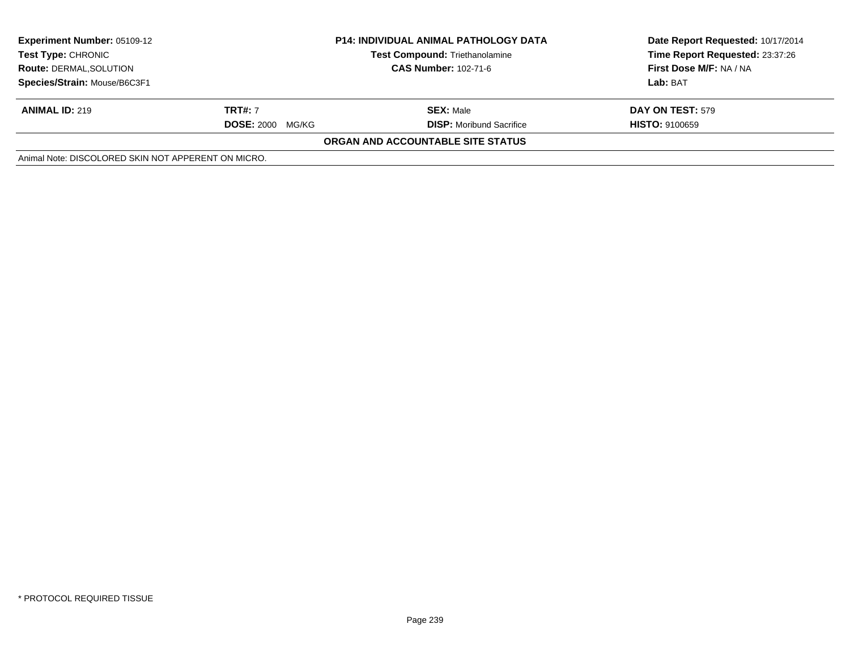| <b>Experiment Number: 05109-12</b><br><b>Test Type: CHRONIC</b><br><b>Route: DERMAL, SOLUTION</b><br>Species/Strain: Mouse/B6C3F1 | <b>P14: INDIVIDUAL ANIMAL PATHOLOGY DATA</b><br><b>Test Compound: Triethanolamine</b><br><b>CAS Number: 102-71-6</b> |                                                     | Date Report Requested: 10/17/2014<br>Time Report Requested: 23:37:26<br>First Dose M/F: NA / NA<br>Lab: BAT |
|-----------------------------------------------------------------------------------------------------------------------------------|----------------------------------------------------------------------------------------------------------------------|-----------------------------------------------------|-------------------------------------------------------------------------------------------------------------|
| <b>ANIMAL ID: 219</b>                                                                                                             | <b>TRT#: 7</b><br><b>DOSE: 2000</b><br>MG/KG                                                                         | <b>SEX: Male</b><br><b>DISP:</b> Moribund Sacrifice | <b>DAY ON TEST: 579</b><br><b>HISTO: 9100659</b>                                                            |
|                                                                                                                                   |                                                                                                                      | ORGAN AND ACCOUNTABLE SITE STATUS                   |                                                                                                             |
| Animal Note: DISCOLORED SKIN NOT APPERENT ON MICRO.                                                                               |                                                                                                                      |                                                     |                                                                                                             |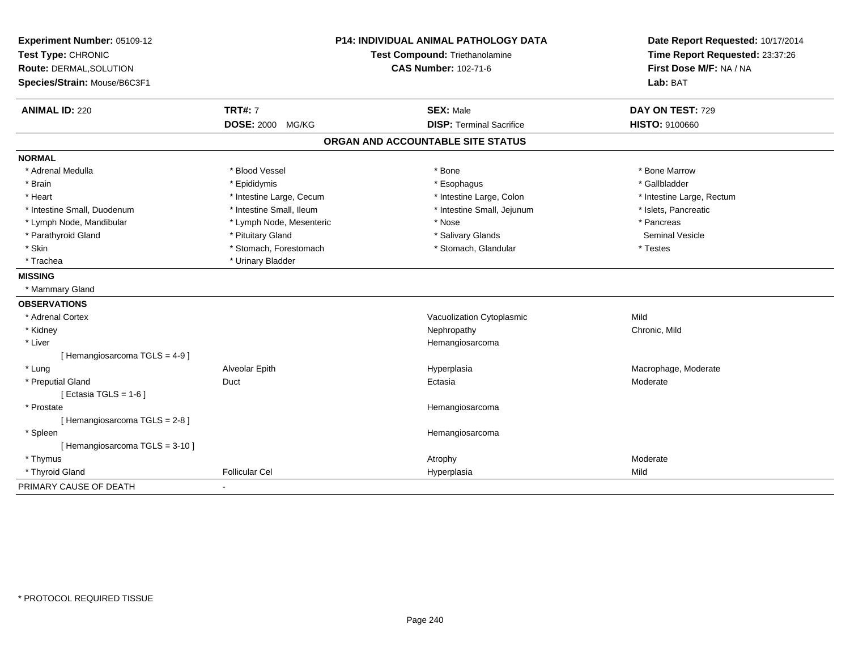| <b>P14: INDIVIDUAL ANIMAL PATHOLOGY DATA</b><br>Experiment Number: 05109-12<br>Test Type: CHRONIC<br>Test Compound: Triethanolamine<br><b>CAS Number: 102-71-6</b><br>Route: DERMAL, SOLUTION<br>Species/Strain: Mouse/B6C3F1 |                          | Date Report Requested: 10/17/2014<br>Time Report Requested: 23:37:26<br>First Dose M/F: NA / NA<br>Lab: BAT |                           |
|-------------------------------------------------------------------------------------------------------------------------------------------------------------------------------------------------------------------------------|--------------------------|-------------------------------------------------------------------------------------------------------------|---------------------------|
| <b>ANIMAL ID: 220</b>                                                                                                                                                                                                         | <b>TRT#: 7</b>           | <b>SEX: Male</b>                                                                                            | DAY ON TEST: 729          |
|                                                                                                                                                                                                                               | DOSE: 2000 MG/KG         | <b>DISP: Terminal Sacrifice</b>                                                                             | HISTO: 9100660            |
|                                                                                                                                                                                                                               |                          | ORGAN AND ACCOUNTABLE SITE STATUS                                                                           |                           |
| <b>NORMAL</b>                                                                                                                                                                                                                 |                          |                                                                                                             |                           |
| * Adrenal Medulla                                                                                                                                                                                                             | * Blood Vessel           | * Bone                                                                                                      | * Bone Marrow             |
| * Brain                                                                                                                                                                                                                       | * Epididymis             | * Esophagus                                                                                                 | * Gallbladder             |
| * Heart                                                                                                                                                                                                                       | * Intestine Large, Cecum | * Intestine Large, Colon                                                                                    | * Intestine Large, Rectum |
| * Intestine Small, Duodenum                                                                                                                                                                                                   | * Intestine Small, Ileum | * Intestine Small, Jejunum                                                                                  | * Islets, Pancreatic      |
| * Lymph Node, Mandibular                                                                                                                                                                                                      | * Lymph Node, Mesenteric | * Nose                                                                                                      | * Pancreas                |
| * Parathyroid Gland                                                                                                                                                                                                           | * Pituitary Gland        | * Salivary Glands                                                                                           | <b>Seminal Vesicle</b>    |
| * Skin                                                                                                                                                                                                                        | * Stomach, Forestomach   | * Stomach, Glandular                                                                                        | * Testes                  |
| * Trachea                                                                                                                                                                                                                     | * Urinary Bladder        |                                                                                                             |                           |
| <b>MISSING</b>                                                                                                                                                                                                                |                          |                                                                                                             |                           |
| * Mammary Gland                                                                                                                                                                                                               |                          |                                                                                                             |                           |
| <b>OBSERVATIONS</b>                                                                                                                                                                                                           |                          |                                                                                                             |                           |
| * Adrenal Cortex                                                                                                                                                                                                              |                          | Vacuolization Cytoplasmic                                                                                   | Mild                      |
| * Kidney                                                                                                                                                                                                                      |                          | Nephropathy                                                                                                 | Chronic, Mild             |
| * Liver                                                                                                                                                                                                                       |                          | Hemangiosarcoma                                                                                             |                           |
| [Hemangiosarcoma TGLS = 4-9]                                                                                                                                                                                                  |                          |                                                                                                             |                           |
| * Lung                                                                                                                                                                                                                        | Alveolar Epith           | Hyperplasia                                                                                                 | Macrophage, Moderate      |
| * Preputial Gland                                                                                                                                                                                                             | Duct                     | Ectasia                                                                                                     | Moderate                  |
| [ Ectasia TGLS = $1-6$ ]                                                                                                                                                                                                      |                          |                                                                                                             |                           |
| * Prostate                                                                                                                                                                                                                    |                          | Hemangiosarcoma                                                                                             |                           |
| [Hemangiosarcoma TGLS = 2-8]                                                                                                                                                                                                  |                          |                                                                                                             |                           |
| * Spleen                                                                                                                                                                                                                      |                          | Hemangiosarcoma                                                                                             |                           |
| [Hemangiosarcoma TGLS = 3-10]                                                                                                                                                                                                 |                          |                                                                                                             |                           |
| * Thymus                                                                                                                                                                                                                      |                          | Atrophy                                                                                                     | Moderate                  |
| * Thyroid Gland                                                                                                                                                                                                               | <b>Follicular Cel</b>    | Hyperplasia                                                                                                 | Mild                      |
| PRIMARY CAUSE OF DEATH                                                                                                                                                                                                        | $\blacksquare$           |                                                                                                             |                           |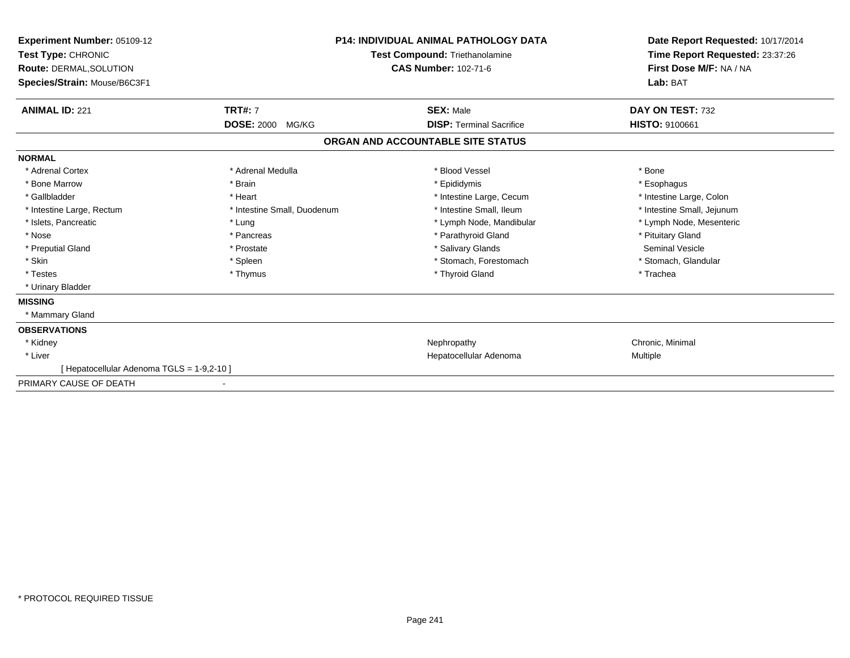| Experiment Number: 05109-12<br>Test Type: CHRONIC<br>Route: DERMAL, SOLUTION<br>Species/Strain: Mouse/B6C3F1 |                             | <b>P14: INDIVIDUAL ANIMAL PATHOLOGY DATA</b><br>Test Compound: Triethanolamine<br><b>CAS Number: 102-71-6</b> | Date Report Requested: 10/17/2014<br>Time Report Requested: 23:37:26<br>First Dose M/F: NA / NA<br>Lab: BAT |
|--------------------------------------------------------------------------------------------------------------|-----------------------------|---------------------------------------------------------------------------------------------------------------|-------------------------------------------------------------------------------------------------------------|
| <b>ANIMAL ID: 221</b>                                                                                        | <b>TRT#: 7</b>              | <b>SEX: Male</b>                                                                                              | DAY ON TEST: 732                                                                                            |
|                                                                                                              | <b>DOSE: 2000</b><br>MG/KG  | <b>DISP: Terminal Sacrifice</b>                                                                               | HISTO: 9100661                                                                                              |
|                                                                                                              |                             | ORGAN AND ACCOUNTABLE SITE STATUS                                                                             |                                                                                                             |
| <b>NORMAL</b>                                                                                                |                             |                                                                                                               |                                                                                                             |
| * Adrenal Cortex                                                                                             | * Adrenal Medulla           | * Blood Vessel                                                                                                | * Bone                                                                                                      |
| * Bone Marrow                                                                                                | * Brain                     | * Epididymis                                                                                                  | * Esophagus                                                                                                 |
| * Gallbladder                                                                                                | * Heart                     | * Intestine Large, Cecum                                                                                      | * Intestine Large, Colon                                                                                    |
| * Intestine Large, Rectum                                                                                    | * Intestine Small, Duodenum | * Intestine Small, Ileum                                                                                      | * Intestine Small, Jejunum                                                                                  |
| * Islets, Pancreatic                                                                                         | * Lung                      | * Lymph Node, Mandibular                                                                                      | * Lymph Node, Mesenteric                                                                                    |
| * Nose                                                                                                       | * Pancreas                  | * Parathyroid Gland                                                                                           | * Pituitary Gland                                                                                           |
| * Preputial Gland                                                                                            | * Prostate                  | * Salivary Glands                                                                                             | <b>Seminal Vesicle</b>                                                                                      |
| * Skin                                                                                                       | * Spleen                    | * Stomach, Forestomach                                                                                        | * Stomach, Glandular                                                                                        |
| * Testes                                                                                                     | * Thymus                    | * Thyroid Gland                                                                                               | * Trachea                                                                                                   |
| * Urinary Bladder                                                                                            |                             |                                                                                                               |                                                                                                             |
| <b>MISSING</b>                                                                                               |                             |                                                                                                               |                                                                                                             |
| * Mammary Gland                                                                                              |                             |                                                                                                               |                                                                                                             |
| <b>OBSERVATIONS</b>                                                                                          |                             |                                                                                                               |                                                                                                             |
| * Kidney                                                                                                     |                             | Nephropathy                                                                                                   | Chronic, Minimal                                                                                            |
| * Liver                                                                                                      |                             | Hepatocellular Adenoma                                                                                        | <b>Multiple</b>                                                                                             |
| [Hepatocellular Adenoma TGLS = 1-9,2-10]                                                                     |                             |                                                                                                               |                                                                                                             |
| PRIMARY CAUSE OF DEATH                                                                                       |                             |                                                                                                               |                                                                                                             |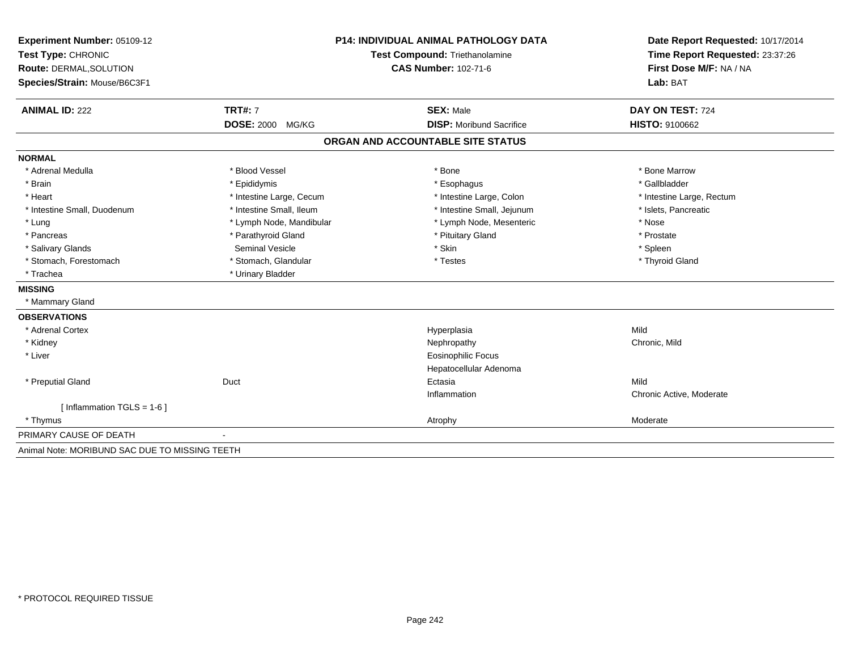| Experiment Number: 05109-12                    | <b>P14: INDIVIDUAL ANIMAL PATHOLOGY DATA</b> |                                   | Date Report Requested: 10/17/2014 |  |
|------------------------------------------------|----------------------------------------------|-----------------------------------|-----------------------------------|--|
| Test Type: CHRONIC                             |                                              | Test Compound: Triethanolamine    | Time Report Requested: 23:37:26   |  |
| Route: DERMAL, SOLUTION                        |                                              | <b>CAS Number: 102-71-6</b>       | First Dose M/F: NA / NA           |  |
| Species/Strain: Mouse/B6C3F1                   |                                              |                                   | Lab: BAT                          |  |
| <b>ANIMAL ID: 222</b>                          | <b>TRT#: 7</b>                               | <b>SEX: Male</b>                  | DAY ON TEST: 724                  |  |
|                                                | <b>DOSE: 2000 MG/KG</b>                      | <b>DISP:</b> Moribund Sacrifice   | <b>HISTO: 9100662</b>             |  |
|                                                |                                              | ORGAN AND ACCOUNTABLE SITE STATUS |                                   |  |
| <b>NORMAL</b>                                  |                                              |                                   |                                   |  |
| * Adrenal Medulla                              | * Blood Vessel                               | * Bone                            | * Bone Marrow                     |  |
| * Brain                                        | * Epididymis                                 | * Esophagus                       | * Gallbladder                     |  |
| * Heart                                        | * Intestine Large, Cecum                     | * Intestine Large, Colon          | * Intestine Large, Rectum         |  |
| * Intestine Small, Duodenum                    | * Intestine Small, Ileum                     | * Intestine Small, Jejunum        | * Islets, Pancreatic              |  |
| * Lung                                         | * Lymph Node, Mandibular                     | * Lymph Node, Mesenteric          | * Nose                            |  |
| * Pancreas                                     | * Parathyroid Gland                          | * Pituitary Gland                 | * Prostate                        |  |
| * Salivary Glands                              | <b>Seminal Vesicle</b>                       | * Skin                            | * Spleen                          |  |
| * Stomach, Forestomach                         | * Stomach, Glandular                         | * Testes                          | * Thyroid Gland                   |  |
| * Trachea                                      | * Urinary Bladder                            |                                   |                                   |  |
| <b>MISSING</b>                                 |                                              |                                   |                                   |  |
| * Mammary Gland                                |                                              |                                   |                                   |  |
| <b>OBSERVATIONS</b>                            |                                              |                                   |                                   |  |
| * Adrenal Cortex                               |                                              | Hyperplasia                       | Mild                              |  |
| * Kidney                                       |                                              | Nephropathy                       | Chronic, Mild                     |  |
| * Liver                                        |                                              | <b>Eosinophilic Focus</b>         |                                   |  |
|                                                |                                              | Hepatocellular Adenoma            |                                   |  |
| * Preputial Gland                              | Duct                                         | Ectasia                           | Mild                              |  |
|                                                |                                              | Inflammation                      | Chronic Active, Moderate          |  |
| [ Inflammation TGLS = $1-6$ ]                  |                                              |                                   |                                   |  |
| * Thymus                                       |                                              | Atrophy                           | Moderate                          |  |
| PRIMARY CAUSE OF DEATH                         |                                              |                                   |                                   |  |
| Animal Note: MORIBUND SAC DUE TO MISSING TEETH |                                              |                                   |                                   |  |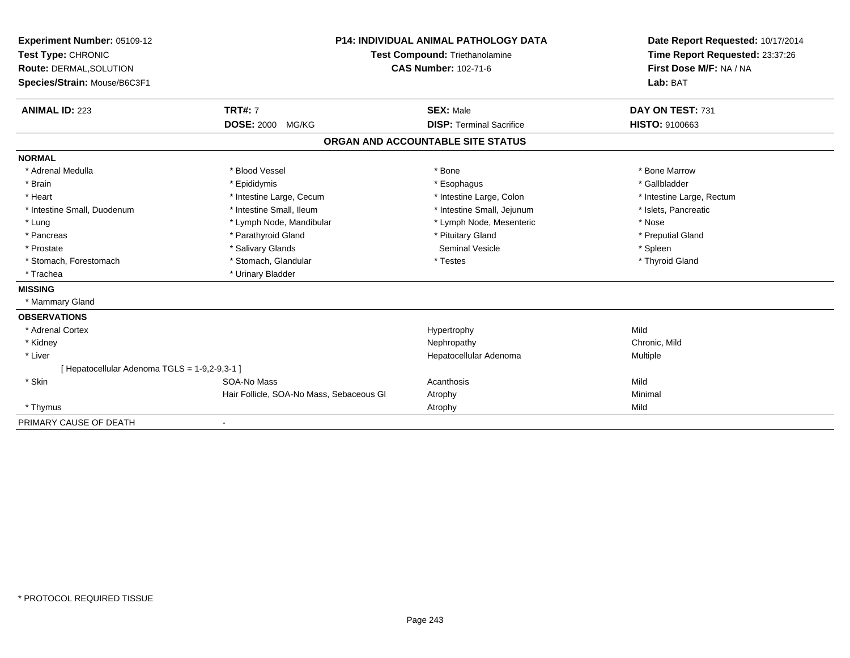| Experiment Number: 05109-12                   | <b>P14: INDIVIDUAL ANIMAL PATHOLOGY DATA</b><br>Test Compound: Triethanolamine<br><b>CAS Number: 102-71-6</b> |                                   | Date Report Requested: 10/17/2014<br>Time Report Requested: 23:37:26 |  |
|-----------------------------------------------|---------------------------------------------------------------------------------------------------------------|-----------------------------------|----------------------------------------------------------------------|--|
| Test Type: CHRONIC                            |                                                                                                               |                                   |                                                                      |  |
| <b>Route: DERMAL, SOLUTION</b>                |                                                                                                               |                                   | First Dose M/F: NA / NA                                              |  |
| Species/Strain: Mouse/B6C3F1                  |                                                                                                               |                                   | Lab: BAT                                                             |  |
| <b>ANIMAL ID: 223</b>                         | <b>TRT#: 7</b>                                                                                                | <b>SEX: Male</b>                  | DAY ON TEST: 731                                                     |  |
|                                               | <b>DOSE: 2000 MG/KG</b>                                                                                       | <b>DISP: Terminal Sacrifice</b>   | <b>HISTO: 9100663</b>                                                |  |
|                                               |                                                                                                               | ORGAN AND ACCOUNTABLE SITE STATUS |                                                                      |  |
| <b>NORMAL</b>                                 |                                                                                                               |                                   |                                                                      |  |
| * Adrenal Medulla                             | * Blood Vessel                                                                                                | * Bone                            | * Bone Marrow                                                        |  |
| * Brain                                       | * Epididymis                                                                                                  | * Esophagus                       | * Gallbladder                                                        |  |
| * Heart                                       | * Intestine Large, Cecum                                                                                      | * Intestine Large, Colon          | * Intestine Large, Rectum                                            |  |
| * Intestine Small, Duodenum                   | * Intestine Small, Ileum                                                                                      | * Intestine Small, Jejunum        | * Islets, Pancreatic                                                 |  |
| * Lung                                        | * Lymph Node, Mandibular                                                                                      | * Lymph Node, Mesenteric          | * Nose                                                               |  |
| * Pancreas                                    | * Parathyroid Gland                                                                                           | * Pituitary Gland                 | * Preputial Gland                                                    |  |
| * Prostate                                    | * Salivary Glands                                                                                             | Seminal Vesicle                   | * Spleen                                                             |  |
| * Stomach, Forestomach                        | * Stomach, Glandular                                                                                          | * Testes                          | * Thyroid Gland                                                      |  |
| * Trachea                                     | * Urinary Bladder                                                                                             |                                   |                                                                      |  |
| <b>MISSING</b>                                |                                                                                                               |                                   |                                                                      |  |
| * Mammary Gland                               |                                                                                                               |                                   |                                                                      |  |
| <b>OBSERVATIONS</b>                           |                                                                                                               |                                   |                                                                      |  |
| * Adrenal Cortex                              |                                                                                                               | Hypertrophy                       | Mild                                                                 |  |
| * Kidney                                      |                                                                                                               | Nephropathy                       | Chronic, Mild                                                        |  |
| * Liver                                       |                                                                                                               | Hepatocellular Adenoma            | Multiple                                                             |  |
| [ Hepatocellular Adenoma TGLS = 1-9,2-9,3-1 ] |                                                                                                               |                                   |                                                                      |  |
| * Skin                                        | SOA-No Mass                                                                                                   | Acanthosis                        | Mild                                                                 |  |
|                                               | Hair Follicle, SOA-No Mass, Sebaceous GI                                                                      | Atrophy                           | Minimal                                                              |  |
| * Thymus                                      |                                                                                                               | Atrophy                           | Mild                                                                 |  |
| PRIMARY CAUSE OF DEATH                        | $\qquad \qquad \blacksquare$                                                                                  |                                   |                                                                      |  |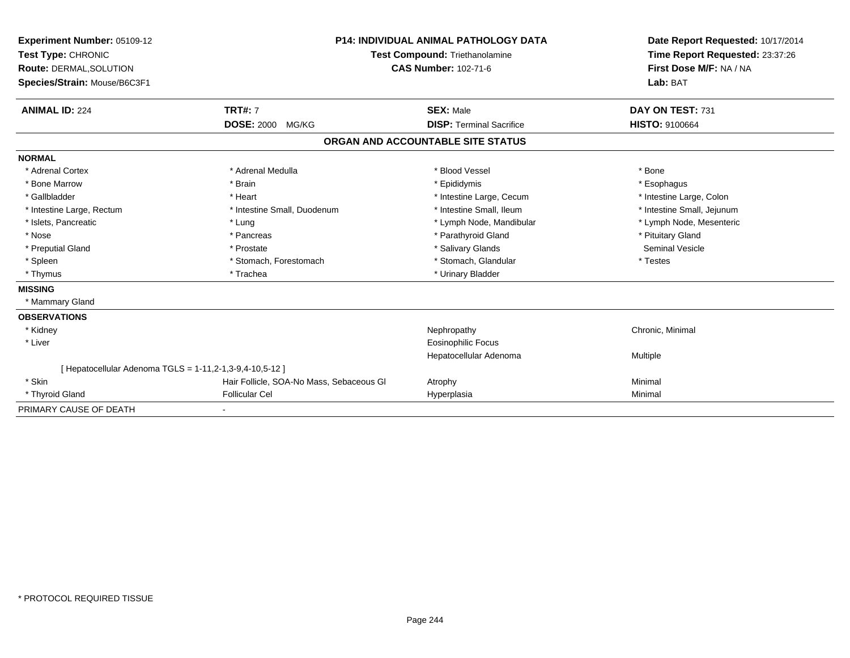| Experiment Number: 05109-12<br>Test Type: CHRONIC<br><b>Route: DERMAL, SOLUTION</b><br>Species/Strain: Mouse/B6C3F1<br><b>ANIMAL ID: 224</b> | <b>TRT#: 7</b>                           | <b>P14: INDIVIDUAL ANIMAL PATHOLOGY DATA</b><br>Test Compound: Triethanolamine<br><b>CAS Number: 102-71-6</b><br><b>SEX: Male</b> | Date Report Requested: 10/17/2014<br>Time Report Requested: 23:37:26<br>First Dose M/F: NA / NA<br>Lab: BAT<br>DAY ON TEST: 731 |
|----------------------------------------------------------------------------------------------------------------------------------------------|------------------------------------------|-----------------------------------------------------------------------------------------------------------------------------------|---------------------------------------------------------------------------------------------------------------------------------|
|                                                                                                                                              | <b>DOSE: 2000</b><br>MG/KG               | <b>DISP: Terminal Sacrifice</b>                                                                                                   | <b>HISTO: 9100664</b>                                                                                                           |
|                                                                                                                                              |                                          | ORGAN AND ACCOUNTABLE SITE STATUS                                                                                                 |                                                                                                                                 |
| <b>NORMAL</b>                                                                                                                                |                                          |                                                                                                                                   |                                                                                                                                 |
| * Adrenal Cortex                                                                                                                             | * Adrenal Medulla                        | * Blood Vessel                                                                                                                    | * Bone                                                                                                                          |
| * Bone Marrow                                                                                                                                | * Brain                                  | * Epididymis                                                                                                                      | * Esophagus                                                                                                                     |
| * Gallbladder                                                                                                                                | * Heart                                  | * Intestine Large, Cecum                                                                                                          | * Intestine Large, Colon                                                                                                        |
| * Intestine Large, Rectum                                                                                                                    | * Intestine Small, Duodenum              | * Intestine Small, Ileum                                                                                                          | * Intestine Small, Jejunum                                                                                                      |
| * Islets, Pancreatic                                                                                                                         | * Lung                                   | * Lymph Node, Mandibular                                                                                                          | * Lymph Node, Mesenteric                                                                                                        |
| * Nose                                                                                                                                       | * Pancreas                               | * Parathyroid Gland                                                                                                               | * Pituitary Gland                                                                                                               |
| * Preputial Gland                                                                                                                            | * Prostate                               | * Salivary Glands                                                                                                                 | Seminal Vesicle                                                                                                                 |
| * Spleen                                                                                                                                     | * Stomach. Forestomach                   | * Stomach, Glandular                                                                                                              | * Testes                                                                                                                        |
| * Thymus                                                                                                                                     | * Trachea                                | * Urinary Bladder                                                                                                                 |                                                                                                                                 |
| <b>MISSING</b>                                                                                                                               |                                          |                                                                                                                                   |                                                                                                                                 |
| * Mammary Gland                                                                                                                              |                                          |                                                                                                                                   |                                                                                                                                 |
| <b>OBSERVATIONS</b>                                                                                                                          |                                          |                                                                                                                                   |                                                                                                                                 |
| * Kidney                                                                                                                                     |                                          | Nephropathy                                                                                                                       | Chronic, Minimal                                                                                                                |
| * Liver                                                                                                                                      |                                          | <b>Eosinophilic Focus</b>                                                                                                         |                                                                                                                                 |
|                                                                                                                                              |                                          | Hepatocellular Adenoma                                                                                                            | Multiple                                                                                                                        |
| [ Hepatocellular Adenoma TGLS = 1-11,2-1,3-9,4-10,5-12 ]                                                                                     |                                          |                                                                                                                                   |                                                                                                                                 |
| * Skin                                                                                                                                       | Hair Follicle, SOA-No Mass, Sebaceous GI | Atrophy                                                                                                                           | Minimal                                                                                                                         |
| * Thyroid Gland                                                                                                                              | <b>Follicular Cel</b>                    | Hyperplasia                                                                                                                       | Minimal                                                                                                                         |
| PRIMARY CAUSE OF DEATH                                                                                                                       |                                          |                                                                                                                                   |                                                                                                                                 |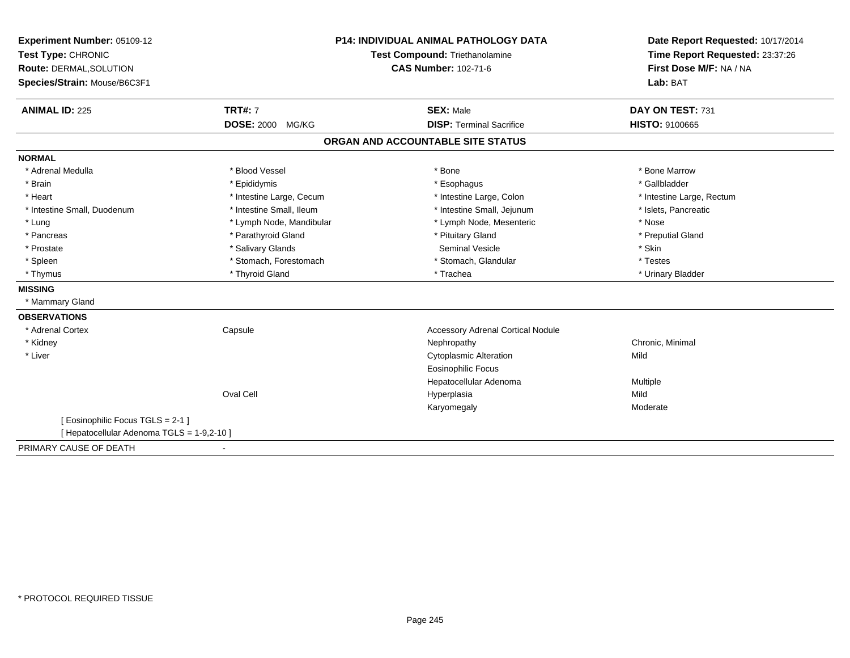| Experiment Number: 05109-12                | <b>P14: INDIVIDUAL ANIMAL PATHOLOGY DATA</b><br>Test Compound: Triethanolamine |                                          | Date Report Requested: 10/17/2014 |
|--------------------------------------------|--------------------------------------------------------------------------------|------------------------------------------|-----------------------------------|
| Test Type: CHRONIC                         |                                                                                |                                          | Time Report Requested: 23:37:26   |
| Route: DERMAL, SOLUTION                    |                                                                                | <b>CAS Number: 102-71-6</b>              | First Dose M/F: NA / NA           |
| Species/Strain: Mouse/B6C3F1               |                                                                                |                                          | Lab: BAT                          |
| <b>ANIMAL ID: 225</b>                      | <b>TRT#: 7</b>                                                                 | <b>SEX: Male</b>                         | DAY ON TEST: 731                  |
|                                            | <b>DOSE: 2000 MG/KG</b>                                                        | <b>DISP: Terminal Sacrifice</b>          | <b>HISTO: 9100665</b>             |
|                                            |                                                                                | ORGAN AND ACCOUNTABLE SITE STATUS        |                                   |
| <b>NORMAL</b>                              |                                                                                |                                          |                                   |
| * Adrenal Medulla                          | * Blood Vessel                                                                 | * Bone                                   | * Bone Marrow                     |
| * Brain                                    | * Epididymis                                                                   | * Esophagus                              | * Gallbladder                     |
| * Heart                                    | * Intestine Large, Cecum                                                       | * Intestine Large, Colon                 | * Intestine Large, Rectum         |
| * Intestine Small, Duodenum                | * Intestine Small, Ileum                                                       | * Intestine Small, Jejunum               | * Islets, Pancreatic              |
| * Lung                                     | * Lymph Node, Mandibular                                                       | * Lymph Node, Mesenteric                 | * Nose                            |
| * Pancreas                                 | * Parathyroid Gland                                                            | * Pituitary Gland                        | * Preputial Gland                 |
| * Prostate                                 | * Salivary Glands                                                              | <b>Seminal Vesicle</b>                   | * Skin                            |
| * Spleen                                   | * Stomach, Forestomach                                                         | * Stomach, Glandular                     | * Testes                          |
| * Thymus                                   | * Thyroid Gland                                                                | * Trachea                                | * Urinary Bladder                 |
| <b>MISSING</b>                             |                                                                                |                                          |                                   |
| * Mammary Gland                            |                                                                                |                                          |                                   |
| <b>OBSERVATIONS</b>                        |                                                                                |                                          |                                   |
| * Adrenal Cortex                           | Capsule                                                                        | <b>Accessory Adrenal Cortical Nodule</b> |                                   |
| * Kidney                                   |                                                                                | Nephropathy                              | Chronic, Minimal                  |
| * Liver                                    |                                                                                | <b>Cytoplasmic Alteration</b>            | Mild                              |
|                                            |                                                                                | <b>Eosinophilic Focus</b>                |                                   |
|                                            |                                                                                | Hepatocellular Adenoma                   | Multiple                          |
|                                            | <b>Oval Cell</b>                                                               | Hyperplasia                              | Mild                              |
|                                            |                                                                                | Karyomegaly                              | Moderate                          |
| [Eosinophilic Focus TGLS = 2-1]            |                                                                                |                                          |                                   |
| [ Hepatocellular Adenoma TGLS = 1-9,2-10 ] |                                                                                |                                          |                                   |
| PRIMARY CAUSE OF DEATH                     |                                                                                |                                          |                                   |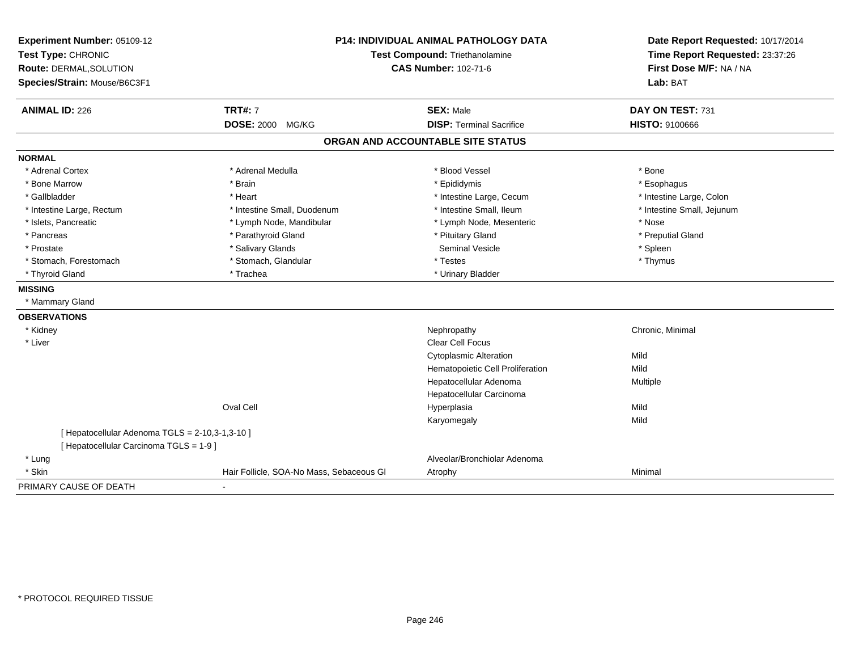| Experiment Number: 05109-12<br>Test Type: CHRONIC              |                                          | <b>P14: INDIVIDUAL ANIMAL PATHOLOGY DATA</b><br>Test Compound: Triethanolamine | Date Report Requested: 10/17/2014<br>Time Report Requested: 23:37:26 |
|----------------------------------------------------------------|------------------------------------------|--------------------------------------------------------------------------------|----------------------------------------------------------------------|
| <b>Route: DERMAL, SOLUTION</b><br>Species/Strain: Mouse/B6C3F1 |                                          | <b>CAS Number: 102-71-6</b>                                                    | First Dose M/F: NA / NA<br>Lab: BAT                                  |
| <b>ANIMAL ID: 226</b>                                          | <b>TRT#: 7</b>                           | <b>SEX: Male</b>                                                               | DAY ON TEST: 731                                                     |
|                                                                | DOSE: 2000 MG/KG                         | <b>DISP: Terminal Sacrifice</b>                                                | HISTO: 9100666                                                       |
|                                                                |                                          | ORGAN AND ACCOUNTABLE SITE STATUS                                              |                                                                      |
| <b>NORMAL</b>                                                  |                                          |                                                                                |                                                                      |
| * Adrenal Cortex                                               | * Adrenal Medulla                        | * Blood Vessel                                                                 | * Bone                                                               |
| * Bone Marrow                                                  | * Brain                                  | * Epididymis                                                                   | * Esophagus                                                          |
| * Gallbladder                                                  | * Heart                                  | * Intestine Large, Cecum                                                       | * Intestine Large, Colon                                             |
| * Intestine Large, Rectum                                      | * Intestine Small, Duodenum              | * Intestine Small, Ileum                                                       | * Intestine Small, Jejunum                                           |
| * Islets, Pancreatic                                           | * Lymph Node, Mandibular                 | * Lymph Node, Mesenteric                                                       | * Nose                                                               |
| * Pancreas                                                     | * Parathyroid Gland                      | * Pituitary Gland                                                              | * Preputial Gland                                                    |
| * Prostate                                                     | * Salivary Glands                        | <b>Seminal Vesicle</b>                                                         | * Spleen                                                             |
| * Stomach, Forestomach                                         | * Stomach, Glandular                     | * Testes                                                                       | * Thymus                                                             |
| * Thyroid Gland                                                | * Trachea                                | * Urinary Bladder                                                              |                                                                      |
| <b>MISSING</b>                                                 |                                          |                                                                                |                                                                      |
| * Mammary Gland                                                |                                          |                                                                                |                                                                      |
| <b>OBSERVATIONS</b>                                            |                                          |                                                                                |                                                                      |
| * Kidney                                                       |                                          | Nephropathy                                                                    | Chronic, Minimal                                                     |
| * Liver                                                        |                                          | Clear Cell Focus                                                               |                                                                      |
|                                                                |                                          | <b>Cytoplasmic Alteration</b>                                                  | Mild                                                                 |
|                                                                |                                          | Hematopoietic Cell Proliferation                                               | Mild                                                                 |
|                                                                |                                          | Hepatocellular Adenoma                                                         | Multiple                                                             |
|                                                                |                                          | Hepatocellular Carcinoma                                                       |                                                                      |
|                                                                | Oval Cell                                | Hyperplasia                                                                    | Mild                                                                 |
|                                                                |                                          | Karyomegaly                                                                    | Mild                                                                 |
| [ Hepatocellular Adenoma TGLS = 2-10,3-1,3-10 ]                |                                          |                                                                                |                                                                      |
| [ Hepatocellular Carcinoma TGLS = 1-9 ]                        |                                          |                                                                                |                                                                      |
| * Lung                                                         |                                          | Alveolar/Bronchiolar Adenoma                                                   |                                                                      |
| * Skin                                                         | Hair Follicle, SOA-No Mass, Sebaceous GI | Atrophy                                                                        | Minimal                                                              |
| PRIMARY CAUSE OF DEATH                                         | $\sim$                                   |                                                                                |                                                                      |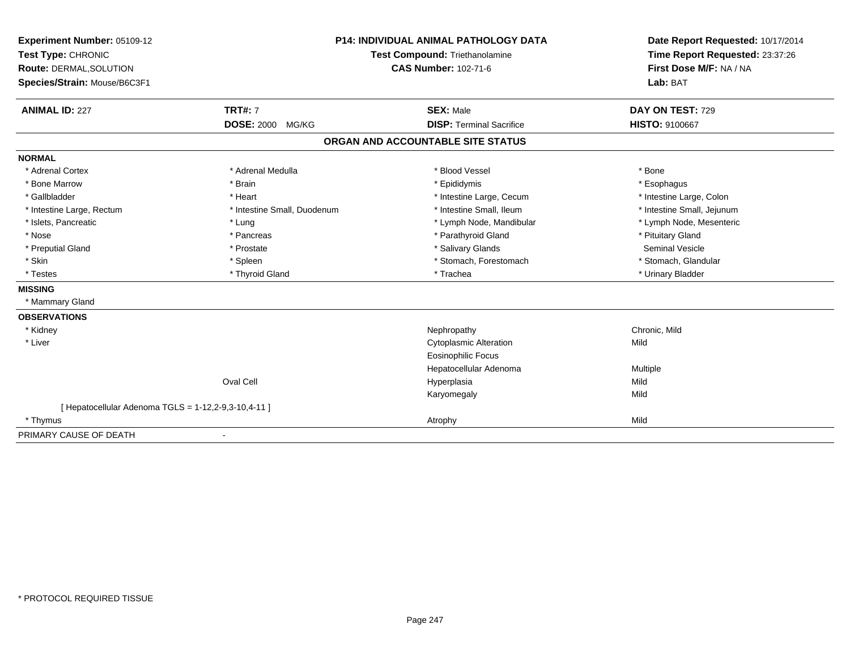| Experiment Number: 05109-12                          | <b>P14: INDIVIDUAL ANIMAL PATHOLOGY DATA</b><br><b>Test Compound: Triethanolamine</b> |                                   | Date Report Requested: 10/17/2014 |
|------------------------------------------------------|---------------------------------------------------------------------------------------|-----------------------------------|-----------------------------------|
| Test Type: CHRONIC                                   |                                                                                       |                                   | Time Report Requested: 23:37:26   |
| Route: DERMAL, SOLUTION                              |                                                                                       | <b>CAS Number: 102-71-6</b>       | First Dose M/F: NA / NA           |
| Species/Strain: Mouse/B6C3F1                         |                                                                                       |                                   | Lab: BAT                          |
| <b>ANIMAL ID: 227</b>                                | <b>TRT#: 7</b>                                                                        | <b>SEX: Male</b>                  | DAY ON TEST: 729                  |
|                                                      | <b>DOSE: 2000 MG/KG</b>                                                               | <b>DISP: Terminal Sacrifice</b>   | <b>HISTO: 9100667</b>             |
|                                                      |                                                                                       | ORGAN AND ACCOUNTABLE SITE STATUS |                                   |
| <b>NORMAL</b>                                        |                                                                                       |                                   |                                   |
| * Adrenal Cortex                                     | * Adrenal Medulla                                                                     | * Blood Vessel                    | * Bone                            |
| * Bone Marrow                                        | * Brain                                                                               | * Epididymis                      | * Esophagus                       |
| * Gallbladder                                        | * Heart                                                                               | * Intestine Large, Cecum          | * Intestine Large, Colon          |
| * Intestine Large, Rectum                            | * Intestine Small, Duodenum                                                           | * Intestine Small, Ileum          | * Intestine Small, Jejunum        |
| * Islets, Pancreatic                                 | * Lung                                                                                | * Lymph Node, Mandibular          | * Lymph Node, Mesenteric          |
| * Nose                                               | * Pancreas                                                                            | * Parathyroid Gland               | * Pituitary Gland                 |
| * Preputial Gland                                    | * Prostate                                                                            | * Salivary Glands                 | Seminal Vesicle                   |
| * Skin                                               | * Spleen                                                                              | * Stomach, Forestomach            | * Stomach, Glandular              |
| * Testes                                             | * Thyroid Gland                                                                       | * Trachea                         | * Urinary Bladder                 |
| <b>MISSING</b>                                       |                                                                                       |                                   |                                   |
| * Mammary Gland                                      |                                                                                       |                                   |                                   |
| <b>OBSERVATIONS</b>                                  |                                                                                       |                                   |                                   |
| * Kidney                                             |                                                                                       | Nephropathy                       | Chronic, Mild                     |
| * Liver                                              |                                                                                       | <b>Cytoplasmic Alteration</b>     | Mild                              |
|                                                      |                                                                                       | Eosinophilic Focus                |                                   |
|                                                      |                                                                                       | Hepatocellular Adenoma            | <b>Multiple</b>                   |
|                                                      | Oval Cell                                                                             | Hyperplasia                       | Mild                              |
|                                                      |                                                                                       | Karyomegaly                       | Mild                              |
| [ Hepatocellular Adenoma TGLS = 1-12,2-9,3-10,4-11 ] |                                                                                       |                                   |                                   |
| * Thymus                                             |                                                                                       | Atrophy                           | Mild                              |
| PRIMARY CAUSE OF DEATH                               |                                                                                       |                                   |                                   |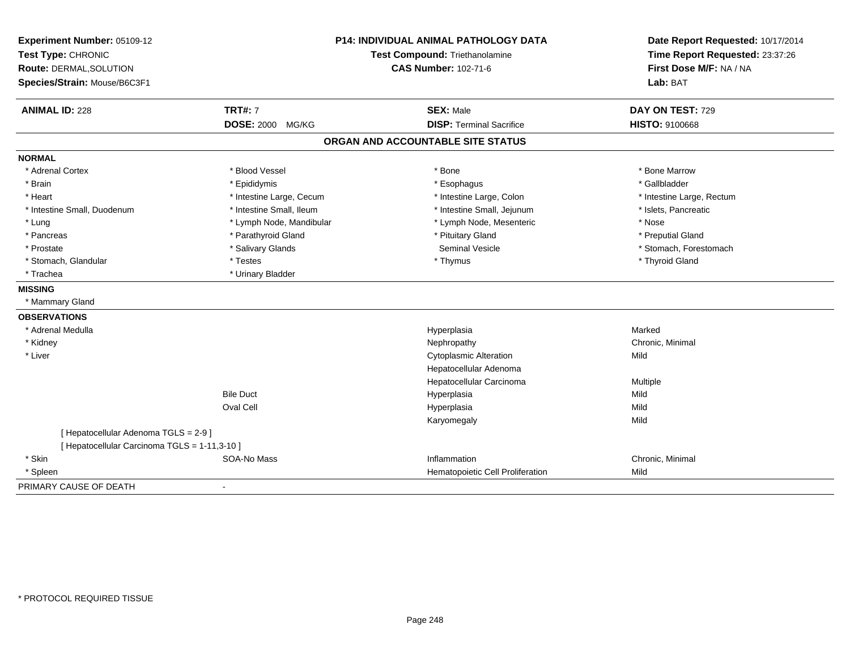| Experiment Number: 05109-12<br>Test Type: CHRONIC<br>Route: DERMAL, SOLUTION<br>Species/Strain: Mouse/B6C3F1 |                          | <b>P14: INDIVIDUAL ANIMAL PATHOLOGY DATA</b><br><b>Test Compound: Triethanolamine</b><br><b>CAS Number: 102-71-6</b> | Date Report Requested: 10/17/2014<br>Time Report Requested: 23:37:26<br>First Dose M/F: NA / NA<br>Lab: BAT |
|--------------------------------------------------------------------------------------------------------------|--------------------------|----------------------------------------------------------------------------------------------------------------------|-------------------------------------------------------------------------------------------------------------|
| <b>ANIMAL ID: 228</b>                                                                                        | <b>TRT#: 7</b>           | <b>SEX: Male</b>                                                                                                     | DAY ON TEST: 729                                                                                            |
|                                                                                                              | DOSE: 2000 MG/KG         | <b>DISP: Terminal Sacrifice</b>                                                                                      | <b>HISTO: 9100668</b>                                                                                       |
|                                                                                                              |                          | ORGAN AND ACCOUNTABLE SITE STATUS                                                                                    |                                                                                                             |
| <b>NORMAL</b>                                                                                                |                          |                                                                                                                      |                                                                                                             |
| * Adrenal Cortex                                                                                             | * Blood Vessel           | * Bone                                                                                                               | * Bone Marrow                                                                                               |
| * Brain                                                                                                      | * Epididymis             | * Esophagus                                                                                                          | * Gallbladder                                                                                               |
| * Heart                                                                                                      | * Intestine Large, Cecum | * Intestine Large, Colon                                                                                             | * Intestine Large, Rectum                                                                                   |
| * Intestine Small, Duodenum                                                                                  | * Intestine Small, Ileum | * Intestine Small, Jejunum                                                                                           | * Islets, Pancreatic                                                                                        |
| * Lung                                                                                                       | * Lymph Node, Mandibular | * Lymph Node, Mesenteric                                                                                             | * Nose                                                                                                      |
| * Pancreas                                                                                                   | * Parathyroid Gland      | * Pituitary Gland                                                                                                    | * Preputial Gland                                                                                           |
| * Prostate                                                                                                   | * Salivary Glands        | <b>Seminal Vesicle</b>                                                                                               | * Stomach, Forestomach                                                                                      |
| * Stomach, Glandular                                                                                         | * Testes                 | * Thymus                                                                                                             | * Thyroid Gland                                                                                             |
| * Trachea                                                                                                    | * Urinary Bladder        |                                                                                                                      |                                                                                                             |
| <b>MISSING</b>                                                                                               |                          |                                                                                                                      |                                                                                                             |
| * Mammary Gland                                                                                              |                          |                                                                                                                      |                                                                                                             |
| <b>OBSERVATIONS</b>                                                                                          |                          |                                                                                                                      |                                                                                                             |
| * Adrenal Medulla                                                                                            |                          | Hyperplasia                                                                                                          | Marked                                                                                                      |
| * Kidney                                                                                                     |                          | Nephropathy                                                                                                          | Chronic, Minimal                                                                                            |
| * Liver                                                                                                      |                          | <b>Cytoplasmic Alteration</b>                                                                                        | Mild                                                                                                        |
|                                                                                                              |                          | Hepatocellular Adenoma                                                                                               |                                                                                                             |
|                                                                                                              |                          | Hepatocellular Carcinoma                                                                                             | Multiple                                                                                                    |
|                                                                                                              | <b>Bile Duct</b>         | Hyperplasia                                                                                                          | Mild                                                                                                        |
|                                                                                                              | Oval Cell                | Hyperplasia                                                                                                          | Mild                                                                                                        |
|                                                                                                              |                          | Karyomegaly                                                                                                          | Mild                                                                                                        |
| [ Hepatocellular Adenoma TGLS = 2-9 ]                                                                        |                          |                                                                                                                      |                                                                                                             |
| [ Hepatocellular Carcinoma TGLS = 1-11,3-10 ]                                                                |                          |                                                                                                                      |                                                                                                             |
| * Skin                                                                                                       | SOA-No Mass              | Inflammation                                                                                                         | Chronic, Minimal                                                                                            |
| * Spleen                                                                                                     |                          | Hematopoietic Cell Proliferation                                                                                     | Mild                                                                                                        |
| PRIMARY CAUSE OF DEATH                                                                                       | $\sim$                   |                                                                                                                      |                                                                                                             |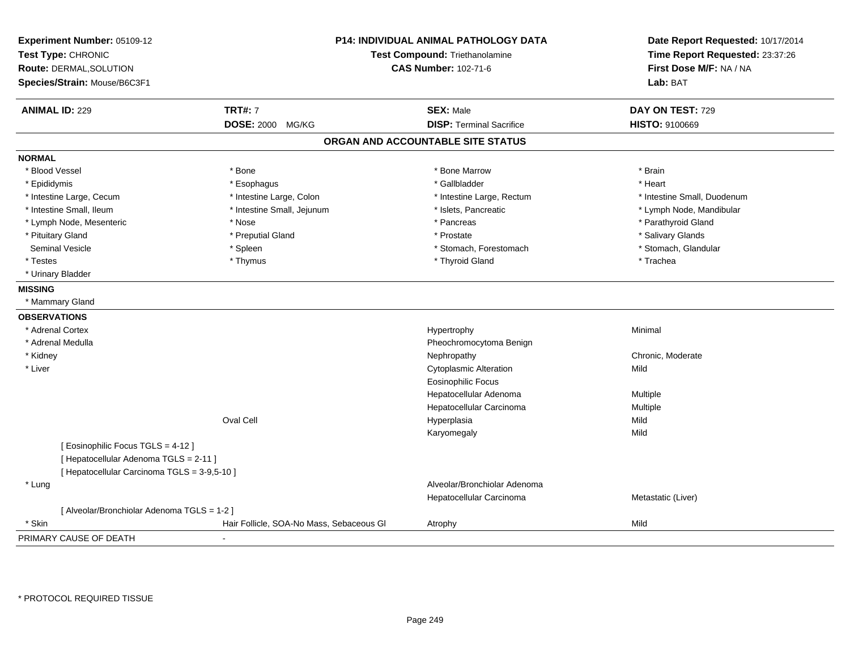| Experiment Number: 05109-12<br>Test Type: CHRONIC<br>Route: DERMAL, SOLUTION<br>Species/Strain: Mouse/B6C3F1 | P14: INDIVIDUAL ANIMAL PATHOLOGY DATA<br>Test Compound: Triethanolamine<br><b>CAS Number: 102-71-6</b> |                                   | Date Report Requested: 10/17/2014<br>Time Report Requested: 23:37:26<br>First Dose M/F: NA / NA<br>Lab: BAT |
|--------------------------------------------------------------------------------------------------------------|--------------------------------------------------------------------------------------------------------|-----------------------------------|-------------------------------------------------------------------------------------------------------------|
| <b>ANIMAL ID: 229</b>                                                                                        | <b>TRT#: 7</b>                                                                                         | <b>SEX: Male</b>                  | DAY ON TEST: 729                                                                                            |
|                                                                                                              | <b>DOSE: 2000</b><br>MG/KG                                                                             | <b>DISP: Terminal Sacrifice</b>   | HISTO: 9100669                                                                                              |
|                                                                                                              |                                                                                                        | ORGAN AND ACCOUNTABLE SITE STATUS |                                                                                                             |
| <b>NORMAL</b>                                                                                                |                                                                                                        |                                   |                                                                                                             |
| * Blood Vessel                                                                                               | * Bone                                                                                                 | * Bone Marrow                     | * Brain                                                                                                     |
| * Epididymis                                                                                                 | * Esophagus                                                                                            | * Gallbladder                     | * Heart                                                                                                     |
| * Intestine Large, Cecum                                                                                     | * Intestine Large, Colon                                                                               | * Intestine Large, Rectum         | * Intestine Small, Duodenum                                                                                 |
| * Intestine Small, Ileum                                                                                     | * Intestine Small, Jejunum                                                                             | * Islets, Pancreatic              | * Lymph Node, Mandibular                                                                                    |
| * Lymph Node, Mesenteric                                                                                     | * Nose                                                                                                 | * Pancreas                        | * Parathyroid Gland                                                                                         |
| * Pituitary Gland                                                                                            | * Preputial Gland                                                                                      | * Prostate                        | * Salivary Glands                                                                                           |
| <b>Seminal Vesicle</b>                                                                                       | * Spleen                                                                                               | * Stomach, Forestomach            | * Stomach, Glandular                                                                                        |
| * Testes                                                                                                     | * Thymus                                                                                               | * Thyroid Gland                   | * Trachea                                                                                                   |
| * Urinary Bladder                                                                                            |                                                                                                        |                                   |                                                                                                             |
| <b>MISSING</b>                                                                                               |                                                                                                        |                                   |                                                                                                             |
| * Mammary Gland                                                                                              |                                                                                                        |                                   |                                                                                                             |
| <b>OBSERVATIONS</b>                                                                                          |                                                                                                        |                                   |                                                                                                             |
| * Adrenal Cortex                                                                                             |                                                                                                        | Hypertrophy                       | Minimal                                                                                                     |
| * Adrenal Medulla                                                                                            |                                                                                                        | Pheochromocytoma Benign           |                                                                                                             |
| * Kidney                                                                                                     |                                                                                                        | Nephropathy                       | Chronic, Moderate                                                                                           |
| * Liver                                                                                                      |                                                                                                        | <b>Cytoplasmic Alteration</b>     | Mild                                                                                                        |
|                                                                                                              |                                                                                                        | <b>Eosinophilic Focus</b>         |                                                                                                             |
|                                                                                                              |                                                                                                        | Hepatocellular Adenoma            | Multiple                                                                                                    |
|                                                                                                              |                                                                                                        | Hepatocellular Carcinoma          | Multiple                                                                                                    |
|                                                                                                              | Oval Cell                                                                                              | Hyperplasia                       | Mild                                                                                                        |
|                                                                                                              |                                                                                                        | Karyomegaly                       | Mild                                                                                                        |
| [ Eosinophilic Focus TGLS = 4-12 ]                                                                           |                                                                                                        |                                   |                                                                                                             |
| [ Hepatocellular Adenoma TGLS = 2-11 ]                                                                       |                                                                                                        |                                   |                                                                                                             |
| [ Hepatocellular Carcinoma TGLS = 3-9,5-10 ]                                                                 |                                                                                                        |                                   |                                                                                                             |
| * Lung                                                                                                       |                                                                                                        | Alveolar/Bronchiolar Adenoma      |                                                                                                             |
|                                                                                                              |                                                                                                        | Hepatocellular Carcinoma          | Metastatic (Liver)                                                                                          |
| [ Alveolar/Bronchiolar Adenoma TGLS = 1-2 ]                                                                  |                                                                                                        |                                   |                                                                                                             |
| * Skin                                                                                                       | Hair Follicle, SOA-No Mass, Sebaceous GI                                                               | Atrophy                           | Mild                                                                                                        |
| PRIMARY CAUSE OF DEATH                                                                                       |                                                                                                        |                                   |                                                                                                             |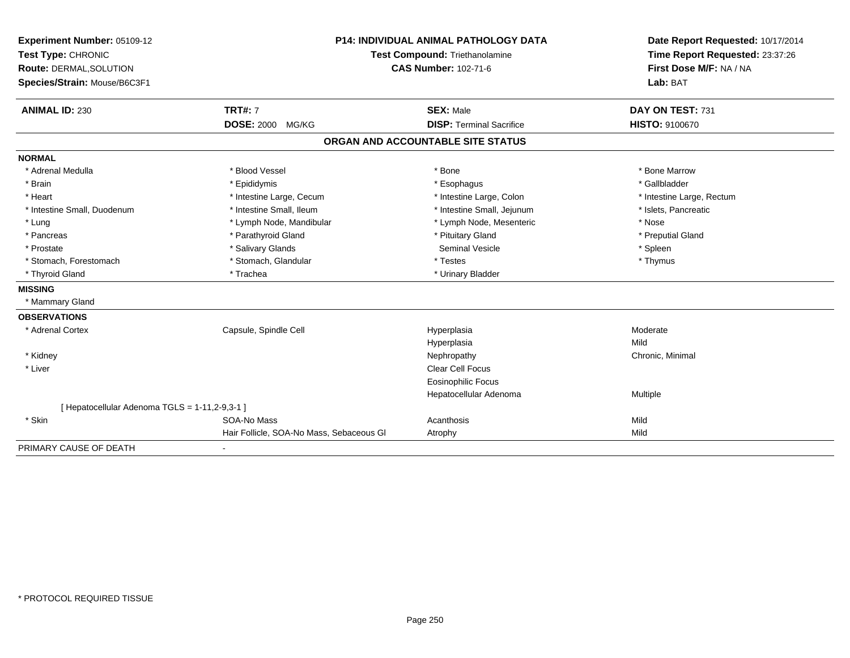| Experiment Number: 05109-12                    | P14: INDIVIDUAL ANIMAL PATHOLOGY DATA    |                                   | Date Report Requested: 10/17/2014                          |
|------------------------------------------------|------------------------------------------|-----------------------------------|------------------------------------------------------------|
| Test Type: CHRONIC                             |                                          | Test Compound: Triethanolamine    | Time Report Requested: 23:37:26<br>First Dose M/F: NA / NA |
| Route: DERMAL, SOLUTION                        |                                          | <b>CAS Number: 102-71-6</b>       |                                                            |
| Species/Strain: Mouse/B6C3F1                   |                                          |                                   | Lab: BAT                                                   |
| <b>ANIMAL ID: 230</b>                          | <b>TRT#: 7</b>                           | <b>SEX: Male</b>                  | DAY ON TEST: 731                                           |
|                                                | <b>DOSE: 2000</b><br>MG/KG               | <b>DISP: Terminal Sacrifice</b>   | HISTO: 9100670                                             |
|                                                |                                          | ORGAN AND ACCOUNTABLE SITE STATUS |                                                            |
| <b>NORMAL</b>                                  |                                          |                                   |                                                            |
| * Adrenal Medulla                              | * Blood Vessel                           | * Bone                            | * Bone Marrow                                              |
| * Brain                                        | * Epididymis                             | * Esophagus                       | * Gallbladder                                              |
| * Heart                                        | * Intestine Large, Cecum                 | * Intestine Large, Colon          | * Intestine Large, Rectum                                  |
| * Intestine Small, Duodenum                    | * Intestine Small, Ileum                 | * Intestine Small, Jejunum        | * Islets, Pancreatic                                       |
| * Lung                                         | * Lymph Node, Mandibular                 | * Lymph Node, Mesenteric          | * Nose                                                     |
| * Pancreas                                     | * Parathyroid Gland                      | * Pituitary Gland                 | * Preputial Gland                                          |
| * Prostate                                     | * Salivary Glands                        | Seminal Vesicle                   | * Spleen                                                   |
| * Stomach, Forestomach                         | * Stomach, Glandular                     | * Testes                          | * Thymus                                                   |
| * Thyroid Gland                                | * Trachea                                | * Urinary Bladder                 |                                                            |
| <b>MISSING</b>                                 |                                          |                                   |                                                            |
| * Mammary Gland                                |                                          |                                   |                                                            |
| <b>OBSERVATIONS</b>                            |                                          |                                   |                                                            |
| * Adrenal Cortex                               | Capsule, Spindle Cell                    | Hyperplasia                       | Moderate                                                   |
|                                                |                                          | Hyperplasia                       | Mild                                                       |
| * Kidney                                       |                                          | Nephropathy                       | Chronic, Minimal                                           |
| * Liver                                        |                                          | <b>Clear Cell Focus</b>           |                                                            |
|                                                |                                          | <b>Eosinophilic Focus</b>         |                                                            |
|                                                |                                          | Hepatocellular Adenoma            | Multiple                                                   |
| [ Hepatocellular Adenoma TGLS = 1-11,2-9,3-1 ] |                                          |                                   |                                                            |
| * Skin                                         | SOA-No Mass                              | Acanthosis                        | Mild                                                       |
|                                                | Hair Follicle, SOA-No Mass, Sebaceous GI | Atrophy                           | Mild                                                       |
| PRIMARY CAUSE OF DEATH                         | $\blacksquare$                           |                                   |                                                            |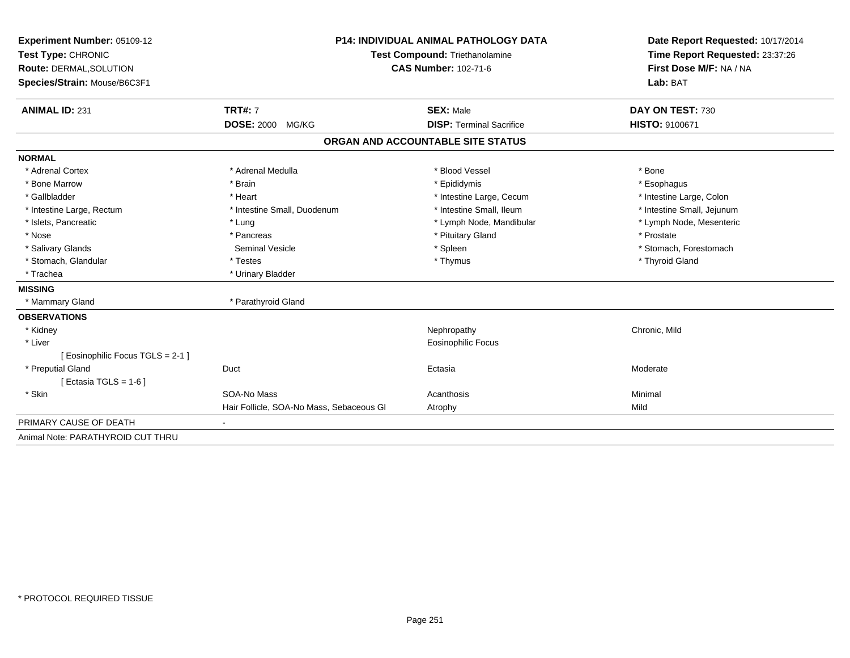| Experiment Number: 05109-12<br>Test Type: CHRONIC<br><b>Route: DERMAL, SOLUTION</b><br>Species/Strain: Mouse/B6C3F1 |                                           | <b>P14: INDIVIDUAL ANIMAL PATHOLOGY DATA</b><br>Test Compound: Triethanolamine<br><b>CAS Number: 102-71-6</b> | Date Report Requested: 10/17/2014<br>Time Report Requested: 23:37:26<br>First Dose M/F: NA / NA<br>Lab: BAT |
|---------------------------------------------------------------------------------------------------------------------|-------------------------------------------|---------------------------------------------------------------------------------------------------------------|-------------------------------------------------------------------------------------------------------------|
| <b>ANIMAL ID: 231</b>                                                                                               | <b>TRT#: 7</b><br><b>DOSE: 2000 MG/KG</b> | <b>SEX: Male</b><br><b>DISP: Terminal Sacrifice</b>                                                           | DAY ON TEST: 730<br><b>HISTO: 9100671</b>                                                                   |
|                                                                                                                     |                                           |                                                                                                               |                                                                                                             |
|                                                                                                                     |                                           | ORGAN AND ACCOUNTABLE SITE STATUS                                                                             |                                                                                                             |
| <b>NORMAL</b>                                                                                                       |                                           |                                                                                                               |                                                                                                             |
| * Adrenal Cortex                                                                                                    | * Adrenal Medulla                         | * Blood Vessel                                                                                                | * Bone                                                                                                      |
| * Bone Marrow                                                                                                       | * Brain                                   | * Epididymis                                                                                                  | * Esophagus                                                                                                 |
| * Gallbladder                                                                                                       | * Heart                                   | * Intestine Large, Cecum                                                                                      | * Intestine Large, Colon                                                                                    |
| * Intestine Large, Rectum                                                                                           | * Intestine Small, Duodenum               | * Intestine Small, Ileum                                                                                      | * Intestine Small, Jejunum                                                                                  |
| * Islets, Pancreatic                                                                                                | * Lung                                    | * Lymph Node, Mandibular                                                                                      | * Lymph Node, Mesenteric                                                                                    |
| * Nose                                                                                                              | * Pancreas                                | * Pituitary Gland                                                                                             | * Prostate                                                                                                  |
| * Salivary Glands                                                                                                   | <b>Seminal Vesicle</b>                    | * Spleen                                                                                                      | * Stomach, Forestomach                                                                                      |
| * Stomach, Glandular                                                                                                | * Testes                                  | * Thymus                                                                                                      | * Thyroid Gland                                                                                             |
| * Trachea                                                                                                           | * Urinary Bladder                         |                                                                                                               |                                                                                                             |
| <b>MISSING</b>                                                                                                      |                                           |                                                                                                               |                                                                                                             |
| * Mammary Gland                                                                                                     | * Parathyroid Gland                       |                                                                                                               |                                                                                                             |
| <b>OBSERVATIONS</b>                                                                                                 |                                           |                                                                                                               |                                                                                                             |
| * Kidney                                                                                                            |                                           | Nephropathy                                                                                                   | Chronic, Mild                                                                                               |
| * Liver                                                                                                             |                                           | <b>Eosinophilic Focus</b>                                                                                     |                                                                                                             |
| [Eosinophilic Focus TGLS = 2-1]                                                                                     |                                           |                                                                                                               |                                                                                                             |
| * Preputial Gland                                                                                                   | Duct                                      | Ectasia                                                                                                       | Moderate                                                                                                    |
| [Ectasia TGLS = $1-6$ ]                                                                                             |                                           |                                                                                                               |                                                                                                             |
| * Skin                                                                                                              | SOA-No Mass                               | Acanthosis                                                                                                    | Minimal                                                                                                     |
|                                                                                                                     | Hair Follicle, SOA-No Mass, Sebaceous GI  | Atrophy                                                                                                       | Mild                                                                                                        |
| PRIMARY CAUSE OF DEATH                                                                                              |                                           |                                                                                                               |                                                                                                             |
| Animal Note: PARATHYROID CUT THRU                                                                                   |                                           |                                                                                                               |                                                                                                             |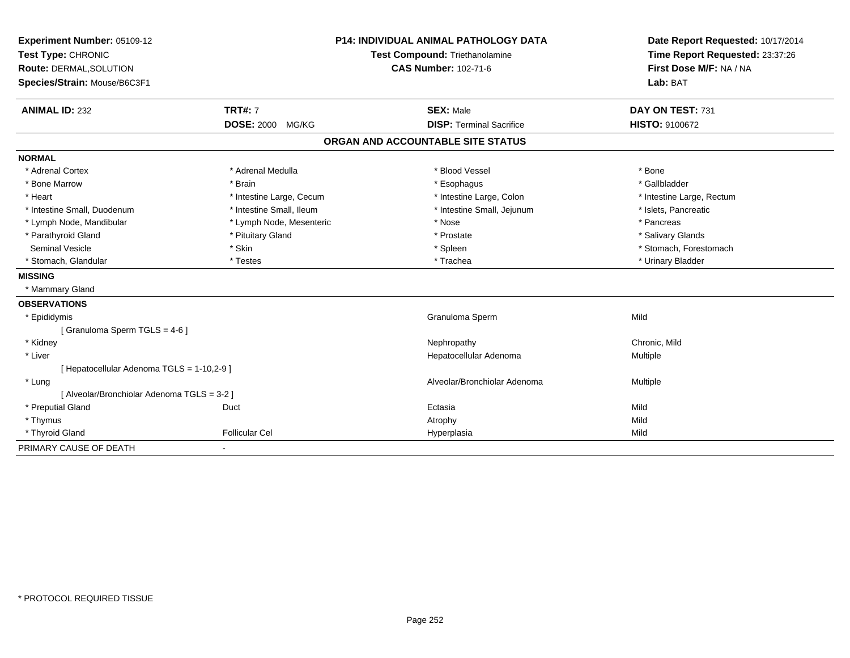| Experiment Number: 05109-12                 | <b>P14: INDIVIDUAL ANIMAL PATHOLOGY DATA</b> |                                   | Date Report Requested: 10/17/2014 |  |
|---------------------------------------------|----------------------------------------------|-----------------------------------|-----------------------------------|--|
| Test Type: CHRONIC                          |                                              | Test Compound: Triethanolamine    | Time Report Requested: 23:37:26   |  |
| Route: DERMAL, SOLUTION                     |                                              | <b>CAS Number: 102-71-6</b>       | First Dose M/F: NA / NA           |  |
| Species/Strain: Mouse/B6C3F1                |                                              |                                   | Lab: BAT                          |  |
| <b>ANIMAL ID: 232</b>                       | <b>TRT#: 7</b>                               | <b>SEX: Male</b>                  | DAY ON TEST: 731                  |  |
|                                             | <b>DOSE: 2000 MG/KG</b>                      | <b>DISP: Terminal Sacrifice</b>   | <b>HISTO: 9100672</b>             |  |
|                                             |                                              | ORGAN AND ACCOUNTABLE SITE STATUS |                                   |  |
| <b>NORMAL</b>                               |                                              |                                   |                                   |  |
| * Adrenal Cortex                            | * Adrenal Medulla                            | * Blood Vessel                    | * Bone                            |  |
| * Bone Marrow                               | * Brain                                      | * Esophagus                       | * Gallbladder                     |  |
| * Heart                                     | * Intestine Large, Cecum                     | * Intestine Large, Colon          | * Intestine Large, Rectum         |  |
| * Intestine Small, Duodenum                 | * Intestine Small, Ileum                     | * Intestine Small, Jejunum        | * Islets, Pancreatic              |  |
| * Lymph Node, Mandibular                    | * Lymph Node, Mesenteric                     | * Nose                            | * Pancreas                        |  |
| * Parathyroid Gland                         | * Pituitary Gland                            | * Prostate                        | * Salivary Glands                 |  |
| <b>Seminal Vesicle</b>                      | * Skin                                       | * Spleen                          | * Stomach, Forestomach            |  |
| * Stomach, Glandular                        | * Testes                                     | * Trachea                         | * Urinary Bladder                 |  |
| <b>MISSING</b>                              |                                              |                                   |                                   |  |
| * Mammary Gland                             |                                              |                                   |                                   |  |
| <b>OBSERVATIONS</b>                         |                                              |                                   |                                   |  |
| * Epididymis                                |                                              | Granuloma Sperm                   | Mild                              |  |
| [Granuloma Sperm TGLS = 4-6]                |                                              |                                   |                                   |  |
| * Kidney                                    |                                              | Nephropathy                       | Chronic, Mild                     |  |
| * Liver                                     |                                              | Hepatocellular Adenoma            | <b>Multiple</b>                   |  |
| [ Hepatocellular Adenoma TGLS = 1-10,2-9 ]  |                                              |                                   |                                   |  |
| * Lung                                      |                                              | Alveolar/Bronchiolar Adenoma      | <b>Multiple</b>                   |  |
| [ Alveolar/Bronchiolar Adenoma TGLS = 3-2 ] |                                              |                                   |                                   |  |
| * Preputial Gland                           | Duct                                         | Ectasia                           | Mild                              |  |
| * Thymus                                    |                                              | Atrophy                           | Mild                              |  |
| * Thyroid Gland                             | <b>Follicular Cel</b>                        | Hyperplasia                       | Mild                              |  |
| PRIMARY CAUSE OF DEATH                      |                                              |                                   |                                   |  |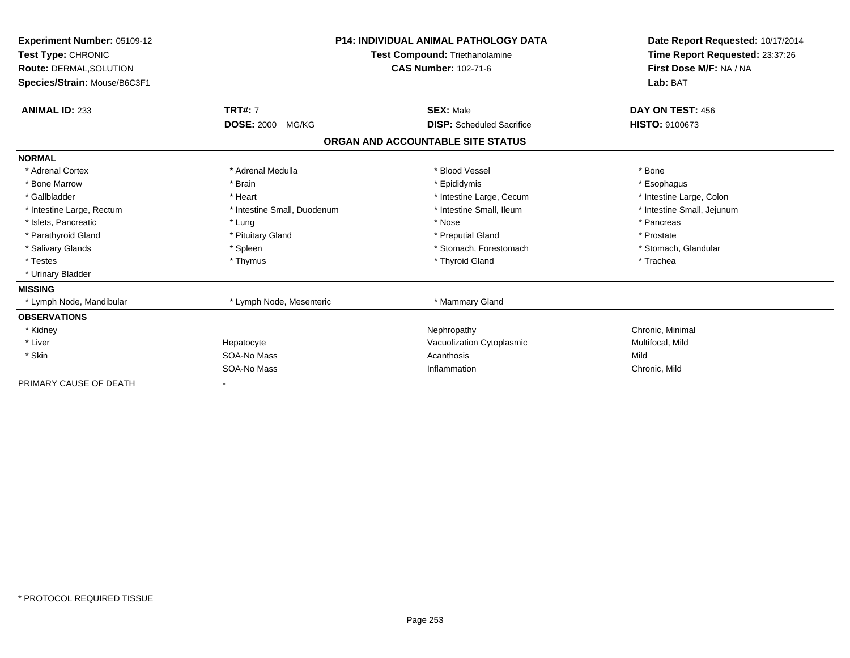| Experiment Number: 05109-12<br>Test Type: CHRONIC<br><b>Route: DERMAL, SOLUTION</b><br>Species/Strain: Mouse/B6C3F1 | <b>P14: INDIVIDUAL ANIMAL PATHOLOGY DATA</b><br>Test Compound: Triethanolamine<br><b>CAS Number: 102-71-6</b> |                                   | Date Report Requested: 10/17/2014<br>Time Report Requested: 23:37:26<br>First Dose M/F: NA / NA<br>Lab: BAT |  |
|---------------------------------------------------------------------------------------------------------------------|---------------------------------------------------------------------------------------------------------------|-----------------------------------|-------------------------------------------------------------------------------------------------------------|--|
| <b>ANIMAL ID: 233</b>                                                                                               | <b>TRT#: 7</b>                                                                                                | <b>SEX: Male</b>                  | DAY ON TEST: 456                                                                                            |  |
|                                                                                                                     | <b>DOSE: 2000</b><br>MG/KG                                                                                    | <b>DISP:</b> Scheduled Sacrifice  | HISTO: 9100673                                                                                              |  |
|                                                                                                                     |                                                                                                               | ORGAN AND ACCOUNTABLE SITE STATUS |                                                                                                             |  |
| <b>NORMAL</b>                                                                                                       |                                                                                                               |                                   |                                                                                                             |  |
| * Adrenal Cortex                                                                                                    | * Adrenal Medulla                                                                                             | * Blood Vessel                    | * Bone                                                                                                      |  |
| * Bone Marrow                                                                                                       | * Brain                                                                                                       | * Epididymis                      | * Esophagus                                                                                                 |  |
| * Gallbladder                                                                                                       | * Heart                                                                                                       | * Intestine Large, Cecum          | * Intestine Large, Colon                                                                                    |  |
| * Intestine Large, Rectum                                                                                           | * Intestine Small, Duodenum                                                                                   | * Intestine Small, Ileum          | * Intestine Small, Jejunum                                                                                  |  |
| * Islets, Pancreatic                                                                                                | * Lung                                                                                                        | * Nose                            | * Pancreas                                                                                                  |  |
| * Parathyroid Gland                                                                                                 | * Pituitary Gland                                                                                             | * Preputial Gland                 | * Prostate                                                                                                  |  |
| * Salivary Glands                                                                                                   | * Spleen                                                                                                      | * Stomach, Forestomach            | * Stomach, Glandular                                                                                        |  |
| * Testes                                                                                                            | * Thymus                                                                                                      | * Thyroid Gland                   | * Trachea                                                                                                   |  |
| * Urinary Bladder                                                                                                   |                                                                                                               |                                   |                                                                                                             |  |
| <b>MISSING</b>                                                                                                      |                                                                                                               |                                   |                                                                                                             |  |
| * Lymph Node, Mandibular                                                                                            | * Lymph Node, Mesenteric                                                                                      | * Mammary Gland                   |                                                                                                             |  |
| <b>OBSERVATIONS</b>                                                                                                 |                                                                                                               |                                   |                                                                                                             |  |
| * Kidney                                                                                                            |                                                                                                               | Nephropathy                       | Chronic, Minimal                                                                                            |  |
| * Liver                                                                                                             | Hepatocyte                                                                                                    | Vacuolization Cytoplasmic         | Multifocal, Mild                                                                                            |  |
| * Skin                                                                                                              | SOA-No Mass                                                                                                   | Acanthosis                        | Mild                                                                                                        |  |
|                                                                                                                     | SOA-No Mass                                                                                                   | Inflammation                      | Chronic, Mild                                                                                               |  |
| PRIMARY CAUSE OF DEATH                                                                                              |                                                                                                               |                                   |                                                                                                             |  |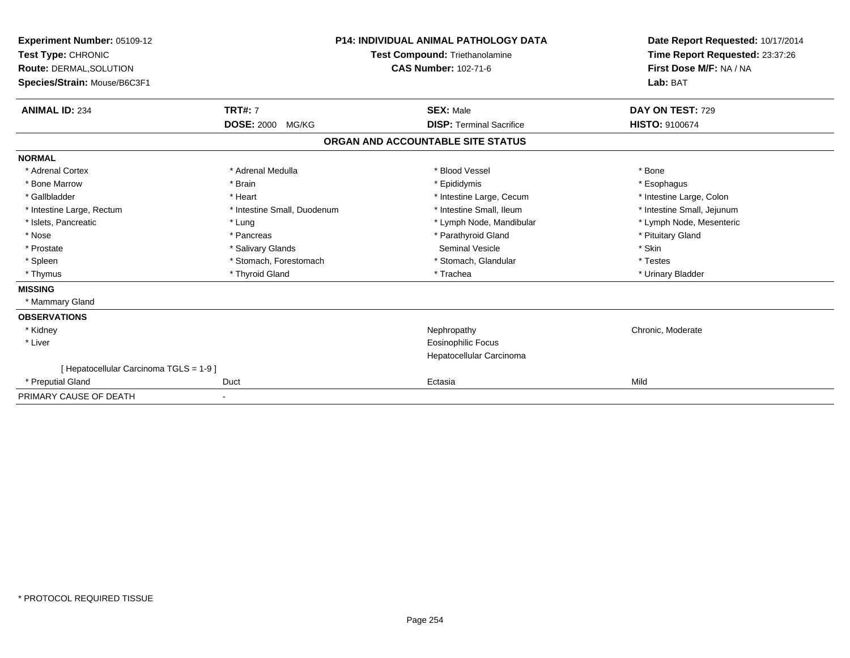| Experiment Number: 05109-12<br><b>Test Type: CHRONIC</b><br>Route: DERMAL, SOLUTION<br>Species/Strain: Mouse/B6C3F1 | <b>P14: INDIVIDUAL ANIMAL PATHOLOGY DATA</b><br><b>Test Compound: Triethanolamine</b><br><b>CAS Number: 102-71-6</b> |                                   | Date Report Requested: 10/17/2014<br>Time Report Requested: 23:37:26<br>First Dose M/F: NA / NA<br>Lab: BAT |  |
|---------------------------------------------------------------------------------------------------------------------|----------------------------------------------------------------------------------------------------------------------|-----------------------------------|-------------------------------------------------------------------------------------------------------------|--|
| <b>ANIMAL ID: 234</b>                                                                                               | <b>TRT#: 7</b>                                                                                                       | <b>SEX: Male</b>                  | DAY ON TEST: 729                                                                                            |  |
|                                                                                                                     | <b>DOSE: 2000 MG/KG</b>                                                                                              | <b>DISP: Terminal Sacrifice</b>   | <b>HISTO: 9100674</b>                                                                                       |  |
|                                                                                                                     |                                                                                                                      | ORGAN AND ACCOUNTABLE SITE STATUS |                                                                                                             |  |
| <b>NORMAL</b>                                                                                                       |                                                                                                                      |                                   |                                                                                                             |  |
| * Adrenal Cortex                                                                                                    | * Adrenal Medulla                                                                                                    | * Blood Vessel                    | * Bone                                                                                                      |  |
| * Bone Marrow                                                                                                       | * Brain                                                                                                              | * Epididymis                      | * Esophagus                                                                                                 |  |
| * Gallbladder                                                                                                       | * Heart                                                                                                              | * Intestine Large, Cecum          | * Intestine Large, Colon                                                                                    |  |
| * Intestine Large, Rectum                                                                                           | * Intestine Small, Duodenum                                                                                          | * Intestine Small, Ileum          | * Intestine Small, Jejunum                                                                                  |  |
| * Islets, Pancreatic                                                                                                | * Lung                                                                                                               | * Lymph Node, Mandibular          | * Lymph Node, Mesenteric                                                                                    |  |
| * Nose                                                                                                              | * Pancreas                                                                                                           | * Parathyroid Gland               | * Pituitary Gland                                                                                           |  |
| * Prostate                                                                                                          | * Salivary Glands                                                                                                    | Seminal Vesicle                   | * Skin                                                                                                      |  |
| * Spleen                                                                                                            | * Stomach, Forestomach                                                                                               | * Stomach, Glandular              | * Testes                                                                                                    |  |
| * Thymus                                                                                                            | * Thyroid Gland                                                                                                      | * Trachea                         | * Urinary Bladder                                                                                           |  |
| <b>MISSING</b>                                                                                                      |                                                                                                                      |                                   |                                                                                                             |  |
| * Mammary Gland                                                                                                     |                                                                                                                      |                                   |                                                                                                             |  |
| <b>OBSERVATIONS</b>                                                                                                 |                                                                                                                      |                                   |                                                                                                             |  |
| * Kidney                                                                                                            |                                                                                                                      | Nephropathy                       | Chronic, Moderate                                                                                           |  |
| * Liver                                                                                                             |                                                                                                                      | <b>Eosinophilic Focus</b>         |                                                                                                             |  |
|                                                                                                                     |                                                                                                                      | Hepatocellular Carcinoma          |                                                                                                             |  |
| [ Hepatocellular Carcinoma TGLS = 1-9 ]                                                                             |                                                                                                                      |                                   |                                                                                                             |  |
| * Preputial Gland                                                                                                   | Duct                                                                                                                 | Ectasia                           | Mild                                                                                                        |  |
| PRIMARY CAUSE OF DEATH                                                                                              |                                                                                                                      |                                   |                                                                                                             |  |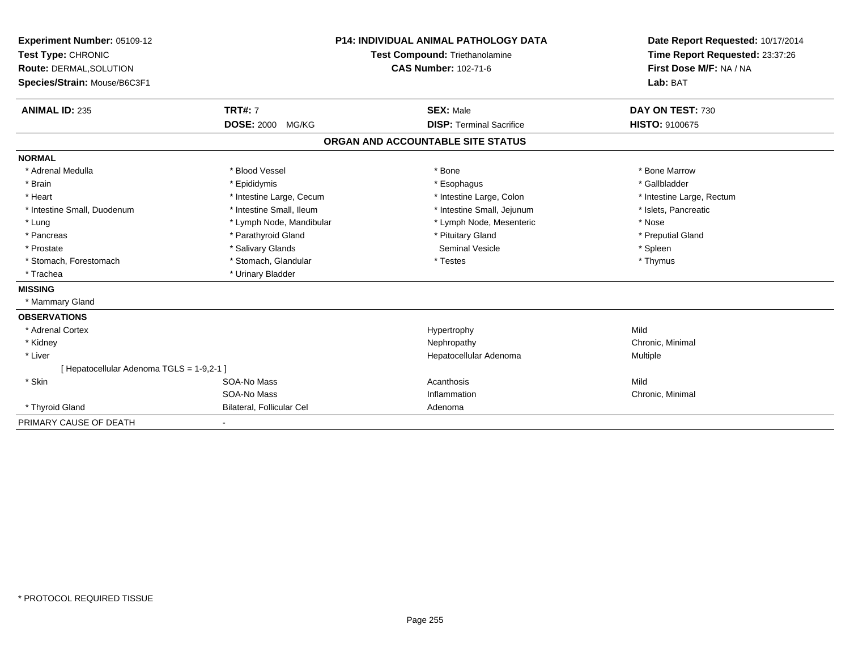| Experiment Number: 05109-12<br>Test Type: CHRONIC<br>Route: DERMAL, SOLUTION<br>Species/Strain: Mouse/B6C3F1 | <b>P14: INDIVIDUAL ANIMAL PATHOLOGY DATA</b><br><b>Test Compound: Triethanolamine</b><br><b>CAS Number: 102-71-6</b> |                                   | Date Report Requested: 10/17/2014<br>Time Report Requested: 23:37:26<br>First Dose M/F: NA / NA<br>Lab: BAT |  |
|--------------------------------------------------------------------------------------------------------------|----------------------------------------------------------------------------------------------------------------------|-----------------------------------|-------------------------------------------------------------------------------------------------------------|--|
|                                                                                                              |                                                                                                                      |                                   |                                                                                                             |  |
| <b>ANIMAL ID: 235</b>                                                                                        | <b>TRT#: 7</b>                                                                                                       | <b>SEX: Male</b>                  | DAY ON TEST: 730                                                                                            |  |
|                                                                                                              | <b>DOSE: 2000 MG/KG</b>                                                                                              | <b>DISP: Terminal Sacrifice</b>   | <b>HISTO: 9100675</b>                                                                                       |  |
|                                                                                                              |                                                                                                                      | ORGAN AND ACCOUNTABLE SITE STATUS |                                                                                                             |  |
| <b>NORMAL</b>                                                                                                |                                                                                                                      |                                   |                                                                                                             |  |
| * Adrenal Medulla                                                                                            | * Blood Vessel                                                                                                       | * Bone                            | * Bone Marrow                                                                                               |  |
| * Brain                                                                                                      | * Epididymis                                                                                                         | * Esophagus                       | * Gallbladder                                                                                               |  |
| * Heart                                                                                                      | * Intestine Large, Cecum                                                                                             | * Intestine Large, Colon          | * Intestine Large, Rectum                                                                                   |  |
| * Intestine Small, Duodenum                                                                                  | * Intestine Small, Ileum                                                                                             | * Intestine Small, Jejunum        | * Islets, Pancreatic                                                                                        |  |
| * Lung                                                                                                       | * Lymph Node, Mandibular                                                                                             | * Lymph Node, Mesenteric          | * Nose                                                                                                      |  |
| * Pancreas                                                                                                   | * Parathyroid Gland                                                                                                  | * Pituitary Gland                 | * Preputial Gland                                                                                           |  |
| * Prostate                                                                                                   | * Salivary Glands                                                                                                    | Seminal Vesicle                   | * Spleen                                                                                                    |  |
| * Stomach, Forestomach                                                                                       | * Stomach, Glandular                                                                                                 | * Testes                          | * Thymus                                                                                                    |  |
| * Trachea                                                                                                    | * Urinary Bladder                                                                                                    |                                   |                                                                                                             |  |
| <b>MISSING</b>                                                                                               |                                                                                                                      |                                   |                                                                                                             |  |
| * Mammary Gland                                                                                              |                                                                                                                      |                                   |                                                                                                             |  |
| <b>OBSERVATIONS</b>                                                                                          |                                                                                                                      |                                   |                                                                                                             |  |
| * Adrenal Cortex                                                                                             |                                                                                                                      | Hypertrophy                       | Mild                                                                                                        |  |
| * Kidney                                                                                                     |                                                                                                                      | Nephropathy                       | Chronic, Minimal                                                                                            |  |
| * Liver                                                                                                      |                                                                                                                      | Hepatocellular Adenoma            | Multiple                                                                                                    |  |
| [ Hepatocellular Adenoma TGLS = 1-9,2-1 ]                                                                    |                                                                                                                      |                                   |                                                                                                             |  |
| * Skin                                                                                                       | SOA-No Mass                                                                                                          | Acanthosis                        | Mild                                                                                                        |  |
|                                                                                                              | SOA-No Mass                                                                                                          | Inflammation                      | Chronic, Minimal                                                                                            |  |
| * Thyroid Gland                                                                                              | Bilateral, Follicular Cel                                                                                            | Adenoma                           |                                                                                                             |  |
| PRIMARY CAUSE OF DEATH                                                                                       | ۰                                                                                                                    |                                   |                                                                                                             |  |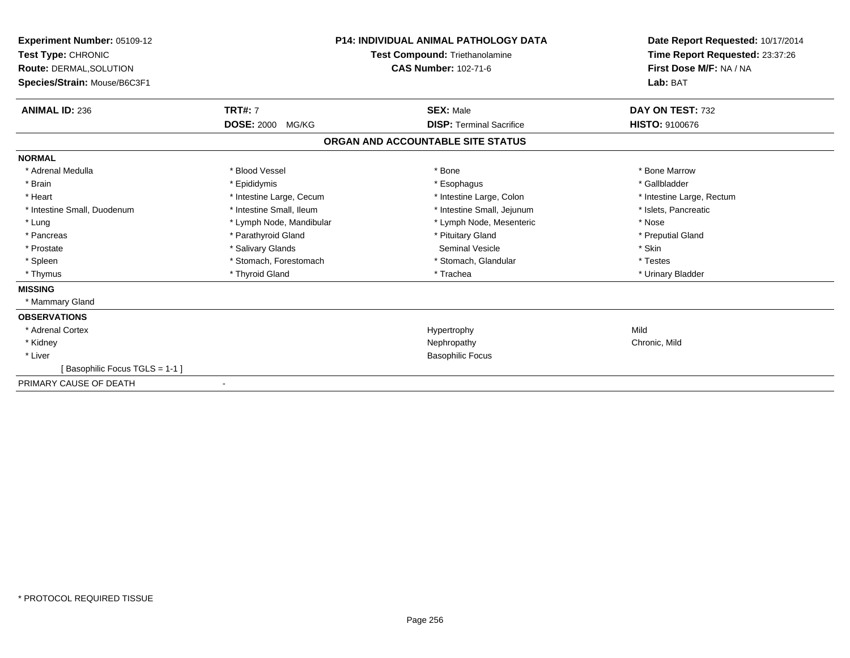| Experiment Number: 05109-12<br>Test Type: CHRONIC<br>Route: DERMAL, SOLUTION<br>Species/Strain: Mouse/B6C3F1 | <b>P14: INDIVIDUAL ANIMAL PATHOLOGY DATA</b><br><b>Test Compound: Triethanolamine</b><br><b>CAS Number: 102-71-6</b> |                                   | Date Report Requested: 10/17/2014<br>Time Report Requested: 23:37:26<br>First Dose M/F: NA / NA<br>Lab: BAT |  |
|--------------------------------------------------------------------------------------------------------------|----------------------------------------------------------------------------------------------------------------------|-----------------------------------|-------------------------------------------------------------------------------------------------------------|--|
| <b>ANIMAL ID: 236</b>                                                                                        | <b>TRT#: 7</b>                                                                                                       | <b>SEX: Male</b>                  | DAY ON TEST: 732                                                                                            |  |
|                                                                                                              | <b>DOSE: 2000 MG/KG</b>                                                                                              | <b>DISP: Terminal Sacrifice</b>   | <b>HISTO: 9100676</b>                                                                                       |  |
|                                                                                                              |                                                                                                                      | ORGAN AND ACCOUNTABLE SITE STATUS |                                                                                                             |  |
| <b>NORMAL</b>                                                                                                |                                                                                                                      |                                   |                                                                                                             |  |
| * Adrenal Medulla                                                                                            | * Blood Vessel                                                                                                       | * Bone                            | * Bone Marrow                                                                                               |  |
| * Brain                                                                                                      | * Epididymis                                                                                                         | * Esophagus                       | * Gallbladder                                                                                               |  |
| * Heart                                                                                                      | * Intestine Large, Cecum                                                                                             | * Intestine Large, Colon          | * Intestine Large, Rectum                                                                                   |  |
| * Intestine Small, Duodenum                                                                                  | * Intestine Small, Ileum                                                                                             | * Intestine Small, Jejunum        | * Islets, Pancreatic                                                                                        |  |
| * Lung                                                                                                       | * Lymph Node, Mandibular                                                                                             | * Lymph Node, Mesenteric          | * Nose                                                                                                      |  |
| * Pancreas                                                                                                   | * Parathyroid Gland                                                                                                  | * Pituitary Gland                 | * Preputial Gland                                                                                           |  |
| * Prostate                                                                                                   | * Salivary Glands                                                                                                    | Seminal Vesicle                   | * Skin                                                                                                      |  |
| * Spleen                                                                                                     | * Stomach, Forestomach                                                                                               | * Stomach, Glandular              | * Testes                                                                                                    |  |
| * Thymus                                                                                                     | * Thyroid Gland                                                                                                      | * Trachea                         | * Urinary Bladder                                                                                           |  |
| <b>MISSING</b>                                                                                               |                                                                                                                      |                                   |                                                                                                             |  |
| * Mammary Gland                                                                                              |                                                                                                                      |                                   |                                                                                                             |  |
| <b>OBSERVATIONS</b>                                                                                          |                                                                                                                      |                                   |                                                                                                             |  |
| * Adrenal Cortex                                                                                             |                                                                                                                      | Hypertrophy                       | Mild                                                                                                        |  |
| * Kidney                                                                                                     |                                                                                                                      | Nephropathy                       | Chronic, Mild                                                                                               |  |
| * Liver                                                                                                      |                                                                                                                      | <b>Basophilic Focus</b>           |                                                                                                             |  |
| Basophilic Focus TGLS = 1-1 ]                                                                                |                                                                                                                      |                                   |                                                                                                             |  |
| PRIMARY CAUSE OF DEATH                                                                                       |                                                                                                                      |                                   |                                                                                                             |  |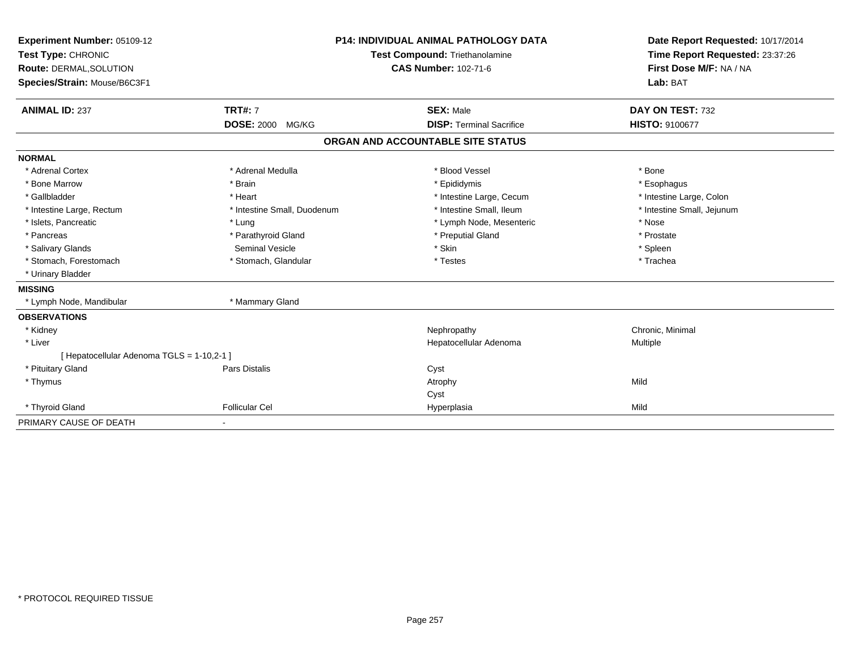| Experiment Number: 05109-12<br>Test Type: CHRONIC<br>Route: DERMAL, SOLUTION<br>Species/Strain: Mouse/B6C3F1 |                             | <b>P14: INDIVIDUAL ANIMAL PATHOLOGY DATA</b><br>Test Compound: Triethanolamine<br><b>CAS Number: 102-71-6</b> | Date Report Requested: 10/17/2014<br>Time Report Requested: 23:37:26<br>First Dose M/F: NA / NA<br>Lab: BAT |  |
|--------------------------------------------------------------------------------------------------------------|-----------------------------|---------------------------------------------------------------------------------------------------------------|-------------------------------------------------------------------------------------------------------------|--|
| <b>ANIMAL ID: 237</b>                                                                                        | <b>TRT#: 7</b>              | <b>SEX: Male</b>                                                                                              | DAY ON TEST: 732                                                                                            |  |
|                                                                                                              | DOSE: 2000 MG/KG            | <b>DISP: Terminal Sacrifice</b>                                                                               | <b>HISTO: 9100677</b>                                                                                       |  |
|                                                                                                              |                             | ORGAN AND ACCOUNTABLE SITE STATUS                                                                             |                                                                                                             |  |
| <b>NORMAL</b>                                                                                                |                             |                                                                                                               |                                                                                                             |  |
| * Adrenal Cortex                                                                                             | * Adrenal Medulla           | * Blood Vessel                                                                                                | * Bone                                                                                                      |  |
| * Bone Marrow                                                                                                | * Brain                     | * Epididymis                                                                                                  | * Esophagus                                                                                                 |  |
| * Gallbladder                                                                                                | * Heart                     | * Intestine Large, Cecum                                                                                      | * Intestine Large, Colon                                                                                    |  |
| * Intestine Large, Rectum                                                                                    | * Intestine Small, Duodenum | * Intestine Small, Ileum                                                                                      | * Intestine Small, Jejunum                                                                                  |  |
| * Islets, Pancreatic                                                                                         | * Lung                      | * Lymph Node, Mesenteric                                                                                      | * Nose                                                                                                      |  |
| * Pancreas                                                                                                   | * Parathyroid Gland         | * Preputial Gland                                                                                             | * Prostate                                                                                                  |  |
| * Salivary Glands                                                                                            | Seminal Vesicle             | * Skin                                                                                                        | * Spleen                                                                                                    |  |
| * Stomach, Forestomach                                                                                       | * Stomach, Glandular        | * Testes                                                                                                      | * Trachea                                                                                                   |  |
| * Urinary Bladder                                                                                            |                             |                                                                                                               |                                                                                                             |  |
| <b>MISSING</b>                                                                                               |                             |                                                                                                               |                                                                                                             |  |
| * Lymph Node, Mandibular                                                                                     | * Mammary Gland             |                                                                                                               |                                                                                                             |  |
| <b>OBSERVATIONS</b>                                                                                          |                             |                                                                                                               |                                                                                                             |  |
| * Kidney                                                                                                     |                             | Nephropathy                                                                                                   | Chronic, Minimal                                                                                            |  |
| * Liver                                                                                                      |                             | Hepatocellular Adenoma                                                                                        | Multiple                                                                                                    |  |
| [ Hepatocellular Adenoma TGLS = 1-10,2-1 ]                                                                   |                             |                                                                                                               |                                                                                                             |  |
| * Pituitary Gland                                                                                            | Pars Distalis               | Cyst                                                                                                          |                                                                                                             |  |
| * Thymus                                                                                                     |                             | Atrophy                                                                                                       | Mild                                                                                                        |  |
|                                                                                                              |                             | Cyst                                                                                                          |                                                                                                             |  |
| * Thyroid Gland                                                                                              | <b>Follicular Cel</b>       | Hyperplasia                                                                                                   | Mild                                                                                                        |  |
| PRIMARY CAUSE OF DEATH                                                                                       | $\blacksquare$              |                                                                                                               |                                                                                                             |  |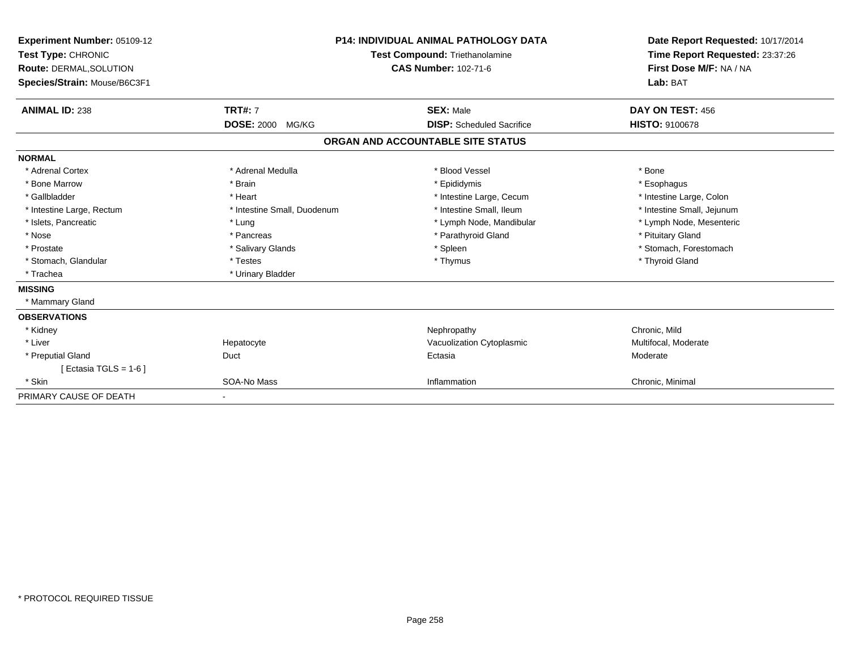| Experiment Number: 05109-12<br>Test Type: CHRONIC<br>Route: DERMAL, SOLUTION<br>Species/Strain: Mouse/B6C3F1 |                             | <b>P14: INDIVIDUAL ANIMAL PATHOLOGY DATA</b><br><b>Test Compound: Triethanolamine</b><br><b>CAS Number: 102-71-6</b> | Date Report Requested: 10/17/2014<br>Time Report Requested: 23:37:26<br>First Dose M/F: NA / NA<br>Lab: BAT |
|--------------------------------------------------------------------------------------------------------------|-----------------------------|----------------------------------------------------------------------------------------------------------------------|-------------------------------------------------------------------------------------------------------------|
| <b>ANIMAL ID: 238</b>                                                                                        | <b>TRT#: 7</b>              | <b>SEX: Male</b>                                                                                                     | DAY ON TEST: 456                                                                                            |
|                                                                                                              | <b>DOSE: 2000 MG/KG</b>     | <b>DISP:</b> Scheduled Sacrifice                                                                                     | <b>HISTO: 9100678</b>                                                                                       |
|                                                                                                              |                             | ORGAN AND ACCOUNTABLE SITE STATUS                                                                                    |                                                                                                             |
| <b>NORMAL</b>                                                                                                |                             |                                                                                                                      |                                                                                                             |
| * Adrenal Cortex                                                                                             | * Adrenal Medulla           | * Blood Vessel                                                                                                       | * Bone                                                                                                      |
| * Bone Marrow                                                                                                | * Brain                     | * Epididymis                                                                                                         | * Esophagus                                                                                                 |
| * Gallbladder                                                                                                | * Heart                     | * Intestine Large, Cecum                                                                                             | * Intestine Large, Colon                                                                                    |
| * Intestine Large, Rectum                                                                                    | * Intestine Small, Duodenum | * Intestine Small, Ileum                                                                                             | * Intestine Small, Jejunum                                                                                  |
| * Islets, Pancreatic                                                                                         | * Lung                      | * Lymph Node, Mandibular                                                                                             | * Lymph Node, Mesenteric                                                                                    |
| * Nose                                                                                                       | * Pancreas                  | * Parathyroid Gland                                                                                                  | * Pituitary Gland                                                                                           |
| * Prostate                                                                                                   | * Salivary Glands           | * Spleen                                                                                                             | * Stomach, Forestomach                                                                                      |
| * Stomach, Glandular                                                                                         | * Testes                    | * Thymus                                                                                                             | * Thyroid Gland                                                                                             |
| * Trachea                                                                                                    | * Urinary Bladder           |                                                                                                                      |                                                                                                             |
| <b>MISSING</b>                                                                                               |                             |                                                                                                                      |                                                                                                             |
| * Mammary Gland                                                                                              |                             |                                                                                                                      |                                                                                                             |
| <b>OBSERVATIONS</b>                                                                                          |                             |                                                                                                                      |                                                                                                             |
| * Kidney                                                                                                     |                             | Nephropathy                                                                                                          | Chronic, Mild                                                                                               |
| * Liver                                                                                                      | Hepatocyte                  | Vacuolization Cytoplasmic                                                                                            | Multifocal, Moderate                                                                                        |
| * Preputial Gland                                                                                            | Duct                        | Ectasia                                                                                                              | Moderate                                                                                                    |
| [ Ectasia TGLS = $1-6$ ]                                                                                     |                             |                                                                                                                      |                                                                                                             |
| * Skin                                                                                                       | SOA-No Mass                 | Inflammation                                                                                                         | Chronic, Minimal                                                                                            |
| PRIMARY CAUSE OF DEATH                                                                                       | ٠                           |                                                                                                                      |                                                                                                             |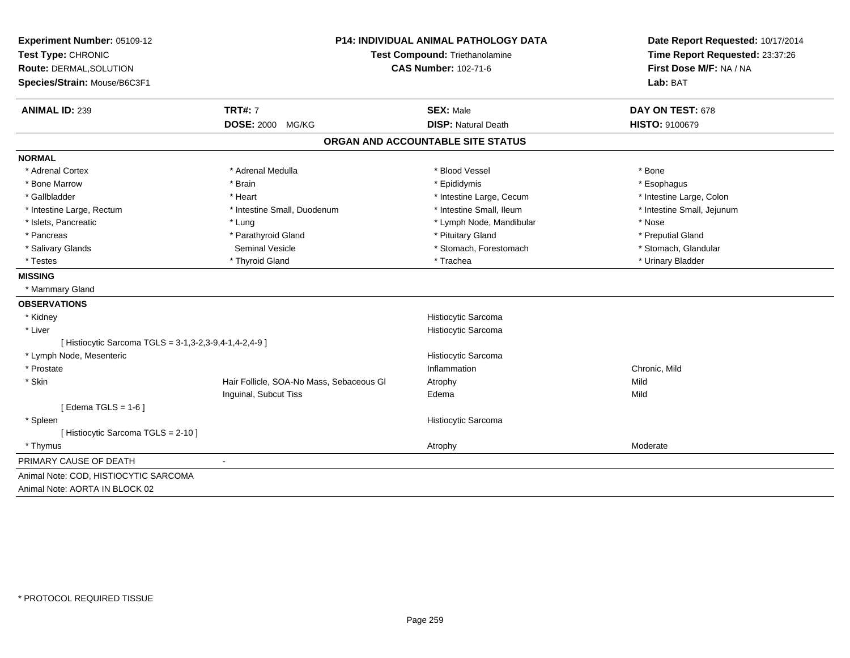| Experiment Number: 05109-12<br>Test Type: CHRONIC<br>Route: DERMAL, SOLUTION<br>Species/Strain: Mouse/B6C3F1 | <b>P14: INDIVIDUAL ANIMAL PATHOLOGY DATA</b><br>Test Compound: Triethanolamine<br><b>CAS Number: 102-71-6</b> |                                   | Date Report Requested: 10/17/2014<br>Time Report Requested: 23:37:26<br>First Dose M/F: NA / NA<br>Lab: BAT |  |
|--------------------------------------------------------------------------------------------------------------|---------------------------------------------------------------------------------------------------------------|-----------------------------------|-------------------------------------------------------------------------------------------------------------|--|
| <b>ANIMAL ID: 239</b>                                                                                        | <b>TRT#: 7</b>                                                                                                | <b>SEX: Male</b>                  | DAY ON TEST: 678<br>HISTO: 9100679                                                                          |  |
|                                                                                                              | DOSE: 2000 MG/KG                                                                                              | <b>DISP: Natural Death</b>        |                                                                                                             |  |
|                                                                                                              |                                                                                                               | ORGAN AND ACCOUNTABLE SITE STATUS |                                                                                                             |  |
| <b>NORMAL</b>                                                                                                |                                                                                                               |                                   |                                                                                                             |  |
| * Adrenal Cortex                                                                                             | * Adrenal Medulla                                                                                             | * Blood Vessel                    | * Bone                                                                                                      |  |
| * Bone Marrow                                                                                                | * Brain                                                                                                       | * Epididymis                      | * Esophagus                                                                                                 |  |
| * Gallbladder                                                                                                | * Heart                                                                                                       | * Intestine Large, Cecum          | * Intestine Large, Colon                                                                                    |  |
| * Intestine Large, Rectum                                                                                    | * Intestine Small, Duodenum                                                                                   | * Intestine Small, Ileum          | * Intestine Small, Jejunum                                                                                  |  |
| * Islets, Pancreatic                                                                                         | * Lung                                                                                                        | * Lymph Node, Mandibular          | * Nose                                                                                                      |  |
| * Pancreas                                                                                                   | * Parathyroid Gland                                                                                           | * Pituitary Gland                 | * Preputial Gland                                                                                           |  |
| * Salivary Glands                                                                                            | Seminal Vesicle                                                                                               | * Stomach, Forestomach            | * Stomach, Glandular                                                                                        |  |
| * Testes                                                                                                     | * Thyroid Gland                                                                                               | * Trachea                         | * Urinary Bladder                                                                                           |  |
| <b>MISSING</b>                                                                                               |                                                                                                               |                                   |                                                                                                             |  |
| * Mammary Gland                                                                                              |                                                                                                               |                                   |                                                                                                             |  |
| <b>OBSERVATIONS</b>                                                                                          |                                                                                                               |                                   |                                                                                                             |  |
| * Kidney                                                                                                     |                                                                                                               | Histiocytic Sarcoma               |                                                                                                             |  |
| * Liver                                                                                                      |                                                                                                               | Histiocytic Sarcoma               |                                                                                                             |  |
| [Histiocytic Sarcoma TGLS = 3-1,3-2,3-9,4-1,4-2,4-9]                                                         |                                                                                                               |                                   |                                                                                                             |  |
| * Lymph Node, Mesenteric                                                                                     |                                                                                                               | Histiocytic Sarcoma               |                                                                                                             |  |
| * Prostate                                                                                                   |                                                                                                               | Inflammation                      | Chronic, Mild                                                                                               |  |
| * Skin                                                                                                       | Hair Follicle, SOA-No Mass, Sebaceous Gl                                                                      | Atrophy                           | Mild                                                                                                        |  |
|                                                                                                              | Inguinal, Subcut Tiss                                                                                         | Edema                             | Mild                                                                                                        |  |
| [Edema TGLS = $1-6$ ]                                                                                        |                                                                                                               |                                   |                                                                                                             |  |
| * Spleen                                                                                                     |                                                                                                               | Histiocytic Sarcoma               |                                                                                                             |  |
| [ Histiocytic Sarcoma TGLS = 2-10 ]                                                                          |                                                                                                               |                                   |                                                                                                             |  |
| * Thymus                                                                                                     |                                                                                                               | Atrophy                           | Moderate                                                                                                    |  |
| PRIMARY CAUSE OF DEATH                                                                                       | $\blacksquare$                                                                                                |                                   |                                                                                                             |  |
| Animal Note: COD, HISTIOCYTIC SARCOMA                                                                        |                                                                                                               |                                   |                                                                                                             |  |
| Animal Note: AORTA IN BLOCK 02                                                                               |                                                                                                               |                                   |                                                                                                             |  |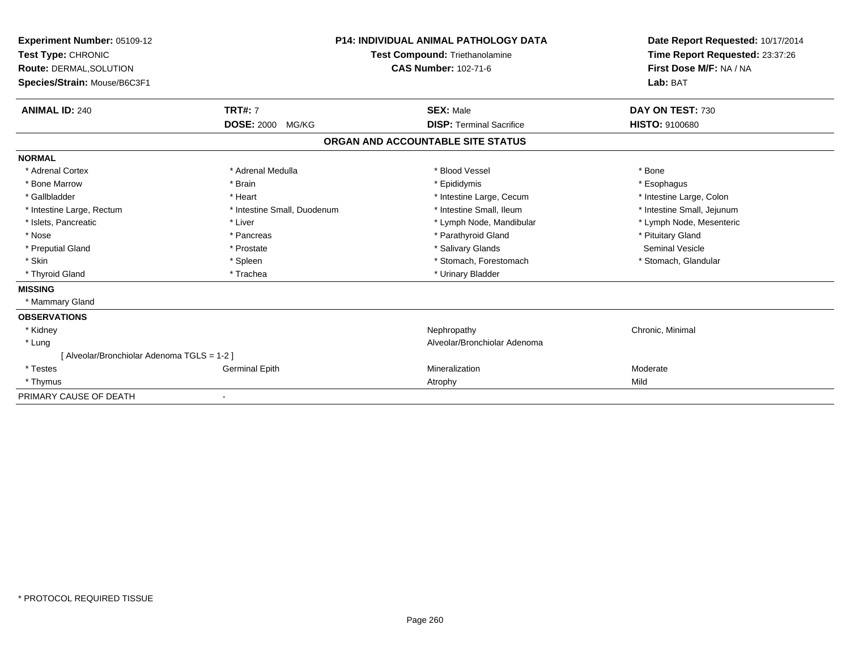| Experiment Number: 05109-12<br>Test Type: CHRONIC<br>Route: DERMAL, SOLUTION<br>Species/Strain: Mouse/B6C3F1 | <b>P14: INDIVIDUAL ANIMAL PATHOLOGY DATA</b><br>Test Compound: Triethanolamine<br><b>CAS Number: 102-71-6</b> |                                   | Date Report Requested: 10/17/2014<br>Time Report Requested: 23:37:26<br>First Dose M/F: NA / NA<br>Lab: BAT |  |
|--------------------------------------------------------------------------------------------------------------|---------------------------------------------------------------------------------------------------------------|-----------------------------------|-------------------------------------------------------------------------------------------------------------|--|
| <b>ANIMAL ID: 240</b>                                                                                        | <b>TRT#: 7</b>                                                                                                | <b>SEX: Male</b>                  | DAY ON TEST: 730                                                                                            |  |
|                                                                                                              | <b>DOSE: 2000</b><br>MG/KG                                                                                    | <b>DISP: Terminal Sacrifice</b>   | HISTO: 9100680                                                                                              |  |
|                                                                                                              |                                                                                                               | ORGAN AND ACCOUNTABLE SITE STATUS |                                                                                                             |  |
| <b>NORMAL</b>                                                                                                |                                                                                                               |                                   |                                                                                                             |  |
| * Adrenal Cortex                                                                                             | * Adrenal Medulla                                                                                             | * Blood Vessel                    | * Bone                                                                                                      |  |
| * Bone Marrow                                                                                                | * Brain                                                                                                       | * Epididymis                      | * Esophagus                                                                                                 |  |
| * Gallbladder                                                                                                | * Heart                                                                                                       | * Intestine Large, Cecum          | * Intestine Large, Colon                                                                                    |  |
| * Intestine Large, Rectum                                                                                    | * Intestine Small, Duodenum                                                                                   | * Intestine Small, Ileum          | * Intestine Small, Jejunum                                                                                  |  |
| * Islets, Pancreatic                                                                                         | * Liver                                                                                                       | * Lymph Node, Mandibular          | * Lymph Node, Mesenteric                                                                                    |  |
| * Nose                                                                                                       | * Pancreas                                                                                                    | * Parathyroid Gland               | * Pituitary Gland                                                                                           |  |
| * Preputial Gland                                                                                            | * Prostate                                                                                                    | * Salivary Glands                 | Seminal Vesicle                                                                                             |  |
| * Skin                                                                                                       | * Spleen                                                                                                      | * Stomach, Forestomach            | * Stomach, Glandular                                                                                        |  |
| * Thyroid Gland                                                                                              | * Trachea                                                                                                     | * Urinary Bladder                 |                                                                                                             |  |
| <b>MISSING</b>                                                                                               |                                                                                                               |                                   |                                                                                                             |  |
| * Mammary Gland                                                                                              |                                                                                                               |                                   |                                                                                                             |  |
| <b>OBSERVATIONS</b>                                                                                          |                                                                                                               |                                   |                                                                                                             |  |
| * Kidney                                                                                                     |                                                                                                               | Nephropathy                       | Chronic, Minimal                                                                                            |  |
| * Lung                                                                                                       |                                                                                                               | Alveolar/Bronchiolar Adenoma      |                                                                                                             |  |
| [ Alveolar/Bronchiolar Adenoma TGLS = 1-2 ]                                                                  |                                                                                                               |                                   |                                                                                                             |  |
| * Testes                                                                                                     | <b>Germinal Epith</b>                                                                                         | Mineralization                    | Moderate                                                                                                    |  |
| * Thymus                                                                                                     |                                                                                                               | Atrophy                           | Mild                                                                                                        |  |
| PRIMARY CAUSE OF DEATH                                                                                       |                                                                                                               |                                   |                                                                                                             |  |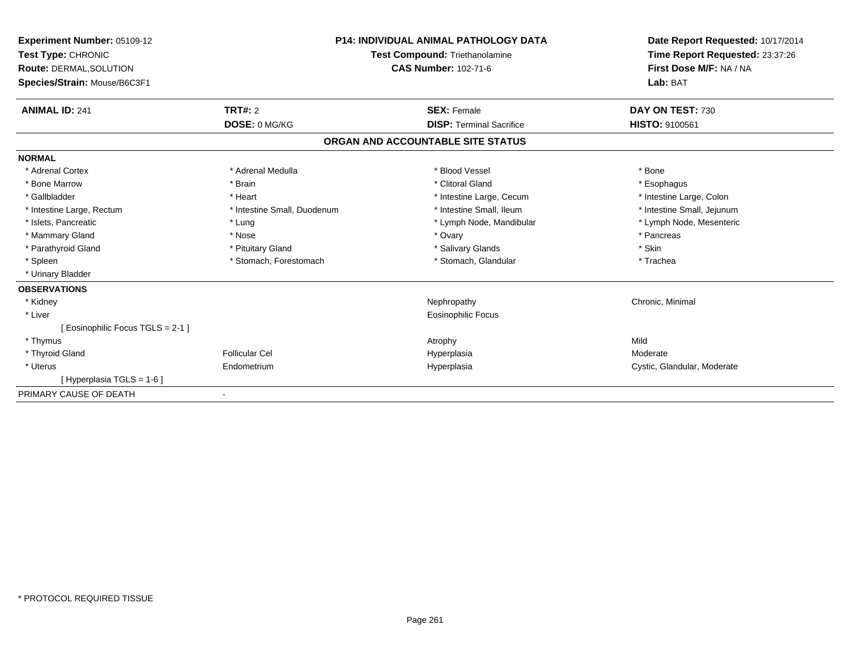| <b>Experiment Number: 05109-12</b><br>Test Type: CHRONIC<br><b>Route: DERMAL, SOLUTION</b><br>Species/Strain: Mouse/B6C3F1 |                             | <b>P14: INDIVIDUAL ANIMAL PATHOLOGY DATA</b><br><b>Test Compound: Triethanolamine</b><br><b>CAS Number: 102-71-6</b> | Date Report Requested: 10/17/2014<br>Time Report Requested: 23:37:26<br>First Dose M/F: NA / NA<br>Lab: BAT |
|----------------------------------------------------------------------------------------------------------------------------|-----------------------------|----------------------------------------------------------------------------------------------------------------------|-------------------------------------------------------------------------------------------------------------|
| <b>ANIMAL ID: 241</b>                                                                                                      | TRT#: 2                     | <b>SEX: Female</b>                                                                                                   | DAY ON TEST: 730                                                                                            |
|                                                                                                                            | DOSE: 0 MG/KG               | <b>DISP: Terminal Sacrifice</b>                                                                                      | <b>HISTO: 9100561</b>                                                                                       |
|                                                                                                                            |                             | ORGAN AND ACCOUNTABLE SITE STATUS                                                                                    |                                                                                                             |
| <b>NORMAL</b>                                                                                                              |                             |                                                                                                                      |                                                                                                             |
| * Adrenal Cortex                                                                                                           | * Adrenal Medulla           | * Blood Vessel                                                                                                       | * Bone                                                                                                      |
| * Bone Marrow                                                                                                              | * Brain                     | * Clitoral Gland                                                                                                     | * Esophagus                                                                                                 |
| * Gallbladder                                                                                                              | * Heart                     | * Intestine Large, Cecum                                                                                             | * Intestine Large, Colon                                                                                    |
| * Intestine Large, Rectum                                                                                                  | * Intestine Small, Duodenum | * Intestine Small, Ileum                                                                                             | * Intestine Small, Jejunum                                                                                  |
| * Islets, Pancreatic                                                                                                       | * Lung                      | * Lymph Node, Mandibular                                                                                             | * Lymph Node, Mesenteric                                                                                    |
| * Mammary Gland                                                                                                            | * Nose                      | * Ovary                                                                                                              | * Pancreas                                                                                                  |
| * Parathyroid Gland                                                                                                        | * Pituitary Gland           | * Salivary Glands                                                                                                    | * Skin                                                                                                      |
| * Spleen                                                                                                                   | * Stomach, Forestomach      | * Stomach, Glandular                                                                                                 | * Trachea                                                                                                   |
| * Urinary Bladder                                                                                                          |                             |                                                                                                                      |                                                                                                             |
| <b>OBSERVATIONS</b>                                                                                                        |                             |                                                                                                                      |                                                                                                             |
| * Kidney                                                                                                                   |                             | Nephropathy                                                                                                          | Chronic, Minimal                                                                                            |
| * Liver                                                                                                                    |                             | <b>Eosinophilic Focus</b>                                                                                            |                                                                                                             |
| [Eosinophilic Focus TGLS = 2-1 ]                                                                                           |                             |                                                                                                                      |                                                                                                             |
| * Thymus                                                                                                                   |                             | Atrophy                                                                                                              | Mild                                                                                                        |
| * Thyroid Gland                                                                                                            | <b>Follicular Cel</b>       | Hyperplasia                                                                                                          | Moderate                                                                                                    |
| * Uterus                                                                                                                   | Endometrium                 | Hyperplasia                                                                                                          | Cystic, Glandular, Moderate                                                                                 |
| [Hyperplasia TGLS = 1-6]                                                                                                   |                             |                                                                                                                      |                                                                                                             |
| PRIMARY CAUSE OF DEATH                                                                                                     | $\blacksquare$              |                                                                                                                      |                                                                                                             |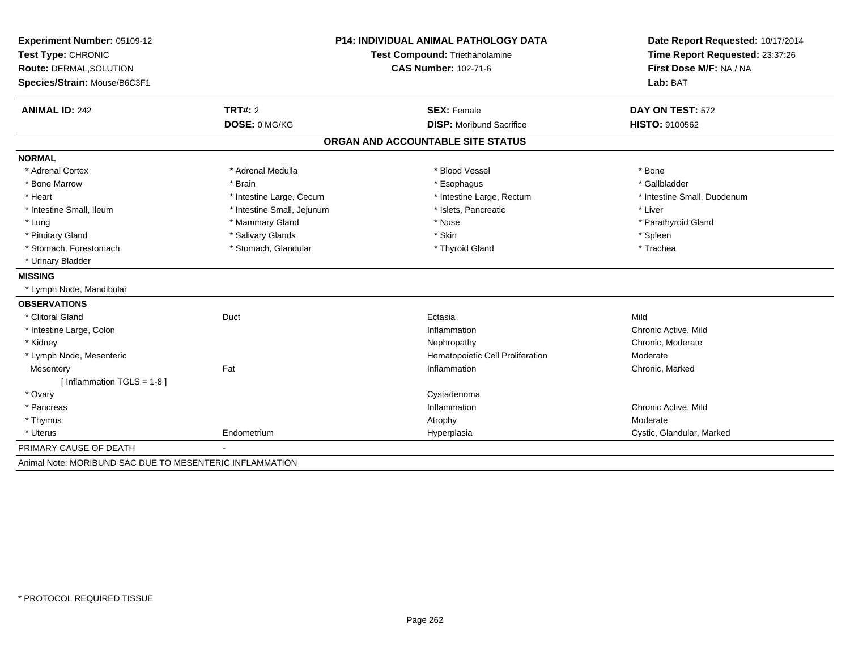| Experiment Number: 05109-12                              |                            | <b>P14: INDIVIDUAL ANIMAL PATHOLOGY DATA</b> | Date Report Requested: 10/17/2014                                      |  |
|----------------------------------------------------------|----------------------------|----------------------------------------------|------------------------------------------------------------------------|--|
| Test Type: CHRONIC                                       |                            | Test Compound: Triethanolamine               | Time Report Requested: 23:37:26<br>First Dose M/F: NA / NA<br>Lab: BAT |  |
| <b>Route: DERMAL.SOLUTION</b>                            |                            | <b>CAS Number: 102-71-6</b>                  |                                                                        |  |
| Species/Strain: Mouse/B6C3F1                             |                            |                                              |                                                                        |  |
| <b>ANIMAL ID: 242</b>                                    | <b>TRT#: 2</b>             | <b>SEX: Female</b>                           | DAY ON TEST: 572                                                       |  |
|                                                          | DOSE: 0 MG/KG              | <b>DISP:</b> Moribund Sacrifice              | HISTO: 9100562                                                         |  |
|                                                          |                            | ORGAN AND ACCOUNTABLE SITE STATUS            |                                                                        |  |
| <b>NORMAL</b>                                            |                            |                                              |                                                                        |  |
| * Adrenal Cortex                                         | * Adrenal Medulla          | * Blood Vessel                               | * Bone                                                                 |  |
| * Bone Marrow                                            | * Brain                    | * Esophagus                                  | * Gallbladder                                                          |  |
| * Heart                                                  | * Intestine Large, Cecum   | * Intestine Large, Rectum                    | * Intestine Small, Duodenum                                            |  |
| * Intestine Small, Ileum                                 | * Intestine Small, Jejunum | * Islets, Pancreatic                         | * Liver                                                                |  |
| * Lung                                                   | * Mammary Gland            | * Nose                                       | * Parathyroid Gland                                                    |  |
| * Pituitary Gland                                        | * Salivary Glands          | * Skin                                       | * Spleen                                                               |  |
| * Stomach, Forestomach                                   | * Stomach, Glandular       | * Thyroid Gland                              | * Trachea                                                              |  |
| * Urinary Bladder                                        |                            |                                              |                                                                        |  |
| <b>MISSING</b>                                           |                            |                                              |                                                                        |  |
| * Lymph Node, Mandibular                                 |                            |                                              |                                                                        |  |
| <b>OBSERVATIONS</b>                                      |                            |                                              |                                                                        |  |
| * Clitoral Gland                                         | Duct                       | Ectasia                                      | Mild                                                                   |  |
| * Intestine Large, Colon                                 |                            | Inflammation                                 | Chronic Active, Mild                                                   |  |
| * Kidney                                                 |                            | Nephropathy                                  | Chronic, Moderate                                                      |  |
| * Lymph Node, Mesenteric                                 |                            | Hematopoietic Cell Proliferation             | Moderate                                                               |  |
| Mesentery                                                | Fat                        | Inflammation                                 | Chronic, Marked                                                        |  |
| [Inflammation TGLS = $1-8$ ]                             |                            |                                              |                                                                        |  |
| * Ovary                                                  |                            | Cystadenoma                                  |                                                                        |  |
| * Pancreas                                               |                            | Inflammation                                 | Chronic Active, Mild                                                   |  |
| * Thymus                                                 |                            | Atrophy                                      | Moderate                                                               |  |
| * Uterus                                                 | Endometrium                | Hyperplasia                                  | Cystic, Glandular, Marked                                              |  |
| PRIMARY CAUSE OF DEATH                                   |                            |                                              |                                                                        |  |
| Animal Note: MORIBUND SAC DUE TO MESENTERIC INFLAMMATION |                            |                                              |                                                                        |  |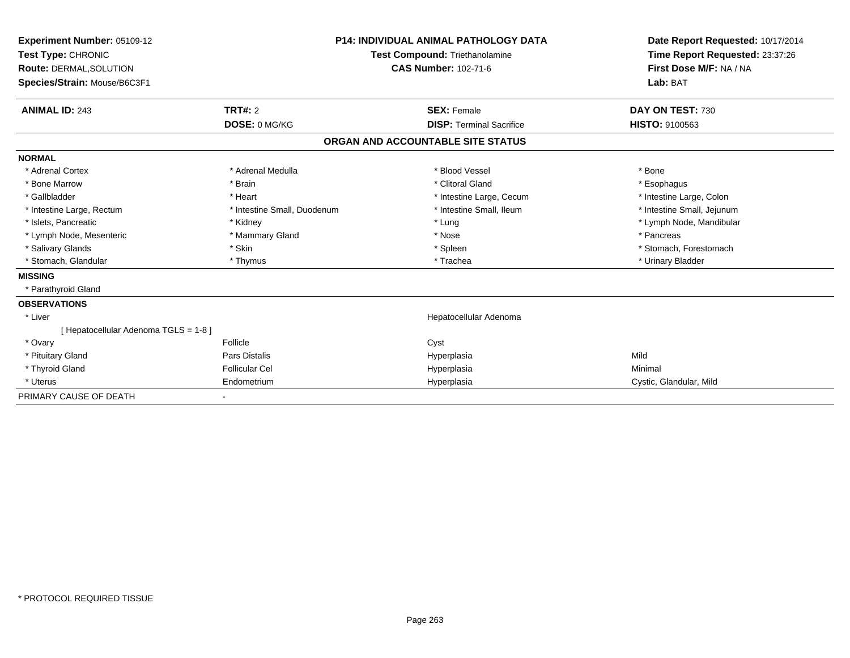| Experiment Number: 05109-12<br><b>Test Type: CHRONIC</b><br><b>Route: DERMAL, SOLUTION</b><br>Species/Strain: Mouse/B6C3F1 | <b>P14: INDIVIDUAL ANIMAL PATHOLOGY DATA</b><br>Test Compound: Triethanolamine<br><b>CAS Number: 102-71-6</b> |  | Date Report Requested: 10/17/2014<br>Time Report Requested: 23:37:26<br>First Dose M/F: NA / NA<br>Lab: BAT |                            |
|----------------------------------------------------------------------------------------------------------------------------|---------------------------------------------------------------------------------------------------------------|--|-------------------------------------------------------------------------------------------------------------|----------------------------|
| <b>ANIMAL ID: 243</b>                                                                                                      | TRT#: 2                                                                                                       |  | <b>SEX: Female</b>                                                                                          | DAY ON TEST: 730           |
|                                                                                                                            | DOSE: 0 MG/KG                                                                                                 |  | <b>DISP: Terminal Sacrifice</b>                                                                             | <b>HISTO: 9100563</b>      |
|                                                                                                                            |                                                                                                               |  | ORGAN AND ACCOUNTABLE SITE STATUS                                                                           |                            |
| <b>NORMAL</b>                                                                                                              |                                                                                                               |  |                                                                                                             |                            |
| * Adrenal Cortex                                                                                                           | * Adrenal Medulla                                                                                             |  | * Blood Vessel                                                                                              | * Bone                     |
| * Bone Marrow                                                                                                              | * Brain                                                                                                       |  | * Clitoral Gland                                                                                            | * Esophagus                |
| * Gallbladder                                                                                                              | * Heart                                                                                                       |  | * Intestine Large, Cecum                                                                                    | * Intestine Large, Colon   |
| * Intestine Large, Rectum                                                                                                  | * Intestine Small, Duodenum                                                                                   |  | * Intestine Small, Ileum                                                                                    | * Intestine Small, Jejunum |
| * Islets, Pancreatic                                                                                                       | * Kidney                                                                                                      |  | * Lung                                                                                                      | * Lymph Node, Mandibular   |
| * Lymph Node, Mesenteric                                                                                                   | * Mammary Gland                                                                                               |  | * Nose                                                                                                      | * Pancreas                 |
| * Salivary Glands                                                                                                          | * Skin                                                                                                        |  | * Spleen                                                                                                    | * Stomach, Forestomach     |
| * Stomach, Glandular                                                                                                       | * Thymus                                                                                                      |  | * Trachea                                                                                                   | * Urinary Bladder          |
| <b>MISSING</b>                                                                                                             |                                                                                                               |  |                                                                                                             |                            |
| * Parathyroid Gland                                                                                                        |                                                                                                               |  |                                                                                                             |                            |
| <b>OBSERVATIONS</b>                                                                                                        |                                                                                                               |  |                                                                                                             |                            |
| * Liver                                                                                                                    |                                                                                                               |  | Hepatocellular Adenoma                                                                                      |                            |
| [ Hepatocellular Adenoma TGLS = 1-8 ]                                                                                      |                                                                                                               |  |                                                                                                             |                            |
| * Ovary                                                                                                                    | Follicle                                                                                                      |  | Cyst                                                                                                        |                            |
| * Pituitary Gland                                                                                                          | Pars Distalis                                                                                                 |  | Hyperplasia                                                                                                 | Mild                       |
| * Thyroid Gland                                                                                                            | <b>Follicular Cel</b>                                                                                         |  | Hyperplasia                                                                                                 | Minimal                    |
| * Uterus                                                                                                                   | Endometrium                                                                                                   |  | Hyperplasia                                                                                                 | Cystic, Glandular, Mild    |
| PRIMARY CAUSE OF DEATH                                                                                                     |                                                                                                               |  |                                                                                                             |                            |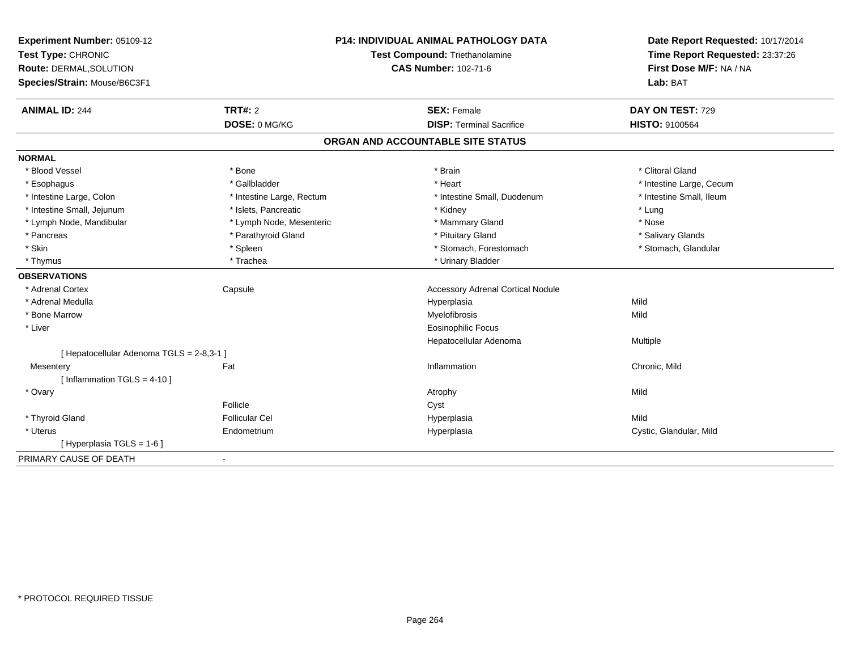| Experiment Number: 05109-12<br>Test Type: CHRONIC<br>Route: DERMAL, SOLUTION<br>Species/Strain: Mouse/B6C3F1 | P14: INDIVIDUAL ANIMAL PATHOLOGY DATA<br>Test Compound: Triethanolamine<br><b>CAS Number: 102-71-6</b> |                                          | Date Report Requested: 10/17/2014<br>Time Report Requested: 23:37:26<br>First Dose M/F: NA / NA<br>Lab: BAT |  |
|--------------------------------------------------------------------------------------------------------------|--------------------------------------------------------------------------------------------------------|------------------------------------------|-------------------------------------------------------------------------------------------------------------|--|
| <b>ANIMAL ID: 244</b>                                                                                        | TRT#: 2                                                                                                | <b>SEX: Female</b>                       | DAY ON TEST: 729                                                                                            |  |
|                                                                                                              | DOSE: 0 MG/KG                                                                                          | <b>DISP: Terminal Sacrifice</b>          | <b>HISTO: 9100564</b>                                                                                       |  |
|                                                                                                              |                                                                                                        | ORGAN AND ACCOUNTABLE SITE STATUS        |                                                                                                             |  |
| <b>NORMAL</b>                                                                                                |                                                                                                        |                                          |                                                                                                             |  |
| * Blood Vessel                                                                                               | * Bone                                                                                                 | * Brain                                  | * Clitoral Gland                                                                                            |  |
| * Esophagus                                                                                                  | * Gallbladder                                                                                          | * Heart                                  | * Intestine Large, Cecum                                                                                    |  |
| * Intestine Large, Colon                                                                                     | * Intestine Large, Rectum                                                                              | * Intestine Small, Duodenum              | * Intestine Small, Ileum                                                                                    |  |
| * Intestine Small, Jejunum                                                                                   | * Islets, Pancreatic                                                                                   | * Kidney                                 | * Lung                                                                                                      |  |
| * Lymph Node, Mandibular                                                                                     | * Lymph Node, Mesenteric                                                                               | * Mammary Gland                          | * Nose                                                                                                      |  |
| * Pancreas                                                                                                   | * Parathyroid Gland                                                                                    | * Pituitary Gland                        | * Salivary Glands                                                                                           |  |
| * Skin                                                                                                       | * Spleen                                                                                               | * Stomach, Forestomach                   | * Stomach, Glandular                                                                                        |  |
| * Thymus                                                                                                     | * Trachea                                                                                              | * Urinary Bladder                        |                                                                                                             |  |
| <b>OBSERVATIONS</b>                                                                                          |                                                                                                        |                                          |                                                                                                             |  |
| * Adrenal Cortex                                                                                             | Capsule                                                                                                | <b>Accessory Adrenal Cortical Nodule</b> |                                                                                                             |  |
| * Adrenal Medulla                                                                                            |                                                                                                        | Hyperplasia                              | Mild                                                                                                        |  |
| * Bone Marrow                                                                                                |                                                                                                        | Myelofibrosis                            | Mild                                                                                                        |  |
| * Liver                                                                                                      |                                                                                                        | Eosinophilic Focus                       |                                                                                                             |  |
|                                                                                                              |                                                                                                        | Hepatocellular Adenoma                   | <b>Multiple</b>                                                                                             |  |
| [ Hepatocellular Adenoma TGLS = 2-8,3-1 ]                                                                    |                                                                                                        |                                          |                                                                                                             |  |
| Mesentery                                                                                                    | Fat                                                                                                    | Inflammation                             | Chronic, Mild                                                                                               |  |
| [Inflammation TGLS = $4-10$ ]                                                                                |                                                                                                        |                                          |                                                                                                             |  |
| * Ovary                                                                                                      |                                                                                                        | Atrophy                                  | Mild                                                                                                        |  |
|                                                                                                              | Follicle                                                                                               | Cyst                                     |                                                                                                             |  |
| * Thyroid Gland                                                                                              | <b>Follicular Cel</b>                                                                                  | Hyperplasia                              | Mild                                                                                                        |  |
| * Uterus                                                                                                     | Endometrium                                                                                            | Hyperplasia                              | Cystic, Glandular, Mild                                                                                     |  |
| [ Hyperplasia TGLS = 1-6 ]                                                                                   |                                                                                                        |                                          |                                                                                                             |  |
| PRIMARY CAUSE OF DEATH                                                                                       | $\blacksquare$                                                                                         |                                          |                                                                                                             |  |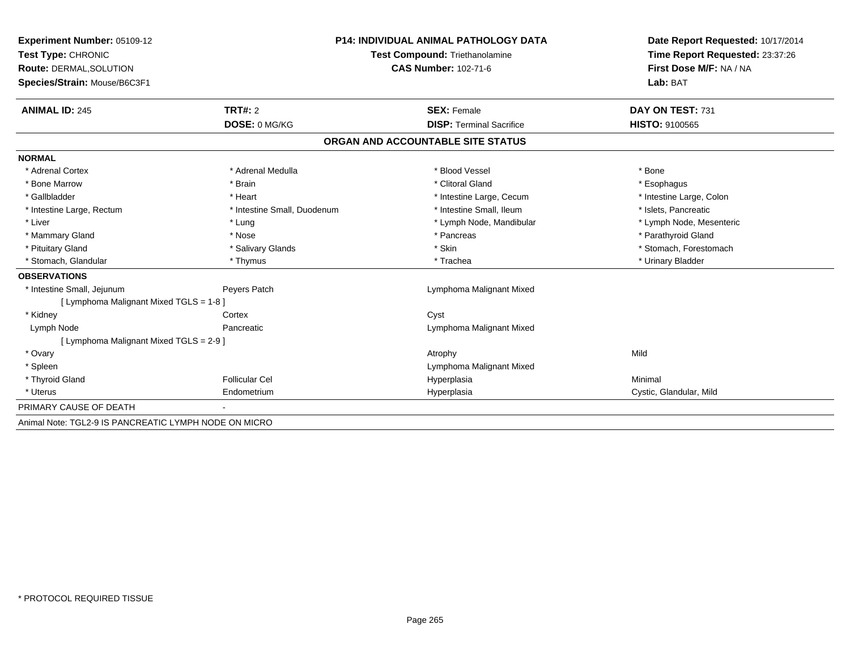| Experiment Number: 05109-12                           | <b>P14: INDIVIDUAL ANIMAL PATHOLOGY DATA</b> |                                       | Date Report Requested: 10/17/2014   |  |
|-------------------------------------------------------|----------------------------------------------|---------------------------------------|-------------------------------------|--|
| Test Type: CHRONIC                                    |                                              | <b>Test Compound: Triethanolamine</b> | Time Report Requested: 23:37:26     |  |
| <b>Route: DERMAL, SOLUTION</b>                        |                                              | <b>CAS Number: 102-71-6</b>           | First Dose M/F: NA / NA<br>Lab: BAT |  |
| Species/Strain: Mouse/B6C3F1                          |                                              |                                       |                                     |  |
| <b>ANIMAL ID: 245</b>                                 | <b>TRT#: 2</b>                               | <b>SEX: Female</b>                    | DAY ON TEST: 731                    |  |
|                                                       | DOSE: 0 MG/KG                                | <b>DISP: Terminal Sacrifice</b>       | <b>HISTO: 9100565</b>               |  |
|                                                       |                                              | ORGAN AND ACCOUNTABLE SITE STATUS     |                                     |  |
| <b>NORMAL</b>                                         |                                              |                                       |                                     |  |
| * Adrenal Cortex                                      | * Adrenal Medulla                            | * Blood Vessel                        | * Bone                              |  |
| * Bone Marrow                                         | * Brain                                      | * Clitoral Gland                      | * Esophagus                         |  |
| * Gallbladder                                         | * Heart                                      | * Intestine Large, Cecum              | * Intestine Large, Colon            |  |
| * Intestine Large, Rectum                             | * Intestine Small, Duodenum                  | * Intestine Small, Ileum              | * Islets, Pancreatic                |  |
| * Liver                                               | * Lung                                       | * Lymph Node, Mandibular              | * Lymph Node, Mesenteric            |  |
| * Mammary Gland                                       | * Nose                                       | * Pancreas                            | * Parathyroid Gland                 |  |
| * Pituitary Gland                                     | * Salivary Glands                            | * Skin                                | * Stomach, Forestomach              |  |
| * Stomach, Glandular                                  | * Thymus                                     | * Trachea                             | * Urinary Bladder                   |  |
| <b>OBSERVATIONS</b>                                   |                                              |                                       |                                     |  |
| * Intestine Small, Jejunum                            | Peyers Patch                                 | Lymphoma Malignant Mixed              |                                     |  |
| [ Lymphoma Malignant Mixed TGLS = 1-8 ]               |                                              |                                       |                                     |  |
| * Kidney                                              | Cortex                                       | Cyst                                  |                                     |  |
| Lymph Node                                            | Pancreatic                                   | Lymphoma Malignant Mixed              |                                     |  |
| [ Lymphoma Malignant Mixed TGLS = 2-9 ]               |                                              |                                       |                                     |  |
| * Ovary                                               |                                              | Atrophy                               | Mild                                |  |
| * Spleen                                              |                                              | Lymphoma Malignant Mixed              |                                     |  |
| * Thyroid Gland                                       | <b>Follicular Cel</b>                        | Hyperplasia                           | Minimal                             |  |
| * Uterus                                              | Endometrium                                  | Hyperplasia                           | Cystic, Glandular, Mild             |  |
| PRIMARY CAUSE OF DEATH                                |                                              |                                       |                                     |  |
| Animal Note: TGL2-9 IS PANCREATIC LYMPH NODE ON MICRO |                                              |                                       |                                     |  |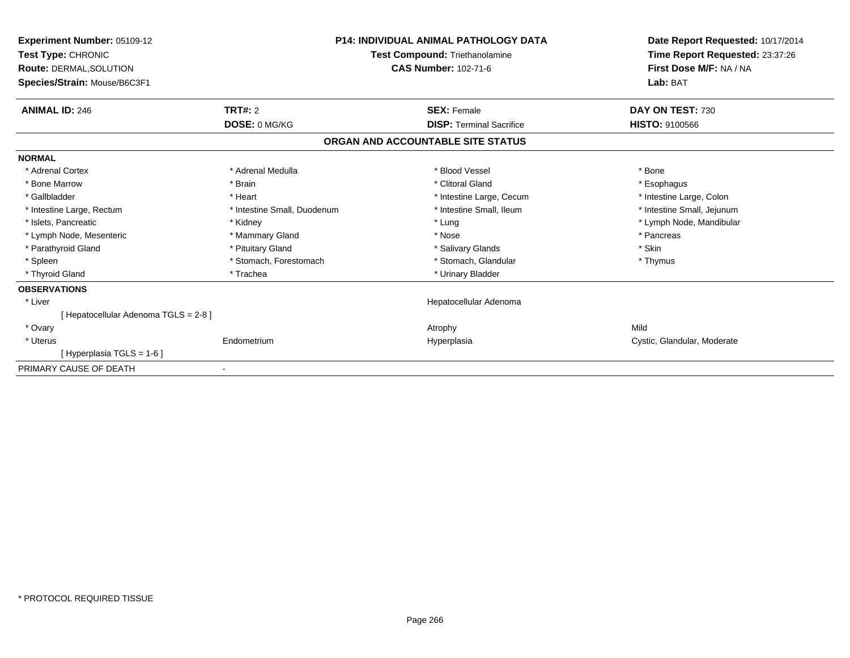| Experiment Number: 05109-12<br>Test Type: CHRONIC<br><b>Route: DERMAL, SOLUTION</b><br>Species/Strain: Mouse/B6C3F1 | <b>P14: INDIVIDUAL ANIMAL PATHOLOGY DATA</b><br>Test Compound: Triethanolamine<br><b>CAS Number: 102-71-6</b> |                                   | Date Report Requested: 10/17/2014<br>Time Report Requested: 23:37:26<br>First Dose M/F: NA / NA<br>Lab: BAT |
|---------------------------------------------------------------------------------------------------------------------|---------------------------------------------------------------------------------------------------------------|-----------------------------------|-------------------------------------------------------------------------------------------------------------|
| <b>ANIMAL ID: 246</b>                                                                                               | <b>TRT#: 2</b>                                                                                                | <b>SEX: Female</b>                | DAY ON TEST: 730                                                                                            |
|                                                                                                                     | DOSE: 0 MG/KG                                                                                                 | <b>DISP: Terminal Sacrifice</b>   | <b>HISTO: 9100566</b>                                                                                       |
|                                                                                                                     |                                                                                                               | ORGAN AND ACCOUNTABLE SITE STATUS |                                                                                                             |
| <b>NORMAL</b>                                                                                                       |                                                                                                               |                                   |                                                                                                             |
| * Adrenal Cortex                                                                                                    | * Adrenal Medulla                                                                                             | * Blood Vessel                    | * Bone                                                                                                      |
| * Bone Marrow                                                                                                       | * Brain                                                                                                       | * Clitoral Gland                  | * Esophagus                                                                                                 |
| * Gallbladder                                                                                                       | * Heart                                                                                                       | * Intestine Large, Cecum          | * Intestine Large, Colon                                                                                    |
| * Intestine Large, Rectum                                                                                           | * Intestine Small, Duodenum                                                                                   | * Intestine Small, Ileum          | * Intestine Small, Jejunum                                                                                  |
| * Islets, Pancreatic                                                                                                | * Kidney                                                                                                      | * Lung                            | * Lymph Node, Mandibular                                                                                    |
| * Lymph Node, Mesenteric                                                                                            | * Mammary Gland                                                                                               | * Nose                            | * Pancreas                                                                                                  |
| * Parathyroid Gland                                                                                                 | * Pituitary Gland                                                                                             | * Salivary Glands                 | * Skin                                                                                                      |
| * Spleen                                                                                                            | * Stomach, Forestomach                                                                                        | * Stomach. Glandular              | * Thymus                                                                                                    |
| * Thyroid Gland                                                                                                     | * Trachea                                                                                                     | * Urinary Bladder                 |                                                                                                             |
| <b>OBSERVATIONS</b>                                                                                                 |                                                                                                               |                                   |                                                                                                             |
| * Liver                                                                                                             |                                                                                                               | Hepatocellular Adenoma            |                                                                                                             |
| [Hepatocellular Adenoma TGLS = 2-8]                                                                                 |                                                                                                               |                                   |                                                                                                             |
| * Ovary                                                                                                             |                                                                                                               | Atrophy                           | Mild                                                                                                        |
| * Uterus                                                                                                            | Endometrium                                                                                                   | Hyperplasia                       | Cystic, Glandular, Moderate                                                                                 |
| [Hyperplasia TGLS = 1-6]                                                                                            |                                                                                                               |                                   |                                                                                                             |
| PRIMARY CAUSE OF DEATH                                                                                              |                                                                                                               |                                   |                                                                                                             |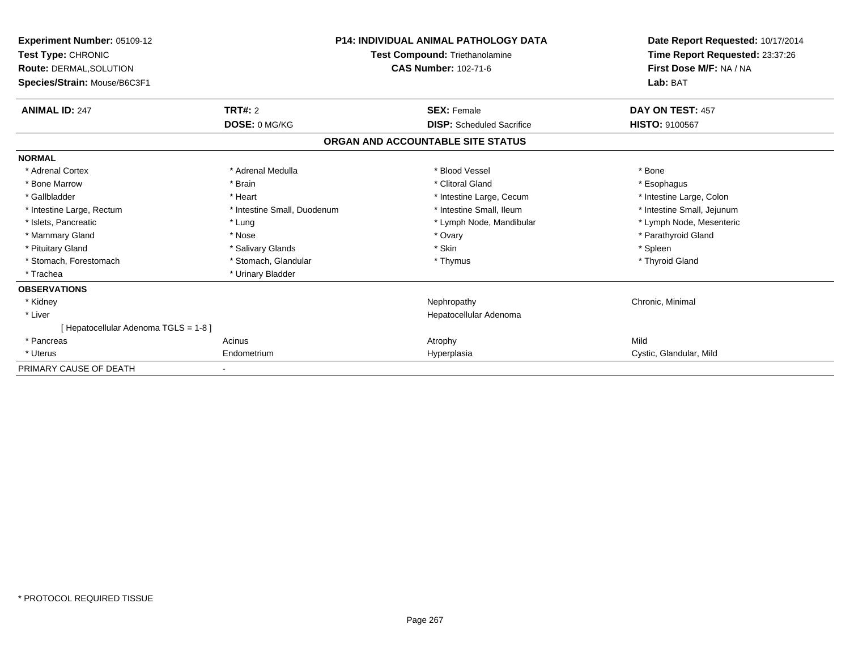| Experiment Number: 05109-12<br>Test Type: CHRONIC<br><b>Route: DERMAL, SOLUTION</b><br>Species/Strain: Mouse/B6C3F1 | <b>P14: INDIVIDUAL ANIMAL PATHOLOGY DATA</b><br>Test Compound: Triethanolamine<br><b>CAS Number: 102-71-6</b> |                                   | Date Report Requested: 10/17/2014<br>Time Report Requested: 23:37:26<br>First Dose M/F: NA / NA<br>Lab: BAT |
|---------------------------------------------------------------------------------------------------------------------|---------------------------------------------------------------------------------------------------------------|-----------------------------------|-------------------------------------------------------------------------------------------------------------|
| <b>ANIMAL ID: 247</b>                                                                                               | TRT#: 2                                                                                                       | <b>SEX: Female</b>                | DAY ON TEST: 457                                                                                            |
|                                                                                                                     | DOSE: 0 MG/KG                                                                                                 | <b>DISP:</b> Scheduled Sacrifice  | HISTO: 9100567                                                                                              |
|                                                                                                                     |                                                                                                               | ORGAN AND ACCOUNTABLE SITE STATUS |                                                                                                             |
| <b>NORMAL</b>                                                                                                       |                                                                                                               |                                   |                                                                                                             |
| * Adrenal Cortex                                                                                                    | * Adrenal Medulla                                                                                             | * Blood Vessel                    | * Bone                                                                                                      |
| * Bone Marrow                                                                                                       | * Brain                                                                                                       | * Clitoral Gland                  | * Esophagus                                                                                                 |
| * Gallbladder                                                                                                       | * Heart                                                                                                       | * Intestine Large, Cecum          | * Intestine Large, Colon                                                                                    |
| * Intestine Large, Rectum                                                                                           | * Intestine Small, Duodenum                                                                                   | * Intestine Small, Ileum          | * Intestine Small, Jejunum                                                                                  |
| * Islets, Pancreatic                                                                                                | * Lung                                                                                                        | * Lymph Node, Mandibular          | * Lymph Node, Mesenteric                                                                                    |
| * Mammary Gland                                                                                                     | * Nose                                                                                                        | * Ovary                           | * Parathyroid Gland                                                                                         |
| * Pituitary Gland                                                                                                   | * Salivary Glands                                                                                             | * Skin                            | * Spleen                                                                                                    |
| * Stomach, Forestomach                                                                                              | * Stomach, Glandular                                                                                          | * Thymus                          | * Thyroid Gland                                                                                             |
| * Trachea                                                                                                           | * Urinary Bladder                                                                                             |                                   |                                                                                                             |
| <b>OBSERVATIONS</b>                                                                                                 |                                                                                                               |                                   |                                                                                                             |
| * Kidney                                                                                                            |                                                                                                               | Nephropathy                       | Chronic, Minimal                                                                                            |
| * Liver                                                                                                             |                                                                                                               | Hepatocellular Adenoma            |                                                                                                             |
| [Hepatocellular Adenoma TGLS = 1-8]                                                                                 |                                                                                                               |                                   |                                                                                                             |
| * Pancreas                                                                                                          | Acinus                                                                                                        | Atrophy                           | Mild                                                                                                        |
| * Uterus                                                                                                            | Endometrium                                                                                                   | Hyperplasia                       | Cystic, Glandular, Mild                                                                                     |
| PRIMARY CAUSE OF DEATH                                                                                              |                                                                                                               |                                   |                                                                                                             |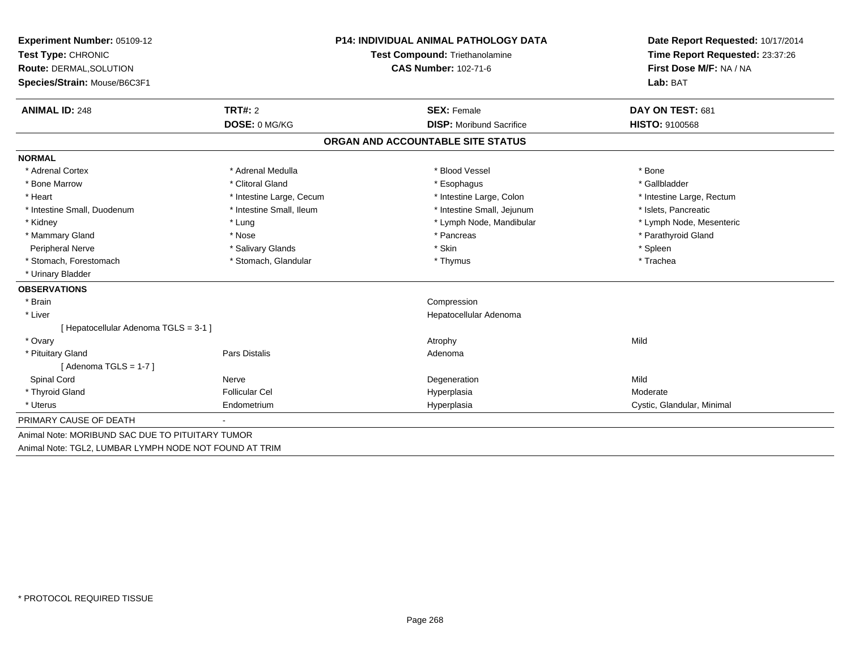| Experiment Number: 05109-12                            |                          | <b>P14: INDIVIDUAL ANIMAL PATHOLOGY DATA</b> | Date Report Requested: 10/17/2014                          |
|--------------------------------------------------------|--------------------------|----------------------------------------------|------------------------------------------------------------|
| Test Type: CHRONIC                                     |                          | Test Compound: Triethanolamine               | Time Report Requested: 23:37:26<br>First Dose M/F: NA / NA |
| Route: DERMAL, SOLUTION                                |                          | <b>CAS Number: 102-71-6</b>                  |                                                            |
| Species/Strain: Mouse/B6C3F1                           |                          |                                              | Lab: BAT                                                   |
| <b>ANIMAL ID: 248</b>                                  | <b>TRT#: 2</b>           | <b>SEX: Female</b>                           | DAY ON TEST: 681                                           |
|                                                        | DOSE: 0 MG/KG            | <b>DISP:</b> Moribund Sacrifice              | <b>HISTO: 9100568</b>                                      |
|                                                        |                          | ORGAN AND ACCOUNTABLE SITE STATUS            |                                                            |
| <b>NORMAL</b>                                          |                          |                                              |                                                            |
| * Adrenal Cortex                                       | * Adrenal Medulla        | * Blood Vessel                               | * Bone                                                     |
| * Bone Marrow                                          | * Clitoral Gland         | * Esophagus                                  | * Gallbladder                                              |
| * Heart                                                | * Intestine Large, Cecum | * Intestine Large, Colon                     | * Intestine Large, Rectum                                  |
| * Intestine Small, Duodenum                            | * Intestine Small, Ileum | * Intestine Small, Jejunum                   | * Islets, Pancreatic                                       |
| * Kidney                                               | * Lung                   | * Lymph Node, Mandibular                     | * Lymph Node, Mesenteric                                   |
| * Mammary Gland                                        | * Nose                   | * Pancreas                                   | * Parathyroid Gland                                        |
| Peripheral Nerve                                       | * Salivary Glands        | * Skin                                       | * Spleen                                                   |
| * Stomach, Forestomach                                 | * Stomach, Glandular     | * Thymus                                     | * Trachea                                                  |
| * Urinary Bladder                                      |                          |                                              |                                                            |
| <b>OBSERVATIONS</b>                                    |                          |                                              |                                                            |
| * Brain                                                |                          | Compression                                  |                                                            |
| * Liver                                                |                          | Hepatocellular Adenoma                       |                                                            |
| [Hepatocellular Adenoma TGLS = 3-1]                    |                          |                                              |                                                            |
| * Ovary                                                |                          | Atrophy                                      | Mild                                                       |
| * Pituitary Gland                                      | <b>Pars Distalis</b>     | Adenoma                                      |                                                            |
| [Adenoma TGLS = $1-7$ ]                                |                          |                                              |                                                            |
| Spinal Cord                                            | Nerve                    | Degeneration                                 | Mild                                                       |
| * Thyroid Gland                                        | <b>Follicular Cel</b>    | Hyperplasia                                  | Moderate                                                   |
| * Uterus                                               | Endometrium              | Hyperplasia                                  | Cystic, Glandular, Minimal                                 |
| PRIMARY CAUSE OF DEATH                                 |                          |                                              |                                                            |
| Animal Note: MORIBUND SAC DUE TO PITUITARY TUMOR       |                          |                                              |                                                            |
| Animal Note: TGL2, LUMBAR LYMPH NODE NOT FOUND AT TRIM |                          |                                              |                                                            |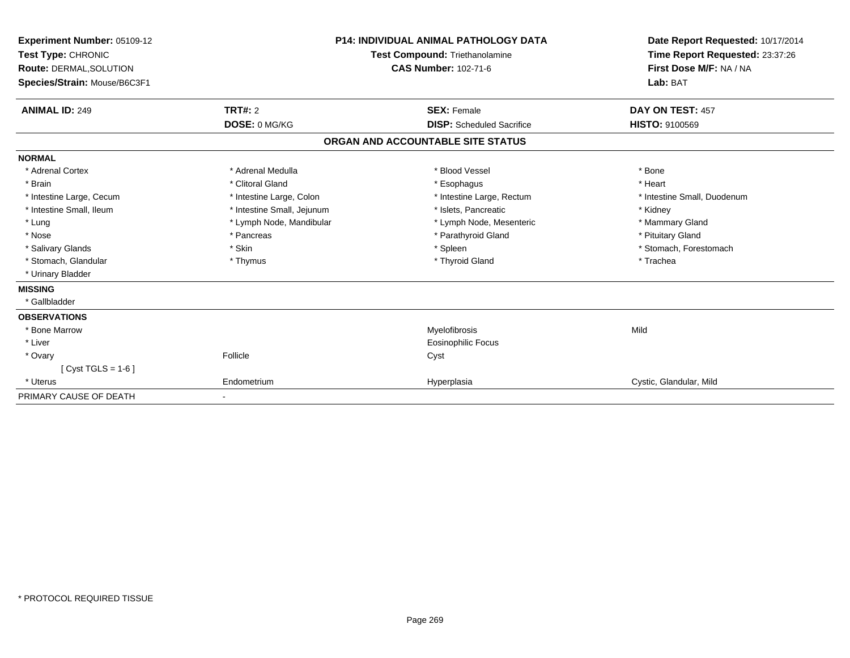| Experiment Number: 05109-12<br><b>Test Type: CHRONIC</b><br><b>Route: DERMAL, SOLUTION</b><br>Species/Strain: Mouse/B6C3F1 |                            | <b>P14: INDIVIDUAL ANIMAL PATHOLOGY DATA</b><br>Test Compound: Triethanolamine<br><b>CAS Number: 102-71-6</b> | Date Report Requested: 10/17/2014<br>Time Report Requested: 23:37:26<br>First Dose M/F: NA / NA<br>Lab: BAT |
|----------------------------------------------------------------------------------------------------------------------------|----------------------------|---------------------------------------------------------------------------------------------------------------|-------------------------------------------------------------------------------------------------------------|
| <b>ANIMAL ID: 249</b>                                                                                                      | <b>TRT#: 2</b>             | <b>SEX: Female</b>                                                                                            | DAY ON TEST: 457                                                                                            |
|                                                                                                                            | DOSE: 0 MG/KG              | <b>DISP:</b> Scheduled Sacrifice                                                                              | <b>HISTO: 9100569</b>                                                                                       |
|                                                                                                                            |                            | ORGAN AND ACCOUNTABLE SITE STATUS                                                                             |                                                                                                             |
| <b>NORMAL</b>                                                                                                              |                            |                                                                                                               |                                                                                                             |
| * Adrenal Cortex                                                                                                           | * Adrenal Medulla          | * Blood Vessel                                                                                                | * Bone                                                                                                      |
| * Brain                                                                                                                    | * Clitoral Gland           | * Esophagus                                                                                                   | * Heart                                                                                                     |
| * Intestine Large, Cecum                                                                                                   | * Intestine Large, Colon   | * Intestine Large, Rectum                                                                                     | * Intestine Small, Duodenum                                                                                 |
| * Intestine Small, Ileum                                                                                                   | * Intestine Small, Jejunum | * Islets, Pancreatic                                                                                          | * Kidney                                                                                                    |
| * Lung                                                                                                                     | * Lymph Node, Mandibular   | * Lymph Node, Mesenteric                                                                                      | * Mammary Gland                                                                                             |
| * Nose                                                                                                                     | * Pancreas                 | * Parathyroid Gland                                                                                           | * Pituitary Gland                                                                                           |
| * Salivary Glands                                                                                                          | * Skin                     | * Spleen                                                                                                      | * Stomach, Forestomach                                                                                      |
| * Stomach, Glandular                                                                                                       | * Thymus                   | * Thyroid Gland                                                                                               | * Trachea                                                                                                   |
| * Urinary Bladder                                                                                                          |                            |                                                                                                               |                                                                                                             |
| <b>MISSING</b>                                                                                                             |                            |                                                                                                               |                                                                                                             |
| * Gallbladder                                                                                                              |                            |                                                                                                               |                                                                                                             |
| <b>OBSERVATIONS</b>                                                                                                        |                            |                                                                                                               |                                                                                                             |
| * Bone Marrow                                                                                                              |                            | Myelofibrosis                                                                                                 | Mild                                                                                                        |
| * Liver                                                                                                                    |                            | <b>Eosinophilic Focus</b>                                                                                     |                                                                                                             |
| * Ovary                                                                                                                    | Follicle                   | Cyst                                                                                                          |                                                                                                             |
| [ $Cyst TGLS = 1-6$ ]                                                                                                      |                            |                                                                                                               |                                                                                                             |
| * Uterus                                                                                                                   | Endometrium                | Hyperplasia                                                                                                   | Cystic, Glandular, Mild                                                                                     |
| PRIMARY CAUSE OF DEATH                                                                                                     |                            |                                                                                                               |                                                                                                             |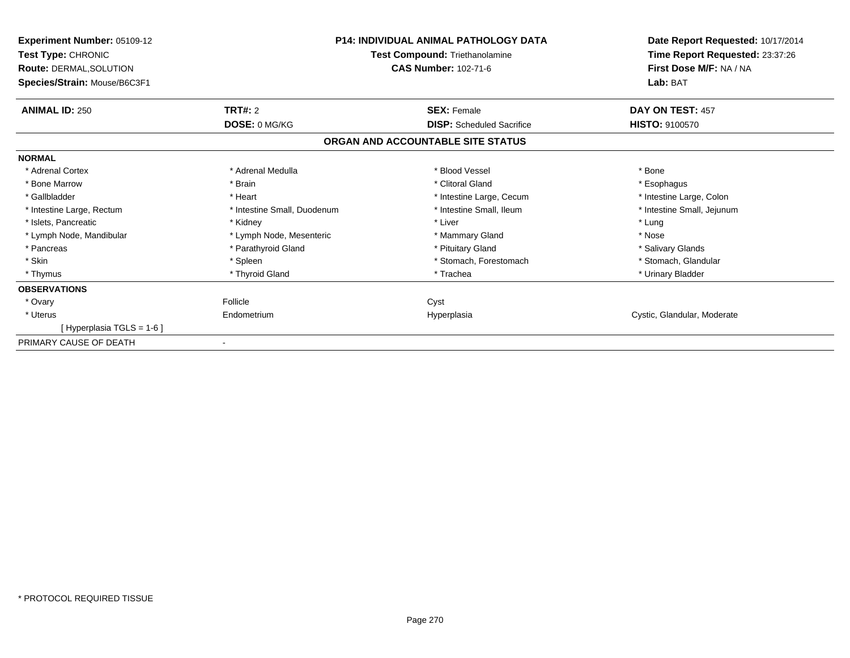| <b>Experiment Number: 05109-12</b><br>Test Type: CHRONIC<br><b>Route: DERMAL, SOLUTION</b><br>Species/Strain: Mouse/B6C3F1 | <b>P14: INDIVIDUAL ANIMAL PATHOLOGY DATA</b><br>Test Compound: Triethanolamine<br><b>CAS Number: 102-71-6</b> |                                   | Date Report Requested: 10/17/2014<br>Time Report Requested: 23:37:26<br>First Dose M/F: NA / NA<br>Lab: BAT |
|----------------------------------------------------------------------------------------------------------------------------|---------------------------------------------------------------------------------------------------------------|-----------------------------------|-------------------------------------------------------------------------------------------------------------|
| <b>ANIMAL ID: 250</b>                                                                                                      | <b>TRT#: 2</b>                                                                                                | <b>SEX: Female</b>                | DAY ON TEST: 457                                                                                            |
|                                                                                                                            | DOSE: 0 MG/KG                                                                                                 | <b>DISP:</b> Scheduled Sacrifice  | <b>HISTO: 9100570</b>                                                                                       |
|                                                                                                                            |                                                                                                               | ORGAN AND ACCOUNTABLE SITE STATUS |                                                                                                             |
| <b>NORMAL</b>                                                                                                              |                                                                                                               |                                   |                                                                                                             |
| * Adrenal Cortex                                                                                                           | * Adrenal Medulla                                                                                             | * Blood Vessel                    | * Bone                                                                                                      |
| * Bone Marrow                                                                                                              | * Brain                                                                                                       | * Clitoral Gland                  | * Esophagus                                                                                                 |
| * Gallbladder                                                                                                              | * Heart                                                                                                       | * Intestine Large, Cecum          | * Intestine Large, Colon                                                                                    |
| * Intestine Large, Rectum                                                                                                  | * Intestine Small, Duodenum                                                                                   | * Intestine Small, Ileum          | * Intestine Small, Jejunum                                                                                  |
| * Islets, Pancreatic                                                                                                       | * Kidney                                                                                                      | * Liver                           | * Lung                                                                                                      |
| * Lymph Node, Mandibular                                                                                                   | * Lymph Node, Mesenteric                                                                                      | * Mammary Gland                   | * Nose                                                                                                      |
| * Pancreas                                                                                                                 | * Parathyroid Gland                                                                                           | * Pituitary Gland                 | * Salivary Glands                                                                                           |
| * Skin                                                                                                                     | * Spleen                                                                                                      | * Stomach, Forestomach            | * Stomach, Glandular                                                                                        |
| * Thymus                                                                                                                   | * Thyroid Gland                                                                                               | * Trachea                         | * Urinary Bladder                                                                                           |
| <b>OBSERVATIONS</b>                                                                                                        |                                                                                                               |                                   |                                                                                                             |
| * Ovary                                                                                                                    | Follicle                                                                                                      | Cyst                              |                                                                                                             |
| * Uterus                                                                                                                   | Endometrium                                                                                                   | Hyperplasia                       | Cystic, Glandular, Moderate                                                                                 |
| Hyperplasia TGLS = 1-6 ]                                                                                                   |                                                                                                               |                                   |                                                                                                             |
| PRIMARY CAUSE OF DEATH                                                                                                     |                                                                                                               |                                   |                                                                                                             |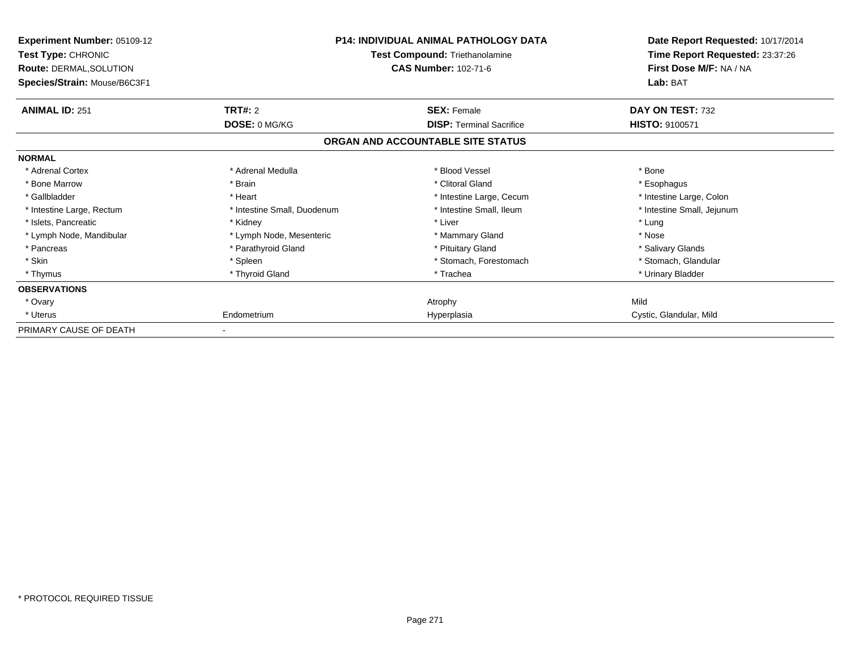| Experiment Number: 05109-12<br><b>Test Type: CHRONIC</b><br><b>Route: DERMAL, SOLUTION</b><br>Species/Strain: Mouse/B6C3F1 | <b>P14: INDIVIDUAL ANIMAL PATHOLOGY DATA</b><br>Test Compound: Triethanolamine<br><b>CAS Number: 102-71-6</b> |                                   | Date Report Requested: 10/17/2014<br>Time Report Requested: 23:37:26<br>First Dose M/F: NA / NA<br>Lab: BAT |
|----------------------------------------------------------------------------------------------------------------------------|---------------------------------------------------------------------------------------------------------------|-----------------------------------|-------------------------------------------------------------------------------------------------------------|
| <b>ANIMAL ID: 251</b>                                                                                                      | TRT#: 2                                                                                                       | <b>SEX: Female</b>                | DAY ON TEST: 732                                                                                            |
|                                                                                                                            | <b>DOSE: 0 MG/KG</b>                                                                                          | <b>DISP: Terminal Sacrifice</b>   | <b>HISTO: 9100571</b>                                                                                       |
|                                                                                                                            |                                                                                                               | ORGAN AND ACCOUNTABLE SITE STATUS |                                                                                                             |
| <b>NORMAL</b>                                                                                                              |                                                                                                               |                                   |                                                                                                             |
| * Adrenal Cortex                                                                                                           | * Adrenal Medulla                                                                                             | * Blood Vessel                    | * Bone                                                                                                      |
| * Bone Marrow                                                                                                              | * Brain                                                                                                       | * Clitoral Gland                  | * Esophagus                                                                                                 |
| * Gallbladder                                                                                                              | * Heart                                                                                                       | * Intestine Large, Cecum          | * Intestine Large, Colon                                                                                    |
| * Intestine Large, Rectum                                                                                                  | * Intestine Small, Duodenum                                                                                   | * Intestine Small, Ileum          | * Intestine Small, Jejunum                                                                                  |
| * Islets, Pancreatic                                                                                                       | * Kidney                                                                                                      | * Liver                           | * Lung                                                                                                      |
| * Lymph Node, Mandibular                                                                                                   | * Lymph Node, Mesenteric                                                                                      | * Mammary Gland                   | * Nose                                                                                                      |
| * Pancreas                                                                                                                 | * Parathyroid Gland                                                                                           | * Pituitary Gland                 | * Salivary Glands                                                                                           |
| * Skin                                                                                                                     | * Spleen                                                                                                      | * Stomach, Forestomach            | * Stomach, Glandular                                                                                        |
| * Thymus                                                                                                                   | * Thyroid Gland                                                                                               | * Trachea                         | * Urinary Bladder                                                                                           |
| <b>OBSERVATIONS</b>                                                                                                        |                                                                                                               |                                   |                                                                                                             |
| * Ovary                                                                                                                    |                                                                                                               | Atrophy                           | Mild                                                                                                        |
| * Uterus                                                                                                                   | Endometrium                                                                                                   | Hyperplasia                       | Cystic, Glandular, Mild                                                                                     |
| PRIMARY CAUSE OF DEATH                                                                                                     |                                                                                                               |                                   |                                                                                                             |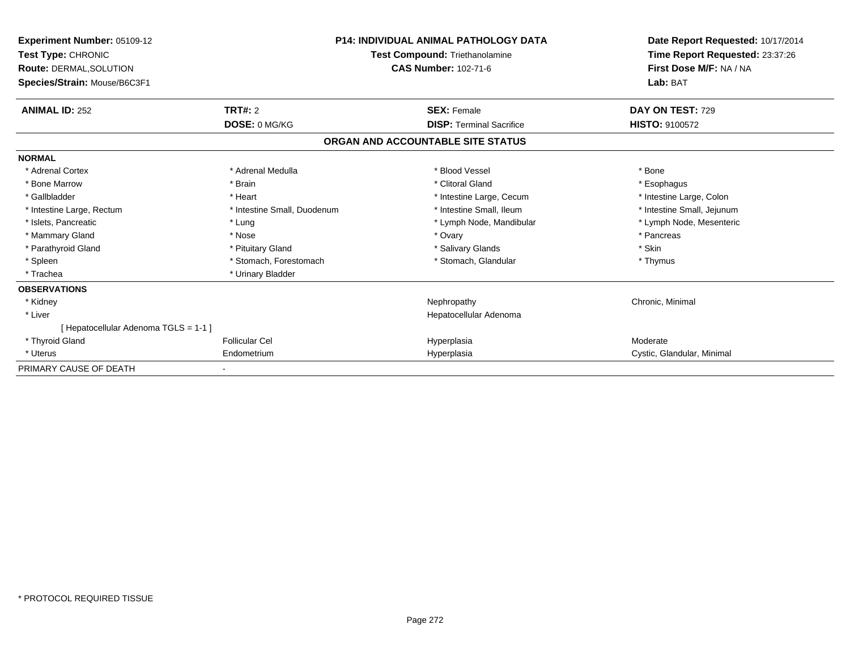| Experiment Number: 05109-12<br>Test Type: CHRONIC<br><b>Route: DERMAL, SOLUTION</b><br>Species/Strain: Mouse/B6C3F1 | <b>P14: INDIVIDUAL ANIMAL PATHOLOGY DATA</b><br><b>Test Compound: Triethanolamine</b><br><b>CAS Number: 102-71-6</b> |                                   | Date Report Requested: 10/17/2014<br>Time Report Requested: 23:37:26<br>First Dose M/F: NA / NA<br>Lab: BAT |
|---------------------------------------------------------------------------------------------------------------------|----------------------------------------------------------------------------------------------------------------------|-----------------------------------|-------------------------------------------------------------------------------------------------------------|
| <b>ANIMAL ID: 252</b>                                                                                               | <b>TRT#: 2</b>                                                                                                       | <b>SEX: Female</b>                | DAY ON TEST: 729                                                                                            |
|                                                                                                                     | DOSE: 0 MG/KG                                                                                                        | <b>DISP: Terminal Sacrifice</b>   | <b>HISTO: 9100572</b>                                                                                       |
|                                                                                                                     |                                                                                                                      | ORGAN AND ACCOUNTABLE SITE STATUS |                                                                                                             |
| <b>NORMAL</b>                                                                                                       |                                                                                                                      |                                   |                                                                                                             |
| * Adrenal Cortex                                                                                                    | * Adrenal Medulla                                                                                                    | * Blood Vessel                    | * Bone                                                                                                      |
| * Bone Marrow                                                                                                       | * Brain                                                                                                              | * Clitoral Gland                  | * Esophagus                                                                                                 |
| * Gallbladder                                                                                                       | * Heart                                                                                                              | * Intestine Large, Cecum          | * Intestine Large, Colon                                                                                    |
| * Intestine Large, Rectum                                                                                           | * Intestine Small, Duodenum                                                                                          | * Intestine Small, Ileum          | * Intestine Small, Jejunum                                                                                  |
| * Islets, Pancreatic                                                                                                | * Lung                                                                                                               | * Lymph Node, Mandibular          | * Lymph Node, Mesenteric                                                                                    |
| * Mammary Gland                                                                                                     | * Nose                                                                                                               | * Ovary                           | * Pancreas                                                                                                  |
| * Parathyroid Gland                                                                                                 | * Pituitary Gland                                                                                                    | * Salivary Glands                 | * Skin                                                                                                      |
| * Spleen                                                                                                            | * Stomach, Forestomach                                                                                               | * Stomach, Glandular              | * Thymus                                                                                                    |
| * Trachea                                                                                                           | * Urinary Bladder                                                                                                    |                                   |                                                                                                             |
| <b>OBSERVATIONS</b>                                                                                                 |                                                                                                                      |                                   |                                                                                                             |
| * Kidney                                                                                                            |                                                                                                                      | Nephropathy                       | Chronic, Minimal                                                                                            |
| * Liver                                                                                                             |                                                                                                                      | Hepatocellular Adenoma            |                                                                                                             |
| [Hepatocellular Adenoma TGLS = 1-1]                                                                                 |                                                                                                                      |                                   |                                                                                                             |
| * Thyroid Gland                                                                                                     | <b>Follicular Cel</b>                                                                                                | Hyperplasia                       | Moderate                                                                                                    |
| * Uterus                                                                                                            | Endometrium                                                                                                          | Hyperplasia                       | Cystic, Glandular, Minimal                                                                                  |
| PRIMARY CAUSE OF DEATH                                                                                              |                                                                                                                      |                                   |                                                                                                             |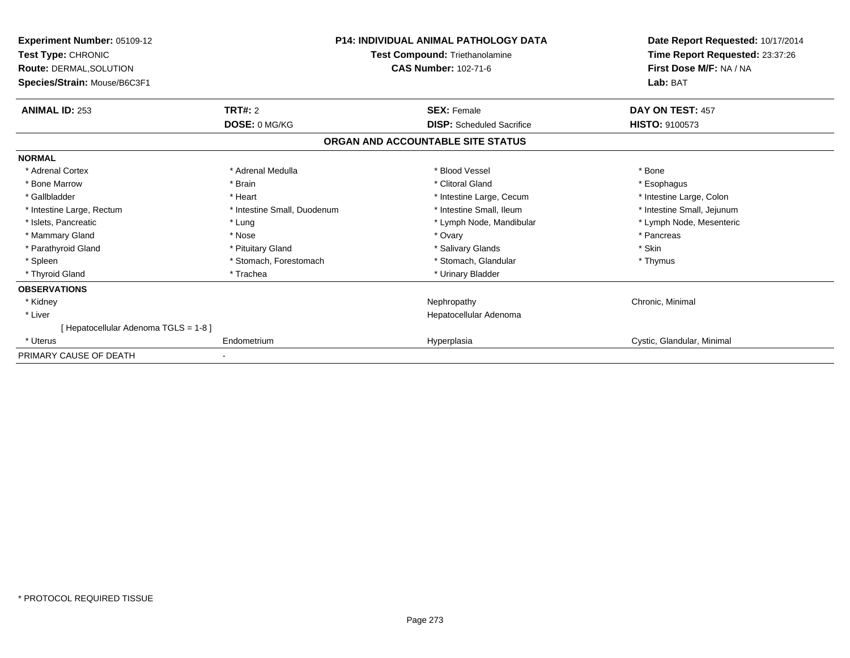| Experiment Number: 05109-12<br>Test Type: CHRONIC<br>Route: DERMAL, SOLUTION<br>Species/Strain: Mouse/B6C3F1 | <b>P14: INDIVIDUAL ANIMAL PATHOLOGY DATA</b><br>Test Compound: Triethanolamine<br>CAS Number: 102-71-6 |                                   | Date Report Requested: 10/17/2014<br>Time Report Requested: 23:37:26<br>First Dose M/F: NA / NA<br>Lab: BAT |
|--------------------------------------------------------------------------------------------------------------|--------------------------------------------------------------------------------------------------------|-----------------------------------|-------------------------------------------------------------------------------------------------------------|
| <b>ANIMAL ID: 253</b>                                                                                        | TRT#: 2                                                                                                | <b>SEX: Female</b>                | DAY ON TEST: 457                                                                                            |
|                                                                                                              | DOSE: 0 MG/KG                                                                                          | <b>DISP:</b> Scheduled Sacrifice  | <b>HISTO: 9100573</b>                                                                                       |
|                                                                                                              |                                                                                                        | ORGAN AND ACCOUNTABLE SITE STATUS |                                                                                                             |
| <b>NORMAL</b>                                                                                                |                                                                                                        |                                   |                                                                                                             |
| * Adrenal Cortex                                                                                             | * Adrenal Medulla                                                                                      | * Blood Vessel                    | * Bone                                                                                                      |
| * Bone Marrow                                                                                                | * Brain                                                                                                | * Clitoral Gland                  | * Esophagus                                                                                                 |
| * Gallbladder                                                                                                | * Heart                                                                                                | * Intestine Large, Cecum          | * Intestine Large, Colon                                                                                    |
| * Intestine Large, Rectum                                                                                    | * Intestine Small, Duodenum                                                                            | * Intestine Small. Ileum          | * Intestine Small, Jejunum                                                                                  |
| * Islets, Pancreatic                                                                                         | * Lung                                                                                                 | * Lymph Node, Mandibular          | * Lymph Node, Mesenteric                                                                                    |
| * Mammary Gland                                                                                              | * Nose                                                                                                 | * Ovary                           | * Pancreas                                                                                                  |
| * Parathyroid Gland                                                                                          | * Pituitary Gland                                                                                      | * Salivary Glands                 | * Skin                                                                                                      |
| * Spleen                                                                                                     | * Stomach, Forestomach                                                                                 | * Stomach, Glandular              | * Thymus                                                                                                    |
| * Thyroid Gland                                                                                              | * Trachea                                                                                              | * Urinary Bladder                 |                                                                                                             |
| <b>OBSERVATIONS</b>                                                                                          |                                                                                                        |                                   |                                                                                                             |
| * Kidney                                                                                                     |                                                                                                        | Nephropathy                       | Chronic, Minimal                                                                                            |
| * Liver                                                                                                      |                                                                                                        | Hepatocellular Adenoma            |                                                                                                             |
| [Hepatocellular Adenoma TGLS = 1-8]                                                                          |                                                                                                        |                                   |                                                                                                             |
| * Uterus                                                                                                     | Endometrium                                                                                            | Hyperplasia                       | Cystic, Glandular, Minimal                                                                                  |
| PRIMARY CAUSE OF DEATH                                                                                       |                                                                                                        |                                   |                                                                                                             |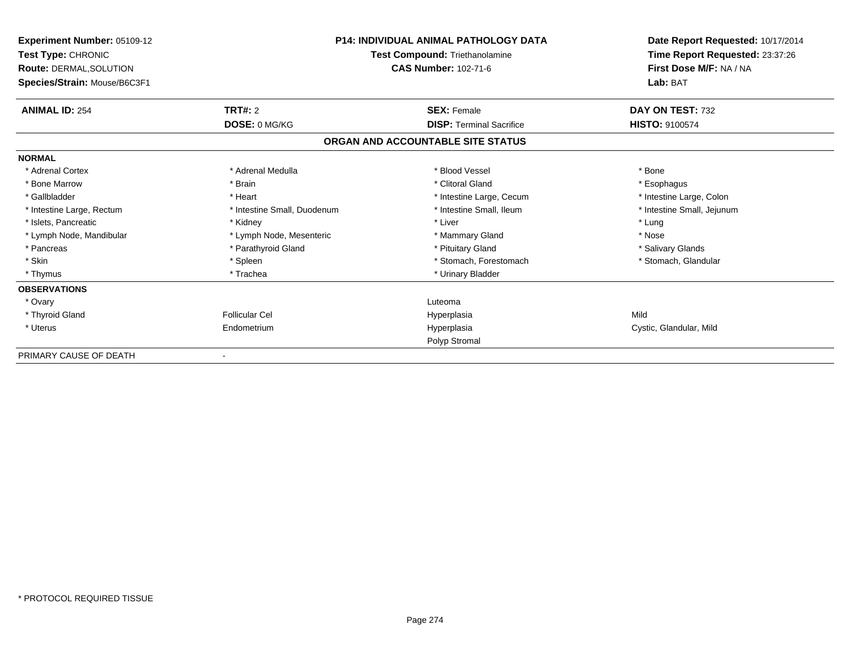| Experiment Number: 05109-12<br>Test Type: CHRONIC<br><b>Route: DERMAL, SOLUTION</b><br>Species/Strain: Mouse/B6C3F1 | <b>P14: INDIVIDUAL ANIMAL PATHOLOGY DATA</b><br>Test Compound: Triethanolamine<br><b>CAS Number: 102-71-6</b> |                                   | Date Report Requested: 10/17/2014<br>Time Report Requested: 23:37:26<br>First Dose M/F: NA / NA<br>Lab: BAT |
|---------------------------------------------------------------------------------------------------------------------|---------------------------------------------------------------------------------------------------------------|-----------------------------------|-------------------------------------------------------------------------------------------------------------|
| <b>ANIMAL ID: 254</b>                                                                                               | TRT#: 2                                                                                                       | <b>SEX: Female</b>                | DAY ON TEST: 732                                                                                            |
|                                                                                                                     | <b>DOSE: 0 MG/KG</b>                                                                                          | <b>DISP:</b> Terminal Sacrifice   | <b>HISTO: 9100574</b>                                                                                       |
|                                                                                                                     |                                                                                                               | ORGAN AND ACCOUNTABLE SITE STATUS |                                                                                                             |
| <b>NORMAL</b>                                                                                                       |                                                                                                               |                                   |                                                                                                             |
| * Adrenal Cortex                                                                                                    | * Adrenal Medulla                                                                                             | * Blood Vessel                    | * Bone                                                                                                      |
| * Bone Marrow                                                                                                       | * Brain                                                                                                       | * Clitoral Gland                  | * Esophagus                                                                                                 |
| * Gallbladder                                                                                                       | * Heart                                                                                                       | * Intestine Large, Cecum          | * Intestine Large, Colon                                                                                    |
| * Intestine Large, Rectum                                                                                           | * Intestine Small, Duodenum                                                                                   | * Intestine Small. Ileum          | * Intestine Small, Jejunum                                                                                  |
| * Islets, Pancreatic                                                                                                | * Kidney                                                                                                      | * Liver                           | * Lung                                                                                                      |
| * Lymph Node, Mandibular                                                                                            | * Lymph Node, Mesenteric                                                                                      | * Mammary Gland                   | * Nose                                                                                                      |
| * Pancreas                                                                                                          | * Parathyroid Gland                                                                                           | * Pituitary Gland                 | * Salivary Glands                                                                                           |
| * Skin                                                                                                              | * Spleen                                                                                                      | * Stomach, Forestomach            | * Stomach, Glandular                                                                                        |
| * Thymus                                                                                                            | * Trachea                                                                                                     | * Urinary Bladder                 |                                                                                                             |
| <b>OBSERVATIONS</b>                                                                                                 |                                                                                                               |                                   |                                                                                                             |
| * Ovary                                                                                                             |                                                                                                               | Luteoma                           |                                                                                                             |
| * Thyroid Gland                                                                                                     | <b>Follicular Cel</b>                                                                                         | Hyperplasia                       | Mild                                                                                                        |
| * Uterus                                                                                                            | Endometrium                                                                                                   | Hyperplasia                       | Cystic, Glandular, Mild                                                                                     |
|                                                                                                                     |                                                                                                               | Polyp Stromal                     |                                                                                                             |
| PRIMARY CAUSE OF DEATH                                                                                              |                                                                                                               |                                   |                                                                                                             |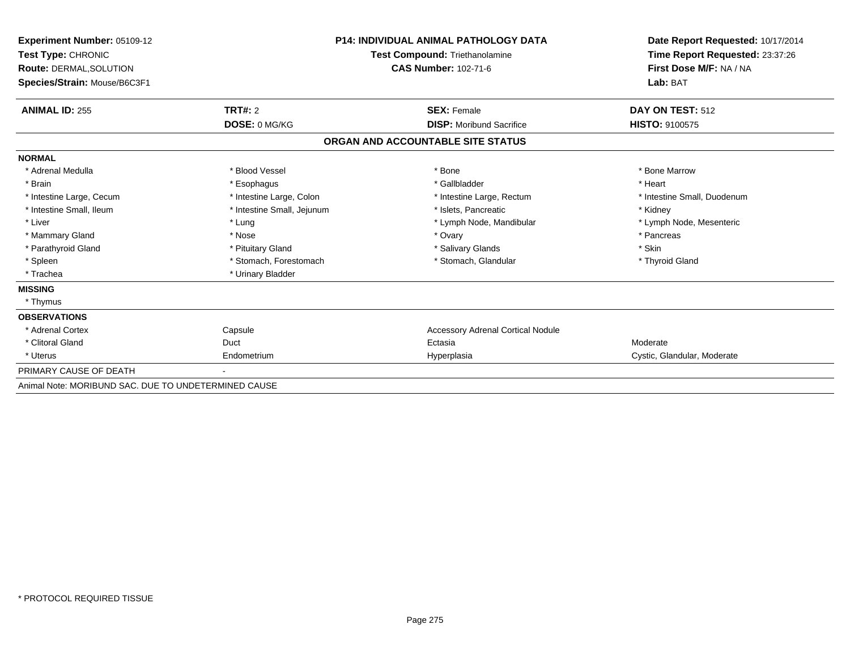| Experiment Number: 05109-12<br>Test Type: CHRONIC<br>Route: DERMAL, SOLUTION<br>Species/Strain: Mouse/B6C3F1 | <b>P14: INDIVIDUAL ANIMAL PATHOLOGY DATA</b><br><b>Test Compound: Triethanolamine</b><br><b>CAS Number: 102-71-6</b> |                                          | Date Report Requested: 10/17/2014<br>Time Report Requested: 23:37:26<br>First Dose M/F: NA / NA<br>Lab: BAT |
|--------------------------------------------------------------------------------------------------------------|----------------------------------------------------------------------------------------------------------------------|------------------------------------------|-------------------------------------------------------------------------------------------------------------|
| <b>ANIMAL ID: 255</b>                                                                                        | <b>TRT#: 2</b>                                                                                                       | <b>SEX: Female</b>                       | DAY ON TEST: 512                                                                                            |
|                                                                                                              | DOSE: 0 MG/KG                                                                                                        | <b>DISP:</b> Moribund Sacrifice          | HISTO: 9100575                                                                                              |
|                                                                                                              |                                                                                                                      | ORGAN AND ACCOUNTABLE SITE STATUS        |                                                                                                             |
| <b>NORMAL</b>                                                                                                |                                                                                                                      |                                          |                                                                                                             |
| * Adrenal Medulla                                                                                            | * Blood Vessel                                                                                                       | * Bone                                   | * Bone Marrow                                                                                               |
| * Brain                                                                                                      | * Esophagus                                                                                                          | * Gallbladder                            | * Heart                                                                                                     |
| * Intestine Large, Cecum                                                                                     | * Intestine Large, Colon                                                                                             | * Intestine Large, Rectum                | * Intestine Small, Duodenum                                                                                 |
| * Intestine Small, Ileum                                                                                     | * Intestine Small, Jejunum                                                                                           | * Islets, Pancreatic                     | * Kidney                                                                                                    |
| * Liver                                                                                                      | * Lung                                                                                                               | * Lymph Node, Mandibular                 | * Lymph Node, Mesenteric                                                                                    |
| * Mammary Gland                                                                                              | * Nose                                                                                                               | * Ovary                                  | * Pancreas                                                                                                  |
| * Parathyroid Gland                                                                                          | * Pituitary Gland                                                                                                    | * Salivary Glands                        | * Skin                                                                                                      |
| * Spleen                                                                                                     | * Stomach, Forestomach                                                                                               | * Stomach, Glandular                     | * Thyroid Gland                                                                                             |
| * Trachea                                                                                                    | * Urinary Bladder                                                                                                    |                                          |                                                                                                             |
| <b>MISSING</b>                                                                                               |                                                                                                                      |                                          |                                                                                                             |
| * Thymus                                                                                                     |                                                                                                                      |                                          |                                                                                                             |
| <b>OBSERVATIONS</b>                                                                                          |                                                                                                                      |                                          |                                                                                                             |
| * Adrenal Cortex                                                                                             | Capsule                                                                                                              | <b>Accessory Adrenal Cortical Nodule</b> |                                                                                                             |
| * Clitoral Gland                                                                                             | Duct                                                                                                                 | Ectasia                                  | Moderate                                                                                                    |
| * Uterus                                                                                                     | Endometrium                                                                                                          | Hyperplasia                              | Cystic, Glandular, Moderate                                                                                 |
| PRIMARY CAUSE OF DEATH                                                                                       |                                                                                                                      |                                          |                                                                                                             |
| Animal Note: MORIBUND SAC. DUE TO UNDETERMINED CAUSE                                                         |                                                                                                                      |                                          |                                                                                                             |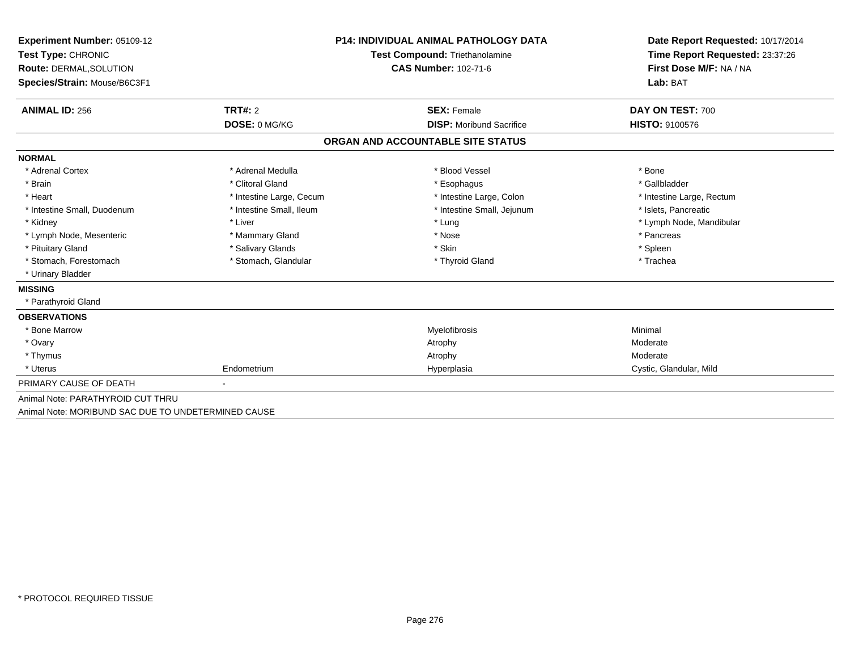| Experiment Number: 05109-12                         | <b>P14: INDIVIDUAL ANIMAL PATHOLOGY DATA</b> |                                   | Date Report Requested: 10/17/2014                                      |  |
|-----------------------------------------------------|----------------------------------------------|-----------------------------------|------------------------------------------------------------------------|--|
| Test Type: CHRONIC                                  |                                              | Test Compound: Triethanolamine    | Time Report Requested: 23:37:26<br>First Dose M/F: NA / NA<br>Lab: BAT |  |
| <b>Route: DERMAL, SOLUTION</b>                      |                                              | <b>CAS Number: 102-71-6</b>       |                                                                        |  |
| Species/Strain: Mouse/B6C3F1                        |                                              |                                   |                                                                        |  |
| <b>ANIMAL ID: 256</b>                               | <b>TRT#: 2</b>                               | <b>SEX: Female</b>                | DAY ON TEST: 700                                                       |  |
|                                                     | DOSE: 0 MG/KG                                | <b>DISP:</b> Moribund Sacrifice   | <b>HISTO: 9100576</b>                                                  |  |
|                                                     |                                              | ORGAN AND ACCOUNTABLE SITE STATUS |                                                                        |  |
| <b>NORMAL</b>                                       |                                              |                                   |                                                                        |  |
| * Adrenal Cortex                                    | * Adrenal Medulla                            | * Blood Vessel                    | * Bone                                                                 |  |
| * Brain                                             | * Clitoral Gland                             | * Esophagus                       | * Gallbladder                                                          |  |
| * Heart                                             | * Intestine Large, Cecum                     | * Intestine Large, Colon          | * Intestine Large, Rectum                                              |  |
| * Intestine Small, Duodenum                         | * Intestine Small, Ileum                     | * Intestine Small, Jejunum        | * Islets, Pancreatic                                                   |  |
| * Kidney                                            | * Liver                                      | * Lung                            | * Lymph Node, Mandibular                                               |  |
| * Lymph Node, Mesenteric                            | * Mammary Gland                              | * Nose                            | * Pancreas                                                             |  |
| * Pituitary Gland                                   | * Salivary Glands                            | * Skin                            | * Spleen                                                               |  |
| * Stomach, Forestomach                              | * Stomach, Glandular                         | * Thyroid Gland                   | * Trachea                                                              |  |
| * Urinary Bladder                                   |                                              |                                   |                                                                        |  |
| <b>MISSING</b>                                      |                                              |                                   |                                                                        |  |
| * Parathyroid Gland                                 |                                              |                                   |                                                                        |  |
| <b>OBSERVATIONS</b>                                 |                                              |                                   |                                                                        |  |
| * Bone Marrow                                       |                                              | Myelofibrosis                     | Minimal                                                                |  |
| * Ovary                                             |                                              | Atrophy                           | Moderate                                                               |  |
| * Thymus                                            |                                              | Atrophy                           | Moderate                                                               |  |
| * Uterus                                            | Endometrium                                  | Hyperplasia                       | Cystic, Glandular, Mild                                                |  |
| PRIMARY CAUSE OF DEATH                              |                                              |                                   |                                                                        |  |
| Animal Note: PARATHYROID CUT THRU                   |                                              |                                   |                                                                        |  |
| Animal Note: MORIBUND SAC DUE TO UNDETERMINED CAUSE |                                              |                                   |                                                                        |  |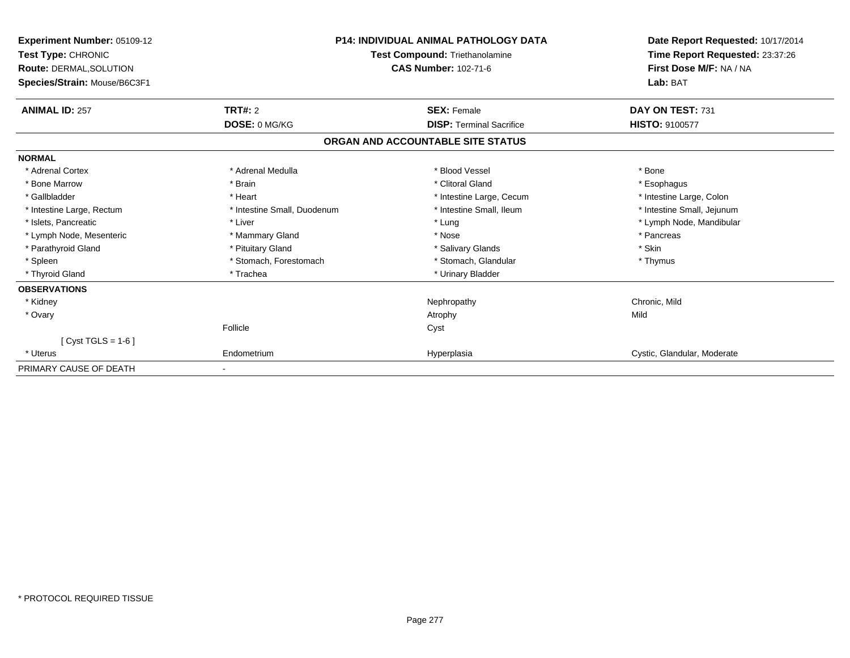| Experiment Number: 05109-12<br>Test Type: CHRONIC<br><b>Route: DERMAL, SOLUTION</b><br>Species/Strain: Mouse/B6C3F1 | <b>P14: INDIVIDUAL ANIMAL PATHOLOGY DATA</b><br><b>Test Compound: Triethanolamine</b><br><b>CAS Number: 102-71-6</b> |                                   | Date Report Requested: 10/17/2014<br>Time Report Requested: 23:37:26<br>First Dose M/F: NA / NA<br>Lab: BAT |  |
|---------------------------------------------------------------------------------------------------------------------|----------------------------------------------------------------------------------------------------------------------|-----------------------------------|-------------------------------------------------------------------------------------------------------------|--|
| <b>ANIMAL ID: 257</b>                                                                                               | TRT#: 2                                                                                                              | <b>SEX: Female</b>                | DAY ON TEST: 731                                                                                            |  |
|                                                                                                                     | DOSE: 0 MG/KG                                                                                                        | <b>DISP:</b> Terminal Sacrifice   | HISTO: 9100577                                                                                              |  |
|                                                                                                                     |                                                                                                                      | ORGAN AND ACCOUNTABLE SITE STATUS |                                                                                                             |  |
| <b>NORMAL</b>                                                                                                       |                                                                                                                      |                                   |                                                                                                             |  |
| * Adrenal Cortex                                                                                                    | * Adrenal Medulla                                                                                                    | * Blood Vessel                    | * Bone                                                                                                      |  |
| * Bone Marrow                                                                                                       | * Brain                                                                                                              | * Clitoral Gland                  | * Esophagus                                                                                                 |  |
| * Gallbladder                                                                                                       | * Heart                                                                                                              | * Intestine Large, Cecum          | * Intestine Large, Colon                                                                                    |  |
| * Intestine Large, Rectum                                                                                           | * Intestine Small, Duodenum                                                                                          | * Intestine Small, Ileum          | * Intestine Small, Jejunum                                                                                  |  |
| * Islets, Pancreatic                                                                                                | * Liver                                                                                                              | * Lung                            | * Lymph Node, Mandibular                                                                                    |  |
| * Lymph Node, Mesenteric                                                                                            | * Mammary Gland                                                                                                      | * Nose                            | * Pancreas                                                                                                  |  |
| * Parathyroid Gland                                                                                                 | * Pituitary Gland                                                                                                    | * Salivary Glands                 | * Skin                                                                                                      |  |
| * Spleen                                                                                                            | * Stomach, Forestomach                                                                                               | * Stomach, Glandular              | * Thymus                                                                                                    |  |
| * Thyroid Gland                                                                                                     | * Trachea                                                                                                            | * Urinary Bladder                 |                                                                                                             |  |
| <b>OBSERVATIONS</b>                                                                                                 |                                                                                                                      |                                   |                                                                                                             |  |
| * Kidney                                                                                                            |                                                                                                                      | Nephropathy                       | Chronic, Mild                                                                                               |  |
| * Ovary                                                                                                             |                                                                                                                      | Atrophy                           | Mild                                                                                                        |  |
|                                                                                                                     | Follicle                                                                                                             | Cyst                              |                                                                                                             |  |
| [Cyst TGLS = $1-6$ ]                                                                                                |                                                                                                                      |                                   |                                                                                                             |  |
| * Uterus                                                                                                            | Endometrium                                                                                                          | Hyperplasia                       | Cystic, Glandular, Moderate                                                                                 |  |
| PRIMARY CAUSE OF DEATH                                                                                              |                                                                                                                      |                                   |                                                                                                             |  |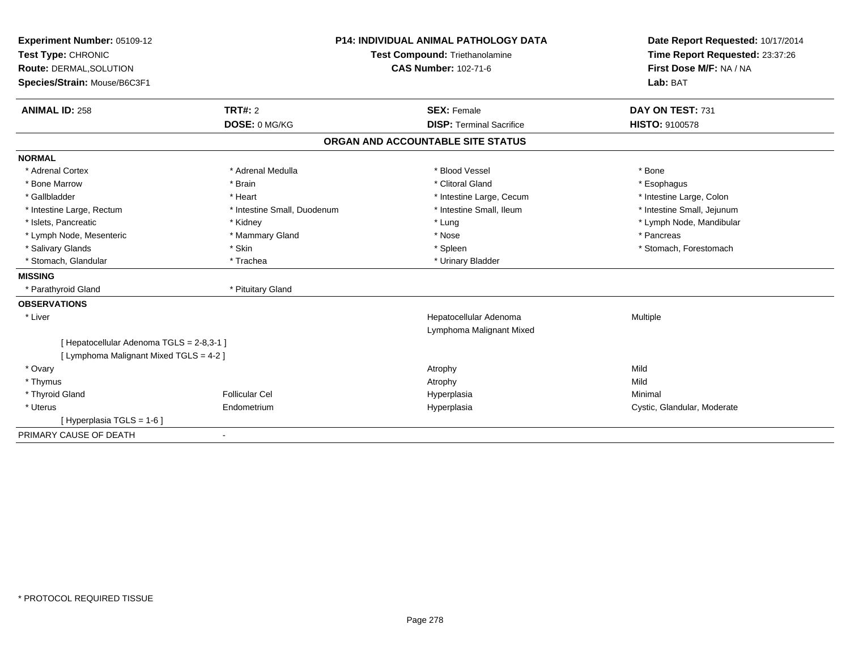| Experiment Number: 05109-12               | <b>P14: INDIVIDUAL ANIMAL PATHOLOGY DATA</b> |                                   | Date Report Requested: 10/17/2014 |
|-------------------------------------------|----------------------------------------------|-----------------------------------|-----------------------------------|
| Test Type: CHRONIC                        |                                              | Test Compound: Triethanolamine    | Time Report Requested: 23:37:26   |
| Route: DERMAL, SOLUTION                   |                                              | <b>CAS Number: 102-71-6</b>       | First Dose M/F: NA / NA           |
| Species/Strain: Mouse/B6C3F1              |                                              |                                   | Lab: BAT                          |
| <b>ANIMAL ID: 258</b>                     | TRT#: 2                                      | <b>SEX: Female</b>                | DAY ON TEST: 731                  |
|                                           | DOSE: 0 MG/KG                                | <b>DISP: Terminal Sacrifice</b>   | <b>HISTO: 9100578</b>             |
|                                           |                                              | ORGAN AND ACCOUNTABLE SITE STATUS |                                   |
| <b>NORMAL</b>                             |                                              |                                   |                                   |
| * Adrenal Cortex                          | * Adrenal Medulla                            | * Blood Vessel                    | * Bone                            |
| * Bone Marrow                             | * Brain                                      | * Clitoral Gland                  | * Esophagus                       |
| * Gallbladder                             | * Heart                                      | * Intestine Large, Cecum          | * Intestine Large, Colon          |
| * Intestine Large, Rectum                 | * Intestine Small, Duodenum                  | * Intestine Small, Ileum          | * Intestine Small, Jejunum        |
| * Islets, Pancreatic                      | * Kidney                                     | * Lung                            | * Lymph Node, Mandibular          |
| * Lymph Node, Mesenteric                  | * Mammary Gland                              | * Nose                            | * Pancreas                        |
| * Salivary Glands                         | * Skin                                       | * Spleen                          | * Stomach, Forestomach            |
| * Stomach, Glandular                      | * Trachea                                    | * Urinary Bladder                 |                                   |
| <b>MISSING</b>                            |                                              |                                   |                                   |
| * Parathyroid Gland                       | * Pituitary Gland                            |                                   |                                   |
| <b>OBSERVATIONS</b>                       |                                              |                                   |                                   |
| * Liver                                   |                                              | Hepatocellular Adenoma            | Multiple                          |
|                                           |                                              | Lymphoma Malignant Mixed          |                                   |
| [ Hepatocellular Adenoma TGLS = 2-8,3-1 ] |                                              |                                   |                                   |
| [ Lymphoma Malignant Mixed TGLS = 4-2 ]   |                                              |                                   |                                   |
| * Ovary                                   |                                              | Atrophy                           | Mild                              |
| * Thymus                                  |                                              | Atrophy                           | Mild                              |
| * Thyroid Gland                           | <b>Follicular Cel</b>                        | Hyperplasia                       | Minimal                           |
| * Uterus                                  | Endometrium                                  | Hyperplasia                       | Cystic, Glandular, Moderate       |
| [Hyperplasia TGLS = 1-6]                  |                                              |                                   |                                   |
| PRIMARY CAUSE OF DEATH                    |                                              |                                   |                                   |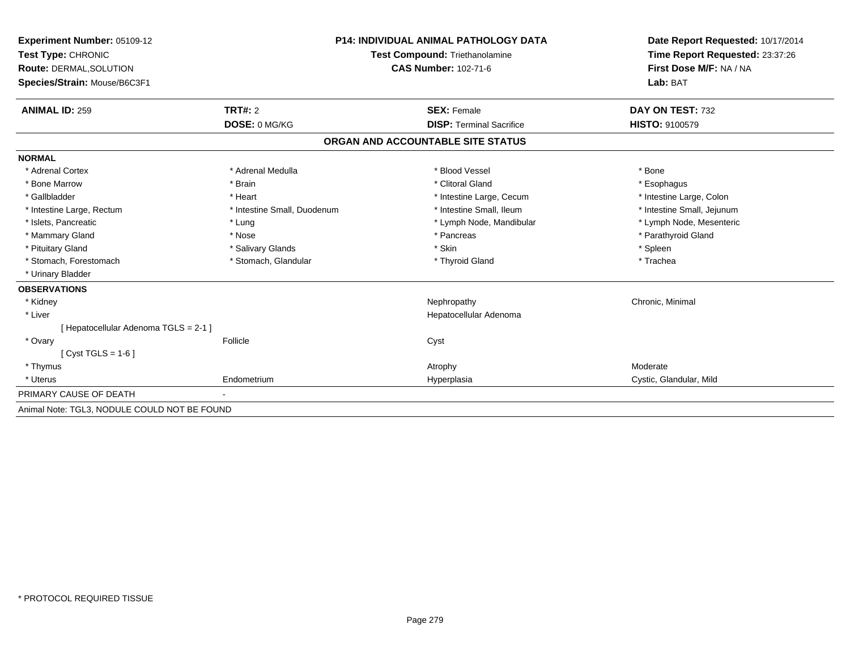| <b>Experiment Number: 05109-12</b>           | <b>P14: INDIVIDUAL ANIMAL PATHOLOGY DATA</b><br>Test Compound: Triethanolamine |                                   | Date Report Requested: 10/17/2014<br>Time Report Requested: 23:37:26 |
|----------------------------------------------|--------------------------------------------------------------------------------|-----------------------------------|----------------------------------------------------------------------|
| Test Type: CHRONIC                           |                                                                                |                                   |                                                                      |
| Route: DERMAL, SOLUTION                      |                                                                                | <b>CAS Number: 102-71-6</b>       | First Dose M/F: NA / NA                                              |
| Species/Strain: Mouse/B6C3F1                 |                                                                                |                                   | Lab: BAT                                                             |
| <b>ANIMAL ID: 259</b>                        | TRT#: 2                                                                        | <b>SEX: Female</b>                | DAY ON TEST: 732                                                     |
|                                              | DOSE: 0 MG/KG                                                                  | <b>DISP: Terminal Sacrifice</b>   | <b>HISTO: 9100579</b>                                                |
|                                              |                                                                                | ORGAN AND ACCOUNTABLE SITE STATUS |                                                                      |
| <b>NORMAL</b>                                |                                                                                |                                   |                                                                      |
| * Adrenal Cortex                             | * Adrenal Medulla                                                              | * Blood Vessel                    | * Bone                                                               |
| * Bone Marrow                                | * Brain                                                                        | * Clitoral Gland                  | * Esophagus                                                          |
| * Gallbladder                                | * Heart                                                                        | * Intestine Large, Cecum          | * Intestine Large, Colon                                             |
| * Intestine Large, Rectum                    | * Intestine Small, Duodenum                                                    | * Intestine Small, Ileum          | * Intestine Small, Jejunum                                           |
| * Islets, Pancreatic                         | * Lung                                                                         | * Lymph Node, Mandibular          | * Lymph Node, Mesenteric                                             |
| * Mammary Gland                              | * Nose                                                                         | * Pancreas                        | * Parathyroid Gland                                                  |
| * Pituitary Gland                            | * Salivary Glands                                                              | * Skin                            | * Spleen                                                             |
| * Stomach, Forestomach                       | * Stomach, Glandular                                                           | * Thyroid Gland                   | * Trachea                                                            |
| * Urinary Bladder                            |                                                                                |                                   |                                                                      |
| <b>OBSERVATIONS</b>                          |                                                                                |                                   |                                                                      |
| * Kidney                                     |                                                                                | Nephropathy                       | Chronic, Minimal                                                     |
| * Liver                                      |                                                                                | Hepatocellular Adenoma            |                                                                      |
| [ Hepatocellular Adenoma TGLS = 2-1 ]        |                                                                                |                                   |                                                                      |
| * Ovary                                      | Follicle                                                                       | Cyst                              |                                                                      |
| [ $Cyst TGLS = 1-6$ ]                        |                                                                                |                                   |                                                                      |
| * Thymus                                     |                                                                                | Atrophy                           | Moderate                                                             |
| * Uterus                                     | Endometrium                                                                    | Hyperplasia                       | Cystic, Glandular, Mild                                              |
| PRIMARY CAUSE OF DEATH                       |                                                                                |                                   |                                                                      |
| Animal Note: TGL3, NODULE COULD NOT BE FOUND |                                                                                |                                   |                                                                      |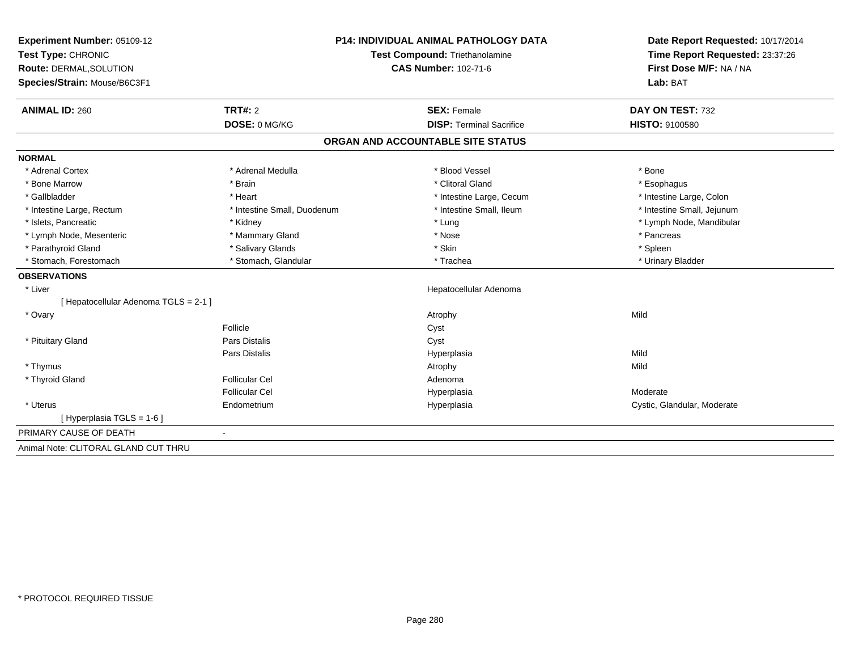| Experiment Number: 05109-12           | <b>P14: INDIVIDUAL ANIMAL PATHOLOGY DATA</b><br>Test Compound: Triethanolamine |                                   | Date Report Requested: 10/17/2014 |  |
|---------------------------------------|--------------------------------------------------------------------------------|-----------------------------------|-----------------------------------|--|
| Test Type: CHRONIC                    |                                                                                |                                   | Time Report Requested: 23:37:26   |  |
| Route: DERMAL, SOLUTION               |                                                                                | <b>CAS Number: 102-71-6</b>       | First Dose M/F: NA / NA           |  |
| Species/Strain: Mouse/B6C3F1          |                                                                                |                                   | Lab: BAT                          |  |
| <b>ANIMAL ID: 260</b>                 | TRT#: 2                                                                        | <b>SEX: Female</b>                | DAY ON TEST: 732                  |  |
|                                       | DOSE: 0 MG/KG                                                                  | <b>DISP: Terminal Sacrifice</b>   | <b>HISTO: 9100580</b>             |  |
|                                       |                                                                                | ORGAN AND ACCOUNTABLE SITE STATUS |                                   |  |
| <b>NORMAL</b>                         |                                                                                |                                   |                                   |  |
| * Adrenal Cortex                      | * Adrenal Medulla                                                              | * Blood Vessel                    | * Bone                            |  |
| * Bone Marrow                         | * Brain                                                                        | * Clitoral Gland                  | * Esophagus                       |  |
| * Gallbladder                         | * Heart                                                                        | * Intestine Large, Cecum          | * Intestine Large, Colon          |  |
| * Intestine Large, Rectum             | * Intestine Small, Duodenum                                                    | * Intestine Small, Ileum          | * Intestine Small, Jejunum        |  |
| * Islets, Pancreatic                  | * Kidney                                                                       | * Lung                            | * Lymph Node, Mandibular          |  |
| * Lymph Node, Mesenteric              | * Mammary Gland                                                                | * Nose                            | * Pancreas                        |  |
| * Parathyroid Gland                   | * Salivary Glands                                                              | * Skin                            | * Spleen                          |  |
| * Stomach, Forestomach                | * Stomach, Glandular                                                           | * Trachea                         | * Urinary Bladder                 |  |
| <b>OBSERVATIONS</b>                   |                                                                                |                                   |                                   |  |
| * Liver                               |                                                                                | Hepatocellular Adenoma            |                                   |  |
| [ Hepatocellular Adenoma TGLS = 2-1 ] |                                                                                |                                   |                                   |  |
| * Ovary                               |                                                                                | Atrophy                           | Mild                              |  |
|                                       | Follicle                                                                       | Cyst                              |                                   |  |
| * Pituitary Gland                     | <b>Pars Distalis</b>                                                           | Cyst                              |                                   |  |
|                                       | <b>Pars Distalis</b>                                                           | Hyperplasia                       | Mild                              |  |
| * Thymus                              |                                                                                | Atrophy                           | Mild                              |  |
| * Thyroid Gland                       | <b>Follicular Cel</b>                                                          | Adenoma                           |                                   |  |
|                                       | Follicular Cel                                                                 | Hyperplasia                       | Moderate                          |  |
| * Uterus                              | Endometrium                                                                    | Hyperplasia                       | Cystic, Glandular, Moderate       |  |
| [Hyperplasia TGLS = $1-6$ ]           |                                                                                |                                   |                                   |  |
| PRIMARY CAUSE OF DEATH                |                                                                                |                                   |                                   |  |
| Animal Note: CLITORAL GLAND CUT THRU  |                                                                                |                                   |                                   |  |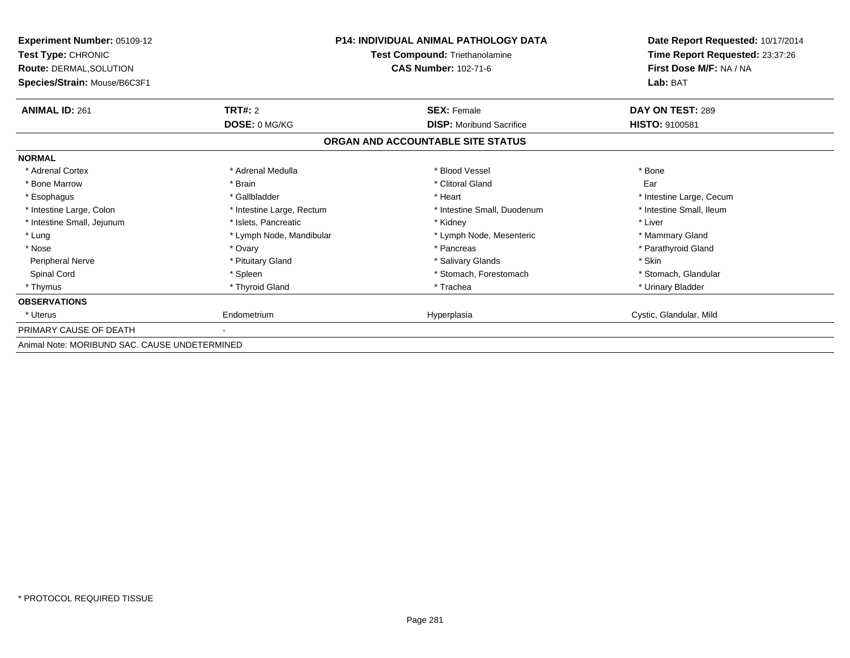| <b>Experiment Number: 05109-12</b><br>Test Type: CHRONIC<br><b>Route: DERMAL, SOLUTION</b><br>Species/Strain: Mouse/B6C3F1 | <b>P14: INDIVIDUAL ANIMAL PATHOLOGY DATA</b><br>Test Compound: Triethanolamine<br><b>CAS Number: 102-71-6</b> |                                   | Date Report Requested: 10/17/2014<br>Time Report Requested: 23:37:26<br>First Dose M/F: NA / NA<br>Lab: BAT |
|----------------------------------------------------------------------------------------------------------------------------|---------------------------------------------------------------------------------------------------------------|-----------------------------------|-------------------------------------------------------------------------------------------------------------|
| <b>ANIMAL ID: 261</b>                                                                                                      | TRT#: 2                                                                                                       | <b>SEX: Female</b>                | DAY ON TEST: 289                                                                                            |
|                                                                                                                            | DOSE: 0 MG/KG                                                                                                 | <b>DISP:</b> Moribund Sacrifice   | HISTO: 9100581                                                                                              |
|                                                                                                                            |                                                                                                               | ORGAN AND ACCOUNTABLE SITE STATUS |                                                                                                             |
| <b>NORMAL</b>                                                                                                              |                                                                                                               |                                   |                                                                                                             |
| * Adrenal Cortex                                                                                                           | * Adrenal Medulla                                                                                             | * Blood Vessel                    | * Bone                                                                                                      |
| * Bone Marrow                                                                                                              | * Brain                                                                                                       | * Clitoral Gland                  | Ear                                                                                                         |
| * Esophagus                                                                                                                | * Gallbladder                                                                                                 | * Heart                           | * Intestine Large, Cecum                                                                                    |
| * Intestine Large, Colon                                                                                                   | * Intestine Large, Rectum                                                                                     | * Intestine Small, Duodenum       | * Intestine Small, Ileum                                                                                    |
| * Intestine Small, Jejunum                                                                                                 | * Islets. Pancreatic                                                                                          | * Kidney                          | * Liver                                                                                                     |
| * Lung                                                                                                                     | * Lymph Node, Mandibular                                                                                      | * Lymph Node, Mesenteric          | * Mammary Gland                                                                                             |
| * Nose                                                                                                                     | * Ovary                                                                                                       | * Pancreas                        | * Parathyroid Gland                                                                                         |
| Peripheral Nerve                                                                                                           | * Pituitary Gland                                                                                             | * Salivary Glands                 | * Skin                                                                                                      |
| Spinal Cord                                                                                                                | * Spleen                                                                                                      | * Stomach, Forestomach            | * Stomach. Glandular                                                                                        |
| * Thymus                                                                                                                   | * Thyroid Gland                                                                                               | * Trachea                         | * Urinary Bladder                                                                                           |
| <b>OBSERVATIONS</b>                                                                                                        |                                                                                                               |                                   |                                                                                                             |
| * Uterus                                                                                                                   | Endometrium                                                                                                   | Hyperplasia                       | Cystic, Glandular, Mild                                                                                     |
| PRIMARY CAUSE OF DEATH                                                                                                     |                                                                                                               |                                   |                                                                                                             |
| Animal Note: MORIBUND SAC. CAUSE UNDETERMINED                                                                              |                                                                                                               |                                   |                                                                                                             |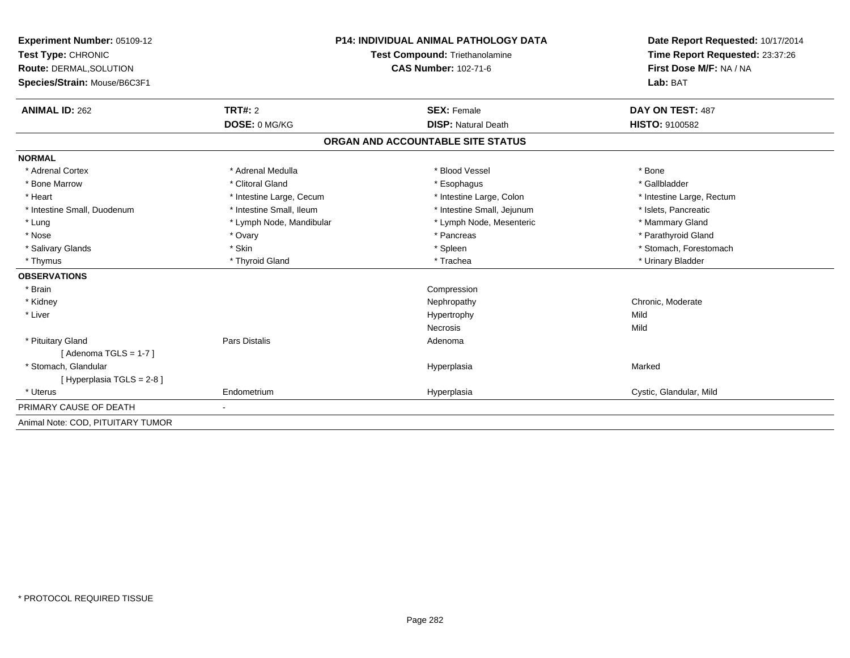| Experiment Number: 05109-12<br>Test Type: CHRONIC |                             | <b>P14: INDIVIDUAL ANIMAL PATHOLOGY DATA</b><br>Test Compound: Triethanolamine | Date Report Requested: 10/17/2014<br>Time Report Requested: 23:37:26 |
|---------------------------------------------------|-----------------------------|--------------------------------------------------------------------------------|----------------------------------------------------------------------|
| <b>Route: DERMAL, SOLUTION</b>                    | <b>CAS Number: 102-71-6</b> |                                                                                | First Dose M/F: NA / NA                                              |
| Species/Strain: Mouse/B6C3F1                      |                             |                                                                                | Lab: BAT                                                             |
| <b>ANIMAL ID: 262</b>                             | TRT#: 2                     | <b>SEX: Female</b>                                                             | DAY ON TEST: 487                                                     |
|                                                   | DOSE: 0 MG/KG               | <b>DISP: Natural Death</b>                                                     | <b>HISTO: 9100582</b>                                                |
|                                                   |                             | ORGAN AND ACCOUNTABLE SITE STATUS                                              |                                                                      |
| <b>NORMAL</b>                                     |                             |                                                                                |                                                                      |
| * Adrenal Cortex                                  | * Adrenal Medulla           | * Blood Vessel                                                                 | * Bone                                                               |
| * Bone Marrow                                     | * Clitoral Gland            | * Esophagus                                                                    | * Gallbladder                                                        |
| * Heart                                           | * Intestine Large, Cecum    | * Intestine Large, Colon                                                       | * Intestine Large, Rectum                                            |
| * Intestine Small, Duodenum                       | * Intestine Small, Ileum    | * Intestine Small, Jejunum                                                     | * Islets, Pancreatic                                                 |
| * Lung                                            | * Lymph Node, Mandibular    | * Lymph Node, Mesenteric                                                       | * Mammary Gland                                                      |
| * Nose                                            | * Ovary                     | * Pancreas                                                                     | * Parathyroid Gland                                                  |
| * Salivary Glands                                 | * Skin                      | * Spleen                                                                       | * Stomach, Forestomach                                               |
| * Thymus                                          | * Thyroid Gland             | * Trachea                                                                      | * Urinary Bladder                                                    |
| <b>OBSERVATIONS</b>                               |                             |                                                                                |                                                                      |
| * Brain                                           |                             | Compression                                                                    |                                                                      |
| * Kidney                                          |                             | Nephropathy                                                                    | Chronic, Moderate                                                    |
| * Liver                                           |                             | Hypertrophy                                                                    | Mild                                                                 |
|                                                   |                             | Necrosis                                                                       | Mild                                                                 |
| * Pituitary Gland                                 | Pars Distalis               | Adenoma                                                                        |                                                                      |
| [Adenoma TGLS = $1-7$ ]                           |                             |                                                                                |                                                                      |
| * Stomach, Glandular                              |                             | Hyperplasia                                                                    | Marked                                                               |
| [Hyperplasia TGLS = 2-8]                          |                             |                                                                                |                                                                      |
| * Uterus                                          | Endometrium                 | Hyperplasia                                                                    | Cystic, Glandular, Mild                                              |
| PRIMARY CAUSE OF DEATH                            |                             |                                                                                |                                                                      |
| Animal Note: COD, PITUITARY TUMOR                 |                             |                                                                                |                                                                      |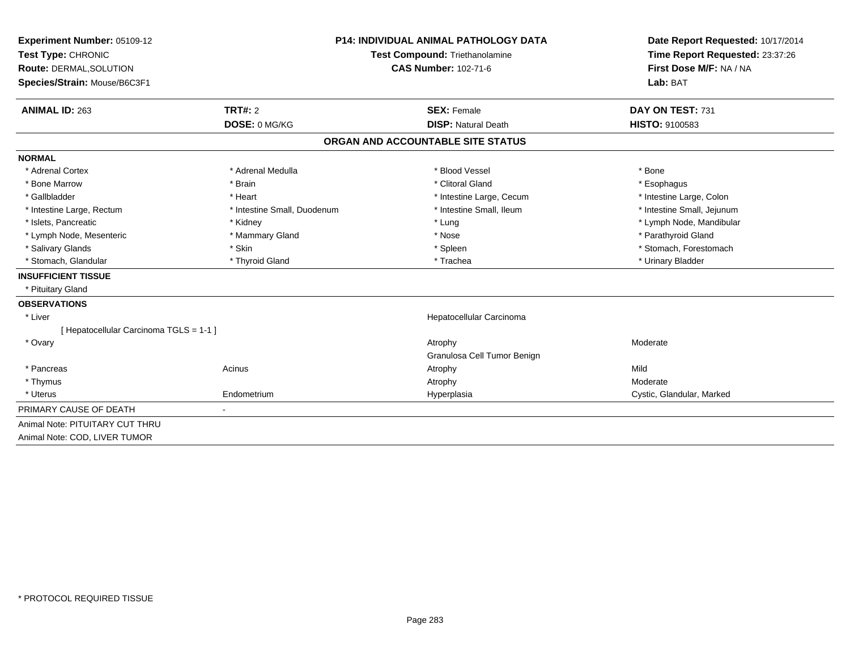| Experiment Number: 05109-12<br>Test Type: CHRONIC       | <b>P14: INDIVIDUAL ANIMAL PATHOLOGY DATA</b><br><b>Test Compound: Triethanolamine</b> |                                   | Date Report Requested: 10/17/2014<br>Time Report Requested: 23:37:26 |
|---------------------------------------------------------|---------------------------------------------------------------------------------------|-----------------------------------|----------------------------------------------------------------------|
| Route: DERMAL, SOLUTION<br>Species/Strain: Mouse/B6C3F1 |                                                                                       | <b>CAS Number: 102-71-6</b>       | First Dose M/F: NA / NA<br>Lab: BAT                                  |
|                                                         |                                                                                       |                                   |                                                                      |
| <b>ANIMAL ID: 263</b>                                   | TRT#: 2                                                                               | <b>SEX: Female</b>                | DAY ON TEST: 731                                                     |
|                                                         | DOSE: 0 MG/KG                                                                         | <b>DISP: Natural Death</b>        | <b>HISTO: 9100583</b>                                                |
|                                                         |                                                                                       | ORGAN AND ACCOUNTABLE SITE STATUS |                                                                      |
| <b>NORMAL</b>                                           |                                                                                       |                                   |                                                                      |
| * Adrenal Cortex                                        | * Adrenal Medulla                                                                     | * Blood Vessel                    | * Bone                                                               |
| * Bone Marrow                                           | * Brain                                                                               | * Clitoral Gland                  | * Esophagus                                                          |
| * Gallbladder                                           | * Heart                                                                               | * Intestine Large, Cecum          | * Intestine Large, Colon                                             |
| * Intestine Large, Rectum                               | * Intestine Small, Duodenum                                                           | * Intestine Small, Ileum          | * Intestine Small, Jejunum                                           |
| * Islets, Pancreatic                                    | * Kidney                                                                              | * Lung                            | * Lymph Node, Mandibular                                             |
| * Lymph Node, Mesenteric                                | * Mammary Gland                                                                       | * Nose                            | * Parathyroid Gland                                                  |
| * Salivary Glands                                       | * Skin                                                                                | * Spleen                          | * Stomach, Forestomach                                               |
| * Stomach, Glandular                                    | * Thyroid Gland                                                                       | * Trachea                         | * Urinary Bladder                                                    |
| <b>INSUFFICIENT TISSUE</b>                              |                                                                                       |                                   |                                                                      |
| * Pituitary Gland                                       |                                                                                       |                                   |                                                                      |
| <b>OBSERVATIONS</b>                                     |                                                                                       |                                   |                                                                      |
| * Liver                                                 |                                                                                       | Hepatocellular Carcinoma          |                                                                      |
| [ Hepatocellular Carcinoma TGLS = 1-1 ]                 |                                                                                       |                                   |                                                                      |
| * Ovary                                                 |                                                                                       | Atrophy                           | Moderate                                                             |
|                                                         |                                                                                       | Granulosa Cell Tumor Benign       |                                                                      |
| * Pancreas                                              | Acinus                                                                                | Atrophy                           | Mild                                                                 |
| * Thymus                                                |                                                                                       | Atrophy                           | Moderate                                                             |
| * Uterus                                                | Endometrium                                                                           | Hyperplasia                       | Cystic, Glandular, Marked                                            |
| PRIMARY CAUSE OF DEATH                                  |                                                                                       |                                   |                                                                      |
| Animal Note: PITUITARY CUT THRU                         |                                                                                       |                                   |                                                                      |
| Animal Note: COD, LIVER TUMOR                           |                                                                                       |                                   |                                                                      |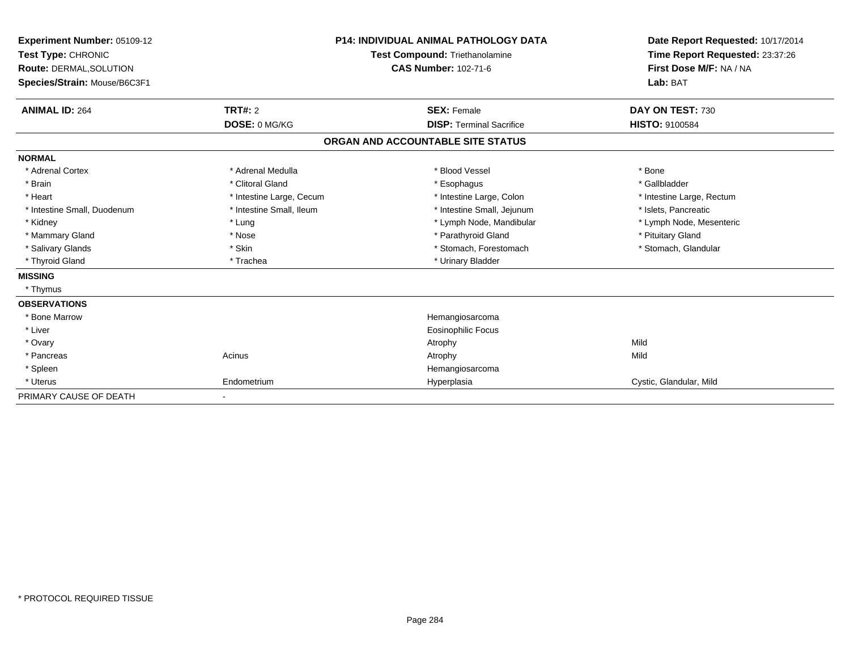| Experiment Number: 05109-12<br><b>Test Type: CHRONIC</b><br><b>Route: DERMAL, SOLUTION</b><br>Species/Strain: Mouse/B6C3F1 | <b>P14: INDIVIDUAL ANIMAL PATHOLOGY DATA</b><br>Test Compound: Triethanolamine<br><b>CAS Number: 102-71-6</b> |                                   | Date Report Requested: 10/17/2014<br>Time Report Requested: 23:37:26<br>First Dose M/F: NA / NA<br>Lab: BAT |
|----------------------------------------------------------------------------------------------------------------------------|---------------------------------------------------------------------------------------------------------------|-----------------------------------|-------------------------------------------------------------------------------------------------------------|
| <b>ANIMAL ID: 264</b>                                                                                                      | TRT#: 2                                                                                                       | <b>SEX: Female</b>                | DAY ON TEST: 730                                                                                            |
|                                                                                                                            | DOSE: 0 MG/KG                                                                                                 | <b>DISP: Terminal Sacrifice</b>   | <b>HISTO: 9100584</b>                                                                                       |
|                                                                                                                            |                                                                                                               | ORGAN AND ACCOUNTABLE SITE STATUS |                                                                                                             |
| <b>NORMAL</b>                                                                                                              |                                                                                                               |                                   |                                                                                                             |
| * Adrenal Cortex                                                                                                           | * Adrenal Medulla                                                                                             | * Blood Vessel                    | * Bone                                                                                                      |
| * Brain                                                                                                                    | * Clitoral Gland                                                                                              | * Esophagus                       | * Gallbladder                                                                                               |
| * Heart                                                                                                                    | * Intestine Large, Cecum                                                                                      | * Intestine Large, Colon          | * Intestine Large, Rectum                                                                                   |
| * Intestine Small, Duodenum                                                                                                | * Intestine Small, Ileum                                                                                      | * Intestine Small, Jejunum        | * Islets, Pancreatic                                                                                        |
| * Kidney                                                                                                                   | * Lung                                                                                                        | * Lymph Node, Mandibular          | * Lymph Node, Mesenteric                                                                                    |
| * Mammary Gland                                                                                                            | * Nose                                                                                                        | * Parathyroid Gland               | * Pituitary Gland                                                                                           |
| * Salivary Glands                                                                                                          | * Skin                                                                                                        | * Stomach, Forestomach            | * Stomach, Glandular                                                                                        |
| * Thyroid Gland                                                                                                            | * Trachea                                                                                                     | * Urinary Bladder                 |                                                                                                             |
| <b>MISSING</b>                                                                                                             |                                                                                                               |                                   |                                                                                                             |
| * Thymus                                                                                                                   |                                                                                                               |                                   |                                                                                                             |
| <b>OBSERVATIONS</b>                                                                                                        |                                                                                                               |                                   |                                                                                                             |
| * Bone Marrow                                                                                                              |                                                                                                               | Hemangiosarcoma                   |                                                                                                             |
| * Liver                                                                                                                    |                                                                                                               | <b>Eosinophilic Focus</b>         |                                                                                                             |
| * Ovary                                                                                                                    |                                                                                                               | Atrophy                           | Mild                                                                                                        |
| * Pancreas                                                                                                                 | Acinus                                                                                                        | Atrophy                           | Mild                                                                                                        |
| * Spleen                                                                                                                   |                                                                                                               | Hemangiosarcoma                   |                                                                                                             |
| * Uterus                                                                                                                   | Endometrium                                                                                                   | Hyperplasia                       | Cystic, Glandular, Mild                                                                                     |
| PRIMARY CAUSE OF DEATH                                                                                                     |                                                                                                               |                                   |                                                                                                             |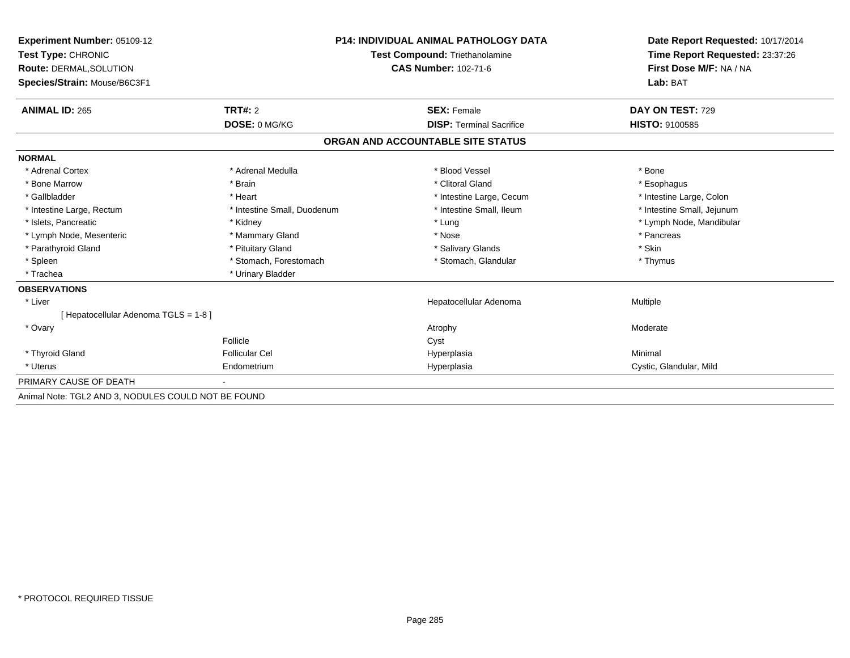| Experiment Number: 05109-12                         | <b>P14: INDIVIDUAL ANIMAL PATHOLOGY DATA</b> |                                       | Date Report Requested: 10/17/2014                          |  |
|-----------------------------------------------------|----------------------------------------------|---------------------------------------|------------------------------------------------------------|--|
| Test Type: CHRONIC                                  |                                              | <b>Test Compound: Triethanolamine</b> | Time Report Requested: 23:37:26<br>First Dose M/F: NA / NA |  |
| <b>Route: DERMAL, SOLUTION</b>                      |                                              | <b>CAS Number: 102-71-6</b>           |                                                            |  |
| Species/Strain: Mouse/B6C3F1                        |                                              |                                       | Lab: BAT                                                   |  |
| <b>ANIMAL ID: 265</b>                               | TRT#: 2                                      | <b>SEX: Female</b>                    | DAY ON TEST: 729                                           |  |
|                                                     | DOSE: 0 MG/KG                                | <b>DISP: Terminal Sacrifice</b>       | <b>HISTO: 9100585</b>                                      |  |
|                                                     |                                              | ORGAN AND ACCOUNTABLE SITE STATUS     |                                                            |  |
| <b>NORMAL</b>                                       |                                              |                                       |                                                            |  |
| * Adrenal Cortex                                    | * Adrenal Medulla                            | * Blood Vessel                        | * Bone                                                     |  |
| * Bone Marrow                                       | * Brain                                      | * Clitoral Gland                      | * Esophagus                                                |  |
| * Gallbladder                                       | * Heart                                      | * Intestine Large, Cecum              | * Intestine Large, Colon                                   |  |
| * Intestine Large, Rectum                           | * Intestine Small, Duodenum                  | * Intestine Small, Ileum              | * Intestine Small, Jejunum                                 |  |
| * Islets, Pancreatic                                | * Kidney                                     | * Lung                                | * Lymph Node, Mandibular                                   |  |
| * Lymph Node, Mesenteric                            | * Mammary Gland                              | * Nose                                | * Pancreas                                                 |  |
| * Parathyroid Gland                                 | * Pituitary Gland                            | * Salivary Glands                     | * Skin                                                     |  |
| * Spleen                                            | * Stomach, Forestomach                       | * Stomach, Glandular                  | * Thymus                                                   |  |
| * Trachea                                           | * Urinary Bladder                            |                                       |                                                            |  |
| <b>OBSERVATIONS</b>                                 |                                              |                                       |                                                            |  |
| * Liver                                             |                                              | Hepatocellular Adenoma                | Multiple                                                   |  |
| [Hepatocellular Adenoma TGLS = 1-8]                 |                                              |                                       |                                                            |  |
| * Ovary                                             |                                              | Atrophy                               | Moderate                                                   |  |
|                                                     | Follicle                                     | Cyst                                  |                                                            |  |
| * Thyroid Gland                                     | <b>Follicular Cel</b>                        | Hyperplasia                           | Minimal                                                    |  |
| * Uterus                                            | Endometrium                                  | Hyperplasia                           | Cystic, Glandular, Mild                                    |  |
| PRIMARY CAUSE OF DEATH                              |                                              |                                       |                                                            |  |
| Animal Note: TGL2 AND 3, NODULES COULD NOT BE FOUND |                                              |                                       |                                                            |  |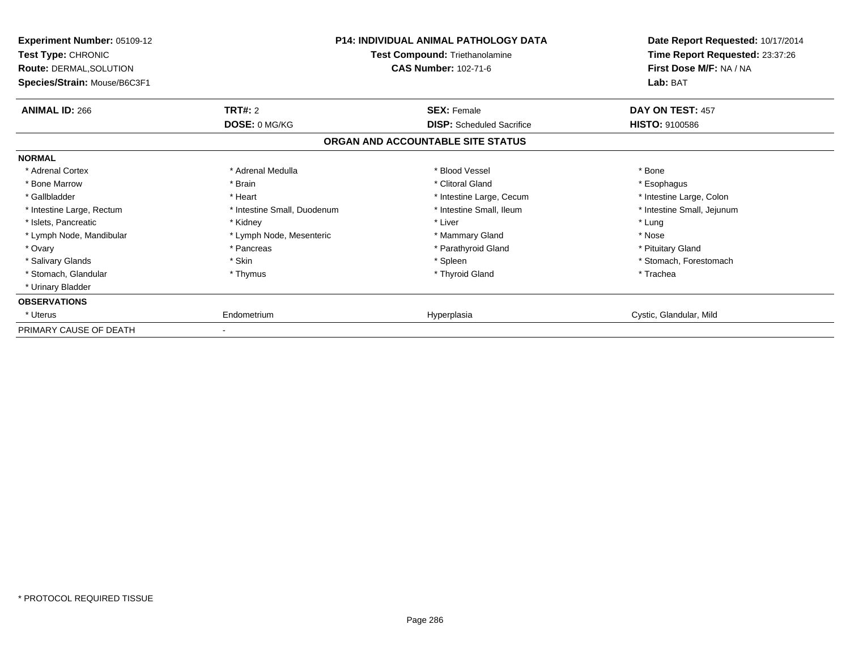| <b>Experiment Number: 05109-12</b><br>Test Type: CHRONIC<br><b>Route: DERMAL, SOLUTION</b><br>Species/Strain: Mouse/B6C3F1 |                             | <b>P14: INDIVIDUAL ANIMAL PATHOLOGY DATA</b><br>Test Compound: Triethanolamine<br><b>CAS Number: 102-71-6</b> | Date Report Requested: 10/17/2014<br>Time Report Requested: 23:37:26<br>First Dose M/F: NA / NA<br>Lab: BAT |
|----------------------------------------------------------------------------------------------------------------------------|-----------------------------|---------------------------------------------------------------------------------------------------------------|-------------------------------------------------------------------------------------------------------------|
| <b>ANIMAL ID: 266</b>                                                                                                      | TRT#: 2                     | <b>SEX: Female</b>                                                                                            | DAY ON TEST: 457                                                                                            |
|                                                                                                                            | DOSE: 0 MG/KG               | <b>DISP:</b> Scheduled Sacrifice                                                                              | <b>HISTO: 9100586</b>                                                                                       |
|                                                                                                                            |                             | ORGAN AND ACCOUNTABLE SITE STATUS                                                                             |                                                                                                             |
| <b>NORMAL</b>                                                                                                              |                             |                                                                                                               |                                                                                                             |
| * Adrenal Cortex                                                                                                           | * Adrenal Medulla           | * Blood Vessel                                                                                                | * Bone                                                                                                      |
| * Bone Marrow                                                                                                              | * Brain                     | * Clitoral Gland                                                                                              | * Esophagus                                                                                                 |
| * Gallbladder                                                                                                              | * Heart                     | * Intestine Large, Cecum                                                                                      | * Intestine Large, Colon                                                                                    |
| * Intestine Large, Rectum                                                                                                  | * Intestine Small, Duodenum | * Intestine Small, Ileum                                                                                      | * Intestine Small, Jejunum                                                                                  |
| * Islets, Pancreatic                                                                                                       | * Kidney                    | * Liver                                                                                                       | * Lung                                                                                                      |
| * Lymph Node, Mandibular                                                                                                   | * Lymph Node, Mesenteric    | * Mammary Gland                                                                                               | * Nose                                                                                                      |
| * Ovary                                                                                                                    | * Pancreas                  | * Parathyroid Gland                                                                                           | * Pituitary Gland                                                                                           |
| * Salivary Glands                                                                                                          | * Skin                      | * Spleen                                                                                                      | * Stomach, Forestomach                                                                                      |
| * Stomach, Glandular                                                                                                       | * Thymus                    | * Thyroid Gland                                                                                               | * Trachea                                                                                                   |
| * Urinary Bladder                                                                                                          |                             |                                                                                                               |                                                                                                             |
| <b>OBSERVATIONS</b>                                                                                                        |                             |                                                                                                               |                                                                                                             |
| * Uterus                                                                                                                   | Endometrium                 | Hyperplasia                                                                                                   | Cystic, Glandular, Mild                                                                                     |
| PRIMARY CAUSE OF DEATH                                                                                                     |                             |                                                                                                               |                                                                                                             |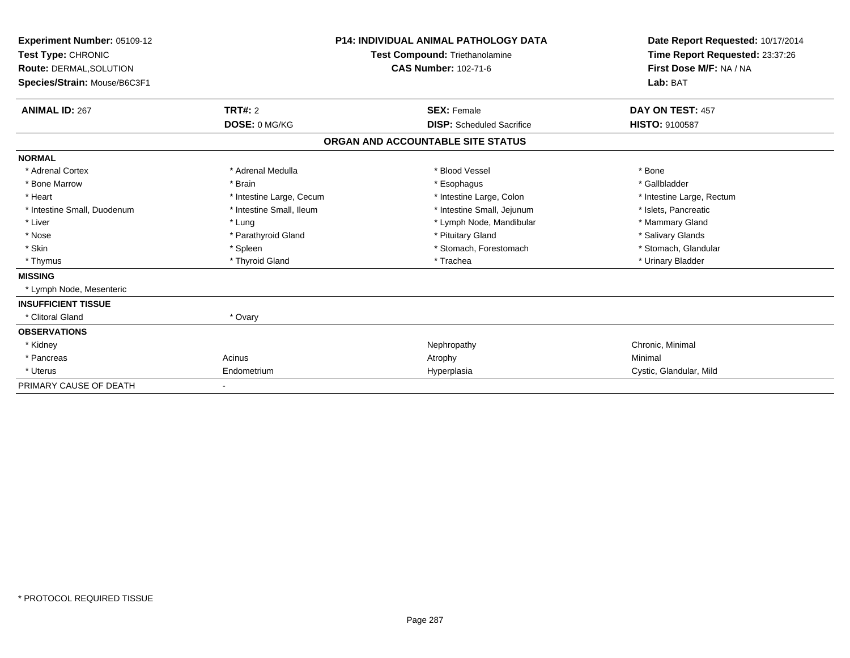| <b>Experiment Number: 05109-12</b><br>Test Type: CHRONIC<br><b>Route: DERMAL, SOLUTION</b><br>Species/Strain: Mouse/B6C3F1 |                          | <b>P14: INDIVIDUAL ANIMAL PATHOLOGY DATA</b><br><b>Test Compound: Triethanolamine</b><br><b>CAS Number: 102-71-6</b> | Date Report Requested: 10/17/2014<br>Time Report Requested: 23:37:26<br>First Dose M/F: NA / NA<br>Lab: BAT |
|----------------------------------------------------------------------------------------------------------------------------|--------------------------|----------------------------------------------------------------------------------------------------------------------|-------------------------------------------------------------------------------------------------------------|
| <b>ANIMAL ID: 267</b>                                                                                                      | TRT#: 2                  | <b>SEX: Female</b>                                                                                                   | DAY ON TEST: 457                                                                                            |
|                                                                                                                            | DOSE: 0 MG/KG            | <b>DISP:</b> Scheduled Sacrifice                                                                                     | <b>HISTO: 9100587</b>                                                                                       |
|                                                                                                                            |                          | ORGAN AND ACCOUNTABLE SITE STATUS                                                                                    |                                                                                                             |
| <b>NORMAL</b>                                                                                                              |                          |                                                                                                                      |                                                                                                             |
| * Adrenal Cortex                                                                                                           | * Adrenal Medulla        | * Blood Vessel                                                                                                       | * Bone                                                                                                      |
| * Bone Marrow                                                                                                              | * Brain                  | * Esophagus                                                                                                          | * Gallbladder                                                                                               |
| * Heart                                                                                                                    | * Intestine Large, Cecum | * Intestine Large, Colon                                                                                             | * Intestine Large, Rectum                                                                                   |
| * Intestine Small, Duodenum                                                                                                | * Intestine Small, Ileum | * Intestine Small, Jejunum                                                                                           | * Islets, Pancreatic                                                                                        |
| * Liver                                                                                                                    | * Lung                   | * Lymph Node, Mandibular                                                                                             | * Mammary Gland                                                                                             |
| * Nose                                                                                                                     | * Parathyroid Gland      | * Pituitary Gland                                                                                                    | * Salivary Glands                                                                                           |
| * Skin                                                                                                                     | * Spleen                 | * Stomach, Forestomach                                                                                               | * Stomach, Glandular                                                                                        |
| * Thymus                                                                                                                   | * Thyroid Gland          | * Trachea                                                                                                            | * Urinary Bladder                                                                                           |
| <b>MISSING</b>                                                                                                             |                          |                                                                                                                      |                                                                                                             |
| * Lymph Node, Mesenteric                                                                                                   |                          |                                                                                                                      |                                                                                                             |
| <b>INSUFFICIENT TISSUE</b>                                                                                                 |                          |                                                                                                                      |                                                                                                             |
| * Clitoral Gland                                                                                                           | * Ovary                  |                                                                                                                      |                                                                                                             |
| <b>OBSERVATIONS</b>                                                                                                        |                          |                                                                                                                      |                                                                                                             |
| * Kidney                                                                                                                   |                          | Nephropathy                                                                                                          | Chronic, Minimal                                                                                            |
| * Pancreas                                                                                                                 | Acinus                   | Atrophy                                                                                                              | Minimal                                                                                                     |
| * Uterus                                                                                                                   | Endometrium              | Hyperplasia                                                                                                          | Cystic, Glandular, Mild                                                                                     |
| PRIMARY CAUSE OF DEATH                                                                                                     |                          |                                                                                                                      |                                                                                                             |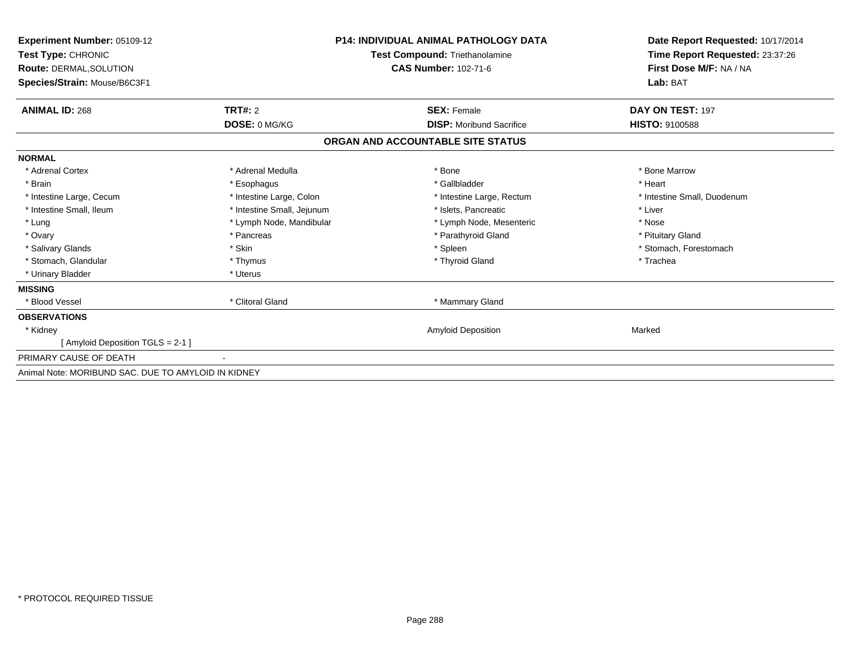| <b>Experiment Number: 05109-12</b><br>Test Type: CHRONIC<br><b>Route: DERMAL, SOLUTION</b><br>Species/Strain: Mouse/B6C3F1 | <b>P14: INDIVIDUAL ANIMAL PATHOLOGY DATA</b><br>Test Compound: Triethanolamine<br><b>CAS Number: 102-71-6</b> |                                   | Date Report Requested: 10/17/2014<br>Time Report Requested: 23:37:26<br>First Dose M/F: NA / NA<br>Lab: BAT |
|----------------------------------------------------------------------------------------------------------------------------|---------------------------------------------------------------------------------------------------------------|-----------------------------------|-------------------------------------------------------------------------------------------------------------|
| <b>ANIMAL ID: 268</b>                                                                                                      | <b>TRT#: 2</b>                                                                                                | <b>SEX: Female</b>                | DAY ON TEST: 197                                                                                            |
|                                                                                                                            | DOSE: 0 MG/KG                                                                                                 | <b>DISP:</b> Moribund Sacrifice   | <b>HISTO: 9100588</b>                                                                                       |
|                                                                                                                            |                                                                                                               | ORGAN AND ACCOUNTABLE SITE STATUS |                                                                                                             |
| <b>NORMAL</b>                                                                                                              |                                                                                                               |                                   |                                                                                                             |
| * Adrenal Cortex                                                                                                           | * Adrenal Medulla                                                                                             | * Bone                            | * Bone Marrow                                                                                               |
| * Brain                                                                                                                    | * Esophagus                                                                                                   | * Gallbladder                     | * Heart                                                                                                     |
| * Intestine Large, Cecum                                                                                                   | * Intestine Large, Colon                                                                                      | * Intestine Large, Rectum         | * Intestine Small, Duodenum                                                                                 |
| * Intestine Small, Ileum                                                                                                   | * Intestine Small, Jejunum                                                                                    | * Islets, Pancreatic              | * Liver                                                                                                     |
| * Lung                                                                                                                     | * Lymph Node, Mandibular                                                                                      | * Lymph Node, Mesenteric          | * Nose                                                                                                      |
| * Ovary                                                                                                                    | * Pancreas                                                                                                    | * Parathyroid Gland               | * Pituitary Gland                                                                                           |
| * Salivary Glands                                                                                                          | * Skin                                                                                                        | * Spleen                          | * Stomach, Forestomach                                                                                      |
| * Stomach, Glandular                                                                                                       | * Thymus                                                                                                      | * Thyroid Gland                   | * Trachea                                                                                                   |
| * Urinary Bladder                                                                                                          | * Uterus                                                                                                      |                                   |                                                                                                             |
| <b>MISSING</b>                                                                                                             |                                                                                                               |                                   |                                                                                                             |
| * Blood Vessel                                                                                                             | * Clitoral Gland                                                                                              | * Mammary Gland                   |                                                                                                             |
| <b>OBSERVATIONS</b>                                                                                                        |                                                                                                               |                                   |                                                                                                             |
| * Kidney                                                                                                                   |                                                                                                               | <b>Amyloid Deposition</b>         | Marked                                                                                                      |
| [ Amyloid Deposition TGLS = 2-1 ]                                                                                          |                                                                                                               |                                   |                                                                                                             |
| PRIMARY CAUSE OF DEATH                                                                                                     |                                                                                                               |                                   |                                                                                                             |
| Animal Note: MORIBUND SAC. DUE TO AMYLOID IN KIDNEY                                                                        |                                                                                                               |                                   |                                                                                                             |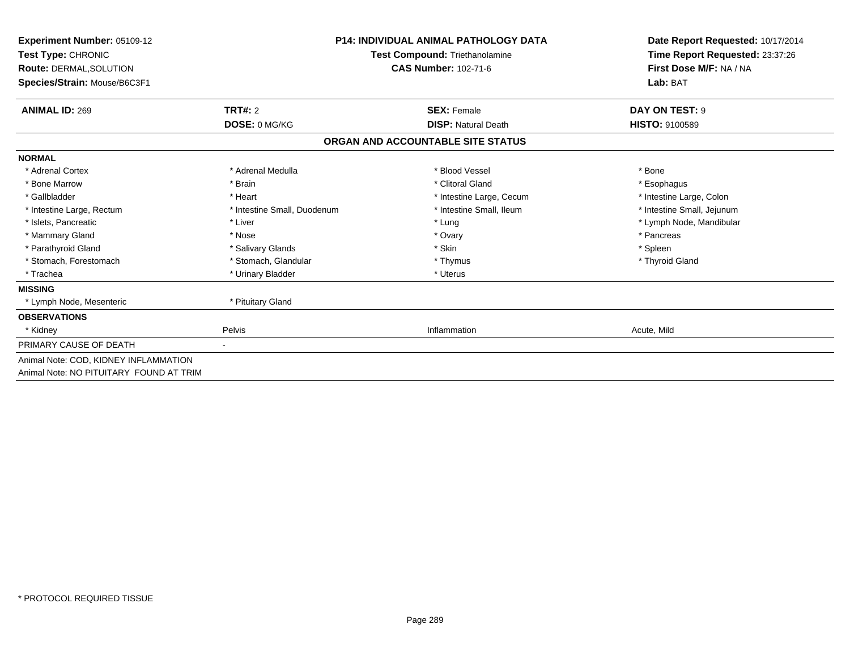| Experiment Number: 05109-12<br><b>Test Type: CHRONIC</b><br>Route: DERMAL, SOLUTION<br>Species/Strain: Mouse/B6C3F1 | <b>P14: INDIVIDUAL ANIMAL PATHOLOGY DATA</b><br>Test Compound: Triethanolamine<br><b>CAS Number: 102-71-6</b> |                                   | Date Report Requested: 10/17/2014<br>Time Report Requested: 23:37:26<br>First Dose M/F: NA / NA<br>Lab: BAT |  |
|---------------------------------------------------------------------------------------------------------------------|---------------------------------------------------------------------------------------------------------------|-----------------------------------|-------------------------------------------------------------------------------------------------------------|--|
| <b>ANIMAL ID: 269</b>                                                                                               | TRT#: 2                                                                                                       | <b>SEX: Female</b>                | DAY ON TEST: 9                                                                                              |  |
|                                                                                                                     | DOSE: 0 MG/KG                                                                                                 | <b>DISP: Natural Death</b>        | <b>HISTO: 9100589</b>                                                                                       |  |
|                                                                                                                     |                                                                                                               | ORGAN AND ACCOUNTABLE SITE STATUS |                                                                                                             |  |
| <b>NORMAL</b>                                                                                                       |                                                                                                               |                                   |                                                                                                             |  |
| * Adrenal Cortex                                                                                                    | * Adrenal Medulla                                                                                             | * Blood Vessel                    | * Bone                                                                                                      |  |
| * Bone Marrow                                                                                                       | * Brain                                                                                                       | * Clitoral Gland                  | * Esophagus                                                                                                 |  |
| * Gallbladder                                                                                                       | * Heart                                                                                                       | * Intestine Large, Cecum          | * Intestine Large, Colon                                                                                    |  |
| * Intestine Large, Rectum                                                                                           | * Intestine Small, Duodenum                                                                                   | * Intestine Small, Ileum          | * Intestine Small, Jejunum                                                                                  |  |
| * Islets, Pancreatic                                                                                                | * Liver                                                                                                       | * Lung                            | * Lymph Node, Mandibular                                                                                    |  |
| * Mammary Gland                                                                                                     | * Nose                                                                                                        | * Ovary                           | * Pancreas                                                                                                  |  |
| * Parathyroid Gland                                                                                                 | * Salivary Glands                                                                                             | * Skin                            | * Spleen                                                                                                    |  |
| * Stomach, Forestomach                                                                                              | * Stomach, Glandular                                                                                          | * Thymus                          | * Thyroid Gland                                                                                             |  |
| * Trachea                                                                                                           | * Urinary Bladder                                                                                             | * Uterus                          |                                                                                                             |  |
| <b>MISSING</b>                                                                                                      |                                                                                                               |                                   |                                                                                                             |  |
| * Lymph Node, Mesenteric                                                                                            | * Pituitary Gland                                                                                             |                                   |                                                                                                             |  |
| <b>OBSERVATIONS</b>                                                                                                 |                                                                                                               |                                   |                                                                                                             |  |
| * Kidney                                                                                                            | Pelvis                                                                                                        | Inflammation                      | Acute, Mild                                                                                                 |  |
| PRIMARY CAUSE OF DEATH                                                                                              | $\sim$                                                                                                        |                                   |                                                                                                             |  |
| Animal Note: COD, KIDNEY INFLAMMATION                                                                               |                                                                                                               |                                   |                                                                                                             |  |
| Animal Note: NO PITUITARY FOUND AT TRIM                                                                             |                                                                                                               |                                   |                                                                                                             |  |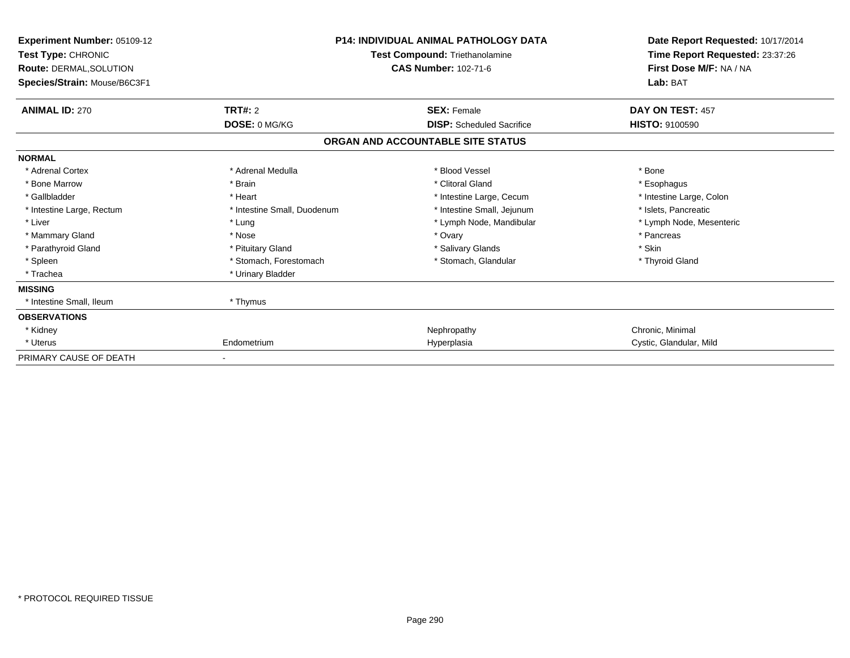| Experiment Number: 05109-12<br>Test Type: CHRONIC<br>Route: DERMAL, SOLUTION<br>Species/Strain: Mouse/B6C3F1 | <b>P14: INDIVIDUAL ANIMAL PATHOLOGY DATA</b><br>Test Compound: Triethanolamine<br><b>CAS Number: 102-71-6</b> |                                   | Date Report Requested: 10/17/2014<br>Time Report Requested: 23:37:26<br>First Dose M/F: NA / NA<br>Lab: BAT |  |
|--------------------------------------------------------------------------------------------------------------|---------------------------------------------------------------------------------------------------------------|-----------------------------------|-------------------------------------------------------------------------------------------------------------|--|
| <b>ANIMAL ID: 270</b>                                                                                        | TRT#: 2                                                                                                       | <b>SEX: Female</b>                | DAY ON TEST: 457                                                                                            |  |
|                                                                                                              | DOSE: 0 MG/KG                                                                                                 | <b>DISP:</b> Scheduled Sacrifice  | <b>HISTO: 9100590</b>                                                                                       |  |
|                                                                                                              |                                                                                                               | ORGAN AND ACCOUNTABLE SITE STATUS |                                                                                                             |  |
| <b>NORMAL</b>                                                                                                |                                                                                                               |                                   |                                                                                                             |  |
| * Adrenal Cortex                                                                                             | * Adrenal Medulla                                                                                             | * Blood Vessel                    | * Bone                                                                                                      |  |
| * Bone Marrow                                                                                                | * Brain                                                                                                       | * Clitoral Gland                  | * Esophagus                                                                                                 |  |
| * Gallbladder                                                                                                | * Heart                                                                                                       | * Intestine Large, Cecum          | * Intestine Large, Colon                                                                                    |  |
| * Intestine Large, Rectum                                                                                    | * Intestine Small, Duodenum                                                                                   | * Intestine Small, Jejunum        | * Islets, Pancreatic                                                                                        |  |
| * Liver                                                                                                      | * Lung                                                                                                        | * Lymph Node, Mandibular          | * Lymph Node, Mesenteric                                                                                    |  |
| * Mammary Gland                                                                                              | * Nose                                                                                                        | * Ovary                           | * Pancreas                                                                                                  |  |
| * Parathyroid Gland                                                                                          | * Pituitary Gland                                                                                             | * Salivary Glands                 | * Skin                                                                                                      |  |
| * Spleen                                                                                                     | * Stomach, Forestomach                                                                                        | * Stomach, Glandular              | * Thyroid Gland                                                                                             |  |
| * Trachea                                                                                                    | * Urinary Bladder                                                                                             |                                   |                                                                                                             |  |
| <b>MISSING</b>                                                                                               |                                                                                                               |                                   |                                                                                                             |  |
| * Intestine Small, Ileum                                                                                     | * Thymus                                                                                                      |                                   |                                                                                                             |  |
| <b>OBSERVATIONS</b>                                                                                          |                                                                                                               |                                   |                                                                                                             |  |
| * Kidney                                                                                                     |                                                                                                               | Nephropathy                       | Chronic, Minimal                                                                                            |  |
| * Uterus                                                                                                     | Endometrium                                                                                                   | Hyperplasia                       | Cystic, Glandular, Mild                                                                                     |  |
| PRIMARY CAUSE OF DEATH                                                                                       |                                                                                                               |                                   |                                                                                                             |  |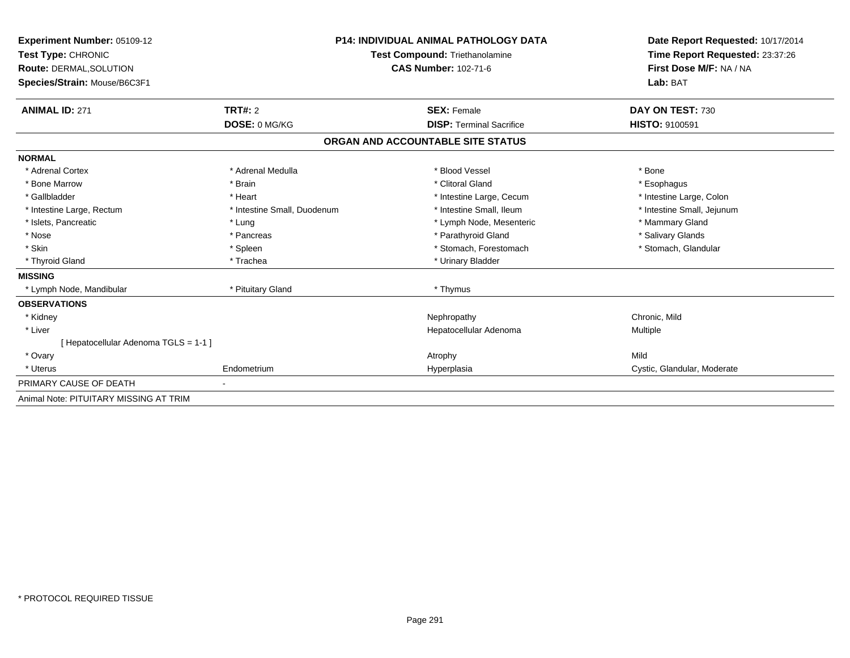| Experiment Number: 05109-12            | <b>P14: INDIVIDUAL ANIMAL PATHOLOGY DATA</b> |                                   | Date Report Requested: 10/17/2014 |  |
|----------------------------------------|----------------------------------------------|-----------------------------------|-----------------------------------|--|
| <b>Test Type: CHRONIC</b>              |                                              | Test Compound: Triethanolamine    | Time Report Requested: 23:37:26   |  |
| Route: DERMAL, SOLUTION                |                                              | <b>CAS Number: 102-71-6</b>       | First Dose M/F: NA / NA           |  |
| Species/Strain: Mouse/B6C3F1           |                                              |                                   | Lab: BAT                          |  |
| <b>ANIMAL ID: 271</b>                  | TRT#: 2                                      | <b>SEX: Female</b>                | DAY ON TEST: 730                  |  |
|                                        | DOSE: 0 MG/KG                                | <b>DISP: Terminal Sacrifice</b>   | <b>HISTO: 9100591</b>             |  |
|                                        |                                              | ORGAN AND ACCOUNTABLE SITE STATUS |                                   |  |
| <b>NORMAL</b>                          |                                              |                                   |                                   |  |
| * Adrenal Cortex                       | * Adrenal Medulla                            | * Blood Vessel                    | * Bone                            |  |
| * Bone Marrow                          | * Brain                                      | * Clitoral Gland                  | * Esophagus                       |  |
| * Gallbladder                          | * Heart                                      | * Intestine Large, Cecum          | * Intestine Large, Colon          |  |
| * Intestine Large, Rectum              | * Intestine Small, Duodenum                  | * Intestine Small. Ileum          | * Intestine Small, Jejunum        |  |
| * Islets, Pancreatic                   | * Lung                                       | * Lymph Node, Mesenteric          | * Mammary Gland                   |  |
| * Nose                                 | * Pancreas                                   | * Parathyroid Gland               | * Salivary Glands                 |  |
| * Skin                                 | * Spleen                                     | * Stomach, Forestomach            | * Stomach, Glandular              |  |
| * Thyroid Gland                        | * Trachea                                    | * Urinary Bladder                 |                                   |  |
| <b>MISSING</b>                         |                                              |                                   |                                   |  |
| * Lymph Node, Mandibular               | * Pituitary Gland                            | * Thymus                          |                                   |  |
| <b>OBSERVATIONS</b>                    |                                              |                                   |                                   |  |
| * Kidney                               |                                              | Nephropathy                       | Chronic, Mild                     |  |
| * Liver                                |                                              | Hepatocellular Adenoma            | Multiple                          |  |
| [Hepatocellular Adenoma TGLS = 1-1 ]   |                                              |                                   |                                   |  |
| * Ovary                                |                                              | Atrophy                           | Mild                              |  |
| * Uterus                               | Endometrium                                  | Hyperplasia                       | Cystic, Glandular, Moderate       |  |
| PRIMARY CAUSE OF DEATH                 |                                              |                                   |                                   |  |
| Animal Note: PITUITARY MISSING AT TRIM |                                              |                                   |                                   |  |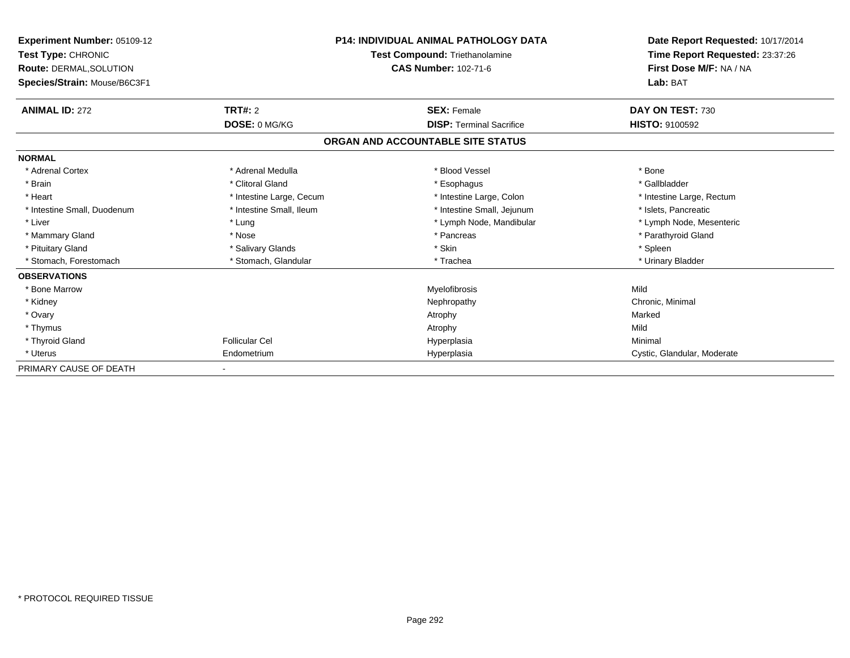| <b>Experiment Number: 05109-12</b><br><b>Test Type: CHRONIC</b><br><b>Route: DERMAL, SOLUTION</b><br>Species/Strain: Mouse/B6C3F1 | <b>P14: INDIVIDUAL ANIMAL PATHOLOGY DATA</b><br>Test Compound: Triethanolamine<br><b>CAS Number: 102-71-6</b> |                                   | Date Report Requested: 10/17/2014<br>Time Report Requested: 23:37:26<br>First Dose M/F: NA / NA<br>Lab: BAT |  |
|-----------------------------------------------------------------------------------------------------------------------------------|---------------------------------------------------------------------------------------------------------------|-----------------------------------|-------------------------------------------------------------------------------------------------------------|--|
| <b>ANIMAL ID: 272</b>                                                                                                             | <b>TRT#: 2</b>                                                                                                | <b>SEX: Female</b>                | DAY ON TEST: 730                                                                                            |  |
|                                                                                                                                   | DOSE: 0 MG/KG                                                                                                 | <b>DISP: Terminal Sacrifice</b>   | <b>HISTO: 9100592</b>                                                                                       |  |
|                                                                                                                                   |                                                                                                               | ORGAN AND ACCOUNTABLE SITE STATUS |                                                                                                             |  |
| <b>NORMAL</b>                                                                                                                     |                                                                                                               |                                   |                                                                                                             |  |
| * Adrenal Cortex                                                                                                                  | * Adrenal Medulla                                                                                             | * Blood Vessel                    | * Bone                                                                                                      |  |
| * Brain                                                                                                                           | * Clitoral Gland                                                                                              | * Esophagus                       | * Gallbladder                                                                                               |  |
| * Heart                                                                                                                           | * Intestine Large, Cecum                                                                                      | * Intestine Large, Colon          | * Intestine Large, Rectum                                                                                   |  |
| * Intestine Small, Duodenum                                                                                                       | * Intestine Small, Ileum                                                                                      | * Intestine Small, Jejunum        | * Islets, Pancreatic                                                                                        |  |
| * Liver                                                                                                                           | * Lung                                                                                                        | * Lymph Node, Mandibular          | * Lymph Node, Mesenteric                                                                                    |  |
| * Mammary Gland                                                                                                                   | * Nose                                                                                                        | * Pancreas                        | * Parathyroid Gland                                                                                         |  |
| * Pituitary Gland                                                                                                                 | * Salivary Glands                                                                                             | * Skin                            | * Spleen                                                                                                    |  |
| * Stomach, Forestomach                                                                                                            | * Stomach, Glandular                                                                                          | * Trachea                         | * Urinary Bladder                                                                                           |  |
| <b>OBSERVATIONS</b>                                                                                                               |                                                                                                               |                                   |                                                                                                             |  |
| * Bone Marrow                                                                                                                     |                                                                                                               | Myelofibrosis                     | Mild                                                                                                        |  |
| * Kidney                                                                                                                          |                                                                                                               | Nephropathy                       | Chronic, Minimal                                                                                            |  |
| * Ovary                                                                                                                           |                                                                                                               | Atrophy                           | Marked                                                                                                      |  |
| * Thymus                                                                                                                          |                                                                                                               | Atrophy                           | Mild                                                                                                        |  |
| * Thyroid Gland                                                                                                                   | <b>Follicular Cel</b>                                                                                         | Hyperplasia                       | Minimal                                                                                                     |  |
| * Uterus                                                                                                                          | Endometrium                                                                                                   | Hyperplasia                       | Cystic, Glandular, Moderate                                                                                 |  |
| PRIMARY CAUSE OF DEATH                                                                                                            |                                                                                                               |                                   |                                                                                                             |  |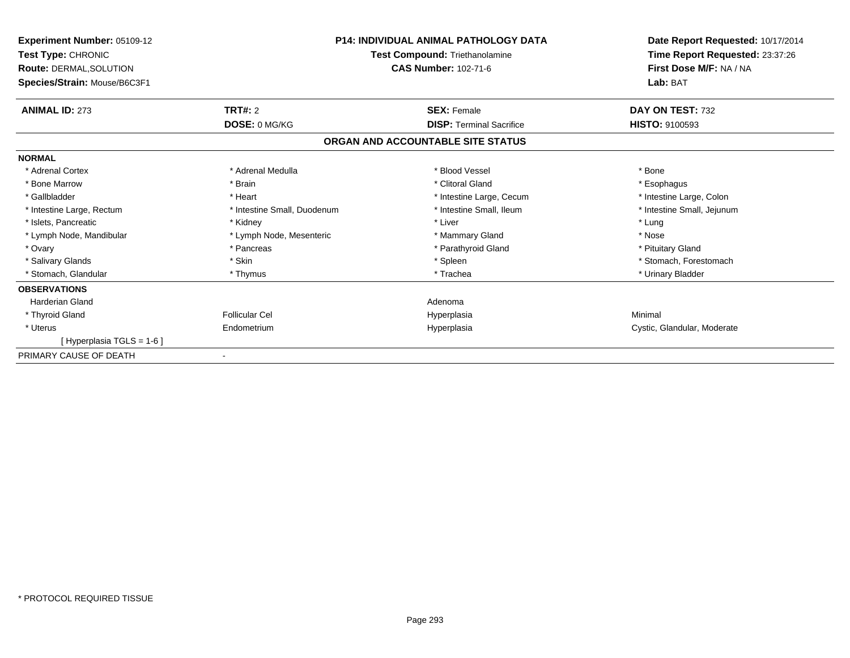| Experiment Number: 05109-12<br>Test Type: CHRONIC<br>Route: DERMAL, SOLUTION<br>Species/Strain: Mouse/B6C3F1 | <b>P14: INDIVIDUAL ANIMAL PATHOLOGY DATA</b><br>Test Compound: Triethanolamine<br><b>CAS Number: 102-71-6</b> |                                   | Date Report Requested: 10/17/2014<br>Time Report Requested: 23:37:26<br>First Dose M/F: NA / NA<br>Lab: BAT |  |
|--------------------------------------------------------------------------------------------------------------|---------------------------------------------------------------------------------------------------------------|-----------------------------------|-------------------------------------------------------------------------------------------------------------|--|
| <b>ANIMAL ID: 273</b>                                                                                        | TRT#: 2                                                                                                       | <b>SEX: Female</b>                | DAY ON TEST: 732                                                                                            |  |
|                                                                                                              | DOSE: 0 MG/KG                                                                                                 | <b>DISP: Terminal Sacrifice</b>   | <b>HISTO: 9100593</b>                                                                                       |  |
|                                                                                                              |                                                                                                               | ORGAN AND ACCOUNTABLE SITE STATUS |                                                                                                             |  |
| <b>NORMAL</b>                                                                                                |                                                                                                               |                                   |                                                                                                             |  |
| * Adrenal Cortex                                                                                             | * Adrenal Medulla                                                                                             | * Blood Vessel                    | * Bone                                                                                                      |  |
| * Bone Marrow                                                                                                | * Brain                                                                                                       | * Clitoral Gland                  | * Esophagus                                                                                                 |  |
| * Gallbladder                                                                                                | * Heart                                                                                                       | * Intestine Large, Cecum          | * Intestine Large, Colon                                                                                    |  |
| * Intestine Large, Rectum                                                                                    | * Intestine Small, Duodenum                                                                                   | * Intestine Small, Ileum          | * Intestine Small, Jejunum                                                                                  |  |
| * Islets, Pancreatic                                                                                         | * Kidney                                                                                                      | * Liver                           | * Lung                                                                                                      |  |
| * Lymph Node, Mandibular                                                                                     | * Lymph Node, Mesenteric                                                                                      | * Mammary Gland                   | * Nose                                                                                                      |  |
| * Ovary                                                                                                      | * Pancreas                                                                                                    | * Parathyroid Gland               | * Pituitary Gland                                                                                           |  |
| * Salivary Glands                                                                                            | * Skin                                                                                                        | * Spleen                          | * Stomach, Forestomach                                                                                      |  |
| * Stomach, Glandular                                                                                         | * Thymus                                                                                                      | * Trachea                         | * Urinary Bladder                                                                                           |  |
| <b>OBSERVATIONS</b>                                                                                          |                                                                                                               |                                   |                                                                                                             |  |
| <b>Harderian Gland</b>                                                                                       |                                                                                                               | Adenoma                           |                                                                                                             |  |
| * Thyroid Gland                                                                                              | Follicular Cel                                                                                                | Hyperplasia                       | Minimal                                                                                                     |  |
| * Uterus                                                                                                     | Endometrium                                                                                                   | Hyperplasia                       | Cystic, Glandular, Moderate                                                                                 |  |
| [Hyperplasia TGLS = 1-6]                                                                                     |                                                                                                               |                                   |                                                                                                             |  |
| PRIMARY CAUSE OF DEATH                                                                                       |                                                                                                               |                                   |                                                                                                             |  |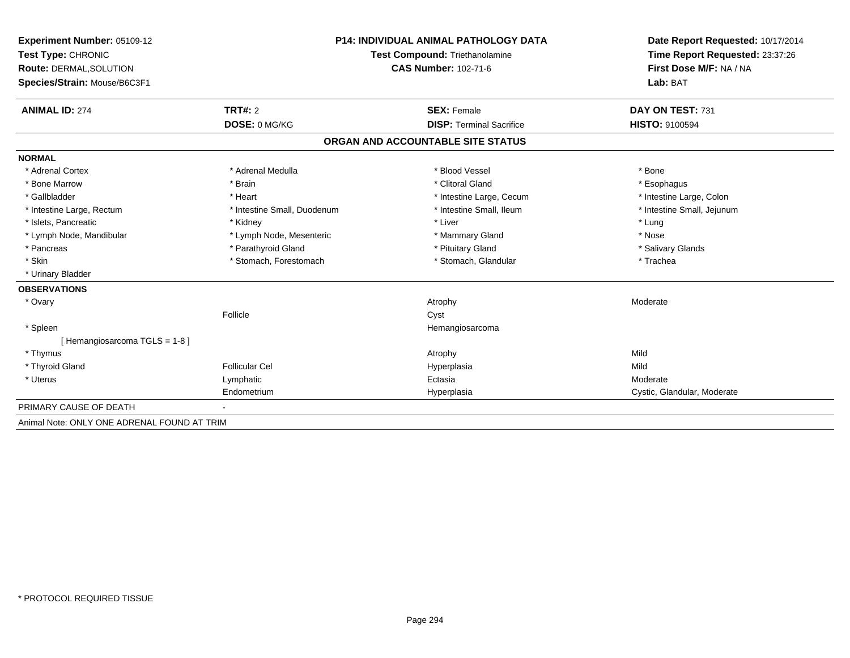| Experiment Number: 05109-12<br>Test Type: CHRONIC<br>Route: DERMAL, SOLUTION<br>Species/Strain: Mouse/B6C3F1 | <b>P14: INDIVIDUAL ANIMAL PATHOLOGY DATA</b><br>Test Compound: Triethanolamine<br><b>CAS Number: 102-71-6</b> |                                   | Date Report Requested: 10/17/2014<br>Time Report Requested: 23:37:26<br>First Dose M/F: NA / NA<br>Lab: BAT |
|--------------------------------------------------------------------------------------------------------------|---------------------------------------------------------------------------------------------------------------|-----------------------------------|-------------------------------------------------------------------------------------------------------------|
| <b>ANIMAL ID: 274</b>                                                                                        | TRT#: 2                                                                                                       | <b>SEX: Female</b>                | DAY ON TEST: 731                                                                                            |
|                                                                                                              | DOSE: 0 MG/KG                                                                                                 | <b>DISP: Terminal Sacrifice</b>   | HISTO: 9100594                                                                                              |
|                                                                                                              |                                                                                                               | ORGAN AND ACCOUNTABLE SITE STATUS |                                                                                                             |
| <b>NORMAL</b>                                                                                                |                                                                                                               |                                   |                                                                                                             |
| * Adrenal Cortex                                                                                             | * Adrenal Medulla                                                                                             | * Blood Vessel                    | * Bone                                                                                                      |
| * Bone Marrow                                                                                                | * Brain                                                                                                       | * Clitoral Gland                  | * Esophagus                                                                                                 |
| * Gallbladder                                                                                                | * Heart                                                                                                       | * Intestine Large, Cecum          | * Intestine Large, Colon                                                                                    |
| * Intestine Large, Rectum                                                                                    | * Intestine Small, Duodenum                                                                                   | * Intestine Small, Ileum          | * Intestine Small, Jejunum                                                                                  |
| * Islets, Pancreatic                                                                                         | * Kidney                                                                                                      | * Liver                           | * Lung                                                                                                      |
| * Lymph Node, Mandibular                                                                                     | * Lymph Node, Mesenteric                                                                                      | * Mammary Gland                   | * Nose                                                                                                      |
| * Pancreas                                                                                                   | * Parathyroid Gland                                                                                           | * Pituitary Gland                 | * Salivary Glands                                                                                           |
| * Skin                                                                                                       | * Stomach, Forestomach                                                                                        | * Stomach, Glandular              | * Trachea                                                                                                   |
| * Urinary Bladder                                                                                            |                                                                                                               |                                   |                                                                                                             |
| <b>OBSERVATIONS</b>                                                                                          |                                                                                                               |                                   |                                                                                                             |
| * Ovary                                                                                                      |                                                                                                               | Atrophy                           | Moderate                                                                                                    |
|                                                                                                              | Follicle                                                                                                      | Cyst                              |                                                                                                             |
| * Spleen                                                                                                     |                                                                                                               | Hemangiosarcoma                   |                                                                                                             |
| [Hemangiosarcoma TGLS = 1-8]                                                                                 |                                                                                                               |                                   |                                                                                                             |
| * Thymus                                                                                                     |                                                                                                               | Atrophy                           | Mild                                                                                                        |
| * Thyroid Gland                                                                                              | Follicular Cel                                                                                                | Hyperplasia                       | Mild                                                                                                        |
| * Uterus                                                                                                     | Lymphatic                                                                                                     | Ectasia                           | Moderate                                                                                                    |
|                                                                                                              | Endometrium                                                                                                   | Hyperplasia                       | Cystic, Glandular, Moderate                                                                                 |
| PRIMARY CAUSE OF DEATH                                                                                       |                                                                                                               |                                   |                                                                                                             |
| Animal Note: ONLY ONE ADRENAL FOUND AT TRIM                                                                  |                                                                                                               |                                   |                                                                                                             |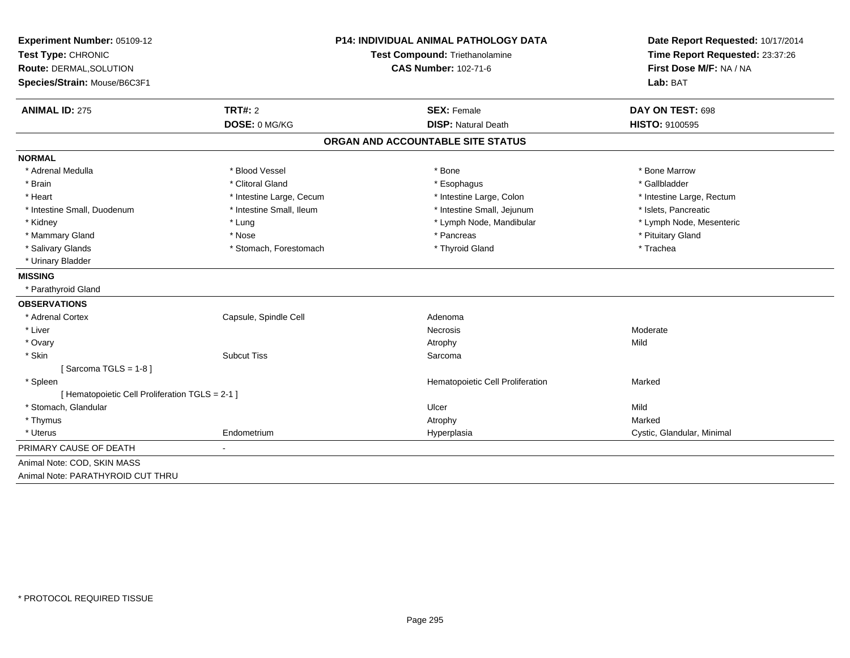| Experiment Number: 05109-12                     |                          | <b>P14: INDIVIDUAL ANIMAL PATHOLOGY DATA</b> | Date Report Requested: 10/17/2014<br>Time Report Requested: 23:37:26 |
|-------------------------------------------------|--------------------------|----------------------------------------------|----------------------------------------------------------------------|
| Test Type: CHRONIC                              |                          | Test Compound: Triethanolamine               |                                                                      |
| <b>Route: DERMAL, SOLUTION</b>                  |                          | <b>CAS Number: 102-71-6</b>                  | First Dose M/F: NA / NA                                              |
| Species/Strain: Mouse/B6C3F1                    |                          |                                              | Lab: BAT                                                             |
| <b>ANIMAL ID: 275</b>                           | <b>TRT#: 2</b>           | <b>SEX: Female</b>                           | DAY ON TEST: 698                                                     |
|                                                 | DOSE: 0 MG/KG            | <b>DISP: Natural Death</b>                   | HISTO: 9100595                                                       |
|                                                 |                          | ORGAN AND ACCOUNTABLE SITE STATUS            |                                                                      |
| <b>NORMAL</b>                                   |                          |                                              |                                                                      |
| * Adrenal Medulla                               | * Blood Vessel           | * Bone                                       | * Bone Marrow                                                        |
| * Brain                                         | * Clitoral Gland         | * Esophagus                                  | * Gallbladder                                                        |
| * Heart                                         | * Intestine Large, Cecum | * Intestine Large, Colon                     | * Intestine Large, Rectum                                            |
| * Intestine Small, Duodenum                     | * Intestine Small, Ileum | * Intestine Small, Jejunum                   | * Islets, Pancreatic                                                 |
| * Kidney                                        | * Lung                   | * Lymph Node, Mandibular                     | * Lymph Node, Mesenteric                                             |
| * Mammary Gland                                 | * Nose                   | * Pancreas                                   | * Pituitary Gland                                                    |
| * Salivary Glands                               | * Stomach, Forestomach   | * Thyroid Gland                              | * Trachea                                                            |
| * Urinary Bladder                               |                          |                                              |                                                                      |
| <b>MISSING</b>                                  |                          |                                              |                                                                      |
| * Parathyroid Gland                             |                          |                                              |                                                                      |
| <b>OBSERVATIONS</b>                             |                          |                                              |                                                                      |
| * Adrenal Cortex                                | Capsule, Spindle Cell    | Adenoma                                      |                                                                      |
| * Liver                                         |                          | <b>Necrosis</b>                              | Moderate                                                             |
| * Ovary                                         |                          | Atrophy                                      | Mild                                                                 |
| * Skin                                          | <b>Subcut Tiss</b>       | Sarcoma                                      |                                                                      |
| [Sarcoma TGLS = $1-8$ ]                         |                          |                                              |                                                                      |
| * Spleen                                        |                          | Hematopoietic Cell Proliferation             | Marked                                                               |
| [ Hematopoietic Cell Proliferation TGLS = 2-1 ] |                          |                                              |                                                                      |
| * Stomach, Glandular                            |                          | Ulcer                                        | Mild                                                                 |
| * Thymus                                        |                          | Atrophy                                      | Marked                                                               |
| * Uterus                                        | Endometrium              | Hyperplasia                                  | Cystic, Glandular, Minimal                                           |
| PRIMARY CAUSE OF DEATH                          | $\blacksquare$           |                                              |                                                                      |
| Animal Note: COD, SKIN MASS                     |                          |                                              |                                                                      |
| Animal Note: PARATHYROID CUT THRU               |                          |                                              |                                                                      |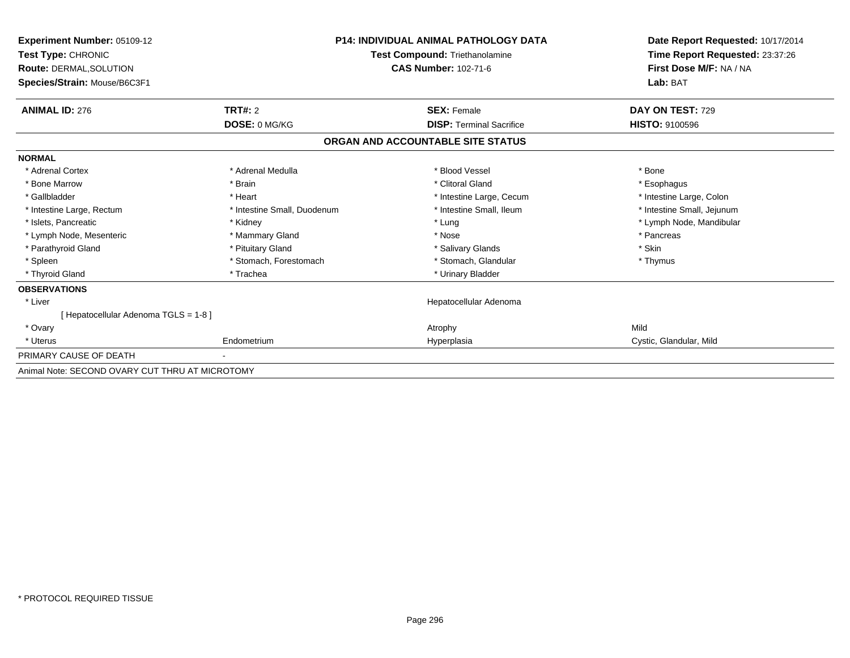| Experiment Number: 05109-12<br>Test Type: CHRONIC<br><b>Route: DERMAL, SOLUTION</b><br>Species/Strain: Mouse/B6C3F1 | P14: INDIVIDUAL ANIMAL PATHOLOGY DATA<br>Test Compound: Triethanolamine<br><b>CAS Number: 102-71-6</b> |                                   | Date Report Requested: 10/17/2014<br>Time Report Requested: 23:37:26<br>First Dose M/F: NA / NA<br>Lab: BAT |  |
|---------------------------------------------------------------------------------------------------------------------|--------------------------------------------------------------------------------------------------------|-----------------------------------|-------------------------------------------------------------------------------------------------------------|--|
|                                                                                                                     |                                                                                                        |                                   |                                                                                                             |  |
| <b>ANIMAL ID: 276</b>                                                                                               | <b>TRT#: 2</b>                                                                                         | <b>SEX: Female</b>                | DAY ON TEST: 729                                                                                            |  |
|                                                                                                                     | DOSE: 0 MG/KG                                                                                          | <b>DISP: Terminal Sacrifice</b>   | <b>HISTO: 9100596</b>                                                                                       |  |
|                                                                                                                     |                                                                                                        | ORGAN AND ACCOUNTABLE SITE STATUS |                                                                                                             |  |
| <b>NORMAL</b>                                                                                                       |                                                                                                        |                                   |                                                                                                             |  |
| * Adrenal Cortex                                                                                                    | * Adrenal Medulla                                                                                      | * Blood Vessel                    | * Bone                                                                                                      |  |
| * Bone Marrow                                                                                                       | * Brain                                                                                                | * Clitoral Gland                  | * Esophagus                                                                                                 |  |
| * Gallbladder                                                                                                       | * Heart                                                                                                | * Intestine Large, Cecum          | * Intestine Large, Colon                                                                                    |  |
| * Intestine Large, Rectum                                                                                           | * Intestine Small, Duodenum                                                                            | * Intestine Small, Ileum          | * Intestine Small, Jejunum                                                                                  |  |
| * Islets, Pancreatic                                                                                                | * Kidney                                                                                               | * Lung                            | * Lymph Node, Mandibular                                                                                    |  |
| * Lymph Node, Mesenteric                                                                                            | * Mammary Gland                                                                                        | * Nose                            | * Pancreas                                                                                                  |  |
| * Parathyroid Gland                                                                                                 | * Pituitary Gland                                                                                      | * Salivary Glands                 | * Skin                                                                                                      |  |
| * Spleen                                                                                                            | * Stomach, Forestomach                                                                                 | * Stomach, Glandular              | * Thymus                                                                                                    |  |
| * Thyroid Gland                                                                                                     | * Trachea                                                                                              | * Urinary Bladder                 |                                                                                                             |  |
| <b>OBSERVATIONS</b>                                                                                                 |                                                                                                        |                                   |                                                                                                             |  |
| * Liver                                                                                                             |                                                                                                        | Hepatocellular Adenoma            |                                                                                                             |  |
| [Hepatocellular Adenoma TGLS = 1-8]                                                                                 |                                                                                                        |                                   |                                                                                                             |  |
| * Ovary                                                                                                             |                                                                                                        | Atrophy                           | Mild                                                                                                        |  |
| * Uterus                                                                                                            | Endometrium                                                                                            | Hyperplasia                       | Cystic, Glandular, Mild                                                                                     |  |
| PRIMARY CAUSE OF DEATH                                                                                              |                                                                                                        |                                   |                                                                                                             |  |
| Animal Note: SECOND OVARY CUT THRU AT MICROTOMY                                                                     |                                                                                                        |                                   |                                                                                                             |  |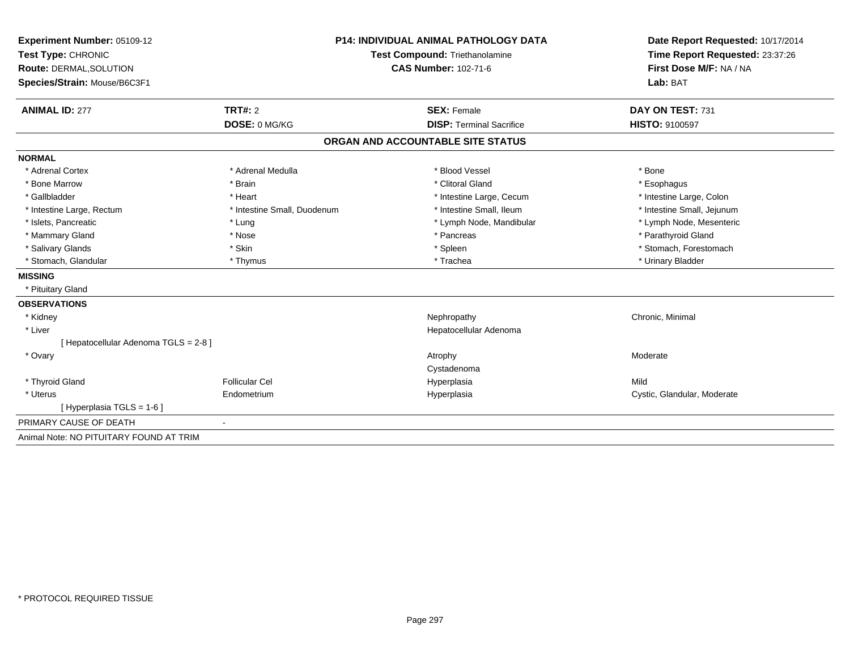| Experiment Number: 05109-12             |                                                                      | <b>P14: INDIVIDUAL ANIMAL PATHOLOGY DATA</b> | Date Report Requested: 10/17/2014 |
|-----------------------------------------|----------------------------------------------------------------------|----------------------------------------------|-----------------------------------|
| Test Type: CHRONIC                      | <b>Test Compound: Triethanolamine</b><br><b>CAS Number: 102-71-6</b> |                                              | Time Report Requested: 23:37:26   |
| <b>Route: DERMAL, SOLUTION</b>          |                                                                      |                                              | First Dose M/F: NA / NA           |
| Species/Strain: Mouse/B6C3F1            |                                                                      |                                              | Lab: BAT                          |
|                                         |                                                                      |                                              |                                   |
| <b>ANIMAL ID: 277</b>                   | TRT#: 2                                                              | <b>SEX: Female</b>                           | DAY ON TEST: 731                  |
|                                         | DOSE: 0 MG/KG                                                        | <b>DISP: Terminal Sacrifice</b>              | <b>HISTO: 9100597</b>             |
|                                         |                                                                      | ORGAN AND ACCOUNTABLE SITE STATUS            |                                   |
| <b>NORMAL</b>                           |                                                                      |                                              |                                   |
| * Adrenal Cortex                        | * Adrenal Medulla                                                    | * Blood Vessel                               | * Bone                            |
| * Bone Marrow                           | * Brain                                                              | * Clitoral Gland                             | * Esophagus                       |
| * Gallbladder                           | * Heart                                                              | * Intestine Large, Cecum                     | * Intestine Large, Colon          |
| * Intestine Large, Rectum               | * Intestine Small, Duodenum                                          | * Intestine Small, Ileum                     | * Intestine Small, Jejunum        |
| * Islets, Pancreatic                    | * Lung                                                               | * Lymph Node, Mandibular                     | * Lymph Node, Mesenteric          |
| * Mammary Gland                         | * Nose                                                               | * Pancreas                                   | * Parathyroid Gland               |
| * Salivary Glands                       | * Skin                                                               | * Spleen                                     | * Stomach, Forestomach            |
| * Stomach, Glandular                    | * Thymus                                                             | * Trachea                                    | * Urinary Bladder                 |
| <b>MISSING</b>                          |                                                                      |                                              |                                   |
| * Pituitary Gland                       |                                                                      |                                              |                                   |
| <b>OBSERVATIONS</b>                     |                                                                      |                                              |                                   |
| * Kidney                                |                                                                      | Nephropathy                                  | Chronic, Minimal                  |
| * Liver                                 |                                                                      | Hepatocellular Adenoma                       |                                   |
| [ Hepatocellular Adenoma TGLS = 2-8 ]   |                                                                      |                                              |                                   |
| * Ovary                                 |                                                                      | Atrophy                                      | Moderate                          |
|                                         |                                                                      | Cystadenoma                                  |                                   |
| * Thyroid Gland                         | <b>Follicular Cel</b>                                                | Hyperplasia                                  | Mild                              |
| * Uterus                                | Endometrium                                                          | Hyperplasia                                  | Cystic, Glandular, Moderate       |
| [Hyperplasia TGLS = 1-6]                |                                                                      |                                              |                                   |
| PRIMARY CAUSE OF DEATH                  | $\blacksquare$                                                       |                                              |                                   |
| Animal Note: NO PITUITARY FOUND AT TRIM |                                                                      |                                              |                                   |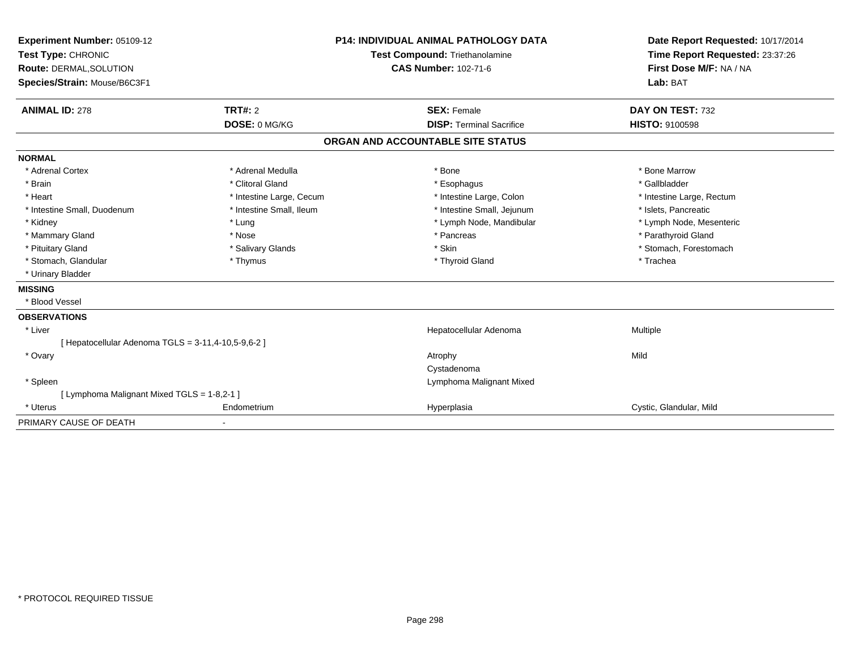| Experiment Number: 05109-12<br>Test Type: CHRONIC<br>Route: DERMAL, SOLUTION<br>Species/Strain: Mouse/B6C3F1 | <b>P14: INDIVIDUAL ANIMAL PATHOLOGY DATA</b><br><b>Test Compound: Triethanolamine</b><br><b>CAS Number: 102-71-6</b> |                                   | Date Report Requested: 10/17/2014<br>Time Report Requested: 23:37:26<br>First Dose M/F: NA / NA<br>Lab: BAT |  |
|--------------------------------------------------------------------------------------------------------------|----------------------------------------------------------------------------------------------------------------------|-----------------------------------|-------------------------------------------------------------------------------------------------------------|--|
| <b>ANIMAL ID: 278</b>                                                                                        | TRT#: 2                                                                                                              | <b>SEX: Female</b>                | DAY ON TEST: 732                                                                                            |  |
|                                                                                                              | DOSE: 0 MG/KG                                                                                                        | <b>DISP: Terminal Sacrifice</b>   | HISTO: 9100598                                                                                              |  |
|                                                                                                              |                                                                                                                      | ORGAN AND ACCOUNTABLE SITE STATUS |                                                                                                             |  |
| <b>NORMAL</b>                                                                                                |                                                                                                                      |                                   |                                                                                                             |  |
| * Adrenal Cortex                                                                                             | * Adrenal Medulla                                                                                                    | * Bone                            | * Bone Marrow                                                                                               |  |
| * Brain                                                                                                      | * Clitoral Gland                                                                                                     | * Esophagus                       | * Gallbladder                                                                                               |  |
| * Heart                                                                                                      | * Intestine Large, Cecum                                                                                             | * Intestine Large, Colon          | * Intestine Large, Rectum                                                                                   |  |
| * Intestine Small, Duodenum                                                                                  | * Intestine Small, Ileum                                                                                             | * Intestine Small, Jejunum        | * Islets, Pancreatic                                                                                        |  |
| * Kidney                                                                                                     | * Lung                                                                                                               | * Lymph Node, Mandibular          | * Lymph Node, Mesenteric                                                                                    |  |
| * Mammary Gland                                                                                              | * Nose                                                                                                               | * Pancreas                        | * Parathyroid Gland                                                                                         |  |
| * Pituitary Gland                                                                                            | * Salivary Glands                                                                                                    | * Skin                            | * Stomach, Forestomach                                                                                      |  |
| * Stomach, Glandular                                                                                         | * Thymus                                                                                                             | * Thyroid Gland                   | * Trachea                                                                                                   |  |
| * Urinary Bladder                                                                                            |                                                                                                                      |                                   |                                                                                                             |  |
| <b>MISSING</b>                                                                                               |                                                                                                                      |                                   |                                                                                                             |  |
| * Blood Vessel                                                                                               |                                                                                                                      |                                   |                                                                                                             |  |
| <b>OBSERVATIONS</b>                                                                                          |                                                                                                                      |                                   |                                                                                                             |  |
| * Liver                                                                                                      |                                                                                                                      | Hepatocellular Adenoma            | Multiple                                                                                                    |  |
| [ Hepatocellular Adenoma TGLS = 3-11,4-10,5-9,6-2 ]                                                          |                                                                                                                      |                                   |                                                                                                             |  |
| * Ovary                                                                                                      |                                                                                                                      | Atrophy                           | Mild                                                                                                        |  |
|                                                                                                              |                                                                                                                      | Cystadenoma                       |                                                                                                             |  |
| * Spleen                                                                                                     |                                                                                                                      | Lymphoma Malignant Mixed          |                                                                                                             |  |
| [ Lymphoma Malignant Mixed TGLS = 1-8,2-1 ]                                                                  |                                                                                                                      |                                   |                                                                                                             |  |
| * Uterus                                                                                                     | Endometrium                                                                                                          | Hyperplasia                       | Cystic, Glandular, Mild                                                                                     |  |
| PRIMARY CAUSE OF DEATH                                                                                       |                                                                                                                      |                                   |                                                                                                             |  |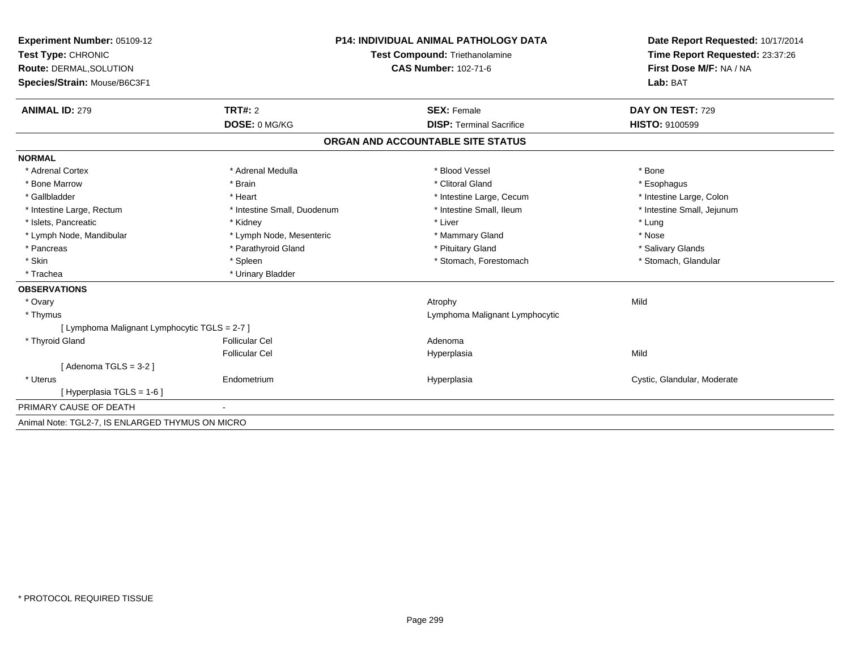| Experiment Number: 05109-12                      | <b>P14: INDIVIDUAL ANIMAL PATHOLOGY DATA</b> |                                       | Date Report Requested: 10/17/2014                                      |  |
|--------------------------------------------------|----------------------------------------------|---------------------------------------|------------------------------------------------------------------------|--|
| Test Type: CHRONIC                               |                                              | <b>Test Compound: Triethanolamine</b> | Time Report Requested: 23:37:26<br>First Dose M/F: NA / NA<br>Lab: BAT |  |
| Route: DERMAL, SOLUTION                          |                                              | <b>CAS Number: 102-71-6</b>           |                                                                        |  |
| Species/Strain: Mouse/B6C3F1                     |                                              |                                       |                                                                        |  |
|                                                  |                                              |                                       |                                                                        |  |
| <b>ANIMAL ID: 279</b>                            | TRT#: 2                                      | <b>SEX: Female</b>                    | DAY ON TEST: 729                                                       |  |
|                                                  | DOSE: 0 MG/KG                                | <b>DISP: Terminal Sacrifice</b>       | <b>HISTO: 9100599</b>                                                  |  |
|                                                  |                                              | ORGAN AND ACCOUNTABLE SITE STATUS     |                                                                        |  |
| <b>NORMAL</b>                                    |                                              |                                       |                                                                        |  |
| * Adrenal Cortex                                 | * Adrenal Medulla                            | * Blood Vessel                        | * Bone                                                                 |  |
| * Bone Marrow                                    | * Brain                                      | * Clitoral Gland                      | * Esophagus                                                            |  |
| * Gallbladder                                    | * Heart                                      | * Intestine Large, Cecum              | * Intestine Large, Colon                                               |  |
| * Intestine Large, Rectum                        | * Intestine Small, Duodenum                  | * Intestine Small. Ileum              | * Intestine Small, Jejunum                                             |  |
| * Islets, Pancreatic                             | * Kidney                                     | * Liver                               | * Lung                                                                 |  |
| * Lymph Node, Mandibular                         | * Lymph Node, Mesenteric                     | * Mammary Gland                       | * Nose                                                                 |  |
| * Pancreas                                       | * Parathyroid Gland                          | * Pituitary Gland                     | * Salivary Glands                                                      |  |
| * Skin                                           | * Spleen                                     | * Stomach, Forestomach                | * Stomach, Glandular                                                   |  |
| * Trachea                                        | * Urinary Bladder                            |                                       |                                                                        |  |
| <b>OBSERVATIONS</b>                              |                                              |                                       |                                                                        |  |
| * Ovary                                          |                                              | Atrophy                               | Mild                                                                   |  |
| * Thymus                                         |                                              | Lymphoma Malignant Lymphocytic        |                                                                        |  |
| [ Lymphoma Malignant Lymphocytic TGLS = 2-7 ]    |                                              |                                       |                                                                        |  |
| * Thyroid Gland                                  | Follicular Cel                               | Adenoma                               |                                                                        |  |
|                                                  | <b>Follicular Cel</b>                        | Hyperplasia                           | Mild                                                                   |  |
| [Adenoma TGLS = $3-2$ ]                          |                                              |                                       |                                                                        |  |
| * Uterus                                         | Endometrium                                  | Hyperplasia                           | Cystic, Glandular, Moderate                                            |  |
| [Hyperplasia TGLS = 1-6]                         |                                              |                                       |                                                                        |  |
| PRIMARY CAUSE OF DEATH                           |                                              |                                       |                                                                        |  |
| Animal Note: TGL2-7, IS ENLARGED THYMUS ON MICRO |                                              |                                       |                                                                        |  |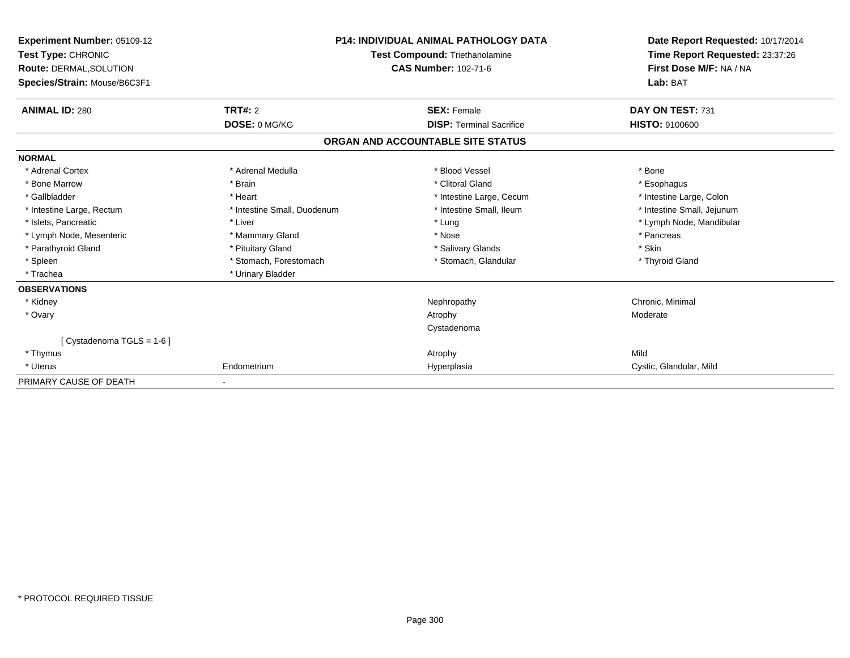| Experiment Number: 05109-12<br>Test Type: CHRONIC<br>Route: DERMAL, SOLUTION<br>Species/Strain: Mouse/B6C3F1 | <b>P14: INDIVIDUAL ANIMAL PATHOLOGY DATA</b><br>Test Compound: Triethanolamine<br><b>CAS Number: 102-71-6</b> |                                   | Date Report Requested: 10/17/2014<br>Time Report Requested: 23:37:26<br>First Dose M/F: NA / NA<br>Lab: BAT |  |
|--------------------------------------------------------------------------------------------------------------|---------------------------------------------------------------------------------------------------------------|-----------------------------------|-------------------------------------------------------------------------------------------------------------|--|
| <b>ANIMAL ID: 280</b>                                                                                        | TRT#: 2                                                                                                       | <b>SEX: Female</b>                | DAY ON TEST: 731                                                                                            |  |
|                                                                                                              | DOSE: 0 MG/KG                                                                                                 | <b>DISP: Terminal Sacrifice</b>   | <b>HISTO: 9100600</b>                                                                                       |  |
|                                                                                                              |                                                                                                               | ORGAN AND ACCOUNTABLE SITE STATUS |                                                                                                             |  |
| <b>NORMAL</b>                                                                                                |                                                                                                               |                                   |                                                                                                             |  |
| * Adrenal Cortex                                                                                             | * Adrenal Medulla                                                                                             | * Blood Vessel                    | * Bone                                                                                                      |  |
| * Bone Marrow                                                                                                | * Brain                                                                                                       | * Clitoral Gland                  | * Esophagus                                                                                                 |  |
| * Gallbladder                                                                                                | * Heart                                                                                                       | * Intestine Large, Cecum          | * Intestine Large, Colon                                                                                    |  |
| * Intestine Large, Rectum                                                                                    | * Intestine Small, Duodenum                                                                                   | * Intestine Small, Ileum          | * Intestine Small, Jejunum                                                                                  |  |
| * Islets. Pancreatic                                                                                         | * Liver                                                                                                       | * Lung                            | * Lymph Node, Mandibular                                                                                    |  |
| * Lymph Node, Mesenteric                                                                                     | * Mammary Gland                                                                                               | * Nose                            | * Pancreas                                                                                                  |  |
| * Parathyroid Gland                                                                                          | * Pituitary Gland                                                                                             | * Salivary Glands                 | * Skin                                                                                                      |  |
| * Spleen                                                                                                     | * Stomach, Forestomach                                                                                        | * Stomach, Glandular              | * Thyroid Gland                                                                                             |  |
| * Trachea                                                                                                    | * Urinary Bladder                                                                                             |                                   |                                                                                                             |  |
| <b>OBSERVATIONS</b>                                                                                          |                                                                                                               |                                   |                                                                                                             |  |
| * Kidney                                                                                                     |                                                                                                               | Nephropathy                       | Chronic, Minimal                                                                                            |  |
| * Ovary                                                                                                      |                                                                                                               | Atrophy                           | Moderate                                                                                                    |  |
|                                                                                                              |                                                                                                               | Cystadenoma                       |                                                                                                             |  |
| [ Cystadenoma TGLS = 1-6 ]                                                                                   |                                                                                                               |                                   |                                                                                                             |  |
| * Thymus                                                                                                     |                                                                                                               | Atrophy                           | Mild                                                                                                        |  |
| * Uterus                                                                                                     | Endometrium                                                                                                   | Hyperplasia                       | Cystic, Glandular, Mild                                                                                     |  |
| PRIMARY CAUSE OF DEATH                                                                                       |                                                                                                               |                                   |                                                                                                             |  |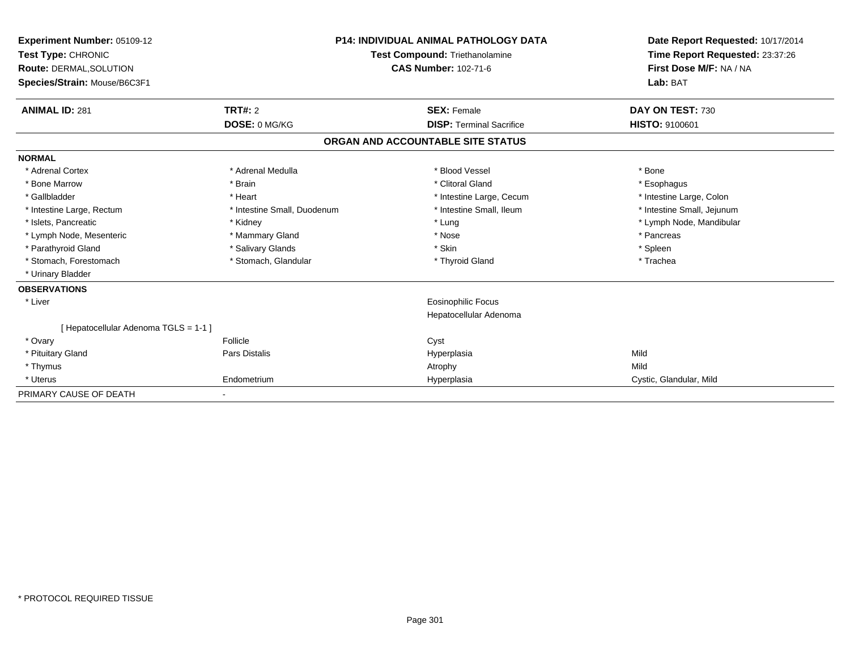| <b>P14: INDIVIDUAL ANIMAL PATHOLOGY DATA</b><br>Experiment Number: 05109-12<br>Test Type: CHRONIC<br>Test Compound: Triethanolamine<br><b>CAS Number: 102-71-6</b><br>Route: DERMAL, SOLUTION<br>Species/Strain: Mouse/B6C3F1 |                             |                                                     | Date Report Requested: 10/17/2014<br>Time Report Requested: 23:37:26<br>First Dose M/F: NA / NA<br>Lab: BAT |
|-------------------------------------------------------------------------------------------------------------------------------------------------------------------------------------------------------------------------------|-----------------------------|-----------------------------------------------------|-------------------------------------------------------------------------------------------------------------|
| <b>ANIMAL ID: 281</b>                                                                                                                                                                                                         | TRT#: 2                     | <b>SEX: Female</b>                                  | DAY ON TEST: 730                                                                                            |
|                                                                                                                                                                                                                               | DOSE: 0 MG/KG               | <b>DISP:</b> Terminal Sacrifice                     | <b>HISTO: 9100601</b>                                                                                       |
|                                                                                                                                                                                                                               |                             | ORGAN AND ACCOUNTABLE SITE STATUS                   |                                                                                                             |
| <b>NORMAL</b>                                                                                                                                                                                                                 |                             |                                                     |                                                                                                             |
| * Adrenal Cortex                                                                                                                                                                                                              | * Adrenal Medulla           | * Blood Vessel                                      | * Bone                                                                                                      |
| * Bone Marrow                                                                                                                                                                                                                 | * Brain                     | * Clitoral Gland                                    | * Esophagus                                                                                                 |
| * Gallbladder                                                                                                                                                                                                                 | * Heart                     | * Intestine Large, Cecum                            | * Intestine Large, Colon                                                                                    |
| * Intestine Large, Rectum                                                                                                                                                                                                     | * Intestine Small, Duodenum | * Intestine Small, Ileum                            | * Intestine Small, Jejunum                                                                                  |
| * Islets, Pancreatic                                                                                                                                                                                                          | * Kidney                    | * Lung                                              | * Lymph Node, Mandibular                                                                                    |
| * Lymph Node, Mesenteric                                                                                                                                                                                                      | * Mammary Gland             | * Nose                                              | * Pancreas                                                                                                  |
| * Parathyroid Gland                                                                                                                                                                                                           | * Salivary Glands           | * Skin                                              | * Spleen                                                                                                    |
| * Stomach, Forestomach                                                                                                                                                                                                        | * Stomach, Glandular        | * Thyroid Gland                                     | * Trachea                                                                                                   |
| * Urinary Bladder                                                                                                                                                                                                             |                             |                                                     |                                                                                                             |
| <b>OBSERVATIONS</b>                                                                                                                                                                                                           |                             |                                                     |                                                                                                             |
| * Liver                                                                                                                                                                                                                       |                             | <b>Eosinophilic Focus</b><br>Hepatocellular Adenoma |                                                                                                             |
| [Hepatocellular Adenoma TGLS = 1-1 ]                                                                                                                                                                                          |                             |                                                     |                                                                                                             |
| * Ovary                                                                                                                                                                                                                       | Follicle                    | Cyst                                                |                                                                                                             |
| * Pituitary Gland                                                                                                                                                                                                             | Pars Distalis               | Hyperplasia                                         | Mild                                                                                                        |
| * Thymus                                                                                                                                                                                                                      |                             | Atrophy                                             | Mild                                                                                                        |
| * Uterus                                                                                                                                                                                                                      | Endometrium                 | Hyperplasia                                         | Cystic, Glandular, Mild                                                                                     |
| PRIMARY CAUSE OF DEATH                                                                                                                                                                                                        |                             |                                                     |                                                                                                             |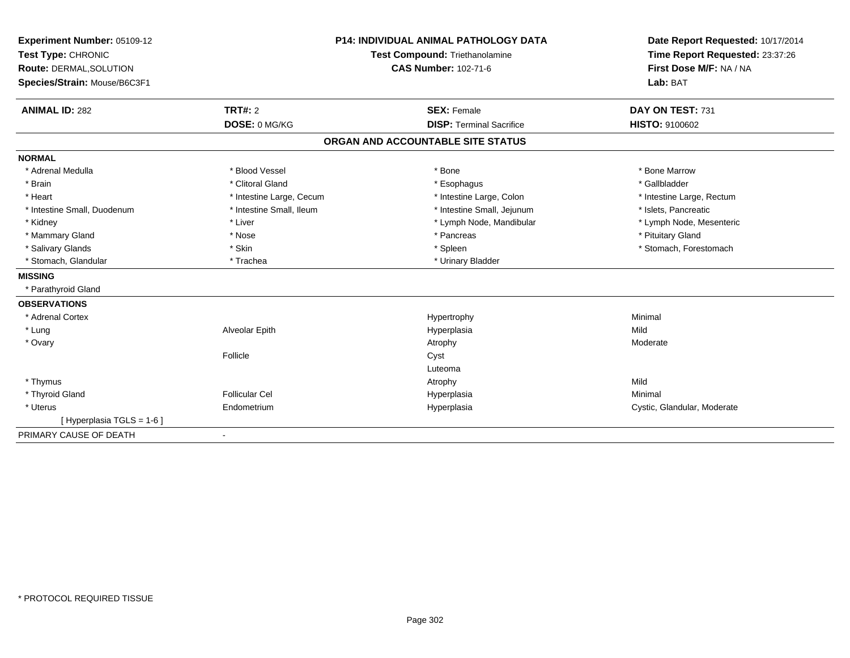| Experiment Number: 05109-12<br>Test Type: CHRONIC |                          | <b>P14: INDIVIDUAL ANIMAL PATHOLOGY DATA</b><br>Test Compound: Triethanolamine | Date Report Requested: 10/17/2014<br>Time Report Requested: 23:37:26 |
|---------------------------------------------------|--------------------------|--------------------------------------------------------------------------------|----------------------------------------------------------------------|
| Route: DERMAL, SOLUTION                           |                          | <b>CAS Number: 102-71-6</b>                                                    | First Dose M/F: NA / NA                                              |
| Species/Strain: Mouse/B6C3F1                      |                          |                                                                                | Lab: BAT                                                             |
| <b>ANIMAL ID: 282</b>                             | TRT#: 2                  | <b>SEX: Female</b>                                                             | DAY ON TEST: 731                                                     |
|                                                   | DOSE: 0 MG/KG            | <b>DISP: Terminal Sacrifice</b>                                                | <b>HISTO: 9100602</b>                                                |
|                                                   |                          | ORGAN AND ACCOUNTABLE SITE STATUS                                              |                                                                      |
| <b>NORMAL</b>                                     |                          |                                                                                |                                                                      |
| * Adrenal Medulla                                 | * Blood Vessel           | * Bone                                                                         | * Bone Marrow                                                        |
| * Brain                                           | * Clitoral Gland         | * Esophagus                                                                    | * Gallbladder                                                        |
| * Heart                                           | * Intestine Large, Cecum | * Intestine Large, Colon                                                       | * Intestine Large, Rectum                                            |
| * Intestine Small, Duodenum                       | * Intestine Small, Ileum | * Intestine Small, Jejunum                                                     | * Islets, Pancreatic                                                 |
| * Kidney                                          | * Liver                  | * Lymph Node, Mandibular                                                       | * Lymph Node, Mesenteric                                             |
| * Mammary Gland                                   | * Nose                   | * Pancreas                                                                     | * Pituitary Gland                                                    |
| * Salivary Glands                                 | * Skin                   | * Spleen                                                                       | * Stomach, Forestomach                                               |
| * Stomach, Glandular                              | * Trachea                | * Urinary Bladder                                                              |                                                                      |
| <b>MISSING</b>                                    |                          |                                                                                |                                                                      |
| * Parathyroid Gland                               |                          |                                                                                |                                                                      |
| <b>OBSERVATIONS</b>                               |                          |                                                                                |                                                                      |
| * Adrenal Cortex                                  |                          | Hypertrophy                                                                    | Minimal                                                              |
| * Lung                                            | Alveolar Epith           | Hyperplasia                                                                    | Mild                                                                 |
| * Ovary                                           |                          | Atrophy                                                                        | Moderate                                                             |
|                                                   | Follicle                 | Cyst                                                                           |                                                                      |
|                                                   |                          | Luteoma                                                                        |                                                                      |
| * Thymus                                          |                          | Atrophy                                                                        | Mild                                                                 |
| * Thyroid Gland                                   | <b>Follicular Cel</b>    | Hyperplasia                                                                    | Minimal                                                              |
| * Uterus                                          | Endometrium              | Hyperplasia                                                                    | Cystic, Glandular, Moderate                                          |
| [Hyperplasia TGLS = $1-6$ ]                       |                          |                                                                                |                                                                      |
| PRIMARY CAUSE OF DEATH                            | $\overline{\phantom{a}}$ |                                                                                |                                                                      |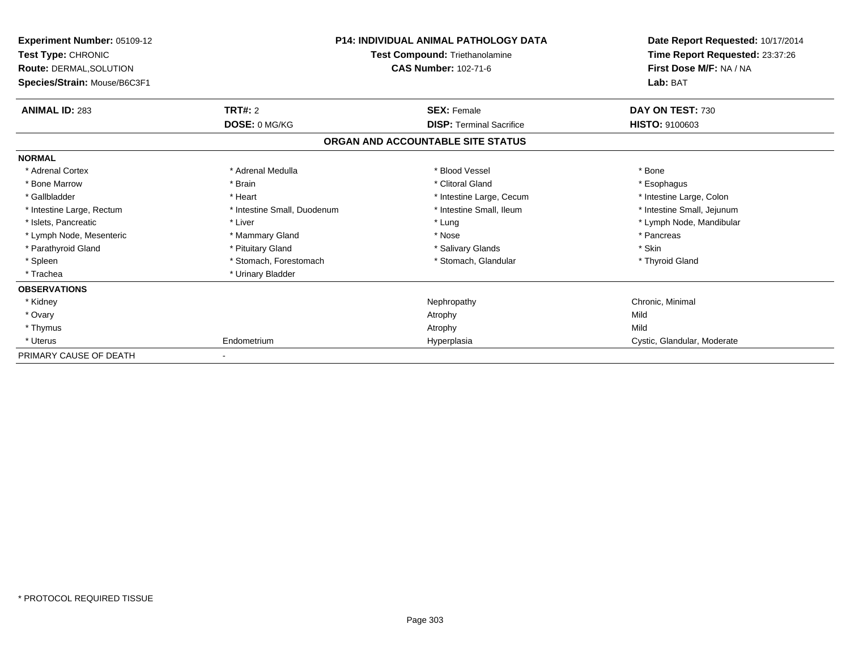| <b>P14: INDIVIDUAL ANIMAL PATHOLOGY DATA</b><br>Experiment Number: 05109-12<br>Test Compound: Triethanolamine<br>Test Type: CHRONIC<br><b>CAS Number: 102-71-6</b><br>Route: DERMAL, SOLUTION |                             |                                   | Date Report Requested: 10/17/2014<br>Time Report Requested: 23:37:26<br>First Dose M/F: NA / NA |  |
|-----------------------------------------------------------------------------------------------------------------------------------------------------------------------------------------------|-----------------------------|-----------------------------------|-------------------------------------------------------------------------------------------------|--|
| Species/Strain: Mouse/B6C3F1                                                                                                                                                                  |                             |                                   | Lab: BAT                                                                                        |  |
| <b>ANIMAL ID: 283</b>                                                                                                                                                                         | TRT#: 2                     | <b>SEX: Female</b>                | DAY ON TEST: 730                                                                                |  |
|                                                                                                                                                                                               | DOSE: 0 MG/KG               | <b>DISP: Terminal Sacrifice</b>   | <b>HISTO: 9100603</b>                                                                           |  |
|                                                                                                                                                                                               |                             | ORGAN AND ACCOUNTABLE SITE STATUS |                                                                                                 |  |
| <b>NORMAL</b>                                                                                                                                                                                 |                             |                                   |                                                                                                 |  |
| * Adrenal Cortex                                                                                                                                                                              | * Adrenal Medulla           | * Blood Vessel                    | * Bone                                                                                          |  |
| * Bone Marrow                                                                                                                                                                                 | * Brain                     | * Clitoral Gland                  | * Esophagus                                                                                     |  |
| * Gallbladder                                                                                                                                                                                 | * Heart                     | * Intestine Large, Cecum          | * Intestine Large, Colon                                                                        |  |
| * Intestine Large, Rectum                                                                                                                                                                     | * Intestine Small, Duodenum | * Intestine Small, Ileum          | * Intestine Small, Jejunum                                                                      |  |
| * Islets. Pancreatic                                                                                                                                                                          | * Liver                     | * Lung                            | * Lymph Node, Mandibular                                                                        |  |
| * Lymph Node, Mesenteric                                                                                                                                                                      | * Mammary Gland             | * Nose                            | * Pancreas                                                                                      |  |
| * Parathyroid Gland                                                                                                                                                                           | * Pituitary Gland           | * Salivary Glands                 | * Skin                                                                                          |  |
| * Spleen                                                                                                                                                                                      | * Stomach. Forestomach      | * Stomach, Glandular              | * Thyroid Gland                                                                                 |  |
| * Trachea                                                                                                                                                                                     | * Urinary Bladder           |                                   |                                                                                                 |  |
| <b>OBSERVATIONS</b>                                                                                                                                                                           |                             |                                   |                                                                                                 |  |
| * Kidney                                                                                                                                                                                      |                             | Nephropathy                       | Chronic, Minimal                                                                                |  |
| * Ovary                                                                                                                                                                                       |                             | Atrophy                           | Mild                                                                                            |  |
| * Thymus                                                                                                                                                                                      |                             | Atrophy                           | Mild                                                                                            |  |
| * Uterus                                                                                                                                                                                      | Endometrium                 | Hyperplasia                       | Cystic, Glandular, Moderate                                                                     |  |
| PRIMARY CAUSE OF DEATH                                                                                                                                                                        |                             |                                   |                                                                                                 |  |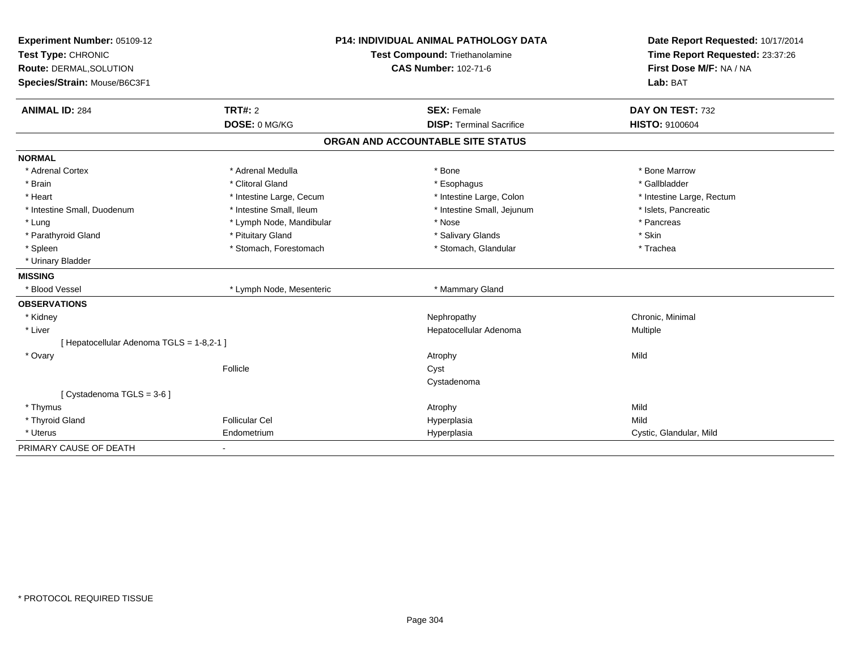| Experiment Number: 05109-12               | <b>P14: INDIVIDUAL ANIMAL PATHOLOGY DATA</b><br>Test Compound: Triethanolamine |                                   | Date Report Requested: 10/17/2014 |
|-------------------------------------------|--------------------------------------------------------------------------------|-----------------------------------|-----------------------------------|
| Test Type: CHRONIC                        |                                                                                |                                   | Time Report Requested: 23:37:26   |
| Route: DERMAL, SOLUTION                   |                                                                                | <b>CAS Number: 102-71-6</b>       | First Dose M/F: NA / NA           |
| Species/Strain: Mouse/B6C3F1              |                                                                                |                                   | Lab: BAT                          |
| <b>ANIMAL ID: 284</b>                     | <b>TRT#: 2</b>                                                                 | <b>SEX: Female</b>                | DAY ON TEST: 732                  |
|                                           | DOSE: 0 MG/KG                                                                  | <b>DISP: Terminal Sacrifice</b>   | <b>HISTO: 9100604</b>             |
|                                           |                                                                                | ORGAN AND ACCOUNTABLE SITE STATUS |                                   |
| <b>NORMAL</b>                             |                                                                                |                                   |                                   |
| * Adrenal Cortex                          | * Adrenal Medulla                                                              | * Bone                            | * Bone Marrow                     |
| * Brain                                   | * Clitoral Gland                                                               | * Esophagus                       | * Gallbladder                     |
| * Heart                                   | * Intestine Large, Cecum                                                       | * Intestine Large, Colon          | * Intestine Large, Rectum         |
| * Intestine Small, Duodenum               | * Intestine Small, Ileum                                                       | * Intestine Small, Jejunum        | * Islets, Pancreatic              |
| * Lung                                    | * Lymph Node, Mandibular                                                       | * Nose                            | * Pancreas                        |
| * Parathyroid Gland                       | * Pituitary Gland                                                              | * Salivary Glands                 | * Skin                            |
| * Spleen                                  | * Stomach, Forestomach                                                         | * Stomach, Glandular              | * Trachea                         |
| * Urinary Bladder                         |                                                                                |                                   |                                   |
| <b>MISSING</b>                            |                                                                                |                                   |                                   |
| * Blood Vessel                            | * Lymph Node, Mesenteric                                                       | * Mammary Gland                   |                                   |
| <b>OBSERVATIONS</b>                       |                                                                                |                                   |                                   |
| * Kidney                                  |                                                                                | Nephropathy                       | Chronic, Minimal                  |
| * Liver                                   |                                                                                | Hepatocellular Adenoma            | Multiple                          |
| [ Hepatocellular Adenoma TGLS = 1-8,2-1 ] |                                                                                |                                   |                                   |
| * Ovary                                   |                                                                                | Atrophy                           | Mild                              |
|                                           | Follicle                                                                       | Cyst                              |                                   |
|                                           |                                                                                | Cystadenoma                       |                                   |
| [ Cystadenoma TGLS = 3-6 ]                |                                                                                |                                   |                                   |
| * Thymus                                  |                                                                                | Atrophy                           | Mild                              |
| * Thyroid Gland                           | <b>Follicular Cel</b>                                                          | Hyperplasia                       | Mild                              |
| * Uterus                                  | Endometrium                                                                    | Hyperplasia                       | Cystic, Glandular, Mild           |
| PRIMARY CAUSE OF DEATH                    |                                                                                |                                   |                                   |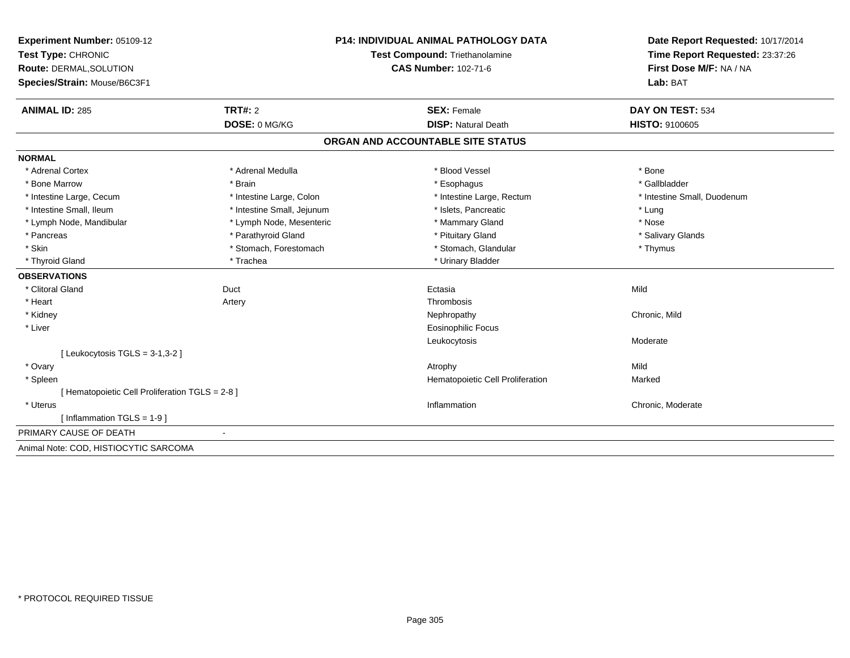| Experiment Number: 05109-12                     | <b>P14: INDIVIDUAL ANIMAL PATHOLOGY DATA</b> |                                   | Date Report Requested: 10/17/2014 |  |
|-------------------------------------------------|----------------------------------------------|-----------------------------------|-----------------------------------|--|
| Test Type: CHRONIC                              |                                              | Test Compound: Triethanolamine    | Time Report Requested: 23:37:26   |  |
| Route: DERMAL, SOLUTION                         |                                              | <b>CAS Number: 102-71-6</b>       | First Dose M/F: NA / NA           |  |
| Species/Strain: Mouse/B6C3F1                    |                                              |                                   | Lab: BAT                          |  |
| <b>ANIMAL ID: 285</b>                           | TRT#: 2                                      | <b>SEX: Female</b>                | DAY ON TEST: 534                  |  |
|                                                 | DOSE: 0 MG/KG                                | <b>DISP: Natural Death</b>        | <b>HISTO: 9100605</b>             |  |
|                                                 |                                              | ORGAN AND ACCOUNTABLE SITE STATUS |                                   |  |
| <b>NORMAL</b>                                   |                                              |                                   |                                   |  |
| * Adrenal Cortex                                | * Adrenal Medulla                            | * Blood Vessel                    | * Bone                            |  |
| * Bone Marrow                                   | * Brain                                      | * Esophagus                       | * Gallbladder                     |  |
| * Intestine Large, Cecum                        | * Intestine Large, Colon                     | * Intestine Large, Rectum         | * Intestine Small, Duodenum       |  |
| * Intestine Small, Ileum                        | * Intestine Small, Jejunum                   | * Islets, Pancreatic              | * Lung                            |  |
| * Lymph Node, Mandibular                        | * Lymph Node, Mesenteric                     | * Mammary Gland                   | * Nose                            |  |
| * Pancreas                                      | * Parathyroid Gland                          | * Pituitary Gland                 | * Salivary Glands                 |  |
| * Skin                                          | * Stomach, Forestomach                       | * Stomach, Glandular              | * Thymus                          |  |
| * Thyroid Gland                                 | * Trachea                                    | * Urinary Bladder                 |                                   |  |
| <b>OBSERVATIONS</b>                             |                                              |                                   |                                   |  |
| * Clitoral Gland                                | Duct                                         | Ectasia                           | Mild                              |  |
| * Heart                                         | Artery                                       | Thrombosis                        |                                   |  |
| * Kidney                                        |                                              | Nephropathy                       | Chronic, Mild                     |  |
| * Liver                                         |                                              | <b>Eosinophilic Focus</b>         |                                   |  |
|                                                 |                                              | Leukocytosis                      | Moderate                          |  |
| [Leukocytosis TGLS = $3-1,3-2$ ]                |                                              |                                   |                                   |  |
| * Ovary                                         |                                              | Atrophy                           | Mild                              |  |
| * Spleen                                        |                                              | Hematopoietic Cell Proliferation  | Marked                            |  |
| [ Hematopoietic Cell Proliferation TGLS = 2-8 ] |                                              |                                   |                                   |  |
| * Uterus                                        |                                              | Inflammation                      | Chronic, Moderate                 |  |
| [Inflammation TGLS = $1-9$ ]                    |                                              |                                   |                                   |  |
| PRIMARY CAUSE OF DEATH                          | $\blacksquare$                               |                                   |                                   |  |
| Animal Note: COD, HISTIOCYTIC SARCOMA           |                                              |                                   |                                   |  |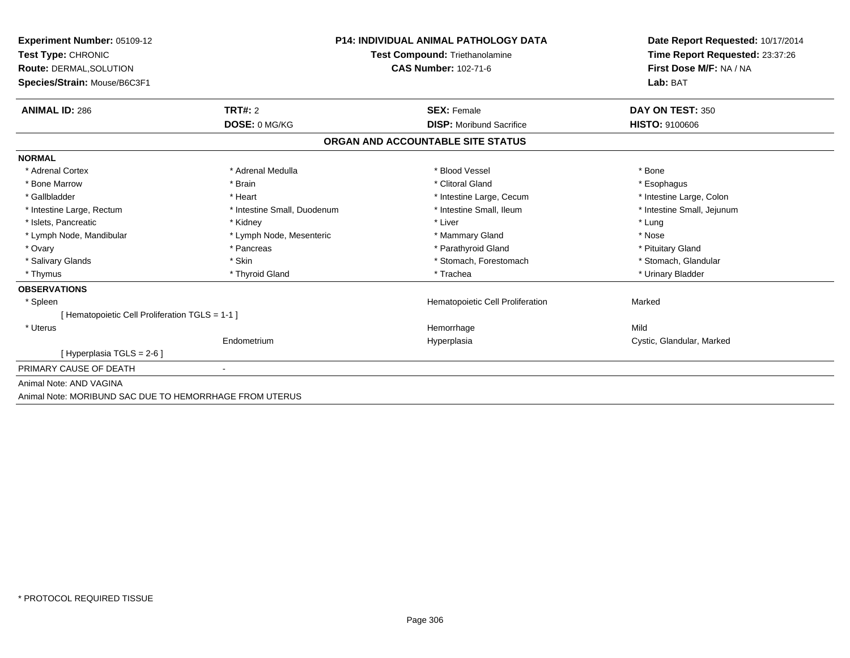| Experiment Number: 05109-12                             |                             | <b>P14: INDIVIDUAL ANIMAL PATHOLOGY DATA</b>                         | Date Report Requested: 10/17/2014<br>Time Report Requested: 23:37:26<br>First Dose M/F: NA / NA |
|---------------------------------------------------------|-----------------------------|----------------------------------------------------------------------|-------------------------------------------------------------------------------------------------|
| Test Type: CHRONIC<br><b>Route: DERMAL, SOLUTION</b>    |                             | <b>Test Compound: Triethanolamine</b><br><b>CAS Number: 102-71-6</b> |                                                                                                 |
| Species/Strain: Mouse/B6C3F1                            |                             |                                                                      | Lab: BAT                                                                                        |
| <b>ANIMAL ID: 286</b>                                   | <b>TRT#: 2</b>              | <b>SEX: Female</b>                                                   | DAY ON TEST: 350                                                                                |
|                                                         | DOSE: 0 MG/KG               | <b>DISP:</b> Moribund Sacrifice                                      | <b>HISTO: 9100606</b>                                                                           |
|                                                         |                             | ORGAN AND ACCOUNTABLE SITE STATUS                                    |                                                                                                 |
| <b>NORMAL</b>                                           |                             |                                                                      |                                                                                                 |
| * Adrenal Cortex                                        | * Adrenal Medulla           | * Blood Vessel                                                       | * Bone                                                                                          |
| * Bone Marrow                                           | * Brain                     | * Clitoral Gland                                                     | * Esophagus                                                                                     |
| * Gallbladder                                           | * Heart                     | * Intestine Large, Cecum                                             | * Intestine Large, Colon                                                                        |
| * Intestine Large, Rectum                               | * Intestine Small, Duodenum | * Intestine Small, Ileum                                             | * Intestine Small, Jejunum                                                                      |
| * Islets, Pancreatic                                    | * Kidney                    | * Liver                                                              | * Lung                                                                                          |
| * Lymph Node, Mandibular                                | * Lymph Node, Mesenteric    | * Mammary Gland                                                      | * Nose                                                                                          |
| * Ovary                                                 | * Pancreas                  | * Parathyroid Gland                                                  | * Pituitary Gland                                                                               |
| * Salivary Glands                                       | * Skin                      | * Stomach, Forestomach                                               | * Stomach, Glandular                                                                            |
| * Thymus                                                | * Thyroid Gland             | * Trachea                                                            | * Urinary Bladder                                                                               |
| <b>OBSERVATIONS</b>                                     |                             |                                                                      |                                                                                                 |
| * Spleen                                                |                             | Hematopoietic Cell Proliferation                                     | Marked                                                                                          |
| [ Hematopoietic Cell Proliferation TGLS = 1-1 ]         |                             |                                                                      |                                                                                                 |
| * Uterus                                                |                             | Hemorrhage                                                           | Mild                                                                                            |
|                                                         | Endometrium                 | Hyperplasia                                                          | Cystic, Glandular, Marked                                                                       |
| [Hyperplasia TGLS = 2-6]                                |                             |                                                                      |                                                                                                 |
| PRIMARY CAUSE OF DEATH                                  |                             |                                                                      |                                                                                                 |
| Animal Note: AND VAGINA                                 |                             |                                                                      |                                                                                                 |
| Animal Note: MORIBUND SAC DUE TO HEMORRHAGE FROM UTERUS |                             |                                                                      |                                                                                                 |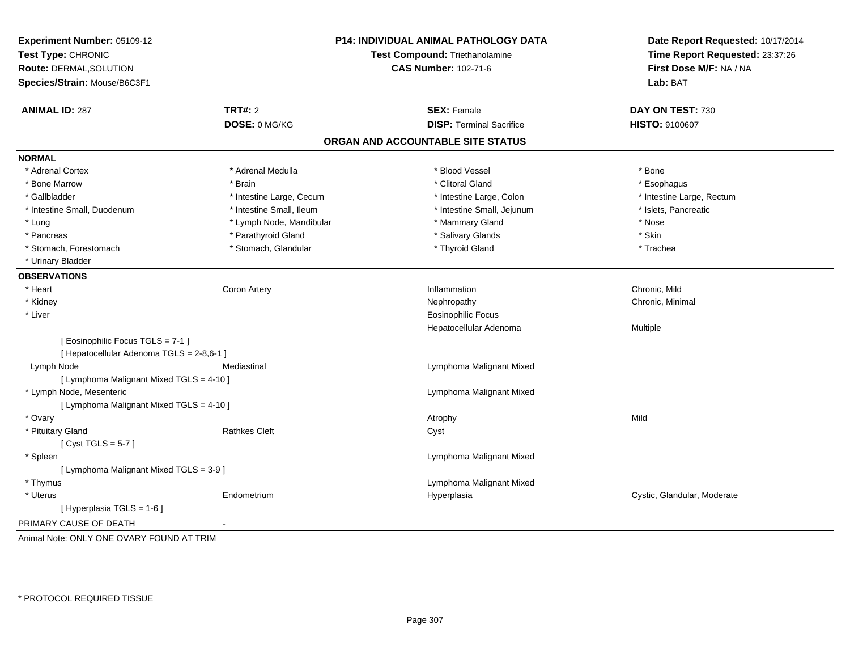| Experiment Number: 05109-12<br>Test Type: CHRONIC<br>Route: DERMAL, SOLUTION<br>Species/Strain: Mouse/B6C3F1 |                          | P14: INDIVIDUAL ANIMAL PATHOLOGY DATA<br>Test Compound: Triethanolamine<br><b>CAS Number: 102-71-6</b> |                             |
|--------------------------------------------------------------------------------------------------------------|--------------------------|--------------------------------------------------------------------------------------------------------|-----------------------------|
| <b>ANIMAL ID: 287</b>                                                                                        | <b>TRT#: 2</b>           | <b>SEX: Female</b>                                                                                     | DAY ON TEST: 730            |
|                                                                                                              | DOSE: 0 MG/KG            | <b>DISP: Terminal Sacrifice</b>                                                                        | HISTO: 9100607              |
|                                                                                                              |                          | ORGAN AND ACCOUNTABLE SITE STATUS                                                                      |                             |
| <b>NORMAL</b>                                                                                                |                          |                                                                                                        |                             |
| * Adrenal Cortex                                                                                             | * Adrenal Medulla        | * Blood Vessel                                                                                         | * Bone                      |
| * Bone Marrow                                                                                                | * Brain                  | * Clitoral Gland                                                                                       | * Esophagus                 |
| * Gallbladder                                                                                                | * Intestine Large, Cecum | * Intestine Large, Colon                                                                               | * Intestine Large, Rectum   |
| * Intestine Small, Duodenum                                                                                  | * Intestine Small, Ileum | * Intestine Small, Jejunum                                                                             | * Islets, Pancreatic        |
| * Lung                                                                                                       | * Lymph Node, Mandibular | * Mammary Gland                                                                                        | * Nose                      |
| * Pancreas                                                                                                   | * Parathyroid Gland      | * Salivary Glands                                                                                      | * Skin                      |
| * Stomach, Forestomach                                                                                       | * Stomach, Glandular     | * Thyroid Gland                                                                                        | * Trachea                   |
| * Urinary Bladder                                                                                            |                          |                                                                                                        |                             |
| <b>OBSERVATIONS</b>                                                                                          |                          |                                                                                                        |                             |
| * Heart                                                                                                      | Coron Artery             | Inflammation                                                                                           | Chronic, Mild               |
| * Kidney                                                                                                     |                          | Nephropathy                                                                                            | Chronic, Minimal            |
| * Liver                                                                                                      |                          | Eosinophilic Focus                                                                                     |                             |
|                                                                                                              |                          | Hepatocellular Adenoma                                                                                 | Multiple                    |
| [ Eosinophilic Focus TGLS = 7-1 ]                                                                            |                          |                                                                                                        |                             |
| [ Hepatocellular Adenoma TGLS = 2-8,6-1 ]                                                                    |                          |                                                                                                        |                             |
| Lymph Node                                                                                                   | Mediastinal              | Lymphoma Malignant Mixed                                                                               |                             |
| [ Lymphoma Malignant Mixed TGLS = 4-10 ]                                                                     |                          |                                                                                                        |                             |
| * Lymph Node, Mesenteric                                                                                     |                          | Lymphoma Malignant Mixed                                                                               |                             |
| [ Lymphoma Malignant Mixed TGLS = 4-10 ]                                                                     |                          |                                                                                                        |                             |
| * Ovary                                                                                                      |                          | Atrophy                                                                                                | Mild                        |
| * Pituitary Gland                                                                                            | <b>Rathkes Cleft</b>     | Cyst                                                                                                   |                             |
| [Cyst TGLS = $5-7$ ]                                                                                         |                          |                                                                                                        |                             |
| * Spleen                                                                                                     |                          | Lymphoma Malignant Mixed                                                                               |                             |
| [ Lymphoma Malignant Mixed TGLS = 3-9 ]                                                                      |                          |                                                                                                        |                             |
| * Thymus                                                                                                     |                          | Lymphoma Malignant Mixed                                                                               |                             |
| * Uterus                                                                                                     | Endometrium              | Hyperplasia                                                                                            | Cystic, Glandular, Moderate |
| [Hyperplasia TGLS = 1-6]                                                                                     |                          |                                                                                                        |                             |
| PRIMARY CAUSE OF DEATH                                                                                       |                          |                                                                                                        |                             |
| Animal Note: ONLY ONE OVARY FOUND AT TRIM                                                                    |                          |                                                                                                        |                             |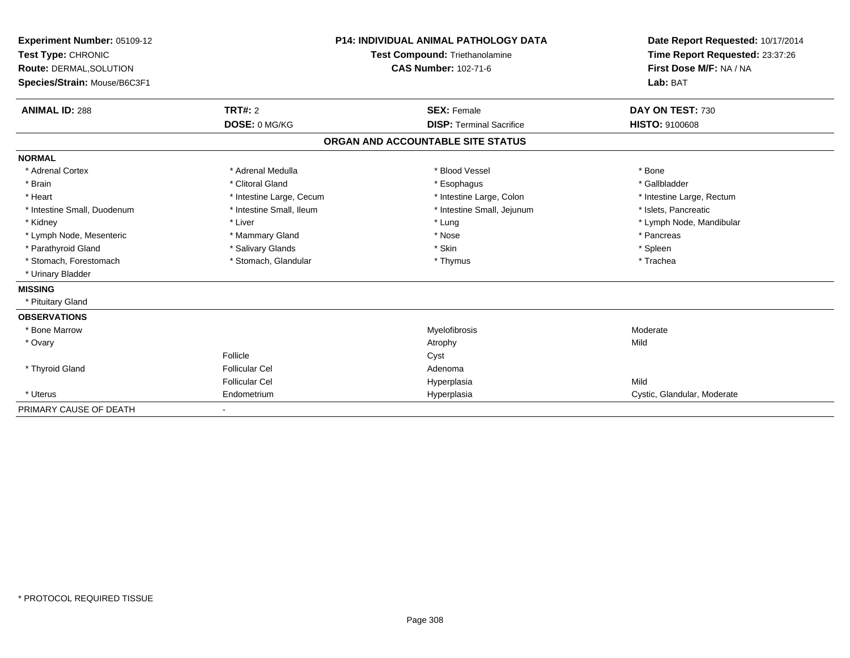| Experiment Number: 05109-12<br>Test Type: CHRONIC<br>Route: DERMAL, SOLUTION<br>Species/Strain: Mouse/B6C3F1<br><b>ANIMAL ID: 288</b> | <b>TRT#: 2</b>           | <b>P14: INDIVIDUAL ANIMAL PATHOLOGY DATA</b><br>Test Compound: Triethanolamine<br><b>CAS Number: 102-71-6</b><br><b>SEX: Female</b> | Date Report Requested: 10/17/2014<br>Time Report Requested: 23:37:26<br>First Dose M/F: NA / NA<br>Lab: BAT<br>DAY ON TEST: 730 |
|---------------------------------------------------------------------------------------------------------------------------------------|--------------------------|-------------------------------------------------------------------------------------------------------------------------------------|---------------------------------------------------------------------------------------------------------------------------------|
|                                                                                                                                       | DOSE: 0 MG/KG            | <b>DISP: Terminal Sacrifice</b>                                                                                                     | <b>HISTO: 9100608</b>                                                                                                           |
|                                                                                                                                       |                          | ORGAN AND ACCOUNTABLE SITE STATUS                                                                                                   |                                                                                                                                 |
| <b>NORMAL</b>                                                                                                                         |                          |                                                                                                                                     |                                                                                                                                 |
| * Adrenal Cortex                                                                                                                      | * Adrenal Medulla        | * Blood Vessel                                                                                                                      | * Bone                                                                                                                          |
| * Brain                                                                                                                               | * Clitoral Gland         | * Esophagus                                                                                                                         | * Gallbladder                                                                                                                   |
| * Heart                                                                                                                               | * Intestine Large, Cecum | * Intestine Large, Colon                                                                                                            | * Intestine Large, Rectum                                                                                                       |
| * Intestine Small, Duodenum                                                                                                           | * Intestine Small, Ileum | * Intestine Small, Jejunum                                                                                                          | * Islets, Pancreatic                                                                                                            |
| * Kidney                                                                                                                              | * Liver                  | * Lung                                                                                                                              | * Lymph Node, Mandibular                                                                                                        |
| * Lymph Node, Mesenteric                                                                                                              | * Mammary Gland          | * Nose                                                                                                                              | * Pancreas                                                                                                                      |
| * Parathyroid Gland                                                                                                                   | * Salivary Glands        | * Skin                                                                                                                              | * Spleen                                                                                                                        |
| * Stomach, Forestomach                                                                                                                | * Stomach, Glandular     | * Thymus                                                                                                                            | * Trachea                                                                                                                       |
| * Urinary Bladder                                                                                                                     |                          |                                                                                                                                     |                                                                                                                                 |
| <b>MISSING</b>                                                                                                                        |                          |                                                                                                                                     |                                                                                                                                 |
| * Pituitary Gland                                                                                                                     |                          |                                                                                                                                     |                                                                                                                                 |
| <b>OBSERVATIONS</b>                                                                                                                   |                          |                                                                                                                                     |                                                                                                                                 |
| * Bone Marrow                                                                                                                         |                          | Myelofibrosis                                                                                                                       | Moderate                                                                                                                        |
| * Ovary                                                                                                                               |                          | Atrophy                                                                                                                             | Mild                                                                                                                            |
|                                                                                                                                       | Follicle                 | Cyst                                                                                                                                |                                                                                                                                 |
| * Thyroid Gland                                                                                                                       | <b>Follicular Cel</b>    | Adenoma                                                                                                                             |                                                                                                                                 |
|                                                                                                                                       | <b>Follicular Cel</b>    | Hyperplasia                                                                                                                         | Mild                                                                                                                            |
| * Uterus                                                                                                                              | Endometrium              | Hyperplasia                                                                                                                         | Cystic, Glandular, Moderate                                                                                                     |
| PRIMARY CAUSE OF DEATH                                                                                                                |                          |                                                                                                                                     |                                                                                                                                 |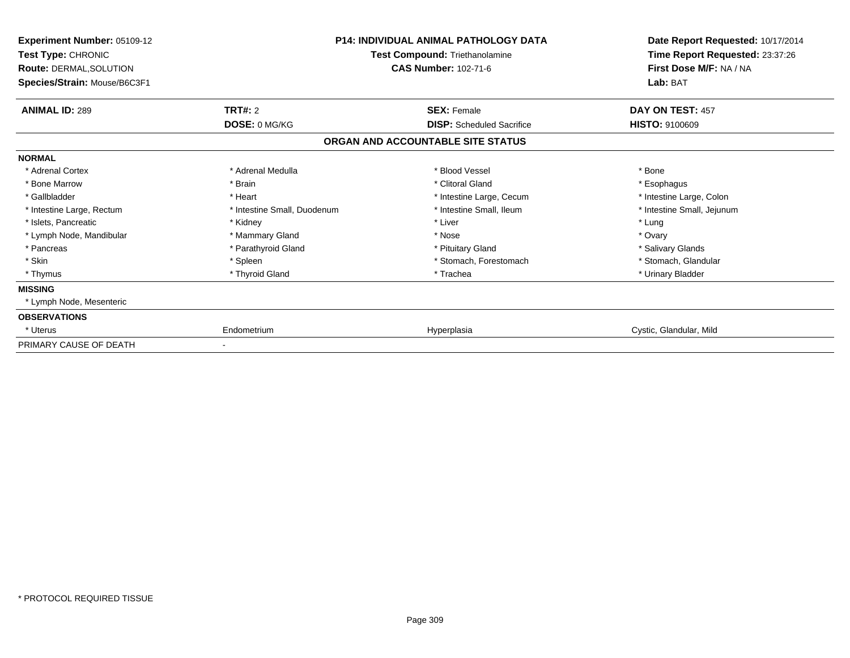| <b>Experiment Number: 05109-12</b><br>Test Type: CHRONIC<br><b>Route: DERMAL, SOLUTION</b><br>Species/Strain: Mouse/B6C3F1 |                                 | <b>P14: INDIVIDUAL ANIMAL PATHOLOGY DATA</b><br>Test Compound: Triethanolamine<br><b>CAS Number: 102-71-6</b> | Date Report Requested: 10/17/2014<br>Time Report Requested: 23:37:26<br>First Dose M/F: NA / NA<br>Lab: BAT |  |
|----------------------------------------------------------------------------------------------------------------------------|---------------------------------|---------------------------------------------------------------------------------------------------------------|-------------------------------------------------------------------------------------------------------------|--|
| <b>ANIMAL ID: 289</b>                                                                                                      | <b>TRT#: 2</b><br>DOSE: 0 MG/KG | <b>SEX: Female</b><br><b>DISP:</b> Scheduled Sacrifice                                                        | DAY ON TEST: 457<br><b>HISTO: 9100609</b>                                                                   |  |
|                                                                                                                            |                                 | ORGAN AND ACCOUNTABLE SITE STATUS                                                                             |                                                                                                             |  |
| <b>NORMAL</b>                                                                                                              |                                 |                                                                                                               |                                                                                                             |  |
| * Adrenal Cortex                                                                                                           | * Adrenal Medulla               | * Blood Vessel                                                                                                | * Bone                                                                                                      |  |
| * Bone Marrow                                                                                                              | * Brain                         | * Clitoral Gland                                                                                              | * Esophagus                                                                                                 |  |
| * Gallbladder                                                                                                              | * Heart                         | * Intestine Large, Cecum                                                                                      | * Intestine Large, Colon                                                                                    |  |
| * Intestine Large, Rectum                                                                                                  | * Intestine Small, Duodenum     | * Intestine Small, Ileum                                                                                      | * Intestine Small, Jejunum                                                                                  |  |
| * Islets, Pancreatic                                                                                                       | * Kidney                        | * Liver                                                                                                       | * Lung                                                                                                      |  |
| * Lymph Node, Mandibular                                                                                                   | * Mammary Gland                 | * Nose                                                                                                        | * Ovary                                                                                                     |  |
| * Pancreas                                                                                                                 | * Parathyroid Gland             | * Pituitary Gland                                                                                             | * Salivary Glands                                                                                           |  |
| * Skin                                                                                                                     | * Spleen                        | * Stomach, Forestomach                                                                                        | * Stomach, Glandular                                                                                        |  |
| * Thymus                                                                                                                   | * Thyroid Gland                 | * Trachea                                                                                                     | * Urinary Bladder                                                                                           |  |
| <b>MISSING</b>                                                                                                             |                                 |                                                                                                               |                                                                                                             |  |
| * Lymph Node, Mesenteric                                                                                                   |                                 |                                                                                                               |                                                                                                             |  |
| <b>OBSERVATIONS</b>                                                                                                        |                                 |                                                                                                               |                                                                                                             |  |
| * Uterus                                                                                                                   | Endometrium                     | Hyperplasia                                                                                                   | Cystic, Glandular, Mild                                                                                     |  |
| PRIMARY CAUSE OF DEATH                                                                                                     |                                 |                                                                                                               |                                                                                                             |  |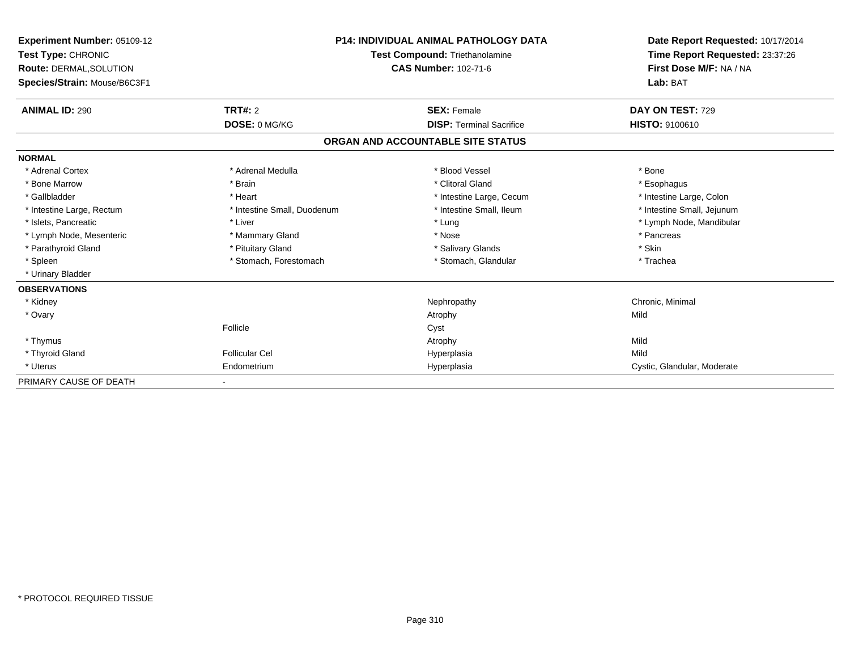| Experiment Number: 05109-12<br>Test Type: CHRONIC<br>Route: DERMAL, SOLUTION<br>Species/Strain: Mouse/B6C3F1 | <b>P14: INDIVIDUAL ANIMAL PATHOLOGY DATA</b><br><b>Test Compound: Triethanolamine</b><br><b>CAS Number: 102-71-6</b> |                                   | Date Report Requested: 10/17/2014<br>Time Report Requested: 23:37:26<br>First Dose M/F: NA / NA<br>Lab: BAT |
|--------------------------------------------------------------------------------------------------------------|----------------------------------------------------------------------------------------------------------------------|-----------------------------------|-------------------------------------------------------------------------------------------------------------|
| <b>ANIMAL ID: 290</b>                                                                                        | <b>TRT#: 2</b>                                                                                                       | <b>SEX: Female</b>                | DAY ON TEST: 729                                                                                            |
|                                                                                                              | DOSE: 0 MG/KG                                                                                                        | <b>DISP: Terminal Sacrifice</b>   | HISTO: 9100610                                                                                              |
|                                                                                                              |                                                                                                                      | ORGAN AND ACCOUNTABLE SITE STATUS |                                                                                                             |
| <b>NORMAL</b>                                                                                                |                                                                                                                      |                                   |                                                                                                             |
| * Adrenal Cortex                                                                                             | * Adrenal Medulla                                                                                                    | * Blood Vessel                    | * Bone                                                                                                      |
| * Bone Marrow                                                                                                | * Brain                                                                                                              | * Clitoral Gland                  | * Esophagus                                                                                                 |
| * Gallbladder                                                                                                | * Heart                                                                                                              | * Intestine Large, Cecum          | * Intestine Large, Colon                                                                                    |
| * Intestine Large, Rectum                                                                                    | * Intestine Small, Duodenum                                                                                          | * Intestine Small, Ileum          | * Intestine Small, Jejunum                                                                                  |
| * Islets, Pancreatic                                                                                         | * Liver                                                                                                              | * Lung                            | * Lymph Node, Mandibular                                                                                    |
| * Lymph Node, Mesenteric                                                                                     | * Mammary Gland                                                                                                      | * Nose                            | * Pancreas                                                                                                  |
| * Parathyroid Gland                                                                                          | * Pituitary Gland                                                                                                    | * Salivary Glands                 | * Skin                                                                                                      |
| * Spleen                                                                                                     | * Stomach, Forestomach                                                                                               | * Stomach, Glandular              | * Trachea                                                                                                   |
| * Urinary Bladder                                                                                            |                                                                                                                      |                                   |                                                                                                             |
| <b>OBSERVATIONS</b>                                                                                          |                                                                                                                      |                                   |                                                                                                             |
| * Kidney                                                                                                     |                                                                                                                      | Nephropathy                       | Chronic, Minimal                                                                                            |
| * Ovary                                                                                                      |                                                                                                                      | Atrophy                           | Mild                                                                                                        |
|                                                                                                              | Follicle                                                                                                             | Cyst                              |                                                                                                             |
| * Thymus                                                                                                     |                                                                                                                      | Atrophy                           | Mild                                                                                                        |
| * Thyroid Gland                                                                                              | <b>Follicular Cel</b>                                                                                                | Hyperplasia                       | Mild                                                                                                        |
| * Uterus                                                                                                     | Endometrium                                                                                                          | Hyperplasia                       | Cystic, Glandular, Moderate                                                                                 |
| PRIMARY CAUSE OF DEATH                                                                                       |                                                                                                                      |                                   |                                                                                                             |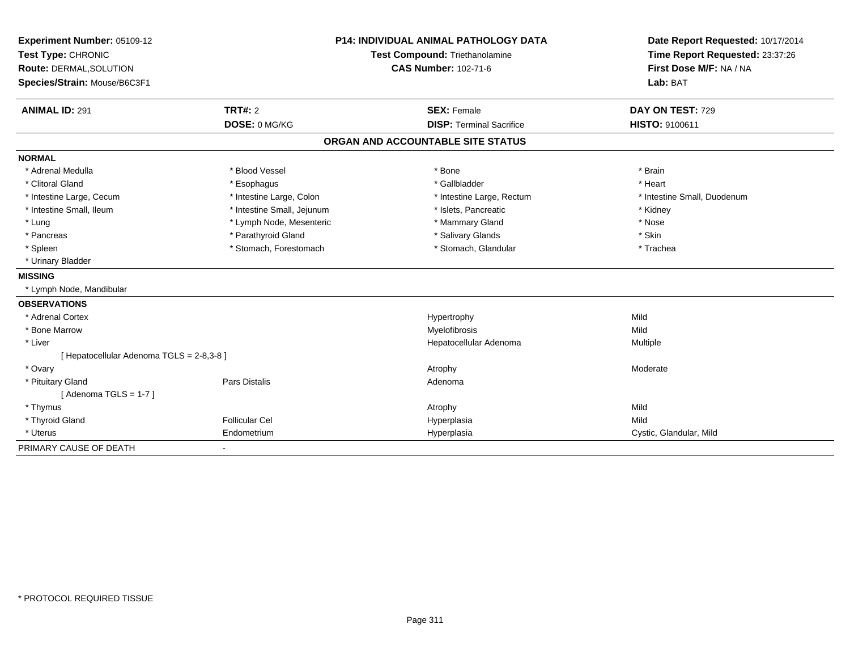| Experiment Number: 05109-12               | <b>P14: INDIVIDUAL ANIMAL PATHOLOGY DATA</b><br>Test Compound: Triethanolamine |                                   | Date Report Requested: 10/17/2014 |
|-------------------------------------------|--------------------------------------------------------------------------------|-----------------------------------|-----------------------------------|
| Test Type: CHRONIC                        |                                                                                |                                   | Time Report Requested: 23:37:26   |
| Route: DERMAL, SOLUTION                   |                                                                                | <b>CAS Number: 102-71-6</b>       | First Dose M/F: NA / NA           |
| Species/Strain: Mouse/B6C3F1              |                                                                                |                                   | Lab: BAT                          |
| <b>ANIMAL ID: 291</b>                     | <b>TRT#: 2</b>                                                                 | <b>SEX: Female</b>                | DAY ON TEST: 729                  |
|                                           | DOSE: 0 MG/KG                                                                  | <b>DISP: Terminal Sacrifice</b>   | <b>HISTO: 9100611</b>             |
|                                           |                                                                                | ORGAN AND ACCOUNTABLE SITE STATUS |                                   |
| <b>NORMAL</b>                             |                                                                                |                                   |                                   |
| * Adrenal Medulla                         | * Blood Vessel                                                                 | * Bone                            | * Brain                           |
| * Clitoral Gland                          | * Esophagus                                                                    | * Gallbladder                     | * Heart                           |
| * Intestine Large, Cecum                  | * Intestine Large, Colon                                                       | * Intestine Large, Rectum         | * Intestine Small, Duodenum       |
| * Intestine Small, Ileum                  | * Intestine Small, Jejunum                                                     | * Islets, Pancreatic              | * Kidney                          |
| * Lung                                    | * Lymph Node, Mesenteric                                                       | * Mammary Gland                   | * Nose                            |
| * Pancreas                                | * Parathyroid Gland                                                            | * Salivary Glands                 | * Skin                            |
| * Spleen                                  | * Stomach, Forestomach                                                         | * Stomach, Glandular              | * Trachea                         |
| * Urinary Bladder                         |                                                                                |                                   |                                   |
| <b>MISSING</b>                            |                                                                                |                                   |                                   |
| * Lymph Node, Mandibular                  |                                                                                |                                   |                                   |
| <b>OBSERVATIONS</b>                       |                                                                                |                                   |                                   |
| * Adrenal Cortex                          |                                                                                | Hypertrophy                       | Mild                              |
| * Bone Marrow                             |                                                                                | Myelofibrosis                     | Mild                              |
| * Liver                                   |                                                                                | Hepatocellular Adenoma            | Multiple                          |
| [ Hepatocellular Adenoma TGLS = 2-8,3-8 ] |                                                                                |                                   |                                   |
| * Ovary                                   |                                                                                | Atrophy                           | Moderate                          |
| * Pituitary Gland                         | Pars Distalis                                                                  | Adenoma                           |                                   |
| [Adenoma TGLS = $1-7$ ]                   |                                                                                |                                   |                                   |
| * Thymus                                  |                                                                                | Atrophy                           | Mild                              |
| * Thyroid Gland                           | <b>Follicular Cel</b>                                                          | Hyperplasia                       | Mild                              |
| * Uterus                                  | Endometrium                                                                    | Hyperplasia                       | Cystic, Glandular, Mild           |
| PRIMARY CAUSE OF DEATH                    |                                                                                |                                   |                                   |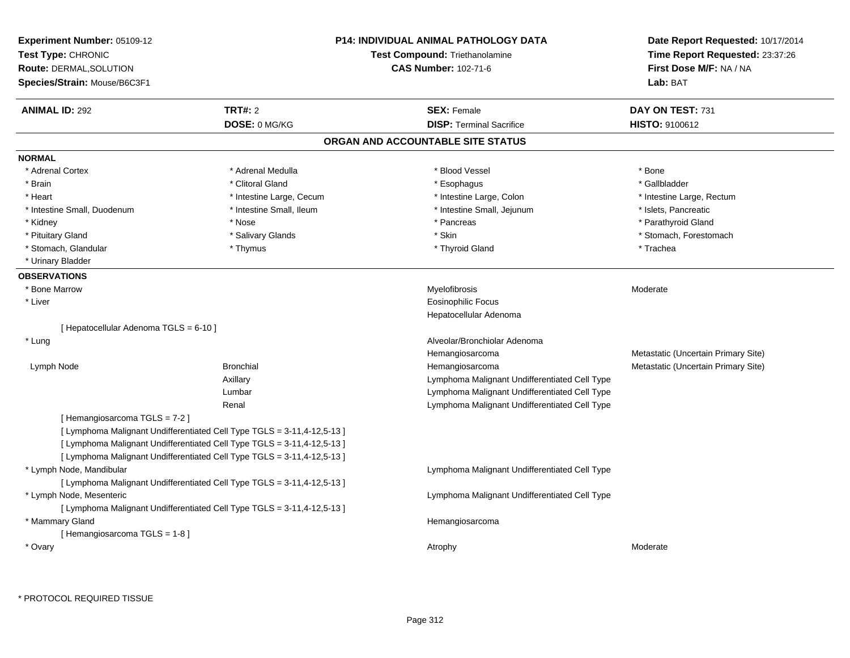| Experiment Number: 05109-12<br>Test Type: CHRONIC<br><b>Route: DERMAL, SOLUTION</b><br>Species/Strain: Mouse/B6C3F1 |                                                                         | <b>P14: INDIVIDUAL ANIMAL PATHOLOGY DATA</b><br><b>Test Compound: Triethanolamine</b><br><b>CAS Number: 102-71-6</b> | Date Report Requested: 10/17/2014<br>Time Report Requested: 23:37:26<br>First Dose M/F: NA / NA<br>Lab: BAT |
|---------------------------------------------------------------------------------------------------------------------|-------------------------------------------------------------------------|----------------------------------------------------------------------------------------------------------------------|-------------------------------------------------------------------------------------------------------------|
| <b>ANIMAL ID: 292</b>                                                                                               | <b>TRT#: 2</b>                                                          | <b>SEX: Female</b>                                                                                                   | DAY ON TEST: 731                                                                                            |
|                                                                                                                     | DOSE: 0 MG/KG                                                           | <b>DISP: Terminal Sacrifice</b>                                                                                      | <b>HISTO: 9100612</b>                                                                                       |
|                                                                                                                     |                                                                         | ORGAN AND ACCOUNTABLE SITE STATUS                                                                                    |                                                                                                             |
| <b>NORMAL</b>                                                                                                       |                                                                         |                                                                                                                      |                                                                                                             |
| * Adrenal Cortex                                                                                                    | * Adrenal Medulla                                                       | * Blood Vessel                                                                                                       | * Bone                                                                                                      |
| * Brain                                                                                                             | * Clitoral Gland                                                        | * Esophagus                                                                                                          | * Gallbladder                                                                                               |
| * Heart                                                                                                             | * Intestine Large, Cecum                                                | * Intestine Large, Colon                                                                                             | * Intestine Large, Rectum                                                                                   |
| * Intestine Small, Duodenum                                                                                         | * Intestine Small, Ileum                                                | * Intestine Small, Jejunum                                                                                           | * Islets, Pancreatic                                                                                        |
| * Kidney                                                                                                            | * Nose                                                                  | * Pancreas                                                                                                           | * Parathyroid Gland                                                                                         |
| * Pituitary Gland                                                                                                   | * Salivary Glands                                                       | * Skin                                                                                                               | * Stomach, Forestomach                                                                                      |
| * Stomach, Glandular                                                                                                | * Thymus                                                                | * Thyroid Gland                                                                                                      | * Trachea                                                                                                   |
| * Urinary Bladder                                                                                                   |                                                                         |                                                                                                                      |                                                                                                             |
| <b>OBSERVATIONS</b>                                                                                                 |                                                                         |                                                                                                                      |                                                                                                             |
| * Bone Marrow                                                                                                       |                                                                         | Myelofibrosis                                                                                                        | Moderate                                                                                                    |
| * Liver                                                                                                             |                                                                         | <b>Eosinophilic Focus</b>                                                                                            |                                                                                                             |
|                                                                                                                     |                                                                         | Hepatocellular Adenoma                                                                                               |                                                                                                             |
| [ Hepatocellular Adenoma TGLS = 6-10 ]                                                                              |                                                                         |                                                                                                                      |                                                                                                             |
| * Lung                                                                                                              |                                                                         | Alveolar/Bronchiolar Adenoma                                                                                         |                                                                                                             |
|                                                                                                                     |                                                                         | Hemangiosarcoma                                                                                                      | Metastatic (Uncertain Primary Site)                                                                         |
| Lymph Node                                                                                                          | <b>Bronchial</b>                                                        | Hemangiosarcoma                                                                                                      | Metastatic (Uncertain Primary Site)                                                                         |
|                                                                                                                     | Axillary                                                                | Lymphoma Malignant Undifferentiated Cell Type                                                                        |                                                                                                             |
|                                                                                                                     | Lumbar                                                                  | Lymphoma Malignant Undifferentiated Cell Type                                                                        |                                                                                                             |
|                                                                                                                     | Renal                                                                   | Lymphoma Malignant Undifferentiated Cell Type                                                                        |                                                                                                             |
| [Hemangiosarcoma TGLS = 7-2]                                                                                        |                                                                         |                                                                                                                      |                                                                                                             |
|                                                                                                                     | [ Lymphoma Malignant Undifferentiated Cell Type TGLS = 3-11,4-12,5-13 ] |                                                                                                                      |                                                                                                             |
|                                                                                                                     | [ Lymphoma Malignant Undifferentiated Cell Type TGLS = 3-11,4-12,5-13 ] |                                                                                                                      |                                                                                                             |
|                                                                                                                     | [ Lymphoma Malignant Undifferentiated Cell Type TGLS = 3-11,4-12,5-13 ] |                                                                                                                      |                                                                                                             |
| * Lymph Node, Mandibular                                                                                            |                                                                         | Lymphoma Malignant Undifferentiated Cell Type                                                                        |                                                                                                             |
|                                                                                                                     | [ Lymphoma Malignant Undifferentiated Cell Type TGLS = 3-11,4-12,5-13 ] |                                                                                                                      |                                                                                                             |
| * Lymph Node, Mesenteric                                                                                            |                                                                         | Lymphoma Malignant Undifferentiated Cell Type                                                                        |                                                                                                             |
|                                                                                                                     | [ Lymphoma Malignant Undifferentiated Cell Type TGLS = 3-11,4-12,5-13 ] |                                                                                                                      |                                                                                                             |
| * Mammary Gland                                                                                                     |                                                                         | Hemangiosarcoma                                                                                                      |                                                                                                             |
| [Hemangiosarcoma TGLS = 1-8]                                                                                        |                                                                         |                                                                                                                      |                                                                                                             |
| * Ovary                                                                                                             |                                                                         | Atrophy                                                                                                              | Moderate                                                                                                    |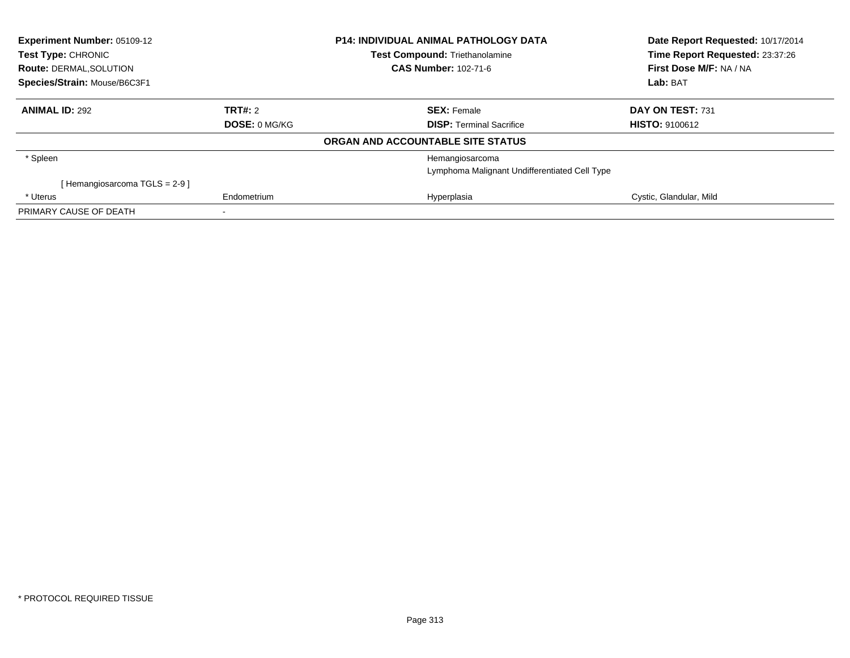| Experiment Number: 05109-12<br><b>Test Type: CHRONIC</b> |                      | <b>P14: INDIVIDUAL ANIMAL PATHOLOGY DATA</b><br><b>Test Compound: Triethanolamine</b> | Date Report Requested: 10/17/2014<br>Time Report Requested: 23:37:26 |
|----------------------------------------------------------|----------------------|---------------------------------------------------------------------------------------|----------------------------------------------------------------------|
| <b>Route: DERMAL, SOLUTION</b>                           |                      | <b>CAS Number: 102-71-6</b>                                                           | First Dose M/F: NA / NA                                              |
| Species/Strain: Mouse/B6C3F1                             |                      |                                                                                       | Lab: BAT                                                             |
| <b>ANIMAL ID: 292</b>                                    | <b>TRT#: 2</b>       | <b>SEX: Female</b>                                                                    | DAY ON TEST: 731                                                     |
|                                                          | <b>DOSE: 0 MG/KG</b> | <b>DISP:</b> Terminal Sacrifice                                                       | <b>HISTO: 9100612</b>                                                |
|                                                          |                      | ORGAN AND ACCOUNTABLE SITE STATUS                                                     |                                                                      |
| * Spleen                                                 |                      | Hemangiosarcoma                                                                       |                                                                      |
|                                                          |                      | Lymphoma Malignant Undifferentiated Cell Type                                         |                                                                      |
| Hemangiosarcoma TGLS = 2-9 1                             |                      |                                                                                       |                                                                      |
| * Uterus                                                 | Endometrium          | Hyperplasia                                                                           | Cystic, Glandular, Mild                                              |
| PRIMARY CAUSE OF DEATH                                   |                      |                                                                                       |                                                                      |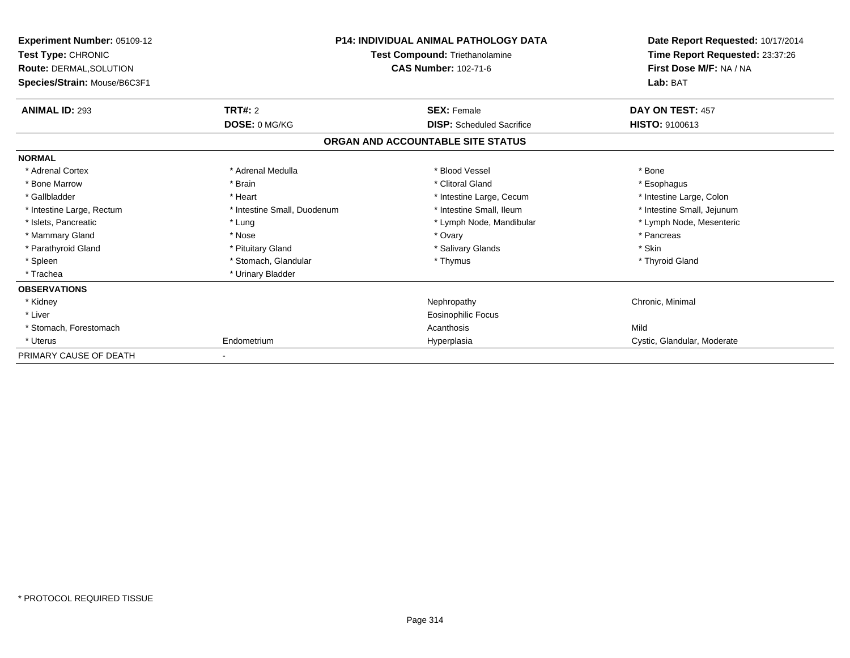| Experiment Number: 05109-12<br>Test Type: CHRONIC<br><b>Route: DERMAL, SOLUTION</b><br>Species/Strain: Mouse/B6C3F1 | <b>P14: INDIVIDUAL ANIMAL PATHOLOGY DATA</b><br>Test Compound: Triethanolamine<br><b>CAS Number: 102-71-6</b> |                                   | Date Report Requested: 10/17/2014<br>Time Report Requested: 23:37:26<br>First Dose M/F: NA / NA<br>Lab: BAT |  |
|---------------------------------------------------------------------------------------------------------------------|---------------------------------------------------------------------------------------------------------------|-----------------------------------|-------------------------------------------------------------------------------------------------------------|--|
| <b>ANIMAL ID: 293</b>                                                                                               | TRT#: 2                                                                                                       | <b>SEX: Female</b>                | DAY ON TEST: 457                                                                                            |  |
|                                                                                                                     | <b>DOSE: 0 MG/KG</b>                                                                                          | <b>DISP:</b> Scheduled Sacrifice  | <b>HISTO: 9100613</b>                                                                                       |  |
|                                                                                                                     |                                                                                                               | ORGAN AND ACCOUNTABLE SITE STATUS |                                                                                                             |  |
| <b>NORMAL</b>                                                                                                       |                                                                                                               |                                   |                                                                                                             |  |
| * Adrenal Cortex                                                                                                    | * Adrenal Medulla                                                                                             | * Blood Vessel                    | * Bone                                                                                                      |  |
| * Bone Marrow                                                                                                       | * Brain                                                                                                       | * Clitoral Gland                  | * Esophagus                                                                                                 |  |
| * Gallbladder                                                                                                       | * Heart                                                                                                       | * Intestine Large, Cecum          | * Intestine Large, Colon                                                                                    |  |
| * Intestine Large, Rectum                                                                                           | * Intestine Small, Duodenum                                                                                   | * Intestine Small, Ileum          | * Intestine Small, Jejunum                                                                                  |  |
| * Islets, Pancreatic                                                                                                | * Lung                                                                                                        | * Lymph Node, Mandibular          | * Lymph Node, Mesenteric                                                                                    |  |
| * Mammary Gland                                                                                                     | * Nose                                                                                                        | * Ovary                           | * Pancreas                                                                                                  |  |
| * Parathyroid Gland                                                                                                 | * Pituitary Gland                                                                                             | * Salivary Glands                 | * Skin                                                                                                      |  |
| * Spleen                                                                                                            | * Stomach, Glandular                                                                                          | * Thymus                          | * Thyroid Gland                                                                                             |  |
| * Trachea                                                                                                           | * Urinary Bladder                                                                                             |                                   |                                                                                                             |  |
| <b>OBSERVATIONS</b>                                                                                                 |                                                                                                               |                                   |                                                                                                             |  |
| * Kidney                                                                                                            |                                                                                                               | Nephropathy                       | Chronic, Minimal                                                                                            |  |
| * Liver                                                                                                             |                                                                                                               | <b>Eosinophilic Focus</b>         |                                                                                                             |  |
| * Stomach, Forestomach                                                                                              |                                                                                                               | Acanthosis                        | Mild                                                                                                        |  |
| * Uterus                                                                                                            | Endometrium                                                                                                   | Hyperplasia                       | Cystic, Glandular, Moderate                                                                                 |  |
| PRIMARY CAUSE OF DEATH                                                                                              |                                                                                                               |                                   |                                                                                                             |  |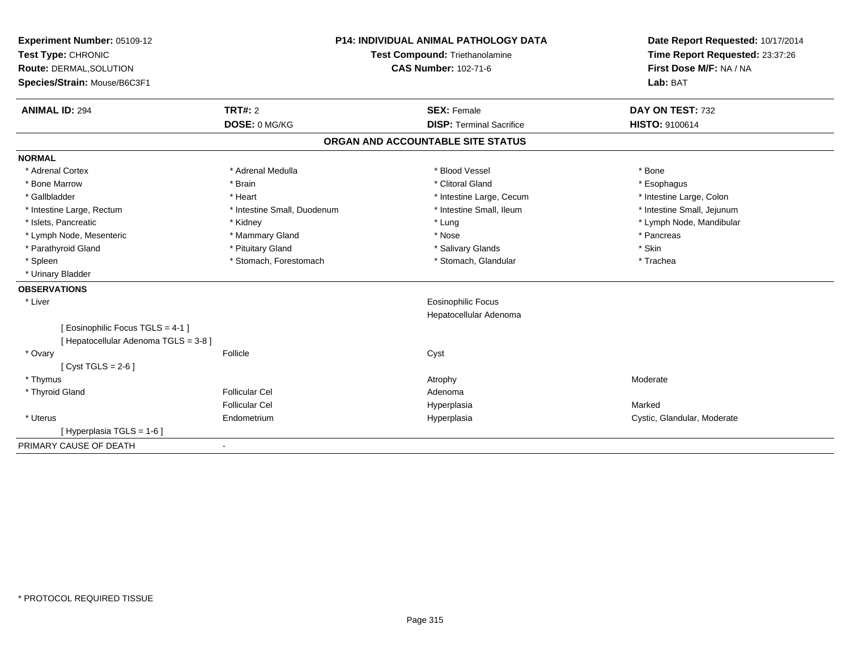| Experiment Number: 05109-12         | <b>P14: INDIVIDUAL ANIMAL PATHOLOGY DATA</b><br>Test Compound: Triethanolamine |                                   | Date Report Requested: 10/17/2014 |
|-------------------------------------|--------------------------------------------------------------------------------|-----------------------------------|-----------------------------------|
| Test Type: CHRONIC                  |                                                                                |                                   | Time Report Requested: 23:37:26   |
| Route: DERMAL, SOLUTION             |                                                                                | <b>CAS Number: 102-71-6</b>       | First Dose M/F: NA / NA           |
| Species/Strain: Mouse/B6C3F1        |                                                                                |                                   | Lab: BAT                          |
| <b>ANIMAL ID: 294</b>               | TRT#: 2                                                                        | <b>SEX: Female</b>                | DAY ON TEST: 732                  |
|                                     | DOSE: 0 MG/KG                                                                  | <b>DISP: Terminal Sacrifice</b>   | HISTO: 9100614                    |
|                                     |                                                                                | ORGAN AND ACCOUNTABLE SITE STATUS |                                   |
| <b>NORMAL</b>                       |                                                                                |                                   |                                   |
| * Adrenal Cortex                    | * Adrenal Medulla                                                              | * Blood Vessel                    | * Bone                            |
| * Bone Marrow                       | * Brain                                                                        | * Clitoral Gland                  | * Esophagus                       |
| * Gallbladder                       | * Heart                                                                        | * Intestine Large, Cecum          | * Intestine Large, Colon          |
| * Intestine Large, Rectum           | * Intestine Small, Duodenum                                                    | * Intestine Small, Ileum          | * Intestine Small, Jejunum        |
| * Islets, Pancreatic                | * Kidney                                                                       | * Lung                            | * Lymph Node, Mandibular          |
| * Lymph Node, Mesenteric            | * Mammary Gland                                                                | * Nose                            | * Pancreas                        |
| * Parathyroid Gland                 | * Pituitary Gland                                                              | * Salivary Glands                 | * Skin                            |
| * Spleen                            | * Stomach, Forestomach                                                         | * Stomach, Glandular              | * Trachea                         |
| * Urinary Bladder                   |                                                                                |                                   |                                   |
| <b>OBSERVATIONS</b>                 |                                                                                |                                   |                                   |
| * Liver                             |                                                                                | <b>Eosinophilic Focus</b>         |                                   |
|                                     |                                                                                | Hepatocellular Adenoma            |                                   |
| [ Eosinophilic Focus TGLS = 4-1 ]   |                                                                                |                                   |                                   |
| [Hepatocellular Adenoma TGLS = 3-8] |                                                                                |                                   |                                   |
| * Ovary                             | Follicle                                                                       | Cyst                              |                                   |
| [Cyst TGLS = $2-6$ ]                |                                                                                |                                   |                                   |
| * Thymus                            |                                                                                | Atrophy                           | Moderate                          |
| * Thyroid Gland                     | Follicular Cel                                                                 | Adenoma                           |                                   |
|                                     | <b>Follicular Cel</b>                                                          | Hyperplasia                       | Marked                            |
| * Uterus                            | Endometrium                                                                    | Hyperplasia                       | Cystic, Glandular, Moderate       |
| [Hyperplasia TGLS = 1-6]            |                                                                                |                                   |                                   |
| PRIMARY CAUSE OF DEATH              |                                                                                |                                   |                                   |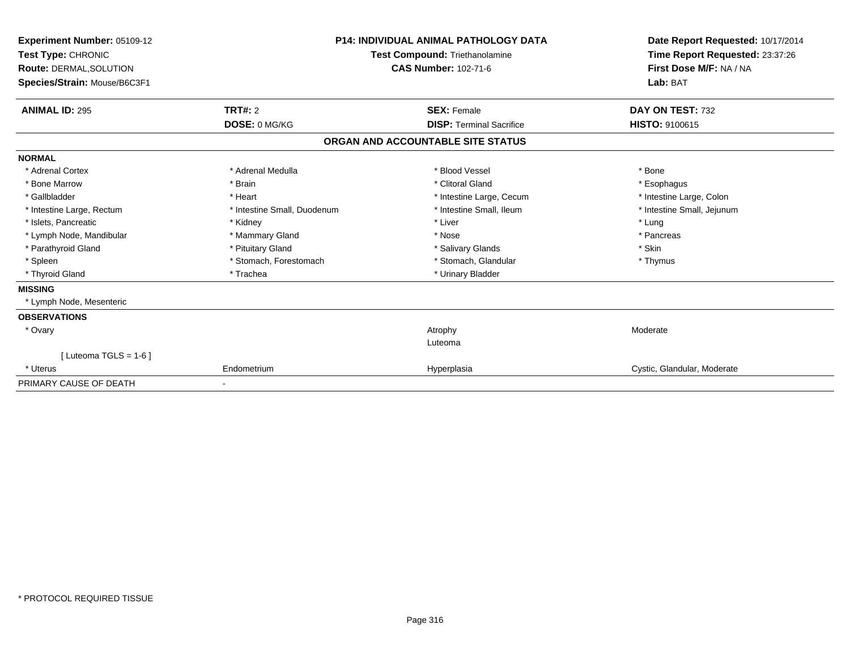| Experiment Number: 05109-12<br><b>Test Type: CHRONIC</b><br>Route: DERMAL, SOLUTION<br>Species/Strain: Mouse/B6C3F1 | <b>P14: INDIVIDUAL ANIMAL PATHOLOGY DATA</b><br>Test Compound: Triethanolamine<br><b>CAS Number: 102-71-6</b> |                                   | Date Report Requested: 10/17/2014<br>Time Report Requested: 23:37:26<br>First Dose M/F: NA / NA<br>Lab: BAT |
|---------------------------------------------------------------------------------------------------------------------|---------------------------------------------------------------------------------------------------------------|-----------------------------------|-------------------------------------------------------------------------------------------------------------|
| <b>ANIMAL ID: 295</b>                                                                                               | <b>TRT#: 2</b>                                                                                                | <b>SEX: Female</b>                | DAY ON TEST: 732                                                                                            |
|                                                                                                                     | DOSE: 0 MG/KG                                                                                                 | <b>DISP: Terminal Sacrifice</b>   | <b>HISTO: 9100615</b>                                                                                       |
|                                                                                                                     |                                                                                                               | ORGAN AND ACCOUNTABLE SITE STATUS |                                                                                                             |
| <b>NORMAL</b>                                                                                                       |                                                                                                               |                                   |                                                                                                             |
| * Adrenal Cortex                                                                                                    | * Adrenal Medulla                                                                                             | * Blood Vessel                    | * Bone                                                                                                      |
| * Bone Marrow                                                                                                       | * Brain                                                                                                       | * Clitoral Gland                  | * Esophagus                                                                                                 |
| * Gallbladder                                                                                                       | * Heart                                                                                                       | * Intestine Large, Cecum          | * Intestine Large, Colon                                                                                    |
| * Intestine Large, Rectum                                                                                           | * Intestine Small, Duodenum                                                                                   | * Intestine Small, Ileum          | * Intestine Small, Jejunum                                                                                  |
| * Islets, Pancreatic                                                                                                | * Kidney                                                                                                      | * Liver                           | * Lung                                                                                                      |
| * Lymph Node, Mandibular                                                                                            | * Mammary Gland                                                                                               | * Nose                            | * Pancreas                                                                                                  |
| * Parathyroid Gland                                                                                                 | * Pituitary Gland                                                                                             | * Salivary Glands                 | * Skin                                                                                                      |
| * Spleen                                                                                                            | * Stomach, Forestomach                                                                                        | * Stomach, Glandular              | * Thymus                                                                                                    |
| * Thyroid Gland                                                                                                     | * Trachea                                                                                                     | * Urinary Bladder                 |                                                                                                             |
| <b>MISSING</b>                                                                                                      |                                                                                                               |                                   |                                                                                                             |
| * Lymph Node, Mesenteric                                                                                            |                                                                                                               |                                   |                                                                                                             |
| <b>OBSERVATIONS</b>                                                                                                 |                                                                                                               |                                   |                                                                                                             |
| * Ovary                                                                                                             |                                                                                                               | Atrophy                           | Moderate                                                                                                    |
|                                                                                                                     |                                                                                                               | Luteoma                           |                                                                                                             |
| [Luteoma TGLS = $1-6$ ]                                                                                             |                                                                                                               |                                   |                                                                                                             |
| * Uterus                                                                                                            | Endometrium                                                                                                   | Hyperplasia                       | Cystic, Glandular, Moderate                                                                                 |
| PRIMARY CAUSE OF DEATH                                                                                              |                                                                                                               |                                   |                                                                                                             |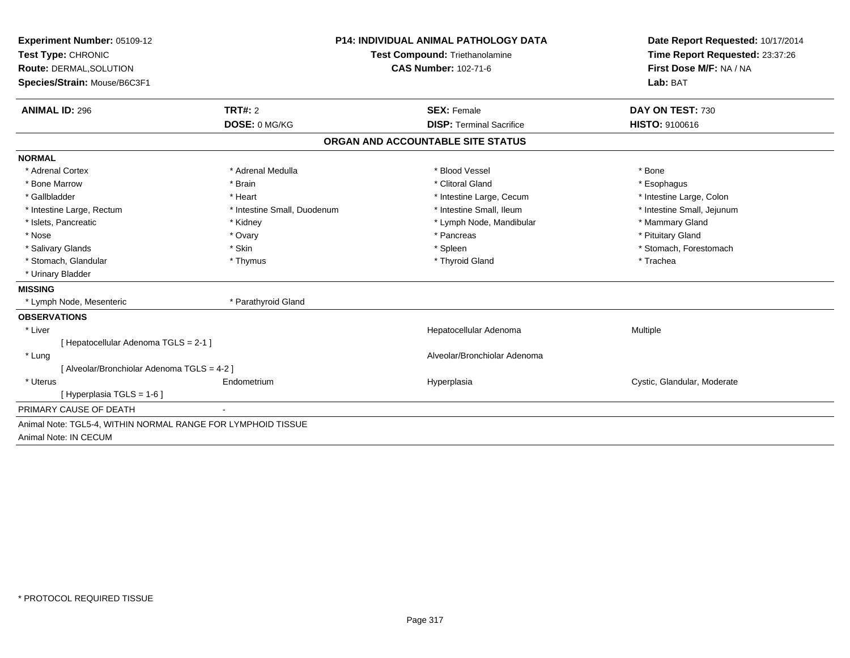| Experiment Number: 05109-12                                  | <b>P14: INDIVIDUAL ANIMAL PATHOLOGY DATA</b> |                                   | Date Report Requested: 10/17/2014 |
|--------------------------------------------------------------|----------------------------------------------|-----------------------------------|-----------------------------------|
| Test Type: CHRONIC                                           |                                              | Test Compound: Triethanolamine    | Time Report Requested: 23:37:26   |
| Route: DERMAL, SOLUTION                                      |                                              | <b>CAS Number: 102-71-6</b>       | First Dose M/F: NA / NA           |
| Species/Strain: Mouse/B6C3F1                                 |                                              |                                   | Lab: BAT                          |
|                                                              |                                              |                                   |                                   |
| <b>ANIMAL ID: 296</b>                                        | TRT#: 2                                      | <b>SEX: Female</b>                | DAY ON TEST: 730                  |
|                                                              | DOSE: 0 MG/KG                                | <b>DISP: Terminal Sacrifice</b>   | <b>HISTO: 9100616</b>             |
|                                                              |                                              | ORGAN AND ACCOUNTABLE SITE STATUS |                                   |
| <b>NORMAL</b>                                                |                                              |                                   |                                   |
| * Adrenal Cortex                                             | * Adrenal Medulla                            | * Blood Vessel                    | * Bone                            |
| * Bone Marrow                                                | * Brain                                      | * Clitoral Gland                  | * Esophagus                       |
| * Gallbladder                                                | * Heart                                      | * Intestine Large, Cecum          | * Intestine Large, Colon          |
| * Intestine Large, Rectum                                    | * Intestine Small, Duodenum                  | * Intestine Small, Ileum          | * Intestine Small, Jejunum        |
| * Islets, Pancreatic                                         | * Kidney                                     | * Lymph Node, Mandibular          | * Mammary Gland                   |
| * Nose                                                       | * Ovary                                      | * Pancreas                        | * Pituitary Gland                 |
| * Salivary Glands                                            | * Skin                                       | * Spleen                          | * Stomach, Forestomach            |
| * Stomach, Glandular                                         | * Thymus                                     | * Thyroid Gland                   | * Trachea                         |
| * Urinary Bladder                                            |                                              |                                   |                                   |
| <b>MISSING</b>                                               |                                              |                                   |                                   |
| * Lymph Node, Mesenteric                                     | * Parathyroid Gland                          |                                   |                                   |
| <b>OBSERVATIONS</b>                                          |                                              |                                   |                                   |
| * Liver                                                      |                                              | Hepatocellular Adenoma            | Multiple                          |
| [ Hepatocellular Adenoma TGLS = 2-1 ]                        |                                              |                                   |                                   |
| * Lung                                                       |                                              | Alveolar/Bronchiolar Adenoma      |                                   |
| [ Alveolar/Bronchiolar Adenoma TGLS = 4-2 ]                  |                                              |                                   |                                   |
| * Uterus                                                     | Endometrium                                  | Hyperplasia                       | Cystic, Glandular, Moderate       |
| [Hyperplasia TGLS = 1-6]                                     |                                              |                                   |                                   |
| PRIMARY CAUSE OF DEATH                                       |                                              |                                   |                                   |
| Animal Note: TGL5-4, WITHIN NORMAL RANGE FOR LYMPHOID TISSUE |                                              |                                   |                                   |
| Animal Note: IN CECUM                                        |                                              |                                   |                                   |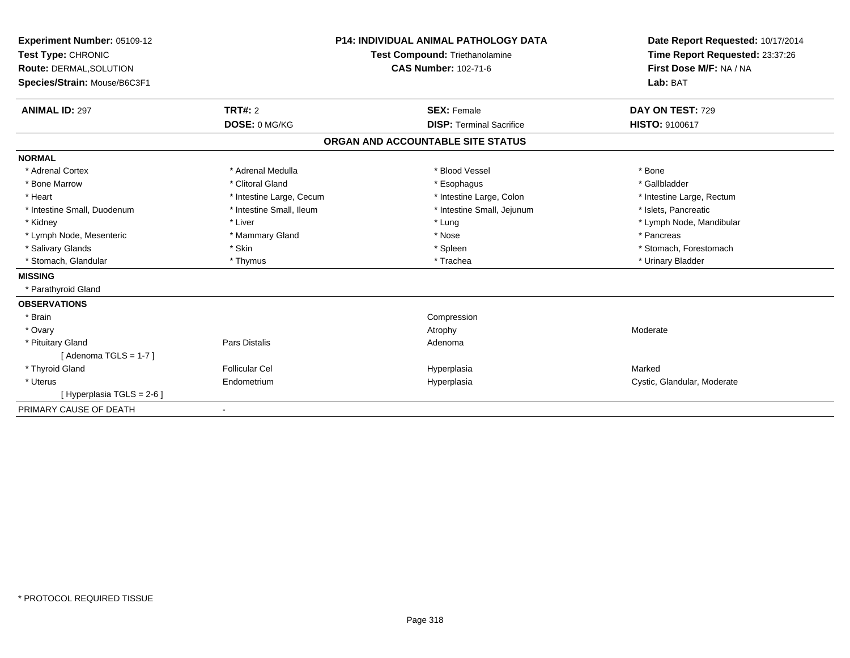| Experiment Number: 05109-12<br>Test Type: CHRONIC<br>Route: DERMAL, SOLUTION<br>Species/Strain: Mouse/B6C3F1 |                                 | <b>P14: INDIVIDUAL ANIMAL PATHOLOGY DATA</b><br>Test Compound: Triethanolamine<br><b>CAS Number: 102-71-6</b> | Date Report Requested: 10/17/2014<br>Time Report Requested: 23:37:26<br>First Dose M/F: NA / NA<br>Lab: BAT |
|--------------------------------------------------------------------------------------------------------------|---------------------------------|---------------------------------------------------------------------------------------------------------------|-------------------------------------------------------------------------------------------------------------|
| <b>ANIMAL ID: 297</b>                                                                                        | <b>TRT#: 2</b><br>DOSE: 0 MG/KG | <b>SEX: Female</b><br><b>DISP: Terminal Sacrifice</b>                                                         | DAY ON TEST: 729<br><b>HISTO: 9100617</b>                                                                   |
|                                                                                                              |                                 | ORGAN AND ACCOUNTABLE SITE STATUS                                                                             |                                                                                                             |
| <b>NORMAL</b>                                                                                                |                                 |                                                                                                               |                                                                                                             |
| * Adrenal Cortex                                                                                             | * Adrenal Medulla               | * Blood Vessel                                                                                                | * Bone                                                                                                      |
| * Bone Marrow                                                                                                | * Clitoral Gland                | * Esophagus                                                                                                   | * Gallbladder                                                                                               |
| * Heart                                                                                                      | * Intestine Large, Cecum        | * Intestine Large, Colon                                                                                      | * Intestine Large, Rectum                                                                                   |
| * Intestine Small, Duodenum                                                                                  | * Intestine Small, Ileum        | * Intestine Small, Jejunum                                                                                    | * Islets, Pancreatic                                                                                        |
| * Kidney                                                                                                     | * Liver                         | * Lung                                                                                                        | * Lymph Node, Mandibular                                                                                    |
| * Lymph Node, Mesenteric                                                                                     | * Mammary Gland                 | * Nose                                                                                                        | * Pancreas                                                                                                  |
| * Salivary Glands                                                                                            | * Skin                          | * Spleen                                                                                                      | * Stomach, Forestomach                                                                                      |
| * Stomach, Glandular                                                                                         | * Thymus                        | * Trachea                                                                                                     | * Urinary Bladder                                                                                           |
| <b>MISSING</b>                                                                                               |                                 |                                                                                                               |                                                                                                             |
| * Parathyroid Gland                                                                                          |                                 |                                                                                                               |                                                                                                             |
| <b>OBSERVATIONS</b>                                                                                          |                                 |                                                                                                               |                                                                                                             |
| * Brain                                                                                                      |                                 | Compression                                                                                                   |                                                                                                             |
| * Ovary                                                                                                      |                                 | Atrophy                                                                                                       | Moderate                                                                                                    |
| * Pituitary Gland                                                                                            | Pars Distalis                   | Adenoma                                                                                                       |                                                                                                             |
| [Adenoma TGLS = 1-7]                                                                                         |                                 |                                                                                                               |                                                                                                             |
| * Thyroid Gland                                                                                              | Follicular Cel                  | Hyperplasia                                                                                                   | Marked                                                                                                      |
| * Uterus                                                                                                     | Endometrium                     | Hyperplasia                                                                                                   | Cystic, Glandular, Moderate                                                                                 |
| [Hyperplasia TGLS = 2-6 ]                                                                                    |                                 |                                                                                                               |                                                                                                             |
| PRIMARY CAUSE OF DEATH                                                                                       | $\blacksquare$                  |                                                                                                               |                                                                                                             |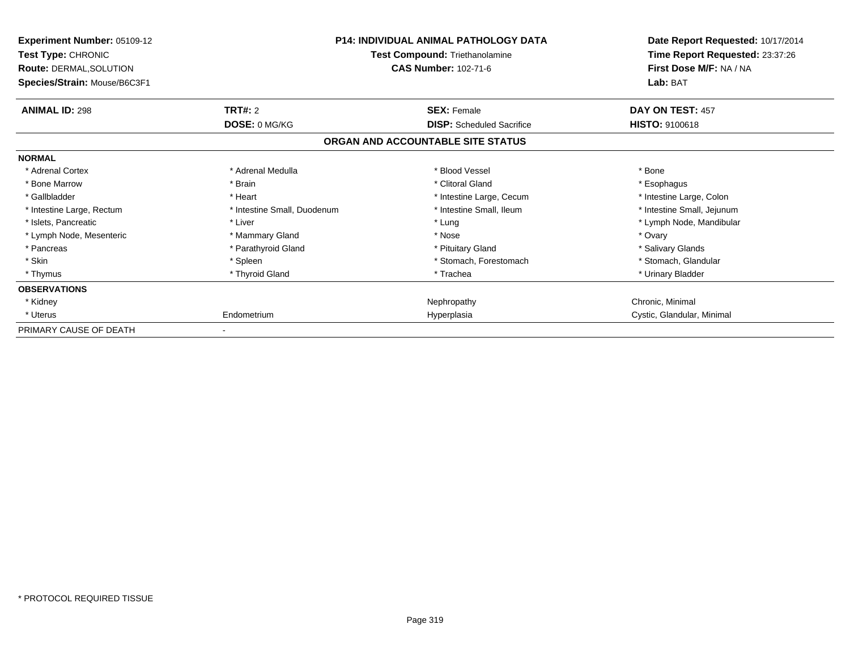| Experiment Number: 05109-12<br><b>Test Type: CHRONIC</b><br>Route: DERMAL, SOLUTION<br>Species/Strain: Mouse/B6C3F1 | <b>P14: INDIVIDUAL ANIMAL PATHOLOGY DATA</b><br>Test Compound: Triethanolamine<br><b>CAS Number: 102-71-6</b> |                                   | Date Report Requested: 10/17/2014<br>Time Report Requested: 23:37:26<br>First Dose M/F: NA / NA<br>Lab: BAT |
|---------------------------------------------------------------------------------------------------------------------|---------------------------------------------------------------------------------------------------------------|-----------------------------------|-------------------------------------------------------------------------------------------------------------|
| <b>ANIMAL ID: 298</b>                                                                                               | <b>TRT#: 2</b>                                                                                                | <b>SEX: Female</b>                | DAY ON TEST: 457                                                                                            |
|                                                                                                                     | DOSE: 0 MG/KG                                                                                                 | <b>DISP:</b> Scheduled Sacrifice  | <b>HISTO: 9100618</b>                                                                                       |
|                                                                                                                     |                                                                                                               | ORGAN AND ACCOUNTABLE SITE STATUS |                                                                                                             |
| <b>NORMAL</b>                                                                                                       |                                                                                                               |                                   |                                                                                                             |
| * Adrenal Cortex                                                                                                    | * Adrenal Medulla                                                                                             | * Blood Vessel                    | * Bone                                                                                                      |
| * Bone Marrow                                                                                                       | * Brain                                                                                                       | * Clitoral Gland                  | * Esophagus                                                                                                 |
| * Gallbladder                                                                                                       | * Heart                                                                                                       | * Intestine Large, Cecum          | * Intestine Large, Colon                                                                                    |
| * Intestine Large, Rectum                                                                                           | * Intestine Small, Duodenum                                                                                   | * Intestine Small, Ileum          | * Intestine Small, Jejunum                                                                                  |
| * Islets, Pancreatic                                                                                                | * Liver                                                                                                       | * Lung                            | * Lymph Node, Mandibular                                                                                    |
| * Lymph Node, Mesenteric                                                                                            | * Mammary Gland                                                                                               | * Nose                            | * Ovary                                                                                                     |
| * Pancreas                                                                                                          | * Parathyroid Gland                                                                                           | * Pituitary Gland                 | * Salivary Glands                                                                                           |
| * Skin                                                                                                              | * Spleen                                                                                                      | * Stomach, Forestomach            | * Stomach, Glandular                                                                                        |
| * Thymus                                                                                                            | * Thyroid Gland                                                                                               | * Trachea                         | * Urinary Bladder                                                                                           |
| <b>OBSERVATIONS</b>                                                                                                 |                                                                                                               |                                   |                                                                                                             |
| * Kidney                                                                                                            |                                                                                                               | Nephropathy                       | Chronic, Minimal                                                                                            |
| * Uterus                                                                                                            | Endometrium                                                                                                   | Hyperplasia                       | Cystic, Glandular, Minimal                                                                                  |
| PRIMARY CAUSE OF DEATH                                                                                              |                                                                                                               |                                   |                                                                                                             |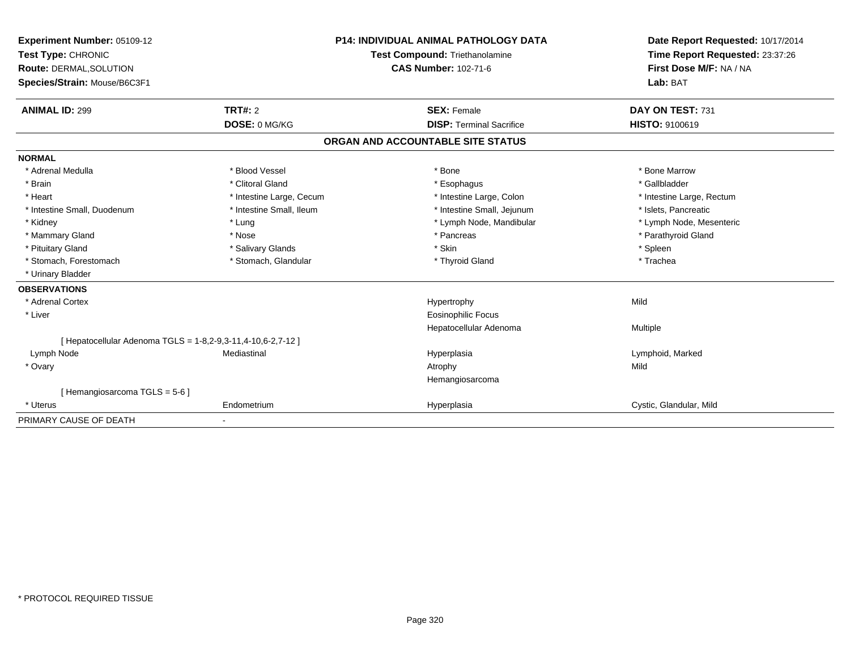| Experiment Number: 05109-12<br>Test Type: CHRONIC<br><b>Route: DERMAL, SOLUTION</b><br>Species/Strain: Mouse/B6C3F1 |                          | <b>P14: INDIVIDUAL ANIMAL PATHOLOGY DATA</b><br>Test Compound: Triethanolamine<br><b>CAS Number: 102-71-6</b> | Date Report Requested: 10/17/2014<br>Time Report Requested: 23:37:26<br>First Dose M/F: NA / NA<br>Lab: BAT |
|---------------------------------------------------------------------------------------------------------------------|--------------------------|---------------------------------------------------------------------------------------------------------------|-------------------------------------------------------------------------------------------------------------|
| <b>ANIMAL ID: 299</b>                                                                                               | <b>TRT#: 2</b>           | <b>SEX: Female</b>                                                                                            | DAY ON TEST: 731                                                                                            |
|                                                                                                                     | DOSE: 0 MG/KG            | <b>DISP: Terminal Sacrifice</b>                                                                               | <b>HISTO: 9100619</b>                                                                                       |
|                                                                                                                     |                          | ORGAN AND ACCOUNTABLE SITE STATUS                                                                             |                                                                                                             |
| <b>NORMAL</b>                                                                                                       |                          |                                                                                                               |                                                                                                             |
| * Adrenal Medulla                                                                                                   | * Blood Vessel           | * Bone                                                                                                        | * Bone Marrow                                                                                               |
| * Brain                                                                                                             | * Clitoral Gland         | * Esophagus                                                                                                   | * Gallbladder                                                                                               |
| * Heart                                                                                                             | * Intestine Large, Cecum | * Intestine Large, Colon                                                                                      | * Intestine Large, Rectum                                                                                   |
| * Intestine Small, Duodenum                                                                                         | * Intestine Small, Ileum | * Intestine Small, Jejunum                                                                                    | * Islets. Pancreatic                                                                                        |
| * Kidney                                                                                                            | * Lung                   | * Lymph Node, Mandibular                                                                                      | * Lymph Node, Mesenteric                                                                                    |
| * Mammary Gland                                                                                                     | * Nose                   | * Pancreas                                                                                                    | * Parathyroid Gland                                                                                         |
| * Pituitary Gland                                                                                                   | * Salivary Glands        | * Skin                                                                                                        | * Spleen                                                                                                    |
| * Stomach, Forestomach                                                                                              | * Stomach, Glandular     | * Thyroid Gland                                                                                               | * Trachea                                                                                                   |
| * Urinary Bladder                                                                                                   |                          |                                                                                                               |                                                                                                             |
| <b>OBSERVATIONS</b>                                                                                                 |                          |                                                                                                               |                                                                                                             |
| * Adrenal Cortex                                                                                                    |                          | Hypertrophy                                                                                                   | Mild                                                                                                        |
| * Liver                                                                                                             |                          | <b>Eosinophilic Focus</b>                                                                                     |                                                                                                             |
|                                                                                                                     |                          | Hepatocellular Adenoma                                                                                        | Multiple                                                                                                    |
| [ Hepatocellular Adenoma TGLS = 1-8,2-9,3-11,4-10,6-2,7-12 ]                                                        |                          |                                                                                                               |                                                                                                             |
| Lymph Node                                                                                                          | Mediastinal              | Hyperplasia                                                                                                   | Lymphoid, Marked                                                                                            |
| * Ovary                                                                                                             |                          | Atrophy                                                                                                       | Mild                                                                                                        |
|                                                                                                                     |                          | Hemangiosarcoma                                                                                               |                                                                                                             |
| [Hemangiosarcoma TGLS = 5-6]                                                                                        |                          |                                                                                                               |                                                                                                             |
| * Uterus                                                                                                            | Endometrium              | Hyperplasia                                                                                                   | Cystic, Glandular, Mild                                                                                     |
| PRIMARY CAUSE OF DEATH                                                                                              |                          |                                                                                                               |                                                                                                             |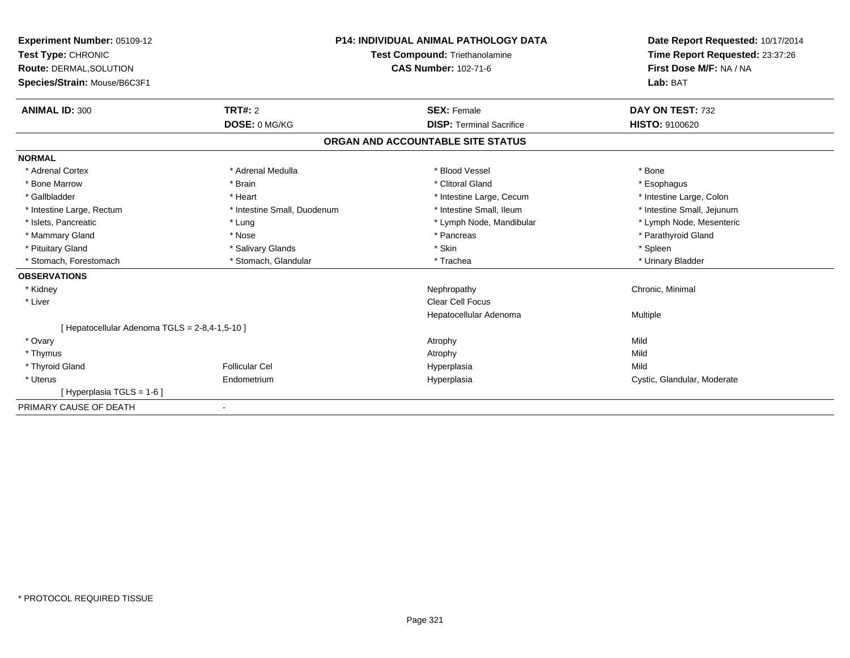| Experiment Number: 05109-12<br>Test Type: CHRONIC<br>Route: DERMAL, SOLUTION<br>Species/Strain: Mouse/B6C3F1 |                             | <b>P14: INDIVIDUAL ANIMAL PATHOLOGY DATA</b><br>Test Compound: Triethanolamine<br><b>CAS Number: 102-71-6</b> | Date Report Requested: 10/17/2014<br>Time Report Requested: 23:37:26<br>First Dose M/F: NA / NA<br>Lab: BAT |
|--------------------------------------------------------------------------------------------------------------|-----------------------------|---------------------------------------------------------------------------------------------------------------|-------------------------------------------------------------------------------------------------------------|
| <b>ANIMAL ID: 300</b>                                                                                        | <b>TRT#: 2</b>              | <b>SEX: Female</b>                                                                                            | DAY ON TEST: 732                                                                                            |
|                                                                                                              | DOSE: 0 MG/KG               | <b>DISP: Terminal Sacrifice</b>                                                                               | HISTO: 9100620                                                                                              |
|                                                                                                              |                             | ORGAN AND ACCOUNTABLE SITE STATUS                                                                             |                                                                                                             |
| <b>NORMAL</b>                                                                                                |                             |                                                                                                               |                                                                                                             |
| * Adrenal Cortex                                                                                             | * Adrenal Medulla           | * Blood Vessel                                                                                                | * Bone                                                                                                      |
| * Bone Marrow                                                                                                | * Brain                     | * Clitoral Gland                                                                                              | * Esophagus                                                                                                 |
| * Gallbladder                                                                                                | * Heart                     | * Intestine Large, Cecum                                                                                      | * Intestine Large, Colon                                                                                    |
| * Intestine Large, Rectum                                                                                    | * Intestine Small, Duodenum | * Intestine Small, Ileum                                                                                      | * Intestine Small, Jejunum                                                                                  |
| * Islets, Pancreatic                                                                                         | * Lung                      | * Lymph Node, Mandibular                                                                                      | * Lymph Node, Mesenteric                                                                                    |
| * Mammary Gland                                                                                              | * Nose                      | * Pancreas                                                                                                    | * Parathyroid Gland                                                                                         |
| * Pituitary Gland                                                                                            | * Salivary Glands           | * Skin                                                                                                        | * Spleen                                                                                                    |
| * Stomach, Forestomach                                                                                       | * Stomach, Glandular        | * Trachea                                                                                                     | * Urinary Bladder                                                                                           |
| <b>OBSERVATIONS</b>                                                                                          |                             |                                                                                                               |                                                                                                             |
| * Kidney                                                                                                     |                             | Nephropathy                                                                                                   | Chronic, Minimal                                                                                            |
| * Liver                                                                                                      |                             | <b>Clear Cell Focus</b>                                                                                       |                                                                                                             |
|                                                                                                              |                             | Hepatocellular Adenoma                                                                                        | Multiple                                                                                                    |
| [ Hepatocellular Adenoma TGLS = 2-8,4-1,5-10 ]                                                               |                             |                                                                                                               |                                                                                                             |
| * Ovary                                                                                                      |                             | Atrophy                                                                                                       | Mild                                                                                                        |
| * Thymus                                                                                                     |                             | Atrophy                                                                                                       | Mild                                                                                                        |
| * Thyroid Gland                                                                                              | <b>Follicular Cel</b>       | Hyperplasia                                                                                                   | Mild                                                                                                        |
| * Uterus                                                                                                     | Endometrium                 | Hyperplasia                                                                                                   | Cystic, Glandular, Moderate                                                                                 |
| [Hyperplasia TGLS = 1-6]                                                                                     |                             |                                                                                                               |                                                                                                             |
| PRIMARY CAUSE OF DEATH                                                                                       |                             |                                                                                                               |                                                                                                             |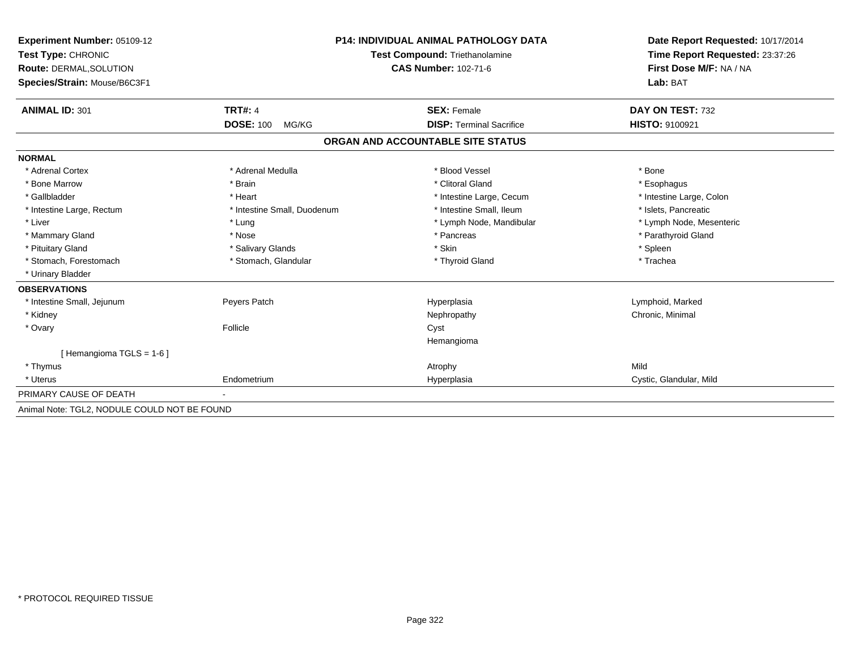| <b>Experiment Number: 05109-12</b>           | <b>P14: INDIVIDUAL ANIMAL PATHOLOGY DATA</b> |                                   | Date Report Requested: 10/17/2014 |
|----------------------------------------------|----------------------------------------------|-----------------------------------|-----------------------------------|
| Test Type: CHRONIC                           |                                              | Test Compound: Triethanolamine    | Time Report Requested: 23:37:26   |
| Route: DERMAL, SOLUTION                      |                                              | <b>CAS Number: 102-71-6</b>       | First Dose M/F: NA / NA           |
| Species/Strain: Mouse/B6C3F1                 |                                              |                                   | Lab: BAT                          |
| <b>ANIMAL ID: 301</b>                        | <b>TRT#: 4</b>                               | <b>SEX: Female</b>                | DAY ON TEST: 732                  |
|                                              | <b>DOSE: 100</b><br>MG/KG                    | <b>DISP: Terminal Sacrifice</b>   | <b>HISTO: 9100921</b>             |
|                                              |                                              | ORGAN AND ACCOUNTABLE SITE STATUS |                                   |
| <b>NORMAL</b>                                |                                              |                                   |                                   |
| * Adrenal Cortex                             | * Adrenal Medulla                            | * Blood Vessel                    | * Bone                            |
| * Bone Marrow                                | * Brain                                      | * Clitoral Gland                  | * Esophagus                       |
| * Gallbladder                                | * Heart                                      | * Intestine Large, Cecum          | * Intestine Large, Colon          |
| * Intestine Large, Rectum                    | * Intestine Small, Duodenum                  | * Intestine Small, Ileum          | * Islets, Pancreatic              |
| * Liver                                      | * Lung                                       | * Lymph Node, Mandibular          | * Lymph Node, Mesenteric          |
| * Mammary Gland                              | * Nose                                       | * Pancreas                        | * Parathyroid Gland               |
| * Pituitary Gland                            | * Salivary Glands                            | * Skin                            | * Spleen                          |
| * Stomach, Forestomach                       | * Stomach, Glandular                         | * Thyroid Gland                   | * Trachea                         |
| * Urinary Bladder                            |                                              |                                   |                                   |
| <b>OBSERVATIONS</b>                          |                                              |                                   |                                   |
| * Intestine Small, Jejunum                   | Peyers Patch                                 | Hyperplasia                       | Lymphoid, Marked                  |
| * Kidney                                     |                                              | Nephropathy                       | Chronic, Minimal                  |
| * Ovary                                      | Follicle                                     | Cyst                              |                                   |
|                                              |                                              | Hemangioma                        |                                   |
| [Hemangioma TGLS = $1-6$ ]                   |                                              |                                   |                                   |
| * Thymus                                     |                                              | Atrophy                           | Mild                              |
| * Uterus                                     | Endometrium                                  | Hyperplasia                       | Cystic, Glandular, Mild           |
| PRIMARY CAUSE OF DEATH                       |                                              |                                   |                                   |
| Animal Note: TGL2, NODULE COULD NOT BE FOUND |                                              |                                   |                                   |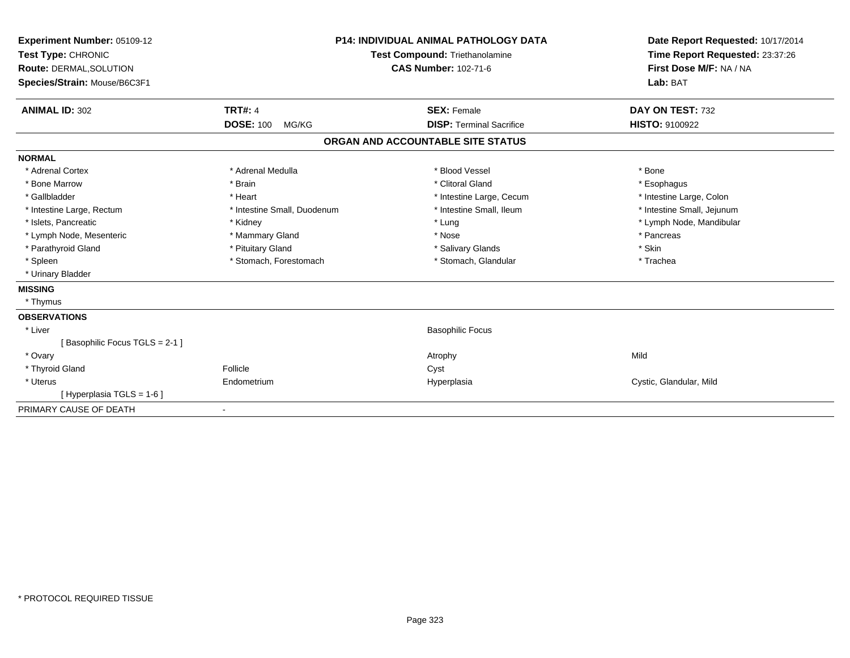| Experiment Number: 05109-12<br>Test Type: CHRONIC<br>Route: DERMAL, SOLUTION<br>Species/Strain: Mouse/B6C3F1 |                             | <b>P14: INDIVIDUAL ANIMAL PATHOLOGY DATA</b><br><b>Test Compound: Triethanolamine</b><br><b>CAS Number: 102-71-6</b> | Date Report Requested: 10/17/2014<br>Time Report Requested: 23:37:26<br>First Dose M/F: NA / NA<br>Lab: BAT |
|--------------------------------------------------------------------------------------------------------------|-----------------------------|----------------------------------------------------------------------------------------------------------------------|-------------------------------------------------------------------------------------------------------------|
| <b>ANIMAL ID: 302</b>                                                                                        | <b>TRT#: 4</b>              | <b>SEX: Female</b>                                                                                                   | DAY ON TEST: 732                                                                                            |
|                                                                                                              | <b>DOSE: 100</b><br>MG/KG   | <b>DISP: Terminal Sacrifice</b>                                                                                      | <b>HISTO: 9100922</b>                                                                                       |
|                                                                                                              |                             | ORGAN AND ACCOUNTABLE SITE STATUS                                                                                    |                                                                                                             |
| <b>NORMAL</b>                                                                                                |                             |                                                                                                                      |                                                                                                             |
| * Adrenal Cortex                                                                                             | * Adrenal Medulla           | * Blood Vessel                                                                                                       | * Bone                                                                                                      |
| * Bone Marrow                                                                                                | * Brain                     | * Clitoral Gland                                                                                                     | * Esophagus                                                                                                 |
| * Gallbladder                                                                                                | * Heart                     | * Intestine Large, Cecum                                                                                             | * Intestine Large, Colon                                                                                    |
| * Intestine Large, Rectum                                                                                    | * Intestine Small, Duodenum | * Intestine Small, Ileum                                                                                             | * Intestine Small, Jejunum                                                                                  |
| * Islets, Pancreatic                                                                                         | * Kidney                    | * Lung                                                                                                               | * Lymph Node, Mandibular                                                                                    |
| * Lymph Node, Mesenteric                                                                                     | * Mammary Gland             | * Nose                                                                                                               | * Pancreas                                                                                                  |
| * Parathyroid Gland                                                                                          | * Pituitary Gland           | * Salivary Glands                                                                                                    | * Skin                                                                                                      |
| * Spleen                                                                                                     | * Stomach, Forestomach      | * Stomach, Glandular                                                                                                 | * Trachea                                                                                                   |
| * Urinary Bladder                                                                                            |                             |                                                                                                                      |                                                                                                             |
| <b>MISSING</b>                                                                                               |                             |                                                                                                                      |                                                                                                             |
| * Thymus                                                                                                     |                             |                                                                                                                      |                                                                                                             |
| <b>OBSERVATIONS</b>                                                                                          |                             |                                                                                                                      |                                                                                                             |
| * Liver                                                                                                      |                             | <b>Basophilic Focus</b>                                                                                              |                                                                                                             |
| [Basophilic Focus TGLS = 2-1]                                                                                |                             |                                                                                                                      |                                                                                                             |
| * Ovary                                                                                                      |                             | Atrophy                                                                                                              | Mild                                                                                                        |
| * Thyroid Gland                                                                                              | Follicle                    | Cyst                                                                                                                 |                                                                                                             |
| * Uterus                                                                                                     | Endometrium                 | Hyperplasia                                                                                                          | Cystic, Glandular, Mild                                                                                     |
| [Hyperplasia TGLS = $1-6$ ]                                                                                  |                             |                                                                                                                      |                                                                                                             |
| PRIMARY CAUSE OF DEATH                                                                                       |                             |                                                                                                                      |                                                                                                             |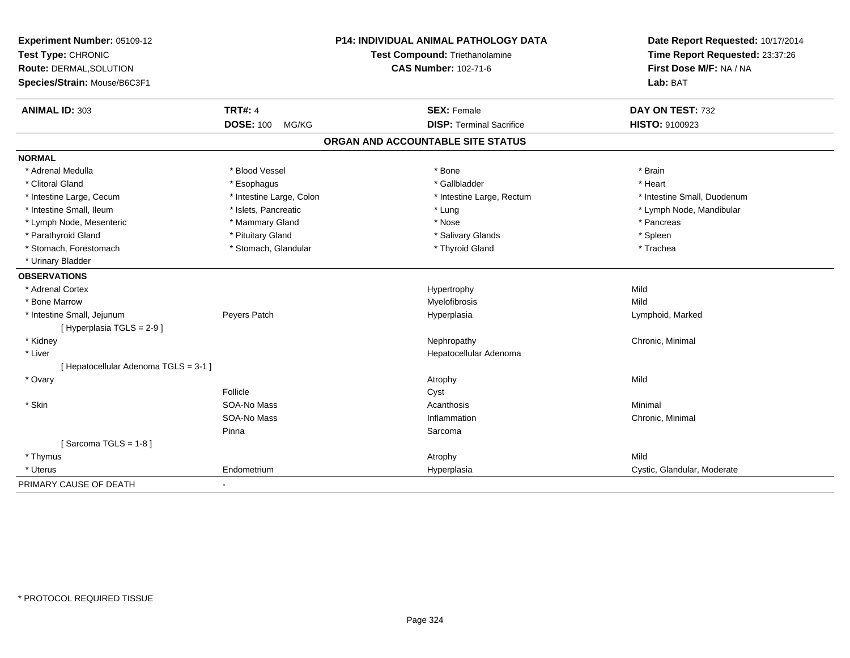| Experiment Number: 05109-12<br>Test Type: CHRONIC<br>Route: DERMAL, SOLUTION |                           | P14: INDIVIDUAL ANIMAL PATHOLOGY DATA<br>Test Compound: Triethanolamine<br><b>CAS Number: 102-71-6</b> | Date Report Requested: 10/17/2014<br>Time Report Requested: 23:37:26<br>First Dose M/F: NA / NA |  |
|------------------------------------------------------------------------------|---------------------------|--------------------------------------------------------------------------------------------------------|-------------------------------------------------------------------------------------------------|--|
| Species/Strain: Mouse/B6C3F1                                                 |                           |                                                                                                        | Lab: BAT                                                                                        |  |
| <b>ANIMAL ID: 303</b>                                                        | <b>TRT#: 4</b>            | <b>SEX: Female</b>                                                                                     | DAY ON TEST: 732                                                                                |  |
|                                                                              | <b>DOSE: 100</b><br>MG/KG | <b>DISP: Terminal Sacrifice</b>                                                                        | HISTO: 9100923                                                                                  |  |
|                                                                              |                           | ORGAN AND ACCOUNTABLE SITE STATUS                                                                      |                                                                                                 |  |
| <b>NORMAL</b>                                                                |                           |                                                                                                        |                                                                                                 |  |
| * Adrenal Medulla                                                            | * Blood Vessel            | * Bone                                                                                                 | * Brain                                                                                         |  |
| * Clitoral Gland                                                             | * Esophagus               | * Gallbladder                                                                                          | * Heart                                                                                         |  |
| * Intestine Large, Cecum                                                     | * Intestine Large, Colon  | * Intestine Large, Rectum                                                                              | * Intestine Small, Duodenum                                                                     |  |
| * Intestine Small, Ileum                                                     | * Islets, Pancreatic      | * Lung                                                                                                 | * Lymph Node, Mandibular                                                                        |  |
| * Lymph Node, Mesenteric                                                     | * Mammary Gland           | * Nose                                                                                                 | * Pancreas                                                                                      |  |
| * Parathyroid Gland                                                          | * Pituitary Gland         | * Salivary Glands                                                                                      | * Spleen                                                                                        |  |
| * Stomach, Forestomach                                                       | * Stomach, Glandular      | * Thyroid Gland                                                                                        | * Trachea                                                                                       |  |
| * Urinary Bladder                                                            |                           |                                                                                                        |                                                                                                 |  |
| <b>OBSERVATIONS</b>                                                          |                           |                                                                                                        |                                                                                                 |  |
| * Adrenal Cortex                                                             |                           | Hypertrophy                                                                                            | Mild                                                                                            |  |
| * Bone Marrow                                                                |                           | Myelofibrosis                                                                                          | Mild                                                                                            |  |
| * Intestine Small, Jejunum                                                   | Peyers Patch              | Hyperplasia                                                                                            | Lymphoid, Marked                                                                                |  |
| [Hyperplasia TGLS = $2-9$ ]                                                  |                           |                                                                                                        |                                                                                                 |  |
| * Kidney                                                                     |                           | Nephropathy                                                                                            | Chronic, Minimal                                                                                |  |
| * Liver                                                                      |                           | Hepatocellular Adenoma                                                                                 |                                                                                                 |  |
| [ Hepatocellular Adenoma TGLS = 3-1 ]                                        |                           |                                                                                                        |                                                                                                 |  |
| * Ovary                                                                      |                           | Atrophy                                                                                                | Mild                                                                                            |  |
|                                                                              | Follicle                  | Cyst                                                                                                   |                                                                                                 |  |
| * Skin                                                                       | SOA-No Mass               | Acanthosis                                                                                             | Minimal                                                                                         |  |
|                                                                              | SOA-No Mass               | Inflammation                                                                                           | Chronic, Minimal                                                                                |  |
|                                                                              | Pinna                     | Sarcoma                                                                                                |                                                                                                 |  |
| [Sarcoma TGLS = $1-8$ ]                                                      |                           |                                                                                                        |                                                                                                 |  |
| * Thymus                                                                     |                           | Atrophy                                                                                                | Mild                                                                                            |  |
| * Uterus                                                                     | Endometrium               | Hyperplasia                                                                                            | Cystic, Glandular, Moderate                                                                     |  |
| PRIMARY CAUSE OF DEATH                                                       | $\overline{\phantom{a}}$  |                                                                                                        |                                                                                                 |  |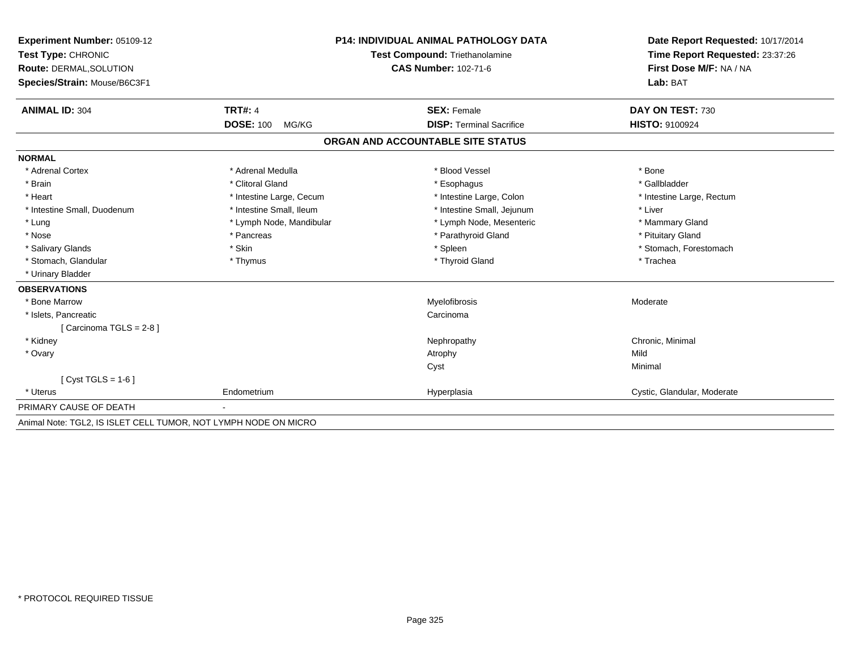| Experiment Number: 05109-12<br>Test Type: CHRONIC               |                           | <b>P14: INDIVIDUAL ANIMAL PATHOLOGY DATA</b> | Date Report Requested: 10/17/2014<br>Time Report Requested: 23:37:26 |
|-----------------------------------------------------------------|---------------------------|----------------------------------------------|----------------------------------------------------------------------|
|                                                                 |                           | Test Compound: Triethanolamine               |                                                                      |
| <b>Route: DERMAL, SOLUTION</b>                                  |                           | <b>CAS Number: 102-71-6</b>                  | First Dose M/F: NA / NA                                              |
| Species/Strain: Mouse/B6C3F1                                    |                           |                                              | Lab: BAT                                                             |
| <b>ANIMAL ID: 304</b>                                           | <b>TRT#: 4</b>            | <b>SEX: Female</b>                           | DAY ON TEST: 730                                                     |
|                                                                 | <b>DOSE: 100</b><br>MG/KG | <b>DISP: Terminal Sacrifice</b>              | HISTO: 9100924                                                       |
|                                                                 |                           | ORGAN AND ACCOUNTABLE SITE STATUS            |                                                                      |
| <b>NORMAL</b>                                                   |                           |                                              |                                                                      |
| * Adrenal Cortex                                                | * Adrenal Medulla         | * Blood Vessel                               | * Bone                                                               |
| * Brain                                                         | * Clitoral Gland          | * Esophagus                                  | * Gallbladder                                                        |
| * Heart                                                         | * Intestine Large, Cecum  | * Intestine Large, Colon                     | * Intestine Large, Rectum                                            |
| * Intestine Small, Duodenum                                     | * Intestine Small, Ileum  | * Intestine Small, Jejunum                   | * Liver                                                              |
| * Lung                                                          | * Lymph Node, Mandibular  | * Lymph Node, Mesenteric                     | * Mammary Gland                                                      |
| * Nose                                                          | * Pancreas                | * Parathyroid Gland                          | * Pituitary Gland                                                    |
| * Salivary Glands                                               | * Skin                    | * Spleen                                     | * Stomach, Forestomach                                               |
| * Stomach, Glandular                                            | * Thymus                  | * Thyroid Gland                              | * Trachea                                                            |
| * Urinary Bladder                                               |                           |                                              |                                                                      |
| <b>OBSERVATIONS</b>                                             |                           |                                              |                                                                      |
| * Bone Marrow                                                   |                           | Myelofibrosis                                | Moderate                                                             |
| * Islets, Pancreatic                                            |                           | Carcinoma                                    |                                                                      |
| [Carcinoma TGLS = 2-8]                                          |                           |                                              |                                                                      |
| * Kidney                                                        |                           | Nephropathy                                  | Chronic, Minimal                                                     |
| * Ovary                                                         |                           | Atrophy                                      | Mild                                                                 |
|                                                                 |                           | Cyst                                         | Minimal                                                              |
| [ $Cyst TGLS = 1-6$ ]                                           |                           |                                              |                                                                      |
| * Uterus                                                        | Endometrium               | Hyperplasia                                  | Cystic, Glandular, Moderate                                          |
| PRIMARY CAUSE OF DEATH                                          |                           |                                              |                                                                      |
| Animal Note: TGL2, IS ISLET CELL TUMOR, NOT LYMPH NODE ON MICRO |                           |                                              |                                                                      |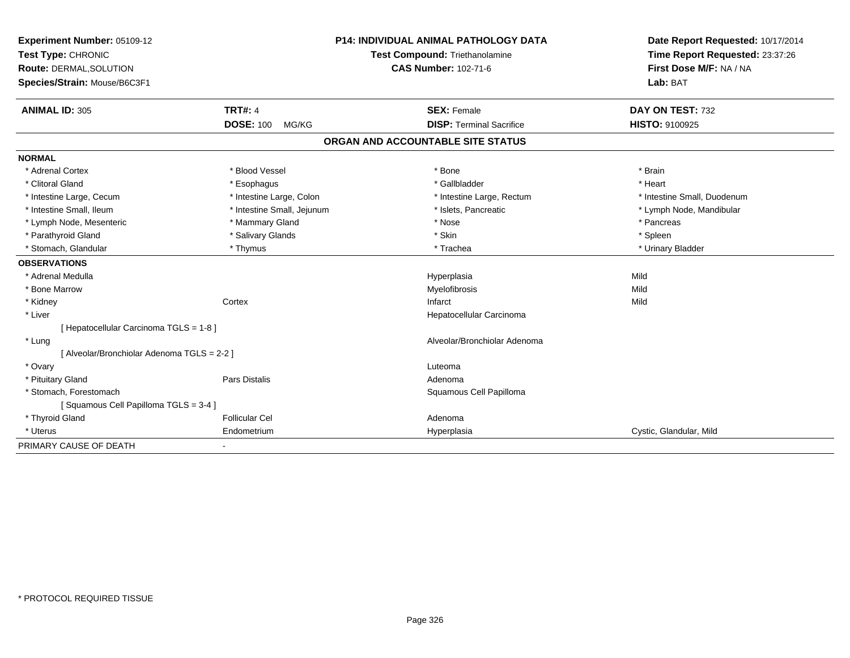| Experiment Number: 05109-12                 |                            | <b>P14: INDIVIDUAL ANIMAL PATHOLOGY DATA</b> | Date Report Requested: 10/17/2014 |
|---------------------------------------------|----------------------------|----------------------------------------------|-----------------------------------|
| Test Type: CHRONIC                          |                            | Test Compound: Triethanolamine               | Time Report Requested: 23:37:26   |
| Route: DERMAL, SOLUTION                     |                            | <b>CAS Number: 102-71-6</b>                  | First Dose M/F: NA / NA           |
| Species/Strain: Mouse/B6C3F1                |                            |                                              | Lab: BAT                          |
| <b>ANIMAL ID: 305</b>                       | <b>TRT#: 4</b>             | <b>SEX: Female</b>                           | DAY ON TEST: 732                  |
|                                             | <b>DOSE: 100</b><br>MG/KG  | <b>DISP: Terminal Sacrifice</b>              | <b>HISTO: 9100925</b>             |
|                                             |                            | ORGAN AND ACCOUNTABLE SITE STATUS            |                                   |
| <b>NORMAL</b>                               |                            |                                              |                                   |
| * Adrenal Cortex                            | * Blood Vessel             | * Bone                                       | * Brain                           |
| * Clitoral Gland                            | * Esophagus                | * Gallbladder                                | * Heart                           |
| * Intestine Large, Cecum                    | * Intestine Large, Colon   | * Intestine Large, Rectum                    | * Intestine Small, Duodenum       |
| * Intestine Small, Ileum                    | * Intestine Small, Jejunum | * Islets, Pancreatic                         | * Lymph Node, Mandibular          |
| * Lymph Node, Mesenteric                    | * Mammary Gland            | * Nose                                       | * Pancreas                        |
| * Parathyroid Gland                         | * Salivary Glands          | * Skin                                       | * Spleen                          |
| * Stomach, Glandular                        | * Thymus                   | * Trachea                                    | * Urinary Bladder                 |
| <b>OBSERVATIONS</b>                         |                            |                                              |                                   |
| * Adrenal Medulla                           |                            | Hyperplasia                                  | Mild                              |
| * Bone Marrow                               |                            | Myelofibrosis                                | Mild                              |
| * Kidney                                    | Cortex                     | Infarct                                      | Mild                              |
| * Liver                                     |                            | Hepatocellular Carcinoma                     |                                   |
| [Hepatocellular Carcinoma TGLS = 1-8]       |                            |                                              |                                   |
| * Lung                                      |                            | Alveolar/Bronchiolar Adenoma                 |                                   |
| [ Alveolar/Bronchiolar Adenoma TGLS = 2-2 ] |                            |                                              |                                   |
| * Ovary                                     |                            | Luteoma                                      |                                   |
| * Pituitary Gland                           | <b>Pars Distalis</b>       | Adenoma                                      |                                   |
| * Stomach, Forestomach                      |                            | Squamous Cell Papilloma                      |                                   |
| [Squamous Cell Papilloma TGLS = 3-4]        |                            |                                              |                                   |
| * Thyroid Gland                             | <b>Follicular Cel</b>      | Adenoma                                      |                                   |
| * Uterus                                    | Endometrium                | Hyperplasia                                  | Cystic, Glandular, Mild           |
| PRIMARY CAUSE OF DEATH                      |                            |                                              |                                   |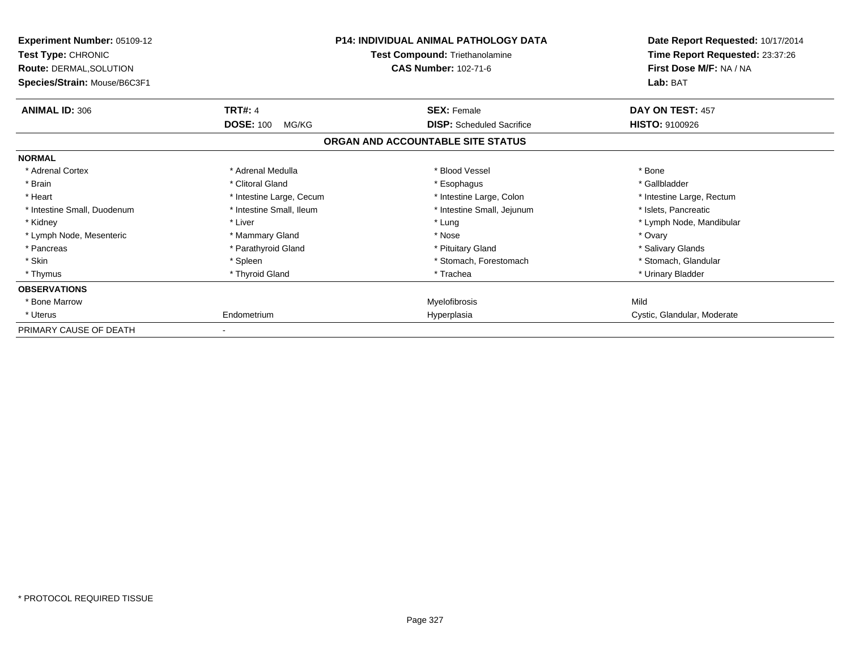| <b>Experiment Number: 05109-12</b><br>Test Type: CHRONIC<br><b>Route: DERMAL, SOLUTION</b><br>Species/Strain: Mouse/B6C3F1 |                           | P14: INDIVIDUAL ANIMAL PATHOLOGY DATA<br>Test Compound: Triethanolamine<br><b>CAS Number: 102-71-6</b> | Date Report Requested: 10/17/2014<br>Time Report Requested: 23:37:26<br>First Dose M/F: NA / NA<br>Lab: BAT |  |
|----------------------------------------------------------------------------------------------------------------------------|---------------------------|--------------------------------------------------------------------------------------------------------|-------------------------------------------------------------------------------------------------------------|--|
| <b>ANIMAL ID: 306</b>                                                                                                      | <b>TRT#: 4</b>            | <b>SEX: Female</b>                                                                                     | DAY ON TEST: 457                                                                                            |  |
|                                                                                                                            | <b>DOSE: 100</b><br>MG/KG | <b>DISP:</b> Scheduled Sacrifice                                                                       | <b>HISTO: 9100926</b>                                                                                       |  |
|                                                                                                                            |                           | ORGAN AND ACCOUNTABLE SITE STATUS                                                                      |                                                                                                             |  |
| <b>NORMAL</b>                                                                                                              |                           |                                                                                                        |                                                                                                             |  |
| * Adrenal Cortex                                                                                                           | * Adrenal Medulla         | * Blood Vessel                                                                                         | * Bone                                                                                                      |  |
| * Brain                                                                                                                    | * Clitoral Gland          | * Esophagus                                                                                            | * Gallbladder                                                                                               |  |
| * Heart                                                                                                                    | * Intestine Large, Cecum  | * Intestine Large, Colon                                                                               | * Intestine Large, Rectum                                                                                   |  |
| * Intestine Small, Duodenum                                                                                                | * Intestine Small, Ileum  | * Intestine Small, Jejunum                                                                             | * Islets, Pancreatic                                                                                        |  |
| * Kidney                                                                                                                   | * Liver                   | * Lung                                                                                                 | * Lymph Node, Mandibular                                                                                    |  |
| * Lymph Node, Mesenteric                                                                                                   | * Mammary Gland           | * Nose                                                                                                 | * Ovary                                                                                                     |  |
| * Pancreas                                                                                                                 | * Parathyroid Gland       | * Pituitary Gland                                                                                      | * Salivary Glands                                                                                           |  |
| * Skin                                                                                                                     | * Spleen                  | * Stomach, Forestomach                                                                                 | * Stomach, Glandular                                                                                        |  |
| * Thymus                                                                                                                   | * Thyroid Gland           | * Trachea                                                                                              | * Urinary Bladder                                                                                           |  |
| <b>OBSERVATIONS</b>                                                                                                        |                           |                                                                                                        |                                                                                                             |  |
| * Bone Marrow                                                                                                              |                           | Myelofibrosis                                                                                          | Mild                                                                                                        |  |
| * Uterus                                                                                                                   | Endometrium               | Hyperplasia                                                                                            | Cystic, Glandular, Moderate                                                                                 |  |
| PRIMARY CAUSE OF DEATH                                                                                                     |                           |                                                                                                        |                                                                                                             |  |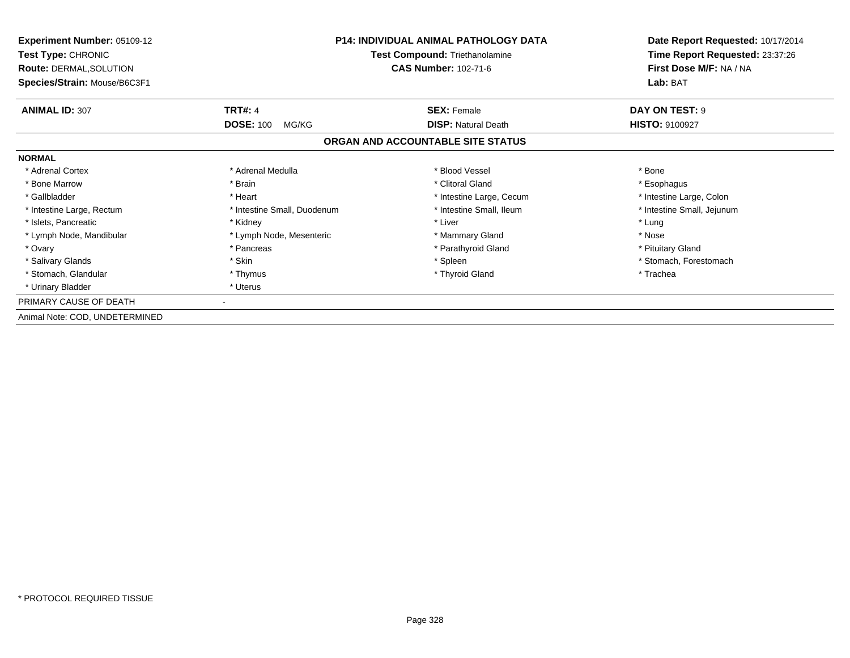| Experiment Number: 05109-12<br><b>Test Type: CHRONIC</b><br><b>Route: DERMAL, SOLUTION</b><br>Species/Strain: Mouse/B6C3F1 | <b>P14: INDIVIDUAL ANIMAL PATHOLOGY DATA</b><br>Test Compound: Triethanolamine<br><b>CAS Number: 102-71-6</b> |                                   | Date Report Requested: 10/17/2014<br>Time Report Requested: 23:37:26<br>First Dose M/F: NA / NA<br>Lab: BAT |
|----------------------------------------------------------------------------------------------------------------------------|---------------------------------------------------------------------------------------------------------------|-----------------------------------|-------------------------------------------------------------------------------------------------------------|
| <b>ANIMAL ID: 307</b>                                                                                                      | <b>TRT#: 4</b>                                                                                                | <b>SEX: Female</b>                | DAY ON TEST: 9                                                                                              |
|                                                                                                                            | <b>DOSE: 100</b><br>MG/KG                                                                                     | <b>DISP: Natural Death</b>        | <b>HISTO: 9100927</b>                                                                                       |
|                                                                                                                            |                                                                                                               | ORGAN AND ACCOUNTABLE SITE STATUS |                                                                                                             |
| <b>NORMAL</b>                                                                                                              |                                                                                                               |                                   |                                                                                                             |
| * Adrenal Cortex                                                                                                           | * Adrenal Medulla                                                                                             | * Blood Vessel                    | * Bone                                                                                                      |
| * Bone Marrow                                                                                                              | * Brain                                                                                                       | * Clitoral Gland                  | * Esophagus                                                                                                 |
| * Gallbladder                                                                                                              | * Heart                                                                                                       | * Intestine Large, Cecum          | * Intestine Large, Colon                                                                                    |
| * Intestine Large, Rectum                                                                                                  | * Intestine Small, Duodenum                                                                                   | * Intestine Small, Ileum          | * Intestine Small, Jejunum                                                                                  |
| * Islets, Pancreatic                                                                                                       | * Kidney                                                                                                      | * Liver                           | * Lung                                                                                                      |
| * Lymph Node, Mandibular                                                                                                   | * Lymph Node, Mesenteric                                                                                      | * Mammary Gland                   | * Nose                                                                                                      |
| * Ovary                                                                                                                    | * Pancreas                                                                                                    | * Parathyroid Gland               | * Pituitary Gland                                                                                           |
| * Salivary Glands                                                                                                          | * Skin                                                                                                        | * Spleen                          | * Stomach, Forestomach                                                                                      |
| * Stomach, Glandular                                                                                                       | * Thymus                                                                                                      | * Thyroid Gland                   | * Trachea                                                                                                   |
| * Urinary Bladder                                                                                                          | * Uterus                                                                                                      |                                   |                                                                                                             |
| PRIMARY CAUSE OF DEATH                                                                                                     |                                                                                                               |                                   |                                                                                                             |
| Animal Note: COD, UNDETERMINED                                                                                             |                                                                                                               |                                   |                                                                                                             |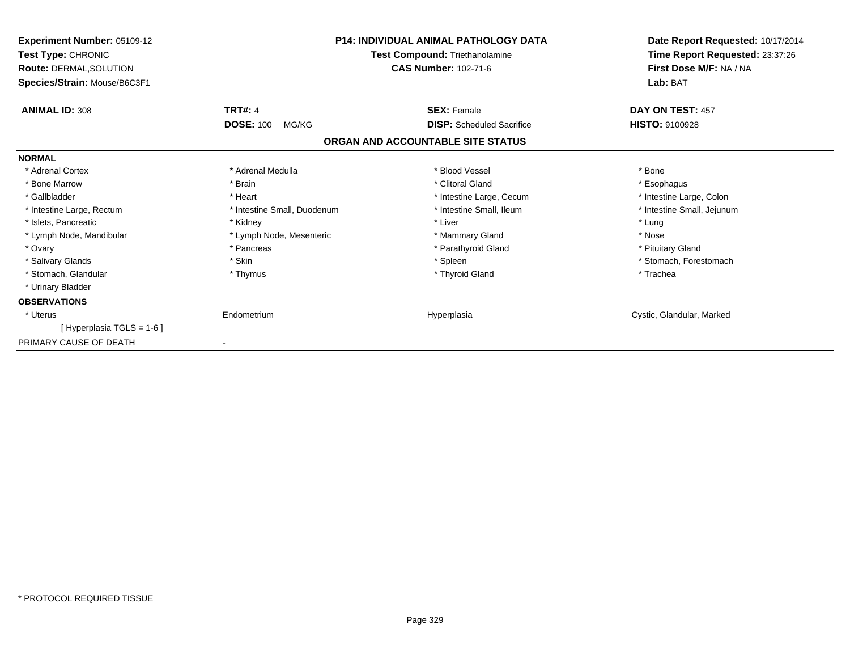| Experiment Number: 05109-12<br>Test Type: CHRONIC<br><b>Route: DERMAL, SOLUTION</b><br>Species/Strain: Mouse/B6C3F1 | <b>P14: INDIVIDUAL ANIMAL PATHOLOGY DATA</b><br><b>Test Compound: Triethanolamine</b><br><b>CAS Number: 102-71-6</b> |                                                        | Date Report Requested: 10/17/2014<br>Time Report Requested: 23:37:26<br>First Dose M/F: NA / NA<br>Lab: BAT |
|---------------------------------------------------------------------------------------------------------------------|----------------------------------------------------------------------------------------------------------------------|--------------------------------------------------------|-------------------------------------------------------------------------------------------------------------|
| <b>ANIMAL ID: 308</b>                                                                                               | <b>TRT#: 4</b><br><b>DOSE: 100</b>                                                                                   | <b>SEX: Female</b><br><b>DISP:</b> Scheduled Sacrifice | DAY ON TEST: 457                                                                                            |
|                                                                                                                     | MG/KG                                                                                                                | ORGAN AND ACCOUNTABLE SITE STATUS                      | <b>HISTO: 9100928</b>                                                                                       |
| <b>NORMAL</b>                                                                                                       |                                                                                                                      |                                                        |                                                                                                             |
| * Adrenal Cortex                                                                                                    | * Adrenal Medulla                                                                                                    | * Blood Vessel                                         | * Bone                                                                                                      |
| * Bone Marrow                                                                                                       | * Brain                                                                                                              | * Clitoral Gland                                       | * Esophagus                                                                                                 |
| * Gallbladder                                                                                                       | * Heart                                                                                                              | * Intestine Large, Cecum                               | * Intestine Large, Colon                                                                                    |
| * Intestine Large, Rectum                                                                                           | * Intestine Small, Duodenum                                                                                          | * Intestine Small, Ileum                               | * Intestine Small, Jejunum                                                                                  |
| * Islets, Pancreatic                                                                                                | * Kidney                                                                                                             | * Liver                                                | * Lung                                                                                                      |
| * Lymph Node, Mandibular                                                                                            | * Lymph Node, Mesenteric                                                                                             | * Mammary Gland                                        | * Nose                                                                                                      |
| * Ovary                                                                                                             | * Pancreas                                                                                                           | * Parathyroid Gland                                    | * Pituitary Gland                                                                                           |
| * Salivary Glands                                                                                                   | * Skin                                                                                                               | * Spleen                                               | * Stomach, Forestomach                                                                                      |
| * Stomach, Glandular                                                                                                | * Thymus                                                                                                             | * Thyroid Gland                                        | * Trachea                                                                                                   |
| * Urinary Bladder                                                                                                   |                                                                                                                      |                                                        |                                                                                                             |
| <b>OBSERVATIONS</b>                                                                                                 |                                                                                                                      |                                                        |                                                                                                             |
| * Uterus                                                                                                            | Endometrium                                                                                                          | Hyperplasia                                            | Cystic, Glandular, Marked                                                                                   |
| [Hyperplasia TGLS = $1-6$ ]                                                                                         |                                                                                                                      |                                                        |                                                                                                             |
| PRIMARY CAUSE OF DEATH                                                                                              |                                                                                                                      |                                                        |                                                                                                             |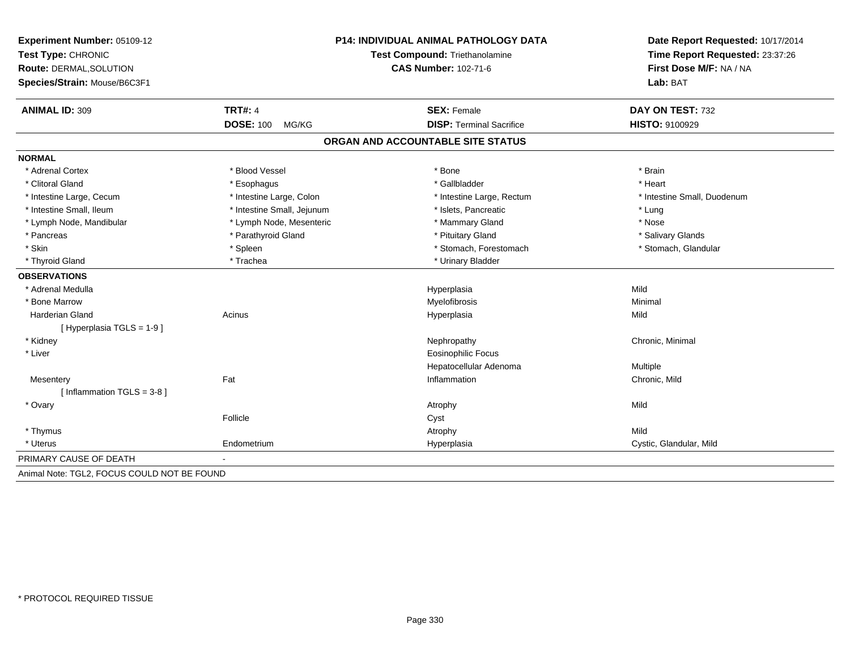| Experiment Number: 05109-12<br>Test Type: CHRONIC<br>Route: DERMAL, SOLUTION<br>Species/Strain: Mouse/B6C3F1 | P14: INDIVIDUAL ANIMAL PATHOLOGY DATA<br><b>Test Compound: Triethanolamine</b><br><b>CAS Number: 102-71-6</b> |                                   | Date Report Requested: 10/17/2014<br>Time Report Requested: 23:37:26<br>First Dose M/F: NA / NA<br>Lab: BAT |
|--------------------------------------------------------------------------------------------------------------|---------------------------------------------------------------------------------------------------------------|-----------------------------------|-------------------------------------------------------------------------------------------------------------|
| <b>ANIMAL ID: 309</b>                                                                                        | <b>TRT#: 4</b>                                                                                                | <b>SEX: Female</b>                | DAY ON TEST: 732                                                                                            |
|                                                                                                              | DOSE: 100 MG/KG                                                                                               | <b>DISP: Terminal Sacrifice</b>   | HISTO: 9100929                                                                                              |
|                                                                                                              |                                                                                                               | ORGAN AND ACCOUNTABLE SITE STATUS |                                                                                                             |
| <b>NORMAL</b>                                                                                                |                                                                                                               |                                   |                                                                                                             |
| * Adrenal Cortex                                                                                             | * Blood Vessel                                                                                                | * Bone                            | * Brain                                                                                                     |
| * Clitoral Gland                                                                                             | * Esophagus                                                                                                   | * Gallbladder                     | * Heart                                                                                                     |
| * Intestine Large, Cecum                                                                                     | * Intestine Large, Colon                                                                                      | * Intestine Large, Rectum         | * Intestine Small, Duodenum                                                                                 |
| * Intestine Small, Ileum                                                                                     | * Intestine Small, Jejunum                                                                                    | * Islets, Pancreatic              | * Lung                                                                                                      |
| * Lymph Node, Mandibular                                                                                     | * Lymph Node, Mesenteric                                                                                      | * Mammary Gland                   | * Nose                                                                                                      |
| * Pancreas                                                                                                   | * Parathyroid Gland                                                                                           | * Pituitary Gland                 | * Salivary Glands                                                                                           |
| * Skin                                                                                                       | * Spleen                                                                                                      | * Stomach, Forestomach            | * Stomach, Glandular                                                                                        |
| * Thyroid Gland                                                                                              | * Trachea                                                                                                     | * Urinary Bladder                 |                                                                                                             |
| <b>OBSERVATIONS</b>                                                                                          |                                                                                                               |                                   |                                                                                                             |
| * Adrenal Medulla                                                                                            |                                                                                                               | Hyperplasia                       | Mild                                                                                                        |
| * Bone Marrow                                                                                                |                                                                                                               | Myelofibrosis                     | Minimal                                                                                                     |
| <b>Harderian Gland</b>                                                                                       | Acinus                                                                                                        | Hyperplasia                       | Mild                                                                                                        |
| [ Hyperplasia TGLS = 1-9]                                                                                    |                                                                                                               |                                   |                                                                                                             |
| * Kidney                                                                                                     |                                                                                                               | Nephropathy                       | Chronic, Minimal                                                                                            |
| * Liver                                                                                                      |                                                                                                               | <b>Eosinophilic Focus</b>         |                                                                                                             |
|                                                                                                              |                                                                                                               | Hepatocellular Adenoma            | Multiple                                                                                                    |
| Mesentery                                                                                                    | Fat                                                                                                           | Inflammation                      | Chronic, Mild                                                                                               |
| [Inflammation TGLS = $3-8$ ]                                                                                 |                                                                                                               |                                   |                                                                                                             |
| * Ovary                                                                                                      |                                                                                                               | Atrophy                           | Mild                                                                                                        |
|                                                                                                              | Follicle                                                                                                      | Cyst                              |                                                                                                             |
| * Thymus                                                                                                     |                                                                                                               | Atrophy                           | Mild                                                                                                        |
| * Uterus                                                                                                     | Endometrium                                                                                                   | Hyperplasia                       | Cystic, Glandular, Mild                                                                                     |
| PRIMARY CAUSE OF DEATH                                                                                       |                                                                                                               |                                   |                                                                                                             |
| Animal Note: TGL2, FOCUS COULD NOT BE FOUND                                                                  |                                                                                                               |                                   |                                                                                                             |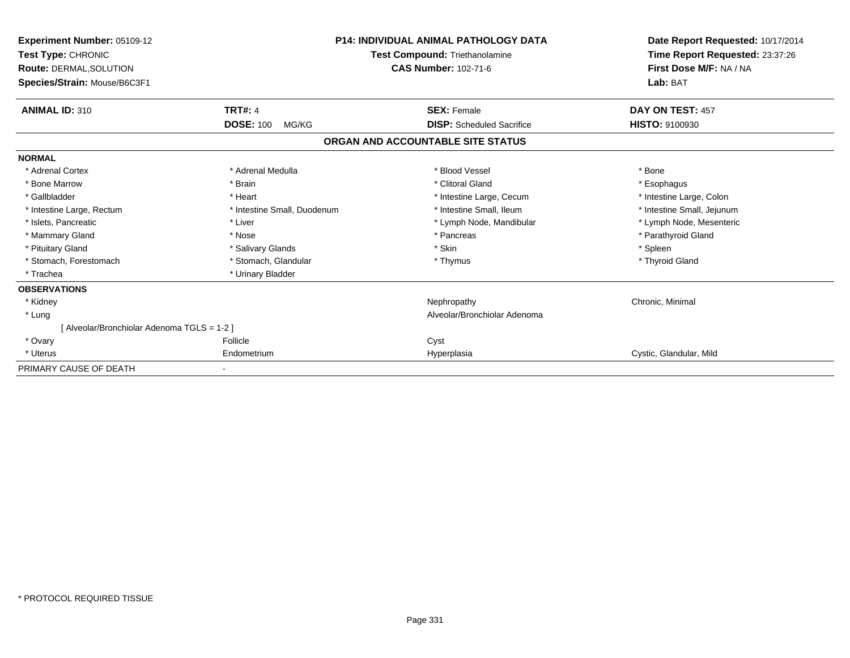| <b>Experiment Number: 05109-12</b><br>Test Type: CHRONIC<br><b>Route: DERMAL, SOLUTION</b><br>Species/Strain: Mouse/B6C3F1 | <b>P14: INDIVIDUAL ANIMAL PATHOLOGY DATA</b><br>Test Compound: Triethanolamine<br><b>CAS Number: 102-71-6</b> |                                   | Date Report Requested: 10/17/2014<br>Time Report Requested: 23:37:26<br>First Dose M/F: NA / NA<br>Lab: BAT |
|----------------------------------------------------------------------------------------------------------------------------|---------------------------------------------------------------------------------------------------------------|-----------------------------------|-------------------------------------------------------------------------------------------------------------|
| <b>ANIMAL ID: 310</b>                                                                                                      | <b>TRT#: 4</b>                                                                                                | <b>SEX: Female</b>                | DAY ON TEST: 457                                                                                            |
|                                                                                                                            | <b>DOSE: 100</b><br>MG/KG                                                                                     | <b>DISP:</b> Scheduled Sacrifice  | HISTO: 9100930                                                                                              |
|                                                                                                                            |                                                                                                               | ORGAN AND ACCOUNTABLE SITE STATUS |                                                                                                             |
| <b>NORMAL</b>                                                                                                              |                                                                                                               |                                   |                                                                                                             |
| * Adrenal Cortex                                                                                                           | * Adrenal Medulla                                                                                             | * Blood Vessel                    | * Bone                                                                                                      |
| * Bone Marrow                                                                                                              | * Brain                                                                                                       | * Clitoral Gland                  | * Esophagus                                                                                                 |
| * Gallbladder                                                                                                              | * Heart                                                                                                       | * Intestine Large, Cecum          | * Intestine Large, Colon                                                                                    |
| * Intestine Large, Rectum                                                                                                  | * Intestine Small, Duodenum                                                                                   | * Intestine Small, Ileum          | * Intestine Small, Jejunum                                                                                  |
| * Islets, Pancreatic                                                                                                       | * Liver                                                                                                       | * Lymph Node, Mandibular          | * Lymph Node, Mesenteric                                                                                    |
| * Mammary Gland                                                                                                            | * Nose                                                                                                        | * Pancreas                        | * Parathyroid Gland                                                                                         |
| * Pituitary Gland                                                                                                          | * Salivary Glands                                                                                             | * Skin                            | * Spleen                                                                                                    |
| * Stomach, Forestomach                                                                                                     | * Stomach, Glandular                                                                                          | * Thymus                          | * Thyroid Gland                                                                                             |
| * Trachea                                                                                                                  | * Urinary Bladder                                                                                             |                                   |                                                                                                             |
| <b>OBSERVATIONS</b>                                                                                                        |                                                                                                               |                                   |                                                                                                             |
| * Kidney                                                                                                                   |                                                                                                               | Nephropathy                       | Chronic, Minimal                                                                                            |
| * Lung                                                                                                                     |                                                                                                               | Alveolar/Bronchiolar Adenoma      |                                                                                                             |
| [Alveolar/Bronchiolar Adenoma TGLS = 1-2]                                                                                  |                                                                                                               |                                   |                                                                                                             |
| * Ovary                                                                                                                    | Follicle                                                                                                      | Cyst                              |                                                                                                             |
| * Uterus                                                                                                                   | Endometrium                                                                                                   | Hyperplasia                       | Cystic, Glandular, Mild                                                                                     |
| PRIMARY CAUSE OF DEATH                                                                                                     |                                                                                                               |                                   |                                                                                                             |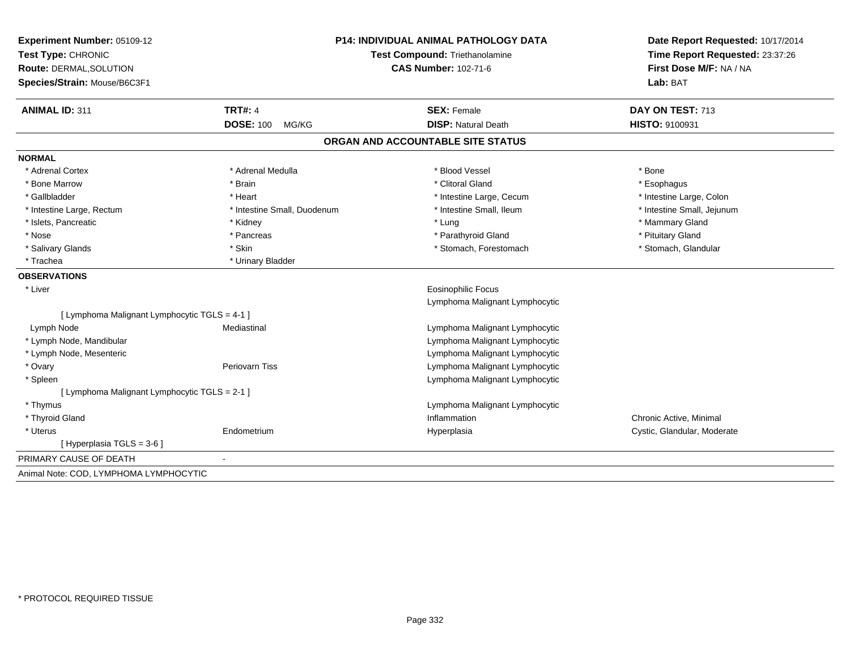| Experiment Number: 05109-12<br>Test Type: CHRONIC<br>Route: DERMAL, SOLUTION<br>Species/Strain: Mouse/B6C3F1 |                             | <b>P14: INDIVIDUAL ANIMAL PATHOLOGY DATA</b><br><b>Test Compound: Triethanolamine</b><br><b>CAS Number: 102-71-6</b> |                             |
|--------------------------------------------------------------------------------------------------------------|-----------------------------|----------------------------------------------------------------------------------------------------------------------|-----------------------------|
| <b>ANIMAL ID: 311</b>                                                                                        | <b>TRT#: 4</b>              | <b>SEX: Female</b>                                                                                                   | DAY ON TEST: 713            |
|                                                                                                              | <b>DOSE: 100</b><br>MG/KG   | <b>DISP: Natural Death</b>                                                                                           | HISTO: 9100931              |
|                                                                                                              |                             | ORGAN AND ACCOUNTABLE SITE STATUS                                                                                    |                             |
| <b>NORMAL</b>                                                                                                |                             |                                                                                                                      |                             |
| * Adrenal Cortex                                                                                             | * Adrenal Medulla           | * Blood Vessel                                                                                                       | * Bone                      |
| * Bone Marrow                                                                                                | * Brain                     | * Clitoral Gland                                                                                                     | * Esophagus                 |
| * Gallbladder                                                                                                | * Heart                     | * Intestine Large, Cecum                                                                                             | * Intestine Large, Colon    |
| * Intestine Large, Rectum                                                                                    | * Intestine Small, Duodenum | * Intestine Small, Ileum                                                                                             | * Intestine Small, Jejunum  |
| * Islets, Pancreatic                                                                                         | * Kidney                    | * Lung                                                                                                               | * Mammary Gland             |
| * Nose                                                                                                       | * Pancreas                  | * Parathyroid Gland                                                                                                  | * Pituitary Gland           |
| * Salivary Glands                                                                                            | * Skin                      | * Stomach, Forestomach                                                                                               | * Stomach, Glandular        |
| * Trachea                                                                                                    | * Urinary Bladder           |                                                                                                                      |                             |
| <b>OBSERVATIONS</b>                                                                                          |                             |                                                                                                                      |                             |
| * Liver                                                                                                      |                             | <b>Eosinophilic Focus</b>                                                                                            |                             |
|                                                                                                              |                             | Lymphoma Malignant Lymphocytic                                                                                       |                             |
| [ Lymphoma Malignant Lymphocytic TGLS = 4-1 ]                                                                |                             |                                                                                                                      |                             |
| Lymph Node                                                                                                   | Mediastinal                 | Lymphoma Malignant Lymphocytic                                                                                       |                             |
| * Lymph Node, Mandibular                                                                                     |                             | Lymphoma Malignant Lymphocytic                                                                                       |                             |
| * Lymph Node, Mesenteric                                                                                     |                             | Lymphoma Malignant Lymphocytic                                                                                       |                             |
| * Ovary                                                                                                      | Periovarn Tiss              | Lymphoma Malignant Lymphocytic                                                                                       |                             |
| * Spleen                                                                                                     |                             | Lymphoma Malignant Lymphocytic                                                                                       |                             |
| [ Lymphoma Malignant Lymphocytic TGLS = 2-1 ]                                                                |                             |                                                                                                                      |                             |
| * Thymus                                                                                                     |                             | Lymphoma Malignant Lymphocytic                                                                                       |                             |
| * Thyroid Gland                                                                                              |                             | Inflammation                                                                                                         | Chronic Active, Minimal     |
| * Uterus                                                                                                     | Endometrium                 | Hyperplasia                                                                                                          | Cystic, Glandular, Moderate |
| [Hyperplasia TGLS = 3-6]                                                                                     |                             |                                                                                                                      |                             |
| PRIMARY CAUSE OF DEATH                                                                                       |                             |                                                                                                                      |                             |
| Animal Note: COD, LYMPHOMA LYMPHOCYTIC                                                                       |                             |                                                                                                                      |                             |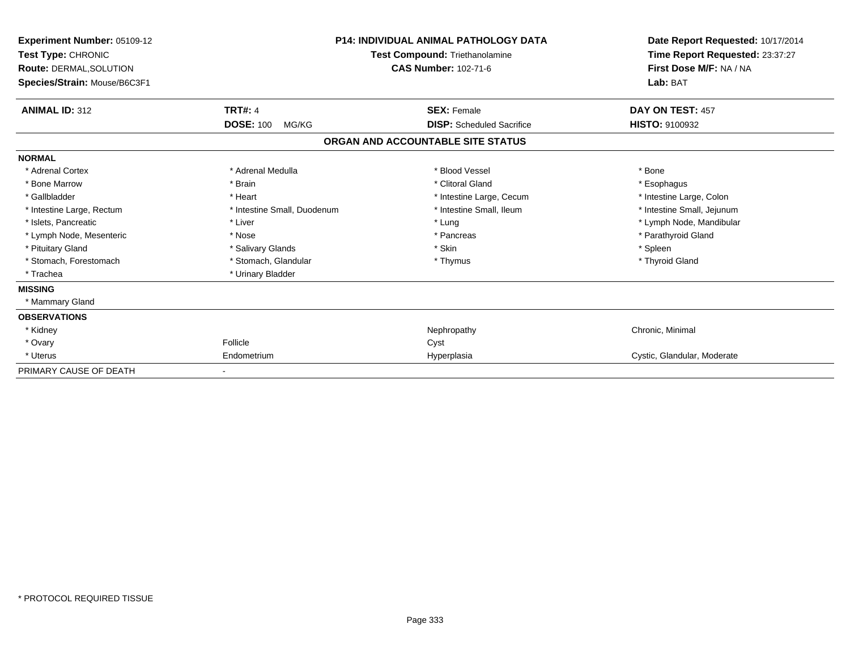| Experiment Number: 05109-12<br>Test Type: CHRONIC<br>Route: DERMAL, SOLUTION<br>Species/Strain: Mouse/B6C3F1 | <b>P14: INDIVIDUAL ANIMAL PATHOLOGY DATA</b><br>Test Compound: Triethanolamine<br><b>CAS Number: 102-71-6</b> |                                   | Date Report Requested: 10/17/2014<br>Time Report Requested: 23:37:27<br>First Dose M/F: NA / NA<br>Lab: BAT |
|--------------------------------------------------------------------------------------------------------------|---------------------------------------------------------------------------------------------------------------|-----------------------------------|-------------------------------------------------------------------------------------------------------------|
| <b>ANIMAL ID: 312</b>                                                                                        | <b>TRT#: 4</b>                                                                                                | <b>SEX: Female</b>                | DAY ON TEST: 457                                                                                            |
|                                                                                                              | <b>DOSE: 100</b><br>MG/KG                                                                                     | <b>DISP:</b> Scheduled Sacrifice  | <b>HISTO: 9100932</b>                                                                                       |
|                                                                                                              |                                                                                                               | ORGAN AND ACCOUNTABLE SITE STATUS |                                                                                                             |
| <b>NORMAL</b>                                                                                                |                                                                                                               |                                   |                                                                                                             |
| * Adrenal Cortex                                                                                             | * Adrenal Medulla                                                                                             | * Blood Vessel                    | * Bone                                                                                                      |
| * Bone Marrow                                                                                                | * Brain                                                                                                       | * Clitoral Gland                  | * Esophagus                                                                                                 |
| * Gallbladder                                                                                                | * Heart                                                                                                       | * Intestine Large, Cecum          | * Intestine Large, Colon                                                                                    |
| * Intestine Large, Rectum                                                                                    | * Intestine Small, Duodenum                                                                                   | * Intestine Small, Ileum          | * Intestine Small, Jejunum                                                                                  |
| * Islets, Pancreatic                                                                                         | * Liver                                                                                                       | * Lung                            | * Lymph Node, Mandibular                                                                                    |
| * Lymph Node, Mesenteric                                                                                     | * Nose                                                                                                        | * Pancreas                        | * Parathyroid Gland                                                                                         |
| * Pituitary Gland                                                                                            | * Salivary Glands                                                                                             | * Skin                            | * Spleen                                                                                                    |
| * Stomach, Forestomach                                                                                       | * Stomach, Glandular                                                                                          | * Thymus                          | * Thyroid Gland                                                                                             |
| * Trachea                                                                                                    | * Urinary Bladder                                                                                             |                                   |                                                                                                             |
| <b>MISSING</b>                                                                                               |                                                                                                               |                                   |                                                                                                             |
| * Mammary Gland                                                                                              |                                                                                                               |                                   |                                                                                                             |
| <b>OBSERVATIONS</b>                                                                                          |                                                                                                               |                                   |                                                                                                             |
| * Kidney                                                                                                     |                                                                                                               | Nephropathy                       | Chronic, Minimal                                                                                            |
| * Ovary                                                                                                      | Follicle                                                                                                      | Cyst                              |                                                                                                             |
| * Uterus                                                                                                     | Endometrium                                                                                                   | Hyperplasia                       | Cystic, Glandular, Moderate                                                                                 |
| PRIMARY CAUSE OF DEATH                                                                                       |                                                                                                               |                                   |                                                                                                             |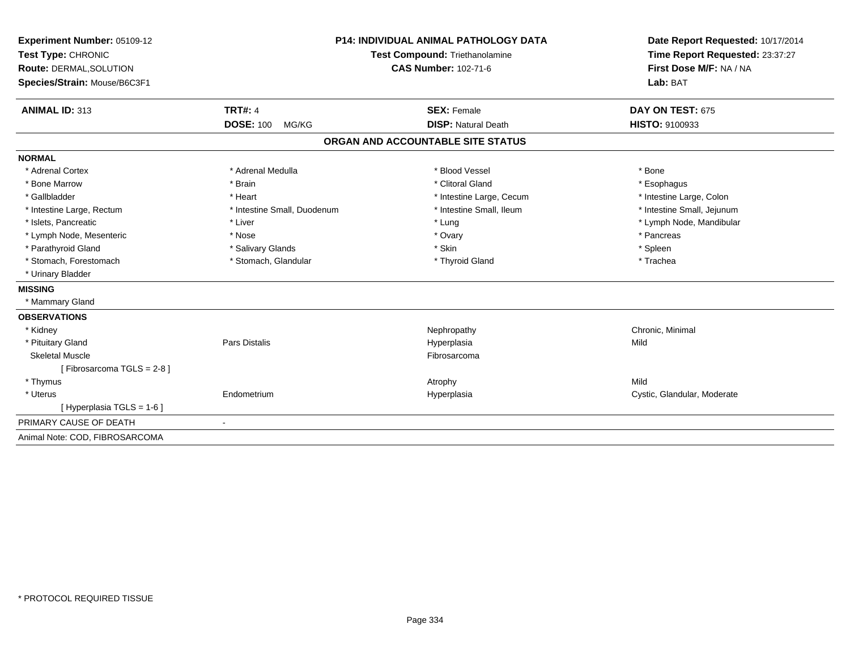| Experiment Number: 05109-12<br>Test Type: CHRONIC |                             | <b>P14: INDIVIDUAL ANIMAL PATHOLOGY DATA</b><br>Test Compound: Triethanolamine | Date Report Requested: 10/17/2014<br>Time Report Requested: 23:37:27 |
|---------------------------------------------------|-----------------------------|--------------------------------------------------------------------------------|----------------------------------------------------------------------|
| Route: DERMAL, SOLUTION                           | <b>CAS Number: 102-71-6</b> |                                                                                | First Dose M/F: NA / NA                                              |
|                                                   |                             |                                                                                | Lab: BAT                                                             |
| Species/Strain: Mouse/B6C3F1                      |                             |                                                                                |                                                                      |
| <b>ANIMAL ID: 313</b>                             | <b>TRT#: 4</b>              | <b>SEX: Female</b>                                                             | DAY ON TEST: 675                                                     |
|                                                   | <b>DOSE: 100</b><br>MG/KG   | <b>DISP: Natural Death</b>                                                     | HISTO: 9100933                                                       |
|                                                   |                             | ORGAN AND ACCOUNTABLE SITE STATUS                                              |                                                                      |
| <b>NORMAL</b>                                     |                             |                                                                                |                                                                      |
| * Adrenal Cortex                                  | * Adrenal Medulla           | * Blood Vessel                                                                 | * Bone                                                               |
| * Bone Marrow                                     | * Brain                     | * Clitoral Gland                                                               | * Esophagus                                                          |
| * Gallbladder                                     | * Heart                     | * Intestine Large, Cecum                                                       | * Intestine Large, Colon                                             |
| * Intestine Large, Rectum                         | * Intestine Small, Duodenum | * Intestine Small, Ileum                                                       | * Intestine Small, Jejunum                                           |
| * Islets, Pancreatic                              | * Liver                     | * Lung                                                                         | * Lymph Node, Mandibular                                             |
| * Lymph Node, Mesenteric                          | * Nose                      | * Ovary                                                                        | * Pancreas                                                           |
| * Parathyroid Gland                               | * Salivary Glands           | * Skin                                                                         | * Spleen                                                             |
| * Stomach, Forestomach                            | * Stomach, Glandular        | * Thyroid Gland                                                                | * Trachea                                                            |
| * Urinary Bladder                                 |                             |                                                                                |                                                                      |
| <b>MISSING</b>                                    |                             |                                                                                |                                                                      |
| * Mammary Gland                                   |                             |                                                                                |                                                                      |
| <b>OBSERVATIONS</b>                               |                             |                                                                                |                                                                      |
| * Kidney                                          |                             | Nephropathy                                                                    | Chronic, Minimal                                                     |
| * Pituitary Gland                                 | <b>Pars Distalis</b>        | Hyperplasia                                                                    | Mild                                                                 |
| <b>Skeletal Muscle</b>                            |                             | Fibrosarcoma                                                                   |                                                                      |
| [ Fibrosarcoma TGLS = 2-8 ]                       |                             |                                                                                |                                                                      |
| * Thymus                                          |                             | Atrophy                                                                        | Mild                                                                 |
| * Uterus                                          | Endometrium                 | Hyperplasia                                                                    | Cystic, Glandular, Moderate                                          |
| [Hyperplasia TGLS = 1-6]                          |                             |                                                                                |                                                                      |
| PRIMARY CAUSE OF DEATH                            |                             |                                                                                |                                                                      |
| Animal Note: COD, FIBROSARCOMA                    |                             |                                                                                |                                                                      |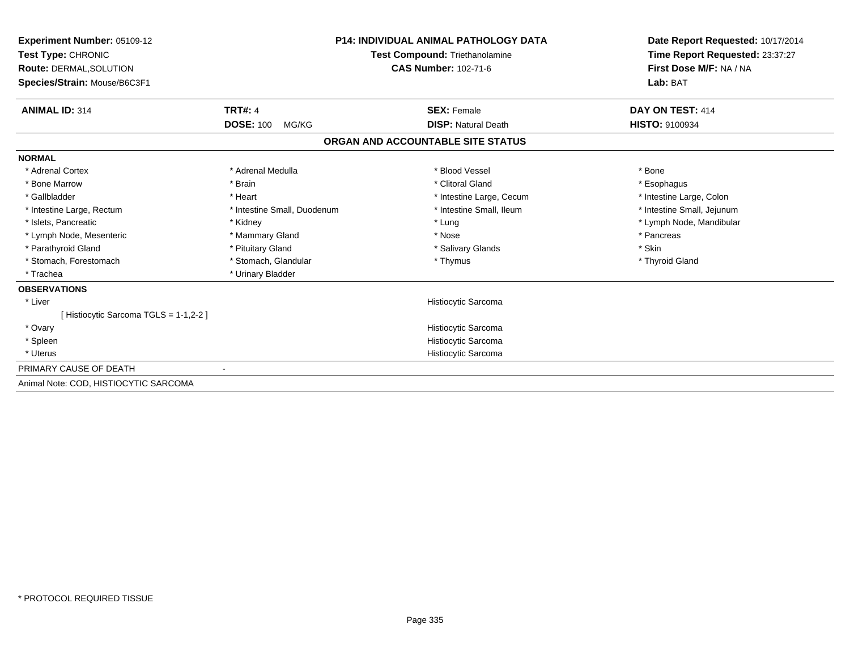| Experiment Number: 05109-12<br>Test Type: CHRONIC<br>Route: DERMAL, SOLUTION<br>Species/Strain: Mouse/B6C3F1 |                             | <b>P14: INDIVIDUAL ANIMAL PATHOLOGY DATA</b><br><b>Test Compound: Triethanolamine</b><br><b>CAS Number: 102-71-6</b> | Date Report Requested: 10/17/2014<br>Time Report Requested: 23:37:27<br>First Dose M/F: NA / NA<br>Lab: BAT |
|--------------------------------------------------------------------------------------------------------------|-----------------------------|----------------------------------------------------------------------------------------------------------------------|-------------------------------------------------------------------------------------------------------------|
| <b>ANIMAL ID: 314</b>                                                                                        | <b>TRT#: 4</b>              | <b>SEX: Female</b>                                                                                                   | DAY ON TEST: 414                                                                                            |
|                                                                                                              | <b>DOSE: 100</b><br>MG/KG   | <b>DISP: Natural Death</b>                                                                                           | HISTO: 9100934                                                                                              |
|                                                                                                              |                             | ORGAN AND ACCOUNTABLE SITE STATUS                                                                                    |                                                                                                             |
| <b>NORMAL</b>                                                                                                |                             |                                                                                                                      |                                                                                                             |
| * Adrenal Cortex                                                                                             | * Adrenal Medulla           | * Blood Vessel                                                                                                       | * Bone                                                                                                      |
| * Bone Marrow                                                                                                | * Brain                     | * Clitoral Gland                                                                                                     | * Esophagus                                                                                                 |
| * Gallbladder                                                                                                | * Heart                     | * Intestine Large, Cecum                                                                                             | * Intestine Large, Colon                                                                                    |
| * Intestine Large, Rectum                                                                                    | * Intestine Small, Duodenum | * Intestine Small, Ileum                                                                                             | * Intestine Small, Jejunum                                                                                  |
| * Islets, Pancreatic                                                                                         | * Kidney                    | * Lung                                                                                                               | * Lymph Node, Mandibular                                                                                    |
| * Lymph Node, Mesenteric                                                                                     | * Mammary Gland             | * Nose                                                                                                               | * Pancreas                                                                                                  |
| * Parathyroid Gland                                                                                          | * Pituitary Gland           | * Salivary Glands                                                                                                    | * Skin                                                                                                      |
| * Stomach, Forestomach                                                                                       | * Stomach, Glandular        | * Thymus                                                                                                             | * Thyroid Gland                                                                                             |
| * Trachea                                                                                                    | * Urinary Bladder           |                                                                                                                      |                                                                                                             |
| <b>OBSERVATIONS</b>                                                                                          |                             |                                                                                                                      |                                                                                                             |
| * Liver                                                                                                      |                             | Histiocytic Sarcoma                                                                                                  |                                                                                                             |
| [Histiocytic Sarcoma TGLS = 1-1,2-2]                                                                         |                             |                                                                                                                      |                                                                                                             |
| * Ovary                                                                                                      |                             | Histiocytic Sarcoma                                                                                                  |                                                                                                             |
| * Spleen                                                                                                     |                             | Histiocytic Sarcoma                                                                                                  |                                                                                                             |
| * Uterus                                                                                                     |                             | Histiocytic Sarcoma                                                                                                  |                                                                                                             |
| PRIMARY CAUSE OF DEATH                                                                                       |                             |                                                                                                                      |                                                                                                             |
| Animal Note: COD, HISTIOCYTIC SARCOMA                                                                        |                             |                                                                                                                      |                                                                                                             |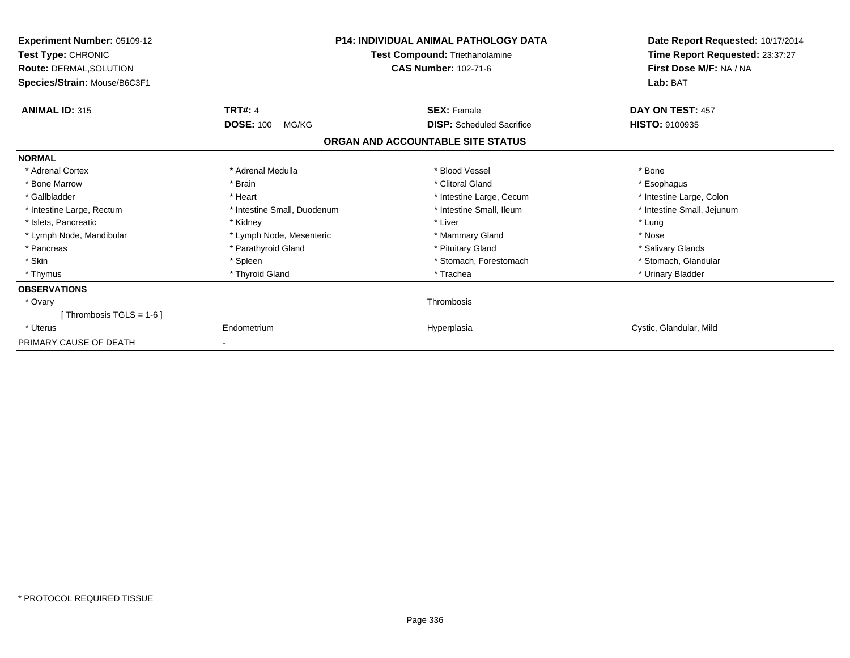| Experiment Number: 05109-12<br>Test Type: CHRONIC<br><b>Route: DERMAL, SOLUTION</b><br>Species/Strain: Mouse/B6C3F1 | <b>P14: INDIVIDUAL ANIMAL PATHOLOGY DATA</b><br>Test Compound: Triethanolamine<br><b>CAS Number: 102-71-6</b> |                                   | Date Report Requested: 10/17/2014<br>Time Report Requested: 23:37:27<br>First Dose M/F: NA / NA<br>Lab: BAT |  |
|---------------------------------------------------------------------------------------------------------------------|---------------------------------------------------------------------------------------------------------------|-----------------------------------|-------------------------------------------------------------------------------------------------------------|--|
| <b>ANIMAL ID: 315</b>                                                                                               | <b>TRT#: 4</b>                                                                                                | <b>SEX: Female</b>                | DAY ON TEST: 457                                                                                            |  |
|                                                                                                                     | <b>DOSE: 100</b><br>MG/KG                                                                                     | <b>DISP:</b> Scheduled Sacrifice  | <b>HISTO: 9100935</b>                                                                                       |  |
|                                                                                                                     |                                                                                                               | ORGAN AND ACCOUNTABLE SITE STATUS |                                                                                                             |  |
| <b>NORMAL</b>                                                                                                       |                                                                                                               |                                   |                                                                                                             |  |
| * Adrenal Cortex                                                                                                    | * Adrenal Medulla                                                                                             | * Blood Vessel                    | * Bone                                                                                                      |  |
| * Bone Marrow                                                                                                       | * Brain                                                                                                       | * Clitoral Gland                  | * Esophagus                                                                                                 |  |
| * Gallbladder                                                                                                       | * Heart                                                                                                       | * Intestine Large, Cecum          | * Intestine Large, Colon                                                                                    |  |
| * Intestine Large, Rectum                                                                                           | * Intestine Small, Duodenum                                                                                   | * Intestine Small, Ileum          | * Intestine Small, Jejunum                                                                                  |  |
| * Islets, Pancreatic                                                                                                | * Kidney                                                                                                      | * Liver                           | * Lung                                                                                                      |  |
| * Lymph Node, Mandibular                                                                                            | * Lymph Node, Mesenteric                                                                                      | * Mammary Gland                   | * Nose                                                                                                      |  |
| * Pancreas                                                                                                          | * Parathyroid Gland                                                                                           | * Pituitary Gland                 | * Salivary Glands                                                                                           |  |
| * Skin                                                                                                              | * Spleen                                                                                                      | * Stomach, Forestomach            | * Stomach, Glandular                                                                                        |  |
| * Thymus                                                                                                            | * Thyroid Gland                                                                                               | * Trachea                         | * Urinary Bladder                                                                                           |  |
| <b>OBSERVATIONS</b>                                                                                                 |                                                                                                               |                                   |                                                                                                             |  |
| * Ovary                                                                                                             |                                                                                                               | Thrombosis                        |                                                                                                             |  |
| [Thrombosis TGLS = $1-6$ ]                                                                                          |                                                                                                               |                                   |                                                                                                             |  |
| * Uterus                                                                                                            | Endometrium                                                                                                   | Hyperplasia                       | Cystic, Glandular, Mild                                                                                     |  |
| PRIMARY CAUSE OF DEATH                                                                                              |                                                                                                               |                                   |                                                                                                             |  |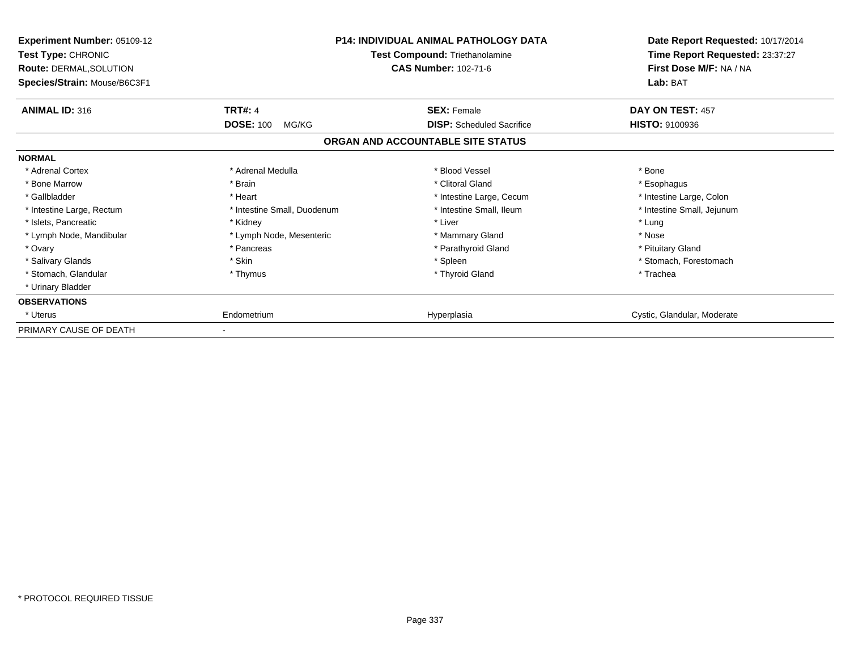| Experiment Number: 05109-12<br><b>Test Type: CHRONIC</b><br><b>Route: DERMAL, SOLUTION</b><br>Species/Strain: Mouse/B6C3F1 |                             | <b>P14: INDIVIDUAL ANIMAL PATHOLOGY DATA</b><br>Test Compound: Triethanolamine<br><b>CAS Number: 102-71-6</b> | Date Report Requested: 10/17/2014<br>Time Report Requested: 23:37:27<br>First Dose M/F: NA / NA<br>Lab: BAT |  |
|----------------------------------------------------------------------------------------------------------------------------|-----------------------------|---------------------------------------------------------------------------------------------------------------|-------------------------------------------------------------------------------------------------------------|--|
| <b>ANIMAL ID: 316</b>                                                                                                      | <b>TRT#: 4</b>              | <b>SEX: Female</b>                                                                                            | DAY ON TEST: 457                                                                                            |  |
|                                                                                                                            | <b>DOSE: 100</b><br>MG/KG   | <b>DISP:</b> Scheduled Sacrifice                                                                              | <b>HISTO: 9100936</b>                                                                                       |  |
|                                                                                                                            |                             | ORGAN AND ACCOUNTABLE SITE STATUS                                                                             |                                                                                                             |  |
| <b>NORMAL</b>                                                                                                              |                             |                                                                                                               |                                                                                                             |  |
| * Adrenal Cortex                                                                                                           | * Adrenal Medulla           | * Blood Vessel                                                                                                | * Bone                                                                                                      |  |
| * Bone Marrow                                                                                                              | * Brain                     | * Clitoral Gland                                                                                              | * Esophagus                                                                                                 |  |
| * Gallbladder                                                                                                              | * Heart                     | * Intestine Large, Cecum                                                                                      | * Intestine Large, Colon                                                                                    |  |
| * Intestine Large, Rectum                                                                                                  | * Intestine Small, Duodenum | * Intestine Small, Ileum                                                                                      | * Intestine Small, Jejunum                                                                                  |  |
| * Islets, Pancreatic                                                                                                       | * Kidney                    | * Liver                                                                                                       | * Lung                                                                                                      |  |
| * Lymph Node, Mandibular                                                                                                   | * Lymph Node, Mesenteric    | * Mammary Gland                                                                                               | * Nose                                                                                                      |  |
| * Ovary                                                                                                                    | * Pancreas                  | * Parathyroid Gland                                                                                           | * Pituitary Gland                                                                                           |  |
| * Salivary Glands                                                                                                          | * Skin                      | * Spleen                                                                                                      | * Stomach, Forestomach                                                                                      |  |
| * Stomach, Glandular                                                                                                       | * Thymus                    | * Thyroid Gland                                                                                               | * Trachea                                                                                                   |  |
| * Urinary Bladder                                                                                                          |                             |                                                                                                               |                                                                                                             |  |
| <b>OBSERVATIONS</b>                                                                                                        |                             |                                                                                                               |                                                                                                             |  |
| * Uterus                                                                                                                   | Endometrium                 | Hyperplasia                                                                                                   | Cystic, Glandular, Moderate                                                                                 |  |
| PRIMARY CAUSE OF DEATH                                                                                                     |                             |                                                                                                               |                                                                                                             |  |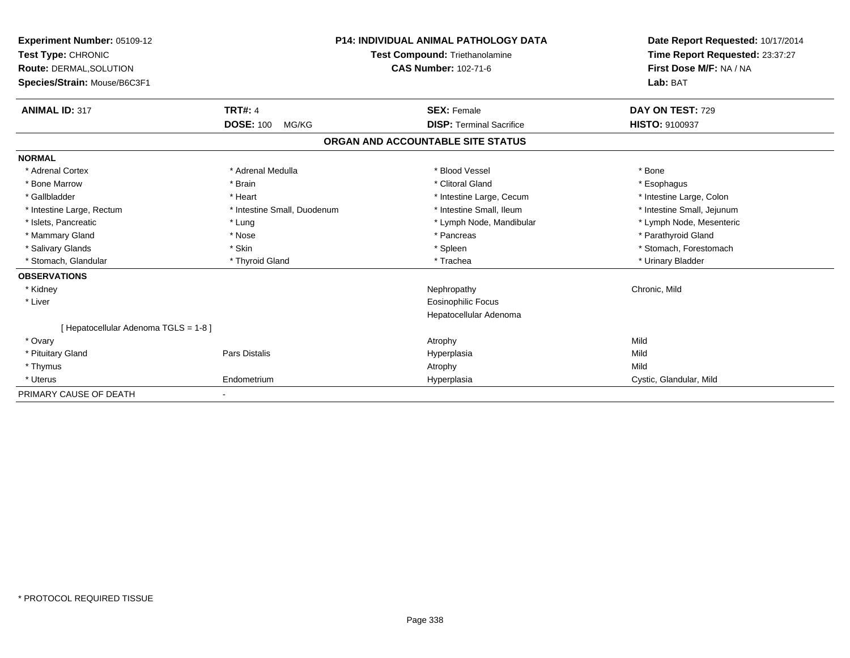| Experiment Number: 05109-12<br>Test Type: CHRONIC<br>Route: DERMAL, SOLUTION<br>Species/Strain: Mouse/B6C3F1 | <b>P14: INDIVIDUAL ANIMAL PATHOLOGY DATA</b><br><b>Test Compound: Triethanolamine</b><br><b>CAS Number: 102-71-6</b> |                                   | Date Report Requested: 10/17/2014<br>Time Report Requested: 23:37:27<br>First Dose M/F: NA / NA<br>Lab: BAT |
|--------------------------------------------------------------------------------------------------------------|----------------------------------------------------------------------------------------------------------------------|-----------------------------------|-------------------------------------------------------------------------------------------------------------|
| <b>ANIMAL ID: 317</b>                                                                                        | <b>TRT#: 4</b>                                                                                                       | <b>SEX: Female</b>                | DAY ON TEST: 729                                                                                            |
|                                                                                                              | <b>DOSE: 100</b><br>MG/KG                                                                                            | <b>DISP: Terminal Sacrifice</b>   | <b>HISTO: 9100937</b>                                                                                       |
|                                                                                                              |                                                                                                                      | ORGAN AND ACCOUNTABLE SITE STATUS |                                                                                                             |
| <b>NORMAL</b>                                                                                                |                                                                                                                      |                                   |                                                                                                             |
| * Adrenal Cortex                                                                                             | * Adrenal Medulla                                                                                                    | * Blood Vessel                    | * Bone                                                                                                      |
| * Bone Marrow                                                                                                | * Brain                                                                                                              | * Clitoral Gland                  | * Esophagus                                                                                                 |
| * Gallbladder                                                                                                | * Heart                                                                                                              | * Intestine Large, Cecum          | * Intestine Large, Colon                                                                                    |
| * Intestine Large, Rectum                                                                                    | * Intestine Small, Duodenum                                                                                          | * Intestine Small, Ileum          | * Intestine Small, Jejunum                                                                                  |
| * Islets, Pancreatic                                                                                         | * Lung                                                                                                               | * Lymph Node, Mandibular          | * Lymph Node, Mesenteric                                                                                    |
| * Mammary Gland                                                                                              | * Nose                                                                                                               | * Pancreas                        | * Parathyroid Gland                                                                                         |
| * Salivary Glands                                                                                            | * Skin                                                                                                               | * Spleen                          | * Stomach, Forestomach                                                                                      |
| * Stomach, Glandular                                                                                         | * Thyroid Gland                                                                                                      | * Trachea                         | * Urinary Bladder                                                                                           |
| <b>OBSERVATIONS</b>                                                                                          |                                                                                                                      |                                   |                                                                                                             |
| * Kidney                                                                                                     |                                                                                                                      | Nephropathy                       | Chronic, Mild                                                                                               |
| * Liver                                                                                                      |                                                                                                                      | <b>Eosinophilic Focus</b>         |                                                                                                             |
|                                                                                                              |                                                                                                                      | Hepatocellular Adenoma            |                                                                                                             |
| [Hepatocellular Adenoma TGLS = 1-8]                                                                          |                                                                                                                      |                                   |                                                                                                             |
| * Ovary                                                                                                      |                                                                                                                      | Atrophy                           | Mild                                                                                                        |
| * Pituitary Gland                                                                                            | <b>Pars Distalis</b>                                                                                                 | Hyperplasia                       | Mild                                                                                                        |
| * Thymus                                                                                                     |                                                                                                                      | Atrophy                           | Mild                                                                                                        |
| * Uterus                                                                                                     | Endometrium                                                                                                          | Hyperplasia                       | Cystic, Glandular, Mild                                                                                     |
| PRIMARY CAUSE OF DEATH                                                                                       |                                                                                                                      |                                   |                                                                                                             |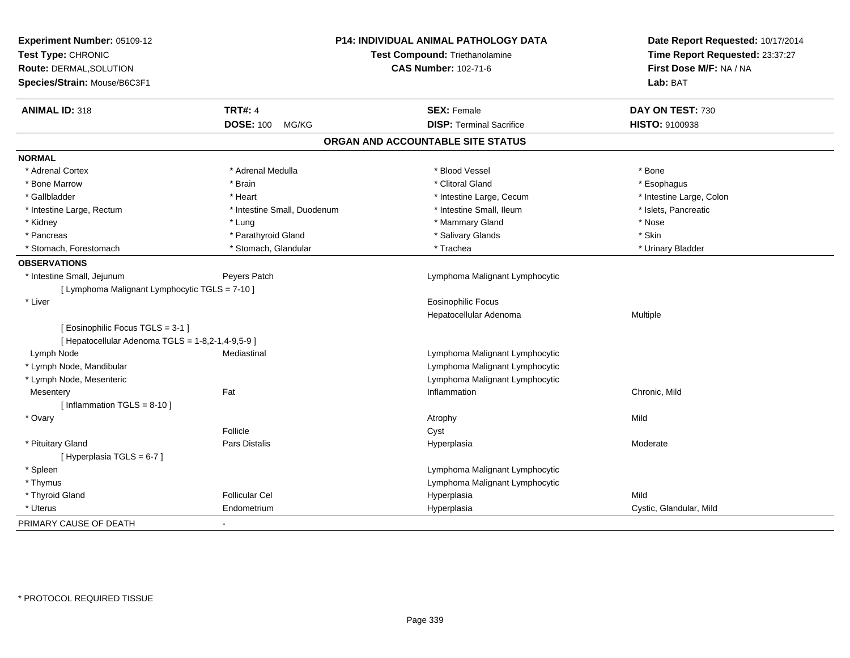| Experiment Number: 05109-12<br>Test Type: CHRONIC<br><b>Route: DERMAL, SOLUTION</b><br>Species/Strain: Mouse/B6C3F1 |                             | <b>P14: INDIVIDUAL ANIMAL PATHOLOGY DATA</b><br>Test Compound: Triethanolamine<br><b>CAS Number: 102-71-6</b> | Date Report Requested: 10/17/2014<br>Time Report Requested: 23:37:27<br>First Dose M/F: NA / NA<br>Lab: BAT |  |
|---------------------------------------------------------------------------------------------------------------------|-----------------------------|---------------------------------------------------------------------------------------------------------------|-------------------------------------------------------------------------------------------------------------|--|
| <b>ANIMAL ID: 318</b>                                                                                               | <b>TRT#: 4</b>              | <b>SEX: Female</b>                                                                                            | DAY ON TEST: 730                                                                                            |  |
|                                                                                                                     | <b>DOSE: 100 MG/KG</b>      | <b>DISP: Terminal Sacrifice</b>                                                                               | <b>HISTO: 9100938</b>                                                                                       |  |
|                                                                                                                     |                             | ORGAN AND ACCOUNTABLE SITE STATUS                                                                             |                                                                                                             |  |
| <b>NORMAL</b>                                                                                                       |                             |                                                                                                               |                                                                                                             |  |
| * Adrenal Cortex                                                                                                    | * Adrenal Medulla           | * Blood Vessel                                                                                                | * Bone                                                                                                      |  |
| * Bone Marrow                                                                                                       | * Brain                     | * Clitoral Gland                                                                                              | * Esophagus                                                                                                 |  |
| * Gallbladder                                                                                                       | * Heart                     | * Intestine Large, Cecum                                                                                      | * Intestine Large, Colon                                                                                    |  |
| * Intestine Large, Rectum                                                                                           | * Intestine Small, Duodenum | * Intestine Small, Ileum                                                                                      | * Islets, Pancreatic                                                                                        |  |
| * Kidney                                                                                                            | * Lung                      | * Mammary Gland                                                                                               | * Nose                                                                                                      |  |
| * Pancreas                                                                                                          | * Parathyroid Gland         | * Salivary Glands                                                                                             | * Skin                                                                                                      |  |
| * Stomach, Forestomach                                                                                              | * Stomach, Glandular        | * Trachea                                                                                                     | * Urinary Bladder                                                                                           |  |
| <b>OBSERVATIONS</b>                                                                                                 |                             |                                                                                                               |                                                                                                             |  |
| * Intestine Small, Jejunum                                                                                          | Peyers Patch                | Lymphoma Malignant Lymphocytic                                                                                |                                                                                                             |  |
| [ Lymphoma Malignant Lymphocytic TGLS = 7-10 ]                                                                      |                             |                                                                                                               |                                                                                                             |  |
| * Liver                                                                                                             |                             | <b>Eosinophilic Focus</b>                                                                                     |                                                                                                             |  |
|                                                                                                                     |                             | Hepatocellular Adenoma                                                                                        | Multiple                                                                                                    |  |
| [ Eosinophilic Focus TGLS = 3-1 ]                                                                                   |                             |                                                                                                               |                                                                                                             |  |
| [ Hepatocellular Adenoma TGLS = 1-8,2-1,4-9,5-9 ]                                                                   |                             |                                                                                                               |                                                                                                             |  |
| Lymph Node                                                                                                          | Mediastinal                 | Lymphoma Malignant Lymphocytic                                                                                |                                                                                                             |  |
| * Lymph Node, Mandibular                                                                                            |                             | Lymphoma Malignant Lymphocytic                                                                                |                                                                                                             |  |
| * Lymph Node, Mesenteric                                                                                            |                             | Lymphoma Malignant Lymphocytic                                                                                |                                                                                                             |  |
| Mesentery                                                                                                           | Fat                         | Inflammation                                                                                                  | Chronic, Mild                                                                                               |  |
| [Inflammation TGLS = $8-10$ ]                                                                                       |                             |                                                                                                               |                                                                                                             |  |
| * Ovary                                                                                                             |                             | Atrophy                                                                                                       | Mild                                                                                                        |  |
|                                                                                                                     | Follicle                    | Cyst                                                                                                          |                                                                                                             |  |
| * Pituitary Gland                                                                                                   | Pars Distalis               | Hyperplasia                                                                                                   | Moderate                                                                                                    |  |
| [ Hyperplasia TGLS = 6-7 ]                                                                                          |                             |                                                                                                               |                                                                                                             |  |
| * Spleen                                                                                                            |                             | Lymphoma Malignant Lymphocytic                                                                                |                                                                                                             |  |
| * Thymus                                                                                                            |                             | Lymphoma Malignant Lymphocytic                                                                                |                                                                                                             |  |
| * Thyroid Gland                                                                                                     | <b>Follicular Cel</b>       | Hyperplasia                                                                                                   | Mild                                                                                                        |  |
| * Uterus                                                                                                            | Endometrium                 | Hyperplasia                                                                                                   | Cystic, Glandular, Mild                                                                                     |  |
| PRIMARY CAUSE OF DEATH                                                                                              |                             |                                                                                                               |                                                                                                             |  |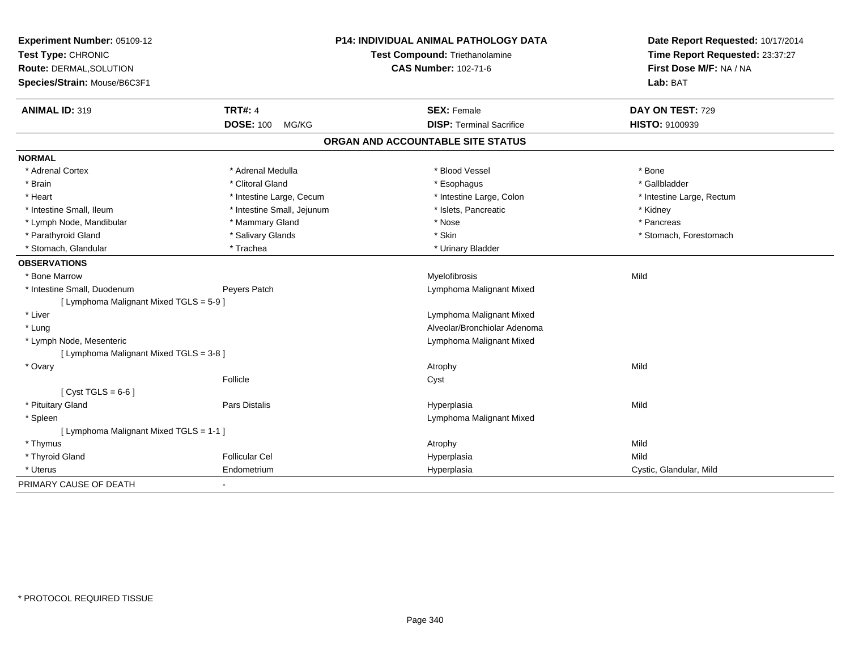| Experiment Number: 05109-12<br>Test Type: CHRONIC |                            | <b>P14: INDIVIDUAL ANIMAL PATHOLOGY DATA</b><br>Test Compound: Triethanolamine | Date Report Requested: 10/17/2014<br>Time Report Requested: 23:37:27 |  |
|---------------------------------------------------|----------------------------|--------------------------------------------------------------------------------|----------------------------------------------------------------------|--|
| Route: DERMAL, SOLUTION                           |                            | <b>CAS Number: 102-71-6</b>                                                    | First Dose M/F: NA / NA                                              |  |
| Species/Strain: Mouse/B6C3F1                      |                            |                                                                                | Lab: BAT                                                             |  |
| <b>ANIMAL ID: 319</b>                             | <b>TRT#: 4</b>             | <b>SEX: Female</b>                                                             | DAY ON TEST: 729                                                     |  |
|                                                   | <b>DOSE: 100</b><br>MG/KG  | <b>DISP: Terminal Sacrifice</b>                                                | <b>HISTO: 9100939</b>                                                |  |
|                                                   |                            | ORGAN AND ACCOUNTABLE SITE STATUS                                              |                                                                      |  |
| <b>NORMAL</b>                                     |                            |                                                                                |                                                                      |  |
| * Adrenal Cortex                                  | * Adrenal Medulla          | * Blood Vessel                                                                 | * Bone                                                               |  |
| * Brain                                           | * Clitoral Gland           | * Esophagus                                                                    | * Gallbladder                                                        |  |
| * Heart                                           | * Intestine Large, Cecum   | * Intestine Large, Colon                                                       | * Intestine Large, Rectum                                            |  |
| * Intestine Small, Ileum                          | * Intestine Small, Jejunum | * Islets, Pancreatic                                                           | * Kidney                                                             |  |
| * Lymph Node, Mandibular                          | * Mammary Gland            | * Nose                                                                         | * Pancreas                                                           |  |
| * Parathyroid Gland                               | * Salivary Glands          | * Skin                                                                         | * Stomach, Forestomach                                               |  |
| * Stomach, Glandular                              | * Trachea                  | * Urinary Bladder                                                              |                                                                      |  |
| <b>OBSERVATIONS</b>                               |                            |                                                                                |                                                                      |  |
| * Bone Marrow                                     |                            | Myelofibrosis                                                                  | Mild                                                                 |  |
| * Intestine Small, Duodenum                       | Peyers Patch               | Lymphoma Malignant Mixed                                                       |                                                                      |  |
| [ Lymphoma Malignant Mixed TGLS = 5-9 ]           |                            |                                                                                |                                                                      |  |
| * Liver                                           |                            | Lymphoma Malignant Mixed                                                       |                                                                      |  |
| * Lung                                            |                            | Alveolar/Bronchiolar Adenoma                                                   |                                                                      |  |
| * Lymph Node, Mesenteric                          |                            | Lymphoma Malignant Mixed                                                       |                                                                      |  |
| [ Lymphoma Malignant Mixed TGLS = 3-8 ]           |                            |                                                                                |                                                                      |  |
| * Ovary                                           |                            | Atrophy                                                                        | Mild                                                                 |  |
|                                                   | Follicle                   | Cyst                                                                           |                                                                      |  |
| [Cyst TGLS = $6-6$ ]                              |                            |                                                                                |                                                                      |  |
| * Pituitary Gland                                 | <b>Pars Distalis</b>       | Hyperplasia                                                                    | Mild                                                                 |  |
| * Spleen                                          |                            | Lymphoma Malignant Mixed                                                       |                                                                      |  |
| [ Lymphoma Malignant Mixed TGLS = 1-1 ]           |                            |                                                                                |                                                                      |  |
| * Thymus                                          |                            | Atrophy                                                                        | Mild                                                                 |  |
| * Thyroid Gland                                   | <b>Follicular Cel</b>      | Hyperplasia                                                                    | Mild                                                                 |  |
| * Uterus                                          | Endometrium                | Hyperplasia                                                                    | Cystic, Glandular, Mild                                              |  |
| PRIMARY CAUSE OF DEATH                            | $\blacksquare$             |                                                                                |                                                                      |  |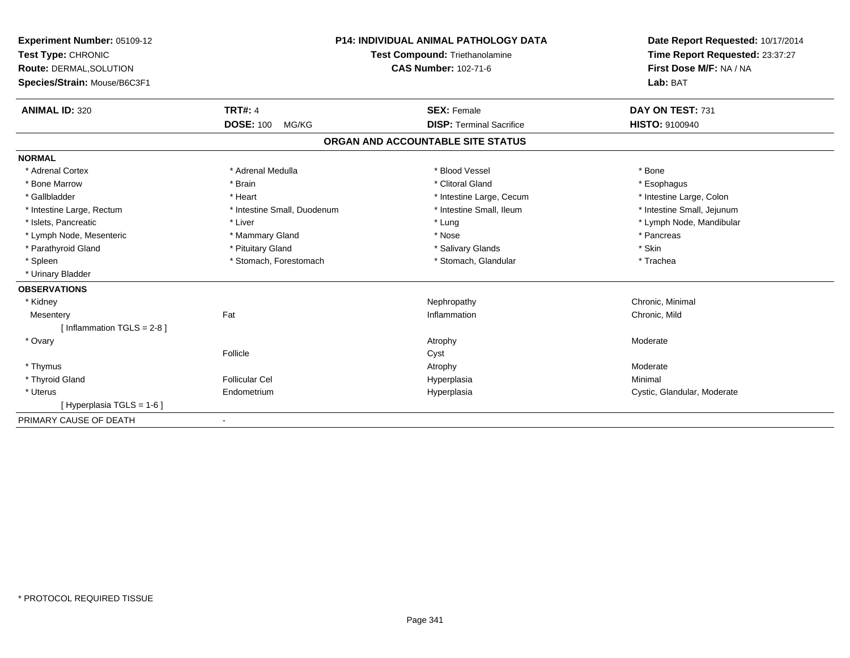| Experiment Number: 05109-12<br>Test Type: CHRONIC<br><b>Route: DERMAL, SOLUTION</b><br>Species/Strain: Mouse/B6C3F1 |                             | <b>P14: INDIVIDUAL ANIMAL PATHOLOGY DATA</b><br><b>Test Compound: Triethanolamine</b><br><b>CAS Number: 102-71-6</b> | Date Report Requested: 10/17/2014<br>Time Report Requested: 23:37:27<br>First Dose M/F: NA / NA<br>Lab: BAT |
|---------------------------------------------------------------------------------------------------------------------|-----------------------------|----------------------------------------------------------------------------------------------------------------------|-------------------------------------------------------------------------------------------------------------|
| <b>ANIMAL ID: 320</b>                                                                                               | <b>TRT#: 4</b>              | <b>SEX: Female</b>                                                                                                   | DAY ON TEST: 731                                                                                            |
|                                                                                                                     | <b>DOSE: 100</b><br>MG/KG   | <b>DISP: Terminal Sacrifice</b>                                                                                      | <b>HISTO: 9100940</b>                                                                                       |
|                                                                                                                     |                             | ORGAN AND ACCOUNTABLE SITE STATUS                                                                                    |                                                                                                             |
| <b>NORMAL</b>                                                                                                       |                             |                                                                                                                      |                                                                                                             |
| * Adrenal Cortex                                                                                                    | * Adrenal Medulla           | * Blood Vessel                                                                                                       | * Bone                                                                                                      |
| * Bone Marrow                                                                                                       | * Brain                     | * Clitoral Gland                                                                                                     | * Esophagus                                                                                                 |
| * Gallbladder                                                                                                       | * Heart                     | * Intestine Large, Cecum                                                                                             | * Intestine Large, Colon                                                                                    |
| * Intestine Large, Rectum                                                                                           | * Intestine Small, Duodenum | * Intestine Small, Ileum                                                                                             | * Intestine Small, Jejunum                                                                                  |
| * Islets, Pancreatic                                                                                                | * Liver                     | * Lung                                                                                                               | * Lymph Node, Mandibular                                                                                    |
| * Lymph Node, Mesenteric                                                                                            | * Mammary Gland             | * Nose                                                                                                               | * Pancreas                                                                                                  |
| * Parathyroid Gland                                                                                                 | * Pituitary Gland           | * Salivary Glands                                                                                                    | * Skin                                                                                                      |
| * Spleen                                                                                                            | * Stomach, Forestomach      | * Stomach, Glandular                                                                                                 | * Trachea                                                                                                   |
| * Urinary Bladder                                                                                                   |                             |                                                                                                                      |                                                                                                             |
| <b>OBSERVATIONS</b>                                                                                                 |                             |                                                                                                                      |                                                                                                             |
| * Kidney                                                                                                            |                             | Nephropathy                                                                                                          | Chronic, Minimal                                                                                            |
| Mesentery                                                                                                           | Fat                         | Inflammation                                                                                                         | Chronic, Mild                                                                                               |
| [Inflammation TGLS = $2-8$ ]                                                                                        |                             |                                                                                                                      |                                                                                                             |
| * Ovary                                                                                                             |                             | Atrophy                                                                                                              | Moderate                                                                                                    |
|                                                                                                                     | Follicle                    | Cyst                                                                                                                 |                                                                                                             |
| * Thymus                                                                                                            |                             | Atrophy                                                                                                              | Moderate                                                                                                    |
| * Thyroid Gland                                                                                                     | Follicular Cel              | Hyperplasia                                                                                                          | Minimal                                                                                                     |
| * Uterus                                                                                                            | Endometrium                 | Hyperplasia                                                                                                          | Cystic, Glandular, Moderate                                                                                 |
| [Hyperplasia TGLS = 1-6]                                                                                            |                             |                                                                                                                      |                                                                                                             |
| PRIMARY CAUSE OF DEATH                                                                                              | $\blacksquare$              |                                                                                                                      |                                                                                                             |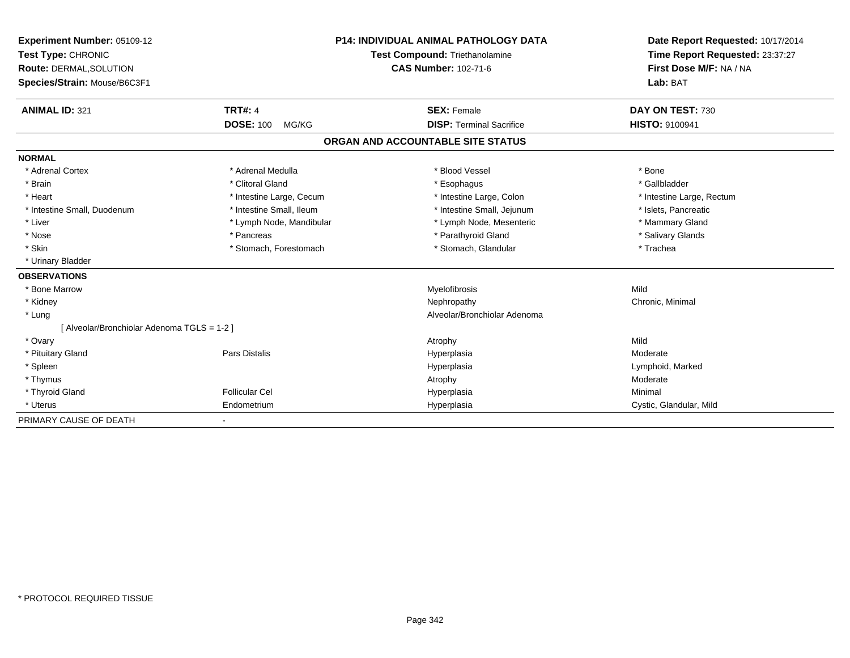| <b>Experiment Number: 05109-12</b><br>Test Type: CHRONIC<br><b>Route: DERMAL, SOLUTION</b><br>Species/Strain: Mouse/B6C3F1 | <b>P14: INDIVIDUAL ANIMAL PATHOLOGY DATA</b><br>Test Compound: Triethanolamine<br><b>CAS Number: 102-71-6</b> |                                                       | Date Report Requested: 10/17/2014<br>Time Report Requested: 23:37:27<br>First Dose M/F: NA / NA<br>Lab: BAT |
|----------------------------------------------------------------------------------------------------------------------------|---------------------------------------------------------------------------------------------------------------|-------------------------------------------------------|-------------------------------------------------------------------------------------------------------------|
| <b>ANIMAL ID: 321</b>                                                                                                      | <b>TRT#: 4</b><br><b>DOSE: 100</b>                                                                            | <b>SEX: Female</b><br><b>DISP: Terminal Sacrifice</b> | DAY ON TEST: 730<br><b>HISTO: 9100941</b>                                                                   |
|                                                                                                                            | MG/KG                                                                                                         |                                                       |                                                                                                             |
|                                                                                                                            |                                                                                                               | ORGAN AND ACCOUNTABLE SITE STATUS                     |                                                                                                             |
| <b>NORMAL</b>                                                                                                              |                                                                                                               |                                                       |                                                                                                             |
| * Adrenal Cortex                                                                                                           | * Adrenal Medulla                                                                                             | * Blood Vessel                                        | * Bone                                                                                                      |
| * Brain                                                                                                                    | * Clitoral Gland                                                                                              | * Esophagus                                           | * Gallbladder                                                                                               |
| * Heart                                                                                                                    | * Intestine Large, Cecum                                                                                      | * Intestine Large, Colon                              | * Intestine Large, Rectum                                                                                   |
| * Intestine Small, Duodenum                                                                                                | * Intestine Small, Ileum                                                                                      | * Intestine Small, Jejunum                            | * Islets. Pancreatic                                                                                        |
| * Liver                                                                                                                    | * Lymph Node, Mandibular                                                                                      | * Lymph Node, Mesenteric                              | * Mammary Gland                                                                                             |
| * Nose                                                                                                                     | * Pancreas                                                                                                    | * Parathyroid Gland                                   | * Salivary Glands                                                                                           |
| * Skin                                                                                                                     | * Stomach, Forestomach                                                                                        | * Stomach, Glandular                                  | * Trachea                                                                                                   |
| * Urinary Bladder                                                                                                          |                                                                                                               |                                                       |                                                                                                             |
| <b>OBSERVATIONS</b>                                                                                                        |                                                                                                               |                                                       |                                                                                                             |
| * Bone Marrow                                                                                                              |                                                                                                               | Myelofibrosis                                         | Mild                                                                                                        |
| * Kidney                                                                                                                   |                                                                                                               | Nephropathy                                           | Chronic, Minimal                                                                                            |
| * Lung                                                                                                                     |                                                                                                               | Alveolar/Bronchiolar Adenoma                          |                                                                                                             |
| [ Alveolar/Bronchiolar Adenoma TGLS = 1-2 ]                                                                                |                                                                                                               |                                                       |                                                                                                             |
| * Ovary                                                                                                                    |                                                                                                               | Atrophy                                               | Mild                                                                                                        |
| * Pituitary Gland                                                                                                          | Pars Distalis                                                                                                 | Hyperplasia                                           | Moderate                                                                                                    |
| * Spleen                                                                                                                   |                                                                                                               | Hyperplasia                                           | Lymphoid, Marked                                                                                            |
| * Thymus                                                                                                                   |                                                                                                               | Atrophy                                               | Moderate                                                                                                    |
| * Thyroid Gland                                                                                                            | <b>Follicular Cel</b>                                                                                         | Hyperplasia                                           | Minimal                                                                                                     |
| * Uterus                                                                                                                   | Endometrium                                                                                                   | Hyperplasia                                           | Cystic, Glandular, Mild                                                                                     |
| PRIMARY CAUSE OF DEATH                                                                                                     |                                                                                                               |                                                       |                                                                                                             |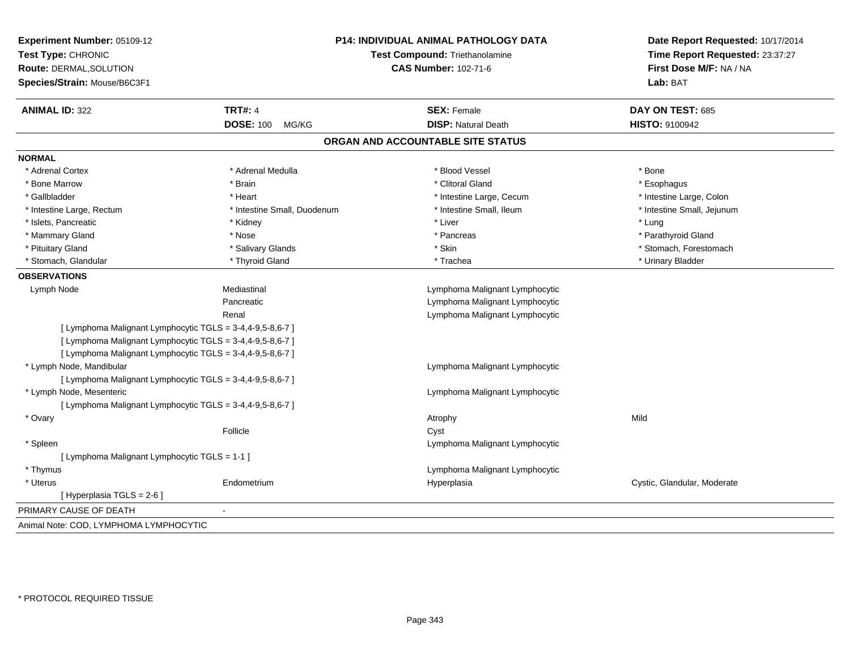| Experiment Number: 05109-12<br>Test Type: CHRONIC<br>Route: DERMAL, SOLUTION<br>Species/Strain: Mouse/B6C3F1 |                             | P14: INDIVIDUAL ANIMAL PATHOLOGY DATA<br><b>Test Compound: Triethanolamine</b><br><b>CAS Number: 102-71-6</b> | Date Report Requested: 10/17/2014<br>Time Report Requested: 23:37:27<br>First Dose M/F: NA / NA<br>Lab: BAT |
|--------------------------------------------------------------------------------------------------------------|-----------------------------|---------------------------------------------------------------------------------------------------------------|-------------------------------------------------------------------------------------------------------------|
| <b>ANIMAL ID: 322</b>                                                                                        | <b>TRT#: 4</b>              | <b>SEX: Female</b>                                                                                            | DAY ON TEST: 685                                                                                            |
|                                                                                                              | <b>DOSE: 100</b><br>MG/KG   | <b>DISP: Natural Death</b>                                                                                    | <b>HISTO: 9100942</b>                                                                                       |
|                                                                                                              |                             | ORGAN AND ACCOUNTABLE SITE STATUS                                                                             |                                                                                                             |
| <b>NORMAL</b>                                                                                                |                             |                                                                                                               |                                                                                                             |
| * Adrenal Cortex                                                                                             | * Adrenal Medulla           | * Blood Vessel                                                                                                | * Bone                                                                                                      |
| * Bone Marrow                                                                                                | * Brain                     | * Clitoral Gland                                                                                              | * Esophagus                                                                                                 |
| * Gallbladder                                                                                                | * Heart                     | * Intestine Large, Cecum                                                                                      | * Intestine Large, Colon                                                                                    |
| * Intestine Large, Rectum                                                                                    | * Intestine Small, Duodenum | * Intestine Small, Ileum                                                                                      | * Intestine Small, Jejunum                                                                                  |
| * Islets, Pancreatic                                                                                         | * Kidney                    | * Liver                                                                                                       | * Lung                                                                                                      |
| * Mammary Gland                                                                                              | * Nose                      | * Pancreas                                                                                                    | * Parathyroid Gland                                                                                         |
| * Pituitary Gland                                                                                            | * Salivary Glands           | * Skin                                                                                                        | * Stomach, Forestomach                                                                                      |
| * Stomach, Glandular                                                                                         | * Thyroid Gland             | * Trachea                                                                                                     | * Urinary Bladder                                                                                           |
| <b>OBSERVATIONS</b>                                                                                          |                             |                                                                                                               |                                                                                                             |
| Lymph Node                                                                                                   | Mediastinal                 | Lymphoma Malignant Lymphocytic                                                                                |                                                                                                             |
|                                                                                                              | Pancreatic                  | Lymphoma Malignant Lymphocytic                                                                                |                                                                                                             |
|                                                                                                              | Renal                       | Lymphoma Malignant Lymphocytic                                                                                |                                                                                                             |
| [ Lymphoma Malignant Lymphocytic TGLS = 3-4,4-9,5-8,6-7 ]                                                    |                             |                                                                                                               |                                                                                                             |
| [ Lymphoma Malignant Lymphocytic TGLS = 3-4,4-9,5-8,6-7 ]                                                    |                             |                                                                                                               |                                                                                                             |
| [ Lymphoma Malignant Lymphocytic TGLS = 3-4,4-9,5-8,6-7 ]                                                    |                             |                                                                                                               |                                                                                                             |
| * Lymph Node, Mandibular                                                                                     |                             | Lymphoma Malignant Lymphocytic                                                                                |                                                                                                             |
| [ Lymphoma Malignant Lymphocytic TGLS = 3-4,4-9,5-8,6-7 ]                                                    |                             |                                                                                                               |                                                                                                             |
| * Lymph Node, Mesenteric                                                                                     |                             | Lymphoma Malignant Lymphocytic                                                                                |                                                                                                             |
| [ Lymphoma Malignant Lymphocytic TGLS = 3-4,4-9,5-8,6-7 ]                                                    |                             |                                                                                                               |                                                                                                             |
| * Ovary                                                                                                      |                             | Atrophy                                                                                                       | Mild                                                                                                        |
|                                                                                                              | Follicle                    | Cyst                                                                                                          |                                                                                                             |
| * Spleen                                                                                                     |                             | Lymphoma Malignant Lymphocytic                                                                                |                                                                                                             |
| [ Lymphoma Malignant Lymphocytic TGLS = 1-1 ]                                                                |                             |                                                                                                               |                                                                                                             |
| * Thymus                                                                                                     |                             | Lymphoma Malignant Lymphocytic                                                                                |                                                                                                             |
| * Uterus                                                                                                     | Endometrium                 | Hyperplasia                                                                                                   | Cystic, Glandular, Moderate                                                                                 |
| [ Hyperplasia TGLS = 2-6 ]                                                                                   |                             |                                                                                                               |                                                                                                             |
| PRIMARY CAUSE OF DEATH                                                                                       |                             |                                                                                                               |                                                                                                             |
| Animal Note: COD, LYMPHOMA LYMPHOCYTIC                                                                       |                             |                                                                                                               |                                                                                                             |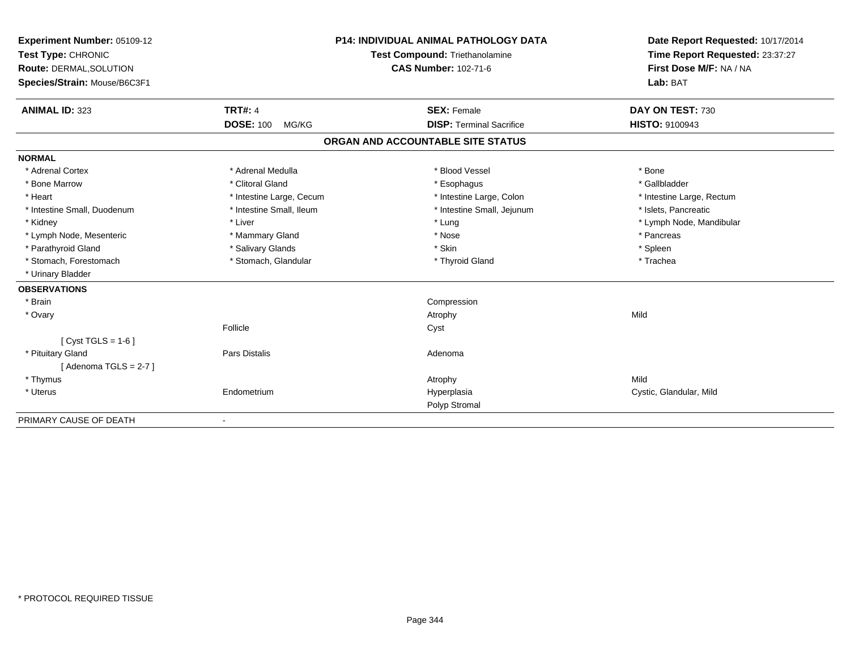| Experiment Number: 05109-12<br>Test Type: CHRONIC<br><b>Route: DERMAL, SOLUTION</b> | <b>P14: INDIVIDUAL ANIMAL PATHOLOGY DATA</b><br>Test Compound: Triethanolamine<br><b>CAS Number: 102-71-6</b> |                                   | Date Report Requested: 10/17/2014<br>Time Report Requested: 23:37:27<br>First Dose M/F: NA / NA |  |
|-------------------------------------------------------------------------------------|---------------------------------------------------------------------------------------------------------------|-----------------------------------|-------------------------------------------------------------------------------------------------|--|
| Species/Strain: Mouse/B6C3F1                                                        |                                                                                                               |                                   | Lab: BAT                                                                                        |  |
| <b>ANIMAL ID: 323</b>                                                               | <b>TRT#: 4</b>                                                                                                | <b>SEX: Female</b>                | DAY ON TEST: 730                                                                                |  |
|                                                                                     | <b>DOSE: 100</b><br>MG/KG                                                                                     | <b>DISP: Terminal Sacrifice</b>   | <b>HISTO: 9100943</b>                                                                           |  |
|                                                                                     |                                                                                                               | ORGAN AND ACCOUNTABLE SITE STATUS |                                                                                                 |  |
| <b>NORMAL</b>                                                                       |                                                                                                               |                                   |                                                                                                 |  |
| * Adrenal Cortex                                                                    | * Adrenal Medulla                                                                                             | * Blood Vessel                    | * Bone                                                                                          |  |
| * Bone Marrow                                                                       | * Clitoral Gland                                                                                              | * Esophagus                       | * Gallbladder                                                                                   |  |
| * Heart                                                                             | * Intestine Large, Cecum                                                                                      | * Intestine Large, Colon          | * Intestine Large, Rectum                                                                       |  |
| * Intestine Small, Duodenum                                                         | * Intestine Small, Ileum                                                                                      | * Intestine Small, Jejunum        | * Islets. Pancreatic                                                                            |  |
| * Kidney                                                                            | * Liver                                                                                                       | * Lung                            | * Lymph Node, Mandibular                                                                        |  |
| * Lymph Node, Mesenteric                                                            | * Mammary Gland                                                                                               | * Nose                            | * Pancreas                                                                                      |  |
| * Parathyroid Gland                                                                 | * Salivary Glands                                                                                             | * Skin                            | * Spleen                                                                                        |  |
| * Stomach, Forestomach                                                              | * Stomach, Glandular                                                                                          | * Thyroid Gland                   | * Trachea                                                                                       |  |
| * Urinary Bladder                                                                   |                                                                                                               |                                   |                                                                                                 |  |
| <b>OBSERVATIONS</b>                                                                 |                                                                                                               |                                   |                                                                                                 |  |
| * Brain                                                                             |                                                                                                               | Compression                       |                                                                                                 |  |
| * Ovary                                                                             |                                                                                                               | Atrophy                           | Mild                                                                                            |  |
|                                                                                     | Follicle                                                                                                      | Cyst                              |                                                                                                 |  |
| [ $Cyst TGLS = 1-6$ ]                                                               |                                                                                                               |                                   |                                                                                                 |  |
| * Pituitary Gland                                                                   | Pars Distalis                                                                                                 | Adenoma                           |                                                                                                 |  |
| [Adenoma TGLS = $2-7$ ]                                                             |                                                                                                               |                                   |                                                                                                 |  |
| * Thymus                                                                            |                                                                                                               | Atrophy                           | Mild                                                                                            |  |
| * Uterus                                                                            | Endometrium                                                                                                   | Hyperplasia                       | Cystic, Glandular, Mild                                                                         |  |
|                                                                                     |                                                                                                               | Polyp Stromal                     |                                                                                                 |  |
| PRIMARY CAUSE OF DEATH                                                              | $\overline{\phantom{a}}$                                                                                      |                                   |                                                                                                 |  |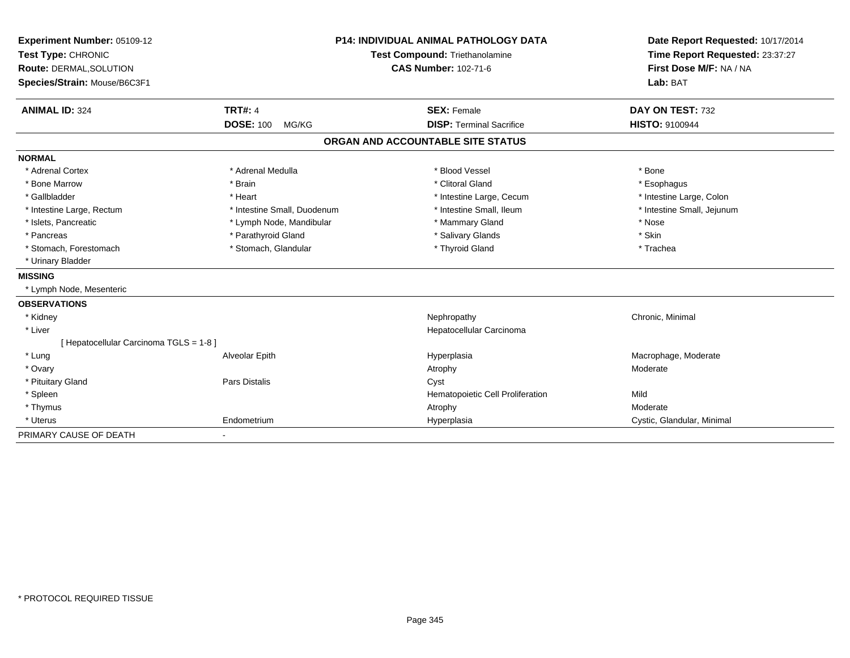| Experiment Number: 05109-12<br>Test Type: CHRONIC |                             | <b>P14: INDIVIDUAL ANIMAL PATHOLOGY DATA</b><br>Test Compound: Triethanolamine |                                   | Date Report Requested: 10/17/2014 |  |
|---------------------------------------------------|-----------------------------|--------------------------------------------------------------------------------|-----------------------------------|-----------------------------------|--|
|                                                   |                             |                                                                                |                                   | Time Report Requested: 23:37:27   |  |
| Route: DERMAL, SOLUTION                           |                             | <b>CAS Number: 102-71-6</b>                                                    |                                   | First Dose M/F: NA / NA           |  |
| Species/Strain: Mouse/B6C3F1                      |                             |                                                                                |                                   | Lab: BAT                          |  |
| <b>ANIMAL ID: 324</b>                             | <b>TRT#: 4</b>              |                                                                                | <b>SEX: Female</b>                | DAY ON TEST: 732                  |  |
|                                                   | <b>DOSE: 100</b><br>MG/KG   |                                                                                | <b>DISP: Terminal Sacrifice</b>   | <b>HISTO: 9100944</b>             |  |
|                                                   |                             |                                                                                | ORGAN AND ACCOUNTABLE SITE STATUS |                                   |  |
| <b>NORMAL</b>                                     |                             |                                                                                |                                   |                                   |  |
| * Adrenal Cortex                                  | * Adrenal Medulla           |                                                                                | * Blood Vessel                    | * Bone                            |  |
| * Bone Marrow                                     | * Brain                     |                                                                                | * Clitoral Gland                  | * Esophagus                       |  |
| * Gallbladder                                     | * Heart                     |                                                                                | * Intestine Large, Cecum          | * Intestine Large, Colon          |  |
| * Intestine Large, Rectum                         | * Intestine Small, Duodenum |                                                                                | * Intestine Small, Ileum          | * Intestine Small, Jejunum        |  |
| * Islets, Pancreatic                              | * Lymph Node, Mandibular    |                                                                                | * Mammary Gland                   | * Nose                            |  |
| * Pancreas                                        | * Parathyroid Gland         |                                                                                | * Salivary Glands                 | * Skin                            |  |
| * Stomach, Forestomach                            | * Stomach, Glandular        |                                                                                | * Thyroid Gland                   | * Trachea                         |  |
| * Urinary Bladder                                 |                             |                                                                                |                                   |                                   |  |
| <b>MISSING</b>                                    |                             |                                                                                |                                   |                                   |  |
| * Lymph Node, Mesenteric                          |                             |                                                                                |                                   |                                   |  |
| <b>OBSERVATIONS</b>                               |                             |                                                                                |                                   |                                   |  |
| * Kidney                                          |                             |                                                                                | Nephropathy                       | Chronic, Minimal                  |  |
| * Liver                                           |                             |                                                                                | Hepatocellular Carcinoma          |                                   |  |
| [ Hepatocellular Carcinoma TGLS = 1-8 ]           |                             |                                                                                |                                   |                                   |  |
| * Lung                                            | Alveolar Epith              |                                                                                | Hyperplasia                       | Macrophage, Moderate              |  |
| * Ovary                                           |                             |                                                                                | Atrophy                           | Moderate                          |  |
| * Pituitary Gland                                 | <b>Pars Distalis</b>        |                                                                                | Cyst                              |                                   |  |
| * Spleen                                          |                             |                                                                                | Hematopoietic Cell Proliferation  | Mild                              |  |
| * Thymus                                          |                             |                                                                                | Atrophy                           | Moderate                          |  |
| * Uterus                                          | Endometrium                 |                                                                                | Hyperplasia                       | Cystic, Glandular, Minimal        |  |
| PRIMARY CAUSE OF DEATH                            |                             |                                                                                |                                   |                                   |  |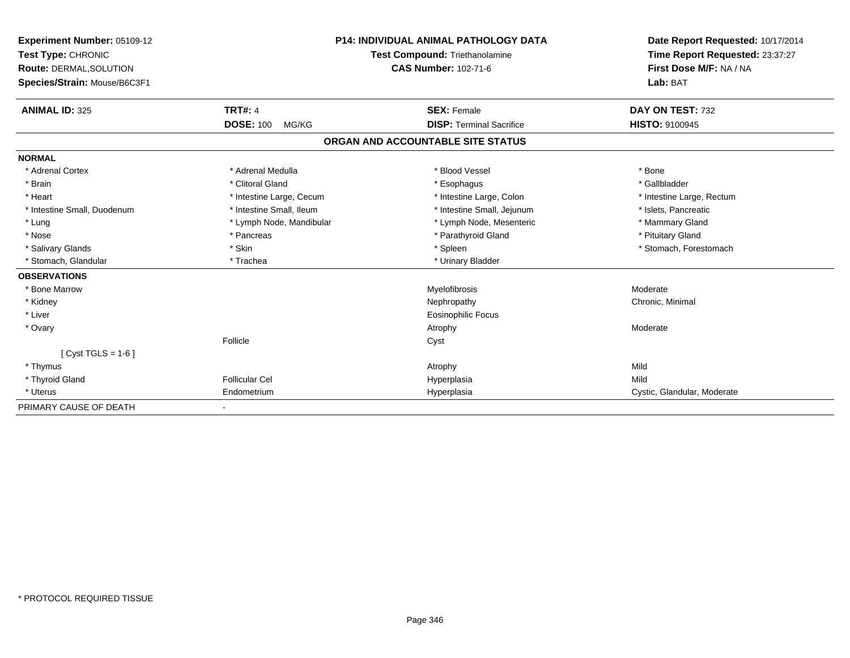| <b>Experiment Number: 05109-12</b><br>Test Type: CHRONIC       |                           | <b>P14: INDIVIDUAL ANIMAL PATHOLOGY DATA</b><br>Test Compound: Triethanolamine | Date Report Requested: 10/17/2014<br>Time Report Requested: 23:37:27 |
|----------------------------------------------------------------|---------------------------|--------------------------------------------------------------------------------|----------------------------------------------------------------------|
| <b>Route: DERMAL, SOLUTION</b><br>Species/Strain: Mouse/B6C3F1 |                           | <b>CAS Number: 102-71-6</b>                                                    | First Dose M/F: NA / NA<br>Lab: BAT                                  |
|                                                                |                           |                                                                                |                                                                      |
| <b>ANIMAL ID: 325</b>                                          | <b>TRT#: 4</b>            | <b>SEX: Female</b>                                                             | DAY ON TEST: 732                                                     |
|                                                                | <b>DOSE: 100</b><br>MG/KG | <b>DISP: Terminal Sacrifice</b>                                                | <b>HISTO: 9100945</b>                                                |
|                                                                |                           | ORGAN AND ACCOUNTABLE SITE STATUS                                              |                                                                      |
| <b>NORMAL</b>                                                  |                           |                                                                                |                                                                      |
| * Adrenal Cortex                                               | * Adrenal Medulla         | * Blood Vessel                                                                 | * Bone                                                               |
| * Brain                                                        | * Clitoral Gland          | * Esophagus                                                                    | * Gallbladder                                                        |
| * Heart                                                        | * Intestine Large, Cecum  | * Intestine Large, Colon                                                       | * Intestine Large, Rectum                                            |
| * Intestine Small, Duodenum                                    | * Intestine Small, Ileum  | * Intestine Small, Jejunum                                                     | * Islets, Pancreatic                                                 |
| * Lung                                                         | * Lymph Node, Mandibular  | * Lymph Node, Mesenteric                                                       | * Mammary Gland                                                      |
| * Nose                                                         | * Pancreas                | * Parathyroid Gland                                                            | * Pituitary Gland                                                    |
| * Salivary Glands                                              | * Skin                    | * Spleen                                                                       | * Stomach, Forestomach                                               |
| * Stomach, Glandular                                           | * Trachea                 | * Urinary Bladder                                                              |                                                                      |
| <b>OBSERVATIONS</b>                                            |                           |                                                                                |                                                                      |
| * Bone Marrow                                                  |                           | Myelofibrosis                                                                  | Moderate                                                             |
| * Kidney                                                       |                           | Nephropathy                                                                    | Chronic, Minimal                                                     |
| * Liver                                                        |                           | Eosinophilic Focus                                                             |                                                                      |
| * Ovary                                                        |                           | Atrophy                                                                        | Moderate                                                             |
|                                                                | Follicle                  | Cyst                                                                           |                                                                      |
| [ $Cyst TGLS = 1-6$ ]                                          |                           |                                                                                |                                                                      |
| * Thymus                                                       |                           | Atrophy                                                                        | Mild                                                                 |
| * Thyroid Gland                                                | <b>Follicular Cel</b>     | Hyperplasia                                                                    | Mild                                                                 |
| * Uterus                                                       | Endometrium               | Hyperplasia                                                                    | Cystic, Glandular, Moderate                                          |
| PRIMARY CAUSE OF DEATH                                         | $\overline{\phantom{a}}$  |                                                                                |                                                                      |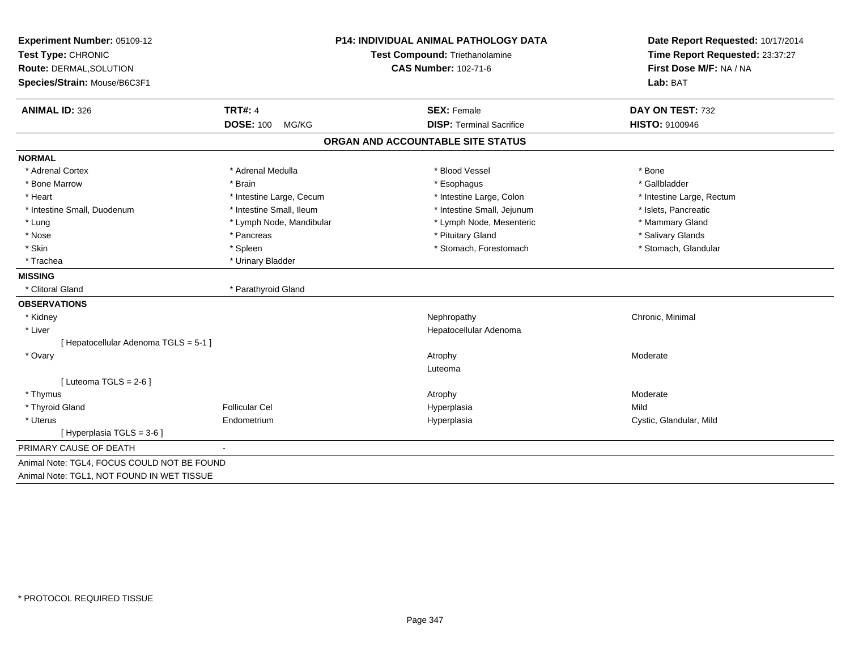| Experiment Number: 05109-12<br>Test Type: CHRONIC<br>Route: DERMAL, SOLUTION<br>Species/Strain: Mouse/B6C3F1 |                                             | <b>P14: INDIVIDUAL ANIMAL PATHOLOGY DATA</b><br>Test Compound: Triethanolamine<br><b>CAS Number: 102-71-6</b> | Date Report Requested: 10/17/2014<br>Time Report Requested: 23:37:27<br>First Dose M/F: NA / NA<br>Lab: BAT |  |
|--------------------------------------------------------------------------------------------------------------|---------------------------------------------|---------------------------------------------------------------------------------------------------------------|-------------------------------------------------------------------------------------------------------------|--|
| <b>ANIMAL ID: 326</b>                                                                                        | <b>TRT#: 4</b><br><b>DOSE: 100</b><br>MG/KG | <b>SEX: Female</b><br><b>DISP: Terminal Sacrifice</b>                                                         | DAY ON TEST: 732<br><b>HISTO: 9100946</b>                                                                   |  |
|                                                                                                              |                                             | ORGAN AND ACCOUNTABLE SITE STATUS                                                                             |                                                                                                             |  |
|                                                                                                              |                                             |                                                                                                               |                                                                                                             |  |
| <b>NORMAL</b><br>* Adrenal Cortex                                                                            |                                             | * Blood Vessel                                                                                                | * Bone                                                                                                      |  |
| * Bone Marrow                                                                                                | * Adrenal Medulla<br>* Brain                | * Esophagus                                                                                                   | * Gallbladder                                                                                               |  |
| * Heart                                                                                                      | * Intestine Large, Cecum                    | * Intestine Large, Colon                                                                                      | * Intestine Large, Rectum                                                                                   |  |
| * Intestine Small, Duodenum                                                                                  | * Intestine Small, Ileum                    | * Intestine Small, Jejunum                                                                                    | * Islets, Pancreatic                                                                                        |  |
| * Lung                                                                                                       | * Lymph Node, Mandibular                    | * Lymph Node, Mesenteric                                                                                      | * Mammary Gland                                                                                             |  |
| * Nose                                                                                                       | * Pancreas                                  | * Pituitary Gland                                                                                             | * Salivary Glands                                                                                           |  |
| * Skin                                                                                                       | * Spleen                                    | * Stomach, Forestomach                                                                                        | * Stomach, Glandular                                                                                        |  |
| * Trachea                                                                                                    | * Urinary Bladder                           |                                                                                                               |                                                                                                             |  |
| <b>MISSING</b>                                                                                               |                                             |                                                                                                               |                                                                                                             |  |
| * Clitoral Gland                                                                                             | * Parathyroid Gland                         |                                                                                                               |                                                                                                             |  |
| <b>OBSERVATIONS</b>                                                                                          |                                             |                                                                                                               |                                                                                                             |  |
| * Kidney                                                                                                     |                                             | Nephropathy                                                                                                   | Chronic, Minimal                                                                                            |  |
| * Liver                                                                                                      |                                             | Hepatocellular Adenoma                                                                                        |                                                                                                             |  |
| [ Hepatocellular Adenoma TGLS = 5-1 ]                                                                        |                                             |                                                                                                               |                                                                                                             |  |
| * Ovary                                                                                                      |                                             | Atrophy                                                                                                       | Moderate                                                                                                    |  |
|                                                                                                              |                                             | Luteoma                                                                                                       |                                                                                                             |  |
| [ Luteoma TGLS = $2-6$ ]                                                                                     |                                             |                                                                                                               |                                                                                                             |  |
| * Thymus                                                                                                     |                                             | Atrophy                                                                                                       | Moderate                                                                                                    |  |
| * Thyroid Gland                                                                                              | <b>Follicular Cel</b>                       | Hyperplasia                                                                                                   | Mild                                                                                                        |  |
| * Uterus                                                                                                     | Endometrium                                 | Hyperplasia                                                                                                   | Cystic, Glandular, Mild                                                                                     |  |
| [ Hyperplasia TGLS = 3-6 ]                                                                                   |                                             |                                                                                                               |                                                                                                             |  |
| PRIMARY CAUSE OF DEATH                                                                                       |                                             |                                                                                                               |                                                                                                             |  |
| Animal Note: TGL4, FOCUS COULD NOT BE FOUND                                                                  |                                             |                                                                                                               |                                                                                                             |  |
| Animal Note: TGL1, NOT FOUND IN WET TISSUE                                                                   |                                             |                                                                                                               |                                                                                                             |  |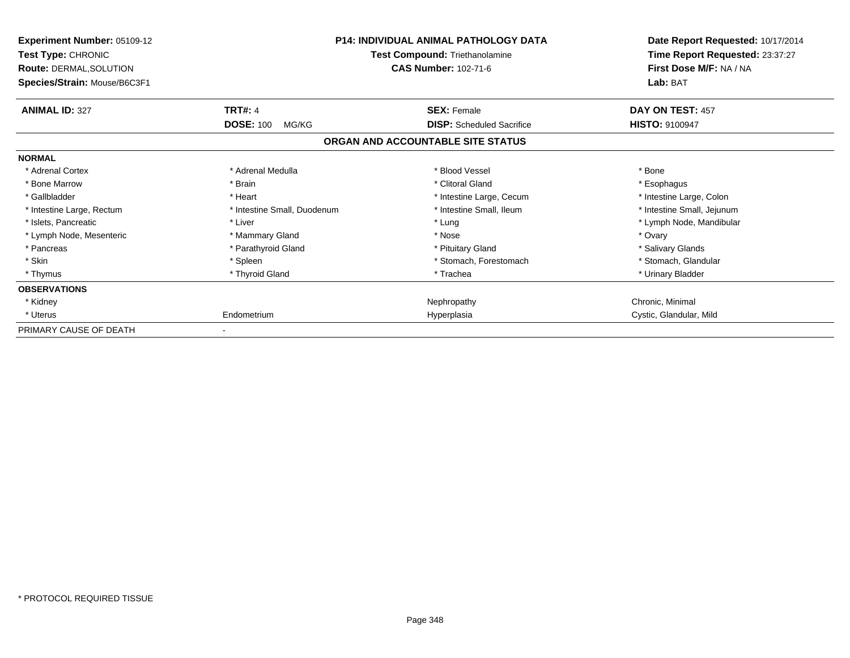| Experiment Number: 05109-12<br><b>Test Type: CHRONIC</b><br>Route: DERMAL, SOLUTION<br>Species/Strain: Mouse/B6C3F1 | <b>P14: INDIVIDUAL ANIMAL PATHOLOGY DATA</b><br>Test Compound: Triethanolamine<br><b>CAS Number: 102-71-6</b> |                                   | Date Report Requested: 10/17/2014<br>Time Report Requested: 23:37:27<br>First Dose M/F: NA / NA<br>Lab: BAT |  |
|---------------------------------------------------------------------------------------------------------------------|---------------------------------------------------------------------------------------------------------------|-----------------------------------|-------------------------------------------------------------------------------------------------------------|--|
| <b>ANIMAL ID: 327</b>                                                                                               | <b>TRT#: 4</b>                                                                                                | <b>SEX: Female</b>                | DAY ON TEST: 457                                                                                            |  |
|                                                                                                                     | <b>DOSE: 100</b><br>MG/KG                                                                                     | <b>DISP:</b> Scheduled Sacrifice  | <b>HISTO: 9100947</b>                                                                                       |  |
|                                                                                                                     |                                                                                                               | ORGAN AND ACCOUNTABLE SITE STATUS |                                                                                                             |  |
| <b>NORMAL</b>                                                                                                       |                                                                                                               |                                   |                                                                                                             |  |
| * Adrenal Cortex                                                                                                    | * Adrenal Medulla                                                                                             | * Blood Vessel                    | * Bone                                                                                                      |  |
| * Bone Marrow                                                                                                       | * Brain                                                                                                       | * Clitoral Gland                  | * Esophagus                                                                                                 |  |
| * Gallbladder                                                                                                       | * Heart                                                                                                       | * Intestine Large, Cecum          | * Intestine Large, Colon                                                                                    |  |
| * Intestine Large, Rectum                                                                                           | * Intestine Small, Duodenum                                                                                   | * Intestine Small, Ileum          | * Intestine Small, Jejunum                                                                                  |  |
| * Islets, Pancreatic                                                                                                | * Liver                                                                                                       | * Lung                            | * Lymph Node, Mandibular                                                                                    |  |
| * Lymph Node, Mesenteric                                                                                            | * Mammary Gland                                                                                               | * Nose                            | * Ovary                                                                                                     |  |
| * Pancreas                                                                                                          | * Parathyroid Gland                                                                                           | * Pituitary Gland                 | * Salivary Glands                                                                                           |  |
| * Skin                                                                                                              | * Spleen                                                                                                      | * Stomach, Forestomach            | * Stomach, Glandular                                                                                        |  |
| * Thymus                                                                                                            | * Thyroid Gland                                                                                               | * Trachea                         | * Urinary Bladder                                                                                           |  |
| <b>OBSERVATIONS</b>                                                                                                 |                                                                                                               |                                   |                                                                                                             |  |
| * Kidney                                                                                                            |                                                                                                               | Nephropathy                       | Chronic, Minimal                                                                                            |  |
| * Uterus                                                                                                            | Endometrium                                                                                                   | Hyperplasia                       | Cystic, Glandular, Mild                                                                                     |  |
| PRIMARY CAUSE OF DEATH                                                                                              |                                                                                                               |                                   |                                                                                                             |  |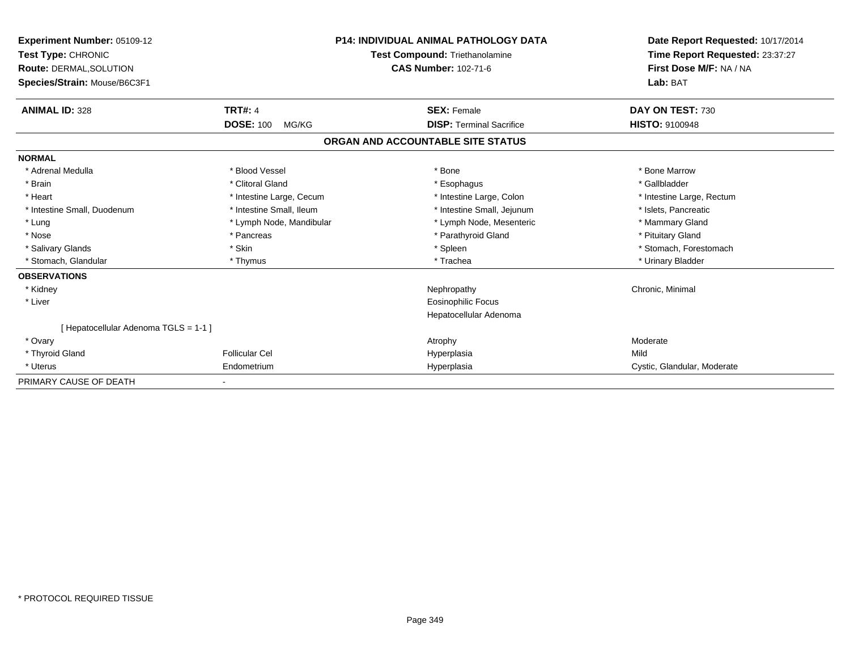| Experiment Number: 05109-12<br>Test Type: CHRONIC<br><b>Route: DERMAL, SOLUTION</b><br>Species/Strain: Mouse/B6C3F1 |                           | <b>P14: INDIVIDUAL ANIMAL PATHOLOGY DATA</b><br><b>Test Compound: Triethanolamine</b><br><b>CAS Number: 102-71-6</b> | Date Report Requested: 10/17/2014<br>Time Report Requested: 23:37:27<br>First Dose M/F: NA / NA<br>Lab: BAT |  |
|---------------------------------------------------------------------------------------------------------------------|---------------------------|----------------------------------------------------------------------------------------------------------------------|-------------------------------------------------------------------------------------------------------------|--|
| <b>ANIMAL ID: 328</b>                                                                                               | <b>TRT#: 4</b>            | <b>SEX: Female</b>                                                                                                   | DAY ON TEST: 730                                                                                            |  |
|                                                                                                                     | <b>DOSE: 100</b><br>MG/KG | <b>DISP: Terminal Sacrifice</b>                                                                                      | <b>HISTO: 9100948</b>                                                                                       |  |
|                                                                                                                     |                           | ORGAN AND ACCOUNTABLE SITE STATUS                                                                                    |                                                                                                             |  |
| <b>NORMAL</b>                                                                                                       |                           |                                                                                                                      |                                                                                                             |  |
| * Adrenal Medulla                                                                                                   | * Blood Vessel            | * Bone                                                                                                               | * Bone Marrow                                                                                               |  |
| * Brain                                                                                                             | * Clitoral Gland          | * Esophagus                                                                                                          | * Gallbladder                                                                                               |  |
| * Heart                                                                                                             | * Intestine Large, Cecum  | * Intestine Large, Colon                                                                                             | * Intestine Large, Rectum                                                                                   |  |
| * Intestine Small, Duodenum                                                                                         | * Intestine Small, Ileum  | * Intestine Small, Jejunum                                                                                           | * Islets, Pancreatic                                                                                        |  |
| * Lung                                                                                                              | * Lymph Node, Mandibular  | * Lymph Node, Mesenteric                                                                                             | * Mammary Gland                                                                                             |  |
| * Nose                                                                                                              | * Pancreas                | * Parathyroid Gland                                                                                                  | * Pituitary Gland                                                                                           |  |
| * Salivary Glands                                                                                                   | * Skin                    | * Spleen                                                                                                             | * Stomach, Forestomach                                                                                      |  |
| * Stomach, Glandular                                                                                                | * Thymus                  | * Trachea                                                                                                            | * Urinary Bladder                                                                                           |  |
| <b>OBSERVATIONS</b>                                                                                                 |                           |                                                                                                                      |                                                                                                             |  |
| * Kidney                                                                                                            |                           | Nephropathy                                                                                                          | Chronic, Minimal                                                                                            |  |
| * Liver                                                                                                             |                           | <b>Eosinophilic Focus</b>                                                                                            |                                                                                                             |  |
|                                                                                                                     |                           | Hepatocellular Adenoma                                                                                               |                                                                                                             |  |
| [Hepatocellular Adenoma TGLS = 1-1]                                                                                 |                           |                                                                                                                      |                                                                                                             |  |
| * Ovary                                                                                                             |                           | Atrophy                                                                                                              | Moderate                                                                                                    |  |
| * Thyroid Gland                                                                                                     | <b>Follicular Cel</b>     | Hyperplasia                                                                                                          | Mild                                                                                                        |  |
| * Uterus                                                                                                            | Endometrium               | Hyperplasia                                                                                                          | Cystic, Glandular, Moderate                                                                                 |  |
| PRIMARY CAUSE OF DEATH                                                                                              |                           |                                                                                                                      |                                                                                                             |  |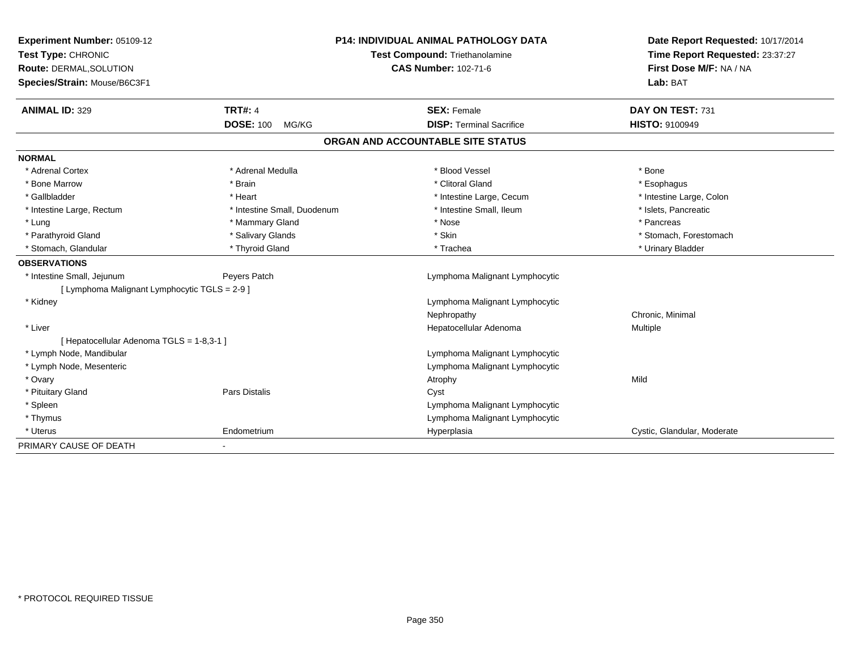| Experiment Number: 05109-12                   |                             | <b>P14: INDIVIDUAL ANIMAL PATHOLOGY DATA</b> | Date Report Requested: 10/17/2014 |  |
|-----------------------------------------------|-----------------------------|----------------------------------------------|-----------------------------------|--|
| Test Type: CHRONIC                            |                             | Test Compound: Triethanolamine               | Time Report Requested: 23:37:27   |  |
| Route: DERMAL, SOLUTION                       |                             | <b>CAS Number: 102-71-6</b>                  | First Dose M/F: NA / NA           |  |
| Species/Strain: Mouse/B6C3F1                  |                             |                                              | Lab: BAT                          |  |
| <b>ANIMAL ID: 329</b>                         | <b>TRT#: 4</b>              | <b>SEX: Female</b>                           | DAY ON TEST: 731                  |  |
|                                               | <b>DOSE: 100</b><br>MG/KG   | <b>DISP: Terminal Sacrifice</b>              | <b>HISTO: 9100949</b>             |  |
|                                               |                             | ORGAN AND ACCOUNTABLE SITE STATUS            |                                   |  |
| <b>NORMAL</b>                                 |                             |                                              |                                   |  |
| * Adrenal Cortex                              | * Adrenal Medulla           | * Blood Vessel                               | * Bone                            |  |
| * Bone Marrow                                 | * Brain                     | * Clitoral Gland                             | * Esophagus                       |  |
| * Gallbladder                                 | * Heart                     | * Intestine Large, Cecum                     | * Intestine Large, Colon          |  |
| * Intestine Large, Rectum                     | * Intestine Small, Duodenum | * Intestine Small, Ileum                     | * Islets, Pancreatic              |  |
| * Lung                                        | * Mammary Gland             | * Nose                                       | * Pancreas                        |  |
| * Parathyroid Gland                           | * Salivary Glands           | * Skin                                       | * Stomach. Forestomach            |  |
| * Stomach, Glandular                          | * Thyroid Gland             | * Trachea                                    | * Urinary Bladder                 |  |
| <b>OBSERVATIONS</b>                           |                             |                                              |                                   |  |
| * Intestine Small, Jejunum                    | Peyers Patch                | Lymphoma Malignant Lymphocytic               |                                   |  |
| [ Lymphoma Malignant Lymphocytic TGLS = 2-9 ] |                             |                                              |                                   |  |
| * Kidney                                      |                             | Lymphoma Malignant Lymphocytic               |                                   |  |
|                                               |                             | Nephropathy                                  | Chronic, Minimal                  |  |
| * Liver                                       |                             | Hepatocellular Adenoma                       | Multiple                          |  |
| [ Hepatocellular Adenoma TGLS = 1-8,3-1 ]     |                             |                                              |                                   |  |
| * Lymph Node, Mandibular                      |                             | Lymphoma Malignant Lymphocytic               |                                   |  |
| * Lymph Node, Mesenteric                      |                             | Lymphoma Malignant Lymphocytic               |                                   |  |
| * Ovary                                       |                             | Atrophy                                      | Mild                              |  |
| * Pituitary Gland                             | <b>Pars Distalis</b>        | Cyst                                         |                                   |  |
| * Spleen                                      |                             | Lymphoma Malignant Lymphocytic               |                                   |  |
| * Thymus                                      |                             | Lymphoma Malignant Lymphocytic               |                                   |  |
| * Uterus                                      | Endometrium                 | Hyperplasia                                  | Cystic, Glandular, Moderate       |  |
| PRIMARY CAUSE OF DEATH                        |                             |                                              |                                   |  |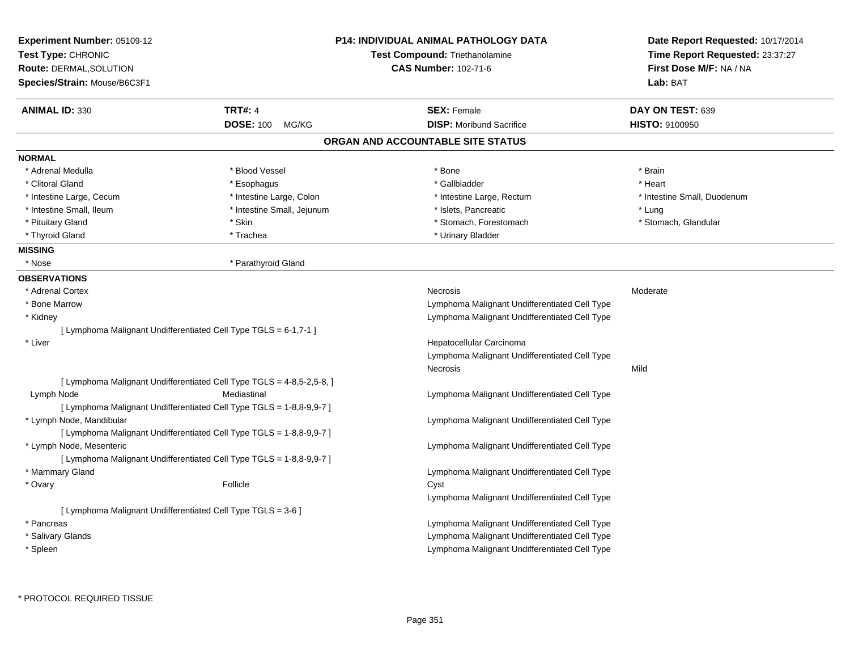| <b>Experiment Number: 05109-12</b><br>Test Type: CHRONIC<br><b>Route: DERMAL, SOLUTION</b> |                                                                       | <b>P14: INDIVIDUAL ANIMAL PATHOLOGY DATA</b><br>Test Compound: Triethanolamine<br><b>CAS Number: 102-71-6</b> | Date Report Requested: 10/17/2014<br>Time Report Requested: 23:37:27<br>First Dose M/F: NA / NA |
|--------------------------------------------------------------------------------------------|-----------------------------------------------------------------------|---------------------------------------------------------------------------------------------------------------|-------------------------------------------------------------------------------------------------|
| Species/Strain: Mouse/B6C3F1                                                               |                                                                       |                                                                                                               | <b>Lab: BAT</b>                                                                                 |
| <b>ANIMAL ID: 330</b>                                                                      | <b>TRT#: 4</b>                                                        | <b>SEX: Female</b>                                                                                            | DAY ON TEST: 639                                                                                |
|                                                                                            | DOSE: 100 MG/KG                                                       | <b>DISP:</b> Moribund Sacrifice                                                                               | HISTO: 9100950                                                                                  |
|                                                                                            |                                                                       | ORGAN AND ACCOUNTABLE SITE STATUS                                                                             |                                                                                                 |
| <b>NORMAL</b>                                                                              |                                                                       |                                                                                                               |                                                                                                 |
| * Adrenal Medulla                                                                          | * Blood Vessel                                                        | * Bone                                                                                                        | * Brain                                                                                         |
| * Clitoral Gland                                                                           | * Esophagus                                                           | * Gallbladder                                                                                                 | * Heart                                                                                         |
| * Intestine Large, Cecum                                                                   | * Intestine Large, Colon                                              | * Intestine Large, Rectum                                                                                     | * Intestine Small, Duodenum                                                                     |
| * Intestine Small, Ileum                                                                   | * Intestine Small, Jejunum                                            | * Islets, Pancreatic                                                                                          | * Lung                                                                                          |
| * Pituitary Gland                                                                          | * Skin                                                                | * Stomach, Forestomach                                                                                        | * Stomach, Glandular                                                                            |
| * Thyroid Gland                                                                            | * Trachea                                                             | * Urinary Bladder                                                                                             |                                                                                                 |
| <b>MISSING</b>                                                                             |                                                                       |                                                                                                               |                                                                                                 |
| * Nose                                                                                     | * Parathyroid Gland                                                   |                                                                                                               |                                                                                                 |
| <b>OBSERVATIONS</b>                                                                        |                                                                       |                                                                                                               |                                                                                                 |
| * Adrenal Cortex                                                                           |                                                                       | Necrosis                                                                                                      | Moderate                                                                                        |
| * Bone Marrow                                                                              |                                                                       | Lymphoma Malignant Undifferentiated Cell Type                                                                 |                                                                                                 |
| * Kidney                                                                                   |                                                                       | Lymphoma Malignant Undifferentiated Cell Type                                                                 |                                                                                                 |
|                                                                                            | [ Lymphoma Malignant Undifferentiated Cell Type TGLS = 6-1,7-1 ]      |                                                                                                               |                                                                                                 |
| * Liver                                                                                    |                                                                       | Hepatocellular Carcinoma                                                                                      |                                                                                                 |
|                                                                                            |                                                                       | Lymphoma Malignant Undifferentiated Cell Type                                                                 |                                                                                                 |
|                                                                                            |                                                                       | Necrosis                                                                                                      | Mild                                                                                            |
|                                                                                            | [ Lymphoma Malignant Undifferentiated Cell Type TGLS = 4-8,5-2,5-8, ] |                                                                                                               |                                                                                                 |
| Lymph Node                                                                                 | Mediastinal                                                           | Lymphoma Malignant Undifferentiated Cell Type                                                                 |                                                                                                 |
|                                                                                            | [ Lymphoma Malignant Undifferentiated Cell Type TGLS = 1-8,8-9,9-7 ]  |                                                                                                               |                                                                                                 |
| * Lymph Node, Mandibular                                                                   |                                                                       | Lymphoma Malignant Undifferentiated Cell Type                                                                 |                                                                                                 |
|                                                                                            | [ Lymphoma Malignant Undifferentiated Cell Type TGLS = 1-8,8-9,9-7 ]  |                                                                                                               |                                                                                                 |
| * Lymph Node, Mesenteric                                                                   |                                                                       | Lymphoma Malignant Undifferentiated Cell Type                                                                 |                                                                                                 |
|                                                                                            | [ Lymphoma Malignant Undifferentiated Cell Type TGLS = 1-8,8-9,9-7 ]  |                                                                                                               |                                                                                                 |
| * Mammary Gland                                                                            |                                                                       | Lymphoma Malignant Undifferentiated Cell Type                                                                 |                                                                                                 |
| * Ovary                                                                                    | Follicle                                                              | Cyst                                                                                                          |                                                                                                 |
|                                                                                            |                                                                       | Lymphoma Malignant Undifferentiated Cell Type                                                                 |                                                                                                 |
| [ Lymphoma Malignant Undifferentiated Cell Type TGLS = 3-6 ]                               |                                                                       |                                                                                                               |                                                                                                 |
| * Pancreas                                                                                 |                                                                       | Lymphoma Malignant Undifferentiated Cell Type                                                                 |                                                                                                 |
| * Salivary Glands                                                                          |                                                                       | Lymphoma Malignant Undifferentiated Cell Type                                                                 |                                                                                                 |
| * Spleen                                                                                   |                                                                       | Lymphoma Malignant Undifferentiated Cell Type                                                                 |                                                                                                 |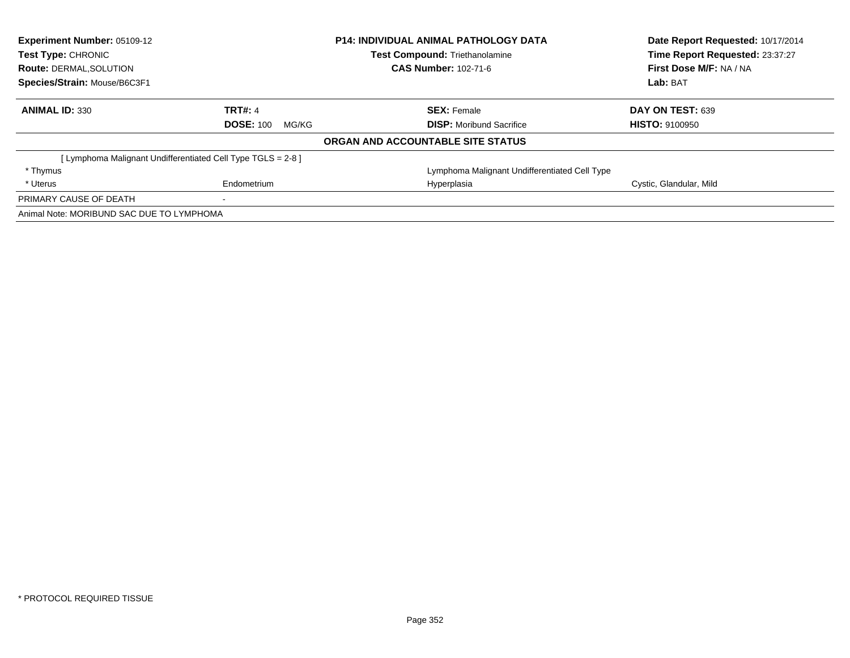| Experiment Number: 05109-12                                  |                           | <b>P14: INDIVIDUAL ANIMAL PATHOLOGY DATA</b>  | Date Report Requested: 10/17/2014 |
|--------------------------------------------------------------|---------------------------|-----------------------------------------------|-----------------------------------|
| <b>Test Type: CHRONIC</b>                                    |                           | <b>Test Compound: Triethanolamine</b>         | Time Report Requested: 23:37:27   |
| <b>Route: DERMAL, SOLUTION</b>                               |                           | <b>CAS Number: 102-71-6</b>                   | First Dose M/F: NA / NA           |
| Species/Strain: Mouse/B6C3F1                                 |                           |                                               | Lab: BAT                          |
| <b>ANIMAL ID: 330</b>                                        | <b>TRT#: 4</b>            | <b>SEX: Female</b>                            | DAY ON TEST: 639                  |
|                                                              | <b>DOSE: 100</b><br>MG/KG | <b>DISP:</b> Moribund Sacrifice               | <b>HISTO: 9100950</b>             |
|                                                              |                           | ORGAN AND ACCOUNTABLE SITE STATUS             |                                   |
| [ Lymphoma Malignant Undifferentiated Cell Type TGLS = 2-8 ] |                           |                                               |                                   |
| * Thymus                                                     |                           | Lymphoma Malignant Undifferentiated Cell Type |                                   |
| * Uterus                                                     | Endometrium               | Hyperplasia                                   | Cystic, Glandular, Mild           |
| PRIMARY CAUSE OF DEATH                                       |                           |                                               |                                   |
| Animal Note: MORIBUND SAC DUE TO LYMPHOMA                    |                           |                                               |                                   |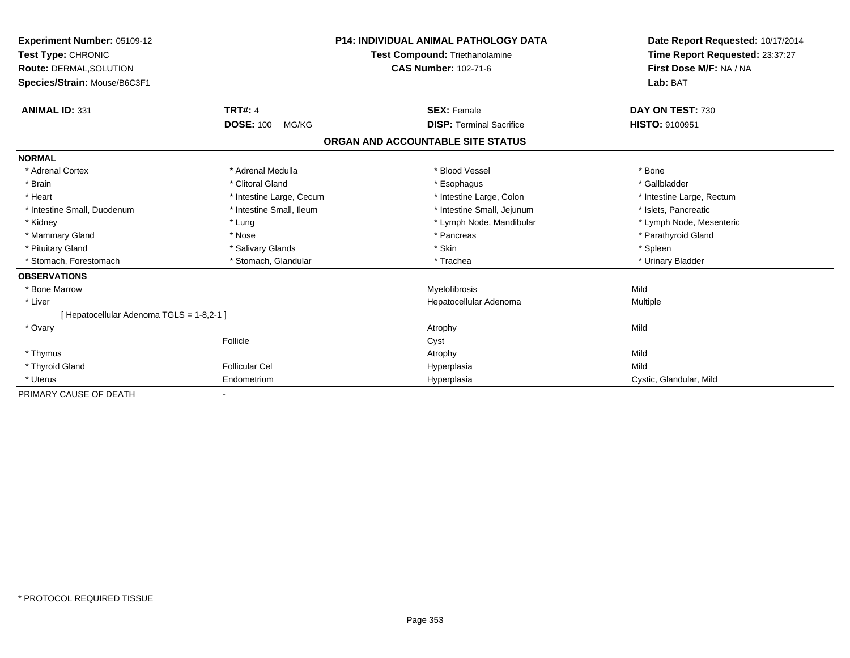| Experiment Number: 05109-12               |                           | <b>P14: INDIVIDUAL ANIMAL PATHOLOGY DATA</b> | Date Report Requested: 10/17/2014 |  |
|-------------------------------------------|---------------------------|----------------------------------------------|-----------------------------------|--|
| Test Type: CHRONIC                        |                           | <b>Test Compound: Triethanolamine</b>        | Time Report Requested: 23:37:27   |  |
| <b>Route: DERMAL, SOLUTION</b>            |                           | <b>CAS Number: 102-71-6</b>                  | First Dose M/F: NA / NA           |  |
| Species/Strain: Mouse/B6C3F1              |                           |                                              | Lab: BAT                          |  |
| <b>ANIMAL ID: 331</b>                     | <b>TRT#: 4</b>            | <b>SEX: Female</b>                           | DAY ON TEST: 730                  |  |
|                                           | <b>DOSE: 100</b><br>MG/KG | <b>DISP: Terminal Sacrifice</b>              | <b>HISTO: 9100951</b>             |  |
|                                           |                           | ORGAN AND ACCOUNTABLE SITE STATUS            |                                   |  |
| <b>NORMAL</b>                             |                           |                                              |                                   |  |
| * Adrenal Cortex                          | * Adrenal Medulla         | * Blood Vessel                               | * Bone                            |  |
| * Brain                                   | * Clitoral Gland          | * Esophagus                                  | * Gallbladder                     |  |
| * Heart                                   | * Intestine Large, Cecum  | * Intestine Large, Colon                     | * Intestine Large, Rectum         |  |
| * Intestine Small, Duodenum               | * Intestine Small, Ileum  | * Intestine Small, Jejunum                   | * Islets, Pancreatic              |  |
| * Kidney                                  | * Lung                    | * Lymph Node, Mandibular                     | * Lymph Node, Mesenteric          |  |
| * Mammary Gland                           | * Nose                    | * Pancreas                                   | * Parathyroid Gland               |  |
| * Pituitary Gland                         | * Salivary Glands         | * Skin                                       | * Spleen                          |  |
| * Stomach, Forestomach                    | * Stomach, Glandular      | * Trachea                                    | * Urinary Bladder                 |  |
| <b>OBSERVATIONS</b>                       |                           |                                              |                                   |  |
| * Bone Marrow                             |                           | Myelofibrosis                                | Mild                              |  |
| * Liver                                   |                           | Hepatocellular Adenoma                       | Multiple                          |  |
| [ Hepatocellular Adenoma TGLS = 1-8,2-1 ] |                           |                                              |                                   |  |
| * Ovary                                   |                           | Atrophy                                      | Mild                              |  |
|                                           | Follicle                  | Cyst                                         |                                   |  |
| * Thymus                                  |                           | Atrophy                                      | Mild                              |  |
| * Thyroid Gland                           | <b>Follicular Cel</b>     | Hyperplasia                                  | Mild                              |  |
| * Uterus                                  | Endometrium               | Hyperplasia                                  | Cystic, Glandular, Mild           |  |
| PRIMARY CAUSE OF DEATH                    |                           |                                              |                                   |  |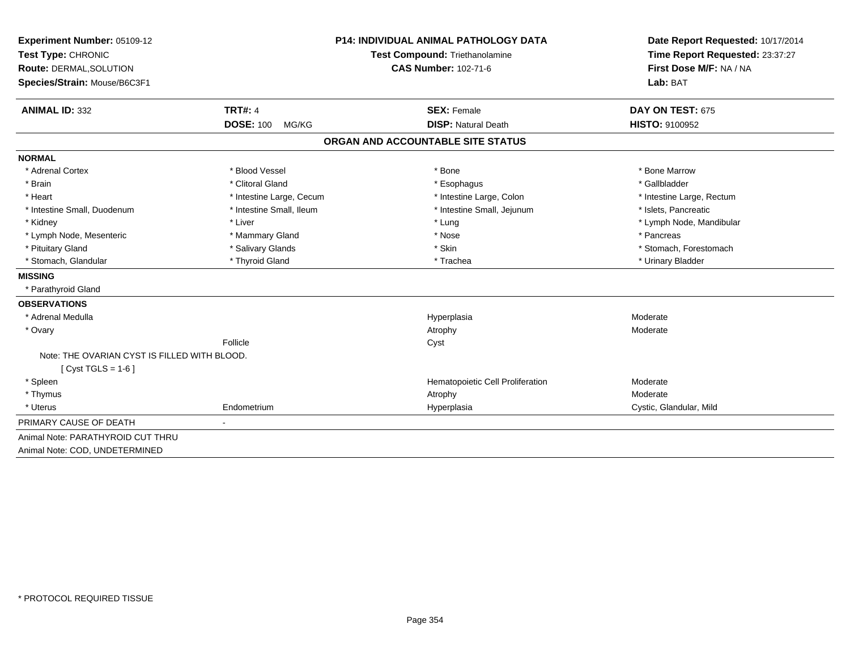| Experiment Number: 05109-12<br>Test Type: CHRONIC<br>Route: DERMAL, SOLUTION |                           | <b>P14: INDIVIDUAL ANIMAL PATHOLOGY DATA</b> | Date Report Requested: 10/17/2014<br>Time Report Requested: 23:37:27<br>First Dose M/F: NA / NA |  |
|------------------------------------------------------------------------------|---------------------------|----------------------------------------------|-------------------------------------------------------------------------------------------------|--|
|                                                                              |                           | <b>Test Compound: Triethanolamine</b>        |                                                                                                 |  |
|                                                                              |                           | <b>CAS Number: 102-71-6</b>                  |                                                                                                 |  |
| Species/Strain: Mouse/B6C3F1                                                 |                           |                                              | Lab: BAT                                                                                        |  |
| <b>ANIMAL ID: 332</b>                                                        | <b>TRT#: 4</b>            | <b>SEX: Female</b>                           | DAY ON TEST: 675                                                                                |  |
|                                                                              | <b>DOSE: 100</b><br>MG/KG | <b>DISP: Natural Death</b>                   | HISTO: 9100952                                                                                  |  |
|                                                                              |                           | ORGAN AND ACCOUNTABLE SITE STATUS            |                                                                                                 |  |
| <b>NORMAL</b>                                                                |                           |                                              |                                                                                                 |  |
| * Adrenal Cortex                                                             | * Blood Vessel            | * Bone                                       | * Bone Marrow                                                                                   |  |
| * Brain                                                                      | * Clitoral Gland          | * Esophagus                                  | * Gallbladder                                                                                   |  |
| * Heart                                                                      | * Intestine Large, Cecum  | * Intestine Large, Colon                     | * Intestine Large, Rectum                                                                       |  |
| * Intestine Small, Duodenum                                                  | * Intestine Small, Ileum  | * Intestine Small, Jejunum                   | * Islets, Pancreatic                                                                            |  |
| * Kidney                                                                     | * Liver                   | * Lung                                       | * Lymph Node, Mandibular                                                                        |  |
| * Lymph Node, Mesenteric                                                     | * Mammary Gland           | * Nose                                       | * Pancreas                                                                                      |  |
| * Pituitary Gland                                                            | * Salivary Glands         | * Skin                                       | * Stomach, Forestomach                                                                          |  |
| * Stomach, Glandular                                                         | * Thyroid Gland           | * Trachea                                    | * Urinary Bladder                                                                               |  |
| <b>MISSING</b>                                                               |                           |                                              |                                                                                                 |  |
| * Parathyroid Gland                                                          |                           |                                              |                                                                                                 |  |
| <b>OBSERVATIONS</b>                                                          |                           |                                              |                                                                                                 |  |
| * Adrenal Medulla                                                            |                           | Hyperplasia                                  | Moderate                                                                                        |  |
| * Ovary                                                                      |                           | Atrophy                                      | Moderate                                                                                        |  |
|                                                                              | Follicle                  | Cyst                                         |                                                                                                 |  |
| Note: THE OVARIAN CYST IS FILLED WITH BLOOD.                                 |                           |                                              |                                                                                                 |  |
| [ $Cyst TGLS = 1-6$ ]                                                        |                           |                                              |                                                                                                 |  |
| * Spleen                                                                     |                           | Hematopoietic Cell Proliferation             | Moderate                                                                                        |  |
| * Thymus                                                                     |                           | Atrophy                                      | Moderate                                                                                        |  |
| * Uterus                                                                     | Endometrium               | Hyperplasia                                  | Cystic, Glandular, Mild                                                                         |  |
| PRIMARY CAUSE OF DEATH                                                       | $\sim$                    |                                              |                                                                                                 |  |
| Animal Note: PARATHYROID CUT THRU                                            |                           |                                              |                                                                                                 |  |
| Animal Note: COD, UNDETERMINED                                               |                           |                                              |                                                                                                 |  |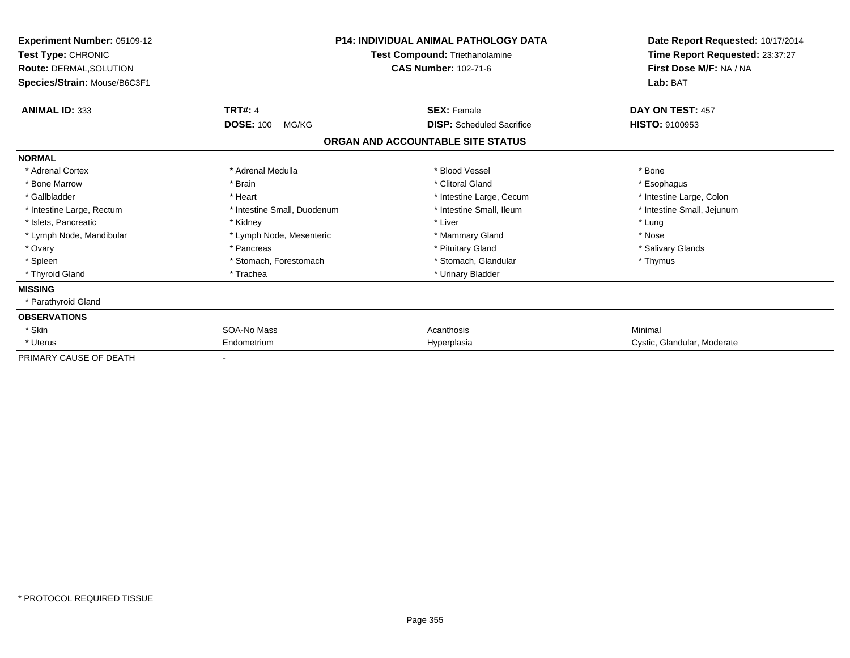| <b>Experiment Number: 05109-12</b><br>Test Type: CHRONIC<br><b>Route: DERMAL, SOLUTION</b><br>Species/Strain: Mouse/B6C3F1 | <b>P14: INDIVIDUAL ANIMAL PATHOLOGY DATA</b><br>Test Compound: Triethanolamine<br><b>CAS Number: 102-71-6</b> |                                   | Date Report Requested: 10/17/2014<br>Time Report Requested: 23:37:27<br>First Dose M/F: NA / NA<br>Lab: BAT |  |
|----------------------------------------------------------------------------------------------------------------------------|---------------------------------------------------------------------------------------------------------------|-----------------------------------|-------------------------------------------------------------------------------------------------------------|--|
| <b>ANIMAL ID: 333</b>                                                                                                      | <b>TRT#: 4</b>                                                                                                | <b>SEX: Female</b>                | DAY ON TEST: 457                                                                                            |  |
|                                                                                                                            | <b>DOSE: 100</b><br>MG/KG                                                                                     | <b>DISP:</b> Scheduled Sacrifice  | <b>HISTO: 9100953</b>                                                                                       |  |
|                                                                                                                            |                                                                                                               | ORGAN AND ACCOUNTABLE SITE STATUS |                                                                                                             |  |
| <b>NORMAL</b>                                                                                                              |                                                                                                               |                                   |                                                                                                             |  |
| * Adrenal Cortex                                                                                                           | * Adrenal Medulla                                                                                             | * Blood Vessel                    | * Bone                                                                                                      |  |
| * Bone Marrow                                                                                                              | * Brain                                                                                                       | * Clitoral Gland                  | * Esophagus                                                                                                 |  |
| * Gallbladder                                                                                                              | * Heart                                                                                                       | * Intestine Large, Cecum          | * Intestine Large, Colon                                                                                    |  |
| * Intestine Large, Rectum                                                                                                  | * Intestine Small, Duodenum                                                                                   | * Intestine Small, Ileum          | * Intestine Small, Jejunum                                                                                  |  |
| * Islets, Pancreatic                                                                                                       | * Kidney                                                                                                      | * Liver                           | * Lung                                                                                                      |  |
| * Lymph Node, Mandibular                                                                                                   | * Lymph Node, Mesenteric                                                                                      | * Mammary Gland                   | * Nose                                                                                                      |  |
| * Ovary                                                                                                                    | * Pancreas                                                                                                    | * Pituitary Gland                 | * Salivary Glands                                                                                           |  |
| * Spleen                                                                                                                   | * Stomach, Forestomach                                                                                        | * Stomach, Glandular              | * Thymus                                                                                                    |  |
| * Thyroid Gland                                                                                                            | * Trachea                                                                                                     | * Urinary Bladder                 |                                                                                                             |  |
| <b>MISSING</b>                                                                                                             |                                                                                                               |                                   |                                                                                                             |  |
| * Parathyroid Gland                                                                                                        |                                                                                                               |                                   |                                                                                                             |  |
| <b>OBSERVATIONS</b>                                                                                                        |                                                                                                               |                                   |                                                                                                             |  |
| * Skin                                                                                                                     | SOA-No Mass                                                                                                   | Acanthosis                        | Minimal                                                                                                     |  |
| * Uterus                                                                                                                   | Endometrium                                                                                                   | Hyperplasia                       | Cystic, Glandular, Moderate                                                                                 |  |
| PRIMARY CAUSE OF DEATH                                                                                                     |                                                                                                               |                                   |                                                                                                             |  |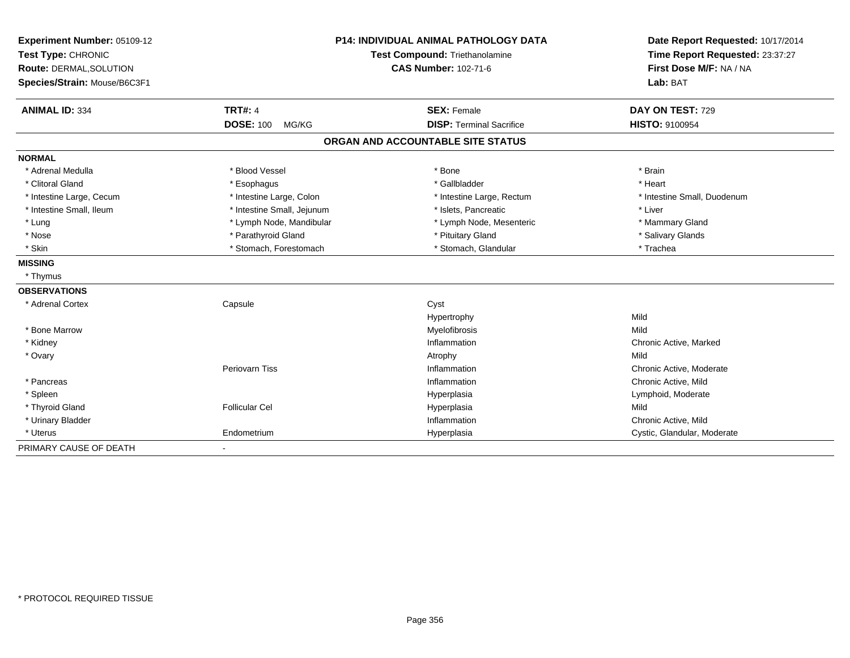| Experiment Number: 05109-12  | P14: INDIVIDUAL ANIMAL PATHOLOGY DATA |                                   | Date Report Requested: 10/17/2014 |
|------------------------------|---------------------------------------|-----------------------------------|-----------------------------------|
| Test Type: CHRONIC           |                                       | Test Compound: Triethanolamine    | Time Report Requested: 23:37:27   |
| Route: DERMAL, SOLUTION      |                                       | <b>CAS Number: 102-71-6</b>       | First Dose M/F: NA / NA           |
| Species/Strain: Mouse/B6C3F1 |                                       |                                   | Lab: BAT                          |
| <b>ANIMAL ID: 334</b>        | <b>TRT#: 4</b>                        | <b>SEX: Female</b>                | DAY ON TEST: 729                  |
|                              | <b>DOSE: 100</b><br>MG/KG             | <b>DISP: Terminal Sacrifice</b>   | <b>HISTO: 9100954</b>             |
|                              |                                       | ORGAN AND ACCOUNTABLE SITE STATUS |                                   |
| <b>NORMAL</b>                |                                       |                                   |                                   |
| * Adrenal Medulla            | * Blood Vessel                        | * Bone                            | * Brain                           |
| * Clitoral Gland             | * Esophagus                           | * Gallbladder                     | * Heart                           |
| * Intestine Large, Cecum     | * Intestine Large, Colon              | * Intestine Large, Rectum         | * Intestine Small, Duodenum       |
| * Intestine Small, Ileum     | * Intestine Small, Jejunum            | * Islets, Pancreatic              | * Liver                           |
| * Lung                       | * Lymph Node, Mandibular              | * Lymph Node, Mesenteric          | * Mammary Gland                   |
| * Nose                       | * Parathyroid Gland                   | * Pituitary Gland                 | * Salivary Glands                 |
| * Skin                       | * Stomach, Forestomach                | * Stomach, Glandular              | * Trachea                         |
| <b>MISSING</b>               |                                       |                                   |                                   |
| * Thymus                     |                                       |                                   |                                   |
| <b>OBSERVATIONS</b>          |                                       |                                   |                                   |
| * Adrenal Cortex             | Capsule                               | Cyst                              |                                   |
|                              |                                       | Hypertrophy                       | Mild                              |
| * Bone Marrow                |                                       | Myelofibrosis                     | Mild                              |
| * Kidney                     |                                       | Inflammation                      | Chronic Active, Marked            |
| * Ovary                      |                                       | Atrophy                           | Mild                              |
|                              | Periovarn Tiss                        | Inflammation                      | Chronic Active, Moderate          |
| * Pancreas                   |                                       | Inflammation                      | Chronic Active, Mild              |
| * Spleen                     |                                       | Hyperplasia                       | Lymphoid, Moderate                |
| * Thyroid Gland              | <b>Follicular Cel</b>                 | Hyperplasia                       | Mild                              |
| * Urinary Bladder            |                                       | Inflammation                      | Chronic Active, Mild              |
| * Uterus                     | Endometrium                           | Hyperplasia                       | Cystic, Glandular, Moderate       |
| PRIMARY CAUSE OF DEATH       |                                       |                                   |                                   |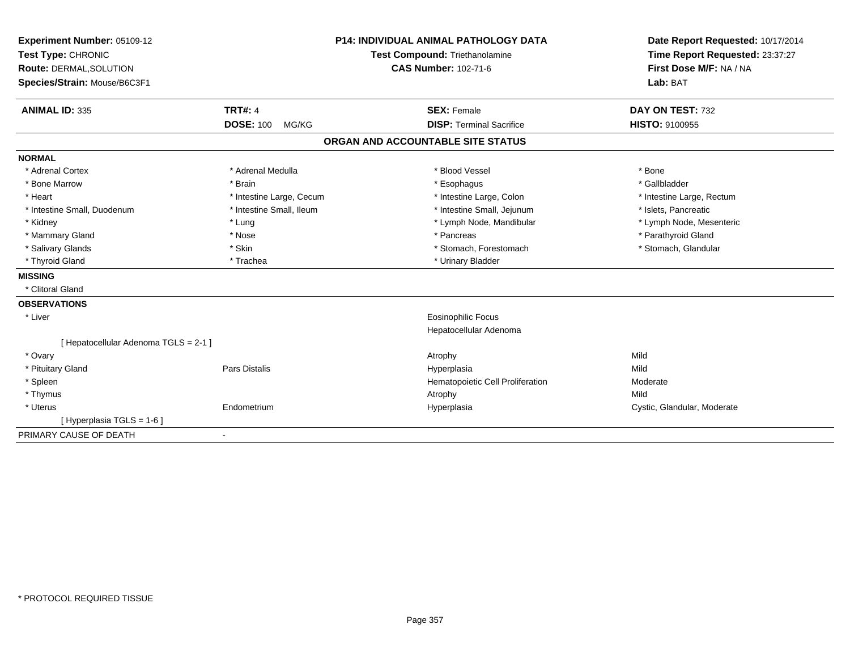| Experiment Number: 05109-12           | <b>P14: INDIVIDUAL ANIMAL PATHOLOGY DATA</b><br><b>Test Compound: Triethanolamine</b> |                                   | Date Report Requested: 10/17/2014 |                             |
|---------------------------------------|---------------------------------------------------------------------------------------|-----------------------------------|-----------------------------------|-----------------------------|
| Test Type: CHRONIC                    |                                                                                       |                                   | Time Report Requested: 23:37:27   |                             |
| Route: DERMAL, SOLUTION               |                                                                                       | <b>CAS Number: 102-71-6</b>       |                                   | First Dose M/F: NA / NA     |
| Species/Strain: Mouse/B6C3F1          |                                                                                       |                                   |                                   | Lab: BAT                    |
| <b>ANIMAL ID: 335</b>                 | <b>TRT#: 4</b>                                                                        |                                   | <b>SEX: Female</b>                | DAY ON TEST: 732            |
|                                       | <b>DOSE: 100</b><br>MG/KG                                                             |                                   | <b>DISP: Terminal Sacrifice</b>   | <b>HISTO: 9100955</b>       |
|                                       |                                                                                       | ORGAN AND ACCOUNTABLE SITE STATUS |                                   |                             |
| <b>NORMAL</b>                         |                                                                                       |                                   |                                   |                             |
| * Adrenal Cortex                      | * Adrenal Medulla                                                                     |                                   | * Blood Vessel                    | * Bone                      |
| * Bone Marrow                         | * Brain                                                                               |                                   | * Esophagus                       | * Gallbladder               |
| * Heart                               | * Intestine Large, Cecum                                                              |                                   | * Intestine Large, Colon          | * Intestine Large, Rectum   |
| * Intestine Small, Duodenum           | * Intestine Small, Ileum                                                              |                                   | * Intestine Small, Jejunum        | * Islets, Pancreatic        |
| * Kidney                              | * Lung                                                                                |                                   | * Lymph Node, Mandibular          | * Lymph Node, Mesenteric    |
| * Mammary Gland                       | * Nose                                                                                |                                   | * Pancreas                        | * Parathyroid Gland         |
| * Salivary Glands                     | * Skin                                                                                |                                   | * Stomach, Forestomach            | * Stomach, Glandular        |
| * Thyroid Gland                       | * Trachea                                                                             |                                   | * Urinary Bladder                 |                             |
| <b>MISSING</b>                        |                                                                                       |                                   |                                   |                             |
| * Clitoral Gland                      |                                                                                       |                                   |                                   |                             |
| <b>OBSERVATIONS</b>                   |                                                                                       |                                   |                                   |                             |
| * Liver                               |                                                                                       |                                   | <b>Eosinophilic Focus</b>         |                             |
|                                       |                                                                                       |                                   | Hepatocellular Adenoma            |                             |
| [ Hepatocellular Adenoma TGLS = 2-1 ] |                                                                                       |                                   |                                   |                             |
| * Ovary                               |                                                                                       | Atrophy                           |                                   | Mild                        |
| * Pituitary Gland                     | Pars Distalis                                                                         |                                   | Hyperplasia                       | Mild                        |
| * Spleen                              |                                                                                       |                                   | Hematopoietic Cell Proliferation  | Moderate                    |
| * Thymus                              |                                                                                       | Atrophy                           |                                   | Mild                        |
| * Uterus                              | Endometrium                                                                           |                                   | Hyperplasia                       | Cystic, Glandular, Moderate |
| [Hyperplasia TGLS = 1-6]              |                                                                                       |                                   |                                   |                             |
| PRIMARY CAUSE OF DEATH                | $\overline{\phantom{a}}$                                                              |                                   |                                   |                             |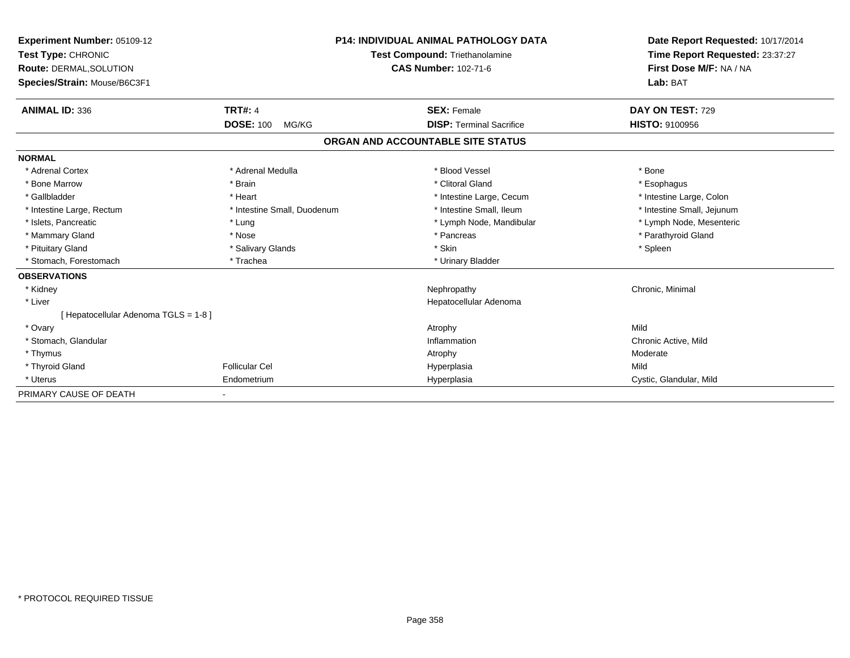| <b>Experiment Number: 05109-12</b><br>Test Type: CHRONIC<br><b>Route: DERMAL, SOLUTION</b><br>Species/Strain: Mouse/B6C3F1 | <b>P14: INDIVIDUAL ANIMAL PATHOLOGY DATA</b><br>Test Compound: Triethanolamine<br><b>CAS Number: 102-71-6</b> |                                   | Date Report Requested: 10/17/2014<br>Time Report Requested: 23:37:27<br>First Dose M/F: NA / NA<br>Lab: BAT |  |
|----------------------------------------------------------------------------------------------------------------------------|---------------------------------------------------------------------------------------------------------------|-----------------------------------|-------------------------------------------------------------------------------------------------------------|--|
| <b>ANIMAL ID: 336</b>                                                                                                      | <b>TRT#: 4</b>                                                                                                | <b>SEX: Female</b>                | DAY ON TEST: 729                                                                                            |  |
|                                                                                                                            | <b>DOSE: 100</b><br>MG/KG                                                                                     | <b>DISP: Terminal Sacrifice</b>   | <b>HISTO: 9100956</b>                                                                                       |  |
|                                                                                                                            |                                                                                                               | ORGAN AND ACCOUNTABLE SITE STATUS |                                                                                                             |  |
| <b>NORMAL</b>                                                                                                              |                                                                                                               |                                   |                                                                                                             |  |
| * Adrenal Cortex                                                                                                           | * Adrenal Medulla                                                                                             | * Blood Vessel                    | * Bone                                                                                                      |  |
| * Bone Marrow                                                                                                              | * Brain                                                                                                       | * Clitoral Gland                  | * Esophagus                                                                                                 |  |
| * Gallbladder                                                                                                              | * Heart                                                                                                       | * Intestine Large, Cecum          | * Intestine Large, Colon                                                                                    |  |
| * Intestine Large, Rectum                                                                                                  | * Intestine Small, Duodenum                                                                                   | * Intestine Small. Ileum          | * Intestine Small, Jejunum                                                                                  |  |
| * Islets, Pancreatic                                                                                                       | * Lung                                                                                                        | * Lymph Node, Mandibular          | * Lymph Node, Mesenteric                                                                                    |  |
| * Mammary Gland                                                                                                            | * Nose                                                                                                        | * Pancreas                        | * Parathyroid Gland                                                                                         |  |
| * Pituitary Gland                                                                                                          | * Salivary Glands                                                                                             | * Skin                            | * Spleen                                                                                                    |  |
| <b>Stomach, Forestomach</b>                                                                                                | * Trachea                                                                                                     | * Urinary Bladder                 |                                                                                                             |  |
| <b>OBSERVATIONS</b>                                                                                                        |                                                                                                               |                                   |                                                                                                             |  |
| * Kidney                                                                                                                   |                                                                                                               | Nephropathy                       | Chronic, Minimal                                                                                            |  |
| * Liver                                                                                                                    |                                                                                                               | Hepatocellular Adenoma            |                                                                                                             |  |
| [Hepatocellular Adenoma TGLS = 1-8]                                                                                        |                                                                                                               |                                   |                                                                                                             |  |
| * Ovary                                                                                                                    |                                                                                                               | Atrophy                           | Mild                                                                                                        |  |
| * Stomach, Glandular                                                                                                       |                                                                                                               | Inflammation                      | Chronic Active, Mild                                                                                        |  |
| * Thymus                                                                                                                   |                                                                                                               | Atrophy                           | Moderate                                                                                                    |  |
| * Thyroid Gland                                                                                                            | <b>Follicular Cel</b>                                                                                         | Hyperplasia                       | Mild                                                                                                        |  |
| * Uterus                                                                                                                   | Endometrium                                                                                                   | Hyperplasia                       | Cystic, Glandular, Mild                                                                                     |  |
| PRIMARY CAUSE OF DEATH                                                                                                     |                                                                                                               |                                   |                                                                                                             |  |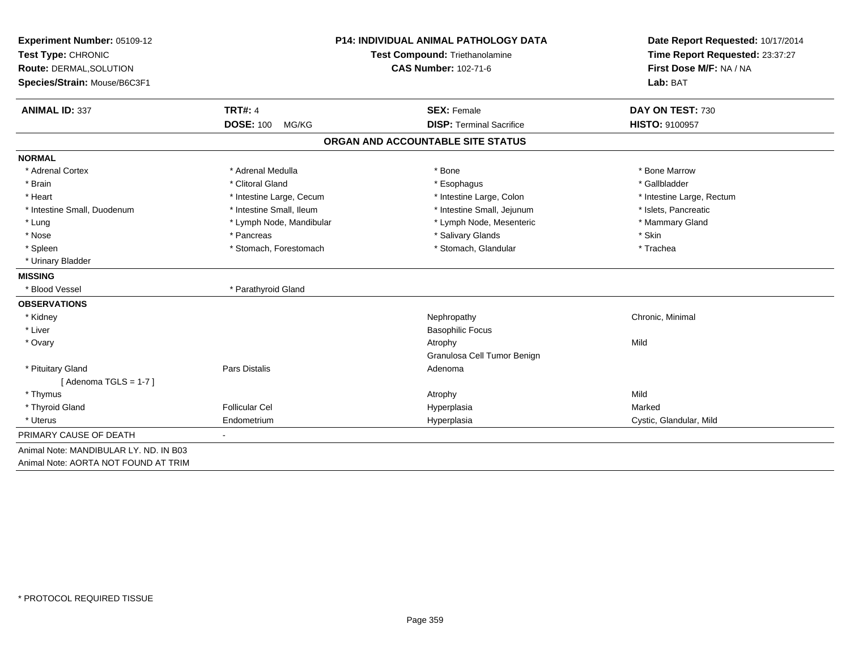| Experiment Number: 05109-12            | <b>P14: INDIVIDUAL ANIMAL PATHOLOGY DATA</b> |                                   | Date Report Requested: 10/17/2014 |  |
|----------------------------------------|----------------------------------------------|-----------------------------------|-----------------------------------|--|
| Test Type: CHRONIC                     |                                              | Test Compound: Triethanolamine    | Time Report Requested: 23:37:27   |  |
| Route: DERMAL, SOLUTION                |                                              | <b>CAS Number: 102-71-6</b>       | First Dose M/F: NA / NA           |  |
| Species/Strain: Mouse/B6C3F1           |                                              |                                   | Lab: BAT                          |  |
| <b>ANIMAL ID: 337</b>                  | <b>TRT#: 4</b>                               | <b>SEX: Female</b>                | DAY ON TEST: 730                  |  |
|                                        | <b>DOSE: 100</b><br>MG/KG                    | <b>DISP: Terminal Sacrifice</b>   | <b>HISTO: 9100957</b>             |  |
|                                        |                                              | ORGAN AND ACCOUNTABLE SITE STATUS |                                   |  |
| <b>NORMAL</b>                          |                                              |                                   |                                   |  |
| * Adrenal Cortex                       | * Adrenal Medulla                            | * Bone                            | * Bone Marrow                     |  |
| * Brain                                | * Clitoral Gland                             | * Esophagus                       | * Gallbladder                     |  |
| * Heart                                | * Intestine Large, Cecum                     | * Intestine Large, Colon          | * Intestine Large, Rectum         |  |
| * Intestine Small, Duodenum            | * Intestine Small, Ileum                     | * Intestine Small, Jejunum        | * Islets, Pancreatic              |  |
| * Lung                                 | * Lymph Node, Mandibular                     | * Lymph Node, Mesenteric          | * Mammary Gland                   |  |
| * Nose                                 | * Pancreas                                   | * Salivary Glands                 | * Skin                            |  |
| * Spleen                               | * Stomach, Forestomach                       | * Stomach, Glandular              | * Trachea                         |  |
| * Urinary Bladder                      |                                              |                                   |                                   |  |
| <b>MISSING</b>                         |                                              |                                   |                                   |  |
| * Blood Vessel                         | * Parathyroid Gland                          |                                   |                                   |  |
| <b>OBSERVATIONS</b>                    |                                              |                                   |                                   |  |
| * Kidney                               |                                              | Nephropathy                       | Chronic, Minimal                  |  |
| * Liver                                |                                              | <b>Basophilic Focus</b>           |                                   |  |
| * Ovary                                |                                              | Atrophy                           | Mild                              |  |
|                                        |                                              | Granulosa Cell Tumor Benign       |                                   |  |
| * Pituitary Gland                      | <b>Pars Distalis</b>                         | Adenoma                           |                                   |  |
| [Adenoma TGLS = 1-7]                   |                                              |                                   |                                   |  |
| * Thymus                               |                                              | Atrophy                           | Mild                              |  |
| * Thyroid Gland                        | <b>Follicular Cel</b>                        | Hyperplasia                       | Marked                            |  |
| * Uterus                               | Endometrium                                  | Hyperplasia                       | Cystic, Glandular, Mild           |  |
| PRIMARY CAUSE OF DEATH                 |                                              |                                   |                                   |  |
| Animal Note: MANDIBULAR LY. ND. IN B03 |                                              |                                   |                                   |  |
| Animal Note: AORTA NOT FOUND AT TRIM   |                                              |                                   |                                   |  |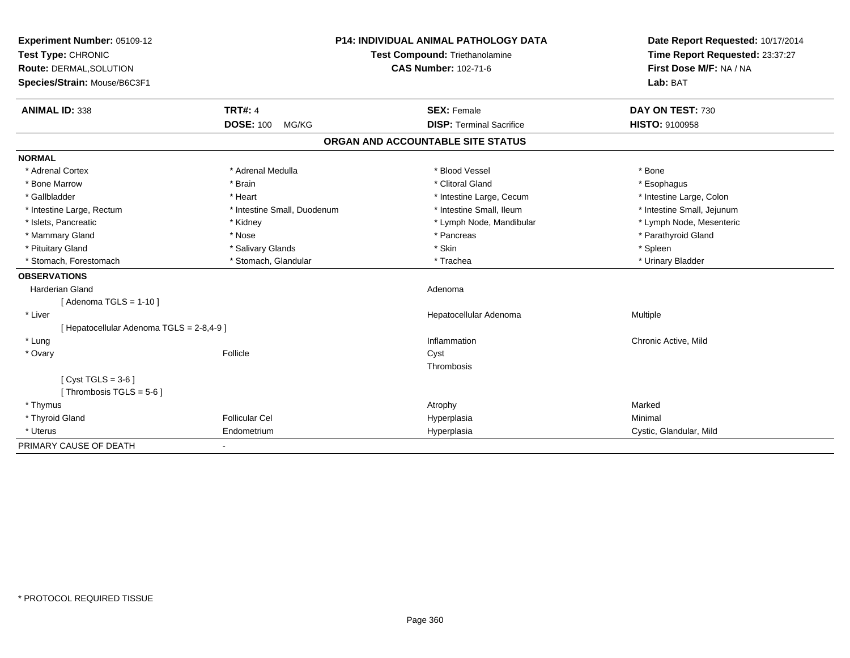| Experiment Number: 05109-12               | <b>P14: INDIVIDUAL ANIMAL PATHOLOGY DATA</b> |                                   | Date Report Requested: 10/17/2014 |
|-------------------------------------------|----------------------------------------------|-----------------------------------|-----------------------------------|
| Test Type: CHRONIC                        |                                              | Test Compound: Triethanolamine    | Time Report Requested: 23:37:27   |
| <b>Route: DERMAL, SOLUTION</b>            |                                              | <b>CAS Number: 102-71-6</b>       | First Dose M/F: NA / NA           |
| Species/Strain: Mouse/B6C3F1              |                                              |                                   | Lab: BAT                          |
| <b>ANIMAL ID: 338</b>                     | <b>TRT#: 4</b>                               | <b>SEX: Female</b>                | DAY ON TEST: 730                  |
|                                           | <b>DOSE: 100</b><br>MG/KG                    | <b>DISP: Terminal Sacrifice</b>   | <b>HISTO: 9100958</b>             |
|                                           |                                              | ORGAN AND ACCOUNTABLE SITE STATUS |                                   |
| <b>NORMAL</b>                             |                                              |                                   |                                   |
| * Adrenal Cortex                          | * Adrenal Medulla                            | * Blood Vessel                    | * Bone                            |
| * Bone Marrow                             | * Brain                                      | * Clitoral Gland                  | * Esophagus                       |
| * Gallbladder                             | * Heart                                      | * Intestine Large, Cecum          | * Intestine Large, Colon          |
| * Intestine Large, Rectum                 | * Intestine Small, Duodenum                  | * Intestine Small, Ileum          | * Intestine Small, Jejunum        |
| * Islets, Pancreatic                      | * Kidney                                     | * Lymph Node, Mandibular          | * Lymph Node, Mesenteric          |
| * Mammary Gland                           | * Nose                                       | * Pancreas                        | * Parathyroid Gland               |
| * Pituitary Gland                         | * Salivary Glands                            | * Skin                            | * Spleen                          |
| * Stomach, Forestomach                    | * Stomach, Glandular                         | * Trachea                         | * Urinary Bladder                 |
| <b>OBSERVATIONS</b>                       |                                              |                                   |                                   |
| <b>Harderian Gland</b>                    |                                              | Adenoma                           |                                   |
| [Adenoma TGLS = $1-10$ ]                  |                                              |                                   |                                   |
| * Liver                                   |                                              | Hepatocellular Adenoma            | Multiple                          |
| [ Hepatocellular Adenoma TGLS = 2-8,4-9 ] |                                              |                                   |                                   |
| * Lung                                    |                                              | Inflammation                      | Chronic Active, Mild              |
| * Ovary                                   | Follicle                                     | Cyst                              |                                   |
|                                           |                                              | Thrombosis                        |                                   |
| [ $Cyst TGLS = 3-6$ ]                     |                                              |                                   |                                   |
| [Thrombosis TGLS = $5-6$ ]                |                                              |                                   |                                   |
| * Thymus                                  |                                              | Atrophy                           | Marked                            |
| * Thyroid Gland                           | <b>Follicular Cel</b>                        | Hyperplasia                       | Minimal                           |
| * Uterus                                  | Endometrium                                  | Hyperplasia                       | Cystic, Glandular, Mild           |
| PRIMARY CAUSE OF DEATH                    | $\blacksquare$                               |                                   |                                   |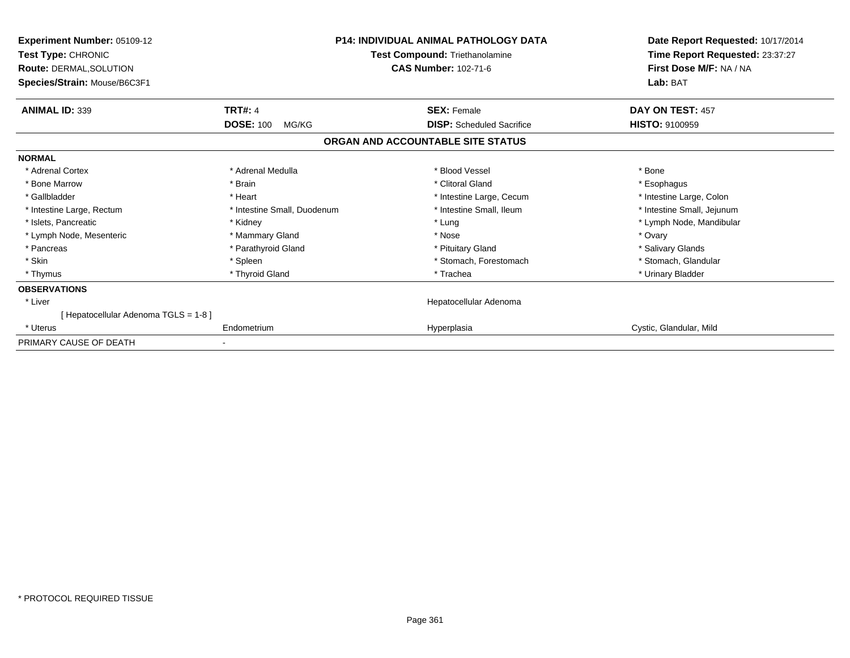| <b>Experiment Number: 05109-12</b><br>Test Type: CHRONIC<br>Route: DERMAL, SOLUTION<br>Species/Strain: Mouse/B6C3F1 | <b>P14: INDIVIDUAL ANIMAL PATHOLOGY DATA</b><br><b>Test Compound: Triethanolamine</b><br><b>CAS Number: 102-71-6</b> |                                                        | Date Report Requested: 10/17/2014<br>Time Report Requested: 23:37:27<br>First Dose M/F: NA / NA<br>Lab: BAT |
|---------------------------------------------------------------------------------------------------------------------|----------------------------------------------------------------------------------------------------------------------|--------------------------------------------------------|-------------------------------------------------------------------------------------------------------------|
| <b>ANIMAL ID: 339</b>                                                                                               | <b>TRT#: 4</b><br><b>DOSE: 100</b><br>MG/KG                                                                          | <b>SEX: Female</b><br><b>DISP:</b> Scheduled Sacrifice | DAY ON TEST: 457<br><b>HISTO: 9100959</b>                                                                   |
|                                                                                                                     |                                                                                                                      | ORGAN AND ACCOUNTABLE SITE STATUS                      |                                                                                                             |
| <b>NORMAL</b>                                                                                                       |                                                                                                                      |                                                        |                                                                                                             |
| * Adrenal Cortex                                                                                                    | * Adrenal Medulla                                                                                                    | * Blood Vessel                                         | * Bone                                                                                                      |
| * Bone Marrow                                                                                                       | * Brain                                                                                                              | * Clitoral Gland                                       | * Esophagus                                                                                                 |
| * Gallbladder                                                                                                       | * Heart                                                                                                              | * Intestine Large, Cecum                               | * Intestine Large, Colon                                                                                    |
| * Intestine Large, Rectum                                                                                           | * Intestine Small, Duodenum                                                                                          | * Intestine Small, Ileum                               | * Intestine Small, Jejunum                                                                                  |
| * Islets, Pancreatic                                                                                                | * Kidney                                                                                                             | * Lung                                                 | * Lymph Node, Mandibular                                                                                    |
| * Lymph Node, Mesenteric                                                                                            | * Mammary Gland                                                                                                      | * Nose                                                 | * Ovary                                                                                                     |
| * Pancreas                                                                                                          | * Parathyroid Gland                                                                                                  | * Pituitary Gland                                      | * Salivary Glands                                                                                           |
| * Skin                                                                                                              | * Spleen                                                                                                             | * Stomach, Forestomach                                 | * Stomach, Glandular                                                                                        |
| * Thymus                                                                                                            | * Thyroid Gland                                                                                                      | * Trachea                                              | * Urinary Bladder                                                                                           |
| <b>OBSERVATIONS</b>                                                                                                 |                                                                                                                      |                                                        |                                                                                                             |
| * Liver                                                                                                             |                                                                                                                      | Hepatocellular Adenoma                                 |                                                                                                             |
| [ Hepatocellular Adenoma TGLS = 1-8 ]                                                                               |                                                                                                                      |                                                        |                                                                                                             |
| * Uterus                                                                                                            | Endometrium                                                                                                          | Hyperplasia                                            | Cystic, Glandular, Mild                                                                                     |
| PRIMARY CAUSE OF DEATH                                                                                              |                                                                                                                      |                                                        |                                                                                                             |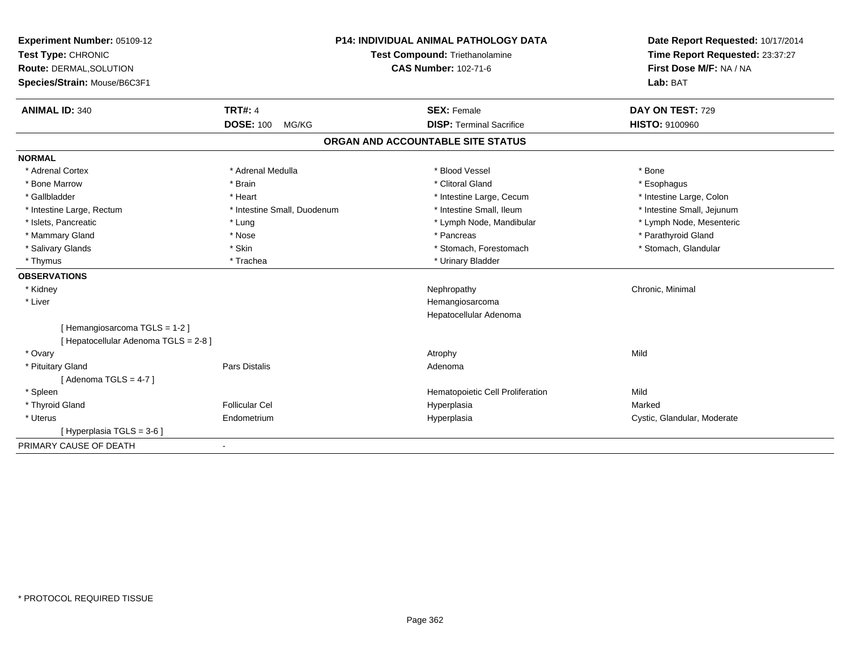| Experiment Number: 05109-12<br>Test Type: CHRONIC |                             | <b>P14: INDIVIDUAL ANIMAL PATHOLOGY DATA</b><br>Test Compound: Triethanolamine | Date Report Requested: 10/17/2014<br>Time Report Requested: 23:37:27 |
|---------------------------------------------------|-----------------------------|--------------------------------------------------------------------------------|----------------------------------------------------------------------|
| <b>Route: DERMAL, SOLUTION</b>                    | <b>CAS Number: 102-71-6</b> |                                                                                | First Dose M/F: NA / NA                                              |
| Species/Strain: Mouse/B6C3F1                      |                             |                                                                                | Lab: BAT                                                             |
| <b>ANIMAL ID: 340</b>                             | <b>TRT#: 4</b>              | <b>SEX: Female</b>                                                             | DAY ON TEST: 729                                                     |
|                                                   | <b>DOSE: 100</b><br>MG/KG   | <b>DISP: Terminal Sacrifice</b>                                                | <b>HISTO: 9100960</b>                                                |
|                                                   |                             | ORGAN AND ACCOUNTABLE SITE STATUS                                              |                                                                      |
| <b>NORMAL</b>                                     |                             |                                                                                |                                                                      |
| * Adrenal Cortex                                  | * Adrenal Medulla           | * Blood Vessel                                                                 | * Bone                                                               |
| * Bone Marrow                                     | * Brain                     | * Clitoral Gland                                                               | * Esophagus                                                          |
| * Gallbladder                                     | * Heart                     | * Intestine Large, Cecum                                                       | * Intestine Large, Colon                                             |
| * Intestine Large, Rectum                         | * Intestine Small, Duodenum | * Intestine Small, Ileum                                                       | * Intestine Small, Jejunum                                           |
| * Islets, Pancreatic                              | * Lung                      | * Lymph Node, Mandibular                                                       | * Lymph Node, Mesenteric                                             |
| * Mammary Gland                                   | * Nose                      | * Pancreas                                                                     | * Parathyroid Gland                                                  |
| * Salivary Glands                                 | * Skin                      | * Stomach, Forestomach                                                         | * Stomach, Glandular                                                 |
| * Thymus                                          | * Trachea                   | * Urinary Bladder                                                              |                                                                      |
| <b>OBSERVATIONS</b>                               |                             |                                                                                |                                                                      |
| * Kidney                                          |                             | Nephropathy                                                                    | Chronic, Minimal                                                     |
| * Liver                                           |                             | Hemangiosarcoma                                                                |                                                                      |
|                                                   |                             | Hepatocellular Adenoma                                                         |                                                                      |
| [Hemangiosarcoma TGLS = 1-2]                      |                             |                                                                                |                                                                      |
| [ Hepatocellular Adenoma TGLS = 2-8 ]             |                             |                                                                                |                                                                      |
| * Ovary                                           |                             | Atrophy                                                                        | Mild                                                                 |
| * Pituitary Gland                                 | Pars Distalis               | Adenoma                                                                        |                                                                      |
| [Adenoma TGLS = $4-7$ ]                           |                             |                                                                                |                                                                      |
| * Spleen                                          |                             | Hematopoietic Cell Proliferation                                               | Mild                                                                 |
| * Thyroid Gland                                   | <b>Follicular Cel</b>       | Hyperplasia                                                                    | Marked                                                               |
| * Uterus                                          | Endometrium                 | Hyperplasia                                                                    | Cystic, Glandular, Moderate                                          |
| [Hyperplasia TGLS = $3-6$ ]                       |                             |                                                                                |                                                                      |
| PRIMARY CAUSE OF DEATH                            |                             |                                                                                |                                                                      |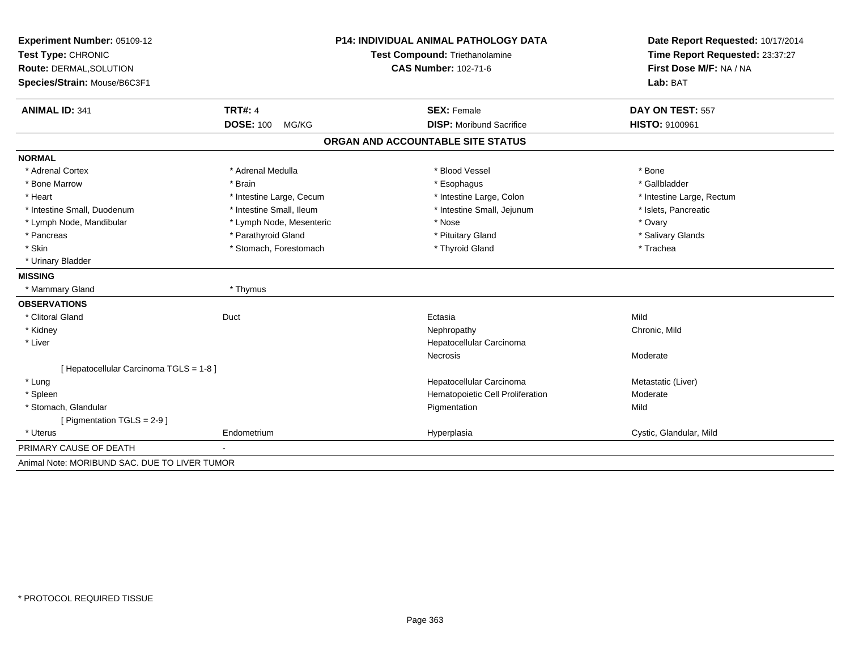| Experiment Number: 05109-12                   |                                | <b>P14: INDIVIDUAL ANIMAL PATHOLOGY DATA</b> | Date Report Requested: 10/17/2014 |
|-----------------------------------------------|--------------------------------|----------------------------------------------|-----------------------------------|
| Test Type: CHRONIC                            | Test Compound: Triethanolamine |                                              | Time Report Requested: 23:37:27   |
| <b>Route: DERMAL, SOLUTION</b>                |                                | <b>CAS Number: 102-71-6</b>                  | First Dose M/F: NA / NA           |
| Species/Strain: Mouse/B6C3F1                  |                                |                                              | Lab: BAT                          |
| <b>ANIMAL ID: 341</b>                         | <b>TRT#: 4</b>                 | <b>SEX: Female</b>                           | DAY ON TEST: 557                  |
|                                               | DOSE: 100 MG/KG                | <b>DISP:</b> Moribund Sacrifice              | HISTO: 9100961                    |
|                                               |                                | ORGAN AND ACCOUNTABLE SITE STATUS            |                                   |
| <b>NORMAL</b>                                 |                                |                                              |                                   |
| * Adrenal Cortex                              | * Adrenal Medulla              | * Blood Vessel                               | * Bone                            |
| * Bone Marrow                                 | * Brain                        | * Esophagus                                  | * Gallbladder                     |
| * Heart                                       | * Intestine Large, Cecum       | * Intestine Large, Colon                     | * Intestine Large, Rectum         |
| * Intestine Small, Duodenum                   | * Intestine Small, Ileum       | * Intestine Small, Jejunum                   | * Islets, Pancreatic              |
| * Lymph Node, Mandibular                      | * Lymph Node, Mesenteric       | * Nose                                       | * Ovary                           |
| * Pancreas                                    | * Parathyroid Gland            | * Pituitary Gland                            | * Salivary Glands                 |
| * Skin                                        | * Stomach, Forestomach         | * Thyroid Gland                              | * Trachea                         |
| * Urinary Bladder                             |                                |                                              |                                   |
| <b>MISSING</b>                                |                                |                                              |                                   |
| * Mammary Gland                               | * Thymus                       |                                              |                                   |
| <b>OBSERVATIONS</b>                           |                                |                                              |                                   |
| * Clitoral Gland                              | Duct                           | Ectasia                                      | Mild                              |
| * Kidney                                      |                                | Nephropathy                                  | Chronic, Mild                     |
| * Liver                                       |                                | Hepatocellular Carcinoma                     |                                   |
|                                               |                                | Necrosis                                     | Moderate                          |
| [ Hepatocellular Carcinoma TGLS = 1-8 ]       |                                |                                              |                                   |
| * Lung                                        |                                | Hepatocellular Carcinoma                     | Metastatic (Liver)                |
| * Spleen                                      |                                | Hematopoietic Cell Proliferation             | Moderate                          |
| * Stomach, Glandular                          |                                | Pigmentation                                 | Mild                              |
| [ Pigmentation TGLS = 2-9 ]                   |                                |                                              |                                   |
| * Uterus                                      | Endometrium                    | Hyperplasia                                  | Cystic, Glandular, Mild           |
| PRIMARY CAUSE OF DEATH                        |                                |                                              |                                   |
| Animal Note: MORIBUND SAC. DUE TO LIVER TUMOR |                                |                                              |                                   |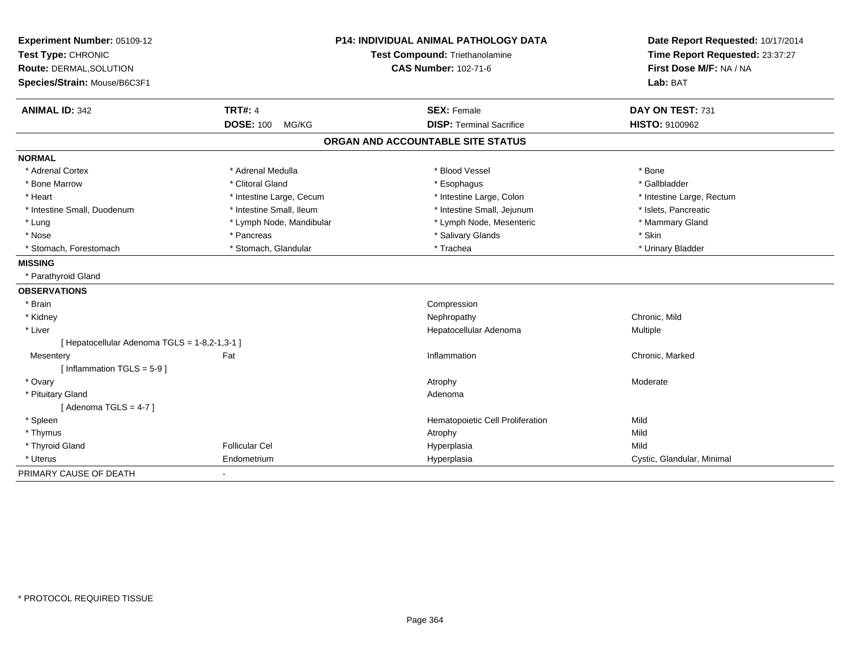| Experiment Number: 05109-12                   | <b>P14: INDIVIDUAL ANIMAL PATHOLOGY DATA</b><br>Test Compound: Triethanolamine |                                   | Date Report Requested: 10/17/2014 |
|-----------------------------------------------|--------------------------------------------------------------------------------|-----------------------------------|-----------------------------------|
| Test Type: CHRONIC                            |                                                                                |                                   | Time Report Requested: 23:37:27   |
| Route: DERMAL, SOLUTION                       |                                                                                | <b>CAS Number: 102-71-6</b>       | First Dose M/F: NA / NA           |
| Species/Strain: Mouse/B6C3F1                  |                                                                                |                                   | Lab: BAT                          |
| <b>ANIMAL ID: 342</b>                         | <b>TRT#: 4</b>                                                                 | <b>SEX: Female</b>                | DAY ON TEST: 731                  |
|                                               | <b>DOSE: 100</b><br>MG/KG                                                      | <b>DISP: Terminal Sacrifice</b>   | <b>HISTO: 9100962</b>             |
|                                               |                                                                                | ORGAN AND ACCOUNTABLE SITE STATUS |                                   |
| <b>NORMAL</b>                                 |                                                                                |                                   |                                   |
| * Adrenal Cortex                              | * Adrenal Medulla                                                              | * Blood Vessel                    | * Bone                            |
| * Bone Marrow                                 | * Clitoral Gland                                                               | * Esophagus                       | * Gallbladder                     |
| * Heart                                       | * Intestine Large, Cecum                                                       | * Intestine Large, Colon          | * Intestine Large, Rectum         |
| * Intestine Small, Duodenum                   | * Intestine Small, Ileum                                                       | * Intestine Small, Jejunum        | * Islets, Pancreatic              |
| * Lung                                        | * Lymph Node, Mandibular                                                       | * Lymph Node, Mesenteric          | * Mammary Gland                   |
| * Nose                                        | * Pancreas                                                                     | * Salivary Glands                 | * Skin                            |
| * Stomach, Forestomach                        | * Stomach, Glandular                                                           | * Trachea                         | * Urinary Bladder                 |
| <b>MISSING</b>                                |                                                                                |                                   |                                   |
| * Parathyroid Gland                           |                                                                                |                                   |                                   |
| <b>OBSERVATIONS</b>                           |                                                                                |                                   |                                   |
| * Brain                                       |                                                                                | Compression                       |                                   |
| * Kidney                                      |                                                                                | Nephropathy                       | Chronic, Mild                     |
| * Liver                                       |                                                                                | Hepatocellular Adenoma            | Multiple                          |
| [ Hepatocellular Adenoma TGLS = 1-8,2-1,3-1 ] |                                                                                |                                   |                                   |
| Mesentery                                     | Fat                                                                            | Inflammation                      | Chronic, Marked                   |
| [Inflammation TGLS = $5-9$ ]                  |                                                                                |                                   |                                   |
| * Ovary                                       |                                                                                | Atrophy                           | Moderate                          |
| * Pituitary Gland                             |                                                                                | Adenoma                           |                                   |
| [Adenoma TGLS = $4-7$ ]                       |                                                                                |                                   |                                   |
| * Spleen                                      |                                                                                | Hematopoietic Cell Proliferation  | Mild                              |
| * Thymus                                      |                                                                                | Atrophy                           | Mild                              |
| * Thyroid Gland                               | <b>Follicular Cel</b>                                                          | Hyperplasia                       | Mild                              |
| * Uterus                                      | Endometrium                                                                    | Hyperplasia                       | Cystic, Glandular, Minimal        |
| PRIMARY CAUSE OF DEATH                        |                                                                                |                                   |                                   |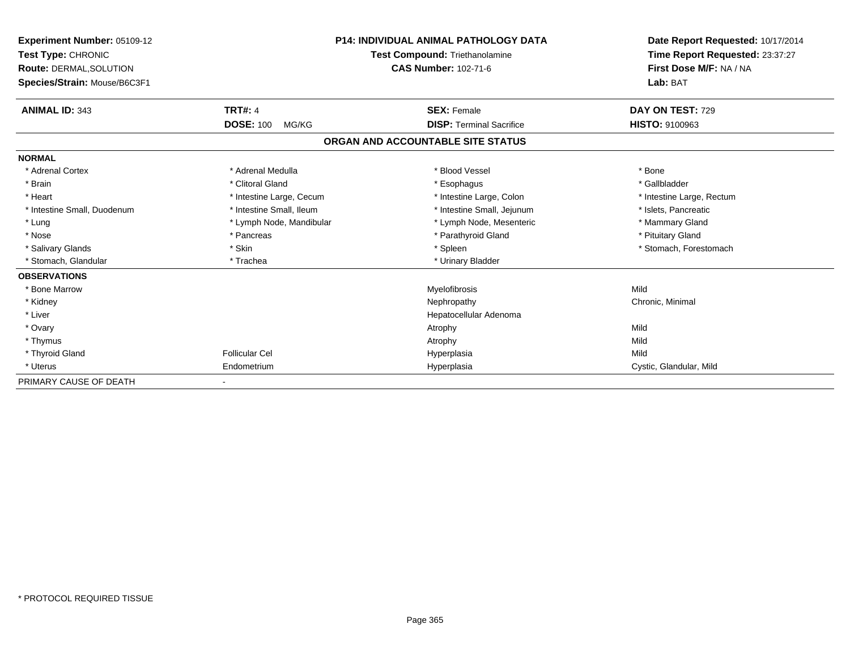| Experiment Number: 05109-12<br>Test Type: CHRONIC<br><b>Route: DERMAL, SOLUTION</b><br>Species/Strain: Mouse/B6C3F1 |                           | <b>P14: INDIVIDUAL ANIMAL PATHOLOGY DATA</b><br>Test Compound: Triethanolamine<br><b>CAS Number: 102-71-6</b> | Date Report Requested: 10/17/2014<br>Time Report Requested: 23:37:27<br>First Dose M/F: NA / NA<br>Lab: BAT |
|---------------------------------------------------------------------------------------------------------------------|---------------------------|---------------------------------------------------------------------------------------------------------------|-------------------------------------------------------------------------------------------------------------|
| <b>ANIMAL ID: 343</b>                                                                                               | <b>TRT#: 4</b>            | <b>SEX: Female</b>                                                                                            | DAY ON TEST: 729                                                                                            |
|                                                                                                                     | <b>DOSE: 100</b><br>MG/KG | <b>DISP: Terminal Sacrifice</b>                                                                               | <b>HISTO: 9100963</b>                                                                                       |
|                                                                                                                     |                           | ORGAN AND ACCOUNTABLE SITE STATUS                                                                             |                                                                                                             |
| <b>NORMAL</b>                                                                                                       |                           |                                                                                                               |                                                                                                             |
| * Adrenal Cortex                                                                                                    | * Adrenal Medulla         | * Blood Vessel                                                                                                | * Bone                                                                                                      |
| * Brain                                                                                                             | * Clitoral Gland          | * Esophagus                                                                                                   | * Gallbladder                                                                                               |
| * Heart                                                                                                             | * Intestine Large, Cecum  | * Intestine Large, Colon                                                                                      | * Intestine Large, Rectum                                                                                   |
| * Intestine Small, Duodenum                                                                                         | * Intestine Small, Ileum  | * Intestine Small, Jejunum                                                                                    | * Islets, Pancreatic                                                                                        |
| * Lung                                                                                                              | * Lymph Node, Mandibular  | * Lymph Node, Mesenteric                                                                                      | * Mammary Gland                                                                                             |
| * Nose                                                                                                              | * Pancreas                | * Parathyroid Gland                                                                                           | * Pituitary Gland                                                                                           |
| * Salivary Glands                                                                                                   | * Skin                    | * Spleen                                                                                                      | * Stomach, Forestomach                                                                                      |
| * Stomach, Glandular                                                                                                | * Trachea                 | * Urinary Bladder                                                                                             |                                                                                                             |
| <b>OBSERVATIONS</b>                                                                                                 |                           |                                                                                                               |                                                                                                             |
| <b>Bone Marrow</b>                                                                                                  |                           | Myelofibrosis                                                                                                 | Mild                                                                                                        |
| * Kidney                                                                                                            |                           | Nephropathy                                                                                                   | Chronic, Minimal                                                                                            |
| * Liver                                                                                                             |                           | Hepatocellular Adenoma                                                                                        |                                                                                                             |
| * Ovary                                                                                                             |                           | Atrophy                                                                                                       | Mild                                                                                                        |
| * Thymus                                                                                                            |                           | Atrophy                                                                                                       | Mild                                                                                                        |
| * Thyroid Gland                                                                                                     | <b>Follicular Cel</b>     | Hyperplasia                                                                                                   | Mild                                                                                                        |
| * Uterus                                                                                                            | Endometrium               | Hyperplasia                                                                                                   | Cystic, Glandular, Mild                                                                                     |
| PRIMARY CAUSE OF DEATH                                                                                              |                           |                                                                                                               |                                                                                                             |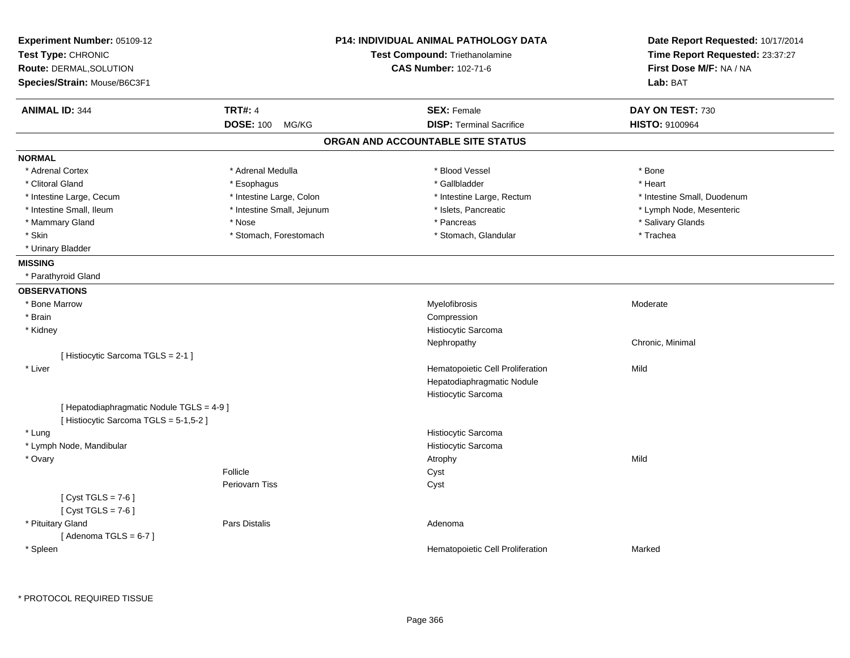| Experiment Number: 05109-12<br>Test Type: CHRONIC<br>Route: DERMAL, SOLUTION<br>Species/Strain: Mouse/B6C3F1 |                            | <b>P14: INDIVIDUAL ANIMAL PATHOLOGY DATA</b><br>Test Compound: Triethanolamine<br><b>CAS Number: 102-71-6</b> | Date Report Requested: 10/17/2014<br>Time Report Requested: 23:37:27<br>First Dose M/F: NA / NA<br>Lab: BAT |
|--------------------------------------------------------------------------------------------------------------|----------------------------|---------------------------------------------------------------------------------------------------------------|-------------------------------------------------------------------------------------------------------------|
| <b>ANIMAL ID: 344</b>                                                                                        | <b>TRT#: 4</b>             | <b>SEX: Female</b>                                                                                            | DAY ON TEST: 730                                                                                            |
|                                                                                                              | <b>DOSE: 100</b><br>MG/KG  | <b>DISP: Terminal Sacrifice</b>                                                                               | <b>HISTO: 9100964</b>                                                                                       |
|                                                                                                              |                            | ORGAN AND ACCOUNTABLE SITE STATUS                                                                             |                                                                                                             |
| <b>NORMAL</b>                                                                                                |                            |                                                                                                               |                                                                                                             |
| * Adrenal Cortex                                                                                             | * Adrenal Medulla          | * Blood Vessel                                                                                                | * Bone                                                                                                      |
| * Clitoral Gland                                                                                             | * Esophagus                | * Gallbladder                                                                                                 | * Heart                                                                                                     |
| * Intestine Large, Cecum                                                                                     | * Intestine Large, Colon   | * Intestine Large, Rectum                                                                                     | * Intestine Small, Duodenum                                                                                 |
| * Intestine Small, Ileum                                                                                     | * Intestine Small, Jejunum | * Islets, Pancreatic                                                                                          | * Lymph Node, Mesenteric                                                                                    |
| * Mammary Gland                                                                                              | * Nose                     | * Pancreas                                                                                                    | * Salivary Glands                                                                                           |
| * Skin                                                                                                       | * Stomach, Forestomach     | * Stomach, Glandular                                                                                          | * Trachea                                                                                                   |
| * Urinary Bladder                                                                                            |                            |                                                                                                               |                                                                                                             |
| <b>MISSING</b>                                                                                               |                            |                                                                                                               |                                                                                                             |
| * Parathyroid Gland                                                                                          |                            |                                                                                                               |                                                                                                             |
| <b>OBSERVATIONS</b>                                                                                          |                            |                                                                                                               |                                                                                                             |
| * Bone Marrow                                                                                                |                            | Myelofibrosis                                                                                                 | Moderate                                                                                                    |
| * Brain                                                                                                      |                            | Compression                                                                                                   |                                                                                                             |
| * Kidney                                                                                                     |                            | Histiocytic Sarcoma                                                                                           |                                                                                                             |
|                                                                                                              |                            | Nephropathy                                                                                                   | Chronic, Minimal                                                                                            |
| [Histiocytic Sarcoma TGLS = 2-1 ]                                                                            |                            |                                                                                                               |                                                                                                             |
| * Liver                                                                                                      |                            | Hematopoietic Cell Proliferation                                                                              | Mild                                                                                                        |
|                                                                                                              |                            | Hepatodiaphragmatic Nodule                                                                                    |                                                                                                             |
|                                                                                                              |                            | Histiocytic Sarcoma                                                                                           |                                                                                                             |
| [ Hepatodiaphragmatic Nodule TGLS = 4-9 ]<br>[Histiocytic Sarcoma TGLS = 5-1,5-2]                            |                            |                                                                                                               |                                                                                                             |
| * Lung                                                                                                       |                            | Histiocytic Sarcoma                                                                                           |                                                                                                             |
| * Lymph Node, Mandibular                                                                                     |                            | Histiocytic Sarcoma                                                                                           |                                                                                                             |
| * Ovary                                                                                                      |                            | Atrophy                                                                                                       | Mild                                                                                                        |
|                                                                                                              | Follicle                   | Cyst                                                                                                          |                                                                                                             |
|                                                                                                              | Periovarn Tiss             | Cyst                                                                                                          |                                                                                                             |
| [Cyst TGLS = $7-6$ ]<br>[Cyst TGLS = $7-6$ ]                                                                 |                            |                                                                                                               |                                                                                                             |
| * Pituitary Gland                                                                                            | Pars Distalis              | Adenoma                                                                                                       |                                                                                                             |
| [Adenoma TGLS = $6-7$ ]                                                                                      |                            |                                                                                                               |                                                                                                             |
| * Spleen                                                                                                     |                            | Hematopoietic Cell Proliferation                                                                              | Marked                                                                                                      |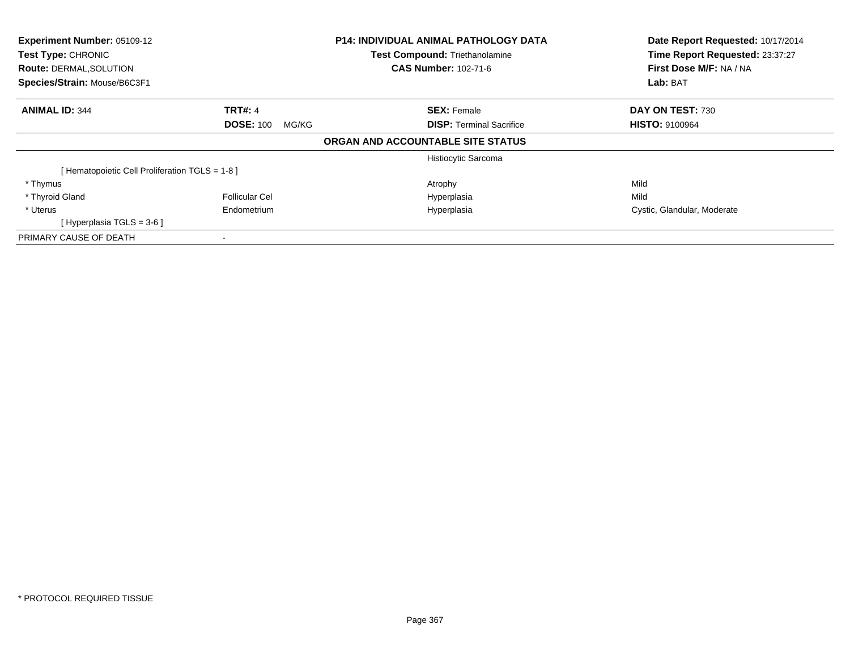| Experiment Number: 05109-12<br>Test Type: CHRONIC<br>Route: DERMAL, SOLUTION |                           | <b>P14: INDIVIDUAL ANIMAL PATHOLOGY DATA</b><br><b>Test Compound: Triethanolamine</b><br><b>CAS Number: 102-71-6</b> | Date Report Requested: 10/17/2014<br>Time Report Requested: 23:37:27<br>First Dose M/F: NA / NA |
|------------------------------------------------------------------------------|---------------------------|----------------------------------------------------------------------------------------------------------------------|-------------------------------------------------------------------------------------------------|
| Species/Strain: Mouse/B6C3F1                                                 |                           |                                                                                                                      | Lab: BAT                                                                                        |
| <b>ANIMAL ID: 344</b>                                                        | <b>TRT#: 4</b>            | <b>SEX: Female</b>                                                                                                   | DAY ON TEST: 730                                                                                |
|                                                                              | <b>DOSE: 100</b><br>MG/KG | <b>DISP:</b> Terminal Sacrifice                                                                                      | <b>HISTO: 9100964</b>                                                                           |
|                                                                              |                           | ORGAN AND ACCOUNTABLE SITE STATUS                                                                                    |                                                                                                 |
|                                                                              |                           | Histiocytic Sarcoma                                                                                                  |                                                                                                 |
| [ Hematopoietic Cell Proliferation TGLS = 1-8 ]                              |                           |                                                                                                                      |                                                                                                 |
| * Thymus                                                                     |                           | Atrophy                                                                                                              | Mild                                                                                            |
| * Thyroid Gland                                                              | <b>Follicular Cel</b>     | Hyperplasia                                                                                                          | Mild                                                                                            |
| * Uterus                                                                     | Endometrium               | Hyperplasia                                                                                                          | Cystic, Glandular, Moderate                                                                     |
| [Hyperplasia TGLS = $3-6$ ]                                                  |                           |                                                                                                                      |                                                                                                 |
| PRIMARY CAUSE OF DEATH                                                       |                           |                                                                                                                      |                                                                                                 |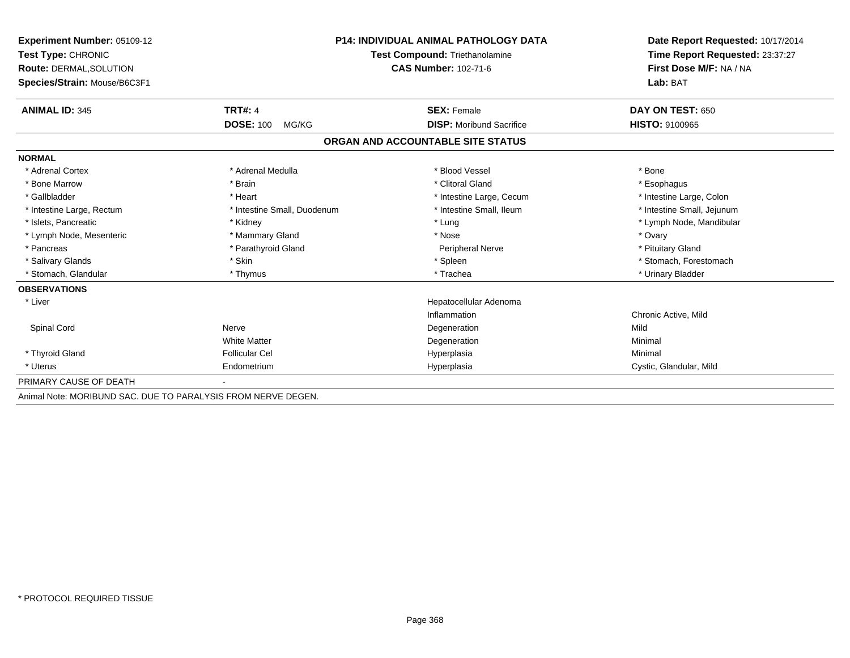| Experiment Number: 05109-12                                   |                             | <b>P14: INDIVIDUAL ANIMAL PATHOLOGY DATA</b> |                                                            |  |
|---------------------------------------------------------------|-----------------------------|----------------------------------------------|------------------------------------------------------------|--|
| Test Type: CHRONIC                                            |                             | Test Compound: Triethanolamine               | Time Report Requested: 23:37:27<br>First Dose M/F: NA / NA |  |
| <b>Route: DERMAL, SOLUTION</b>                                | <b>CAS Number: 102-71-6</b> |                                              |                                                            |  |
| Species/Strain: Mouse/B6C3F1                                  |                             |                                              | Lab: BAT                                                   |  |
| <b>ANIMAL ID: 345</b>                                         | <b>TRT#: 4</b>              | <b>SEX: Female</b>                           | DAY ON TEST: 650                                           |  |
|                                                               | <b>DOSE: 100</b><br>MG/KG   | <b>DISP:</b> Moribund Sacrifice              | <b>HISTO: 9100965</b>                                      |  |
|                                                               |                             | ORGAN AND ACCOUNTABLE SITE STATUS            |                                                            |  |
| <b>NORMAL</b>                                                 |                             |                                              |                                                            |  |
| * Adrenal Cortex                                              | * Adrenal Medulla           | * Blood Vessel                               | * Bone                                                     |  |
| * Bone Marrow                                                 | * Brain                     | * Clitoral Gland                             | * Esophagus                                                |  |
| * Gallbladder                                                 | * Heart                     | * Intestine Large, Cecum                     | * Intestine Large, Colon                                   |  |
| * Intestine Large, Rectum                                     | * Intestine Small, Duodenum | * Intestine Small, Ileum                     | * Intestine Small, Jejunum                                 |  |
| * Islets, Pancreatic                                          | * Kidney                    | * Lung                                       | * Lymph Node, Mandibular                                   |  |
| * Lymph Node, Mesenteric                                      | * Mammary Gland             | * Nose                                       | * Ovary                                                    |  |
| * Pancreas                                                    | * Parathyroid Gland         | Peripheral Nerve                             | * Pituitary Gland                                          |  |
| * Salivary Glands                                             | * Skin                      | * Spleen                                     | * Stomach, Forestomach                                     |  |
| * Stomach, Glandular                                          | * Thymus                    | * Trachea                                    | * Urinary Bladder                                          |  |
| <b>OBSERVATIONS</b>                                           |                             |                                              |                                                            |  |
| * Liver                                                       |                             | Hepatocellular Adenoma                       |                                                            |  |
|                                                               |                             | Inflammation                                 | Chronic Active, Mild                                       |  |
| Spinal Cord                                                   | Nerve                       | Degeneration                                 | Mild                                                       |  |
|                                                               | <b>White Matter</b>         | Degeneration                                 | Minimal                                                    |  |
| * Thyroid Gland                                               | <b>Follicular Cel</b>       | Hyperplasia                                  | Minimal                                                    |  |
| * Uterus                                                      | Endometrium                 | Hyperplasia                                  | Cystic, Glandular, Mild                                    |  |
| PRIMARY CAUSE OF DEATH                                        |                             |                                              |                                                            |  |
| Animal Note: MORIBUND SAC, DUE TO PARALYSIS FROM NERVE DEGEN. |                             |                                              |                                                            |  |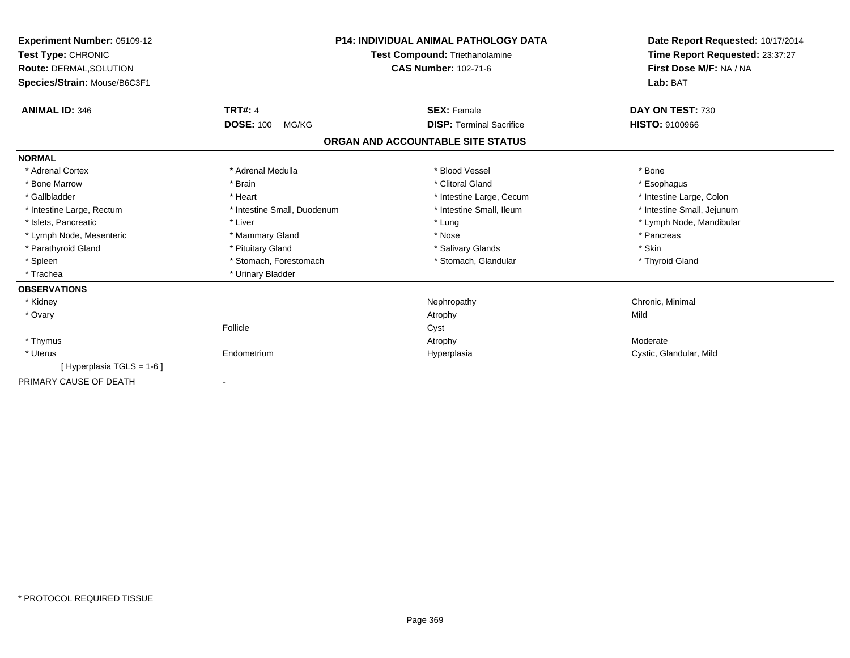| Experiment Number: 05109-12<br>Test Type: CHRONIC<br>Route: DERMAL, SOLUTION<br>Species/Strain: Mouse/B6C3F1 |                             | <b>P14: INDIVIDUAL ANIMAL PATHOLOGY DATA</b><br><b>Test Compound: Triethanolamine</b><br><b>CAS Number: 102-71-6</b> | Date Report Requested: 10/17/2014<br>Time Report Requested: 23:37:27<br>First Dose M/F: NA / NA<br>Lab: BAT |
|--------------------------------------------------------------------------------------------------------------|-----------------------------|----------------------------------------------------------------------------------------------------------------------|-------------------------------------------------------------------------------------------------------------|
| <b>ANIMAL ID: 346</b>                                                                                        | <b>TRT#: 4</b>              | <b>SEX: Female</b>                                                                                                   | DAY ON TEST: 730                                                                                            |
|                                                                                                              | <b>DOSE: 100</b><br>MG/KG   | <b>DISP: Terminal Sacrifice</b>                                                                                      | <b>HISTO: 9100966</b>                                                                                       |
|                                                                                                              |                             | ORGAN AND ACCOUNTABLE SITE STATUS                                                                                    |                                                                                                             |
| <b>NORMAL</b>                                                                                                |                             |                                                                                                                      |                                                                                                             |
| * Adrenal Cortex                                                                                             | * Adrenal Medulla           | * Blood Vessel                                                                                                       | * Bone                                                                                                      |
| * Bone Marrow                                                                                                | * Brain                     | * Clitoral Gland                                                                                                     | * Esophagus                                                                                                 |
| * Gallbladder                                                                                                | * Heart                     | * Intestine Large, Cecum                                                                                             | * Intestine Large, Colon                                                                                    |
| * Intestine Large, Rectum                                                                                    | * Intestine Small, Duodenum | * Intestine Small, Ileum                                                                                             | * Intestine Small, Jejunum                                                                                  |
| * Islets, Pancreatic                                                                                         | * Liver                     | * Lung                                                                                                               | * Lymph Node, Mandibular                                                                                    |
| * Lymph Node, Mesenteric                                                                                     | * Mammary Gland             | * Nose                                                                                                               | * Pancreas                                                                                                  |
| * Parathyroid Gland                                                                                          | * Pituitary Gland           | * Salivary Glands                                                                                                    | * Skin                                                                                                      |
| * Spleen                                                                                                     | * Stomach, Forestomach      | * Stomach, Glandular                                                                                                 | * Thyroid Gland                                                                                             |
| * Trachea                                                                                                    | * Urinary Bladder           |                                                                                                                      |                                                                                                             |
| <b>OBSERVATIONS</b>                                                                                          |                             |                                                                                                                      |                                                                                                             |
| * Kidney                                                                                                     |                             | Nephropathy                                                                                                          | Chronic, Minimal                                                                                            |
| * Ovary                                                                                                      |                             | Atrophy                                                                                                              | Mild                                                                                                        |
|                                                                                                              | Follicle                    | Cyst                                                                                                                 |                                                                                                             |
| * Thymus                                                                                                     |                             | Atrophy                                                                                                              | Moderate                                                                                                    |
| * Uterus                                                                                                     | Endometrium                 | Hyperplasia                                                                                                          | Cystic, Glandular, Mild                                                                                     |
| [Hyperplasia TGLS = 1-6 ]                                                                                    |                             |                                                                                                                      |                                                                                                             |
| PRIMARY CAUSE OF DEATH                                                                                       |                             |                                                                                                                      |                                                                                                             |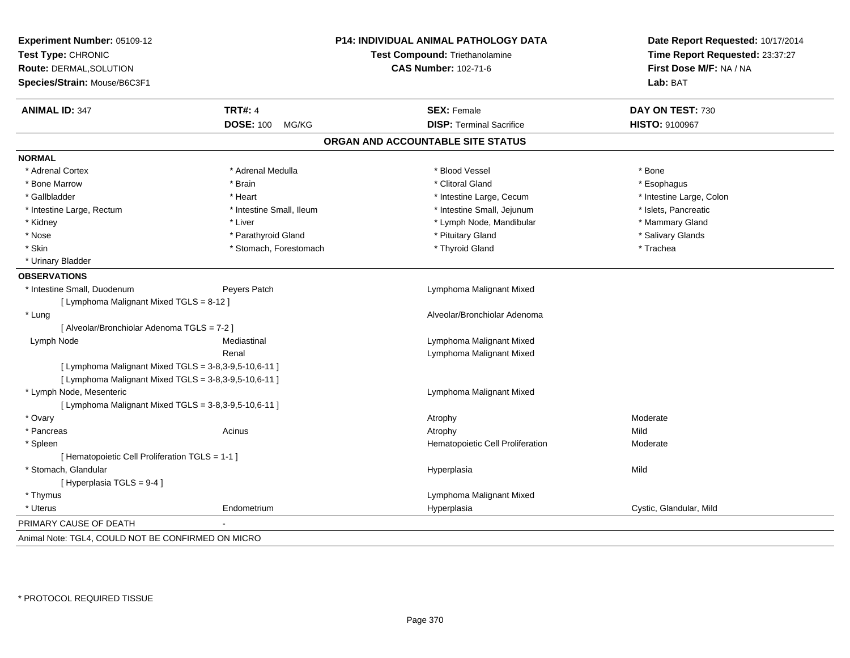| Experiment Number: 05109-12<br>Test Type: CHRONIC     |                           | <b>P14: INDIVIDUAL ANIMAL PATHOLOGY DATA</b><br>Test Compound: Triethanolamine | Date Report Requested: 10/17/2014<br>Time Report Requested: 23:37:27 |  |
|-------------------------------------------------------|---------------------------|--------------------------------------------------------------------------------|----------------------------------------------------------------------|--|
| Route: DERMAL, SOLUTION                               |                           | <b>CAS Number: 102-71-6</b>                                                    | First Dose M/F: NA / NA                                              |  |
| Species/Strain: Mouse/B6C3F1                          |                           |                                                                                | Lab: BAT                                                             |  |
| <b>ANIMAL ID: 347</b>                                 | <b>TRT#: 4</b>            | <b>SEX: Female</b>                                                             | DAY ON TEST: 730                                                     |  |
|                                                       | <b>DOSE: 100</b><br>MG/KG | <b>DISP: Terminal Sacrifice</b>                                                | HISTO: 9100967                                                       |  |
|                                                       |                           | ORGAN AND ACCOUNTABLE SITE STATUS                                              |                                                                      |  |
| <b>NORMAL</b>                                         |                           |                                                                                |                                                                      |  |
| * Adrenal Cortex                                      | * Adrenal Medulla         | * Blood Vessel                                                                 | * Bone                                                               |  |
| * Bone Marrow                                         | * Brain                   | * Clitoral Gland                                                               | * Esophagus                                                          |  |
| * Gallbladder                                         | * Heart                   | * Intestine Large, Cecum                                                       | * Intestine Large, Colon                                             |  |
| * Intestine Large, Rectum                             | * Intestine Small, Ileum  | * Intestine Small, Jejunum                                                     | * Islets, Pancreatic                                                 |  |
| * Kidney                                              | * Liver                   | * Lymph Node, Mandibular                                                       | * Mammary Gland                                                      |  |
| * Nose                                                | * Parathyroid Gland       | * Pituitary Gland                                                              | * Salivary Glands                                                    |  |
| * Skin                                                | * Stomach, Forestomach    | * Thyroid Gland                                                                | * Trachea                                                            |  |
| * Urinary Bladder                                     |                           |                                                                                |                                                                      |  |
| <b>OBSERVATIONS</b>                                   |                           |                                                                                |                                                                      |  |
| * Intestine Small, Duodenum                           | Peyers Patch              | Lymphoma Malignant Mixed                                                       |                                                                      |  |
| [ Lymphoma Malignant Mixed TGLS = 8-12 ]              |                           |                                                                                |                                                                      |  |
| * Lung                                                |                           | Alveolar/Bronchiolar Adenoma                                                   |                                                                      |  |
| [ Alveolar/Bronchiolar Adenoma TGLS = 7-2 ]           |                           |                                                                                |                                                                      |  |
| Lymph Node                                            | Mediastinal               | Lymphoma Malignant Mixed                                                       |                                                                      |  |
|                                                       | Renal                     | Lymphoma Malignant Mixed                                                       |                                                                      |  |
| [ Lymphoma Malignant Mixed TGLS = 3-8,3-9,5-10,6-11 ] |                           |                                                                                |                                                                      |  |
| [ Lymphoma Malignant Mixed TGLS = 3-8,3-9,5-10,6-11 ] |                           |                                                                                |                                                                      |  |
| * Lymph Node, Mesenteric                              |                           | Lymphoma Malignant Mixed                                                       |                                                                      |  |
| [ Lymphoma Malignant Mixed TGLS = 3-8,3-9,5-10,6-11 ] |                           |                                                                                |                                                                      |  |
| * Ovary                                               |                           | Atrophy                                                                        | Moderate                                                             |  |
| * Pancreas                                            | Acinus                    | Atrophy                                                                        | Mild                                                                 |  |
| * Spleen                                              |                           | Hematopoietic Cell Proliferation                                               | Moderate                                                             |  |
| [ Hematopoietic Cell Proliferation TGLS = 1-1 ]       |                           |                                                                                |                                                                      |  |
| * Stomach, Glandular                                  |                           | Hyperplasia                                                                    | Mild                                                                 |  |
| [Hyperplasia TGLS = $9-4$ ]                           |                           |                                                                                |                                                                      |  |
| * Thymus                                              |                           | Lymphoma Malignant Mixed                                                       |                                                                      |  |
| * Uterus                                              | Endometrium               | Hyperplasia                                                                    | Cystic, Glandular, Mild                                              |  |
| PRIMARY CAUSE OF DEATH                                |                           |                                                                                |                                                                      |  |
| Animal Note: TGL4, COULD NOT BE CONFIRMED ON MICRO    |                           |                                                                                |                                                                      |  |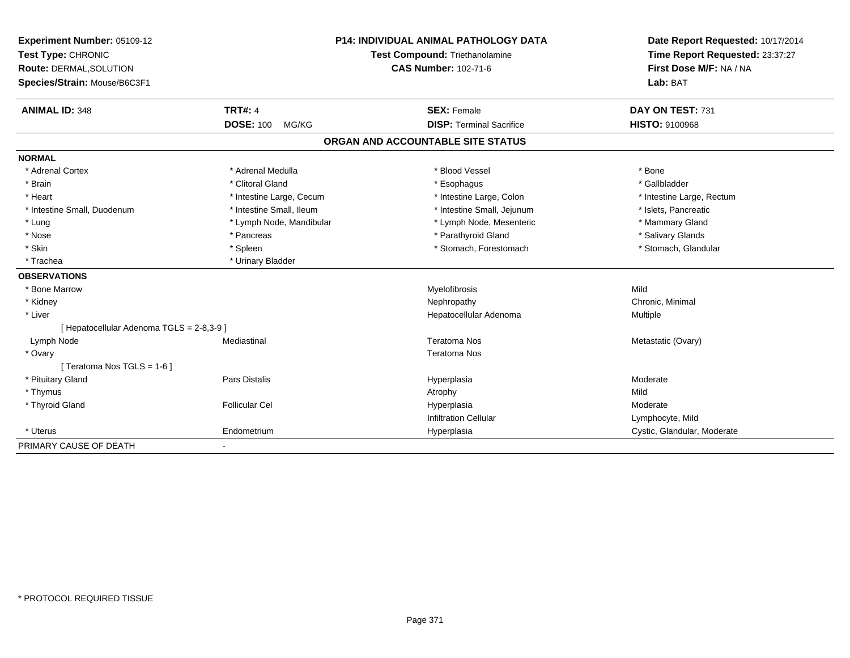| Experiment Number: 05109-12<br>Test Type: CHRONIC<br>Route: DERMAL, SOLUTION |                           | <b>P14: INDIVIDUAL ANIMAL PATHOLOGY DATA</b><br>Test Compound: Triethanolamine<br><b>CAS Number: 102-71-6</b> | Date Report Requested: 10/17/2014<br>Time Report Requested: 23:37:27<br>First Dose M/F: NA / NA |
|------------------------------------------------------------------------------|---------------------------|---------------------------------------------------------------------------------------------------------------|-------------------------------------------------------------------------------------------------|
| Species/Strain: Mouse/B6C3F1                                                 |                           |                                                                                                               | Lab: BAT                                                                                        |
| <b>ANIMAL ID: 348</b>                                                        | <b>TRT#: 4</b>            | <b>SEX: Female</b>                                                                                            | DAY ON TEST: 731                                                                                |
|                                                                              | <b>DOSE: 100</b><br>MG/KG | <b>DISP: Terminal Sacrifice</b>                                                                               | <b>HISTO: 9100968</b>                                                                           |
|                                                                              |                           | ORGAN AND ACCOUNTABLE SITE STATUS                                                                             |                                                                                                 |
| <b>NORMAL</b>                                                                |                           |                                                                                                               |                                                                                                 |
| * Adrenal Cortex                                                             | * Adrenal Medulla         | * Blood Vessel                                                                                                | * Bone                                                                                          |
| * Brain                                                                      | * Clitoral Gland          | * Esophagus                                                                                                   | * Gallbladder                                                                                   |
| * Heart                                                                      | * Intestine Large, Cecum  | * Intestine Large, Colon                                                                                      | * Intestine Large, Rectum                                                                       |
| * Intestine Small, Duodenum                                                  | * Intestine Small. Ileum  | * Intestine Small, Jejunum                                                                                    | * Islets, Pancreatic                                                                            |
| * Lung                                                                       | * Lymph Node, Mandibular  | * Lymph Node, Mesenteric                                                                                      | * Mammary Gland                                                                                 |
| * Nose                                                                       | * Pancreas                | * Parathyroid Gland                                                                                           | * Salivary Glands                                                                               |
| * Skin                                                                       | * Spleen                  | * Stomach, Forestomach                                                                                        | * Stomach, Glandular                                                                            |
| * Trachea                                                                    | * Urinary Bladder         |                                                                                                               |                                                                                                 |
| <b>OBSERVATIONS</b>                                                          |                           |                                                                                                               |                                                                                                 |
| * Bone Marrow                                                                |                           | Myelofibrosis                                                                                                 | Mild                                                                                            |
| * Kidney                                                                     |                           | Nephropathy                                                                                                   | Chronic, Minimal                                                                                |
| * Liver                                                                      |                           | Hepatocellular Adenoma                                                                                        | Multiple                                                                                        |
| [ Hepatocellular Adenoma TGLS = 2-8,3-9 ]                                    |                           |                                                                                                               |                                                                                                 |
| Lymph Node                                                                   | Mediastinal               | <b>Teratoma Nos</b>                                                                                           | Metastatic (Ovary)                                                                              |
| * Ovary                                                                      |                           | <b>Teratoma Nos</b>                                                                                           |                                                                                                 |
| [ Teratoma Nos TGLS = $1-6$ ]                                                |                           |                                                                                                               |                                                                                                 |
| * Pituitary Gland                                                            | Pars Distalis             | Hyperplasia                                                                                                   | Moderate                                                                                        |
| * Thymus                                                                     |                           | Atrophy                                                                                                       | Mild                                                                                            |
| * Thyroid Gland                                                              | <b>Follicular Cel</b>     | Hyperplasia                                                                                                   | Moderate                                                                                        |
|                                                                              |                           | <b>Infiltration Cellular</b>                                                                                  | Lymphocyte, Mild                                                                                |
| * Uterus                                                                     | Endometrium               | Hyperplasia                                                                                                   | Cystic, Glandular, Moderate                                                                     |
| PRIMARY CAUSE OF DEATH                                                       | $\blacksquare$            |                                                                                                               |                                                                                                 |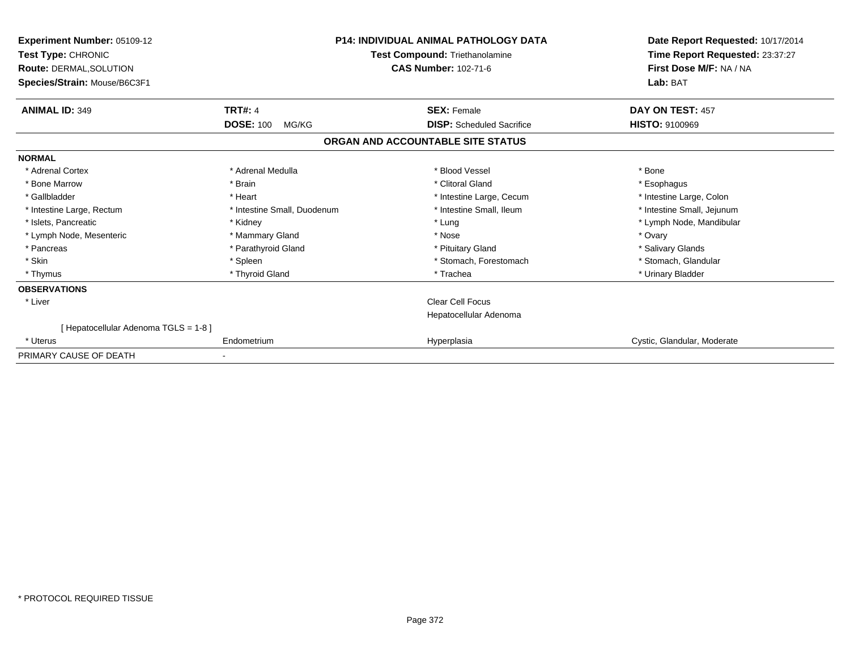| Experiment Number: 05109-12<br>Test Type: CHRONIC<br><b>Route: DERMAL, SOLUTION</b><br>Species/Strain: Mouse/B6C3F1 |                             | <b>P14: INDIVIDUAL ANIMAL PATHOLOGY DATA</b><br>Test Compound: Triethanolamine<br><b>CAS Number: 102-71-6</b> | Date Report Requested: 10/17/2014<br>Time Report Requested: 23:37:27<br>First Dose M/F: NA / NA<br>Lab: BAT |
|---------------------------------------------------------------------------------------------------------------------|-----------------------------|---------------------------------------------------------------------------------------------------------------|-------------------------------------------------------------------------------------------------------------|
| <b>ANIMAL ID: 349</b>                                                                                               | <b>TRT#: 4</b>              | <b>SEX: Female</b>                                                                                            | DAY ON TEST: 457                                                                                            |
|                                                                                                                     | <b>DOSE: 100</b><br>MG/KG   | <b>DISP:</b> Scheduled Sacrifice                                                                              | <b>HISTO: 9100969</b>                                                                                       |
|                                                                                                                     |                             | ORGAN AND ACCOUNTABLE SITE STATUS                                                                             |                                                                                                             |
| <b>NORMAL</b>                                                                                                       |                             |                                                                                                               |                                                                                                             |
| * Adrenal Cortex                                                                                                    | * Adrenal Medulla           | * Blood Vessel                                                                                                | * Bone                                                                                                      |
| * Bone Marrow                                                                                                       | * Brain                     | * Clitoral Gland                                                                                              | * Esophagus                                                                                                 |
| * Gallbladder                                                                                                       | * Heart                     | * Intestine Large, Cecum                                                                                      | * Intestine Large, Colon                                                                                    |
| * Intestine Large, Rectum                                                                                           | * Intestine Small, Duodenum | * Intestine Small, Ileum                                                                                      | * Intestine Small, Jejunum                                                                                  |
| * Islets, Pancreatic                                                                                                | * Kidney                    | * Lung                                                                                                        | * Lymph Node, Mandibular                                                                                    |
| * Lymph Node, Mesenteric                                                                                            | * Mammary Gland             | * Nose                                                                                                        | * Ovary                                                                                                     |
| * Pancreas                                                                                                          | * Parathyroid Gland         | * Pituitary Gland                                                                                             | * Salivary Glands                                                                                           |
| * Skin                                                                                                              | * Spleen                    | * Stomach, Forestomach                                                                                        | * Stomach, Glandular                                                                                        |
| * Thymus                                                                                                            | * Thyroid Gland             | * Trachea                                                                                                     | * Urinary Bladder                                                                                           |
| <b>OBSERVATIONS</b>                                                                                                 |                             |                                                                                                               |                                                                                                             |
| * Liver                                                                                                             |                             | <b>Clear Cell Focus</b>                                                                                       |                                                                                                             |
|                                                                                                                     |                             | Hepatocellular Adenoma                                                                                        |                                                                                                             |
| [Hepatocellular Adenoma TGLS = 1-8]                                                                                 |                             |                                                                                                               |                                                                                                             |
| * Uterus                                                                                                            | Endometrium                 | Hyperplasia                                                                                                   | Cystic, Glandular, Moderate                                                                                 |
| PRIMARY CAUSE OF DEATH                                                                                              |                             |                                                                                                               |                                                                                                             |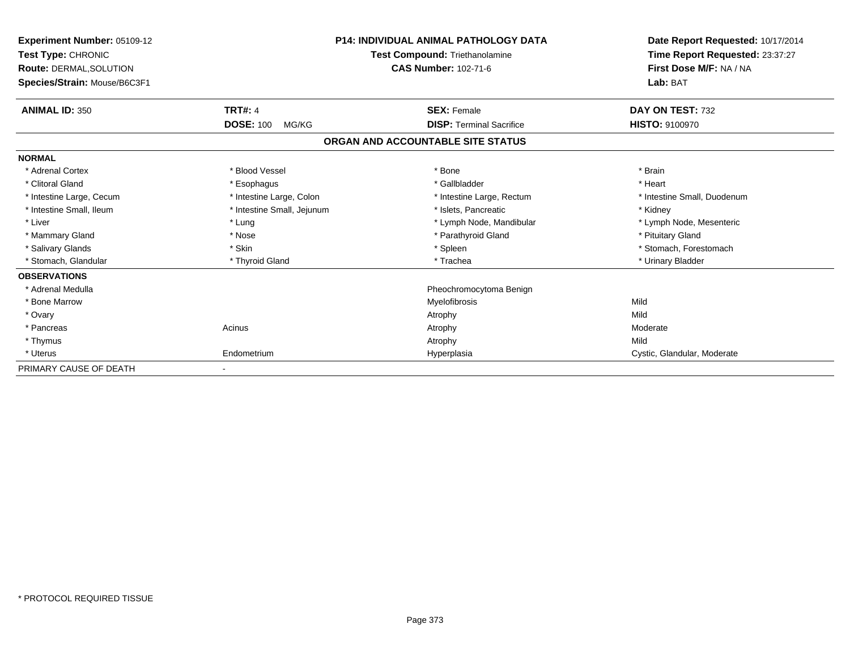| Experiment Number: 05109-12<br>Test Type: CHRONIC<br>Route: DERMAL, SOLUTION<br>Species/Strain: Mouse/B6C3F1 | <b>P14: INDIVIDUAL ANIMAL PATHOLOGY DATA</b><br>Test Compound: Triethanolamine<br><b>CAS Number: 102-71-6</b> |                                   | Date Report Requested: 10/17/2014<br>Time Report Requested: 23:37:27<br>First Dose M/F: NA / NA<br>Lab: BAT |
|--------------------------------------------------------------------------------------------------------------|---------------------------------------------------------------------------------------------------------------|-----------------------------------|-------------------------------------------------------------------------------------------------------------|
| <b>ANIMAL ID: 350</b>                                                                                        | <b>TRT#: 4</b>                                                                                                | <b>SEX: Female</b>                | DAY ON TEST: 732                                                                                            |
|                                                                                                              | <b>DOSE: 100</b><br>MG/KG                                                                                     | <b>DISP: Terminal Sacrifice</b>   | HISTO: 9100970                                                                                              |
|                                                                                                              |                                                                                                               | ORGAN AND ACCOUNTABLE SITE STATUS |                                                                                                             |
| <b>NORMAL</b>                                                                                                |                                                                                                               |                                   |                                                                                                             |
| * Adrenal Cortex                                                                                             | * Blood Vessel                                                                                                | * Bone                            | * Brain                                                                                                     |
| * Clitoral Gland                                                                                             | * Esophagus                                                                                                   | * Gallbladder                     | * Heart                                                                                                     |
| * Intestine Large, Cecum                                                                                     | * Intestine Large, Colon                                                                                      | * Intestine Large, Rectum         | * Intestine Small, Duodenum                                                                                 |
| * Intestine Small, Ileum                                                                                     | * Intestine Small, Jejunum                                                                                    | * Islets, Pancreatic              | * Kidney                                                                                                    |
| * Liver                                                                                                      | * Lung                                                                                                        | * Lymph Node, Mandibular          | * Lymph Node, Mesenteric                                                                                    |
| * Mammary Gland                                                                                              | * Nose                                                                                                        | * Parathyroid Gland               | * Pituitary Gland                                                                                           |
| * Salivary Glands                                                                                            | * Skin                                                                                                        | * Spleen                          | * Stomach, Forestomach                                                                                      |
| * Stomach, Glandular                                                                                         | * Thyroid Gland                                                                                               | * Trachea                         | * Urinary Bladder                                                                                           |
| <b>OBSERVATIONS</b>                                                                                          |                                                                                                               |                                   |                                                                                                             |
| * Adrenal Medulla                                                                                            |                                                                                                               | Pheochromocytoma Benign           |                                                                                                             |
| * Bone Marrow                                                                                                |                                                                                                               | Myelofibrosis                     | Mild                                                                                                        |
| * Ovary                                                                                                      |                                                                                                               | Atrophy                           | Mild                                                                                                        |
| * Pancreas                                                                                                   | Acinus                                                                                                        | Atrophy                           | Moderate                                                                                                    |
| * Thymus                                                                                                     |                                                                                                               | Atrophy                           | Mild                                                                                                        |
| * Uterus                                                                                                     | Endometrium                                                                                                   | Hyperplasia                       | Cystic, Glandular, Moderate                                                                                 |
| PRIMARY CAUSE OF DEATH                                                                                       |                                                                                                               |                                   |                                                                                                             |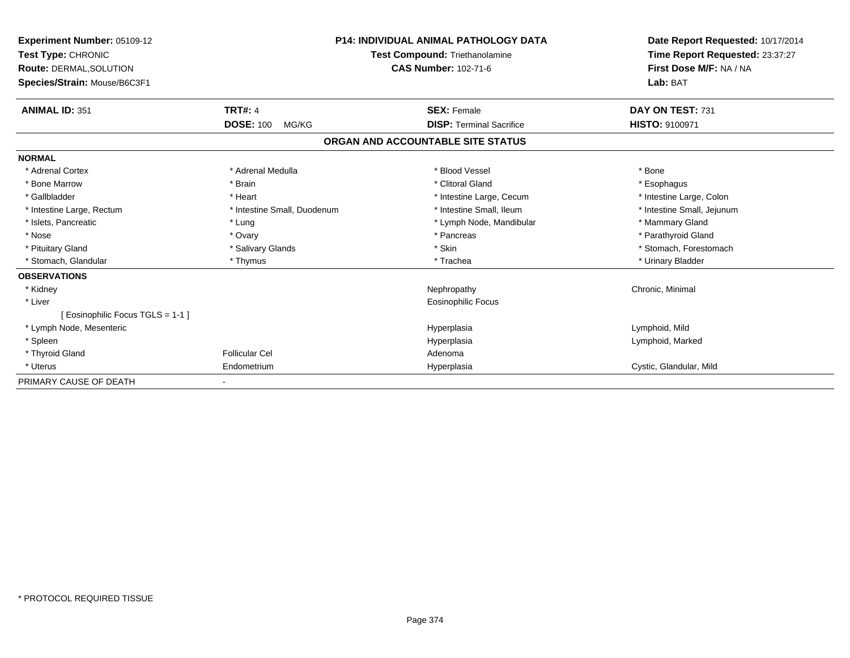| Experiment Number: 05109-12<br>Test Type: CHRONIC<br><b>Route: DERMAL, SOLUTION</b><br>Species/Strain: Mouse/B6C3F1 |                             | <b>P14: INDIVIDUAL ANIMAL PATHOLOGY DATA</b><br>Test Compound: Triethanolamine<br><b>CAS Number: 102-71-6</b> | Date Report Requested: 10/17/2014<br>Time Report Requested: 23:37:27<br>First Dose M/F: NA / NA<br>Lab: BAT |
|---------------------------------------------------------------------------------------------------------------------|-----------------------------|---------------------------------------------------------------------------------------------------------------|-------------------------------------------------------------------------------------------------------------|
| <b>ANIMAL ID: 351</b>                                                                                               | <b>TRT#: 4</b>              | <b>SEX: Female</b>                                                                                            | DAY ON TEST: 731                                                                                            |
|                                                                                                                     | <b>DOSE: 100</b><br>MG/KG   | <b>DISP: Terminal Sacrifice</b>                                                                               | HISTO: 9100971                                                                                              |
|                                                                                                                     |                             | ORGAN AND ACCOUNTABLE SITE STATUS                                                                             |                                                                                                             |
| <b>NORMAL</b>                                                                                                       |                             |                                                                                                               |                                                                                                             |
| * Adrenal Cortex                                                                                                    | * Adrenal Medulla           | * Blood Vessel                                                                                                | * Bone                                                                                                      |
| * Bone Marrow                                                                                                       | * Brain                     | * Clitoral Gland                                                                                              | * Esophagus                                                                                                 |
| * Gallbladder                                                                                                       | * Heart                     | * Intestine Large, Cecum                                                                                      | * Intestine Large, Colon                                                                                    |
| * Intestine Large, Rectum                                                                                           | * Intestine Small, Duodenum | * Intestine Small, Ileum                                                                                      | * Intestine Small, Jejunum                                                                                  |
| * Islets, Pancreatic                                                                                                | * Lung                      | * Lymph Node, Mandibular                                                                                      | * Mammary Gland                                                                                             |
| * Nose                                                                                                              | * Ovary                     | * Pancreas                                                                                                    | * Parathyroid Gland                                                                                         |
| * Pituitary Gland                                                                                                   | * Salivary Glands           | * Skin                                                                                                        | * Stomach, Forestomach                                                                                      |
| * Stomach, Glandular                                                                                                | * Thymus                    | * Trachea                                                                                                     | * Urinary Bladder                                                                                           |
| <b>OBSERVATIONS</b>                                                                                                 |                             |                                                                                                               |                                                                                                             |
| * Kidney                                                                                                            |                             | Nephropathy                                                                                                   | Chronic, Minimal                                                                                            |
| * Liver                                                                                                             |                             | <b>Eosinophilic Focus</b>                                                                                     |                                                                                                             |
| [ Eosinophilic Focus TGLS = 1-1 ]                                                                                   |                             |                                                                                                               |                                                                                                             |
| * Lymph Node, Mesenteric                                                                                            |                             | Hyperplasia                                                                                                   | Lymphoid, Mild                                                                                              |
| * Spleen                                                                                                            |                             | Hyperplasia                                                                                                   | Lymphoid, Marked                                                                                            |
| * Thyroid Gland                                                                                                     | <b>Follicular Cel</b>       | Adenoma                                                                                                       |                                                                                                             |
| * Uterus                                                                                                            | Endometrium                 | Hyperplasia                                                                                                   | Cystic, Glandular, Mild                                                                                     |
| PRIMARY CAUSE OF DEATH                                                                                              |                             |                                                                                                               |                                                                                                             |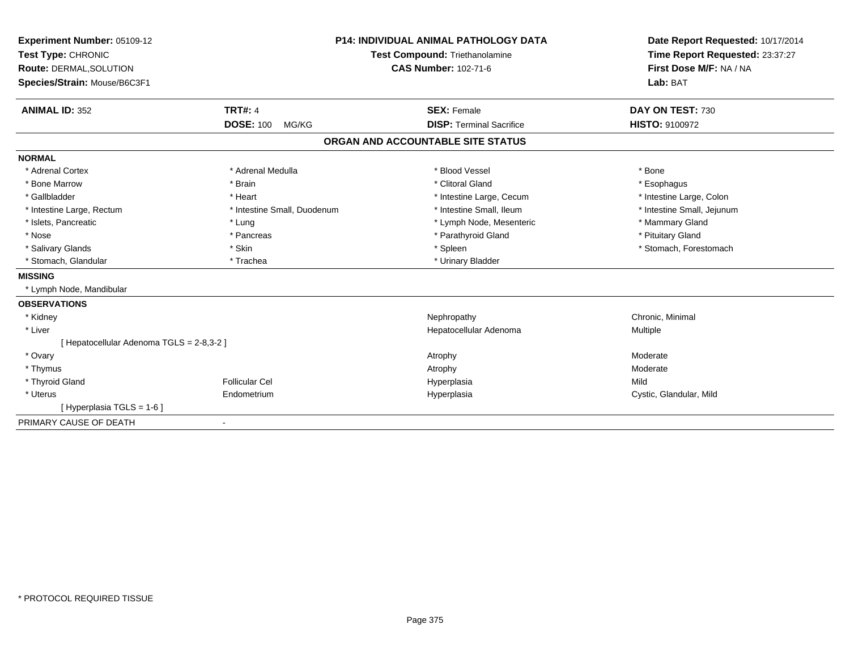| Experiment Number: 05109-12<br>Test Type: CHRONIC<br>Route: DERMAL, SOLUTION |                             | <b>P14: INDIVIDUAL ANIMAL PATHOLOGY DATA</b> | Date Report Requested: 10/17/2014<br>Time Report Requested: 23:37:27<br>First Dose M/F: NA / NA |
|------------------------------------------------------------------------------|-----------------------------|----------------------------------------------|-------------------------------------------------------------------------------------------------|
|                                                                              |                             | <b>Test Compound: Triethanolamine</b>        |                                                                                                 |
|                                                                              |                             | <b>CAS Number: 102-71-6</b>                  |                                                                                                 |
| Species/Strain: Mouse/B6C3F1                                                 |                             |                                              | Lab: BAT                                                                                        |
| <b>ANIMAL ID: 352</b>                                                        | <b>TRT#: 4</b>              | <b>SEX: Female</b>                           | DAY ON TEST: 730                                                                                |
|                                                                              | <b>DOSE: 100</b><br>MG/KG   | <b>DISP: Terminal Sacrifice</b>              | <b>HISTO: 9100972</b>                                                                           |
|                                                                              |                             | ORGAN AND ACCOUNTABLE SITE STATUS            |                                                                                                 |
| <b>NORMAL</b>                                                                |                             |                                              |                                                                                                 |
| * Adrenal Cortex                                                             | * Adrenal Medulla           | * Blood Vessel                               | * Bone                                                                                          |
| * Bone Marrow                                                                | * Brain                     | * Clitoral Gland                             | * Esophagus                                                                                     |
| * Gallbladder                                                                | * Heart                     | * Intestine Large, Cecum                     | * Intestine Large, Colon                                                                        |
| * Intestine Large, Rectum                                                    | * Intestine Small, Duodenum | * Intestine Small, Ileum                     | * Intestine Small, Jejunum                                                                      |
| * Islets, Pancreatic                                                         | * Lung                      | * Lymph Node, Mesenteric                     | * Mammary Gland                                                                                 |
| * Nose                                                                       | * Pancreas                  | * Parathyroid Gland                          | * Pituitary Gland                                                                               |
| * Salivary Glands                                                            | * Skin                      | * Spleen                                     | * Stomach, Forestomach                                                                          |
| * Stomach, Glandular                                                         | * Trachea                   | * Urinary Bladder                            |                                                                                                 |
| <b>MISSING</b>                                                               |                             |                                              |                                                                                                 |
| * Lymph Node, Mandibular                                                     |                             |                                              |                                                                                                 |
| <b>OBSERVATIONS</b>                                                          |                             |                                              |                                                                                                 |
| * Kidney                                                                     |                             | Nephropathy                                  | Chronic, Minimal                                                                                |
| * Liver                                                                      |                             | Hepatocellular Adenoma                       | Multiple                                                                                        |
| [ Hepatocellular Adenoma TGLS = 2-8,3-2 ]                                    |                             |                                              |                                                                                                 |
| * Ovary                                                                      |                             | Atrophy                                      | Moderate                                                                                        |
| * Thymus                                                                     |                             | Atrophy                                      | Moderate                                                                                        |
| * Thyroid Gland                                                              | <b>Follicular Cel</b>       | Hyperplasia                                  | Mild                                                                                            |
| * Uterus                                                                     | Endometrium                 | Hyperplasia                                  | Cystic, Glandular, Mild                                                                         |
| [Hyperplasia TGLS = 1-6]                                                     |                             |                                              |                                                                                                 |
| PRIMARY CAUSE OF DEATH                                                       | $\overline{\phantom{a}}$    |                                              |                                                                                                 |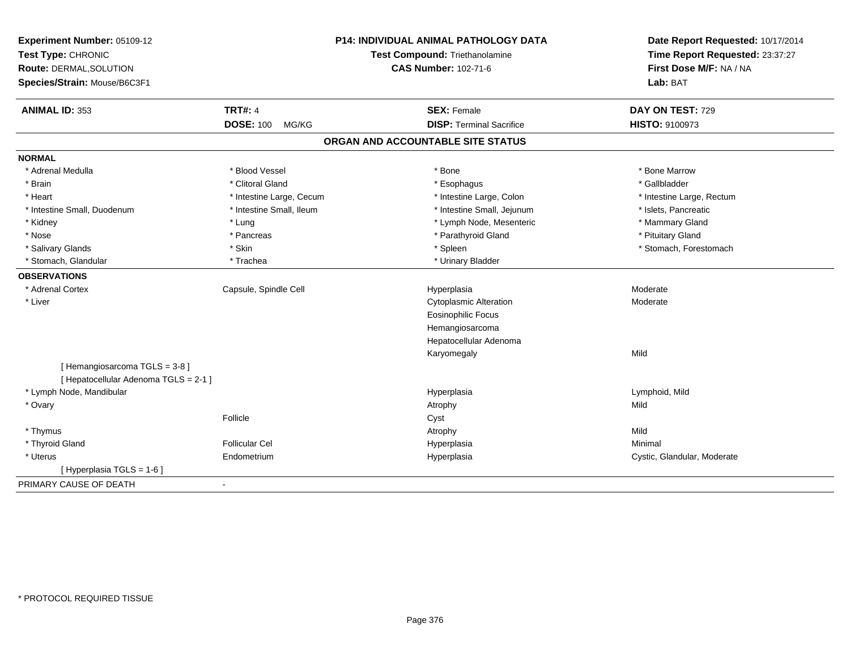| Experiment Number: 05109-12<br>Test Type: CHRONIC<br>Route: DERMAL, SOLUTION<br>Species/Strain: Mouse/B6C3F1 |                           | <b>P14: INDIVIDUAL ANIMAL PATHOLOGY DATA</b><br>Test Compound: Triethanolamine<br><b>CAS Number: 102-71-6</b> | Date Report Requested: 10/17/2014<br>Time Report Requested: 23:37:27<br>First Dose M/F: NA / NA<br>Lab: BAT |  |
|--------------------------------------------------------------------------------------------------------------|---------------------------|---------------------------------------------------------------------------------------------------------------|-------------------------------------------------------------------------------------------------------------|--|
| <b>ANIMAL ID: 353</b>                                                                                        | <b>TRT#: 4</b>            | <b>SEX: Female</b>                                                                                            | DAY ON TEST: 729                                                                                            |  |
|                                                                                                              | <b>DOSE: 100</b><br>MG/KG | <b>DISP: Terminal Sacrifice</b>                                                                               | HISTO: 9100973                                                                                              |  |
|                                                                                                              |                           | ORGAN AND ACCOUNTABLE SITE STATUS                                                                             |                                                                                                             |  |
| <b>NORMAL</b>                                                                                                |                           |                                                                                                               |                                                                                                             |  |
| * Adrenal Medulla                                                                                            | * Blood Vessel            | * Bone                                                                                                        | * Bone Marrow                                                                                               |  |
| * Brain                                                                                                      | * Clitoral Gland          | * Esophagus                                                                                                   | * Gallbladder                                                                                               |  |
| * Heart                                                                                                      | * Intestine Large, Cecum  | * Intestine Large, Colon                                                                                      | * Intestine Large, Rectum                                                                                   |  |
| * Intestine Small, Duodenum                                                                                  | * Intestine Small, Ileum  | * Intestine Small, Jejunum                                                                                    | * Islets, Pancreatic                                                                                        |  |
| * Kidney                                                                                                     | * Lung                    | * Lymph Node, Mesenteric                                                                                      | * Mammary Gland                                                                                             |  |
| * Nose                                                                                                       | * Pancreas                | * Parathyroid Gland                                                                                           | * Pituitary Gland                                                                                           |  |
| * Salivary Glands                                                                                            | * Skin                    | * Spleen                                                                                                      | * Stomach, Forestomach                                                                                      |  |
| * Stomach, Glandular                                                                                         | * Trachea                 | * Urinary Bladder                                                                                             |                                                                                                             |  |
| <b>OBSERVATIONS</b>                                                                                          |                           |                                                                                                               |                                                                                                             |  |
| * Adrenal Cortex                                                                                             | Capsule, Spindle Cell     | Hyperplasia                                                                                                   | Moderate                                                                                                    |  |
| * Liver                                                                                                      |                           | <b>Cytoplasmic Alteration</b>                                                                                 | Moderate                                                                                                    |  |
|                                                                                                              |                           | <b>Eosinophilic Focus</b>                                                                                     |                                                                                                             |  |
|                                                                                                              |                           | Hemangiosarcoma                                                                                               |                                                                                                             |  |
|                                                                                                              |                           | Hepatocellular Adenoma                                                                                        |                                                                                                             |  |
|                                                                                                              |                           | Karyomegaly                                                                                                   | Mild                                                                                                        |  |
| [Hemangiosarcoma TGLS = 3-8]                                                                                 |                           |                                                                                                               |                                                                                                             |  |
| [ Hepatocellular Adenoma TGLS = 2-1 ]                                                                        |                           |                                                                                                               |                                                                                                             |  |
| * Lymph Node, Mandibular                                                                                     |                           | Hyperplasia                                                                                                   | Lymphoid, Mild                                                                                              |  |
| * Ovary                                                                                                      |                           | Atrophy                                                                                                       | Mild                                                                                                        |  |
|                                                                                                              | Follicle                  | Cyst                                                                                                          |                                                                                                             |  |
| * Thymus                                                                                                     |                           | Atrophy                                                                                                       | Mild                                                                                                        |  |
| * Thyroid Gland                                                                                              | <b>Follicular Cel</b>     | Hyperplasia                                                                                                   | Minimal                                                                                                     |  |
| * Uterus                                                                                                     | Endometrium               | Hyperplasia                                                                                                   | Cystic, Glandular, Moderate                                                                                 |  |
| [Hyperplasia TGLS = $1-6$ ]                                                                                  |                           |                                                                                                               |                                                                                                             |  |
| PRIMARY CAUSE OF DEATH                                                                                       | $\blacksquare$            |                                                                                                               |                                                                                                             |  |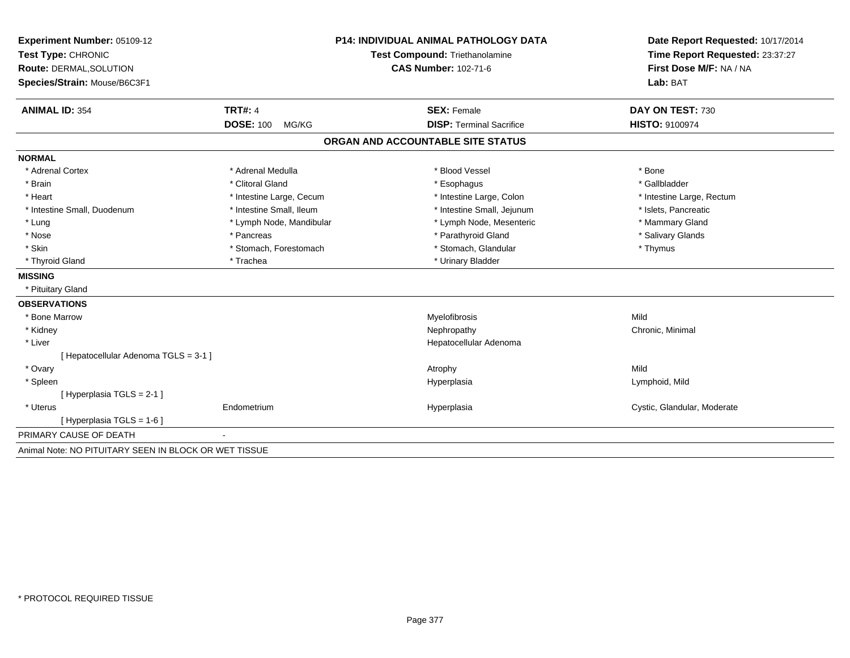| <b>Experiment Number: 05109-12</b>                    | <b>P14: INDIVIDUAL ANIMAL PATHOLOGY DATA</b><br>Test Compound: Triethanolamine |                                   | Date Report Requested: 10/17/2014 |  |
|-------------------------------------------------------|--------------------------------------------------------------------------------|-----------------------------------|-----------------------------------|--|
| Test Type: CHRONIC                                    |                                                                                |                                   | Time Report Requested: 23:37:27   |  |
| <b>Route: DERMAL, SOLUTION</b>                        |                                                                                | <b>CAS Number: 102-71-6</b>       | First Dose M/F: NA / NA           |  |
| Species/Strain: Mouse/B6C3F1                          |                                                                                |                                   | Lab: BAT                          |  |
| <b>ANIMAL ID: 354</b>                                 | <b>TRT#: 4</b>                                                                 | <b>SEX: Female</b>                | DAY ON TEST: 730                  |  |
|                                                       | <b>DOSE: 100</b><br>MG/KG                                                      | <b>DISP: Terminal Sacrifice</b>   | <b>HISTO: 9100974</b>             |  |
|                                                       |                                                                                | ORGAN AND ACCOUNTABLE SITE STATUS |                                   |  |
| <b>NORMAL</b>                                         |                                                                                |                                   |                                   |  |
| * Adrenal Cortex                                      | * Adrenal Medulla                                                              | * Blood Vessel                    | * Bone                            |  |
| * Brain                                               | * Clitoral Gland                                                               | * Esophagus                       | * Gallbladder                     |  |
| * Heart                                               | * Intestine Large, Cecum                                                       | * Intestine Large, Colon          | * Intestine Large, Rectum         |  |
| * Intestine Small, Duodenum                           | * Intestine Small, Ileum                                                       | * Intestine Small, Jejunum        | * Islets, Pancreatic              |  |
| * Lung                                                | * Lymph Node, Mandibular                                                       | * Lymph Node, Mesenteric          | * Mammary Gland                   |  |
| * Nose                                                | * Pancreas                                                                     | * Parathyroid Gland               | * Salivary Glands                 |  |
| * Skin                                                | * Stomach, Forestomach                                                         | * Stomach, Glandular              | * Thymus                          |  |
| * Thyroid Gland                                       | * Trachea                                                                      | * Urinary Bladder                 |                                   |  |
| <b>MISSING</b>                                        |                                                                                |                                   |                                   |  |
| * Pituitary Gland                                     |                                                                                |                                   |                                   |  |
| <b>OBSERVATIONS</b>                                   |                                                                                |                                   |                                   |  |
| * Bone Marrow                                         |                                                                                | Myelofibrosis                     | Mild                              |  |
| * Kidney                                              |                                                                                | Nephropathy                       | Chronic, Minimal                  |  |
| * Liver                                               |                                                                                | Hepatocellular Adenoma            |                                   |  |
| [Hepatocellular Adenoma TGLS = 3-1]                   |                                                                                |                                   |                                   |  |
| * Ovary                                               |                                                                                | Atrophy                           | Mild                              |  |
| * Spleen                                              |                                                                                | Hyperplasia                       | Lymphoid, Mild                    |  |
| [Hyperplasia TGLS = 2-1]                              |                                                                                |                                   |                                   |  |
| * Uterus                                              | Endometrium                                                                    | Hyperplasia                       | Cystic, Glandular, Moderate       |  |
| [ Hyperplasia TGLS = 1-6 ]                            |                                                                                |                                   |                                   |  |
| PRIMARY CAUSE OF DEATH                                |                                                                                |                                   |                                   |  |
| Animal Note: NO PITUITARY SEEN IN BLOCK OR WET TISSUE |                                                                                |                                   |                                   |  |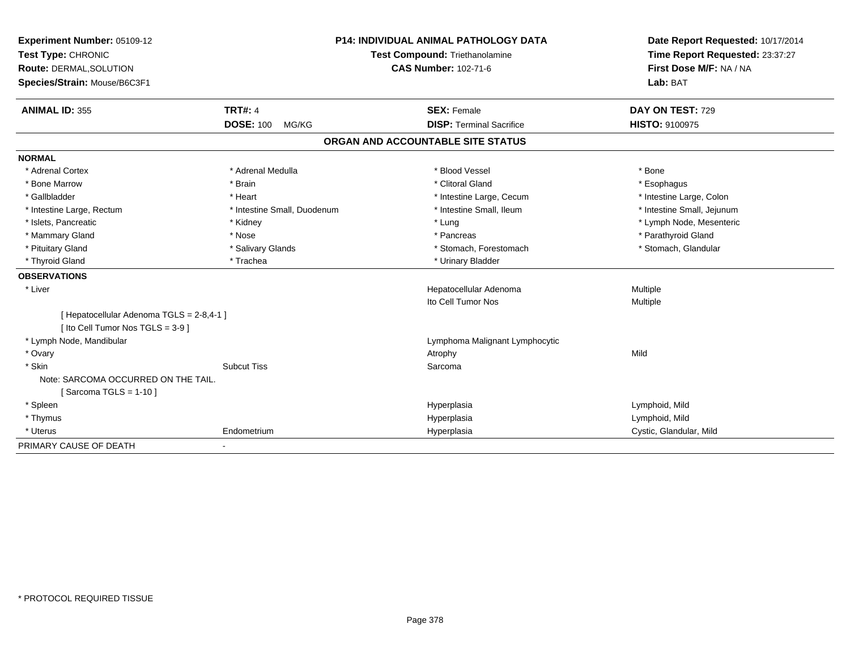| Experiment Number: 05109-12                                                    | <b>P14: INDIVIDUAL ANIMAL PATHOLOGY DATA</b><br>Test Compound: Triethanolamine |                                   | Date Report Requested: 10/17/2014<br>Time Report Requested: 23:37:27 |
|--------------------------------------------------------------------------------|--------------------------------------------------------------------------------|-----------------------------------|----------------------------------------------------------------------|
| Test Type: CHRONIC                                                             |                                                                                |                                   |                                                                      |
| Route: DERMAL, SOLUTION                                                        |                                                                                | <b>CAS Number: 102-71-6</b>       | First Dose M/F: NA / NA                                              |
| Species/Strain: Mouse/B6C3F1                                                   |                                                                                |                                   | Lab: BAT                                                             |
| <b>ANIMAL ID: 355</b>                                                          | <b>TRT#: 4</b>                                                                 | <b>SEX: Female</b>                | DAY ON TEST: 729                                                     |
|                                                                                | <b>DOSE: 100</b><br>MG/KG                                                      | <b>DISP: Terminal Sacrifice</b>   | <b>HISTO: 9100975</b>                                                |
|                                                                                |                                                                                | ORGAN AND ACCOUNTABLE SITE STATUS |                                                                      |
| <b>NORMAL</b>                                                                  |                                                                                |                                   |                                                                      |
| * Adrenal Cortex                                                               | * Adrenal Medulla                                                              | * Blood Vessel                    | * Bone                                                               |
| * Bone Marrow                                                                  | * Brain                                                                        | * Clitoral Gland                  | * Esophagus                                                          |
| * Gallbladder                                                                  | * Heart                                                                        | * Intestine Large, Cecum          | * Intestine Large, Colon                                             |
| * Intestine Large, Rectum                                                      | * Intestine Small, Duodenum                                                    | * Intestine Small, Ileum          | * Intestine Small, Jejunum                                           |
| * Islets, Pancreatic                                                           | * Kidney                                                                       | * Lung                            | * Lymph Node, Mesenteric                                             |
| * Mammary Gland                                                                | * Nose                                                                         | * Pancreas                        | * Parathyroid Gland                                                  |
| * Pituitary Gland                                                              | * Salivary Glands                                                              | * Stomach, Forestomach            | * Stomach, Glandular                                                 |
| * Thyroid Gland                                                                | * Trachea                                                                      | * Urinary Bladder                 |                                                                      |
| <b>OBSERVATIONS</b>                                                            |                                                                                |                                   |                                                                      |
| * Liver                                                                        |                                                                                | Hepatocellular Adenoma            | Multiple                                                             |
|                                                                                |                                                                                | Ito Cell Tumor Nos                | Multiple                                                             |
| [ Hepatocellular Adenoma TGLS = 2-8,4-1 ]<br>[ Ito Cell Tumor Nos TGLS = 3-9 ] |                                                                                |                                   |                                                                      |
| * Lymph Node, Mandibular                                                       |                                                                                | Lymphoma Malignant Lymphocytic    |                                                                      |
| * Ovary                                                                        |                                                                                | Atrophy                           | Mild                                                                 |
| * Skin                                                                         | <b>Subcut Tiss</b>                                                             | Sarcoma                           |                                                                      |
| Note: SARCOMA OCCURRED ON THE TAIL.                                            |                                                                                |                                   |                                                                      |
| [Sarcoma TGLS = 1-10]                                                          |                                                                                |                                   |                                                                      |
| * Spleen                                                                       |                                                                                | Hyperplasia                       | Lymphoid, Mild                                                       |
| * Thymus                                                                       |                                                                                | Hyperplasia                       | Lymphoid, Mild                                                       |
| * Uterus                                                                       | Endometrium                                                                    | Hyperplasia                       | Cystic, Glandular, Mild                                              |
| PRIMARY CAUSE OF DEATH                                                         |                                                                                |                                   |                                                                      |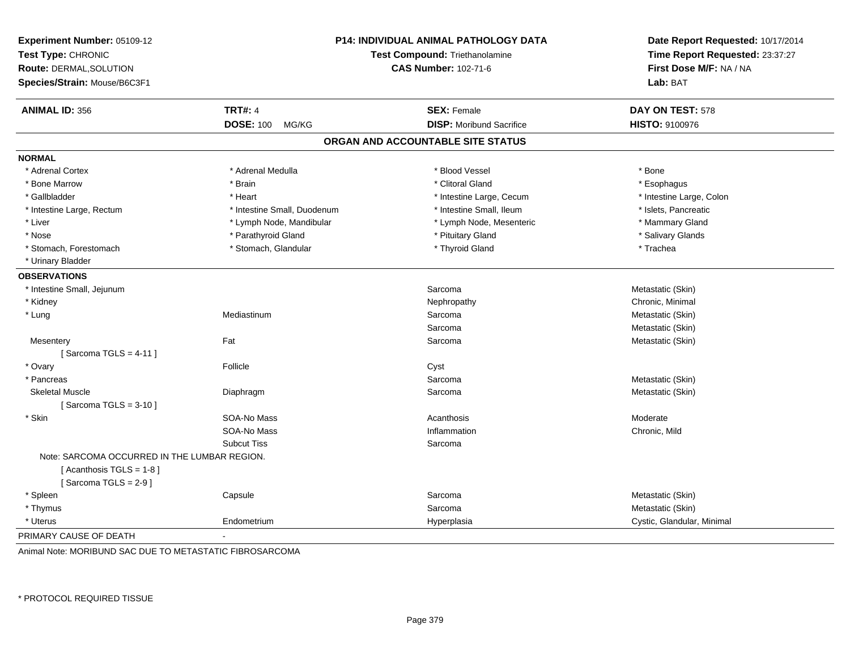| Experiment Number: 05109-12<br>Test Type: CHRONIC<br>Route: DERMAL, SOLUTION<br>Species/Strain: Mouse/B6C3F1 |                             | <b>P14: INDIVIDUAL ANIMAL PATHOLOGY DATA</b><br>Test Compound: Triethanolamine<br><b>CAS Number: 102-71-6</b> | Date Report Requested: 10/17/2014<br>Time Report Requested: 23:37:27<br>First Dose M/F: NA / NA<br>Lab: BAT |
|--------------------------------------------------------------------------------------------------------------|-----------------------------|---------------------------------------------------------------------------------------------------------------|-------------------------------------------------------------------------------------------------------------|
| <b>ANIMAL ID: 356</b>                                                                                        | <b>TRT#: 4</b>              | <b>SEX: Female</b>                                                                                            | DAY ON TEST: 578                                                                                            |
|                                                                                                              | <b>DOSE: 100</b><br>MG/KG   | <b>DISP: Moribund Sacrifice</b>                                                                               | HISTO: 9100976                                                                                              |
|                                                                                                              |                             | ORGAN AND ACCOUNTABLE SITE STATUS                                                                             |                                                                                                             |
| <b>NORMAL</b>                                                                                                |                             |                                                                                                               |                                                                                                             |
| * Adrenal Cortex                                                                                             | * Adrenal Medulla           | * Blood Vessel                                                                                                | * Bone                                                                                                      |
| * Bone Marrow                                                                                                | * Brain                     | * Clitoral Gland                                                                                              | * Esophagus                                                                                                 |
| * Gallbladder                                                                                                | * Heart                     | * Intestine Large, Cecum                                                                                      | * Intestine Large, Colon                                                                                    |
| * Intestine Large, Rectum                                                                                    | * Intestine Small, Duodenum | * Intestine Small, Ileum                                                                                      | * Islets, Pancreatic                                                                                        |
| * Liver                                                                                                      | * Lymph Node, Mandibular    | * Lymph Node, Mesenteric                                                                                      | * Mammary Gland                                                                                             |
| * Nose                                                                                                       | * Parathyroid Gland         | * Pituitary Gland                                                                                             | * Salivary Glands                                                                                           |
| * Stomach, Forestomach                                                                                       | * Stomach, Glandular        | * Thyroid Gland                                                                                               | * Trachea                                                                                                   |
| * Urinary Bladder                                                                                            |                             |                                                                                                               |                                                                                                             |
| <b>OBSERVATIONS</b>                                                                                          |                             |                                                                                                               |                                                                                                             |
| * Intestine Small, Jejunum                                                                                   |                             | Sarcoma                                                                                                       | Metastatic (Skin)                                                                                           |
| * Kidney                                                                                                     |                             | Nephropathy                                                                                                   | Chronic, Minimal                                                                                            |
| * Lung                                                                                                       | Mediastinum                 | Sarcoma                                                                                                       | Metastatic (Skin)                                                                                           |
|                                                                                                              |                             | Sarcoma                                                                                                       | Metastatic (Skin)                                                                                           |
| Mesentery                                                                                                    | Fat                         | Sarcoma                                                                                                       | Metastatic (Skin)                                                                                           |
| [Sarcoma TGLS = $4-11$ ]                                                                                     |                             |                                                                                                               |                                                                                                             |
| * Ovary                                                                                                      | Follicle                    | Cyst                                                                                                          |                                                                                                             |
| * Pancreas                                                                                                   |                             | Sarcoma                                                                                                       | Metastatic (Skin)                                                                                           |
| <b>Skeletal Muscle</b>                                                                                       | Diaphragm                   | Sarcoma                                                                                                       | Metastatic (Skin)                                                                                           |
| [Sarcoma TGLS = $3-10$ ]                                                                                     |                             |                                                                                                               |                                                                                                             |
| * Skin                                                                                                       | SOA-No Mass                 | Acanthosis                                                                                                    | Moderate                                                                                                    |
|                                                                                                              | SOA-No Mass                 | Inflammation                                                                                                  | Chronic, Mild                                                                                               |
|                                                                                                              | <b>Subcut Tiss</b>          | Sarcoma                                                                                                       |                                                                                                             |
| Note: SARCOMA OCCURRED IN THE LUMBAR REGION.                                                                 |                             |                                                                                                               |                                                                                                             |
| [Acanthosis TGLS = $1-8$ ]                                                                                   |                             |                                                                                                               |                                                                                                             |
| [Sarcoma TGLS = $2-9$ ]                                                                                      |                             |                                                                                                               |                                                                                                             |
| * Spleen                                                                                                     | Capsule                     | Sarcoma                                                                                                       | Metastatic (Skin)                                                                                           |
| * Thymus                                                                                                     |                             | Sarcoma                                                                                                       | Metastatic (Skin)                                                                                           |
| * Uterus                                                                                                     | Endometrium                 | Hyperplasia                                                                                                   | Cystic, Glandular, Minimal                                                                                  |
| PRIMARY CAUSE OF DEATH                                                                                       | $\blacksquare$              |                                                                                                               |                                                                                                             |

Animal Note: MORIBUND SAC DUE TO METASTATIC FIBROSARCOMA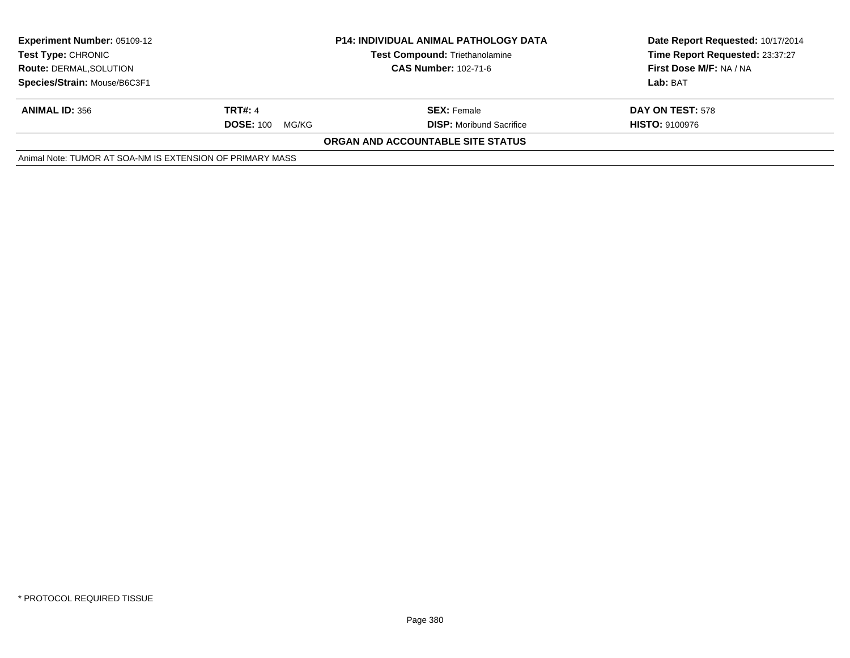| <b>Experiment Number: 05109-12</b><br><b>Test Type: CHRONIC</b><br><b>Route: DERMAL, SOLUTION</b><br>Species/Strain: Mouse/B6C3F1 | <b>P14: INDIVIDUAL ANIMAL PATHOLOGY DATA</b><br><b>Test Compound: Triethanolamine</b><br><b>CAS Number: 102-71-6</b> |                                                       | Date Report Requested: 10/17/2014<br>Time Report Requested: 23:37:27<br>First Dose M/F: NA / NA<br>Lab: BAT |
|-----------------------------------------------------------------------------------------------------------------------------------|----------------------------------------------------------------------------------------------------------------------|-------------------------------------------------------|-------------------------------------------------------------------------------------------------------------|
| <b>ANIMAL ID: 356</b>                                                                                                             | <b>TRT#: 4</b><br><b>DOSE: 100</b><br>MG/KG                                                                          | <b>SEX:</b> Female<br><b>DISP:</b> Moribund Sacrifice | DAY ON TEST: 578<br><b>HISTO: 9100976</b>                                                                   |
| Animal Note: TUMOR AT SOA-NM IS EXTENSION OF PRIMARY MASS                                                                         |                                                                                                                      | ORGAN AND ACCOUNTABLE SITE STATUS                     |                                                                                                             |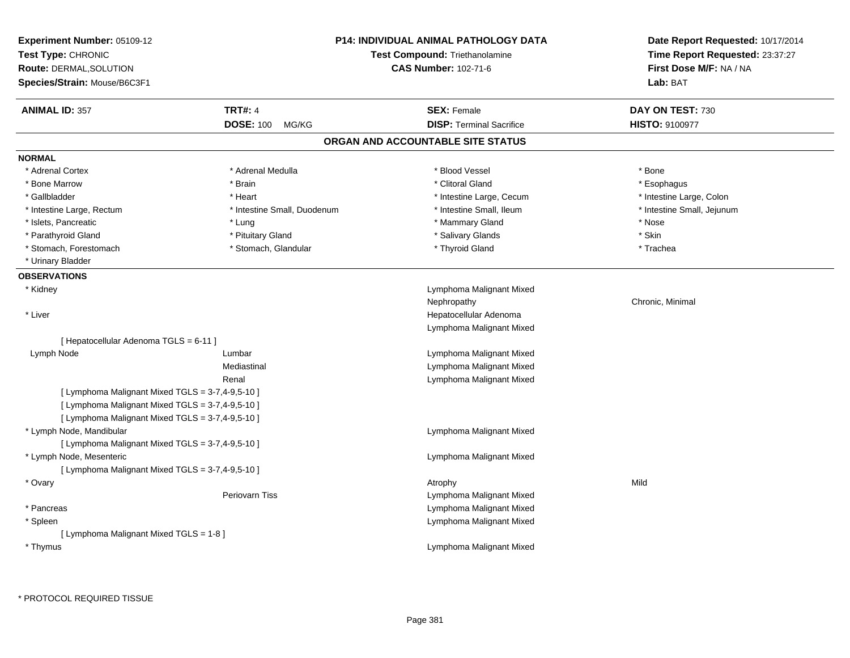| Experiment Number: 05109-12<br>Test Type: CHRONIC<br><b>Route: DERMAL, SOLUTION</b><br>Species/Strain: Mouse/B6C3F1 |                             | <b>P14: INDIVIDUAL ANIMAL PATHOLOGY DATA</b><br>Test Compound: Triethanolamine<br><b>CAS Number: 102-71-6</b> | Date Report Requested: 10/17/2014<br>Time Report Requested: 23:37:27<br>First Dose M/F: NA / NA<br>Lab: BAT |
|---------------------------------------------------------------------------------------------------------------------|-----------------------------|---------------------------------------------------------------------------------------------------------------|-------------------------------------------------------------------------------------------------------------|
| <b>ANIMAL ID: 357</b>                                                                                               | <b>TRT#: 4</b>              | <b>SEX: Female</b>                                                                                            | DAY ON TEST: 730                                                                                            |
|                                                                                                                     | <b>DOSE: 100</b><br>MG/KG   | <b>DISP: Terminal Sacrifice</b>                                                                               | <b>HISTO: 9100977</b>                                                                                       |
|                                                                                                                     |                             | ORGAN AND ACCOUNTABLE SITE STATUS                                                                             |                                                                                                             |
| <b>NORMAL</b>                                                                                                       |                             |                                                                                                               |                                                                                                             |
| * Adrenal Cortex                                                                                                    | * Adrenal Medulla           | * Blood Vessel                                                                                                | * Bone                                                                                                      |
| * Bone Marrow                                                                                                       | * Brain                     | * Clitoral Gland                                                                                              | * Esophagus                                                                                                 |
| * Gallbladder                                                                                                       | * Heart                     | * Intestine Large, Cecum                                                                                      | * Intestine Large, Colon                                                                                    |
| * Intestine Large, Rectum                                                                                           | * Intestine Small, Duodenum | * Intestine Small, Ileum                                                                                      | * Intestine Small, Jejunum                                                                                  |
| * Islets, Pancreatic                                                                                                | * Lung                      | * Mammary Gland                                                                                               | * Nose                                                                                                      |
| * Parathyroid Gland                                                                                                 | * Pituitary Gland           | * Salivary Glands                                                                                             | * Skin                                                                                                      |
| * Stomach, Forestomach                                                                                              | * Stomach, Glandular        | * Thyroid Gland                                                                                               | * Trachea                                                                                                   |
| * Urinary Bladder                                                                                                   |                             |                                                                                                               |                                                                                                             |
| <b>OBSERVATIONS</b>                                                                                                 |                             |                                                                                                               |                                                                                                             |
| * Kidney                                                                                                            |                             | Lymphoma Malignant Mixed                                                                                      |                                                                                                             |
|                                                                                                                     |                             | Nephropathy                                                                                                   | Chronic, Minimal                                                                                            |
| * Liver                                                                                                             |                             | Hepatocellular Adenoma                                                                                        |                                                                                                             |
|                                                                                                                     |                             | Lymphoma Malignant Mixed                                                                                      |                                                                                                             |
| [ Hepatocellular Adenoma TGLS = 6-11 ]                                                                              |                             |                                                                                                               |                                                                                                             |
| Lymph Node                                                                                                          | Lumbar                      | Lymphoma Malignant Mixed                                                                                      |                                                                                                             |
|                                                                                                                     | Mediastinal                 | Lymphoma Malignant Mixed                                                                                      |                                                                                                             |
|                                                                                                                     | Renal                       | Lymphoma Malignant Mixed                                                                                      |                                                                                                             |
| [ Lymphoma Malignant Mixed TGLS = 3-7,4-9,5-10 ]                                                                    |                             |                                                                                                               |                                                                                                             |
| [ Lymphoma Malignant Mixed TGLS = 3-7,4-9,5-10 ]                                                                    |                             |                                                                                                               |                                                                                                             |
| [ Lymphoma Malignant Mixed TGLS = 3-7,4-9,5-10 ]                                                                    |                             |                                                                                                               |                                                                                                             |
| * Lymph Node, Mandibular                                                                                            |                             | Lymphoma Malignant Mixed                                                                                      |                                                                                                             |
| [ Lymphoma Malignant Mixed TGLS = 3-7,4-9,5-10 ]                                                                    |                             |                                                                                                               |                                                                                                             |
| * Lymph Node, Mesenteric                                                                                            |                             | Lymphoma Malignant Mixed                                                                                      |                                                                                                             |
| [ Lymphoma Malignant Mixed TGLS = $3-7,4-9,5-10$ ]                                                                  |                             |                                                                                                               |                                                                                                             |
| * Ovary                                                                                                             |                             | Atrophy                                                                                                       | Mild                                                                                                        |
|                                                                                                                     | Periovarn Tiss              | Lymphoma Malignant Mixed                                                                                      |                                                                                                             |
| * Pancreas                                                                                                          |                             | Lymphoma Malignant Mixed                                                                                      |                                                                                                             |
| * Spleen                                                                                                            |                             | Lymphoma Malignant Mixed                                                                                      |                                                                                                             |
| [ Lymphoma Malignant Mixed TGLS = 1-8 ]                                                                             |                             |                                                                                                               |                                                                                                             |
| * Thymus                                                                                                            |                             | Lymphoma Malignant Mixed                                                                                      |                                                                                                             |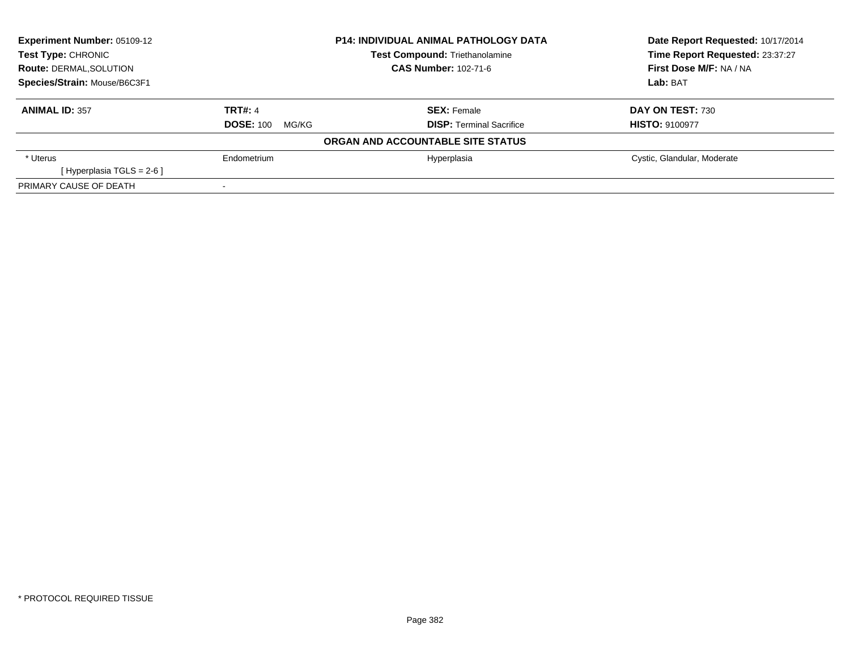| <b>Experiment Number: 05109-12</b> |                           | <b>P14: INDIVIDUAL ANIMAL PATHOLOGY DATA</b> | Date Report Requested: 10/17/2014 |  |
|------------------------------------|---------------------------|----------------------------------------------|-----------------------------------|--|
| <b>Test Type: CHRONIC</b>          |                           | Test Compound: Triethanolamine               | Time Report Requested: 23:37:27   |  |
| <b>Route: DERMAL, SOLUTION</b>     |                           | <b>CAS Number: 102-71-6</b>                  | First Dose M/F: NA / NA           |  |
| Species/Strain: Mouse/B6C3F1       |                           |                                              | Lab: BAT                          |  |
| <b>ANIMAL ID: 357</b>              | <b>TRT#: 4</b>            | <b>SEX: Female</b>                           | DAY ON TEST: 730                  |  |
|                                    | <b>DOSE: 100</b><br>MG/KG | <b>DISP:</b> Terminal Sacrifice              | <b>HISTO: 9100977</b>             |  |
|                                    |                           | ORGAN AND ACCOUNTABLE SITE STATUS            |                                   |  |
| * Uterus                           | Endometrium               | Hyperplasia                                  | Cystic, Glandular, Moderate       |  |
| [Hyperplasia TGLS = 2-6]           |                           |                                              |                                   |  |
| PRIMARY CAUSE OF DEATH             |                           |                                              |                                   |  |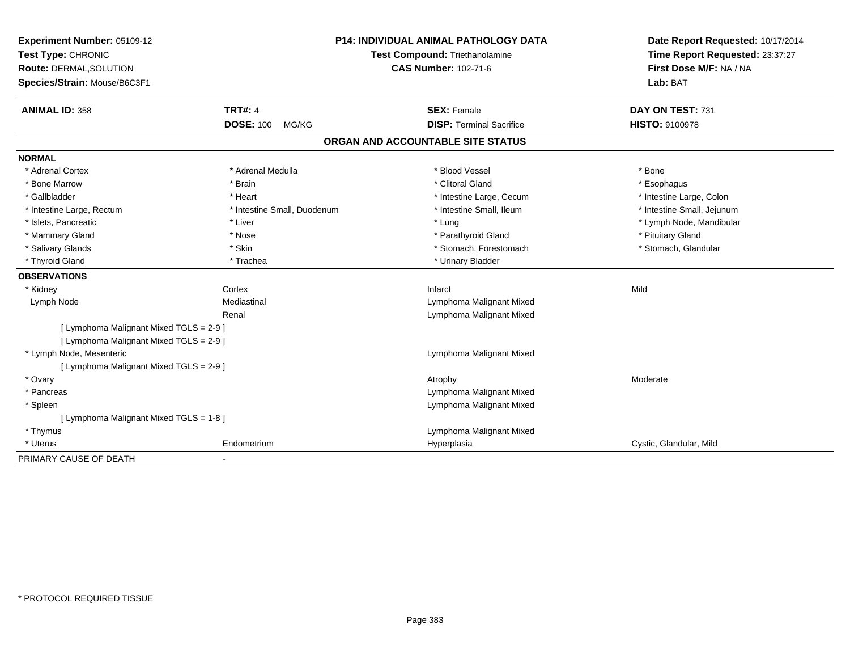| Experiment Number: 05109-12<br>Test Type: CHRONIC<br>Route: DERMAL, SOLUTION |                             | <b>P14: INDIVIDUAL ANIMAL PATHOLOGY DATA</b><br>Test Compound: Triethanolamine<br><b>CAS Number: 102-71-6</b> | Date Report Requested: 10/17/2014<br>Time Report Requested: 23:37:27<br>First Dose M/F: NA / NA |
|------------------------------------------------------------------------------|-----------------------------|---------------------------------------------------------------------------------------------------------------|-------------------------------------------------------------------------------------------------|
| Species/Strain: Mouse/B6C3F1                                                 |                             |                                                                                                               | Lab: BAT                                                                                        |
| <b>ANIMAL ID: 358</b>                                                        | <b>TRT#: 4</b>              | <b>SEX: Female</b>                                                                                            | DAY ON TEST: 731                                                                                |
|                                                                              | <b>DOSE: 100</b><br>MG/KG   | <b>DISP: Terminal Sacrifice</b>                                                                               | <b>HISTO: 9100978</b>                                                                           |
|                                                                              |                             | ORGAN AND ACCOUNTABLE SITE STATUS                                                                             |                                                                                                 |
| <b>NORMAL</b>                                                                |                             |                                                                                                               |                                                                                                 |
| * Adrenal Cortex                                                             | * Adrenal Medulla           | * Blood Vessel                                                                                                | * Bone                                                                                          |
| * Bone Marrow                                                                | * Brain                     | * Clitoral Gland                                                                                              | * Esophagus                                                                                     |
| * Gallbladder                                                                | * Heart                     | * Intestine Large, Cecum                                                                                      | * Intestine Large, Colon                                                                        |
| * Intestine Large, Rectum                                                    | * Intestine Small, Duodenum | * Intestine Small, Ileum                                                                                      | * Intestine Small, Jejunum                                                                      |
| * Islets, Pancreatic                                                         | * Liver                     | * Lung                                                                                                        | * Lymph Node, Mandibular                                                                        |
| * Mammary Gland                                                              | * Nose                      | * Parathyroid Gland                                                                                           | * Pituitary Gland                                                                               |
| * Salivary Glands                                                            | * Skin                      | * Stomach, Forestomach                                                                                        | * Stomach, Glandular                                                                            |
| * Thyroid Gland                                                              | * Trachea                   | * Urinary Bladder                                                                                             |                                                                                                 |
| <b>OBSERVATIONS</b>                                                          |                             |                                                                                                               |                                                                                                 |
| * Kidney                                                                     | Cortex                      | Infarct                                                                                                       | Mild                                                                                            |
| Lymph Node                                                                   | Mediastinal                 | Lymphoma Malignant Mixed                                                                                      |                                                                                                 |
|                                                                              | Renal                       | Lymphoma Malignant Mixed                                                                                      |                                                                                                 |
| [ Lymphoma Malignant Mixed TGLS = 2-9 ]                                      |                             |                                                                                                               |                                                                                                 |
| [ Lymphoma Malignant Mixed TGLS = 2-9 ]                                      |                             |                                                                                                               |                                                                                                 |
| * Lymph Node, Mesenteric                                                     |                             | Lymphoma Malignant Mixed                                                                                      |                                                                                                 |
| [ Lymphoma Malignant Mixed TGLS = 2-9 ]                                      |                             |                                                                                                               |                                                                                                 |
| * Ovary                                                                      |                             | Atrophy                                                                                                       | Moderate                                                                                        |
| * Pancreas                                                                   |                             | Lymphoma Malignant Mixed                                                                                      |                                                                                                 |
| * Spleen                                                                     |                             | Lymphoma Malignant Mixed                                                                                      |                                                                                                 |
| [ Lymphoma Malignant Mixed TGLS = 1-8 ]                                      |                             |                                                                                                               |                                                                                                 |
| * Thymus                                                                     |                             | Lymphoma Malignant Mixed                                                                                      |                                                                                                 |
| * Uterus                                                                     | Endometrium                 | Hyperplasia                                                                                                   | Cystic, Glandular, Mild                                                                         |
| PRIMARY CAUSE OF DEATH                                                       |                             |                                                                                                               |                                                                                                 |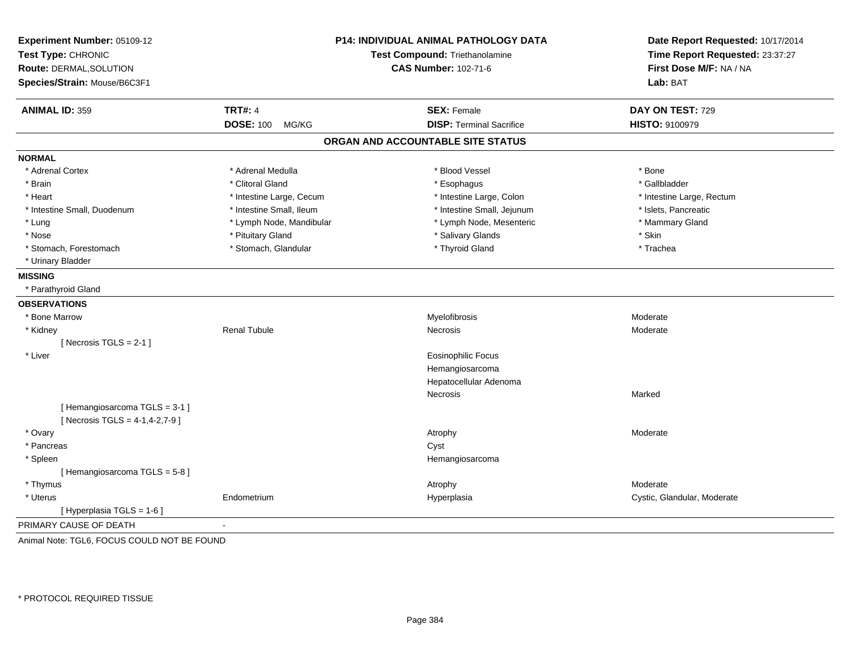| Experiment Number: 05109-12<br>Test Type: CHRONIC<br>Route: DERMAL, SOLUTION<br>Species/Strain: Mouse/B6C3F1 | P14: INDIVIDUAL ANIMAL PATHOLOGY DATA<br>Test Compound: Triethanolamine<br><b>CAS Number: 102-71-6</b> |                                   | Date Report Requested: 10/17/2014<br>Time Report Requested: 23:37:27<br>First Dose M/F: NA / NA<br>Lab: BAT |
|--------------------------------------------------------------------------------------------------------------|--------------------------------------------------------------------------------------------------------|-----------------------------------|-------------------------------------------------------------------------------------------------------------|
| <b>ANIMAL ID: 359</b>                                                                                        | <b>TRT#: 4</b>                                                                                         | <b>SEX: Female</b>                | DAY ON TEST: 729                                                                                            |
|                                                                                                              | <b>DOSE: 100</b><br>MG/KG                                                                              | <b>DISP: Terminal Sacrifice</b>   | <b>HISTO: 9100979</b>                                                                                       |
|                                                                                                              |                                                                                                        | ORGAN AND ACCOUNTABLE SITE STATUS |                                                                                                             |
| <b>NORMAL</b>                                                                                                |                                                                                                        |                                   |                                                                                                             |
| * Adrenal Cortex                                                                                             | * Adrenal Medulla                                                                                      | * Blood Vessel                    | * Bone                                                                                                      |
| * Brain                                                                                                      | * Clitoral Gland                                                                                       | * Esophagus                       | * Gallbladder                                                                                               |
| * Heart                                                                                                      | * Intestine Large, Cecum                                                                               | * Intestine Large, Colon          | * Intestine Large, Rectum                                                                                   |
| * Intestine Small, Duodenum                                                                                  | * Intestine Small, Ileum                                                                               | * Intestine Small, Jejunum        | * Islets, Pancreatic                                                                                        |
| * Lung                                                                                                       | * Lymph Node, Mandibular                                                                               | * Lymph Node, Mesenteric          | * Mammary Gland                                                                                             |
| * Nose                                                                                                       | * Pituitary Gland                                                                                      | * Salivary Glands                 | * Skin                                                                                                      |
| * Stomach, Forestomach                                                                                       | * Stomach, Glandular                                                                                   | * Thyroid Gland                   | * Trachea                                                                                                   |
| * Urinary Bladder                                                                                            |                                                                                                        |                                   |                                                                                                             |
| <b>MISSING</b>                                                                                               |                                                                                                        |                                   |                                                                                                             |
| * Parathyroid Gland                                                                                          |                                                                                                        |                                   |                                                                                                             |
| <b>OBSERVATIONS</b>                                                                                          |                                                                                                        |                                   |                                                                                                             |
| * Bone Marrow                                                                                                |                                                                                                        | Myelofibrosis                     | Moderate                                                                                                    |
| * Kidney                                                                                                     | <b>Renal Tubule</b>                                                                                    | Necrosis                          | Moderate                                                                                                    |
| [Necrosis TGLS = $2-1$ ]                                                                                     |                                                                                                        |                                   |                                                                                                             |
| * Liver                                                                                                      |                                                                                                        | Eosinophilic Focus                |                                                                                                             |
|                                                                                                              |                                                                                                        | Hemangiosarcoma                   |                                                                                                             |
|                                                                                                              |                                                                                                        | Hepatocellular Adenoma            |                                                                                                             |
|                                                                                                              |                                                                                                        | Necrosis                          | Marked                                                                                                      |
| [Hemangiosarcoma TGLS = 3-1]                                                                                 |                                                                                                        |                                   |                                                                                                             |
| [ Necrosis TGLS = $4-1, 4-2, 7-9$ ]                                                                          |                                                                                                        |                                   |                                                                                                             |
| * Ovary                                                                                                      |                                                                                                        | Atrophy                           | Moderate                                                                                                    |
| * Pancreas                                                                                                   |                                                                                                        | Cyst                              |                                                                                                             |
| * Spleen                                                                                                     |                                                                                                        | Hemangiosarcoma                   |                                                                                                             |
| [Hemangiosarcoma TGLS = 5-8]                                                                                 |                                                                                                        |                                   |                                                                                                             |
| * Thymus                                                                                                     |                                                                                                        | Atrophy                           | Moderate                                                                                                    |
| * Uterus                                                                                                     | Endometrium                                                                                            | Hyperplasia                       | Cystic, Glandular, Moderate                                                                                 |
| [Hyperplasia TGLS = 1-6]                                                                                     |                                                                                                        |                                   |                                                                                                             |
| PRIMARY CAUSE OF DEATH                                                                                       | $\overline{\phantom{a}}$                                                                               |                                   |                                                                                                             |

Animal Note: TGL6, FOCUS COULD NOT BE FOUND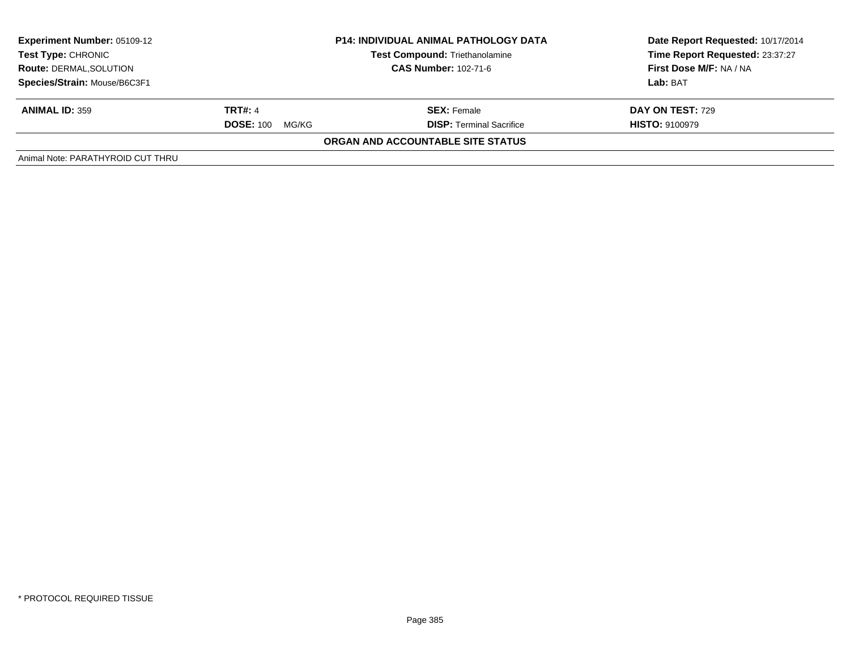| <b>Experiment Number: 05109-12</b><br>Test Type: CHRONIC | <b>P14: INDIVIDUAL ANIMAL PATHOLOGY DATA</b><br><b>Test Compound: Triethanolamine</b><br><b>CAS Number: 102-71-6</b> |                                          | Date Report Requested: 10/17/2014<br>Time Report Requested: 23:37:27 |
|----------------------------------------------------------|----------------------------------------------------------------------------------------------------------------------|------------------------------------------|----------------------------------------------------------------------|
| <b>Route: DERMAL, SOLUTION</b>                           |                                                                                                                      |                                          | First Dose M/F: NA / NA                                              |
| Species/Strain: Mouse/B6C3F1                             |                                                                                                                      |                                          | Lab: BAT                                                             |
| <b>ANIMAL ID: 359</b>                                    | <b>TRT#: 4</b>                                                                                                       | <b>SEX: Female</b>                       | <b>DAY ON TEST: 729</b>                                              |
|                                                          | <b>DOSE: 100</b><br>MG/KG                                                                                            | <b>DISP:</b> Terminal Sacrifice          | <b>HISTO: 9100979</b>                                                |
|                                                          |                                                                                                                      | <b>ORGAN AND ACCOUNTABLE SITE STATUS</b> |                                                                      |
| Animal Note: PARATHYROID CUT THRU                        |                                                                                                                      |                                          |                                                                      |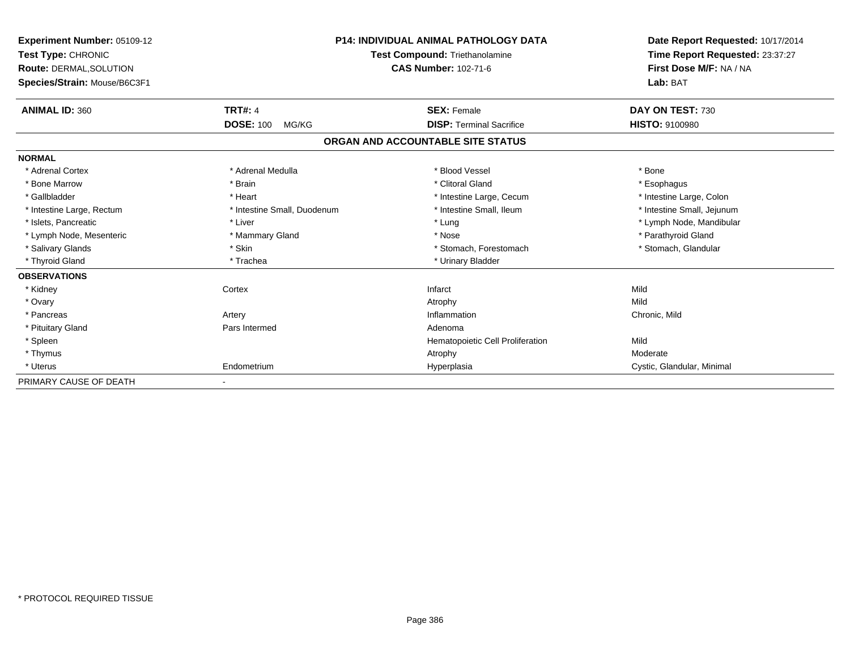| Experiment Number: 05109-12<br>Test Type: CHRONIC<br>Route: DERMAL, SOLUTION<br>Species/Strain: Mouse/B6C3F1 |                             | <b>P14: INDIVIDUAL ANIMAL PATHOLOGY DATA</b><br><b>Test Compound: Triethanolamine</b><br><b>CAS Number: 102-71-6</b> | Date Report Requested: 10/17/2014<br>Time Report Requested: 23:37:27<br>First Dose M/F: NA / NA<br>Lab: BAT |
|--------------------------------------------------------------------------------------------------------------|-----------------------------|----------------------------------------------------------------------------------------------------------------------|-------------------------------------------------------------------------------------------------------------|
| <b>ANIMAL ID: 360</b>                                                                                        | <b>TRT#: 4</b>              | <b>SEX: Female</b>                                                                                                   | DAY ON TEST: 730                                                                                            |
|                                                                                                              | <b>DOSE: 100</b><br>MG/KG   | <b>DISP: Terminal Sacrifice</b>                                                                                      | <b>HISTO: 9100980</b>                                                                                       |
|                                                                                                              |                             | ORGAN AND ACCOUNTABLE SITE STATUS                                                                                    |                                                                                                             |
| <b>NORMAL</b>                                                                                                |                             |                                                                                                                      |                                                                                                             |
| * Adrenal Cortex                                                                                             | * Adrenal Medulla           | * Blood Vessel                                                                                                       | * Bone                                                                                                      |
| * Bone Marrow                                                                                                | * Brain                     | * Clitoral Gland                                                                                                     | * Esophagus                                                                                                 |
| * Gallbladder                                                                                                | * Heart                     | * Intestine Large, Cecum                                                                                             | * Intestine Large, Colon                                                                                    |
| * Intestine Large, Rectum                                                                                    | * Intestine Small, Duodenum | * Intestine Small, Ileum                                                                                             | * Intestine Small, Jejunum                                                                                  |
| * Islets. Pancreatic                                                                                         | * Liver                     | * Lung                                                                                                               | * Lymph Node, Mandibular                                                                                    |
| * Lymph Node, Mesenteric                                                                                     | * Mammary Gland             | * Nose                                                                                                               | * Parathyroid Gland                                                                                         |
| * Salivary Glands                                                                                            | * Skin                      | * Stomach, Forestomach                                                                                               | * Stomach, Glandular                                                                                        |
| * Thyroid Gland                                                                                              | * Trachea                   | * Urinary Bladder                                                                                                    |                                                                                                             |
| <b>OBSERVATIONS</b>                                                                                          |                             |                                                                                                                      |                                                                                                             |
| * Kidney                                                                                                     | Cortex                      | Infarct                                                                                                              | Mild                                                                                                        |
| * Ovary                                                                                                      |                             | Atrophy                                                                                                              | Mild                                                                                                        |
| * Pancreas                                                                                                   | Artery                      | Inflammation                                                                                                         | Chronic, Mild                                                                                               |
| * Pituitary Gland                                                                                            | Pars Intermed               | Adenoma                                                                                                              |                                                                                                             |
| * Spleen                                                                                                     |                             | Hematopoietic Cell Proliferation                                                                                     | Mild                                                                                                        |
| * Thymus                                                                                                     |                             | Atrophy                                                                                                              | Moderate                                                                                                    |
| * Uterus                                                                                                     | Endometrium                 | Hyperplasia                                                                                                          | Cystic, Glandular, Minimal                                                                                  |
| PRIMARY CAUSE OF DEATH                                                                                       |                             |                                                                                                                      |                                                                                                             |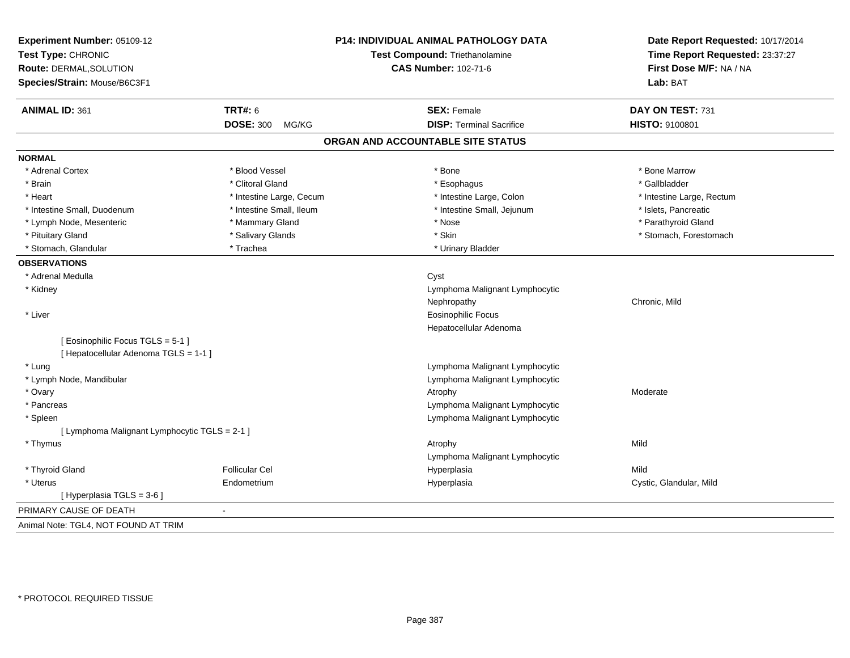| Experiment Number: 05109-12<br>Test Type: CHRONIC<br>Route: DERMAL, SOLUTION<br>Species/Strain: Mouse/B6C3F1 |                          | P14: INDIVIDUAL ANIMAL PATHOLOGY DATA<br>Test Compound: Triethanolamine<br><b>CAS Number: 102-71-6</b> | Date Report Requested: 10/17/2014<br>Time Report Requested: 23:37:27<br>First Dose M/F: NA / NA<br>Lab: BAT |
|--------------------------------------------------------------------------------------------------------------|--------------------------|--------------------------------------------------------------------------------------------------------|-------------------------------------------------------------------------------------------------------------|
| ANIMAL ID: 361                                                                                               | <b>TRT#: 6</b>           | <b>SEX: Female</b>                                                                                     | DAY ON TEST: 731                                                                                            |
|                                                                                                              | <b>DOSE: 300 MG/KG</b>   | <b>DISP: Terminal Sacrifice</b>                                                                        | HISTO: 9100801                                                                                              |
|                                                                                                              |                          | ORGAN AND ACCOUNTABLE SITE STATUS                                                                      |                                                                                                             |
| <b>NORMAL</b>                                                                                                |                          |                                                                                                        |                                                                                                             |
| * Adrenal Cortex                                                                                             | * Blood Vessel           | * Bone                                                                                                 | * Bone Marrow                                                                                               |
| * Brain                                                                                                      | * Clitoral Gland         | * Esophagus                                                                                            | * Gallbladder                                                                                               |
| * Heart                                                                                                      | * Intestine Large, Cecum | * Intestine Large, Colon                                                                               | * Intestine Large, Rectum                                                                                   |
| * Intestine Small, Duodenum                                                                                  | * Intestine Small, Ileum | * Intestine Small, Jejunum                                                                             | * Islets, Pancreatic                                                                                        |
| * Lymph Node, Mesenteric                                                                                     | * Mammary Gland          | * Nose                                                                                                 | * Parathyroid Gland                                                                                         |
| * Pituitary Gland                                                                                            | * Salivary Glands        | * Skin                                                                                                 | * Stomach, Forestomach                                                                                      |
| * Stomach, Glandular                                                                                         | * Trachea                | * Urinary Bladder                                                                                      |                                                                                                             |
| <b>OBSERVATIONS</b>                                                                                          |                          |                                                                                                        |                                                                                                             |
| * Adrenal Medulla                                                                                            |                          | Cyst                                                                                                   |                                                                                                             |
| * Kidney                                                                                                     |                          | Lymphoma Malignant Lymphocytic                                                                         |                                                                                                             |
|                                                                                                              |                          | Nephropathy                                                                                            | Chronic. Mild                                                                                               |
| * Liver                                                                                                      |                          | <b>Eosinophilic Focus</b>                                                                              |                                                                                                             |
|                                                                                                              |                          | Hepatocellular Adenoma                                                                                 |                                                                                                             |
| [ Eosinophilic Focus TGLS = 5-1 ]                                                                            |                          |                                                                                                        |                                                                                                             |
| [ Hepatocellular Adenoma TGLS = 1-1 ]                                                                        |                          |                                                                                                        |                                                                                                             |
| * Lung                                                                                                       |                          | Lymphoma Malignant Lymphocytic                                                                         |                                                                                                             |
| * Lymph Node, Mandibular                                                                                     |                          | Lymphoma Malignant Lymphocytic                                                                         |                                                                                                             |
| * Ovary                                                                                                      |                          | Atrophy                                                                                                | Moderate                                                                                                    |
| * Pancreas                                                                                                   |                          | Lymphoma Malignant Lymphocytic                                                                         |                                                                                                             |
| * Spleen                                                                                                     |                          | Lymphoma Malignant Lymphocytic                                                                         |                                                                                                             |
| [ Lymphoma Malignant Lymphocytic TGLS = 2-1 ]                                                                |                          |                                                                                                        |                                                                                                             |
| * Thymus                                                                                                     |                          | Atrophy                                                                                                | Mild                                                                                                        |
|                                                                                                              |                          | Lymphoma Malignant Lymphocytic                                                                         |                                                                                                             |
| * Thyroid Gland                                                                                              | <b>Follicular Cel</b>    | Hyperplasia                                                                                            | Mild                                                                                                        |
| * Uterus                                                                                                     | Endometrium              | Hyperplasia                                                                                            | Cystic, Glandular, Mild                                                                                     |
| [ Hyperplasia TGLS = 3-6 ]                                                                                   |                          |                                                                                                        |                                                                                                             |
| PRIMARY CAUSE OF DEATH                                                                                       | $\blacksquare$           |                                                                                                        |                                                                                                             |
| Animal Note: TGL4, NOT FOUND AT TRIM                                                                         |                          |                                                                                                        |                                                                                                             |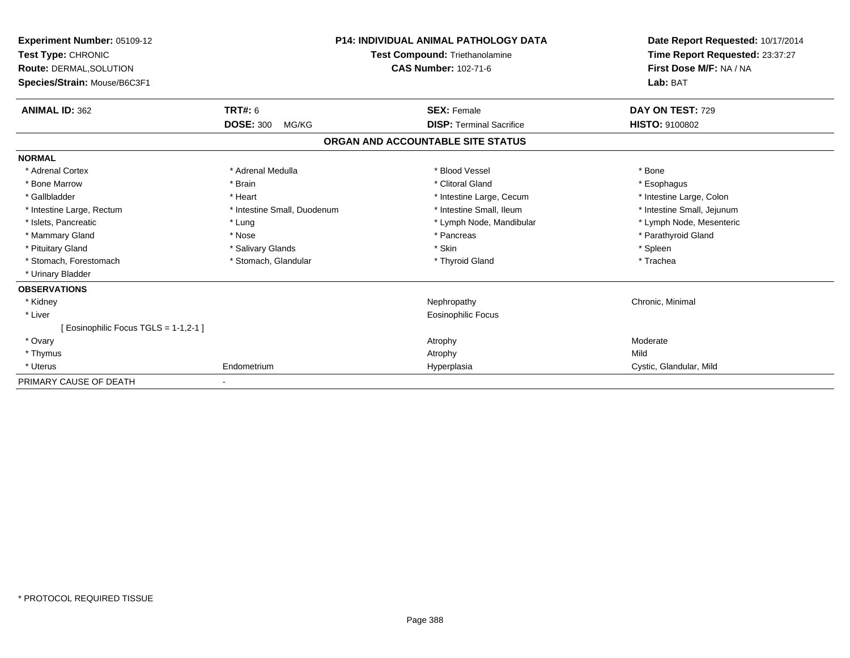| Experiment Number: 05109-12<br>Test Type: CHRONIC<br><b>Route: DERMAL, SOLUTION</b><br>Species/Strain: Mouse/B6C3F1 |                             | <b>P14: INDIVIDUAL ANIMAL PATHOLOGY DATA</b><br><b>Test Compound: Triethanolamine</b><br><b>CAS Number: 102-71-6</b> | Date Report Requested: 10/17/2014<br>Time Report Requested: 23:37:27<br>First Dose M/F: NA / NA<br>Lab: BAT |  |
|---------------------------------------------------------------------------------------------------------------------|-----------------------------|----------------------------------------------------------------------------------------------------------------------|-------------------------------------------------------------------------------------------------------------|--|
| <b>ANIMAL ID: 362</b>                                                                                               | <b>TRT#: 6</b>              | <b>SEX: Female</b>                                                                                                   | DAY ON TEST: 729                                                                                            |  |
|                                                                                                                     | <b>DOSE: 300</b><br>MG/KG   | <b>DISP: Terminal Sacrifice</b>                                                                                      | HISTO: 9100802                                                                                              |  |
|                                                                                                                     |                             | ORGAN AND ACCOUNTABLE SITE STATUS                                                                                    |                                                                                                             |  |
| <b>NORMAL</b>                                                                                                       |                             |                                                                                                                      |                                                                                                             |  |
| * Adrenal Cortex                                                                                                    | * Adrenal Medulla           | * Blood Vessel                                                                                                       | * Bone                                                                                                      |  |
| * Bone Marrow                                                                                                       | * Brain                     | * Clitoral Gland                                                                                                     | * Esophagus                                                                                                 |  |
| * Gallbladder                                                                                                       | * Heart                     | * Intestine Large, Cecum                                                                                             | * Intestine Large, Colon                                                                                    |  |
| * Intestine Large, Rectum                                                                                           | * Intestine Small, Duodenum | * Intestine Small, Ileum                                                                                             | * Intestine Small, Jejunum                                                                                  |  |
| * Islets, Pancreatic                                                                                                | * Lung                      | * Lymph Node, Mandibular                                                                                             | * Lymph Node, Mesenteric                                                                                    |  |
| * Mammary Gland                                                                                                     | * Nose                      | * Pancreas                                                                                                           | * Parathyroid Gland                                                                                         |  |
| * Pituitary Gland                                                                                                   | * Salivary Glands           | * Skin                                                                                                               | * Spleen                                                                                                    |  |
| * Stomach, Forestomach                                                                                              | * Stomach, Glandular        | * Thyroid Gland                                                                                                      | * Trachea                                                                                                   |  |
| * Urinary Bladder                                                                                                   |                             |                                                                                                                      |                                                                                                             |  |
| <b>OBSERVATIONS</b>                                                                                                 |                             |                                                                                                                      |                                                                                                             |  |
| * Kidney                                                                                                            |                             | Nephropathy                                                                                                          | Chronic, Minimal                                                                                            |  |
| * Liver                                                                                                             |                             | <b>Eosinophilic Focus</b>                                                                                            |                                                                                                             |  |
| [ Eosinophilic Focus TGLS = 1-1,2-1 ]                                                                               |                             |                                                                                                                      |                                                                                                             |  |
| * Ovary                                                                                                             |                             | Atrophy                                                                                                              | Moderate                                                                                                    |  |
| * Thymus                                                                                                            |                             | Atrophy                                                                                                              | Mild                                                                                                        |  |
| * Uterus                                                                                                            | Endometrium                 | Hyperplasia                                                                                                          | Cystic, Glandular, Mild                                                                                     |  |
| PRIMARY CAUSE OF DEATH                                                                                              |                             |                                                                                                                      |                                                                                                             |  |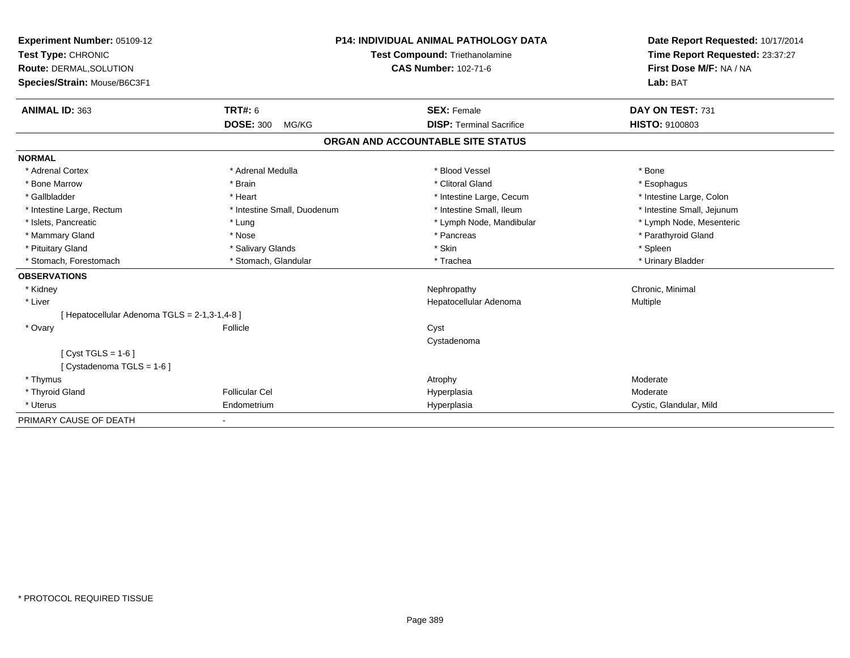| <b>Experiment Number: 05109-12</b><br>Test Type: CHRONIC<br><b>Route: DERMAL, SOLUTION</b><br>Species/Strain: Mouse/B6C3F1 |                             | <b>P14: INDIVIDUAL ANIMAL PATHOLOGY DATA</b><br>Test Compound: Triethanolamine<br><b>CAS Number: 102-71-6</b> | Date Report Requested: 10/17/2014<br>Time Report Requested: 23:37:27<br>First Dose M/F: NA / NA<br>Lab: BAT |
|----------------------------------------------------------------------------------------------------------------------------|-----------------------------|---------------------------------------------------------------------------------------------------------------|-------------------------------------------------------------------------------------------------------------|
| <b>ANIMAL ID: 363</b>                                                                                                      | <b>TRT#: 6</b>              | <b>SEX: Female</b>                                                                                            | DAY ON TEST: 731                                                                                            |
|                                                                                                                            | <b>DOSE: 300</b><br>MG/KG   | <b>DISP: Terminal Sacrifice</b>                                                                               | <b>HISTO: 9100803</b>                                                                                       |
|                                                                                                                            |                             | ORGAN AND ACCOUNTABLE SITE STATUS                                                                             |                                                                                                             |
| <b>NORMAL</b>                                                                                                              |                             |                                                                                                               |                                                                                                             |
| * Adrenal Cortex                                                                                                           | * Adrenal Medulla           | * Blood Vessel                                                                                                | * Bone                                                                                                      |
| * Bone Marrow                                                                                                              | * Brain                     | * Clitoral Gland                                                                                              | * Esophagus                                                                                                 |
| * Gallbladder                                                                                                              | * Heart                     | * Intestine Large, Cecum                                                                                      | * Intestine Large, Colon                                                                                    |
| * Intestine Large, Rectum                                                                                                  | * Intestine Small, Duodenum | * Intestine Small, Ileum                                                                                      | * Intestine Small, Jejunum                                                                                  |
| * Islets, Pancreatic                                                                                                       | * Lung                      | * Lymph Node, Mandibular                                                                                      | * Lymph Node, Mesenteric                                                                                    |
| * Mammary Gland                                                                                                            | * Nose                      | * Pancreas                                                                                                    | * Parathyroid Gland                                                                                         |
| * Pituitary Gland                                                                                                          | * Salivary Glands           | * Skin                                                                                                        | * Spleen                                                                                                    |
| * Stomach, Forestomach                                                                                                     | * Stomach, Glandular        | * Trachea                                                                                                     | * Urinary Bladder                                                                                           |
| <b>OBSERVATIONS</b>                                                                                                        |                             |                                                                                                               |                                                                                                             |
| * Kidney                                                                                                                   |                             | Nephropathy                                                                                                   | Chronic, Minimal                                                                                            |
| * Liver                                                                                                                    |                             | Hepatocellular Adenoma                                                                                        | <b>Multiple</b>                                                                                             |
| [ Hepatocellular Adenoma TGLS = 2-1,3-1,4-8 ]                                                                              |                             |                                                                                                               |                                                                                                             |
| * Ovary                                                                                                                    | Follicle                    | Cyst                                                                                                          |                                                                                                             |
|                                                                                                                            |                             | Cystadenoma                                                                                                   |                                                                                                             |
| [Cyst TGLS = $1-6$ ]                                                                                                       |                             |                                                                                                               |                                                                                                             |
| [ Cystadenoma TGLS = 1-6 ]                                                                                                 |                             |                                                                                                               |                                                                                                             |
| * Thymus                                                                                                                   |                             | Atrophy                                                                                                       | Moderate                                                                                                    |
| * Thyroid Gland                                                                                                            | <b>Follicular Cel</b>       | Hyperplasia                                                                                                   | Moderate                                                                                                    |
| * Uterus                                                                                                                   | Endometrium                 | Hyperplasia                                                                                                   | Cystic, Glandular, Mild                                                                                     |
| PRIMARY CAUSE OF DEATH                                                                                                     |                             |                                                                                                               |                                                                                                             |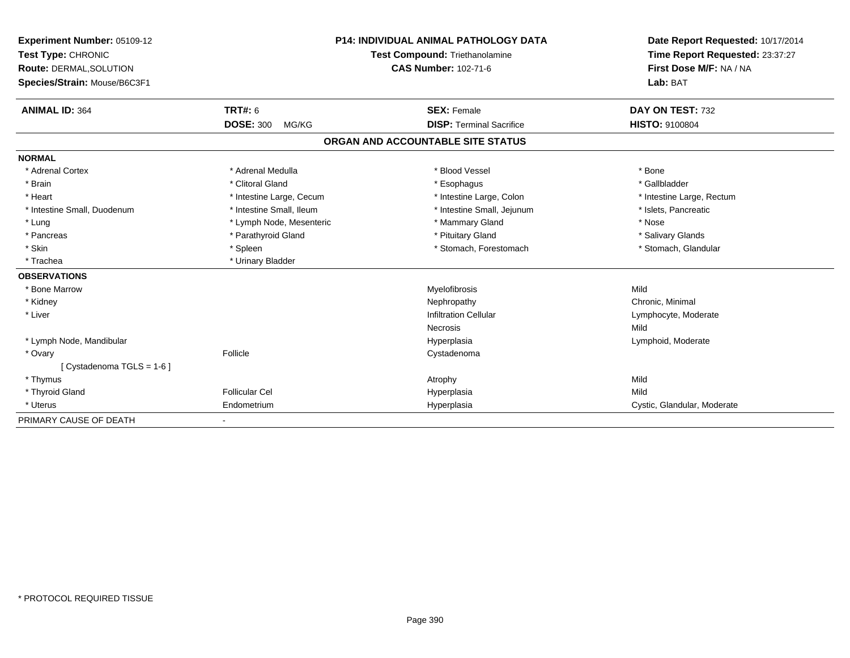| Experiment Number: 05109-12<br>Test Type: CHRONIC<br><b>Route: DERMAL, SOLUTION</b><br>Species/Strain: Mouse/B6C3F1 |                           | <b>P14: INDIVIDUAL ANIMAL PATHOLOGY DATA</b><br><b>Test Compound: Triethanolamine</b><br><b>CAS Number: 102-71-6</b> | Date Report Requested: 10/17/2014<br>Time Report Requested: 23:37:27<br>First Dose M/F: NA / NA<br>Lab: BAT |
|---------------------------------------------------------------------------------------------------------------------|---------------------------|----------------------------------------------------------------------------------------------------------------------|-------------------------------------------------------------------------------------------------------------|
| <b>ANIMAL ID: 364</b>                                                                                               | <b>TRT#: 6</b>            | <b>SEX: Female</b>                                                                                                   | DAY ON TEST: 732                                                                                            |
|                                                                                                                     | <b>DOSE: 300</b><br>MG/KG | <b>DISP: Terminal Sacrifice</b>                                                                                      | <b>HISTO: 9100804</b>                                                                                       |
|                                                                                                                     |                           | ORGAN AND ACCOUNTABLE SITE STATUS                                                                                    |                                                                                                             |
| <b>NORMAL</b>                                                                                                       |                           |                                                                                                                      |                                                                                                             |
| * Adrenal Cortex                                                                                                    | * Adrenal Medulla         | * Blood Vessel                                                                                                       | * Bone                                                                                                      |
| * Brain                                                                                                             | * Clitoral Gland          | * Esophagus                                                                                                          | * Gallbladder                                                                                               |
| * Heart                                                                                                             | * Intestine Large, Cecum  | * Intestine Large, Colon                                                                                             | * Intestine Large, Rectum                                                                                   |
| * Intestine Small, Duodenum                                                                                         | * Intestine Small, Ileum  | * Intestine Small, Jejunum                                                                                           | * Islets, Pancreatic                                                                                        |
| * Lung                                                                                                              | * Lymph Node, Mesenteric  | * Mammary Gland                                                                                                      | * Nose                                                                                                      |
| * Pancreas                                                                                                          | * Parathyroid Gland       | * Pituitary Gland                                                                                                    | * Salivary Glands                                                                                           |
| * Skin                                                                                                              | * Spleen                  | * Stomach, Forestomach                                                                                               | * Stomach, Glandular                                                                                        |
| * Trachea                                                                                                           | * Urinary Bladder         |                                                                                                                      |                                                                                                             |
| <b>OBSERVATIONS</b>                                                                                                 |                           |                                                                                                                      |                                                                                                             |
| * Bone Marrow                                                                                                       |                           | Myelofibrosis                                                                                                        | Mild                                                                                                        |
| * Kidney                                                                                                            |                           | Nephropathy                                                                                                          | Chronic, Minimal                                                                                            |
| * Liver                                                                                                             |                           | <b>Infiltration Cellular</b>                                                                                         | Lymphocyte, Moderate                                                                                        |
|                                                                                                                     |                           | Necrosis                                                                                                             | Mild                                                                                                        |
| * Lymph Node, Mandibular                                                                                            |                           | Hyperplasia                                                                                                          | Lymphoid, Moderate                                                                                          |
| * Ovary                                                                                                             | Follicle                  | Cystadenoma                                                                                                          |                                                                                                             |
| [ Cystadenoma TGLS = $1-6$ ]                                                                                        |                           |                                                                                                                      |                                                                                                             |
| * Thymus                                                                                                            |                           | Atrophy                                                                                                              | Mild                                                                                                        |
| * Thyroid Gland                                                                                                     | <b>Follicular Cel</b>     | Hyperplasia                                                                                                          | Mild                                                                                                        |
| * Uterus                                                                                                            | Endometrium               | Hyperplasia                                                                                                          | Cystic, Glandular, Moderate                                                                                 |
| PRIMARY CAUSE OF DEATH                                                                                              |                           |                                                                                                                      |                                                                                                             |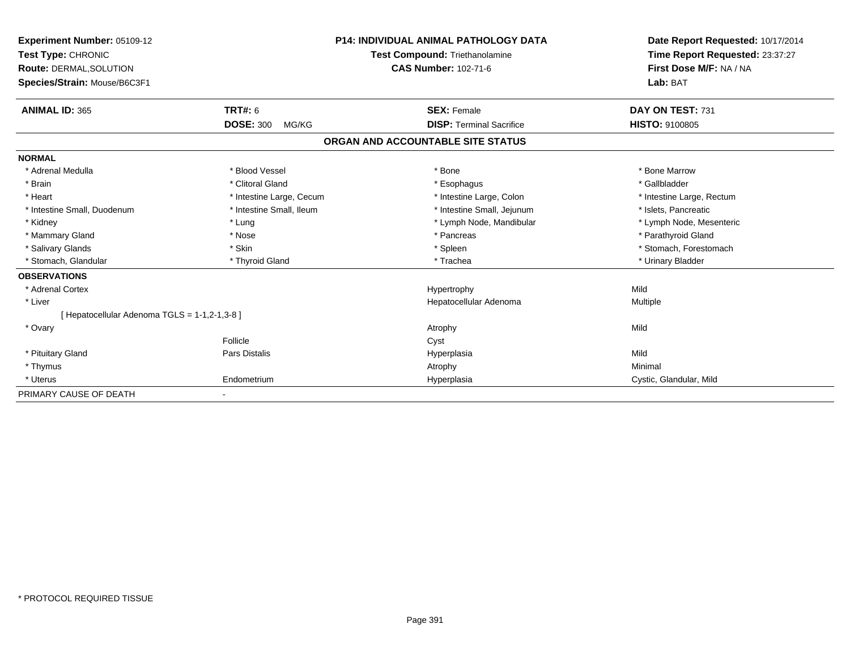| Experiment Number: 05109-12<br>Test Type: CHRONIC |                           | <b>P14: INDIVIDUAL ANIMAL PATHOLOGY DATA</b> | Date Report Requested: 10/17/2014<br>Time Report Requested: 23:37:27 |
|---------------------------------------------------|---------------------------|----------------------------------------------|----------------------------------------------------------------------|
|                                                   |                           | <b>Test Compound: Triethanolamine</b>        |                                                                      |
| <b>Route: DERMAL, SOLUTION</b>                    |                           | <b>CAS Number: 102-71-6</b>                  | First Dose M/F: NA / NA                                              |
| Species/Strain: Mouse/B6C3F1                      |                           |                                              | Lab: BAT                                                             |
| <b>ANIMAL ID: 365</b>                             | TRT#: 6                   | <b>SEX: Female</b>                           | DAY ON TEST: 731                                                     |
|                                                   | <b>DOSE: 300</b><br>MG/KG | <b>DISP: Terminal Sacrifice</b>              | <b>HISTO: 9100805</b>                                                |
|                                                   |                           | ORGAN AND ACCOUNTABLE SITE STATUS            |                                                                      |
| <b>NORMAL</b>                                     |                           |                                              |                                                                      |
| * Adrenal Medulla                                 | * Blood Vessel            | * Bone                                       | * Bone Marrow                                                        |
| * Brain                                           | * Clitoral Gland          | * Esophagus                                  | * Gallbladder                                                        |
| * Heart                                           | * Intestine Large, Cecum  | * Intestine Large, Colon                     | * Intestine Large, Rectum                                            |
| * Intestine Small, Duodenum                       | * Intestine Small. Ileum  | * Intestine Small, Jejunum                   | * Islets. Pancreatic                                                 |
| * Kidney                                          | * Lung                    | * Lymph Node, Mandibular                     | * Lymph Node, Mesenteric                                             |
| * Mammary Gland                                   | * Nose                    | * Pancreas                                   | * Parathyroid Gland                                                  |
| * Salivary Glands                                 | * Skin                    | * Spleen                                     | * Stomach, Forestomach                                               |
| * Stomach, Glandular                              | * Thyroid Gland           | * Trachea                                    | * Urinary Bladder                                                    |
| <b>OBSERVATIONS</b>                               |                           |                                              |                                                                      |
| * Adrenal Cortex                                  |                           | Hypertrophy                                  | Mild                                                                 |
| * Liver                                           |                           | Hepatocellular Adenoma                       | Multiple                                                             |
| [ Hepatocellular Adenoma TGLS = 1-1,2-1,3-8 ]     |                           |                                              |                                                                      |
| * Ovary                                           |                           | Atrophy                                      | Mild                                                                 |
|                                                   | Follicle                  | Cyst                                         |                                                                      |
| * Pituitary Gland                                 | Pars Distalis             | Hyperplasia                                  | Mild                                                                 |
| * Thymus                                          |                           | Atrophy                                      | Minimal                                                              |
| * Uterus                                          | Endometrium               | Hyperplasia                                  | Cystic, Glandular, Mild                                              |
| PRIMARY CAUSE OF DEATH                            |                           |                                              |                                                                      |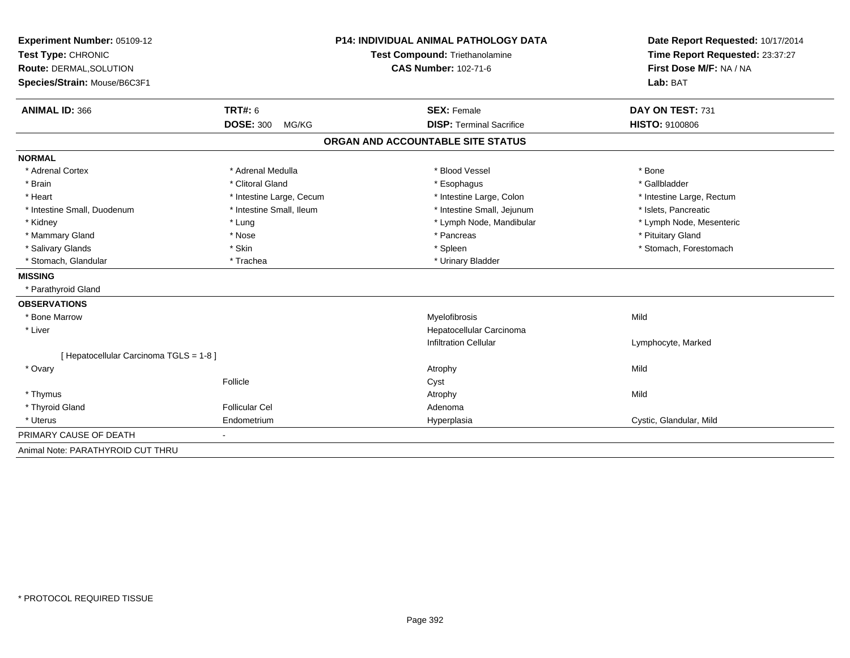| Experiment Number: 05109-12                   | <b>P14: INDIVIDUAL ANIMAL PATHOLOGY DATA</b> |                                       | Date Report Requested: 10/17/2014                          |  |
|-----------------------------------------------|----------------------------------------------|---------------------------------------|------------------------------------------------------------|--|
| Test Type: CHRONIC<br>Route: DERMAL, SOLUTION |                                              | <b>Test Compound: Triethanolamine</b> | Time Report Requested: 23:37:27<br>First Dose M/F: NA / NA |  |
|                                               |                                              | <b>CAS Number: 102-71-6</b>           |                                                            |  |
| Species/Strain: Mouse/B6C3F1                  |                                              |                                       | Lab: BAT                                                   |  |
| <b>ANIMAL ID: 366</b>                         | <b>TRT#: 6</b>                               | <b>SEX: Female</b>                    | DAY ON TEST: 731                                           |  |
|                                               | <b>DOSE: 300</b><br>MG/KG                    | <b>DISP: Terminal Sacrifice</b>       | HISTO: 9100806                                             |  |
|                                               |                                              | ORGAN AND ACCOUNTABLE SITE STATUS     |                                                            |  |
| <b>NORMAL</b>                                 |                                              |                                       |                                                            |  |
| * Adrenal Cortex                              | * Adrenal Medulla                            | * Blood Vessel                        | * Bone                                                     |  |
| * Brain                                       | * Clitoral Gland                             | * Esophagus                           | * Gallbladder                                              |  |
| * Heart                                       | * Intestine Large, Cecum                     | * Intestine Large, Colon              | * Intestine Large, Rectum                                  |  |
| * Intestine Small, Duodenum                   | * Intestine Small, Ileum                     | * Intestine Small, Jejunum            | * Islets, Pancreatic                                       |  |
| * Kidney                                      | * Lung                                       | * Lymph Node, Mandibular              | * Lymph Node, Mesenteric                                   |  |
| * Mammary Gland                               | * Nose                                       | * Pancreas                            | * Pituitary Gland                                          |  |
| * Salivary Glands                             | * Skin                                       | * Spleen                              | * Stomach, Forestomach                                     |  |
| * Stomach, Glandular                          | * Trachea                                    | * Urinary Bladder                     |                                                            |  |
| <b>MISSING</b>                                |                                              |                                       |                                                            |  |
| * Parathyroid Gland                           |                                              |                                       |                                                            |  |
| <b>OBSERVATIONS</b>                           |                                              |                                       |                                                            |  |
| * Bone Marrow                                 |                                              | Myelofibrosis                         | Mild                                                       |  |
| * Liver                                       |                                              | Hepatocellular Carcinoma              |                                                            |  |
|                                               |                                              | <b>Infiltration Cellular</b>          | Lymphocyte, Marked                                         |  |
| [ Hepatocellular Carcinoma TGLS = 1-8 ]       |                                              |                                       |                                                            |  |
| * Ovary                                       |                                              | Atrophy                               | Mild                                                       |  |
|                                               | Follicle                                     | Cyst                                  |                                                            |  |
| * Thymus                                      |                                              | Atrophy                               | Mild                                                       |  |
| * Thyroid Gland                               | <b>Follicular Cel</b>                        | Adenoma                               |                                                            |  |
| * Uterus                                      | Endometrium                                  | Hyperplasia                           | Cystic, Glandular, Mild                                    |  |
| PRIMARY CAUSE OF DEATH<br>$\blacksquare$      |                                              |                                       |                                                            |  |
| Animal Note: PARATHYROID CUT THRU             |                                              |                                       |                                                            |  |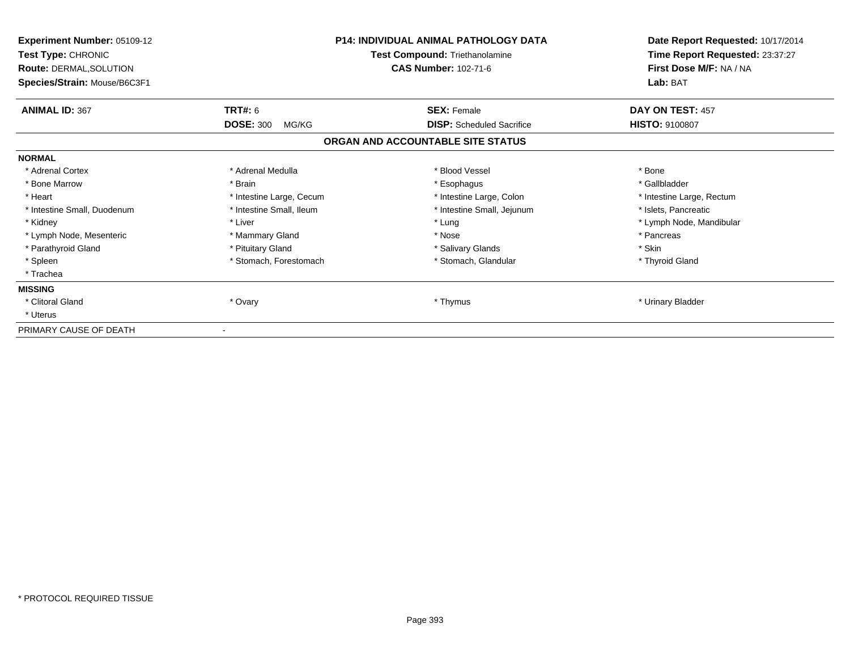| Experiment Number: 05109-12<br>Test Type: CHRONIC<br><b>Route: DERMAL, SOLUTION</b><br>Species/Strain: Mouse/B6C3F1 |                           | <b>P14: INDIVIDUAL ANIMAL PATHOLOGY DATA</b><br>Test Compound: Triethanolamine<br><b>CAS Number: 102-71-6</b> | Date Report Requested: 10/17/2014<br>Time Report Requested: 23:37:27<br>First Dose M/F: NA / NA<br>Lab: BAT |  |
|---------------------------------------------------------------------------------------------------------------------|---------------------------|---------------------------------------------------------------------------------------------------------------|-------------------------------------------------------------------------------------------------------------|--|
| <b>ANIMAL ID: 367</b>                                                                                               | <b>TRT#: 6</b>            | <b>SEX: Female</b>                                                                                            | DAY ON TEST: 457                                                                                            |  |
|                                                                                                                     | <b>DOSE: 300</b><br>MG/KG | <b>DISP:</b> Scheduled Sacrifice                                                                              | HISTO: 9100807                                                                                              |  |
|                                                                                                                     |                           | ORGAN AND ACCOUNTABLE SITE STATUS                                                                             |                                                                                                             |  |
| <b>NORMAL</b>                                                                                                       |                           |                                                                                                               |                                                                                                             |  |
| * Adrenal Cortex                                                                                                    | * Adrenal Medulla         | * Blood Vessel                                                                                                | * Bone                                                                                                      |  |
| * Bone Marrow                                                                                                       | * Brain                   | * Esophagus                                                                                                   | * Gallbladder                                                                                               |  |
| * Heart                                                                                                             | * Intestine Large, Cecum  | * Intestine Large, Colon                                                                                      | * Intestine Large, Rectum                                                                                   |  |
| * Intestine Small, Duodenum                                                                                         | * Intestine Small, Ileum  | * Intestine Small, Jejunum                                                                                    | * Islets, Pancreatic                                                                                        |  |
| * Kidney                                                                                                            | * Liver                   | * Lung                                                                                                        | * Lymph Node, Mandibular                                                                                    |  |
| * Lymph Node, Mesenteric                                                                                            | * Mammary Gland           | * Nose                                                                                                        | * Pancreas                                                                                                  |  |
| * Parathyroid Gland                                                                                                 | * Pituitary Gland         | * Salivary Glands                                                                                             | * Skin                                                                                                      |  |
| * Spleen                                                                                                            | * Stomach, Forestomach    | * Stomach, Glandular                                                                                          | * Thyroid Gland                                                                                             |  |
| * Trachea                                                                                                           |                           |                                                                                                               |                                                                                                             |  |
| <b>MISSING</b>                                                                                                      |                           |                                                                                                               |                                                                                                             |  |
| * Clitoral Gland                                                                                                    | * Ovary                   | * Thymus                                                                                                      | * Urinary Bladder                                                                                           |  |
| * Uterus                                                                                                            |                           |                                                                                                               |                                                                                                             |  |
| PRIMARY CAUSE OF DEATH                                                                                              |                           |                                                                                                               |                                                                                                             |  |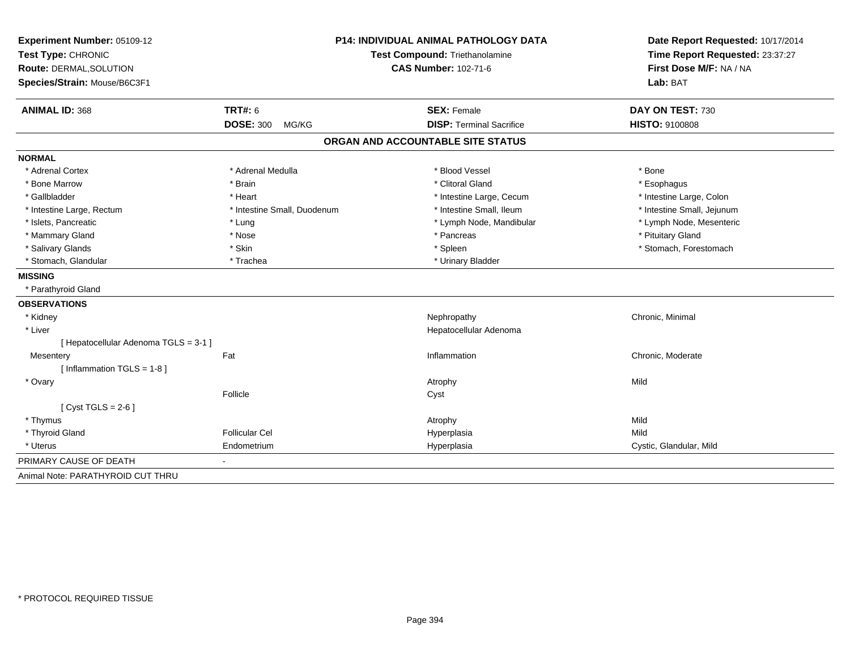| Experiment Number: 05109-12           | <b>P14: INDIVIDUAL ANIMAL PATHOLOGY DATA</b> |                                   | Date Report Requested: 10/17/2014                          |  |
|---------------------------------------|----------------------------------------------|-----------------------------------|------------------------------------------------------------|--|
| Test Type: CHRONIC                    |                                              | Test Compound: Triethanolamine    |                                                            |  |
| Route: DERMAL, SOLUTION               |                                              | <b>CAS Number: 102-71-6</b>       | Time Report Requested: 23:37:27<br>First Dose M/F: NA / NA |  |
| Species/Strain: Mouse/B6C3F1          |                                              |                                   | Lab: BAT                                                   |  |
| <b>ANIMAL ID: 368</b>                 | <b>TRT#: 6</b>                               | <b>SEX: Female</b>                | DAY ON TEST: 730                                           |  |
|                                       | <b>DOSE: 300</b><br>MG/KG                    | <b>DISP: Terminal Sacrifice</b>   | HISTO: 9100808                                             |  |
|                                       |                                              | ORGAN AND ACCOUNTABLE SITE STATUS |                                                            |  |
| <b>NORMAL</b>                         |                                              |                                   |                                                            |  |
| * Adrenal Cortex                      | * Adrenal Medulla                            | * Blood Vessel                    | * Bone                                                     |  |
| * Bone Marrow                         | * Brain                                      | * Clitoral Gland                  | * Esophagus                                                |  |
| * Gallbladder                         | * Heart                                      | * Intestine Large, Cecum          | * Intestine Large, Colon                                   |  |
| * Intestine Large, Rectum             | * Intestine Small, Duodenum                  | * Intestine Small, Ileum          | * Intestine Small, Jejunum                                 |  |
| * Islets, Pancreatic                  | * Lung                                       | * Lymph Node, Mandibular          | * Lymph Node, Mesenteric                                   |  |
| * Mammary Gland                       | * Nose                                       | * Pancreas                        | * Pituitary Gland                                          |  |
| * Salivary Glands                     | * Skin                                       | * Spleen                          | * Stomach, Forestomach                                     |  |
| * Stomach, Glandular                  | * Trachea                                    | * Urinary Bladder                 |                                                            |  |
| <b>MISSING</b>                        |                                              |                                   |                                                            |  |
| * Parathyroid Gland                   |                                              |                                   |                                                            |  |
| <b>OBSERVATIONS</b>                   |                                              |                                   |                                                            |  |
| * Kidney                              |                                              | Nephropathy                       | Chronic, Minimal                                           |  |
| * Liver                               |                                              | Hepatocellular Adenoma            |                                                            |  |
| [ Hepatocellular Adenoma TGLS = 3-1 ] |                                              |                                   |                                                            |  |
| Mesentery                             | Fat                                          | Inflammation                      | Chronic, Moderate                                          |  |
| [Inflammation TGLS = 1-8]             |                                              |                                   |                                                            |  |
| * Ovary                               |                                              | Atrophy                           | Mild                                                       |  |
|                                       | Follicle                                     | Cyst                              |                                                            |  |
| [Cyst TGLS = $2-6$ ]                  |                                              |                                   |                                                            |  |
| * Thymus                              |                                              | Atrophy                           | Mild                                                       |  |
| * Thyroid Gland                       | <b>Follicular Cel</b>                        | Hyperplasia                       | Mild                                                       |  |
| * Uterus                              | Endometrium                                  | Hyperplasia                       | Cystic, Glandular, Mild                                    |  |
| PRIMARY CAUSE OF DEATH                |                                              |                                   |                                                            |  |
| Animal Note: PARATHYROID CUT THRU     |                                              |                                   |                                                            |  |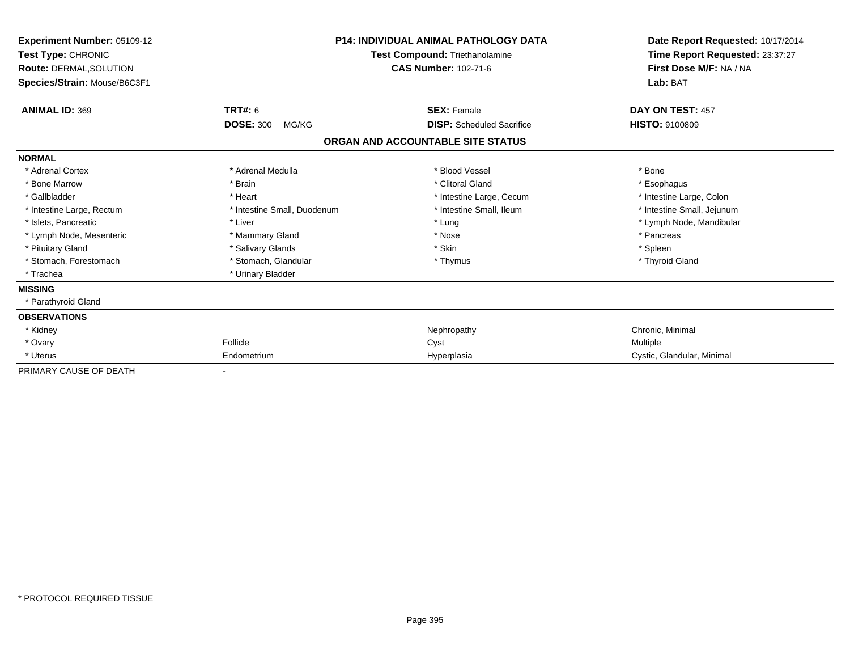| Experiment Number: 05109-12<br>Test Type: CHRONIC<br>Route: DERMAL, SOLUTION<br>Species/Strain: Mouse/B6C3F1 | <b>P14: INDIVIDUAL ANIMAL PATHOLOGY DATA</b><br>Test Compound: Triethanolamine<br><b>CAS Number: 102-71-6</b> |                                   | Date Report Requested: 10/17/2014<br>Time Report Requested: 23:37:27<br>First Dose M/F: NA / NA<br>Lab: BAT |
|--------------------------------------------------------------------------------------------------------------|---------------------------------------------------------------------------------------------------------------|-----------------------------------|-------------------------------------------------------------------------------------------------------------|
| <b>ANIMAL ID: 369</b>                                                                                        | <b>TRT#: 6</b>                                                                                                | <b>SEX: Female</b>                | DAY ON TEST: 457                                                                                            |
|                                                                                                              | <b>DOSE: 300</b><br>MG/KG                                                                                     | <b>DISP:</b> Scheduled Sacrifice  | <b>HISTO: 9100809</b>                                                                                       |
|                                                                                                              |                                                                                                               | ORGAN AND ACCOUNTABLE SITE STATUS |                                                                                                             |
| <b>NORMAL</b>                                                                                                |                                                                                                               |                                   |                                                                                                             |
| * Adrenal Cortex                                                                                             | * Adrenal Medulla                                                                                             | * Blood Vessel                    | * Bone                                                                                                      |
| * Bone Marrow                                                                                                | * Brain                                                                                                       | * Clitoral Gland                  | * Esophagus                                                                                                 |
| * Gallbladder                                                                                                | * Heart                                                                                                       | * Intestine Large, Cecum          | * Intestine Large, Colon                                                                                    |
| * Intestine Large, Rectum                                                                                    | * Intestine Small, Duodenum                                                                                   | * Intestine Small, Ileum          | * Intestine Small, Jejunum                                                                                  |
| * Islets, Pancreatic                                                                                         | * Liver                                                                                                       | * Lung                            | * Lymph Node, Mandibular                                                                                    |
| * Lymph Node, Mesenteric                                                                                     | * Mammary Gland                                                                                               | * Nose                            | * Pancreas                                                                                                  |
| * Pituitary Gland                                                                                            | * Salivary Glands                                                                                             | * Skin                            | * Spleen                                                                                                    |
| * Stomach, Forestomach                                                                                       | * Stomach, Glandular                                                                                          | * Thymus                          | * Thyroid Gland                                                                                             |
| * Trachea                                                                                                    | * Urinary Bladder                                                                                             |                                   |                                                                                                             |
| <b>MISSING</b>                                                                                               |                                                                                                               |                                   |                                                                                                             |
| * Parathyroid Gland                                                                                          |                                                                                                               |                                   |                                                                                                             |
| <b>OBSERVATIONS</b>                                                                                          |                                                                                                               |                                   |                                                                                                             |
| * Kidney                                                                                                     |                                                                                                               | Nephropathy                       | Chronic, Minimal                                                                                            |
| * Ovary                                                                                                      | Follicle                                                                                                      | Cyst                              | Multiple                                                                                                    |
| * Uterus                                                                                                     | Endometrium                                                                                                   | Hyperplasia                       | Cystic, Glandular, Minimal                                                                                  |
| PRIMARY CAUSE OF DEATH                                                                                       |                                                                                                               |                                   |                                                                                                             |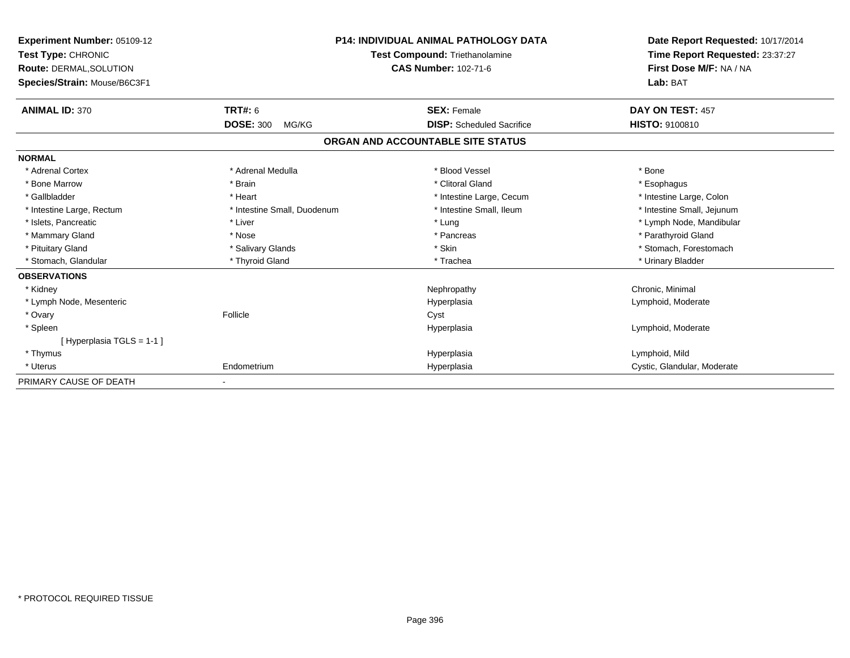| Experiment Number: 05109-12<br>Test Type: CHRONIC<br><b>Route: DERMAL, SOLUTION</b><br>Species/Strain: Mouse/B6C3F1 |                             | <b>P14: INDIVIDUAL ANIMAL PATHOLOGY DATA</b><br><b>Test Compound: Triethanolamine</b><br><b>CAS Number: 102-71-6</b> | Date Report Requested: 10/17/2014<br>Time Report Requested: 23:37:27<br>First Dose M/F: NA / NA<br>Lab: BAT |  |
|---------------------------------------------------------------------------------------------------------------------|-----------------------------|----------------------------------------------------------------------------------------------------------------------|-------------------------------------------------------------------------------------------------------------|--|
| <b>ANIMAL ID: 370</b>                                                                                               | <b>TRT#: 6</b>              | <b>SEX: Female</b>                                                                                                   | DAY ON TEST: 457                                                                                            |  |
|                                                                                                                     | <b>DOSE: 300</b><br>MG/KG   | <b>DISP:</b> Scheduled Sacrifice                                                                                     | <b>HISTO: 9100810</b>                                                                                       |  |
|                                                                                                                     |                             | ORGAN AND ACCOUNTABLE SITE STATUS                                                                                    |                                                                                                             |  |
| <b>NORMAL</b>                                                                                                       |                             |                                                                                                                      |                                                                                                             |  |
| * Adrenal Cortex                                                                                                    | * Adrenal Medulla           | * Blood Vessel                                                                                                       | * Bone                                                                                                      |  |
| * Bone Marrow                                                                                                       | * Brain                     | * Clitoral Gland                                                                                                     | * Esophagus                                                                                                 |  |
| * Gallbladder                                                                                                       | * Heart                     | * Intestine Large, Cecum                                                                                             | * Intestine Large, Colon                                                                                    |  |
| * Intestine Large, Rectum                                                                                           | * Intestine Small, Duodenum | * Intestine Small, Ileum                                                                                             | * Intestine Small, Jejunum                                                                                  |  |
| * Islets, Pancreatic                                                                                                | * Liver                     | * Lung                                                                                                               | * Lymph Node, Mandibular                                                                                    |  |
| * Mammary Gland                                                                                                     | * Nose                      | * Pancreas                                                                                                           | * Parathyroid Gland                                                                                         |  |
| * Pituitary Gland                                                                                                   | * Salivary Glands           | * Skin                                                                                                               | * Stomach, Forestomach                                                                                      |  |
| * Stomach, Glandular                                                                                                | * Thyroid Gland             | * Trachea                                                                                                            | * Urinary Bladder                                                                                           |  |
| <b>OBSERVATIONS</b>                                                                                                 |                             |                                                                                                                      |                                                                                                             |  |
| * Kidney                                                                                                            |                             | Nephropathy                                                                                                          | Chronic, Minimal                                                                                            |  |
| * Lymph Node, Mesenteric                                                                                            |                             | Hyperplasia                                                                                                          | Lymphoid, Moderate                                                                                          |  |
| * Ovary                                                                                                             | Follicle                    | Cyst                                                                                                                 |                                                                                                             |  |
| * Spleen                                                                                                            |                             | Hyperplasia                                                                                                          | Lymphoid, Moderate                                                                                          |  |
| [Hyperplasia TGLS = 1-1]                                                                                            |                             |                                                                                                                      |                                                                                                             |  |
| * Thymus                                                                                                            |                             | Hyperplasia                                                                                                          | Lymphoid, Mild                                                                                              |  |
| * Uterus                                                                                                            | Endometrium                 | Hyperplasia                                                                                                          | Cystic, Glandular, Moderate                                                                                 |  |
| PRIMARY CAUSE OF DEATH                                                                                              |                             |                                                                                                                      |                                                                                                             |  |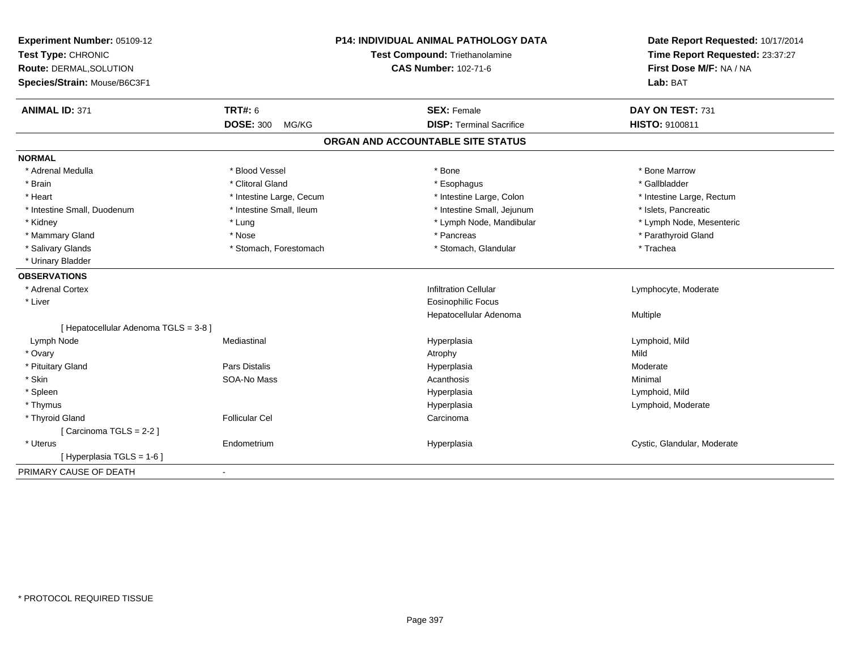| Experiment Number: 05109-12<br>Test Type: CHRONIC<br>Route: DERMAL, SOLUTION<br>Species/Strain: Mouse/B6C3F1 | <b>P14: INDIVIDUAL ANIMAL PATHOLOGY DATA</b><br><b>Test Compound: Triethanolamine</b><br><b>CAS Number: 102-71-6</b> |                                   | Date Report Requested: 10/17/2014<br>Time Report Requested: 23:37:27<br>First Dose M/F: NA / NA<br>Lab: BAT |  |
|--------------------------------------------------------------------------------------------------------------|----------------------------------------------------------------------------------------------------------------------|-----------------------------------|-------------------------------------------------------------------------------------------------------------|--|
| <b>ANIMAL ID: 371</b>                                                                                        | <b>TRT#: 6</b>                                                                                                       | <b>SEX: Female</b>                | DAY ON TEST: 731                                                                                            |  |
|                                                                                                              | <b>DOSE: 300</b><br>MG/KG                                                                                            | <b>DISP: Terminal Sacrifice</b>   | HISTO: 9100811                                                                                              |  |
|                                                                                                              |                                                                                                                      | ORGAN AND ACCOUNTABLE SITE STATUS |                                                                                                             |  |
| <b>NORMAL</b>                                                                                                |                                                                                                                      |                                   |                                                                                                             |  |
| * Adrenal Medulla                                                                                            | * Blood Vessel                                                                                                       | * Bone                            | * Bone Marrow                                                                                               |  |
| * Brain                                                                                                      | * Clitoral Gland                                                                                                     | * Esophagus                       | * Gallbladder                                                                                               |  |
| * Heart                                                                                                      | * Intestine Large, Cecum                                                                                             | * Intestine Large, Colon          | * Intestine Large, Rectum                                                                                   |  |
| * Intestine Small, Duodenum                                                                                  | * Intestine Small, Ileum                                                                                             | * Intestine Small, Jejunum        | * Islets, Pancreatic                                                                                        |  |
| * Kidney                                                                                                     | * Lung                                                                                                               | * Lymph Node, Mandibular          | * Lymph Node, Mesenteric                                                                                    |  |
| * Mammary Gland                                                                                              | * Nose                                                                                                               | * Pancreas                        | * Parathyroid Gland                                                                                         |  |
| * Salivary Glands                                                                                            | * Stomach, Forestomach                                                                                               | * Stomach, Glandular              | * Trachea                                                                                                   |  |
| * Urinary Bladder                                                                                            |                                                                                                                      |                                   |                                                                                                             |  |
| <b>OBSERVATIONS</b>                                                                                          |                                                                                                                      |                                   |                                                                                                             |  |
| * Adrenal Cortex                                                                                             |                                                                                                                      | <b>Infiltration Cellular</b>      | Lymphocyte, Moderate                                                                                        |  |
| * Liver                                                                                                      |                                                                                                                      | <b>Eosinophilic Focus</b>         |                                                                                                             |  |
|                                                                                                              |                                                                                                                      | Hepatocellular Adenoma            | Multiple                                                                                                    |  |
| [ Hepatocellular Adenoma TGLS = 3-8 ]                                                                        |                                                                                                                      |                                   |                                                                                                             |  |
| Lymph Node                                                                                                   | Mediastinal                                                                                                          | Hyperplasia                       | Lymphoid, Mild                                                                                              |  |
| * Ovary                                                                                                      |                                                                                                                      | Atrophy                           | Mild                                                                                                        |  |
| * Pituitary Gland                                                                                            | <b>Pars Distalis</b>                                                                                                 | Hyperplasia                       | Moderate                                                                                                    |  |
| * Skin                                                                                                       | SOA-No Mass                                                                                                          | Acanthosis                        | Minimal                                                                                                     |  |
| * Spleen                                                                                                     |                                                                                                                      | Hyperplasia                       | Lymphoid, Mild                                                                                              |  |
| * Thymus                                                                                                     |                                                                                                                      | Hyperplasia                       | Lymphoid, Moderate                                                                                          |  |
| * Thyroid Gland                                                                                              | <b>Follicular Cel</b>                                                                                                | Carcinoma                         |                                                                                                             |  |
| [Carcinoma TGLS = 2-2]                                                                                       |                                                                                                                      |                                   |                                                                                                             |  |
| * Uterus                                                                                                     | Endometrium                                                                                                          | Hyperplasia                       | Cystic, Glandular, Moderate                                                                                 |  |
| [ Hyperplasia TGLS = 1-6 ]                                                                                   |                                                                                                                      |                                   |                                                                                                             |  |
| PRIMARY CAUSE OF DEATH                                                                                       | $\blacksquare$                                                                                                       |                                   |                                                                                                             |  |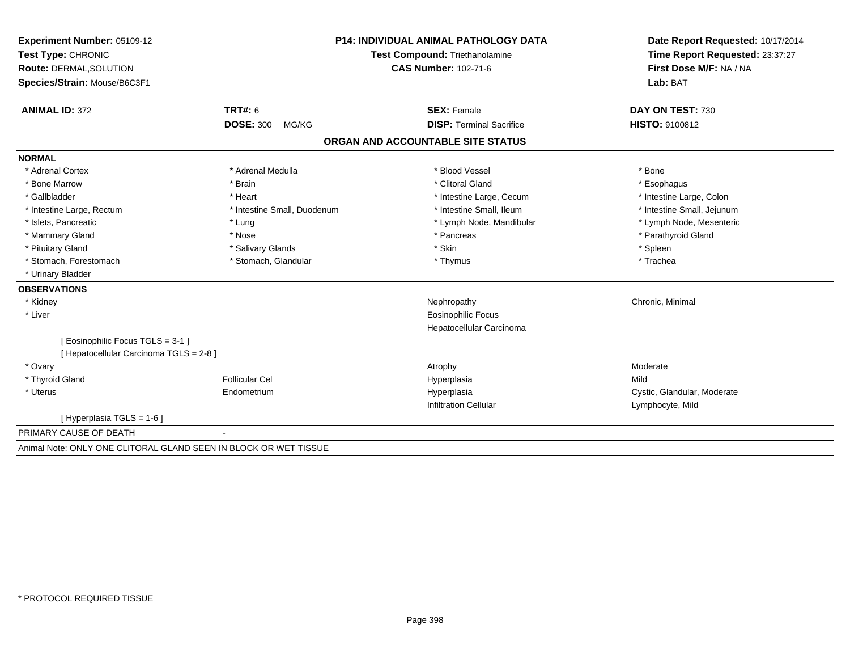| <b>Experiment Number: 05109-12</b>                               |                             | <b>P14: INDIVIDUAL ANIMAL PATHOLOGY DATA</b> | Date Report Requested: 10/17/2014<br>Time Report Requested: 23:37:27<br>First Dose M/F: NA / NA<br>Lab: BAT |  |
|------------------------------------------------------------------|-----------------------------|----------------------------------------------|-------------------------------------------------------------------------------------------------------------|--|
| Test Type: CHRONIC                                               |                             | Test Compound: Triethanolamine               |                                                                                                             |  |
| <b>Route: DERMAL, SOLUTION</b>                                   |                             | <b>CAS Number: 102-71-6</b>                  |                                                                                                             |  |
| Species/Strain: Mouse/B6C3F1                                     |                             |                                              |                                                                                                             |  |
| <b>ANIMAL ID: 372</b>                                            | TRT#: 6                     | <b>SEX: Female</b>                           | DAY ON TEST: 730                                                                                            |  |
|                                                                  | <b>DOSE: 300</b><br>MG/KG   | <b>DISP: Terminal Sacrifice</b>              | HISTO: 9100812                                                                                              |  |
|                                                                  |                             | ORGAN AND ACCOUNTABLE SITE STATUS            |                                                                                                             |  |
| <b>NORMAL</b>                                                    |                             |                                              |                                                                                                             |  |
| * Adrenal Cortex                                                 | * Adrenal Medulla           | * Blood Vessel                               | * Bone                                                                                                      |  |
| * Bone Marrow                                                    | * Brain                     | * Clitoral Gland                             | * Esophagus                                                                                                 |  |
| * Gallbladder                                                    | * Heart                     | * Intestine Large, Cecum                     | * Intestine Large, Colon                                                                                    |  |
| * Intestine Large, Rectum                                        | * Intestine Small, Duodenum | * Intestine Small, Ileum                     | * Intestine Small, Jejunum                                                                                  |  |
| * Islets, Pancreatic                                             | * Lung                      | * Lymph Node, Mandibular                     | * Lymph Node, Mesenteric                                                                                    |  |
| * Mammary Gland                                                  | * Nose                      | * Pancreas                                   | * Parathyroid Gland                                                                                         |  |
| * Pituitary Gland                                                | * Salivary Glands           | * Skin                                       | * Spleen                                                                                                    |  |
| * Stomach, Forestomach                                           | * Stomach, Glandular        | * Thymus                                     | * Trachea                                                                                                   |  |
| * Urinary Bladder                                                |                             |                                              |                                                                                                             |  |
| <b>OBSERVATIONS</b>                                              |                             |                                              |                                                                                                             |  |
| * Kidney                                                         |                             | Nephropathy                                  | Chronic, Minimal                                                                                            |  |
| * Liver                                                          |                             | <b>Eosinophilic Focus</b>                    |                                                                                                             |  |
|                                                                  |                             | Hepatocellular Carcinoma                     |                                                                                                             |  |
| [ Eosinophilic Focus TGLS = 3-1 ]                                |                             |                                              |                                                                                                             |  |
| [ Hepatocellular Carcinoma TGLS = 2-8 ]                          |                             |                                              |                                                                                                             |  |
| * Ovary                                                          |                             | Atrophy                                      | Moderate                                                                                                    |  |
| * Thyroid Gland                                                  | <b>Follicular Cel</b>       | Hyperplasia                                  | Mild                                                                                                        |  |
| * Uterus                                                         | Endometrium                 | Hyperplasia                                  | Cystic, Glandular, Moderate                                                                                 |  |
|                                                                  |                             | <b>Infiltration Cellular</b>                 | Lymphocyte, Mild                                                                                            |  |
| [Hyperplasia TGLS = $1-6$ ]                                      |                             |                                              |                                                                                                             |  |
| PRIMARY CAUSE OF DEATH                                           |                             |                                              |                                                                                                             |  |
| Animal Note: ONLY ONE CLITORAL GLAND SEEN IN BLOCK OR WET TISSUE |                             |                                              |                                                                                                             |  |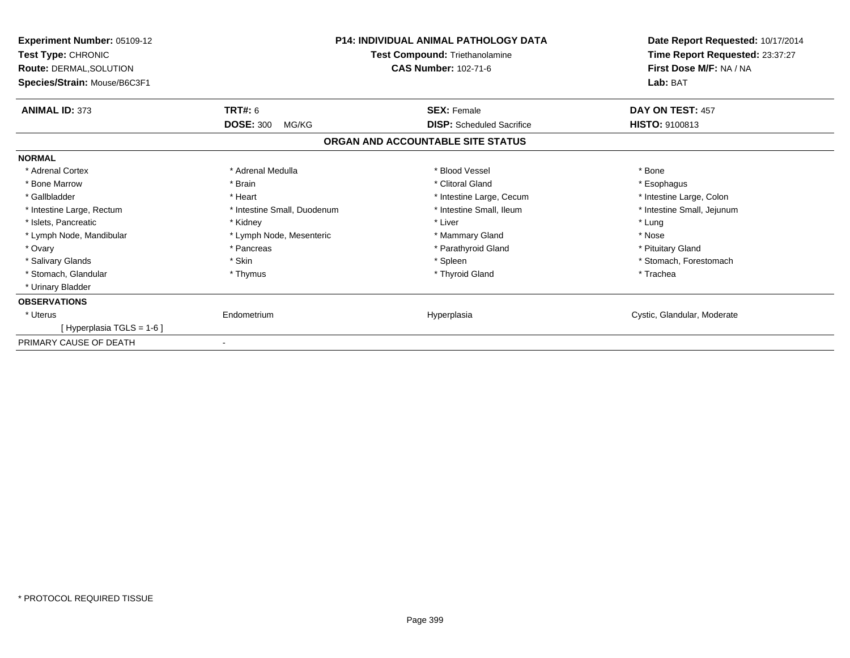| Experiment Number: 05109-12<br>Test Type: CHRONIC<br><b>Route: DERMAL, SOLUTION</b><br>Species/Strain: Mouse/B6C3F1 | <b>P14: INDIVIDUAL ANIMAL PATHOLOGY DATA</b><br>Test Compound: Triethanolamine<br><b>CAS Number: 102-71-6</b> |                                                        | Date Report Requested: 10/17/2014<br>Time Report Requested: 23:37:27<br>First Dose M/F: NA / NA<br>Lab: BAT |  |
|---------------------------------------------------------------------------------------------------------------------|---------------------------------------------------------------------------------------------------------------|--------------------------------------------------------|-------------------------------------------------------------------------------------------------------------|--|
| <b>ANIMAL ID: 373</b>                                                                                               | TRT#: 6<br><b>DOSE: 300</b><br>MG/KG                                                                          | <b>SEX: Female</b><br><b>DISP:</b> Scheduled Sacrifice | DAY ON TEST: 457<br><b>HISTO: 9100813</b>                                                                   |  |
|                                                                                                                     |                                                                                                               | ORGAN AND ACCOUNTABLE SITE STATUS                      |                                                                                                             |  |
| <b>NORMAL</b>                                                                                                       |                                                                                                               |                                                        |                                                                                                             |  |
| * Adrenal Cortex                                                                                                    | * Adrenal Medulla                                                                                             | * Blood Vessel                                         | * Bone                                                                                                      |  |
| * Bone Marrow                                                                                                       | * Brain                                                                                                       | * Clitoral Gland                                       | * Esophagus                                                                                                 |  |
| * Gallbladder                                                                                                       | * Heart                                                                                                       | * Intestine Large, Cecum                               | * Intestine Large, Colon                                                                                    |  |
| * Intestine Large, Rectum                                                                                           | * Intestine Small, Duodenum                                                                                   | * Intestine Small, Ileum                               | * Intestine Small, Jejunum                                                                                  |  |
| * Islets, Pancreatic                                                                                                | * Kidney                                                                                                      | * Liver                                                | * Lung                                                                                                      |  |
| * Lymph Node, Mandibular                                                                                            | * Lymph Node, Mesenteric                                                                                      | * Mammary Gland                                        | * Nose                                                                                                      |  |
| * Ovary                                                                                                             | * Pancreas                                                                                                    | * Parathyroid Gland                                    | * Pituitary Gland                                                                                           |  |
| * Salivary Glands                                                                                                   | * Skin                                                                                                        | * Spleen                                               | * Stomach, Forestomach                                                                                      |  |
| * Stomach, Glandular                                                                                                | * Thymus                                                                                                      | * Thyroid Gland                                        | * Trachea                                                                                                   |  |
| * Urinary Bladder                                                                                                   |                                                                                                               |                                                        |                                                                                                             |  |
| <b>OBSERVATIONS</b>                                                                                                 |                                                                                                               |                                                        |                                                                                                             |  |
| * Uterus                                                                                                            | Endometrium                                                                                                   | Hyperplasia                                            | Cystic, Glandular, Moderate                                                                                 |  |
| [Hyperplasia TGLS = $1-6$ ]                                                                                         |                                                                                                               |                                                        |                                                                                                             |  |
| PRIMARY CAUSE OF DEATH                                                                                              |                                                                                                               |                                                        |                                                                                                             |  |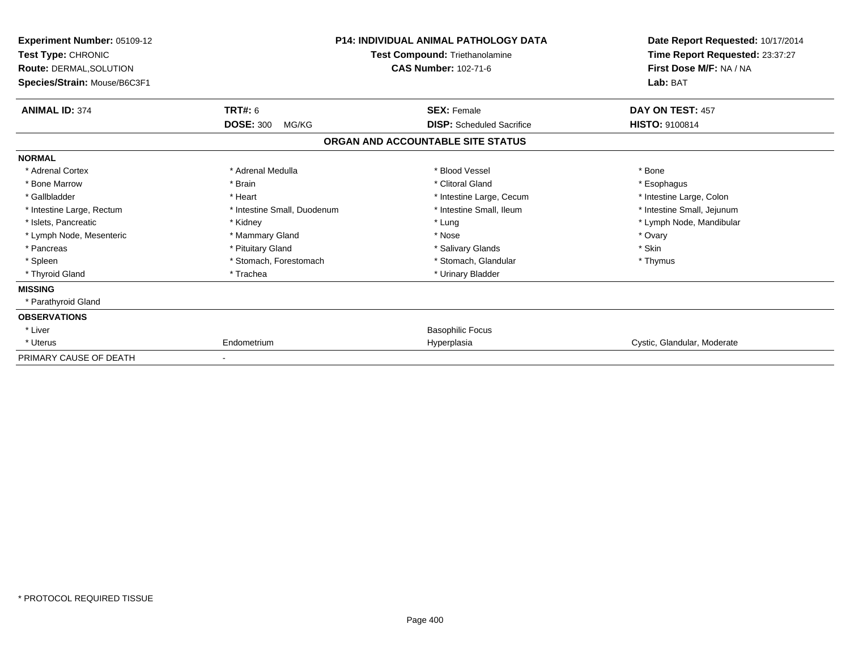| Experiment Number: 05109-12<br>Test Type: CHRONIC<br>Route: DERMAL, SOLUTION<br>Species/Strain: Mouse/B6C3F1 | <b>P14: INDIVIDUAL ANIMAL PATHOLOGY DATA</b><br>Test Compound: Triethanolamine<br><b>CAS Number: 102-71-6</b> |                                   | Date Report Requested: 10/17/2014<br>Time Report Requested: 23:37:27<br>First Dose M/F: NA / NA<br>Lab: BAT |
|--------------------------------------------------------------------------------------------------------------|---------------------------------------------------------------------------------------------------------------|-----------------------------------|-------------------------------------------------------------------------------------------------------------|
| <b>ANIMAL ID: 374</b>                                                                                        | TRT#: 6                                                                                                       | <b>SEX: Female</b>                | DAY ON TEST: 457                                                                                            |
|                                                                                                              | <b>DOSE: 300</b><br>MG/KG                                                                                     | <b>DISP:</b> Scheduled Sacrifice  | <b>HISTO: 9100814</b>                                                                                       |
|                                                                                                              |                                                                                                               | ORGAN AND ACCOUNTABLE SITE STATUS |                                                                                                             |
| <b>NORMAL</b>                                                                                                |                                                                                                               |                                   |                                                                                                             |
| * Adrenal Cortex                                                                                             | * Adrenal Medulla                                                                                             | * Blood Vessel                    | * Bone                                                                                                      |
| * Bone Marrow                                                                                                | * Brain                                                                                                       | * Clitoral Gland                  | * Esophagus                                                                                                 |
| * Gallbladder                                                                                                | * Heart                                                                                                       | * Intestine Large, Cecum          | * Intestine Large, Colon                                                                                    |
| * Intestine Large, Rectum                                                                                    | * Intestine Small, Duodenum                                                                                   | * Intestine Small, Ileum          | * Intestine Small, Jejunum                                                                                  |
| * Islets, Pancreatic                                                                                         | * Kidney                                                                                                      | * Lung                            | * Lymph Node, Mandibular                                                                                    |
| * Lymph Node, Mesenteric                                                                                     | * Mammary Gland                                                                                               | * Nose                            | * Ovary                                                                                                     |
| * Pancreas                                                                                                   | * Pituitary Gland                                                                                             | * Salivary Glands                 | * Skin                                                                                                      |
| * Spleen                                                                                                     | * Stomach, Forestomach                                                                                        | * Stomach, Glandular              | * Thymus                                                                                                    |
| * Thyroid Gland                                                                                              | * Trachea                                                                                                     | * Urinary Bladder                 |                                                                                                             |
| <b>MISSING</b>                                                                                               |                                                                                                               |                                   |                                                                                                             |
| * Parathyroid Gland                                                                                          |                                                                                                               |                                   |                                                                                                             |
| <b>OBSERVATIONS</b>                                                                                          |                                                                                                               |                                   |                                                                                                             |
| * Liver                                                                                                      |                                                                                                               | <b>Basophilic Focus</b>           |                                                                                                             |
| * Uterus                                                                                                     | Endometrium                                                                                                   | Hyperplasia                       | Cystic, Glandular, Moderate                                                                                 |
| PRIMARY CAUSE OF DEATH                                                                                       |                                                                                                               |                                   |                                                                                                             |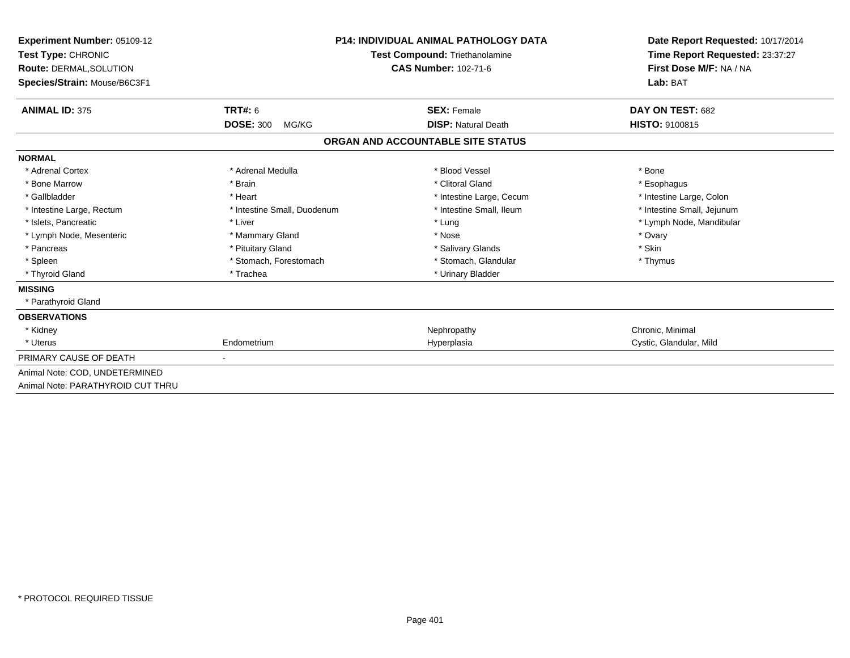| <b>Experiment Number: 05109-12</b><br>Test Type: CHRONIC<br><b>Route: DERMAL, SOLUTION</b><br>Species/Strain: Mouse/B6C3F1 |                             | <b>P14: INDIVIDUAL ANIMAL PATHOLOGY DATA</b><br>Test Compound: Triethanolamine<br><b>CAS Number: 102-71-6</b> | Date Report Requested: 10/17/2014<br>Time Report Requested: 23:37:27<br>First Dose M/F: NA / NA<br>Lab: BAT |  |
|----------------------------------------------------------------------------------------------------------------------------|-----------------------------|---------------------------------------------------------------------------------------------------------------|-------------------------------------------------------------------------------------------------------------|--|
| <b>ANIMAL ID: 375</b>                                                                                                      | <b>TRT#: 6</b>              | <b>SEX: Female</b>                                                                                            | DAY ON TEST: 682                                                                                            |  |
|                                                                                                                            | <b>DOSE: 300</b><br>MG/KG   | <b>DISP: Natural Death</b>                                                                                    | <b>HISTO: 9100815</b>                                                                                       |  |
|                                                                                                                            |                             | ORGAN AND ACCOUNTABLE SITE STATUS                                                                             |                                                                                                             |  |
| <b>NORMAL</b>                                                                                                              |                             |                                                                                                               |                                                                                                             |  |
| * Adrenal Cortex                                                                                                           | * Adrenal Medulla           | * Blood Vessel                                                                                                | * Bone                                                                                                      |  |
| * Bone Marrow                                                                                                              | * Brain                     | * Clitoral Gland                                                                                              | * Esophagus                                                                                                 |  |
| * Gallbladder                                                                                                              | * Heart                     | * Intestine Large, Cecum                                                                                      | * Intestine Large, Colon                                                                                    |  |
| * Intestine Large, Rectum                                                                                                  | * Intestine Small, Duodenum | * Intestine Small, Ileum                                                                                      | * Intestine Small, Jejunum                                                                                  |  |
| * Islets, Pancreatic                                                                                                       | * Liver                     | * Lung                                                                                                        | * Lymph Node, Mandibular                                                                                    |  |
| * Lymph Node, Mesenteric                                                                                                   | * Mammary Gland             | * Nose                                                                                                        | * Ovary                                                                                                     |  |
| * Pancreas                                                                                                                 | * Pituitary Gland           | * Salivary Glands                                                                                             | * Skin                                                                                                      |  |
| * Spleen                                                                                                                   | * Stomach, Forestomach      | * Stomach, Glandular                                                                                          | * Thymus                                                                                                    |  |
| * Thyroid Gland                                                                                                            | * Trachea                   | * Urinary Bladder                                                                                             |                                                                                                             |  |
| <b>MISSING</b>                                                                                                             |                             |                                                                                                               |                                                                                                             |  |
| * Parathyroid Gland                                                                                                        |                             |                                                                                                               |                                                                                                             |  |
| <b>OBSERVATIONS</b>                                                                                                        |                             |                                                                                                               |                                                                                                             |  |
| * Kidney                                                                                                                   |                             | Nephropathy                                                                                                   | Chronic, Minimal                                                                                            |  |
| * Uterus                                                                                                                   | Endometrium                 | Hyperplasia                                                                                                   | Cystic, Glandular, Mild                                                                                     |  |
| PRIMARY CAUSE OF DEATH                                                                                                     |                             |                                                                                                               |                                                                                                             |  |
| Animal Note: COD, UNDETERMINED                                                                                             |                             |                                                                                                               |                                                                                                             |  |
| Animal Note: PARATHYROID CUT THRU                                                                                          |                             |                                                                                                               |                                                                                                             |  |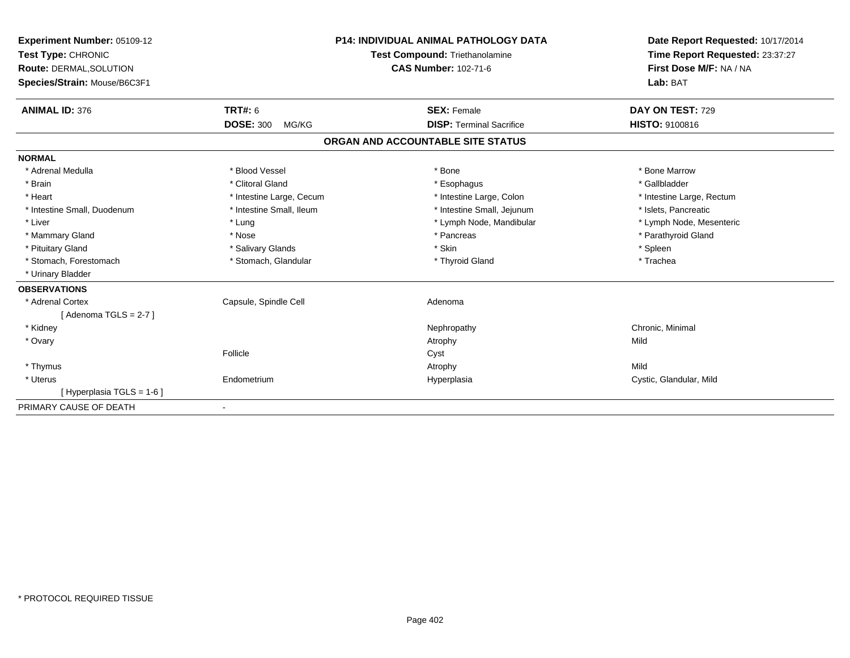| Experiment Number: 05109-12<br>Test Type: CHRONIC<br>Route: DERMAL, SOLUTION<br>Species/Strain: Mouse/B6C3F1 |                           | <b>P14: INDIVIDUAL ANIMAL PATHOLOGY DATA</b><br>Test Compound: Triethanolamine<br><b>CAS Number: 102-71-6</b> | Date Report Requested: 10/17/2014<br>Time Report Requested: 23:37:27<br>First Dose M/F: NA / NA<br>Lab: BAT |  |
|--------------------------------------------------------------------------------------------------------------|---------------------------|---------------------------------------------------------------------------------------------------------------|-------------------------------------------------------------------------------------------------------------|--|
| <b>ANIMAL ID: 376</b>                                                                                        | <b>TRT#: 6</b>            | <b>SEX: Female</b>                                                                                            | DAY ON TEST: 729                                                                                            |  |
|                                                                                                              | <b>DOSE: 300</b><br>MG/KG | <b>DISP: Terminal Sacrifice</b>                                                                               | HISTO: 9100816                                                                                              |  |
|                                                                                                              |                           | ORGAN AND ACCOUNTABLE SITE STATUS                                                                             |                                                                                                             |  |
| <b>NORMAL</b>                                                                                                |                           |                                                                                                               |                                                                                                             |  |
| * Adrenal Medulla                                                                                            | * Blood Vessel            | * Bone                                                                                                        | * Bone Marrow                                                                                               |  |
| * Brain                                                                                                      | * Clitoral Gland          | * Esophagus                                                                                                   | * Gallbladder                                                                                               |  |
| * Heart                                                                                                      | * Intestine Large, Cecum  | * Intestine Large, Colon                                                                                      | * Intestine Large, Rectum                                                                                   |  |
| * Intestine Small, Duodenum                                                                                  | * Intestine Small, Ileum  | * Intestine Small, Jejunum                                                                                    | * Islets, Pancreatic                                                                                        |  |
| * Liver                                                                                                      | * Lung                    | * Lymph Node, Mandibular                                                                                      | * Lymph Node, Mesenteric                                                                                    |  |
| * Mammary Gland                                                                                              | * Nose                    | * Pancreas                                                                                                    | * Parathyroid Gland                                                                                         |  |
| * Pituitary Gland                                                                                            | * Salivary Glands         | * Skin                                                                                                        | * Spleen                                                                                                    |  |
| * Stomach, Forestomach                                                                                       | * Stomach, Glandular      | * Thyroid Gland                                                                                               | * Trachea                                                                                                   |  |
| * Urinary Bladder                                                                                            |                           |                                                                                                               |                                                                                                             |  |
| <b>OBSERVATIONS</b>                                                                                          |                           |                                                                                                               |                                                                                                             |  |
| * Adrenal Cortex                                                                                             | Capsule, Spindle Cell     | Adenoma                                                                                                       |                                                                                                             |  |
| [Adenoma TGLS = $2-7$ ]                                                                                      |                           |                                                                                                               |                                                                                                             |  |
| * Kidney                                                                                                     |                           | Nephropathy                                                                                                   | Chronic, Minimal                                                                                            |  |
| * Ovary                                                                                                      |                           | Atrophy                                                                                                       | Mild                                                                                                        |  |
|                                                                                                              | Follicle                  | Cyst                                                                                                          |                                                                                                             |  |
| * Thymus                                                                                                     |                           | Atrophy                                                                                                       | Mild                                                                                                        |  |
| * Uterus                                                                                                     | Endometrium               | Hyperplasia                                                                                                   | Cystic, Glandular, Mild                                                                                     |  |
| [Hyperplasia TGLS = 1-6]                                                                                     |                           |                                                                                                               |                                                                                                             |  |
| PRIMARY CAUSE OF DEATH                                                                                       | $\blacksquare$            |                                                                                                               |                                                                                                             |  |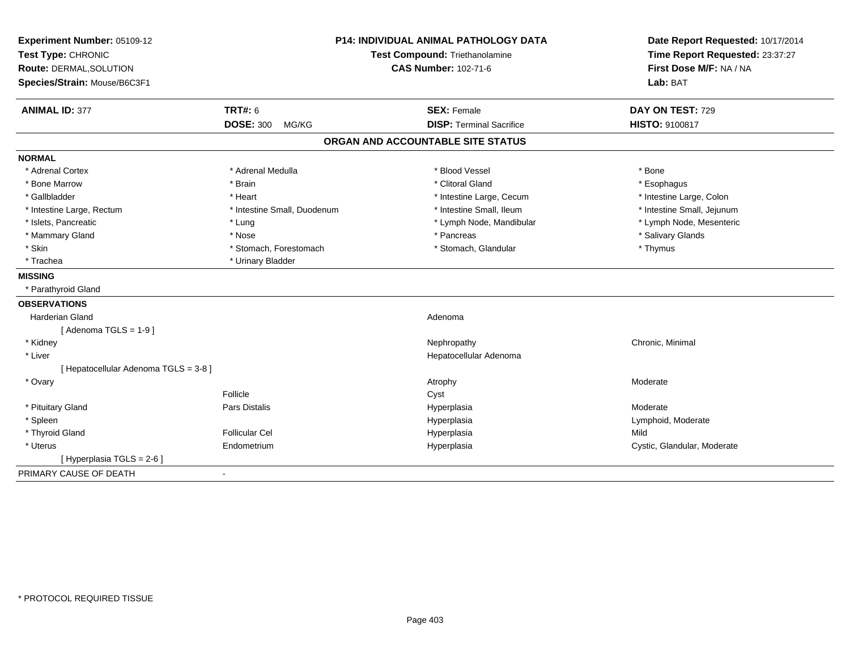| Experiment Number: 05109-12<br>Test Type: CHRONIC<br>Route: DERMAL, SOLUTION<br>Species/Strain: Mouse/B6C3F1 | <b>P14: INDIVIDUAL ANIMAL PATHOLOGY DATA</b><br>Test Compound: Triethanolamine<br><b>CAS Number: 102-71-6</b> |                                   | Date Report Requested: 10/17/2014<br>Time Report Requested: 23:37:27<br>First Dose M/F: NA / NA<br>Lab: BAT |
|--------------------------------------------------------------------------------------------------------------|---------------------------------------------------------------------------------------------------------------|-----------------------------------|-------------------------------------------------------------------------------------------------------------|
| <b>ANIMAL ID: 377</b>                                                                                        | <b>TRT#: 6</b>                                                                                                | <b>SEX: Female</b>                | DAY ON TEST: 729                                                                                            |
|                                                                                                              | DOSE: 300 MG/KG                                                                                               | <b>DISP: Terminal Sacrifice</b>   | HISTO: 9100817                                                                                              |
|                                                                                                              |                                                                                                               | ORGAN AND ACCOUNTABLE SITE STATUS |                                                                                                             |
| <b>NORMAL</b>                                                                                                |                                                                                                               |                                   |                                                                                                             |
| * Adrenal Cortex                                                                                             | * Adrenal Medulla                                                                                             | * Blood Vessel                    | * Bone                                                                                                      |
| * Bone Marrow                                                                                                | * Brain                                                                                                       | * Clitoral Gland                  | * Esophagus                                                                                                 |
| * Gallbladder                                                                                                | * Heart                                                                                                       | * Intestine Large, Cecum          | * Intestine Large, Colon                                                                                    |
| * Intestine Large, Rectum                                                                                    | * Intestine Small, Duodenum                                                                                   | * Intestine Small, Ileum          | * Intestine Small, Jejunum                                                                                  |
| * Islets, Pancreatic                                                                                         | * Lung                                                                                                        | * Lymph Node, Mandibular          | * Lymph Node, Mesenteric                                                                                    |
| * Mammary Gland                                                                                              | * Nose                                                                                                        | * Pancreas                        | * Salivary Glands                                                                                           |
| * Skin                                                                                                       | * Stomach, Forestomach                                                                                        | * Stomach, Glandular              | * Thymus                                                                                                    |
| * Trachea                                                                                                    | * Urinary Bladder                                                                                             |                                   |                                                                                                             |
| <b>MISSING</b>                                                                                               |                                                                                                               |                                   |                                                                                                             |
| * Parathyroid Gland                                                                                          |                                                                                                               |                                   |                                                                                                             |
| <b>OBSERVATIONS</b>                                                                                          |                                                                                                               |                                   |                                                                                                             |
| <b>Harderian Gland</b>                                                                                       |                                                                                                               | Adenoma                           |                                                                                                             |
| [Adenoma TGLS = $1-9$ ]                                                                                      |                                                                                                               |                                   |                                                                                                             |
| * Kidney                                                                                                     |                                                                                                               | Nephropathy                       | Chronic, Minimal                                                                                            |
| * Liver                                                                                                      |                                                                                                               | Hepatocellular Adenoma            |                                                                                                             |
| [Hepatocellular Adenoma TGLS = 3-8]                                                                          |                                                                                                               |                                   |                                                                                                             |
| * Ovary                                                                                                      |                                                                                                               | Atrophy                           | Moderate                                                                                                    |
|                                                                                                              | Follicle                                                                                                      | Cyst                              |                                                                                                             |
| * Pituitary Gland                                                                                            | Pars Distalis                                                                                                 | Hyperplasia                       | Moderate                                                                                                    |
| * Spleen                                                                                                     |                                                                                                               | Hyperplasia                       | Lymphoid, Moderate                                                                                          |
| * Thyroid Gland                                                                                              | <b>Follicular Cel</b>                                                                                         | Hyperplasia                       | Mild                                                                                                        |
| * Uterus                                                                                                     | Endometrium                                                                                                   | Hyperplasia                       | Cystic, Glandular, Moderate                                                                                 |
| [ Hyperplasia TGLS = 2-6 ]                                                                                   |                                                                                                               |                                   |                                                                                                             |
| PRIMARY CAUSE OF DEATH                                                                                       | $\blacksquare$                                                                                                |                                   |                                                                                                             |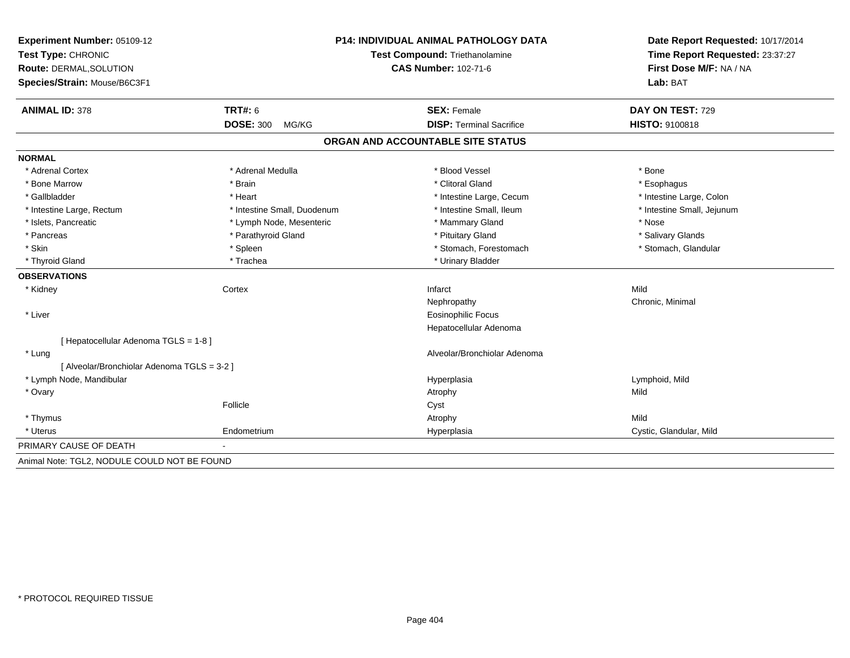| Experiment Number: 05109-12<br>Test Type: CHRONIC |                             | <b>P14: INDIVIDUAL ANIMAL PATHOLOGY DATA</b><br>Test Compound: Triethanolamine | Date Report Requested: 10/17/2014<br>Time Report Requested: 23:37:27 |  |
|---------------------------------------------------|-----------------------------|--------------------------------------------------------------------------------|----------------------------------------------------------------------|--|
| Route: DERMAL, SOLUTION                           |                             | <b>CAS Number: 102-71-6</b>                                                    | First Dose M/F: NA / NA<br>Lab: BAT                                  |  |
| Species/Strain: Mouse/B6C3F1                      |                             |                                                                                |                                                                      |  |
| <b>ANIMAL ID: 378</b>                             | <b>TRT#: 6</b>              | <b>SEX: Female</b>                                                             | DAY ON TEST: 729                                                     |  |
|                                                   | <b>DOSE: 300</b><br>MG/KG   | <b>DISP: Terminal Sacrifice</b>                                                | HISTO: 9100818                                                       |  |
|                                                   |                             | ORGAN AND ACCOUNTABLE SITE STATUS                                              |                                                                      |  |
| <b>NORMAL</b>                                     |                             |                                                                                |                                                                      |  |
| * Adrenal Cortex                                  | * Adrenal Medulla           | * Blood Vessel                                                                 | * Bone                                                               |  |
| * Bone Marrow                                     | * Brain                     | * Clitoral Gland                                                               | * Esophagus                                                          |  |
| * Gallbladder                                     | * Heart                     | * Intestine Large, Cecum                                                       | * Intestine Large, Colon                                             |  |
| * Intestine Large, Rectum                         | * Intestine Small, Duodenum | * Intestine Small, Ileum                                                       | * Intestine Small, Jejunum                                           |  |
| * Islets, Pancreatic                              | * Lymph Node, Mesenteric    | * Mammary Gland                                                                | * Nose                                                               |  |
| * Pancreas                                        | * Parathyroid Gland         | * Pituitary Gland                                                              | * Salivary Glands                                                    |  |
| * Skin                                            | * Spleen                    | * Stomach, Forestomach                                                         | * Stomach, Glandular                                                 |  |
| * Thyroid Gland                                   | * Trachea                   | * Urinary Bladder                                                              |                                                                      |  |
| <b>OBSERVATIONS</b>                               |                             |                                                                                |                                                                      |  |
| * Kidney                                          | Cortex                      | Infarct                                                                        | Mild                                                                 |  |
|                                                   |                             | Nephropathy                                                                    | Chronic, Minimal                                                     |  |
| * Liver                                           |                             | <b>Eosinophilic Focus</b>                                                      |                                                                      |  |
|                                                   |                             | Hepatocellular Adenoma                                                         |                                                                      |  |
| [ Hepatocellular Adenoma TGLS = 1-8 ]             |                             |                                                                                |                                                                      |  |
| * Lung                                            |                             | Alveolar/Bronchiolar Adenoma                                                   |                                                                      |  |
| [ Alveolar/Bronchiolar Adenoma TGLS = 3-2 ]       |                             |                                                                                |                                                                      |  |
| * Lymph Node, Mandibular                          |                             | Hyperplasia                                                                    | Lymphoid, Mild                                                       |  |
| * Ovary                                           |                             | Atrophy                                                                        | Mild                                                                 |  |
|                                                   | Follicle                    | Cyst                                                                           |                                                                      |  |
| * Thymus                                          |                             | Atrophy                                                                        | Mild                                                                 |  |
| * Uterus                                          | Endometrium                 | Hyperplasia                                                                    | Cystic, Glandular, Mild                                              |  |
| PRIMARY CAUSE OF DEATH                            |                             |                                                                                |                                                                      |  |
| Animal Note: TGL2, NODULE COULD NOT BE FOUND      |                             |                                                                                |                                                                      |  |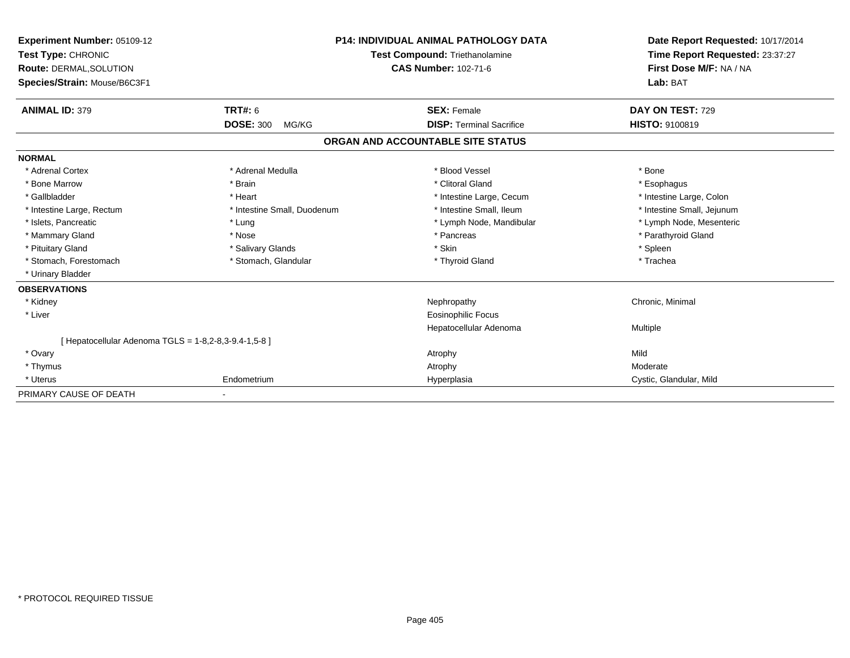| <b>Experiment Number: 05109-12</b><br>Test Type: CHRONIC<br>Route: DERMAL, SOLUTION<br>Species/Strain: Mouse/B6C3F1 |                             | <b>P14: INDIVIDUAL ANIMAL PATHOLOGY DATA</b><br><b>Test Compound: Triethanolamine</b><br><b>CAS Number: 102-71-6</b> | Date Report Requested: 10/17/2014<br>Time Report Requested: 23:37:27<br>First Dose M/F: NA / NA<br>Lab: BAT |  |
|---------------------------------------------------------------------------------------------------------------------|-----------------------------|----------------------------------------------------------------------------------------------------------------------|-------------------------------------------------------------------------------------------------------------|--|
| <b>ANIMAL ID: 379</b>                                                                                               | TRT#: 6                     | <b>SEX: Female</b>                                                                                                   | DAY ON TEST: 729                                                                                            |  |
|                                                                                                                     | <b>DOSE: 300</b><br>MG/KG   | <b>DISP: Terminal Sacrifice</b>                                                                                      | <b>HISTO: 9100819</b>                                                                                       |  |
|                                                                                                                     |                             | ORGAN AND ACCOUNTABLE SITE STATUS                                                                                    |                                                                                                             |  |
| <b>NORMAL</b>                                                                                                       |                             |                                                                                                                      |                                                                                                             |  |
| * Adrenal Cortex                                                                                                    | * Adrenal Medulla           | * Blood Vessel                                                                                                       | * Bone                                                                                                      |  |
| * Bone Marrow                                                                                                       | * Brain                     | * Clitoral Gland                                                                                                     | * Esophagus                                                                                                 |  |
| * Gallbladder                                                                                                       | * Heart                     | * Intestine Large, Cecum                                                                                             | * Intestine Large, Colon                                                                                    |  |
| * Intestine Large, Rectum                                                                                           | * Intestine Small, Duodenum | * Intestine Small, Ileum                                                                                             | * Intestine Small, Jejunum                                                                                  |  |
| * Islets, Pancreatic                                                                                                | * Lung                      | * Lymph Node, Mandibular                                                                                             | * Lymph Node, Mesenteric                                                                                    |  |
| * Mammary Gland                                                                                                     | * Nose                      | * Pancreas                                                                                                           | * Parathyroid Gland                                                                                         |  |
| * Pituitary Gland                                                                                                   | * Salivary Glands           | * Skin                                                                                                               | * Spleen                                                                                                    |  |
| * Stomach, Forestomach                                                                                              | * Stomach, Glandular        | * Thyroid Gland                                                                                                      | * Trachea                                                                                                   |  |
| * Urinary Bladder                                                                                                   |                             |                                                                                                                      |                                                                                                             |  |
| <b>OBSERVATIONS</b>                                                                                                 |                             |                                                                                                                      |                                                                                                             |  |
| * Kidney                                                                                                            |                             | Nephropathy                                                                                                          | Chronic, Minimal                                                                                            |  |
| * Liver                                                                                                             |                             | <b>Eosinophilic Focus</b>                                                                                            |                                                                                                             |  |
|                                                                                                                     |                             | Hepatocellular Adenoma                                                                                               | Multiple                                                                                                    |  |
| [ Hepatocellular Adenoma TGLS = 1-8,2-8,3-9.4-1,5-8 ]                                                               |                             |                                                                                                                      |                                                                                                             |  |
| * Ovary                                                                                                             |                             | Atrophy                                                                                                              | Mild                                                                                                        |  |
| * Thymus                                                                                                            |                             | Atrophy                                                                                                              | Moderate                                                                                                    |  |
| * Uterus                                                                                                            | Endometrium                 | Hyperplasia                                                                                                          | Cystic, Glandular, Mild                                                                                     |  |
| PRIMARY CAUSE OF DEATH                                                                                              |                             |                                                                                                                      |                                                                                                             |  |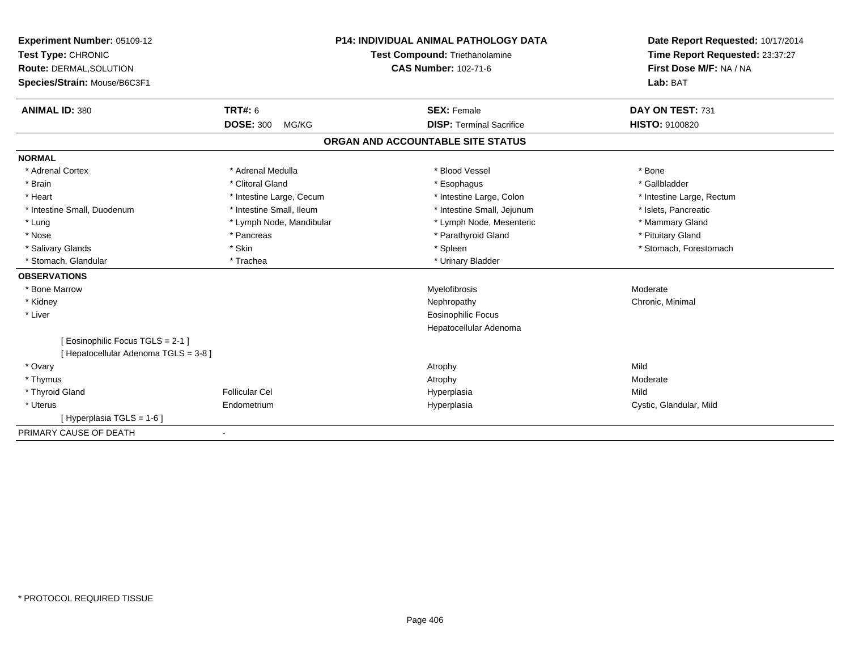| Experiment Number: 05109-12<br>Test Type: CHRONIC<br>Route: DERMAL, SOLUTION<br>Species/Strain: Mouse/B6C3F1<br><b>ANIMAL ID: 380</b> | <b>TRT#: 6</b>            | <b>P14: INDIVIDUAL ANIMAL PATHOLOGY DATA</b><br>Test Compound: Triethanolamine<br><b>CAS Number: 102-71-6</b><br><b>SEX: Female</b> | Date Report Requested: 10/17/2014<br>Time Report Requested: 23:37:27<br>First Dose M/F: NA / NA<br>Lab: BAT<br>DAY ON TEST: 731 |
|---------------------------------------------------------------------------------------------------------------------------------------|---------------------------|-------------------------------------------------------------------------------------------------------------------------------------|---------------------------------------------------------------------------------------------------------------------------------|
|                                                                                                                                       | <b>DOSE: 300</b><br>MG/KG | <b>DISP: Terminal Sacrifice</b>                                                                                                     | <b>HISTO: 9100820</b>                                                                                                           |
|                                                                                                                                       |                           | ORGAN AND ACCOUNTABLE SITE STATUS                                                                                                   |                                                                                                                                 |
| <b>NORMAL</b>                                                                                                                         |                           |                                                                                                                                     |                                                                                                                                 |
| * Adrenal Cortex                                                                                                                      | * Adrenal Medulla         | * Blood Vessel                                                                                                                      | * Bone                                                                                                                          |
| * Brain                                                                                                                               | * Clitoral Gland          | * Esophagus                                                                                                                         | * Gallbladder                                                                                                                   |
| * Heart                                                                                                                               | * Intestine Large, Cecum  | * Intestine Large, Colon                                                                                                            | * Intestine Large, Rectum                                                                                                       |
| * Intestine Small, Duodenum                                                                                                           | * Intestine Small, Ileum  | * Intestine Small, Jejunum                                                                                                          | * Islets, Pancreatic                                                                                                            |
| * Lung                                                                                                                                | * Lymph Node, Mandibular  | * Lymph Node, Mesenteric                                                                                                            | * Mammary Gland                                                                                                                 |
| * Nose                                                                                                                                | * Pancreas                | * Parathyroid Gland                                                                                                                 | * Pituitary Gland                                                                                                               |
| * Salivary Glands                                                                                                                     | * Skin                    | * Spleen                                                                                                                            | * Stomach, Forestomach                                                                                                          |
| * Stomach, Glandular                                                                                                                  | * Trachea                 | * Urinary Bladder                                                                                                                   |                                                                                                                                 |
| <b>OBSERVATIONS</b>                                                                                                                   |                           |                                                                                                                                     |                                                                                                                                 |
| * Bone Marrow                                                                                                                         |                           | Myelofibrosis                                                                                                                       | Moderate                                                                                                                        |
| * Kidney                                                                                                                              |                           | Nephropathy                                                                                                                         | Chronic, Minimal                                                                                                                |
| * Liver                                                                                                                               |                           | <b>Eosinophilic Focus</b><br>Hepatocellular Adenoma                                                                                 |                                                                                                                                 |
| [ Eosinophilic Focus TGLS = 2-1 ]<br>[Hepatocellular Adenoma TGLS = 3-8]                                                              |                           |                                                                                                                                     |                                                                                                                                 |
| * Ovary                                                                                                                               |                           | Atrophy                                                                                                                             | Mild                                                                                                                            |
| * Thymus                                                                                                                              |                           | Atrophy                                                                                                                             | Moderate                                                                                                                        |
| * Thyroid Gland                                                                                                                       | <b>Follicular Cel</b>     | Hyperplasia                                                                                                                         | Mild                                                                                                                            |
| * Uterus                                                                                                                              | Endometrium               | Hyperplasia                                                                                                                         | Cystic, Glandular, Mild                                                                                                         |
| [Hyperplasia TGLS = 1-6]                                                                                                              |                           |                                                                                                                                     |                                                                                                                                 |
| PRIMARY CAUSE OF DEATH                                                                                                                | $\blacksquare$            |                                                                                                                                     |                                                                                                                                 |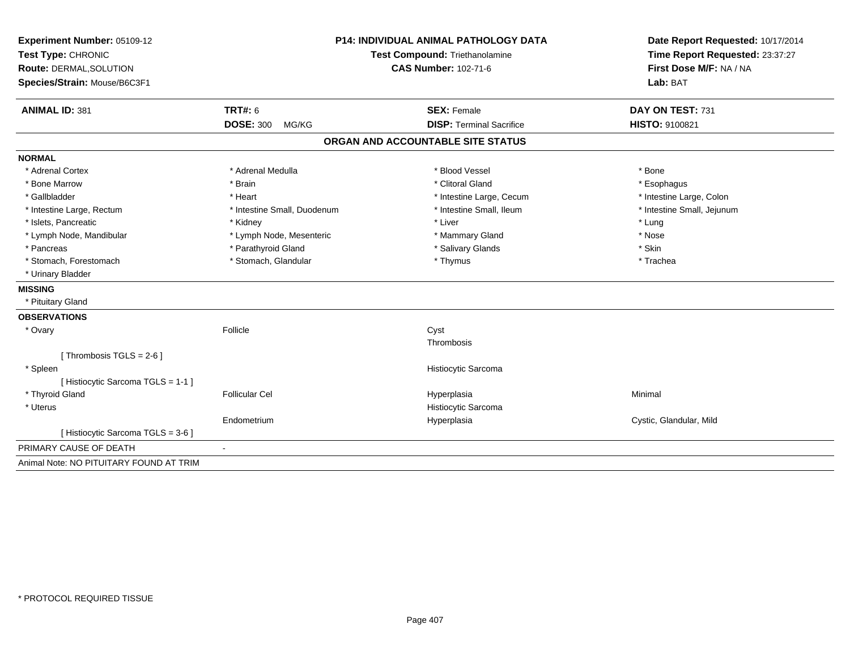| Experiment Number: 05109-12<br>Test Type: CHRONIC<br>Route: DERMAL, SOLUTION<br>Species/Strain: Mouse/B6C3F1 | <b>P14: INDIVIDUAL ANIMAL PATHOLOGY DATA</b><br>Test Compound: Triethanolamine<br><b>CAS Number: 102-71-6</b> |                                   | Date Report Requested: 10/17/2014<br>Time Report Requested: 23:37:27<br>First Dose M/F: NA / NA<br>Lab: BAT |  |
|--------------------------------------------------------------------------------------------------------------|---------------------------------------------------------------------------------------------------------------|-----------------------------------|-------------------------------------------------------------------------------------------------------------|--|
| <b>ANIMAL ID: 381</b>                                                                                        | <b>TRT#: 6</b>                                                                                                | <b>SEX: Female</b>                | DAY ON TEST: 731                                                                                            |  |
|                                                                                                              | <b>DOSE: 300</b><br>MG/KG                                                                                     | <b>DISP: Terminal Sacrifice</b>   | HISTO: 9100821                                                                                              |  |
|                                                                                                              |                                                                                                               | ORGAN AND ACCOUNTABLE SITE STATUS |                                                                                                             |  |
| <b>NORMAL</b>                                                                                                |                                                                                                               |                                   |                                                                                                             |  |
| * Adrenal Cortex                                                                                             | * Adrenal Medulla                                                                                             | * Blood Vessel                    | * Bone                                                                                                      |  |
| * Bone Marrow                                                                                                | * Brain                                                                                                       | * Clitoral Gland                  | * Esophagus                                                                                                 |  |
| * Gallbladder                                                                                                | * Heart                                                                                                       | * Intestine Large, Cecum          | * Intestine Large, Colon                                                                                    |  |
| * Intestine Large, Rectum                                                                                    | * Intestine Small, Duodenum                                                                                   | * Intestine Small, Ileum          | * Intestine Small, Jejunum                                                                                  |  |
| * Islets, Pancreatic                                                                                         | * Kidney                                                                                                      | * Liver                           | * Lung                                                                                                      |  |
| * Lymph Node, Mandibular                                                                                     | * Lymph Node, Mesenteric                                                                                      | * Mammary Gland                   | * Nose                                                                                                      |  |
| * Pancreas                                                                                                   | * Parathyroid Gland                                                                                           | * Salivary Glands                 | * Skin                                                                                                      |  |
| * Stomach, Forestomach                                                                                       | * Stomach, Glandular                                                                                          | * Thymus                          | * Trachea                                                                                                   |  |
| * Urinary Bladder                                                                                            |                                                                                                               |                                   |                                                                                                             |  |
| <b>MISSING</b>                                                                                               |                                                                                                               |                                   |                                                                                                             |  |
| * Pituitary Gland                                                                                            |                                                                                                               |                                   |                                                                                                             |  |
| <b>OBSERVATIONS</b>                                                                                          |                                                                                                               |                                   |                                                                                                             |  |
| * Ovary                                                                                                      | Follicle                                                                                                      | Cyst                              |                                                                                                             |  |
|                                                                                                              |                                                                                                               | Thrombosis                        |                                                                                                             |  |
| [Thrombosis TGLS = $2-6$ ]                                                                                   |                                                                                                               |                                   |                                                                                                             |  |
| * Spleen                                                                                                     |                                                                                                               | Histiocytic Sarcoma               |                                                                                                             |  |
| [Histiocytic Sarcoma TGLS = 1-1]                                                                             |                                                                                                               |                                   |                                                                                                             |  |
| * Thyroid Gland                                                                                              | Follicular Cel                                                                                                | Hyperplasia                       | Minimal                                                                                                     |  |
| * Uterus                                                                                                     |                                                                                                               | Histiocytic Sarcoma               |                                                                                                             |  |
|                                                                                                              | Endometrium                                                                                                   | Hyperplasia                       | Cystic, Glandular, Mild                                                                                     |  |
| [Histiocytic Sarcoma TGLS = 3-6]                                                                             |                                                                                                               |                                   |                                                                                                             |  |
| PRIMARY CAUSE OF DEATH                                                                                       |                                                                                                               |                                   |                                                                                                             |  |
| Animal Note: NO PITUITARY FOUND AT TRIM                                                                      |                                                                                                               |                                   |                                                                                                             |  |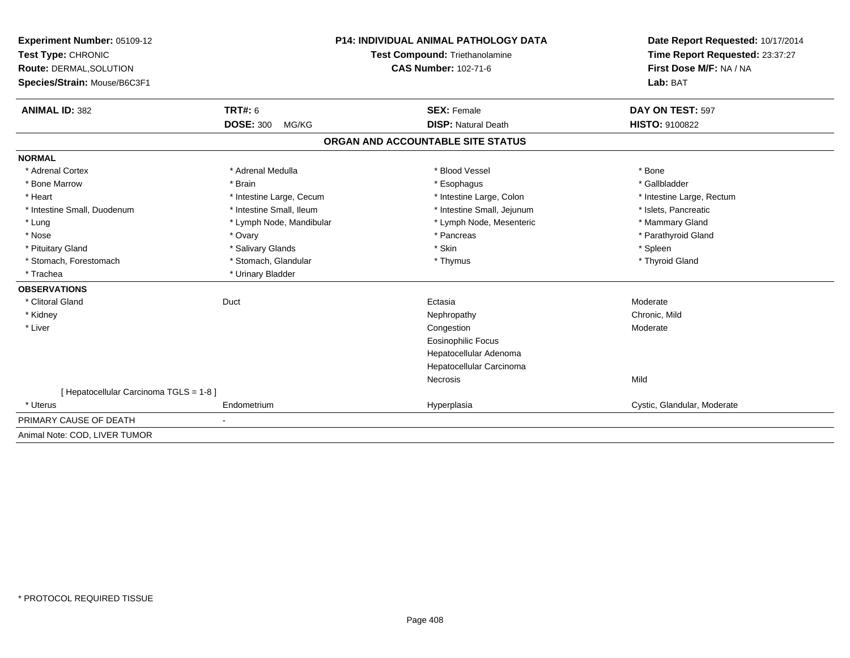| Experiment Number: 05109-12             |                           | <b>P14: INDIVIDUAL ANIMAL PATHOLOGY DATA</b> | Date Report Requested: 10/17/2014                          |  |
|-----------------------------------------|---------------------------|----------------------------------------------|------------------------------------------------------------|--|
| Test Type: CHRONIC                      |                           | Test Compound: Triethanolamine               | Time Report Requested: 23:37:27<br>First Dose M/F: NA / NA |  |
| Route: DERMAL, SOLUTION                 |                           | <b>CAS Number: 102-71-6</b>                  |                                                            |  |
| Species/Strain: Mouse/B6C3F1            |                           |                                              | Lab: BAT                                                   |  |
| <b>ANIMAL ID: 382</b>                   | TRT#: 6                   | <b>SEX: Female</b>                           | DAY ON TEST: 597                                           |  |
|                                         | <b>DOSE: 300</b><br>MG/KG | <b>DISP: Natural Death</b>                   | <b>HISTO: 9100822</b>                                      |  |
|                                         |                           | ORGAN AND ACCOUNTABLE SITE STATUS            |                                                            |  |
| <b>NORMAL</b>                           |                           |                                              |                                                            |  |
| * Adrenal Cortex                        | * Adrenal Medulla         | * Blood Vessel                               | * Bone                                                     |  |
| * Bone Marrow                           | * Brain                   | * Esophagus                                  | * Gallbladder                                              |  |
| * Heart                                 | * Intestine Large, Cecum  | * Intestine Large, Colon                     | * Intestine Large, Rectum                                  |  |
| * Intestine Small, Duodenum             | * Intestine Small, Ileum  | * Intestine Small, Jejunum                   | * Islets, Pancreatic                                       |  |
| * Lung                                  | * Lymph Node, Mandibular  | * Lymph Node, Mesenteric                     | * Mammary Gland                                            |  |
| * Nose                                  | * Ovary                   | * Pancreas                                   | * Parathyroid Gland                                        |  |
| * Pituitary Gland                       | * Salivary Glands         | * Skin                                       | * Spleen                                                   |  |
| * Stomach, Forestomach                  | * Stomach, Glandular      | * Thymus                                     | * Thyroid Gland                                            |  |
| * Trachea                               | * Urinary Bladder         |                                              |                                                            |  |
| <b>OBSERVATIONS</b>                     |                           |                                              |                                                            |  |
| * Clitoral Gland                        | Duct                      | Ectasia                                      | Moderate                                                   |  |
| * Kidney                                |                           | Nephropathy                                  | Chronic, Mild                                              |  |
| * Liver                                 |                           | Congestion                                   | Moderate                                                   |  |
|                                         |                           | <b>Eosinophilic Focus</b>                    |                                                            |  |
|                                         |                           | Hepatocellular Adenoma                       |                                                            |  |
|                                         |                           | Hepatocellular Carcinoma                     |                                                            |  |
|                                         |                           | Necrosis                                     | Mild                                                       |  |
| [ Hepatocellular Carcinoma TGLS = 1-8 ] |                           |                                              |                                                            |  |
| * Uterus                                | Endometrium               | Hyperplasia                                  | Cystic, Glandular, Moderate                                |  |
| PRIMARY CAUSE OF DEATH                  |                           |                                              |                                                            |  |
| Animal Note: COD, LIVER TUMOR           |                           |                                              |                                                            |  |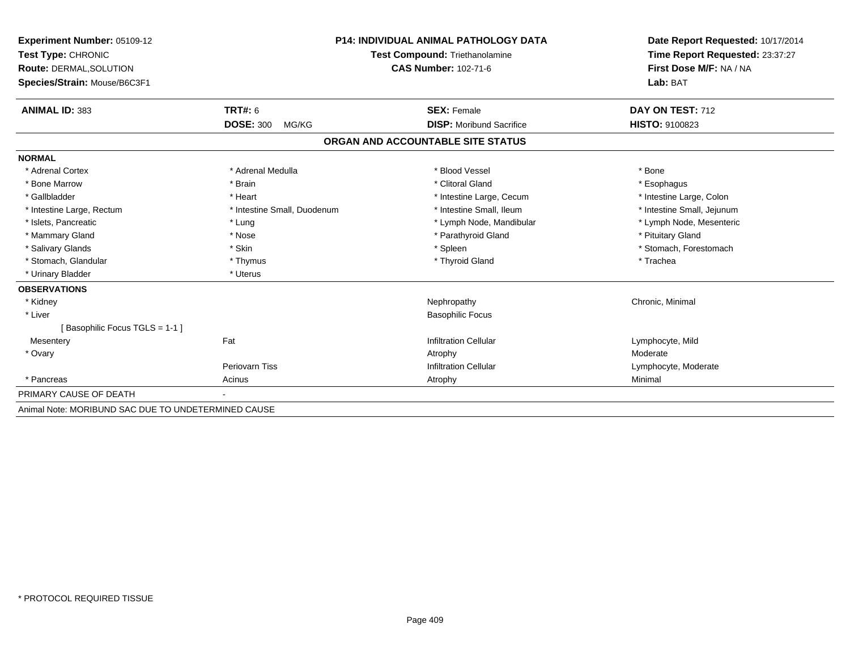| Experiment Number: 05109-12                         | <b>P14: INDIVIDUAL ANIMAL PATHOLOGY DATA</b><br><b>Test Compound: Triethanolamine</b><br><b>CAS Number: 102-71-6</b> |                                   | Date Report Requested: 10/17/2014                          |  |
|-----------------------------------------------------|----------------------------------------------------------------------------------------------------------------------|-----------------------------------|------------------------------------------------------------|--|
| Test Type: CHRONIC                                  |                                                                                                                      |                                   | Time Report Requested: 23:37:27<br>First Dose M/F: NA / NA |  |
| Route: DERMAL, SOLUTION                             |                                                                                                                      |                                   |                                                            |  |
| Species/Strain: Mouse/B6C3F1                        |                                                                                                                      |                                   | Lab: BAT                                                   |  |
| <b>ANIMAL ID: 383</b>                               | <b>TRT#: 6</b>                                                                                                       | <b>SEX: Female</b>                | DAY ON TEST: 712                                           |  |
|                                                     | <b>DOSE: 300</b><br>MG/KG                                                                                            | <b>DISP:</b> Moribund Sacrifice   | HISTO: 9100823                                             |  |
|                                                     |                                                                                                                      | ORGAN AND ACCOUNTABLE SITE STATUS |                                                            |  |
| <b>NORMAL</b>                                       |                                                                                                                      |                                   |                                                            |  |
| * Adrenal Cortex                                    | * Adrenal Medulla                                                                                                    | * Blood Vessel                    | * Bone                                                     |  |
| * Bone Marrow                                       | * Brain                                                                                                              | * Clitoral Gland                  | * Esophagus                                                |  |
| * Gallbladder                                       | * Heart                                                                                                              | * Intestine Large, Cecum          | * Intestine Large, Colon                                   |  |
| * Intestine Large, Rectum                           | * Intestine Small, Duodenum                                                                                          | * Intestine Small, Ileum          | * Intestine Small, Jejunum                                 |  |
| * Islets, Pancreatic                                | * Lung                                                                                                               | * Lymph Node, Mandibular          | * Lymph Node, Mesenteric                                   |  |
| * Mammary Gland                                     | * Nose                                                                                                               | * Parathyroid Gland               | * Pituitary Gland                                          |  |
| * Salivary Glands                                   | * Skin                                                                                                               | * Spleen                          | * Stomach, Forestomach                                     |  |
| * Stomach, Glandular                                | * Thymus                                                                                                             | * Thyroid Gland                   | * Trachea                                                  |  |
| * Urinary Bladder                                   | * Uterus                                                                                                             |                                   |                                                            |  |
| <b>OBSERVATIONS</b>                                 |                                                                                                                      |                                   |                                                            |  |
| * Kidney                                            |                                                                                                                      | Nephropathy                       | Chronic, Minimal                                           |  |
| * Liver                                             |                                                                                                                      | <b>Basophilic Focus</b>           |                                                            |  |
| [Basophilic Focus TGLS = 1-1]                       |                                                                                                                      |                                   |                                                            |  |
| Mesentery                                           | Fat                                                                                                                  | <b>Infiltration Cellular</b>      | Lymphocyte, Mild                                           |  |
| * Ovary                                             |                                                                                                                      | Atrophy                           | Moderate                                                   |  |
|                                                     | Periovarn Tiss                                                                                                       | <b>Infiltration Cellular</b>      | Lymphocyte, Moderate                                       |  |
| * Pancreas                                          | Acinus                                                                                                               | Atrophy                           | Minimal                                                    |  |
| PRIMARY CAUSE OF DEATH                              | $\sim$                                                                                                               |                                   |                                                            |  |
| Animal Note: MORIBUND SAC DUE TO UNDETERMINED CAUSE |                                                                                                                      |                                   |                                                            |  |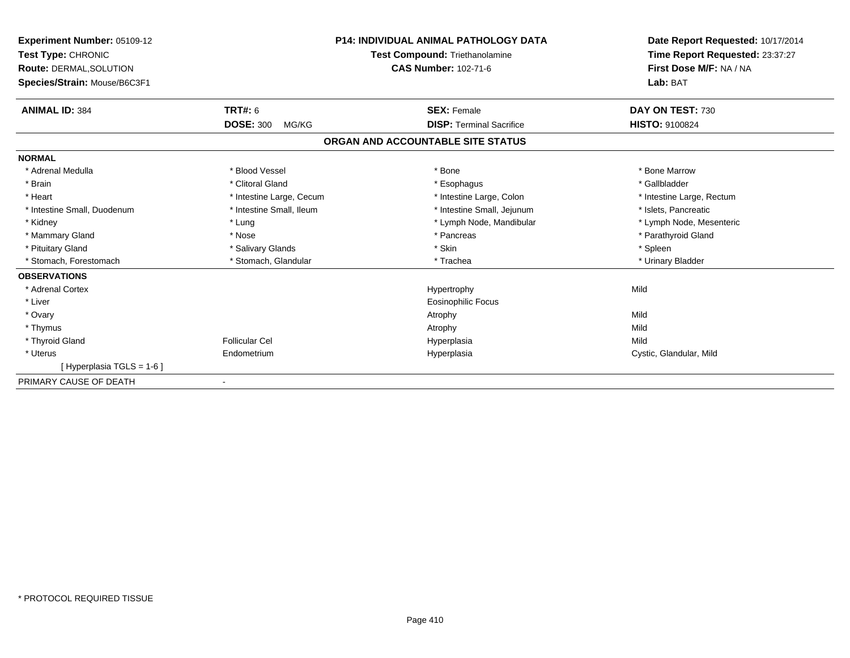| Experiment Number: 05109-12<br>Test Type: CHRONIC<br><b>Route: DERMAL, SOLUTION</b><br>Species/Strain: Mouse/B6C3F1 | <b>P14: INDIVIDUAL ANIMAL PATHOLOGY DATA</b><br><b>Test Compound: Triethanolamine</b><br><b>CAS Number: 102-71-6</b> |                                   | Date Report Requested: 10/17/2014<br>Time Report Requested: 23:37:27<br>First Dose M/F: NA / NA<br>Lab: BAT |  |
|---------------------------------------------------------------------------------------------------------------------|----------------------------------------------------------------------------------------------------------------------|-----------------------------------|-------------------------------------------------------------------------------------------------------------|--|
| <b>ANIMAL ID: 384</b>                                                                                               | <b>TRT#: 6</b>                                                                                                       | <b>SEX: Female</b>                | DAY ON TEST: 730                                                                                            |  |
|                                                                                                                     | <b>DOSE: 300</b><br>MG/KG                                                                                            | <b>DISP: Terminal Sacrifice</b>   | HISTO: 9100824                                                                                              |  |
|                                                                                                                     |                                                                                                                      | ORGAN AND ACCOUNTABLE SITE STATUS |                                                                                                             |  |
| <b>NORMAL</b>                                                                                                       |                                                                                                                      |                                   |                                                                                                             |  |
| * Adrenal Medulla                                                                                                   | * Blood Vessel                                                                                                       | * Bone                            | * Bone Marrow                                                                                               |  |
| * Brain                                                                                                             | * Clitoral Gland                                                                                                     | * Esophagus                       | * Gallbladder                                                                                               |  |
| * Heart                                                                                                             | * Intestine Large, Cecum                                                                                             | * Intestine Large, Colon          | * Intestine Large, Rectum                                                                                   |  |
| * Intestine Small, Duodenum                                                                                         | * Intestine Small, Ileum                                                                                             | * Intestine Small, Jejunum        | * Islets, Pancreatic                                                                                        |  |
| * Kidney                                                                                                            | * Lung                                                                                                               | * Lymph Node, Mandibular          | * Lymph Node, Mesenteric                                                                                    |  |
| * Mammary Gland                                                                                                     | * Nose                                                                                                               | * Pancreas                        | * Parathyroid Gland                                                                                         |  |
| * Pituitary Gland                                                                                                   | * Salivary Glands                                                                                                    | * Skin                            | * Spleen                                                                                                    |  |
| * Stomach, Forestomach                                                                                              | * Stomach, Glandular                                                                                                 | * Trachea                         | * Urinary Bladder                                                                                           |  |
| <b>OBSERVATIONS</b>                                                                                                 |                                                                                                                      |                                   |                                                                                                             |  |
| * Adrenal Cortex                                                                                                    |                                                                                                                      | Hypertrophy                       | Mild                                                                                                        |  |
| * Liver                                                                                                             |                                                                                                                      | <b>Eosinophilic Focus</b>         |                                                                                                             |  |
| * Ovary                                                                                                             |                                                                                                                      | Atrophy                           | Mild                                                                                                        |  |
| * Thymus                                                                                                            |                                                                                                                      | Atrophy                           | Mild                                                                                                        |  |
| * Thyroid Gland                                                                                                     | <b>Follicular Cel</b>                                                                                                | Hyperplasia                       | Mild                                                                                                        |  |
| * Uterus                                                                                                            | Endometrium                                                                                                          | Hyperplasia                       | Cystic, Glandular, Mild                                                                                     |  |
| [Hyperplasia TGLS = 1-6]                                                                                            |                                                                                                                      |                                   |                                                                                                             |  |
| PRIMARY CAUSE OF DEATH                                                                                              |                                                                                                                      |                                   |                                                                                                             |  |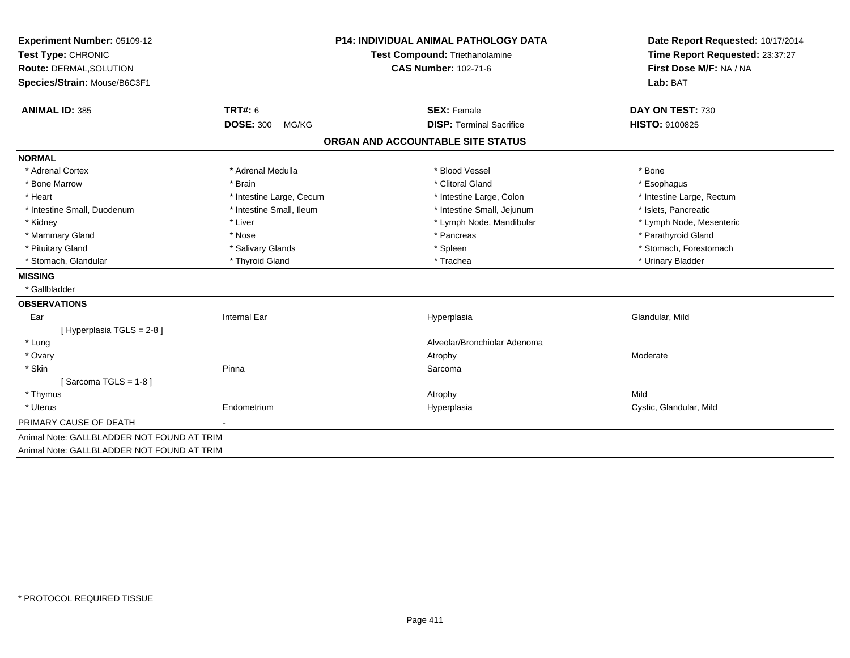| Experiment Number: 05109-12<br>Test Type: CHRONIC<br>Route: DERMAL, SOLUTION |                           | <b>P14: INDIVIDUAL ANIMAL PATHOLOGY DATA</b> | Date Report Requested: 10/17/2014<br>Time Report Requested: 23:37:27 |
|------------------------------------------------------------------------------|---------------------------|----------------------------------------------|----------------------------------------------------------------------|
|                                                                              |                           | Test Compound: Triethanolamine               |                                                                      |
|                                                                              |                           | <b>CAS Number: 102-71-6</b>                  | First Dose M/F: NA / NA                                              |
| Species/Strain: Mouse/B6C3F1                                                 |                           |                                              | Lab: BAT                                                             |
| <b>ANIMAL ID: 385</b>                                                        | TRT#: 6                   | <b>SEX: Female</b>                           | DAY ON TEST: 730                                                     |
|                                                                              | <b>DOSE: 300</b><br>MG/KG | <b>DISP: Terminal Sacrifice</b>              | HISTO: 9100825                                                       |
|                                                                              |                           | ORGAN AND ACCOUNTABLE SITE STATUS            |                                                                      |
| <b>NORMAL</b>                                                                |                           |                                              |                                                                      |
| * Adrenal Cortex                                                             | * Adrenal Medulla         | * Blood Vessel                               | * Bone                                                               |
| * Bone Marrow                                                                | * Brain                   | * Clitoral Gland                             | * Esophagus                                                          |
| * Heart                                                                      | * Intestine Large, Cecum  | * Intestine Large, Colon                     | * Intestine Large, Rectum                                            |
| * Intestine Small, Duodenum                                                  | * Intestine Small, Ileum  | * Intestine Small, Jejunum                   | * Islets. Pancreatic                                                 |
| * Kidney                                                                     | * Liver                   | * Lymph Node, Mandibular                     | * Lymph Node, Mesenteric                                             |
| * Mammary Gland                                                              | * Nose                    | * Pancreas                                   | * Parathyroid Gland                                                  |
| * Pituitary Gland                                                            | * Salivary Glands         | * Spleen                                     | * Stomach, Forestomach                                               |
| * Stomach, Glandular                                                         | * Thyroid Gland           | * Trachea                                    | * Urinary Bladder                                                    |
| <b>MISSING</b>                                                               |                           |                                              |                                                                      |
| * Gallbladder                                                                |                           |                                              |                                                                      |
| <b>OBSERVATIONS</b>                                                          |                           |                                              |                                                                      |
| Ear                                                                          | Internal Ear              | Hyperplasia                                  | Glandular, Mild                                                      |
| [ Hyperplasia TGLS = 2-8 ]                                                   |                           |                                              |                                                                      |
| * Lung                                                                       |                           | Alveolar/Bronchiolar Adenoma                 |                                                                      |
| * Ovary                                                                      |                           | Atrophy                                      | Moderate                                                             |
| * Skin                                                                       | Pinna                     | Sarcoma                                      |                                                                      |
| [Sarcoma TGLS = $1-8$ ]                                                      |                           |                                              |                                                                      |
| * Thymus                                                                     |                           | Atrophy                                      | Mild                                                                 |
| * Uterus                                                                     | Endometrium               | Hyperplasia                                  | Cystic, Glandular, Mild                                              |
| PRIMARY CAUSE OF DEATH                                                       |                           |                                              |                                                                      |
| Animal Note: GALLBLADDER NOT FOUND AT TRIM                                   |                           |                                              |                                                                      |
| Animal Note: GALLBLADDER NOT FOUND AT TRIM                                   |                           |                                              |                                                                      |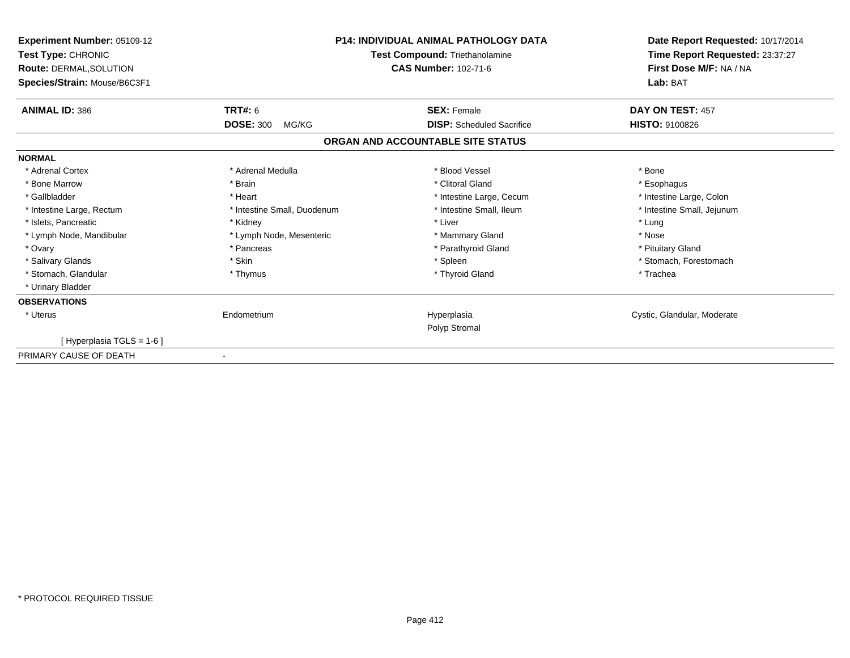| Experiment Number: 05109-12<br>Test Type: CHRONIC<br><b>Route: DERMAL, SOLUTION</b><br>Species/Strain: Mouse/B6C3F1 | <b>P14: INDIVIDUAL ANIMAL PATHOLOGY DATA</b><br>Test Compound: Triethanolamine<br><b>CAS Number: 102-71-6</b> |                                   | Date Report Requested: 10/17/2014<br>Time Report Requested: 23:37:27<br>First Dose M/F: NA / NA<br>Lab: BAT |
|---------------------------------------------------------------------------------------------------------------------|---------------------------------------------------------------------------------------------------------------|-----------------------------------|-------------------------------------------------------------------------------------------------------------|
| <b>ANIMAL ID: 386</b>                                                                                               | TRT#: 6                                                                                                       | <b>SEX: Female</b>                | DAY ON TEST: 457                                                                                            |
|                                                                                                                     | <b>DOSE: 300</b><br>MG/KG                                                                                     | <b>DISP:</b> Scheduled Sacrifice  | <b>HISTO: 9100826</b>                                                                                       |
|                                                                                                                     |                                                                                                               | ORGAN AND ACCOUNTABLE SITE STATUS |                                                                                                             |
| <b>NORMAL</b>                                                                                                       |                                                                                                               |                                   |                                                                                                             |
| * Adrenal Cortex                                                                                                    | * Adrenal Medulla                                                                                             | * Blood Vessel                    | * Bone                                                                                                      |
| * Bone Marrow                                                                                                       | * Brain                                                                                                       | * Clitoral Gland                  | * Esophagus                                                                                                 |
| * Gallbladder                                                                                                       | * Heart                                                                                                       | * Intestine Large, Cecum          | * Intestine Large, Colon                                                                                    |
| * Intestine Large, Rectum                                                                                           | * Intestine Small, Duodenum                                                                                   | * Intestine Small, Ileum          | * Intestine Small, Jejunum                                                                                  |
| * Islets, Pancreatic                                                                                                | * Kidney                                                                                                      | * Liver                           | * Lung                                                                                                      |
| * Lymph Node, Mandibular                                                                                            | * Lymph Node, Mesenteric                                                                                      | * Mammary Gland                   | * Nose                                                                                                      |
| * Ovary                                                                                                             | * Pancreas                                                                                                    | * Parathyroid Gland               | * Pituitary Gland                                                                                           |
| * Salivary Glands                                                                                                   | * Skin                                                                                                        | * Spleen                          | * Stomach, Forestomach                                                                                      |
| * Stomach, Glandular                                                                                                | * Thymus                                                                                                      | * Thyroid Gland                   | * Trachea                                                                                                   |
| * Urinary Bladder                                                                                                   |                                                                                                               |                                   |                                                                                                             |
| <b>OBSERVATIONS</b>                                                                                                 |                                                                                                               |                                   |                                                                                                             |
| * Uterus                                                                                                            | Endometrium                                                                                                   | Hyperplasia<br>Polyp Stromal      | Cystic, Glandular, Moderate                                                                                 |
| [Hyperplasia TGLS = 1-6]                                                                                            |                                                                                                               |                                   |                                                                                                             |
| PRIMARY CAUSE OF DEATH                                                                                              |                                                                                                               |                                   |                                                                                                             |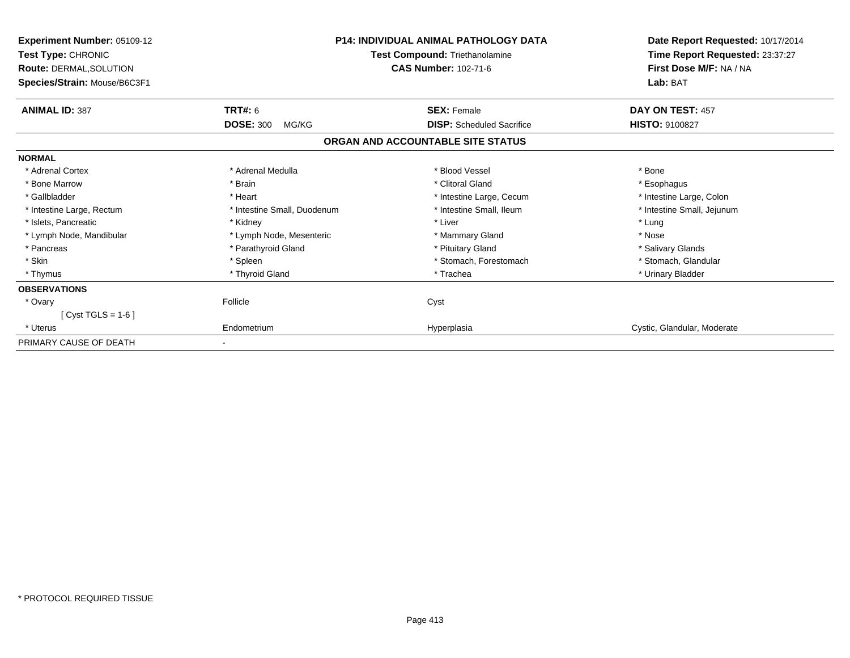| <b>Experiment Number: 05109-12</b><br>Test Type: CHRONIC<br><b>Route: DERMAL, SOLUTION</b><br>Species/Strain: Mouse/B6C3F1 |                             | <b>P14: INDIVIDUAL ANIMAL PATHOLOGY DATA</b><br>Test Compound: Triethanolamine<br><b>CAS Number: 102-71-6</b> | Date Report Requested: 10/17/2014<br>Time Report Requested: 23:37:27<br>First Dose M/F: NA / NA<br>Lab: BAT |
|----------------------------------------------------------------------------------------------------------------------------|-----------------------------|---------------------------------------------------------------------------------------------------------------|-------------------------------------------------------------------------------------------------------------|
| <b>ANIMAL ID: 387</b>                                                                                                      | TRT#: 6                     | <b>SEX: Female</b>                                                                                            | DAY ON TEST: 457                                                                                            |
|                                                                                                                            | <b>DOSE: 300</b><br>MG/KG   | <b>DISP:</b> Scheduled Sacrifice                                                                              | <b>HISTO: 9100827</b>                                                                                       |
|                                                                                                                            |                             | ORGAN AND ACCOUNTABLE SITE STATUS                                                                             |                                                                                                             |
| <b>NORMAL</b>                                                                                                              |                             |                                                                                                               |                                                                                                             |
| * Adrenal Cortex                                                                                                           | * Adrenal Medulla           | * Blood Vessel                                                                                                | * Bone                                                                                                      |
| * Bone Marrow                                                                                                              | * Brain                     | * Clitoral Gland                                                                                              | * Esophagus                                                                                                 |
| * Gallbladder                                                                                                              | * Heart                     | * Intestine Large, Cecum                                                                                      | * Intestine Large, Colon                                                                                    |
| * Intestine Large, Rectum                                                                                                  | * Intestine Small, Duodenum | * Intestine Small, Ileum                                                                                      | * Intestine Small, Jejunum                                                                                  |
| * Islets, Pancreatic                                                                                                       | * Kidney                    | * Liver                                                                                                       | * Lung                                                                                                      |
| * Lymph Node, Mandibular                                                                                                   | * Lymph Node, Mesenteric    | * Mammary Gland                                                                                               | * Nose                                                                                                      |
| * Pancreas                                                                                                                 | * Parathyroid Gland         | * Pituitary Gland                                                                                             | * Salivary Glands                                                                                           |
| * Skin                                                                                                                     | * Spleen                    | * Stomach, Forestomach                                                                                        | * Stomach, Glandular                                                                                        |
| * Thymus                                                                                                                   | * Thyroid Gland             | * Trachea                                                                                                     | * Urinary Bladder                                                                                           |
| <b>OBSERVATIONS</b>                                                                                                        |                             |                                                                                                               |                                                                                                             |
| * Ovary                                                                                                                    | Follicle                    | Cyst                                                                                                          |                                                                                                             |
| [ $Cyst TGLS = 1-6$ ]                                                                                                      |                             |                                                                                                               |                                                                                                             |
| * Uterus                                                                                                                   | Endometrium                 | Hyperplasia                                                                                                   | Cystic, Glandular, Moderate                                                                                 |
| PRIMARY CAUSE OF DEATH                                                                                                     |                             |                                                                                                               |                                                                                                             |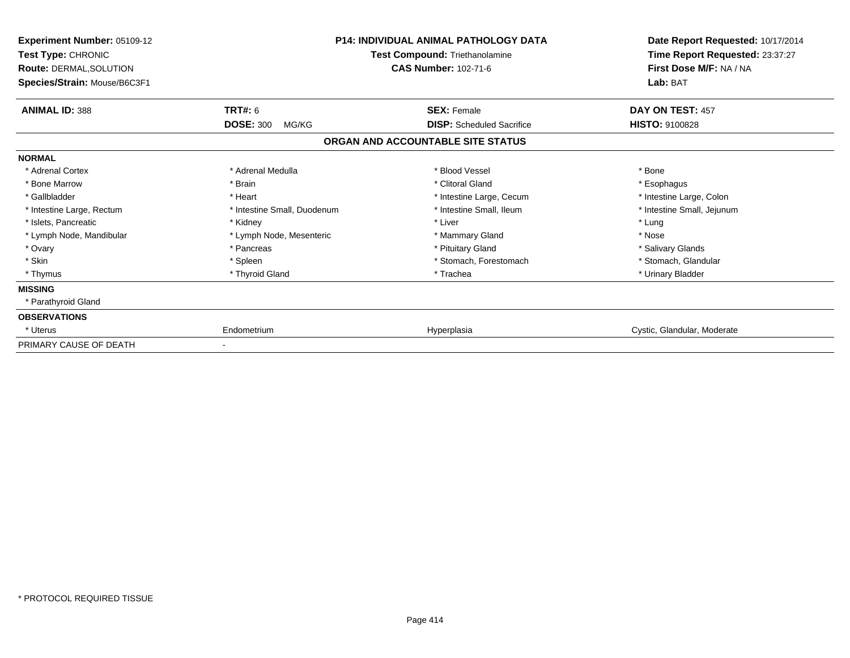| Experiment Number: 05109-12<br>Test Type: CHRONIC<br><b>Route: DERMAL, SOLUTION</b><br>Species/Strain: Mouse/B6C3F1 |                                      | <b>P14: INDIVIDUAL ANIMAL PATHOLOGY DATA</b><br>Test Compound: Triethanolamine<br><b>CAS Number: 102-71-6</b> | Date Report Requested: 10/17/2014<br>Time Report Requested: 23:37:27<br>First Dose M/F: NA / NA<br>Lab: BAT |
|---------------------------------------------------------------------------------------------------------------------|--------------------------------------|---------------------------------------------------------------------------------------------------------------|-------------------------------------------------------------------------------------------------------------|
| <b>ANIMAL ID: 388</b>                                                                                               | TRT#: 6<br><b>DOSE: 300</b><br>MG/KG | <b>SEX: Female</b><br><b>DISP:</b> Scheduled Sacrifice                                                        | DAY ON TEST: 457                                                                                            |
|                                                                                                                     |                                      | ORGAN AND ACCOUNTABLE SITE STATUS                                                                             | HISTO: 9100828                                                                                              |
| <b>NORMAL</b>                                                                                                       |                                      |                                                                                                               |                                                                                                             |
| * Adrenal Cortex                                                                                                    | * Adrenal Medulla                    | * Blood Vessel                                                                                                | * Bone                                                                                                      |
| * Bone Marrow                                                                                                       | * Brain                              | * Clitoral Gland                                                                                              | * Esophagus                                                                                                 |
| * Gallbladder                                                                                                       | * Heart                              | * Intestine Large, Cecum                                                                                      | * Intestine Large, Colon                                                                                    |
| * Intestine Large, Rectum                                                                                           | * Intestine Small, Duodenum          | * Intestine Small, Ileum                                                                                      | * Intestine Small, Jejunum                                                                                  |
| * Islets, Pancreatic                                                                                                | * Kidney                             | * Liver                                                                                                       | * Lung                                                                                                      |
| * Lymph Node, Mandibular                                                                                            | * Lymph Node, Mesenteric             | * Mammary Gland                                                                                               | * Nose                                                                                                      |
| * Ovary                                                                                                             | * Pancreas                           | * Pituitary Gland                                                                                             | * Salivary Glands                                                                                           |
| * Skin                                                                                                              | * Spleen                             | * Stomach, Forestomach                                                                                        | * Stomach, Glandular                                                                                        |
| * Thymus                                                                                                            | * Thyroid Gland                      | * Trachea                                                                                                     | * Urinary Bladder                                                                                           |
| <b>MISSING</b>                                                                                                      |                                      |                                                                                                               |                                                                                                             |
| * Parathyroid Gland                                                                                                 |                                      |                                                                                                               |                                                                                                             |
| <b>OBSERVATIONS</b>                                                                                                 |                                      |                                                                                                               |                                                                                                             |
| * Uterus                                                                                                            | Endometrium                          | Hyperplasia                                                                                                   | Cystic, Glandular, Moderate                                                                                 |
| PRIMARY CAUSE OF DEATH                                                                                              |                                      |                                                                                                               |                                                                                                             |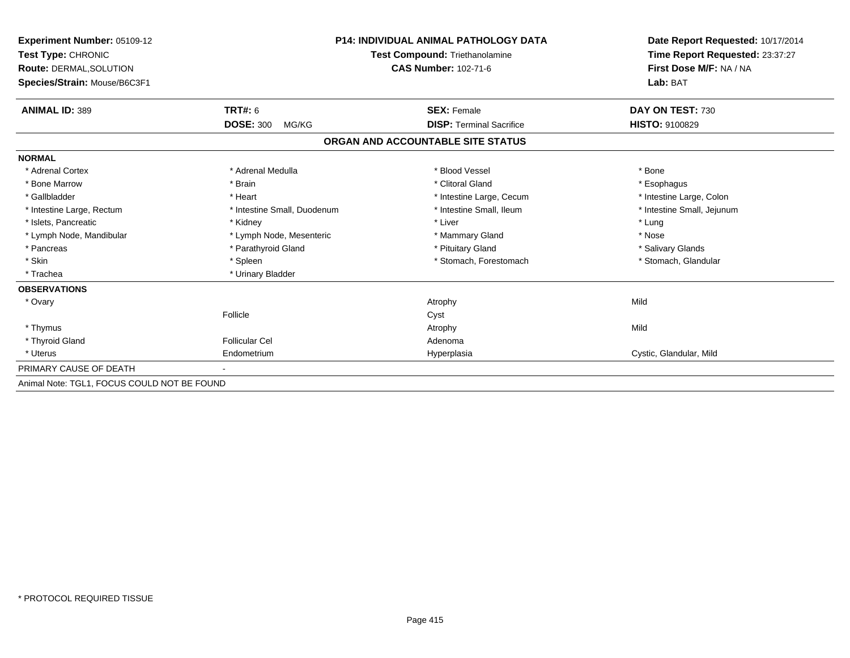| Experiment Number: 05109-12<br>Test Type: CHRONIC<br><b>Route: DERMAL, SOLUTION</b><br>Species/Strain: Mouse/B6C3F1 | <b>P14: INDIVIDUAL ANIMAL PATHOLOGY DATA</b><br>Test Compound: Triethanolamine<br><b>CAS Number: 102-71-6</b> |                                   | Date Report Requested: 10/17/2014<br>Time Report Requested: 23:37:27<br>First Dose M/F: NA / NA<br>Lab: BAT |
|---------------------------------------------------------------------------------------------------------------------|---------------------------------------------------------------------------------------------------------------|-----------------------------------|-------------------------------------------------------------------------------------------------------------|
| <b>ANIMAL ID: 389</b>                                                                                               | TRT#: 6                                                                                                       | <b>SEX: Female</b>                | DAY ON TEST: 730                                                                                            |
|                                                                                                                     | <b>DOSE: 300</b><br>MG/KG                                                                                     | <b>DISP: Terminal Sacrifice</b>   | <b>HISTO: 9100829</b>                                                                                       |
|                                                                                                                     |                                                                                                               | ORGAN AND ACCOUNTABLE SITE STATUS |                                                                                                             |
| <b>NORMAL</b>                                                                                                       |                                                                                                               |                                   |                                                                                                             |
| * Adrenal Cortex                                                                                                    | * Adrenal Medulla                                                                                             | * Blood Vessel                    | * Bone                                                                                                      |
| * Bone Marrow                                                                                                       | * Brain                                                                                                       | * Clitoral Gland                  | * Esophagus                                                                                                 |
| * Gallbladder                                                                                                       | * Heart                                                                                                       | * Intestine Large, Cecum          | * Intestine Large, Colon                                                                                    |
| * Intestine Large, Rectum                                                                                           | * Intestine Small, Duodenum                                                                                   | * Intestine Small, Ileum          | * Intestine Small, Jejunum                                                                                  |
| * Islets. Pancreatic                                                                                                | * Kidney                                                                                                      | * Liver                           | * Lung                                                                                                      |
| * Lymph Node, Mandibular                                                                                            | * Lymph Node, Mesenteric                                                                                      | * Mammary Gland                   | * Nose                                                                                                      |
| * Pancreas                                                                                                          | * Parathyroid Gland                                                                                           | * Pituitary Gland                 | * Salivary Glands                                                                                           |
| * Skin                                                                                                              | * Spleen                                                                                                      | * Stomach, Forestomach            | * Stomach, Glandular                                                                                        |
| * Trachea                                                                                                           | * Urinary Bladder                                                                                             |                                   |                                                                                                             |
| <b>OBSERVATIONS</b>                                                                                                 |                                                                                                               |                                   |                                                                                                             |
| * Ovary                                                                                                             |                                                                                                               | Atrophy                           | Mild                                                                                                        |
|                                                                                                                     | Follicle                                                                                                      | Cyst                              |                                                                                                             |
| * Thymus                                                                                                            |                                                                                                               | Atrophy                           | Mild                                                                                                        |
| * Thyroid Gland                                                                                                     | <b>Follicular Cel</b>                                                                                         | Adenoma                           |                                                                                                             |
| * Uterus                                                                                                            | Endometrium                                                                                                   | Hyperplasia                       | Cystic, Glandular, Mild                                                                                     |
| PRIMARY CAUSE OF DEATH                                                                                              |                                                                                                               |                                   |                                                                                                             |
| Animal Note: TGL1, FOCUS COULD NOT BE FOUND                                                                         |                                                                                                               |                                   |                                                                                                             |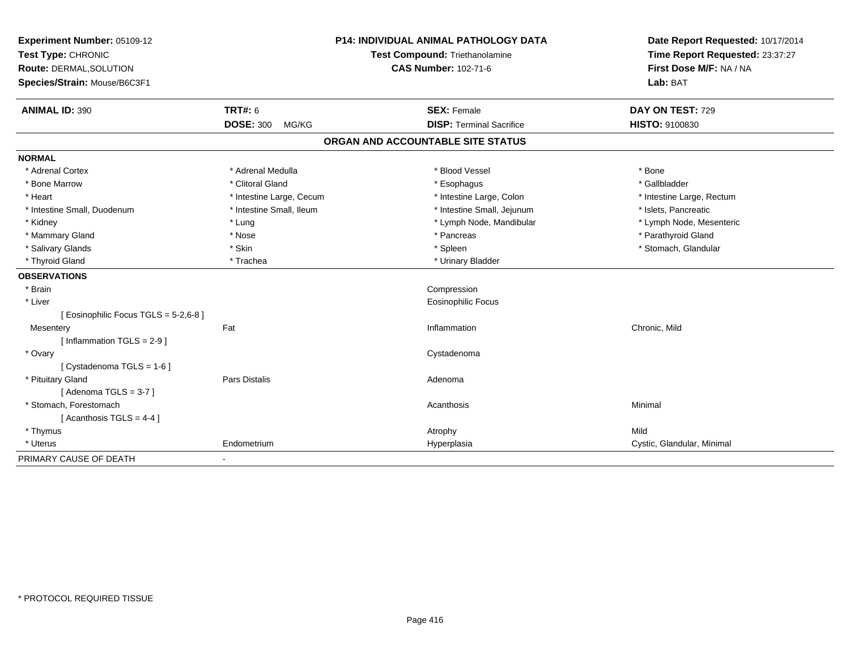| Experiment Number: 05109-12<br>Test Type: CHRONIC<br>Route: DERMAL, SOLUTION<br>Species/Strain: Mouse/B6C3F1 |                           | <b>P14: INDIVIDUAL ANIMAL PATHOLOGY DATA</b><br>Test Compound: Triethanolamine<br><b>CAS Number: 102-71-6</b> | Date Report Requested: 10/17/2014<br>Time Report Requested: 23:37:27<br>First Dose M/F: NA / NA<br>Lab: BAT |
|--------------------------------------------------------------------------------------------------------------|---------------------------|---------------------------------------------------------------------------------------------------------------|-------------------------------------------------------------------------------------------------------------|
| <b>ANIMAL ID: 390</b>                                                                                        | <b>TRT#: 6</b>            | <b>SEX: Female</b>                                                                                            | DAY ON TEST: 729                                                                                            |
|                                                                                                              | <b>DOSE: 300</b><br>MG/KG | <b>DISP: Terminal Sacrifice</b>                                                                               | <b>HISTO: 9100830</b>                                                                                       |
|                                                                                                              |                           | ORGAN AND ACCOUNTABLE SITE STATUS                                                                             |                                                                                                             |
| <b>NORMAL</b>                                                                                                |                           |                                                                                                               |                                                                                                             |
| * Adrenal Cortex                                                                                             | * Adrenal Medulla         | * Blood Vessel                                                                                                | * Bone                                                                                                      |
| * Bone Marrow                                                                                                | * Clitoral Gland          | * Esophagus                                                                                                   | * Gallbladder                                                                                               |
| * Heart                                                                                                      | * Intestine Large, Cecum  | * Intestine Large, Colon                                                                                      | * Intestine Large, Rectum                                                                                   |
| * Intestine Small, Duodenum                                                                                  | * Intestine Small, Ileum  | * Intestine Small, Jejunum                                                                                    | * Islets, Pancreatic                                                                                        |
| * Kidney                                                                                                     | * Lung                    | * Lymph Node, Mandibular                                                                                      | * Lymph Node, Mesenteric                                                                                    |
| * Mammary Gland                                                                                              | * Nose                    | * Pancreas                                                                                                    | * Parathyroid Gland                                                                                         |
| * Salivary Glands                                                                                            | * Skin                    | * Spleen                                                                                                      | * Stomach, Glandular                                                                                        |
| * Thyroid Gland                                                                                              | * Trachea                 | * Urinary Bladder                                                                                             |                                                                                                             |
| <b>OBSERVATIONS</b>                                                                                          |                           |                                                                                                               |                                                                                                             |
| * Brain                                                                                                      |                           | Compression                                                                                                   |                                                                                                             |
| * Liver                                                                                                      |                           | <b>Eosinophilic Focus</b>                                                                                     |                                                                                                             |
| [ Eosinophilic Focus TGLS = 5-2,6-8 ]                                                                        |                           |                                                                                                               |                                                                                                             |
| Mesentery                                                                                                    | Fat                       | Inflammation                                                                                                  | Chronic, Mild                                                                                               |
| [Inflammation TGLS = $2-9$ ]                                                                                 |                           |                                                                                                               |                                                                                                             |
| * Ovary                                                                                                      |                           | Cystadenoma                                                                                                   |                                                                                                             |
| [Cystadenoma TGLS = 1-6]                                                                                     |                           |                                                                                                               |                                                                                                             |
| * Pituitary Gland                                                                                            | <b>Pars Distalis</b>      | Adenoma                                                                                                       |                                                                                                             |
| [Adenoma TGLS = $3-7$ ]                                                                                      |                           |                                                                                                               |                                                                                                             |
| * Stomach, Forestomach                                                                                       |                           | Acanthosis                                                                                                    | Minimal                                                                                                     |
| [Acanthosis TGLS = $4-4$ ]                                                                                   |                           |                                                                                                               |                                                                                                             |
| * Thymus                                                                                                     |                           | Atrophy                                                                                                       | Mild                                                                                                        |
| * Uterus                                                                                                     | Endometrium               | Hyperplasia                                                                                                   | Cystic, Glandular, Minimal                                                                                  |
| PRIMARY CAUSE OF DEATH                                                                                       | $\sim$                    |                                                                                                               |                                                                                                             |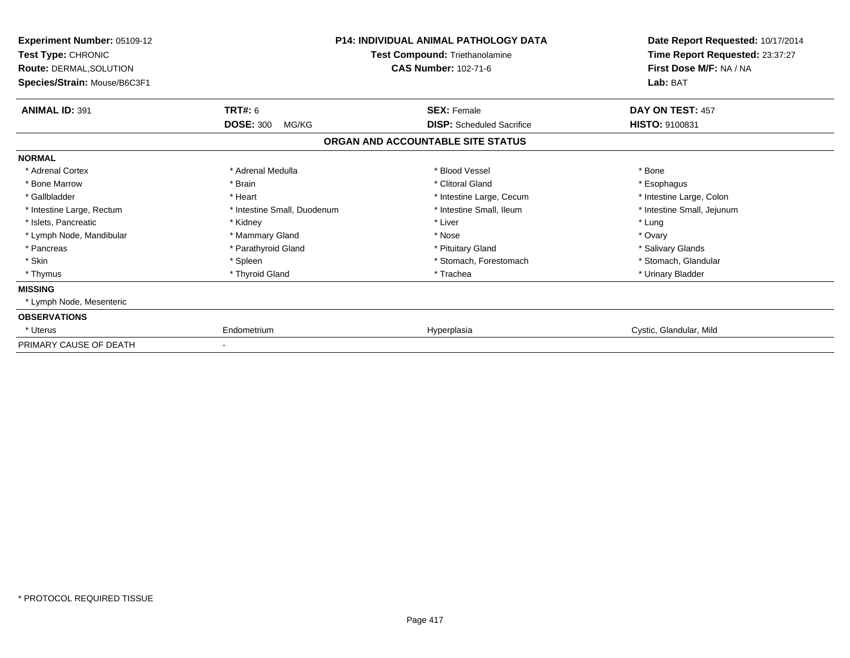| <b>Experiment Number: 05109-12</b><br>Test Type: CHRONIC<br><b>Route: DERMAL, SOLUTION</b><br>Species/Strain: Mouse/B6C3F1 |                                             | <b>P14: INDIVIDUAL ANIMAL PATHOLOGY DATA</b><br>Test Compound: Triethanolamine<br><b>CAS Number: 102-71-6</b> | Date Report Requested: 10/17/2014<br>Time Report Requested: 23:37:27<br>First Dose M/F: NA / NA<br>Lab: BAT |
|----------------------------------------------------------------------------------------------------------------------------|---------------------------------------------|---------------------------------------------------------------------------------------------------------------|-------------------------------------------------------------------------------------------------------------|
| <b>ANIMAL ID: 391</b>                                                                                                      | <b>TRT#: 6</b><br><b>DOSE: 300</b><br>MG/KG | <b>SEX: Female</b><br><b>DISP:</b> Scheduled Sacrifice                                                        | DAY ON TEST: 457<br><b>HISTO: 9100831</b>                                                                   |
|                                                                                                                            |                                             | ORGAN AND ACCOUNTABLE SITE STATUS                                                                             |                                                                                                             |
| <b>NORMAL</b>                                                                                                              |                                             |                                                                                                               |                                                                                                             |
| * Adrenal Cortex                                                                                                           | * Adrenal Medulla                           | * Blood Vessel                                                                                                | * Bone                                                                                                      |
| * Bone Marrow                                                                                                              | * Brain                                     | * Clitoral Gland                                                                                              | * Esophagus                                                                                                 |
| * Gallbladder                                                                                                              | * Heart                                     | * Intestine Large, Cecum                                                                                      | * Intestine Large, Colon                                                                                    |
| * Intestine Large, Rectum                                                                                                  | * Intestine Small, Duodenum                 | * Intestine Small, Ileum                                                                                      | * Intestine Small, Jejunum                                                                                  |
| * Islets, Pancreatic                                                                                                       | * Kidney                                    | * Liver                                                                                                       | * Lung                                                                                                      |
| * Lymph Node, Mandibular                                                                                                   | * Mammary Gland                             | * Nose                                                                                                        | * Ovary                                                                                                     |
| * Pancreas                                                                                                                 | * Parathyroid Gland                         | * Pituitary Gland                                                                                             | * Salivary Glands                                                                                           |
| * Skin                                                                                                                     | * Spleen                                    | * Stomach, Forestomach                                                                                        | * Stomach, Glandular                                                                                        |
| * Thymus                                                                                                                   | * Thyroid Gland                             | * Trachea                                                                                                     | * Urinary Bladder                                                                                           |
| <b>MISSING</b>                                                                                                             |                                             |                                                                                                               |                                                                                                             |
| * Lymph Node, Mesenteric                                                                                                   |                                             |                                                                                                               |                                                                                                             |
| <b>OBSERVATIONS</b>                                                                                                        |                                             |                                                                                                               |                                                                                                             |
| * Uterus                                                                                                                   | Endometrium                                 | Hyperplasia                                                                                                   | Cystic, Glandular, Mild                                                                                     |
| PRIMARY CAUSE OF DEATH                                                                                                     |                                             |                                                                                                               |                                                                                                             |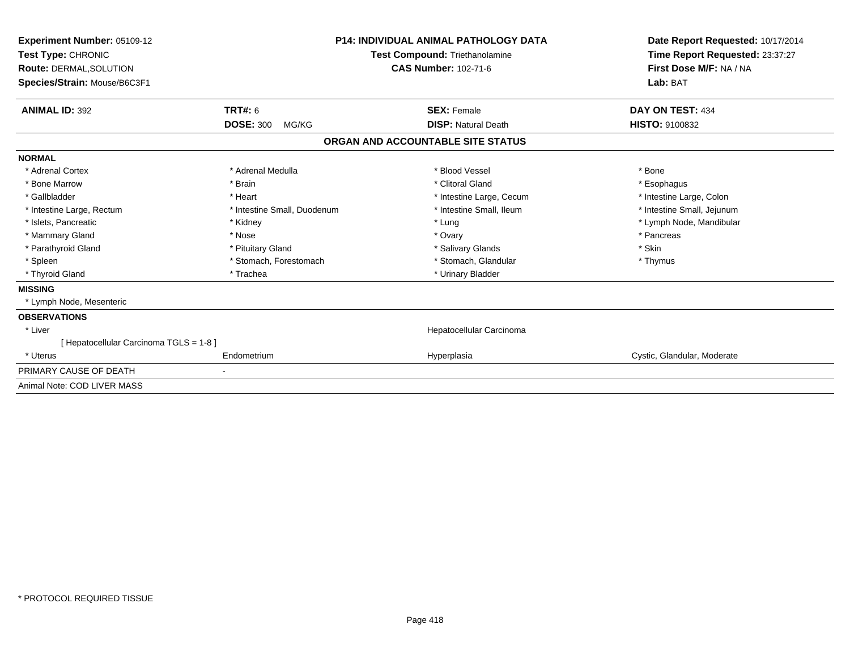| Experiment Number: 05109-12<br>Test Type: CHRONIC<br>Route: DERMAL, SOLUTION<br>Species/Strain: Mouse/B6C3F1 | <b>P14: INDIVIDUAL ANIMAL PATHOLOGY DATA</b><br><b>Test Compound: Triethanolamine</b><br><b>CAS Number: 102-71-6</b> |                                   | Date Report Requested: 10/17/2014<br>Time Report Requested: 23:37:27<br>First Dose M/F: NA / NA<br>Lab: BAT |  |
|--------------------------------------------------------------------------------------------------------------|----------------------------------------------------------------------------------------------------------------------|-----------------------------------|-------------------------------------------------------------------------------------------------------------|--|
| <b>ANIMAL ID: 392</b>                                                                                        | <b>TRT#: 6</b>                                                                                                       | <b>SEX: Female</b>                | DAY ON TEST: 434                                                                                            |  |
|                                                                                                              | <b>DOSE: 300</b><br>MG/KG                                                                                            | <b>DISP: Natural Death</b>        | HISTO: 9100832                                                                                              |  |
|                                                                                                              |                                                                                                                      | ORGAN AND ACCOUNTABLE SITE STATUS |                                                                                                             |  |
| <b>NORMAL</b>                                                                                                |                                                                                                                      |                                   |                                                                                                             |  |
| * Adrenal Cortex                                                                                             | * Adrenal Medulla                                                                                                    | * Blood Vessel                    | * Bone                                                                                                      |  |
| * Bone Marrow                                                                                                | * Brain                                                                                                              | * Clitoral Gland                  | * Esophagus                                                                                                 |  |
| * Gallbladder                                                                                                | * Heart                                                                                                              | * Intestine Large, Cecum          | * Intestine Large, Colon                                                                                    |  |
| * Intestine Large, Rectum                                                                                    | * Intestine Small, Duodenum                                                                                          | * Intestine Small, Ileum          | * Intestine Small, Jejunum                                                                                  |  |
| * Islets, Pancreatic                                                                                         | * Kidney                                                                                                             | * Lung                            | * Lymph Node, Mandibular                                                                                    |  |
| * Mammary Gland                                                                                              | * Nose                                                                                                               | * Ovary                           | * Pancreas                                                                                                  |  |
| * Parathyroid Gland                                                                                          | * Pituitary Gland                                                                                                    | * Salivary Glands                 | * Skin                                                                                                      |  |
| * Spleen                                                                                                     | * Stomach, Forestomach                                                                                               | * Stomach, Glandular              | * Thymus                                                                                                    |  |
| * Thyroid Gland                                                                                              | * Trachea                                                                                                            | * Urinary Bladder                 |                                                                                                             |  |
| <b>MISSING</b>                                                                                               |                                                                                                                      |                                   |                                                                                                             |  |
| * Lymph Node, Mesenteric                                                                                     |                                                                                                                      |                                   |                                                                                                             |  |
| <b>OBSERVATIONS</b>                                                                                          |                                                                                                                      |                                   |                                                                                                             |  |
| * Liver                                                                                                      |                                                                                                                      | Hepatocellular Carcinoma          |                                                                                                             |  |
| [ Hepatocellular Carcinoma TGLS = 1-8 ]                                                                      |                                                                                                                      |                                   |                                                                                                             |  |
| * Uterus                                                                                                     | Endometrium                                                                                                          | Hyperplasia                       | Cystic, Glandular, Moderate                                                                                 |  |
| PRIMARY CAUSE OF DEATH                                                                                       |                                                                                                                      |                                   |                                                                                                             |  |
| Animal Note: COD LIVER MASS                                                                                  |                                                                                                                      |                                   |                                                                                                             |  |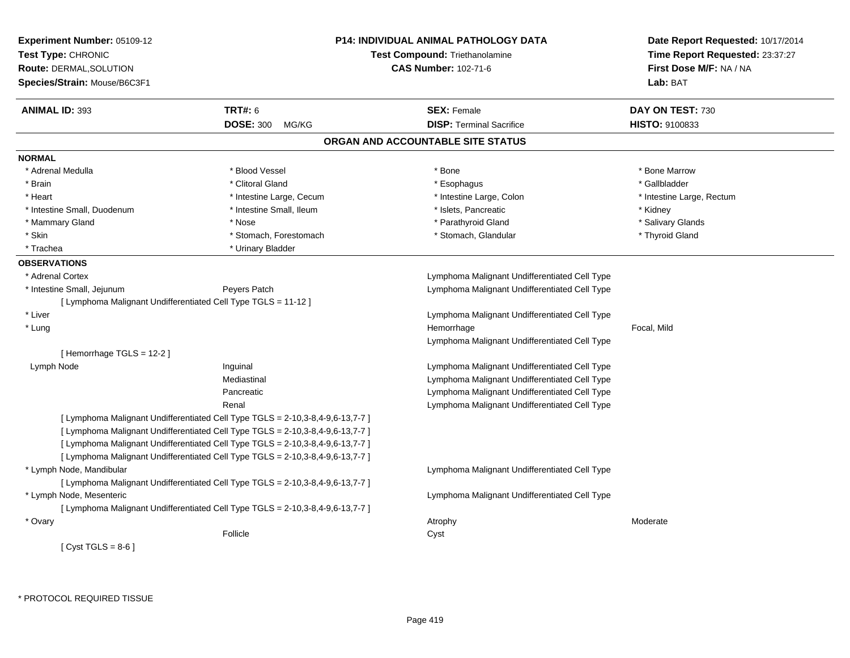| Experiment Number: 05109-12<br>Test Type: CHRONIC |                                                                                | <b>P14: INDIVIDUAL ANIMAL PATHOLOGY DATA</b><br><b>Test Compound: Triethanolamine</b> | Date Report Requested: 10/17/2014<br>Time Report Requested: 23:37:27 |
|---------------------------------------------------|--------------------------------------------------------------------------------|---------------------------------------------------------------------------------------|----------------------------------------------------------------------|
| <b>Route: DERMAL, SOLUTION</b>                    |                                                                                | <b>CAS Number: 102-71-6</b>                                                           | First Dose M/F: NA / NA                                              |
|                                                   |                                                                                |                                                                                       |                                                                      |
| Species/Strain: Mouse/B6C3F1                      |                                                                                |                                                                                       | Lab: BAT                                                             |
| <b>ANIMAL ID: 393</b>                             | <b>TRT#: 6</b>                                                                 | <b>SEX: Female</b>                                                                    | DAY ON TEST: 730                                                     |
|                                                   | <b>DOSE: 300</b><br>MG/KG                                                      | <b>DISP: Terminal Sacrifice</b>                                                       | <b>HISTO: 9100833</b>                                                |
|                                                   |                                                                                | ORGAN AND ACCOUNTABLE SITE STATUS                                                     |                                                                      |
| <b>NORMAL</b>                                     |                                                                                |                                                                                       |                                                                      |
| * Adrenal Medulla                                 | * Blood Vessel                                                                 | * Bone                                                                                | * Bone Marrow                                                        |
| * Brain                                           | * Clitoral Gland                                                               | * Esophagus                                                                           | * Gallbladder                                                        |
| * Heart                                           | * Intestine Large, Cecum                                                       | * Intestine Large, Colon                                                              | * Intestine Large, Rectum                                            |
| * Intestine Small, Duodenum                       | * Intestine Small, Ileum                                                       | * Islets, Pancreatic                                                                  | * Kidney                                                             |
| * Mammary Gland                                   | * Nose                                                                         | * Parathyroid Gland                                                                   | * Salivary Glands                                                    |
| * Skin                                            | * Stomach, Forestomach                                                         | * Stomach, Glandular                                                                  | * Thyroid Gland                                                      |
| * Trachea                                         | * Urinary Bladder                                                              |                                                                                       |                                                                      |
| <b>OBSERVATIONS</b>                               |                                                                                |                                                                                       |                                                                      |
| * Adrenal Cortex                                  |                                                                                | Lymphoma Malignant Undifferentiated Cell Type                                         |                                                                      |
| * Intestine Small, Jejunum                        | Peyers Patch                                                                   | Lymphoma Malignant Undifferentiated Cell Type                                         |                                                                      |
|                                                   | [ Lymphoma Malignant Undifferentiated Cell Type TGLS = 11-12 ]                 |                                                                                       |                                                                      |
| * Liver                                           |                                                                                | Lymphoma Malignant Undifferentiated Cell Type                                         |                                                                      |
| * Lung                                            |                                                                                | Hemorrhage                                                                            | Focal, Mild                                                          |
|                                                   |                                                                                | Lymphoma Malignant Undifferentiated Cell Type                                         |                                                                      |
| [Hemorrhage TGLS = $12-2$ ]                       |                                                                                |                                                                                       |                                                                      |
| Lymph Node                                        | Inguinal                                                                       | Lymphoma Malignant Undifferentiated Cell Type                                         |                                                                      |
|                                                   | Mediastinal                                                                    | Lymphoma Malignant Undifferentiated Cell Type                                         |                                                                      |
|                                                   | Pancreatic                                                                     | Lymphoma Malignant Undifferentiated Cell Type                                         |                                                                      |
|                                                   | Renal                                                                          | Lymphoma Malignant Undifferentiated Cell Type                                         |                                                                      |
|                                                   | [ Lymphoma Malignant Undifferentiated Cell Type TGLS = 2-10,3-8,4-9,6-13,7-7 ] |                                                                                       |                                                                      |
|                                                   | [ Lymphoma Malignant Undifferentiated Cell Type TGLS = 2-10,3-8,4-9,6-13,7-7 ] |                                                                                       |                                                                      |
|                                                   | [ Lymphoma Malignant Undifferentiated Cell Type TGLS = 2-10,3-8,4-9,6-13,7-7 ] |                                                                                       |                                                                      |
|                                                   | [ Lymphoma Malignant Undifferentiated Cell Type TGLS = 2-10,3-8,4-9,6-13,7-7 ] |                                                                                       |                                                                      |
| * Lymph Node, Mandibular                          |                                                                                | Lymphoma Malignant Undifferentiated Cell Type                                         |                                                                      |
|                                                   | [ Lymphoma Malignant Undifferentiated Cell Type TGLS = 2-10,3-8,4-9,6-13,7-7 ] |                                                                                       |                                                                      |
| * Lymph Node, Mesenteric                          |                                                                                | Lymphoma Malignant Undifferentiated Cell Type                                         |                                                                      |
|                                                   | [ Lymphoma Malignant Undifferentiated Cell Type TGLS = 2-10,3-8,4-9,6-13,7-7 ] |                                                                                       |                                                                      |
| * Ovary                                           |                                                                                | Atrophy                                                                               | Moderate                                                             |
|                                                   | Follicle                                                                       | Cyst                                                                                  |                                                                      |
| [Cyst TGLS = $8-6$ ]                              |                                                                                |                                                                                       |                                                                      |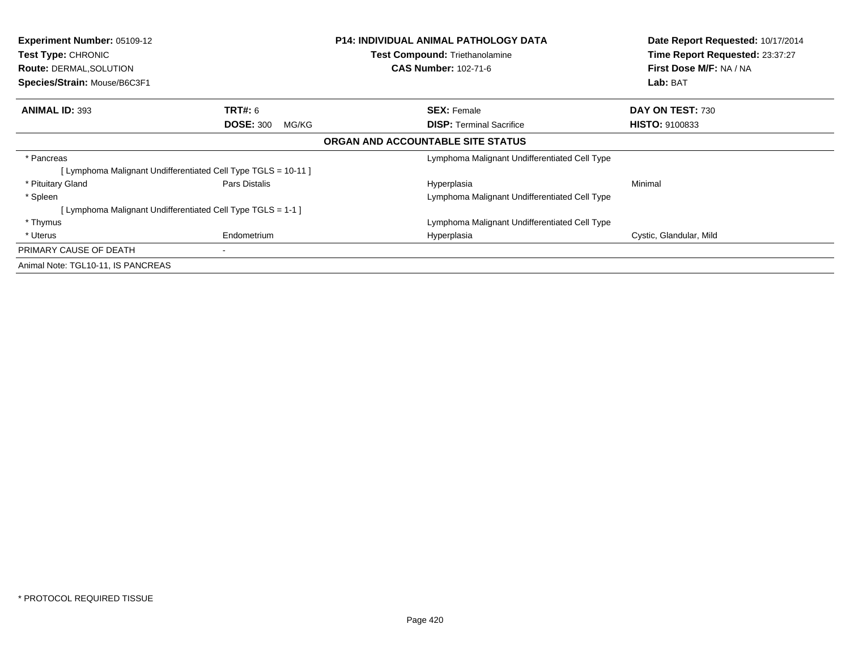| <b>Experiment Number: 05109-12</b><br><b>Test Type: CHRONIC</b><br><b>Route: DERMAL, SOLUTION</b><br>Species/Strain: Mouse/B6C3F1 |                                                               | <b>P14: INDIVIDUAL ANIMAL PATHOLOGY DATA</b><br><b>Test Compound: Triethanolamine</b><br><b>CAS Number: 102-71-6</b> | Date Report Requested: 10/17/2014<br>Time Report Requested: 23:37:27<br>First Dose M/F: NA / NA<br>Lab: BAT |
|-----------------------------------------------------------------------------------------------------------------------------------|---------------------------------------------------------------|----------------------------------------------------------------------------------------------------------------------|-------------------------------------------------------------------------------------------------------------|
| <b>ANIMAL ID: 393</b>                                                                                                             | <b>TRT#: 6</b>                                                | <b>SEX: Female</b>                                                                                                   | DAY ON TEST: 730                                                                                            |
|                                                                                                                                   | <b>DOSE: 300</b><br>MG/KG                                     | <b>DISP:</b> Terminal Sacrifice                                                                                      | <b>HISTO: 9100833</b>                                                                                       |
|                                                                                                                                   |                                                               | ORGAN AND ACCOUNTABLE SITE STATUS                                                                                    |                                                                                                             |
| * Pancreas                                                                                                                        |                                                               | Lymphoma Malignant Undifferentiated Cell Type                                                                        |                                                                                                             |
|                                                                                                                                   | [Lymphoma Malignant Undifferentiated Cell Type TGLS = 10-11 ] |                                                                                                                      |                                                                                                             |
| * Pituitary Gland                                                                                                                 | Pars Distalis                                                 | Hyperplasia                                                                                                          | Minimal                                                                                                     |
| * Spleen                                                                                                                          |                                                               | Lymphoma Malignant Undifferentiated Cell Type                                                                        |                                                                                                             |
| [Lymphoma Malignant Undifferentiated Cell Type TGLS = 1-1 ]                                                                       |                                                               |                                                                                                                      |                                                                                                             |
| * Thymus                                                                                                                          |                                                               | Lymphoma Malignant Undifferentiated Cell Type                                                                        |                                                                                                             |
| * Uterus                                                                                                                          | Endometrium                                                   | Hyperplasia                                                                                                          | Cystic, Glandular, Mild                                                                                     |
| PRIMARY CAUSE OF DEATH                                                                                                            |                                                               |                                                                                                                      |                                                                                                             |
| Animal Note: TGL10-11, IS PANCREAS                                                                                                |                                                               |                                                                                                                      |                                                                                                             |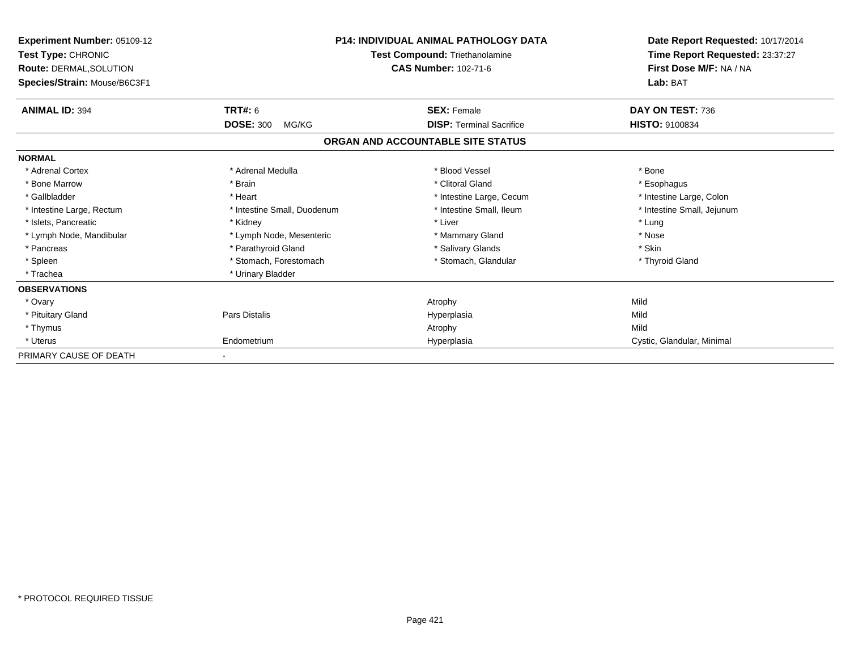| Experiment Number: 05109-12<br>Test Type: CHRONIC<br>Route: DERMAL, SOLUTION<br>Species/Strain: Mouse/B6C3F1 | <b>P14: INDIVIDUAL ANIMAL PATHOLOGY DATA</b><br>Test Compound: Triethanolamine<br><b>CAS Number: 102-71-6</b> |                                   | Date Report Requested: 10/17/2014<br>Time Report Requested: 23:37:27<br>First Dose M/F: NA / NA<br>Lab: BAT |
|--------------------------------------------------------------------------------------------------------------|---------------------------------------------------------------------------------------------------------------|-----------------------------------|-------------------------------------------------------------------------------------------------------------|
| <b>ANIMAL ID: 394</b>                                                                                        | TRT#: 6                                                                                                       | <b>SEX: Female</b>                | DAY ON TEST: 736                                                                                            |
|                                                                                                              | <b>DOSE: 300</b><br>MG/KG                                                                                     | <b>DISP: Terminal Sacrifice</b>   | <b>HISTO: 9100834</b>                                                                                       |
|                                                                                                              |                                                                                                               | ORGAN AND ACCOUNTABLE SITE STATUS |                                                                                                             |
| <b>NORMAL</b>                                                                                                |                                                                                                               |                                   |                                                                                                             |
| * Adrenal Cortex                                                                                             | * Adrenal Medulla                                                                                             | * Blood Vessel                    | * Bone                                                                                                      |
| * Bone Marrow                                                                                                | * Brain                                                                                                       | * Clitoral Gland                  | * Esophagus                                                                                                 |
| * Gallbladder                                                                                                | * Heart                                                                                                       | * Intestine Large, Cecum          | * Intestine Large, Colon                                                                                    |
| * Intestine Large, Rectum                                                                                    | * Intestine Small, Duodenum                                                                                   | * Intestine Small, Ileum          | * Intestine Small, Jejunum                                                                                  |
| * Islets, Pancreatic                                                                                         | * Kidney                                                                                                      | * Liver                           | * Lung                                                                                                      |
| * Lymph Node, Mandibular                                                                                     | * Lymph Node, Mesenteric                                                                                      | * Mammary Gland                   | * Nose                                                                                                      |
| * Pancreas                                                                                                   | * Parathyroid Gland                                                                                           | * Salivary Glands                 | * Skin                                                                                                      |
| * Spleen                                                                                                     | * Stomach, Forestomach                                                                                        | * Stomach, Glandular              | * Thyroid Gland                                                                                             |
| * Trachea                                                                                                    | * Urinary Bladder                                                                                             |                                   |                                                                                                             |
| <b>OBSERVATIONS</b>                                                                                          |                                                                                                               |                                   |                                                                                                             |
| * Ovary                                                                                                      |                                                                                                               | Atrophy                           | Mild                                                                                                        |
| * Pituitary Gland                                                                                            | Pars Distalis                                                                                                 | Hyperplasia                       | Mild                                                                                                        |
| * Thymus                                                                                                     |                                                                                                               | Atrophy                           | Mild                                                                                                        |
| * Uterus                                                                                                     | Endometrium                                                                                                   | Hyperplasia                       | Cystic, Glandular, Minimal                                                                                  |
| PRIMARY CAUSE OF DEATH                                                                                       |                                                                                                               |                                   |                                                                                                             |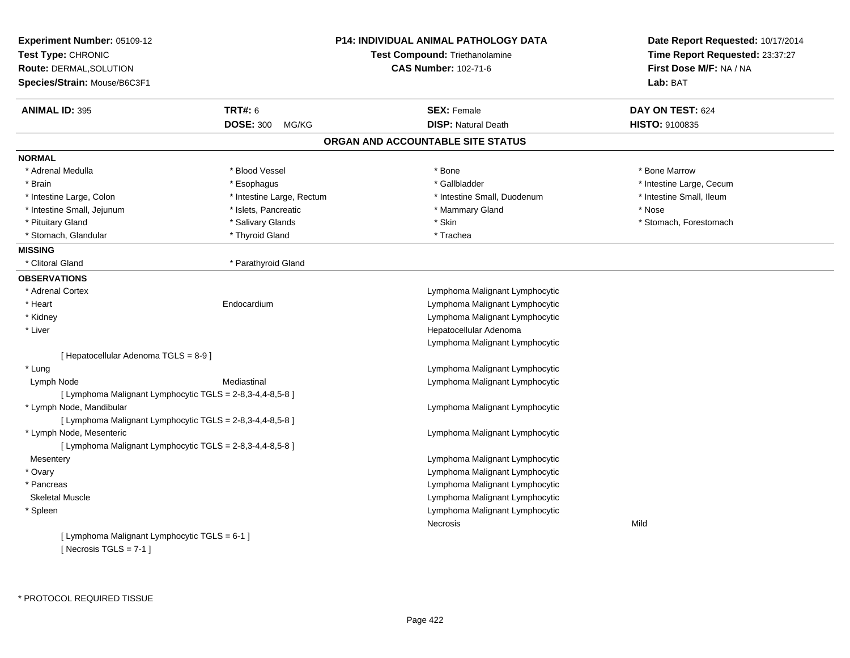| Experiment Number: 05109-12<br>Test Type: CHRONIC<br><b>Route: DERMAL, SOLUTION</b><br>Species/Strain: Mouse/B6C3F1 |                           | <b>P14: INDIVIDUAL ANIMAL PATHOLOGY DATA</b><br><b>Test Compound: Triethanolamine</b><br><b>CAS Number: 102-71-6</b> | Date Report Requested: 10/17/2014<br>Time Report Requested: 23:37:27<br>First Dose M/F: NA / NA<br>Lab: BAT |
|---------------------------------------------------------------------------------------------------------------------|---------------------------|----------------------------------------------------------------------------------------------------------------------|-------------------------------------------------------------------------------------------------------------|
| <b>ANIMAL ID: 395</b>                                                                                               | <b>TRT#: 6</b>            | <b>SEX: Female</b>                                                                                                   | DAY ON TEST: 624                                                                                            |
|                                                                                                                     | <b>DOSE: 300</b><br>MG/KG | <b>DISP: Natural Death</b>                                                                                           | HISTO: 9100835                                                                                              |
|                                                                                                                     |                           | ORGAN AND ACCOUNTABLE SITE STATUS                                                                                    |                                                                                                             |
| <b>NORMAL</b>                                                                                                       |                           |                                                                                                                      |                                                                                                             |
| * Adrenal Medulla                                                                                                   | * Blood Vessel            | * Bone                                                                                                               | * Bone Marrow                                                                                               |
| * Brain                                                                                                             | * Esophagus               | * Gallbladder                                                                                                        | * Intestine Large, Cecum                                                                                    |
| * Intestine Large, Colon                                                                                            | * Intestine Large, Rectum | * Intestine Small, Duodenum                                                                                          | * Intestine Small, Ileum                                                                                    |
| * Intestine Small, Jejunum                                                                                          | * Islets, Pancreatic      | * Mammary Gland                                                                                                      | * Nose                                                                                                      |
| * Pituitary Gland                                                                                                   | * Salivary Glands         | * Skin                                                                                                               | * Stomach, Forestomach                                                                                      |
| * Stomach, Glandular                                                                                                | * Thyroid Gland           | * Trachea                                                                                                            |                                                                                                             |
| <b>MISSING</b>                                                                                                      |                           |                                                                                                                      |                                                                                                             |
| * Clitoral Gland                                                                                                    | * Parathyroid Gland       |                                                                                                                      |                                                                                                             |
| <b>OBSERVATIONS</b>                                                                                                 |                           |                                                                                                                      |                                                                                                             |
| * Adrenal Cortex                                                                                                    |                           | Lymphoma Malignant Lymphocytic                                                                                       |                                                                                                             |
| * Heart                                                                                                             | Endocardium               | Lymphoma Malignant Lymphocytic                                                                                       |                                                                                                             |
| * Kidney                                                                                                            |                           | Lymphoma Malignant Lymphocytic                                                                                       |                                                                                                             |
| * Liver                                                                                                             |                           | Hepatocellular Adenoma                                                                                               |                                                                                                             |
|                                                                                                                     |                           | Lymphoma Malignant Lymphocytic                                                                                       |                                                                                                             |
| [ Hepatocellular Adenoma TGLS = 8-9 ]                                                                               |                           |                                                                                                                      |                                                                                                             |
| * Lung                                                                                                              |                           | Lymphoma Malignant Lymphocytic                                                                                       |                                                                                                             |
| Lymph Node                                                                                                          | Mediastinal               | Lymphoma Malignant Lymphocytic                                                                                       |                                                                                                             |
| [ Lymphoma Malignant Lymphocytic TGLS = 2-8,3-4,4-8,5-8 ]                                                           |                           |                                                                                                                      |                                                                                                             |
| * Lymph Node, Mandibular                                                                                            |                           | Lymphoma Malignant Lymphocytic                                                                                       |                                                                                                             |
| [ Lymphoma Malignant Lymphocytic TGLS = 2-8,3-4,4-8,5-8 ]                                                           |                           |                                                                                                                      |                                                                                                             |
| * Lymph Node, Mesenteric                                                                                            |                           | Lymphoma Malignant Lymphocytic                                                                                       |                                                                                                             |
| [ Lymphoma Malignant Lymphocytic TGLS = 2-8,3-4,4-8,5-8 ]                                                           |                           |                                                                                                                      |                                                                                                             |
| Mesentery                                                                                                           |                           | Lymphoma Malignant Lymphocytic                                                                                       |                                                                                                             |
| * Ovary                                                                                                             |                           | Lymphoma Malignant Lymphocytic                                                                                       |                                                                                                             |
| * Pancreas                                                                                                          |                           | Lymphoma Malignant Lymphocytic                                                                                       |                                                                                                             |
| <b>Skeletal Muscle</b>                                                                                              |                           | Lymphoma Malignant Lymphocytic                                                                                       |                                                                                                             |
| * Spleen                                                                                                            |                           | Lymphoma Malignant Lymphocytic                                                                                       |                                                                                                             |
|                                                                                                                     |                           | Necrosis                                                                                                             | Mild                                                                                                        |
| [ Lymphoma Malignant Lymphocytic TGLS = 6-1 ]                                                                       |                           |                                                                                                                      |                                                                                                             |
| [Necrosis TGLS = $7-1$ ]                                                                                            |                           |                                                                                                                      |                                                                                                             |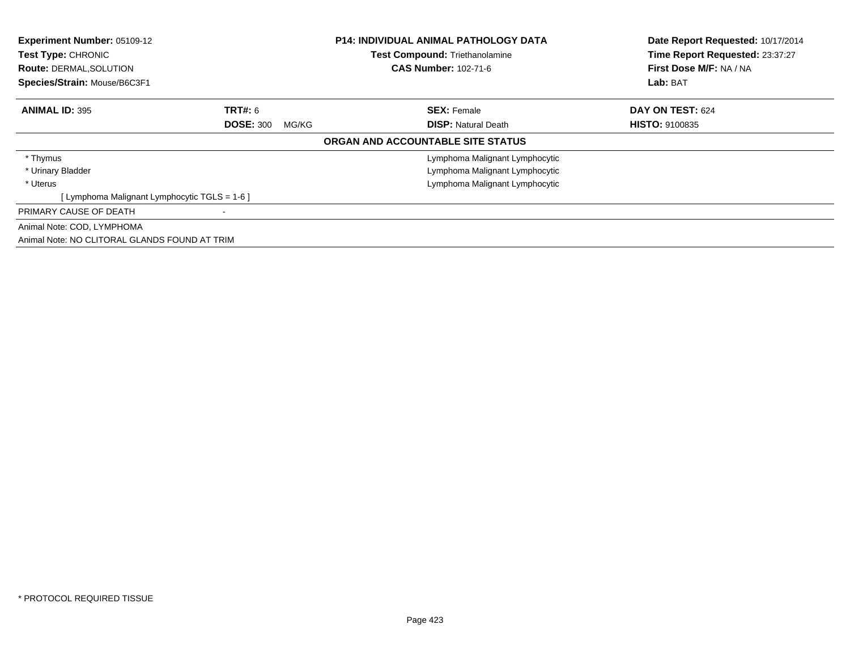| <b>Experiment Number: 05109-12</b><br>Test Type: CHRONIC<br><b>Route: DERMAL, SOLUTION</b><br>Species/Strain: Mouse/B6C3F1 |                           | <b>P14: INDIVIDUAL ANIMAL PATHOLOGY DATA</b><br>Test Compound: Triethanolamine<br><b>CAS Number: 102-71-6</b> | Date Report Requested: 10/17/2014<br>Time Report Requested: 23:37:27<br>First Dose M/F: NA / NA<br>Lab: BAT |  |
|----------------------------------------------------------------------------------------------------------------------------|---------------------------|---------------------------------------------------------------------------------------------------------------|-------------------------------------------------------------------------------------------------------------|--|
| <b>ANIMAL ID: 395</b>                                                                                                      | TRT#: 6                   | <b>SEX: Female</b>                                                                                            | DAY ON TEST: 624                                                                                            |  |
|                                                                                                                            | <b>DOSE: 300</b><br>MG/KG | <b>DISP:</b> Natural Death                                                                                    | <b>HISTO: 9100835</b>                                                                                       |  |
|                                                                                                                            |                           | ORGAN AND ACCOUNTABLE SITE STATUS                                                                             |                                                                                                             |  |
| * Thymus                                                                                                                   |                           | Lymphoma Malignant Lymphocytic                                                                                |                                                                                                             |  |
| * Urinary Bladder                                                                                                          |                           | Lymphoma Malignant Lymphocytic                                                                                |                                                                                                             |  |
| * Uterus                                                                                                                   |                           | Lymphoma Malignant Lymphocytic                                                                                |                                                                                                             |  |
| [ Lymphoma Malignant Lymphocytic TGLS = 1-6 ]                                                                              |                           |                                                                                                               |                                                                                                             |  |
| PRIMARY CAUSE OF DEATH                                                                                                     |                           |                                                                                                               |                                                                                                             |  |
| Animal Note: COD, LYMPHOMA                                                                                                 |                           |                                                                                                               |                                                                                                             |  |
| Animal Note: NO CLITORAL GLANDS FOUND AT TRIM                                                                              |                           |                                                                                                               |                                                                                                             |  |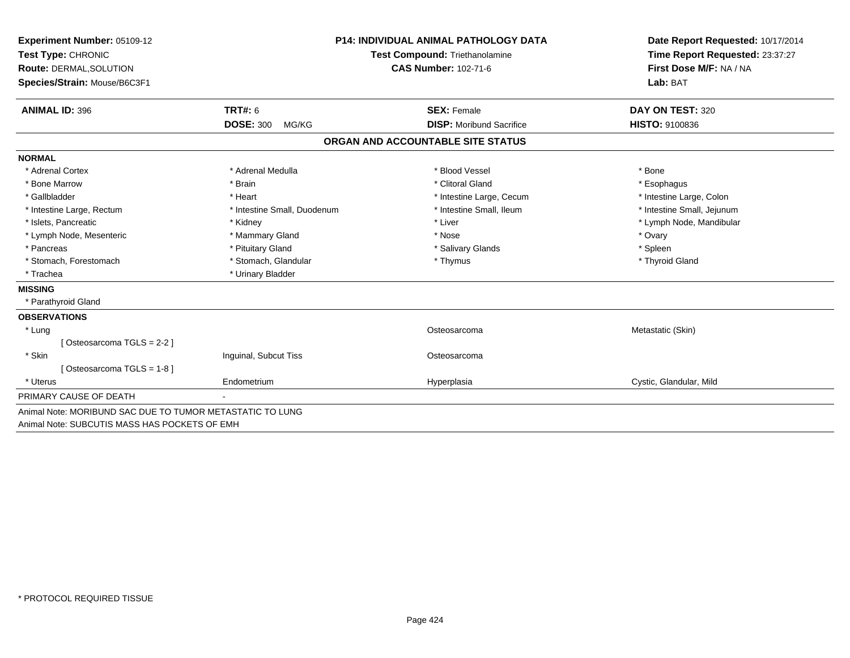| Experiment Number: 05109-12                               |                             | <b>P14: INDIVIDUAL ANIMAL PATHOLOGY DATA</b> | Date Report Requested: 10/17/2014                          |
|-----------------------------------------------------------|-----------------------------|----------------------------------------------|------------------------------------------------------------|
| Test Type: CHRONIC                                        |                             | Test Compound: Triethanolamine               | Time Report Requested: 23:37:27<br>First Dose M/F: NA / NA |
| Route: DERMAL, SOLUTION                                   |                             | CAS Number: 102-71-6                         |                                                            |
| Species/Strain: Mouse/B6C3F1                              |                             |                                              | Lab: BAT                                                   |
|                                                           |                             |                                              |                                                            |
| <b>ANIMAL ID: 396</b>                                     | TRT#: 6                     | <b>SEX: Female</b>                           | DAY ON TEST: 320                                           |
|                                                           | <b>DOSE: 300</b><br>MG/KG   | <b>DISP:</b> Moribund Sacrifice              | <b>HISTO: 9100836</b>                                      |
|                                                           |                             | ORGAN AND ACCOUNTABLE SITE STATUS            |                                                            |
| <b>NORMAL</b>                                             |                             |                                              |                                                            |
| * Adrenal Cortex                                          | * Adrenal Medulla           | * Blood Vessel                               | * Bone                                                     |
| * Bone Marrow                                             | * Brain                     | * Clitoral Gland                             | * Esophagus                                                |
| * Gallbladder                                             | * Heart                     | * Intestine Large, Cecum                     | * Intestine Large, Colon                                   |
| * Intestine Large, Rectum                                 | * Intestine Small, Duodenum | * Intestine Small, Ileum                     | * Intestine Small, Jejunum                                 |
| * Islets, Pancreatic                                      | * Kidney                    | * Liver                                      | * Lymph Node, Mandibular                                   |
| * Lymph Node, Mesenteric                                  | * Mammary Gland             | * Nose                                       | * Ovary                                                    |
| * Pancreas                                                | * Pituitary Gland           | * Salivary Glands                            | * Spleen                                                   |
| * Stomach, Forestomach                                    | * Stomach, Glandular        | * Thymus                                     | * Thyroid Gland                                            |
| * Trachea                                                 | * Urinary Bladder           |                                              |                                                            |
| <b>MISSING</b>                                            |                             |                                              |                                                            |
| * Parathyroid Gland                                       |                             |                                              |                                                            |
| <b>OBSERVATIONS</b>                                       |                             |                                              |                                                            |
| * Lung                                                    |                             | Osteosarcoma                                 | Metastatic (Skin)                                          |
| [Osteosarcoma TGLS = 2-2]                                 |                             |                                              |                                                            |
| * Skin                                                    | Inguinal, Subcut Tiss       | Osteosarcoma                                 |                                                            |
| [Osteosarcoma TGLS = 1-8]                                 |                             |                                              |                                                            |
| * Uterus                                                  | Endometrium                 | Hyperplasia                                  | Cystic, Glandular, Mild                                    |
| PRIMARY CAUSE OF DEATH                                    |                             |                                              |                                                            |
| Animal Note: MORIBUND SAC DUE TO TUMOR METASTATIC TO LUNG |                             |                                              |                                                            |
| Animal Note: SUBCUTIS MASS HAS POCKETS OF EMH             |                             |                                              |                                                            |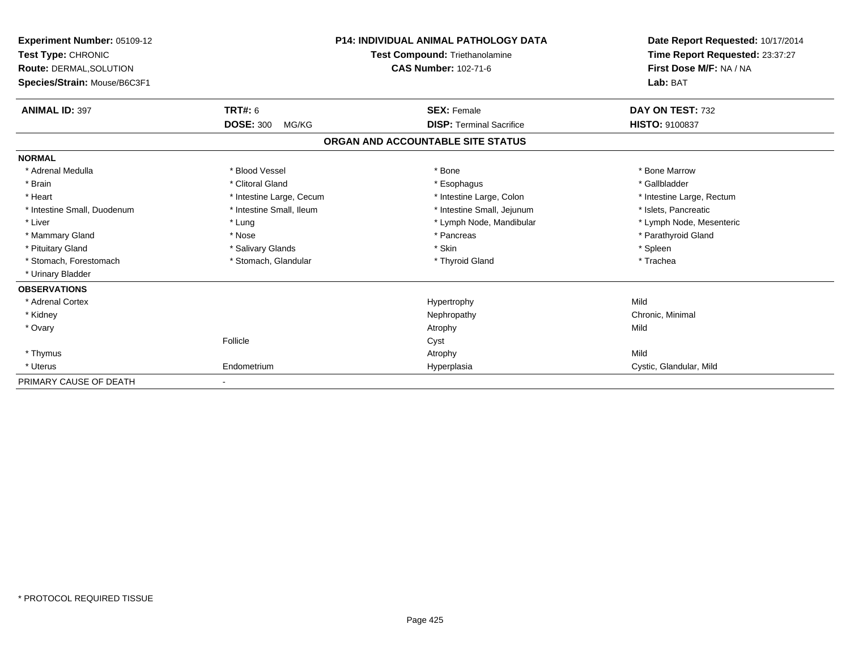| Experiment Number: 05109-12<br>Test Type: CHRONIC<br>Route: DERMAL, SOLUTION<br>Species/Strain: Mouse/B6C3F1 |                                      | <b>P14: INDIVIDUAL ANIMAL PATHOLOGY DATA</b><br><b>Test Compound: Triethanolamine</b><br><b>CAS Number: 102-71-6</b> | Date Report Requested: 10/17/2014<br>Time Report Requested: 23:37:27<br>First Dose M/F: NA / NA<br>Lab: BAT |  |
|--------------------------------------------------------------------------------------------------------------|--------------------------------------|----------------------------------------------------------------------------------------------------------------------|-------------------------------------------------------------------------------------------------------------|--|
| <b>ANIMAL ID: 397</b>                                                                                        | <b>TRT#: 6</b><br><b>SEX: Female</b> |                                                                                                                      | DAY ON TEST: 732                                                                                            |  |
|                                                                                                              | <b>DOSE: 300</b><br>MG/KG            | <b>DISP: Terminal Sacrifice</b>                                                                                      | HISTO: 9100837                                                                                              |  |
|                                                                                                              |                                      | ORGAN AND ACCOUNTABLE SITE STATUS                                                                                    |                                                                                                             |  |
| <b>NORMAL</b>                                                                                                |                                      |                                                                                                                      |                                                                                                             |  |
| * Adrenal Medulla                                                                                            | * Blood Vessel                       | * Bone                                                                                                               | * Bone Marrow                                                                                               |  |
| * Brain                                                                                                      | * Clitoral Gland                     | * Esophagus                                                                                                          | * Gallbladder                                                                                               |  |
| * Heart                                                                                                      | * Intestine Large, Cecum             | * Intestine Large, Colon                                                                                             | * Intestine Large, Rectum                                                                                   |  |
| * Intestine Small, Duodenum                                                                                  | * Intestine Small, Ileum             | * Intestine Small, Jejunum                                                                                           | * Islets, Pancreatic                                                                                        |  |
| * Liver                                                                                                      | * Lung                               | * Lymph Node, Mandibular                                                                                             | * Lymph Node, Mesenteric                                                                                    |  |
| * Mammary Gland                                                                                              | * Nose                               | * Pancreas                                                                                                           | * Parathyroid Gland                                                                                         |  |
| * Pituitary Gland                                                                                            | * Salivary Glands                    | * Skin                                                                                                               | * Spleen                                                                                                    |  |
| * Stomach, Forestomach                                                                                       | * Stomach, Glandular                 | * Thyroid Gland                                                                                                      | * Trachea                                                                                                   |  |
| * Urinary Bladder                                                                                            |                                      |                                                                                                                      |                                                                                                             |  |
| <b>OBSERVATIONS</b>                                                                                          |                                      |                                                                                                                      |                                                                                                             |  |
| * Adrenal Cortex                                                                                             |                                      | Hypertrophy                                                                                                          | Mild                                                                                                        |  |
| * Kidney                                                                                                     |                                      | Nephropathy                                                                                                          | Chronic, Minimal                                                                                            |  |
| * Ovary                                                                                                      |                                      | Atrophy                                                                                                              | Mild                                                                                                        |  |
|                                                                                                              | Follicle                             | Cyst                                                                                                                 |                                                                                                             |  |
| * Thymus                                                                                                     |                                      | Atrophy                                                                                                              | Mild                                                                                                        |  |
| * Uterus                                                                                                     | Endometrium                          | Hyperplasia                                                                                                          | Cystic, Glandular, Mild                                                                                     |  |
| PRIMARY CAUSE OF DEATH                                                                                       |                                      |                                                                                                                      |                                                                                                             |  |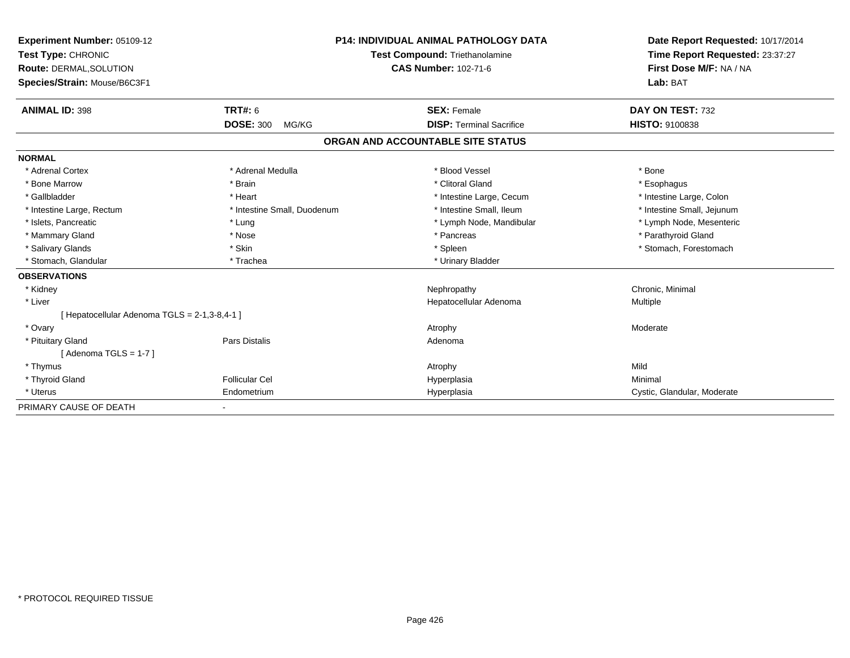| <b>Experiment Number: 05109-12</b>            | <b>P14: INDIVIDUAL ANIMAL PATHOLOGY DATA</b><br>Test Compound: Triethanolamine<br><b>CAS Number: 102-71-6</b> |                                   | Date Report Requested: 10/17/2014 |
|-----------------------------------------------|---------------------------------------------------------------------------------------------------------------|-----------------------------------|-----------------------------------|
| Test Type: CHRONIC                            |                                                                                                               |                                   | Time Report Requested: 23:37:27   |
| <b>Route: DERMAL, SOLUTION</b>                |                                                                                                               |                                   | First Dose M/F: NA / NA           |
| Species/Strain: Mouse/B6C3F1                  |                                                                                                               |                                   | Lab: BAT                          |
| <b>ANIMAL ID: 398</b>                         | TRT#: 6                                                                                                       | <b>SEX: Female</b>                | DAY ON TEST: 732                  |
|                                               | <b>DOSE: 300</b><br>MG/KG                                                                                     | <b>DISP: Terminal Sacrifice</b>   | <b>HISTO: 9100838</b>             |
|                                               |                                                                                                               | ORGAN AND ACCOUNTABLE SITE STATUS |                                   |
| <b>NORMAL</b>                                 |                                                                                                               |                                   |                                   |
| * Adrenal Cortex                              | * Adrenal Medulla                                                                                             | * Blood Vessel                    | * Bone                            |
| * Bone Marrow                                 | * Brain                                                                                                       | * Clitoral Gland                  | * Esophagus                       |
| * Gallbladder                                 | * Heart                                                                                                       | * Intestine Large, Cecum          | * Intestine Large, Colon          |
| * Intestine Large, Rectum                     | * Intestine Small, Duodenum                                                                                   | * Intestine Small, Ileum          | * Intestine Small, Jejunum        |
| * Islets, Pancreatic                          | * Lung                                                                                                        | * Lymph Node, Mandibular          | * Lymph Node, Mesenteric          |
| * Mammary Gland                               | * Nose                                                                                                        | * Pancreas                        | * Parathyroid Gland               |
| * Salivary Glands                             | * Skin                                                                                                        | * Spleen                          | * Stomach, Forestomach            |
| * Stomach, Glandular                          | * Trachea                                                                                                     | * Urinary Bladder                 |                                   |
| <b>OBSERVATIONS</b>                           |                                                                                                               |                                   |                                   |
| * Kidney                                      |                                                                                                               | Nephropathy                       | Chronic, Minimal                  |
| * Liver                                       |                                                                                                               | Hepatocellular Adenoma            | <b>Multiple</b>                   |
| [ Hepatocellular Adenoma TGLS = 2-1,3-8,4-1 ] |                                                                                                               |                                   |                                   |
| * Ovary                                       |                                                                                                               | Atrophy                           | Moderate                          |
| * Pituitary Gland                             | Pars Distalis                                                                                                 | Adenoma                           |                                   |
| [Adenoma TGLS = $1-7$ ]                       |                                                                                                               |                                   |                                   |
| * Thymus                                      |                                                                                                               | Atrophy                           | Mild                              |
| * Thyroid Gland                               | <b>Follicular Cel</b>                                                                                         | Hyperplasia                       | Minimal                           |
| * Uterus                                      | Endometrium                                                                                                   | Hyperplasia                       | Cystic, Glandular, Moderate       |
| PRIMARY CAUSE OF DEATH                        |                                                                                                               |                                   |                                   |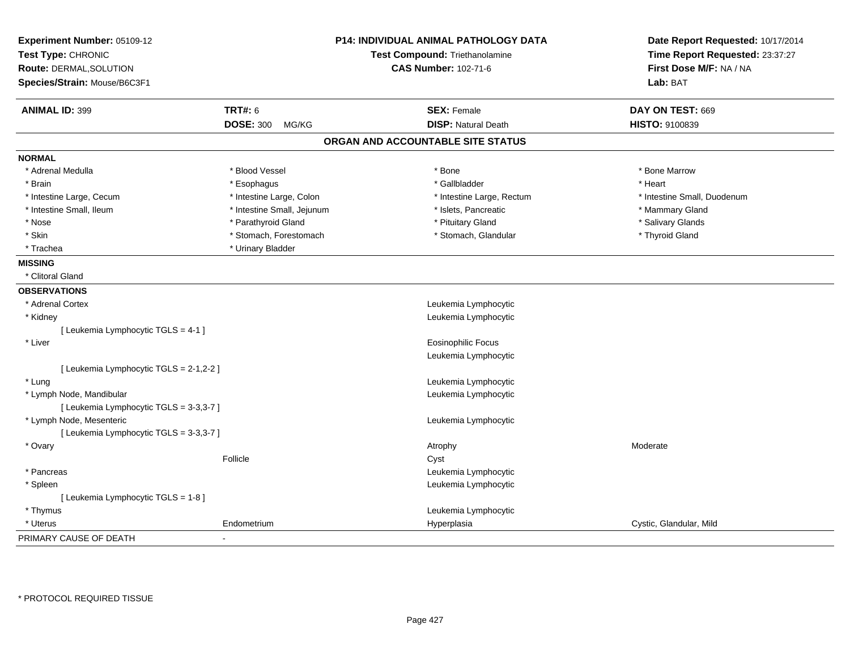| Experiment Number: 05109-12<br>Test Type: CHRONIC<br>Route: DERMAL, SOLUTION<br>Species/Strain: Mouse/B6C3F1 | <b>P14: INDIVIDUAL ANIMAL PATHOLOGY DATA</b><br>Test Compound: Triethanolamine<br><b>CAS Number: 102-71-6</b> |                                   | Date Report Requested: 10/17/2014<br>Time Report Requested: 23:37:27<br>First Dose M/F: NA / NA<br>Lab: BAT |
|--------------------------------------------------------------------------------------------------------------|---------------------------------------------------------------------------------------------------------------|-----------------------------------|-------------------------------------------------------------------------------------------------------------|
| <b>ANIMAL ID: 399</b>                                                                                        | <b>TRT#: 6</b>                                                                                                | <b>SEX: Female</b>                | DAY ON TEST: 669                                                                                            |
|                                                                                                              | <b>DOSE: 300</b><br>MG/KG                                                                                     | <b>DISP: Natural Death</b>        | <b>HISTO: 9100839</b>                                                                                       |
|                                                                                                              |                                                                                                               | ORGAN AND ACCOUNTABLE SITE STATUS |                                                                                                             |
| <b>NORMAL</b>                                                                                                |                                                                                                               |                                   |                                                                                                             |
| * Adrenal Medulla                                                                                            | * Blood Vessel                                                                                                | * Bone                            | * Bone Marrow                                                                                               |
| * Brain                                                                                                      | * Esophagus                                                                                                   | * Gallbladder                     | * Heart                                                                                                     |
| * Intestine Large, Cecum                                                                                     | * Intestine Large, Colon                                                                                      | * Intestine Large, Rectum         | * Intestine Small, Duodenum                                                                                 |
| * Intestine Small, Ileum                                                                                     | * Intestine Small, Jejunum                                                                                    | * Islets, Pancreatic              | * Mammary Gland                                                                                             |
| * Nose                                                                                                       | * Parathyroid Gland                                                                                           | * Pituitary Gland                 | * Salivary Glands                                                                                           |
| * Skin                                                                                                       | * Stomach, Forestomach                                                                                        | * Stomach, Glandular              | * Thyroid Gland                                                                                             |
| * Trachea                                                                                                    | * Urinary Bladder                                                                                             |                                   |                                                                                                             |
| <b>MISSING</b>                                                                                               |                                                                                                               |                                   |                                                                                                             |
| * Clitoral Gland                                                                                             |                                                                                                               |                                   |                                                                                                             |
| <b>OBSERVATIONS</b>                                                                                          |                                                                                                               |                                   |                                                                                                             |
| * Adrenal Cortex                                                                                             |                                                                                                               | Leukemia Lymphocytic              |                                                                                                             |
| * Kidney                                                                                                     |                                                                                                               | Leukemia Lymphocytic              |                                                                                                             |
| [ Leukemia Lymphocytic TGLS = 4-1 ]                                                                          |                                                                                                               |                                   |                                                                                                             |
| * Liver                                                                                                      |                                                                                                               | <b>Eosinophilic Focus</b>         |                                                                                                             |
|                                                                                                              |                                                                                                               | Leukemia Lymphocytic              |                                                                                                             |
| [ Leukemia Lymphocytic TGLS = 2-1,2-2 ]                                                                      |                                                                                                               |                                   |                                                                                                             |
| * Lung                                                                                                       |                                                                                                               | Leukemia Lymphocytic              |                                                                                                             |
| * Lymph Node, Mandibular                                                                                     |                                                                                                               | Leukemia Lymphocytic              |                                                                                                             |
| [ Leukemia Lymphocytic TGLS = 3-3,3-7 ]                                                                      |                                                                                                               |                                   |                                                                                                             |
| * Lymph Node, Mesenteric                                                                                     |                                                                                                               | Leukemia Lymphocytic              |                                                                                                             |
| [ Leukemia Lymphocytic TGLS = 3-3,3-7 ]                                                                      |                                                                                                               |                                   |                                                                                                             |
| * Ovary                                                                                                      |                                                                                                               | Atrophy                           | Moderate                                                                                                    |
|                                                                                                              | Follicle                                                                                                      | Cyst                              |                                                                                                             |
| * Pancreas                                                                                                   |                                                                                                               | Leukemia Lymphocytic              |                                                                                                             |
| * Spleen                                                                                                     |                                                                                                               | Leukemia Lymphocytic              |                                                                                                             |
| [ Leukemia Lymphocytic TGLS = 1-8 ]                                                                          |                                                                                                               |                                   |                                                                                                             |
| * Thymus                                                                                                     |                                                                                                               | Leukemia Lymphocytic              |                                                                                                             |
| * Uterus                                                                                                     | Endometrium                                                                                                   | Hyperplasia                       | Cystic, Glandular, Mild                                                                                     |
| PRIMARY CAUSE OF DEATH                                                                                       | L,                                                                                                            |                                   |                                                                                                             |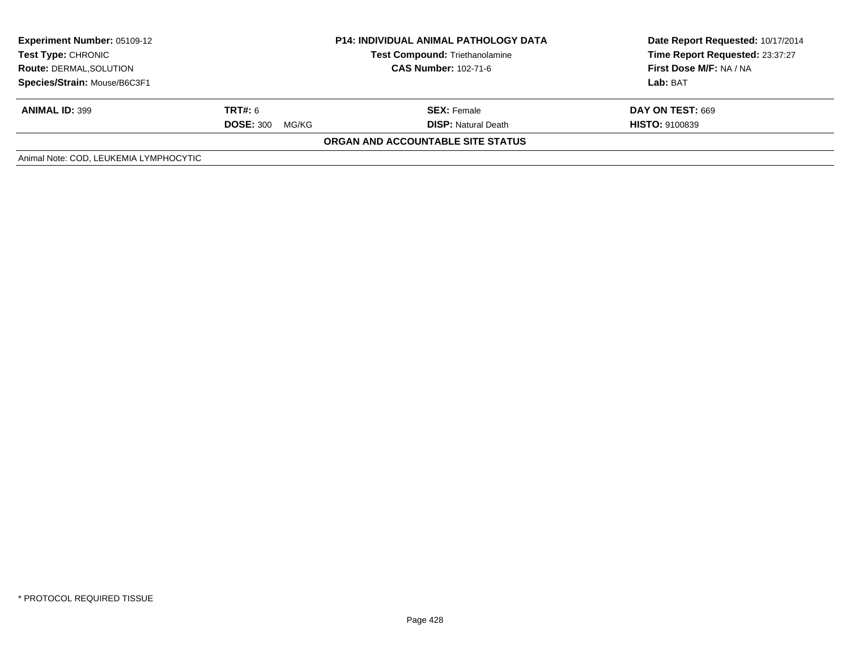| <b>Experiment Number: 05109-12</b><br><b>Test Type: CHRONIC</b><br><b>Route: DERMAL, SOLUTION</b> | <b>P14: INDIVIDUAL ANIMAL PATHOLOGY DATA</b><br><b>Test Compound: Triethanolamine</b><br><b>CAS Number: 102-71-6</b> |                                   | Date Report Requested: 10/17/2014<br>Time Report Requested: 23:37:27<br>First Dose M/F: NA / NA |  |
|---------------------------------------------------------------------------------------------------|----------------------------------------------------------------------------------------------------------------------|-----------------------------------|-------------------------------------------------------------------------------------------------|--|
| Species/Strain: Mouse/B6C3F1                                                                      |                                                                                                                      |                                   | Lab: BAT                                                                                        |  |
| <b>ANIMAL ID: 399</b>                                                                             | <b>TRT#:</b> 6                                                                                                       | <b>SEX: Female</b>                | <b>DAY ON TEST: 669</b>                                                                         |  |
|                                                                                                   | <b>DOSE: 300</b><br>MG/KG                                                                                            | <b>DISP: Natural Death</b>        | <b>HISTO: 9100839</b>                                                                           |  |
|                                                                                                   |                                                                                                                      | ORGAN AND ACCOUNTABLE SITE STATUS |                                                                                                 |  |
| Animal Note: COD, LEUKEMIA LYMPHOCYTIC                                                            |                                                                                                                      |                                   |                                                                                                 |  |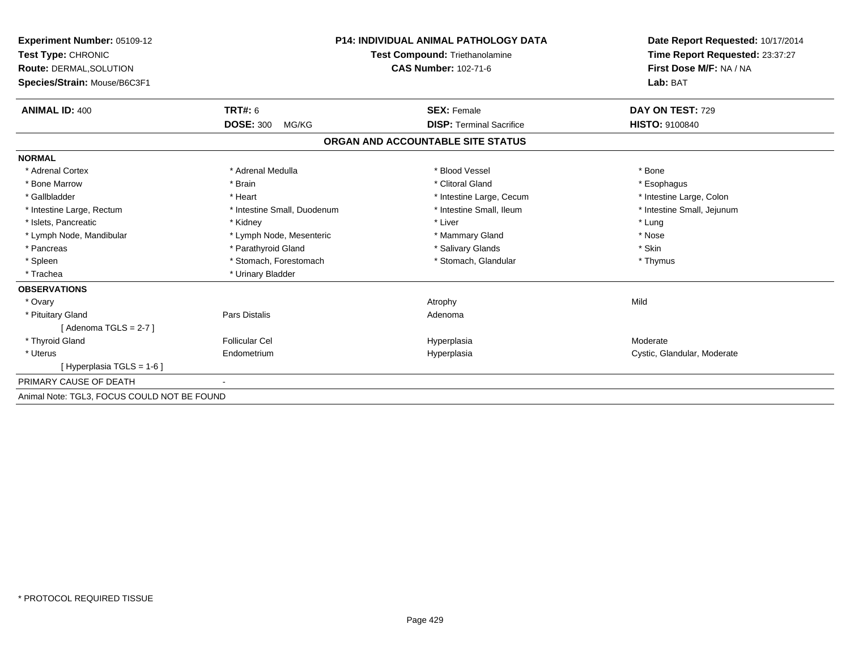| Experiment Number: 05109-12<br>Test Type: CHRONIC              |                             | <b>P14: INDIVIDUAL ANIMAL PATHOLOGY DATA</b><br>Test Compound: Triethanolamine | Date Report Requested: 10/17/2014<br>Time Report Requested: 23:37:27 |  |
|----------------------------------------------------------------|-----------------------------|--------------------------------------------------------------------------------|----------------------------------------------------------------------|--|
| <b>Route: DERMAL, SOLUTION</b><br>Species/Strain: Mouse/B6C3F1 |                             | <b>CAS Number: 102-71-6</b>                                                    | First Dose M/F: NA / NA<br>Lab: BAT                                  |  |
| <b>ANIMAL ID: 400</b>                                          | TRT#: 6                     | <b>SEX: Female</b>                                                             | DAY ON TEST: 729                                                     |  |
|                                                                | <b>DOSE: 300</b><br>MG/KG   | <b>DISP: Terminal Sacrifice</b>                                                | <b>HISTO: 9100840</b>                                                |  |
|                                                                |                             | ORGAN AND ACCOUNTABLE SITE STATUS                                              |                                                                      |  |
| <b>NORMAL</b>                                                  |                             |                                                                                |                                                                      |  |
| * Adrenal Cortex                                               | * Adrenal Medulla           | * Blood Vessel                                                                 | * Bone                                                               |  |
| * Bone Marrow                                                  | * Brain                     | * Clitoral Gland                                                               | * Esophagus                                                          |  |
| * Gallbladder                                                  | * Heart                     | * Intestine Large, Cecum                                                       | * Intestine Large, Colon                                             |  |
| * Intestine Large, Rectum                                      | * Intestine Small, Duodenum | * Intestine Small, Ileum                                                       | * Intestine Small, Jejunum                                           |  |
| * Islets, Pancreatic                                           | * Kidney                    | * Liver                                                                        | * Lung                                                               |  |
| * Lymph Node, Mandibular                                       | * Lymph Node, Mesenteric    | * Mammary Gland                                                                | * Nose                                                               |  |
| * Pancreas                                                     | * Parathyroid Gland         | * Salivary Glands                                                              | * Skin                                                               |  |
| * Spleen                                                       | * Stomach, Forestomach      | * Stomach, Glandular                                                           | * Thymus                                                             |  |
| * Trachea                                                      | * Urinary Bladder           |                                                                                |                                                                      |  |
| <b>OBSERVATIONS</b>                                            |                             |                                                                                |                                                                      |  |
| * Ovary                                                        |                             | Atrophy                                                                        | Mild                                                                 |  |
| * Pituitary Gland                                              | Pars Distalis               | Adenoma                                                                        |                                                                      |  |
| [Adenoma TGLS = 2-7]                                           |                             |                                                                                |                                                                      |  |
| * Thyroid Gland                                                | <b>Follicular Cel</b>       | Hyperplasia                                                                    | Moderate                                                             |  |
| * Uterus                                                       | Endometrium                 | Hyperplasia                                                                    | Cystic, Glandular, Moderate                                          |  |
| [Hyperplasia TGLS = 1-6]                                       |                             |                                                                                |                                                                      |  |
| PRIMARY CAUSE OF DEATH                                         |                             |                                                                                |                                                                      |  |
| Animal Note: TGL3, FOCUS COULD NOT BE FOUND                    |                             |                                                                                |                                                                      |  |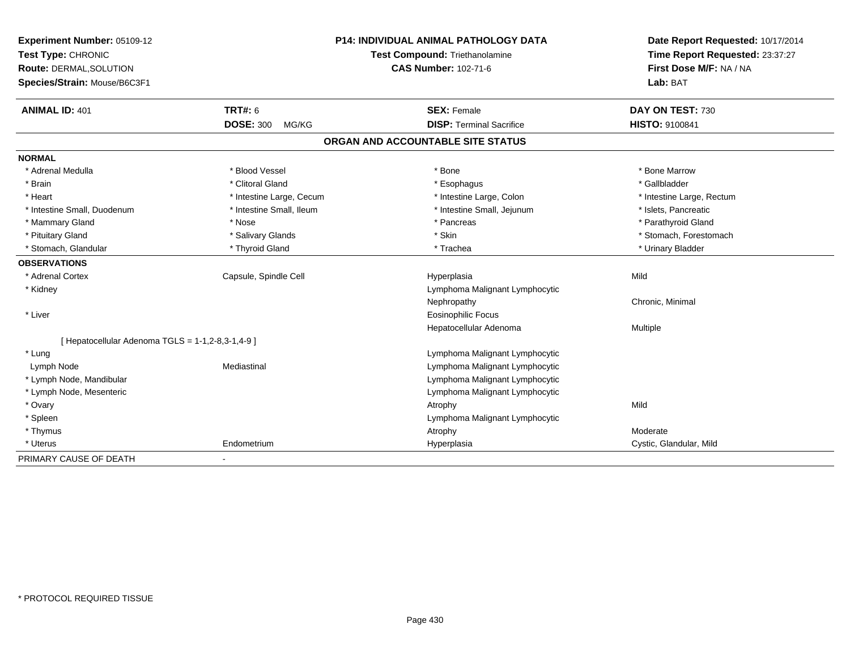| Experiment Number: 05109-12<br>Test Type: CHRONIC<br><b>Route: DERMAL, SOLUTION</b><br>Species/Strain: Mouse/B6C3F1 | <b>P14: INDIVIDUAL ANIMAL PATHOLOGY DATA</b><br>Test Compound: Triethanolamine<br><b>CAS Number: 102-71-6</b> |                                   | Date Report Requested: 10/17/2014<br>Time Report Requested: 23:37:27<br>First Dose M/F: NA / NA<br>Lab: BAT |  |
|---------------------------------------------------------------------------------------------------------------------|---------------------------------------------------------------------------------------------------------------|-----------------------------------|-------------------------------------------------------------------------------------------------------------|--|
| <b>ANIMAL ID: 401</b>                                                                                               | TRT#: 6                                                                                                       | <b>SEX: Female</b>                | DAY ON TEST: 730                                                                                            |  |
|                                                                                                                     | <b>DOSE: 300</b><br>MG/KG                                                                                     | <b>DISP: Terminal Sacrifice</b>   | HISTO: 9100841                                                                                              |  |
|                                                                                                                     |                                                                                                               | ORGAN AND ACCOUNTABLE SITE STATUS |                                                                                                             |  |
| <b>NORMAL</b>                                                                                                       |                                                                                                               |                                   |                                                                                                             |  |
| * Adrenal Medulla                                                                                                   | * Blood Vessel                                                                                                | * Bone                            | * Bone Marrow                                                                                               |  |
| * Brain                                                                                                             | * Clitoral Gland                                                                                              | * Esophagus                       | * Gallbladder                                                                                               |  |
| * Heart                                                                                                             | * Intestine Large, Cecum                                                                                      | * Intestine Large, Colon          | * Intestine Large, Rectum                                                                                   |  |
| * Intestine Small, Duodenum                                                                                         | * Intestine Small, Ileum                                                                                      | * Intestine Small, Jejunum        | * Islets, Pancreatic                                                                                        |  |
| * Mammary Gland                                                                                                     | * Nose                                                                                                        | * Pancreas                        | * Parathyroid Gland                                                                                         |  |
| * Pituitary Gland                                                                                                   | * Salivary Glands                                                                                             | * Skin                            | * Stomach, Forestomach                                                                                      |  |
| * Stomach, Glandular                                                                                                | * Thyroid Gland                                                                                               | * Trachea                         | * Urinary Bladder                                                                                           |  |
| <b>OBSERVATIONS</b>                                                                                                 |                                                                                                               |                                   |                                                                                                             |  |
| * Adrenal Cortex                                                                                                    | Capsule, Spindle Cell                                                                                         | Hyperplasia                       | Mild                                                                                                        |  |
| * Kidney                                                                                                            |                                                                                                               | Lymphoma Malignant Lymphocytic    |                                                                                                             |  |
|                                                                                                                     |                                                                                                               | Nephropathy                       | Chronic, Minimal                                                                                            |  |
| * Liver                                                                                                             |                                                                                                               | <b>Eosinophilic Focus</b>         |                                                                                                             |  |
|                                                                                                                     |                                                                                                               | Hepatocellular Adenoma            | <b>Multiple</b>                                                                                             |  |
| [ Hepatocellular Adenoma TGLS = 1-1,2-8,3-1,4-9 ]                                                                   |                                                                                                               |                                   |                                                                                                             |  |
| * Lung                                                                                                              |                                                                                                               | Lymphoma Malignant Lymphocytic    |                                                                                                             |  |
| Lymph Node                                                                                                          | Mediastinal                                                                                                   | Lymphoma Malignant Lymphocytic    |                                                                                                             |  |
| * Lymph Node, Mandibular                                                                                            |                                                                                                               | Lymphoma Malignant Lymphocytic    |                                                                                                             |  |
| * Lymph Node, Mesenteric                                                                                            |                                                                                                               | Lymphoma Malignant Lymphocytic    |                                                                                                             |  |
| * Ovary                                                                                                             |                                                                                                               | Atrophy                           | Mild                                                                                                        |  |
| * Spleen                                                                                                            |                                                                                                               | Lymphoma Malignant Lymphocytic    |                                                                                                             |  |
| * Thymus                                                                                                            |                                                                                                               | Atrophy                           | Moderate                                                                                                    |  |
| * Uterus                                                                                                            | Endometrium                                                                                                   | Hyperplasia                       | Cystic, Glandular, Mild                                                                                     |  |
| PRIMARY CAUSE OF DEATH                                                                                              |                                                                                                               |                                   |                                                                                                             |  |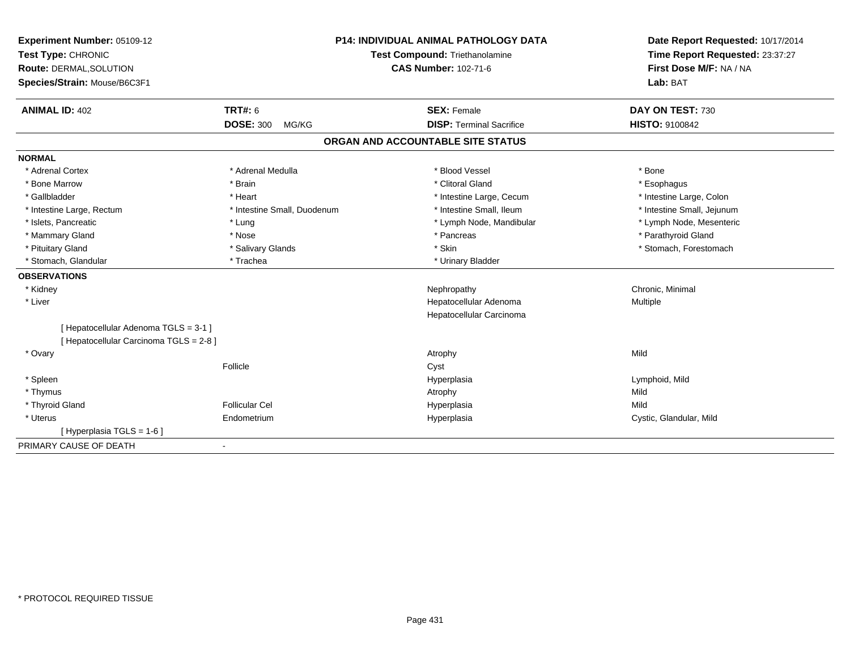| Experiment Number: 05109-12             | <b>P14: INDIVIDUAL ANIMAL PATHOLOGY DATA</b><br>Test Compound: Triethanolamine<br><b>CAS Number: 102-71-6</b> |                                   | Date Report Requested: 10/17/2014                          |
|-----------------------------------------|---------------------------------------------------------------------------------------------------------------|-----------------------------------|------------------------------------------------------------|
| Test Type: CHRONIC                      |                                                                                                               |                                   | Time Report Requested: 23:37:27<br>First Dose M/F: NA / NA |
| Route: DERMAL, SOLUTION                 |                                                                                                               |                                   |                                                            |
| Species/Strain: Mouse/B6C3F1            |                                                                                                               |                                   | Lab: BAT                                                   |
| <b>ANIMAL ID: 402</b>                   | <b>TRT#: 6</b>                                                                                                | <b>SEX: Female</b>                | DAY ON TEST: 730                                           |
|                                         | <b>DOSE: 300</b><br>MG/KG                                                                                     | <b>DISP: Terminal Sacrifice</b>   | <b>HISTO: 9100842</b>                                      |
|                                         |                                                                                                               | ORGAN AND ACCOUNTABLE SITE STATUS |                                                            |
| <b>NORMAL</b>                           |                                                                                                               |                                   |                                                            |
| * Adrenal Cortex                        | * Adrenal Medulla                                                                                             | * Blood Vessel                    | * Bone                                                     |
| * Bone Marrow                           | * Brain                                                                                                       | * Clitoral Gland                  | * Esophagus                                                |
| * Gallbladder                           | * Heart                                                                                                       | * Intestine Large, Cecum          | * Intestine Large, Colon                                   |
| * Intestine Large, Rectum               | * Intestine Small, Duodenum                                                                                   | * Intestine Small, Ileum          | * Intestine Small, Jejunum                                 |
| * Islets, Pancreatic                    | * Lung                                                                                                        | * Lymph Node, Mandibular          | * Lymph Node, Mesenteric                                   |
| * Mammary Gland                         | * Nose                                                                                                        | * Pancreas                        | * Parathyroid Gland                                        |
| * Pituitary Gland                       | * Salivary Glands                                                                                             | * Skin                            | * Stomach, Forestomach                                     |
| * Stomach, Glandular                    | * Trachea                                                                                                     | * Urinary Bladder                 |                                                            |
| <b>OBSERVATIONS</b>                     |                                                                                                               |                                   |                                                            |
| * Kidney                                |                                                                                                               | Nephropathy                       | Chronic, Minimal                                           |
| * Liver                                 |                                                                                                               | Hepatocellular Adenoma            | Multiple                                                   |
|                                         |                                                                                                               | Hepatocellular Carcinoma          |                                                            |
| [ Hepatocellular Adenoma TGLS = 3-1 ]   |                                                                                                               |                                   |                                                            |
| [ Hepatocellular Carcinoma TGLS = 2-8 ] |                                                                                                               |                                   |                                                            |
| * Ovary                                 |                                                                                                               | Atrophy                           | Mild                                                       |
|                                         | Follicle                                                                                                      | Cyst                              |                                                            |
| * Spleen                                |                                                                                                               | Hyperplasia                       | Lymphoid, Mild                                             |
| * Thymus                                |                                                                                                               | Atrophy                           | Mild                                                       |
| * Thyroid Gland                         | <b>Follicular Cel</b>                                                                                         | Hyperplasia                       | Mild                                                       |
| * Uterus                                | Endometrium                                                                                                   | Hyperplasia                       | Cystic, Glandular, Mild                                    |
| [Hyperplasia TGLS = 1-6]                |                                                                                                               |                                   |                                                            |
| PRIMARY CAUSE OF DEATH                  |                                                                                                               |                                   |                                                            |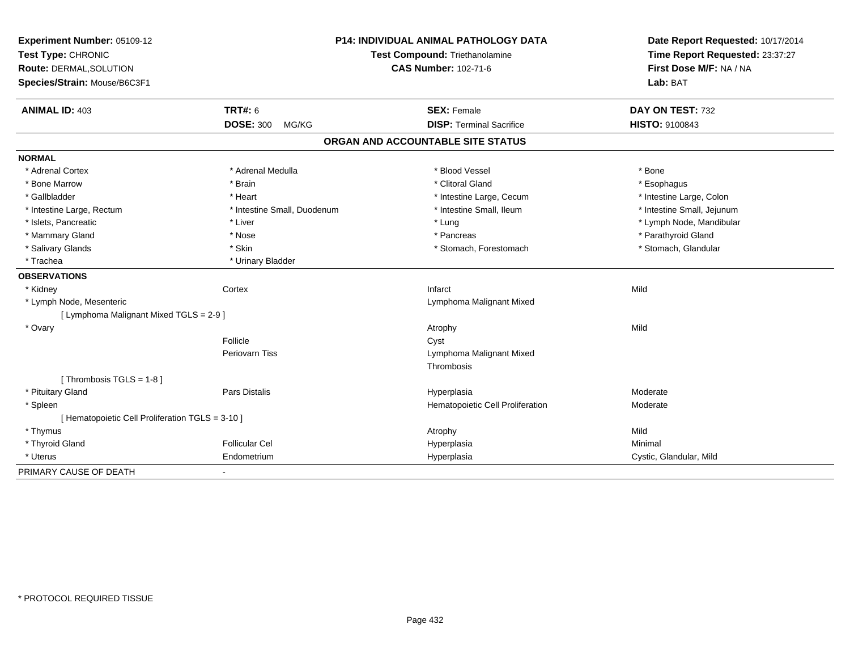| Experiment Number: 05109-12<br>Test Type: CHRONIC<br>Route: DERMAL, SOLUTION<br>Species/Strain: Mouse/B6C3F1 |                             | <b>P14: INDIVIDUAL ANIMAL PATHOLOGY DATA</b><br>Test Compound: Triethanolamine<br><b>CAS Number: 102-71-6</b> |                            |
|--------------------------------------------------------------------------------------------------------------|-----------------------------|---------------------------------------------------------------------------------------------------------------|----------------------------|
| <b>ANIMAL ID: 403</b>                                                                                        | <b>TRT#: 6</b>              | <b>SEX: Female</b>                                                                                            | DAY ON TEST: 732           |
|                                                                                                              | <b>DOSE: 300</b><br>MG/KG   | <b>DISP: Terminal Sacrifice</b>                                                                               | HISTO: 9100843             |
|                                                                                                              |                             | ORGAN AND ACCOUNTABLE SITE STATUS                                                                             |                            |
| <b>NORMAL</b>                                                                                                |                             |                                                                                                               |                            |
| * Adrenal Cortex                                                                                             | * Adrenal Medulla           | * Blood Vessel                                                                                                | * Bone                     |
| * Bone Marrow                                                                                                | * Brain                     | * Clitoral Gland                                                                                              | * Esophagus                |
| * Gallbladder                                                                                                | * Heart                     | * Intestine Large, Cecum                                                                                      | * Intestine Large, Colon   |
| * Intestine Large, Rectum                                                                                    | * Intestine Small, Duodenum | * Intestine Small, Ileum                                                                                      | * Intestine Small, Jejunum |
| * Islets, Pancreatic                                                                                         | * Liver                     | * Lung                                                                                                        | * Lymph Node, Mandibular   |
| * Mammary Gland                                                                                              | * Nose                      | * Pancreas                                                                                                    | * Parathyroid Gland        |
| * Salivary Glands                                                                                            | * Skin                      | * Stomach, Forestomach                                                                                        | * Stomach, Glandular       |
| * Trachea                                                                                                    | * Urinary Bladder           |                                                                                                               |                            |
| <b>OBSERVATIONS</b>                                                                                          |                             |                                                                                                               |                            |
| * Kidney                                                                                                     | Cortex                      | Infarct                                                                                                       | Mild                       |
| * Lymph Node, Mesenteric                                                                                     |                             | Lymphoma Malignant Mixed                                                                                      |                            |
| [ Lymphoma Malignant Mixed TGLS = 2-9 ]                                                                      |                             |                                                                                                               |                            |
| * Ovary                                                                                                      |                             | Atrophy                                                                                                       | Mild                       |
|                                                                                                              | Follicle                    | Cyst                                                                                                          |                            |
|                                                                                                              | Periovarn Tiss              | Lymphoma Malignant Mixed                                                                                      |                            |
|                                                                                                              |                             | Thrombosis                                                                                                    |                            |
| [Thrombosis TGLS = $1-8$ ]                                                                                   |                             |                                                                                                               |                            |
| * Pituitary Gland                                                                                            | <b>Pars Distalis</b>        | Hyperplasia                                                                                                   | Moderate                   |
| * Spleen                                                                                                     |                             | Hematopoietic Cell Proliferation                                                                              | Moderate                   |
| [ Hematopoietic Cell Proliferation TGLS = 3-10 ]                                                             |                             |                                                                                                               |                            |
| * Thymus                                                                                                     |                             | Atrophy                                                                                                       | Mild                       |
| * Thyroid Gland                                                                                              | <b>Follicular Cel</b>       | Hyperplasia                                                                                                   | Minimal                    |
| * Uterus                                                                                                     | Endometrium                 | Hyperplasia                                                                                                   | Cystic, Glandular, Mild    |
| PRIMARY CAUSE OF DEATH                                                                                       |                             |                                                                                                               |                            |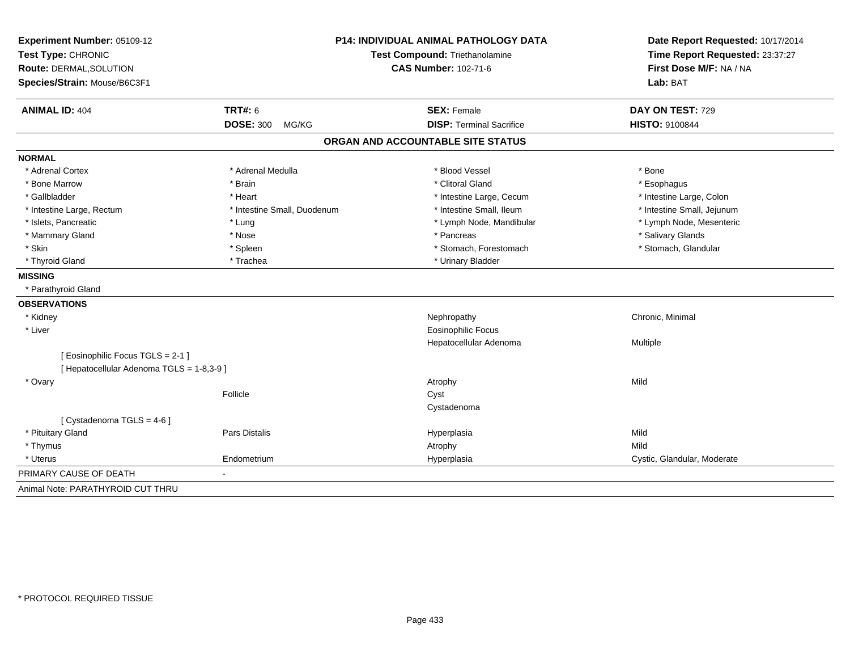| Experiment Number: 05109-12                          | <b>P14: INDIVIDUAL ANIMAL PATHOLOGY DATA</b> |                                   | Date Report Requested: 10/17/2014 |  |
|------------------------------------------------------|----------------------------------------------|-----------------------------------|-----------------------------------|--|
| Test Type: CHRONIC<br>Test Compound: Triethanolamine |                                              |                                   | Time Report Requested: 23:37:27   |  |
| Route: DERMAL, SOLUTION                              |                                              | <b>CAS Number: 102-71-6</b>       | First Dose M/F: NA / NA           |  |
| Species/Strain: Mouse/B6C3F1                         |                                              |                                   | Lab: BAT                          |  |
| <b>ANIMAL ID: 404</b>                                | <b>TRT#: 6</b>                               | <b>SEX: Female</b>                | DAY ON TEST: 729                  |  |
|                                                      | <b>DOSE: 300</b><br>MG/KG                    | <b>DISP: Terminal Sacrifice</b>   | <b>HISTO: 9100844</b>             |  |
|                                                      |                                              | ORGAN AND ACCOUNTABLE SITE STATUS |                                   |  |
| <b>NORMAL</b>                                        |                                              |                                   |                                   |  |
| * Adrenal Cortex                                     | * Adrenal Medulla                            | * Blood Vessel                    | * Bone                            |  |
| * Bone Marrow                                        | * Brain                                      | * Clitoral Gland                  | * Esophagus                       |  |
| * Gallbladder                                        | * Heart                                      | * Intestine Large, Cecum          | * Intestine Large, Colon          |  |
| * Intestine Large, Rectum                            | * Intestine Small, Duodenum                  | * Intestine Small, Ileum          | * Intestine Small, Jejunum        |  |
| * Islets, Pancreatic                                 | * Lung                                       | * Lymph Node, Mandibular          | * Lymph Node, Mesenteric          |  |
| * Mammary Gland                                      | * Nose                                       | * Pancreas                        | * Salivary Glands                 |  |
| * Skin                                               | * Spleen                                     | * Stomach, Forestomach            | * Stomach, Glandular              |  |
| * Thyroid Gland                                      | * Trachea                                    | * Urinary Bladder                 |                                   |  |
| <b>MISSING</b>                                       |                                              |                                   |                                   |  |
| * Parathyroid Gland                                  |                                              |                                   |                                   |  |
| <b>OBSERVATIONS</b>                                  |                                              |                                   |                                   |  |
| * Kidney                                             |                                              | Nephropathy                       | Chronic, Minimal                  |  |
| * Liver                                              |                                              | <b>Eosinophilic Focus</b>         |                                   |  |
|                                                      |                                              | Hepatocellular Adenoma            | Multiple                          |  |
| [Eosinophilic Focus TGLS = 2-1]                      |                                              |                                   |                                   |  |
| [ Hepatocellular Adenoma TGLS = 1-8,3-9 ]            |                                              |                                   |                                   |  |
| * Ovary                                              |                                              | Atrophy                           | Mild                              |  |
|                                                      | Follicle                                     | Cyst                              |                                   |  |
|                                                      |                                              | Cystadenoma                       |                                   |  |
| [Cystadenoma TGLS = 4-6]                             |                                              |                                   |                                   |  |
| * Pituitary Gland                                    | Pars Distalis                                | Hyperplasia                       | Mild                              |  |
| * Thymus                                             |                                              | Atrophy                           | Mild                              |  |
| * Uterus                                             | Endometrium                                  | Hyperplasia                       | Cystic, Glandular, Moderate       |  |
| PRIMARY CAUSE OF DEATH                               | $\overline{a}$                               |                                   |                                   |  |
| Animal Note: PARATHYROID CUT THRU                    |                                              |                                   |                                   |  |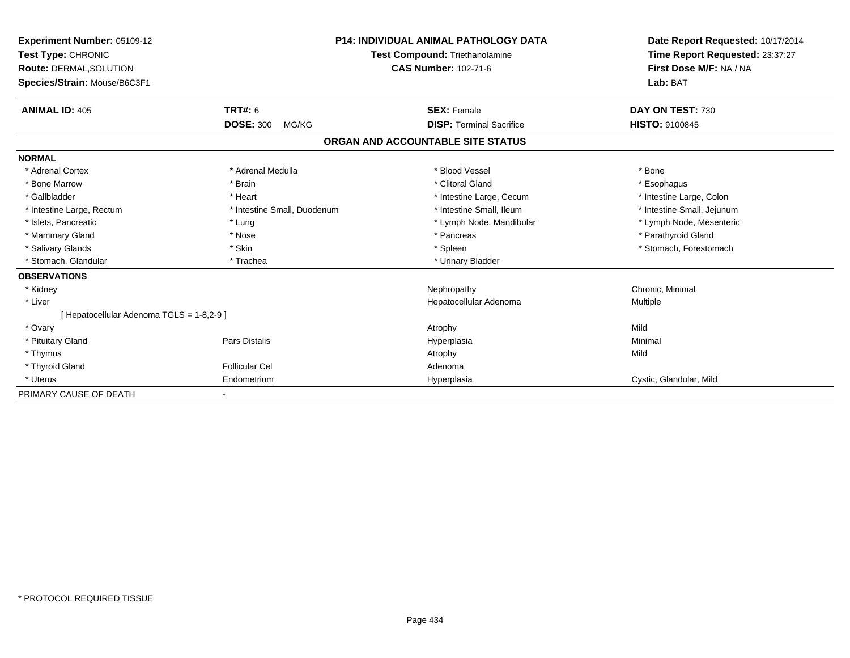| Experiment Number: 05109-12<br>Test Type: CHRONIC<br>Route: DERMAL, SOLUTION<br>Species/Strain: Mouse/B6C3F1 |                             | <b>P14: INDIVIDUAL ANIMAL PATHOLOGY DATA</b><br><b>Test Compound: Triethanolamine</b><br><b>CAS Number: 102-71-6</b> | Date Report Requested: 10/17/2014<br>Time Report Requested: 23:37:27<br>First Dose M/F: NA / NA<br>Lab: BAT |
|--------------------------------------------------------------------------------------------------------------|-----------------------------|----------------------------------------------------------------------------------------------------------------------|-------------------------------------------------------------------------------------------------------------|
| <b>ANIMAL ID: 405</b>                                                                                        | TRT#: 6                     | <b>SEX: Female</b>                                                                                                   | DAY ON TEST: 730                                                                                            |
|                                                                                                              | <b>DOSE: 300</b><br>MG/KG   | <b>DISP: Terminal Sacrifice</b>                                                                                      | <b>HISTO: 9100845</b>                                                                                       |
|                                                                                                              |                             | ORGAN AND ACCOUNTABLE SITE STATUS                                                                                    |                                                                                                             |
| <b>NORMAL</b>                                                                                                |                             |                                                                                                                      |                                                                                                             |
| * Adrenal Cortex                                                                                             | * Adrenal Medulla           | * Blood Vessel                                                                                                       | * Bone                                                                                                      |
| * Bone Marrow                                                                                                | * Brain                     | * Clitoral Gland                                                                                                     | * Esophagus                                                                                                 |
| * Gallbladder                                                                                                | * Heart                     | * Intestine Large, Cecum                                                                                             | * Intestine Large, Colon                                                                                    |
| * Intestine Large, Rectum                                                                                    | * Intestine Small, Duodenum | * Intestine Small, Ileum                                                                                             | * Intestine Small, Jejunum                                                                                  |
| * Islets, Pancreatic                                                                                         | * Lung                      | * Lymph Node, Mandibular                                                                                             | * Lymph Node, Mesenteric                                                                                    |
| * Mammary Gland                                                                                              | * Nose                      | * Pancreas                                                                                                           | * Parathyroid Gland                                                                                         |
| * Salivary Glands                                                                                            | * Skin                      | * Spleen                                                                                                             | * Stomach, Forestomach                                                                                      |
| * Stomach, Glandular                                                                                         | * Trachea                   | * Urinary Bladder                                                                                                    |                                                                                                             |
| <b>OBSERVATIONS</b>                                                                                          |                             |                                                                                                                      |                                                                                                             |
| * Kidney                                                                                                     |                             | Nephropathy                                                                                                          | Chronic, Minimal                                                                                            |
| * Liver                                                                                                      |                             | Hepatocellular Adenoma                                                                                               | <b>Multiple</b>                                                                                             |
| [Hepatocellular Adenoma TGLS = 1-8,2-9]                                                                      |                             |                                                                                                                      |                                                                                                             |
| * Ovary                                                                                                      |                             | Atrophy                                                                                                              | Mild                                                                                                        |
| * Pituitary Gland                                                                                            | Pars Distalis               | Hyperplasia                                                                                                          | Minimal                                                                                                     |
| * Thymus                                                                                                     |                             | Atrophy                                                                                                              | Mild                                                                                                        |
| * Thyroid Gland                                                                                              | <b>Follicular Cel</b>       | Adenoma                                                                                                              |                                                                                                             |
| * Uterus                                                                                                     | Endometrium                 | Hyperplasia                                                                                                          | Cystic, Glandular, Mild                                                                                     |
| PRIMARY CAUSE OF DEATH                                                                                       |                             |                                                                                                                      |                                                                                                             |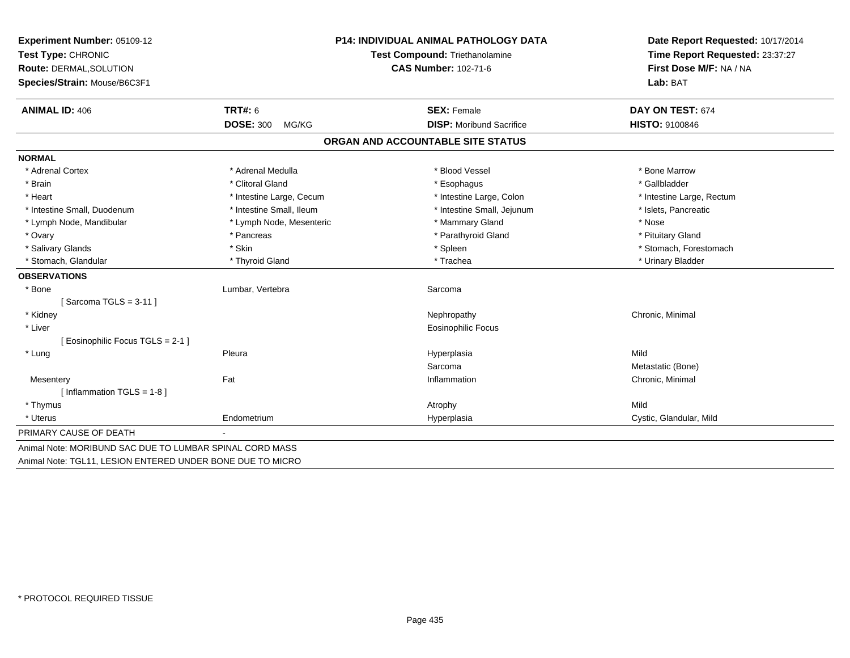| Experiment Number: 05109-12<br>Test Type: CHRONIC          |                           | <b>P14: INDIVIDUAL ANIMAL PATHOLOGY DATA</b> | Date Report Requested: 10/17/2014   |  |
|------------------------------------------------------------|---------------------------|----------------------------------------------|-------------------------------------|--|
|                                                            |                           | Test Compound: Triethanolamine               | Time Report Requested: 23:37:27     |  |
| Route: DERMAL, SOLUTION                                    |                           | <b>CAS Number: 102-71-6</b>                  | First Dose M/F: NA / NA<br>Lab: BAT |  |
| Species/Strain: Mouse/B6C3F1                               |                           |                                              |                                     |  |
| <b>ANIMAL ID: 406</b>                                      | <b>TRT#: 6</b>            | <b>SEX: Female</b>                           | DAY ON TEST: 674                    |  |
|                                                            | <b>DOSE: 300</b><br>MG/KG | <b>DISP:</b> Moribund Sacrifice              | HISTO: 9100846                      |  |
|                                                            |                           | ORGAN AND ACCOUNTABLE SITE STATUS            |                                     |  |
| <b>NORMAL</b>                                              |                           |                                              |                                     |  |
| * Adrenal Cortex                                           | * Adrenal Medulla         | * Blood Vessel                               | * Bone Marrow                       |  |
| * Brain                                                    | * Clitoral Gland          | * Esophagus                                  | * Gallbladder                       |  |
| * Heart                                                    | * Intestine Large, Cecum  | * Intestine Large, Colon                     | * Intestine Large, Rectum           |  |
| * Intestine Small, Duodenum                                | * Intestine Small, Ileum  | * Intestine Small, Jejunum                   | * Islets, Pancreatic                |  |
| * Lymph Node, Mandibular                                   | * Lymph Node, Mesenteric  | * Mammary Gland                              | * Nose                              |  |
| * Ovary                                                    | * Pancreas                | * Parathyroid Gland                          | * Pituitary Gland                   |  |
| * Salivary Glands                                          | * Skin                    | * Spleen                                     | * Stomach, Forestomach              |  |
| * Stomach, Glandular                                       | * Thyroid Gland           | * Trachea                                    | * Urinary Bladder                   |  |
| <b>OBSERVATIONS</b>                                        |                           |                                              |                                     |  |
| * Bone                                                     | Lumbar, Vertebra          | Sarcoma                                      |                                     |  |
| [Sarcoma TGLS = $3-11$ ]                                   |                           |                                              |                                     |  |
| * Kidney                                                   |                           | Nephropathy                                  | Chronic, Minimal                    |  |
| * Liver                                                    |                           | <b>Eosinophilic Focus</b>                    |                                     |  |
| [ Eosinophilic Focus TGLS = 2-1 ]                          |                           |                                              |                                     |  |
| * Lung                                                     | Pleura                    | Hyperplasia                                  | Mild                                |  |
|                                                            |                           | Sarcoma                                      | Metastatic (Bone)                   |  |
| Mesentery                                                  | Fat                       | Inflammation                                 | Chronic, Minimal                    |  |
| [Inflammation TGLS = $1-8$ ]                               |                           |                                              |                                     |  |
| * Thymus                                                   |                           | Atrophy                                      | Mild                                |  |
| * Uterus                                                   | Endometrium               | Hyperplasia                                  | Cystic, Glandular, Mild             |  |
| PRIMARY CAUSE OF DEATH                                     |                           |                                              |                                     |  |
| Animal Note: MORIBUND SAC DUE TO LUMBAR SPINAL CORD MASS   |                           |                                              |                                     |  |
| Animal Note: TGL11, LESION ENTERED UNDER BONE DUE TO MICRO |                           |                                              |                                     |  |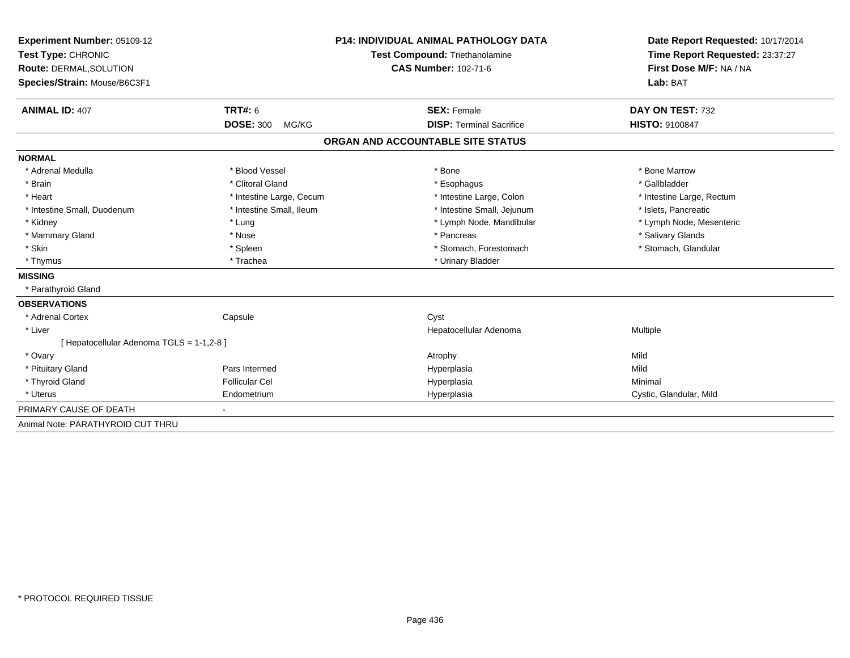| Experiment Number: 05109-12<br>Test Type: CHRONIC<br>Route: DERMAL, SOLUTION |                           | <b>P14: INDIVIDUAL ANIMAL PATHOLOGY DATA</b> | Date Report Requested: 10/17/2014<br>Time Report Requested: 23:37:27<br>First Dose M/F: NA / NA |  |
|------------------------------------------------------------------------------|---------------------------|----------------------------------------------|-------------------------------------------------------------------------------------------------|--|
|                                                                              |                           | Test Compound: Triethanolamine               |                                                                                                 |  |
|                                                                              |                           | <b>CAS Number: 102-71-6</b>                  |                                                                                                 |  |
| Species/Strain: Mouse/B6C3F1                                                 |                           |                                              | Lab: BAT                                                                                        |  |
|                                                                              |                           |                                              |                                                                                                 |  |
| <b>ANIMAL ID: 407</b>                                                        | <b>TRT#: 6</b>            | <b>SEX: Female</b>                           | DAY ON TEST: 732                                                                                |  |
|                                                                              | <b>DOSE: 300</b><br>MG/KG | <b>DISP: Terminal Sacrifice</b>              | HISTO: 9100847                                                                                  |  |
|                                                                              |                           | ORGAN AND ACCOUNTABLE SITE STATUS            |                                                                                                 |  |
| <b>NORMAL</b>                                                                |                           |                                              |                                                                                                 |  |
| * Adrenal Medulla                                                            | * Blood Vessel            | * Bone                                       | * Bone Marrow                                                                                   |  |
| * Brain                                                                      | * Clitoral Gland          | * Esophagus                                  | * Gallbladder                                                                                   |  |
| * Heart                                                                      | * Intestine Large, Cecum  | * Intestine Large, Colon                     | * Intestine Large, Rectum                                                                       |  |
| * Intestine Small, Duodenum                                                  | * Intestine Small, Ileum  | * Intestine Small, Jejunum                   | * Islets, Pancreatic                                                                            |  |
| * Kidney                                                                     | * Lung                    | * Lymph Node, Mandibular                     | * Lymph Node, Mesenteric                                                                        |  |
| * Mammary Gland                                                              | * Nose                    | * Pancreas                                   | * Salivary Glands                                                                               |  |
| * Skin                                                                       | * Spleen                  | * Stomach, Forestomach                       | * Stomach, Glandular                                                                            |  |
| * Thymus                                                                     | * Trachea                 | * Urinary Bladder                            |                                                                                                 |  |
| <b>MISSING</b>                                                               |                           |                                              |                                                                                                 |  |
| * Parathyroid Gland                                                          |                           |                                              |                                                                                                 |  |
| <b>OBSERVATIONS</b>                                                          |                           |                                              |                                                                                                 |  |
| * Adrenal Cortex                                                             | Capsule                   | Cyst                                         |                                                                                                 |  |
| * Liver                                                                      |                           | Hepatocellular Adenoma                       | Multiple                                                                                        |  |
| [Hepatocellular Adenoma TGLS = 1-1,2-8]                                      |                           |                                              |                                                                                                 |  |
| * Ovary                                                                      |                           | Atrophy                                      | Mild                                                                                            |  |
| * Pituitary Gland                                                            | Pars Intermed             | Hyperplasia                                  | Mild                                                                                            |  |
| * Thyroid Gland                                                              | <b>Follicular Cel</b>     | Hyperplasia                                  | Minimal                                                                                         |  |
| * Uterus                                                                     | Endometrium               | Hyperplasia                                  | Cystic, Glandular, Mild                                                                         |  |
| PRIMARY CAUSE OF DEATH                                                       |                           |                                              |                                                                                                 |  |
| Animal Note: PARATHYROID CUT THRU                                            |                           |                                              |                                                                                                 |  |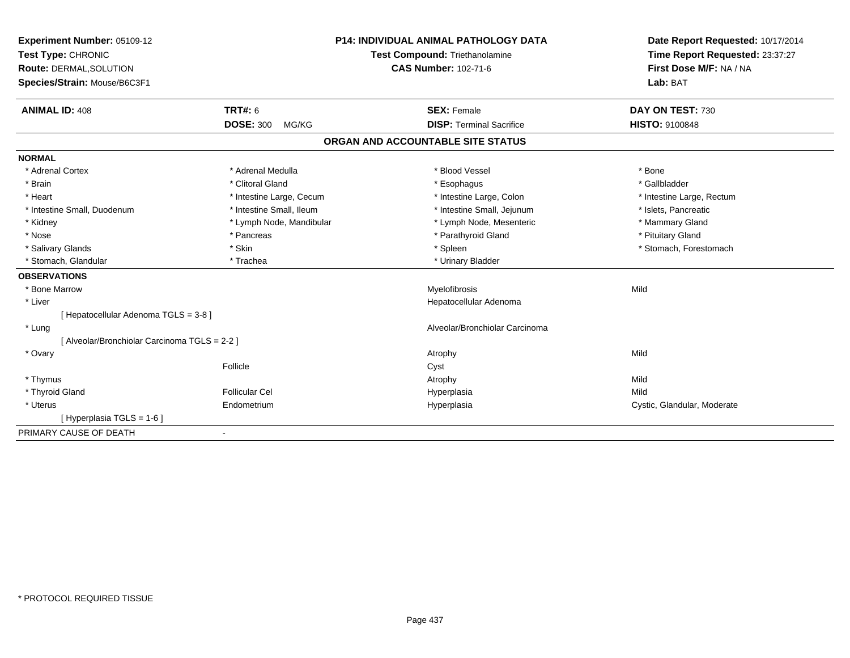| Experiment Number: 05109-12<br>Test Type: CHRONIC |                           | <b>P14: INDIVIDUAL ANIMAL PATHOLOGY DATA</b><br>Test Compound: Triethanolamine | Date Report Requested: 10/17/2014<br>Time Report Requested: 23:37:27 |
|---------------------------------------------------|---------------------------|--------------------------------------------------------------------------------|----------------------------------------------------------------------|
| <b>Route: DERMAL, SOLUTION</b>                    |                           | <b>CAS Number: 102-71-6</b>                                                    | First Dose M/F: NA / NA                                              |
| Species/Strain: Mouse/B6C3F1                      |                           |                                                                                | Lab: BAT                                                             |
| <b>ANIMAL ID: 408</b>                             | <b>TRT#: 6</b>            | <b>SEX: Female</b>                                                             | DAY ON TEST: 730                                                     |
|                                                   | <b>DOSE: 300</b><br>MG/KG | <b>DISP: Terminal Sacrifice</b>                                                | <b>HISTO: 9100848</b>                                                |
|                                                   |                           | ORGAN AND ACCOUNTABLE SITE STATUS                                              |                                                                      |
| <b>NORMAL</b>                                     |                           |                                                                                |                                                                      |
| * Adrenal Cortex                                  | * Adrenal Medulla         | * Blood Vessel                                                                 | * Bone                                                               |
| * Brain                                           | * Clitoral Gland          | * Esophagus                                                                    | * Gallbladder                                                        |
| * Heart                                           | * Intestine Large, Cecum  | * Intestine Large, Colon                                                       | * Intestine Large, Rectum                                            |
| * Intestine Small, Duodenum                       | * Intestine Small, Ileum  | * Intestine Small, Jejunum                                                     | * Islets, Pancreatic                                                 |
| * Kidney                                          | * Lymph Node, Mandibular  | * Lymph Node, Mesenteric                                                       | * Mammary Gland                                                      |
| * Nose                                            | * Pancreas                | * Parathyroid Gland                                                            | * Pituitary Gland                                                    |
| * Salivary Glands                                 | * Skin                    | * Spleen                                                                       | * Stomach, Forestomach                                               |
| * Stomach, Glandular                              | * Trachea                 | * Urinary Bladder                                                              |                                                                      |
| <b>OBSERVATIONS</b>                               |                           |                                                                                |                                                                      |
| * Bone Marrow                                     |                           | Myelofibrosis                                                                  | Mild                                                                 |
| * Liver                                           |                           | Hepatocellular Adenoma                                                         |                                                                      |
| [ Hepatocellular Adenoma TGLS = 3-8 ]             |                           |                                                                                |                                                                      |
| * Lung                                            |                           | Alveolar/Bronchiolar Carcinoma                                                 |                                                                      |
| [ Alveolar/Bronchiolar Carcinoma TGLS = 2-2 ]     |                           |                                                                                |                                                                      |
| * Ovary                                           |                           | Atrophy                                                                        | Mild                                                                 |
|                                                   | Follicle                  | Cyst                                                                           |                                                                      |
| * Thymus                                          |                           | Atrophy                                                                        | Mild                                                                 |
| * Thyroid Gland                                   | <b>Follicular Cel</b>     | Hyperplasia                                                                    | Mild                                                                 |
| * Uterus                                          | Endometrium               | Hyperplasia                                                                    | Cystic, Glandular, Moderate                                          |
| [ Hyperplasia TGLS = 1-6 ]                        |                           |                                                                                |                                                                      |
| PRIMARY CAUSE OF DEATH                            | ٠                         |                                                                                |                                                                      |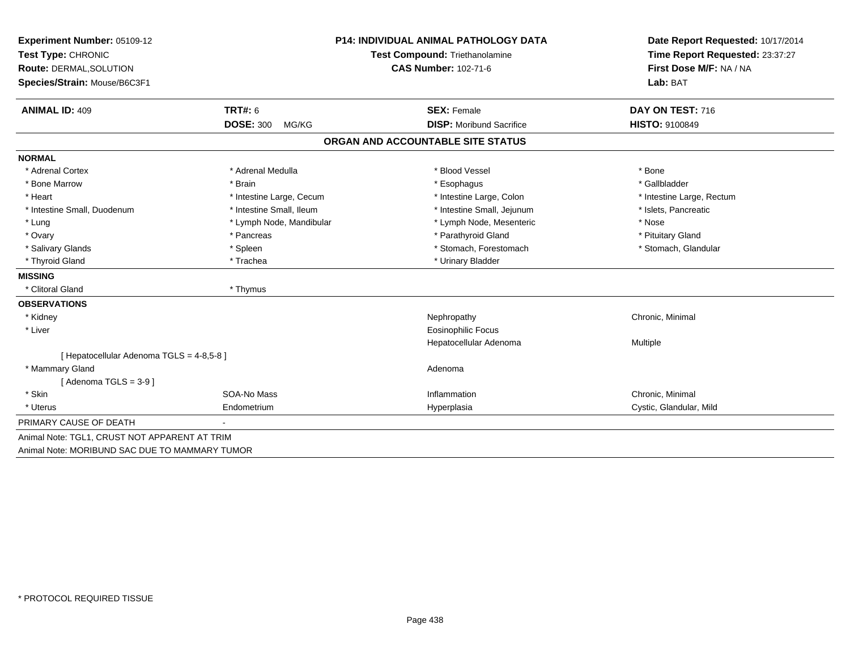| <b>Experiment Number: 05109-12</b>                   | <b>P14: INDIVIDUAL ANIMAL PATHOLOGY DATA</b> |                                   | Date Report Requested: 10/17/2014<br>Time Report Requested: 23:37:27<br>First Dose M/F: NA / NA |  |
|------------------------------------------------------|----------------------------------------------|-----------------------------------|-------------------------------------------------------------------------------------------------|--|
| Test Type: CHRONIC<br><b>Route: DERMAL, SOLUTION</b> |                                              | Test Compound: Triethanolamine    |                                                                                                 |  |
|                                                      |                                              | <b>CAS Number: 102-71-6</b>       |                                                                                                 |  |
| Species/Strain: Mouse/B6C3F1                         |                                              |                                   | Lab: BAT                                                                                        |  |
| <b>ANIMAL ID: 409</b>                                | <b>TRT#: 6</b>                               | <b>SEX: Female</b>                | DAY ON TEST: 716                                                                                |  |
|                                                      | <b>DOSE: 300</b><br>MG/KG                    | <b>DISP:</b> Moribund Sacrifice   | HISTO: 9100849                                                                                  |  |
|                                                      |                                              | ORGAN AND ACCOUNTABLE SITE STATUS |                                                                                                 |  |
| <b>NORMAL</b>                                        |                                              |                                   |                                                                                                 |  |
| * Adrenal Cortex                                     | * Adrenal Medulla                            | * Blood Vessel                    | * Bone                                                                                          |  |
| * Bone Marrow                                        | * Brain                                      | * Esophagus                       | * Gallbladder                                                                                   |  |
| * Heart                                              | * Intestine Large, Cecum                     | * Intestine Large, Colon          | * Intestine Large, Rectum                                                                       |  |
| * Intestine Small, Duodenum                          | * Intestine Small, Ileum                     | * Intestine Small, Jejunum        | * Islets, Pancreatic                                                                            |  |
| * Lung                                               | * Lymph Node, Mandibular                     | * Lymph Node, Mesenteric          | * Nose                                                                                          |  |
| * Ovary                                              | * Pancreas                                   | * Parathyroid Gland               | * Pituitary Gland                                                                               |  |
| * Salivary Glands                                    | * Spleen                                     | * Stomach, Forestomach            | * Stomach, Glandular                                                                            |  |
| * Thyroid Gland                                      | * Trachea                                    | * Urinary Bladder                 |                                                                                                 |  |
| <b>MISSING</b>                                       |                                              |                                   |                                                                                                 |  |
| * Clitoral Gland                                     | * Thymus                                     |                                   |                                                                                                 |  |
| <b>OBSERVATIONS</b>                                  |                                              |                                   |                                                                                                 |  |
| * Kidney                                             |                                              | Nephropathy                       | Chronic, Minimal                                                                                |  |
| * Liver                                              |                                              | <b>Eosinophilic Focus</b>         |                                                                                                 |  |
|                                                      |                                              | Hepatocellular Adenoma            | Multiple                                                                                        |  |
| [ Hepatocellular Adenoma TGLS = 4-8,5-8 ]            |                                              |                                   |                                                                                                 |  |
| * Mammary Gland                                      |                                              | Adenoma                           |                                                                                                 |  |
| [Adenoma TGLS = $3-9$ ]                              |                                              |                                   |                                                                                                 |  |
| * Skin                                               | SOA-No Mass                                  | Inflammation                      | Chronic, Minimal                                                                                |  |
| * Uterus                                             | Endometrium                                  | Hyperplasia                       | Cystic, Glandular, Mild                                                                         |  |
| PRIMARY CAUSE OF DEATH                               |                                              |                                   |                                                                                                 |  |
| Animal Note: TGL1, CRUST NOT APPARENT AT TRIM        |                                              |                                   |                                                                                                 |  |
| Animal Note: MORIBUND SAC DUE TO MAMMARY TUMOR       |                                              |                                   |                                                                                                 |  |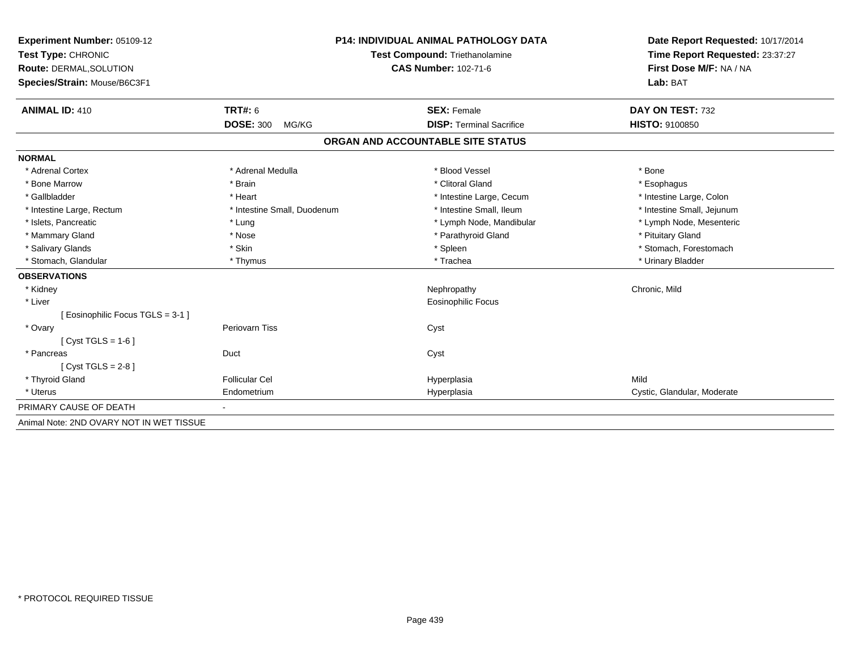| Experiment Number: 05109-12<br>Test Type: CHRONIC<br>Route: DERMAL, SOLUTION<br>Species/Strain: Mouse/B6C3F1 | <b>P14: INDIVIDUAL ANIMAL PATHOLOGY DATA</b><br>Test Compound: Triethanolamine<br><b>CAS Number: 102-71-6</b> |                                   | Date Report Requested: 10/17/2014<br>Time Report Requested: 23:37:27<br>First Dose M/F: NA / NA<br>Lab: BAT |  |
|--------------------------------------------------------------------------------------------------------------|---------------------------------------------------------------------------------------------------------------|-----------------------------------|-------------------------------------------------------------------------------------------------------------|--|
| <b>ANIMAL ID: 410</b>                                                                                        | <b>TRT#: 6</b>                                                                                                | <b>SEX: Female</b>                | DAY ON TEST: 732                                                                                            |  |
|                                                                                                              | <b>DOSE: 300</b><br>MG/KG                                                                                     | <b>DISP: Terminal Sacrifice</b>   | HISTO: 9100850                                                                                              |  |
|                                                                                                              |                                                                                                               | ORGAN AND ACCOUNTABLE SITE STATUS |                                                                                                             |  |
| <b>NORMAL</b>                                                                                                |                                                                                                               |                                   |                                                                                                             |  |
| * Adrenal Cortex                                                                                             | * Adrenal Medulla                                                                                             | * Blood Vessel                    | * Bone                                                                                                      |  |
| * Bone Marrow                                                                                                | * Brain                                                                                                       | * Clitoral Gland                  | * Esophagus                                                                                                 |  |
| * Gallbladder                                                                                                | * Heart                                                                                                       | * Intestine Large, Cecum          | * Intestine Large, Colon                                                                                    |  |
| * Intestine Large, Rectum                                                                                    | * Intestine Small, Duodenum                                                                                   | * Intestine Small, Ileum          | * Intestine Small, Jejunum                                                                                  |  |
| * Islets, Pancreatic                                                                                         | * Lung                                                                                                        | * Lymph Node, Mandibular          | * Lymph Node, Mesenteric                                                                                    |  |
| * Mammary Gland                                                                                              | * Nose                                                                                                        | * Parathyroid Gland               | * Pituitary Gland                                                                                           |  |
| * Salivary Glands                                                                                            | * Skin                                                                                                        | * Spleen                          | * Stomach, Forestomach                                                                                      |  |
| * Stomach, Glandular                                                                                         | * Thymus                                                                                                      | * Trachea                         | * Urinary Bladder                                                                                           |  |
| <b>OBSERVATIONS</b>                                                                                          |                                                                                                               |                                   |                                                                                                             |  |
| * Kidney                                                                                                     |                                                                                                               | Nephropathy                       | Chronic, Mild                                                                                               |  |
| * Liver                                                                                                      |                                                                                                               | <b>Eosinophilic Focus</b>         |                                                                                                             |  |
| [Eosinophilic Focus TGLS = 3-1 ]                                                                             |                                                                                                               |                                   |                                                                                                             |  |
| * Ovary                                                                                                      | <b>Periovarn Tiss</b>                                                                                         | Cyst                              |                                                                                                             |  |
| $[Cyst TGLS = 1-6]$                                                                                          |                                                                                                               |                                   |                                                                                                             |  |
| * Pancreas                                                                                                   | Duct                                                                                                          | Cyst                              |                                                                                                             |  |
| [ $Cyst TGLS = 2-8$ ]                                                                                        |                                                                                                               |                                   |                                                                                                             |  |
| * Thyroid Gland                                                                                              | <b>Follicular Cel</b>                                                                                         | Hyperplasia                       | Mild                                                                                                        |  |
| * Uterus                                                                                                     | Endometrium                                                                                                   | Hyperplasia                       | Cystic, Glandular, Moderate                                                                                 |  |
| PRIMARY CAUSE OF DEATH                                                                                       |                                                                                                               |                                   |                                                                                                             |  |
| Animal Note: 2ND OVARY NOT IN WET TISSUE                                                                     |                                                                                                               |                                   |                                                                                                             |  |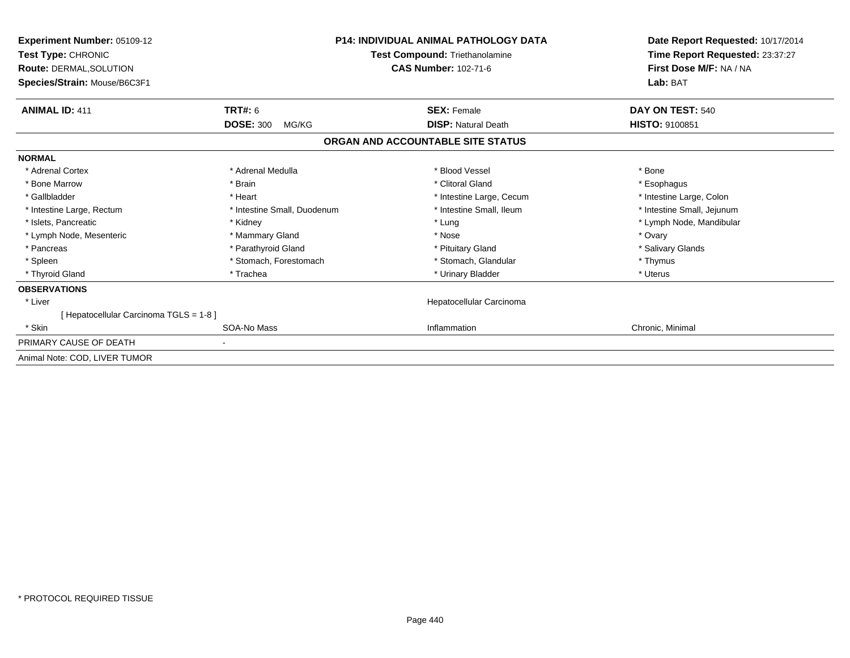| Experiment Number: 05109-12<br>Test Type: CHRONIC<br>Route: DERMAL, SOLUTION<br>Species/Strain: Mouse/B6C3F1 | <b>P14: INDIVIDUAL ANIMAL PATHOLOGY DATA</b><br><b>Test Compound: Triethanolamine</b><br><b>CAS Number: 102-71-6</b> |                                   | Date Report Requested: 10/17/2014<br>Time Report Requested: 23:37:27<br>First Dose M/F: NA / NA<br>Lab: BAT |
|--------------------------------------------------------------------------------------------------------------|----------------------------------------------------------------------------------------------------------------------|-----------------------------------|-------------------------------------------------------------------------------------------------------------|
| <b>ANIMAL ID: 411</b>                                                                                        | <b>TRT#: 6</b>                                                                                                       | <b>SEX: Female</b>                | DAY ON TEST: 540                                                                                            |
|                                                                                                              | <b>DOSE: 300</b><br>MG/KG                                                                                            | <b>DISP: Natural Death</b>        | <b>HISTO: 9100851</b>                                                                                       |
|                                                                                                              |                                                                                                                      | ORGAN AND ACCOUNTABLE SITE STATUS |                                                                                                             |
| <b>NORMAL</b>                                                                                                |                                                                                                                      |                                   |                                                                                                             |
| * Adrenal Cortex                                                                                             | * Adrenal Medulla                                                                                                    | * Blood Vessel                    | * Bone                                                                                                      |
| * Bone Marrow                                                                                                | * Brain                                                                                                              | * Clitoral Gland                  | * Esophagus                                                                                                 |
| * Gallbladder                                                                                                | * Heart                                                                                                              | * Intestine Large, Cecum          | * Intestine Large, Colon                                                                                    |
| * Intestine Large, Rectum                                                                                    | * Intestine Small, Duodenum                                                                                          | * Intestine Small, Ileum          | * Intestine Small, Jejunum                                                                                  |
| * Islets, Pancreatic                                                                                         | * Kidney                                                                                                             | * Lung                            | * Lymph Node, Mandibular                                                                                    |
| * Lymph Node, Mesenteric                                                                                     | * Mammary Gland                                                                                                      | * Nose                            | * Ovary                                                                                                     |
| * Pancreas                                                                                                   | * Parathyroid Gland                                                                                                  | * Pituitary Gland                 | * Salivary Glands                                                                                           |
| * Spleen                                                                                                     | * Stomach, Forestomach                                                                                               | * Stomach, Glandular              | * Thymus                                                                                                    |
| * Thyroid Gland                                                                                              | * Trachea                                                                                                            | * Urinary Bladder                 | * Uterus                                                                                                    |
| <b>OBSERVATIONS</b>                                                                                          |                                                                                                                      |                                   |                                                                                                             |
| * Liver                                                                                                      |                                                                                                                      | Hepatocellular Carcinoma          |                                                                                                             |
| [ Hepatocellular Carcinoma TGLS = 1-8 ]                                                                      |                                                                                                                      |                                   |                                                                                                             |
| * Skin                                                                                                       | SOA-No Mass                                                                                                          | Inflammation                      | Chronic, Minimal                                                                                            |
| PRIMARY CAUSE OF DEATH                                                                                       |                                                                                                                      |                                   |                                                                                                             |
| Animal Note: COD, LIVER TUMOR                                                                                |                                                                                                                      |                                   |                                                                                                             |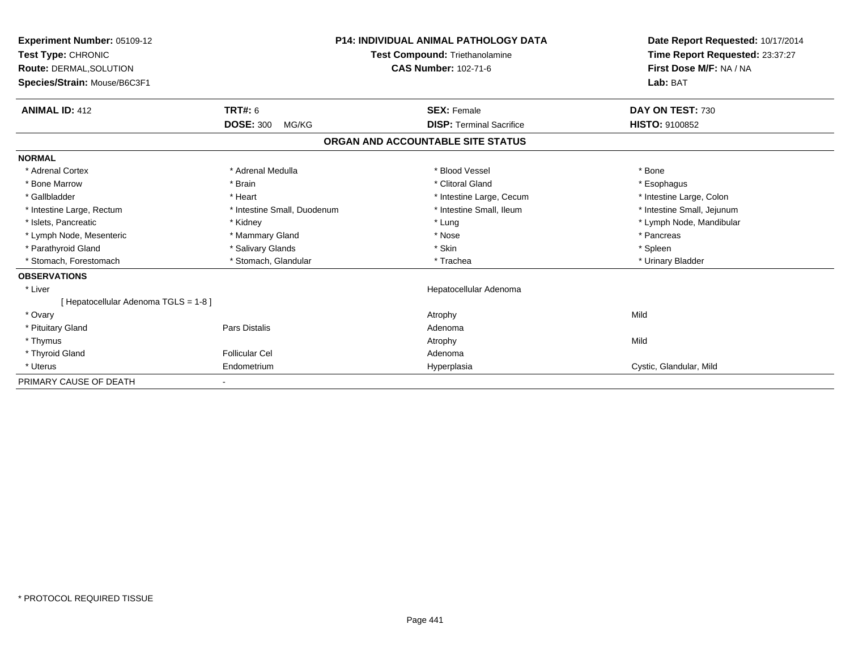| <b>Experiment Number: 05109-12</b><br>Test Type: CHRONIC<br>Route: DERMAL, SOLUTION<br>Species/Strain: Mouse/B6C3F1 |                             | <b>P14: INDIVIDUAL ANIMAL PATHOLOGY DATA</b><br><b>Test Compound: Triethanolamine</b><br><b>CAS Number: 102-71-6</b> |                                   | First Dose M/F: NA / NA<br>Lab: BAT | Date Report Requested: 10/17/2014<br>Time Report Requested: 23:37:27 |
|---------------------------------------------------------------------------------------------------------------------|-----------------------------|----------------------------------------------------------------------------------------------------------------------|-----------------------------------|-------------------------------------|----------------------------------------------------------------------|
| <b>ANIMAL ID: 412</b>                                                                                               | <b>TRT#: 6</b>              |                                                                                                                      | <b>SEX: Female</b>                | DAY ON TEST: 730                    |                                                                      |
|                                                                                                                     | <b>DOSE: 300</b><br>MG/KG   |                                                                                                                      | <b>DISP: Terminal Sacrifice</b>   | <b>HISTO: 9100852</b>               |                                                                      |
|                                                                                                                     |                             |                                                                                                                      | ORGAN AND ACCOUNTABLE SITE STATUS |                                     |                                                                      |
| <b>NORMAL</b>                                                                                                       |                             |                                                                                                                      |                                   |                                     |                                                                      |
| * Adrenal Cortex                                                                                                    | * Adrenal Medulla           |                                                                                                                      | * Blood Vessel                    | * Bone                              |                                                                      |
| * Bone Marrow                                                                                                       | * Brain                     |                                                                                                                      | * Clitoral Gland                  | * Esophagus                         |                                                                      |
| * Gallbladder                                                                                                       | * Heart                     |                                                                                                                      | * Intestine Large, Cecum          | * Intestine Large, Colon            |                                                                      |
| * Intestine Large, Rectum                                                                                           | * Intestine Small, Duodenum |                                                                                                                      | * Intestine Small, Ileum          | * Intestine Small, Jejunum          |                                                                      |
| * Islets, Pancreatic                                                                                                | * Kidney                    |                                                                                                                      | * Lung                            | * Lymph Node, Mandibular            |                                                                      |
| * Lymph Node, Mesenteric                                                                                            | * Mammary Gland             |                                                                                                                      | * Nose                            | * Pancreas                          |                                                                      |
| * Parathyroid Gland                                                                                                 | * Salivary Glands           |                                                                                                                      | * Skin                            | * Spleen                            |                                                                      |
| * Stomach, Forestomach                                                                                              | * Stomach, Glandular        |                                                                                                                      | * Trachea                         | * Urinary Bladder                   |                                                                      |
| <b>OBSERVATIONS</b>                                                                                                 |                             |                                                                                                                      |                                   |                                     |                                                                      |
| * Liver                                                                                                             |                             |                                                                                                                      | Hepatocellular Adenoma            |                                     |                                                                      |
| [Hepatocellular Adenoma TGLS = 1-8]                                                                                 |                             |                                                                                                                      |                                   |                                     |                                                                      |
| * Ovary                                                                                                             |                             |                                                                                                                      | Atrophy                           | Mild                                |                                                                      |
| * Pituitary Gland                                                                                                   | <b>Pars Distalis</b>        |                                                                                                                      | Adenoma                           |                                     |                                                                      |
| * Thymus                                                                                                            |                             |                                                                                                                      | Atrophy                           | Mild                                |                                                                      |
| * Thyroid Gland                                                                                                     | <b>Follicular Cel</b>       |                                                                                                                      | Adenoma                           |                                     |                                                                      |
| * Uterus                                                                                                            | Endometrium                 |                                                                                                                      | Hyperplasia                       | Cystic, Glandular, Mild             |                                                                      |
| PRIMARY CAUSE OF DEATH                                                                                              |                             |                                                                                                                      |                                   |                                     |                                                                      |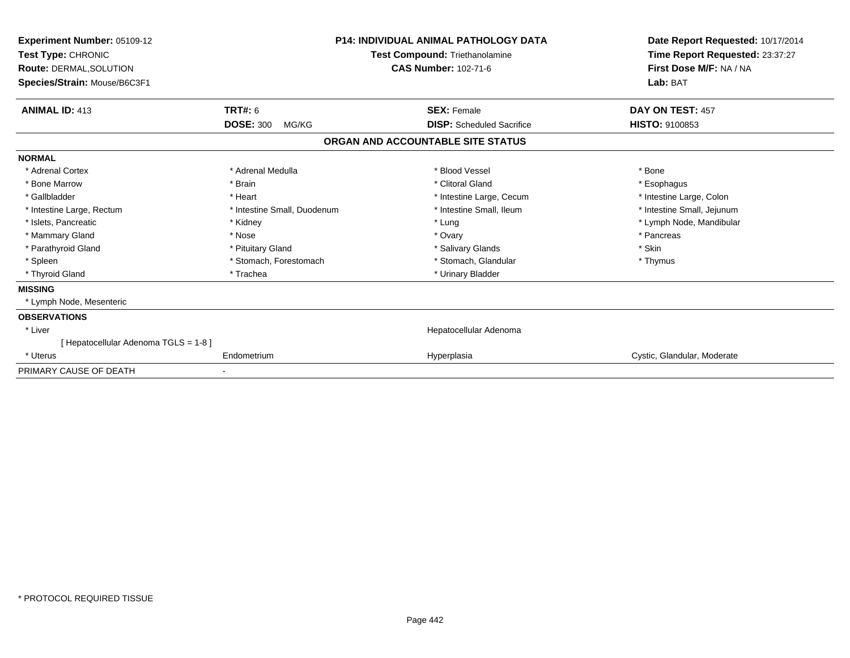| Experiment Number: 05109-12<br>Test Type: CHRONIC<br>Route: DERMAL, SOLUTION<br>Species/Strain: Mouse/B6C3F1 | <b>P14: INDIVIDUAL ANIMAL PATHOLOGY DATA</b><br>Test Compound: Triethanolamine<br><b>CAS Number: 102-71-6</b> |                                   | Date Report Requested: 10/17/2014<br>Time Report Requested: 23:37:27<br>First Dose M/F: NA / NA<br>Lab: BAT |  |
|--------------------------------------------------------------------------------------------------------------|---------------------------------------------------------------------------------------------------------------|-----------------------------------|-------------------------------------------------------------------------------------------------------------|--|
| <b>ANIMAL ID: 413</b>                                                                                        | <b>TRT#: 6</b>                                                                                                | <b>SEX: Female</b>                | DAY ON TEST: 457                                                                                            |  |
|                                                                                                              | <b>DOSE: 300</b><br>MG/KG                                                                                     | <b>DISP:</b> Scheduled Sacrifice  | <b>HISTO: 9100853</b>                                                                                       |  |
|                                                                                                              |                                                                                                               | ORGAN AND ACCOUNTABLE SITE STATUS |                                                                                                             |  |
| <b>NORMAL</b>                                                                                                |                                                                                                               |                                   |                                                                                                             |  |
| * Adrenal Cortex                                                                                             | * Adrenal Medulla                                                                                             | * Blood Vessel                    | * Bone                                                                                                      |  |
| * Bone Marrow                                                                                                | * Brain                                                                                                       | * Clitoral Gland                  | * Esophagus                                                                                                 |  |
| * Gallbladder                                                                                                | * Heart                                                                                                       | * Intestine Large, Cecum          | * Intestine Large, Colon                                                                                    |  |
| * Intestine Large, Rectum                                                                                    | * Intestine Small, Duodenum                                                                                   | * Intestine Small, Ileum          | * Intestine Small, Jejunum                                                                                  |  |
| * Islets. Pancreatic                                                                                         | * Kidney                                                                                                      | * Lung                            | * Lymph Node, Mandibular                                                                                    |  |
| * Mammary Gland                                                                                              | * Nose                                                                                                        | * Ovary                           | * Pancreas                                                                                                  |  |
| * Parathyroid Gland                                                                                          | * Pituitary Gland                                                                                             | * Salivary Glands                 | * Skin                                                                                                      |  |
| * Spleen                                                                                                     | * Stomach, Forestomach                                                                                        | * Stomach, Glandular              | * Thymus                                                                                                    |  |
| * Thyroid Gland                                                                                              | * Trachea                                                                                                     | * Urinary Bladder                 |                                                                                                             |  |
| <b>MISSING</b>                                                                                               |                                                                                                               |                                   |                                                                                                             |  |
| * Lymph Node, Mesenteric                                                                                     |                                                                                                               |                                   |                                                                                                             |  |
| <b>OBSERVATIONS</b>                                                                                          |                                                                                                               |                                   |                                                                                                             |  |
| * Liver                                                                                                      |                                                                                                               | Hepatocellular Adenoma            |                                                                                                             |  |
| [ Hepatocellular Adenoma TGLS = 1-8 ]                                                                        |                                                                                                               |                                   |                                                                                                             |  |
| * Uterus                                                                                                     | Endometrium                                                                                                   | Hyperplasia                       | Cystic, Glandular, Moderate                                                                                 |  |
| PRIMARY CAUSE OF DEATH                                                                                       |                                                                                                               |                                   |                                                                                                             |  |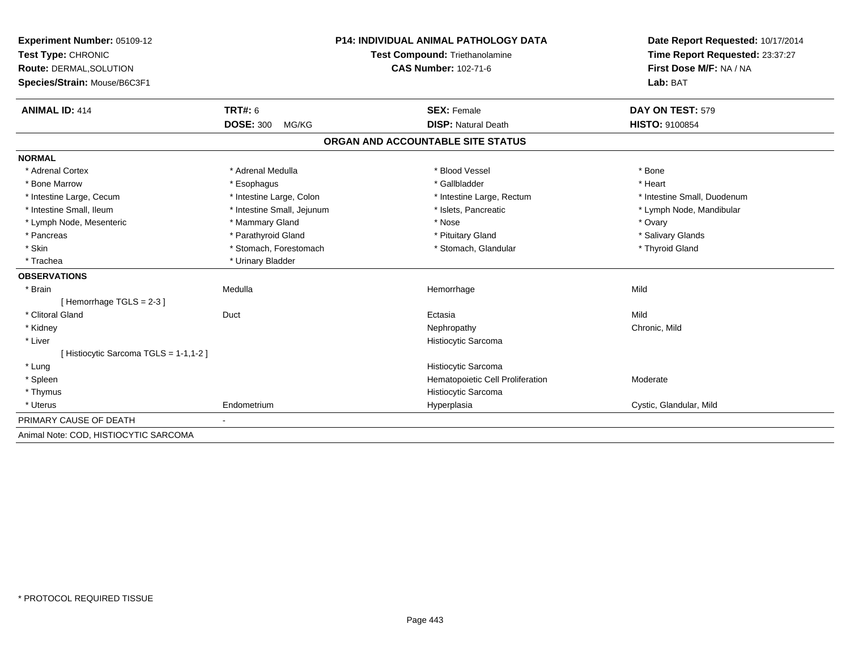| Experiment Number: 05109-12           | <b>P14: INDIVIDUAL ANIMAL PATHOLOGY DATA</b> |                                   | Date Report Requested: 10/17/2014 |  |
|---------------------------------------|----------------------------------------------|-----------------------------------|-----------------------------------|--|
| Test Type: CHRONIC                    |                                              | Test Compound: Triethanolamine    | Time Report Requested: 23:37:27   |  |
| Route: DERMAL, SOLUTION               |                                              | <b>CAS Number: 102-71-6</b>       | First Dose M/F: NA / NA           |  |
| Species/Strain: Mouse/B6C3F1          |                                              |                                   | Lab: BAT                          |  |
| <b>ANIMAL ID: 414</b>                 | <b>TRT#: 6</b>                               | <b>SEX: Female</b>                | DAY ON TEST: 579                  |  |
|                                       | <b>DOSE: 300</b><br>MG/KG                    | <b>DISP: Natural Death</b>        | <b>HISTO: 9100854</b>             |  |
|                                       |                                              | ORGAN AND ACCOUNTABLE SITE STATUS |                                   |  |
| <b>NORMAL</b>                         |                                              |                                   |                                   |  |
| * Adrenal Cortex                      | * Adrenal Medulla                            | * Blood Vessel                    | * Bone                            |  |
| * Bone Marrow                         | * Esophagus                                  | * Gallbladder                     | * Heart                           |  |
| * Intestine Large, Cecum              | * Intestine Large, Colon                     | * Intestine Large, Rectum         | * Intestine Small, Duodenum       |  |
| * Intestine Small, Ileum              | * Intestine Small, Jejunum                   | * Islets, Pancreatic              | * Lymph Node, Mandibular          |  |
| * Lymph Node, Mesenteric              | * Mammary Gland                              | * Nose                            | * Ovary                           |  |
| * Pancreas                            | * Parathyroid Gland                          | * Pituitary Gland                 | * Salivary Glands                 |  |
| * Skin                                | * Stomach, Forestomach                       | * Stomach, Glandular              | * Thyroid Gland                   |  |
| * Trachea                             | * Urinary Bladder                            |                                   |                                   |  |
| <b>OBSERVATIONS</b>                   |                                              |                                   |                                   |  |
| * Brain                               | Medulla                                      | Hemorrhage                        | Mild                              |  |
| [Hemorrhage TGLS = $2-3$ ]            |                                              |                                   |                                   |  |
| * Clitoral Gland                      | Duct                                         | Ectasia                           | Mild                              |  |
| * Kidney                              |                                              | Nephropathy                       | Chronic, Mild                     |  |
| * Liver                               |                                              | Histiocytic Sarcoma               |                                   |  |
| [Histiocytic Sarcoma TGLS = 1-1,1-2]  |                                              |                                   |                                   |  |
| * Lung                                |                                              | Histiocytic Sarcoma               |                                   |  |
| * Spleen                              |                                              | Hematopoietic Cell Proliferation  | Moderate                          |  |
| * Thymus                              |                                              | Histiocytic Sarcoma               |                                   |  |
| * Uterus                              | Endometrium                                  | Hyperplasia                       | Cystic, Glandular, Mild           |  |
| PRIMARY CAUSE OF DEATH                |                                              |                                   |                                   |  |
| Animal Note: COD, HISTIOCYTIC SARCOMA |                                              |                                   |                                   |  |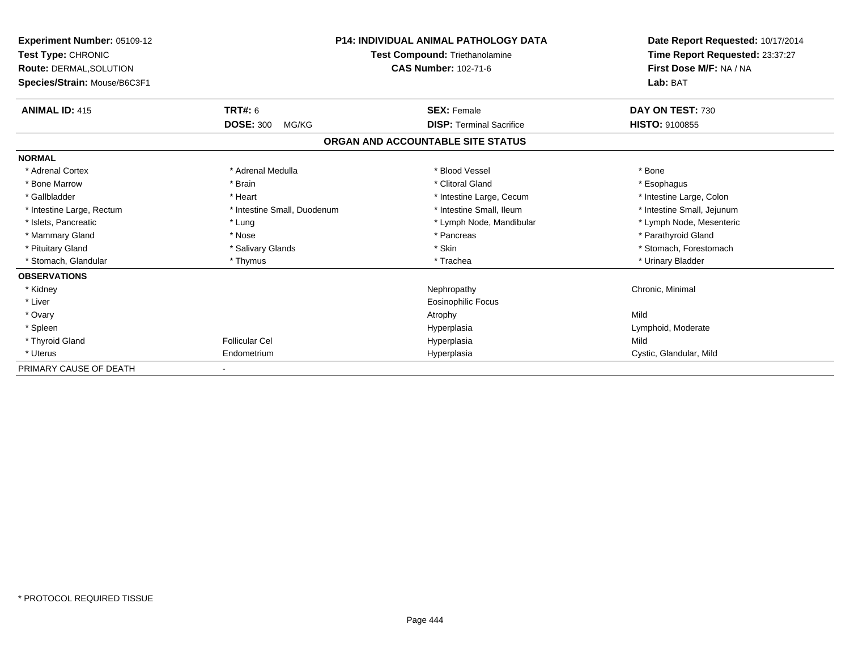| Experiment Number: 05109-12<br><b>Test Type: CHRONIC</b><br><b>Route: DERMAL, SOLUTION</b><br>Species/Strain: Mouse/B6C3F1 |                             | <b>P14: INDIVIDUAL ANIMAL PATHOLOGY DATA</b><br>Test Compound: Triethanolamine<br><b>CAS Number: 102-71-6</b> | Date Report Requested: 10/17/2014<br>Time Report Requested: 23:37:27<br>First Dose M/F: NA / NA<br>Lab: BAT |  |
|----------------------------------------------------------------------------------------------------------------------------|-----------------------------|---------------------------------------------------------------------------------------------------------------|-------------------------------------------------------------------------------------------------------------|--|
| <b>ANIMAL ID: 415</b>                                                                                                      | TRT#: 6                     | <b>SEX: Female</b>                                                                                            | DAY ON TEST: 730                                                                                            |  |
|                                                                                                                            | <b>DOSE: 300</b><br>MG/KG   | <b>DISP: Terminal Sacrifice</b>                                                                               | <b>HISTO: 9100855</b>                                                                                       |  |
|                                                                                                                            |                             | ORGAN AND ACCOUNTABLE SITE STATUS                                                                             |                                                                                                             |  |
| <b>NORMAL</b>                                                                                                              |                             |                                                                                                               |                                                                                                             |  |
| * Adrenal Cortex                                                                                                           | * Adrenal Medulla           | * Blood Vessel                                                                                                | * Bone                                                                                                      |  |
| * Bone Marrow                                                                                                              | * Brain                     | * Clitoral Gland                                                                                              | * Esophagus                                                                                                 |  |
| * Gallbladder                                                                                                              | * Heart                     | * Intestine Large, Cecum                                                                                      | * Intestine Large, Colon                                                                                    |  |
| * Intestine Large, Rectum                                                                                                  | * Intestine Small, Duodenum | * Intestine Small, Ileum                                                                                      | * Intestine Small, Jejunum                                                                                  |  |
| * Islets, Pancreatic                                                                                                       | * Lung                      | * Lymph Node, Mandibular                                                                                      | * Lymph Node, Mesenteric                                                                                    |  |
| * Mammary Gland                                                                                                            | * Nose                      | * Pancreas                                                                                                    | * Parathyroid Gland                                                                                         |  |
| * Pituitary Gland                                                                                                          | * Salivary Glands           | * Skin                                                                                                        | * Stomach, Forestomach                                                                                      |  |
| * Stomach, Glandular                                                                                                       | * Thymus                    | * Trachea                                                                                                     | * Urinary Bladder                                                                                           |  |
| <b>OBSERVATIONS</b>                                                                                                        |                             |                                                                                                               |                                                                                                             |  |
| * Kidney                                                                                                                   |                             | Nephropathy                                                                                                   | Chronic, Minimal                                                                                            |  |
| * Liver                                                                                                                    |                             | <b>Eosinophilic Focus</b>                                                                                     |                                                                                                             |  |
| * Ovary                                                                                                                    |                             | Atrophy                                                                                                       | Mild                                                                                                        |  |
| * Spleen                                                                                                                   |                             | Hyperplasia                                                                                                   | Lymphoid, Moderate                                                                                          |  |
| * Thyroid Gland                                                                                                            | <b>Follicular Cel</b>       | Hyperplasia                                                                                                   | Mild                                                                                                        |  |
| * Uterus                                                                                                                   | Endometrium                 | Hyperplasia                                                                                                   | Cystic, Glandular, Mild                                                                                     |  |
| PRIMARY CAUSE OF DEATH                                                                                                     |                             |                                                                                                               |                                                                                                             |  |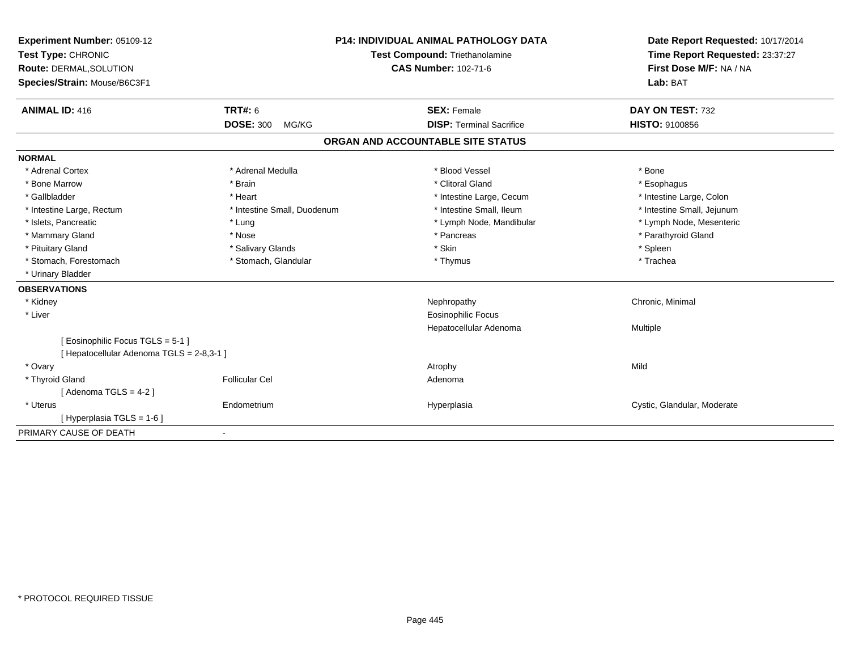| Experiment Number: 05109-12<br>Test Type: CHRONIC<br>Route: DERMAL, SOLUTION<br>Species/Strain: Mouse/B6C3F1<br><b>ANIMAL ID: 416</b> | <b>TRT#: 6</b>              | <b>P14: INDIVIDUAL ANIMAL PATHOLOGY DATA</b><br>Test Compound: Triethanolamine<br><b>CAS Number: 102-71-6</b><br><b>SEX: Female</b> | Date Report Requested: 10/17/2014<br>Time Report Requested: 23:37:27<br>First Dose M/F: NA / NA<br>Lab: BAT<br>DAY ON TEST: 732 |
|---------------------------------------------------------------------------------------------------------------------------------------|-----------------------------|-------------------------------------------------------------------------------------------------------------------------------------|---------------------------------------------------------------------------------------------------------------------------------|
|                                                                                                                                       | <b>DOSE: 300</b><br>MG/KG   | <b>DISP: Terminal Sacrifice</b>                                                                                                     | <b>HISTO: 9100856</b>                                                                                                           |
|                                                                                                                                       |                             | ORGAN AND ACCOUNTABLE SITE STATUS                                                                                                   |                                                                                                                                 |
| <b>NORMAL</b>                                                                                                                         |                             |                                                                                                                                     |                                                                                                                                 |
| * Adrenal Cortex                                                                                                                      | * Adrenal Medulla           | * Blood Vessel                                                                                                                      | * Bone                                                                                                                          |
| * Bone Marrow                                                                                                                         | * Brain                     | * Clitoral Gland                                                                                                                    | * Esophagus                                                                                                                     |
| * Gallbladder                                                                                                                         | * Heart                     | * Intestine Large, Cecum                                                                                                            | * Intestine Large, Colon                                                                                                        |
| * Intestine Large, Rectum                                                                                                             | * Intestine Small, Duodenum | * Intestine Small, Ileum                                                                                                            | * Intestine Small, Jejunum                                                                                                      |
| * Islets, Pancreatic                                                                                                                  | * Lung                      | * Lymph Node, Mandibular                                                                                                            | * Lymph Node, Mesenteric                                                                                                        |
| * Mammary Gland                                                                                                                       | * Nose                      | * Pancreas                                                                                                                          | * Parathyroid Gland                                                                                                             |
| * Pituitary Gland                                                                                                                     | * Salivary Glands           | * Skin                                                                                                                              | * Spleen                                                                                                                        |
| * Stomach, Forestomach                                                                                                                | * Stomach, Glandular        | * Thymus                                                                                                                            | * Trachea                                                                                                                       |
| * Urinary Bladder                                                                                                                     |                             |                                                                                                                                     |                                                                                                                                 |
| <b>OBSERVATIONS</b>                                                                                                                   |                             |                                                                                                                                     |                                                                                                                                 |
| * Kidney                                                                                                                              |                             | Nephropathy                                                                                                                         | Chronic, Minimal                                                                                                                |
| * Liver                                                                                                                               |                             | <b>Eosinophilic Focus</b>                                                                                                           |                                                                                                                                 |
|                                                                                                                                       |                             | Hepatocellular Adenoma                                                                                                              | Multiple                                                                                                                        |
| [ Eosinophilic Focus TGLS = 5-1 ]<br>[ Hepatocellular Adenoma TGLS = 2-8,3-1 ]                                                        |                             |                                                                                                                                     |                                                                                                                                 |
| * Ovary                                                                                                                               |                             | Atrophy                                                                                                                             | Mild                                                                                                                            |
| * Thyroid Gland                                                                                                                       | <b>Follicular Cel</b>       | Adenoma                                                                                                                             |                                                                                                                                 |
| [Adenoma TGLS = $4-2$ ]                                                                                                               |                             |                                                                                                                                     |                                                                                                                                 |
| * Uterus                                                                                                                              | Endometrium                 | Hyperplasia                                                                                                                         | Cystic, Glandular, Moderate                                                                                                     |
| [ Hyperplasia TGLS = 1-6 ]                                                                                                            |                             |                                                                                                                                     |                                                                                                                                 |
| PRIMARY CAUSE OF DEATH                                                                                                                |                             |                                                                                                                                     |                                                                                                                                 |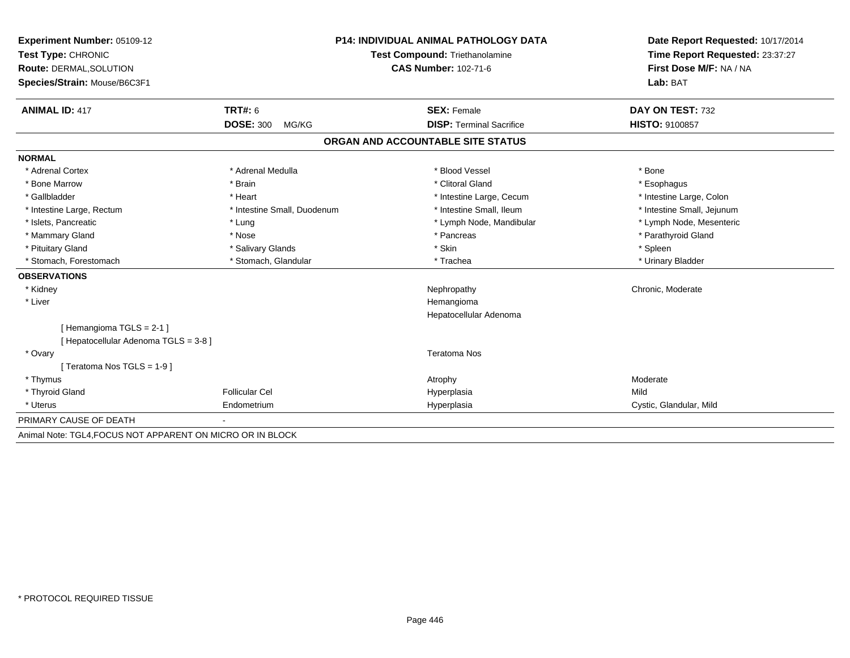| Experiment Number: 05109-12                                | <b>P14: INDIVIDUAL ANIMAL PATHOLOGY DATA</b><br>Test Compound: Triethanolamine<br><b>CAS Number: 102-71-6</b> |                                   | Date Report Requested: 10/17/2014 |  |
|------------------------------------------------------------|---------------------------------------------------------------------------------------------------------------|-----------------------------------|-----------------------------------|--|
| Test Type: CHRONIC                                         |                                                                                                               |                                   | Time Report Requested: 23:37:27   |  |
| <b>Route: DERMAL, SOLUTION</b>                             |                                                                                                               |                                   | First Dose M/F: NA / NA           |  |
| Species/Strain: Mouse/B6C3F1                               |                                                                                                               |                                   | Lab: BAT                          |  |
| <b>ANIMAL ID: 417</b>                                      | <b>TRT#: 6</b>                                                                                                | <b>SEX: Female</b>                | DAY ON TEST: 732                  |  |
|                                                            | <b>DOSE: 300</b><br>MG/KG                                                                                     | <b>DISP: Terminal Sacrifice</b>   | <b>HISTO: 9100857</b>             |  |
|                                                            |                                                                                                               | ORGAN AND ACCOUNTABLE SITE STATUS |                                   |  |
| <b>NORMAL</b>                                              |                                                                                                               |                                   |                                   |  |
| * Adrenal Cortex                                           | * Adrenal Medulla                                                                                             | * Blood Vessel                    | * Bone                            |  |
| * Bone Marrow                                              | * Brain                                                                                                       | * Clitoral Gland                  | * Esophagus                       |  |
| * Gallbladder                                              | * Heart                                                                                                       | * Intestine Large, Cecum          | * Intestine Large, Colon          |  |
| * Intestine Large, Rectum                                  | * Intestine Small, Duodenum                                                                                   | * Intestine Small, Ileum          | * Intestine Small, Jejunum        |  |
| * Islets, Pancreatic                                       | * Lung                                                                                                        | * Lymph Node, Mandibular          | * Lymph Node, Mesenteric          |  |
| * Mammary Gland                                            | * Nose                                                                                                        | * Pancreas                        | * Parathyroid Gland               |  |
| * Pituitary Gland                                          | * Salivary Glands                                                                                             | * Skin                            | * Spleen                          |  |
| * Stomach, Forestomach                                     | * Stomach, Glandular                                                                                          | * Trachea                         | * Urinary Bladder                 |  |
| <b>OBSERVATIONS</b>                                        |                                                                                                               |                                   |                                   |  |
| * Kidney                                                   |                                                                                                               | Nephropathy                       | Chronic, Moderate                 |  |
| * Liver                                                    |                                                                                                               | Hemangioma                        |                                   |  |
|                                                            |                                                                                                               | Hepatocellular Adenoma            |                                   |  |
| [Hemangioma TGLS = 2-1]                                    |                                                                                                               |                                   |                                   |  |
| [ Hepatocellular Adenoma TGLS = 3-8 ]                      |                                                                                                               |                                   |                                   |  |
| * Ovary                                                    |                                                                                                               | <b>Teratoma Nos</b>               |                                   |  |
| [Teratoma Nos TGLS = 1-9]                                  |                                                                                                               |                                   |                                   |  |
| * Thymus                                                   |                                                                                                               | Atrophy                           | Moderate                          |  |
| * Thyroid Gland                                            | <b>Follicular Cel</b>                                                                                         | Hyperplasia                       | Mild                              |  |
| * Uterus                                                   | Endometrium                                                                                                   | Hyperplasia                       | Cystic, Glandular, Mild           |  |
| PRIMARY CAUSE OF DEATH                                     |                                                                                                               |                                   |                                   |  |
| Animal Note: TGL4, FOCUS NOT APPARENT ON MICRO OR IN BLOCK |                                                                                                               |                                   |                                   |  |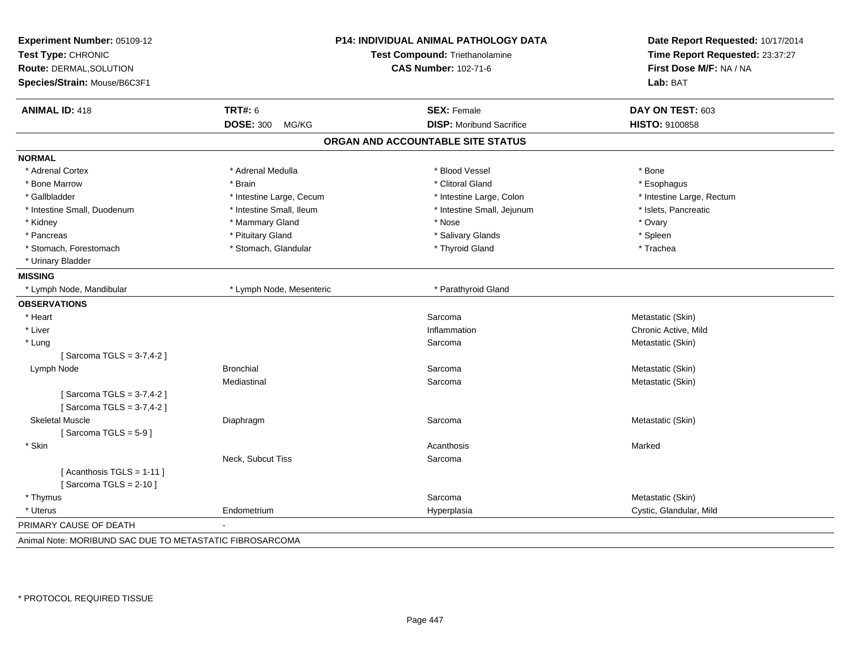| Experiment Number: 05109-12<br>Test Type: CHRONIC<br>Route: DERMAL, SOLUTION<br>Species/Strain: Mouse/B6C3F1 | <b>P14: INDIVIDUAL ANIMAL PATHOLOGY DATA</b><br>Test Compound: Triethanolamine<br><b>CAS Number: 102-71-6</b> |                                   | Date Report Requested: 10/17/2014<br>Time Report Requested: 23:37:27<br>First Dose M/F: NA / NA<br>Lab: BAT |  |
|--------------------------------------------------------------------------------------------------------------|---------------------------------------------------------------------------------------------------------------|-----------------------------------|-------------------------------------------------------------------------------------------------------------|--|
| <b>ANIMAL ID: 418</b>                                                                                        | <b>TRT#: 6</b>                                                                                                | <b>SEX: Female</b>                | DAY ON TEST: 603                                                                                            |  |
|                                                                                                              | <b>DOSE: 300</b><br>MG/KG                                                                                     | <b>DISP:</b> Moribund Sacrifice   | HISTO: 9100858                                                                                              |  |
|                                                                                                              |                                                                                                               | ORGAN AND ACCOUNTABLE SITE STATUS |                                                                                                             |  |
| <b>NORMAL</b>                                                                                                |                                                                                                               |                                   |                                                                                                             |  |
| * Adrenal Cortex                                                                                             | * Adrenal Medulla                                                                                             | * Blood Vessel                    | * Bone                                                                                                      |  |
| * Bone Marrow                                                                                                | * Brain                                                                                                       | * Clitoral Gland                  | * Esophagus                                                                                                 |  |
| * Gallbladder                                                                                                | * Intestine Large, Cecum                                                                                      | * Intestine Large, Colon          | * Intestine Large, Rectum                                                                                   |  |
| * Intestine Small, Duodenum                                                                                  | * Intestine Small, Ileum                                                                                      | * Intestine Small, Jejunum        | * Islets, Pancreatic                                                                                        |  |
| * Kidney                                                                                                     | * Mammary Gland                                                                                               | $*$ Nose                          | * Ovary                                                                                                     |  |
| * Pancreas                                                                                                   | * Pituitary Gland                                                                                             | * Salivary Glands                 | * Spleen                                                                                                    |  |
| * Stomach, Forestomach                                                                                       | * Stomach, Glandular                                                                                          | * Thyroid Gland                   | * Trachea                                                                                                   |  |
| * Urinary Bladder                                                                                            |                                                                                                               |                                   |                                                                                                             |  |
| <b>MISSING</b>                                                                                               |                                                                                                               |                                   |                                                                                                             |  |
| * Lymph Node, Mandibular                                                                                     | * Lymph Node, Mesenteric                                                                                      | * Parathyroid Gland               |                                                                                                             |  |
| <b>OBSERVATIONS</b>                                                                                          |                                                                                                               |                                   |                                                                                                             |  |
| * Heart                                                                                                      |                                                                                                               | Sarcoma                           | Metastatic (Skin)                                                                                           |  |
| * Liver                                                                                                      |                                                                                                               | Inflammation                      | Chronic Active, Mild                                                                                        |  |
| * Lung                                                                                                       |                                                                                                               | Sarcoma                           | Metastatic (Skin)                                                                                           |  |
| [Sarcoma TGLS = 3-7,4-2]                                                                                     |                                                                                                               |                                   |                                                                                                             |  |
| Lymph Node                                                                                                   | <b>Bronchial</b>                                                                                              | Sarcoma                           | Metastatic (Skin)                                                                                           |  |
|                                                                                                              | Mediastinal                                                                                                   | Sarcoma                           | Metastatic (Skin)                                                                                           |  |
| [Sarcoma TGLS = $3-7,4-2$ ]                                                                                  |                                                                                                               |                                   |                                                                                                             |  |
| [Sarcoma TGLS = 3-7,4-2]                                                                                     |                                                                                                               |                                   |                                                                                                             |  |
| <b>Skeletal Muscle</b>                                                                                       | Diaphragm                                                                                                     | Sarcoma                           | Metastatic (Skin)                                                                                           |  |
| [Sarcoma TGLS = $5-9$ ]                                                                                      |                                                                                                               |                                   |                                                                                                             |  |
| * Skin                                                                                                       |                                                                                                               | Acanthosis                        | Marked                                                                                                      |  |
|                                                                                                              | Neck, Subcut Tiss                                                                                             | Sarcoma                           |                                                                                                             |  |
| [Acanthosis TGLS = $1-11$ ]<br>[Sarcoma TGLS = $2-10$ ]                                                      |                                                                                                               |                                   |                                                                                                             |  |
| * Thymus                                                                                                     |                                                                                                               | Sarcoma                           | Metastatic (Skin)                                                                                           |  |
| * Uterus                                                                                                     | Endometrium                                                                                                   | Hyperplasia                       | Cystic, Glandular, Mild                                                                                     |  |
| PRIMARY CAUSE OF DEATH                                                                                       |                                                                                                               |                                   |                                                                                                             |  |
| Animal Note: MORIBUND SAC DUE TO METASTATIC FIBROSARCOMA                                                     |                                                                                                               |                                   |                                                                                                             |  |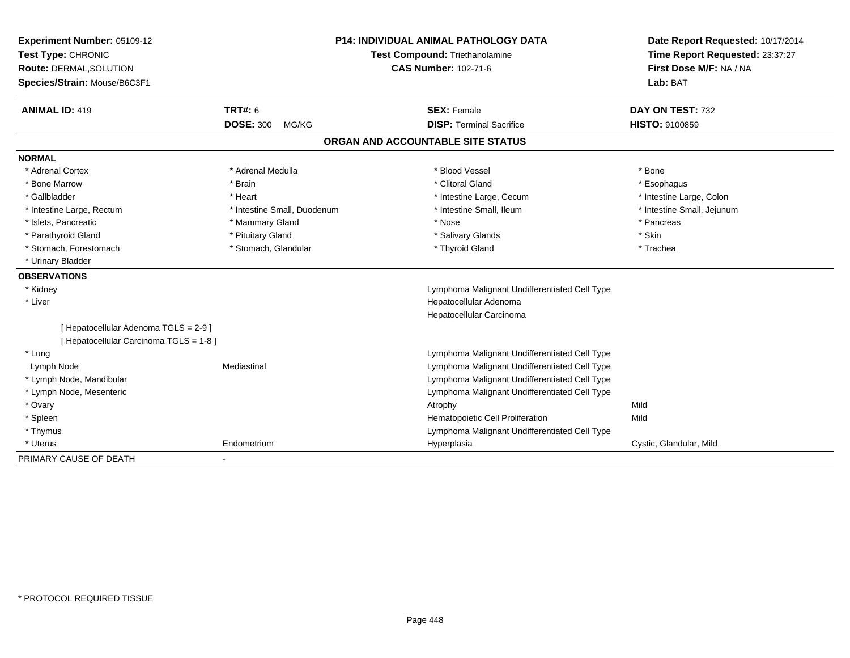| Experiment Number: 05109-12             | <b>P14: INDIVIDUAL ANIMAL PATHOLOGY DATA</b> |                                               | Date Report Requested: 10/17/2014                          |  |
|-----------------------------------------|----------------------------------------------|-----------------------------------------------|------------------------------------------------------------|--|
| Test Type: CHRONIC                      |                                              | Test Compound: Triethanolamine                | Time Report Requested: 23:37:27<br>First Dose M/F: NA / NA |  |
| Route: DERMAL, SOLUTION                 |                                              | <b>CAS Number: 102-71-6</b>                   |                                                            |  |
| Species/Strain: Mouse/B6C3F1            |                                              |                                               | Lab: BAT                                                   |  |
| <b>ANIMAL ID: 419</b>                   | <b>TRT#: 6</b>                               | <b>SEX: Female</b>                            | DAY ON TEST: 732                                           |  |
|                                         | <b>DOSE: 300</b><br>MG/KG                    | <b>DISP: Terminal Sacrifice</b>               | <b>HISTO: 9100859</b>                                      |  |
|                                         |                                              | ORGAN AND ACCOUNTABLE SITE STATUS             |                                                            |  |
| <b>NORMAL</b>                           |                                              |                                               |                                                            |  |
| * Adrenal Cortex                        | * Adrenal Medulla                            | * Blood Vessel                                | * Bone                                                     |  |
| * Bone Marrow                           | * Brain                                      | * Clitoral Gland                              | * Esophagus                                                |  |
| * Gallbladder                           | * Heart                                      | * Intestine Large, Cecum                      | * Intestine Large, Colon                                   |  |
| * Intestine Large, Rectum               | * Intestine Small, Duodenum                  | * Intestine Small, Ileum                      | * Intestine Small, Jejunum                                 |  |
| * Islets, Pancreatic                    | * Mammary Gland                              | * Nose                                        | * Pancreas                                                 |  |
| * Parathyroid Gland                     | * Pituitary Gland                            | * Salivary Glands                             | * Skin                                                     |  |
| * Stomach, Forestomach                  | * Stomach, Glandular                         | * Thyroid Gland                               | * Trachea                                                  |  |
| * Urinary Bladder                       |                                              |                                               |                                                            |  |
| <b>OBSERVATIONS</b>                     |                                              |                                               |                                                            |  |
| * Kidney                                |                                              | Lymphoma Malignant Undifferentiated Cell Type |                                                            |  |
| * Liver                                 |                                              | Hepatocellular Adenoma                        |                                                            |  |
|                                         |                                              | Hepatocellular Carcinoma                      |                                                            |  |
| [ Hepatocellular Adenoma TGLS = 2-9 ]   |                                              |                                               |                                                            |  |
| [ Hepatocellular Carcinoma TGLS = 1-8 ] |                                              |                                               |                                                            |  |
| * Lung                                  |                                              | Lymphoma Malignant Undifferentiated Cell Type |                                                            |  |
| Lymph Node                              | Mediastinal                                  | Lymphoma Malignant Undifferentiated Cell Type |                                                            |  |
| * Lymph Node, Mandibular                |                                              | Lymphoma Malignant Undifferentiated Cell Type |                                                            |  |
| * Lymph Node, Mesenteric                |                                              | Lymphoma Malignant Undifferentiated Cell Type |                                                            |  |
| * Ovary                                 |                                              | Atrophy                                       | Mild                                                       |  |
| * Spleen                                |                                              | Hematopoietic Cell Proliferation              | Mild                                                       |  |
| * Thymus                                |                                              | Lymphoma Malignant Undifferentiated Cell Type |                                                            |  |
| * Uterus                                | Endometrium                                  | Hyperplasia                                   | Cystic, Glandular, Mild                                    |  |
| PRIMARY CAUSE OF DEATH                  |                                              |                                               |                                                            |  |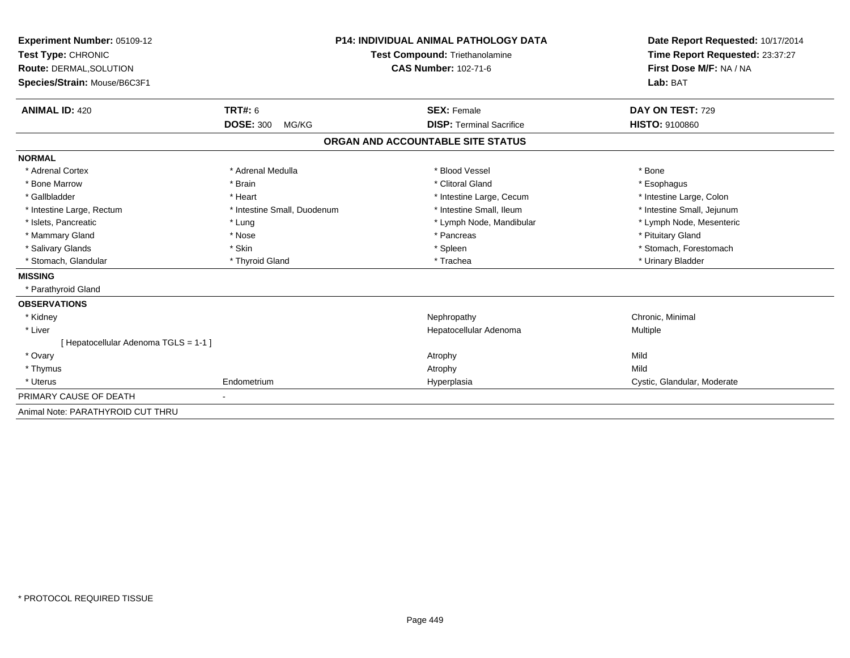| Experiment Number: 05109-12<br>Test Type: CHRONIC |                             | <b>P14: INDIVIDUAL ANIMAL PATHOLOGY DATA</b> | Date Report Requested: 10/17/2014   |  |
|---------------------------------------------------|-----------------------------|----------------------------------------------|-------------------------------------|--|
|                                                   |                             | <b>Test Compound: Triethanolamine</b>        | Time Report Requested: 23:37:27     |  |
| <b>Route: DERMAL, SOLUTION</b>                    |                             | <b>CAS Number: 102-71-6</b>                  | First Dose M/F: NA / NA<br>Lab: BAT |  |
| Species/Strain: Mouse/B6C3F1                      |                             |                                              |                                     |  |
|                                                   |                             |                                              |                                     |  |
| <b>ANIMAL ID: 420</b>                             | <b>TRT#: 6</b>              | <b>SEX: Female</b>                           | DAY ON TEST: 729                    |  |
|                                                   | <b>DOSE: 300</b><br>MG/KG   | <b>DISP: Terminal Sacrifice</b>              | HISTO: 9100860                      |  |
|                                                   |                             | ORGAN AND ACCOUNTABLE SITE STATUS            |                                     |  |
| <b>NORMAL</b>                                     |                             |                                              |                                     |  |
| * Adrenal Cortex                                  | * Adrenal Medulla           | * Blood Vessel                               | * Bone                              |  |
| * Bone Marrow                                     | * Brain                     | * Clitoral Gland                             | * Esophagus                         |  |
| * Gallbladder                                     | * Heart                     | * Intestine Large, Cecum                     | * Intestine Large, Colon            |  |
| * Intestine Large, Rectum                         | * Intestine Small, Duodenum | * Intestine Small, Ileum                     | * Intestine Small, Jejunum          |  |
| * Islets, Pancreatic                              | * Lung                      | * Lymph Node, Mandibular                     | * Lymph Node, Mesenteric            |  |
| * Mammary Gland                                   | * Nose                      | * Pancreas                                   | * Pituitary Gland                   |  |
| * Salivary Glands                                 | * Skin                      | * Spleen                                     | * Stomach, Forestomach              |  |
| * Stomach, Glandular                              | * Thyroid Gland             | * Trachea                                    | * Urinary Bladder                   |  |
| <b>MISSING</b>                                    |                             |                                              |                                     |  |
| * Parathyroid Gland                               |                             |                                              |                                     |  |
| <b>OBSERVATIONS</b>                               |                             |                                              |                                     |  |
| * Kidney                                          |                             | Nephropathy                                  | Chronic, Minimal                    |  |
| * Liver                                           |                             | Hepatocellular Adenoma                       | Multiple                            |  |
| [ Hepatocellular Adenoma TGLS = 1-1 ]             |                             |                                              |                                     |  |
| * Ovary                                           |                             | Atrophy                                      | Mild                                |  |
| * Thymus                                          |                             | Atrophy                                      | Mild                                |  |
| * Uterus                                          | Endometrium                 | Hyperplasia                                  | Cystic, Glandular, Moderate         |  |
| PRIMARY CAUSE OF DEATH                            |                             |                                              |                                     |  |
| Animal Note: PARATHYROID CUT THRU                 |                             |                                              |                                     |  |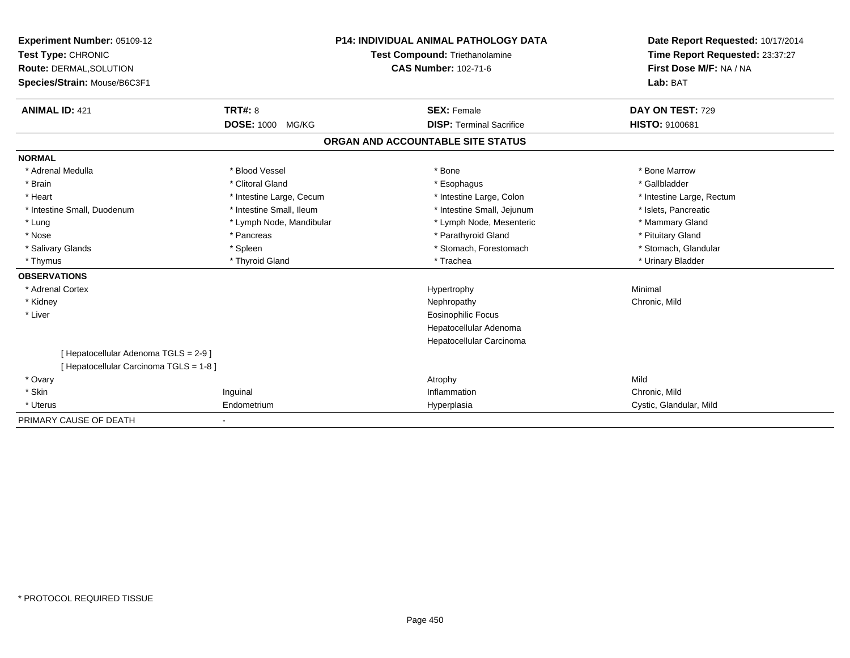| Experiment Number: 05109-12<br>Test Type: CHRONIC<br><b>Route: DERMAL, SOLUTION</b> |                          | <b>P14: INDIVIDUAL ANIMAL PATHOLOGY DATA</b><br>Test Compound: Triethanolamine<br><b>CAS Number: 102-71-6</b> | Date Report Requested: 10/17/2014<br>Time Report Requested: 23:37:27<br>First Dose M/F: NA / NA |  |
|-------------------------------------------------------------------------------------|--------------------------|---------------------------------------------------------------------------------------------------------------|-------------------------------------------------------------------------------------------------|--|
| Species/Strain: Mouse/B6C3F1                                                        |                          |                                                                                                               | Lab: BAT                                                                                        |  |
| <b>ANIMAL ID: 421</b>                                                               | TRT#: 8                  | <b>SEX: Female</b>                                                                                            | DAY ON TEST: 729                                                                                |  |
|                                                                                     | <b>DOSE: 1000 MG/KG</b>  | <b>DISP: Terminal Sacrifice</b>                                                                               | HISTO: 9100681                                                                                  |  |
|                                                                                     |                          | ORGAN AND ACCOUNTABLE SITE STATUS                                                                             |                                                                                                 |  |
| <b>NORMAL</b>                                                                       |                          |                                                                                                               |                                                                                                 |  |
| * Adrenal Medulla                                                                   | * Blood Vessel           | * Bone                                                                                                        | * Bone Marrow                                                                                   |  |
| * Brain                                                                             | * Clitoral Gland         | * Esophagus                                                                                                   | * Gallbladder                                                                                   |  |
| * Heart                                                                             | * Intestine Large, Cecum | * Intestine Large, Colon                                                                                      | * Intestine Large, Rectum                                                                       |  |
| * Intestine Small, Duodenum                                                         | * Intestine Small, Ileum | * Intestine Small, Jejunum                                                                                    | * Islets, Pancreatic                                                                            |  |
| * Lung                                                                              | * Lymph Node, Mandibular | * Lymph Node, Mesenteric                                                                                      | * Mammary Gland                                                                                 |  |
| * Nose                                                                              | * Pancreas               | * Parathyroid Gland                                                                                           | * Pituitary Gland                                                                               |  |
| * Salivary Glands                                                                   | * Spleen                 | * Stomach, Forestomach                                                                                        | * Stomach, Glandular                                                                            |  |
| * Thymus                                                                            | * Thyroid Gland          | * Trachea                                                                                                     | * Urinary Bladder                                                                               |  |
| <b>OBSERVATIONS</b>                                                                 |                          |                                                                                                               |                                                                                                 |  |
| * Adrenal Cortex                                                                    |                          | Hypertrophy                                                                                                   | Minimal                                                                                         |  |
| * Kidney                                                                            |                          | Nephropathy                                                                                                   | Chronic, Mild                                                                                   |  |
| * Liver                                                                             |                          | <b>Eosinophilic Focus</b>                                                                                     |                                                                                                 |  |
|                                                                                     |                          | Hepatocellular Adenoma                                                                                        |                                                                                                 |  |
|                                                                                     |                          | Hepatocellular Carcinoma                                                                                      |                                                                                                 |  |
| [ Hepatocellular Adenoma TGLS = 2-9 ]                                               |                          |                                                                                                               |                                                                                                 |  |
| [ Hepatocellular Carcinoma TGLS = 1-8 ]                                             |                          |                                                                                                               |                                                                                                 |  |
| * Ovary                                                                             |                          | Atrophy                                                                                                       | Mild                                                                                            |  |
| * Skin                                                                              | Inguinal                 | Inflammation                                                                                                  | Chronic, Mild                                                                                   |  |
| * Uterus                                                                            | Endometrium              | Hyperplasia                                                                                                   | Cystic, Glandular, Mild                                                                         |  |
| PRIMARY CAUSE OF DEATH                                                              | ٠                        |                                                                                                               |                                                                                                 |  |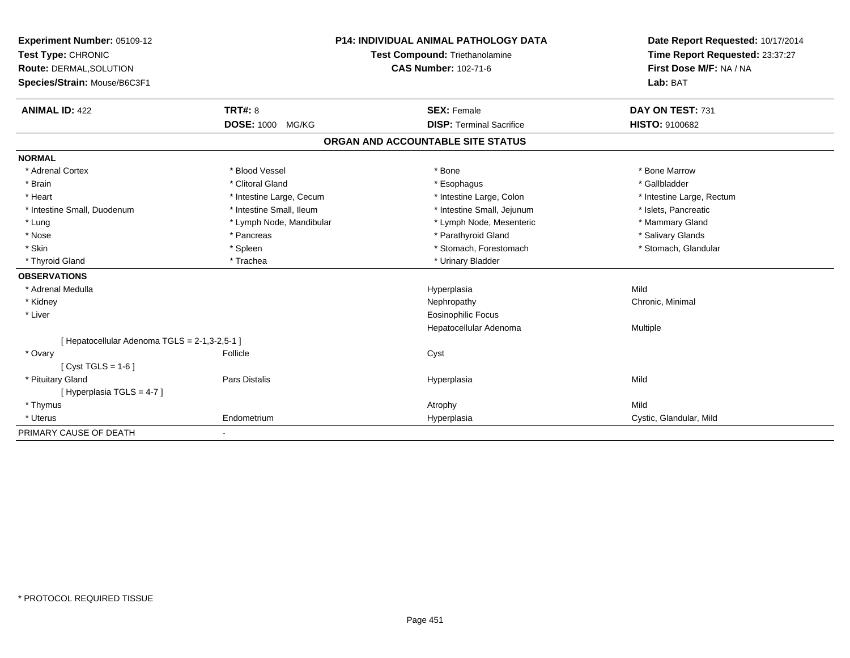| Experiment Number: 05109-12<br>Test Type: CHRONIC<br><b>Route: DERMAL, SOLUTION</b><br>Species/Strain: Mouse/B6C3F1 |                          | <b>P14: INDIVIDUAL ANIMAL PATHOLOGY DATA</b><br>Test Compound: Triethanolamine<br><b>CAS Number: 102-71-6</b> | Date Report Requested: 10/17/2014<br>Time Report Requested: 23:37:27<br>First Dose M/F: NA / NA<br>Lab: BAT |
|---------------------------------------------------------------------------------------------------------------------|--------------------------|---------------------------------------------------------------------------------------------------------------|-------------------------------------------------------------------------------------------------------------|
| <b>ANIMAL ID: 422</b>                                                                                               | <b>TRT#: 8</b>           | <b>SEX: Female</b>                                                                                            | DAY ON TEST: 731                                                                                            |
|                                                                                                                     | <b>DOSE: 1000 MG/KG</b>  | <b>DISP: Terminal Sacrifice</b>                                                                               | <b>HISTO: 9100682</b>                                                                                       |
|                                                                                                                     |                          | ORGAN AND ACCOUNTABLE SITE STATUS                                                                             |                                                                                                             |
| <b>NORMAL</b>                                                                                                       |                          |                                                                                                               |                                                                                                             |
| * Adrenal Cortex                                                                                                    | * Blood Vessel           | * Bone                                                                                                        | * Bone Marrow                                                                                               |
| * Brain                                                                                                             | * Clitoral Gland         | * Esophagus                                                                                                   | * Gallbladder                                                                                               |
| * Heart                                                                                                             | * Intestine Large, Cecum | * Intestine Large, Colon                                                                                      | * Intestine Large, Rectum                                                                                   |
| * Intestine Small, Duodenum                                                                                         | * Intestine Small, Ileum | * Intestine Small, Jejunum                                                                                    | * Islets, Pancreatic                                                                                        |
| * Lung                                                                                                              | * Lymph Node, Mandibular | * Lymph Node, Mesenteric                                                                                      | * Mammary Gland                                                                                             |
| * Nose                                                                                                              | * Pancreas               | * Parathyroid Gland                                                                                           | * Salivary Glands                                                                                           |
| * Skin                                                                                                              | * Spleen                 | * Stomach, Forestomach                                                                                        | * Stomach, Glandular                                                                                        |
| * Thyroid Gland                                                                                                     | * Trachea                | * Urinary Bladder                                                                                             |                                                                                                             |
| <b>OBSERVATIONS</b>                                                                                                 |                          |                                                                                                               |                                                                                                             |
| * Adrenal Medulla                                                                                                   |                          | Hyperplasia                                                                                                   | Mild                                                                                                        |
| * Kidney                                                                                                            |                          | Nephropathy                                                                                                   | Chronic, Minimal                                                                                            |
| * Liver                                                                                                             |                          | <b>Eosinophilic Focus</b>                                                                                     |                                                                                                             |
|                                                                                                                     |                          | Hepatocellular Adenoma                                                                                        | <b>Multiple</b>                                                                                             |
| [ Hepatocellular Adenoma TGLS = 2-1,3-2,5-1 ]                                                                       |                          |                                                                                                               |                                                                                                             |
| * Ovary                                                                                                             | Follicle                 | Cyst                                                                                                          |                                                                                                             |
| [ Cyst TGLS = $1-6$ ]                                                                                               |                          |                                                                                                               |                                                                                                             |
| * Pituitary Gland                                                                                                   | Pars Distalis            | Hyperplasia                                                                                                   | Mild                                                                                                        |
| [Hyperplasia TGLS = 4-7]                                                                                            |                          |                                                                                                               |                                                                                                             |
| * Thymus                                                                                                            |                          | Atrophy                                                                                                       | Mild                                                                                                        |
| * Uterus                                                                                                            | Endometrium              | Hyperplasia                                                                                                   | Cystic, Glandular, Mild                                                                                     |
| PRIMARY CAUSE OF DEATH                                                                                              | $\blacksquare$           |                                                                                                               |                                                                                                             |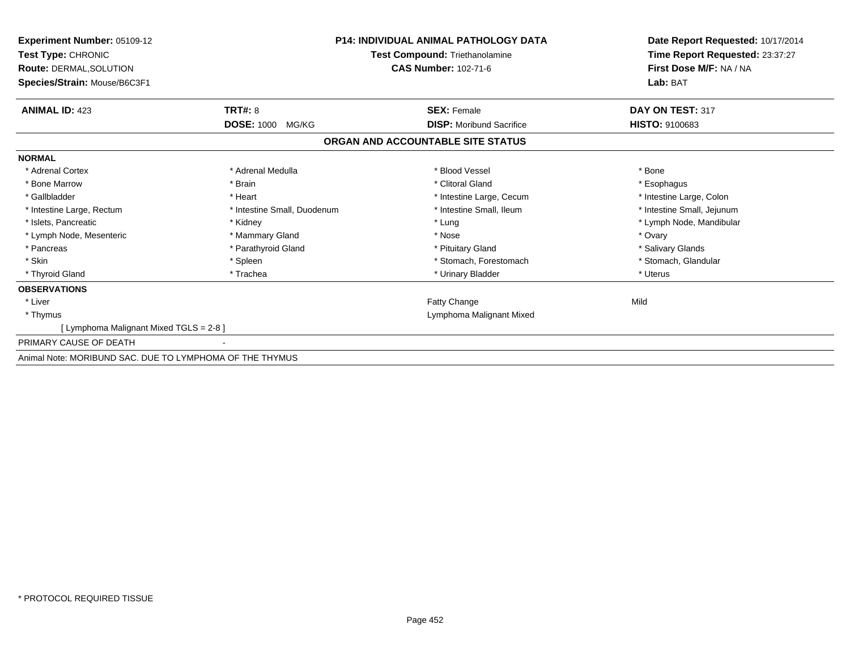| Experiment Number: 05109-12<br>Test Type: CHRONIC<br><b>Route: DERMAL, SOLUTION</b><br>Species/Strain: Mouse/B6C3F1 | <b>P14: INDIVIDUAL ANIMAL PATHOLOGY DATA</b><br><b>Test Compound: Triethanolamine</b><br><b>CAS Number: 102-71-6</b> |                                   | Date Report Requested: 10/17/2014<br>Time Report Requested: 23:37:27<br>First Dose M/F: NA / NA<br>Lab: BAT |
|---------------------------------------------------------------------------------------------------------------------|----------------------------------------------------------------------------------------------------------------------|-----------------------------------|-------------------------------------------------------------------------------------------------------------|
| <b>ANIMAL ID: 423</b>                                                                                               | <b>TRT#: 8</b>                                                                                                       | <b>SEX: Female</b>                | DAY ON TEST: 317                                                                                            |
|                                                                                                                     | <b>DOSE: 1000</b><br>MG/KG                                                                                           | <b>DISP:</b> Moribund Sacrifice   | <b>HISTO: 9100683</b>                                                                                       |
|                                                                                                                     |                                                                                                                      | ORGAN AND ACCOUNTABLE SITE STATUS |                                                                                                             |
| <b>NORMAL</b>                                                                                                       |                                                                                                                      |                                   |                                                                                                             |
| * Adrenal Cortex                                                                                                    | * Adrenal Medulla                                                                                                    | * Blood Vessel                    | * Bone                                                                                                      |
| * Bone Marrow                                                                                                       | * Brain                                                                                                              | * Clitoral Gland                  | * Esophagus                                                                                                 |
| * Gallbladder                                                                                                       | * Heart                                                                                                              | * Intestine Large, Cecum          | * Intestine Large, Colon                                                                                    |
| * Intestine Large, Rectum                                                                                           | * Intestine Small, Duodenum                                                                                          | * Intestine Small, Ileum          | * Intestine Small, Jejunum                                                                                  |
| * Islets, Pancreatic                                                                                                | * Kidney                                                                                                             | * Lung                            | * Lymph Node, Mandibular                                                                                    |
| * Lymph Node, Mesenteric                                                                                            | * Mammary Gland                                                                                                      | * Nose                            | * Ovary                                                                                                     |
| * Pancreas                                                                                                          | * Parathyroid Gland                                                                                                  | * Pituitary Gland                 | * Salivary Glands                                                                                           |
| * Skin                                                                                                              | * Spleen                                                                                                             | * Stomach, Forestomach            | * Stomach, Glandular                                                                                        |
| * Thyroid Gland                                                                                                     | * Trachea                                                                                                            | * Urinary Bladder                 | * Uterus                                                                                                    |
| <b>OBSERVATIONS</b>                                                                                                 |                                                                                                                      |                                   |                                                                                                             |
| * Liver                                                                                                             |                                                                                                                      | Fatty Change                      | Mild                                                                                                        |
| * Thymus                                                                                                            |                                                                                                                      | Lymphoma Malignant Mixed          |                                                                                                             |
| [ Lymphoma Malignant Mixed TGLS = 2-8 ]                                                                             |                                                                                                                      |                                   |                                                                                                             |
| PRIMARY CAUSE OF DEATH                                                                                              |                                                                                                                      |                                   |                                                                                                             |
| Animal Note: MORIBUND SAC. DUE TO LYMPHOMA OF THE THYMUS                                                            |                                                                                                                      |                                   |                                                                                                             |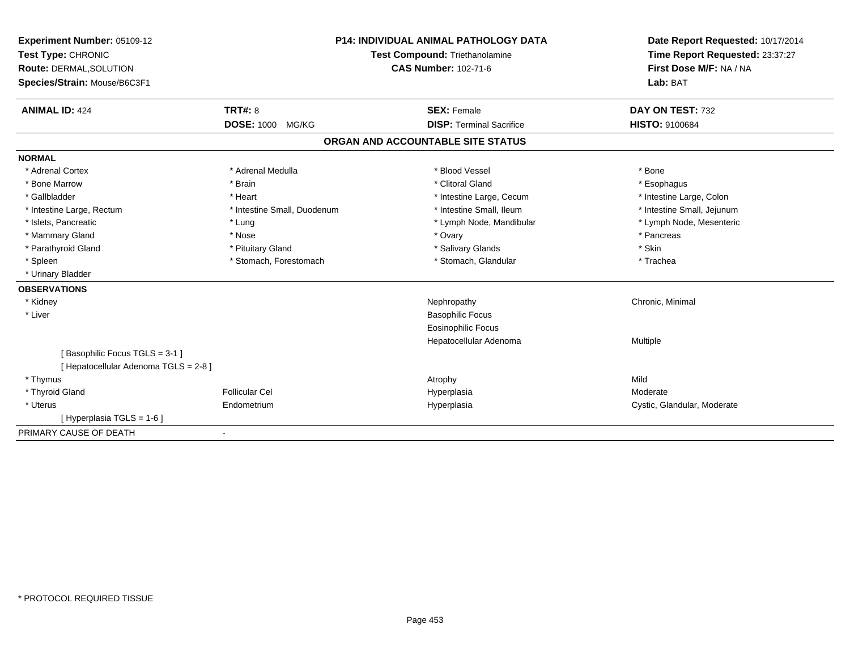| Experiment Number: 05109-12<br>Test Type: CHRONIC<br><b>Route: DERMAL, SOLUTION</b><br>Species/Strain: Mouse/B6C3F1<br><b>ANIMAL ID: 424</b> | <b>TRT#: 8</b>              | P14: INDIVIDUAL ANIMAL PATHOLOGY DATA<br>Test Compound: Triethanolamine<br><b>CAS Number: 102-71-6</b><br><b>SEX: Female</b> | Date Report Requested: 10/17/2014<br>Time Report Requested: 23:37:27<br>First Dose M/F: NA / NA<br>Lab: BAT<br>DAY ON TEST: 732 |
|----------------------------------------------------------------------------------------------------------------------------------------------|-----------------------------|------------------------------------------------------------------------------------------------------------------------------|---------------------------------------------------------------------------------------------------------------------------------|
|                                                                                                                                              | <b>DOSE: 1000</b><br>MG/KG  | <b>DISP: Terminal Sacrifice</b>                                                                                              | <b>HISTO: 9100684</b>                                                                                                           |
|                                                                                                                                              |                             | ORGAN AND ACCOUNTABLE SITE STATUS                                                                                            |                                                                                                                                 |
| <b>NORMAL</b>                                                                                                                                |                             |                                                                                                                              |                                                                                                                                 |
| * Adrenal Cortex                                                                                                                             | * Adrenal Medulla           | * Blood Vessel                                                                                                               | * Bone                                                                                                                          |
| * Bone Marrow                                                                                                                                | * Brain                     | * Clitoral Gland                                                                                                             | * Esophagus                                                                                                                     |
| * Gallbladder                                                                                                                                | * Heart                     | * Intestine Large, Cecum                                                                                                     | * Intestine Large, Colon                                                                                                        |
| * Intestine Large, Rectum                                                                                                                    | * Intestine Small, Duodenum | * Intestine Small, Ileum                                                                                                     | * Intestine Small, Jejunum                                                                                                      |
| * Islets, Pancreatic                                                                                                                         | * Lung                      | * Lymph Node, Mandibular                                                                                                     | * Lymph Node, Mesenteric                                                                                                        |
| * Mammary Gland                                                                                                                              | * Nose                      | * Ovary                                                                                                                      | * Pancreas                                                                                                                      |
| * Parathyroid Gland                                                                                                                          | * Pituitary Gland           | * Salivary Glands                                                                                                            | * Skin                                                                                                                          |
| * Spleen                                                                                                                                     | * Stomach, Forestomach      | * Stomach, Glandular                                                                                                         | * Trachea                                                                                                                       |
| * Urinary Bladder                                                                                                                            |                             |                                                                                                                              |                                                                                                                                 |
| <b>OBSERVATIONS</b>                                                                                                                          |                             |                                                                                                                              |                                                                                                                                 |
| * Kidney                                                                                                                                     |                             | Nephropathy                                                                                                                  | Chronic, Minimal                                                                                                                |
| * Liver                                                                                                                                      |                             | <b>Basophilic Focus</b>                                                                                                      |                                                                                                                                 |
|                                                                                                                                              |                             | Eosinophilic Focus                                                                                                           |                                                                                                                                 |
|                                                                                                                                              |                             | Hepatocellular Adenoma                                                                                                       | Multiple                                                                                                                        |
| [Basophilic Focus TGLS = 3-1]                                                                                                                |                             |                                                                                                                              |                                                                                                                                 |
| [ Hepatocellular Adenoma TGLS = 2-8 ]                                                                                                        |                             |                                                                                                                              |                                                                                                                                 |
| * Thymus                                                                                                                                     |                             | Atrophy                                                                                                                      | Mild                                                                                                                            |
| * Thyroid Gland                                                                                                                              | <b>Follicular Cel</b>       | Hyperplasia                                                                                                                  | Moderate                                                                                                                        |
| * Uterus                                                                                                                                     | Endometrium                 | Hyperplasia                                                                                                                  | Cystic, Glandular, Moderate                                                                                                     |
| [ Hyperplasia TGLS = 1-6 ]                                                                                                                   |                             |                                                                                                                              |                                                                                                                                 |
| PRIMARY CAUSE OF DEATH                                                                                                                       |                             |                                                                                                                              |                                                                                                                                 |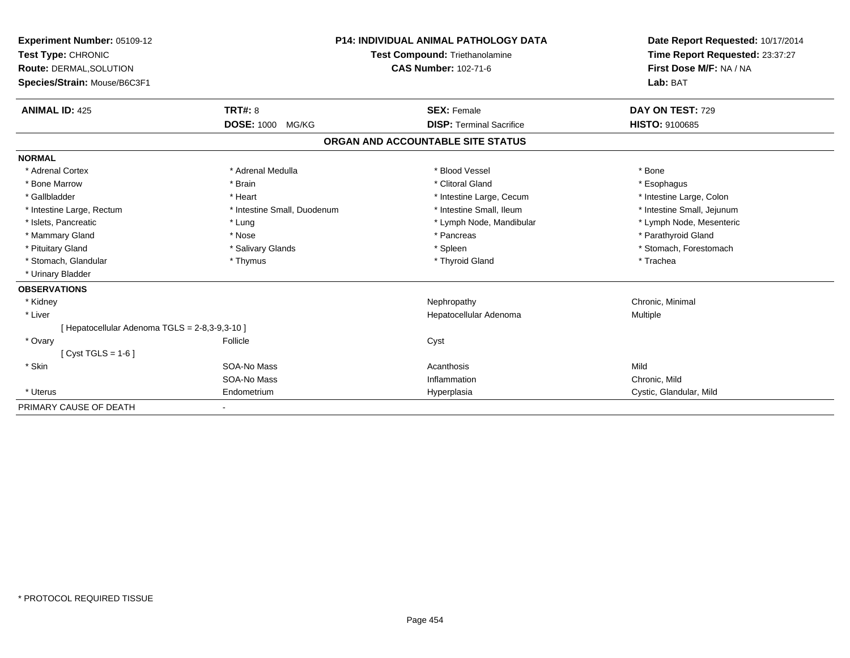| <b>Experiment Number: 05109-12</b><br>Test Type: CHRONIC<br><b>Route: DERMAL, SOLUTION</b> |                             | <b>P14: INDIVIDUAL ANIMAL PATHOLOGY DATA</b><br>Test Compound: Triethanolamine<br><b>CAS Number: 102-71-6</b> | Date Report Requested: 10/17/2014<br>Time Report Requested: 23:37:27<br>First Dose M/F: NA / NA |  |
|--------------------------------------------------------------------------------------------|-----------------------------|---------------------------------------------------------------------------------------------------------------|-------------------------------------------------------------------------------------------------|--|
| Species/Strain: Mouse/B6C3F1                                                               |                             |                                                                                                               | Lab: BAT                                                                                        |  |
| <b>ANIMAL ID: 425</b>                                                                      | <b>TRT#: 8</b>              | <b>SEX: Female</b>                                                                                            | DAY ON TEST: 729                                                                                |  |
|                                                                                            | <b>DOSE: 1000</b><br>MG/KG  | <b>DISP: Terminal Sacrifice</b>                                                                               | <b>HISTO: 9100685</b>                                                                           |  |
|                                                                                            |                             | ORGAN AND ACCOUNTABLE SITE STATUS                                                                             |                                                                                                 |  |
| <b>NORMAL</b>                                                                              |                             |                                                                                                               |                                                                                                 |  |
| * Adrenal Cortex                                                                           | * Adrenal Medulla           | * Blood Vessel                                                                                                | * Bone                                                                                          |  |
| * Bone Marrow                                                                              | * Brain                     | * Clitoral Gland                                                                                              | * Esophagus                                                                                     |  |
| * Gallbladder                                                                              | * Heart                     | * Intestine Large, Cecum                                                                                      | * Intestine Large, Colon                                                                        |  |
| * Intestine Large, Rectum                                                                  | * Intestine Small, Duodenum | * Intestine Small, Ileum                                                                                      | * Intestine Small, Jejunum                                                                      |  |
| * Islets, Pancreatic                                                                       | * Lung                      | * Lymph Node, Mandibular                                                                                      | * Lymph Node, Mesenteric                                                                        |  |
| * Mammary Gland                                                                            | * Nose                      | * Pancreas                                                                                                    | * Parathyroid Gland                                                                             |  |
| * Pituitary Gland                                                                          | * Salivary Glands           | * Spleen                                                                                                      | * Stomach, Forestomach                                                                          |  |
| * Stomach, Glandular                                                                       | * Thymus                    | * Thyroid Gland                                                                                               | * Trachea                                                                                       |  |
| * Urinary Bladder                                                                          |                             |                                                                                                               |                                                                                                 |  |
| <b>OBSERVATIONS</b>                                                                        |                             |                                                                                                               |                                                                                                 |  |
| * Kidney                                                                                   |                             | Nephropathy                                                                                                   | Chronic, Minimal                                                                                |  |
| * Liver                                                                                    |                             | Hepatocellular Adenoma                                                                                        | Multiple                                                                                        |  |
| [ Hepatocellular Adenoma TGLS = 2-8,3-9,3-10 ]                                             |                             |                                                                                                               |                                                                                                 |  |
| * Ovary                                                                                    | Follicle                    | Cyst                                                                                                          |                                                                                                 |  |
| [ $Cyst TGLS = 1-6$ ]                                                                      |                             |                                                                                                               |                                                                                                 |  |
| * Skin                                                                                     | SOA-No Mass                 | Acanthosis                                                                                                    | Mild                                                                                            |  |
|                                                                                            | SOA-No Mass                 | Inflammation                                                                                                  | Chronic, Mild                                                                                   |  |
| * Uterus                                                                                   | Endometrium                 | Hyperplasia                                                                                                   | Cystic, Glandular, Mild                                                                         |  |
| PRIMARY CAUSE OF DEATH                                                                     |                             |                                                                                                               |                                                                                                 |  |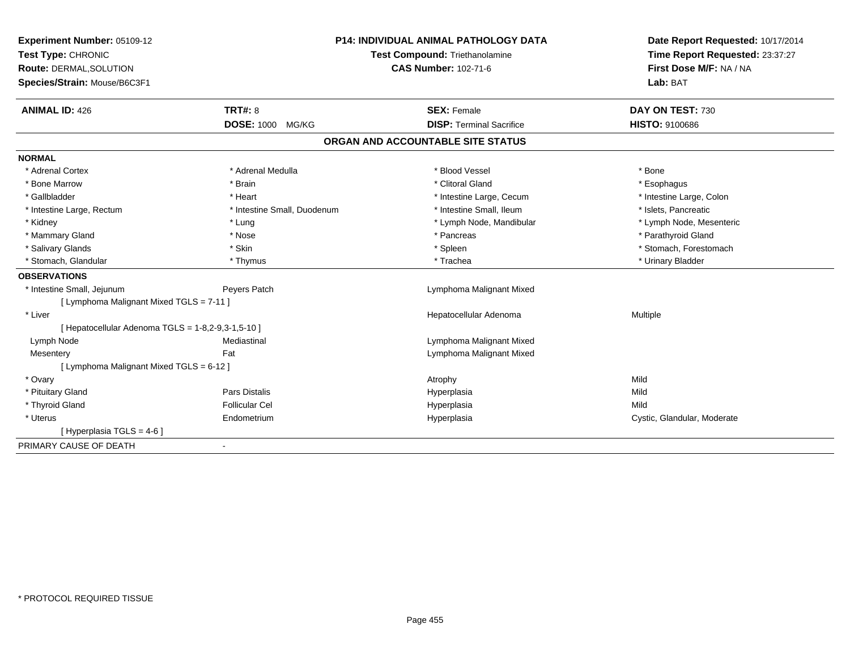| Experiment Number: 05109-12                        | <b>P14: INDIVIDUAL ANIMAL PATHOLOGY DATA</b> |                                   | Date Report Requested: 10/17/2014 |  |
|----------------------------------------------------|----------------------------------------------|-----------------------------------|-----------------------------------|--|
| Test Type: CHRONIC                                 |                                              | Test Compound: Triethanolamine    | Time Report Requested: 23:37:27   |  |
| <b>Route: DERMAL, SOLUTION</b>                     |                                              | <b>CAS Number: 102-71-6</b>       | First Dose M/F: NA / NA           |  |
| Species/Strain: Mouse/B6C3F1                       |                                              |                                   | Lab: BAT                          |  |
| <b>ANIMAL ID: 426</b>                              | TRT#: 8                                      | <b>SEX: Female</b>                | DAY ON TEST: 730                  |  |
|                                                    | DOSE: 1000 MG/KG                             | <b>DISP: Terminal Sacrifice</b>   | <b>HISTO: 9100686</b>             |  |
|                                                    |                                              | ORGAN AND ACCOUNTABLE SITE STATUS |                                   |  |
| <b>NORMAL</b>                                      |                                              |                                   |                                   |  |
| * Adrenal Cortex                                   | * Adrenal Medulla                            | * Blood Vessel                    | * Bone                            |  |
| * Bone Marrow                                      | * Brain                                      | * Clitoral Gland                  | * Esophagus                       |  |
| * Gallbladder                                      | * Heart                                      | * Intestine Large, Cecum          | * Intestine Large, Colon          |  |
| * Intestine Large, Rectum                          | * Intestine Small, Duodenum                  | * Intestine Small, Ileum          | * Islets, Pancreatic              |  |
| * Kidney                                           | * Lung                                       | * Lymph Node, Mandibular          | * Lymph Node, Mesenteric          |  |
| * Mammary Gland                                    | * Nose                                       | * Pancreas                        | * Parathyroid Gland               |  |
| * Salivary Glands                                  | * Skin                                       | * Spleen                          | * Stomach, Forestomach            |  |
| * Stomach, Glandular                               | * Thymus                                     | * Trachea                         | * Urinary Bladder                 |  |
| <b>OBSERVATIONS</b>                                |                                              |                                   |                                   |  |
| * Intestine Small, Jejunum                         | Peyers Patch                                 | Lymphoma Malignant Mixed          |                                   |  |
| [ Lymphoma Malignant Mixed TGLS = 7-11 ]           |                                              |                                   |                                   |  |
| * Liver                                            |                                              | Hepatocellular Adenoma            | Multiple                          |  |
| [ Hepatocellular Adenoma TGLS = 1-8,2-9,3-1,5-10 ] |                                              |                                   |                                   |  |
| Lymph Node                                         | Mediastinal                                  | Lymphoma Malignant Mixed          |                                   |  |
| Mesentery                                          | Fat                                          | Lymphoma Malignant Mixed          |                                   |  |
| [ Lymphoma Malignant Mixed TGLS = 6-12 ]           |                                              |                                   |                                   |  |
| * Ovary                                            |                                              | Atrophy                           | Mild                              |  |
| * Pituitary Gland                                  | <b>Pars Distalis</b>                         | Hyperplasia                       | Mild                              |  |
| * Thyroid Gland                                    | <b>Follicular Cel</b>                        | Hyperplasia                       | Mild                              |  |
| * Uterus                                           | Endometrium                                  | Hyperplasia                       | Cystic, Glandular, Moderate       |  |
| [Hyperplasia TGLS = $4-6$ ]                        |                                              |                                   |                                   |  |
| PRIMARY CAUSE OF DEATH                             |                                              |                                   |                                   |  |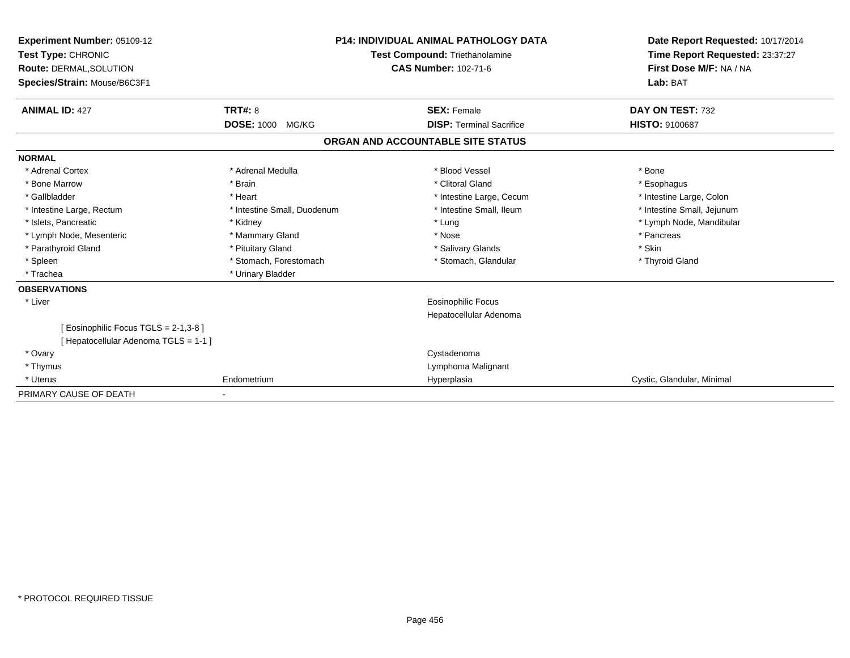| Experiment Number: 05109-12<br>Test Type: CHRONIC<br>Route: DERMAL, SOLUTION<br>Species/Strain: Mouse/B6C3F1 | <b>P14: INDIVIDUAL ANIMAL PATHOLOGY DATA</b><br><b>Test Compound: Triethanolamine</b><br><b>CAS Number: 102-71-6</b> |                                                     | Date Report Requested: 10/17/2014<br>Time Report Requested: 23:37:27<br>First Dose M/F: NA / NA<br>Lab: BAT |  |
|--------------------------------------------------------------------------------------------------------------|----------------------------------------------------------------------------------------------------------------------|-----------------------------------------------------|-------------------------------------------------------------------------------------------------------------|--|
| <b>ANIMAL ID: 427</b>                                                                                        | TRT#: 8                                                                                                              | <b>SEX: Female</b>                                  | DAY ON TEST: 732                                                                                            |  |
|                                                                                                              | <b>DOSE: 1000</b><br>MG/KG                                                                                           | <b>DISP: Terminal Sacrifice</b>                     | <b>HISTO: 9100687</b>                                                                                       |  |
|                                                                                                              |                                                                                                                      | ORGAN AND ACCOUNTABLE SITE STATUS                   |                                                                                                             |  |
| <b>NORMAL</b>                                                                                                |                                                                                                                      |                                                     |                                                                                                             |  |
| * Adrenal Cortex                                                                                             | * Adrenal Medulla                                                                                                    | * Blood Vessel                                      | * Bone                                                                                                      |  |
| * Bone Marrow                                                                                                | * Brain                                                                                                              | * Clitoral Gland                                    | * Esophagus                                                                                                 |  |
| * Gallbladder                                                                                                | * Heart                                                                                                              | * Intestine Large, Cecum                            | * Intestine Large, Colon                                                                                    |  |
| * Intestine Large, Rectum                                                                                    | * Intestine Small, Duodenum                                                                                          | * Intestine Small, Ileum                            | * Intestine Small, Jejunum                                                                                  |  |
| * Islets, Pancreatic                                                                                         | * Kidney                                                                                                             | * Lung                                              | * Lymph Node, Mandibular                                                                                    |  |
| * Lymph Node, Mesenteric                                                                                     | * Mammary Gland                                                                                                      | * Nose                                              | * Pancreas                                                                                                  |  |
| * Parathyroid Gland                                                                                          | * Pituitary Gland                                                                                                    | * Salivary Glands                                   | * Skin                                                                                                      |  |
| * Spleen                                                                                                     | * Stomach, Forestomach                                                                                               | * Stomach, Glandular                                | * Thyroid Gland                                                                                             |  |
| * Trachea                                                                                                    | * Urinary Bladder                                                                                                    |                                                     |                                                                                                             |  |
| <b>OBSERVATIONS</b>                                                                                          |                                                                                                                      |                                                     |                                                                                                             |  |
| * Liver                                                                                                      |                                                                                                                      | <b>Eosinophilic Focus</b><br>Hepatocellular Adenoma |                                                                                                             |  |
| [ Eosinophilic Focus TGLS = 2-1,3-8 ]<br>[ Hepatocellular Adenoma TGLS = 1-1 ]                               |                                                                                                                      |                                                     |                                                                                                             |  |
| * Ovary                                                                                                      |                                                                                                                      | Cystadenoma                                         |                                                                                                             |  |
| * Thymus                                                                                                     |                                                                                                                      | Lymphoma Malignant                                  |                                                                                                             |  |
| * Uterus                                                                                                     | Endometrium                                                                                                          | Hyperplasia                                         | Cystic, Glandular, Minimal                                                                                  |  |
| PRIMARY CAUSE OF DEATH                                                                                       |                                                                                                                      |                                                     |                                                                                                             |  |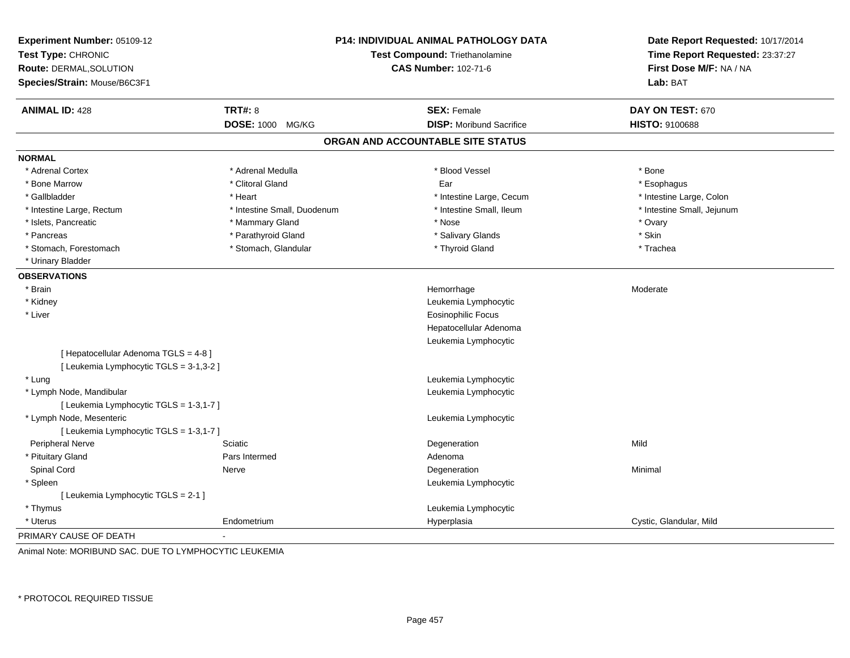| Experiment Number: 05109-12<br>Test Type: CHRONIC<br>Route: DERMAL, SOLUTION<br>Species/Strain: Mouse/B6C3F1 |                             | <b>P14: INDIVIDUAL ANIMAL PATHOLOGY DATA</b><br>Test Compound: Triethanolamine<br><b>CAS Number: 102-71-6</b> | Date Report Requested: 10/17/2014<br>Time Report Requested: 23:37:27<br>First Dose M/F: NA / NA<br>Lab: BAT |
|--------------------------------------------------------------------------------------------------------------|-----------------------------|---------------------------------------------------------------------------------------------------------------|-------------------------------------------------------------------------------------------------------------|
| <b>ANIMAL ID: 428</b>                                                                                        | <b>TRT#: 8</b>              | <b>SEX: Female</b>                                                                                            | <b>DAY ON TEST: 670</b>                                                                                     |
|                                                                                                              | DOSE: 1000 MG/KG            | <b>DISP:</b> Moribund Sacrifice                                                                               | <b>HISTO: 9100688</b>                                                                                       |
|                                                                                                              |                             | ORGAN AND ACCOUNTABLE SITE STATUS                                                                             |                                                                                                             |
| <b>NORMAL</b>                                                                                                |                             |                                                                                                               |                                                                                                             |
| * Adrenal Cortex                                                                                             | * Adrenal Medulla           | * Blood Vessel                                                                                                | * Bone                                                                                                      |
| * Bone Marrow                                                                                                | * Clitoral Gland            | Ear                                                                                                           | * Esophagus                                                                                                 |
| * Gallbladder                                                                                                | * Heart                     | * Intestine Large, Cecum                                                                                      | * Intestine Large, Colon                                                                                    |
| * Intestine Large, Rectum                                                                                    | * Intestine Small, Duodenum | * Intestine Small, Ileum                                                                                      | * Intestine Small, Jejunum                                                                                  |
| * Islets, Pancreatic                                                                                         | * Mammary Gland             | * Nose                                                                                                        | * Ovary                                                                                                     |
| * Pancreas                                                                                                   | * Parathyroid Gland         | * Salivary Glands                                                                                             | * Skin                                                                                                      |
| * Stomach, Forestomach                                                                                       | * Stomach, Glandular        | * Thyroid Gland                                                                                               | * Trachea                                                                                                   |
| * Urinary Bladder                                                                                            |                             |                                                                                                               |                                                                                                             |
| <b>OBSERVATIONS</b>                                                                                          |                             |                                                                                                               |                                                                                                             |
| * Brain                                                                                                      |                             | Hemorrhage                                                                                                    | Moderate                                                                                                    |
| * Kidney                                                                                                     |                             | Leukemia Lymphocytic                                                                                          |                                                                                                             |
| * Liver                                                                                                      |                             | <b>Eosinophilic Focus</b>                                                                                     |                                                                                                             |
|                                                                                                              |                             | Hepatocellular Adenoma                                                                                        |                                                                                                             |
|                                                                                                              |                             | Leukemia Lymphocytic                                                                                          |                                                                                                             |
| [ Hepatocellular Adenoma TGLS = 4-8 ]                                                                        |                             |                                                                                                               |                                                                                                             |
| [ Leukemia Lymphocytic TGLS = 3-1,3-2 ]                                                                      |                             |                                                                                                               |                                                                                                             |
| * Lung                                                                                                       |                             | Leukemia Lymphocytic                                                                                          |                                                                                                             |
| * Lymph Node, Mandibular                                                                                     |                             | Leukemia Lymphocytic                                                                                          |                                                                                                             |
| [ Leukemia Lymphocytic TGLS = 1-3,1-7 ]                                                                      |                             |                                                                                                               |                                                                                                             |
| * Lymph Node, Mesenteric                                                                                     |                             | Leukemia Lymphocytic                                                                                          |                                                                                                             |
| [ Leukemia Lymphocytic TGLS = 1-3,1-7 ]                                                                      |                             |                                                                                                               |                                                                                                             |
| Peripheral Nerve                                                                                             | Sciatic                     | Degeneration                                                                                                  | Mild                                                                                                        |
| * Pituitary Gland                                                                                            | Pars Intermed               | Adenoma                                                                                                       |                                                                                                             |
| Spinal Cord                                                                                                  | Nerve                       | Degeneration                                                                                                  | Minimal                                                                                                     |
| * Spleen                                                                                                     |                             | Leukemia Lymphocytic                                                                                          |                                                                                                             |
| [ Leukemia Lymphocytic TGLS = 2-1 ]                                                                          |                             |                                                                                                               |                                                                                                             |
| * Thymus                                                                                                     |                             | Leukemia Lymphocytic                                                                                          |                                                                                                             |
| * Uterus                                                                                                     | Endometrium                 | Hyperplasia                                                                                                   | Cystic, Glandular, Mild                                                                                     |
| PRIMARY CAUSE OF DEATH                                                                                       |                             |                                                                                                               |                                                                                                             |

Animal Note: MORIBUND SAC. DUE TO LYMPHOCYTIC LEUKEMIA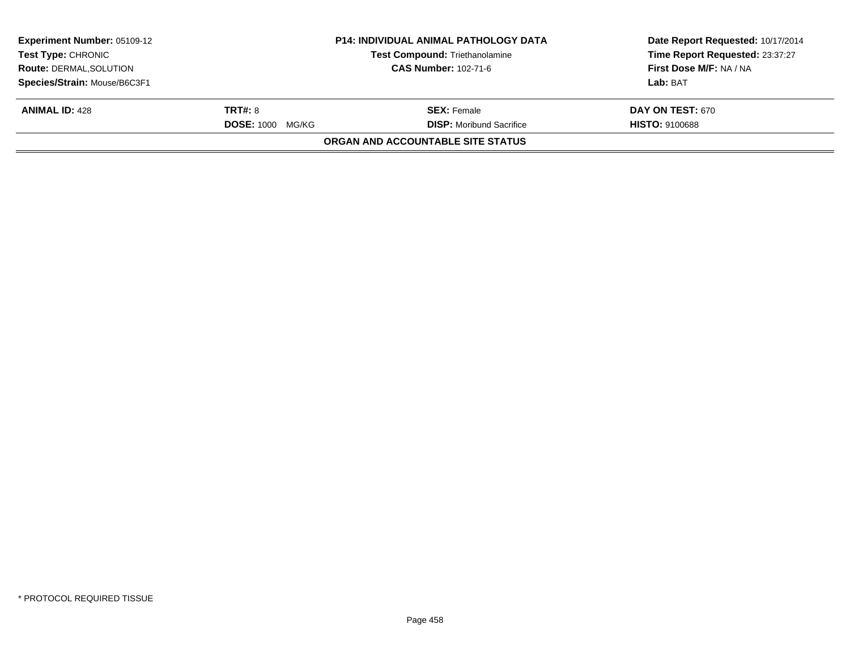| <b>Experiment Number: 05109-12</b><br>Test Type: CHRONIC<br><b>Route: DERMAL, SOLUTION</b><br>Species/Strain: Mouse/B6C3F1 | <b>P14: INDIVIDUAL ANIMAL PATHOLOGY DATA</b><br><b>Test Compound: Triethanolamine</b><br><b>CAS Number: 102-71-6</b> |                                                       | Date Report Requested: 10/17/2014<br>Time Report Requested: 23:37:27<br>First Dose M/F: NA / NA<br>Lab: BAT |
|----------------------------------------------------------------------------------------------------------------------------|----------------------------------------------------------------------------------------------------------------------|-------------------------------------------------------|-------------------------------------------------------------------------------------------------------------|
| <b>ANIMAL ID: 428</b>                                                                                                      | <b>TRT#: 8</b><br><b>DOSE: 1000</b><br>MG/KG                                                                         | <b>SEX:</b> Female<br><b>DISP:</b> Moribund Sacrifice | DAY ON TEST: 670<br><b>HISTO: 9100688</b>                                                                   |
|                                                                                                                            |                                                                                                                      | ORGAN AND ACCOUNTABLE SITE STATUS                     |                                                                                                             |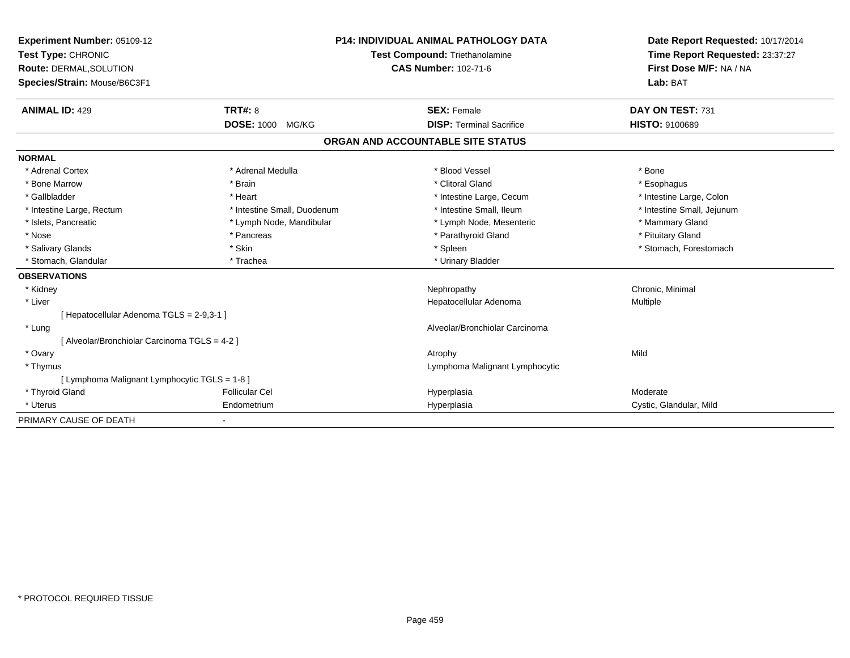| <b>Experiment Number: 05109-12</b><br>Test Type: CHRONIC |                             | <b>P14: INDIVIDUAL ANIMAL PATHOLOGY DATA</b> | Date Report Requested: 10/17/2014 |
|----------------------------------------------------------|-----------------------------|----------------------------------------------|-----------------------------------|
|                                                          |                             | Test Compound: Triethanolamine               | Time Report Requested: 23:37:27   |
| <b>Route: DERMAL, SOLUTION</b>                           |                             | <b>CAS Number: 102-71-6</b>                  | First Dose M/F: NA / NA           |
| Species/Strain: Mouse/B6C3F1                             |                             |                                              | Lab: BAT                          |
| <b>ANIMAL ID: 429</b>                                    | <b>TRT#: 8</b>              | <b>SEX: Female</b>                           | DAY ON TEST: 731                  |
|                                                          | DOSE: 1000 MG/KG            | <b>DISP: Terminal Sacrifice</b>              | HISTO: 9100689                    |
|                                                          |                             | ORGAN AND ACCOUNTABLE SITE STATUS            |                                   |
| <b>NORMAL</b>                                            |                             |                                              |                                   |
| * Adrenal Cortex                                         | * Adrenal Medulla           | * Blood Vessel                               | * Bone                            |
| * Bone Marrow                                            | * Brain                     | * Clitoral Gland                             | * Esophagus                       |
| * Gallbladder                                            | * Heart                     | * Intestine Large, Cecum                     | * Intestine Large, Colon          |
| * Intestine Large, Rectum                                | * Intestine Small, Duodenum | * Intestine Small, Ileum                     | * Intestine Small, Jejunum        |
| * Islets, Pancreatic                                     | * Lymph Node, Mandibular    | * Lymph Node, Mesenteric                     | * Mammary Gland                   |
| * Nose                                                   | * Pancreas                  | * Parathyroid Gland                          | * Pituitary Gland                 |
| * Salivary Glands                                        | * Skin                      | * Spleen                                     | * Stomach, Forestomach            |
| * Stomach, Glandular                                     | * Trachea                   | * Urinary Bladder                            |                                   |
| <b>OBSERVATIONS</b>                                      |                             |                                              |                                   |
| * Kidney                                                 |                             | Nephropathy                                  | Chronic, Minimal                  |
| * Liver                                                  |                             | Hepatocellular Adenoma                       | <b>Multiple</b>                   |
| [ Hepatocellular Adenoma TGLS = 2-9,3-1 ]                |                             |                                              |                                   |
| * Lung                                                   |                             | Alveolar/Bronchiolar Carcinoma               |                                   |
| [ Alveolar/Bronchiolar Carcinoma TGLS = 4-2 ]            |                             |                                              |                                   |
| * Ovary                                                  |                             | Atrophy                                      | Mild                              |
| * Thymus                                                 |                             | Lymphoma Malignant Lymphocytic               |                                   |
| [ Lymphoma Malignant Lymphocytic TGLS = 1-8 ]            |                             |                                              |                                   |
| * Thyroid Gland                                          | <b>Follicular Cel</b>       | Hyperplasia                                  | Moderate                          |
| * Uterus                                                 | Endometrium                 | Hyperplasia                                  | Cystic, Glandular, Mild           |
| PRIMARY CAUSE OF DEATH                                   | $\blacksquare$              |                                              |                                   |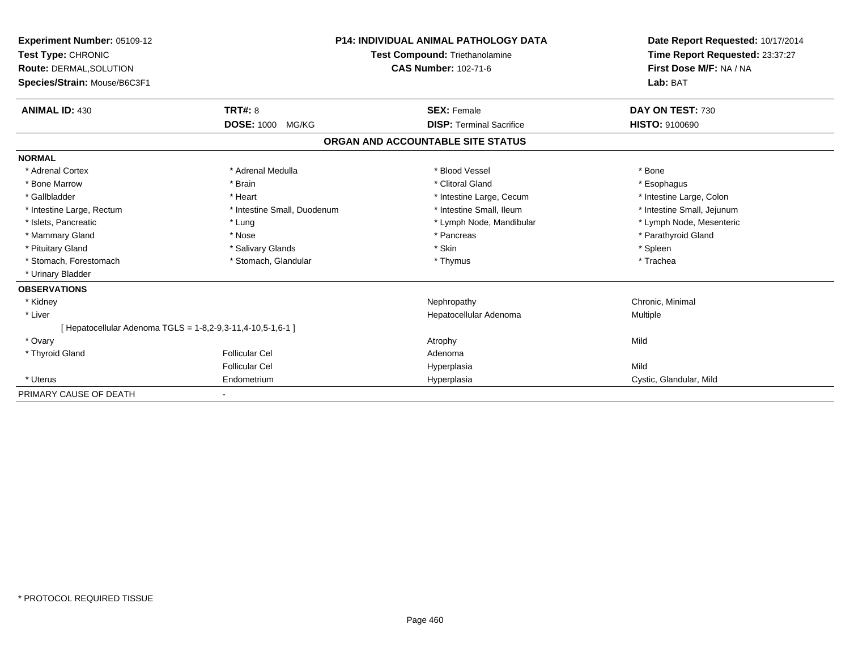| Experiment Number: 05109-12<br>Test Type: CHRONIC<br>Route: DERMAL, SOLUTION<br>Species/Strain: Mouse/B6C3F1 |                             | <b>P14: INDIVIDUAL ANIMAL PATHOLOGY DATA</b><br><b>Test Compound: Triethanolamine</b><br><b>CAS Number: 102-71-6</b> | Date Report Requested: 10/17/2014<br>Time Report Requested: 23:37:27<br>First Dose M/F: NA / NA<br>Lab: BAT |
|--------------------------------------------------------------------------------------------------------------|-----------------------------|----------------------------------------------------------------------------------------------------------------------|-------------------------------------------------------------------------------------------------------------|
|                                                                                                              |                             |                                                                                                                      |                                                                                                             |
| <b>ANIMAL ID: 430</b>                                                                                        | TRT#: 8                     | <b>SEX: Female</b>                                                                                                   | DAY ON TEST: 730                                                                                            |
|                                                                                                              | DOSE: 1000 MG/KG            | <b>DISP:</b> Terminal Sacrifice                                                                                      | <b>HISTO: 9100690</b>                                                                                       |
|                                                                                                              |                             | ORGAN AND ACCOUNTABLE SITE STATUS                                                                                    |                                                                                                             |
| <b>NORMAL</b>                                                                                                |                             |                                                                                                                      |                                                                                                             |
| * Adrenal Cortex                                                                                             | * Adrenal Medulla           | * Blood Vessel                                                                                                       | * Bone                                                                                                      |
| * Bone Marrow                                                                                                | * Brain                     | * Clitoral Gland                                                                                                     | * Esophagus                                                                                                 |
| * Gallbladder                                                                                                | * Heart                     | * Intestine Large, Cecum                                                                                             | * Intestine Large, Colon                                                                                    |
| * Intestine Large, Rectum                                                                                    | * Intestine Small, Duodenum | * Intestine Small, Ileum                                                                                             | * Intestine Small, Jejunum                                                                                  |
| * Islets, Pancreatic                                                                                         | * Lung                      | * Lymph Node, Mandibular                                                                                             | * Lymph Node, Mesenteric                                                                                    |
| * Mammary Gland                                                                                              | * Nose                      | * Pancreas                                                                                                           | * Parathyroid Gland                                                                                         |
| * Pituitary Gland                                                                                            | * Salivary Glands           | * Skin                                                                                                               | * Spleen                                                                                                    |
| * Stomach, Forestomach                                                                                       | * Stomach, Glandular        | * Thymus                                                                                                             | * Trachea                                                                                                   |
| * Urinary Bladder                                                                                            |                             |                                                                                                                      |                                                                                                             |
| <b>OBSERVATIONS</b>                                                                                          |                             |                                                                                                                      |                                                                                                             |
| * Kidney                                                                                                     |                             | Nephropathy                                                                                                          | Chronic, Minimal                                                                                            |
| * Liver                                                                                                      |                             | Hepatocellular Adenoma                                                                                               | Multiple                                                                                                    |
| [ Hepatocellular Adenoma TGLS = 1-8,2-9,3-11,4-10,5-1,6-1 ]                                                  |                             |                                                                                                                      |                                                                                                             |
| * Ovary                                                                                                      |                             | Atrophy                                                                                                              | Mild                                                                                                        |
| * Thyroid Gland                                                                                              | <b>Follicular Cel</b>       | Adenoma                                                                                                              |                                                                                                             |
|                                                                                                              | <b>Follicular Cel</b>       | Hyperplasia                                                                                                          | Mild                                                                                                        |
| * Uterus                                                                                                     | Endometrium                 | Hyperplasia                                                                                                          | Cystic, Glandular, Mild                                                                                     |
| PRIMARY CAUSE OF DEATH                                                                                       |                             |                                                                                                                      |                                                                                                             |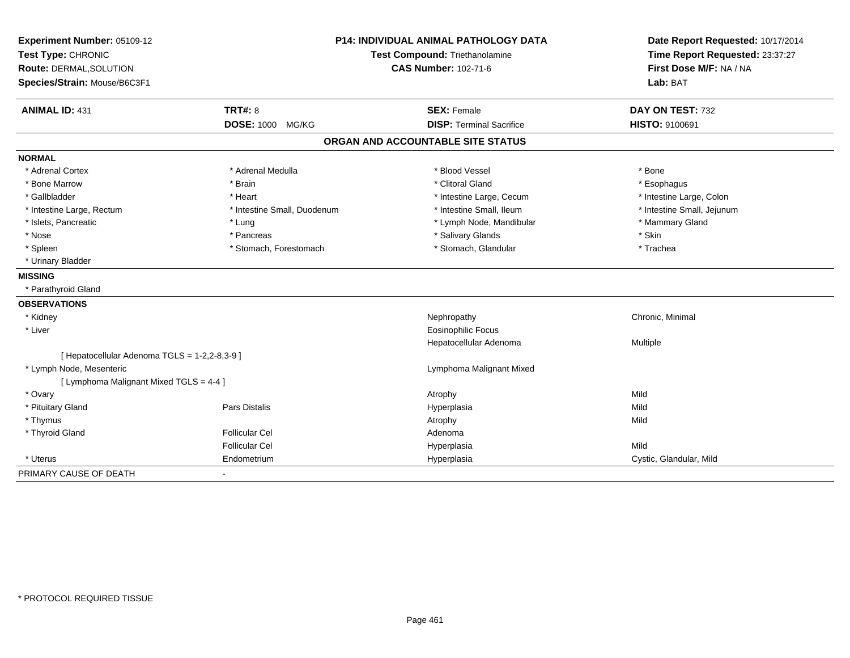| Experiment Number: 05109-12                   | <b>P14: INDIVIDUAL ANIMAL PATHOLOGY DATA</b> |                                   | Date Report Requested: 10/17/2014                          |
|-----------------------------------------------|----------------------------------------------|-----------------------------------|------------------------------------------------------------|
| Test Type: CHRONIC                            |                                              | Test Compound: Triethanolamine    |                                                            |
| Route: DERMAL, SOLUTION                       |                                              | <b>CAS Number: 102-71-6</b>       | Time Report Requested: 23:37:27<br>First Dose M/F: NA / NA |
| Species/Strain: Mouse/B6C3F1                  |                                              |                                   | Lab: BAT                                                   |
| <b>ANIMAL ID: 431</b>                         | <b>TRT#: 8</b>                               | <b>SEX: Female</b>                | DAY ON TEST: 732                                           |
|                                               | <b>DOSE: 1000</b><br>MG/KG                   | <b>DISP: Terminal Sacrifice</b>   | <b>HISTO: 9100691</b>                                      |
|                                               |                                              | ORGAN AND ACCOUNTABLE SITE STATUS |                                                            |
| <b>NORMAL</b>                                 |                                              |                                   |                                                            |
| * Adrenal Cortex                              | * Adrenal Medulla                            | * Blood Vessel                    | * Bone                                                     |
| * Bone Marrow                                 | * Brain                                      | * Clitoral Gland                  | * Esophagus                                                |
| * Gallbladder                                 | * Heart                                      | * Intestine Large, Cecum          | * Intestine Large, Colon                                   |
| * Intestine Large, Rectum                     | * Intestine Small, Duodenum                  | * Intestine Small, Ileum          | * Intestine Small, Jejunum                                 |
| * Islets, Pancreatic                          | * Lung                                       | * Lymph Node, Mandibular          | * Mammary Gland                                            |
| * Nose                                        | * Pancreas                                   | * Salivary Glands                 | * Skin                                                     |
| * Spleen                                      | * Stomach, Forestomach                       | * Stomach, Glandular              | * Trachea                                                  |
| * Urinary Bladder                             |                                              |                                   |                                                            |
| <b>MISSING</b>                                |                                              |                                   |                                                            |
| * Parathyroid Gland                           |                                              |                                   |                                                            |
| <b>OBSERVATIONS</b>                           |                                              |                                   |                                                            |
| * Kidney                                      |                                              | Nephropathy                       | Chronic, Minimal                                           |
| * Liver                                       |                                              | <b>Eosinophilic Focus</b>         |                                                            |
|                                               |                                              | Hepatocellular Adenoma            | Multiple                                                   |
| [ Hepatocellular Adenoma TGLS = 1-2,2-8,3-9 ] |                                              |                                   |                                                            |
| * Lymph Node, Mesenteric                      |                                              | Lymphoma Malignant Mixed          |                                                            |
| [ Lymphoma Malignant Mixed TGLS = 4-4 ]       |                                              |                                   |                                                            |
| * Ovary                                       |                                              | Atrophy                           | Mild                                                       |
| * Pituitary Gland                             | <b>Pars Distalis</b>                         | Hyperplasia                       | Mild                                                       |
| * Thymus                                      |                                              | Atrophy                           | Mild                                                       |
| * Thyroid Gland                               | <b>Follicular Cel</b>                        | Adenoma                           |                                                            |
|                                               | <b>Follicular Cel</b>                        | Hyperplasia                       | Mild                                                       |
| * Uterus                                      | Endometrium                                  | Hyperplasia                       | Cystic, Glandular, Mild                                    |
| PRIMARY CAUSE OF DEATH                        |                                              |                                   |                                                            |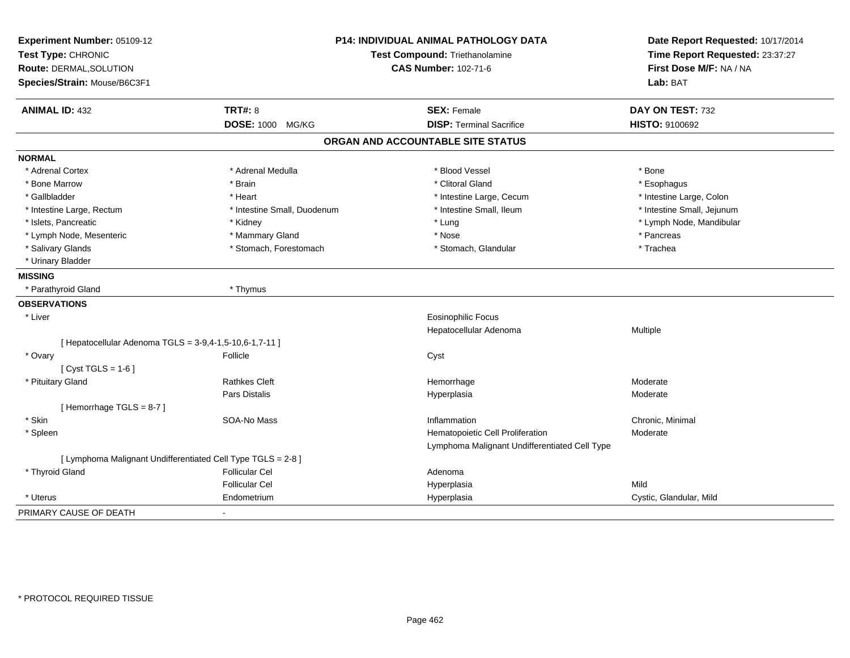| Experiment Number: 05109-12                                  |                             | P14: INDIVIDUAL ANIMAL PATHOLOGY DATA         | Date Report Requested: 10/17/2014 |
|--------------------------------------------------------------|-----------------------------|-----------------------------------------------|-----------------------------------|
| Test Type: CHRONIC                                           |                             | Test Compound: Triethanolamine                | Time Report Requested: 23:37:27   |
| Route: DERMAL, SOLUTION                                      |                             | <b>CAS Number: 102-71-6</b>                   | First Dose M/F: NA / NA           |
| Species/Strain: Mouse/B6C3F1                                 |                             |                                               | Lab: BAT                          |
| <b>ANIMAL ID: 432</b>                                        | <b>TRT#: 8</b>              | <b>SEX: Female</b>                            | DAY ON TEST: 732                  |
|                                                              | <b>DOSE: 1000 MG/KG</b>     | <b>DISP: Terminal Sacrifice</b>               | HISTO: 9100692                    |
|                                                              |                             | ORGAN AND ACCOUNTABLE SITE STATUS             |                                   |
| <b>NORMAL</b>                                                |                             |                                               |                                   |
| * Adrenal Cortex                                             | * Adrenal Medulla           | * Blood Vessel                                | * Bone                            |
| * Bone Marrow                                                | * Brain                     | * Clitoral Gland                              | * Esophagus                       |
| * Gallbladder                                                | * Heart                     | * Intestine Large, Cecum                      | * Intestine Large, Colon          |
| * Intestine Large, Rectum                                    | * Intestine Small, Duodenum | * Intestine Small, Ileum                      | * Intestine Small, Jejunum        |
| * Islets, Pancreatic                                         | * Kidney                    | $*$ Lung                                      | * Lymph Node, Mandibular          |
| * Lymph Node, Mesenteric                                     | * Mammary Gland             | * Nose                                        | * Pancreas                        |
| * Salivary Glands                                            | * Stomach, Forestomach      | * Stomach, Glandular                          | * Trachea                         |
| * Urinary Bladder                                            |                             |                                               |                                   |
| <b>MISSING</b>                                               |                             |                                               |                                   |
| * Parathyroid Gland                                          | * Thymus                    |                                               |                                   |
| <b>OBSERVATIONS</b>                                          |                             |                                               |                                   |
| * Liver                                                      |                             | <b>Eosinophilic Focus</b>                     |                                   |
|                                                              |                             | Hepatocellular Adenoma                        | Multiple                          |
| [ Hepatocellular Adenoma TGLS = 3-9,4-1,5-10,6-1,7-11 ]      |                             |                                               |                                   |
| * Ovary                                                      | Follicle                    | Cyst                                          |                                   |
| [ $Cyst TGLS = 1-6$ ]                                        |                             |                                               |                                   |
| * Pituitary Gland                                            | <b>Rathkes Cleft</b>        | Hemorrhage                                    | Moderate                          |
|                                                              | Pars Distalis               | Hyperplasia                                   | Moderate                          |
| [Hemorrhage TGLS = 8-7]                                      |                             |                                               |                                   |
| * Skin                                                       | SOA-No Mass                 | Inflammation                                  | Chronic, Minimal                  |
| * Spleen                                                     |                             | Hematopoietic Cell Proliferation              | Moderate                          |
|                                                              |                             | Lymphoma Malignant Undifferentiated Cell Type |                                   |
| [ Lymphoma Malignant Undifferentiated Cell Type TGLS = 2-8 ] |                             |                                               |                                   |
| * Thyroid Gland                                              | <b>Follicular Cel</b>       | Adenoma                                       |                                   |
|                                                              | <b>Follicular Cel</b>       | Hyperplasia                                   | Mild                              |
| * Uterus                                                     | Endometrium                 | Hyperplasia                                   | Cystic, Glandular, Mild           |
| PRIMARY CAUSE OF DEATH                                       |                             |                                               |                                   |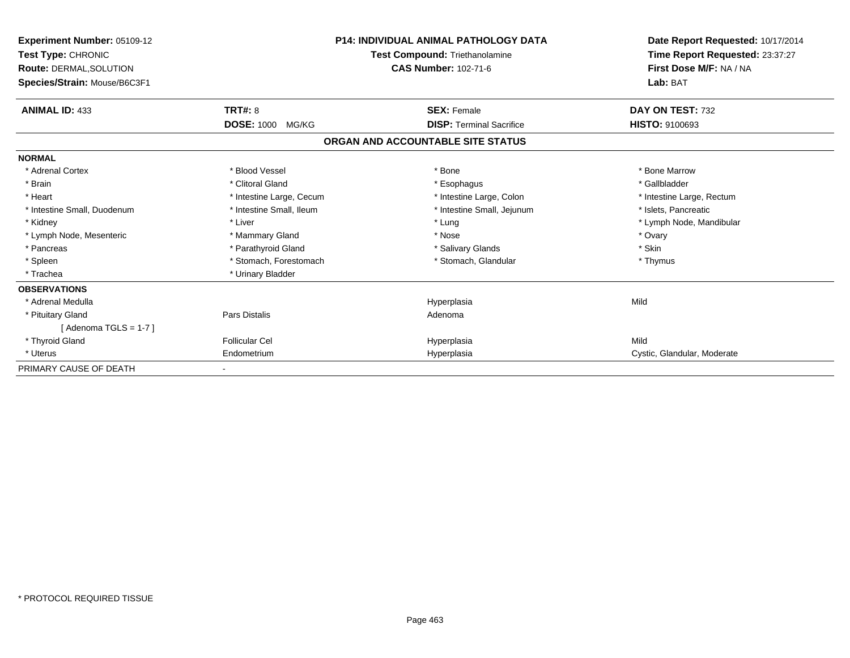| <b>Experiment Number: 05109-12</b><br>Test Type: CHRONIC<br>Route: DERMAL, SOLUTION<br>Species/Strain: Mouse/B6C3F1 | <b>P14: INDIVIDUAL ANIMAL PATHOLOGY DATA</b><br><b>Test Compound: Triethanolamine</b><br><b>CAS Number: 102-71-6</b> |                                   | Date Report Requested: 10/17/2014<br>Time Report Requested: 23:37:27<br>First Dose M/F: NA / NA<br>Lab: BAT |
|---------------------------------------------------------------------------------------------------------------------|----------------------------------------------------------------------------------------------------------------------|-----------------------------------|-------------------------------------------------------------------------------------------------------------|
| <b>ANIMAL ID: 433</b>                                                                                               | <b>TRT#: 8</b>                                                                                                       | <b>SEX: Female</b>                | DAY ON TEST: 732                                                                                            |
|                                                                                                                     | DOSE: 1000 MG/KG                                                                                                     | <b>DISP: Terminal Sacrifice</b>   | <b>HISTO: 9100693</b>                                                                                       |
|                                                                                                                     |                                                                                                                      | ORGAN AND ACCOUNTABLE SITE STATUS |                                                                                                             |
| <b>NORMAL</b>                                                                                                       |                                                                                                                      |                                   |                                                                                                             |
| * Adrenal Cortex                                                                                                    | * Blood Vessel                                                                                                       | * Bone                            | * Bone Marrow                                                                                               |
| * Brain                                                                                                             | * Clitoral Gland                                                                                                     | * Esophagus                       | * Gallbladder                                                                                               |
| * Heart                                                                                                             | * Intestine Large, Cecum                                                                                             | * Intestine Large, Colon          | * Intestine Large, Rectum                                                                                   |
| * Intestine Small, Duodenum                                                                                         | * Intestine Small, Ileum                                                                                             | * Intestine Small, Jejunum        | * Islets, Pancreatic                                                                                        |
| * Kidney                                                                                                            | * Liver                                                                                                              | * Lung                            | * Lymph Node, Mandibular                                                                                    |
| * Lymph Node, Mesenteric                                                                                            | * Mammary Gland                                                                                                      | * Nose                            | * Ovary                                                                                                     |
| * Pancreas                                                                                                          | * Parathyroid Gland                                                                                                  | * Salivary Glands                 | * Skin                                                                                                      |
| * Spleen                                                                                                            | * Stomach, Forestomach                                                                                               | * Stomach, Glandular              | * Thymus                                                                                                    |
| * Trachea                                                                                                           | * Urinary Bladder                                                                                                    |                                   |                                                                                                             |
| <b>OBSERVATIONS</b>                                                                                                 |                                                                                                                      |                                   |                                                                                                             |
| * Adrenal Medulla                                                                                                   |                                                                                                                      | Hyperplasia                       | Mild                                                                                                        |
| * Pituitary Gland                                                                                                   | Pars Distalis                                                                                                        | Adenoma                           |                                                                                                             |
| [Adenoma TGLS = $1-7$ ]                                                                                             |                                                                                                                      |                                   |                                                                                                             |
| * Thyroid Gland                                                                                                     | <b>Follicular Cel</b>                                                                                                | Hyperplasia                       | Mild                                                                                                        |
| * Uterus                                                                                                            | Endometrium                                                                                                          | Hyperplasia                       | Cystic, Glandular, Moderate                                                                                 |
| PRIMARY CAUSE OF DEATH                                                                                              |                                                                                                                      |                                   |                                                                                                             |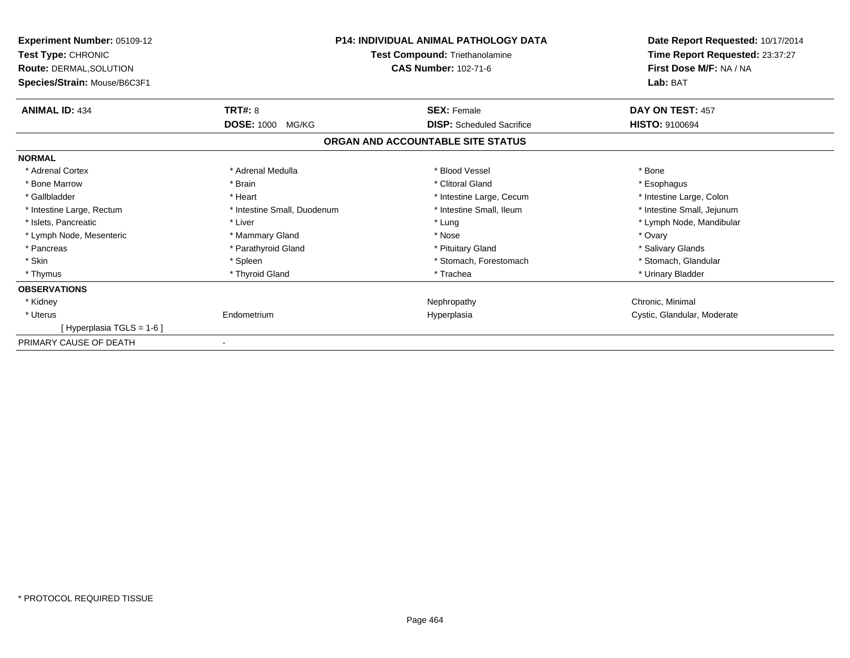| Experiment Number: 05109-12<br>Test Type: CHRONIC<br><b>Route: DERMAL, SOLUTION</b><br>Species/Strain: Mouse/B6C3F1 | <b>P14: INDIVIDUAL ANIMAL PATHOLOGY DATA</b><br>Test Compound: Triethanolamine<br><b>CAS Number: 102-71-6</b> |                                   | Date Report Requested: 10/17/2014<br>Time Report Requested: 23:37:27<br>First Dose M/F: NA / NA<br>Lab: BAT |
|---------------------------------------------------------------------------------------------------------------------|---------------------------------------------------------------------------------------------------------------|-----------------------------------|-------------------------------------------------------------------------------------------------------------|
| <b>ANIMAL ID: 434</b>                                                                                               | <b>TRT#: 8</b>                                                                                                | <b>SEX: Female</b>                | DAY ON TEST: 457                                                                                            |
|                                                                                                                     | <b>DOSE: 1000</b><br>MG/KG                                                                                    | <b>DISP:</b> Scheduled Sacrifice  | <b>HISTO: 9100694</b>                                                                                       |
|                                                                                                                     |                                                                                                               | ORGAN AND ACCOUNTABLE SITE STATUS |                                                                                                             |
| <b>NORMAL</b>                                                                                                       |                                                                                                               |                                   |                                                                                                             |
| * Adrenal Cortex                                                                                                    | * Adrenal Medulla                                                                                             | * Blood Vessel                    | * Bone                                                                                                      |
| * Bone Marrow                                                                                                       | * Brain                                                                                                       | * Clitoral Gland                  | * Esophagus                                                                                                 |
| * Gallbladder                                                                                                       | * Heart                                                                                                       | * Intestine Large, Cecum          | * Intestine Large, Colon                                                                                    |
| * Intestine Large, Rectum                                                                                           | * Intestine Small, Duodenum                                                                                   | * Intestine Small, Ileum          | * Intestine Small, Jejunum                                                                                  |
| * Islets, Pancreatic                                                                                                | * Liver                                                                                                       | * Lung                            | * Lymph Node, Mandibular                                                                                    |
| * Lymph Node, Mesenteric                                                                                            | * Mammary Gland                                                                                               | * Nose                            | * Ovary                                                                                                     |
| * Pancreas                                                                                                          | * Parathyroid Gland                                                                                           | * Pituitary Gland                 | * Salivary Glands                                                                                           |
| * Skin                                                                                                              | * Spleen                                                                                                      | * Stomach, Forestomach            | * Stomach, Glandular                                                                                        |
| * Thymus                                                                                                            | * Thyroid Gland                                                                                               | * Trachea                         | * Urinary Bladder                                                                                           |
| <b>OBSERVATIONS</b>                                                                                                 |                                                                                                               |                                   |                                                                                                             |
| * Kidney                                                                                                            |                                                                                                               | Nephropathy                       | Chronic, Minimal                                                                                            |
| * Uterus                                                                                                            | Endometrium                                                                                                   | Hyperplasia                       | Cystic, Glandular, Moderate                                                                                 |
| [ Hyperplasia TGLS = 1-6 ]                                                                                          |                                                                                                               |                                   |                                                                                                             |
| PRIMARY CAUSE OF DEATH                                                                                              |                                                                                                               |                                   |                                                                                                             |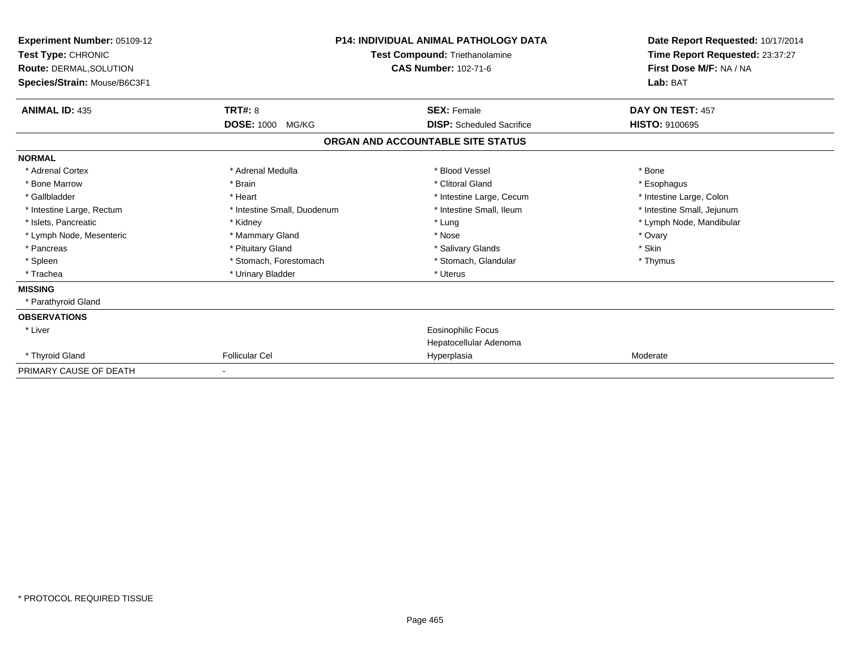| <b>Experiment Number: 05109-12</b><br>Test Type: CHRONIC<br>Route: DERMAL, SOLUTION<br>Species/Strain: Mouse/B6C3F1 | <b>P14: INDIVIDUAL ANIMAL PATHOLOGY DATA</b><br>Test Compound: Triethanolamine<br>CAS Number: 102-71-6 |                                   | Date Report Requested: 10/17/2014<br>Time Report Requested: 23:37:27<br>First Dose M/F: NA / NA<br>Lab: BAT |
|---------------------------------------------------------------------------------------------------------------------|--------------------------------------------------------------------------------------------------------|-----------------------------------|-------------------------------------------------------------------------------------------------------------|
| <b>ANIMAL ID: 435</b>                                                                                               | <b>TRT#: 8</b>                                                                                         | <b>SEX: Female</b>                | DAY ON TEST: 457                                                                                            |
|                                                                                                                     | <b>DOSE: 1000</b><br>MG/KG                                                                             | <b>DISP:</b> Scheduled Sacrifice  | <b>HISTO: 9100695</b>                                                                                       |
|                                                                                                                     |                                                                                                        | ORGAN AND ACCOUNTABLE SITE STATUS |                                                                                                             |
| <b>NORMAL</b>                                                                                                       |                                                                                                        |                                   |                                                                                                             |
| * Adrenal Cortex                                                                                                    | * Adrenal Medulla                                                                                      | * Blood Vessel                    | * Bone                                                                                                      |
| * Bone Marrow                                                                                                       | * Brain                                                                                                | * Clitoral Gland                  | * Esophagus                                                                                                 |
| * Gallbladder                                                                                                       | * Heart                                                                                                | * Intestine Large, Cecum          | * Intestine Large, Colon                                                                                    |
| * Intestine Large, Rectum                                                                                           | * Intestine Small, Duodenum                                                                            | * Intestine Small, Ileum          | * Intestine Small, Jejunum                                                                                  |
| * Islets, Pancreatic                                                                                                | * Kidney                                                                                               | * Lung                            | * Lymph Node, Mandibular                                                                                    |
| * Lymph Node, Mesenteric                                                                                            | * Mammary Gland                                                                                        | * Nose                            | * Ovary                                                                                                     |
| * Pancreas                                                                                                          | * Pituitary Gland                                                                                      | * Salivary Glands                 | * Skin                                                                                                      |
| * Spleen                                                                                                            | * Stomach, Forestomach                                                                                 | * Stomach, Glandular              | * Thymus                                                                                                    |
| * Trachea                                                                                                           | * Urinary Bladder                                                                                      | * Uterus                          |                                                                                                             |
| <b>MISSING</b>                                                                                                      |                                                                                                        |                                   |                                                                                                             |
| * Parathyroid Gland                                                                                                 |                                                                                                        |                                   |                                                                                                             |
| <b>OBSERVATIONS</b>                                                                                                 |                                                                                                        |                                   |                                                                                                             |
| * Liver                                                                                                             |                                                                                                        | <b>Eosinophilic Focus</b>         |                                                                                                             |
|                                                                                                                     |                                                                                                        | Hepatocellular Adenoma            |                                                                                                             |
| * Thyroid Gland                                                                                                     | <b>Follicular Cel</b>                                                                                  | Hyperplasia                       | Moderate                                                                                                    |
| PRIMARY CAUSE OF DEATH                                                                                              |                                                                                                        |                                   |                                                                                                             |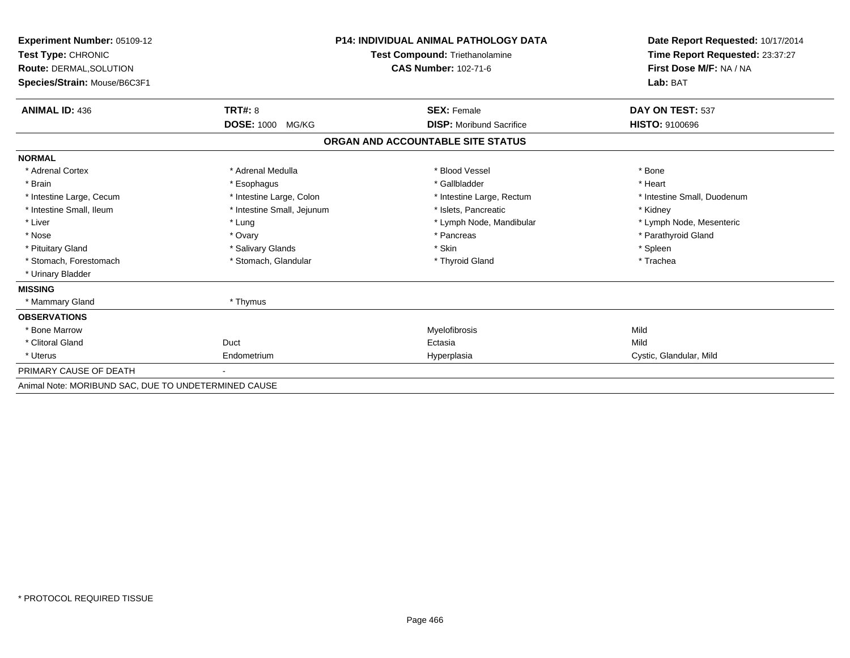| Experiment Number: 05109-12<br>Test Type: CHRONIC<br><b>Route: DERMAL, SOLUTION</b><br>Species/Strain: Mouse/B6C3F1 | <b>P14: INDIVIDUAL ANIMAL PATHOLOGY DATA</b><br><b>Test Compound: Triethanolamine</b><br><b>CAS Number: 102-71-6</b> |                                   | Date Report Requested: 10/17/2014<br>Time Report Requested: 23:37:27<br>First Dose M/F: NA / NA<br>Lab: BAT |
|---------------------------------------------------------------------------------------------------------------------|----------------------------------------------------------------------------------------------------------------------|-----------------------------------|-------------------------------------------------------------------------------------------------------------|
| <b>ANIMAL ID: 436</b>                                                                                               | <b>TRT#: 8</b>                                                                                                       | <b>SEX: Female</b>                | DAY ON TEST: 537                                                                                            |
|                                                                                                                     | <b>DOSE: 1000 MG/KG</b>                                                                                              | <b>DISP:</b> Moribund Sacrifice   | <b>HISTO: 9100696</b>                                                                                       |
|                                                                                                                     |                                                                                                                      | ORGAN AND ACCOUNTABLE SITE STATUS |                                                                                                             |
| <b>NORMAL</b>                                                                                                       |                                                                                                                      |                                   |                                                                                                             |
| * Adrenal Cortex                                                                                                    | * Adrenal Medulla                                                                                                    | * Blood Vessel                    | * Bone                                                                                                      |
| * Brain                                                                                                             | * Esophagus                                                                                                          | * Gallbladder                     | * Heart                                                                                                     |
| * Intestine Large, Cecum                                                                                            | * Intestine Large, Colon                                                                                             | * Intestine Large, Rectum         | * Intestine Small, Duodenum                                                                                 |
| * Intestine Small, Ileum                                                                                            | * Intestine Small, Jejunum                                                                                           | * Islets, Pancreatic              | * Kidney                                                                                                    |
| * Liver                                                                                                             | * Lung                                                                                                               | * Lymph Node, Mandibular          | * Lymph Node, Mesenteric                                                                                    |
| * Nose                                                                                                              | * Ovary                                                                                                              | * Pancreas                        | * Parathyroid Gland                                                                                         |
| * Pituitary Gland                                                                                                   | * Salivary Glands                                                                                                    | * Skin                            | * Spleen                                                                                                    |
| * Stomach, Forestomach                                                                                              | * Stomach, Glandular                                                                                                 | * Thyroid Gland                   | * Trachea                                                                                                   |
| * Urinary Bladder                                                                                                   |                                                                                                                      |                                   |                                                                                                             |
| <b>MISSING</b>                                                                                                      |                                                                                                                      |                                   |                                                                                                             |
| * Mammary Gland                                                                                                     | * Thymus                                                                                                             |                                   |                                                                                                             |
| <b>OBSERVATIONS</b>                                                                                                 |                                                                                                                      |                                   |                                                                                                             |
| * Bone Marrow                                                                                                       |                                                                                                                      | Myelofibrosis                     | Mild                                                                                                        |
| * Clitoral Gland                                                                                                    | Duct                                                                                                                 | Ectasia                           | Mild                                                                                                        |
| * Uterus                                                                                                            | Endometrium                                                                                                          | Hyperplasia                       | Cystic, Glandular, Mild                                                                                     |
| PRIMARY CAUSE OF DEATH                                                                                              |                                                                                                                      |                                   |                                                                                                             |
| Animal Note: MORIBUND SAC, DUE TO UNDETERMINED CAUSE                                                                |                                                                                                                      |                                   |                                                                                                             |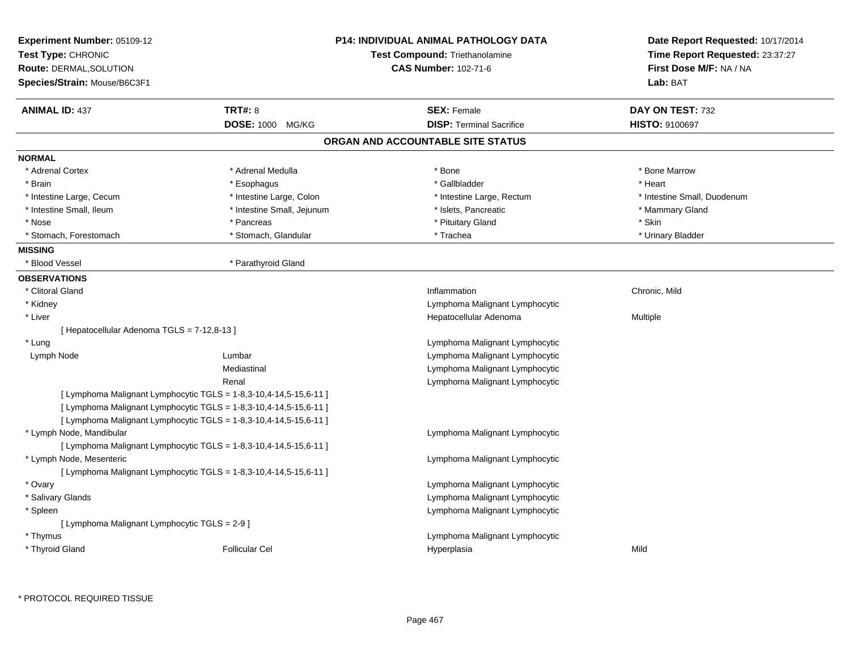| Experiment Number: 05109-12<br>Test Type: CHRONIC<br><b>Route: DERMAL, SOLUTION</b><br>Species/Strain: Mouse/B6C3F1 |                                                                   | <b>P14: INDIVIDUAL ANIMAL PATHOLOGY DATA</b><br>Test Compound: Triethanolamine<br><b>CAS Number: 102-71-6</b> | Date Report Requested: 10/17/2014<br>Time Report Requested: 23:37:27<br>First Dose M/F: NA / NA<br>Lab: BAT |
|---------------------------------------------------------------------------------------------------------------------|-------------------------------------------------------------------|---------------------------------------------------------------------------------------------------------------|-------------------------------------------------------------------------------------------------------------|
| <b>ANIMAL ID: 437</b>                                                                                               | <b>TRT#: 8</b>                                                    | <b>SEX: Female</b>                                                                                            | DAY ON TEST: 732                                                                                            |
|                                                                                                                     | <b>DOSE: 1000 MG/KG</b>                                           | <b>DISP: Terminal Sacrifice</b>                                                                               | <b>HISTO: 9100697</b>                                                                                       |
|                                                                                                                     |                                                                   | ORGAN AND ACCOUNTABLE SITE STATUS                                                                             |                                                                                                             |
| <b>NORMAL</b>                                                                                                       |                                                                   |                                                                                                               |                                                                                                             |
| * Adrenal Cortex                                                                                                    | * Adrenal Medulla                                                 | * Bone                                                                                                        | * Bone Marrow                                                                                               |
| * Brain                                                                                                             | * Esophagus                                                       | * Gallbladder                                                                                                 | * Heart                                                                                                     |
| * Intestine Large, Cecum                                                                                            | * Intestine Large, Colon                                          | * Intestine Large, Rectum                                                                                     | * Intestine Small, Duodenum                                                                                 |
| * Intestine Small, Ileum                                                                                            | * Intestine Small, Jejunum                                        | * Islets, Pancreatic                                                                                          | * Mammary Gland                                                                                             |
| * Nose                                                                                                              | * Pancreas                                                        | * Pituitary Gland                                                                                             | * Skin                                                                                                      |
| * Stomach, Forestomach                                                                                              | * Stomach, Glandular                                              | * Trachea                                                                                                     | * Urinary Bladder                                                                                           |
| <b>MISSING</b>                                                                                                      |                                                                   |                                                                                                               |                                                                                                             |
| * Blood Vessel                                                                                                      | * Parathyroid Gland                                               |                                                                                                               |                                                                                                             |
| <b>OBSERVATIONS</b>                                                                                                 |                                                                   |                                                                                                               |                                                                                                             |
| * Clitoral Gland                                                                                                    |                                                                   | Inflammation                                                                                                  | Chronic, Mild                                                                                               |
| * Kidney                                                                                                            |                                                                   | Lymphoma Malignant Lymphocytic                                                                                |                                                                                                             |
| * Liver                                                                                                             |                                                                   | Hepatocellular Adenoma                                                                                        | Multiple                                                                                                    |
| [ Hepatocellular Adenoma TGLS = 7-12,8-13 ]                                                                         |                                                                   |                                                                                                               |                                                                                                             |
| * Lung                                                                                                              |                                                                   | Lymphoma Malignant Lymphocytic                                                                                |                                                                                                             |
| Lymph Node                                                                                                          | Lumbar                                                            | Lymphoma Malignant Lymphocytic                                                                                |                                                                                                             |
|                                                                                                                     | Mediastinal                                                       | Lymphoma Malignant Lymphocytic                                                                                |                                                                                                             |
|                                                                                                                     | Renal                                                             | Lymphoma Malignant Lymphocytic                                                                                |                                                                                                             |
|                                                                                                                     | [ Lymphoma Malignant Lymphocytic TGLS = 1-8,3-10,4-14,5-15,6-11 ] |                                                                                                               |                                                                                                             |
|                                                                                                                     | [ Lymphoma Malignant Lymphocytic TGLS = 1-8,3-10,4-14,5-15,6-11 ] |                                                                                                               |                                                                                                             |
|                                                                                                                     | [ Lymphoma Malignant Lymphocytic TGLS = 1-8,3-10,4-14,5-15,6-11 ] |                                                                                                               |                                                                                                             |
| * Lymph Node, Mandibular                                                                                            |                                                                   | Lymphoma Malignant Lymphocytic                                                                                |                                                                                                             |
|                                                                                                                     | [ Lymphoma Malignant Lymphocytic TGLS = 1-8,3-10,4-14,5-15,6-11 ] |                                                                                                               |                                                                                                             |
| * Lymph Node, Mesenteric                                                                                            |                                                                   | Lymphoma Malignant Lymphocytic                                                                                |                                                                                                             |
|                                                                                                                     | [ Lymphoma Malignant Lymphocytic TGLS = 1-8,3-10,4-14,5-15,6-11 ] |                                                                                                               |                                                                                                             |
| * Ovary                                                                                                             |                                                                   | Lymphoma Malignant Lymphocytic                                                                                |                                                                                                             |
| * Salivary Glands                                                                                                   |                                                                   | Lymphoma Malignant Lymphocytic                                                                                |                                                                                                             |
| * Spleen                                                                                                            |                                                                   | Lymphoma Malignant Lymphocytic                                                                                |                                                                                                             |
| [ Lymphoma Malignant Lymphocytic TGLS = 2-9 ]                                                                       |                                                                   |                                                                                                               |                                                                                                             |
| * Thymus                                                                                                            |                                                                   | Lymphoma Malignant Lymphocytic                                                                                |                                                                                                             |
| * Thyroid Gland                                                                                                     | <b>Follicular Cel</b>                                             | Hyperplasia                                                                                                   | Mild                                                                                                        |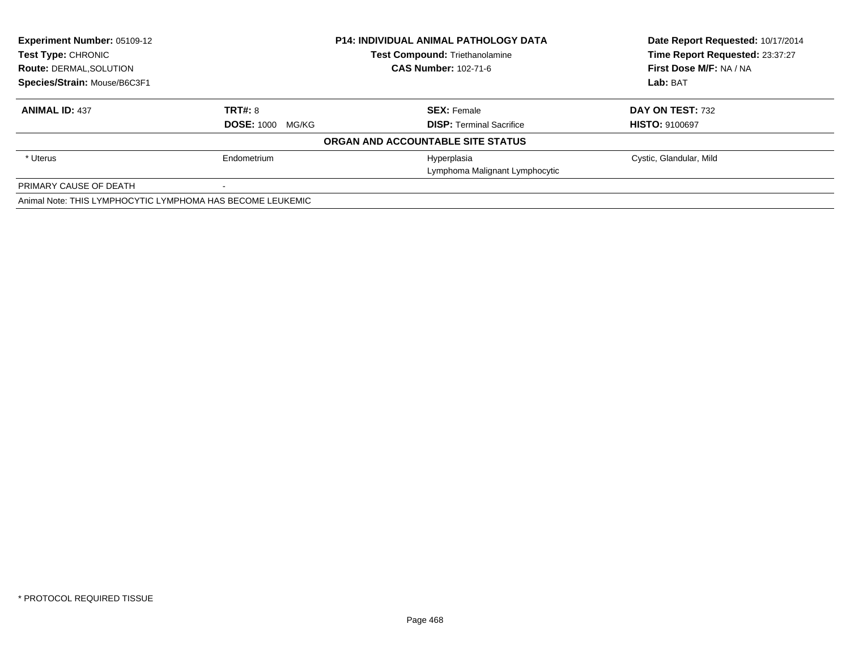| <b>Experiment Number: 05109-12</b><br><b>P14: INDIVIDUAL ANIMAL PATHOLOGY DATA</b><br><b>Test Type: CHRONIC</b><br><b>Test Compound: Triethanolamine</b> |                            |                                   | Date Report Requested: 10/17/2014 |  |
|----------------------------------------------------------------------------------------------------------------------------------------------------------|----------------------------|-----------------------------------|-----------------------------------|--|
|                                                                                                                                                          |                            | Time Report Requested: 23:37:27   |                                   |  |
| <b>Route: DERMAL, SOLUTION</b>                                                                                                                           |                            | <b>CAS Number: 102-71-6</b>       |                                   |  |
| Species/Strain: Mouse/B6C3F1                                                                                                                             |                            |                                   | Lab: BAT                          |  |
| <b>ANIMAL ID: 437</b>                                                                                                                                    | TRT#: 8                    | <b>SEX: Female</b>                | DAY ON TEST: 732                  |  |
|                                                                                                                                                          | <b>DOSE: 1000</b><br>MG/KG | <b>DISP:</b> Terminal Sacrifice   | <b>HISTO: 9100697</b>             |  |
|                                                                                                                                                          |                            | ORGAN AND ACCOUNTABLE SITE STATUS |                                   |  |
| * Uterus                                                                                                                                                 | Endometrium                | Hyperplasia                       | Cystic, Glandular, Mild           |  |
|                                                                                                                                                          |                            | Lymphoma Malignant Lymphocytic    |                                   |  |
| PRIMARY CAUSE OF DEATH                                                                                                                                   | $\sim$                     |                                   |                                   |  |
| Animal Note: THIS LYMPHOCYTIC LYMPHOMA HAS BECOME LEUKEMIC                                                                                               |                            |                                   |                                   |  |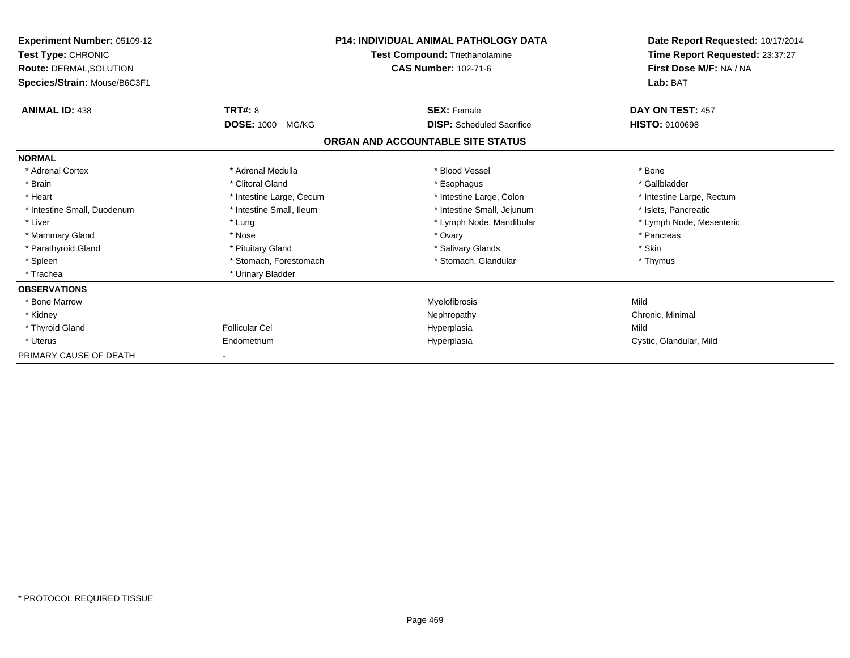| <b>Experiment Number: 05109-12</b><br>Test Type: CHRONIC<br>Route: DERMAL, SOLUTION<br>Species/Strain: Mouse/B6C3F1 | <b>P14: INDIVIDUAL ANIMAL PATHOLOGY DATA</b><br>Test Compound: Triethanolamine<br><b>CAS Number: 102-71-6</b> |                                   | Date Report Requested: 10/17/2014<br>Time Report Requested: 23:37:27<br>First Dose M/F: NA / NA<br>Lab: BAT |  |
|---------------------------------------------------------------------------------------------------------------------|---------------------------------------------------------------------------------------------------------------|-----------------------------------|-------------------------------------------------------------------------------------------------------------|--|
| <b>ANIMAL ID: 438</b>                                                                                               | <b>TRT#: 8</b>                                                                                                | <b>SEX: Female</b>                | DAY ON TEST: 457                                                                                            |  |
|                                                                                                                     | <b>DOSE: 1000</b><br>MG/KG                                                                                    | <b>DISP:</b> Scheduled Sacrifice  | <b>HISTO: 9100698</b>                                                                                       |  |
|                                                                                                                     |                                                                                                               | ORGAN AND ACCOUNTABLE SITE STATUS |                                                                                                             |  |
| <b>NORMAL</b>                                                                                                       |                                                                                                               |                                   |                                                                                                             |  |
| * Adrenal Cortex                                                                                                    | * Adrenal Medulla                                                                                             | * Blood Vessel                    | * Bone                                                                                                      |  |
| * Brain                                                                                                             | * Clitoral Gland                                                                                              | * Esophagus                       | * Gallbladder                                                                                               |  |
| * Heart                                                                                                             | * Intestine Large, Cecum                                                                                      | * Intestine Large, Colon          | * Intestine Large, Rectum                                                                                   |  |
| * Intestine Small, Duodenum                                                                                         | * Intestine Small, Ileum                                                                                      | * Intestine Small, Jejunum        | * Islets. Pancreatic                                                                                        |  |
| * Liver                                                                                                             | * Lung                                                                                                        | * Lymph Node, Mandibular          | * Lymph Node, Mesenteric                                                                                    |  |
| * Mammary Gland                                                                                                     | * Nose                                                                                                        | * Ovary                           | * Pancreas                                                                                                  |  |
| * Parathyroid Gland                                                                                                 | * Pituitary Gland                                                                                             | * Salivary Glands                 | * Skin                                                                                                      |  |
| * Spleen                                                                                                            | * Stomach, Forestomach                                                                                        | * Stomach, Glandular              | * Thymus                                                                                                    |  |
| * Trachea                                                                                                           | * Urinary Bladder                                                                                             |                                   |                                                                                                             |  |
| <b>OBSERVATIONS</b>                                                                                                 |                                                                                                               |                                   |                                                                                                             |  |
| * Bone Marrow                                                                                                       |                                                                                                               | Myelofibrosis                     | Mild                                                                                                        |  |
| * Kidney                                                                                                            |                                                                                                               | Nephropathy                       | Chronic, Minimal                                                                                            |  |
| * Thyroid Gland                                                                                                     | <b>Follicular Cel</b>                                                                                         | Hyperplasia                       | Mild                                                                                                        |  |
| * Uterus                                                                                                            | Endometrium                                                                                                   | Hyperplasia                       | Cystic, Glandular, Mild                                                                                     |  |
| PRIMARY CAUSE OF DEATH                                                                                              |                                                                                                               |                                   |                                                                                                             |  |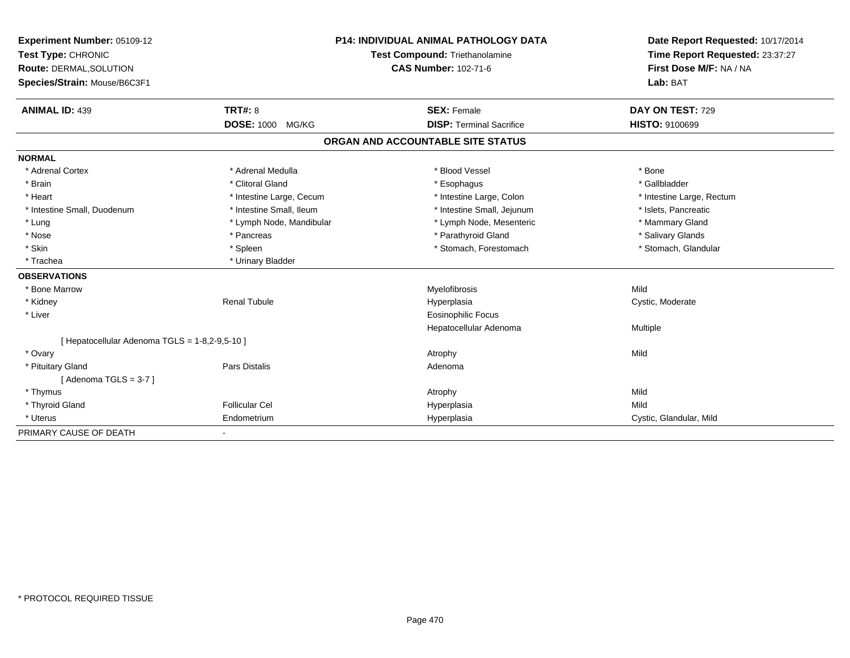| Experiment Number: 05109-12                    | <b>P14: INDIVIDUAL ANIMAL PATHOLOGY DATA</b> |                                       | Date Report Requested: 10/17/2014 |
|------------------------------------------------|----------------------------------------------|---------------------------------------|-----------------------------------|
| Test Type: CHRONIC                             |                                              | <b>Test Compound: Triethanolamine</b> | Time Report Requested: 23:37:27   |
| <b>Route: DERMAL, SOLUTION</b>                 |                                              | <b>CAS Number: 102-71-6</b>           | First Dose M/F: NA / NA           |
| Species/Strain: Mouse/B6C3F1                   |                                              |                                       | Lab: BAT                          |
| <b>ANIMAL ID: 439</b>                          | <b>TRT#: 8</b>                               | <b>SEX: Female</b>                    | DAY ON TEST: 729                  |
|                                                | DOSE: 1000 MG/KG                             | <b>DISP: Terminal Sacrifice</b>       | <b>HISTO: 9100699</b>             |
|                                                |                                              | ORGAN AND ACCOUNTABLE SITE STATUS     |                                   |
| <b>NORMAL</b>                                  |                                              |                                       |                                   |
| * Adrenal Cortex                               | * Adrenal Medulla                            | * Blood Vessel                        | * Bone                            |
| * Brain                                        | * Clitoral Gland                             | * Esophagus                           | * Gallbladder                     |
| * Heart                                        | * Intestine Large, Cecum                     | * Intestine Large, Colon              | * Intestine Large, Rectum         |
| * Intestine Small, Duodenum                    | * Intestine Small, Ileum                     | * Intestine Small, Jejunum            | * Islets, Pancreatic              |
| * Lung                                         | * Lymph Node, Mandibular                     | * Lymph Node, Mesenteric              | * Mammary Gland                   |
| * Nose                                         | * Pancreas                                   | * Parathyroid Gland                   | * Salivary Glands                 |
| * Skin                                         | * Spleen                                     | * Stomach, Forestomach                | * Stomach, Glandular              |
| * Trachea                                      | * Urinary Bladder                            |                                       |                                   |
| <b>OBSERVATIONS</b>                            |                                              |                                       |                                   |
| * Bone Marrow                                  |                                              | Myelofibrosis                         | Mild                              |
| * Kidney                                       | <b>Renal Tubule</b>                          | Hyperplasia                           | Cystic, Moderate                  |
| * Liver                                        |                                              | <b>Eosinophilic Focus</b>             |                                   |
|                                                |                                              | Hepatocellular Adenoma                | Multiple                          |
| [ Hepatocellular Adenoma TGLS = 1-8,2-9,5-10 ] |                                              |                                       |                                   |
| * Ovary                                        |                                              | Atrophy                               | Mild                              |
| * Pituitary Gland                              | <b>Pars Distalis</b>                         | Adenoma                               |                                   |
| [Adenoma TGLS = $3-7$ ]                        |                                              |                                       |                                   |
| * Thymus                                       |                                              | Atrophy                               | Mild                              |
| * Thyroid Gland                                | <b>Follicular Cel</b>                        | Hyperplasia                           | Mild                              |
| * Uterus                                       | Endometrium                                  | Hyperplasia                           | Cystic, Glandular, Mild           |
| PRIMARY CAUSE OF DEATH                         | ٠                                            |                                       |                                   |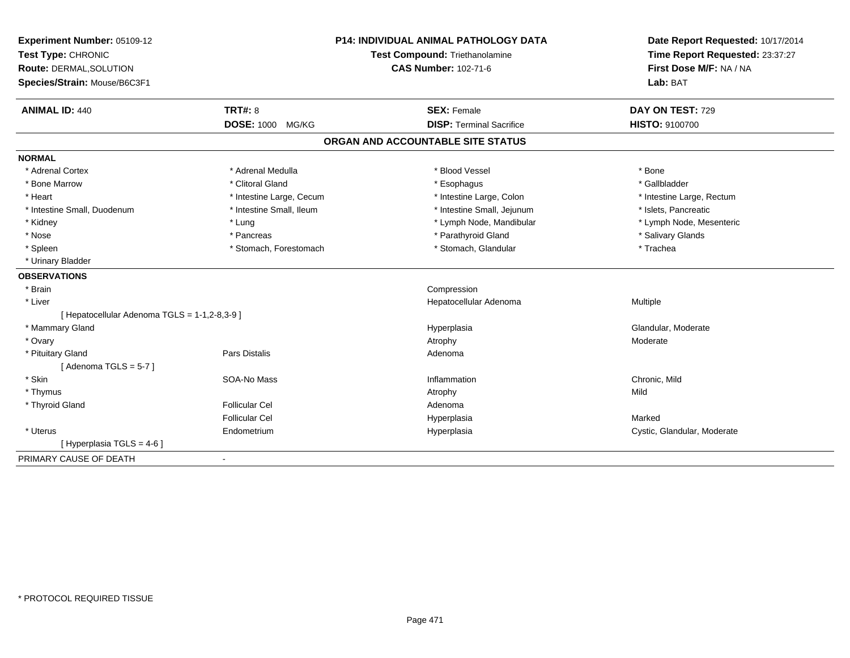| Experiment Number: 05109-12<br>Test Type: CHRONIC<br>Route: DERMAL, SOLUTION<br>Species/Strain: Mouse/B6C3F1 |                          | P14: INDIVIDUAL ANIMAL PATHOLOGY DATA<br>Test Compound: Triethanolamine<br><b>CAS Number: 102-71-6</b> | Date Report Requested: 10/17/2014<br>Time Report Requested: 23:37:27<br>First Dose M/F: NA / NA<br>Lab: BAT |
|--------------------------------------------------------------------------------------------------------------|--------------------------|--------------------------------------------------------------------------------------------------------|-------------------------------------------------------------------------------------------------------------|
| <b>ANIMAL ID: 440</b>                                                                                        | TRT#: 8                  | <b>SEX: Female</b>                                                                                     | DAY ON TEST: 729                                                                                            |
|                                                                                                              | DOSE: 1000 MG/KG         | <b>DISP: Terminal Sacrifice</b>                                                                        | <b>HISTO: 9100700</b>                                                                                       |
|                                                                                                              |                          | ORGAN AND ACCOUNTABLE SITE STATUS                                                                      |                                                                                                             |
| <b>NORMAL</b>                                                                                                |                          |                                                                                                        |                                                                                                             |
| * Adrenal Cortex                                                                                             | * Adrenal Medulla        | * Blood Vessel                                                                                         | * Bone                                                                                                      |
| * Bone Marrow                                                                                                | * Clitoral Gland         | * Esophagus                                                                                            | * Gallbladder                                                                                               |
| * Heart                                                                                                      | * Intestine Large, Cecum | * Intestine Large, Colon                                                                               | * Intestine Large, Rectum                                                                                   |
| * Intestine Small, Duodenum                                                                                  | * Intestine Small, Ileum | * Intestine Small, Jejunum                                                                             | * Islets, Pancreatic                                                                                        |
| * Kidney                                                                                                     | * Lung                   | * Lymph Node, Mandibular                                                                               | * Lymph Node, Mesenteric                                                                                    |
| * Nose                                                                                                       | * Pancreas               | * Parathyroid Gland                                                                                    | * Salivary Glands                                                                                           |
| * Spleen                                                                                                     | * Stomach, Forestomach   | * Stomach, Glandular                                                                                   | * Trachea                                                                                                   |
| * Urinary Bladder                                                                                            |                          |                                                                                                        |                                                                                                             |
| <b>OBSERVATIONS</b>                                                                                          |                          |                                                                                                        |                                                                                                             |
| * Brain                                                                                                      |                          | Compression                                                                                            |                                                                                                             |
| * Liver                                                                                                      |                          | Hepatocellular Adenoma                                                                                 | Multiple                                                                                                    |
| [ Hepatocellular Adenoma TGLS = 1-1,2-8,3-9 ]                                                                |                          |                                                                                                        |                                                                                                             |
| * Mammary Gland                                                                                              |                          | Hyperplasia                                                                                            | Glandular, Moderate                                                                                         |
| * Ovary                                                                                                      |                          | Atrophy                                                                                                | Moderate                                                                                                    |
| * Pituitary Gland                                                                                            | <b>Pars Distalis</b>     | Adenoma                                                                                                |                                                                                                             |
| [Adenoma TGLS = $5-7$ ]                                                                                      |                          |                                                                                                        |                                                                                                             |
| * Skin                                                                                                       | SOA-No Mass              | Inflammation                                                                                           | Chronic, Mild                                                                                               |
| * Thymus                                                                                                     |                          | Atrophy                                                                                                | Mild                                                                                                        |
| * Thyroid Gland                                                                                              | <b>Follicular Cel</b>    | Adenoma                                                                                                |                                                                                                             |
|                                                                                                              | <b>Follicular Cel</b>    | Hyperplasia                                                                                            | Marked                                                                                                      |
| * Uterus                                                                                                     | Endometrium              | Hyperplasia                                                                                            | Cystic, Glandular, Moderate                                                                                 |
| [ Hyperplasia TGLS = 4-6 ]                                                                                   |                          |                                                                                                        |                                                                                                             |
| PRIMARY CAUSE OF DEATH                                                                                       | $\blacksquare$           |                                                                                                        |                                                                                                             |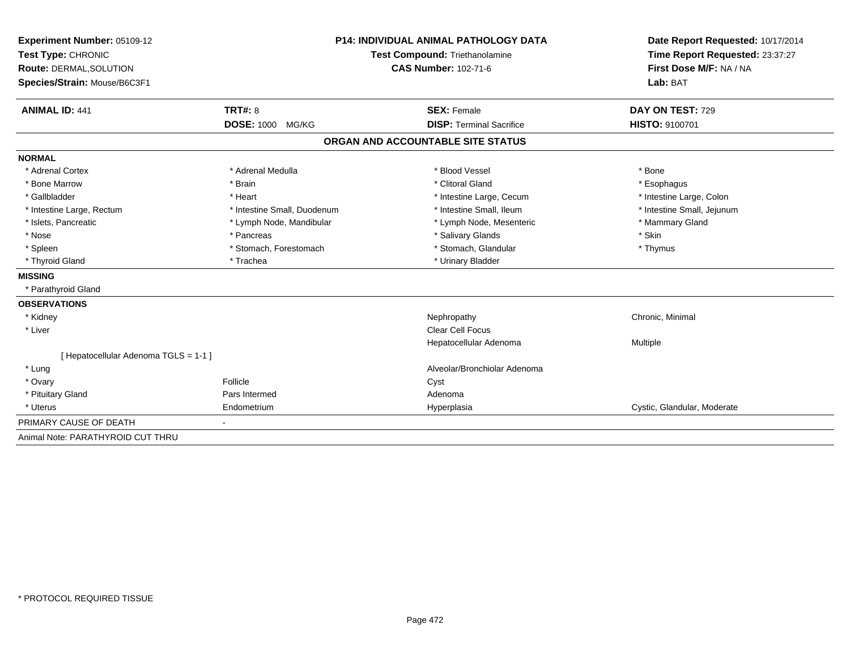| Experiment Number: 05109-12           | <b>P14: INDIVIDUAL ANIMAL PATHOLOGY DATA</b><br><b>Test Compound: Triethanolamine</b> |                                   | Date Report Requested: 10/17/2014 |  |
|---------------------------------------|---------------------------------------------------------------------------------------|-----------------------------------|-----------------------------------|--|
| Test Type: CHRONIC                    |                                                                                       |                                   | Time Report Requested: 23:37:27   |  |
| Route: DERMAL, SOLUTION               |                                                                                       | <b>CAS Number: 102-71-6</b>       | First Dose M/F: NA / NA           |  |
| Species/Strain: Mouse/B6C3F1          |                                                                                       |                                   | Lab: BAT                          |  |
|                                       |                                                                                       |                                   |                                   |  |
| <b>ANIMAL ID: 441</b>                 | TRT#: 8                                                                               | <b>SEX: Female</b>                | DAY ON TEST: 729                  |  |
|                                       | <b>DOSE: 1000 MG/KG</b>                                                               | <b>DISP: Terminal Sacrifice</b>   | <b>HISTO: 9100701</b>             |  |
|                                       |                                                                                       | ORGAN AND ACCOUNTABLE SITE STATUS |                                   |  |
| <b>NORMAL</b>                         |                                                                                       |                                   |                                   |  |
| * Adrenal Cortex                      | * Adrenal Medulla                                                                     | * Blood Vessel                    | * Bone                            |  |
| * Bone Marrow                         | * Brain                                                                               | * Clitoral Gland                  | * Esophagus                       |  |
| * Gallbladder                         | * Heart                                                                               | * Intestine Large, Cecum          | * Intestine Large, Colon          |  |
| * Intestine Large, Rectum             | * Intestine Small, Duodenum                                                           | * Intestine Small, Ileum          | * Intestine Small, Jejunum        |  |
| * Islets, Pancreatic                  | * Lymph Node, Mandibular                                                              | * Lymph Node, Mesenteric          | * Mammary Gland                   |  |
| * Nose                                | * Pancreas                                                                            | * Salivary Glands                 | * Skin                            |  |
| * Spleen                              | * Stomach, Forestomach                                                                | * Stomach, Glandular              | * Thymus                          |  |
| * Thyroid Gland                       | * Trachea                                                                             | * Urinary Bladder                 |                                   |  |
| <b>MISSING</b>                        |                                                                                       |                                   |                                   |  |
| * Parathyroid Gland                   |                                                                                       |                                   |                                   |  |
| <b>OBSERVATIONS</b>                   |                                                                                       |                                   |                                   |  |
| * Kidney                              |                                                                                       | Nephropathy                       | Chronic, Minimal                  |  |
| * Liver                               |                                                                                       | Clear Cell Focus                  |                                   |  |
|                                       |                                                                                       | Hepatocellular Adenoma            | Multiple                          |  |
| [ Hepatocellular Adenoma TGLS = 1-1 ] |                                                                                       |                                   |                                   |  |
| * Lung                                |                                                                                       | Alveolar/Bronchiolar Adenoma      |                                   |  |
| * Ovary                               | Follicle                                                                              | Cyst                              |                                   |  |
| * Pituitary Gland                     | Pars Intermed                                                                         | Adenoma                           |                                   |  |
| * Uterus                              | Endometrium                                                                           | Hyperplasia                       | Cystic, Glandular, Moderate       |  |
| PRIMARY CAUSE OF DEATH                | $\sim$                                                                                |                                   |                                   |  |
| Animal Note: PARATHYROID CUT THRU     |                                                                                       |                                   |                                   |  |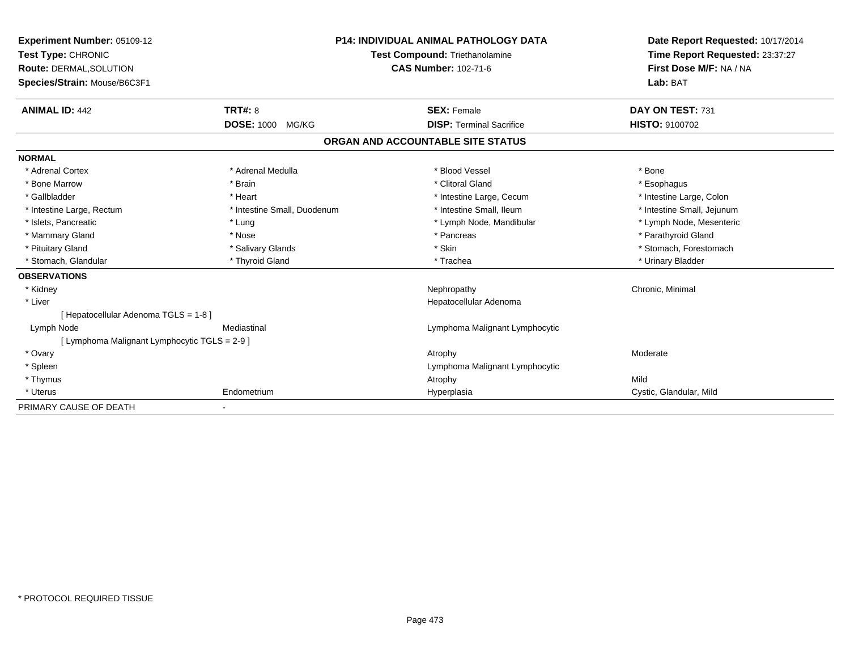| <b>Experiment Number: 05109-12</b><br>Test Type: CHRONIC |                             | <b>P14: INDIVIDUAL ANIMAL PATHOLOGY DATA</b><br>Test Compound: Triethanolamine | Date Report Requested: 10/17/2014<br>Time Report Requested: 23:37:27<br>First Dose M/F: NA / NA |
|----------------------------------------------------------|-----------------------------|--------------------------------------------------------------------------------|-------------------------------------------------------------------------------------------------|
| <b>Route: DERMAL, SOLUTION</b>                           | <b>CAS Number: 102-71-6</b> |                                                                                |                                                                                                 |
| Species/Strain: Mouse/B6C3F1                             |                             |                                                                                | Lab: BAT                                                                                        |
| <b>ANIMAL ID: 442</b>                                    | TRT#: 8                     | <b>SEX: Female</b>                                                             | DAY ON TEST: 731                                                                                |
|                                                          | <b>DOSE: 1000</b><br>MG/KG  | <b>DISP: Terminal Sacrifice</b>                                                | <b>HISTO: 9100702</b>                                                                           |
|                                                          |                             | ORGAN AND ACCOUNTABLE SITE STATUS                                              |                                                                                                 |
| <b>NORMAL</b>                                            |                             |                                                                                |                                                                                                 |
| * Adrenal Cortex                                         | * Adrenal Medulla           | * Blood Vessel                                                                 | * Bone                                                                                          |
| * Bone Marrow                                            | * Brain                     | * Clitoral Gland                                                               | * Esophagus                                                                                     |
| * Gallbladder                                            | * Heart                     | * Intestine Large, Cecum                                                       | * Intestine Large, Colon                                                                        |
| * Intestine Large, Rectum                                | * Intestine Small, Duodenum | * Intestine Small, Ileum                                                       | * Intestine Small, Jejunum                                                                      |
| * Islets, Pancreatic                                     | * Lung                      | * Lymph Node, Mandibular                                                       | * Lymph Node, Mesenteric                                                                        |
| * Mammary Gland                                          | * Nose                      | * Pancreas                                                                     | * Parathyroid Gland                                                                             |
| * Pituitary Gland                                        | * Salivary Glands           | * Skin                                                                         | * Stomach, Forestomach                                                                          |
| * Stomach, Glandular                                     | * Thyroid Gland             | * Trachea                                                                      | * Urinary Bladder                                                                               |
| <b>OBSERVATIONS</b>                                      |                             |                                                                                |                                                                                                 |
| * Kidney                                                 |                             | Nephropathy                                                                    | Chronic, Minimal                                                                                |
| * Liver                                                  |                             | Hepatocellular Adenoma                                                         |                                                                                                 |
| [Hepatocellular Adenoma TGLS = 1-8]                      |                             |                                                                                |                                                                                                 |
| Lymph Node                                               | Mediastinal                 | Lymphoma Malignant Lymphocytic                                                 |                                                                                                 |
| [ Lymphoma Malignant Lymphocytic TGLS = 2-9 ]            |                             |                                                                                |                                                                                                 |
| * Ovary                                                  |                             | Atrophy                                                                        | Moderate                                                                                        |
| * Spleen                                                 |                             | Lymphoma Malignant Lymphocytic                                                 |                                                                                                 |
| * Thymus                                                 |                             | Atrophy                                                                        | Mild                                                                                            |
| * Uterus                                                 | Endometrium                 | Hyperplasia                                                                    | Cystic, Glandular, Mild                                                                         |
| PRIMARY CAUSE OF DEATH                                   |                             |                                                                                |                                                                                                 |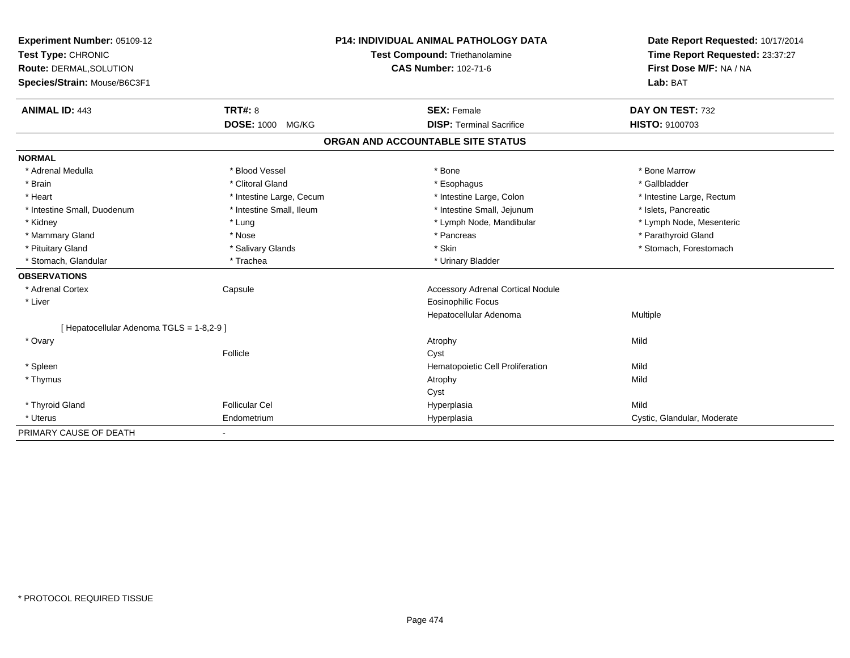| Experiment Number: 05109-12<br>Test Type: CHRONIC<br><b>Route: DERMAL, SOLUTION</b> |                          | <b>P14: INDIVIDUAL ANIMAL PATHOLOGY DATA</b> | Date Report Requested: 10/17/2014<br>Time Report Requested: 23:37:27 |
|-------------------------------------------------------------------------------------|--------------------------|----------------------------------------------|----------------------------------------------------------------------|
|                                                                                     |                          | Test Compound: Triethanolamine               |                                                                      |
|                                                                                     |                          | <b>CAS Number: 102-71-6</b>                  | First Dose M/F: NA / NA                                              |
| Species/Strain: Mouse/B6C3F1                                                        |                          |                                              | Lab: BAT                                                             |
| <b>ANIMAL ID: 443</b>                                                               | <b>TRT#: 8</b>           | <b>SEX: Female</b>                           | DAY ON TEST: 732                                                     |
|                                                                                     | DOSE: 1000 MG/KG         | <b>DISP: Terminal Sacrifice</b>              | HISTO: 9100703                                                       |
|                                                                                     |                          | ORGAN AND ACCOUNTABLE SITE STATUS            |                                                                      |
| <b>NORMAL</b>                                                                       |                          |                                              |                                                                      |
| * Adrenal Medulla                                                                   | * Blood Vessel           | * Bone                                       | * Bone Marrow                                                        |
| * Brain                                                                             | * Clitoral Gland         | * Esophagus                                  | * Gallbladder                                                        |
| * Heart                                                                             | * Intestine Large, Cecum | * Intestine Large, Colon                     | * Intestine Large, Rectum                                            |
| * Intestine Small, Duodenum                                                         | * Intestine Small, Ileum | * Intestine Small, Jejunum                   | * Islets, Pancreatic                                                 |
| * Kidney                                                                            | * Lung                   | * Lymph Node, Mandibular                     | * Lymph Node, Mesenteric                                             |
| * Mammary Gland                                                                     | * Nose                   | * Pancreas                                   | * Parathyroid Gland                                                  |
| * Pituitary Gland                                                                   | * Salivary Glands        | * Skin                                       | * Stomach, Forestomach                                               |
| * Stomach, Glandular                                                                | * Trachea                | * Urinary Bladder                            |                                                                      |
| <b>OBSERVATIONS</b>                                                                 |                          |                                              |                                                                      |
| * Adrenal Cortex                                                                    | Capsule                  | <b>Accessory Adrenal Cortical Nodule</b>     |                                                                      |
| * Liver                                                                             |                          | Eosinophilic Focus                           |                                                                      |
|                                                                                     |                          | Hepatocellular Adenoma                       | Multiple                                                             |
| [ Hepatocellular Adenoma TGLS = 1-8,2-9 ]                                           |                          |                                              |                                                                      |
| * Ovary                                                                             |                          | Atrophy                                      | Mild                                                                 |
|                                                                                     | Follicle                 | Cyst                                         |                                                                      |
| * Spleen                                                                            |                          | Hematopoietic Cell Proliferation             | Mild                                                                 |
| * Thymus                                                                            |                          | Atrophy                                      | Mild                                                                 |
|                                                                                     |                          | Cyst                                         |                                                                      |
| * Thyroid Gland                                                                     | <b>Follicular Cel</b>    | Hyperplasia                                  | Mild                                                                 |
| * Uterus                                                                            | Endometrium              | Hyperplasia                                  | Cystic, Glandular, Moderate                                          |
| PRIMARY CAUSE OF DEATH                                                              | $\sim$                   |                                              |                                                                      |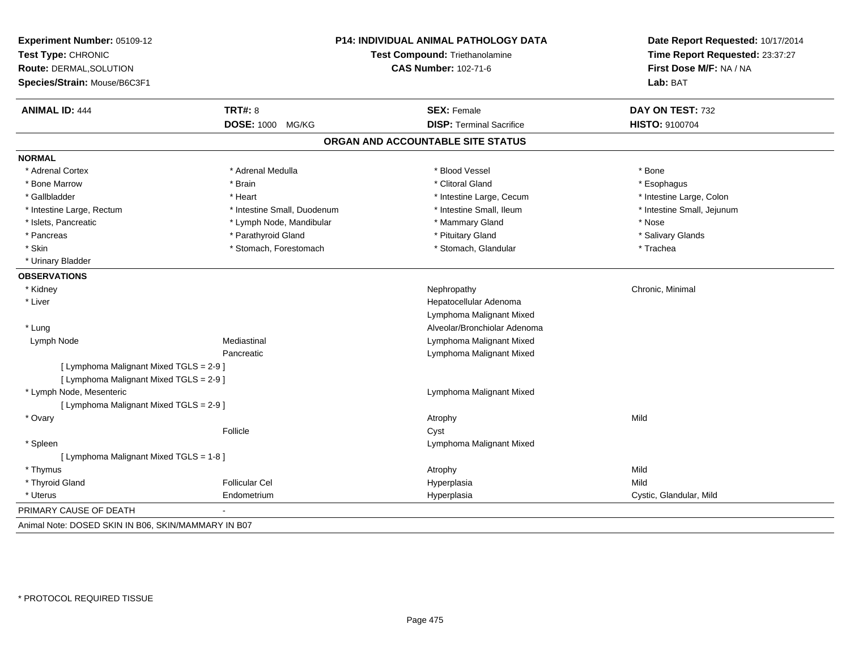| <b>ANIMAL ID: 444</b><br><b>NORMAL</b><br>* Adrenal Cortex<br>* Bone Marrow<br>* Gallbladder<br>* Intestine Large, Rectum | <b>TRT#: 8</b><br>DOSE: 1000 MG/KG | <b>SEX: Female</b><br><b>DISP: Terminal Sacrifice</b><br>ORGAN AND ACCOUNTABLE SITE STATUS | DAY ON TEST: 732<br><b>HISTO: 9100704</b> |
|---------------------------------------------------------------------------------------------------------------------------|------------------------------------|--------------------------------------------------------------------------------------------|-------------------------------------------|
|                                                                                                                           |                                    |                                                                                            |                                           |
|                                                                                                                           |                                    |                                                                                            |                                           |
|                                                                                                                           |                                    |                                                                                            |                                           |
|                                                                                                                           |                                    |                                                                                            |                                           |
|                                                                                                                           | * Adrenal Medulla                  | * Blood Vessel                                                                             | * Bone                                    |
|                                                                                                                           | * Brain                            | * Clitoral Gland                                                                           | * Esophagus                               |
|                                                                                                                           | * Heart                            | * Intestine Large, Cecum                                                                   | * Intestine Large, Colon                  |
|                                                                                                                           | * Intestine Small, Duodenum        | * Intestine Small, Ileum                                                                   | * Intestine Small, Jejunum                |
| * Islets, Pancreatic                                                                                                      | * Lymph Node, Mandibular           | * Mammary Gland                                                                            | * Nose                                    |
| * Pancreas                                                                                                                | * Parathyroid Gland                | * Pituitary Gland                                                                          | * Salivary Glands                         |
| * Skin                                                                                                                    | * Stomach, Forestomach             | * Stomach, Glandular                                                                       | * Trachea                                 |
| * Urinary Bladder                                                                                                         |                                    |                                                                                            |                                           |
| <b>OBSERVATIONS</b>                                                                                                       |                                    |                                                                                            |                                           |
| * Kidney                                                                                                                  |                                    | Nephropathy                                                                                | Chronic, Minimal                          |
| * Liver                                                                                                                   |                                    | Hepatocellular Adenoma                                                                     |                                           |
|                                                                                                                           |                                    | Lymphoma Malignant Mixed                                                                   |                                           |
| * Lung                                                                                                                    |                                    | Alveolar/Bronchiolar Adenoma                                                               |                                           |
| Lymph Node                                                                                                                | Mediastinal                        | Lymphoma Malignant Mixed                                                                   |                                           |
|                                                                                                                           | Pancreatic                         | Lymphoma Malignant Mixed                                                                   |                                           |
| [ Lymphoma Malignant Mixed TGLS = 2-9 ]                                                                                   |                                    |                                                                                            |                                           |
| [ Lymphoma Malignant Mixed TGLS = 2-9 ]                                                                                   |                                    |                                                                                            |                                           |
| * Lymph Node, Mesenteric                                                                                                  |                                    | Lymphoma Malignant Mixed                                                                   |                                           |
| [ Lymphoma Malignant Mixed TGLS = 2-9 ]                                                                                   |                                    |                                                                                            |                                           |
| * Ovary                                                                                                                   |                                    | Atrophy                                                                                    | Mild                                      |
|                                                                                                                           | Follicle                           | Cyst                                                                                       |                                           |
| * Spleen                                                                                                                  |                                    | Lymphoma Malignant Mixed                                                                   |                                           |
| [ Lymphoma Malignant Mixed TGLS = 1-8 ]                                                                                   |                                    |                                                                                            |                                           |
| * Thymus                                                                                                                  |                                    | Atrophy                                                                                    | Mild                                      |
| * Thyroid Gland                                                                                                           | <b>Follicular Cel</b>              | Hyperplasia                                                                                | Mild                                      |
| * Uterus                                                                                                                  | Endometrium                        | Hyperplasia                                                                                | Cystic, Glandular, Mild                   |
| PRIMARY CAUSE OF DEATH                                                                                                    |                                    |                                                                                            |                                           |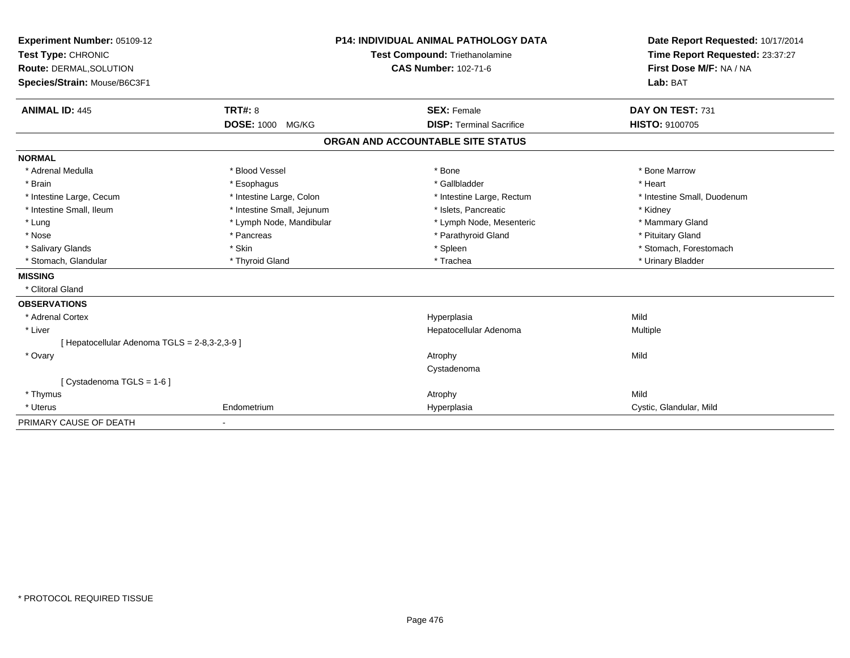| Experiment Number: 05109-12<br>Test Type: CHRONIC<br>Route: DERMAL, SOLUTION |                            | <b>P14: INDIVIDUAL ANIMAL PATHOLOGY DATA</b><br>Test Compound: Triethanolamine | Date Report Requested: 10/17/2014<br>Time Report Requested: 23:37:27<br>First Dose M/F: NA / NA |
|------------------------------------------------------------------------------|----------------------------|--------------------------------------------------------------------------------|-------------------------------------------------------------------------------------------------|
|                                                                              |                            | <b>CAS Number: 102-71-6</b>                                                    |                                                                                                 |
| Species/Strain: Mouse/B6C3F1                                                 |                            |                                                                                | Lab: BAT                                                                                        |
|                                                                              |                            |                                                                                |                                                                                                 |
| <b>ANIMAL ID: 445</b>                                                        | <b>TRT#: 8</b>             | <b>SEX: Female</b>                                                             | DAY ON TEST: 731                                                                                |
|                                                                              | DOSE: 1000 MG/KG           | <b>DISP: Terminal Sacrifice</b>                                                | <b>HISTO: 9100705</b>                                                                           |
|                                                                              |                            | ORGAN AND ACCOUNTABLE SITE STATUS                                              |                                                                                                 |
| <b>NORMAL</b>                                                                |                            |                                                                                |                                                                                                 |
| * Adrenal Medulla                                                            | * Blood Vessel             | * Bone                                                                         | * Bone Marrow                                                                                   |
| * Brain                                                                      | * Esophagus                | * Gallbladder                                                                  | * Heart                                                                                         |
| * Intestine Large, Cecum                                                     | * Intestine Large, Colon   | * Intestine Large, Rectum                                                      | * Intestine Small, Duodenum                                                                     |
| * Intestine Small, Ileum                                                     | * Intestine Small, Jejunum | * Islets, Pancreatic                                                           | * Kidney                                                                                        |
| * Lung                                                                       | * Lymph Node, Mandibular   | * Lymph Node, Mesenteric                                                       | * Mammary Gland                                                                                 |
| * Nose                                                                       | * Pancreas                 | * Parathyroid Gland                                                            | * Pituitary Gland                                                                               |
| * Salivary Glands                                                            | * Skin                     | * Spleen                                                                       | * Stomach, Forestomach                                                                          |
| * Stomach, Glandular                                                         | * Thyroid Gland            | * Trachea                                                                      | * Urinary Bladder                                                                               |
| <b>MISSING</b>                                                               |                            |                                                                                |                                                                                                 |
| * Clitoral Gland                                                             |                            |                                                                                |                                                                                                 |
| <b>OBSERVATIONS</b>                                                          |                            |                                                                                |                                                                                                 |
| * Adrenal Cortex                                                             |                            | Hyperplasia                                                                    | Mild                                                                                            |
| * Liver                                                                      |                            | Hepatocellular Adenoma                                                         | <b>Multiple</b>                                                                                 |
| [ Hepatocellular Adenoma TGLS = 2-8,3-2,3-9 ]                                |                            |                                                                                |                                                                                                 |
| * Ovary                                                                      |                            | Atrophy                                                                        | Mild                                                                                            |
|                                                                              |                            | Cystadenoma                                                                    |                                                                                                 |
| [ Cystadenoma TGLS = 1-6 ]                                                   |                            |                                                                                |                                                                                                 |
| * Thymus                                                                     |                            | Atrophy                                                                        | Mild                                                                                            |
| * Uterus                                                                     | Endometrium                | Hyperplasia                                                                    | Cystic, Glandular, Mild                                                                         |
| PRIMARY CAUSE OF DEATH                                                       | $\blacksquare$             |                                                                                |                                                                                                 |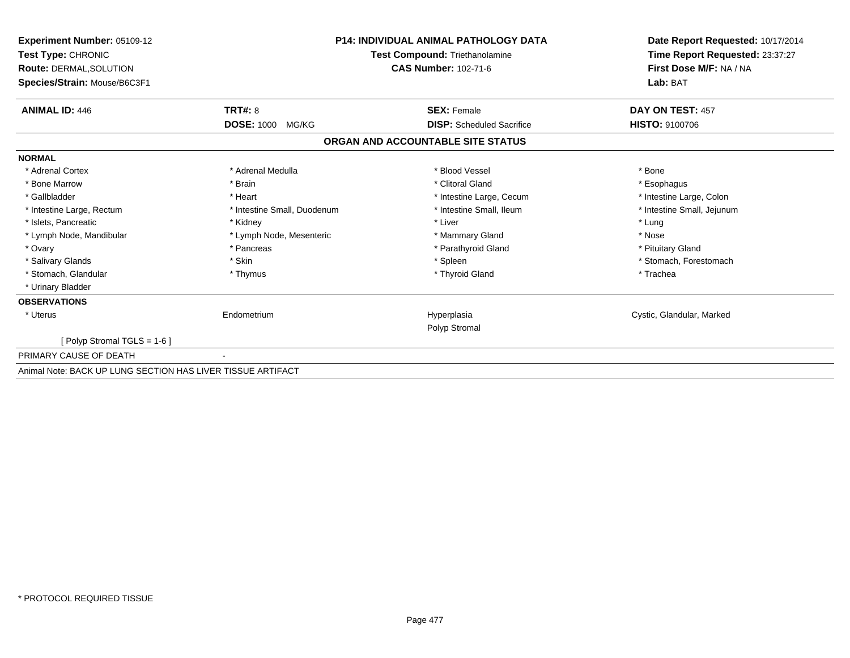| Experiment Number: 05109-12<br>Test Type: CHRONIC<br>Route: DERMAL, SOLUTION<br>Species/Strain: Mouse/B6C3F1 | <b>P14: INDIVIDUAL ANIMAL PATHOLOGY DATA</b><br>Test Compound: Triethanolamine<br><b>CAS Number: 102-71-6</b> |                                   | Date Report Requested: 10/17/2014<br>Time Report Requested: 23:37:27<br>First Dose M/F: NA / NA<br>Lab: BAT |
|--------------------------------------------------------------------------------------------------------------|---------------------------------------------------------------------------------------------------------------|-----------------------------------|-------------------------------------------------------------------------------------------------------------|
| <b>ANIMAL ID: 446</b>                                                                                        | TRT#: 8                                                                                                       | <b>SEX: Female</b>                | DAY ON TEST: 457                                                                                            |
|                                                                                                              | <b>DOSE: 1000</b><br>MG/KG                                                                                    | <b>DISP:</b> Scheduled Sacrifice  | <b>HISTO: 9100706</b>                                                                                       |
|                                                                                                              |                                                                                                               | ORGAN AND ACCOUNTABLE SITE STATUS |                                                                                                             |
| <b>NORMAL</b>                                                                                                |                                                                                                               |                                   |                                                                                                             |
| * Adrenal Cortex                                                                                             | * Adrenal Medulla                                                                                             | * Blood Vessel                    | * Bone                                                                                                      |
| * Bone Marrow                                                                                                | * Brain                                                                                                       | * Clitoral Gland                  | * Esophagus                                                                                                 |
| * Gallbladder                                                                                                | * Heart                                                                                                       | * Intestine Large, Cecum          | * Intestine Large, Colon                                                                                    |
| * Intestine Large, Rectum                                                                                    | * Intestine Small, Duodenum                                                                                   | * Intestine Small, Ileum          | * Intestine Small, Jejunum                                                                                  |
| * Islets, Pancreatic                                                                                         | * Kidney                                                                                                      | * Liver                           | * Lung                                                                                                      |
| * Lymph Node, Mandibular                                                                                     | * Lymph Node, Mesenteric                                                                                      | * Mammary Gland                   | * Nose                                                                                                      |
| * Ovary                                                                                                      | * Pancreas                                                                                                    | * Parathyroid Gland               | * Pituitary Gland                                                                                           |
| * Salivary Glands                                                                                            | * Skin                                                                                                        | * Spleen                          | * Stomach, Forestomach                                                                                      |
| * Stomach, Glandular                                                                                         | * Thymus                                                                                                      | * Thyroid Gland                   | * Trachea                                                                                                   |
| * Urinary Bladder                                                                                            |                                                                                                               |                                   |                                                                                                             |
| <b>OBSERVATIONS</b>                                                                                          |                                                                                                               |                                   |                                                                                                             |
| * Uterus                                                                                                     | Endometrium                                                                                                   | Hyperplasia<br>Polyp Stromal      | Cystic, Glandular, Marked                                                                                   |
| [ Polyp Stromal TGLS = $1-6$ ]                                                                               |                                                                                                               |                                   |                                                                                                             |
| PRIMARY CAUSE OF DEATH                                                                                       |                                                                                                               |                                   |                                                                                                             |
| Animal Note: BACK UP LUNG SECTION HAS LIVER TISSUE ARTIFACT                                                  |                                                                                                               |                                   |                                                                                                             |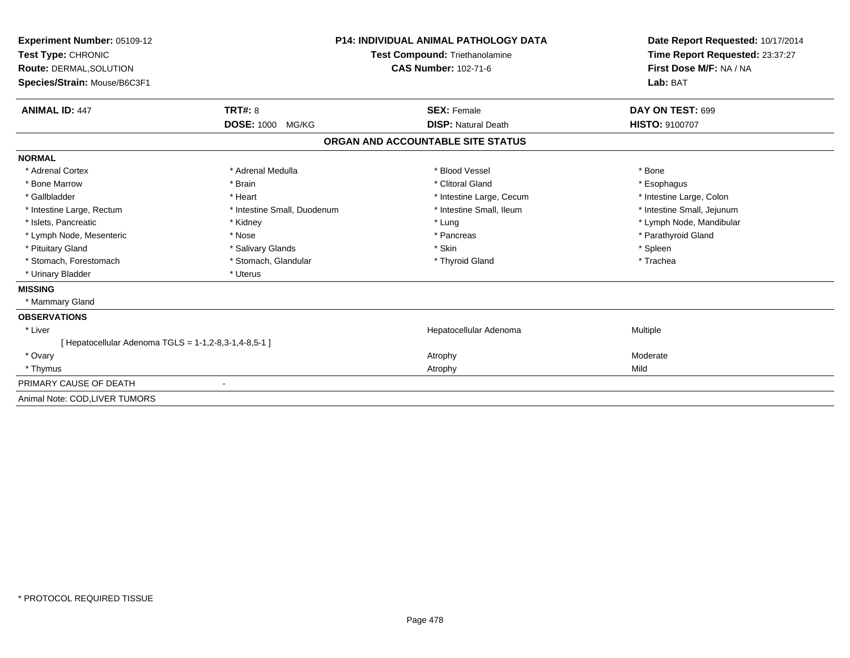| Experiment Number: 05109-12<br>Test Type: CHRONIC<br>Route: DERMAL, SOLUTION |                             | <b>P14: INDIVIDUAL ANIMAL PATHOLOGY DATA</b><br>Test Compound: Triethanolamine<br><b>CAS Number: 102-71-6</b> | Date Report Requested: 10/17/2014<br>Time Report Requested: 23:37:27<br>First Dose M/F: NA / NA |  |
|------------------------------------------------------------------------------|-----------------------------|---------------------------------------------------------------------------------------------------------------|-------------------------------------------------------------------------------------------------|--|
| Species/Strain: Mouse/B6C3F1                                                 |                             |                                                                                                               | Lab: BAT                                                                                        |  |
| <b>ANIMAL ID: 447</b>                                                        | TRT#: 8                     | <b>SEX: Female</b>                                                                                            | DAY ON TEST: 699                                                                                |  |
|                                                                              | <b>DOSE: 1000</b><br>MG/KG  | <b>DISP: Natural Death</b>                                                                                    | <b>HISTO: 9100707</b>                                                                           |  |
|                                                                              |                             | ORGAN AND ACCOUNTABLE SITE STATUS                                                                             |                                                                                                 |  |
| <b>NORMAL</b>                                                                |                             |                                                                                                               |                                                                                                 |  |
| * Adrenal Cortex                                                             | * Adrenal Medulla           | * Blood Vessel                                                                                                | * Bone                                                                                          |  |
| * Bone Marrow                                                                | * Brain                     | * Clitoral Gland                                                                                              | * Esophagus                                                                                     |  |
| * Gallbladder                                                                | * Heart                     | * Intestine Large, Cecum                                                                                      | * Intestine Large, Colon                                                                        |  |
| * Intestine Large, Rectum                                                    | * Intestine Small, Duodenum | * Intestine Small, Ileum                                                                                      | * Intestine Small, Jejunum                                                                      |  |
| * Islets, Pancreatic                                                         | * Kidney                    | * Lung                                                                                                        | * Lymph Node, Mandibular                                                                        |  |
| * Lymph Node, Mesenteric                                                     | * Nose                      | * Pancreas                                                                                                    | * Parathyroid Gland                                                                             |  |
| * Pituitary Gland                                                            | * Salivary Glands           | * Skin                                                                                                        | * Spleen                                                                                        |  |
| * Stomach, Forestomach                                                       | * Stomach, Glandular        | * Thyroid Gland                                                                                               | * Trachea                                                                                       |  |
| * Urinary Bladder                                                            | * Uterus                    |                                                                                                               |                                                                                                 |  |
| <b>MISSING</b>                                                               |                             |                                                                                                               |                                                                                                 |  |
| * Mammary Gland                                                              |                             |                                                                                                               |                                                                                                 |  |
| <b>OBSERVATIONS</b>                                                          |                             |                                                                                                               |                                                                                                 |  |
| * Liver                                                                      |                             | Hepatocellular Adenoma                                                                                        | Multiple                                                                                        |  |
| [ Hepatocellular Adenoma TGLS = 1-1,2-8,3-1,4-8,5-1 ]                        |                             |                                                                                                               |                                                                                                 |  |
| * Ovary                                                                      |                             | Atrophy                                                                                                       | Moderate                                                                                        |  |
| * Thymus                                                                     |                             | Atrophy                                                                                                       | Mild                                                                                            |  |
| PRIMARY CAUSE OF DEATH                                                       |                             |                                                                                                               |                                                                                                 |  |
| Animal Note: COD, LIVER TUMORS                                               |                             |                                                                                                               |                                                                                                 |  |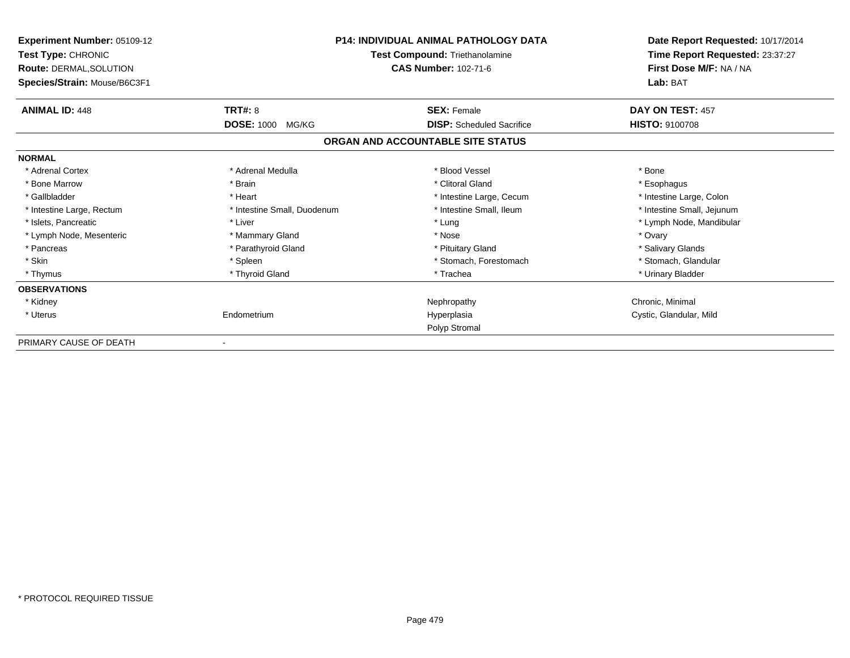| Experiment Number: 05109-12<br>Test Type: CHRONIC<br><b>Route: DERMAL, SOLUTION</b><br>Species/Strain: Mouse/B6C3F1 | <b>P14: INDIVIDUAL ANIMAL PATHOLOGY DATA</b><br>Test Compound: Triethanolamine<br><b>CAS Number: 102-71-6</b> |                                   | Date Report Requested: 10/17/2014<br>Time Report Requested: 23:37:27<br>First Dose M/F: NA / NA<br>Lab: BAT |
|---------------------------------------------------------------------------------------------------------------------|---------------------------------------------------------------------------------------------------------------|-----------------------------------|-------------------------------------------------------------------------------------------------------------|
| <b>ANIMAL ID: 448</b>                                                                                               | <b>TRT#: 8</b>                                                                                                | <b>SEX: Female</b>                | DAY ON TEST: 457                                                                                            |
|                                                                                                                     | <b>DOSE: 1000</b><br>MG/KG                                                                                    | <b>DISP:</b> Scheduled Sacrifice  | <b>HISTO: 9100708</b>                                                                                       |
|                                                                                                                     |                                                                                                               | ORGAN AND ACCOUNTABLE SITE STATUS |                                                                                                             |
| <b>NORMAL</b>                                                                                                       |                                                                                                               |                                   |                                                                                                             |
| * Adrenal Cortex                                                                                                    | * Adrenal Medulla                                                                                             | * Blood Vessel                    | * Bone                                                                                                      |
| * Bone Marrow                                                                                                       | * Brain                                                                                                       | * Clitoral Gland                  | * Esophagus                                                                                                 |
| * Gallbladder                                                                                                       | * Heart                                                                                                       | * Intestine Large, Cecum          | * Intestine Large, Colon                                                                                    |
| * Intestine Large, Rectum                                                                                           | * Intestine Small, Duodenum                                                                                   | * Intestine Small, Ileum          | * Intestine Small, Jejunum                                                                                  |
| * Islets, Pancreatic                                                                                                | * Liver                                                                                                       | * Lung                            | * Lymph Node, Mandibular                                                                                    |
| * Lymph Node, Mesenteric                                                                                            | * Mammary Gland                                                                                               | * Nose                            | * Ovary                                                                                                     |
| * Pancreas                                                                                                          | * Parathyroid Gland                                                                                           | * Pituitary Gland                 | * Salivary Glands                                                                                           |
| * Skin                                                                                                              | * Spleen                                                                                                      | * Stomach, Forestomach            | * Stomach, Glandular                                                                                        |
| * Thymus                                                                                                            | * Thyroid Gland                                                                                               | * Trachea                         | * Urinary Bladder                                                                                           |
| <b>OBSERVATIONS</b>                                                                                                 |                                                                                                               |                                   |                                                                                                             |
| * Kidney                                                                                                            |                                                                                                               | Nephropathy                       | Chronic, Minimal                                                                                            |
| * Uterus                                                                                                            | Endometrium                                                                                                   | Hyperplasia                       | Cystic, Glandular, Mild                                                                                     |
|                                                                                                                     |                                                                                                               | Polyp Stromal                     |                                                                                                             |
| PRIMARY CAUSE OF DEATH                                                                                              |                                                                                                               |                                   |                                                                                                             |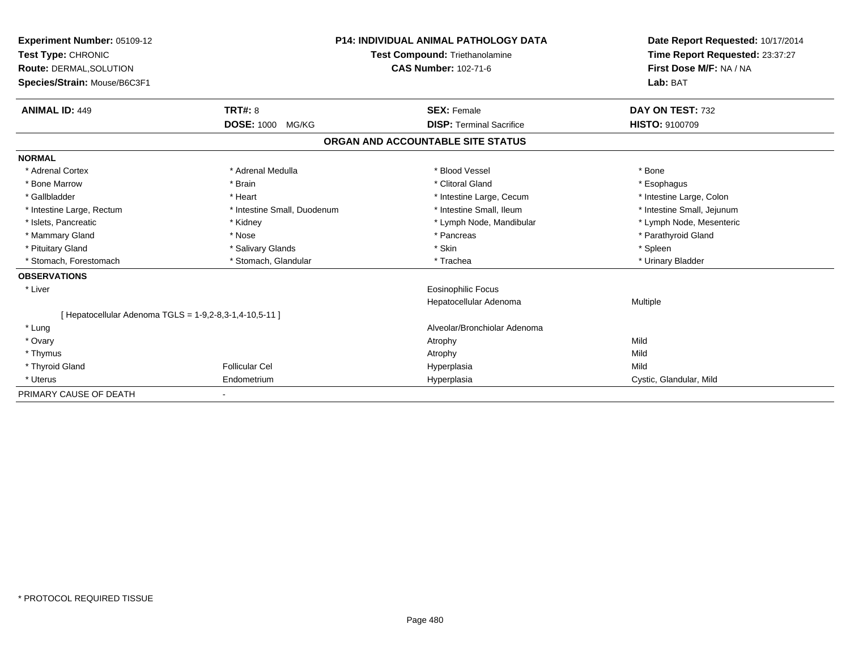| Experiment Number: 05109-12<br>Test Type: CHRONIC<br>Route: DERMAL, SOLUTION<br>Species/Strain: Mouse/B6C3F1 |                             | <b>P14: INDIVIDUAL ANIMAL PATHOLOGY DATA</b><br><b>Test Compound: Triethanolamine</b><br><b>CAS Number: 102-71-6</b> | Date Report Requested: 10/17/2014<br>Time Report Requested: 23:37:27<br>First Dose M/F: NA / NA<br>Lab: BAT |
|--------------------------------------------------------------------------------------------------------------|-----------------------------|----------------------------------------------------------------------------------------------------------------------|-------------------------------------------------------------------------------------------------------------|
| <b>ANIMAL ID: 449</b>                                                                                        | TRT#: 8                     | <b>SEX: Female</b>                                                                                                   | DAY ON TEST: 732                                                                                            |
|                                                                                                              | <b>DOSE: 1000</b><br>MG/KG  | <b>DISP: Terminal Sacrifice</b>                                                                                      | <b>HISTO: 9100709</b>                                                                                       |
|                                                                                                              |                             | ORGAN AND ACCOUNTABLE SITE STATUS                                                                                    |                                                                                                             |
| <b>NORMAL</b>                                                                                                |                             |                                                                                                                      |                                                                                                             |
| * Adrenal Cortex                                                                                             | * Adrenal Medulla           | * Blood Vessel                                                                                                       | * Bone                                                                                                      |
| * Bone Marrow                                                                                                | * Brain                     | * Clitoral Gland                                                                                                     | * Esophagus                                                                                                 |
| * Gallbladder                                                                                                | * Heart                     | * Intestine Large, Cecum                                                                                             | * Intestine Large, Colon                                                                                    |
| * Intestine Large, Rectum                                                                                    | * Intestine Small, Duodenum | * Intestine Small, Ileum                                                                                             | * Intestine Small, Jejunum                                                                                  |
| * Islets, Pancreatic                                                                                         | * Kidney                    | * Lymph Node, Mandibular                                                                                             | * Lymph Node, Mesenteric                                                                                    |
| * Mammary Gland                                                                                              | * Nose                      | * Pancreas                                                                                                           | * Parathyroid Gland                                                                                         |
| * Pituitary Gland                                                                                            | * Salivary Glands           | * Skin                                                                                                               | * Spleen                                                                                                    |
| * Stomach, Forestomach                                                                                       | * Stomach, Glandular        | * Trachea                                                                                                            | * Urinary Bladder                                                                                           |
| <b>OBSERVATIONS</b>                                                                                          |                             |                                                                                                                      |                                                                                                             |
| * Liver                                                                                                      |                             | <b>Eosinophilic Focus</b>                                                                                            |                                                                                                             |
|                                                                                                              |                             | Hepatocellular Adenoma                                                                                               | Multiple                                                                                                    |
| [ Hepatocellular Adenoma TGLS = 1-9,2-8,3-1,4-10,5-11 ]                                                      |                             |                                                                                                                      |                                                                                                             |
| * Lung                                                                                                       |                             | Alveolar/Bronchiolar Adenoma                                                                                         |                                                                                                             |
| * Ovary                                                                                                      |                             | Atrophy                                                                                                              | Mild                                                                                                        |
| * Thymus                                                                                                     |                             | Atrophy                                                                                                              | Mild                                                                                                        |
| * Thyroid Gland                                                                                              | Follicular Cel              | Hyperplasia                                                                                                          | Mild                                                                                                        |
| * Uterus                                                                                                     | Endometrium                 | Hyperplasia                                                                                                          | Cystic, Glandular, Mild                                                                                     |
| PRIMARY CAUSE OF DEATH                                                                                       |                             |                                                                                                                      |                                                                                                             |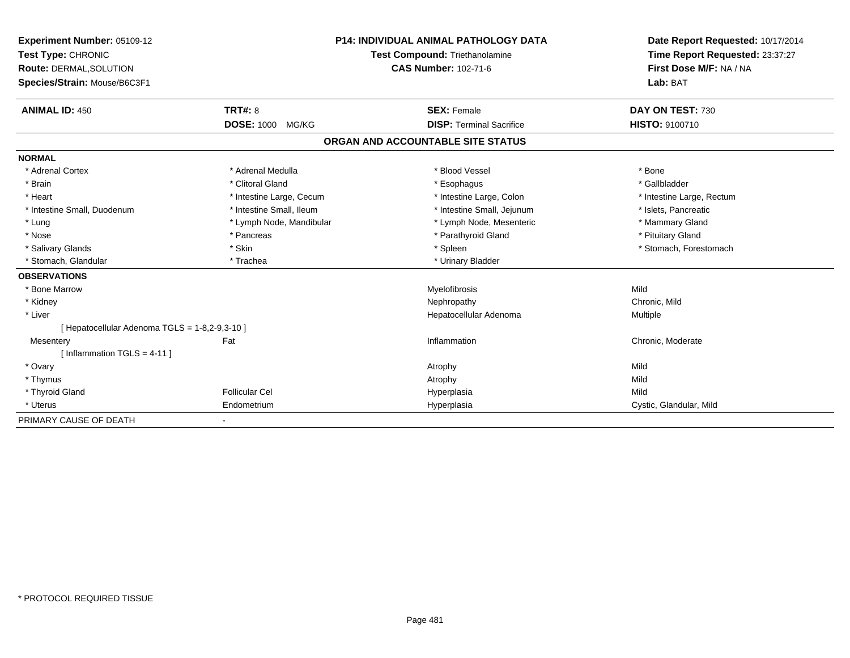| Experiment Number: 05109-12<br>Test Type: CHRONIC<br><b>Route: DERMAL, SOLUTION</b><br>Species/Strain: Mouse/B6C3F1 |                          | <b>P14: INDIVIDUAL ANIMAL PATHOLOGY DATA</b><br><b>Test Compound: Triethanolamine</b><br>CAS Number: 102-71-6 | Date Report Requested: 10/17/2014<br>Time Report Requested: 23:37:27<br>First Dose M/F: NA / NA<br>Lab: BAT |
|---------------------------------------------------------------------------------------------------------------------|--------------------------|---------------------------------------------------------------------------------------------------------------|-------------------------------------------------------------------------------------------------------------|
| <b>ANIMAL ID: 450</b>                                                                                               | <b>TRT#: 8</b>           | <b>SEX: Female</b>                                                                                            | DAY ON TEST: 730                                                                                            |
|                                                                                                                     | <b>DOSE: 1000 MG/KG</b>  | <b>DISP: Terminal Sacrifice</b>                                                                               | <b>HISTO: 9100710</b>                                                                                       |
|                                                                                                                     |                          | ORGAN AND ACCOUNTABLE SITE STATUS                                                                             |                                                                                                             |
| <b>NORMAL</b>                                                                                                       |                          |                                                                                                               |                                                                                                             |
| * Adrenal Cortex                                                                                                    | * Adrenal Medulla        | * Blood Vessel                                                                                                | * Bone                                                                                                      |
| * Brain                                                                                                             | * Clitoral Gland         | * Esophagus                                                                                                   | * Gallbladder                                                                                               |
| * Heart                                                                                                             | * Intestine Large, Cecum | * Intestine Large, Colon                                                                                      | * Intestine Large, Rectum                                                                                   |
| * Intestine Small, Duodenum                                                                                         | * Intestine Small, Ileum | * Intestine Small, Jejunum                                                                                    | * Islets, Pancreatic                                                                                        |
| * Lung                                                                                                              | * Lymph Node, Mandibular | * Lymph Node, Mesenteric                                                                                      | * Mammary Gland                                                                                             |
| * Nose                                                                                                              | * Pancreas               | * Parathyroid Gland                                                                                           | * Pituitary Gland                                                                                           |
| * Salivary Glands                                                                                                   | * Skin                   | * Spleen                                                                                                      | * Stomach, Forestomach                                                                                      |
| * Stomach, Glandular                                                                                                | * Trachea                | * Urinary Bladder                                                                                             |                                                                                                             |
| <b>OBSERVATIONS</b>                                                                                                 |                          |                                                                                                               |                                                                                                             |
| * Bone Marrow                                                                                                       |                          | Myelofibrosis                                                                                                 | Mild                                                                                                        |
| * Kidney                                                                                                            |                          | Nephropathy                                                                                                   | Chronic, Mild                                                                                               |
| * Liver                                                                                                             |                          | Hepatocellular Adenoma                                                                                        | Multiple                                                                                                    |
| [Hepatocellular Adenoma TGLS = 1-8,2-9,3-10]                                                                        |                          |                                                                                                               |                                                                                                             |
| Mesentery                                                                                                           | Fat                      | Inflammation                                                                                                  | Chronic, Moderate                                                                                           |
| [Inflammation TGLS = $4-11$ ]                                                                                       |                          |                                                                                                               |                                                                                                             |
| * Ovary                                                                                                             |                          | Atrophy                                                                                                       | Mild                                                                                                        |
| * Thymus                                                                                                            |                          | Atrophy                                                                                                       | Mild                                                                                                        |
| * Thyroid Gland                                                                                                     | <b>Follicular Cel</b>    | Hyperplasia                                                                                                   | Mild                                                                                                        |
| * Uterus                                                                                                            | Endometrium              | Hyperplasia                                                                                                   | Cystic, Glandular, Mild                                                                                     |
| PRIMARY CAUSE OF DEATH                                                                                              | $\overline{\phantom{a}}$ |                                                                                                               |                                                                                                             |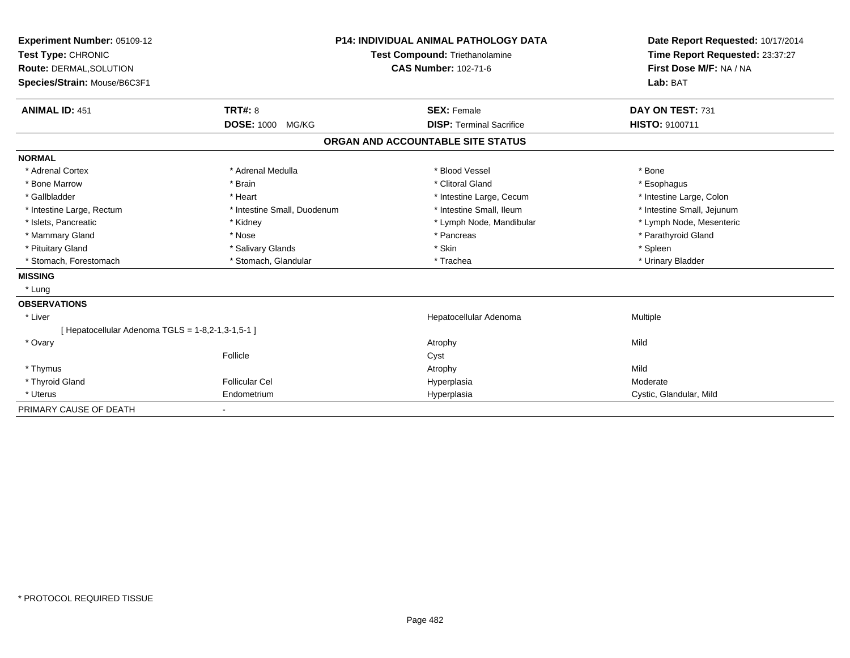| Experiment Number: 05109-12<br>Test Type: CHRONIC<br><b>Route: DERMAL, SOLUTION</b><br>Species/Strain: Mouse/B6C3F1 |                             | <b>P14: INDIVIDUAL ANIMAL PATHOLOGY DATA</b><br><b>Test Compound: Triethanolamine</b><br><b>CAS Number: 102-71-6</b> | Date Report Requested: 10/17/2014<br>Time Report Requested: 23:37:27<br>First Dose M/F: NA / NA<br>Lab: BAT |
|---------------------------------------------------------------------------------------------------------------------|-----------------------------|----------------------------------------------------------------------------------------------------------------------|-------------------------------------------------------------------------------------------------------------|
| <b>ANIMAL ID: 451</b>                                                                                               | TRT#: 8                     | <b>SEX: Female</b>                                                                                                   | DAY ON TEST: 731                                                                                            |
|                                                                                                                     | <b>DOSE: 1000 MG/KG</b>     | <b>DISP: Terminal Sacrifice</b>                                                                                      | <b>HISTO: 9100711</b>                                                                                       |
|                                                                                                                     |                             | ORGAN AND ACCOUNTABLE SITE STATUS                                                                                    |                                                                                                             |
| <b>NORMAL</b>                                                                                                       |                             |                                                                                                                      |                                                                                                             |
| * Adrenal Cortex                                                                                                    | * Adrenal Medulla           | * Blood Vessel                                                                                                       | * Bone                                                                                                      |
| * Bone Marrow                                                                                                       | * Brain                     | * Clitoral Gland                                                                                                     | * Esophagus                                                                                                 |
| * Gallbladder                                                                                                       | * Heart                     | * Intestine Large, Cecum                                                                                             | * Intestine Large, Colon                                                                                    |
| * Intestine Large, Rectum                                                                                           | * Intestine Small, Duodenum | * Intestine Small, Ileum                                                                                             | * Intestine Small, Jejunum                                                                                  |
| * Islets. Pancreatic                                                                                                | * Kidney                    | * Lymph Node, Mandibular                                                                                             | * Lymph Node, Mesenteric                                                                                    |
| * Mammary Gland                                                                                                     | * Nose                      | * Pancreas                                                                                                           | * Parathyroid Gland                                                                                         |
| * Pituitary Gland                                                                                                   | * Salivary Glands           | * Skin                                                                                                               | * Spleen                                                                                                    |
| * Stomach, Forestomach                                                                                              | * Stomach, Glandular        | * Trachea                                                                                                            | * Urinary Bladder                                                                                           |
| <b>MISSING</b>                                                                                                      |                             |                                                                                                                      |                                                                                                             |
| * Lung                                                                                                              |                             |                                                                                                                      |                                                                                                             |
| <b>OBSERVATIONS</b>                                                                                                 |                             |                                                                                                                      |                                                                                                             |
| * Liver                                                                                                             |                             | Hepatocellular Adenoma                                                                                               | Multiple                                                                                                    |
| [ Hepatocellular Adenoma TGLS = 1-8,2-1,3-1,5-1 ]                                                                   |                             |                                                                                                                      |                                                                                                             |
| * Ovary                                                                                                             |                             | Atrophy                                                                                                              | Mild                                                                                                        |
|                                                                                                                     | Follicle                    | Cyst                                                                                                                 |                                                                                                             |
| * Thymus                                                                                                            |                             | Atrophy                                                                                                              | Mild                                                                                                        |
| * Thyroid Gland                                                                                                     | <b>Follicular Cel</b>       | Hyperplasia                                                                                                          | Moderate                                                                                                    |
| * Uterus                                                                                                            | Endometrium                 | Hyperplasia                                                                                                          | Cystic, Glandular, Mild                                                                                     |
| PRIMARY CAUSE OF DEATH                                                                                              |                             |                                                                                                                      |                                                                                                             |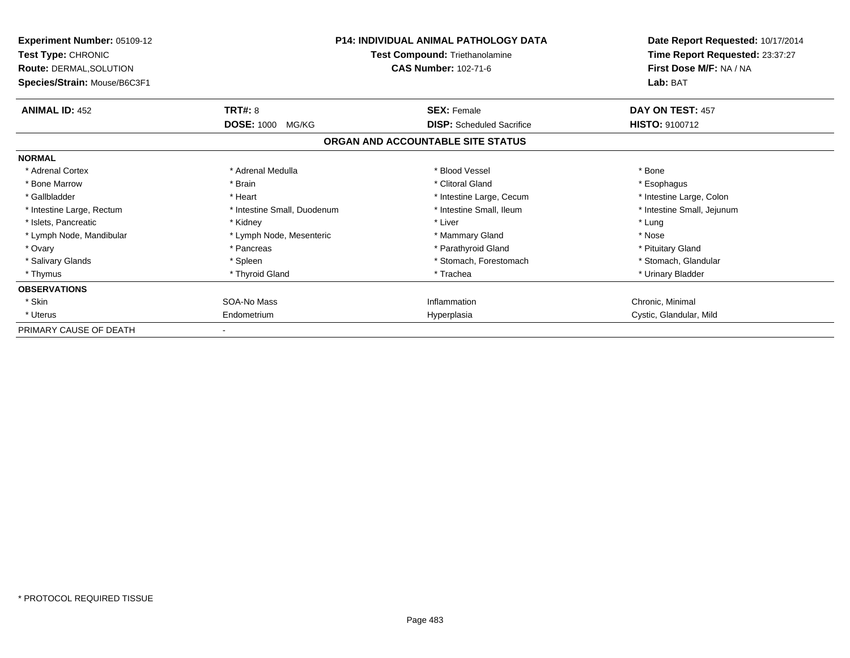| Experiment Number: 05109-12<br><b>Test Type: CHRONIC</b><br><b>Route: DERMAL, SOLUTION</b><br>Species/Strain: Mouse/B6C3F1 | <b>P14: INDIVIDUAL ANIMAL PATHOLOGY DATA</b><br>Test Compound: Triethanolamine<br><b>CAS Number: 102-71-6</b> |                                   | Date Report Requested: 10/17/2014<br>Time Report Requested: 23:37:27<br>First Dose M/F: NA / NA<br>Lab: BAT |
|----------------------------------------------------------------------------------------------------------------------------|---------------------------------------------------------------------------------------------------------------|-----------------------------------|-------------------------------------------------------------------------------------------------------------|
| <b>ANIMAL ID: 452</b>                                                                                                      | TRT#: 8                                                                                                       | <b>SEX: Female</b>                | DAY ON TEST: 457                                                                                            |
|                                                                                                                            | <b>DOSE: 1000</b><br>MG/KG                                                                                    | <b>DISP:</b> Scheduled Sacrifice  | <b>HISTO: 9100712</b>                                                                                       |
|                                                                                                                            |                                                                                                               | ORGAN AND ACCOUNTABLE SITE STATUS |                                                                                                             |
| <b>NORMAL</b>                                                                                                              |                                                                                                               |                                   |                                                                                                             |
| * Adrenal Cortex                                                                                                           | * Adrenal Medulla                                                                                             | * Blood Vessel                    | * Bone                                                                                                      |
| * Bone Marrow                                                                                                              | * Brain                                                                                                       | * Clitoral Gland                  | * Esophagus                                                                                                 |
| * Gallbladder                                                                                                              | * Heart                                                                                                       | * Intestine Large, Cecum          | * Intestine Large, Colon                                                                                    |
| * Intestine Large, Rectum                                                                                                  | * Intestine Small, Duodenum                                                                                   | * Intestine Small, Ileum          | * Intestine Small, Jejunum                                                                                  |
| * Islets, Pancreatic                                                                                                       | * Kidney                                                                                                      | * Liver                           | * Lung                                                                                                      |
| * Lymph Node, Mandibular                                                                                                   | * Lymph Node, Mesenteric                                                                                      | * Mammary Gland                   | * Nose                                                                                                      |
| * Ovary                                                                                                                    | * Pancreas                                                                                                    | * Parathyroid Gland               | * Pituitary Gland                                                                                           |
| * Salivary Glands                                                                                                          | * Spleen                                                                                                      | * Stomach, Forestomach            | * Stomach, Glandular                                                                                        |
| * Thymus                                                                                                                   | * Thyroid Gland                                                                                               | * Trachea                         | * Urinary Bladder                                                                                           |
| <b>OBSERVATIONS</b>                                                                                                        |                                                                                                               |                                   |                                                                                                             |
| * Skin                                                                                                                     | SOA-No Mass                                                                                                   | Inflammation                      | Chronic, Minimal                                                                                            |
| * Uterus                                                                                                                   | Endometrium                                                                                                   | Hyperplasia                       | Cystic, Glandular, Mild                                                                                     |
| PRIMARY CAUSE OF DEATH                                                                                                     |                                                                                                               |                                   |                                                                                                             |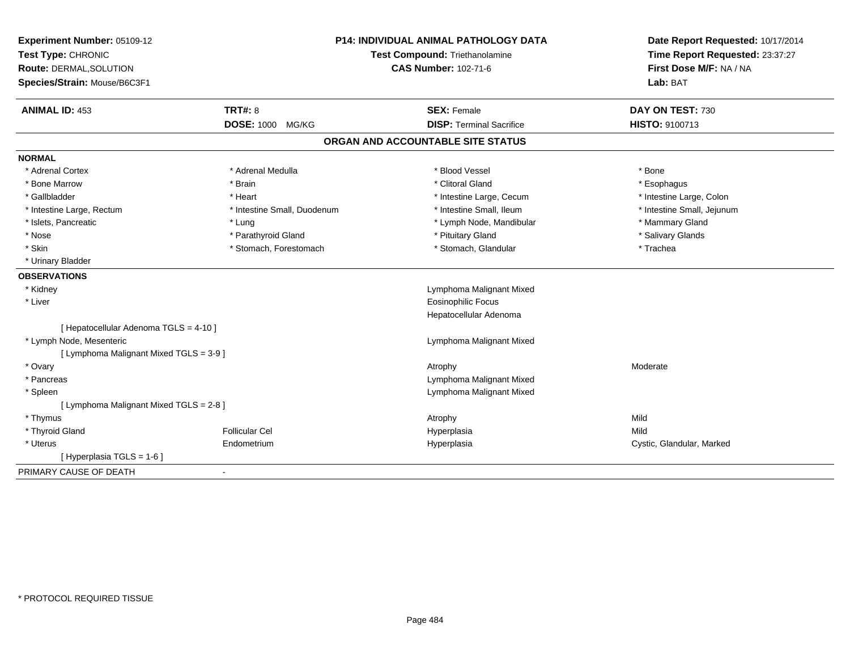| Experiment Number: 05109-12<br>Test Type: CHRONIC       |                             | <b>P14: INDIVIDUAL ANIMAL PATHOLOGY DATA</b><br><b>Test Compound: Triethanolamine</b> | Date Report Requested: 10/17/2014<br>Time Report Requested: 23:37:27 |
|---------------------------------------------------------|-----------------------------|---------------------------------------------------------------------------------------|----------------------------------------------------------------------|
| Route: DERMAL, SOLUTION<br>Species/Strain: Mouse/B6C3F1 |                             | <b>CAS Number: 102-71-6</b>                                                           | First Dose M/F: NA / NA<br>Lab: BAT                                  |
| <b>ANIMAL ID: 453</b>                                   | <b>TRT#: 8</b>              | <b>SEX: Female</b>                                                                    | DAY ON TEST: 730                                                     |
|                                                         | DOSE: 1000 MG/KG            | <b>DISP: Terminal Sacrifice</b>                                                       | HISTO: 9100713                                                       |
|                                                         |                             | ORGAN AND ACCOUNTABLE SITE STATUS                                                     |                                                                      |
| <b>NORMAL</b>                                           |                             |                                                                                       |                                                                      |
| * Adrenal Cortex                                        | * Adrenal Medulla           | * Blood Vessel                                                                        | * Bone                                                               |
| * Bone Marrow                                           | * Brain                     | * Clitoral Gland                                                                      | * Esophagus                                                          |
| * Gallbladder                                           | * Heart                     | * Intestine Large, Cecum                                                              | * Intestine Large, Colon                                             |
| * Intestine Large, Rectum                               | * Intestine Small, Duodenum | * Intestine Small. Ileum                                                              | * Intestine Small, Jejunum                                           |
| * Islets, Pancreatic                                    | * Lung                      | * Lymph Node, Mandibular                                                              | * Mammary Gland                                                      |
| * Nose                                                  | * Parathyroid Gland         | * Pituitary Gland                                                                     | * Salivary Glands                                                    |
| * Skin                                                  | * Stomach, Forestomach      | * Stomach, Glandular                                                                  | * Trachea                                                            |
| * Urinary Bladder                                       |                             |                                                                                       |                                                                      |
| <b>OBSERVATIONS</b>                                     |                             |                                                                                       |                                                                      |
| * Kidney                                                |                             | Lymphoma Malignant Mixed                                                              |                                                                      |
| * Liver                                                 |                             | <b>Eosinophilic Focus</b>                                                             |                                                                      |
|                                                         |                             | Hepatocellular Adenoma                                                                |                                                                      |
| [ Hepatocellular Adenoma TGLS = 4-10 ]                  |                             |                                                                                       |                                                                      |
| * Lymph Node, Mesenteric                                |                             | Lymphoma Malignant Mixed                                                              |                                                                      |
| [ Lymphoma Malignant Mixed TGLS = 3-9 ]                 |                             |                                                                                       |                                                                      |
| * Ovary                                                 |                             | Atrophy                                                                               | Moderate                                                             |
| * Pancreas                                              |                             | Lymphoma Malignant Mixed                                                              |                                                                      |
| * Spleen                                                |                             | Lymphoma Malignant Mixed                                                              |                                                                      |
| [ Lymphoma Malignant Mixed TGLS = 2-8 ]                 |                             |                                                                                       |                                                                      |
| * Thymus                                                |                             | Atrophy                                                                               | Mild                                                                 |
| * Thyroid Gland                                         | <b>Follicular Cel</b>       | Hyperplasia                                                                           | Mild                                                                 |
| * Uterus                                                | Endometrium                 | Hyperplasia                                                                           | Cystic, Glandular, Marked                                            |
| [Hyperplasia TGLS = 1-6]                                |                             |                                                                                       |                                                                      |
| PRIMARY CAUSE OF DEATH                                  | $\blacksquare$              |                                                                                       |                                                                      |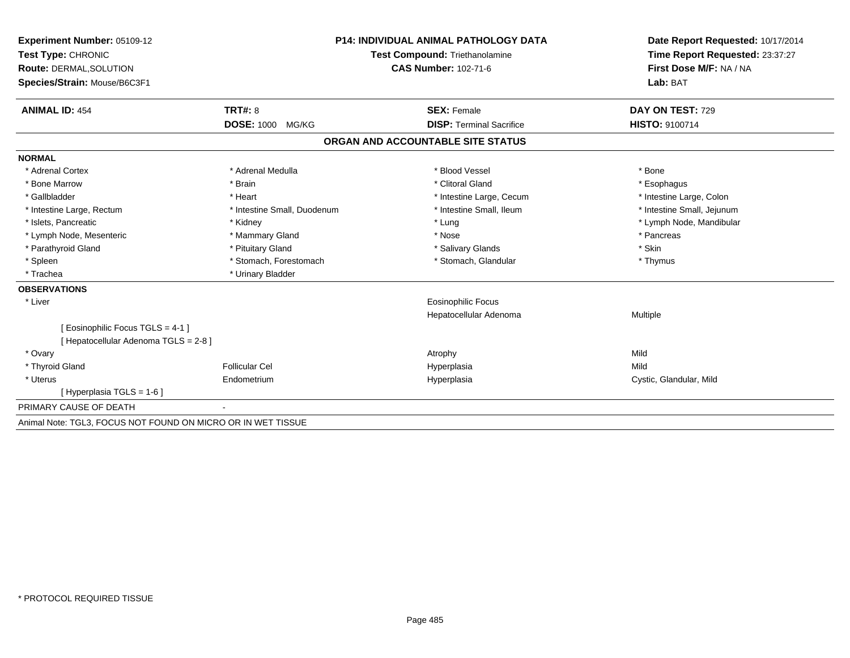| Experiment Number: 05109-12<br>Test Type: CHRONIC<br>Route: DERMAL, SOLUTION |                             | <b>P14: INDIVIDUAL ANIMAL PATHOLOGY DATA</b><br><b>Test Compound: Triethanolamine</b><br><b>CAS Number: 102-71-6</b> | Date Report Requested: 10/17/2014<br>Time Report Requested: 23:37:27<br>First Dose M/F: NA / NA<br>Lab: BAT |
|------------------------------------------------------------------------------|-----------------------------|----------------------------------------------------------------------------------------------------------------------|-------------------------------------------------------------------------------------------------------------|
| Species/Strain: Mouse/B6C3F1                                                 |                             |                                                                                                                      |                                                                                                             |
| <b>ANIMAL ID: 454</b>                                                        | <b>TRT#: 8</b>              | <b>SEX: Female</b>                                                                                                   | DAY ON TEST: 729                                                                                            |
|                                                                              | <b>DOSE: 1000 MG/KG</b>     | <b>DISP: Terminal Sacrifice</b>                                                                                      | HISTO: 9100714                                                                                              |
|                                                                              |                             | ORGAN AND ACCOUNTABLE SITE STATUS                                                                                    |                                                                                                             |
| <b>NORMAL</b>                                                                |                             |                                                                                                                      |                                                                                                             |
| * Adrenal Cortex                                                             | * Adrenal Medulla           | * Blood Vessel                                                                                                       | * Bone                                                                                                      |
| * Bone Marrow                                                                | * Brain                     | * Clitoral Gland                                                                                                     | * Esophagus                                                                                                 |
| * Gallbladder                                                                | * Heart                     | * Intestine Large, Cecum                                                                                             | * Intestine Large, Colon                                                                                    |
| * Intestine Large, Rectum                                                    | * Intestine Small, Duodenum | * Intestine Small, Ileum                                                                                             | * Intestine Small, Jejunum                                                                                  |
| * Islets. Pancreatic                                                         | * Kidney                    | * Lung                                                                                                               | * Lymph Node, Mandibular                                                                                    |
| * Lymph Node, Mesenteric                                                     | * Mammary Gland             | * Nose                                                                                                               | * Pancreas                                                                                                  |
| * Parathyroid Gland                                                          | * Pituitary Gland           | * Salivary Glands                                                                                                    | * Skin                                                                                                      |
| * Spleen                                                                     | * Stomach, Forestomach      | * Stomach, Glandular                                                                                                 | * Thymus                                                                                                    |
| * Trachea                                                                    | * Urinary Bladder           |                                                                                                                      |                                                                                                             |
| <b>OBSERVATIONS</b>                                                          |                             |                                                                                                                      |                                                                                                             |
| * Liver                                                                      |                             | Eosinophilic Focus                                                                                                   |                                                                                                             |
|                                                                              |                             | Hepatocellular Adenoma                                                                                               | Multiple                                                                                                    |
| [Eosinophilic Focus TGLS = 4-1]<br>[ Hepatocellular Adenoma TGLS = 2-8 ]     |                             |                                                                                                                      |                                                                                                             |
| * Ovary                                                                      |                             | Atrophy                                                                                                              | Mild                                                                                                        |
| * Thyroid Gland                                                              | <b>Follicular Cel</b>       | Hyperplasia                                                                                                          | Mild                                                                                                        |
| * Uterus                                                                     | Endometrium                 | Hyperplasia                                                                                                          | Cystic, Glandular, Mild                                                                                     |
| [Hyperplasia TGLS = 1-6]                                                     |                             |                                                                                                                      |                                                                                                             |
| PRIMARY CAUSE OF DEATH                                                       | $\sim$                      |                                                                                                                      |                                                                                                             |
| Animal Note: TGL3, FOCUS NOT FOUND ON MICRO OR IN WET TISSUE                 |                             |                                                                                                                      |                                                                                                             |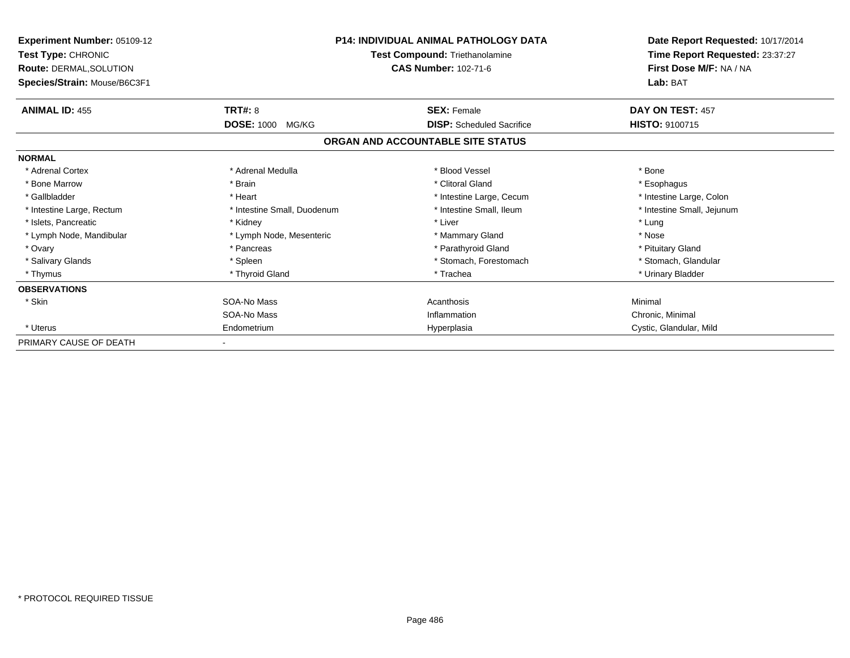| Experiment Number: 05109-12<br>Test Type: CHRONIC<br><b>Route: DERMAL, SOLUTION</b><br>Species/Strain: Mouse/B6C3F1 | <b>P14: INDIVIDUAL ANIMAL PATHOLOGY DATA</b><br>Test Compound: Triethanolamine<br><b>CAS Number: 102-71-6</b> |                                                        | Date Report Requested: 10/17/2014<br>Time Report Requested: 23:37:27<br>First Dose M/F: NA / NA<br>Lab: BAT |
|---------------------------------------------------------------------------------------------------------------------|---------------------------------------------------------------------------------------------------------------|--------------------------------------------------------|-------------------------------------------------------------------------------------------------------------|
| <b>ANIMAL ID: 455</b>                                                                                               | <b>TRT#: 8</b><br><b>DOSE: 1000</b><br>MG/KG                                                                  | <b>SEX: Female</b><br><b>DISP:</b> Scheduled Sacrifice | DAY ON TEST: 457<br><b>HISTO: 9100715</b>                                                                   |
|                                                                                                                     |                                                                                                               | ORGAN AND ACCOUNTABLE SITE STATUS                      |                                                                                                             |
| <b>NORMAL</b>                                                                                                       |                                                                                                               |                                                        |                                                                                                             |
| * Adrenal Cortex                                                                                                    | * Adrenal Medulla                                                                                             | * Blood Vessel                                         | * Bone                                                                                                      |
| * Bone Marrow                                                                                                       | * Brain                                                                                                       | * Clitoral Gland                                       | * Esophagus                                                                                                 |
| * Gallbladder                                                                                                       | * Heart                                                                                                       | * Intestine Large, Cecum                               | * Intestine Large, Colon                                                                                    |
| * Intestine Large, Rectum                                                                                           | * Intestine Small, Duodenum                                                                                   | * Intestine Small, Ileum                               | * Intestine Small, Jejunum                                                                                  |
| * Islets, Pancreatic                                                                                                | * Kidney                                                                                                      | * Liver                                                | * Lung                                                                                                      |
| * Lymph Node, Mandibular                                                                                            | * Lymph Node, Mesenteric                                                                                      | * Mammary Gland                                        | * Nose                                                                                                      |
| * Ovary                                                                                                             | * Pancreas                                                                                                    | * Parathyroid Gland                                    | * Pituitary Gland                                                                                           |
| * Salivary Glands                                                                                                   | * Spleen                                                                                                      | * Stomach, Forestomach                                 | * Stomach, Glandular                                                                                        |
| * Thymus                                                                                                            | * Thyroid Gland                                                                                               | * Trachea                                              | * Urinary Bladder                                                                                           |
| <b>OBSERVATIONS</b>                                                                                                 |                                                                                                               |                                                        |                                                                                                             |
| * Skin                                                                                                              | SOA-No Mass                                                                                                   | Acanthosis                                             | Minimal                                                                                                     |
|                                                                                                                     | SOA-No Mass                                                                                                   | Inflammation                                           | Chronic, Minimal                                                                                            |
| * Uterus                                                                                                            | Endometrium                                                                                                   | Hyperplasia                                            | Cystic, Glandular, Mild                                                                                     |
| PRIMARY CAUSE OF DEATH                                                                                              |                                                                                                               |                                                        |                                                                                                             |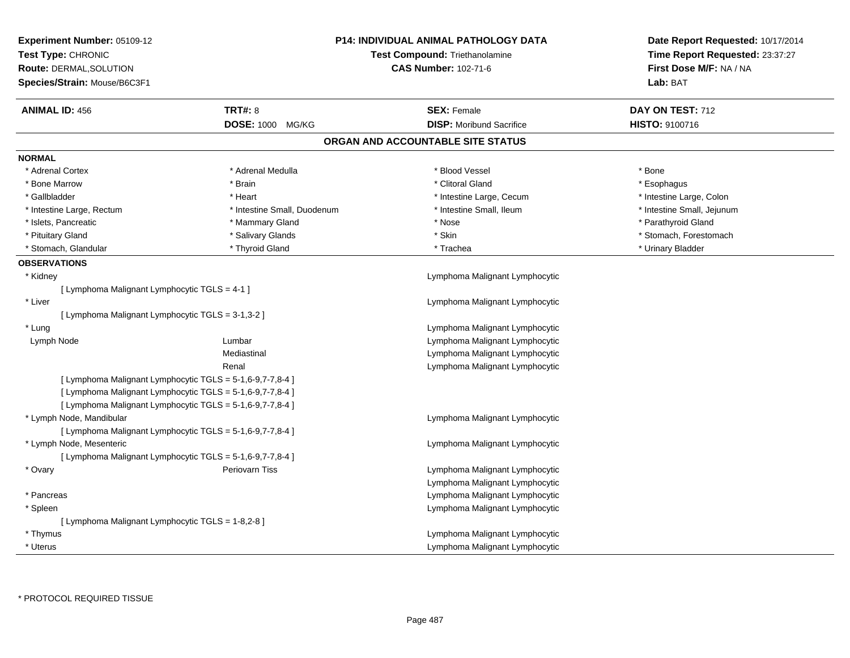| <b>Experiment Number: 05109-12</b><br>Test Type: CHRONIC<br><b>Route: DERMAL, SOLUTION</b><br>Species/Strain: Mouse/B6C3F1 |                             | P14: INDIVIDUAL ANIMAL PATHOLOGY DATA<br>Test Compound: Triethanolamine<br><b>CAS Number: 102-71-6</b> | Date Report Requested: 10/17/2014<br>Time Report Requested: 23:37:27<br>First Dose M/F: NA / NA<br>Lab: BAT |
|----------------------------------------------------------------------------------------------------------------------------|-----------------------------|--------------------------------------------------------------------------------------------------------|-------------------------------------------------------------------------------------------------------------|
| <b>ANIMAL ID: 456</b>                                                                                                      | <b>TRT#: 8</b>              | <b>SEX: Female</b>                                                                                     | DAY ON TEST: 712                                                                                            |
|                                                                                                                            | DOSE: 1000 MG/KG            | <b>DISP:</b> Moribund Sacrifice                                                                        | HISTO: 9100716                                                                                              |
|                                                                                                                            |                             | ORGAN AND ACCOUNTABLE SITE STATUS                                                                      |                                                                                                             |
| <b>NORMAL</b>                                                                                                              |                             |                                                                                                        |                                                                                                             |
| * Adrenal Cortex                                                                                                           | * Adrenal Medulla           | * Blood Vessel                                                                                         | * Bone                                                                                                      |
| * Bone Marrow                                                                                                              | * Brain                     | * Clitoral Gland                                                                                       | * Esophagus                                                                                                 |
| * Gallbladder                                                                                                              | * Heart                     | * Intestine Large, Cecum                                                                               | * Intestine Large, Colon                                                                                    |
| * Intestine Large, Rectum                                                                                                  | * Intestine Small, Duodenum | * Intestine Small, Ileum                                                                               | * Intestine Small, Jejunum                                                                                  |
| * Islets, Pancreatic                                                                                                       | * Mammary Gland             | * Nose                                                                                                 | * Parathyroid Gland                                                                                         |
| * Pituitary Gland                                                                                                          | * Salivary Glands           | * Skin                                                                                                 | * Stomach, Forestomach                                                                                      |
| * Stomach, Glandular                                                                                                       | * Thyroid Gland             | * Trachea                                                                                              | * Urinary Bladder                                                                                           |
| <b>OBSERVATIONS</b>                                                                                                        |                             |                                                                                                        |                                                                                                             |
| * Kidney                                                                                                                   |                             | Lymphoma Malignant Lymphocytic                                                                         |                                                                                                             |
| [ Lymphoma Malignant Lymphocytic TGLS = 4-1 ]                                                                              |                             |                                                                                                        |                                                                                                             |
| * Liver                                                                                                                    |                             | Lymphoma Malignant Lymphocytic                                                                         |                                                                                                             |
| [ Lymphoma Malignant Lymphocytic TGLS = 3-1,3-2 ]                                                                          |                             |                                                                                                        |                                                                                                             |
| * Lung                                                                                                                     |                             | Lymphoma Malignant Lymphocytic                                                                         |                                                                                                             |
| Lymph Node                                                                                                                 | Lumbar                      | Lymphoma Malignant Lymphocytic                                                                         |                                                                                                             |
|                                                                                                                            | Mediastinal                 | Lymphoma Malignant Lymphocytic                                                                         |                                                                                                             |
|                                                                                                                            | Renal                       | Lymphoma Malignant Lymphocytic                                                                         |                                                                                                             |
| [ Lymphoma Malignant Lymphocytic TGLS = 5-1,6-9,7-7,8-4 ]                                                                  |                             |                                                                                                        |                                                                                                             |
| [ Lymphoma Malignant Lymphocytic TGLS = 5-1,6-9,7-7,8-4 ]                                                                  |                             |                                                                                                        |                                                                                                             |
| [ Lymphoma Malignant Lymphocytic TGLS = 5-1,6-9,7-7,8-4 ]                                                                  |                             |                                                                                                        |                                                                                                             |
| * Lymph Node, Mandibular                                                                                                   |                             | Lymphoma Malignant Lymphocytic                                                                         |                                                                                                             |
| [ Lymphoma Malignant Lymphocytic TGLS = 5-1,6-9,7-7,8-4 ]                                                                  |                             |                                                                                                        |                                                                                                             |
| * Lymph Node, Mesenteric                                                                                                   |                             | Lymphoma Malignant Lymphocytic                                                                         |                                                                                                             |
| [ Lymphoma Malignant Lymphocytic TGLS = 5-1,6-9,7-7,8-4 ]                                                                  |                             |                                                                                                        |                                                                                                             |
| * Ovary                                                                                                                    | Periovarn Tiss              | Lymphoma Malignant Lymphocytic                                                                         |                                                                                                             |
|                                                                                                                            |                             | Lymphoma Malignant Lymphocytic                                                                         |                                                                                                             |
| * Pancreas                                                                                                                 |                             | Lymphoma Malignant Lymphocytic                                                                         |                                                                                                             |
| * Spleen                                                                                                                   |                             | Lymphoma Malignant Lymphocytic                                                                         |                                                                                                             |
| [ Lymphoma Malignant Lymphocytic TGLS = 1-8,2-8 ]                                                                          |                             |                                                                                                        |                                                                                                             |
| * Thymus                                                                                                                   |                             | Lymphoma Malignant Lymphocytic                                                                         |                                                                                                             |
| * Uterus                                                                                                                   |                             | Lymphoma Malignant Lymphocytic                                                                         |                                                                                                             |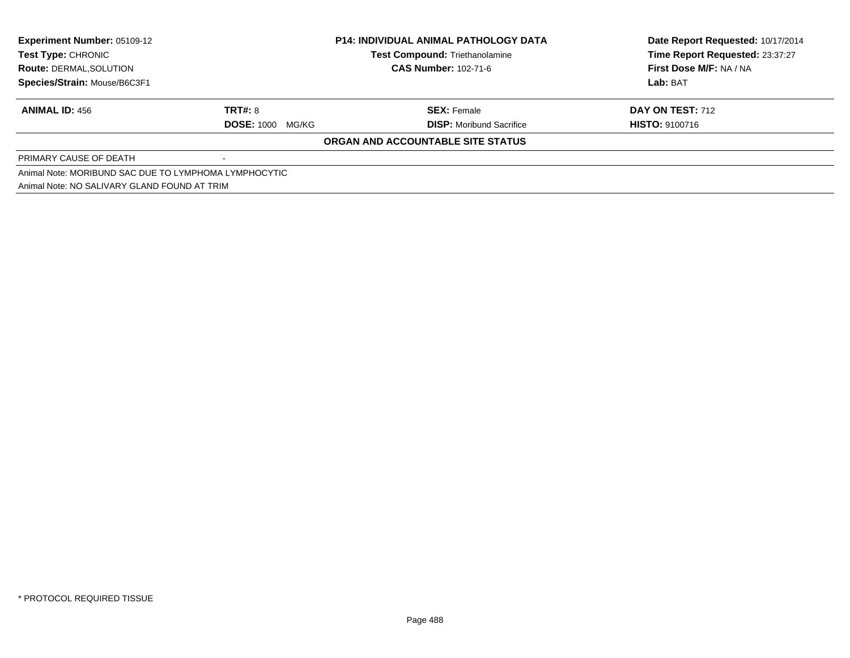| <b>Experiment Number: 05109-12</b>                    | <b>P14: INDIVIDUAL ANIMAL PATHOLOGY DATA</b> |                                       | Date Report Requested: 10/17/2014 |
|-------------------------------------------------------|----------------------------------------------|---------------------------------------|-----------------------------------|
| <b>Test Type: CHRONIC</b>                             |                                              | <b>Test Compound: Triethanolamine</b> | Time Report Requested: 23:37:27   |
| <b>Route: DERMAL, SOLUTION</b>                        |                                              | <b>CAS Number: 102-71-6</b>           | First Dose M/F: NA / NA           |
| Species/Strain: Mouse/B6C3F1                          |                                              |                                       | Lab: BAT                          |
| <b>ANIMAL ID: 456</b>                                 | <b>TRT#: 8</b>                               | <b>SEX: Female</b>                    | <b>DAY ON TEST: 712</b>           |
|                                                       | <b>DOSE: 1000 MG/KG</b>                      | <b>DISP:</b> Moribund Sacrifice       | <b>HISTO: 9100716</b>             |
|                                                       |                                              | ORGAN AND ACCOUNTABLE SITE STATUS     |                                   |
| PRIMARY CAUSE OF DEATH                                |                                              |                                       |                                   |
| Animal Note: MORIBUND SAC DUE TO LYMPHOMA LYMPHOCYTIC |                                              |                                       |                                   |
| Animal Note: NO SALIVARY GLAND FOUND AT TRIM          |                                              |                                       |                                   |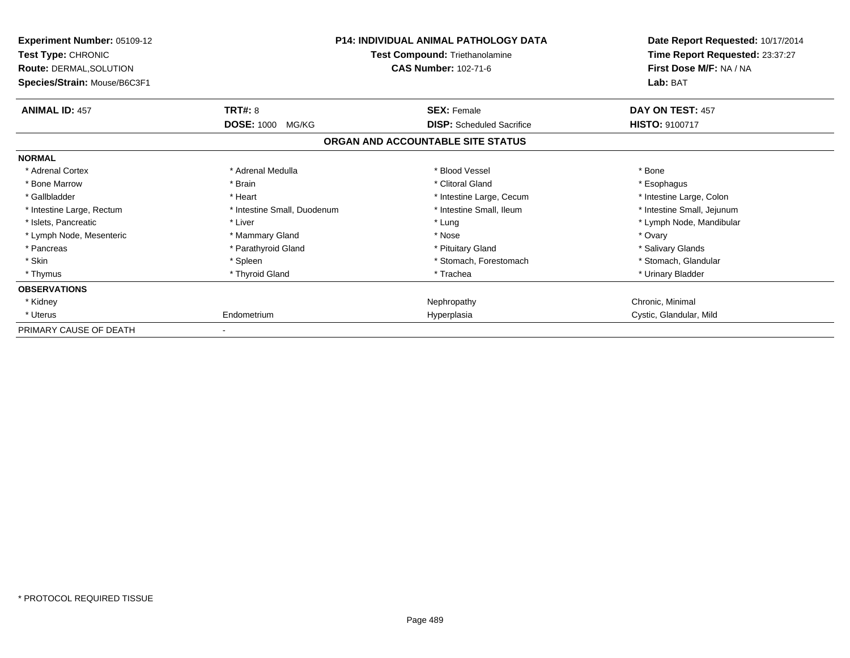| Experiment Number: 05109-12<br><b>Test Type: CHRONIC</b><br><b>Route: DERMAL, SOLUTION</b><br>Species/Strain: Mouse/B6C3F1 | <b>P14: INDIVIDUAL ANIMAL PATHOLOGY DATA</b><br>Test Compound: Triethanolamine<br><b>CAS Number: 102-71-6</b> |                                   | Date Report Requested: 10/17/2014<br>Time Report Requested: 23:37:27<br>First Dose M/F: NA / NA<br>Lab: BAT |
|----------------------------------------------------------------------------------------------------------------------------|---------------------------------------------------------------------------------------------------------------|-----------------------------------|-------------------------------------------------------------------------------------------------------------|
| <b>ANIMAL ID: 457</b>                                                                                                      | <b>TRT#: 8</b>                                                                                                | <b>SEX: Female</b>                | DAY ON TEST: 457                                                                                            |
|                                                                                                                            | <b>DOSE: 1000</b><br>MG/KG                                                                                    | <b>DISP:</b> Scheduled Sacrifice  | <b>HISTO: 9100717</b>                                                                                       |
|                                                                                                                            |                                                                                                               | ORGAN AND ACCOUNTABLE SITE STATUS |                                                                                                             |
| <b>NORMAL</b>                                                                                                              |                                                                                                               |                                   |                                                                                                             |
| * Adrenal Cortex                                                                                                           | * Adrenal Medulla                                                                                             | * Blood Vessel                    | * Bone                                                                                                      |
| * Bone Marrow                                                                                                              | * Brain                                                                                                       | * Clitoral Gland                  | * Esophagus                                                                                                 |
| * Gallbladder                                                                                                              | * Heart                                                                                                       | * Intestine Large, Cecum          | * Intestine Large, Colon                                                                                    |
| * Intestine Large, Rectum                                                                                                  | * Intestine Small, Duodenum                                                                                   | * Intestine Small, Ileum          | * Intestine Small, Jejunum                                                                                  |
| * Islets, Pancreatic                                                                                                       | * Liver                                                                                                       | * Lung                            | * Lymph Node, Mandibular                                                                                    |
| * Lymph Node, Mesenteric                                                                                                   | * Mammary Gland                                                                                               | * Nose                            | * Ovary                                                                                                     |
| * Pancreas                                                                                                                 | * Parathyroid Gland                                                                                           | * Pituitary Gland                 | * Salivary Glands                                                                                           |
| * Skin                                                                                                                     | * Spleen                                                                                                      | * Stomach, Forestomach            | * Stomach, Glandular                                                                                        |
| * Thymus                                                                                                                   | * Thyroid Gland                                                                                               | * Trachea                         | * Urinary Bladder                                                                                           |
| <b>OBSERVATIONS</b>                                                                                                        |                                                                                                               |                                   |                                                                                                             |
| * Kidney                                                                                                                   |                                                                                                               | Nephropathy                       | Chronic, Minimal                                                                                            |
| * Uterus                                                                                                                   | Endometrium                                                                                                   | Hyperplasia                       | Cystic, Glandular, Mild                                                                                     |
| PRIMARY CAUSE OF DEATH                                                                                                     |                                                                                                               |                                   |                                                                                                             |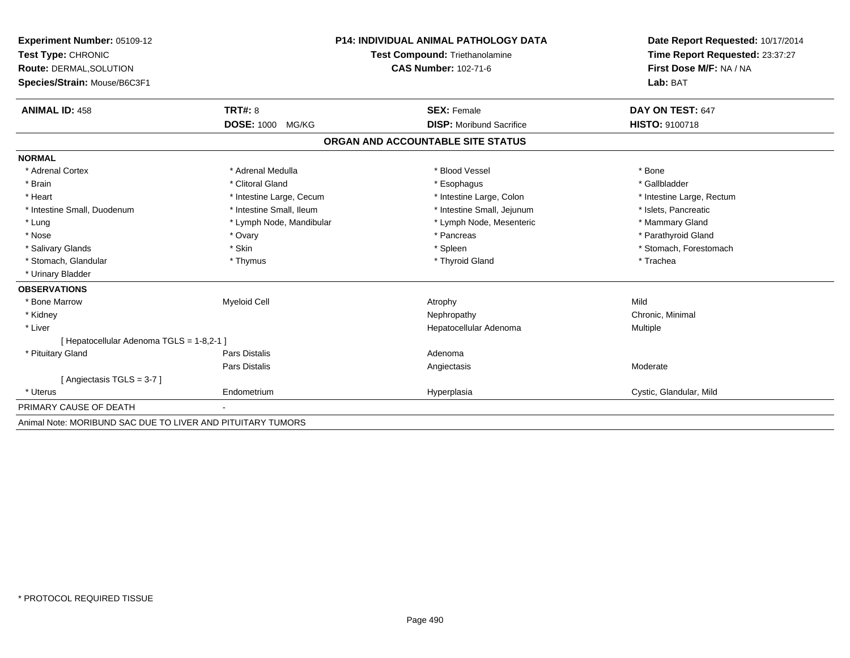| Experiment Number: 05109-12<br>Test Type: CHRONIC           |                          | <b>P14: INDIVIDUAL ANIMAL PATHOLOGY DATA</b><br><b>Test Compound: Triethanolamine</b> | Date Report Requested: 10/17/2014<br>Time Report Requested: 23:37:27<br>First Dose M/F: NA / NA<br>Lab: BAT |
|-------------------------------------------------------------|--------------------------|---------------------------------------------------------------------------------------|-------------------------------------------------------------------------------------------------------------|
| Route: DERMAL, SOLUTION<br>Species/Strain: Mouse/B6C3F1     |                          | <b>CAS Number: 102-71-6</b>                                                           |                                                                                                             |
|                                                             |                          |                                                                                       |                                                                                                             |
| <b>ANIMAL ID: 458</b>                                       | TRT#: 8                  | <b>SEX: Female</b>                                                                    | DAY ON TEST: 647                                                                                            |
|                                                             | DOSE: 1000 MG/KG         | <b>DISP:</b> Moribund Sacrifice                                                       | <b>HISTO: 9100718</b>                                                                                       |
|                                                             |                          | ORGAN AND ACCOUNTABLE SITE STATUS                                                     |                                                                                                             |
| <b>NORMAL</b>                                               |                          |                                                                                       |                                                                                                             |
| * Adrenal Cortex                                            | * Adrenal Medulla        | * Blood Vessel                                                                        | * Bone                                                                                                      |
| * Brain                                                     | * Clitoral Gland         | * Esophagus                                                                           | * Gallbladder                                                                                               |
| * Heart                                                     | * Intestine Large, Cecum | * Intestine Large, Colon                                                              | * Intestine Large, Rectum                                                                                   |
| * Intestine Small, Duodenum                                 | * Intestine Small, Ileum | * Intestine Small, Jejunum                                                            | * Islets, Pancreatic                                                                                        |
| * Lung                                                      | * Lymph Node, Mandibular | * Lymph Node, Mesenteric                                                              | * Mammary Gland                                                                                             |
| * Nose                                                      | * Ovary                  | * Pancreas                                                                            | * Parathyroid Gland                                                                                         |
| * Salivary Glands                                           | * Skin                   | * Spleen                                                                              | * Stomach, Forestomach                                                                                      |
| * Stomach, Glandular                                        | * Thymus                 | * Thyroid Gland                                                                       | * Trachea                                                                                                   |
| * Urinary Bladder                                           |                          |                                                                                       |                                                                                                             |
| <b>OBSERVATIONS</b>                                         |                          |                                                                                       |                                                                                                             |
| * Bone Marrow                                               | <b>Myeloid Cell</b>      | Atrophy                                                                               | Mild                                                                                                        |
| * Kidney                                                    |                          | Nephropathy                                                                           | Chronic, Minimal                                                                                            |
| * Liver                                                     |                          | Hepatocellular Adenoma                                                                | Multiple                                                                                                    |
| [ Hepatocellular Adenoma TGLS = 1-8,2-1 ]                   |                          |                                                                                       |                                                                                                             |
| * Pituitary Gland                                           | Pars Distalis            | Adenoma                                                                               |                                                                                                             |
|                                                             | Pars Distalis            | Angiectasis                                                                           | Moderate                                                                                                    |
| [Angiectasis TGLS = 3-7]                                    |                          |                                                                                       |                                                                                                             |
| * Uterus                                                    | Endometrium              | Hyperplasia                                                                           | Cystic, Glandular, Mild                                                                                     |
| PRIMARY CAUSE OF DEATH                                      |                          |                                                                                       |                                                                                                             |
| Animal Note: MORIBUND SAC DUE TO LIVER AND PITUITARY TUMORS |                          |                                                                                       |                                                                                                             |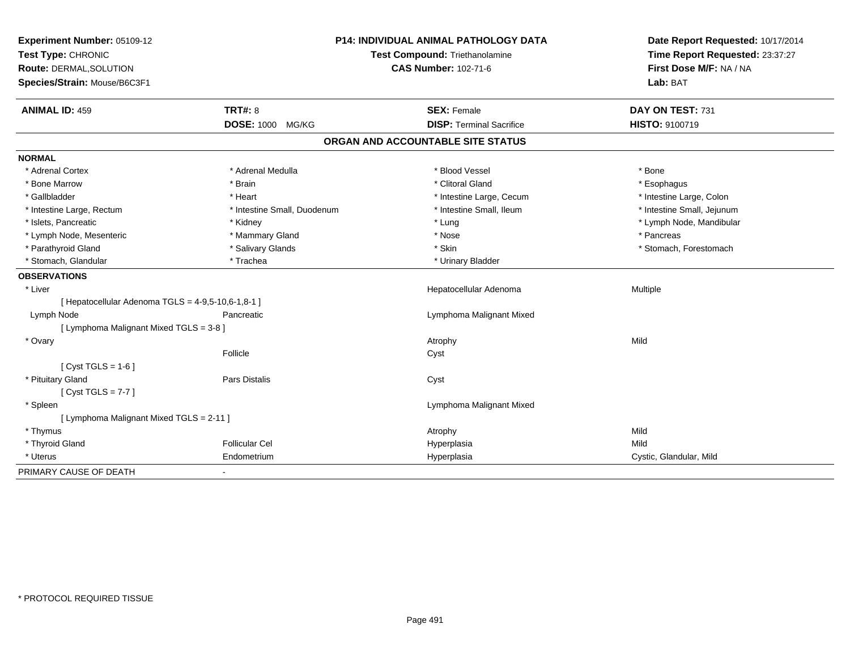| Experiment Number: 05109-12<br>Test Type: CHRONIC<br>Route: DERMAL, SOLUTION<br>Species/Strain: Mouse/B6C3F1 |                             | <b>P14: INDIVIDUAL ANIMAL PATHOLOGY DATA</b><br>Test Compound: Triethanolamine<br><b>CAS Number: 102-71-6</b> |                            |
|--------------------------------------------------------------------------------------------------------------|-----------------------------|---------------------------------------------------------------------------------------------------------------|----------------------------|
| <b>ANIMAL ID: 459</b>                                                                                        | <b>TRT#: 8</b>              | <b>SEX: Female</b>                                                                                            | DAY ON TEST: 731           |
|                                                                                                              | DOSE: 1000 MG/KG            | <b>DISP: Terminal Sacrifice</b>                                                                               | HISTO: 9100719             |
|                                                                                                              |                             | ORGAN AND ACCOUNTABLE SITE STATUS                                                                             |                            |
| <b>NORMAL</b>                                                                                                |                             |                                                                                                               |                            |
| * Adrenal Cortex                                                                                             | * Adrenal Medulla           | * Blood Vessel                                                                                                | * Bone                     |
| * Bone Marrow                                                                                                | * Brain                     | * Clitoral Gland                                                                                              | * Esophagus                |
| * Gallbladder                                                                                                | * Heart                     | * Intestine Large, Cecum                                                                                      | * Intestine Large, Colon   |
| * Intestine Large, Rectum                                                                                    | * Intestine Small, Duodenum | * Intestine Small, Ileum                                                                                      | * Intestine Small, Jejunum |
| * Islets, Pancreatic                                                                                         | * Kidney                    | * Lung                                                                                                        | * Lymph Node, Mandibular   |
| * Lymph Node, Mesenteric                                                                                     | * Mammary Gland             | * Nose                                                                                                        | * Pancreas                 |
| * Parathyroid Gland                                                                                          | * Salivary Glands           | * Skin                                                                                                        | * Stomach, Forestomach     |
| * Stomach, Glandular                                                                                         | * Trachea                   | * Urinary Bladder                                                                                             |                            |
| <b>OBSERVATIONS</b>                                                                                          |                             |                                                                                                               |                            |
| * Liver                                                                                                      |                             | Hepatocellular Adenoma                                                                                        | <b>Multiple</b>            |
| [ Hepatocellular Adenoma TGLS = 4-9,5-10,6-1,8-1 ]                                                           |                             |                                                                                                               |                            |
| Lymph Node                                                                                                   | Pancreatic                  | Lymphoma Malignant Mixed                                                                                      |                            |
| [ Lymphoma Malignant Mixed TGLS = 3-8 ]                                                                      |                             |                                                                                                               |                            |
| * Ovary                                                                                                      |                             | Atrophy                                                                                                       | Mild                       |
|                                                                                                              | Follicle                    | Cyst                                                                                                          |                            |
| $Cvst TGLS = 1-6$                                                                                            |                             |                                                                                                               |                            |
| * Pituitary Gland                                                                                            | Pars Distalis               | Cyst                                                                                                          |                            |
| [ $Cyst TGLS = 7-7$ ]                                                                                        |                             |                                                                                                               |                            |
| * Spleen                                                                                                     |                             | Lymphoma Malignant Mixed                                                                                      |                            |
| [ Lymphoma Malignant Mixed TGLS = 2-11 ]                                                                     |                             |                                                                                                               |                            |
| * Thymus                                                                                                     |                             | Atrophy                                                                                                       | Mild                       |
| * Thyroid Gland                                                                                              | <b>Follicular Cel</b>       | Hyperplasia                                                                                                   | Mild                       |
| * Uterus                                                                                                     | Endometrium                 | Hyperplasia                                                                                                   | Cystic, Glandular, Mild    |
| PRIMARY CAUSE OF DEATH                                                                                       | $\blacksquare$              |                                                                                                               |                            |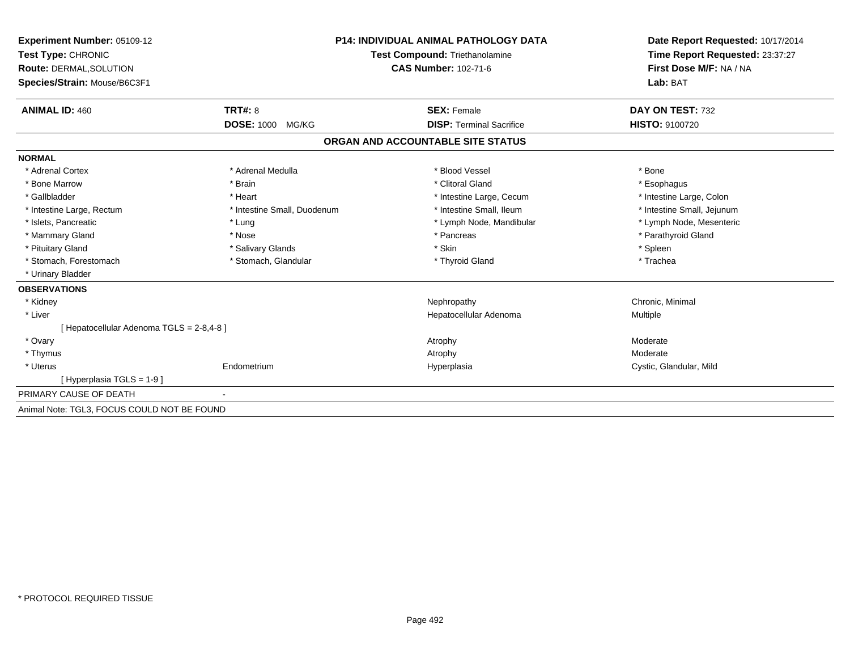| <b>Experiment Number: 05109-12</b>          | <b>P14: INDIVIDUAL ANIMAL PATHOLOGY DATA</b> |                                   | Date Report Requested: 10/17/2014<br>Time Report Requested: 23:37:27 |
|---------------------------------------------|----------------------------------------------|-----------------------------------|----------------------------------------------------------------------|
| Test Type: CHRONIC                          |                                              | Test Compound: Triethanolamine    |                                                                      |
| Route: DERMAL, SOLUTION                     |                                              | <b>CAS Number: 102-71-6</b>       | First Dose M/F: NA / NA                                              |
| Species/Strain: Mouse/B6C3F1                |                                              |                                   | Lab: BAT                                                             |
| <b>ANIMAL ID: 460</b>                       | TRT#: 8                                      | <b>SEX: Female</b>                | DAY ON TEST: 732                                                     |
|                                             | <b>DOSE: 1000</b><br>MG/KG                   | <b>DISP: Terminal Sacrifice</b>   | <b>HISTO: 9100720</b>                                                |
|                                             |                                              | ORGAN AND ACCOUNTABLE SITE STATUS |                                                                      |
| <b>NORMAL</b>                               |                                              |                                   |                                                                      |
| * Adrenal Cortex                            | * Adrenal Medulla                            | * Blood Vessel                    | * Bone                                                               |
| * Bone Marrow                               | * Brain                                      | * Clitoral Gland                  | * Esophagus                                                          |
| * Gallbladder                               | * Heart                                      | * Intestine Large, Cecum          | * Intestine Large, Colon                                             |
| * Intestine Large, Rectum                   | * Intestine Small, Duodenum                  | * Intestine Small, Ileum          | * Intestine Small, Jejunum                                           |
| * Islets, Pancreatic                        | * Lung                                       | * Lymph Node, Mandibular          | * Lymph Node, Mesenteric                                             |
| * Mammary Gland                             | * Nose                                       | * Pancreas                        | * Parathyroid Gland                                                  |
| * Pituitary Gland                           | * Salivary Glands                            | * Skin                            | * Spleen                                                             |
| * Stomach, Forestomach                      | * Stomach, Glandular                         | * Thyroid Gland                   | * Trachea                                                            |
| * Urinary Bladder                           |                                              |                                   |                                                                      |
| <b>OBSERVATIONS</b>                         |                                              |                                   |                                                                      |
| * Kidney                                    |                                              | Nephropathy                       | Chronic, Minimal                                                     |
| * Liver                                     |                                              | Hepatocellular Adenoma            | Multiple                                                             |
| [Hepatocellular Adenoma TGLS = 2-8,4-8]     |                                              |                                   |                                                                      |
| * Ovary                                     |                                              | Atrophy                           | Moderate                                                             |
| * Thymus                                    |                                              | Atrophy                           | Moderate                                                             |
| * Uterus                                    | Endometrium                                  | Hyperplasia                       | Cystic, Glandular, Mild                                              |
| [Hyperplasia TGLS = $1-9$ ]                 |                                              |                                   |                                                                      |
| PRIMARY CAUSE OF DEATH                      |                                              |                                   |                                                                      |
| Animal Note: TGL3, FOCUS COULD NOT BE FOUND |                                              |                                   |                                                                      |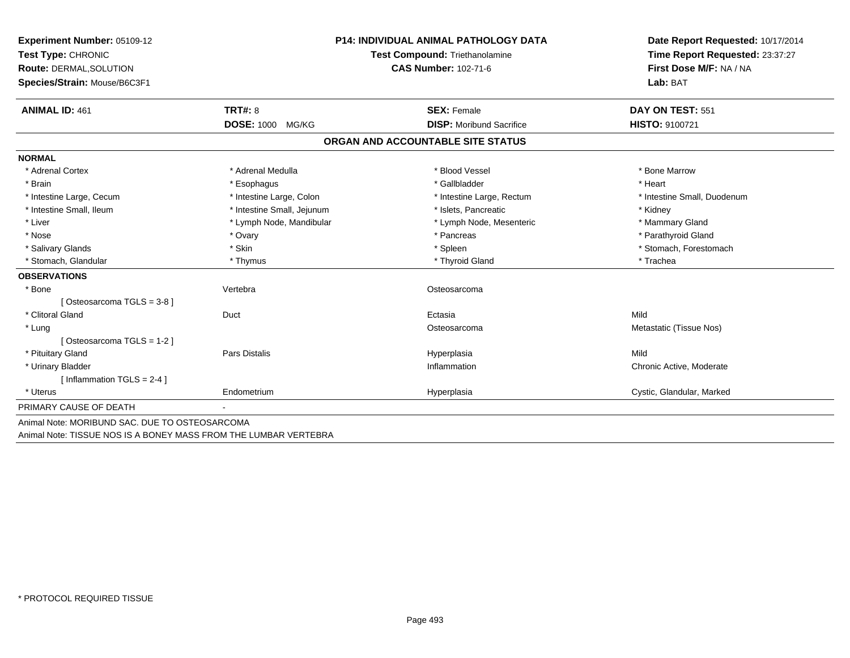| Experiment Number: 05109-12                                      | <b>P14: INDIVIDUAL ANIMAL PATHOLOGY DATA</b> |                                   | Date Report Requested: 10/17/2014                          |
|------------------------------------------------------------------|----------------------------------------------|-----------------------------------|------------------------------------------------------------|
| Test Type: CHRONIC                                               |                                              | Test Compound: Triethanolamine    | Time Report Requested: 23:37:27<br>First Dose M/F: NA / NA |
| <b>Route: DERMAL, SOLUTION</b>                                   |                                              | <b>CAS Number: 102-71-6</b>       |                                                            |
| Species/Strain: Mouse/B6C3F1                                     |                                              |                                   | Lab: BAT                                                   |
|                                                                  |                                              |                                   |                                                            |
| <b>ANIMAL ID: 461</b>                                            | <b>TRT#: 8</b>                               | <b>SEX: Female</b>                | DAY ON TEST: 551                                           |
|                                                                  | <b>DOSE: 1000 MG/KG</b>                      | <b>DISP:</b> Moribund Sacrifice   | HISTO: 9100721                                             |
|                                                                  |                                              | ORGAN AND ACCOUNTABLE SITE STATUS |                                                            |
| <b>NORMAL</b>                                                    |                                              |                                   |                                                            |
| * Adrenal Cortex                                                 | * Adrenal Medulla                            | * Blood Vessel                    | * Bone Marrow                                              |
| * Brain                                                          | * Esophagus                                  | * Gallbladder                     | * Heart                                                    |
| * Intestine Large, Cecum                                         | * Intestine Large, Colon                     | * Intestine Large, Rectum         | * Intestine Small, Duodenum                                |
| * Intestine Small, Ileum                                         | * Intestine Small, Jejunum                   | * Islets, Pancreatic              | * Kidney                                                   |
| * Liver                                                          | * Lymph Node, Mandibular                     | * Lymph Node, Mesenteric          | * Mammary Gland                                            |
| * Nose                                                           | * Ovary                                      | * Pancreas                        | * Parathyroid Gland                                        |
| * Salivary Glands                                                | * Skin                                       | * Spleen                          | * Stomach, Forestomach                                     |
| * Stomach, Glandular                                             | * Thymus                                     | * Thyroid Gland                   | * Trachea                                                  |
| <b>OBSERVATIONS</b>                                              |                                              |                                   |                                                            |
| * Bone                                                           | Vertebra                                     | Osteosarcoma                      |                                                            |
| [Osteosarcoma TGLS = 3-8]                                        |                                              |                                   |                                                            |
| * Clitoral Gland                                                 | Duct                                         | Ectasia                           | Mild                                                       |
| * Lung                                                           |                                              | Osteosarcoma                      | Metastatic (Tissue Nos)                                    |
| [Osteosarcoma TGLS = $1-2$ ]                                     |                                              |                                   |                                                            |
| * Pituitary Gland                                                | <b>Pars Distalis</b>                         | Hyperplasia                       | Mild                                                       |
| * Urinary Bladder                                                |                                              | Inflammation                      | Chronic Active, Moderate                                   |
| [Inflammation TGLS = $2-4$ ]                                     |                                              |                                   |                                                            |
| * Uterus                                                         | Endometrium                                  | Hyperplasia                       | Cystic, Glandular, Marked                                  |
| PRIMARY CAUSE OF DEATH                                           |                                              |                                   |                                                            |
| Animal Note: MORIBUND SAC. DUE TO OSTEOSARCOMA                   |                                              |                                   |                                                            |
| Animal Note: TICCUE NOC IC A DONEV MACC EDOM THE LUMBAD VEDTEDDA |                                              |                                   |                                                            |

Animal Note: TISSUE NOS IS A BONEY MASS FROM THE LUMBAR VERTEBRA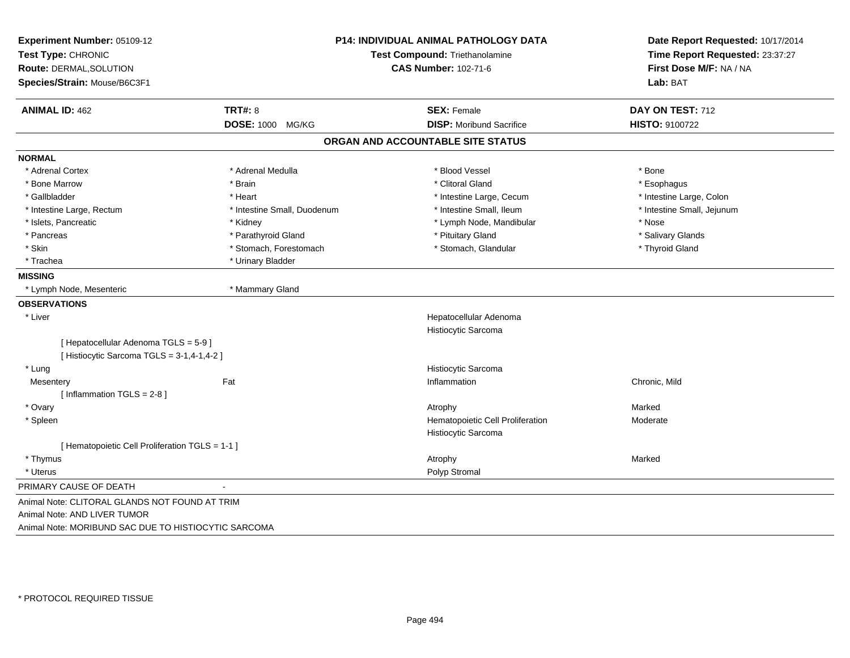| Experiment Number: 05109-12<br>Test Type: CHRONIC    |                             | P14: INDIVIDUAL ANIMAL PATHOLOGY DATA<br>Test Compound: Triethanolamine | Date Report Requested: 10/17/2014<br>Time Report Requested: 23:37:27<br>First Dose M/F: NA / NA |
|------------------------------------------------------|-----------------------------|-------------------------------------------------------------------------|-------------------------------------------------------------------------------------------------|
| Route: DERMAL, SOLUTION                              |                             | <b>CAS Number: 102-71-6</b>                                             |                                                                                                 |
| Species/Strain: Mouse/B6C3F1                         |                             |                                                                         | Lab: BAT                                                                                        |
| <b>ANIMAL ID: 462</b>                                | <b>TRT#: 8</b>              | <b>SEX: Female</b>                                                      | DAY ON TEST: 712                                                                                |
|                                                      | DOSE: 1000 MG/KG            | <b>DISP: Moribund Sacrifice</b>                                         | HISTO: 9100722                                                                                  |
|                                                      |                             | ORGAN AND ACCOUNTABLE SITE STATUS                                       |                                                                                                 |
| <b>NORMAL</b>                                        |                             |                                                                         |                                                                                                 |
| * Adrenal Cortex                                     | * Adrenal Medulla           | * Blood Vessel                                                          | * Bone                                                                                          |
| * Bone Marrow                                        | * Brain                     | * Clitoral Gland                                                        | * Esophagus                                                                                     |
| * Gallbladder                                        | * Heart                     | * Intestine Large, Cecum                                                | * Intestine Large, Colon                                                                        |
| * Intestine Large, Rectum                            | * Intestine Small, Duodenum | * Intestine Small, Ileum                                                | * Intestine Small, Jejunum                                                                      |
| * Islets, Pancreatic                                 | * Kidney                    | * Lymph Node, Mandibular                                                | * Nose                                                                                          |
| * Pancreas                                           | * Parathyroid Gland         | * Pituitary Gland                                                       | * Salivary Glands                                                                               |
| * Skin                                               | * Stomach, Forestomach      | * Stomach, Glandular                                                    | * Thyroid Gland                                                                                 |
| * Trachea                                            | * Urinary Bladder           |                                                                         |                                                                                                 |
| <b>MISSING</b>                                       |                             |                                                                         |                                                                                                 |
| * Lymph Node, Mesenteric                             | * Mammary Gland             |                                                                         |                                                                                                 |
| <b>OBSERVATIONS</b>                                  |                             |                                                                         |                                                                                                 |
| * Liver                                              |                             | Hepatocellular Adenoma                                                  |                                                                                                 |
|                                                      |                             | Histiocytic Sarcoma                                                     |                                                                                                 |
| [ Hepatocellular Adenoma TGLS = 5-9]                 |                             |                                                                         |                                                                                                 |
| [Histiocytic Sarcoma TGLS = 3-1,4-1,4-2]             |                             |                                                                         |                                                                                                 |
| * Lung                                               |                             | Histiocytic Sarcoma                                                     |                                                                                                 |
| Mesentery                                            | Fat                         | Inflammation                                                            | Chronic, Mild                                                                                   |
| [Inflammation TGLS = $2-8$ ]                         |                             |                                                                         |                                                                                                 |
| * Ovary                                              |                             | Atrophy                                                                 | Marked                                                                                          |
| * Spleen                                             |                             | Hematopoietic Cell Proliferation                                        | Moderate                                                                                        |
|                                                      |                             | Histiocytic Sarcoma                                                     |                                                                                                 |
| [ Hematopoietic Cell Proliferation TGLS = 1-1 ]      |                             |                                                                         |                                                                                                 |
| * Thymus                                             |                             | Atrophy                                                                 | Marked                                                                                          |
| * Uterus                                             |                             | Polyp Stromal                                                           |                                                                                                 |
| PRIMARY CAUSE OF DEATH                               |                             |                                                                         |                                                                                                 |
| Animal Note: CLITORAL GLANDS NOT FOUND AT TRIM       |                             |                                                                         |                                                                                                 |
| Animal Note: AND LIVER TUMOR                         |                             |                                                                         |                                                                                                 |
| Animal Note: MORIBUND SAC DUE TO HISTIOCYTIC SARCOMA |                             |                                                                         |                                                                                                 |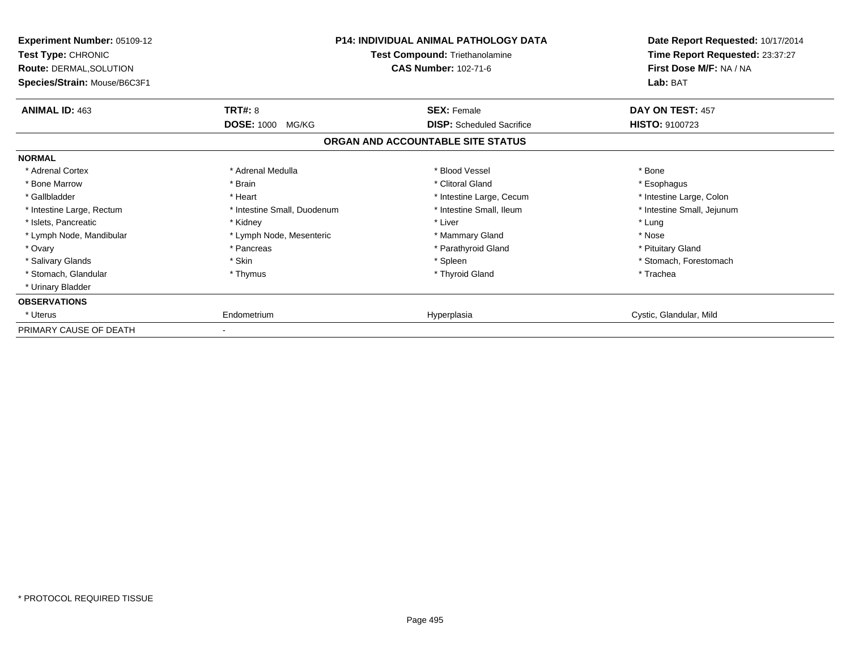| <b>Experiment Number: 05109-12</b><br>Test Type: CHRONIC<br><b>Route: DERMAL, SOLUTION</b><br>Species/Strain: Mouse/B6C3F1 |                             | <b>P14: INDIVIDUAL ANIMAL PATHOLOGY DATA</b><br>Test Compound: Triethanolamine<br><b>CAS Number: 102-71-6</b> | Date Report Requested: 10/17/2014<br>Time Report Requested: 23:37:27<br>First Dose M/F: NA / NA<br>Lab: BAT |
|----------------------------------------------------------------------------------------------------------------------------|-----------------------------|---------------------------------------------------------------------------------------------------------------|-------------------------------------------------------------------------------------------------------------|
| <b>ANIMAL ID: 463</b>                                                                                                      | <b>TRT#: 8</b>              | <b>SEX: Female</b>                                                                                            | DAY ON TEST: 457                                                                                            |
|                                                                                                                            | <b>DOSE: 1000</b><br>MG/KG  | <b>DISP:</b> Scheduled Sacrifice                                                                              | <b>HISTO: 9100723</b>                                                                                       |
|                                                                                                                            |                             | ORGAN AND ACCOUNTABLE SITE STATUS                                                                             |                                                                                                             |
| <b>NORMAL</b>                                                                                                              |                             |                                                                                                               |                                                                                                             |
| * Adrenal Cortex                                                                                                           | * Adrenal Medulla           | * Blood Vessel                                                                                                | * Bone                                                                                                      |
| * Bone Marrow                                                                                                              | * Brain                     | * Clitoral Gland                                                                                              | * Esophagus                                                                                                 |
| * Gallbladder                                                                                                              | * Heart                     | * Intestine Large, Cecum                                                                                      | * Intestine Large, Colon                                                                                    |
| * Intestine Large, Rectum                                                                                                  | * Intestine Small, Duodenum | * Intestine Small, Ileum                                                                                      | * Intestine Small, Jejunum                                                                                  |
| * Islets, Pancreatic                                                                                                       | * Kidney                    | * Liver                                                                                                       | * Lung                                                                                                      |
| * Lymph Node, Mandibular                                                                                                   | * Lymph Node, Mesenteric    | * Mammary Gland                                                                                               | * Nose                                                                                                      |
| * Ovary                                                                                                                    | * Pancreas                  | * Parathyroid Gland                                                                                           | * Pituitary Gland                                                                                           |
| * Salivary Glands                                                                                                          | * Skin                      | * Spleen                                                                                                      | * Stomach, Forestomach                                                                                      |
| * Stomach, Glandular                                                                                                       | * Thymus                    | * Thyroid Gland                                                                                               | * Trachea                                                                                                   |
| * Urinary Bladder                                                                                                          |                             |                                                                                                               |                                                                                                             |
| <b>OBSERVATIONS</b>                                                                                                        |                             |                                                                                                               |                                                                                                             |
| * Uterus                                                                                                                   | Endometrium                 | Hyperplasia                                                                                                   | Cystic, Glandular, Mild                                                                                     |
| PRIMARY CAUSE OF DEATH                                                                                                     |                             |                                                                                                               |                                                                                                             |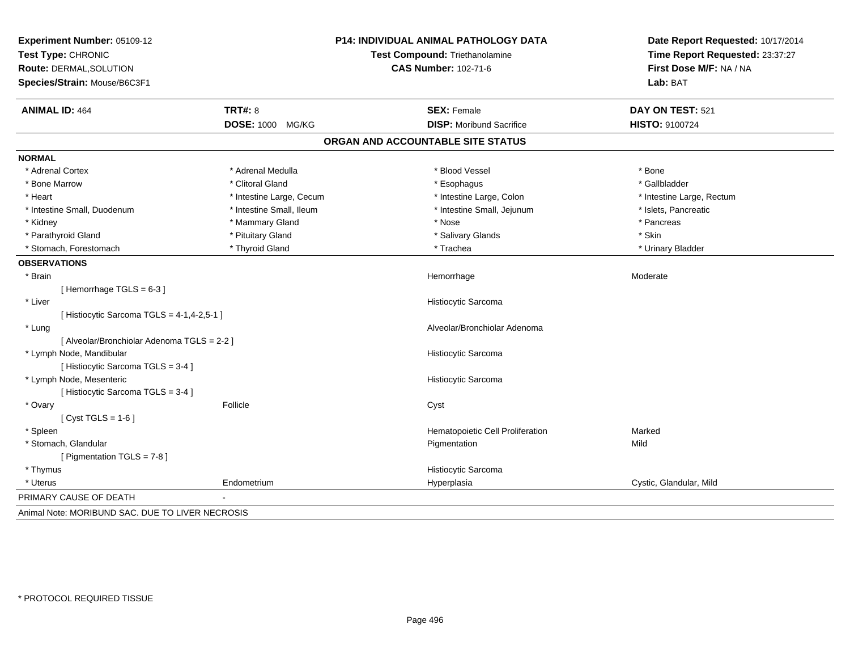| Experiment Number: 05109-12<br>Test Type: CHRONIC |                          | P14: INDIVIDUAL ANIMAL PATHOLOGY DATA | Date Report Requested: 10/17/2014 |  |
|---------------------------------------------------|--------------------------|---------------------------------------|-----------------------------------|--|
|                                                   |                          | Test Compound: Triethanolamine        | Time Report Requested: 23:37:27   |  |
| <b>Route: DERMAL, SOLUTION</b>                    |                          | <b>CAS Number: 102-71-6</b>           | First Dose M/F: NA / NA           |  |
| Species/Strain: Mouse/B6C3F1                      |                          |                                       | Lab: BAT                          |  |
| <b>ANIMAL ID: 464</b>                             | <b>TRT#: 8</b>           | <b>SEX: Female</b>                    | DAY ON TEST: 521                  |  |
|                                                   | <b>DOSE: 1000 MG/KG</b>  | <b>DISP:</b> Moribund Sacrifice       | HISTO: 9100724                    |  |
|                                                   |                          | ORGAN AND ACCOUNTABLE SITE STATUS     |                                   |  |
| <b>NORMAL</b>                                     |                          |                                       |                                   |  |
| * Adrenal Cortex                                  | * Adrenal Medulla        | * Blood Vessel                        | * Bone                            |  |
| * Bone Marrow                                     | * Clitoral Gland         | * Esophagus                           | * Gallbladder                     |  |
| * Heart                                           | * Intestine Large, Cecum | * Intestine Large, Colon              | * Intestine Large, Rectum         |  |
| * Intestine Small, Duodenum                       | * Intestine Small, Ileum | * Intestine Small, Jejunum            | * Islets, Pancreatic              |  |
| * Kidney                                          | * Mammary Gland          | * Nose                                | * Pancreas                        |  |
| * Parathyroid Gland                               | * Pituitary Gland        | * Salivary Glands                     | * Skin                            |  |
| * Stomach, Forestomach                            | * Thyroid Gland          | * Trachea                             | * Urinary Bladder                 |  |
| <b>OBSERVATIONS</b>                               |                          |                                       |                                   |  |
| * Brain                                           |                          | Hemorrhage                            | Moderate                          |  |
| [Hemorrhage TGLS = 6-3]                           |                          |                                       |                                   |  |
| * Liver                                           |                          | Histiocytic Sarcoma                   |                                   |  |
| [ Histiocytic Sarcoma TGLS = 4-1,4-2,5-1 ]        |                          |                                       |                                   |  |
| * Lung                                            |                          | Alveolar/Bronchiolar Adenoma          |                                   |  |
| [ Alveolar/Bronchiolar Adenoma TGLS = 2-2 ]       |                          |                                       |                                   |  |
| * Lymph Node, Mandibular                          |                          | Histiocytic Sarcoma                   |                                   |  |
| [Histiocytic Sarcoma TGLS = 3-4]                  |                          |                                       |                                   |  |
| * Lymph Node, Mesenteric                          |                          | Histiocytic Sarcoma                   |                                   |  |
| [Histiocytic Sarcoma TGLS = 3-4]                  |                          |                                       |                                   |  |
| * Ovary                                           | Follicle                 | Cyst                                  |                                   |  |
| $[Cyst TGLS = 1-6]$                               |                          |                                       |                                   |  |
| * Spleen                                          |                          | Hematopoietic Cell Proliferation      | Marked                            |  |
| * Stomach, Glandular                              |                          | Pigmentation                          | Mild                              |  |
| [ Pigmentation TGLS = 7-8 ]                       |                          |                                       |                                   |  |
| * Thymus                                          |                          | Histiocytic Sarcoma                   |                                   |  |
| * Uterus                                          | Endometrium              | Hyperplasia                           | Cystic, Glandular, Mild           |  |
| PRIMARY CAUSE OF DEATH                            |                          |                                       |                                   |  |
| Animal Note: MORIBUND SAC. DUE TO LIVER NECROSIS  |                          |                                       |                                   |  |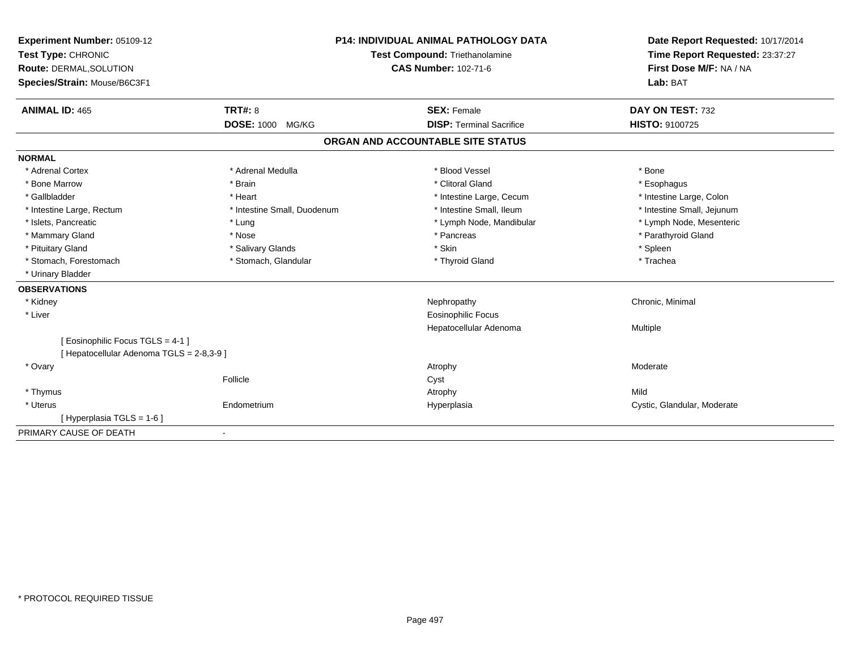| Experiment Number: 05109-12<br>Test Type: CHRONIC<br>Route: DERMAL, SOLUTION<br>Species/Strain: Mouse/B6C3F1 | <b>P14: INDIVIDUAL ANIMAL PATHOLOGY DATA</b><br>Test Compound: Triethanolamine<br><b>CAS Number: 102-71-6</b> |                                                       | Date Report Requested: 10/17/2014<br>Time Report Requested: 23:37:27<br>First Dose M/F: NA / NA<br>Lab: BAT |  |
|--------------------------------------------------------------------------------------------------------------|---------------------------------------------------------------------------------------------------------------|-------------------------------------------------------|-------------------------------------------------------------------------------------------------------------|--|
| <b>ANIMAL ID: 465</b>                                                                                        | <b>TRT#: 8</b><br>DOSE: 1000 MG/KG                                                                            | <b>SEX: Female</b><br><b>DISP: Terminal Sacrifice</b> | DAY ON TEST: 732<br><b>HISTO: 9100725</b>                                                                   |  |
|                                                                                                              |                                                                                                               | ORGAN AND ACCOUNTABLE SITE STATUS                     |                                                                                                             |  |
|                                                                                                              |                                                                                                               |                                                       |                                                                                                             |  |
| <b>NORMAL</b>                                                                                                |                                                                                                               |                                                       |                                                                                                             |  |
| * Adrenal Cortex                                                                                             | * Adrenal Medulla                                                                                             | * Blood Vessel                                        | * Bone                                                                                                      |  |
| * Bone Marrow                                                                                                | * Brain                                                                                                       | * Clitoral Gland                                      | * Esophagus                                                                                                 |  |
| * Gallbladder                                                                                                | * Heart                                                                                                       | * Intestine Large, Cecum                              | * Intestine Large, Colon                                                                                    |  |
| * Intestine Large, Rectum                                                                                    | * Intestine Small, Duodenum                                                                                   | * Intestine Small, Ileum                              | * Intestine Small, Jejunum                                                                                  |  |
| * Islets, Pancreatic                                                                                         | * Lung                                                                                                        | * Lymph Node, Mandibular                              | * Lymph Node, Mesenteric                                                                                    |  |
| * Mammary Gland                                                                                              | * Nose                                                                                                        | * Pancreas                                            | * Parathyroid Gland                                                                                         |  |
| * Pituitary Gland                                                                                            | * Salivary Glands                                                                                             | * Skin                                                | * Spleen                                                                                                    |  |
| * Stomach, Forestomach                                                                                       | * Stomach, Glandular                                                                                          | * Thyroid Gland                                       | * Trachea                                                                                                   |  |
| * Urinary Bladder                                                                                            |                                                                                                               |                                                       |                                                                                                             |  |
| <b>OBSERVATIONS</b>                                                                                          |                                                                                                               |                                                       |                                                                                                             |  |
| * Kidney                                                                                                     |                                                                                                               | Nephropathy                                           | Chronic, Minimal                                                                                            |  |
| * Liver                                                                                                      |                                                                                                               | Eosinophilic Focus                                    |                                                                                                             |  |
|                                                                                                              |                                                                                                               | Hepatocellular Adenoma                                | Multiple                                                                                                    |  |
| [Eosinophilic Focus TGLS = 4-1]                                                                              |                                                                                                               |                                                       |                                                                                                             |  |
| [ Hepatocellular Adenoma TGLS = 2-8,3-9 ]                                                                    |                                                                                                               |                                                       |                                                                                                             |  |
| * Ovary                                                                                                      |                                                                                                               | Atrophy                                               | Moderate                                                                                                    |  |
|                                                                                                              | Follicle                                                                                                      | Cyst                                                  |                                                                                                             |  |
| * Thymus                                                                                                     |                                                                                                               | Atrophy                                               | Mild                                                                                                        |  |
| * Uterus                                                                                                     | Endometrium                                                                                                   | Hyperplasia                                           | Cystic, Glandular, Moderate                                                                                 |  |
| [ Hyperplasia TGLS = 1-6 ]                                                                                   |                                                                                                               |                                                       |                                                                                                             |  |
| PRIMARY CAUSE OF DEATH                                                                                       |                                                                                                               |                                                       |                                                                                                             |  |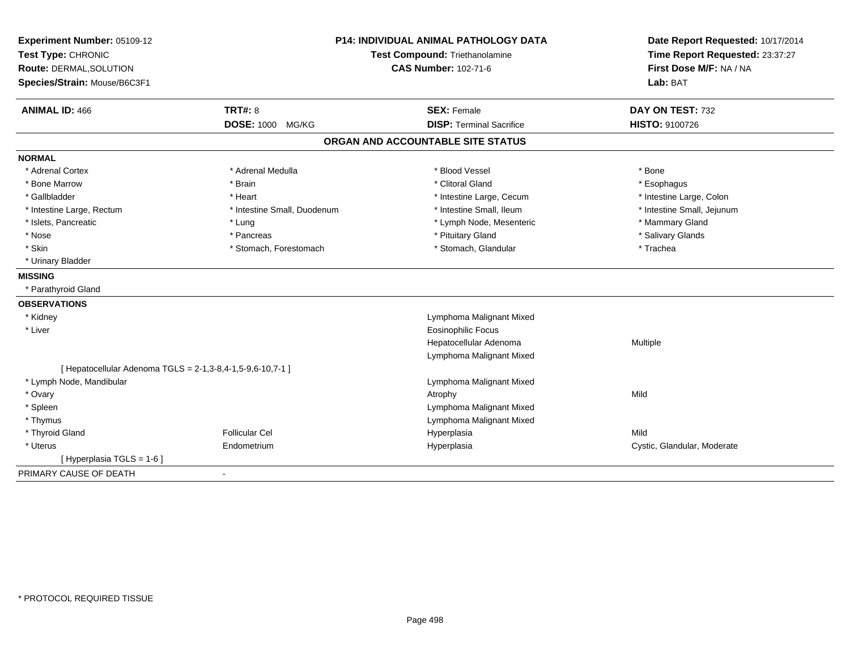| Experiment Number: 05109-12<br>Test Type: CHRONIC          |                             | <b>P14: INDIVIDUAL ANIMAL PATHOLOGY DATA</b><br>Test Compound: Triethanolamine | Date Report Requested: 10/17/2014<br>Time Report Requested: 23:37:27<br>First Dose M/F: NA / NA<br>Lab: BAT |
|------------------------------------------------------------|-----------------------------|--------------------------------------------------------------------------------|-------------------------------------------------------------------------------------------------------------|
| Route: DERMAL, SOLUTION<br>Species/Strain: Mouse/B6C3F1    |                             | <b>CAS Number: 102-71-6</b>                                                    |                                                                                                             |
| <b>ANIMAL ID: 466</b>                                      | <b>TRT#: 8</b>              | <b>SEX: Female</b>                                                             | DAY ON TEST: 732                                                                                            |
|                                                            | <b>DOSE: 1000 MG/KG</b>     | <b>DISP: Terminal Sacrifice</b>                                                | HISTO: 9100726                                                                                              |
|                                                            |                             | ORGAN AND ACCOUNTABLE SITE STATUS                                              |                                                                                                             |
| <b>NORMAL</b>                                              |                             |                                                                                |                                                                                                             |
| * Adrenal Cortex                                           | * Adrenal Medulla           | * Blood Vessel                                                                 | * Bone                                                                                                      |
| * Bone Marrow                                              | * Brain                     | * Clitoral Gland                                                               | * Esophagus                                                                                                 |
| * Gallbladder                                              | * Heart                     | * Intestine Large, Cecum                                                       | * Intestine Large, Colon                                                                                    |
| * Intestine Large, Rectum                                  | * Intestine Small, Duodenum | * Intestine Small, Ileum                                                       | * Intestine Small, Jejunum                                                                                  |
| * Islets, Pancreatic                                       | * Lung                      | * Lymph Node, Mesenteric                                                       | * Mammary Gland                                                                                             |
| * Nose                                                     | * Pancreas                  | * Pituitary Gland                                                              | * Salivary Glands                                                                                           |
| * Skin                                                     | * Stomach, Forestomach      | * Stomach, Glandular                                                           | * Trachea                                                                                                   |
| * Urinary Bladder                                          |                             |                                                                                |                                                                                                             |
| <b>MISSING</b>                                             |                             |                                                                                |                                                                                                             |
| * Parathyroid Gland                                        |                             |                                                                                |                                                                                                             |
| <b>OBSERVATIONS</b>                                        |                             |                                                                                |                                                                                                             |
| * Kidney                                                   |                             | Lymphoma Malignant Mixed                                                       |                                                                                                             |
| * Liver                                                    |                             | Eosinophilic Focus                                                             |                                                                                                             |
|                                                            |                             | Hepatocellular Adenoma                                                         | Multiple                                                                                                    |
|                                                            |                             | Lymphoma Malignant Mixed                                                       |                                                                                                             |
| [ Hepatocellular Adenoma TGLS = 2-1,3-8,4-1,5-9,6-10,7-1 ] |                             |                                                                                |                                                                                                             |
| * Lymph Node, Mandibular                                   |                             | Lymphoma Malignant Mixed                                                       |                                                                                                             |
| * Ovary                                                    |                             | Atrophy                                                                        | Mild                                                                                                        |
| * Spleen                                                   |                             | Lymphoma Malignant Mixed                                                       |                                                                                                             |
| * Thymus                                                   |                             | Lymphoma Malignant Mixed                                                       |                                                                                                             |
| * Thyroid Gland                                            | <b>Follicular Cel</b>       | Hyperplasia                                                                    | Mild                                                                                                        |
| * Uterus                                                   | Endometrium                 | Hyperplasia                                                                    | Cystic, Glandular, Moderate                                                                                 |
| [ Hyperplasia TGLS = 1-6 ]                                 |                             |                                                                                |                                                                                                             |
| PRIMARY CAUSE OF DEATH                                     |                             |                                                                                |                                                                                                             |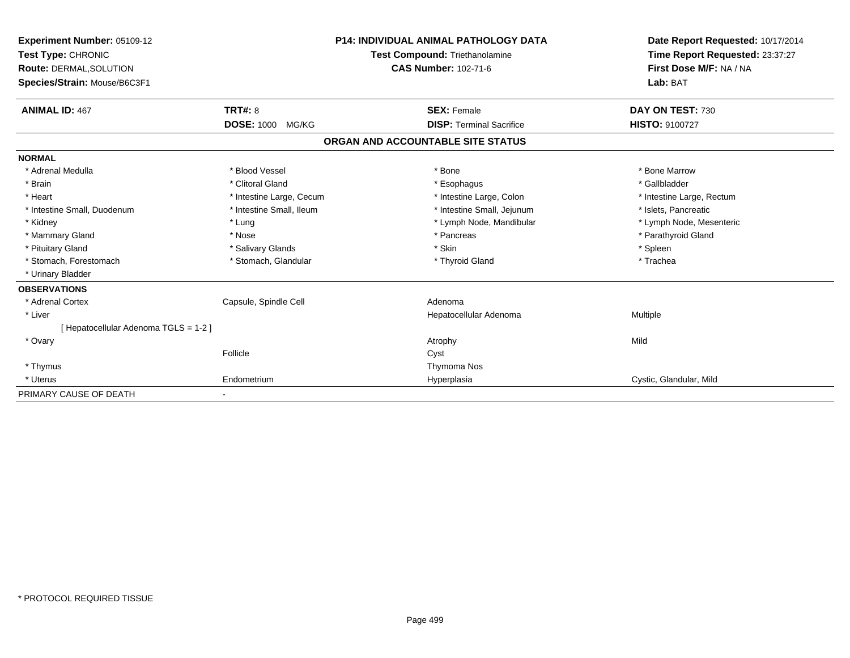| Experiment Number: 05109-12<br>Test Type: CHRONIC<br><b>Route: DERMAL, SOLUTION</b><br>Species/Strain: Mouse/B6C3F1 |                          | <b>P14: INDIVIDUAL ANIMAL PATHOLOGY DATA</b><br><b>Test Compound: Triethanolamine</b><br><b>CAS Number: 102-71-6</b> |                                   | Date Report Requested: 10/17/2014<br>Time Report Requested: 23:37:27<br>First Dose M/F: NA / NA<br>Lab: BAT |
|---------------------------------------------------------------------------------------------------------------------|--------------------------|----------------------------------------------------------------------------------------------------------------------|-----------------------------------|-------------------------------------------------------------------------------------------------------------|
|                                                                                                                     |                          |                                                                                                                      |                                   |                                                                                                             |
| <b>ANIMAL ID: 467</b>                                                                                               | TRT#: 8                  |                                                                                                                      | <b>SEX: Female</b>                | DAY ON TEST: 730                                                                                            |
|                                                                                                                     | <b>DOSE: 1000 MG/KG</b>  |                                                                                                                      | <b>DISP: Terminal Sacrifice</b>   | <b>HISTO: 9100727</b>                                                                                       |
|                                                                                                                     |                          |                                                                                                                      | ORGAN AND ACCOUNTABLE SITE STATUS |                                                                                                             |
| <b>NORMAL</b>                                                                                                       |                          |                                                                                                                      |                                   |                                                                                                             |
| * Adrenal Medulla                                                                                                   | * Blood Vessel           |                                                                                                                      | * Bone                            | * Bone Marrow                                                                                               |
| * Brain                                                                                                             | * Clitoral Gland         |                                                                                                                      | * Esophagus                       | * Gallbladder                                                                                               |
| * Heart                                                                                                             | * Intestine Large, Cecum |                                                                                                                      | * Intestine Large, Colon          | * Intestine Large, Rectum                                                                                   |
| * Intestine Small, Duodenum                                                                                         | * Intestine Small, Ileum |                                                                                                                      | * Intestine Small, Jejunum        | * Islets, Pancreatic                                                                                        |
| * Kidney                                                                                                            | * Lung                   |                                                                                                                      | * Lymph Node, Mandibular          | * Lymph Node, Mesenteric                                                                                    |
| * Mammary Gland                                                                                                     | * Nose                   |                                                                                                                      | * Pancreas                        | * Parathyroid Gland                                                                                         |
| * Pituitary Gland                                                                                                   | * Salivary Glands        |                                                                                                                      | * Skin                            | * Spleen                                                                                                    |
| * Stomach, Forestomach                                                                                              | * Stomach, Glandular     |                                                                                                                      | * Thyroid Gland                   | * Trachea                                                                                                   |
| * Urinary Bladder                                                                                                   |                          |                                                                                                                      |                                   |                                                                                                             |
| <b>OBSERVATIONS</b>                                                                                                 |                          |                                                                                                                      |                                   |                                                                                                             |
| * Adrenal Cortex                                                                                                    | Capsule, Spindle Cell    |                                                                                                                      | Adenoma                           |                                                                                                             |
| * Liver                                                                                                             |                          |                                                                                                                      | Hepatocellular Adenoma            | <b>Multiple</b>                                                                                             |
| [Hepatocellular Adenoma TGLS = 1-2]                                                                                 |                          |                                                                                                                      |                                   |                                                                                                             |
| * Ovary                                                                                                             |                          |                                                                                                                      | Atrophy                           | Mild                                                                                                        |
|                                                                                                                     | Follicle                 |                                                                                                                      | Cyst                              |                                                                                                             |
| * Thymus                                                                                                            |                          |                                                                                                                      | Thymoma Nos                       |                                                                                                             |
| * Uterus                                                                                                            | Endometrium              |                                                                                                                      | Hyperplasia                       | Cystic, Glandular, Mild                                                                                     |
| PRIMARY CAUSE OF DEATH                                                                                              |                          |                                                                                                                      |                                   |                                                                                                             |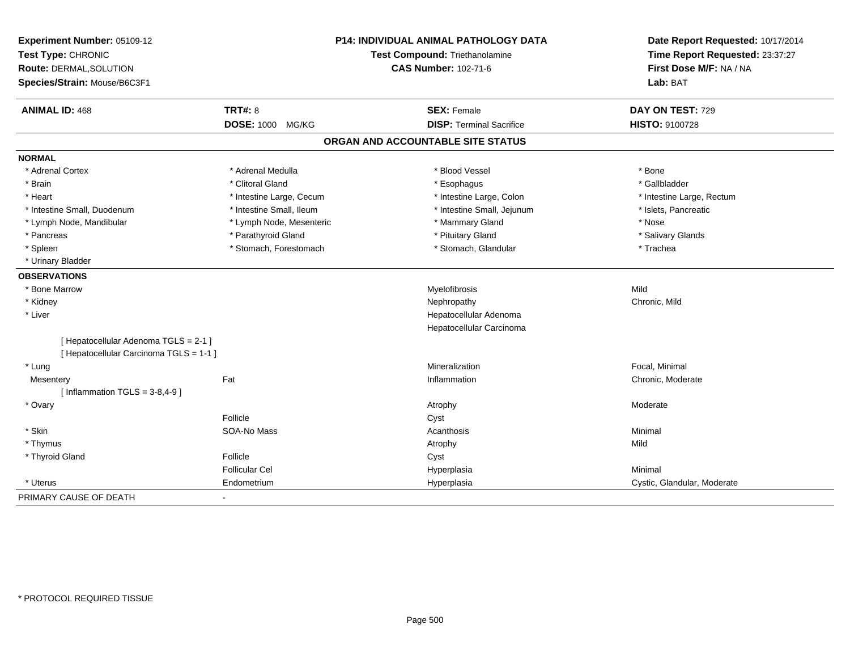| Experiment Number: 05109-12<br>Test Type: CHRONIC<br><b>Route: DERMAL, SOLUTION</b><br>Species/Strain: Mouse/B6C3F1 | P14: INDIVIDUAL ANIMAL PATHOLOGY DATA<br>Test Compound: Triethanolamine<br><b>CAS Number: 102-71-6</b> |                                   | Date Report Requested: 10/17/2014<br>Time Report Requested: 23:37:27<br>First Dose M/F: NA / NA<br>Lab: BAT |
|---------------------------------------------------------------------------------------------------------------------|--------------------------------------------------------------------------------------------------------|-----------------------------------|-------------------------------------------------------------------------------------------------------------|
| <b>ANIMAL ID: 468</b>                                                                                               | <b>TRT#: 8</b>                                                                                         | <b>SEX: Female</b>                | DAY ON TEST: 729                                                                                            |
|                                                                                                                     | <b>DOSE: 1000 MG/KG</b>                                                                                | <b>DISP: Terminal Sacrifice</b>   | HISTO: 9100728                                                                                              |
|                                                                                                                     |                                                                                                        | ORGAN AND ACCOUNTABLE SITE STATUS |                                                                                                             |
| <b>NORMAL</b>                                                                                                       |                                                                                                        |                                   |                                                                                                             |
| * Adrenal Cortex                                                                                                    | * Adrenal Medulla                                                                                      | * Blood Vessel                    | * Bone                                                                                                      |
| * Brain                                                                                                             | * Clitoral Gland                                                                                       | * Esophagus                       | * Gallbladder                                                                                               |
| * Heart                                                                                                             | * Intestine Large, Cecum                                                                               | * Intestine Large, Colon          | * Intestine Large, Rectum                                                                                   |
| * Intestine Small, Duodenum                                                                                         | * Intestine Small, Ileum                                                                               | * Intestine Small, Jejunum        | * Islets, Pancreatic                                                                                        |
| * Lymph Node, Mandibular                                                                                            | * Lymph Node, Mesenteric                                                                               | * Mammary Gland                   | * Nose                                                                                                      |
| * Pancreas                                                                                                          | * Parathyroid Gland                                                                                    | * Pituitary Gland                 | * Salivary Glands                                                                                           |
| * Spleen                                                                                                            | * Stomach, Forestomach                                                                                 | * Stomach, Glandular              | * Trachea                                                                                                   |
| * Urinary Bladder                                                                                                   |                                                                                                        |                                   |                                                                                                             |
| <b>OBSERVATIONS</b>                                                                                                 |                                                                                                        |                                   |                                                                                                             |
| * Bone Marrow                                                                                                       |                                                                                                        | Myelofibrosis                     | Mild                                                                                                        |
| * Kidney                                                                                                            |                                                                                                        | Nephropathy                       | Chronic, Mild                                                                                               |
| * Liver                                                                                                             |                                                                                                        | Hepatocellular Adenoma            |                                                                                                             |
|                                                                                                                     |                                                                                                        | Hepatocellular Carcinoma          |                                                                                                             |
| [ Hepatocellular Adenoma TGLS = 2-1 ]<br>[ Hepatocellular Carcinoma TGLS = 1-1 ]                                    |                                                                                                        |                                   |                                                                                                             |
| * Lung                                                                                                              |                                                                                                        | Mineralization                    | Focal, Minimal                                                                                              |
| Mesentery                                                                                                           | Fat                                                                                                    | Inflammation                      | Chronic, Moderate                                                                                           |
| [Inflammation TGLS = $3-8,4-9$ ]                                                                                    |                                                                                                        |                                   |                                                                                                             |
| * Ovary                                                                                                             |                                                                                                        | Atrophy                           | Moderate                                                                                                    |
|                                                                                                                     | Follicle                                                                                               | Cyst                              |                                                                                                             |
| * Skin                                                                                                              | SOA-No Mass                                                                                            | Acanthosis                        | Minimal                                                                                                     |
| * Thymus                                                                                                            |                                                                                                        | Atrophy                           | Mild                                                                                                        |
| * Thyroid Gland                                                                                                     | Follicle                                                                                               | Cyst                              |                                                                                                             |
|                                                                                                                     | <b>Follicular Cel</b>                                                                                  | Hyperplasia                       | Minimal                                                                                                     |
| * Uterus                                                                                                            | Endometrium                                                                                            | Hyperplasia                       | Cystic, Glandular, Moderate                                                                                 |
| PRIMARY CAUSE OF DEATH                                                                                              | $\blacksquare$                                                                                         |                                   |                                                                                                             |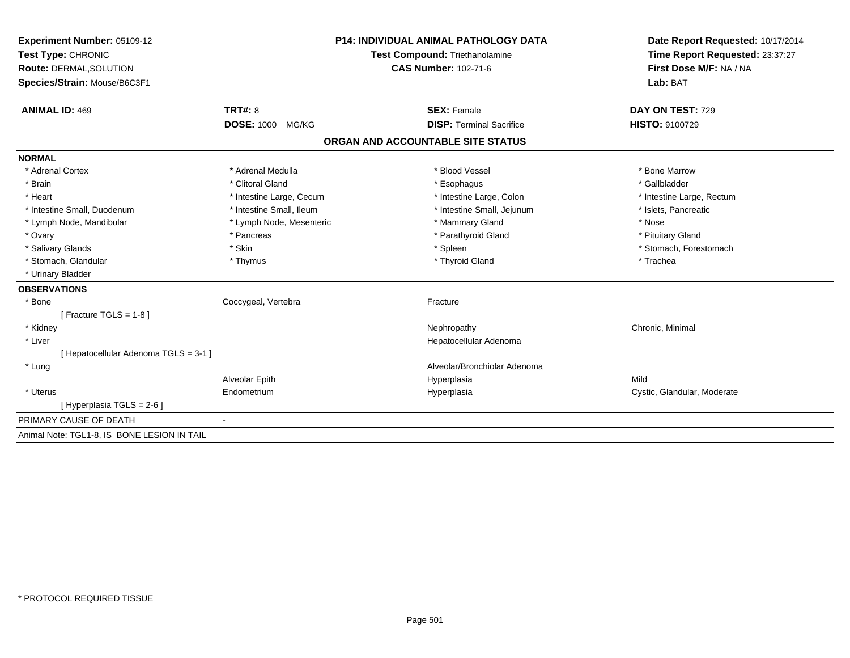| Experiment Number: 05109-12                 | <b>P14: INDIVIDUAL ANIMAL PATHOLOGY DATA</b><br>Test Compound: Triethanolamine |                                   | Date Report Requested: 10/17/2014   |
|---------------------------------------------|--------------------------------------------------------------------------------|-----------------------------------|-------------------------------------|
| Test Type: CHRONIC                          |                                                                                |                                   | Time Report Requested: 23:37:27     |
| Route: DERMAL, SOLUTION                     |                                                                                | <b>CAS Number: 102-71-6</b>       | First Dose M/F: NA / NA<br>Lab: BAT |
| Species/Strain: Mouse/B6C3F1                |                                                                                |                                   |                                     |
| <b>ANIMAL ID: 469</b>                       | <b>TRT#: 8</b>                                                                 | <b>SEX: Female</b>                | DAY ON TEST: 729                    |
|                                             | DOSE: 1000 MG/KG                                                               | <b>DISP: Terminal Sacrifice</b>   | <b>HISTO: 9100729</b>               |
|                                             |                                                                                | ORGAN AND ACCOUNTABLE SITE STATUS |                                     |
| <b>NORMAL</b>                               |                                                                                |                                   |                                     |
| * Adrenal Cortex                            | * Adrenal Medulla                                                              | * Blood Vessel                    | * Bone Marrow                       |
| * Brain                                     | * Clitoral Gland                                                               | * Esophagus                       | * Gallbladder                       |
| * Heart                                     | * Intestine Large, Cecum                                                       | * Intestine Large, Colon          | * Intestine Large, Rectum           |
| * Intestine Small, Duodenum                 | * Intestine Small, Ileum                                                       | * Intestine Small, Jejunum        | * Islets, Pancreatic                |
| * Lymph Node, Mandibular                    | * Lymph Node, Mesenteric                                                       | * Mammary Gland                   | * Nose                              |
| * Ovary                                     | * Pancreas                                                                     | * Parathyroid Gland               | * Pituitary Gland                   |
| * Salivary Glands                           | * Skin                                                                         | * Spleen                          | * Stomach, Forestomach              |
| * Stomach, Glandular                        | * Thymus                                                                       | * Thyroid Gland                   | * Trachea                           |
| * Urinary Bladder                           |                                                                                |                                   |                                     |
| <b>OBSERVATIONS</b>                         |                                                                                |                                   |                                     |
| * Bone                                      | Coccygeal, Vertebra                                                            | Fracture                          |                                     |
| [ Fracture TGLS = $1-8$ ]                   |                                                                                |                                   |                                     |
| * Kidney                                    |                                                                                | Nephropathy                       | Chronic, Minimal                    |
| * Liver                                     |                                                                                | Hepatocellular Adenoma            |                                     |
| [ Hepatocellular Adenoma TGLS = 3-1 ]       |                                                                                |                                   |                                     |
| * Lung                                      |                                                                                | Alveolar/Bronchiolar Adenoma      |                                     |
|                                             | Alveolar Epith                                                                 | Hyperplasia                       | Mild                                |
| * Uterus                                    | Endometrium                                                                    | Hyperplasia                       | Cystic, Glandular, Moderate         |
| [Hyperplasia TGLS = 2-6]                    |                                                                                |                                   |                                     |
| PRIMARY CAUSE OF DEATH                      |                                                                                |                                   |                                     |
| Animal Note: TGL1-8, IS BONE LESION IN TAIL |                                                                                |                                   |                                     |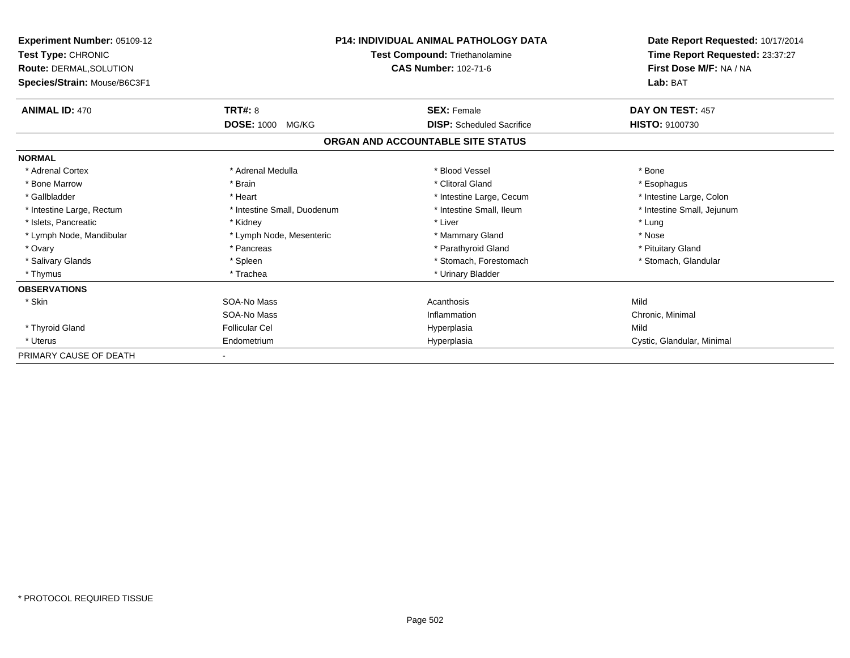| Experiment Number: 05109-12<br><b>Test Type: CHRONIC</b><br>Route: DERMAL, SOLUTION<br>Species/Strain: Mouse/B6C3F1 | <b>P14: INDIVIDUAL ANIMAL PATHOLOGY DATA</b><br>Test Compound: Triethanolamine<br><b>CAS Number: 102-71-6</b> |                                   | Date Report Requested: 10/17/2014<br>Time Report Requested: 23:37:27<br>First Dose M/F: NA / NA<br>Lab: BAT |
|---------------------------------------------------------------------------------------------------------------------|---------------------------------------------------------------------------------------------------------------|-----------------------------------|-------------------------------------------------------------------------------------------------------------|
| <b>ANIMAL ID: 470</b>                                                                                               | TRT#: 8                                                                                                       | <b>SEX: Female</b>                | DAY ON TEST: 457                                                                                            |
|                                                                                                                     | <b>DOSE: 1000</b><br>MG/KG                                                                                    | <b>DISP:</b> Scheduled Sacrifice  | <b>HISTO: 9100730</b>                                                                                       |
|                                                                                                                     |                                                                                                               | ORGAN AND ACCOUNTABLE SITE STATUS |                                                                                                             |
| <b>NORMAL</b>                                                                                                       |                                                                                                               |                                   |                                                                                                             |
| * Adrenal Cortex                                                                                                    | * Adrenal Medulla                                                                                             | * Blood Vessel                    | * Bone                                                                                                      |
| * Bone Marrow                                                                                                       | * Brain                                                                                                       | * Clitoral Gland                  | * Esophagus                                                                                                 |
| * Gallbladder                                                                                                       | * Heart                                                                                                       | * Intestine Large, Cecum          | * Intestine Large, Colon                                                                                    |
| * Intestine Large, Rectum                                                                                           | * Intestine Small, Duodenum                                                                                   | * Intestine Small, Ileum          | * Intestine Small, Jejunum                                                                                  |
| * Islets, Pancreatic                                                                                                | * Kidney                                                                                                      | * Liver                           | * Lung                                                                                                      |
| * Lymph Node, Mandibular                                                                                            | * Lymph Node, Mesenteric                                                                                      | * Mammary Gland                   | * Nose                                                                                                      |
| * Ovary                                                                                                             | * Pancreas                                                                                                    | * Parathyroid Gland               | * Pituitary Gland                                                                                           |
| * Salivary Glands                                                                                                   | * Spleen                                                                                                      | * Stomach, Forestomach            | * Stomach, Glandular                                                                                        |
| * Thymus                                                                                                            | * Trachea                                                                                                     | * Urinary Bladder                 |                                                                                                             |
| <b>OBSERVATIONS</b>                                                                                                 |                                                                                                               |                                   |                                                                                                             |
| * Skin                                                                                                              | SOA-No Mass                                                                                                   | Acanthosis                        | Mild                                                                                                        |
|                                                                                                                     | SOA-No Mass                                                                                                   | Inflammation                      | Chronic, Minimal                                                                                            |
| * Thyroid Gland                                                                                                     | <b>Follicular Cel</b>                                                                                         | Hyperplasia                       | Mild                                                                                                        |
| * Uterus                                                                                                            | Endometrium                                                                                                   | Hyperplasia                       | Cystic, Glandular, Minimal                                                                                  |
| PRIMARY CAUSE OF DEATH                                                                                              |                                                                                                               |                                   |                                                                                                             |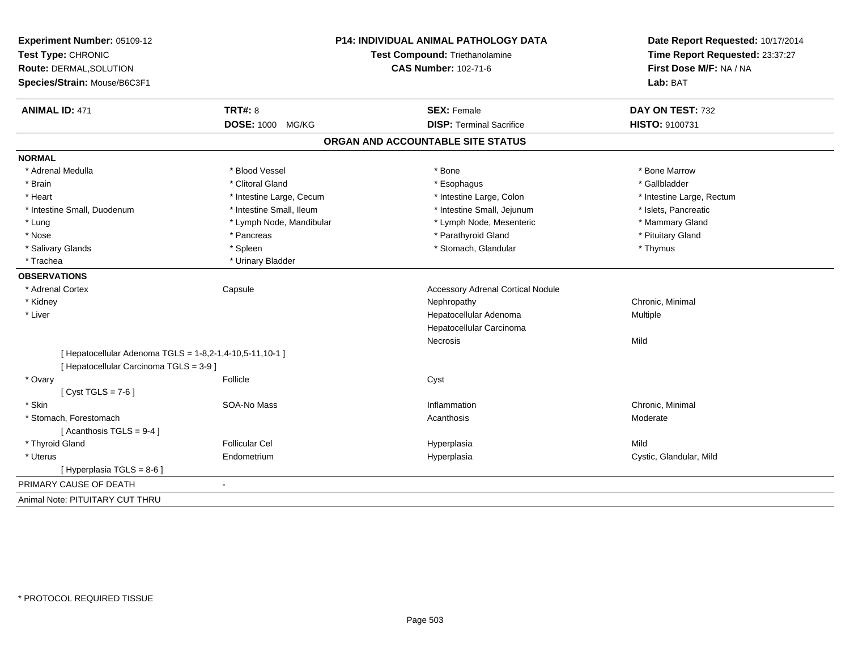| Experiment Number: 05109-12<br>Test Type: CHRONIC<br>Route: DERMAL, SOLUTION<br>Species/Strain: Mouse/B6C3F1 |                          | P14: INDIVIDUAL ANIMAL PATHOLOGY DATA<br>Test Compound: Triethanolamine<br><b>CAS Number: 102-71-6</b> | Date Report Requested: 10/17/2014<br>Time Report Requested: 23:37:27<br>First Dose M/F: NA / NA<br>Lab: BAT |
|--------------------------------------------------------------------------------------------------------------|--------------------------|--------------------------------------------------------------------------------------------------------|-------------------------------------------------------------------------------------------------------------|
| <b>ANIMAL ID: 471</b>                                                                                        | <b>TRT#: 8</b>           | <b>SEX: Female</b>                                                                                     | DAY ON TEST: 732                                                                                            |
|                                                                                                              | <b>DOSE: 1000 MG/KG</b>  | <b>DISP: Terminal Sacrifice</b>                                                                        | <b>HISTO: 9100731</b>                                                                                       |
|                                                                                                              |                          | ORGAN AND ACCOUNTABLE SITE STATUS                                                                      |                                                                                                             |
| <b>NORMAL</b>                                                                                                |                          |                                                                                                        |                                                                                                             |
| * Adrenal Medulla                                                                                            | * Blood Vessel           | * Bone                                                                                                 | * Bone Marrow                                                                                               |
| * Brain                                                                                                      | * Clitoral Gland         | * Esophagus                                                                                            | * Gallbladder                                                                                               |
| * Heart                                                                                                      | * Intestine Large, Cecum | * Intestine Large, Colon                                                                               | * Intestine Large, Rectum                                                                                   |
| * Intestine Small, Duodenum                                                                                  | * Intestine Small, Ileum | * Intestine Small, Jejunum                                                                             | * Islets, Pancreatic                                                                                        |
| * Lung                                                                                                       | * Lymph Node, Mandibular | * Lymph Node, Mesenteric                                                                               | * Mammary Gland                                                                                             |
| * Nose                                                                                                       | * Pancreas               | * Parathyroid Gland                                                                                    | * Pituitary Gland                                                                                           |
| * Salivary Glands                                                                                            | * Spleen                 | * Stomach, Glandular                                                                                   | * Thymus                                                                                                    |
| * Trachea                                                                                                    | * Urinary Bladder        |                                                                                                        |                                                                                                             |
| <b>OBSERVATIONS</b>                                                                                          |                          |                                                                                                        |                                                                                                             |
| * Adrenal Cortex                                                                                             | Capsule                  | <b>Accessory Adrenal Cortical Nodule</b>                                                               |                                                                                                             |
| * Kidney                                                                                                     |                          | Nephropathy                                                                                            | Chronic, Minimal                                                                                            |
| * Liver                                                                                                      |                          | Hepatocellular Adenoma                                                                                 | Multiple                                                                                                    |
|                                                                                                              |                          | Hepatocellular Carcinoma                                                                               |                                                                                                             |
|                                                                                                              |                          | <b>Necrosis</b>                                                                                        | Mild                                                                                                        |
| [ Hepatocellular Adenoma TGLS = 1-8,2-1,4-10,5-11,10-1 ]<br>[ Hepatocellular Carcinoma TGLS = 3-9 ]          |                          |                                                                                                        |                                                                                                             |
| * Ovary<br>[Cyst TGLS = $7-6$ ]                                                                              | Follicle                 | Cyst                                                                                                   |                                                                                                             |
| * Skin                                                                                                       | SOA-No Mass              | Inflammation                                                                                           | Chronic, Minimal                                                                                            |
| * Stomach, Forestomach<br>[Acanthosis TGLS = 9-4]                                                            |                          | Acanthosis                                                                                             | Moderate                                                                                                    |
| * Thyroid Gland                                                                                              | <b>Follicular Cel</b>    | Hyperplasia                                                                                            | Mild                                                                                                        |
| * Uterus                                                                                                     | Endometrium              | Hyperplasia                                                                                            | Cystic, Glandular, Mild                                                                                     |
| [ Hyperplasia TGLS = 8-6 ]                                                                                   |                          |                                                                                                        |                                                                                                             |
| PRIMARY CAUSE OF DEATH                                                                                       | $\blacksquare$           |                                                                                                        |                                                                                                             |
| Animal Note: PITUITARY CUT THRU                                                                              |                          |                                                                                                        |                                                                                                             |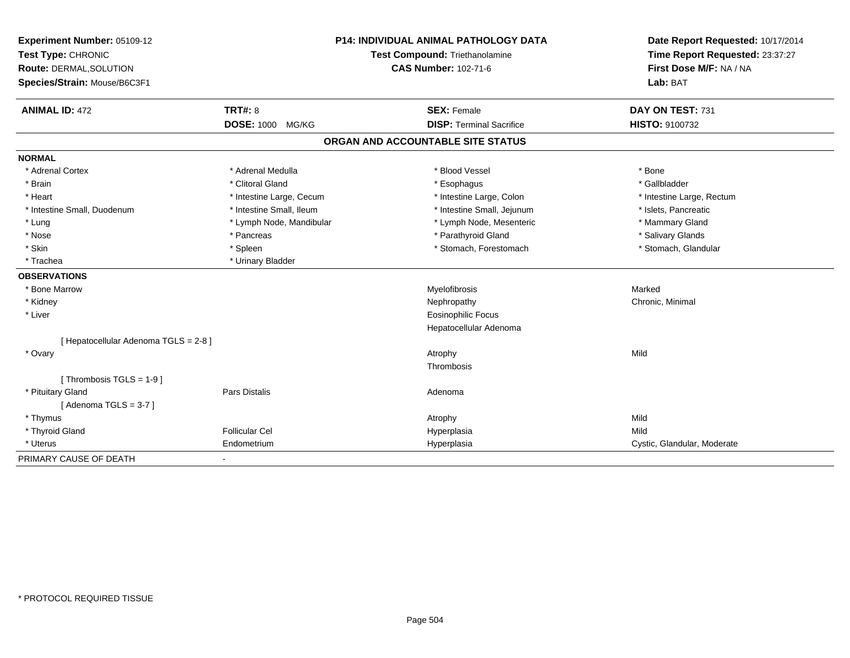| Experiment Number: 05109-12<br>Test Type: CHRONIC<br>Route: DERMAL, SOLUTION<br>Species/Strain: Mouse/B6C3F1 |                          | <b>P14: INDIVIDUAL ANIMAL PATHOLOGY DATA</b><br>Test Compound: Triethanolamine<br><b>CAS Number: 102-71-6</b> | Date Report Requested: 10/17/2014<br>Time Report Requested: 23:37:27<br>First Dose M/F: NA / NA<br>Lab: BAT |
|--------------------------------------------------------------------------------------------------------------|--------------------------|---------------------------------------------------------------------------------------------------------------|-------------------------------------------------------------------------------------------------------------|
| <b>ANIMAL ID: 472</b>                                                                                        | <b>TRT#: 8</b>           | <b>SEX: Female</b>                                                                                            | DAY ON TEST: 731                                                                                            |
|                                                                                                              | <b>DOSE: 1000 MG/KG</b>  | <b>DISP: Terminal Sacrifice</b>                                                                               | HISTO: 9100732                                                                                              |
|                                                                                                              |                          | ORGAN AND ACCOUNTABLE SITE STATUS                                                                             |                                                                                                             |
| <b>NORMAL</b>                                                                                                |                          |                                                                                                               |                                                                                                             |
| * Adrenal Cortex                                                                                             | * Adrenal Medulla        | * Blood Vessel                                                                                                | * Bone                                                                                                      |
| * Brain                                                                                                      | * Clitoral Gland         | * Esophagus                                                                                                   | * Gallbladder                                                                                               |
| * Heart                                                                                                      | * Intestine Large, Cecum | * Intestine Large, Colon                                                                                      | * Intestine Large, Rectum                                                                                   |
| * Intestine Small, Duodenum                                                                                  | * Intestine Small, Ileum | * Intestine Small, Jejunum                                                                                    | * Islets, Pancreatic                                                                                        |
| * Lung                                                                                                       | * Lymph Node, Mandibular | * Lymph Node, Mesenteric                                                                                      | * Mammary Gland                                                                                             |
| * Nose                                                                                                       | * Pancreas               | * Parathyroid Gland                                                                                           | * Salivary Glands                                                                                           |
| * Skin                                                                                                       | * Spleen                 | * Stomach, Forestomach                                                                                        | * Stomach, Glandular                                                                                        |
| * Trachea                                                                                                    | * Urinary Bladder        |                                                                                                               |                                                                                                             |
| <b>OBSERVATIONS</b>                                                                                          |                          |                                                                                                               |                                                                                                             |
| * Bone Marrow                                                                                                |                          | Myelofibrosis                                                                                                 | Marked                                                                                                      |
| * Kidney                                                                                                     |                          | Nephropathy                                                                                                   | Chronic, Minimal                                                                                            |
| * Liver                                                                                                      |                          | <b>Eosinophilic Focus</b>                                                                                     |                                                                                                             |
|                                                                                                              |                          | Hepatocellular Adenoma                                                                                        |                                                                                                             |
| [ Hepatocellular Adenoma TGLS = 2-8 ]                                                                        |                          |                                                                                                               |                                                                                                             |
| * Ovary                                                                                                      |                          | Atrophy                                                                                                       | Mild                                                                                                        |
|                                                                                                              |                          | Thrombosis                                                                                                    |                                                                                                             |
| [Thrombosis TGLS = 1-9]                                                                                      |                          |                                                                                                               |                                                                                                             |
| * Pituitary Gland                                                                                            | Pars Distalis            | Adenoma                                                                                                       |                                                                                                             |
| [Adenoma TGLS = $3-7$ ]                                                                                      |                          |                                                                                                               |                                                                                                             |
| * Thymus                                                                                                     |                          | Atrophy                                                                                                       | Mild                                                                                                        |
| * Thyroid Gland                                                                                              | <b>Follicular Cel</b>    | Hyperplasia                                                                                                   | Mild                                                                                                        |
| * Uterus                                                                                                     | Endometrium              | Hyperplasia                                                                                                   | Cystic, Glandular, Moderate                                                                                 |
| PRIMARY CAUSE OF DEATH                                                                                       |                          |                                                                                                               |                                                                                                             |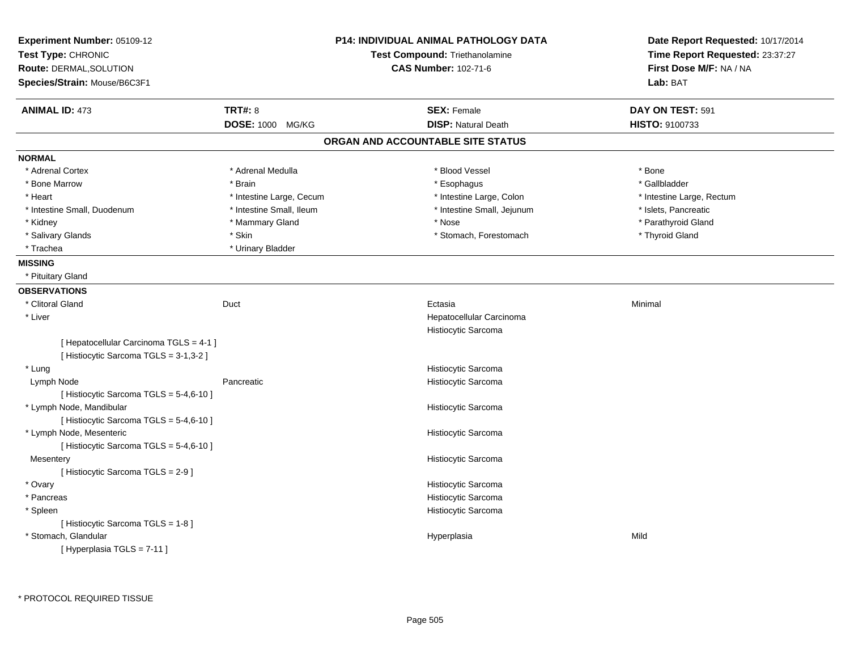| Experiment Number: 05109-12<br>Test Type: CHRONIC<br>Route: DERMAL, SOLUTION<br>Species/Strain: Mouse/B6C3F1 |                          | <b>P14: INDIVIDUAL ANIMAL PATHOLOGY DATA</b><br>Test Compound: Triethanolamine<br><b>CAS Number: 102-71-6</b> | Date Report Requested: 10/17/2014<br>Time Report Requested: 23:37:27<br>First Dose M/F: NA / NA<br>Lab: BAT |
|--------------------------------------------------------------------------------------------------------------|--------------------------|---------------------------------------------------------------------------------------------------------------|-------------------------------------------------------------------------------------------------------------|
| <b>ANIMAL ID: 473</b>                                                                                        | <b>TRT#: 8</b>           | <b>SEX: Female</b>                                                                                            | DAY ON TEST: 591                                                                                            |
|                                                                                                              | DOSE: 1000 MG/KG         | <b>DISP: Natural Death</b>                                                                                    | HISTO: 9100733                                                                                              |
|                                                                                                              |                          | ORGAN AND ACCOUNTABLE SITE STATUS                                                                             |                                                                                                             |
| <b>NORMAL</b>                                                                                                |                          |                                                                                                               |                                                                                                             |
| * Adrenal Cortex                                                                                             | * Adrenal Medulla        | * Blood Vessel                                                                                                | * Bone                                                                                                      |
| * Bone Marrow                                                                                                | * Brain                  | * Esophagus                                                                                                   | * Gallbladder                                                                                               |
| * Heart                                                                                                      | * Intestine Large, Cecum | * Intestine Large, Colon                                                                                      | * Intestine Large, Rectum                                                                                   |
| * Intestine Small, Duodenum                                                                                  | * Intestine Small, Ileum | * Intestine Small, Jejunum                                                                                    | * Islets, Pancreatic                                                                                        |
| * Kidney                                                                                                     | * Mammary Gland          | * Nose                                                                                                        | * Parathyroid Gland                                                                                         |
| * Salivary Glands                                                                                            | * Skin                   | * Stomach, Forestomach                                                                                        | * Thyroid Gland                                                                                             |
| * Trachea                                                                                                    | * Urinary Bladder        |                                                                                                               |                                                                                                             |
| <b>MISSING</b>                                                                                               |                          |                                                                                                               |                                                                                                             |
| * Pituitary Gland                                                                                            |                          |                                                                                                               |                                                                                                             |
| <b>OBSERVATIONS</b>                                                                                          |                          |                                                                                                               |                                                                                                             |
| * Clitoral Gland                                                                                             | Duct                     | Ectasia                                                                                                       | Minimal                                                                                                     |
| * Liver                                                                                                      |                          | Hepatocellular Carcinoma                                                                                      |                                                                                                             |
|                                                                                                              |                          | Histiocytic Sarcoma                                                                                           |                                                                                                             |
| [ Hepatocellular Carcinoma TGLS = 4-1 ]                                                                      |                          |                                                                                                               |                                                                                                             |
| [ Histiocytic Sarcoma TGLS = 3-1,3-2 ]                                                                       |                          |                                                                                                               |                                                                                                             |
| * Lung                                                                                                       |                          | Histiocytic Sarcoma                                                                                           |                                                                                                             |
| Lymph Node                                                                                                   | Pancreatic               | Histiocytic Sarcoma                                                                                           |                                                                                                             |
| [ Histiocytic Sarcoma TGLS = 5-4,6-10 ]                                                                      |                          |                                                                                                               |                                                                                                             |
| * Lymph Node, Mandibular                                                                                     |                          | Histiocytic Sarcoma                                                                                           |                                                                                                             |
| [ Histiocytic Sarcoma TGLS = 5-4,6-10 ]                                                                      |                          |                                                                                                               |                                                                                                             |
| * Lymph Node, Mesenteric                                                                                     |                          | Histiocytic Sarcoma                                                                                           |                                                                                                             |
| [ Histiocytic Sarcoma TGLS = 5-4,6-10 ]                                                                      |                          |                                                                                                               |                                                                                                             |
| Mesentery                                                                                                    |                          | Histiocytic Sarcoma                                                                                           |                                                                                                             |
| [ Histiocytic Sarcoma TGLS = 2-9 ]                                                                           |                          |                                                                                                               |                                                                                                             |
| * Ovary                                                                                                      |                          | Histiocytic Sarcoma                                                                                           |                                                                                                             |
| * Pancreas                                                                                                   |                          | Histiocytic Sarcoma                                                                                           |                                                                                                             |
| * Spleen                                                                                                     |                          | Histiocytic Sarcoma                                                                                           |                                                                                                             |
| [Histiocytic Sarcoma TGLS = 1-8]                                                                             |                          |                                                                                                               |                                                                                                             |
| * Stomach, Glandular                                                                                         |                          | Hyperplasia                                                                                                   | Mild                                                                                                        |
| [Hyperplasia TGLS = 7-11]                                                                                    |                          |                                                                                                               |                                                                                                             |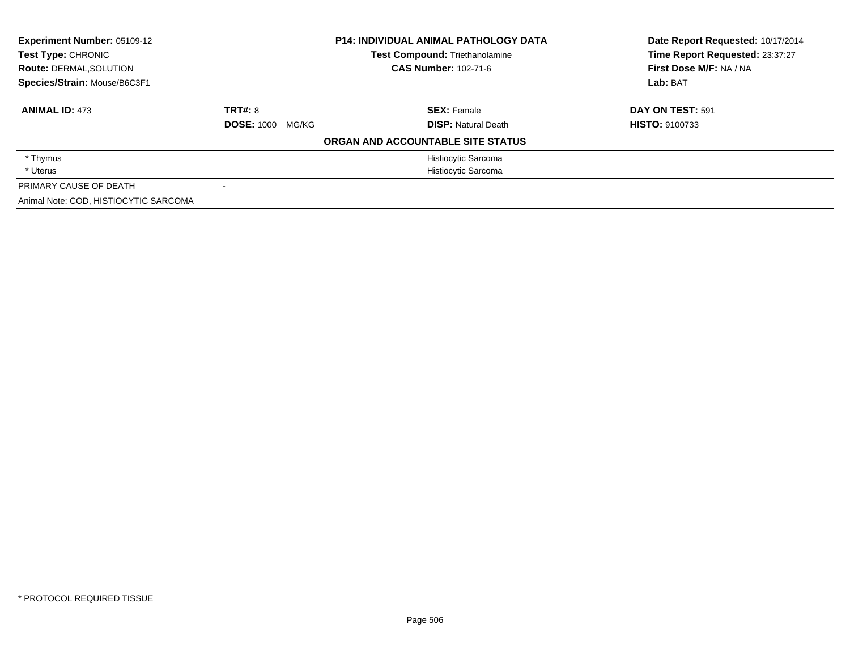| <b>Experiment Number: 05109-12</b><br>Test Type: CHRONIC<br><b>Route: DERMAL, SOLUTION</b><br>Species/Strain: Mouse/B6C3F1 |                            | <b>P14: INDIVIDUAL ANIMAL PATHOLOGY DATA</b><br><b>Test Compound: Triethanolamine</b><br><b>CAS Number: 102-71-6</b> | Date Report Requested: 10/17/2014<br>Time Report Requested: 23:37:27<br>First Dose M/F: NA / NA<br>Lab: BAT |
|----------------------------------------------------------------------------------------------------------------------------|----------------------------|----------------------------------------------------------------------------------------------------------------------|-------------------------------------------------------------------------------------------------------------|
| <b>ANIMAL ID: 473</b>                                                                                                      | TRT#: 8                    | <b>SEX: Female</b>                                                                                                   | DAY ON TEST: 591                                                                                            |
|                                                                                                                            | <b>DOSE: 1000</b><br>MG/KG | <b>DISP:</b> Natural Death                                                                                           | <b>HISTO: 9100733</b>                                                                                       |
|                                                                                                                            |                            | ORGAN AND ACCOUNTABLE SITE STATUS                                                                                    |                                                                                                             |
| * Thymus                                                                                                                   |                            | Histiocytic Sarcoma                                                                                                  |                                                                                                             |
| * Uterus                                                                                                                   |                            | Histiocytic Sarcoma                                                                                                  |                                                                                                             |
| PRIMARY CAUSE OF DEATH                                                                                                     |                            |                                                                                                                      |                                                                                                             |
| Animal Note: COD, HISTIOCYTIC SARCOMA                                                                                      |                            |                                                                                                                      |                                                                                                             |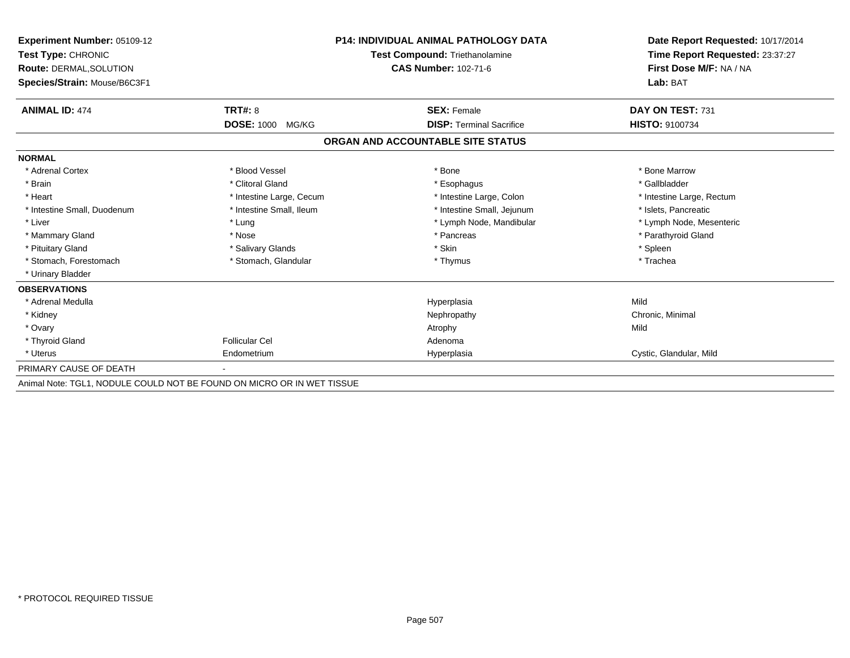| <b>Experiment Number: 05109-12</b><br>Test Type: CHRONIC<br><b>Route: DERMAL, SOLUTION</b><br>Species/Strain: Mouse/B6C3F1 |                                                                        | <b>P14: INDIVIDUAL ANIMAL PATHOLOGY DATA</b><br><b>Test Compound: Triethanolamine</b><br><b>CAS Number: 102-71-6</b> | Date Report Requested: 10/17/2014<br>Time Report Requested: 23:37:27<br>First Dose M/F: NA / NA<br>Lab: BAT |  |
|----------------------------------------------------------------------------------------------------------------------------|------------------------------------------------------------------------|----------------------------------------------------------------------------------------------------------------------|-------------------------------------------------------------------------------------------------------------|--|
| <b>ANIMAL ID: 474</b>                                                                                                      | <b>TRT#: 8</b>                                                         | <b>SEX: Female</b>                                                                                                   | DAY ON TEST: 731                                                                                            |  |
|                                                                                                                            | <b>DOSE: 1000</b><br>MG/KG                                             | <b>DISP: Terminal Sacrifice</b>                                                                                      | <b>HISTO: 9100734</b>                                                                                       |  |
|                                                                                                                            |                                                                        | ORGAN AND ACCOUNTABLE SITE STATUS                                                                                    |                                                                                                             |  |
| <b>NORMAL</b>                                                                                                              |                                                                        |                                                                                                                      |                                                                                                             |  |
| * Adrenal Cortex                                                                                                           | * Blood Vessel                                                         | * Bone                                                                                                               | * Bone Marrow                                                                                               |  |
| * Brain                                                                                                                    | * Clitoral Gland                                                       | * Esophagus                                                                                                          | * Gallbladder                                                                                               |  |
| * Heart                                                                                                                    | * Intestine Large, Cecum                                               | * Intestine Large, Colon                                                                                             | * Intestine Large, Rectum                                                                                   |  |
| * Intestine Small, Duodenum                                                                                                | * Intestine Small, Ileum                                               | * Intestine Small, Jejunum                                                                                           | * Islets, Pancreatic                                                                                        |  |
| * Liver                                                                                                                    | * Lung                                                                 | * Lymph Node, Mandibular                                                                                             | * Lymph Node, Mesenteric                                                                                    |  |
| * Mammary Gland                                                                                                            | * Nose                                                                 | * Pancreas                                                                                                           | * Parathyroid Gland                                                                                         |  |
| * Pituitary Gland                                                                                                          | * Salivary Glands                                                      | * Skin                                                                                                               | * Spleen                                                                                                    |  |
| * Stomach, Forestomach                                                                                                     | * Stomach, Glandular                                                   | * Thymus                                                                                                             | * Trachea                                                                                                   |  |
| * Urinary Bladder                                                                                                          |                                                                        |                                                                                                                      |                                                                                                             |  |
| <b>OBSERVATIONS</b>                                                                                                        |                                                                        |                                                                                                                      |                                                                                                             |  |
| * Adrenal Medulla                                                                                                          |                                                                        | Hyperplasia                                                                                                          | Mild                                                                                                        |  |
| * Kidney                                                                                                                   |                                                                        | Nephropathy                                                                                                          | Chronic, Minimal                                                                                            |  |
| * Ovary                                                                                                                    |                                                                        | Atrophy                                                                                                              | Mild                                                                                                        |  |
| * Thyroid Gland                                                                                                            | <b>Follicular Cel</b>                                                  | Adenoma                                                                                                              |                                                                                                             |  |
| * Uterus                                                                                                                   | Endometrium                                                            | Hyperplasia                                                                                                          | Cystic, Glandular, Mild                                                                                     |  |
| PRIMARY CAUSE OF DEATH                                                                                                     |                                                                        |                                                                                                                      |                                                                                                             |  |
|                                                                                                                            | Animal Note: TCL4, NODULE COULD NOT BE FOUND ON MICRO OR IN WET TIRRUE |                                                                                                                      |                                                                                                             |  |

Animal Note: TGL1, NODULE COULD NOT BE FOUND ON MICRO OR IN WET TISSUE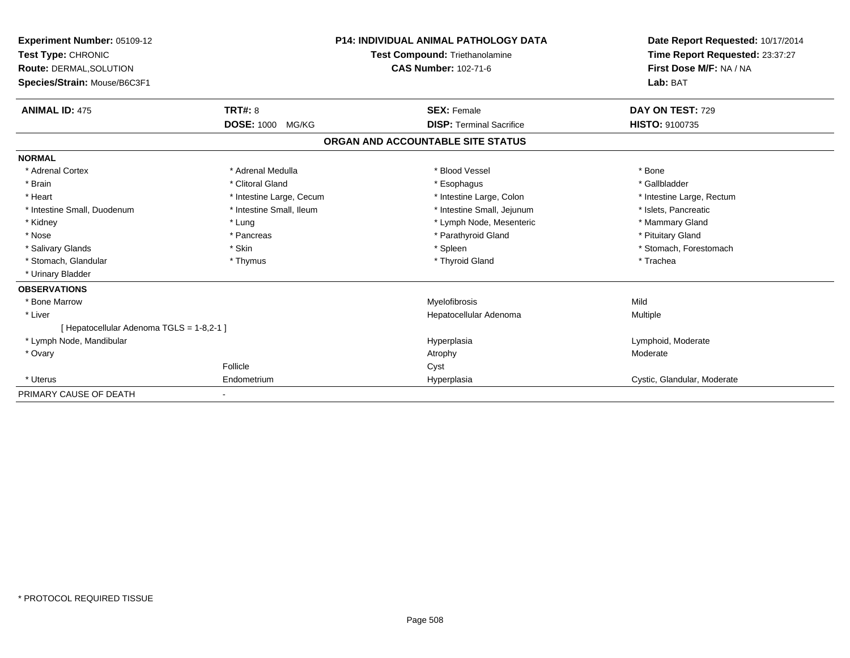| <b>Experiment Number: 05109-12</b><br>Test Type: CHRONIC<br><b>Route: DERMAL, SOLUTION</b><br>Species/Strain: Mouse/B6C3F1 |                          | <b>P14: INDIVIDUAL ANIMAL PATHOLOGY DATA</b><br><b>Test Compound: Triethanolamine</b><br><b>CAS Number: 102-71-6</b> | Date Report Requested: 10/17/2014<br>Time Report Requested: 23:37:27<br>First Dose M/F: NA / NA<br>Lab: BAT |
|----------------------------------------------------------------------------------------------------------------------------|--------------------------|----------------------------------------------------------------------------------------------------------------------|-------------------------------------------------------------------------------------------------------------|
| <b>ANIMAL ID: 475</b>                                                                                                      | TRT#: 8                  | <b>SEX: Female</b>                                                                                                   | DAY ON TEST: 729                                                                                            |
|                                                                                                                            | <b>DOSE: 1000 MG/KG</b>  | <b>DISP: Terminal Sacrifice</b>                                                                                      | <b>HISTO: 9100735</b>                                                                                       |
|                                                                                                                            |                          | ORGAN AND ACCOUNTABLE SITE STATUS                                                                                    |                                                                                                             |
| <b>NORMAL</b>                                                                                                              |                          |                                                                                                                      |                                                                                                             |
| * Adrenal Cortex                                                                                                           | * Adrenal Medulla        | * Blood Vessel                                                                                                       | * Bone                                                                                                      |
| * Brain                                                                                                                    | * Clitoral Gland         | * Esophagus                                                                                                          | * Gallbladder                                                                                               |
| * Heart                                                                                                                    | * Intestine Large, Cecum | * Intestine Large, Colon                                                                                             | * Intestine Large, Rectum                                                                                   |
| * Intestine Small, Duodenum                                                                                                | * Intestine Small, Ileum | * Intestine Small, Jejunum                                                                                           | * Islets, Pancreatic                                                                                        |
| * Kidney                                                                                                                   | * Lung                   | * Lymph Node, Mesenteric                                                                                             | * Mammary Gland                                                                                             |
| * Nose                                                                                                                     | * Pancreas               | * Parathyroid Gland                                                                                                  | * Pituitary Gland                                                                                           |
| * Salivary Glands                                                                                                          | * Skin                   | * Spleen                                                                                                             | * Stomach, Forestomach                                                                                      |
| * Stomach, Glandular                                                                                                       | * Thymus                 | * Thyroid Gland                                                                                                      | * Trachea                                                                                                   |
| * Urinary Bladder                                                                                                          |                          |                                                                                                                      |                                                                                                             |
| <b>OBSERVATIONS</b>                                                                                                        |                          |                                                                                                                      |                                                                                                             |
| * Bone Marrow                                                                                                              |                          | Myelofibrosis                                                                                                        | Mild                                                                                                        |
| * Liver                                                                                                                    |                          | Hepatocellular Adenoma                                                                                               | <b>Multiple</b>                                                                                             |
| [ Hepatocellular Adenoma TGLS = 1-8,2-1 ]                                                                                  |                          |                                                                                                                      |                                                                                                             |
| * Lymph Node, Mandibular                                                                                                   |                          | Hyperplasia                                                                                                          | Lymphoid, Moderate                                                                                          |
| * Ovary                                                                                                                    |                          | Atrophy                                                                                                              | Moderate                                                                                                    |
|                                                                                                                            | Follicle                 | Cyst                                                                                                                 |                                                                                                             |
| * Uterus                                                                                                                   | Endometrium              | Hyperplasia                                                                                                          | Cystic, Glandular, Moderate                                                                                 |
| PRIMARY CAUSE OF DEATH                                                                                                     |                          |                                                                                                                      |                                                                                                             |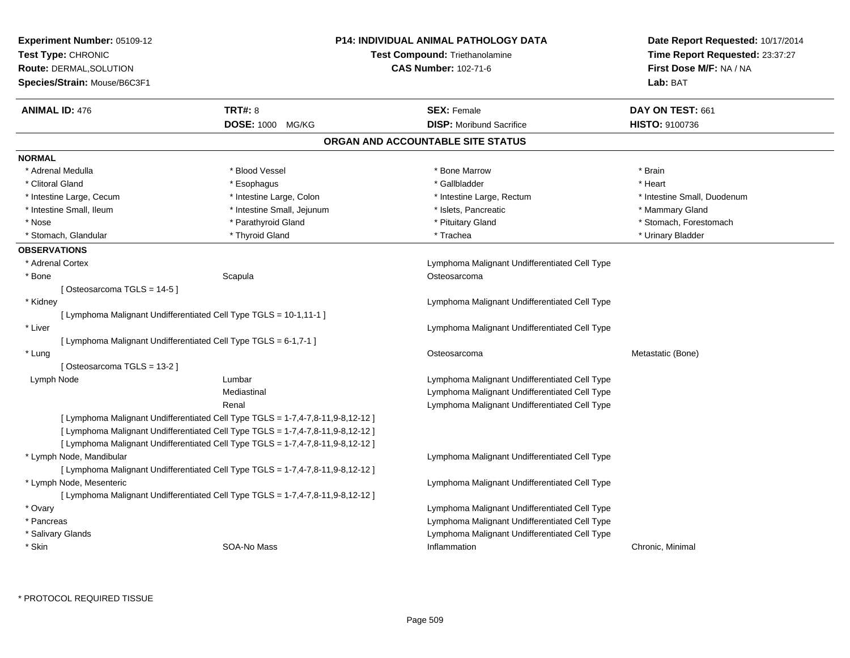|               | <b>Experiment Number: 05109-12</b><br><b>Test Type: CHRONIC</b><br>Route: DERMAL, SOLUTION<br>Species/Strain: Mouse/B6C3F1 |                                                                                                                                                                    | <b>P14: INDIVIDUAL ANIMAL PATHOLOGY DATA</b><br><b>Test Compound: Triethanolamine</b><br><b>CAS Number: 102-71-6</b> | Date Report Requested: 10/17/2014<br>Time Report Requested: 23:37:27<br>First Dose M/F: NA / NA<br><b>Lab: BAT</b> |
|---------------|----------------------------------------------------------------------------------------------------------------------------|--------------------------------------------------------------------------------------------------------------------------------------------------------------------|----------------------------------------------------------------------------------------------------------------------|--------------------------------------------------------------------------------------------------------------------|
|               | <b>ANIMAL ID: 476</b>                                                                                                      | TRT#: 8                                                                                                                                                            | <b>SEX: Female</b>                                                                                                   | DAY ON TEST: 661                                                                                                   |
|               |                                                                                                                            | DOSE: 1000 MG/KG                                                                                                                                                   | <b>DISP:</b> Moribund Sacrifice                                                                                      | <b>HISTO: 9100736</b>                                                                                              |
|               |                                                                                                                            |                                                                                                                                                                    | ORGAN AND ACCOUNTABLE SITE STATUS                                                                                    |                                                                                                                    |
| <b>NORMAL</b> |                                                                                                                            |                                                                                                                                                                    |                                                                                                                      |                                                                                                                    |
|               | * Adrenal Medulla                                                                                                          | * Blood Vessel                                                                                                                                                     | * Bone Marrow                                                                                                        | * Brain                                                                                                            |
|               | * Clitoral Gland                                                                                                           | * Esophagus                                                                                                                                                        | * Gallbladder                                                                                                        | * Heart                                                                                                            |
|               | * Intestine Large, Cecum                                                                                                   | * Intestine Large, Colon                                                                                                                                           | * Intestine Large, Rectum                                                                                            | * Intestine Small, Duodenum                                                                                        |
|               | * Intestine Small, Ileum                                                                                                   | * Intestine Small, Jejunum                                                                                                                                         | * Islets, Pancreatic                                                                                                 | * Mammary Gland                                                                                                    |
| * Nose        |                                                                                                                            | * Parathyroid Gland                                                                                                                                                | * Pituitary Gland                                                                                                    | * Stomach, Forestomach                                                                                             |
|               | * Stomach, Glandular                                                                                                       | * Thyroid Gland                                                                                                                                                    | * Trachea                                                                                                            | * Urinary Bladder                                                                                                  |
|               | <b>OBSERVATIONS</b>                                                                                                        |                                                                                                                                                                    |                                                                                                                      |                                                                                                                    |
|               | * Adrenal Cortex                                                                                                           |                                                                                                                                                                    | Lymphoma Malignant Undifferentiated Cell Type                                                                        |                                                                                                                    |
| * Bone        |                                                                                                                            | Scapula                                                                                                                                                            | Osteosarcoma                                                                                                         |                                                                                                                    |
|               | [Osteosarcoma TGLS = 14-5]                                                                                                 |                                                                                                                                                                    |                                                                                                                      |                                                                                                                    |
| * Kidney      |                                                                                                                            |                                                                                                                                                                    | Lymphoma Malignant Undifferentiated Cell Type                                                                        |                                                                                                                    |
|               |                                                                                                                            | [ Lymphoma Malignant Undifferentiated Cell Type TGLS = 10-1,11-1 ]                                                                                                 |                                                                                                                      |                                                                                                                    |
| * Liver       |                                                                                                                            |                                                                                                                                                                    | Lymphoma Malignant Undifferentiated Cell Type                                                                        |                                                                                                                    |
|               | [ Lymphoma Malignant Undifferentiated Cell Type TGLS = 6-1,7-1 ]                                                           |                                                                                                                                                                    |                                                                                                                      |                                                                                                                    |
| * Lung        |                                                                                                                            |                                                                                                                                                                    | Osteosarcoma                                                                                                         | Metastatic (Bone)                                                                                                  |
|               | [Osteosarcoma TGLS = 13-2]                                                                                                 |                                                                                                                                                                    |                                                                                                                      |                                                                                                                    |
|               | Lymph Node                                                                                                                 | Lumbar                                                                                                                                                             | Lymphoma Malignant Undifferentiated Cell Type                                                                        |                                                                                                                    |
|               |                                                                                                                            | Mediastinal                                                                                                                                                        | Lymphoma Malignant Undifferentiated Cell Type                                                                        |                                                                                                                    |
|               |                                                                                                                            | Renal<br>[ Lymphoma Malignant Undifferentiated Cell Type TGLS = 1-7,4-7,8-11,9-8,12-12 ]                                                                           | Lymphoma Malignant Undifferentiated Cell Type                                                                        |                                                                                                                    |
|               |                                                                                                                            | [ Lymphoma Malignant Undifferentiated Cell Type TGLS = 1-7,4-7,8-11,9-8,12-12 ]<br>[ Lymphoma Malignant Undifferentiated Cell Type TGLS = 1-7,4-7,8-11,9-8,12-12 ] |                                                                                                                      |                                                                                                                    |
|               | * Lymph Node, Mandibular                                                                                                   |                                                                                                                                                                    | Lymphoma Malignant Undifferentiated Cell Type                                                                        |                                                                                                                    |
|               |                                                                                                                            | [ Lymphoma Malignant Undifferentiated Cell Type TGLS = 1-7,4-7,8-11,9-8,12-12 ]                                                                                    |                                                                                                                      |                                                                                                                    |
|               | * Lymph Node, Mesenteric                                                                                                   |                                                                                                                                                                    | Lymphoma Malignant Undifferentiated Cell Type                                                                        |                                                                                                                    |
|               |                                                                                                                            | [ Lymphoma Malignant Undifferentiated Cell Type TGLS = 1-7,4-7,8-11,9-8,12-12 ]                                                                                    |                                                                                                                      |                                                                                                                    |
| * Ovary       |                                                                                                                            |                                                                                                                                                                    | Lymphoma Malignant Undifferentiated Cell Type                                                                        |                                                                                                                    |
| * Pancreas    |                                                                                                                            |                                                                                                                                                                    | Lymphoma Malignant Undifferentiated Cell Type                                                                        |                                                                                                                    |
|               | * Salivary Glands                                                                                                          |                                                                                                                                                                    | Lymphoma Malignant Undifferentiated Cell Type                                                                        |                                                                                                                    |
| * Skin        |                                                                                                                            | SOA-No Mass                                                                                                                                                        | Inflammation                                                                                                         | Chronic, Minimal                                                                                                   |
|               |                                                                                                                            |                                                                                                                                                                    |                                                                                                                      |                                                                                                                    |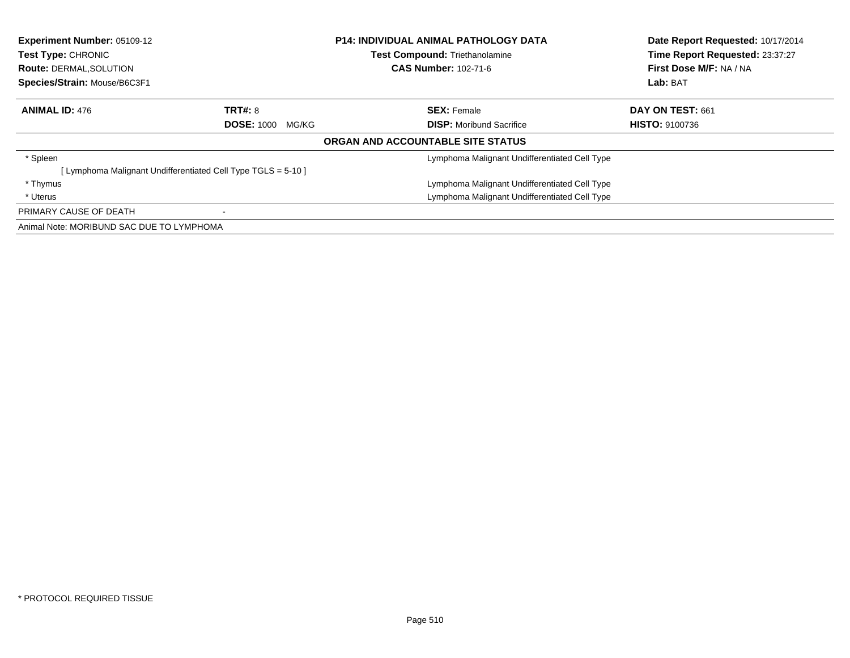| <b>Experiment Number: 05109-12</b><br><b>Test Type: CHRONIC</b><br><b>Route: DERMAL, SOLUTION</b><br>Species/Strain: Mouse/B6C3F1 |                                                             | <b>P14: INDIVIDUAL ANIMAL PATHOLOGY DATA</b><br><b>Test Compound: Triethanolamine</b><br><b>CAS Number: 102-71-6</b> | Date Report Requested: 10/17/2014<br>Time Report Requested: 23:37:27<br>First Dose M/F: NA / NA<br>Lab: BAT |
|-----------------------------------------------------------------------------------------------------------------------------------|-------------------------------------------------------------|----------------------------------------------------------------------------------------------------------------------|-------------------------------------------------------------------------------------------------------------|
| <b>ANIMAL ID: 476</b>                                                                                                             | <b>TRT#: 8</b>                                              | <b>SEX: Female</b>                                                                                                   | DAY ON TEST: 661                                                                                            |
|                                                                                                                                   | <b>DOSE: 1000</b><br>MG/KG                                  | <b>DISP:</b> Moribund Sacrifice                                                                                      | <b>HISTO: 9100736</b>                                                                                       |
|                                                                                                                                   |                                                             | ORGAN AND ACCOUNTABLE SITE STATUS                                                                                    |                                                                                                             |
| * Spleen                                                                                                                          |                                                             | Lymphoma Malignant Undifferentiated Cell Type                                                                        |                                                                                                             |
|                                                                                                                                   | [Lymphoma Malignant Undifferentiated Cell Type TGLS = 5-10] |                                                                                                                      |                                                                                                             |
| * Thymus                                                                                                                          |                                                             | Lymphoma Malignant Undifferentiated Cell Type                                                                        |                                                                                                             |
| * Uterus                                                                                                                          |                                                             | Lymphoma Malignant Undifferentiated Cell Type                                                                        |                                                                                                             |
| PRIMARY CAUSE OF DEATH                                                                                                            |                                                             |                                                                                                                      |                                                                                                             |
| Animal Note: MORIBUND SAC DUE TO LYMPHOMA                                                                                         |                                                             |                                                                                                                      |                                                                                                             |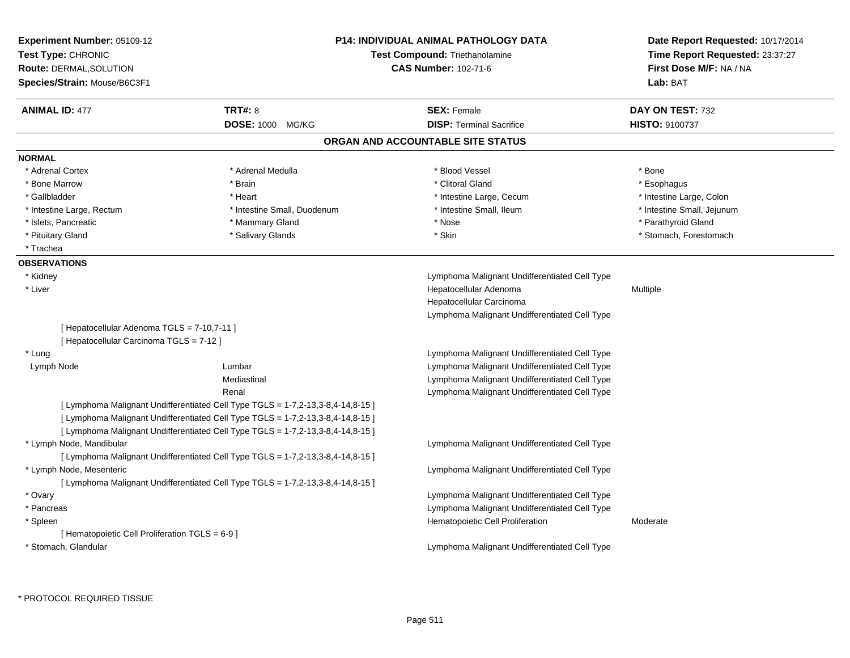| Experiment Number: 05109-12<br>Test Type: CHRONIC<br><b>Route: DERMAL, SOLUTION</b><br>Species/Strain: Mouse/B6C3F1 |                                                                                                                                                                    | <b>P14: INDIVIDUAL ANIMAL PATHOLOGY DATA</b><br>Test Compound: Triethanolamine<br><b>CAS Number: 102-71-6</b> | Date Report Requested: 10/17/2014<br>Time Report Requested: 23:37:27<br>First Dose M/F: NA / NA<br>Lab: BAT |
|---------------------------------------------------------------------------------------------------------------------|--------------------------------------------------------------------------------------------------------------------------------------------------------------------|---------------------------------------------------------------------------------------------------------------|-------------------------------------------------------------------------------------------------------------|
| <b>ANIMAL ID: 477</b>                                                                                               | TRT#: 8                                                                                                                                                            | <b>SEX: Female</b>                                                                                            | DAY ON TEST: 732                                                                                            |
|                                                                                                                     | <b>DOSE: 1000 MG/KG</b>                                                                                                                                            | <b>DISP: Terminal Sacrifice</b>                                                                               | <b>HISTO: 9100737</b>                                                                                       |
|                                                                                                                     |                                                                                                                                                                    | ORGAN AND ACCOUNTABLE SITE STATUS                                                                             |                                                                                                             |
| <b>NORMAL</b>                                                                                                       |                                                                                                                                                                    |                                                                                                               |                                                                                                             |
| * Adrenal Cortex                                                                                                    | * Adrenal Medulla                                                                                                                                                  | * Blood Vessel                                                                                                | * Bone                                                                                                      |
| * Bone Marrow                                                                                                       | * Brain                                                                                                                                                            | * Clitoral Gland                                                                                              | * Esophagus                                                                                                 |
| * Gallbladder                                                                                                       | * Heart                                                                                                                                                            | * Intestine Large, Cecum                                                                                      | * Intestine Large, Colon                                                                                    |
| * Intestine Large, Rectum                                                                                           | * Intestine Small, Duodenum                                                                                                                                        | * Intestine Small, Ileum                                                                                      | * Intestine Small, Jejunum                                                                                  |
| * Islets, Pancreatic                                                                                                | * Mammary Gland                                                                                                                                                    | * Nose                                                                                                        | * Parathyroid Gland                                                                                         |
| * Pituitary Gland                                                                                                   | * Salivary Glands                                                                                                                                                  | * Skin                                                                                                        | * Stomach, Forestomach                                                                                      |
| * Trachea                                                                                                           |                                                                                                                                                                    |                                                                                                               |                                                                                                             |
| <b>OBSERVATIONS</b>                                                                                                 |                                                                                                                                                                    |                                                                                                               |                                                                                                             |
| * Kidney                                                                                                            |                                                                                                                                                                    | Lymphoma Malignant Undifferentiated Cell Type                                                                 |                                                                                                             |
| * Liver                                                                                                             |                                                                                                                                                                    | Hepatocellular Adenoma                                                                                        | Multiple                                                                                                    |
|                                                                                                                     |                                                                                                                                                                    | Hepatocellular Carcinoma                                                                                      |                                                                                                             |
|                                                                                                                     |                                                                                                                                                                    | Lymphoma Malignant Undifferentiated Cell Type                                                                 |                                                                                                             |
| [ Hepatocellular Adenoma TGLS = 7-10,7-11 ]                                                                         |                                                                                                                                                                    |                                                                                                               |                                                                                                             |
| [ Hepatocellular Carcinoma TGLS = 7-12 ]                                                                            |                                                                                                                                                                    |                                                                                                               |                                                                                                             |
| * Lung                                                                                                              |                                                                                                                                                                    | Lymphoma Malignant Undifferentiated Cell Type                                                                 |                                                                                                             |
| Lymph Node                                                                                                          | Lumbar                                                                                                                                                             | Lymphoma Malignant Undifferentiated Cell Type                                                                 |                                                                                                             |
|                                                                                                                     | Mediastinal                                                                                                                                                        | Lymphoma Malignant Undifferentiated Cell Type                                                                 |                                                                                                             |
|                                                                                                                     | Renal                                                                                                                                                              | Lymphoma Malignant Undifferentiated Cell Type                                                                 |                                                                                                             |
|                                                                                                                     | [ Lymphoma Malignant Undifferentiated Cell Type TGLS = 1-7,2-13,3-8,4-14,8-15 ]<br>[ Lymphoma Malignant Undifferentiated Cell Type TGLS = 1-7,2-13,3-8,4-14,8-15 ] |                                                                                                               |                                                                                                             |
|                                                                                                                     | [ Lymphoma Malignant Undifferentiated Cell Type TGLS = 1-7,2-13,3-8,4-14,8-15 ]                                                                                    |                                                                                                               |                                                                                                             |
| * Lymph Node, Mandibular                                                                                            |                                                                                                                                                                    | Lymphoma Malignant Undifferentiated Cell Type                                                                 |                                                                                                             |
|                                                                                                                     | [Lymphoma Malignant Undifferentiated Cell Type TGLS = 1-7,2-13,3-8,4-14,8-15]                                                                                      |                                                                                                               |                                                                                                             |
| * Lymph Node, Mesenteric                                                                                            |                                                                                                                                                                    | Lymphoma Malignant Undifferentiated Cell Type                                                                 |                                                                                                             |
|                                                                                                                     | [Lymphoma Malignant Undifferentiated Cell Type TGLS = 1-7,2-13,3-8,4-14,8-15]                                                                                      |                                                                                                               |                                                                                                             |
| * Ovary                                                                                                             |                                                                                                                                                                    | Lymphoma Malignant Undifferentiated Cell Type                                                                 |                                                                                                             |
| * Pancreas                                                                                                          |                                                                                                                                                                    | Lymphoma Malignant Undifferentiated Cell Type                                                                 |                                                                                                             |
| * Spleen                                                                                                            |                                                                                                                                                                    | Hematopoietic Cell Proliferation                                                                              | Moderate                                                                                                    |
| [ Hematopoietic Cell Proliferation TGLS = 6-9 ]                                                                     |                                                                                                                                                                    |                                                                                                               |                                                                                                             |
| * Stomach, Glandular                                                                                                |                                                                                                                                                                    | Lymphoma Malignant Undifferentiated Cell Type                                                                 |                                                                                                             |
|                                                                                                                     |                                                                                                                                                                    |                                                                                                               |                                                                                                             |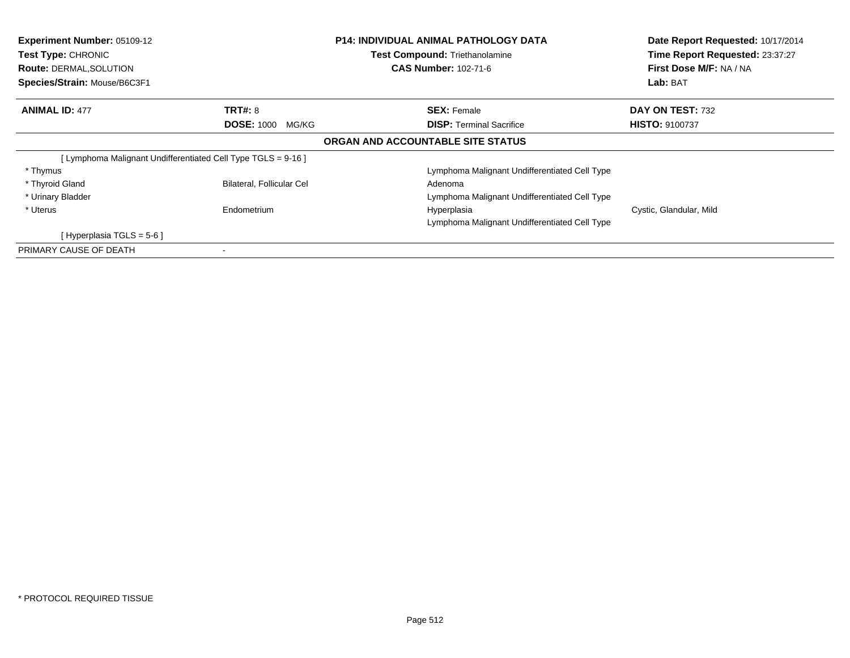| <b>Experiment Number: 05109-12</b><br>Test Type: CHRONIC<br><b>Route: DERMAL, SOLUTION</b><br>Species/Strain: Mouse/B6C3F1 |                            | <b>P14: INDIVIDUAL ANIMAL PATHOLOGY DATA</b><br><b>Test Compound: Triethanolamine</b><br><b>CAS Number: 102-71-6</b> | Date Report Requested: 10/17/2014<br>Time Report Requested: 23:37:27<br>First Dose M/F: NA / NA<br>Lab: BAT |
|----------------------------------------------------------------------------------------------------------------------------|----------------------------|----------------------------------------------------------------------------------------------------------------------|-------------------------------------------------------------------------------------------------------------|
| <b>ANIMAL ID: 477</b>                                                                                                      | <b>TRT#: 8</b>             | <b>SEX: Female</b>                                                                                                   | DAY ON TEST: 732                                                                                            |
|                                                                                                                            | <b>DOSE: 1000</b><br>MG/KG | <b>DISP:</b> Terminal Sacrifice                                                                                      | <b>HISTO: 9100737</b>                                                                                       |
|                                                                                                                            |                            | <b>ORGAN AND ACCOUNTABLE SITE STATUS</b>                                                                             |                                                                                                             |
| [Lymphoma Malignant Undifferentiated Cell Type TGLS = 9-16]                                                                |                            |                                                                                                                      |                                                                                                             |
| * Thymus                                                                                                                   |                            | Lymphoma Malignant Undifferentiated Cell Type                                                                        |                                                                                                             |
| * Thyroid Gland                                                                                                            | Bilateral, Follicular Cel  | Adenoma                                                                                                              |                                                                                                             |
| * Urinary Bladder                                                                                                          |                            | Lymphoma Malignant Undifferentiated Cell Type                                                                        |                                                                                                             |
| * Uterus                                                                                                                   | Endometrium                | Hyperplasia                                                                                                          | Cystic, Glandular, Mild                                                                                     |
|                                                                                                                            |                            | Lymphoma Malignant Undifferentiated Cell Type                                                                        |                                                                                                             |
| [Hyperplasia TGLS = $5-6$ ]                                                                                                |                            |                                                                                                                      |                                                                                                             |
| PRIMARY CAUSE OF DEATH                                                                                                     |                            |                                                                                                                      |                                                                                                             |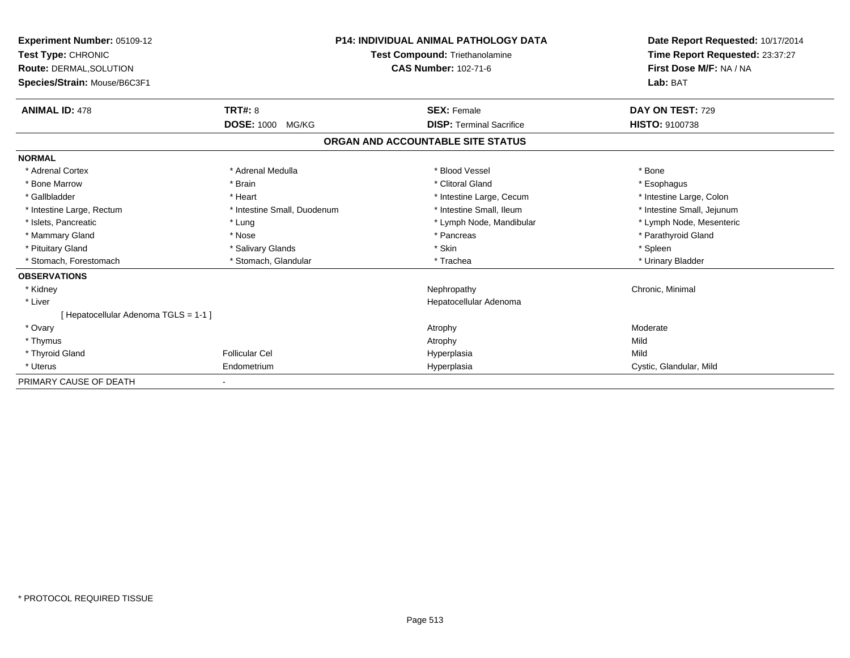| Experiment Number: 05109-12<br>Test Type: CHRONIC<br>Route: DERMAL, SOLUTION<br>Species/Strain: Mouse/B6C3F1 |                             | <b>P14: INDIVIDUAL ANIMAL PATHOLOGY DATA</b><br>Test Compound: Triethanolamine<br><b>CAS Number: 102-71-6</b> | Date Report Requested: 10/17/2014<br>Time Report Requested: 23:37:27<br>First Dose M/F: NA / NA<br>Lab: BAT |
|--------------------------------------------------------------------------------------------------------------|-----------------------------|---------------------------------------------------------------------------------------------------------------|-------------------------------------------------------------------------------------------------------------|
| <b>ANIMAL ID: 478</b>                                                                                        | <b>TRT#: 8</b>              | <b>SEX: Female</b>                                                                                            | DAY ON TEST: 729                                                                                            |
|                                                                                                              | <b>DOSE: 1000 MG/KG</b>     | <b>DISP: Terminal Sacrifice</b>                                                                               | HISTO: 9100738                                                                                              |
|                                                                                                              |                             | ORGAN AND ACCOUNTABLE SITE STATUS                                                                             |                                                                                                             |
| <b>NORMAL</b>                                                                                                |                             |                                                                                                               |                                                                                                             |
| * Adrenal Cortex                                                                                             | * Adrenal Medulla           | * Blood Vessel                                                                                                | * Bone                                                                                                      |
| * Bone Marrow                                                                                                | * Brain                     | * Clitoral Gland                                                                                              | * Esophagus                                                                                                 |
| * Gallbladder                                                                                                | * Heart                     | * Intestine Large, Cecum                                                                                      | * Intestine Large, Colon                                                                                    |
| * Intestine Large, Rectum                                                                                    | * Intestine Small, Duodenum | * Intestine Small, Ileum                                                                                      | * Intestine Small, Jejunum                                                                                  |
| * Islets, Pancreatic                                                                                         | * Lung                      | * Lymph Node, Mandibular                                                                                      | * Lymph Node, Mesenteric                                                                                    |
| * Mammary Gland                                                                                              | * Nose                      | * Pancreas                                                                                                    | * Parathyroid Gland                                                                                         |
| * Pituitary Gland                                                                                            | * Salivary Glands           | * Skin                                                                                                        | * Spleen                                                                                                    |
| * Stomach, Forestomach                                                                                       | * Stomach, Glandular        | * Trachea                                                                                                     | * Urinary Bladder                                                                                           |
| <b>OBSERVATIONS</b>                                                                                          |                             |                                                                                                               |                                                                                                             |
| * Kidney                                                                                                     |                             | Nephropathy                                                                                                   | Chronic, Minimal                                                                                            |
| * Liver                                                                                                      |                             | Hepatocellular Adenoma                                                                                        |                                                                                                             |
| [ Hepatocellular Adenoma TGLS = 1-1 ]                                                                        |                             |                                                                                                               |                                                                                                             |
| * Ovary                                                                                                      |                             | Atrophy                                                                                                       | Moderate                                                                                                    |
| * Thymus                                                                                                     |                             | Atrophy                                                                                                       | Mild                                                                                                        |
| * Thyroid Gland                                                                                              | <b>Follicular Cel</b>       | Hyperplasia                                                                                                   | Mild                                                                                                        |
| * Uterus                                                                                                     | Endometrium                 | Hyperplasia                                                                                                   | Cystic, Glandular, Mild                                                                                     |
| PRIMARY CAUSE OF DEATH                                                                                       |                             |                                                                                                               |                                                                                                             |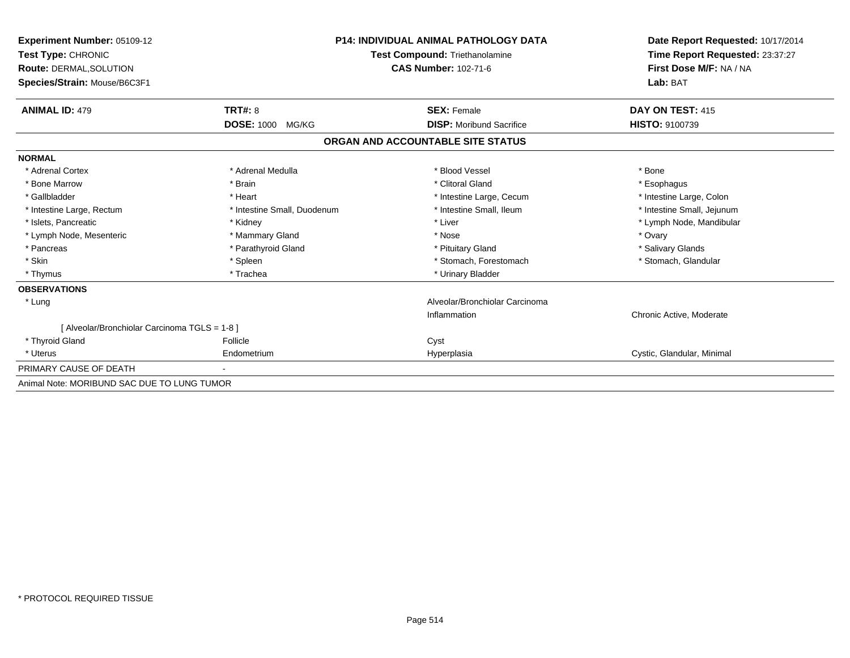| Experiment Number: 05109-12<br>Test Type: CHRONIC<br>Route: DERMAL, SOLUTION<br>Species/Strain: Mouse/B6C3F1 |                             | <b>P14: INDIVIDUAL ANIMAL PATHOLOGY DATA</b><br><b>Test Compound: Triethanolamine</b><br><b>CAS Number: 102-71-6</b> | Date Report Requested: 10/17/2014<br>Time Report Requested: 23:37:27<br>First Dose M/F: NA / NA<br>Lab: BAT |
|--------------------------------------------------------------------------------------------------------------|-----------------------------|----------------------------------------------------------------------------------------------------------------------|-------------------------------------------------------------------------------------------------------------|
| <b>ANIMAL ID: 479</b>                                                                                        | <b>TRT#: 8</b>              | <b>SEX: Female</b>                                                                                                   | DAY ON TEST: 415                                                                                            |
|                                                                                                              | DOSE: 1000 MG/KG            | <b>DISP:</b> Moribund Sacrifice                                                                                      | HISTO: 9100739                                                                                              |
|                                                                                                              |                             | ORGAN AND ACCOUNTABLE SITE STATUS                                                                                    |                                                                                                             |
| <b>NORMAL</b>                                                                                                |                             |                                                                                                                      |                                                                                                             |
| * Adrenal Cortex                                                                                             | * Adrenal Medulla           | * Blood Vessel                                                                                                       | * Bone                                                                                                      |
| * Bone Marrow                                                                                                | * Brain                     | * Clitoral Gland                                                                                                     | * Esophagus                                                                                                 |
| * Gallbladder                                                                                                | * Heart                     | * Intestine Large, Cecum                                                                                             | * Intestine Large, Colon                                                                                    |
| * Intestine Large, Rectum                                                                                    | * Intestine Small, Duodenum | * Intestine Small, Ileum                                                                                             | * Intestine Small, Jejunum                                                                                  |
| * Islets, Pancreatic                                                                                         | * Kidney                    | * Liver                                                                                                              | * Lymph Node, Mandibular                                                                                    |
| * Lymph Node, Mesenteric                                                                                     | * Mammary Gland             | * Nose                                                                                                               | * Ovary                                                                                                     |
| * Pancreas                                                                                                   | * Parathyroid Gland         | * Pituitary Gland                                                                                                    | * Salivary Glands                                                                                           |
| * Skin                                                                                                       | * Spleen                    | * Stomach, Forestomach                                                                                               | * Stomach, Glandular                                                                                        |
| * Thymus                                                                                                     | * Trachea                   | * Urinary Bladder                                                                                                    |                                                                                                             |
| <b>OBSERVATIONS</b>                                                                                          |                             |                                                                                                                      |                                                                                                             |
| * Lung                                                                                                       |                             | Alveolar/Bronchiolar Carcinoma                                                                                       |                                                                                                             |
|                                                                                                              |                             | Inflammation                                                                                                         | Chronic Active, Moderate                                                                                    |
| [ Alveolar/Bronchiolar Carcinoma TGLS = 1-8 ]                                                                |                             |                                                                                                                      |                                                                                                             |
| * Thyroid Gland                                                                                              | Follicle                    | Cyst                                                                                                                 |                                                                                                             |
| * Uterus                                                                                                     | Endometrium                 | Hyperplasia                                                                                                          | Cystic, Glandular, Minimal                                                                                  |
| PRIMARY CAUSE OF DEATH                                                                                       |                             |                                                                                                                      |                                                                                                             |
| Animal Note: MORIBUND SAC DUE TO LUNG TUMOR                                                                  |                             |                                                                                                                      |                                                                                                             |